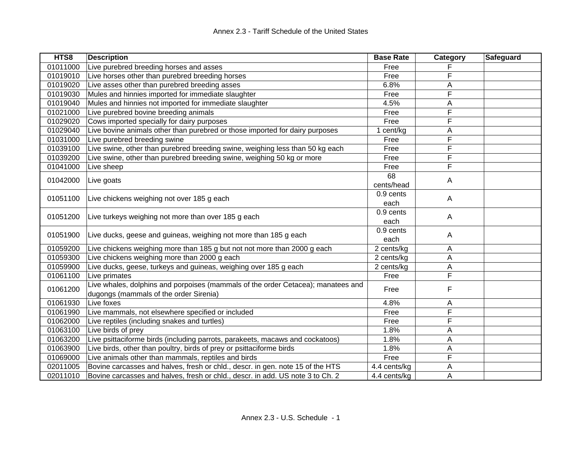| HTS8     | <b>Description</b>                                                               | <b>Base Rate</b> | Category | Safeguard |
|----------|----------------------------------------------------------------------------------|------------------|----------|-----------|
| 01011000 | Live purebred breeding horses and asses                                          | Free             |          |           |
| 01019010 | Live horses other than purebred breeding horses                                  | Free             | F        |           |
| 01019020 | Live asses other than purebred breeding asses                                    | 6.8%             | Α        |           |
| 01019030 | Mules and hinnies imported for immediate slaughter                               | Free             | F        |           |
| 01019040 | Mules and hinnies not imported for immediate slaughter                           | 4.5%             | A        |           |
| 01021000 | Live purebred bovine breeding animals                                            | Free             | F        |           |
| 01029020 | Cows imported specially for dairy purposes                                       | Free             | F        |           |
| 01029040 | Live bovine animals other than purebred or those imported for dairy purposes     | cent/kg          | Α        |           |
| 01031000 | Live purebred breeding swine                                                     | Free             | F        |           |
| 01039100 | Live swine, other than purebred breeding swine, weighing less than 50 kg each    | Free             | F        |           |
| 01039200 | Live swine, other than purebred breeding swine, weighing 50 kg or more           | Free             | F        |           |
| 01041000 | Live sheep                                                                       | Free             | F        |           |
| 01042000 | Live goats                                                                       | 68               | A        |           |
|          |                                                                                  | cents/head       |          |           |
| 01051100 | Live chickens weighing not over 185 g each                                       | 0.9 cents        |          |           |
|          |                                                                                  | each             | A        |           |
|          |                                                                                  | 0.9 cents        |          |           |
| 01051200 | Live turkeys weighing not more than over 185 g each                              | each             | A        |           |
| 01051900 |                                                                                  | 0.9 cents        |          |           |
|          | Live ducks, geese and guineas, weighing not more than 185 g each                 | each             | A        |           |
| 01059200 | Live chickens weighing more than 185 g but not not more than 2000 g each         | 2 cents/kg       | A        |           |
| 01059300 | Live chickens weighing more than 2000 g each                                     | 2 cents/kg       | Α        |           |
| 01059900 | Live ducks, geese, turkeys and guineas, weighing over 185 g each                 | 2 cents/kg       | Α        |           |
| 01061100 | Live primates                                                                    | Free             | F        |           |
|          | Live whales, dolphins and porpoises (mammals of the order Cetacea); manatees and |                  | F        |           |
| 01061200 | dugongs (mammals of the order Sirenia)                                           | Free             |          |           |
| 01061930 | Live foxes                                                                       | 4.8%             | Α        |           |
| 01061990 | Live mammals, not elsewhere specified or included                                | Free             | F        |           |
| 01062000 | Live reptiles (including snakes and turtles)                                     | Free             | F        |           |
| 01063100 | Live birds of prey                                                               | 1.8%             | Α        |           |
| 01063200 | Live psittaciforme birds (including parrots, parakeets, macaws and cockatoos)    | 1.8%             | A        |           |
| 01063900 | Live birds, other than poultry, birds of prey or psittaciforme birds             | 1.8%             | Α        |           |
| 01069000 | Live animals other than mammals, reptiles and birds                              | Free             | F        |           |
| 02011005 | Bovine carcasses and halves, fresh or chld., descr. in gen. note 15 of the HTS   | 4.4 cents/kg     | Α        |           |
| 02011010 | Bovine carcasses and halves, fresh or chld., descr. in add. US note 3 to Ch. 2   | 4.4 cents/kg     | A        |           |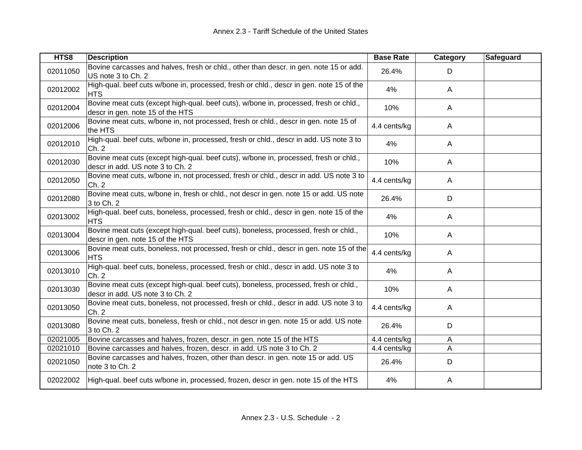| HTS8     | <b>Description</b>                                                                                                        | <b>Base Rate</b> | Category     | <b>Safeguard</b> |
|----------|---------------------------------------------------------------------------------------------------------------------------|------------------|--------------|------------------|
| 02011050 | Bovine carcasses and halves, fresh or chld., other than descr. in gen. note 15 or add.<br>US note 3 to Ch. 2              | 26.4%            | D            |                  |
| 02012002 | High-qual. beef cuts w/bone in, processed, fresh or chld., descr in gen. note 15 of the<br><b>HTS</b>                     | 4%               | $\mathsf{A}$ |                  |
| 02012004 | Bovine meat cuts (except high-qual. beef cuts), w/bone in, processed, fresh or chld.,<br>descr in gen. note 15 of the HTS | 10%              | A            |                  |
| 02012006 | Bovine meat cuts, w/bone in, not processed, fresh or chld., descr in gen. note 15 of<br>the HTS                           | 4.4 cents/kg     | A            |                  |
| 02012010 | High-qual. beef cuts, w/bone in, processed, fresh or chld., descr in add. US note 3 to<br>Ch. 2                           | 4%               | $\mathsf{A}$ |                  |
| 02012030 | Bovine meat cuts (except high-qual. beef cuts), w/bone in, processed, fresh or chld.,<br>descr in add. US note 3 to Ch. 2 | 10%              | A            |                  |
| 02012050 | Bovine meat cuts, w/bone in, not processed, fresh or chld., descr in add. US note 3 to<br>Ch. 2                           | 4.4 cents/kg     | A            |                  |
| 02012080 | Bovine meat cuts, w/bone in, fresh or chld., not descr in gen. note 15 or add. US note<br>3 to Ch. 2                      | 26.4%            | D            |                  |
| 02013002 | High-qual. beef cuts, boneless, processed, fresh or chld., descr in gen. note 15 of the<br><b>HTS</b>                     | 4%               | A            |                  |
| 02013004 | Bovine meat cuts (except high-qual. beef cuts), boneless, processed, fresh or chld.,<br>descr in gen. note 15 of the HTS  | 10%              | A            |                  |
| 02013006 | Bovine meat cuts, boneless, not processed, fresh or chld., descr in gen. note 15 of the<br><b>HTS</b>                     | 4.4 cents/kg     | $\mathsf{A}$ |                  |
| 02013010 | High-qual. beef cuts, boneless, processed, fresh or chld., descr in add. US note 3 to<br>Ch. 2                            | 4%               | $\mathsf{A}$ |                  |
| 02013030 | Bovine meat cuts (except high-qual. beef cuts), boneless, processed, fresh or chld.,<br>descr in add. US note 3 to Ch. 2  | 10%              | A            |                  |
| 02013050 | Bovine meat cuts, boneless, not processed, fresh or chld., descr in add. US note 3 to<br>Ch. 2                            | 4.4 cents/kg     | A            |                  |
| 02013080 | Bovine meat cuts, boneless, fresh or chld., not descr in gen. note 15 or add. US note<br>3 to Ch. 2                       | 26.4%            | D            |                  |
| 02021005 | Bovine carcasses and halves, frozen, descr. in gen. note 15 of the HTS                                                    | 4.4 cents/kg     | A            |                  |
| 02021010 | Bovine carcasses and halves, frozen, descr. in add. US note 3 to Ch. 2                                                    | 4.4 cents/kg     | A            |                  |
| 02021050 | Bovine carcasses and halves, frozen, other than descr. in gen. note 15 or add. US<br>note 3 to Ch. 2                      | 26.4%            | D            |                  |
| 02022002 | High-qual. beef cuts w/bone in, processed, frozen, descr in gen. note 15 of the HTS                                       | 4%               | A            |                  |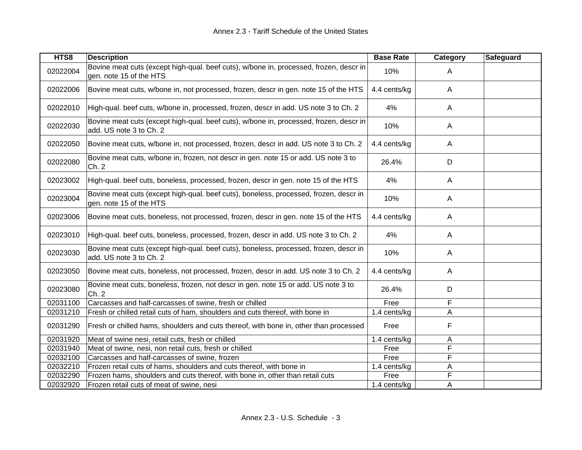| HTS8     | <b>Description</b>                                                                                                | <b>Base Rate</b> | Category     | Safeguard |
|----------|-------------------------------------------------------------------------------------------------------------------|------------------|--------------|-----------|
| 02022004 | Bovine meat cuts (except high-qual. beef cuts), w/bone in, processed, frozen, descr in<br>gen. note 15 of the HTS | 10%              | A            |           |
| 02022006 | Bovine meat cuts, w/bone in, not processed, frozen, descr in gen. note 15 of the HTS                              | 4.4 cents/kg     | A            |           |
| 02022010 | High-qual. beef cuts, w/bone in, processed, frozen, descr in add. US note 3 to Ch. 2                              | 4%               | A            |           |
| 02022030 | Bovine meat cuts (except high-qual. beef cuts), w/bone in, processed, frozen, descr in<br>add. US note 3 to Ch. 2 | 10%              | A            |           |
| 02022050 | Bovine meat cuts, w/bone in, not processed, frozen, descr in add. US note 3 to Ch. 2                              | 4.4 cents/kg     | $\mathsf{A}$ |           |
| 02022080 | Bovine meat cuts, w/bone in, frozen, not descr in gen. note 15 or add. US note 3 to<br>Ch. 2                      | 26.4%            | D            |           |
| 02023002 | High-qual. beef cuts, boneless, processed, frozen, descr in gen. note 15 of the HTS                               | 4%               | $\mathsf{A}$ |           |
| 02023004 | Bovine meat cuts (except high-qual. beef cuts), boneless, processed, frozen, descr in<br>gen. note 15 of the HTS  | 10%              | A            |           |
| 02023006 | Bovine meat cuts, boneless, not processed, frozen, descr in gen. note 15 of the HTS                               | 4.4 cents/kg     | A            |           |
| 02023010 | High-qual. beef cuts, boneless, processed, frozen, descr in add. US note 3 to Ch. 2                               | 4%               | A            |           |
| 02023030 | Bovine meat cuts (except high-qual. beef cuts), boneless, processed, frozen, descr in<br>add. US note 3 to Ch. 2  | 10%              | A            |           |
| 02023050 | Bovine meat cuts, boneless, not processed, frozen, descr in add. US note 3 to Ch. 2                               | 4.4 cents/kg     | $\mathsf{A}$ |           |
| 02023080 | Bovine meat cuts, boneless, frozen, not descr in gen. note 15 or add. US note 3 to<br>Ch. 2                       | 26.4%            | D            |           |
| 02031100 | Carcasses and half-carcasses of swine, fresh or chilled                                                           | Free             | F            |           |
| 02031210 | Fresh or chilled retail cuts of ham, shoulders and cuts thereof, with bone in                                     | 1.4 cents/kg     | A            |           |
| 02031290 | Fresh or chilled hams, shoulders and cuts thereof, with bone in, other than processed                             | Free             | F            |           |
| 02031920 | Meat of swine nesi, retail cuts, fresh or chilled                                                                 | 1.4 cents/kg     | Α            |           |
| 02031940 | Meat of swine, nesi, non retail cuts, fresh or chilled                                                            | Free             | F            |           |
| 02032100 | Carcasses and half-carcasses of swine, frozen                                                                     | Free             | F            |           |
| 02032210 | Frozen retail cuts of hams, shoulders and cuts thereof, with bone in                                              | 1.4 cents/kg     | Α            |           |
| 02032290 | Frozen hams, shoulders and cuts thereof, with bone in, other than retail cuts                                     | Free             | F            |           |
| 02032920 | Frozen retail cuts of meat of swine, nesi                                                                         | 1.4 cents/kg     | A            |           |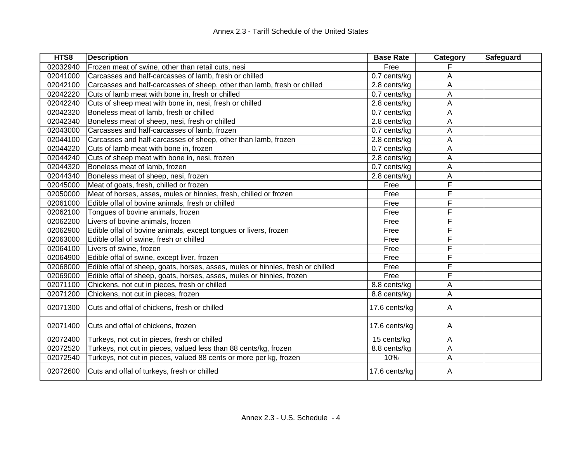| HTS8     | <b>Description</b>                                                              | <b>Base Rate</b> | Category | <b>Safeguard</b> |
|----------|---------------------------------------------------------------------------------|------------------|----------|------------------|
| 02032940 | Frozen meat of swine, other than retail cuts, nesi                              | Free             |          |                  |
| 02041000 | Carcasses and half-carcasses of lamb, fresh or chilled                          | 0.7 cents/kg     | А        |                  |
| 02042100 | Carcasses and half-carcasses of sheep, other than lamb, fresh or chilled        | 2.8 cents/kg     | А        |                  |
| 02042220 | Cuts of lamb meat with bone in, fresh or chilled                                | 0.7 cents/kg     | A        |                  |
| 02042240 | Cuts of sheep meat with bone in, nesi, fresh or chilled                         | 2.8 cents/kg     | Α        |                  |
| 02042320 | Boneless meat of lamb, fresh or chilled                                         | 0.7 cents/kg     | A        |                  |
| 02042340 | Boneless meat of sheep, nesi, fresh or chilled                                  | 2.8 cents/kg     | А        |                  |
| 02043000 | Carcasses and half-carcasses of lamb, frozen                                    | 0.7 cents/kg     | A        |                  |
| 02044100 | Carcasses and half-carcasses of sheep, other than lamb, frozen                  | 2.8 cents/kg     | A        |                  |
| 02044220 | Cuts of lamb meat with bone in, frozen                                          | 0.7 cents/kg     | Α        |                  |
| 02044240 | Cuts of sheep meat with bone in, nesi, frozen                                   | 2.8 cents/kg     | A        |                  |
| 02044320 | Boneless meat of lamb, frozen                                                   | 0.7 cents/kg     | A        |                  |
| 02044340 | Boneless meat of sheep, nesi, frozen                                            | 2.8 cents/kg     | А        |                  |
| 02045000 | Meat of goats, fresh, chilled or frozen                                         | Free             | F        |                  |
| 02050000 | Meat of horses, asses, mules or hinnies, fresh, chilled or frozen               | Free             | F        |                  |
| 02061000 | Edible offal of bovine animals, fresh or chilled                                | Free             | F        |                  |
| 02062100 | Tongues of bovine animals, frozen                                               | Free             | F        |                  |
| 02062200 | Livers of bovine animals, frozen                                                | Free             | F        |                  |
| 02062900 | Edible offal of bovine animals, except tongues or livers, frozen                | Free             | F        |                  |
| 02063000 | Edible offal of swine, fresh or chilled                                         | Free             | F        |                  |
| 02064100 | Livers of swine, frozen                                                         | Free             | F        |                  |
| 02064900 | Edible offal of swine, except liver, frozen                                     | Free             | F        |                  |
| 02068000 | Edible offal of sheep, goats, horses, asses, mules or hinnies, fresh or chilled | Free             | F        |                  |
| 02069000 | Edible offal of sheep, goats, horses, asses, mules or hinnies, frozen           | Free             | F        |                  |
| 02071100 | Chickens, not cut in pieces, fresh or chilled                                   | 8.8 cents/kg     | А        |                  |
| 02071200 | Chickens, not cut in pieces, frozen                                             | 8.8 cents/kg     | Α        |                  |
| 02071300 | Cuts and offal of chickens, fresh or chilled                                    | 17.6 cents/kg    | A        |                  |
| 02071400 | Cuts and offal of chickens, frozen                                              | 17.6 cents/kg    | A        |                  |
| 02072400 | Turkeys, not cut in pieces, fresh or chilled                                    | 15 cents/kg      | A        |                  |
| 02072520 | Turkeys, not cut in pieces, valued less than 88 cents/kg, frozen                | 8.8 cents/kg     | A        |                  |
| 02072540 | Turkeys, not cut in pieces, valued 88 cents or more per kg, frozen              | 10%              | A        |                  |
| 02072600 | Cuts and offal of turkeys, fresh or chilled                                     | 17.6 cents/kg    | A        |                  |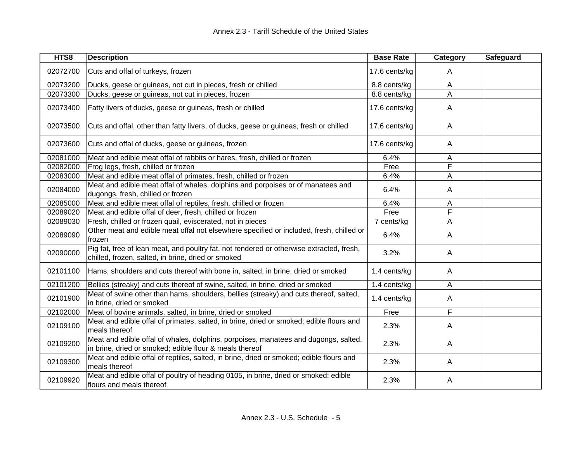| HTS8     | <b>Description</b>                                                                                                                             | <b>Base Rate</b> | Category | Safeguard |
|----------|------------------------------------------------------------------------------------------------------------------------------------------------|------------------|----------|-----------|
| 02072700 | Cuts and offal of turkeys, frozen                                                                                                              | 17.6 cents/kg    | A        |           |
| 02073200 | Ducks, geese or guineas, not cut in pieces, fresh or chilled                                                                                   | 8.8 cents/kg     | A        |           |
| 02073300 | Ducks, geese or guineas, not cut in pieces, frozen                                                                                             | 8.8 cents/kg     | A        |           |
| 02073400 | Fatty livers of ducks, geese or guineas, fresh or chilled                                                                                      | 17.6 cents/kg    | A        |           |
| 02073500 | Cuts and offal, other than fatty livers, of ducks, geese or guineas, fresh or chilled                                                          | 17.6 cents/kg    | A        |           |
| 02073600 | Cuts and offal of ducks, geese or guineas, frozen                                                                                              | 17.6 cents/kg    | Α        |           |
| 02081000 | Meat and edible meat offal of rabbits or hares, fresh, chilled or frozen                                                                       | 6.4%             | A        |           |
| 02082000 | Frog legs, fresh, chilled or frozen                                                                                                            | Free             | F        |           |
| 02083000 | Meat and edible meat offal of primates, fresh, chilled or frozen                                                                               | 6.4%             | A        |           |
| 02084000 | Meat and edible meat offal of whales, dolphins and porpoises or of manatees and<br>dugongs, fresh, chilled or frozen                           | 6.4%             | Α        |           |
| 02085000 | Meat and edible meat offal of reptiles, fresh, chilled or frozen                                                                               | 6.4%             | A        |           |
| 02089020 | Meat and edible offal of deer, fresh, chilled or frozen                                                                                        | Free             | F        |           |
| 02089030 | Fresh, chilled or frozen quail, eviscerated, not in pieces                                                                                     | 7 cents/kg       | Α        |           |
| 02089090 | Other meat and edible meat offal not elsewhere specified or included, fresh, chilled or<br>frozen                                              | 6.4%             | A        |           |
| 02090000 | Pig fat, free of lean meat, and poultry fat, not rendered or otherwise extracted, fresh,<br>chilled, frozen, salted, in brine, dried or smoked | 3.2%             | A        |           |
| 02101100 | Hams, shoulders and cuts thereof with bone in, salted, in brine, dried or smoked                                                               | 1.4 cents/kg     | A        |           |
| 02101200 | Bellies (streaky) and cuts thereof of swine, salted, in brine, dried or smoked                                                                 | 1.4 cents/kg     | Α        |           |
| 02101900 | Meat of swine other than hams, shoulders, bellies (streaky) and cuts thereof, salted,<br>in brine, dried or smoked                             | 1.4 cents/kg     | Α        |           |
| 02102000 | Meat of bovine animals, salted, in brine, dried or smoked                                                                                      | Free             | F        |           |
| 02109100 | Meat and edible offal of primates, salted, in brine, dried or smoked; edible flours and<br>meals thereof                                       | 2.3%             | A        |           |
| 02109200 | Meat and edible offal of whales, dolphins, porpoises, manatees and dugongs, salted,<br>in brine, dried or smoked; edible flour & meals thereof | 2.3%             | A        |           |
| 02109300 | Meat and edible offal of reptiles, salted, in brine, dried or smoked; edible flours and<br>meals thereof                                       | 2.3%             | A        |           |
| 02109920 | Meat and edible offal of poultry of heading 0105, in brine, dried or smoked; edible<br>flours and meals thereof                                | 2.3%             | A        |           |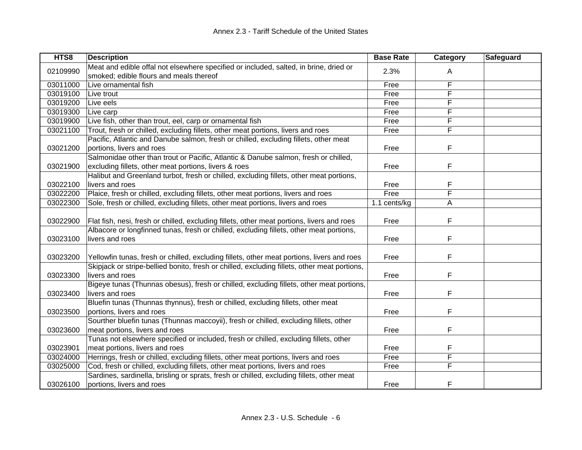| HTS8     | <b>Description</b>                                                                           | <b>Base Rate</b> | Category | Safeguard |
|----------|----------------------------------------------------------------------------------------------|------------------|----------|-----------|
| 02109990 | Meat and edible offal not elsewhere specified or included, salted, in brine, dried or        | 2.3%             | A        |           |
|          | smoked; edible flours and meals thereof                                                      |                  |          |           |
| 03011000 | Live ornamental fish                                                                         | Free             | F        |           |
| 03019100 | Live trout                                                                                   | Free             | F        |           |
| 03019200 | Live eels                                                                                    | Free             | F        |           |
| 03019300 | Live carp                                                                                    | Free             | F        |           |
| 03019900 | Live fish, other than trout, eel, carp or ornamental fish                                    | Free             | F        |           |
| 03021100 | Trout, fresh or chilled, excluding fillets, other meat portions, livers and roes             | Free             | F        |           |
|          | Pacific, Atlantic and Danube salmon, fresh or chilled, excluding fillets, other meat         |                  |          |           |
| 03021200 | portions, livers and roes                                                                    | Free             | F        |           |
|          | Salmonidae other than trout or Pacific, Atlantic & Danube salmon, fresh or chilled,          |                  |          |           |
| 03021900 | excluding fillets, other meat portions, livers & roes                                        | Free             | F        |           |
|          | Halibut and Greenland turbot, fresh or chilled, excluding fillets, other meat portions,      |                  |          |           |
| 03022100 | livers and roes                                                                              | Free             | F        |           |
| 03022200 | Plaice, fresh or chilled, excluding fillets, other meat portions, livers and roes            | Free             | F        |           |
| 03022300 | Sole, fresh or chilled, excluding fillets, other meat portions, livers and roes              | 1.1 cents/kg     | A        |           |
|          |                                                                                              |                  |          |           |
| 03022900 | Flat fish, nesi, fresh or chilled, excluding fillets, other meat portions, livers and roes   | Free             | F        |           |
|          | Albacore or longfinned tunas, fresh or chilled, excluding fillets, other meat portions,      |                  |          |           |
| 03023100 | livers and roes                                                                              | Free             | F        |           |
|          |                                                                                              |                  |          |           |
| 03023200 | Yellowfin tunas, fresh or chilled, excluding fillets, other meat portions, livers and roes   | Free             | F        |           |
|          | Skipjack or stripe-bellied bonito, fresh or chilled, excluding fillets, other meat portions, |                  |          |           |
| 03023300 | livers and roes                                                                              | Free             | F        |           |
|          | Bigeye tunas (Thunnas obesus), fresh or chilled, excluding fillets, other meat portions,     |                  |          |           |
| 03023400 | livers and roes                                                                              | Free             | F        |           |
|          | Bluefin tunas (Thunnas thynnus), fresh or chilled, excluding fillets, other meat             |                  |          |           |
| 03023500 | portions, livers and roes                                                                    | Free             | F        |           |
|          | Sourther bluefin tunas (Thunnas maccoyii), fresh or chilled, excluding fillets, other        |                  |          |           |
| 03023600 | meat portions, livers and roes                                                               | Free             | F        |           |
|          | Tunas not elsewhere specified or included, fresh or chilled, excluding fillets, other        |                  |          |           |
| 03023901 | meat portions, livers and roes                                                               | Free             | F        |           |
| 03024000 | Herrings, fresh or chilled, excluding fillets, other meat portions, livers and roes          | Free             | F        |           |
| 03025000 | Cod, fresh or chilled, excluding fillets, other meat portions, livers and roes               | Free             | F        |           |
|          | Sardines, sardinella, brisling or sprats, fresh or chilled, excluding fillets, other meat    |                  |          |           |
| 03026100 | portions, livers and roes                                                                    | Free             | F        |           |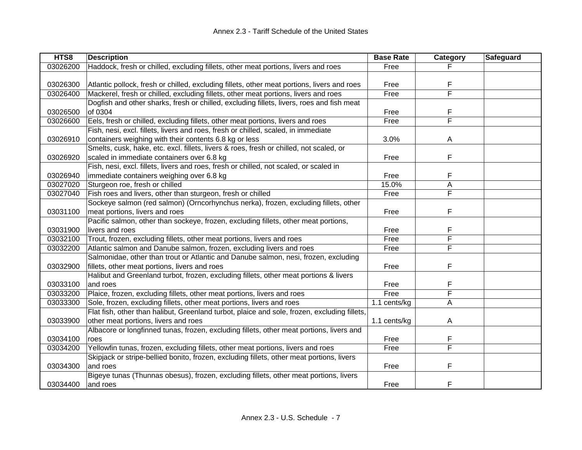| HTS8     | <b>Description</b>                                                                           | <b>Base Rate</b> | Category | Safeguard |
|----------|----------------------------------------------------------------------------------------------|------------------|----------|-----------|
| 03026200 | Haddock, fresh or chilled, excluding fillets, other meat portions, livers and roes           | Free             |          |           |
|          |                                                                                              |                  |          |           |
| 03026300 | Atlantic pollock, fresh or chilled, excluding fillets, other meat portions, livers and roes  | Free             | F        |           |
| 03026400 | Mackerel, fresh or chilled, excluding fillets, other meat portions, livers and roes          | Free             | F        |           |
|          | Dogfish and other sharks, fresh or chilled, excluding fillets, livers, roes and fish meat    |                  |          |           |
| 03026500 | of 0304                                                                                      | Free             | F        |           |
| 03026600 | Eels, fresh or chilled, excluding fillets, other meat portions, livers and roes              | Free             | F        |           |
|          | Fish, nesi, excl. fillets, livers and roes, fresh or chilled, scaled, in immediate           |                  |          |           |
| 03026910 | containers weighing with their contents 6.8 kg or less                                       | 3.0%             | A        |           |
|          | Smelts, cusk, hake, etc. excl. fillets, livers & roes, fresh or chilled, not scaled, or      |                  |          |           |
| 03026920 | scaled in immediate containers over 6.8 kg                                                   | Free             | F        |           |
|          | Fish, nesi, excl. fillets, livers and roes, fresh or chilled, not scaled, or scaled in       |                  |          |           |
| 03026940 | immediate containers weighing over 6.8 kg                                                    | Free             | F        |           |
| 03027020 | Sturgeon roe, fresh or chilled                                                               | 15.0%            | A        |           |
| 03027040 | Fish roes and livers, other than sturgeon, fresh or chilled                                  | Free             | F        |           |
|          | Sockeye salmon (red salmon) (Orncorhynchus nerka), frozen, excluding fillets, other          |                  |          |           |
| 03031100 | meat portions, livers and roes                                                               | Free             | F        |           |
|          | Pacific salmon, other than sockeye, frozen, excluding fillets, other meat portions,          |                  |          |           |
| 03031900 | livers and roes                                                                              | Free             | F        |           |
| 03032100 | Trout, frozen, excluding fillets, other meat portions, livers and roes                       | Free             | F        |           |
| 03032200 | Atlantic salmon and Danube salmon, frozen, excluding livers and roes                         | Free             | F        |           |
|          | Salmonidae, other than trout or Atlantic and Danube salmon, nesi, frozen, excluding          |                  |          |           |
| 03032900 | fillets, other meat portions, livers and roes                                                | Free             | F        |           |
|          | Halibut and Greenland turbot, frozen, excluding fillets, other meat portions & livers        |                  |          |           |
| 03033100 | and roes                                                                                     | Free             | F        |           |
| 03033200 | Plaice, frozen, excluding fillets, other meat portions, livers and roes                      | Free             | F        |           |
| 03033300 | Sole, frozen, excluding fillets, other meat portions, livers and roes                        | 1.1 cents/kg     | A        |           |
|          | Flat fish, other than halibut, Greenland turbot, plaice and sole, frozen, excluding fillets, |                  |          |           |
| 03033900 | other meat portions, livers and roes                                                         | 1.1 cents/kg     | A        |           |
|          | Albacore or longfinned tunas, frozen, excluding fillets, other meat portions, livers and     |                  |          |           |
| 03034100 | roes                                                                                         | Free             | F        |           |
| 03034200 | Yellowfin tunas, frozen, excluding fillets, other meat portions, livers and roes             | Free             | F        |           |
|          | Skipjack or stripe-bellied bonito, frozen, excluding fillets, other meat portions, livers    |                  |          |           |
| 03034300 | and roes                                                                                     | Free             | F        |           |
|          | Bigeye tunas (Thunnas obesus), frozen, excluding fillets, other meat portions, livers        |                  |          |           |
| 03034400 | and roes                                                                                     | Free             | F        |           |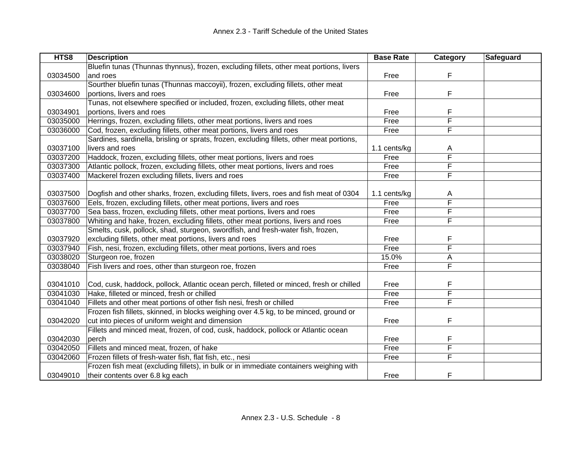| HTS8     | <b>Description</b>                                                                        | <b>Base Rate</b> | <b>Category</b>         | Safeguard |
|----------|-------------------------------------------------------------------------------------------|------------------|-------------------------|-----------|
|          | Bluefin tunas (Thunnas thynnus), frozen, excluding fillets, other meat portions, livers   |                  |                         |           |
| 03034500 | and roes                                                                                  | Free             | F                       |           |
|          | Sourther bluefin tunas (Thunnas maccoyii), frozen, excluding fillets, other meat          |                  |                         |           |
| 03034600 | portions, livers and roes                                                                 | Free             | F                       |           |
|          | Tunas, not elsewhere specified or included, frozen, excluding fillets, other meat         |                  |                         |           |
| 03034901 | portions, livers and roes                                                                 | Free             | F                       |           |
| 03035000 | Herrings, frozen, excluding fillets, other meat portions, livers and roes                 | Free             | F                       |           |
| 03036000 | Cod, frozen, excluding fillets, other meat portions, livers and roes                      | Free             | $\overline{F}$          |           |
|          | Sardines, sardinella, brisling or sprats, frozen, excluding fillets, other meat portions, |                  |                         |           |
| 03037100 | livers and roes                                                                           | 1.1 cents/kg     | A                       |           |
| 03037200 | Haddock, frozen, excluding fillets, other meat portions, livers and roes                  | Free             | F                       |           |
| 03037300 | Atlantic pollock, frozen, excluding fillets, other meat portions, livers and roes         | Free             | F                       |           |
| 03037400 | Mackerel frozen excluding fillets, livers and roes                                        | Free             | F                       |           |
|          |                                                                                           |                  |                         |           |
| 03037500 | Dogfish and other sharks, frozen, excluding fillets, livers, roes and fish meat of 0304   | 1.1 cents/kg     | A                       |           |
| 03037600 | Eels, frozen, excluding fillets, other meat portions, livers and roes                     | Free             | F                       |           |
| 03037700 | Sea bass, frozen, excluding fillets, other meat portions, livers and roes                 | Free             | F                       |           |
| 03037800 | Whiting and hake, frozen, excluding fillets, other meat portions, livers and roes         | Free             | $\overline{\mathsf{F}}$ |           |
|          | Smelts, cusk, pollock, shad, sturgeon, swordfish, and fresh-water fish, frozen,           |                  |                         |           |
| 03037920 | excluding fillets, other meat portions, livers and roes                                   | Free             | F                       |           |
| 03037940 | Fish, nesi, frozen, excluding fillets, other meat portions, livers and roes               | Free             | F                       |           |
| 03038020 | Sturgeon roe, frozen                                                                      | 15.0%            | А                       |           |
| 03038040 | Fish livers and roes, other than sturgeon roe, frozen                                     | Free             | F                       |           |
|          |                                                                                           |                  |                         |           |
| 03041010 | Cod, cusk, haddock, pollock, Atlantic ocean perch, filleted or minced, fresh or chilled   | Free             | F                       |           |
| 03041030 | Hake, filleted or minced, fresh or chilled                                                | Free             | F                       |           |
| 03041040 | Fillets and other meat portions of other fish nesi, fresh or chilled                      | Free             | F                       |           |
|          | Frozen fish fillets, skinned, in blocks weighing over 4.5 kg, to be minced, ground or     |                  |                         |           |
| 03042020 | cut into pieces of uniform weight and dimension                                           | Free             | F                       |           |
|          | Fillets and minced meat, frozen, of cod, cusk, haddock, pollock or Atlantic ocean         |                  |                         |           |
| 03042030 | perch                                                                                     | Free             | F                       |           |
| 03042050 | Fillets and minced meat, frozen, of hake                                                  | Free             | F                       |           |
| 03042060 | Frozen fillets of fresh-water fish, flat fish, etc., nesi                                 | Free             | F                       |           |
|          | Frozen fish meat (excluding fillets), in bulk or in immediate containers weighing with    |                  |                         |           |
| 03049010 | their contents over 6.8 kg each                                                           | Free             | F                       |           |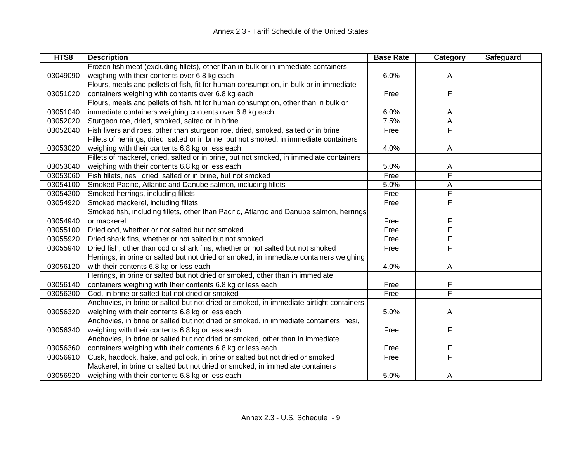| HTS8     | <b>Description</b>                                                                       | <b>Base Rate</b> | <b>Category</b>         | <b>Safeguard</b> |
|----------|------------------------------------------------------------------------------------------|------------------|-------------------------|------------------|
|          | Frozen fish meat (excluding fillets), other than in bulk or in immediate containers      |                  |                         |                  |
| 03049090 | weighing with their contents over 6.8 kg each                                            | 6.0%             | A                       |                  |
|          | Flours, meals and pellets of fish, fit for human consumption, in bulk or in immediate    |                  |                         |                  |
| 03051020 | containers weighing with contents over 6.8 kg each                                       | Free             | F                       |                  |
|          | Flours, meals and pellets of fish, fit for human consumption, other than in bulk or      |                  |                         |                  |
| 03051040 | immediate containers weighing contents over 6.8 kg each                                  | 6.0%             | A                       |                  |
| 03052020 | Sturgeon roe, dried, smoked, salted or in brine                                          | 7.5%             | $\overline{A}$          |                  |
| 03052040 | Fish livers and roes, other than sturgeon roe, dried, smoked, salted or in brine         | Free             | F                       |                  |
|          | Fillets of herrings, dried, salted or in brine, but not smoked, in immediate containers  |                  |                         |                  |
| 03053020 | weighing with their contents 6.8 kg or less each                                         | 4.0%             | A                       |                  |
|          | Fillets of mackerel, dried, salted or in brine, but not smoked, in immediate containers  |                  |                         |                  |
| 03053040 | weighing with their contents 6.8 kg or less each                                         | 5.0%             | A                       |                  |
| 03053060 | Fish fillets, nesi, dried, salted or in brine, but not smoked                            | Free             | F                       |                  |
| 03054100 | Smoked Pacific, Atlantic and Danube salmon, including fillets                            | 5.0%             | A                       |                  |
| 03054200 | Smoked herrings, including fillets                                                       | Free             | F                       |                  |
| 03054920 | Smoked mackerel, including fillets                                                       | Free             | F                       |                  |
|          | Smoked fish, including fillets, other than Pacific, Atlantic and Danube salmon, herrings |                  |                         |                  |
| 03054940 | or mackerel                                                                              | Free             | F                       |                  |
| 03055100 | Dried cod, whether or not salted but not smoked                                          | Free             | $\overline{\mathsf{F}}$ |                  |
| 03055920 | Dried shark fins, whether or not salted but not smoked                                   | Free             | F                       |                  |
| 03055940 | Dried fish, other than cod or shark fins, whether or not salted but not smoked           | Free             | F                       |                  |
|          | Herrings, in brine or salted but not dried or smoked, in immediate containers weighing   |                  |                         |                  |
| 03056120 | with their contents 6.8 kg or less each                                                  | 4.0%             | Α                       |                  |
|          | Herrings, in brine or salted but not dried or smoked, other than in immediate            |                  |                         |                  |
| 03056140 | containers weighing with their contents 6.8 kg or less each                              | Free             | F                       |                  |
| 03056200 | Cod, in brine or salted but not dried or smoked                                          | Free             | F                       |                  |
|          | Anchovies, in brine or salted but not dried or smoked, in immediate airtight containers  |                  |                         |                  |
| 03056320 | weighing with their contents 6.8 kg or less each                                         | 5.0%             | A                       |                  |
|          | Anchovies, in brine or salted but not dried or smoked, in immediate containers, nesi,    |                  |                         |                  |
| 03056340 | weighing with their contents 6.8 kg or less each                                         | Free             | F                       |                  |
|          | Anchovies, in brine or salted but not dried or smoked, other than in immediate           |                  |                         |                  |
| 03056360 | containers weighing with their contents 6.8 kg or less each                              | Free             | F                       |                  |
| 03056910 | Cusk, haddock, hake, and pollock, in brine or salted but not dried or smoked             | Free             | F                       |                  |
|          | Mackerel, in brine or salted but not dried or smoked, in immediate containers            |                  |                         |                  |
| 03056920 | weighing with their contents 6.8 kg or less each                                         | 5.0%             | A                       |                  |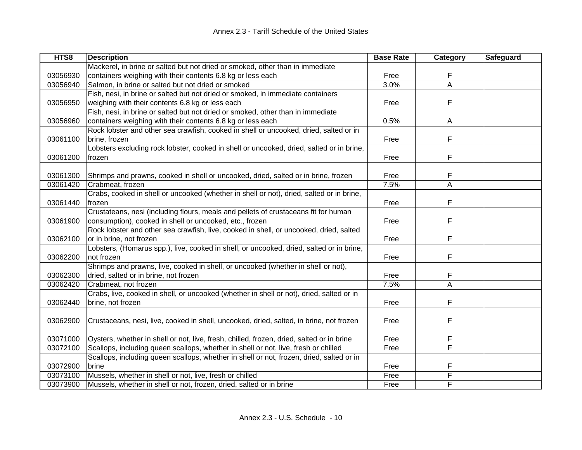| HTS8     | <b>Description</b>                                                                        | <b>Base Rate</b> | Category       | Safeguard |
|----------|-------------------------------------------------------------------------------------------|------------------|----------------|-----------|
|          | Mackerel, in brine or salted but not dried or smoked, other than in immediate             |                  |                |           |
| 03056930 | containers weighing with their contents 6.8 kg or less each                               | Free             | F              |           |
| 03056940 | Salmon, in brine or salted but not dried or smoked                                        | 3.0%             | $\overline{A}$ |           |
|          | Fish, nesi, in brine or salted but not dried or smoked, in immediate containers           |                  |                |           |
| 03056950 | weighing with their contents 6.8 kg or less each                                          | Free             | F              |           |
|          | Fish, nesi, in brine or salted but not dried or smoked, other than in immediate           |                  |                |           |
| 03056960 | containers weighing with their contents 6.8 kg or less each                               | 0.5%             | A              |           |
|          | Rock lobster and other sea crawfish, cooked in shell or uncooked, dried, salted or in     |                  |                |           |
| 03061100 | brine, frozen                                                                             | Free             | F              |           |
|          | Lobsters excluding rock lobster, cooked in shell or uncooked, dried, salted or in brine,  |                  |                |           |
| 03061200 | frozen                                                                                    | Free             | F              |           |
|          |                                                                                           |                  |                |           |
| 03061300 | Shrimps and prawns, cooked in shell or uncooked, dried, salted or in brine, frozen        | Free             | F              |           |
| 03061420 | Crabmeat, frozen                                                                          | 7.5%             | A              |           |
|          | Crabs, cooked in shell or uncooked (whether in shell or not), dried, salted or in brine,  |                  |                |           |
| 03061440 | frozen                                                                                    | Free             | F              |           |
|          | Crustateans, nesi (including flours, meals and pellets of crustaceans fit for human       |                  |                |           |
| 03061900 | consumption), cooked in shell or uncooked, etc., frozen                                   | Free             | F              |           |
|          | Rock lobster and other sea crawfish, live, cooked in shell, or uncooked, dried, salted    |                  |                |           |
| 03062100 | or in brine, not frozen                                                                   | Free             | F              |           |
|          | Lobsters, (Homarus spp.), live, cooked in shell, or uncooked, dried, salted or in brine,  |                  |                |           |
| 03062200 | not frozen                                                                                | Free             | F              |           |
|          | Shrimps and prawns, live, cooked in shell, or uncooked (whether in shell or not),         |                  |                |           |
| 03062300 | dried, salted or in brine, not frozen                                                     | Free             |                |           |
| 03062420 | Crabmeat, not frozen                                                                      | 7.5%             | A              |           |
|          | Crabs, live, cooked in shell, or uncooked (whether in shell or not), dried, salted or in  |                  |                |           |
| 03062440 | brine, not frozen                                                                         | Free             | F              |           |
|          |                                                                                           |                  |                |           |
| 03062900 | Crustaceans, nesi, live, cooked in shell, uncooked, dried, salted, in brine, not frozen   | Free             | F              |           |
|          |                                                                                           |                  |                |           |
| 03071000 | Oysters, whether in shell or not, live, fresh, chilled, frozen, dried, salted or in brine | Free             | F              |           |
| 03072100 | Scallops, including queen scallops, whether in shell or not, live, fresh or chilled       | Free             | F              |           |
|          | Scallops, including queen scallops, whether in shell or not, frozen, dried, salted or in  |                  |                |           |
| 03072900 | brine                                                                                     | Free             | F              |           |
| 03073100 | Mussels, whether in shell or not, live, fresh or chilled                                  | Free             | F              |           |
| 03073900 | Mussels, whether in shell or not, frozen, dried, salted or in brine                       | Free             | F              |           |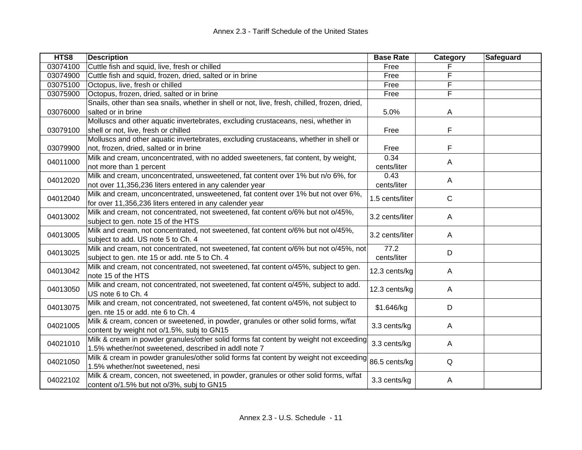| HTS8     | <b>Description</b>                                                                           | <b>Base Rate</b> | Category     | Safeguard |
|----------|----------------------------------------------------------------------------------------------|------------------|--------------|-----------|
| 03074100 | Cuttle fish and squid, live, fresh or chilled                                                | Free             |              |           |
| 03074900 | Cuttle fish and squid, frozen, dried, salted or in brine                                     | Free             | F            |           |
| 03075100 | Octopus, live, fresh or chilled                                                              | Free             | F            |           |
| 03075900 | Octopus, frozen, dried, salted or in brine                                                   | Free             | F            |           |
|          | Snails, other than sea snails, whether in shell or not, live, fresh, chilled, frozen, dried, |                  |              |           |
| 03076000 | salted or in brine                                                                           | 5.0%             | A            |           |
|          | Molluscs and other aquatic invertebrates, excluding crustaceans, nesi, whether in            |                  |              |           |
| 03079100 | shell or not, live, fresh or chilled                                                         | Free             | F            |           |
|          | Molluscs and other aquatic invertebrates, excluding crustaceans, whether in shell or         |                  |              |           |
| 03079900 | not, frozen, dried, salted or in brine                                                       | Free             | F            |           |
| 04011000 | Milk and cream, unconcentrated, with no added sweeteners, fat content, by weight,            | 0.34             |              |           |
|          | not more than 1 percent                                                                      | cents/liter      | Α            |           |
| 04012020 | Milk and cream, unconcentrated, unsweetened, fat content over 1% but n/o 6%, for             | 0.43             |              |           |
|          | not over 11,356,236 liters entered in any calender year                                      | cents/liter      | A            |           |
|          | Milk and cream, unconcentrated, unsweetened, fat content over 1% but not over 6%,            |                  | $\mathsf{C}$ |           |
| 04012040 | for over 11,356,236 liters entered in any calender year                                      | 1.5 cents/liter  |              |           |
| 04013002 | Milk and cream, not concentrated, not sweetened, fat content o/6% but not o/45%,             | 3.2 cents/liter  |              |           |
|          | subject to gen. note 15 of the HTS                                                           |                  | A            |           |
| 04013005 | Milk and cream, not concentrated, not sweetened, fat content o/6% but not o/45%,             |                  | A            |           |
|          | subject to add. US note 5 to Ch. 4                                                           | 3.2 cents/liter  |              |           |
| 04013025 | Milk and cream, not concentrated, not sweetened, fat content o/6% but not o/45%, not         | 77.2             | D            |           |
|          | subject to gen. nte 15 or add. nte 5 to Ch. 4                                                | cents/liter      |              |           |
| 04013042 | Milk and cream, not concentrated, not sweetened, fat content o/45%, subject to gen.          |                  |              |           |
|          | note 15 of the HTS                                                                           | 12.3 cents/kg    | A            |           |
| 04013050 | Milk and cream, not concentrated, not sweetened, fat content o/45%, subject to add.          | 12.3 cents/kg    |              |           |
|          | US note 6 to Ch. 4                                                                           |                  | A            |           |
| 04013075 | Milk and cream, not concentrated, not sweetened, fat content o/45%, not subject to           | \$1.646/kg       | D            |           |
|          | gen. nte 15 or add. nte 6 to Ch. 4                                                           |                  |              |           |
| 04021005 | Milk & cream, concen or sweetened, in powder, granules or other solid forms, w/fat           | 3.3 cents/kg     | A            |           |
|          | content by weight not o/1.5%, subj to GN15                                                   |                  |              |           |
| 04021010 | Milk & cream in powder granules/other solid forms fat content by weight not exceeding        | 3.3 cents/kg     | A            |           |
|          | 1.5% whether/not sweetened, described in addl note 7                                         |                  |              |           |
| 04021050 | Milk & cream in powder granules/other solid forms fat content by weight not exceeding        | 86.5 cents/kg    | $\mathsf Q$  |           |
|          | 1.5% whether/not sweetened, nesi                                                             |                  |              |           |
| 04022102 | Milk & cream, concen, not sweetened, in powder, granules or other solid forms, w/fat         | 3.3 cents/kg     |              |           |
|          | content o/1.5% but not o/3%, subj to GN15                                                    |                  | A            |           |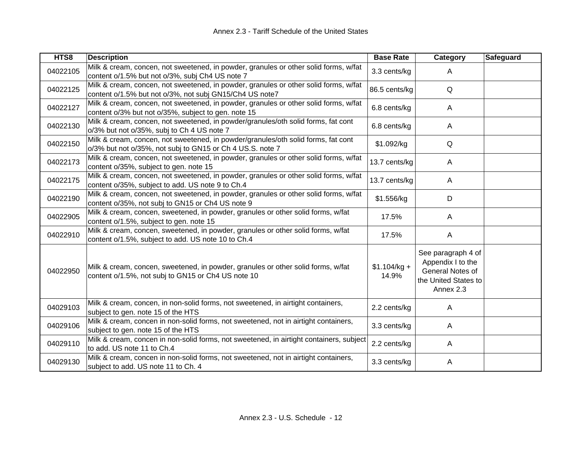| HTS8     | <b>Description</b>                                                                                                                              | <b>Base Rate</b>       | <b>Category</b>                                                                                  | <b>Safeguard</b> |
|----------|-------------------------------------------------------------------------------------------------------------------------------------------------|------------------------|--------------------------------------------------------------------------------------------------|------------------|
| 04022105 | Milk & cream, concen, not sweetened, in powder, granules or other solid forms, w/fat<br>content o/1.5% but not o/3%, subj Ch4 US note 7         | 3.3 cents/kg           | A                                                                                                |                  |
| 04022125 | Milk & cream, concen, not sweetened, in powder, granules or other solid forms, w/fat<br>content o/1.5% but not o/3%, not subj GN15/Ch4 US note7 | 86.5 cents/kg          | Q                                                                                                |                  |
| 04022127 | Milk & cream, concen, not sweetened, in powder, granules or other solid forms, w/fat<br>content o/3% but not o/35%, subject to gen. note 15     | 6.8 cents/kg           | A                                                                                                |                  |
| 04022130 | Milk & cream, concen, not sweetened, in powder/granules/oth solid forms, fat cont<br>o/3% but not o/35%, subj to Ch 4 US note 7                 | 6.8 cents/kg           | A                                                                                                |                  |
| 04022150 | Milk & cream, concen, not sweetened, in powder/granules/oth solid forms, fat cont<br>o/3% but not o/35%, not subj to GN15 or Ch 4 US.S. note 7  | \$1.092/kg             | Q                                                                                                |                  |
| 04022173 | Milk & cream, concen, not sweetened, in powder, granules or other solid forms, w/fat<br>content o/35%, subject to gen. note 15                  | 13.7 cents/kg          | A                                                                                                |                  |
| 04022175 | Milk & cream, concen, not sweetened, in powder, granules or other solid forms, w/fat<br>content o/35%, subject to add. US note 9 to Ch.4        | 13.7 cents/kg          | A                                                                                                |                  |
| 04022190 | Milk & cream, concen, not sweetened, in powder, granules or other solid forms, w/fat<br>content o/35%, not subj to GN15 or Ch4 US note 9        | \$1.556/kg             | D                                                                                                |                  |
| 04022905 | Milk & cream, concen, sweetened, in powder, granules or other solid forms, w/fat<br>content o/1.5%, subject to gen. note 15                     | 17.5%                  | A                                                                                                |                  |
| 04022910 | Milk & cream, concen, sweetened, in powder, granules or other solid forms, w/fat<br>content o/1.5%, subject to add. US note 10 to Ch.4          | 17.5%                  | A                                                                                                |                  |
| 04022950 | Milk & cream, concen, sweetened, in powder, granules or other solid forms, w/fat<br>content o/1.5%, not subj to GN15 or Ch4 US note 10          | $$1.104/kg +$<br>14.9% | See paragraph 4 of<br>Appendix I to the<br>General Notes of<br>the United States to<br>Annex 2.3 |                  |
| 04029103 | Milk & cream, concen, in non-solid forms, not sweetened, in airtight containers,<br>subject to gen. note 15 of the HTS                          | 2.2 cents/kg           | A                                                                                                |                  |
| 04029106 | Milk & cream, concen in non-solid forms, not sweetened, not in airtight containers,<br>subject to gen. note 15 of the HTS                       | 3.3 cents/kg           | A                                                                                                |                  |
| 04029110 | Milk & cream, concen in non-solid forms, not sweetened, in airtight containers, subject<br>to add. US note 11 to Ch.4                           | 2.2 cents/kg           | A                                                                                                |                  |
| 04029130 | Milk & cream, concen in non-solid forms, not sweetened, not in airtight containers,<br>subject to add. US note 11 to Ch. 4                      | 3.3 cents/kg           | A                                                                                                |                  |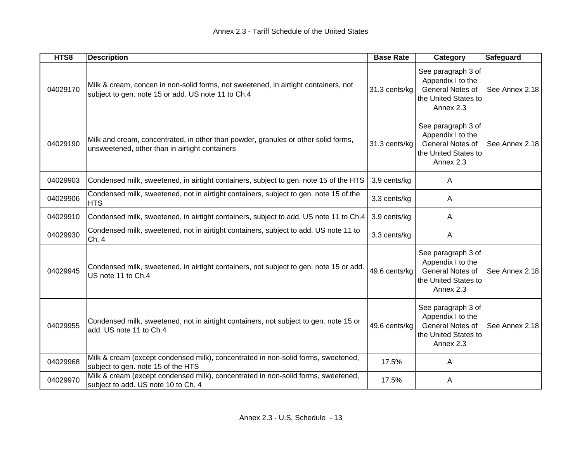| HTS8     | <b>Description</b>                                                                                                                        | <b>Base Rate</b> | Category                                                                                         | Safeguard      |
|----------|-------------------------------------------------------------------------------------------------------------------------------------------|------------------|--------------------------------------------------------------------------------------------------|----------------|
| 04029170 | Milk & cream, concen in non-solid forms, not sweetened, in airtight containers, not<br>subject to gen. note 15 or add. US note 11 to Ch.4 | 31.3 cents/kg    | See paragraph 3 of<br>Appendix I to the<br>General Notes of<br>the United States to<br>Annex 2.3 | See Annex 2.18 |
| 04029190 | Milk and cream, concentrated, in other than powder, granules or other solid forms,<br>unsweetened, other than in airtight containers      | 31.3 cents/kg    | See paragraph 3 of<br>Appendix I to the<br>General Notes of<br>the United States to<br>Annex 2.3 | See Annex 2.18 |
| 04029903 | Condensed milk, sweetened, in airtight containers, subject to gen. note 15 of the HTS                                                     | 3.9 cents/kg     | $\overline{A}$                                                                                   |                |
| 04029906 | Condensed milk, sweetened, not in airtight containers, subject to gen. note 15 of the<br><b>HTS</b>                                       | 3.3 cents/kg     | A                                                                                                |                |
| 04029910 | Condensed milk, sweetened, in airtight containers, subject to add. US note 11 to Ch.4                                                     | 3.9 cents/kg     | $\overline{A}$                                                                                   |                |
| 04029930 | Condensed milk, sweetened, not in airtight containers, subject to add. US note 11 to<br>Ch. 4                                             | 3.3 cents/kg     | A                                                                                                |                |
| 04029945 | Condensed milk, sweetened, in airtight containers, not subject to gen. note 15 or add.<br>US note 11 to Ch.4                              | 49.6 cents/kg    | See paragraph 3 of<br>Appendix I to the<br>General Notes of<br>the United States to<br>Annex 2.3 | See Annex 2.18 |
| 04029955 | Condensed milk, sweetened, not in airtight containers, not subject to gen. note 15 or<br>add. US note 11 to Ch.4                          | 49.6 cents/kg    | See paragraph 3 of<br>Appendix I to the<br>General Notes of<br>the United States to<br>Annex 2.3 | See Annex 2.18 |
| 04029968 | Milk & cream (except condensed milk), concentrated in non-solid forms, sweetened,<br>subject to gen. note 15 of the HTS                   | 17.5%            | A                                                                                                |                |
| 04029970 | Milk & cream (except condensed milk), concentrated in non-solid forms, sweetened,<br>subject to add. US note 10 to Ch. 4                  | 17.5%            | Α                                                                                                |                |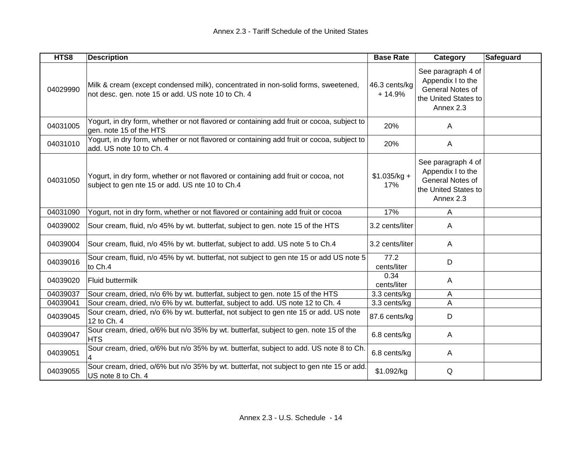| HTS8     | <b>Description</b>                                                                                                                      | <b>Base Rate</b>          | Category                                                                                         | <b>Safeguard</b> |
|----------|-----------------------------------------------------------------------------------------------------------------------------------------|---------------------------|--------------------------------------------------------------------------------------------------|------------------|
| 04029990 | Milk & cream (except condensed milk), concentrated in non-solid forms, sweetened,<br>not desc. gen. note 15 or add. US note 10 to Ch. 4 | 46.3 cents/kg<br>$+14.9%$ | See paragraph 4 of<br>Appendix I to the<br>General Notes of<br>the United States to<br>Annex 2.3 |                  |
| 04031005 | Yogurt, in dry form, whether or not flavored or containing add fruit or cocoa, subject to<br>gen. note 15 of the HTS                    | 20%                       | A                                                                                                |                  |
| 04031010 | Yogurt, in dry form, whether or not flavored or containing add fruit or cocoa, subject to<br>add. US note 10 to Ch. 4                   | 20%                       | $\mathsf{A}$                                                                                     |                  |
| 04031050 | Yogurt, in dry form, whether or not flavored or containing add fruit or cocoa, not<br>subject to gen nte 15 or add. US nte 10 to Ch.4   | $$1.035/kg +$<br>17%      | See paragraph 4 of<br>Appendix I to the<br>General Notes of<br>the United States to<br>Annex 2.3 |                  |
| 04031090 | Yogurt, not in dry form, whether or not flavored or containing add fruit or cocoa                                                       | 17%                       | A                                                                                                |                  |
| 04039002 | Sour cream, fluid, n/o 45% by wt. butterfat, subject to gen. note 15 of the HTS                                                         | 3.2 cents/liter           | A                                                                                                |                  |
| 04039004 | Sour cream, fluid, n/o 45% by wt. butterfat, subject to add. US note 5 to Ch.4                                                          | 3.2 cents/liter           | A                                                                                                |                  |
| 04039016 | Sour cream, fluid, n/o 45% by wt. butterfat, not subject to gen nte 15 or add US note 5<br>to Ch.4                                      | 77.2<br>cents/liter       | D                                                                                                |                  |
| 04039020 | <b>Fluid buttermilk</b>                                                                                                                 | 0.34<br>cents/liter       | A                                                                                                |                  |
| 04039037 | Sour cream, dried, n/o 6% by wt. butterfat, subject to gen. note 15 of the HTS                                                          | 3.3 cents/kg              | Α                                                                                                |                  |
| 04039041 | Sour cream, dried, n/o 6% by wt. butterfat, subject to add. US note 12 to Ch. 4                                                         | 3.3 cents/kg              | A                                                                                                |                  |
| 04039045 | Sour cream, dried, n/o 6% by wt. butterfat, not subject to gen nte 15 or add. US note<br>12 to Ch. 4                                    | 87.6 cents/kg             | D                                                                                                |                  |
| 04039047 | Sour cream, dried, o/6% but n/o 35% by wt. butterfat, subject to gen. note 15 of the<br><b>HTS</b>                                      | 6.8 cents/kg              | A                                                                                                |                  |
| 04039051 | Sour cream, dried, o/6% but n/o 35% by wt. butterfat, subject to add. US note 8 to Ch.                                                  | 6.8 cents/kg              | A                                                                                                |                  |
| 04039055 | Sour cream, dried, o/6% but n/o 35% by wt. butterfat, not subject to gen nte 15 or add.<br>US note 8 to Ch. 4                           | \$1.092/kg                | Q                                                                                                |                  |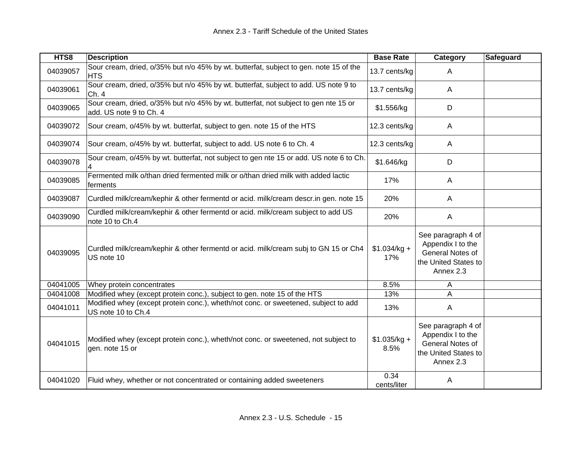| HTS8     | <b>Description</b>                                                                                             | <b>Base Rate</b>      | Category                                                                                         | Safeguard |
|----------|----------------------------------------------------------------------------------------------------------------|-----------------------|--------------------------------------------------------------------------------------------------|-----------|
| 04039057 | Sour cream, dried, o/35% but n/o 45% by wt. butterfat, subject to gen. note 15 of the<br><b>HTS</b>            | 13.7 cents/kg         | A                                                                                                |           |
| 04039061 | Sour cream, dried, o/35% but n/o 45% by wt. butterfat, subject to add. US note 9 to<br>Ch. 4                   | 13.7 cents/kg         | A                                                                                                |           |
| 04039065 | Sour cream, dried, o/35% but n/o 45% by wt. butterfat, not subject to gen nte 15 or<br>add. US note 9 to Ch. 4 | \$1.556/kg            | D                                                                                                |           |
| 04039072 | Sour cream, o/45% by wt. butterfat, subject to gen. note 15 of the HTS                                         | 12.3 cents/kg         | A                                                                                                |           |
| 04039074 | Sour cream, o/45% by wt. butterfat, subject to add. US note 6 to Ch. 4                                         | 12.3 cents/kg         | A                                                                                                |           |
| 04039078 | Sour cream, o/45% by wt. butterfat, not subject to gen nte 15 or add. US note 6 to Ch.                         | \$1.646/kg            | D                                                                                                |           |
| 04039085 | Fermented milk o/than dried fermented milk or o/than dried milk with added lactic<br>ferments                  | 17%                   | A                                                                                                |           |
| 04039087 | Curdled milk/cream/kephir & other fermentd or acid. milk/cream descr.in gen. note 15                           | 20%                   | A                                                                                                |           |
| 04039090 | Curdled milk/cream/kephir & other fermentd or acid. milk/cream subject to add US<br>note 10 to Ch.4            | 20%                   | A                                                                                                |           |
| 04039095 | Curdled milk/cream/kephir & other fermentd or acid. milk/cream subj to GN 15 or Ch4<br>US note 10              | $$1.034/kg +$<br>17%  | See paragraph 4 of<br>Appendix I to the<br>General Notes of<br>the United States to<br>Annex 2.3 |           |
| 04041005 | Whey protein concentrates                                                                                      | 8.5%                  | A                                                                                                |           |
| 04041008 | Modified whey (except protein conc.), subject to gen. note 15 of the HTS                                       | 13%                   | A                                                                                                |           |
| 04041011 | Modified whey (except protein conc.), wheth/not conc. or sweetened, subject to add<br>US note 10 to Ch.4       | 13%                   | A                                                                                                |           |
| 04041015 | Modified whey (except protein conc.), wheth/not conc. or sweetened, not subject to<br>gen. note 15 or          | $$1.035/kg +$<br>8.5% | See paragraph 4 of<br>Appendix I to the<br>General Notes of<br>the United States to<br>Annex 2.3 |           |
| 04041020 | Fluid whey, whether or not concentrated or containing added sweeteners                                         | 0.34<br>cents/liter   | Α                                                                                                |           |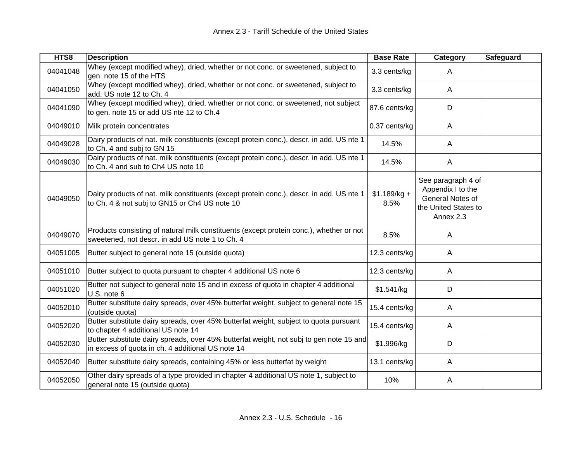| HTS8     | <b>Description</b>                                                                                                                           | <b>Base Rate</b>      | Category                                                                                         | Safeguard |
|----------|----------------------------------------------------------------------------------------------------------------------------------------------|-----------------------|--------------------------------------------------------------------------------------------------|-----------|
| 04041048 | Whey (except modified whey), dried, whether or not conc. or sweetened, subject to<br>gen. note 15 of the HTS                                 | 3.3 cents/kg          | A                                                                                                |           |
| 04041050 | Whey (except modified whey), dried, whether or not conc. or sweetened, subject to<br>add. US note 12 to Ch. 4                                | 3.3 cents/kg          | A                                                                                                |           |
| 04041090 | Whey (except modified whey), dried, whether or not conc. or sweetened, not subject<br>to gen. note 15 or add US nte 12 to Ch.4               | 87.6 cents/kg         | D                                                                                                |           |
| 04049010 | Milk protein concentrates                                                                                                                    | 0.37 cents/kg         | A                                                                                                |           |
| 04049028 | Dairy products of nat. milk constituents (except protein conc.), descr. in add. US nte 1<br>to Ch. 4 and subj to GN 15                       | 14.5%                 | A                                                                                                |           |
| 04049030 | Dairy products of nat. milk constituents (except protein conc.), descr. in add. US nte 1<br>to Ch. 4 and sub to Ch4 US note 10               | 14.5%                 | A                                                                                                |           |
| 04049050 | Dairy products of nat. milk constituents (except protein conc.), descr. in add. US nte 1<br>to Ch. 4 & not subj to GN15 or Ch4 US note 10    | $$1.189/kg +$<br>8.5% | See paragraph 4 of<br>Appendix I to the<br>General Notes of<br>the United States to<br>Annex 2.3 |           |
| 04049070 | Products consisting of natural milk constituents (except protein conc.), whether or not<br>sweetened, not descr. in add US note 1 to Ch. 4   | 8.5%                  | A                                                                                                |           |
| 04051005 | Butter subject to general note 15 (outside quota)                                                                                            | 12.3 cents/kg         | A                                                                                                |           |
| 04051010 | Butter subject to quota pursuant to chapter 4 additional US note 6                                                                           | 12.3 cents/kg         | A                                                                                                |           |
| 04051020 | Butter not subject to general note 15 and in excess of quota in chapter 4 additional<br>U.S. note 6                                          | \$1.541/kg            | D                                                                                                |           |
| 04052010 | Butter substitute dairy spreads, over 45% butterfat weight, subject to general note 15<br>(outside quota)                                    | 15.4 cents/kg         | A                                                                                                |           |
| 04052020 | Butter substitute dairy spreads, over 45% butterfat weight, subject to quota pursuant<br>to chapter 4 additional US note 14                  | 15.4 cents/kg         | A                                                                                                |           |
| 04052030 | Butter substitute dairy spreads, over 45% butterfat weight, not subj to gen note 15 and<br>in excess of quota in ch. 4 additional US note 14 | \$1.996/kg            | D                                                                                                |           |
| 04052040 | Butter substitute dairy spreads, containing 45% or less butterfat by weight                                                                  | 13.1 cents/kg         | A                                                                                                |           |
| 04052050 | Other dairy spreads of a type provided in chapter 4 additional US note 1, subject to<br>general note 15 (outside quota)                      | 10%                   | A                                                                                                |           |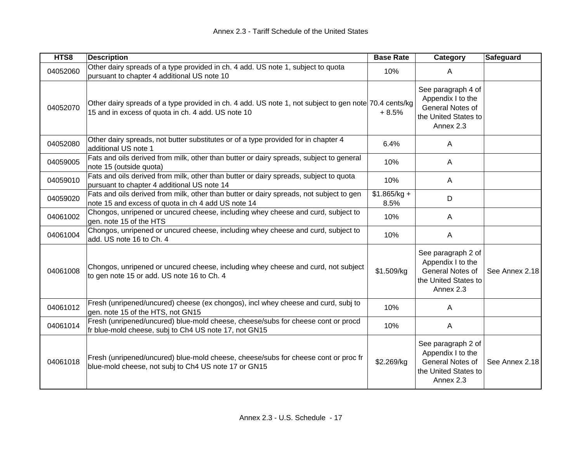| HTS8     | <b>Description</b>                                                                                                                                          | <b>Base Rate</b>      | Category                                                                                         | Safeguard      |
|----------|-------------------------------------------------------------------------------------------------------------------------------------------------------------|-----------------------|--------------------------------------------------------------------------------------------------|----------------|
| 04052060 | Other dairy spreads of a type provided in ch. 4 add. US note 1, subject to quota<br>pursuant to chapter 4 additional US note 10                             | 10%                   | A                                                                                                |                |
| 04052070 | Other dairy spreads of a type provided in ch. 4 add. US note 1, not subject to gen note 70.4 cents/kg<br>15 and in excess of quota in ch. 4 add. US note 10 | $+8.5%$               | See paragraph 4 of<br>Appendix I to the<br>General Notes of<br>the United States to<br>Annex 2.3 |                |
| 04052080 | Other dairy spreads, not butter substitutes or of a type provided for in chapter 4<br>additional US note 1                                                  | 6.4%                  | A                                                                                                |                |
| 04059005 | Fats and oils derived from milk, other than butter or dairy spreads, subject to general<br>note 15 (outside quota)                                          | 10%                   | A                                                                                                |                |
| 04059010 | Fats and oils derived from milk, other than butter or dairy spreads, subject to quota<br>pursuant to chapter 4 additional US note 14                        | 10%                   | A                                                                                                |                |
| 04059020 | Fats and oils derived from milk, other than butter or dairy spreads, not subject to gen<br>note 15 and excess of quota in ch 4 add US note 14               | $$1.865/kg +$<br>8.5% | D                                                                                                |                |
| 04061002 | Chongos, unripened or uncured cheese, including whey cheese and curd, subject to<br>gen. note 15 of the HTS                                                 | 10%                   | A                                                                                                |                |
| 04061004 | Chongos, unripened or uncured cheese, including whey cheese and curd, subject to<br>add. US note 16 to Ch. 4                                                | 10%                   | A                                                                                                |                |
| 04061008 | Chongos, unripened or uncured cheese, including whey cheese and curd, not subject<br>to gen note 15 or add. US note 16 to Ch. 4                             | \$1.509/kg            | See paragraph 2 of<br>Appendix I to the<br>General Notes of<br>the United States to<br>Annex 2.3 | See Annex 2.18 |
| 04061012 | Fresh (unripened/uncured) cheese (ex chongos), incl whey cheese and curd, subj to<br>gen. note 15 of the HTS, not GN15                                      | 10%                   | A                                                                                                |                |
| 04061014 | Fresh (unripened/uncured) blue-mold cheese, cheese/subs for cheese cont or procd<br>fr blue-mold cheese, subj to Ch4 US note 17, not GN15                   | 10%                   | A                                                                                                |                |
| 04061018 | Fresh (unripened/uncured) blue-mold cheese, cheese/subs for cheese cont or proc fr<br>blue-mold cheese, not subj to Ch4 US note 17 or GN15                  | \$2.269/kg            | See paragraph 2 of<br>Appendix I to the<br>General Notes of<br>the United States to<br>Annex 2.3 | See Annex 2.18 |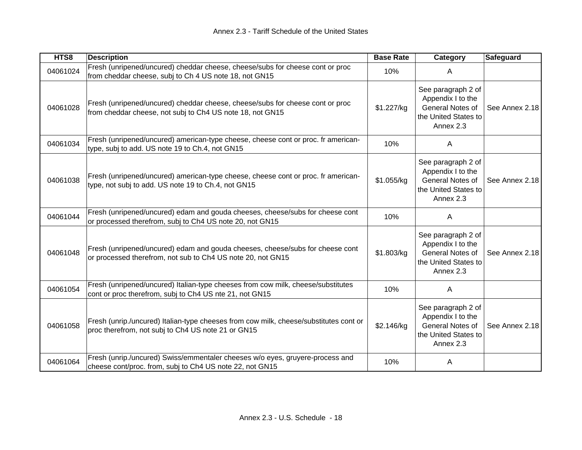| HTS8     | <b>Description</b>                                                                                                                           | <b>Base Rate</b> | Category                                                                                         | Safeguard      |
|----------|----------------------------------------------------------------------------------------------------------------------------------------------|------------------|--------------------------------------------------------------------------------------------------|----------------|
| 04061024 | Fresh (unripened/uncured) cheddar cheese, cheese/subs for cheese cont or proc<br>from cheddar cheese, subj to Ch 4 US note 18, not GN15      | 10%              | A                                                                                                |                |
| 04061028 | Fresh (unripened/uncured) cheddar cheese, cheese/subs for cheese cont or proc<br>from cheddar cheese, not subj to Ch4 US note 18, not GN15   | \$1.227/kg       | See paragraph 2 of<br>Appendix I to the<br>General Notes of<br>the United States to<br>Annex 2.3 | See Annex 2.18 |
| 04061034 | Fresh (unripened/uncured) american-type cheese, cheese cont or proc. fr american-<br>type, subj to add. US note 19 to Ch.4, not GN15         | 10%              | A                                                                                                |                |
| 04061038 | Fresh (unripened/uncured) american-type cheese, cheese cont or proc. fr american-<br>type, not subj to add. US note 19 to Ch.4, not GN15     | \$1.055/kg       | See paragraph 2 of<br>Appendix I to the<br>General Notes of<br>the United States to<br>Annex 2.3 | See Annex 2.18 |
| 04061044 | Fresh (unripened/uncured) edam and gouda cheeses, cheese/subs for cheese cont<br>or processed therefrom, subj to Ch4 US note 20, not GN15    | 10%              | A                                                                                                |                |
| 04061048 | Fresh (unripened/uncured) edam and gouda cheeses, cheese/subs for cheese cont<br>or processed therefrom, not sub to Ch4 US note 20, not GN15 | \$1.803/kg       | See paragraph 2 of<br>Appendix I to the<br>General Notes of<br>the United States to<br>Annex 2.3 | See Annex 2.18 |
| 04061054 | Fresh (unripened/uncured) Italian-type cheeses from cow milk, cheese/substitutes<br>cont or proc therefrom, subj to Ch4 US nte 21, not GN15  | 10%              | A                                                                                                |                |
| 04061058 | Fresh (unrip./uncured) Italian-type cheeses from cow milk, cheese/substitutes cont or<br>proc therefrom, not subj to Ch4 US note 21 or GN15  | \$2.146/kg       | See paragraph 2 of<br>Appendix I to the<br>General Notes of<br>the United States to<br>Annex 2.3 | See Annex 2.18 |
| 04061064 | Fresh (unrip./uncured) Swiss/emmentaler cheeses w/o eyes, gruyere-process and<br>cheese cont/proc. from, subj to Ch4 US note 22, not GN15    | 10%              | A                                                                                                |                |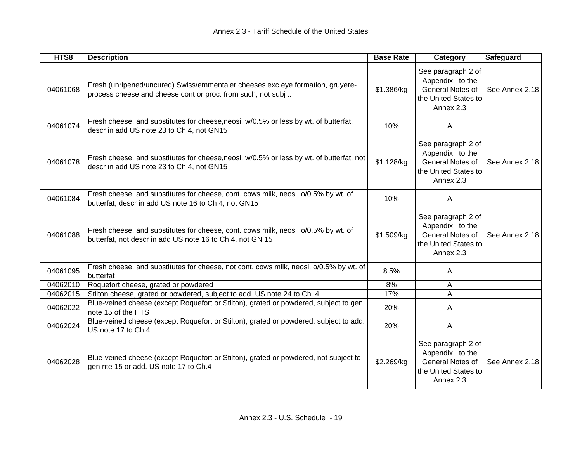| HTS8     | <b>Description</b>                                                                                                                              | <b>Base Rate</b> | Category                                                                                         | Safeguard      |
|----------|-------------------------------------------------------------------------------------------------------------------------------------------------|------------------|--------------------------------------------------------------------------------------------------|----------------|
| 04061068 | Fresh (unripened/uncured) Swiss/emmentaler cheeses exc eye formation, gruyere-<br>process cheese and cheese cont or proc. from such, not subj   | \$1.386/kg       | See paragraph 2 of<br>Appendix I to the<br>General Notes of<br>the United States to<br>Annex 2.3 | See Annex 2.18 |
| 04061074 | Fresh cheese, and substitutes for cheese, neosi, w/0.5% or less by wt. of butterfat,<br>descr in add US note 23 to Ch 4, not GN15               | 10%              | A                                                                                                |                |
| 04061078 | Fresh cheese, and substitutes for cheese, neosi, w/0.5% or less by wt. of butterfat, not<br>descr in add US note 23 to Ch 4, not GN15           | \$1.128/kg       | See paragraph 2 of<br>Appendix I to the<br>General Notes of<br>the United States to<br>Annex 2.3 | See Annex 2.18 |
| 04061084 | Fresh cheese, and substitutes for cheese, cont. cows milk, neosi, o/0.5% by wt. of<br>butterfat, descr in add US note 16 to Ch 4, not GN15      | 10%              | A                                                                                                |                |
| 04061088 | Fresh cheese, and substitutes for cheese, cont. cows milk, neosi, o/0.5% by wt. of<br>butterfat, not descr in add US note 16 to Ch 4, not GN 15 | \$1.509/kg       | See paragraph 2 of<br>Appendix I to the<br>General Notes of<br>the United States to<br>Annex 2.3 | See Annex 2.18 |
| 04061095 | Fresh cheese, and substitutes for cheese, not cont. cows milk, neosi, o/0.5% by wt. of<br>butterfat                                             | 8.5%             | A                                                                                                |                |
| 04062010 | Roquefort cheese, grated or powdered                                                                                                            | 8%               | A                                                                                                |                |
| 04062015 | Stilton cheese, grated or powdered, subject to add. US note 24 to Ch. 4                                                                         | 17%              | A                                                                                                |                |
| 04062022 | Blue-veined cheese (except Roquefort or Stilton), grated or powdered, subject to gen.<br>note 15 of the HTS                                     | 20%              | A                                                                                                |                |
| 04062024 | Blue-veined cheese (except Roquefort or Stilton), grated or powdered, subject to add.<br>US note 17 to Ch.4                                     | 20%              | A                                                                                                |                |
| 04062028 | Blue-veined cheese (except Roquefort or Stilton), grated or powdered, not subject to<br>gen nte 15 or add. US note 17 to Ch.4                   | \$2.269/kg       | See paragraph 2 of<br>Appendix I to the<br>General Notes of<br>the United States to<br>Annex 2.3 | See Annex 2.18 |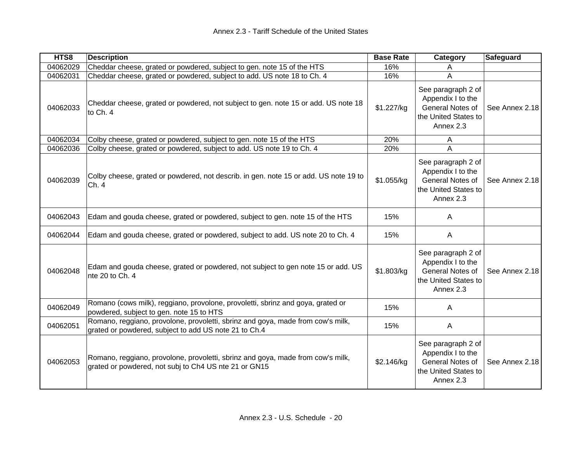| HTS8     | <b>Description</b>                                                                                                                       | <b>Base Rate</b> | Category                                                                                         | Safeguard      |
|----------|------------------------------------------------------------------------------------------------------------------------------------------|------------------|--------------------------------------------------------------------------------------------------|----------------|
| 04062029 | Cheddar cheese, grated or powdered, subject to gen. note 15 of the HTS                                                                   | 16%              | A                                                                                                |                |
| 04062031 | Cheddar cheese, grated or powdered, subject to add. US note 18 to Ch. 4                                                                  | 16%              | A                                                                                                |                |
| 04062033 | Cheddar cheese, grated or powdered, not subject to gen. note 15 or add. US note 18<br>to Ch. 4                                           | \$1.227/kg       | See paragraph 2 of<br>Appendix I to the<br>General Notes of<br>the United States to<br>Annex 2.3 | See Annex 2.18 |
| 04062034 | Colby cheese, grated or powdered, subject to gen. note 15 of the HTS                                                                     | 20%              | A                                                                                                |                |
| 04062036 | Colby cheese, grated or powdered, subject to add. US note 19 to Ch. 4                                                                    | 20%              | A                                                                                                |                |
| 04062039 | Colby cheese, grated or powdered, not describ. in gen. note 15 or add. US note 19 to<br>Ch. 4                                            | \$1.055/kg       | See paragraph 2 of<br>Appendix I to the<br>General Notes of<br>the United States to<br>Annex 2.3 | See Annex 2.18 |
| 04062043 | Edam and gouda cheese, grated or powdered, subject to gen. note 15 of the HTS                                                            | 15%              | $\mathsf{A}$                                                                                     |                |
| 04062044 | Edam and gouda cheese, grated or powdered, subject to add. US note 20 to Ch. 4                                                           | 15%              | $\mathsf{A}$                                                                                     |                |
| 04062048 | Edam and gouda cheese, grated or powdered, not subject to gen note 15 or add. US<br>nte 20 to Ch. 4                                      | \$1.803/kg       | See paragraph 2 of<br>Appendix I to the<br>General Notes of<br>the United States to<br>Annex 2.3 | See Annex 2.18 |
| 04062049 | Romano (cows milk), reggiano, provolone, provoletti, sbrinz and goya, grated or<br>powdered, subject to gen. note 15 to HTS              | 15%              | A                                                                                                |                |
| 04062051 | Romano, reggiano, provolone, provoletti, sbrinz and goya, made from cow's milk,<br>grated or powdered, subject to add US note 21 to Ch.4 | 15%              | $\mathsf{A}$                                                                                     |                |
| 04062053 | Romano, reggiano, provolone, provoletti, sbrinz and goya, made from cow's milk,<br>grated or powdered, not subj to Ch4 US nte 21 or GN15 | \$2.146/kg       | See paragraph 2 of<br>Appendix I to the<br>General Notes of<br>the United States to<br>Annex 2.3 | See Annex 2.18 |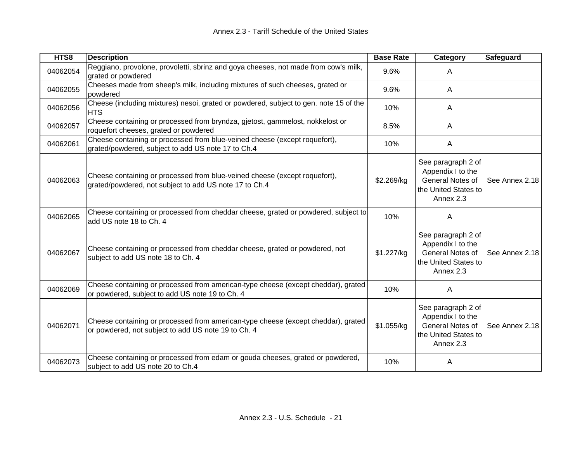| HTS8     | <b>Description</b>                                                                                                                       | <b>Base Rate</b> | Category                                                                                         | <b>Safeguard</b> |
|----------|------------------------------------------------------------------------------------------------------------------------------------------|------------------|--------------------------------------------------------------------------------------------------|------------------|
| 04062054 | Reggiano, provolone, provoletti, sbrinz and goya cheeses, not made from cow's milk,<br>grated or powdered                                | 9.6%             | A                                                                                                |                  |
| 04062055 | Cheeses made from sheep's milk, including mixtures of such cheeses, grated or<br>powdered                                                | 9.6%             | A                                                                                                |                  |
| 04062056 | Cheese (including mixtures) nesoi, grated or powdered, subject to gen. note 15 of the<br><b>HTS</b>                                      | 10%              | A                                                                                                |                  |
| 04062057 | Cheese containing or processed from bryndza, gjetost, gammelost, nokkelost or<br>roquefort cheeses, grated or powdered                   | 8.5%             | A                                                                                                |                  |
| 04062061 | Cheese containing or processed from blue-veined cheese (except roquefort),<br>grated/powdered, subject to add US note 17 to Ch.4         | 10%              | A                                                                                                |                  |
| 04062063 | Cheese containing or processed from blue-veined cheese (except roquefort),<br>grated/powdered, not subject to add US note 17 to Ch.4     | \$2.269/kg       | See paragraph 2 of<br>Appendix I to the<br>General Notes of<br>the United States to<br>Annex 2.3 | See Annex 2.18   |
| 04062065 | Cheese containing or processed from cheddar cheese, grated or powdered, subject to<br>add US note 18 to Ch. 4                            | 10%              | A                                                                                                |                  |
| 04062067 | Cheese containing or processed from cheddar cheese, grated or powdered, not<br>subject to add US note 18 to Ch. 4                        | \$1.227/kg       | See paragraph 2 of<br>Appendix I to the<br>General Notes of<br>the United States to<br>Annex 2.3 | See Annex 2.18   |
| 04062069 | Cheese containing or processed from american-type cheese (except cheddar), grated<br>or powdered, subject to add US note 19 to Ch. 4     | 10%              | A                                                                                                |                  |
| 04062071 | Cheese containing or processed from american-type cheese (except cheddar), grated<br>or powdered, not subject to add US note 19 to Ch. 4 | \$1.055/kg       | See paragraph 2 of<br>Appendix I to the<br>General Notes of<br>the United States to<br>Annex 2.3 | See Annex 2.18   |
| 04062073 | Cheese containing or processed from edam or gouda cheeses, grated or powdered,<br>subject to add US note 20 to Ch.4                      | 10%              | A                                                                                                |                  |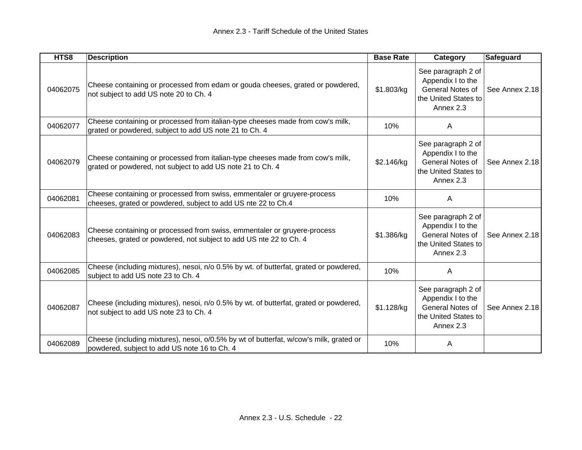| HTS8     | <b>Description</b>                                                                                                                             | <b>Base Rate</b> | Category                                                                                                | <b>Safeguard</b> |
|----------|------------------------------------------------------------------------------------------------------------------------------------------------|------------------|---------------------------------------------------------------------------------------------------------|------------------|
| 04062075 | Cheese containing or processed from edam or gouda cheeses, grated or powdered,<br>not subject to add US note 20 to Ch. 4                       | \$1.803/kg       | See paragraph 2 of<br>Appendix I to the<br>General Notes of<br>the United States to<br>Annex 2.3        | See Annex 2.18   |
| 04062077 | Cheese containing or processed from italian-type cheeses made from cow's milk,<br>grated or powdered, subject to add US note 21 to Ch. 4       | 10%              | A                                                                                                       |                  |
| 04062079 | Cheese containing or processed from italian-type cheeses made from cow's milk,<br>grated or powdered, not subject to add US note 21 to Ch. 4   | \$2.146/kg       | See paragraph 2 of<br>Appendix I to the<br>General Notes of<br>the United States to<br>Annex 2.3        | See Annex 2.18   |
| 04062081 | Cheese containing or processed from swiss, emmentaler or gruyere-process<br>cheeses, grated or powdered, subject to add US nte 22 to Ch.4      | 10%              | A                                                                                                       |                  |
| 04062083 | Cheese containing or processed from swiss, emmentaler or gruyere-process<br>cheeses, grated or powdered, not subject to add US nte 22 to Ch. 4 | \$1.386/kg       | See paragraph 2 of<br>Appendix I to the<br><b>General Notes of</b><br>the United States to<br>Annex 2.3 | See Annex 2.18   |
| 04062085 | Cheese (including mixtures), nesoi, n/o 0.5% by wt. of butterfat, grated or powdered,<br>subject to add US note 23 to Ch. 4                    | 10%              | A                                                                                                       |                  |
| 04062087 | Cheese (including mixtures), nesoi, n/o 0.5% by wt. of butterfat, grated or powdered,<br>not subject to add US note 23 to Ch. 4                | \$1.128/kg       | See paragraph 2 of<br>Appendix I to the<br><b>General Notes of</b><br>the United States to<br>Annex 2.3 | See Annex 2.18   |
| 04062089 | Cheese (including mixtures), nesoi, o/0.5% by wt of butterfat, w/cow's milk, grated or<br>powdered, subject to add US note 16 to Ch. 4         | 10%              | A                                                                                                       |                  |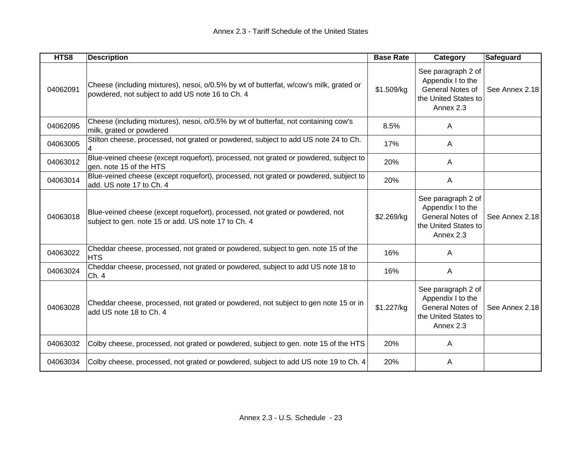| HTS8     | <b>Description</b>                                                                                                                         | <b>Base Rate</b> | Category                                                                                         | <b>Safeguard</b> |
|----------|--------------------------------------------------------------------------------------------------------------------------------------------|------------------|--------------------------------------------------------------------------------------------------|------------------|
| 04062091 | Cheese (including mixtures), nesoi, o/0.5% by wt of butterfat, w/cow's milk, grated or<br>powdered, not subject to add US note 16 to Ch. 4 | \$1.509/kg       | See paragraph 2 of<br>Appendix I to the<br>General Notes of<br>the United States to<br>Annex 2.3 | See Annex 2.18   |
| 04062095 | Cheese (including mixtures), nesoi, o/0.5% by wt of butterfat, not containing cow's<br>milk, grated or powdered                            | 8.5%             | A                                                                                                |                  |
| 04063005 | Stilton cheese, processed, not grated or powdered, subject to add US note 24 to Ch.                                                        | 17%              | A                                                                                                |                  |
| 04063012 | Blue-veined cheese (except roquefort), processed, not grated or powdered, subject to<br>gen. note 15 of the HTS                            | 20%              | A                                                                                                |                  |
| 04063014 | Blue-veined cheese (except roquefort), processed, not grated or powdered, subject to<br>add. US note 17 to Ch. 4                           | 20%              | $\mathsf{A}$                                                                                     |                  |
| 04063018 | Blue-veined cheese (except roquefort), processed, not grated or powdered, not<br>subject to gen. note 15 or add. US note 17 to Ch. 4       | \$2.269/kg       | See paragraph 2 of<br>Appendix I to the<br>General Notes of<br>the United States to<br>Annex 2.3 | See Annex 2.18   |
| 04063022 | Cheddar cheese, processed, not grated or powdered, subject to gen. note 15 of the<br><b>HTS</b>                                            | 16%              | A                                                                                                |                  |
| 04063024 | Cheddar cheese, processed, not grated or powdered, subject to add US note 18 to<br>Ch. 4                                                   | 16%              | A                                                                                                |                  |
| 04063028 | Cheddar cheese, processed, not grated or powdered, not subject to gen note 15 or in<br>add US note 18 to Ch. 4                             | \$1.227/kg       | See paragraph 2 of<br>Appendix I to the<br>General Notes of<br>the United States to<br>Annex 2.3 | See Annex 2.18   |
| 04063032 | Colby cheese, processed, not grated or powdered, subject to gen. note 15 of the HTS                                                        | 20%              | A                                                                                                |                  |
| 04063034 | Colby cheese, processed, not grated or powdered, subject to add US note 19 to Ch. 4                                                        | 20%              | A                                                                                                |                  |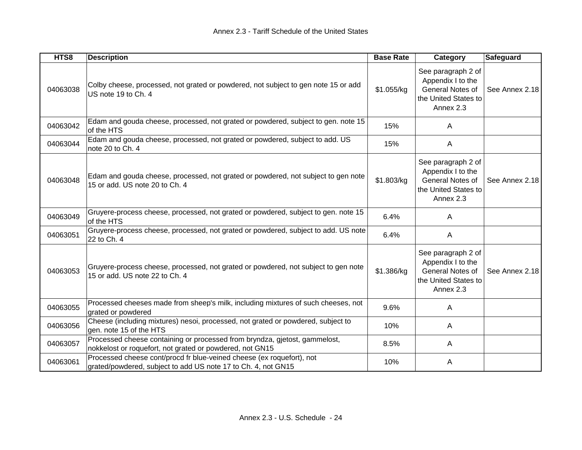| HTS8     | <b>Description</b>                                                                                                                     | <b>Base Rate</b> | Category                                                                                         | Safeguard      |
|----------|----------------------------------------------------------------------------------------------------------------------------------------|------------------|--------------------------------------------------------------------------------------------------|----------------|
| 04063038 | Colby cheese, processed, not grated or powdered, not subject to gen note 15 or add<br>US note 19 to Ch. 4                              | \$1.055/kg       | See paragraph 2 of<br>Appendix I to the<br>General Notes of<br>the United States to<br>Annex 2.3 | See Annex 2.18 |
| 04063042 | Edam and gouda cheese, processed, not grated or powdered, subject to gen. note 15<br>of the HTS                                        | 15%              | A                                                                                                |                |
| 04063044 | Edam and gouda cheese, processed, not grated or powdered, subject to add. US<br>note 20 to Ch. 4                                       | 15%              | A                                                                                                |                |
| 04063048 | Edam and gouda cheese, processed, not grated or powdered, not subject to gen note<br>15 or add. US note 20 to Ch. 4                    | \$1.803/kg       | See paragraph 2 of<br>Appendix I to the<br>General Notes of<br>the United States to<br>Annex 2.3 | See Annex 2.18 |
| 04063049 | Gruyere-process cheese, processed, not grated or powdered, subject to gen. note 15<br>of the HTS                                       | 6.4%             | A                                                                                                |                |
| 04063051 | Gruyere-process cheese, processed, not grated or powdered, subject to add. US note<br>22 to Ch. 4                                      | 6.4%             | $\mathsf{A}$                                                                                     |                |
| 04063053 | Gruyere-process cheese, processed, not grated or powdered, not subject to gen note<br>15 or add. US note 22 to Ch. 4                   | \$1.386/kg       | See paragraph 2 of<br>Appendix I to the<br>General Notes of<br>the United States to<br>Annex 2.3 | See Annex 2.18 |
| 04063055 | Processed cheeses made from sheep's milk, including mixtures of such cheeses, not<br>grated or powdered                                | 9.6%             | A                                                                                                |                |
| 04063056 | Cheese (including mixtures) nesoi, processed, not grated or powdered, subject to<br>gen. note 15 of the HTS                            | 10%              | A                                                                                                |                |
| 04063057 | Processed cheese containing or processed from bryndza, gjetost, gammelost,<br>nokkelost or roquefort, not grated or powdered, not GN15 | 8.5%             | A                                                                                                |                |
| 04063061 | Processed cheese cont/procd fr blue-veined cheese (ex roquefort), not<br>grated/powdered, subject to add US note 17 to Ch. 4, not GN15 | 10%              | A                                                                                                |                |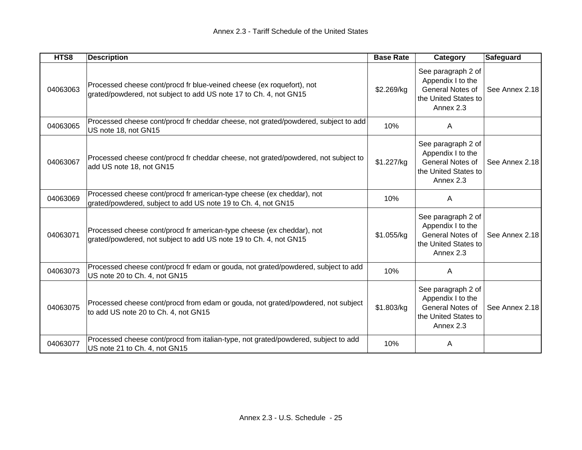| HTS8     | <b>Description</b>                                                                                                                         | <b>Base Rate</b> | Category                                                                                                | <b>Safeguard</b> |
|----------|--------------------------------------------------------------------------------------------------------------------------------------------|------------------|---------------------------------------------------------------------------------------------------------|------------------|
| 04063063 | Processed cheese cont/procd fr blue-veined cheese (ex roquefort), not<br>grated/powdered, not subject to add US note 17 to Ch. 4, not GN15 | \$2.269/kg       | See paragraph 2 of<br>Appendix I to the<br>General Notes of<br>the United States to<br>Annex 2.3        | See Annex 2.18   |
| 04063065 | Processed cheese cont/procd fr cheddar cheese, not grated/powdered, subject to add<br>US note 18, not GN15                                 | 10%              | A                                                                                                       |                  |
| 04063067 | Processed cheese cont/procd fr cheddar cheese, not grated/powdered, not subject to<br>add US note 18, not GN15                             | \$1.227/kg       | See paragraph 2 of<br>Appendix I to the<br>General Notes of<br>the United States to<br>Annex 2.3        | See Annex 2.18   |
| 04063069 | Processed cheese cont/procd fr american-type cheese (ex cheddar), not<br>grated/powdered, subject to add US note 19 to Ch. 4, not GN15     | 10%              | A                                                                                                       |                  |
| 04063071 | Processed cheese cont/procd fr american-type cheese (ex cheddar), not<br>grated/powdered, not subject to add US note 19 to Ch. 4, not GN15 | \$1.055/kg       | See paragraph 2 of<br>Appendix I to the<br><b>General Notes of</b><br>the United States to<br>Annex 2.3 | See Annex 2.18   |
| 04063073 | Processed cheese cont/procd fr edam or gouda, not grated/powdered, subject to add<br>US note 20 to Ch. 4, not GN15                         | 10%              | $\mathsf{A}$                                                                                            |                  |
| 04063075 | Processed cheese cont/procd from edam or gouda, not grated/powdered, not subject<br>to add US note 20 to Ch. 4, not GN15                   | \$1.803/kg       | See paragraph 2 of<br>Appendix I to the<br>General Notes of<br>the United States to<br>Annex 2.3        | See Annex 2.18   |
| 04063077 | Processed cheese cont/procd from italian-type, not grated/powdered, subject to add<br>US note 21 to Ch. 4, not GN15                        | 10%              | A                                                                                                       |                  |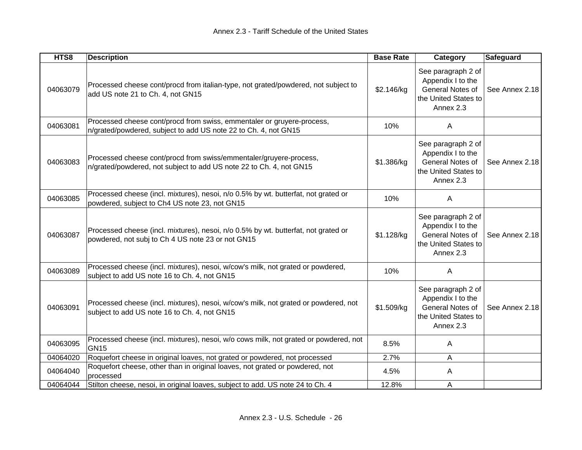| HTS8     | <b>Description</b>                                                                                                                        | <b>Base Rate</b> | Category                                                                                         | Safeguard      |
|----------|-------------------------------------------------------------------------------------------------------------------------------------------|------------------|--------------------------------------------------------------------------------------------------|----------------|
| 04063079 | Processed cheese cont/procd from italian-type, not grated/powdered, not subject to<br>add US note 21 to Ch. 4, not GN15                   | \$2.146/kg       | See paragraph 2 of<br>Appendix I to the<br>General Notes of<br>the United States to<br>Annex 2.3 | See Annex 2.18 |
| 04063081 | Processed cheese cont/procd from swiss, emmentaler or gruyere-process,<br>n/grated/powdered, subject to add US note 22 to Ch. 4, not GN15 | 10%              | $\mathsf{A}$                                                                                     |                |
| 04063083 | Processed cheese cont/procd from swiss/emmentaler/gruyere-process,<br>n/grated/powdered, not subject to add US note 22 to Ch. 4, not GN15 | \$1.386/kg       | See paragraph 2 of<br>Appendix I to the<br>General Notes of<br>the United States to<br>Annex 2.3 | See Annex 2.18 |
| 04063085 | Processed cheese (incl. mixtures), nesoi, n/o 0.5% by wt. butterfat, not grated or<br>powdered, subject to Ch4 US note 23, not GN15       | 10%              | $\mathsf{A}$                                                                                     |                |
| 04063087 | Processed cheese (incl. mixtures), nesoi, n/o 0.5% by wt. butterfat, not grated or<br>powdered, not subj to Ch 4 US note 23 or not GN15   | \$1.128/kg       | See paragraph 2 of<br>Appendix I to the<br>General Notes of<br>the United States to<br>Annex 2.3 | See Annex 2.18 |
| 04063089 | Processed cheese (incl. mixtures), nesoi, w/cow's milk, not grated or powdered,<br>subject to add US note 16 to Ch. 4, not GN15           | 10%              | $\mathsf{A}$                                                                                     |                |
| 04063091 | Processed cheese (incl. mixtures), nesoi, w/cow's milk, not grated or powdered, not<br>subject to add US note 16 to Ch. 4, not GN15       | \$1.509/kg       | See paragraph 2 of<br>Appendix I to the<br>General Notes of<br>the United States to<br>Annex 2.3 | See Annex 2.18 |
| 04063095 | Processed cheese (incl. mixtures), nesoi, w/o cows milk, not grated or powdered, not<br><b>GN15</b>                                       | 8.5%             | A                                                                                                |                |
| 04064020 | Roquefort cheese in original loaves, not grated or powdered, not processed                                                                | 2.7%             | A                                                                                                |                |
| 04064040 | Roquefort cheese, other than in original loaves, not grated or powdered, not<br>processed                                                 | 4.5%             | A                                                                                                |                |
| 04064044 | Stilton cheese, nesoi, in original loaves, subject to add. US note 24 to Ch. 4                                                            | 12.8%            | A                                                                                                |                |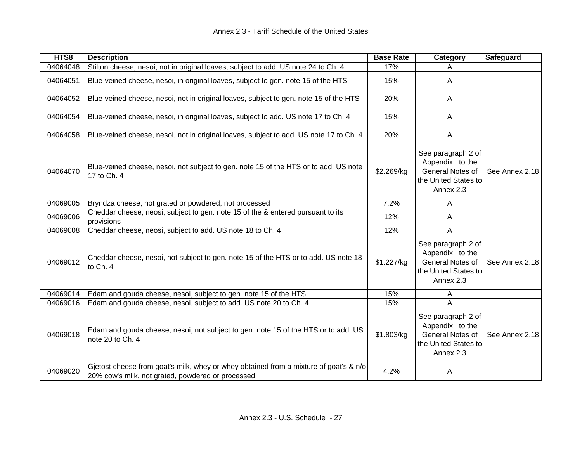| HTS8     | <b>Description</b>                                                                                                                         | <b>Base Rate</b> | Category                                                                                         | Safeguard      |
|----------|--------------------------------------------------------------------------------------------------------------------------------------------|------------------|--------------------------------------------------------------------------------------------------|----------------|
| 04064048 | Stilton cheese, nesoi, not in original loaves, subject to add. US note 24 to Ch. 4                                                         | 17%              | A                                                                                                |                |
| 04064051 | Blue-veined cheese, nesoi, in original loaves, subject to gen. note 15 of the HTS                                                          | 15%              | A                                                                                                |                |
| 04064052 | Blue-veined cheese, nesoi, not in original loaves, subject to gen. note 15 of the HTS                                                      | 20%              | A                                                                                                |                |
| 04064054 | Blue-veined cheese, nesoi, in original loaves, subject to add. US note 17 to Ch. 4                                                         | 15%              | A                                                                                                |                |
| 04064058 | Blue-veined cheese, nesoi, not in original loaves, subject to add. US note 17 to Ch. 4                                                     | 20%              | A                                                                                                |                |
| 04064070 | Blue-veined cheese, nesoi, not subject to gen. note 15 of the HTS or to add. US note<br>17 to Ch. 4                                        | \$2.269/kg       | See paragraph 2 of<br>Appendix I to the<br>General Notes of<br>the United States to<br>Annex 2.3 | See Annex 2.18 |
| 04069005 | Bryndza cheese, not grated or powdered, not processed                                                                                      | 7.2%             | A                                                                                                |                |
| 04069006 | Cheddar cheese, neosi, subject to gen. note 15 of the & entered pursuant to its<br>provisions                                              | 12%              | A                                                                                                |                |
| 04069008 | Cheddar cheese, neosi, subject to add. US note 18 to Ch. 4                                                                                 | 12%              | A                                                                                                |                |
| 04069012 | Cheddar cheese, nesoi, not subject to gen. note 15 of the HTS or to add. US note 18<br>to Ch. 4                                            | \$1.227/kg       | See paragraph 2 of<br>Appendix I to the<br>General Notes of<br>the United States to<br>Annex 2.3 | See Annex 2.18 |
| 04069014 | Edam and gouda cheese, nesoi, subject to gen. note 15 of the HTS                                                                           | 15%              | A                                                                                                |                |
| 04069016 | Edam and gouda cheese, nesoi, subject to add. US note 20 to Ch. 4                                                                          | 15%              | A                                                                                                |                |
| 04069018 | Edam and gouda cheese, nesoi, not subject to gen. note 15 of the HTS or to add. US<br>note 20 to Ch. 4                                     | \$1.803/kg       | See paragraph 2 of<br>Appendix I to the<br>General Notes of<br>the United States to<br>Annex 2.3 | See Annex 2.18 |
| 04069020 | Gjetost cheese from goat's milk, whey or whey obtained from a mixture of goat's & n/o<br>20% cow's milk, not grated, powdered or processed | 4.2%             | A                                                                                                |                |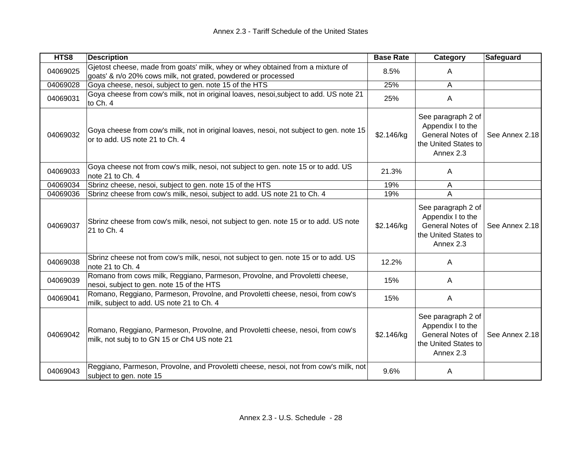| HTS8     | <b>Description</b>                                                                                                                              | <b>Base Rate</b> | Category                                                                                         | Safeguard      |
|----------|-------------------------------------------------------------------------------------------------------------------------------------------------|------------------|--------------------------------------------------------------------------------------------------|----------------|
| 04069025 | Gjetost cheese, made from goats' milk, whey or whey obtained from a mixture of<br>goats' & n/o 20% cows milk, not grated, powdered or processed | 8.5%             | A                                                                                                |                |
| 04069028 | Goya cheese, nesoi, subject to gen. note 15 of the HTS                                                                                          | 25%              | A                                                                                                |                |
| 04069031 | Goya cheese from cow's milk, not in original loaves, nesoi, subject to add. US note 21<br>to Ch. 4                                              | 25%              | A                                                                                                |                |
| 04069032 | Goya cheese from cow's milk, not in original loaves, nesoi, not subject to gen. note 15<br>or to add. US note 21 to Ch. 4                       | \$2.146/kg       | See paragraph 2 of<br>Appendix I to the<br>General Notes of<br>the United States to<br>Annex 2.3 | See Annex 2.18 |
| 04069033 | Goya cheese not from cow's milk, nesoi, not subject to gen. note 15 or to add. US<br>note 21 to Ch. 4                                           | 21.3%            | A                                                                                                |                |
| 04069034 | Sbrinz cheese, nesoi, subject to gen. note 15 of the HTS                                                                                        | 19%              | A                                                                                                |                |
| 04069036 | Sbrinz cheese from cow's milk, nesoi, subject to add. US note 21 to Ch. 4                                                                       | 19%              | A                                                                                                |                |
| 04069037 | Sbrinz cheese from cow's milk, nesoi, not subject to gen. note 15 or to add. US note<br>21 to Ch. 4                                             | \$2.146/kg       | See paragraph 2 of<br>Appendix I to the<br>General Notes of<br>the United States to<br>Annex 2.3 | See Annex 2.18 |
| 04069038 | Sbrinz cheese not from cow's milk, nesoi, not subject to gen. note 15 or to add. US<br>note 21 to Ch. 4                                         | 12.2%            | A                                                                                                |                |
| 04069039 | Romano from cows milk, Reggiano, Parmeson, Provolne, and Provoletti cheese,<br>nesoi, subject to gen. note 15 of the HTS                        | 15%              | A                                                                                                |                |
| 04069041 | Romano, Reggiano, Parmeson, Provolne, and Provoletti cheese, nesoi, from cow's<br>milk, subject to add. US note 21 to Ch. 4                     | 15%              | A                                                                                                |                |
| 04069042 | Romano, Reggiano, Parmeson, Provolne, and Provoletti cheese, nesoi, from cow's<br>milk, not subj to to GN 15 or Ch4 US note 21                  | \$2.146/kg       | See paragraph 2 of<br>Appendix I to the<br>General Notes of<br>the United States to<br>Annex 2.3 | See Annex 2.18 |
| 04069043 | Reggiano, Parmeson, Provolne, and Provoletti cheese, nesoi, not from cow's milk, not<br>subject to gen. note 15                                 | 9.6%             | A                                                                                                |                |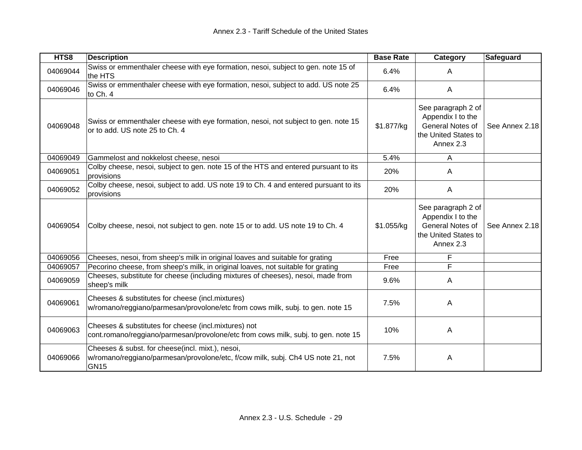| HTS8     | <b>Description</b>                                                                                                                                 | <b>Base Rate</b> | Category                                                                                         | <b>Safeguard</b> |
|----------|----------------------------------------------------------------------------------------------------------------------------------------------------|------------------|--------------------------------------------------------------------------------------------------|------------------|
| 04069044 | Swiss or emmenthaler cheese with eye formation, nesoi, subject to gen. note 15 of<br>the HTS                                                       | 6.4%             | A                                                                                                |                  |
| 04069046 | Swiss or emmenthaler cheese with eye formation, nesoi, subject to add. US note 25<br>to Ch. 4                                                      | 6.4%             | A                                                                                                |                  |
| 04069048 | Swiss or emmenthaler cheese with eye formation, nesoi, not subject to gen. note 15<br>or to add. US note 25 to Ch. 4                               | \$1.877/kg       | See paragraph 2 of<br>Appendix I to the<br>General Notes of<br>the United States to<br>Annex 2.3 | See Annex 2.18   |
| 04069049 | Gammelost and nokkelost cheese, nesoi                                                                                                              | 5.4%             | Α                                                                                                |                  |
| 04069051 | Colby cheese, nesoi, subject to gen. note 15 of the HTS and entered pursuant to its<br>provisions                                                  | 20%              | A                                                                                                |                  |
| 04069052 | Colby cheese, nesoi, subject to add. US note 19 to Ch. 4 and entered pursuant to its<br>provisions                                                 | 20%              | A                                                                                                |                  |
| 04069054 | Colby cheese, nesoi, not subject to gen. note 15 or to add. US note 19 to Ch. 4                                                                    | \$1.055/kg       | See paragraph 2 of<br>Appendix I to the<br>General Notes of<br>the United States to<br>Annex 2.3 | See Annex 2.18   |
| 04069056 | Cheeses, nesoi, from sheep's milk in original loaves and suitable for grating                                                                      | Free             | F                                                                                                |                  |
| 04069057 | Pecorino cheese, from sheep's milk, in original loaves, not suitable for grating                                                                   | Free             | F                                                                                                |                  |
| 04069059 | Cheeses, substitute for cheese (including mixtures of cheeses), nesoi, made from<br>sheep's milk                                                   | 9.6%             | A                                                                                                |                  |
| 04069061 | Cheeses & substitutes for cheese (incl.mixtures)<br>w/romano/reggiano/parmesan/provolone/etc from cows milk, subj. to gen. note 15                 | 7.5%             | A                                                                                                |                  |
| 04069063 | Cheeses & substitutes for cheese (incl.mixtures) not<br>cont.romano/reggiano/parmesan/provolone/etc from cows milk, subj. to gen. note 15          | 10%              | A                                                                                                |                  |
| 04069066 | Cheeses & subst. for cheese(incl. mixt.), nesoi,<br>w/romano/reggiano/parmesan/provolone/etc, f/cow milk, subj. Ch4 US note 21, not<br><b>GN15</b> | 7.5%             | A                                                                                                |                  |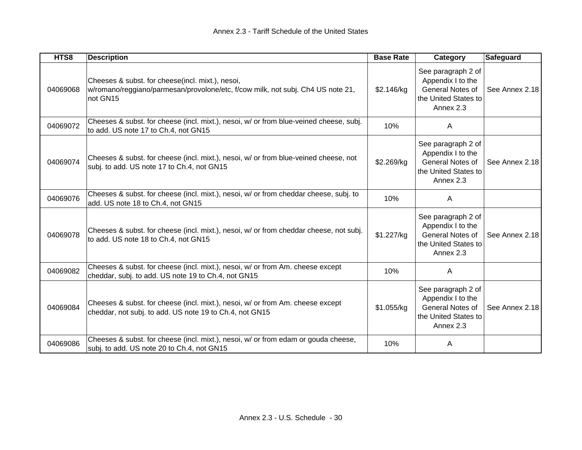| HTS8     | <b>Description</b>                                                                                                                              | <b>Base Rate</b> | Category                                                                                         | Safeguard      |
|----------|-------------------------------------------------------------------------------------------------------------------------------------------------|------------------|--------------------------------------------------------------------------------------------------|----------------|
| 04069068 | Cheeses & subst. for cheese(incl. mixt.), nesoi,<br>w/romano/reggiano/parmesan/provolone/etc, f/cow milk, not subj. Ch4 US note 21,<br>not GN15 | \$2.146/kg       | See paragraph 2 of<br>Appendix I to the<br>General Notes of<br>the United States to<br>Annex 2.3 | See Annex 2.18 |
| 04069072 | Cheeses & subst. for cheese (incl. mixt.), nesoi, w/ or from blue-veined cheese, subj.<br>to add. US note 17 to Ch.4, not GN15                  | 10%              | A                                                                                                |                |
| 04069074 | Cheeses & subst. for cheese (incl. mixt.), nesoi, w/ or from blue-veined cheese, not<br>subj. to add. US note 17 to Ch.4, not GN15              | \$2.269/kg       | See paragraph 2 of<br>Appendix I to the<br>General Notes of<br>the United States to<br>Annex 2.3 | See Annex 2.18 |
| 04069076 | Cheeses & subst. for cheese (incl. mixt.), nesoi, w/ or from cheddar cheese, subj. to<br>add. US note 18 to Ch.4, not GN15                      | 10%              | $\mathsf{A}$                                                                                     |                |
| 04069078 | Cheeses & subst. for cheese (incl. mixt.), nesoi, w/ or from cheddar cheese, not subj.<br>to add. US note 18 to Ch.4, not GN15                  | \$1.227/kg       | See paragraph 2 of<br>Appendix I to the<br>General Notes of<br>the United States to<br>Annex 2.3 | See Annex 2.18 |
| 04069082 | Cheeses & subst. for cheese (incl. mixt.), nesoi, w/ or from Am. cheese except<br>cheddar, subj. to add. US note 19 to Ch.4, not GN15           | 10%              | $\mathsf{A}$                                                                                     |                |
| 04069084 | Cheeses & subst. for cheese (incl. mixt.), nesoi, w/ or from Am. cheese except<br>cheddar, not subj. to add. US note 19 to Ch.4, not GN15       | \$1.055/kg       | See paragraph 2 of<br>Appendix I to the<br>General Notes of<br>the United States to<br>Annex 2.3 | See Annex 2.18 |
| 04069086 | Cheeses & subst. for cheese (incl. mixt.), nesoi, w/ or from edam or gouda cheese,<br>subj. to add. US note 20 to Ch.4, not GN15                | 10%              | A                                                                                                |                |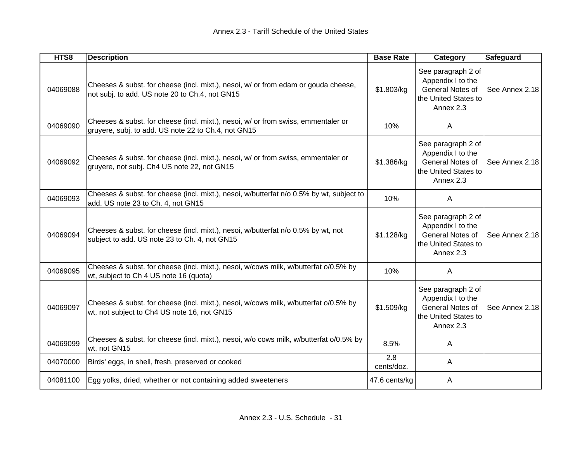| HTS8     | <b>Description</b>                                                                                                                       | <b>Base Rate</b>  | Category                                                                                                | Safeguard      |
|----------|------------------------------------------------------------------------------------------------------------------------------------------|-------------------|---------------------------------------------------------------------------------------------------------|----------------|
| 04069088 | Cheeses & subst. for cheese (incl. mixt.), nesoi, w/ or from edam or gouda cheese,<br>not subj. to add. US note 20 to Ch.4, not GN15     | \$1.803/kg        | See paragraph 2 of<br>Appendix I to the<br>General Notes of<br>the United States to<br>Annex 2.3        | See Annex 2.18 |
| 04069090 | Cheeses & subst. for cheese (incl. mixt.), nesoi, w/ or from swiss, emmentaler or<br>gruyere, subj. to add. US note 22 to Ch.4, not GN15 | 10%               | $\mathsf{A}$                                                                                            |                |
| 04069092 | Cheeses & subst. for cheese (incl. mixt.), nesoi, w/ or from swiss, emmentaler or<br>gruyere, not subj. Ch4 US note 22, not GN15         | \$1.386/kg        | See paragraph 2 of<br>Appendix I to the<br>General Notes of<br>the United States to<br>Annex 2.3        | See Annex 2.18 |
| 04069093 | Cheeses & subst. for cheese (incl. mixt.), nesoi, w/butterfat n/o 0.5% by wt, subject to<br>add. US note 23 to Ch. 4, not GN15           | 10%               | $\mathsf{A}$                                                                                            |                |
| 04069094 | Cheeses & subst. for cheese (incl. mixt.), nesoi, w/butterfat n/o 0.5% by wt, not<br>subject to add. US note 23 to Ch. 4, not GN15       | \$1.128/kg        | See paragraph 2 of<br>Appendix I to the<br>General Notes of<br>the United States to<br>Annex 2.3        | See Annex 2.18 |
| 04069095 | Cheeses & subst. for cheese (incl. mixt.), nesoi, w/cows milk, w/butterfat o/0.5% by<br>wt, subject to Ch 4 US note 16 (quota)           | 10%               | $\overline{A}$                                                                                          |                |
| 04069097 | Cheeses & subst. for cheese (incl. mixt.), nesoi, w/cows milk, w/butterfat o/0.5% by<br>wt, not subject to Ch4 US note 16, not GN15      | \$1.509/kg        | See paragraph 2 of<br>Appendix I to the<br><b>General Notes of</b><br>the United States to<br>Annex 2.3 | See Annex 2.18 |
| 04069099 | Cheeses & subst. for cheese (incl. mixt.), nesoi, w/o cows milk, w/butterfat o/0.5% by<br>wt, not GN15                                   | 8.5%              | A                                                                                                       |                |
| 04070000 | Birds' eggs, in shell, fresh, preserved or cooked                                                                                        | 2.8<br>cents/doz. | A                                                                                                       |                |
| 04081100 | Egg yolks, dried, whether or not containing added sweeteners                                                                             | 47.6 cents/kg     | A                                                                                                       |                |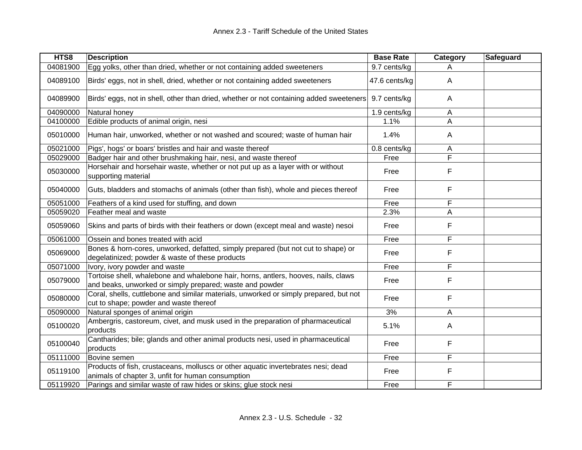| HTS8     | <b>Description</b>                                                                                                                             | <b>Base Rate</b> | Category | Safeguard |
|----------|------------------------------------------------------------------------------------------------------------------------------------------------|------------------|----------|-----------|
| 04081900 | Egg yolks, other than dried, whether or not containing added sweeteners                                                                        | 9.7 cents/kg     |          |           |
| 04089100 | Birds' eggs, not in shell, dried, whether or not containing added sweeteners                                                                   | 47.6 cents/kg    | A        |           |
| 04089900 | Birds' eggs, not in shell, other than dried, whether or not containing added sweeteners                                                        | 9.7 cents/kg     | A        |           |
| 04090000 | Natural honey                                                                                                                                  | 1.9 cents/kg     | A        |           |
| 04100000 | Edible products of animal origin, nesi                                                                                                         | 1.1%             | A        |           |
| 05010000 | Human hair, unworked, whether or not washed and scoured; waste of human hair                                                                   | 1.4%             | A        |           |
| 05021000 | Pigs', hogs' or boars' bristles and hair and waste thereof                                                                                     | 0.8 cents/kg     | Α        |           |
| 05029000 | Badger hair and other brushmaking hair, nesi, and waste thereof                                                                                | Free             | F        |           |
| 05030000 | Horsehair and horsehair waste, whether or not put up as a layer with or without<br>supporting material                                         | Free             | F        |           |
| 05040000 | Guts, bladders and stomachs of animals (other than fish), whole and pieces thereof                                                             | Free             | F        |           |
| 05051000 | Feathers of a kind used for stuffing, and down                                                                                                 | Free             | F        |           |
| 05059020 | Feather meal and waste                                                                                                                         | 2.3%             | A        |           |
| 05059060 | Skins and parts of birds with their feathers or down (except meal and waste) nesoi                                                             | Free             | F        |           |
| 05061000 | Ossein and bones treated with acid                                                                                                             | Free             | F        |           |
| 05069000 | Bones & horn-cores, unworked, defatted, simply prepared (but not cut to shape) or<br>degelatinized; powder & waste of these products           | Free             | F        |           |
| 05071000 | Ivory, ivory powder and waste                                                                                                                  | Free             | F        |           |
| 05079000 | Tortoise shell, whalebone and whalebone hair, horns, antlers, hooves, nails, claws<br>and beaks, unworked or simply prepared; waste and powder | Free             | F        |           |
| 05080000 | Coral, shells, cuttlebone and similar materials, unworked or simply prepared, but not<br>cut to shape; powder and waste thereof                | Free             | F        |           |
| 05090000 | Natural sponges of animal origin                                                                                                               | 3%               | A        |           |
| 05100020 | Ambergris, castoreum, civet, and musk used in the preparation of pharmaceutical<br>products                                                    | 5.1%             | A        |           |
| 05100040 | Cantharides; bile; glands and other animal products nesi, used in pharmaceutical<br>products                                                   | Free             | F        |           |
| 05111000 | Bovine semen                                                                                                                                   | Free             | F        |           |
| 05119100 | Products of fish, crustaceans, molluscs or other aquatic invertebrates nesi; dead<br>animals of chapter 3, unfit for human consumption         | Free             | F        |           |
| 05119920 | Parings and similar waste of raw hides or skins; glue stock nesi                                                                               | Free             | F        |           |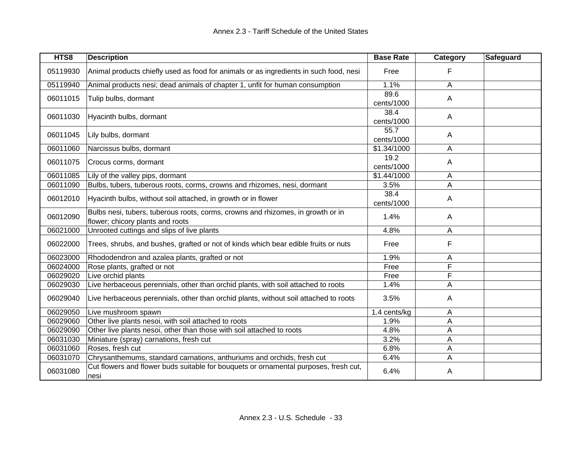| HTS8     | <b>Description</b>                                                                                                  | <b>Base Rate</b>   | Category | Safeguard |
|----------|---------------------------------------------------------------------------------------------------------------------|--------------------|----------|-----------|
| 05119930 | Animal products chiefly used as food for animals or as ingredients in such food, nesi                               | Free               | F        |           |
| 05119940 | Animal products nesi; dead animals of chapter 1, unfit for human consumption                                        | 1.1%               | A        |           |
| 06011015 | Tulip bulbs, dormant                                                                                                | 89.6<br>cents/1000 | A        |           |
| 06011030 | Hyacinth bulbs, dormant                                                                                             | 38.4<br>cents/1000 | A        |           |
| 06011045 | Lily bulbs, dormant                                                                                                 | 55.7<br>cents/1000 | A        |           |
| 06011060 | Narcissus bulbs, dormant                                                                                            | \$1.34/1000        | Α        |           |
| 06011075 | Crocus corms, dormant                                                                                               | 19.2<br>cents/1000 | A        |           |
| 06011085 | Lily of the valley pips, dormant                                                                                    | \$1.44/1000        | A        |           |
| 06011090 | Bulbs, tubers, tuberous roots, corms, crowns and rhizomes, nesi, dormant                                            | 3.5%               | A        |           |
| 06012010 | Hyacinth bulbs, without soil attached, in growth or in flower                                                       | 38.4<br>cents/1000 | Α        |           |
| 06012090 | Bulbs nesi, tubers, tuberous roots, corms, crowns and rhizomes, in growth or in<br>flower; chicory plants and roots | 1.4%               | A        |           |
| 06021000 | Unrooted cuttings and slips of live plants                                                                          | 4.8%               | A        |           |
| 06022000 | Trees, shrubs, and bushes, grafted or not of kinds which bear edible fruits or nuts                                 | Free               | F        |           |
| 06023000 | Rhododendron and azalea plants, grafted or not                                                                      | 1.9%               | A        |           |
| 06024000 | Rose plants, grafted or not                                                                                         | Free               | F        |           |
| 06029020 | Live orchid plants                                                                                                  | Free               | F        |           |
| 06029030 | Live herbaceous perennials, other than orchid plants, with soil attached to roots                                   | 1.4%               | A        |           |
| 06029040 | Live herbaceous perennials, other than orchid plants, without soil attached to roots                                | 3.5%               | A        |           |
| 06029050 | Live mushroom spawn                                                                                                 | 1.4 cents/kg       | A        |           |
| 06029060 | Other live plants nesoi, with soil attached to roots                                                                | 1.9%               | A        |           |
| 06029090 | Other live plants nesoi, other than those with soil attached to roots                                               | 4.8%               | A        |           |
| 06031030 | Miniature (spray) carnations, fresh cut                                                                             | 3.2%               | Α        |           |
| 06031060 | Roses, fresh cut                                                                                                    | 6.8%               | Α        |           |
| 06031070 | Chrysanthemums, standard carnations, anthuriums and orchids, fresh cut                                              | 6.4%               | A        |           |
| 06031080 | Cut flowers and flower buds suitable for bouquets or ornamental purposes, fresh cut,<br>nesi                        | 6.4%               | Α        |           |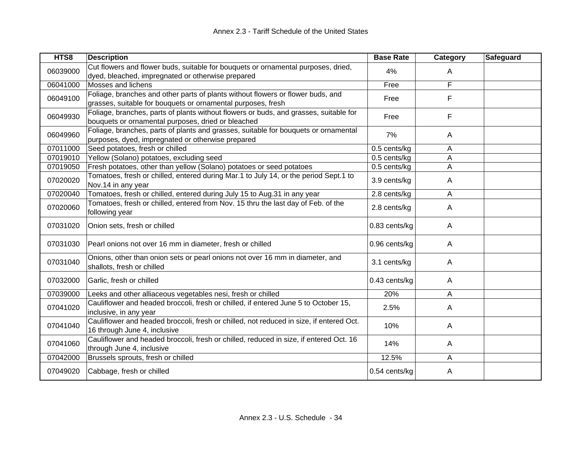| HTS8     | <b>Description</b>                                                                                                                              | <b>Base Rate</b> | <b>Category</b> | <b>Safeguard</b> |
|----------|-------------------------------------------------------------------------------------------------------------------------------------------------|------------------|-----------------|------------------|
| 06039000 | Cut flowers and flower buds, suitable for bouquets or ornamental purposes, dried,<br>dyed, bleached, impregnated or otherwise prepared          | 4%               | A               |                  |
| 06041000 | Mosses and lichens                                                                                                                              | Free             | F               |                  |
| 06049100 | Foliage, branches and other parts of plants without flowers or flower buds, and<br>grasses, suitable for bouquets or ornamental purposes, fresh | Free             | F               |                  |
| 06049930 | Foliage, branches, parts of plants without flowers or buds, and grasses, suitable for<br>bouquets or ornamental purposes, dried or bleached     | Free             | F               |                  |
| 06049960 | Foliage, branches, parts of plants and grasses, suitable for bouquets or ornamental<br>purposes, dyed, impregnated or otherwise prepared        | 7%               | A               |                  |
| 07011000 | Seed potatoes, fresh or chilled                                                                                                                 | 0.5 cents/kg     | A               |                  |
| 07019010 | Yellow (Solano) potatoes, excluding seed                                                                                                        | 0.5 cents/kg     | A               |                  |
| 07019050 | Fresh potatoes, other than yellow (Solano) potatoes or seed potatoes                                                                            | 0.5 cents/kg     | A               |                  |
| 07020020 | Tomatoes, fresh or chilled, entered during Mar.1 to July 14, or the period Sept.1 to<br>Nov.14 in any year                                      | 3.9 cents/kg     | A               |                  |
| 07020040 | Tomatoes, fresh or chilled, entered during July 15 to Aug.31 in any year                                                                        | 2.8 cents/kg     | A               |                  |
| 07020060 | Tomatoes, fresh or chilled, entered from Nov. 15 thru the last day of Feb. of the<br>following year                                             | 2.8 cents/kg     | A               |                  |
| 07031020 | Onion sets, fresh or chilled                                                                                                                    | 0.83 cents/kg    | A               |                  |
| 07031030 | Pearl onions not over 16 mm in diameter, fresh or chilled                                                                                       | 0.96 cents/kg    | A               |                  |
| 07031040 | Onions, other than onion sets or pearl onions not over 16 mm in diameter, and<br>shallots, fresh or chilled                                     | 3.1 cents/kg     | A               |                  |
| 07032000 | Garlic, fresh or chilled                                                                                                                        | 0.43 cents/kg    | A               |                  |
| 07039000 | Leeks and other alliaceous vegetables nesi, fresh or chilled                                                                                    | 20%              | A               |                  |
| 07041020 | Cauliflower and headed broccoli, fresh or chilled, if entered June 5 to October 15,<br>inclusive, in any year                                   | 2.5%             | A               |                  |
| 07041040 | Cauliflower and headed broccoli, fresh or chilled, not reduced in size, if entered Oct.<br>16 through June 4, inclusive                         | 10%              | A               |                  |
| 07041060 | Cauliflower and headed broccoli, fresh or chilled, reduced in size, if entered Oct. 16<br>through June 4, inclusive                             | 14%              | A               |                  |
| 07042000 | Brussels sprouts, fresh or chilled                                                                                                              | 12.5%            | A               |                  |
| 07049020 | Cabbage, fresh or chilled                                                                                                                       | 0.54 cents/kg    | Α               |                  |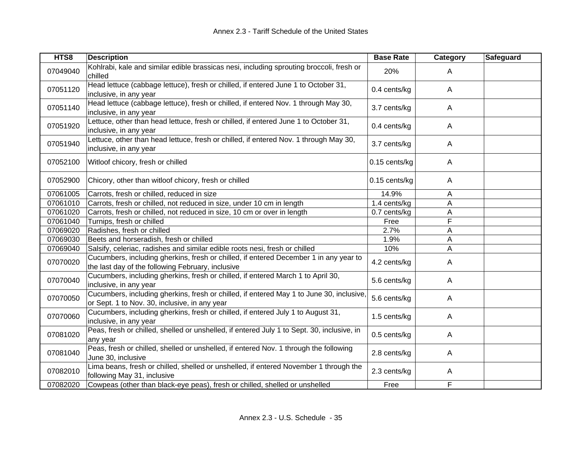| HTS8     | <b>Description</b>                                                                                                                         | <b>Base Rate</b> | Category       | Safeguard |
|----------|--------------------------------------------------------------------------------------------------------------------------------------------|------------------|----------------|-----------|
| 07049040 | Kohlrabi, kale and similar edible brassicas nesi, including sprouting broccoli, fresh or<br>chilled                                        | 20%              | A              |           |
| 07051120 | Head lettuce (cabbage lettuce), fresh or chilled, if entered June 1 to October 31,<br>inclusive, in any year                               | 0.4 cents/kg     | $\mathsf{A}$   |           |
| 07051140 | Head lettuce (cabbage lettuce), fresh or chilled, if entered Nov. 1 through May 30,<br>inclusive, in any year                              | 3.7 cents/kg     | $\mathsf{A}$   |           |
| 07051920 | Lettuce, other than head lettuce, fresh or chilled, if entered June 1 to October 31,<br>inclusive, in any year                             | 0.4 cents/kg     | $\mathsf{A}$   |           |
| 07051940 | Lettuce, other than head lettuce, fresh or chilled, if entered Nov. 1 through May 30,<br>inclusive, in any year                            | 3.7 cents/kg     | $\mathsf{A}$   |           |
| 07052100 | Witloof chicory, fresh or chilled                                                                                                          | 0.15 cents/kg    | $\mathsf{A}$   |           |
| 07052900 | Chicory, other than witloof chicory, fresh or chilled                                                                                      | 0.15 cents/kg    | $\overline{A}$ |           |
| 07061005 | Carrots, fresh or chilled, reduced in size                                                                                                 | 14.9%            | A              |           |
| 07061010 | Carrots, fresh or chilled, not reduced in size, under 10 cm in length                                                                      | 1.4 cents/kg     | A              |           |
| 07061020 | Carrots, fresh or chilled, not reduced in size, 10 cm or over in length                                                                    | 0.7 cents/kg     | A              |           |
| 07061040 | Turnips, fresh or chilled                                                                                                                  | Free             | F              |           |
| 07069020 | Radishes, fresh or chilled                                                                                                                 | 2.7%             | A              |           |
| 07069030 | Beets and horseradish, fresh or chilled                                                                                                    | 1.9%             | A              |           |
| 07069040 | Salsify, celeriac, radishes and similar edible roots nesi, fresh or chilled                                                                | 10%              | A              |           |
| 07070020 | Cucumbers, including gherkins, fresh or chilled, if entered December 1 in any year to<br>the last day of the following February, inclusive | 4.2 cents/kg     | A              |           |
| 07070040 | Cucumbers, including gherkins, fresh or chilled, if entered March 1 to April 30,<br>inclusive, in any year                                 | 5.6 cents/kg     | A              |           |
| 07070050 | Cucumbers, including gherkins, fresh or chilled, if entered May 1 to June 30, inclusive,<br>or Sept. 1 to Nov. 30, inclusive, in any year  | 5.6 cents/kg     | A              |           |
| 07070060 | Cucumbers, including gherkins, fresh or chilled, if entered July 1 to August 31,<br>inclusive, in any year                                 | 1.5 cents/kg     | $\mathsf{A}$   |           |
| 07081020 | Peas, fresh or chilled, shelled or unshelled, if entered July 1 to Sept. 30, inclusive, in<br>any year                                     | 0.5 cents/kg     | $\mathsf{A}$   |           |
| 07081040 | Peas, fresh or chilled, shelled or unshelled, if entered Nov. 1 through the following<br>June 30, inclusive                                | 2.8 cents/kg     | $\mathsf{A}$   |           |
| 07082010 | Lima beans, fresh or chilled, shelled or unshelled, if entered November 1 through the<br>following May 31, inclusive                       | 2.3 cents/kg     | Α              |           |
| 07082020 | Cowpeas (other than black-eye peas), fresh or chilled, shelled or unshelled                                                                | Free             | F              |           |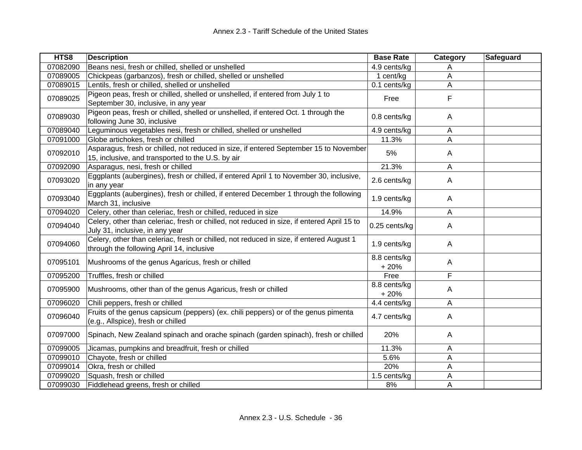| HTS8     | <b>Description</b>                                                                                                                         | <b>Base Rate</b>       | Category | Safeguard |
|----------|--------------------------------------------------------------------------------------------------------------------------------------------|------------------------|----------|-----------|
| 07082090 | Beans nesi, fresh or chilled, shelled or unshelled                                                                                         | 4.9 cents/kg           | A        |           |
| 07089005 | Chickpeas (garbanzos), fresh or chilled, shelled or unshelled                                                                              | 1 cent/kg              | Α        |           |
| 07089015 | Lentils, fresh or chilled, shelled or unshelled                                                                                            | 0.1 cents/kg           | A        |           |
| 07089025 | Pigeon peas, fresh or chilled, shelled or unshelled, if entered from July 1 to<br>September 30, inclusive, in any year                     | Free                   | F        |           |
| 07089030 | Pigeon peas, fresh or chilled, shelled or unshelled, if entered Oct. 1 through the<br>following June 30, inclusive                         | 0.8 cents/kg           | A        |           |
| 07089040 | Leguminous vegetables nesi, fresh or chilled, shelled or unshelled                                                                         | 4.9 cents/kg           | A        |           |
| 07091000 | Globe artichokes, fresh or chilled                                                                                                         | 11.3%                  | A        |           |
| 07092010 | Asparagus, fresh or chilled, not reduced in size, if entered September 15 to November<br>15, inclusive, and transported to the U.S. by air | 5%                     | Α        |           |
| 07092090 | Asparagus, nesi, fresh or chilled                                                                                                          | 21.3%                  | Α        |           |
| 07093020 | Eggplants (aubergines), fresh or chilled, if entered April 1 to November 30, inclusive,<br>in any year                                     | 2.6 cents/kg           | A        |           |
| 07093040 | Eggplants (aubergines), fresh or chilled, if entered December 1 through the following<br>March 31, inclusive                               | 1.9 cents/kg           | Α        |           |
| 07094020 | Celery, other than celeriac, fresh or chilled, reduced in size                                                                             | 14.9%                  | A        |           |
| 07094040 | Celery, other than celeriac, fresh or chilled, not reduced in size, if entered April 15 to<br>July 31, inclusive, in any year              | 0.25 cents/kg          | A        |           |
| 07094060 | Celery, other than celeriac, fresh or chilled, not reduced in size, if entered August 1<br>through the following April 14, inclusive       | 1.9 cents/kg           | A        |           |
| 07095101 | Mushrooms of the genus Agaricus, fresh or chilled                                                                                          | 8.8 cents/kg<br>$+20%$ | Α        |           |
| 07095200 | Truffles, fresh or chilled                                                                                                                 | Free                   | F        |           |
| 07095900 | Mushrooms, other than of the genus Agaricus, fresh or chilled                                                                              | 8.8 cents/kg<br>$+20%$ | Α        |           |
| 07096020 | Chili peppers, fresh or chilled                                                                                                            | 4.4 cents/kg           | A        |           |
| 07096040 | Fruits of the genus capsicum (peppers) (ex. chili peppers) or of the genus pimenta<br>(e.g., Allspice), fresh or chilled                   | 4.7 cents/kg           | Α        |           |
| 07097000 | Spinach, New Zealand spinach and orache spinach (garden spinach), fresh or chilled                                                         | 20%                    | A        |           |
| 07099005 | Jicamas, pumpkins and breadfruit, fresh or chilled                                                                                         | 11.3%                  | Α        |           |
| 07099010 | Chayote, fresh or chilled                                                                                                                  | 5.6%                   | Α        |           |
| 07099014 | Okra, fresh or chilled                                                                                                                     | 20%                    | Α        |           |
| 07099020 | Squash, fresh or chilled                                                                                                                   | 1.5 cents/kg           | A        |           |
| 07099030 | Fiddlehead greens, fresh or chilled                                                                                                        | 8%                     | A        |           |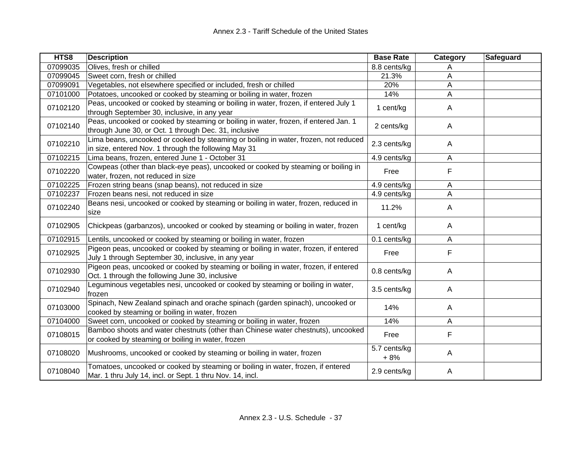| HTS8     | <b>Description</b>                                                                                                                            | <b>Base Rate</b>      | Category | Safeguard |
|----------|-----------------------------------------------------------------------------------------------------------------------------------------------|-----------------------|----------|-----------|
| 07099035 | Olives, fresh or chilled                                                                                                                      | 8.8 cents/kg          | Α        |           |
| 07099045 | Sweet corn, fresh or chilled                                                                                                                  | 21.3%                 | Α        |           |
| 07099091 | Vegetables, not elsewhere specified or included, fresh or chilled                                                                             | 20%                   | Α        |           |
| 07101000 | Potatoes, uncooked or cooked by steaming or boiling in water, frozen                                                                          | 14%                   | A        |           |
| 07102120 | Peas, uncooked or cooked by steaming or boiling in water, frozen, if entered July 1<br>through September 30, inclusive, in any year           | 1 cent/kg             | A        |           |
| 07102140 | Peas, uncooked or cooked by steaming or boiling in water, frozen, if entered Jan. 1<br>through June 30, or Oct. 1 through Dec. 31, inclusive  | 2 cents/kg            | A        |           |
| 07102210 | Lima beans, uncooked or cooked by steaming or boiling in water, frozen, not reduced<br>in size, entered Nov. 1 through the following May 31   | 2.3 cents/kg          | Α        |           |
| 07102215 | Lima beans, frozen, entered June 1 - October 31                                                                                               | 4.9 cents/kg          | A        |           |
| 07102220 | Cowpeas (other than black-eye peas), uncooked or cooked by steaming or boiling in<br>water, frozen, not reduced in size                       | Free                  | F        |           |
| 07102225 | Frozen string beans (snap beans), not reduced in size                                                                                         | 4.9 cents/kg          | Α        |           |
| 07102237 | Frozen beans nesi, not reduced in size                                                                                                        | 4.9 cents/kg          | Α        |           |
| 07102240 | Beans nesi, uncooked or cooked by steaming or boiling in water, frozen, reduced in<br>size                                                    | 11.2%                 | A        |           |
| 07102905 | Chickpeas (garbanzos), uncooked or cooked by steaming or boiling in water, frozen                                                             | 1 cent/kg             | A        |           |
| 07102915 | Lentils, uncooked or cooked by steaming or boiling in water, frozen                                                                           | 0.1 cents/kg          | A        |           |
| 07102925 | Pigeon peas, uncooked or cooked by steaming or boiling in water, frozen, if entered<br>July 1 through September 30, inclusive, in any year    | Free                  | F        |           |
| 07102930 | Pigeon peas, uncooked or cooked by steaming or boiling in water, frozen, if entered<br>Oct. 1 through the following June 30, inclusive        | 0.8 cents/kg          | A        |           |
| 07102940 | Leguminous vegetables nesi, uncooked or cooked by steaming or boiling in water,<br>frozen                                                     | 3.5 cents/kg          | A        |           |
| 07103000 | Spinach, New Zealand spinach and orache spinach (garden spinach), uncooked or<br>cooked by steaming or boiling in water, frozen               | 14%                   | A        |           |
| 07104000 | Sweet corn, uncooked or cooked by steaming or boiling in water, frozen                                                                        | 14%                   | A        |           |
| 07108015 | Bamboo shoots and water chestnuts (other than Chinese water chestnuts), uncooked<br>or cooked by steaming or boiling in water, frozen         | Free                  | F        |           |
| 07108020 | Mushrooms, uncooked or cooked by steaming or boiling in water, frozen                                                                         | 5.7 cents/kg<br>$+8%$ | Α        |           |
| 07108040 | Tomatoes, uncooked or cooked by steaming or boiling in water, frozen, if entered<br>Mar. 1 thru July 14, incl. or Sept. 1 thru Nov. 14, incl. | 2.9 cents/kg          | A        |           |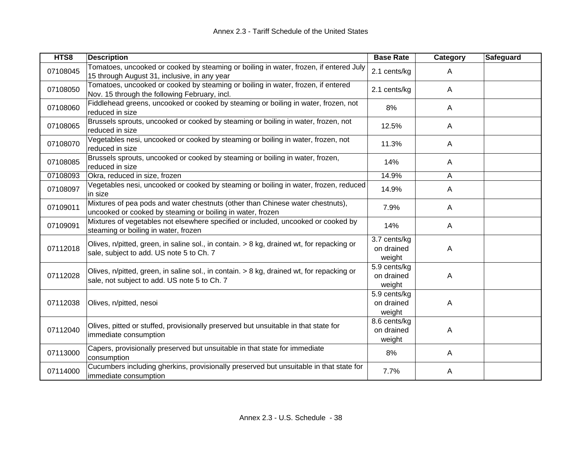| HTS8     | <b>Description</b>                                                                                                                           | <b>Base Rate</b>                     | Category | <b>Safeguard</b> |
|----------|----------------------------------------------------------------------------------------------------------------------------------------------|--------------------------------------|----------|------------------|
| 07108045 | Tomatoes, uncooked or cooked by steaming or boiling in water, frozen, if entered July<br>15 through August 31, inclusive, in any year        | 2.1 cents/kg                         | A        |                  |
| 07108050 | Tomatoes, uncooked or cooked by steaming or boiling in water, frozen, if entered<br>Nov. 15 through the following February, incl.            | 2.1 cents/kg                         | A        |                  |
| 07108060 | Fiddlehead greens, uncooked or cooked by steaming or boiling in water, frozen, not<br>reduced in size                                        | 8%                                   | A        |                  |
| 07108065 | Brussels sprouts, uncooked or cooked by steaming or boiling in water, frozen, not<br>reduced in size                                         | 12.5%                                | A        |                  |
| 07108070 | Vegetables nesi, uncooked or cooked by steaming or boiling in water, frozen, not<br>reduced in size                                          | 11.3%                                | A        |                  |
| 07108085 | Brussels sprouts, uncooked or cooked by steaming or boiling in water, frozen,<br>reduced in size                                             | 14%                                  | A        |                  |
| 07108093 | Okra, reduced in size, frozen                                                                                                                | 14.9%                                | A        |                  |
| 07108097 | Vegetables nesi, uncooked or cooked by steaming or boiling in water, frozen, reduced<br>in size                                              | 14.9%                                | A        |                  |
| 07109011 | Mixtures of pea pods and water chestnuts (other than Chinese water chestnuts),<br>uncooked or cooked by steaming or boiling in water, frozen | 7.9%                                 | A        |                  |
| 07109091 | Mixtures of vegetables not elsewhere specified or included, uncooked or cooked by<br>steaming or boiling in water, frozen                    | 14%                                  | A        |                  |
| 07112018 | Olives, n/pitted, green, in saline sol., in contain. > 8 kg, drained wt, for repacking or<br>sale, subject to add. US note 5 to Ch. 7        | 3.7 cents/kg<br>on drained<br>weight | Α        |                  |
| 07112028 | Olives, n/pitted, green, in saline sol., in contain. > 8 kg, drained wt, for repacking or<br>sale, not subject to add. US note 5 to Ch. 7    | 5.9 cents/kg<br>on drained<br>weight | Α        |                  |
| 07112038 | Olives, n/pitted, nesoi                                                                                                                      | 5.9 cents/kg<br>on drained<br>weight | A        |                  |
| 07112040 | Olives, pitted or stuffed, provisionally preserved but unsuitable in that state for<br>immediate consumption                                 | 8.6 cents/kg<br>on drained<br>weight | A        |                  |
| 07113000 | Capers, provisionally preserved but unsuitable in that state for immediate<br>consumption                                                    | 8%                                   | A        |                  |
| 07114000 | Cucumbers including gherkins, provisionally preserved but unsuitable in that state for<br>immediate consumption                              | 7.7%                                 | A        |                  |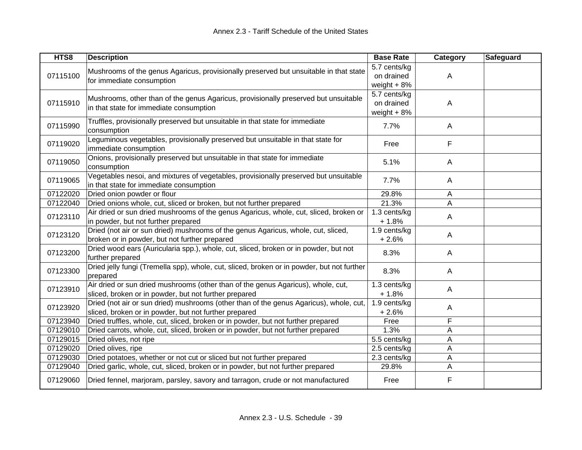| HTS8     | <b>Description</b>                                                                                                                              | <b>Base Rate</b>                            | Category     | Safeguard |
|----------|-------------------------------------------------------------------------------------------------------------------------------------------------|---------------------------------------------|--------------|-----------|
| 07115100 | Mushrooms of the genus Agaricus, provisionally preserved but unsuitable in that state<br>for immediate consumption                              | 5.7 cents/kg<br>on drained<br>weight $+8%$  | A            |           |
| 07115910 | Mushrooms, other than of the genus Agaricus, provisionally preserved but unsuitable<br>in that state for immediate consumption                  | 5.7 cents/kg<br>on drained<br>weight $+ 8%$ | A            |           |
| 07115990 | Truffles, provisionally preserved but unsuitable in that state for immediate<br>consumption                                                     | 7.7%                                        | $\mathsf{A}$ |           |
| 07119020 | Leguminous vegetables, provisionally preserved but unsuitable in that state for<br>immediate consumption                                        | Free                                        | F            |           |
| 07119050 | Onions, provisionally preserved but unsuitable in that state for immediate<br>consumption                                                       | 5.1%                                        | $\mathsf{A}$ |           |
| 07119065 | Vegetables nesoi, and mixtures of vegetables, provisionally preserved but unsuitable<br>in that state for immediate consumption                 | 7.7%                                        | $\mathsf{A}$ |           |
| 07122020 | Dried onion powder or flour                                                                                                                     | 29.8%                                       | A            |           |
| 07122040 | Dried onions whole, cut, sliced or broken, but not further prepared                                                                             | 21.3%                                       | A            |           |
| 07123110 | Air dried or sun dried mushrooms of the genus Agaricus, whole, cut, sliced, broken or<br>in powder, but not further prepared                    | 1.3 cents/kg<br>$+1.8%$                     | A            |           |
| 07123120 | Dried (not air or sun dried) mushrooms of the genus Agaricus, whole, cut, sliced,<br>broken or in powder, but not further prepared              | 1.9 cents/kg<br>$+2.6%$                     | $\mathsf{A}$ |           |
| 07123200 | Dried wood ears (Auricularia spp.), whole, cut, sliced, broken or in powder, but not<br>further prepared                                        | 8.3%                                        | $\mathsf{A}$ |           |
| 07123300 | Dried jelly fungi (Tremella spp), whole, cut, sliced, broken or in powder, but not further<br>prepared                                          | 8.3%                                        | $\mathsf{A}$ |           |
| 07123910 | Air dried or sun dried mushrooms (other than of the genus Agaricus), whole, cut,<br>sliced, broken or in powder, but not further prepared       | 1.3 cents/kg<br>$+1.8%$                     | A            |           |
| 07123920 | Dried (not air or sun dried) mushrooms (other than of the genus Agaricus), whole, cut,<br>sliced, broken or in powder, but not further prepared | 1.9 cents/kg<br>$+2.6%$                     | Α            |           |
| 07123940 | Dried truffles, whole, cut, sliced, broken or in powder, but not further prepared                                                               | Free                                        | F            |           |
| 07129010 | Dried carrots, whole, cut, sliced, broken or in powder, but not further prepared                                                                | 1.3%                                        | A            |           |
| 07129015 | Dried olives, not ripe                                                                                                                          | 5.5 cents/kg                                | A            |           |
| 07129020 | Dried olives, ripe                                                                                                                              | 2.5 cents/kg                                | A            |           |
| 07129030 | Dried potatoes, whether or not cut or sliced but not further prepared                                                                           | 2.3 cents/kg                                | A            |           |
| 07129040 | Dried garlic, whole, cut, sliced, broken or in powder, but not further prepared                                                                 | 29.8%                                       | A            |           |
| 07129060 | Dried fennel, marjoram, parsley, savory and tarragon, crude or not manufactured                                                                 | Free                                        | F            |           |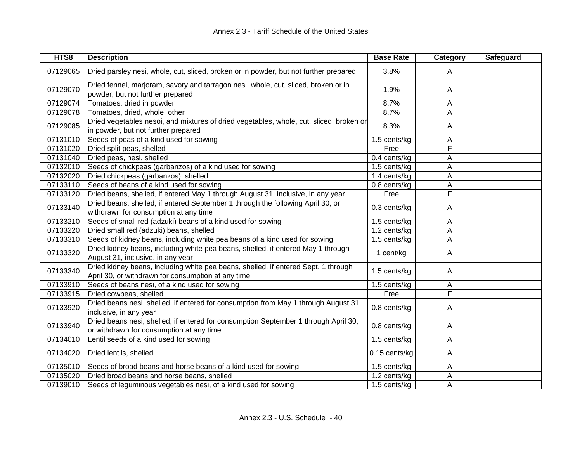| HTS8     | <b>Description</b>                                                                                                                       | <b>Base Rate</b> | Category     | Safeguard |
|----------|------------------------------------------------------------------------------------------------------------------------------------------|------------------|--------------|-----------|
| 07129065 | Dried parsley nesi, whole, cut, sliced, broken or in powder, but not further prepared                                                    | 3.8%             | $\mathsf{A}$ |           |
| 07129070 | Dried fennel, marjoram, savory and tarragon nesi, whole, cut, sliced, broken or in<br>powder, but not further prepared                   | 1.9%             | $\mathsf{A}$ |           |
| 07129074 | Tomatoes, dried in powder                                                                                                                | 8.7%             | A            |           |
| 07129078 | Tomatoes, dried, whole, other                                                                                                            | 8.7%             | A            |           |
| 07129085 | Dried vegetables nesoi, and mixtures of dried vegetables, whole, cut, sliced, broken or<br>in powder, but not further prepared           | 8.3%             | A            |           |
| 07131010 | Seeds of peas of a kind used for sowing                                                                                                  | 1.5 cents/kg     | Α            |           |
| 07131020 | Dried split peas, shelled                                                                                                                | Free             | F            |           |
| 07131040 | Dried peas, nesi, shelled                                                                                                                | 0.4 cents/kg     | A            |           |
| 07132010 | Seeds of chickpeas (garbanzos) of a kind used for sowing                                                                                 | 1.5 cents/kg     | A            |           |
| 07132020 | Dried chickpeas (garbanzos), shelled                                                                                                     | 1.4 cents/kg     | A            |           |
| 07133110 | Seeds of beans of a kind used for sowing                                                                                                 | 0.8 cents/kg     | Α            |           |
| 07133120 | Dried beans, shelled, if entered May 1 through August 31, inclusive, in any year                                                         | Free             | F            |           |
| 07133140 | Dried beans, shelled, if entered September 1 through the following April 30, or<br>withdrawn for consumption at any time                 | $0.3$ cents/kg   | A            |           |
| 07133210 | Seeds of small red (adzuki) beans of a kind used for sowing                                                                              | 1.5 cents/kg     | A            |           |
| 07133220 | Dried small red (adzuki) beans, shelled                                                                                                  | 1.2 cents/kg     | A            |           |
| 07133310 | Seeds of kidney beans, including white pea beans of a kind used for sowing                                                               | 1.5 cents/kg     | A            |           |
| 07133320 | Dried kidney beans, including white pea beans, shelled, if entered May 1 through<br>August 31, inclusive, in any year                    | 1 cent/kg        | A            |           |
| 07133340 | Dried kidney beans, including white pea beans, shelled, if entered Sept. 1 through<br>April 30, or withdrawn for consumption at any time | 1.5 cents/kg     | Α            |           |
| 07133910 | Seeds of beans nesi, of a kind used for sowing                                                                                           | 1.5 cents/kg     | Α            |           |
| 07133915 | Dried cowpeas, shelled                                                                                                                   | Free             | F            |           |
| 07133920 | Dried beans nesi, shelled, if entered for consumption from May 1 through August 31,<br>inclusive, in any year                            | $0.8$ cents/kg   | A            |           |
| 07133940 | Dried beans nesi, shelled, if entered for consumption September 1 through April 30,<br>or withdrawn for consumption at any time          | 0.8 cents/kg     | A            |           |
| 07134010 | Lentil seeds of a kind used for sowing                                                                                                   | 1.5 cents/kg     | A            |           |
| 07134020 | Dried lentils, shelled                                                                                                                   | 0.15 cents/kg    | A            |           |
| 07135010 | Seeds of broad beans and horse beans of a kind used for sowing                                                                           | 1.5 cents/kg     | A            |           |
| 07135020 | Dried broad beans and horse beans, shelled                                                                                               | 1.2 cents/kg     | A            |           |
| 07139010 | Seeds of leguminous vegetables nesi, of a kind used for sowing                                                                           | 1.5 cents/kg     | A            |           |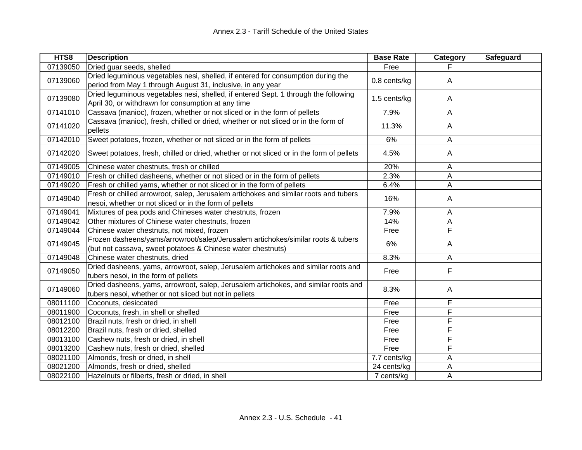| HTS8     | <b>Description</b>                                                                                                                              | <b>Base Rate</b> | Category | Safeguard |
|----------|-------------------------------------------------------------------------------------------------------------------------------------------------|------------------|----------|-----------|
| 07139050 | Dried guar seeds, shelled                                                                                                                       | Free             |          |           |
| 07139060 | Dried leguminous vegetables nesi, shelled, if entered for consumption during the                                                                | 0.8 cents/kg     | Α        |           |
|          | period from May 1 through August 31, inclusive, in any year                                                                                     |                  |          |           |
| 07139080 | Dried leguminous vegetables nesi, shelled, if entered Sept. 1 through the following<br>April 30, or withdrawn for consumption at any time       | 1.5 cents/kg     | A        |           |
| 07141010 | Cassava (manioc), frozen, whether or not sliced or in the form of pellets                                                                       | 7.9%             | Α        |           |
| 07141020 | Cassava (manioc), fresh, chilled or dried, whether or not sliced or in the form of<br>pellets                                                   | 11.3%            | A        |           |
| 07142010 | Sweet potatoes, frozen, whether or not sliced or in the form of pellets                                                                         | 6%               | Α        |           |
| 07142020 | Sweet potatoes, fresh, chilled or dried, whether or not sliced or in the form of pellets                                                        | 4.5%             | A        |           |
| 07149005 | Chinese water chestnuts, fresh or chilled                                                                                                       | 20%              | A        |           |
| 07149010 | Fresh or chilled dasheens, whether or not sliced or in the form of pellets                                                                      | 2.3%             | Α        |           |
| 07149020 | Fresh or chilled yams, whether or not sliced or in the form of pellets                                                                          | 6.4%             | Α        |           |
| 07149040 | Fresh or chilled arrowroot, salep, Jerusalem artichokes and similar roots and tubers                                                            | 16%              | Α        |           |
|          | nesoi, whether or not sliced or in the form of pellets                                                                                          |                  |          |           |
| 07149041 | Mixtures of pea pods and Chineses water chestnuts, frozen                                                                                       | 7.9%             | A        |           |
| 07149042 | Other mixtures of Chinese water chestnuts, frozen                                                                                               | 14%              | A        |           |
| 07149044 | Chinese water chestnuts, not mixed, frozen                                                                                                      | Free             | F        |           |
| 07149045 | Frozen dasheens/yams/arrowroot/salep/Jerusalem artichokes/similar roots & tubers<br>(but not cassava, sweet potatoes & Chinese water chestnuts) | 6%               | A        |           |
| 07149048 | Chinese water chestnuts, dried                                                                                                                  | 8.3%             | A        |           |
| 07149050 | Dried dasheens, yams, arrowroot, salep, Jerusalem artichokes and similar roots and<br>tubers nesoi, in the form of pellets                      | Free             | F        |           |
| 07149060 | Dried dasheens, yams, arrowroot, salep, Jerusalem artichokes, and similar roots and<br>tubers nesoi, whether or not sliced but not in pellets   | 8.3%             | A        |           |
| 08011100 | Coconuts, desiccated                                                                                                                            | Free             | F        |           |
| 08011900 | Coconuts, fresh, in shell or shelled                                                                                                            | Free             | F        |           |
| 08012100 | Brazil nuts, fresh or dried, in shell                                                                                                           | Free             | F        |           |
| 08012200 | Brazil nuts, fresh or dried, shelled                                                                                                            | Free             | F        |           |
| 08013100 | Cashew nuts, fresh or dried, in shell                                                                                                           | Free             | F        |           |
| 08013200 | Cashew nuts, fresh or dried, shelled                                                                                                            | Free             | F        |           |
| 08021100 | Almonds, fresh or dried, in shell                                                                                                               | 7.7 cents/kg     | A        |           |
| 08021200 | Almonds, fresh or dried, shelled                                                                                                                | 24 cents/kg      | Α        |           |
| 08022100 | Hazelnuts or filberts, fresh or dried, in shell                                                                                                 | 7 cents/kg       | A        |           |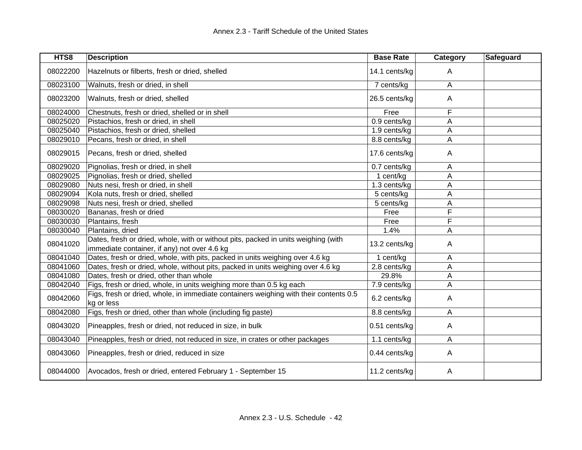| HTS8     | <b>Description</b>                                                                                                                 | <b>Base Rate</b> | Category | Safeguard |
|----------|------------------------------------------------------------------------------------------------------------------------------------|------------------|----------|-----------|
| 08022200 | Hazelnuts or filberts, fresh or dried, shelled                                                                                     | 14.1 cents/kg    | A        |           |
| 08023100 | Walnuts, fresh or dried, in shell                                                                                                  | 7 cents/kg       | Α        |           |
| 08023200 | Walnuts, fresh or dried, shelled                                                                                                   | 26.5 cents/kg    | A        |           |
| 08024000 | Chestnuts, fresh or dried, shelled or in shell                                                                                     | Free             | F        |           |
| 08025020 | Pistachios, fresh or dried, in shell                                                                                               | 0.9 cents/kg     | Α        |           |
| 08025040 | Pistachios, fresh or dried, shelled                                                                                                | 1.9 cents/kg     | A        |           |
| 08029010 | Pecans, fresh or dried, in shell                                                                                                   | 8.8 cents/kg     | A        |           |
| 08029015 | Pecans, fresh or dried, shelled                                                                                                    | 17.6 cents/kg    | A        |           |
| 08029020 | Pignolias, fresh or dried, in shell                                                                                                | 0.7 cents/kg     | A        |           |
| 08029025 | Pignolias, fresh or dried, shelled                                                                                                 | 1 cent/kg        | А        |           |
| 08029080 | Nuts nesi, fresh or dried, in shell                                                                                                | 1.3 cents/kg     | A        |           |
| 08029094 | Kola nuts, fresh or dried, shelled                                                                                                 | 5 cents/kg       | A        |           |
| 08029098 | Nuts nesi, fresh or dried, shelled                                                                                                 | 5 cents/kg       | А        |           |
| 08030020 | Bananas, fresh or dried                                                                                                            | Free             | F        |           |
| 08030030 | Plantains, fresh                                                                                                                   | Free             | F        |           |
| 08030040 | Plantains, dried                                                                                                                   | 1.4%             | A        |           |
| 08041020 | Dates, fresh or dried, whole, with or without pits, packed in units weighing (with<br>immediate container, if any) not over 4.6 kg | 13.2 cents/kg    | A        |           |
| 08041040 | Dates, fresh or dried, whole, with pits, packed in units weighing over 4.6 kg                                                      | 1 cent/kg        | A        |           |
| 08041060 | Dates, fresh or dried, whole, without pits, packed in units weighing over 4.6 kg                                                   | 2.8 cents/kg     | Α        |           |
| 08041080 | Dates, fresh or dried, other than whole                                                                                            | 29.8%            | А        |           |
| 08042040 | Figs, fresh or dried, whole, in units weighing more than 0.5 kg each                                                               | 7.9 cents/kg     | A        |           |
| 08042060 | Figs, fresh or dried, whole, in immediate containers weighing with their contents 0.5<br>kg or less                                | 6.2 cents/kg     | A        |           |
| 08042080 | Figs, fresh or dried, other than whole (including fig paste)                                                                       | 8.8 cents/kg     | A        |           |
| 08043020 | Pineapples, fresh or dried, not reduced in size, in bulk                                                                           | 0.51 cents/kg    | A        |           |
| 08043040 | Pineapples, fresh or dried, not reduced in size, in crates or other packages                                                       | 1.1 cents/kg     | A        |           |
| 08043060 | Pineapples, fresh or dried, reduced in size                                                                                        | 0.44 cents/kg    | A        |           |
| 08044000 | Avocados, fresh or dried, entered February 1 - September 15                                                                        | 11.2 cents/kg    | A        |           |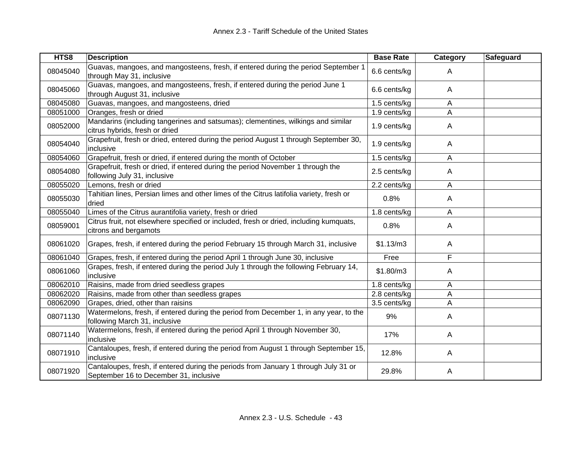| HTS8     | <b>Description</b>                                                                                                            | <b>Base Rate</b> | <b>Category</b> | <b>Safeguard</b> |
|----------|-------------------------------------------------------------------------------------------------------------------------------|------------------|-----------------|------------------|
| 08045040 | Guavas, mangoes, and mangosteens, fresh, if entered during the period September 1<br>through May 31, inclusive                | 6.6 cents/kg     | A               |                  |
| 08045060 | Guavas, mangoes, and mangosteens, fresh, if entered during the period June 1<br>through August 31, inclusive                  | 6.6 cents/kg     | A               |                  |
| 08045080 | Guavas, mangoes, and mangosteens, dried                                                                                       | 1.5 cents/kg     | Α               |                  |
| 08051000 | Oranges, fresh or dried                                                                                                       | 1.9 cents/kg     | A               |                  |
| 08052000 | Mandarins (including tangerines and satsumas); clementines, wilkings and similar<br>citrus hybrids, fresh or dried            | 1.9 cents/kg     | A               |                  |
| 08054040 | Grapefruit, fresh or dried, entered during the period August 1 through September 30,<br>inclusive                             | 1.9 cents/kg     | A               |                  |
| 08054060 | Grapefruit, fresh or dried, if entered during the month of October                                                            | 1.5 cents/kg     | Α               |                  |
| 08054080 | Grapefruit, fresh or dried, if entered during the period November 1 through the<br>following July 31, inclusive               | 2.5 cents/kg     | A               |                  |
| 08055020 | Lemons, fresh or dried                                                                                                        | 2.2 cents/kg     | A               |                  |
| 08055030 | Tahitian lines, Persian limes and other limes of the Citrus latifolia variety, fresh or<br>dried                              | 0.8%             | Α               |                  |
| 08055040 | Limes of the Citrus aurantifolia variety, fresh or dried                                                                      | 1.8 cents/kg     | A               |                  |
| 08059001 | Citrus fruit, not elsewhere specified or included, fresh or dried, including kumquats,<br>citrons and bergamots               | 0.8%             | A               |                  |
| 08061020 | Grapes, fresh, if entered during the period February 15 through March 31, inclusive                                           | \$1.13/m3        | A               |                  |
| 08061040 | Grapes, fresh, if entered during the period April 1 through June 30, inclusive                                                | Free             | F               |                  |
| 08061060 | Grapes, fresh, if entered during the period July 1 through the following February 14,<br>inclusive                            | \$1.80/m3        | A               |                  |
| 08062010 | Raisins, made from dried seedless grapes                                                                                      | 1.8 cents/kg     | A               |                  |
| 08062020 | Raisins, made from other than seedless grapes                                                                                 | 2.8 cents/kg     | A               |                  |
| 08062090 | Grapes, dried, other than raisins                                                                                             | 3.5 cents/kg     | Α               |                  |
| 08071130 | Watermelons, fresh, if entered during the period from December 1, in any year, to the<br>following March 31, inclusive        | 9%               | A               |                  |
| 08071140 | Watermelons, fresh, if entered during the period April 1 through November 30,<br>inclusive                                    | 17%              | A               |                  |
| 08071910 | Cantaloupes, fresh, if entered during the period from August 1 through September 15,<br>inclusive                             | 12.8%            | A               |                  |
| 08071920 | Cantaloupes, fresh, if entered during the periods from January 1 through July 31 or<br>September 16 to December 31, inclusive | 29.8%            | A               |                  |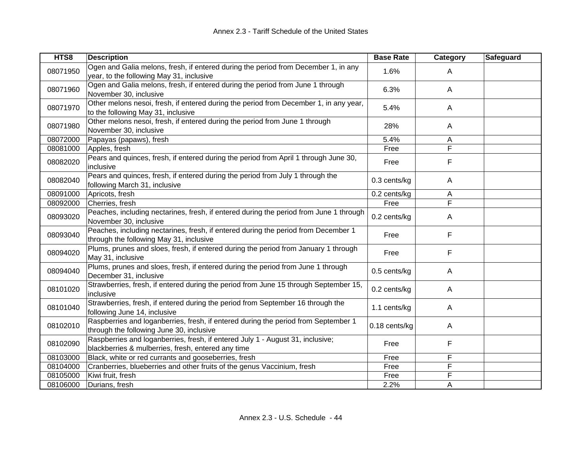| HTS8     | <b>Description</b>                                                                                                                   | <b>Base Rate</b> | Category | Safeguard |
|----------|--------------------------------------------------------------------------------------------------------------------------------------|------------------|----------|-----------|
| 08071950 | Ogen and Galia melons, fresh, if entered during the period from December 1, in any<br>year, to the following May 31, inclusive       | 1.6%             | A        |           |
| 08071960 | Ogen and Galia melons, fresh, if entered during the period from June 1 through<br>November 30, inclusive                             | 6.3%             | A        |           |
| 08071970 | Other melons nesoi, fresh, if entered during the period from December 1, in any year,<br>to the following May 31, inclusive          | 5.4%             | A        |           |
| 08071980 | Other melons nesoi, fresh, if entered during the period from June 1 through<br>November 30, inclusive                                | 28%              | Α        |           |
| 08072000 | Papayas (papaws), fresh                                                                                                              | 5.4%             | A        |           |
| 08081000 | Apples, fresh                                                                                                                        | Free             | F        |           |
| 08082020 | Pears and quinces, fresh, if entered during the period from April 1 through June 30,<br>inclusive                                    | Free             | F        |           |
| 08082040 | Pears and quinces, fresh, if entered during the period from July 1 through the<br>following March 31, inclusive                      | 0.3 cents/kg     | Α        |           |
| 08091000 | Apricots, fresh                                                                                                                      | 0.2 cents/kg     | Α        |           |
| 08092000 | Cherries, fresh                                                                                                                      | Free             | F        |           |
| 08093020 | Peaches, including nectarines, fresh, if entered during the period from June 1 through<br>November 30, inclusive                     | 0.2 cents/kg     | A        |           |
| 08093040 | Peaches, including nectarines, fresh, if entered during the period from December 1<br>through the following May 31, inclusive        | Free             | F        |           |
| 08094020 | Plums, prunes and sloes, fresh, if entered during the period from January 1 through<br>May 31, inclusive                             | Free             | F        |           |
| 08094040 | Plums, prunes and sloes, fresh, if entered during the period from June 1 through<br>December 31, inclusive                           | 0.5 cents/kg     | A        |           |
| 08101020 | Strawberries, fresh, if entered during the period from June 15 through September 15,<br>inclusive                                    | 0.2 cents/kg     | A        |           |
| 08101040 | Strawberries, fresh, if entered during the period from September 16 through the<br>following June 14, inclusive                      | 1.1 cents/kg     | A        |           |
| 08102010 | Raspberries and loganberries, fresh, if entered during the period from September 1<br>through the following June 30, inclusive       | 0.18 cents/kg    | A        |           |
| 08102090 | Raspberries and loganberries, fresh, if entered July 1 - August 31, inclusive;<br>blackberries & mulberries, fresh, entered any time | Free             | F        |           |
| 08103000 | Black, white or red currants and gooseberries, fresh                                                                                 | Free             | F        |           |
| 08104000 | Cranberries, blueberries and other fruits of the genus Vaccinium, fresh                                                              | Free             | F        |           |
| 08105000 | Kiwi fruit, fresh                                                                                                                    | Free             | F        |           |
| 08106000 | Durians, fresh                                                                                                                       | 2.2%             | A        |           |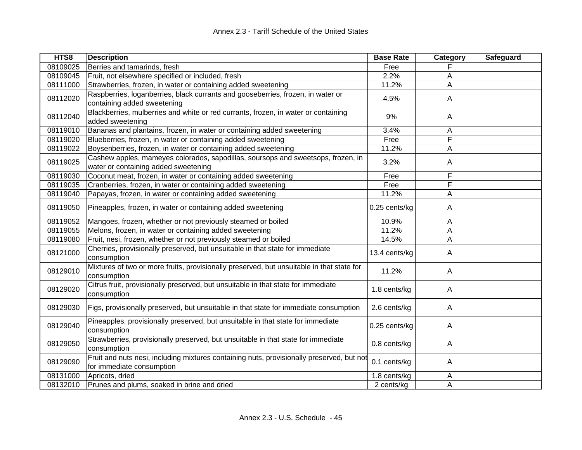| HTS8     | <b>Description</b>                                                                                                       | <b>Base Rate</b> | Category       | Safeguard |
|----------|--------------------------------------------------------------------------------------------------------------------------|------------------|----------------|-----------|
| 08109025 | Berries and tamarinds, fresh                                                                                             | Free             |                |           |
| 08109045 | Fruit, not elsewhere specified or included, fresh                                                                        | 2.2%             | Α              |           |
| 08111000 | Strawberries, frozen, in water or containing added sweetening                                                            | 11.2%            | Α              |           |
| 08112020 | Raspberries, loganberries, black currants and gooseberries, frozen, in water or<br>containing added sweetening           | 4.5%             | A              |           |
| 08112040 | Blackberries, mulberries and white or red currants, frozen, in water or containing<br>added sweetening                   | 9%               | A              |           |
| 08119010 | Bananas and plantains, frozen, in water or containing added sweetening                                                   | 3.4%             | A              |           |
| 08119020 | Blueberries, frozen, in water or containing added sweetening                                                             | Free             | F              |           |
| 08119022 | Boysenberries, frozen, in water or containing added sweetening                                                           | 11.2%            | Α              |           |
| 08119025 | Cashew apples, mameyes colorados, sapodillas, soursops and sweetsops, frozen, in<br>water or containing added sweetening | 3.2%             | A              |           |
| 08119030 | Coconut meat, frozen, in water or containing added sweetening                                                            | Free             | F              |           |
| 08119035 | Cranberries, frozen, in water or containing added sweetening                                                             | Free             | F              |           |
| 08119040 | Papayas, frozen, in water or containing added sweetening                                                                 | 11.2%            | A              |           |
| 08119050 | Pineapples, frozen, in water or containing added sweetening                                                              | 0.25 cents/kg    | A              |           |
| 08119052 | Mangoes, frozen, whether or not previously steamed or boiled                                                             | 10.9%            | A              |           |
| 08119055 | Melons, frozen, in water or containing added sweetening                                                                  | 11.2%            | Α              |           |
| 08119080 | Fruit, nesi, frozen, whether or not previously steamed or boiled                                                         | 14.5%            | A              |           |
| 08121000 | Cherries, provisionally preserved, but unsuitable in that state for immediate<br>consumption                             | 13.4 cents/kg    | $\mathsf{A}$   |           |
| 08129010 | Mixtures of two or more fruits, provisionally preserved, but unsuitable in that state for<br>consumption                 | 11.2%            | $\mathsf{A}$   |           |
| 08129020 | Citrus fruit, provisionally preserved, but unsuitable in that state for immediate<br>consumption                         | 1.8 cents/kg     | A              |           |
| 08129030 | Figs, provisionally preserved, but unsuitable in that state for immediate consumption                                    | 2.6 cents/kg     | $\mathsf{A}$   |           |
| 08129040 | Pineapples, provisionally preserved, but unsuitable in that state for immediate<br>consumption                           | 0.25 cents/kg    | A              |           |
| 08129050 | Strawberries, provisionally preserved, but unsuitable in that state for immediate<br>consumption                         | 0.8 cents/kg     | A              |           |
| 08129090 | Fruit and nuts nesi, including mixtures containing nuts, provisionally preserved, but not<br>for immediate consumption   | 0.1 cents/kg     | $\overline{A}$ |           |
| 08131000 | Apricots, dried                                                                                                          | 1.8 cents/kg     | A              |           |
| 08132010 | Prunes and plums, soaked in brine and dried                                                                              | 2 cents/kg       | A              |           |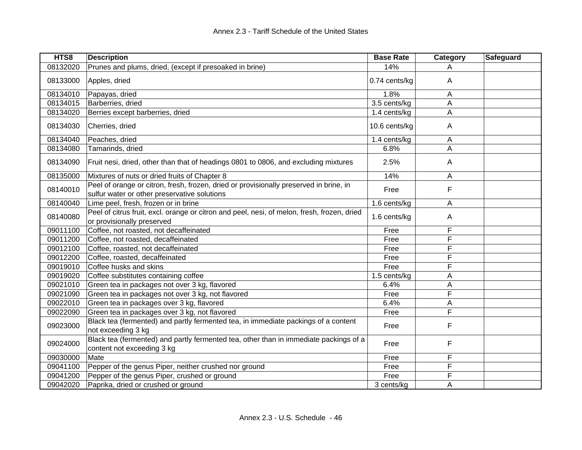| HTS8     | <b>Description</b>                                                                                                                     | <b>Base Rate</b> | Category       | Safeguard |
|----------|----------------------------------------------------------------------------------------------------------------------------------------|------------------|----------------|-----------|
| 08132020 | Prunes and plums, dried, (except if presoaked in brine)                                                                                | 14%              | Α              |           |
| 08133000 | Apples, dried                                                                                                                          | 0.74 cents/kg    | A              |           |
| 08134010 | Papayas, dried                                                                                                                         | 1.8%             | A              |           |
| 08134015 | Barberries, dried                                                                                                                      | 3.5 cents/kg     | Α              |           |
| 08134020 | Berries except barberries, dried                                                                                                       | 1.4 cents/kg     | A              |           |
| 08134030 | Cherries, dried                                                                                                                        | 10.6 cents/kg    | $\overline{A}$ |           |
| 08134040 | Peaches, dried                                                                                                                         | 1.4 cents/kg     | A              |           |
| 08134080 | Tamarinds, dried                                                                                                                       | 6.8%             | A              |           |
| 08134090 | Fruit nesi, dried, other than that of headings 0801 to 0806, and excluding mixtures                                                    | 2.5%             | A              |           |
| 08135000 | Mixtures of nuts or dried fruits of Chapter 8                                                                                          | 14%              | A              |           |
| 08140010 | Peel of orange or citron, fresh, frozen, dried or provisionally preserved in brine, in<br>sulfur water or other preservative solutions | Free             | F              |           |
| 08140040 | Lime peel, fresh, frozen or in brine                                                                                                   | 1.6 cents/kg     | A              |           |
| 08140080 | Peel of citrus fruit, excl. orange or citron and peel, nesi, of melon, fresh, frozen, dried<br>or provisionally preserved              | 1.6 cents/kg     | A              |           |
| 09011100 | Coffee, not roasted, not decaffeinated                                                                                                 | Free             | F              |           |
| 09011200 | Coffee, not roasted, decaffeinated                                                                                                     | Free             | F              |           |
| 09012100 | Coffee, roasted, not decaffeinated                                                                                                     | Free             | F              |           |
| 09012200 | Coffee, roasted, decaffeinated                                                                                                         | Free             | F              |           |
| 09019010 | Coffee husks and skins                                                                                                                 | Free             | F              |           |
| 09019020 | Coffee substitutes containing coffee                                                                                                   | 1.5 cents/kg     | Α              |           |
| 09021010 | Green tea in packages not over 3 kg, flavored                                                                                          | 6.4%             | A              |           |
| 09021090 | Green tea in packages not over 3 kg, not flavored                                                                                      | Free             | F              |           |
| 09022010 | Green tea in packages over 3 kg, flavored                                                                                              | 6.4%             | A              |           |
| 09022090 | Green tea in packages over 3 kg, not flavored                                                                                          | Free             | F              |           |
| 09023000 | Black tea (fermented) and partly fermented tea, in immediate packings of a content<br>not exceeding 3 kg                               | Free             | F              |           |
| 09024000 | Black tea (fermented) and partly fermented tea, other than in immediate packings of a<br>content not exceeding 3 kg                    | Free             | F              |           |
| 09030000 | Mate                                                                                                                                   | Free             | F              |           |
| 09041100 | Pepper of the genus Piper, neither crushed nor ground                                                                                  | Free             | F              |           |
| 09041200 | Pepper of the genus Piper, crushed or ground                                                                                           | Free             | F              |           |
| 09042020 | Paprika, dried or crushed or ground                                                                                                    | 3 cents/kg       | A              |           |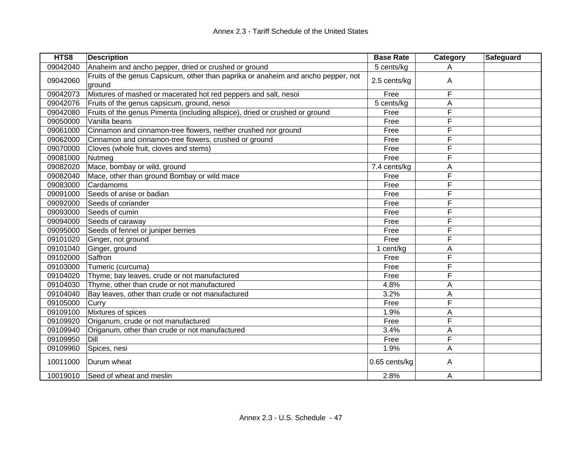| HTS8     | <b>Description</b>                                                                          | <b>Base Rate</b> | Category | <b>Safeguard</b> |
|----------|---------------------------------------------------------------------------------------------|------------------|----------|------------------|
| 09042040 | Anaheim and ancho pepper, dried or crushed or ground                                        | 5 cents/kg       | Α        |                  |
| 09042060 | Fruits of the genus Capsicum, other than paprika or anaheim and ancho pepper, not<br>ground | 2.5 cents/kg     | A        |                  |
| 09042073 | Mixtures of mashed or macerated hot red peppers and salt, nesoi                             | Free             | F        |                  |
| 09042076 | Fruits of the genus capsicum, ground, nesoi                                                 | 5 cents/kg       | A        |                  |
| 09042080 | Fruits of the genus Pimenta (including allspice), dried or crushed or ground                | Free             | F        |                  |
| 09050000 | Vanilla beans                                                                               | Free             | F        |                  |
| 09061000 | Cinnamon and cinnamon-tree flowers, neither crushed nor ground                              | Free             | F        |                  |
| 09062000 | Cinnamon and cinnamon-tree flowers, crushed or ground                                       | Free             | F        |                  |
| 09070000 | Cloves (whole fruit, cloves and stems)                                                      | Free             | F        |                  |
| 09081000 | Nutmeg                                                                                      | Free             | F        |                  |
| 09082020 | Mace, bombay or wild, ground                                                                | 7.4 cents/kg     | Α        |                  |
| 09082040 | Mace, other than ground Bombay or wild mace                                                 | Free             | F        |                  |
| 09083000 | Cardamoms                                                                                   | Free             | F        |                  |
| 09091000 | Seeds of anise or badian                                                                    | Free             | F        |                  |
| 09092000 | Seeds of coriander                                                                          | Free             | F        |                  |
| 09093000 | Seeds of cumin                                                                              | Free             | F        |                  |
| 09094000 | Seeds of caraway                                                                            | Free             | F        |                  |
| 09095000 | Seeds of fennel or juniper berries                                                          | Free             | F        |                  |
| 09101020 | Ginger, not ground                                                                          | Free             | F        |                  |
| 09101040 | Ginger, ground                                                                              | 1 cent/kg        | A        |                  |
| 09102000 | Saffron                                                                                     | Free             | F        |                  |
| 09103000 | Tumeric (curcuma)                                                                           | Free             | F        |                  |
| 09104020 | Thyme; bay leaves, crude or not manufactured                                                | Free             | F        |                  |
| 09104030 | Thyme, other than crude or not manufactured                                                 | 4.8%             | A        |                  |
| 09104040 | Bay leaves, other than crude or not manufactured                                            | 3.2%             | Α        |                  |
| 09105000 | Curry                                                                                       | Free             | F        |                  |
| 09109100 | Mixtures of spices                                                                          | 1.9%             | A        |                  |
| 09109920 | Origanum, crude or not manufactured                                                         | Free             | F        |                  |
| 09109940 | Origanum, other than crude or not manufactured                                              | 3.4%             | A        |                  |
| 09109950 | Dill                                                                                        | Free             | F        |                  |
| 09109960 | Spices, nesi                                                                                | 1.9%             | A        |                  |
| 10011000 | Durum wheat                                                                                 | 0.65 cents/kg    | A        |                  |
| 10019010 | Seed of wheat and meslin                                                                    | 2.8%             | Α        |                  |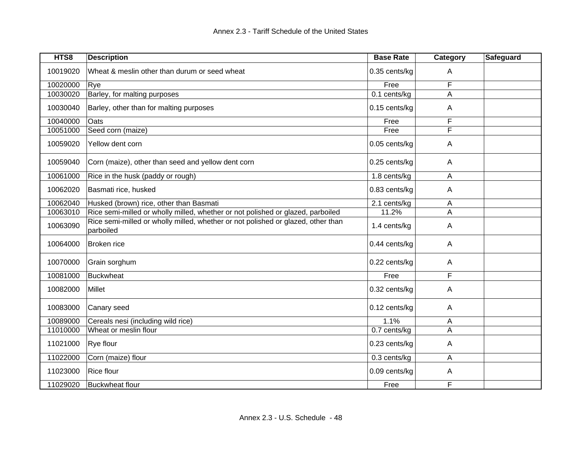| HTS8     | <b>Description</b>                                                                            | <b>Base Rate</b> | Category | Safeguard |
|----------|-----------------------------------------------------------------------------------------------|------------------|----------|-----------|
| 10019020 | Wheat & meslin other than durum or seed wheat                                                 | 0.35 cents/kg    | A        |           |
| 10020000 | Rye                                                                                           | Free             | F        |           |
| 10030020 | Barley, for malting purposes                                                                  | 0.1 cents/kg     | A        |           |
| 10030040 | Barley, other than for malting purposes                                                       | 0.15 cents/kg    | A        |           |
| 10040000 | Oats                                                                                          | Free             | F        |           |
| 10051000 | Seed corn (maize)                                                                             | Free             | F        |           |
| 10059020 | Yellow dent corn                                                                              | 0.05 cents/kg    | Α        |           |
| 10059040 | Corn (maize), other than seed and yellow dent corn                                            | 0.25 cents/kg    | A        |           |
| 10061000 | Rice in the husk (paddy or rough)                                                             | 1.8 cents/kg     | A        |           |
| 10062020 | Basmati rice, husked                                                                          | 0.83 cents/kg    | A        |           |
| 10062040 | Husked (brown) rice, other than Basmati                                                       | 2.1 cents/kg     | A        |           |
| 10063010 | Rice semi-milled or wholly milled, whether or not polished or glazed, parboiled               | 11.2%            | A        |           |
| 10063090 | Rice semi-milled or wholly milled, whether or not polished or glazed, other than<br>parboiled | 1.4 cents/kg     | Α        |           |
| 10064000 | Broken rice                                                                                   | 0.44 cents/kg    | A        |           |
| 10070000 | Grain sorghum                                                                                 | 0.22 cents/kg    | A        |           |
| 10081000 | Buckwheat                                                                                     | Free             | F        |           |
| 10082000 | <b>Millet</b>                                                                                 | 0.32 cents/kg    | A        |           |
| 10083000 | Canary seed                                                                                   | 0.12 cents/kg    | A        |           |
| 10089000 | Cereals nesi (including wild rice)                                                            | 1.1%             | A        |           |
| 11010000 | Wheat or meslin flour                                                                         | 0.7 cents/kg     | A        |           |
| 11021000 | <b>Rye flour</b>                                                                              | 0.23 cents/kg    | A        |           |
| 11022000 | Corn (maize) flour                                                                            | 0.3 cents/kg     | A        |           |
| 11023000 | Rice flour                                                                                    | 0.09 cents/kg    | A        |           |
| 11029020 | <b>Buckwheat flour</b>                                                                        | Free             | F        |           |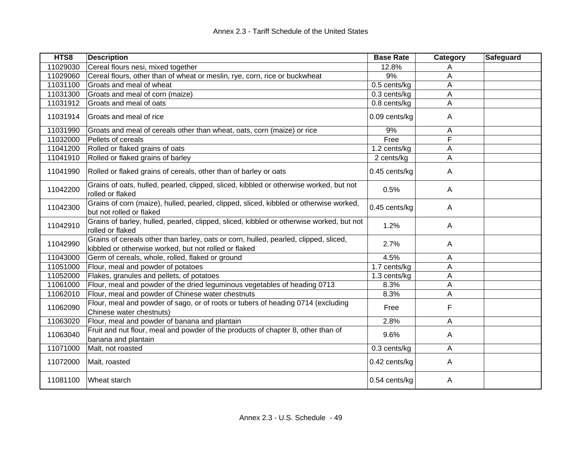| HTS8     | <b>Description</b>                                                                                                                            | <b>Base Rate</b> | Category | Safeguard |
|----------|-----------------------------------------------------------------------------------------------------------------------------------------------|------------------|----------|-----------|
| 11029030 | Cereal flours nesi, mixed together                                                                                                            | 12.8%            | Α        |           |
| 11029060 | Cereal flours, other than of wheat or meslin, rye, corn, rice or buckwheat                                                                    | 9%               | A        |           |
| 11031100 | Groats and meal of wheat                                                                                                                      | 0.5 cents/kg     | A        |           |
| 11031300 | Groats and meal of corn (maize)                                                                                                               | 0.3 cents/kg     | A        |           |
| 11031912 | Groats and meal of oats                                                                                                                       | 0.8 cents/kg     | A        |           |
| 11031914 | Groats and meal of rice                                                                                                                       | 0.09 cents/kg    | A        |           |
| 11031990 | Groats and meal of cereals other than wheat, oats, corn (maize) or rice                                                                       | 9%               | A        |           |
| 11032000 | Pellets of cereals                                                                                                                            | Free             | F        |           |
| 11041200 | Rolled or flaked grains of oats                                                                                                               | 1.2 cents/kg     | A        |           |
| 11041910 | Rolled or flaked grains of barley                                                                                                             | 2 cents/kg       | A        |           |
| 11041990 | Rolled or flaked grains of cereals, other than of barley or oats                                                                              | 0.45 cents/kg    | A        |           |
| 11042200 | Grains of oats, hulled, pearled, clipped, sliced, kibbled or otherwise worked, but not<br>rolled or flaked                                    | 0.5%             | A        |           |
| 11042300 | Grains of corn (maize), hulled, pearled, clipped, sliced, kibbled or otherwise worked,<br>but not rolled or flaked                            | 0.45 cents/kg    | A        |           |
| 11042910 | Grains of barley, hulled, pearled, clipped, sliced, kibbled or otherwise worked, but not<br>rolled or flaked                                  | 1.2%             | A        |           |
| 11042990 | Grains of cereals other than barley, oats or corn, hulled, pearled, clipped, sliced,<br>kibbled or otherwise worked, but not rolled or flaked | 2.7%             | A        |           |
| 11043000 | Germ of cereals, whole, rolled, flaked or ground                                                                                              | 4.5%             | A        |           |
| 11051000 | Flour, meal and powder of potatoes                                                                                                            | 1.7 cents/kg     | A        |           |
| 11052000 | Flakes, granules and pellets, of potatoes                                                                                                     | $1.3$ cents/kg   | A        |           |
| 11061000 | Flour, meal and powder of the dried leguminous vegetables of heading 0713                                                                     | 8.3%             | Α        |           |
| 11062010 | Flour, meal and powder of Chinese water chestnuts                                                                                             | 8.3%             | A        |           |
| 11062090 | Flour, meal and powder of sago, or of roots or tubers of heading 0714 (excluding<br>Chinese water chestnuts)                                  | Free             | F        |           |
| 11063020 | Flour, meal and powder of banana and plantain                                                                                                 | 2.8%             | A        |           |
| 11063040 | Fruit and nut flour, meal and powder of the products of chapter 8, other than of<br>banana and plantain                                       | 9.6%             | A        |           |
| 11071000 | Malt, not roasted                                                                                                                             | 0.3 cents/kg     | Α        |           |
| 11072000 | Malt, roasted                                                                                                                                 | 0.42 cents/kg    | A        |           |
| 11081100 | Wheat starch                                                                                                                                  | 0.54 cents/kg    | A        |           |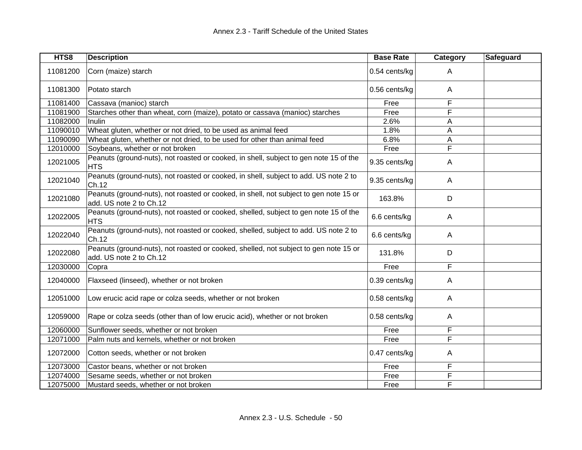| HTS8     | <b>Description</b>                                                                                               | <b>Base Rate</b> | Category       | Safeguard |
|----------|------------------------------------------------------------------------------------------------------------------|------------------|----------------|-----------|
| 11081200 | Corn (maize) starch                                                                                              | 0.54 cents/kg    | A              |           |
| 11081300 | Potato starch                                                                                                    | 0.56 cents/kg    | A              |           |
| 11081400 | Cassava (manioc) starch                                                                                          | Free             | F              |           |
| 11081900 | Starches other than wheat, corn (maize), potato or cassava (manioc) starches                                     | Free             | F              |           |
| 11082000 | Inulin                                                                                                           | 2.6%             | A              |           |
| 11090010 | Wheat gluten, whether or not dried, to be used as animal feed                                                    | 1.8%             | A              |           |
| 11090090 | Wheat gluten, whether or not dried, to be used for other than animal feed                                        | 6.8%             | А              |           |
| 12010000 | Soybeans, whether or not broken                                                                                  | Free             | F              |           |
| 12021005 | Peanuts (ground-nuts), not roasted or cooked, in shell, subject to gen note 15 of the<br><b>HTS</b>              | 9.35 cents/kg    | A              |           |
| 12021040 | Peanuts (ground-nuts), not roasted or cooked, in shell, subject to add. US note 2 to<br>Ch.12                    | 9.35 cents/kg    | A              |           |
| 12021080 | Peanuts (ground-nuts), not roasted or cooked, in shell, not subject to gen note 15 or<br>add. US note 2 to Ch.12 | 163.8%           | D              |           |
| 12022005 | Peanuts (ground-nuts), not roasted or cooked, shelled, subject to gen note 15 of the<br>HTS                      | 6.6 cents/kg     | A              |           |
| 12022040 | Peanuts (ground-nuts), not roasted or cooked, shelled, subject to add. US note 2 to<br>Ch.12                     | 6.6 cents/kg     | A              |           |
| 12022080 | Peanuts (ground-nuts), not roasted or cooked, shelled, not subject to gen note 15 or<br>add. US note 2 to Ch.12  | 131.8%           | D              |           |
| 12030000 | Copra                                                                                                            | Free             | F              |           |
| 12040000 | Flaxseed (linseed), whether or not broken                                                                        | 0.39 cents/kg    | A              |           |
| 12051000 | Low erucic acid rape or colza seeds, whether or not broken                                                       | 0.58 cents/kg    | A              |           |
| 12059000 | Rape or colza seeds (other than of low erucic acid), whether or not broken                                       | 0.58 cents/kg    | A              |           |
| 12060000 | Sunflower seeds, whether or not broken                                                                           | Free             | F              |           |
| 12071000 | Palm nuts and kernels, whether or not broken                                                                     | Free             | F              |           |
| 12072000 | Cotton seeds, whether or not broken                                                                              | 0.47 cents/kg    | Α              |           |
| 12073000 | Castor beans, whether or not broken                                                                              | Free             | F              |           |
| 12074000 | Sesame seeds, whether or not broken                                                                              | Free             | $\overline{F}$ |           |
| 12075000 | Mustard seeds, whether or not broken                                                                             | Free             | F              |           |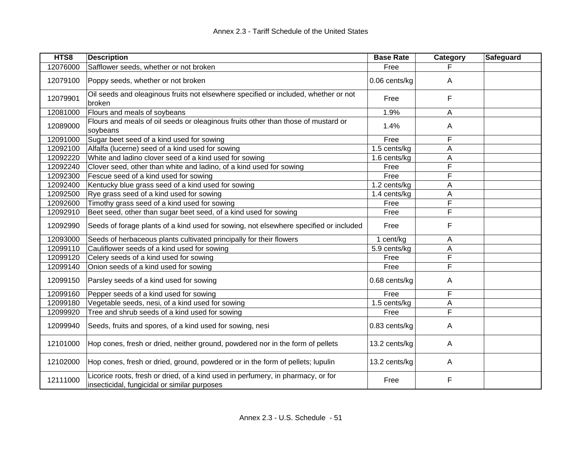| HTS8     | <b>Description</b>                                                                                                               | <b>Base Rate</b> | Category | Safeguard |
|----------|----------------------------------------------------------------------------------------------------------------------------------|------------------|----------|-----------|
| 12076000 | Safflower seeds, whether or not broken                                                                                           | Free             |          |           |
| 12079100 | Poppy seeds, whether or not broken                                                                                               | 0.06 cents/kg    | A        |           |
| 12079901 | Oil seeds and oleaginous fruits not elsewhere specified or included, whether or not<br>broken                                    | Free             | F        |           |
| 12081000 | Flours and meals of soybeans                                                                                                     | 1.9%             | А        |           |
| 12089000 | Flours and meals of oil seeds or oleaginous fruits other than those of mustard or<br>soybeans                                    | 1.4%             | A        |           |
| 12091000 | Sugar beet seed of a kind used for sowing                                                                                        | Free             | F        |           |
| 12092100 | Alfalfa (lucerne) seed of a kind used for sowing                                                                                 | 1.5 cents/kg     | А        |           |
| 12092220 | White and ladino clover seed of a kind used for sowing                                                                           | 1.6 cents/kg     | Α        |           |
| 12092240 | Clover seed, other than white and ladino, of a kind used for sowing                                                              | Free             | F        |           |
| 12092300 | Fescue seed of a kind used for sowing                                                                                            | Free             | F        |           |
| 12092400 | Kentucky blue grass seed of a kind used for sowing                                                                               | 1.2 cents/kg     | А        |           |
| 12092500 | Rye grass seed of a kind used for sowing                                                                                         | 1.4 cents/kg     | Α        |           |
| 12092600 | Timothy grass seed of a kind used for sowing                                                                                     | Free             | F        |           |
| 12092910 | Beet seed, other than sugar beet seed, of a kind used for sowing                                                                 | Free             | F        |           |
| 12092990 | Seeds of forage plants of a kind used for sowing, not elsewhere specified or included                                            | Free             | F        |           |
| 12093000 | Seeds of herbaceous plants cultivated principally for their flowers                                                              | 1 cent/kg        | A        |           |
| 12099110 | Cauliflower seeds of a kind used for sowing                                                                                      | 5.9 cents/kg     | A        |           |
| 12099120 | Celery seeds of a kind used for sowing                                                                                           | Free             | F        |           |
| 12099140 | Onion seeds of a kind used for sowing                                                                                            | Free             | F        |           |
| 12099150 | Parsley seeds of a kind used for sowing                                                                                          | 0.68 cents/kg    | A        |           |
| 12099160 | Pepper seeds of a kind used for sowing                                                                                           | Free             | F        |           |
| 12099180 | Vegetable seeds, nesi, of a kind used for sowing                                                                                 | 1.5 cents/kg     | Α        |           |
| 12099920 | Tree and shrub seeds of a kind used for sowing                                                                                   | Free             | F        |           |
| 12099940 | Seeds, fruits and spores, of a kind used for sowing, nesi                                                                        | 0.83 cents/kg    | A        |           |
| 12101000 | Hop cones, fresh or dried, neither ground, powdered nor in the form of pellets                                                   | 13.2 cents/kg    | A        |           |
| 12102000 | Hop cones, fresh or dried, ground, powdered or in the form of pellets; lupulin                                                   | 13.2 cents/kg    | A        |           |
| 12111000 | Licorice roots, fresh or dried, of a kind used in perfumery, in pharmacy, or for<br>insecticidal, fungicidal or similar purposes | Free             | F        |           |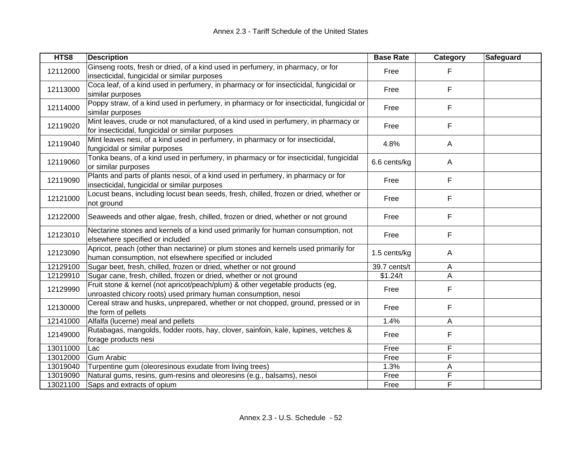| HTS8     | <b>Description</b>                                                                                                                              | <b>Base Rate</b>          | Category     | Safeguard |
|----------|-------------------------------------------------------------------------------------------------------------------------------------------------|---------------------------|--------------|-----------|
| 12112000 | Ginseng roots, fresh or dried, of a kind used in perfumery, in pharmacy, or for<br>insecticidal, fungicidal or similar purposes                 | Free                      | F.           |           |
| 12113000 | Coca leaf, of a kind used in perfumery, in pharmacy or for insecticidal, fungicidal or<br>similar purposes                                      | Free                      | F            |           |
| 12114000 | Poppy straw, of a kind used in perfumery, in pharmacy or for insecticidal, fungicidal or<br>similar purposes                                    | Free                      | F            |           |
| 12119020 | Mint leaves, crude or not manufactured, of a kind used in perfumery, in pharmacy or<br>for insecticidal, fungicidal or similar purposes         | Free                      | F            |           |
| 12119040 | Mint leaves nesi, of a kind used in perfumery, in pharmacy or for insecticidal,<br>fungicidal or similar purposes                               | 4.8%                      | $\mathsf{A}$ |           |
| 12119060 | Tonka beans, of a kind used in perfumery, in pharmacy or for insecticidal, fungicidal<br>or similar purposes                                    | 6.6 cents/kg              | $\mathsf{A}$ |           |
| 12119090 | Plants and parts of plants nesoi, of a kind used in perfumery, in pharmacy or for<br>insecticidal, fungicidal or similar purposes               | Free                      | F            |           |
| 12121000 | Locust beans, including locust bean seeds, fresh, chilled, frozen or dried, whether or<br>not ground                                            | Free                      | F            |           |
| 12122000 | Seaweeds and other algae, fresh, chilled, frozen or dried, whether or not ground                                                                | Free                      | F            |           |
| 12123010 | Nectarine stones and kernels of a kind used primarily for human consumption, not<br>elsewhere specified or included                             | Free                      | F            |           |
| 12123090 | Apricot, peach (other than nectarine) or plum stones and kernels used primarily for<br>human consumption, not elsewhere specified or included   | 1.5 cents/kg              | A            |           |
| 12129100 | Sugar beet, fresh, chilled, frozen or dried, whether or not ground                                                                              | $\overline{39.7}$ cents/t | A            |           |
| 12129910 | Sugar cane, fresh, chilled, frozen or dried, whether or not ground                                                                              | \$1.24/t                  | A            |           |
| 12129990 | Fruit stone & kernel (not apricot/peach/plum) & other vegetable products (eg,<br>unroasted chicory roots) used primary human consumption, nesoi | Free                      | F            |           |
| 12130000 | Cereal straw and husks, unprepared, whether or not chopped, ground, pressed or in<br>the form of pellets                                        | Free                      | F            |           |
| 12141000 | Alfalfa (lucerne) meal and pellets                                                                                                              | 1.4%                      | A            |           |
| 12149000 | Rutabagas, mangolds, fodder roots, hay, clover, sainfoin, kale, lupines, vetches &<br>forage products nesi                                      | Free                      | F            |           |
| 13011000 | Lac                                                                                                                                             | Free                      | F            |           |
| 13012000 | <b>Gum Arabic</b>                                                                                                                               | Free                      | F            |           |
| 13019040 | Turpentine gum (oleoresinous exudate from living trees)                                                                                         | 1.3%                      | A            |           |
| 13019090 | Natural gums, resins, gum-resins and oleoresins (e.g., balsams), nesoi                                                                          | Free                      | F            |           |
| 13021100 | Saps and extracts of opium                                                                                                                      | Free                      | F            |           |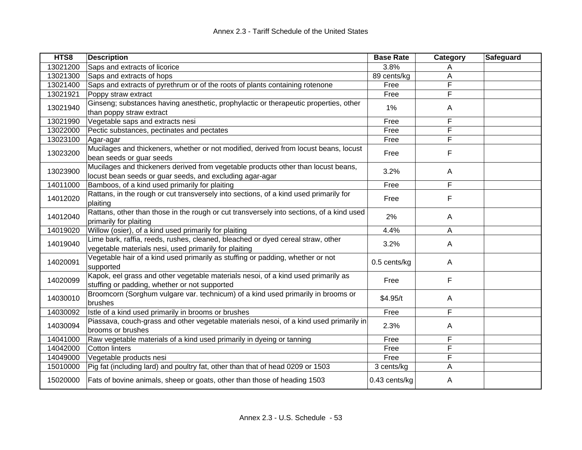| HTS8     | <b>Description</b>                                                                                                                            | <b>Base Rate</b> | Category     | Safeguard |
|----------|-----------------------------------------------------------------------------------------------------------------------------------------------|------------------|--------------|-----------|
| 13021200 | Saps and extracts of licorice                                                                                                                 | 3.8%             | A            |           |
| 13021300 | Saps and extracts of hops                                                                                                                     | 89 cents/kg      | Α            |           |
| 13021400 | Saps and extracts of pyrethrum or of the roots of plants containing rotenone                                                                  | Free             | F            |           |
| 13021921 | Poppy straw extract                                                                                                                           | Free             | F            |           |
| 13021940 | Ginseng; substances having anesthetic, prophylactic or therapeutic properties, other<br>than poppy straw extract                              | 1%               | A            |           |
| 13021990 | Vegetable saps and extracts nesi                                                                                                              | Free             | F            |           |
| 13022000 | Pectic substances, pectinates and pectates                                                                                                    | Free             | F            |           |
| 13023100 | Agar-agar                                                                                                                                     | Free             | F            |           |
| 13023200 | Mucilages and thickeners, whether or not modified, derived from locust beans, locust<br>bean seeds or guar seeds                              | Free             | F            |           |
| 13023900 | Mucilages and thickeners derived from vegetable products other than locust beans,<br>locust bean seeds or guar seeds, and excluding agar-agar | 3.2%             | $\mathsf{A}$ |           |
| 14011000 | Bamboos, of a kind used primarily for plaiting                                                                                                | Free             | F            |           |
| 14012020 | Rattans, in the rough or cut transversely into sections, of a kind used primarily for<br>plaiting                                             | Free             | F            |           |
| 14012040 | Rattans, other than those in the rough or cut transversely into sections, of a kind used<br>primarily for plaiting                            | 2%               | $\mathsf{A}$ |           |
| 14019020 | Willow (osier), of a kind used primarily for plaiting                                                                                         | 4.4%             | A            |           |
| 14019040 | Lime bark, raffia, reeds, rushes, cleaned, bleached or dyed cereal straw, other<br>vegetable materials nesi, used primarily for plaiting      | 3.2%             | $\mathsf{A}$ |           |
| 14020091 | Vegetable hair of a kind used primarily as stuffing or padding, whether or not<br>supported                                                   | 0.5 cents/kg     | $\mathsf{A}$ |           |
| 14020099 | Kapok, eel grass and other vegetable materials nesoi, of a kind used primarily as<br>stuffing or padding, whether or not supported            | Free             | F            |           |
| 14030010 | Broomcorn (Sorghum vulgare var. technicum) of a kind used primarily in brooms or<br>brushes                                                   | \$4.95/t         | A            |           |
| 14030092 | Istle of a kind used primarily in brooms or brushes                                                                                           | Free             | F            |           |
| 14030094 | Piassava, couch-grass and other vegetable materials nesoi, of a kind used primarily in<br>brooms or brushes                                   | 2.3%             | A            |           |
| 14041000 | Raw vegetable materials of a kind used primarily in dyeing or tanning                                                                         | Free             | F            |           |
| 14042000 | <b>Cotton linters</b>                                                                                                                         | Free             | F            |           |
| 14049000 | Vegetable products nesi                                                                                                                       | Free             | F            |           |
| 15010000 | Pig fat (including lard) and poultry fat, other than that of head 0209 or 1503                                                                | 3 cents/kg       | Α            |           |
| 15020000 | Fats of bovine animals, sheep or goats, other than those of heading 1503                                                                      | 0.43 cents/kg    | Α            |           |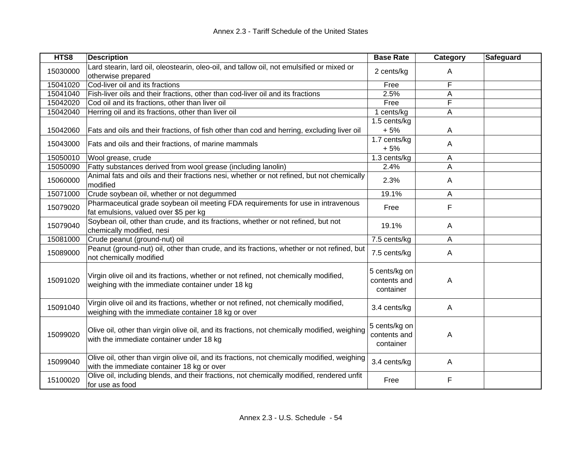| HTS8     | <b>Description</b>                                                                                                                          | <b>Base Rate</b>                           | Category       | Safeguard |
|----------|---------------------------------------------------------------------------------------------------------------------------------------------|--------------------------------------------|----------------|-----------|
| 15030000 | Lard stearin, lard oil, oleostearin, oleo-oil, and tallow oil, not emulsified or mixed or<br>otherwise prepared                             | 2 cents/kg                                 | A              |           |
| 15041020 | Cod-liver oil and its fractions                                                                                                             | Free                                       | F              |           |
| 15041040 | Fish-liver oils and their fractions, other than cod-liver oil and its fractions                                                             | 2.5%                                       | A              |           |
| 15042020 | Cod oil and its fractions, other than liver oil                                                                                             | Free                                       | F              |           |
| 15042040 | Herring oil and its fractions, other than liver oil                                                                                         | 1 cents/kg                                 | A              |           |
| 15042060 | Fats and oils and their fractions, of fish other than cod and herring, excluding liver oil                                                  | 1.5 cents/kg<br>$+5%$                      | Α              |           |
| 15043000 | Fats and oils and their fractions, of marine mammals                                                                                        | 1.7 cents/kg<br>$+5%$                      | A              |           |
| 15050010 | Wool grease, crude                                                                                                                          | 1.3 cents/kg                               | A              |           |
| 15050090 | Fatty substances derived from wool grease (including lanolin)                                                                               | 2.4%                                       | A              |           |
| 15060000 | Animal fats and oils and their fractions nesi, whether or not refined, but not chemically<br>modified                                       | 2.3%                                       | A              |           |
| 15071000 | Crude soybean oil, whether or not degummed                                                                                                  | 19.1%                                      | A              |           |
| 15079020 | Pharmaceutical grade soybean oil meeting FDA requirements for use in intravenous<br>fat emulsions, valued over \$5 per kg                   | Free                                       | F              |           |
| 15079040 | Soybean oil, other than crude, and its fractions, whether or not refined, but not<br>chemically modified, nesi                              | 19.1%                                      | $\overline{A}$ |           |
| 15081000 | Crude peanut (ground-nut) oil                                                                                                               | 7.5 cents/kg                               | $\overline{A}$ |           |
| 15089000 | Peanut (ground-nut) oil, other than crude, and its fractions, whether or not refined, but<br>not chemically modified                        | 7.5 cents/kg                               | A              |           |
| 15091020 | Virgin olive oil and its fractions, whether or not refined, not chemically modified,<br>weighing with the immediate container under 18 kg   | 5 cents/kg on<br>contents and<br>container | A              |           |
| 15091040 | Virgin olive oil and its fractions, whether or not refined, not chemically modified,<br>weighing with the immediate container 18 kg or over | 3.4 cents/kg                               | $\overline{A}$ |           |
| 15099020 | Olive oil, other than virgin olive oil, and its fractions, not chemically modified, weighing<br>with the immediate container under 18 kg    | 5 cents/kg on<br>contents and<br>container | A              |           |
| 15099040 | Olive oil, other than virgin olive oil, and its fractions, not chemically modified, weighing<br>with the immediate container 18 kg or over  | 3.4 cents/kg                               | A              |           |
| 15100020 | Olive oil, including blends, and their fractions, not chemically modified, rendered unfit<br>for use as food                                | Free                                       | F              |           |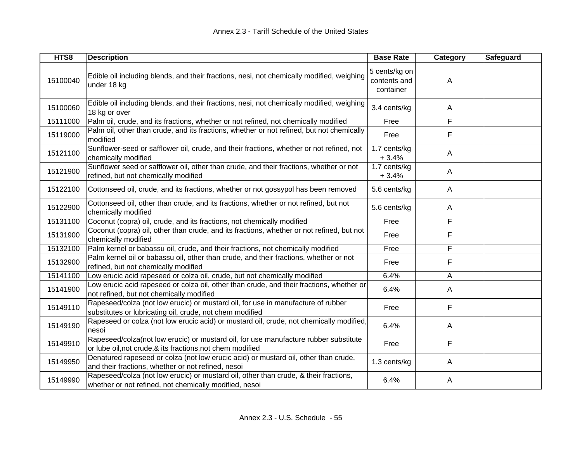| HTS8     | <b>Description</b>                                                                                                                                 | <b>Base Rate</b>                           | Category       | Safeguard |
|----------|----------------------------------------------------------------------------------------------------------------------------------------------------|--------------------------------------------|----------------|-----------|
| 15100040 | Edible oil including blends, and their fractions, nesi, not chemically modified, weighing<br>under 18 kg                                           | 5 cents/kg on<br>contents and<br>container | A              |           |
| 15100060 | Edible oil including blends, and their fractions, nesi, not chemically modified, weighing<br>18 kg or over                                         | 3.4 cents/kg                               | A              |           |
| 15111000 | Palm oil, crude, and its fractions, whether or not refined, not chemically modified                                                                | Free                                       | F              |           |
| 15119000 | Palm oil, other than crude, and its fractions, whether or not refined, but not chemically<br>modified                                              | Free                                       | F              |           |
| 15121100 | Sunflower-seed or safflower oil, crude, and their fractions, whether or not refined, not<br>chemically modified                                    | 1.7 cents/kg<br>$+3.4%$                    | $\mathsf{A}$   |           |
| 15121900 | Sunflower seed or safflower oil, other than crude, and their fractions, whether or not<br>refined, but not chemically modified                     | 1.7 cents/kg<br>$+3.4%$                    | A              |           |
| 15122100 | Cottonseed oil, crude, and its fractions, whether or not gossypol has been removed                                                                 | 5.6 cents/kg                               | $\overline{A}$ |           |
| 15122900 | Cottonseed oil, other than crude, and its fractions, whether or not refined, but not<br>chemically modified                                        | 5.6 cents/kg                               | A              |           |
| 15131100 | Coconut (copra) oil, crude, and its fractions, not chemically modified                                                                             | Free                                       | F              |           |
| 15131900 | Coconut (copra) oil, other than crude, and its fractions, whether or not refined, but not<br>chemically modified                                   | Free                                       | F              |           |
| 15132100 | Palm kernel or babassu oil, crude, and their fractions, not chemically modified                                                                    | Free                                       | F              |           |
| 15132900 | Palm kernel oil or babassu oil, other than crude, and their fractions, whether or not<br>refined, but not chemically modified                      | Free                                       | F              |           |
| 15141100 | Low erucic acid rapeseed or colza oil, crude, but not chemically modified                                                                          | 6.4%                                       | A              |           |
| 15141900 | Low erucic acid rapeseed or colza oil, other than crude, and their fractions, whether or<br>not refined, but not chemically modified               | 6.4%                                       | A              |           |
| 15149110 | Rapeseed/colza (not low erucic) or mustard oil, for use in manufacture of rubber<br>substitutes or lubricating oil, crude, not chem modified       | Free                                       | F              |           |
| 15149190 | Rapeseed or colza (not low erucic acid) or mustard oil, crude, not chemically modified,<br>nesoi                                                   | 6.4%                                       | $\mathsf{A}$   |           |
| 15149910 | Rapeseed/colza(not low erucic) or mustard oil, for use manufacture rubber substitute<br>or lube oil, not crude, & its fractions, not chem modified | Free                                       | F              |           |
| 15149950 | Denatured rapeseed or colza (not low erucic acid) or mustard oil, other than crude,<br>and their fractions, whether or not refined, nesoi          | 1.3 cents/kg                               | Α              |           |
| 15149990 | Rapeseed/colza (not low erucic) or mustard oil, other than crude, & their fractions,<br>whether or not refined, not chemically modified, nesoi     | 6.4%                                       | Α              |           |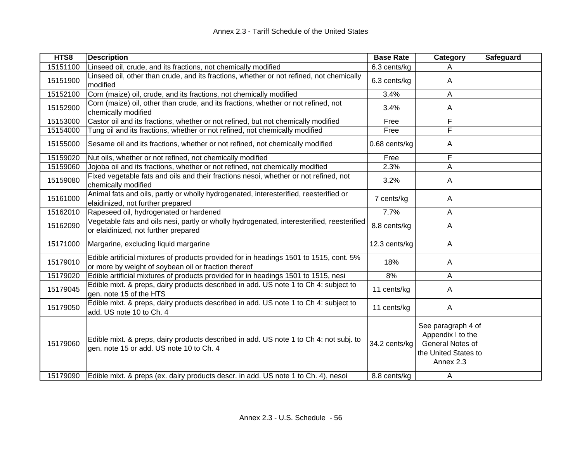| HTS8     | <b>Description</b>                                                                                                                             | <b>Base Rate</b> | <b>Category</b>                                                                                  | <b>Safeguard</b> |
|----------|------------------------------------------------------------------------------------------------------------------------------------------------|------------------|--------------------------------------------------------------------------------------------------|------------------|
| 15151100 | Linseed oil, crude, and its fractions, not chemically modified                                                                                 | 6.3 cents/kg     | A                                                                                                |                  |
| 15151900 | Linseed oil, other than crude, and its fractions, whether or not refined, not chemically<br>modified                                           | 6.3 cents/kg     | A                                                                                                |                  |
| 15152100 | Corn (maize) oil, crude, and its fractions, not chemically modified                                                                            | 3.4%             | A                                                                                                |                  |
| 15152900 | Corn (maize) oil, other than crude, and its fractions, whether or not refined, not<br>chemically modified                                      | 3.4%             | A                                                                                                |                  |
| 15153000 | Castor oil and its fractions, whether or not refined, but not chemically modified                                                              | Free             | F                                                                                                |                  |
| 15154000 | Tung oil and its fractions, whether or not refined, not chemically modified                                                                    | Free             | F                                                                                                |                  |
| 15155000 | Sesame oil and its fractions, whether or not refined, not chemically modified                                                                  | 0.68 cents/kg    | A                                                                                                |                  |
| 15159020 | Nut oils, whether or not refined, not chemically modified                                                                                      | Free             | F                                                                                                |                  |
| 15159060 | Jojoba oil and its fractions, whether or not refined, not chemically modified                                                                  | 2.3%             | A                                                                                                |                  |
| 15159080 | Fixed vegetable fats and oils and their fractions nesoi, whether or not refined, not<br>chemically modified                                    | 3.2%             | A                                                                                                |                  |
| 15161000 | Animal fats and oils, partly or wholly hydrogenated, interesterified, reesterified or<br>elaidinized, not further prepared                     | 7 cents/kg       | Α                                                                                                |                  |
| 15162010 | Rapeseed oil, hydrogenated or hardened                                                                                                         | 7.7%             | A                                                                                                |                  |
| 15162090 | Vegetable fats and oils nesi, partly or wholly hydrogenated, interesterified, reesterified<br>or elaidinized, not further prepared             | 8.8 cents/kg     | A                                                                                                |                  |
| 15171000 | Margarine, excluding liquid margarine                                                                                                          | 12.3 cents/kg    | A                                                                                                |                  |
| 15179010 | Edible artificial mixtures of products provided for in headings 1501 to 1515, cont. 5%<br>or more by weight of soybean oil or fraction thereof | 18%              | Α                                                                                                |                  |
| 15179020 | Edible artificial mixtures of products provided for in headings 1501 to 1515, nesi                                                             | 8%               | A                                                                                                |                  |
| 15179045 | Edible mixt. & preps, dairy products described in add. US note 1 to Ch 4: subject to<br>gen. note 15 of the HTS                                | 11 cents/kg      | A                                                                                                |                  |
| 15179050 | Edible mixt. & preps, dairy products described in add. US note 1 to Ch 4: subject to<br>add. US note 10 to Ch. 4                               | 11 cents/kg      | A                                                                                                |                  |
| 15179060 | Edible mixt. & preps, dairy products described in add. US note 1 to Ch 4: not subj. to<br>gen. note 15 or add. US note 10 to Ch. 4             | 34.2 cents/kg    | See paragraph 4 of<br>Appendix I to the<br>General Notes of<br>the United States to<br>Annex 2.3 |                  |
| 15179090 | Edible mixt. & preps (ex. dairy products descr. in add. US note 1 to Ch. 4), nesoi                                                             | 8.8 cents/kg     | A                                                                                                |                  |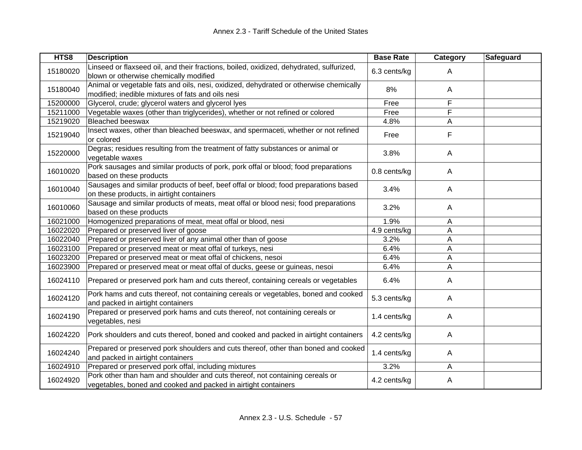| HTS8     | <b>Description</b>                                                                                                                             | <b>Base Rate</b> | Category     | Safeguard |
|----------|------------------------------------------------------------------------------------------------------------------------------------------------|------------------|--------------|-----------|
| 15180020 | Linseed or flaxseed oil, and their fractions, boiled, oxidized, dehydrated, sulfurized,<br>blown or otherwise chemically modified              | 6.3 cents/kg     | A            |           |
| 15180040 | Animal or vegetable fats and oils, nesi, oxidized, dehydrated or otherwise chemically<br>modified; inedible mixtures of fats and oils nesi     | 8%               | A            |           |
| 15200000 | Glycerol, crude; glycerol waters and glycerol lyes                                                                                             | Free             | F            |           |
| 15211000 | Vegetable waxes (other than triglycerides), whether or not refined or colored                                                                  | Free             | F            |           |
| 15219020 | <b>Bleached beeswax</b>                                                                                                                        | 4.8%             | Α            |           |
| 15219040 | Insect waxes, other than bleached beeswax, and spermaceti, whether or not refined<br>or colored                                                | Free             | F            |           |
| 15220000 | Degras; residues resulting from the treatment of fatty substances or animal or<br>vegetable waxes                                              | 3.8%             | $\mathsf{A}$ |           |
| 16010020 | Pork sausages and similar products of pork, pork offal or blood; food preparations<br>based on these products                                  | 0.8 cents/kg     | $\mathsf{A}$ |           |
| 16010040 | Sausages and similar products of beef, beef offal or blood; food preparations based<br>on these products, in airtight containers               | 3.4%             | $\mathsf{A}$ |           |
| 16010060 | Sausage and similar products of meats, meat offal or blood nesi; food preparations<br>based on these products                                  | 3.2%             | A            |           |
| 16021000 | Homogenized preparations of meat, meat offal or blood, nesi                                                                                    | 1.9%             | A            |           |
| 16022020 | Prepared or preserved liver of goose                                                                                                           | 4.9 cents/kg     | Α            |           |
| 16022040 | Prepared or preserved liver of any animal other than of goose                                                                                  | 3.2%             | Α            |           |
| 16023100 | Prepared or preserved meat or meat offal of turkeys, nesi                                                                                      | 6.4%             | Α            |           |
| 16023200 | Prepared or preserved meat or meat offal of chickens, nesoi                                                                                    | 6.4%             | A            |           |
| 16023900 | Prepared or preserved meat or meat offal of ducks, geese or guineas, nesoi                                                                     | 6.4%             | A            |           |
| 16024110 | Prepared or preserved pork ham and cuts thereof, containing cereals or vegetables                                                              | 6.4%             | A            |           |
| 16024120 | Pork hams and cuts thereof, not containing cereals or vegetables, boned and cooked<br>and packed in airtight containers                        | 5.3 cents/kg     | A            |           |
| 16024190 | Prepared or preserved pork hams and cuts thereof, not containing cereals or<br>vegetables, nesi                                                | 1.4 cents/kg     | A            |           |
| 16024220 | Pork shoulders and cuts thereof, boned and cooked and packed in airtight containers                                                            | 4.2 cents/kg     | $\mathsf{A}$ |           |
| 16024240 | Prepared or preserved pork shoulders and cuts thereof, other than boned and cooked<br>and packed in airtight containers                        | 1.4 cents/kg     | A            |           |
| 16024910 | Prepared or preserved pork offal, including mixtures                                                                                           | 3.2%             | A            |           |
| 16024920 | Pork other than ham and shoulder and cuts thereof, not containing cereals or<br>vegetables, boned and cooked and packed in airtight containers | 4.2 cents/kg     | Α            |           |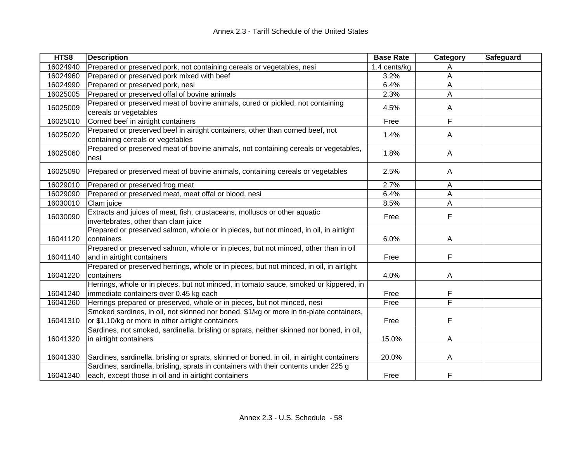| HTS8     | <b>Description</b>                                                                                                                           | <b>Base Rate</b> | Category                | Safeguard |
|----------|----------------------------------------------------------------------------------------------------------------------------------------------|------------------|-------------------------|-----------|
| 16024940 | Prepared or preserved pork, not containing cereals or vegetables, nesi                                                                       | 1.4 cents/kg     | Α                       |           |
| 16024960 | Prepared or preserved pork mixed with beef                                                                                                   | 3.2%             | Α                       |           |
| 16024990 | Prepared or preserved pork, nesi                                                                                                             | 6.4%             | A                       |           |
| 16025005 | Prepared or preserved offal of bovine animals                                                                                                | 2.3%             | A                       |           |
| 16025009 | Prepared or preserved meat of bovine animals, cured or pickled, not containing<br>cereals or vegetables                                      | 4.5%             | Α                       |           |
| 16025010 | Corned beef in airtight containers                                                                                                           | Free             | F                       |           |
| 16025020 | Prepared or preserved beef in airtight containers, other than corned beef, not<br>containing cereals or vegetables                           | 1.4%             | Α                       |           |
| 16025060 | Prepared or preserved meat of bovine animals, not containing cereals or vegetables,<br>nesi                                                  | 1.8%             | A                       |           |
| 16025090 | Prepared or preserved meat of bovine animals, containing cereals or vegetables                                                               | 2.5%             | A                       |           |
| 16029010 | Prepared or preserved frog meat                                                                                                              | 2.7%             | A                       |           |
| 16029090 | Prepared or preserved meat, meat offal or blood, nesi                                                                                        | 6.4%             | A                       |           |
| 16030010 | Clam juice                                                                                                                                   | 8.5%             | Α                       |           |
| 16030090 | Extracts and juices of meat, fish, crustaceans, molluscs or other aquatic<br>invertebrates, other than clam juice                            | Free             | F                       |           |
| 16041120 | Prepared or preserved salmon, whole or in pieces, but not minced, in oil, in airtight<br>containers                                          | 6.0%             | A                       |           |
| 16041140 | Prepared or preserved salmon, whole or in pieces, but not minced, other than in oil<br>and in airtight containers                            | Free             | F                       |           |
| 16041220 | Prepared or preserved herrings, whole or in pieces, but not minced, in oil, in airtight<br>containers                                        | 4.0%             | A                       |           |
| 16041240 | Herrings, whole or in pieces, but not minced, in tomato sauce, smoked or kippered, in<br>immediate containers over 0.45 kg each              | Free             | F                       |           |
| 16041260 | Herrings prepared or preserved, whole or in pieces, but not minced, nesi                                                                     | Free             | $\overline{\mathsf{F}}$ |           |
| 16041310 | Smoked sardines, in oil, not skinned nor boned, \$1/kg or more in tin-plate containers,<br>or \$1.10/kg or more in other airtight containers | Free             | F                       |           |
| 16041320 | Sardines, not smoked, sardinella, brisling or sprats, neither skinned nor boned, in oil,<br>in airtight containers                           | 15.0%            | A                       |           |
| 16041330 | Sardines, sardinella, brisling or sprats, skinned or boned, in oil, in airtight containers                                                   | 20.0%            | Α                       |           |
| 16041340 | Sardines, sardinella, brisling, sprats in containers with their contents under 225 g<br>each, except those in oil and in airtight containers | Free             | F                       |           |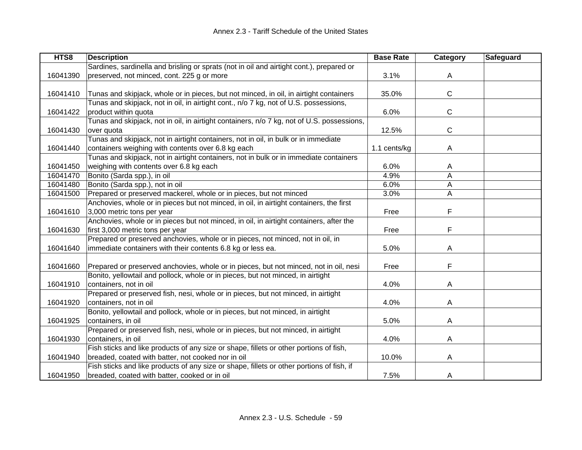| HTS8     | <b>Description</b>                                                                         | <b>Base Rate</b> | Category | <b>Safeguard</b> |
|----------|--------------------------------------------------------------------------------------------|------------------|----------|------------------|
|          | Sardines, sardinella and brisling or sprats (not in oil and airtight cont.), prepared or   |                  |          |                  |
| 16041390 | preserved, not minced, cont. 225 g or more                                                 | 3.1%             | A        |                  |
|          |                                                                                            |                  |          |                  |
| 16041410 | Tunas and skipjack, whole or in pieces, but not minced, in oil, in airtight containers     | 35.0%            | C        |                  |
|          | Tunas and skipjack, not in oil, in airtight cont., n/o 7 kg, not of U.S. possessions,      |                  |          |                  |
| 16041422 | product within quota                                                                       | 6.0%             | С        |                  |
|          | Tunas and skipjack, not in oil, in airtight containers, n/o 7 kg, not of U.S. possessions, |                  |          |                  |
| 16041430 | over quota                                                                                 | 12.5%            | C        |                  |
|          | Tunas and skipjack, not in airtight containers, not in oil, in bulk or in immediate        |                  |          |                  |
| 16041440 | containers weighing with contents over 6.8 kg each                                         | 1.1 cents/kg     | A        |                  |
|          | Tunas and skipjack, not in airtight containers, not in bulk or in immediate containers     |                  |          |                  |
| 16041450 | weighing with contents over 6.8 kg each                                                    | 6.0%             | A        |                  |
| 16041470 | Bonito (Sarda spp.), in oil                                                                | 4.9%             | Α        |                  |
| 16041480 | Bonito (Sarda spp.), not in oil                                                            | 6.0%             | A        |                  |
| 16041500 | Prepared or preserved mackerel, whole or in pieces, but not minced                         | 3.0%             | A        |                  |
|          | Anchovies, whole or in pieces but not minced, in oil, in airtight containers, the first    |                  |          |                  |
| 16041610 | 3,000 metric tons per year                                                                 | Free             | F        |                  |
|          | Anchovies, whole or in pieces but not minced, in oil, in airtight containers, after the    |                  |          |                  |
| 16041630 | first 3,000 metric tons per year                                                           | Free             | F        |                  |
|          | Prepared or preserved anchovies, whole or in pieces, not minced, not in oil, in            |                  |          |                  |
| 16041640 | immediate containers with their contents 6.8 kg or less ea.                                | 5.0%             | A        |                  |
|          |                                                                                            |                  |          |                  |
| 16041660 | Prepared or preserved anchovies, whole or in pieces, but not minced, not in oil, nesi      | Free             | F        |                  |
|          | Bonito, yellowtail and pollock, whole or in pieces, but not minced, in airtight            |                  |          |                  |
| 16041910 | containers, not in oil                                                                     | 4.0%             | A        |                  |
|          | Prepared or preserved fish, nesi, whole or in pieces, but not minced, in airtight          |                  |          |                  |
| 16041920 | containers, not in oil                                                                     | 4.0%             | A        |                  |
|          | Bonito, yellowtail and pollock, whole or in pieces, but not minced, in airtight            |                  |          |                  |
| 16041925 | containers, in oil                                                                         | 5.0%             | A        |                  |
|          | Prepared or preserved fish, nesi, whole or in pieces, but not minced, in airtight          |                  |          |                  |
| 16041930 | containers, in oil                                                                         | 4.0%             | A        |                  |
|          | Fish sticks and like products of any size or shape, fillets or other portions of fish,     |                  |          |                  |
| 16041940 | breaded, coated with batter, not cooked nor in oil                                         | 10.0%            | A        |                  |
|          | Fish sticks and like products of any size or shape, fillets or other portions of fish, if  |                  |          |                  |
| 16041950 | breaded, coated with batter, cooked or in oil                                              | 7.5%             | A        |                  |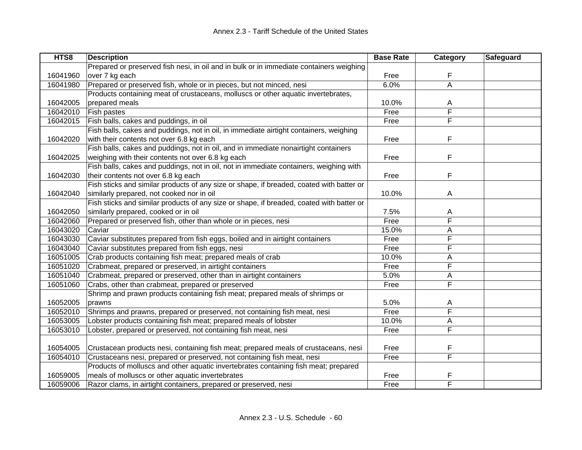| HTS8     | <b>Description</b>                                                                       | <b>Base Rate</b> | Category | Safeguard |
|----------|------------------------------------------------------------------------------------------|------------------|----------|-----------|
|          | Prepared or preserved fish nesi, in oil and in bulk or in immediate containers weighing  |                  |          |           |
| 16041960 | over 7 kg each                                                                           | Free             | F        |           |
| 16041980 | Prepared or preserved fish, whole or in pieces, but not minced, nesi                     | 6.0%             | A        |           |
|          | Products containing meat of crustaceans, molluscs or other aquatic invertebrates,        |                  |          |           |
| 16042005 | prepared meals                                                                           | 10.0%            | A        |           |
| 16042010 | Fish pastes                                                                              | Free             | F        |           |
| 16042015 | Fish balls, cakes and puddings, in oil                                                   | Free             | F        |           |
|          | Fish balls, cakes and puddings, not in oil, in immediate airtight containers, weighing   |                  |          |           |
| 16042020 | with their contents not over 6.8 kg each                                                 | Free             | F        |           |
|          | Fish balls, cakes and puddings, not in oil, and in immediate nonairtight containers      |                  |          |           |
| 16042025 | weighing with their contents not over 6.8 kg each                                        | Free             | F        |           |
|          | Fish balls, cakes and puddings, not in oil, not in immediate containers, weighing with   |                  |          |           |
| 16042030 | their contents not over 6.8 kg each                                                      | Free             | F        |           |
|          | Fish sticks and similar products of any size or shape, if breaded, coated with batter or |                  |          |           |
| 16042040 | similarly prepared, not cooked nor in oil                                                | 10.0%            | A        |           |
|          | Fish sticks and similar products of any size or shape, if breaded, coated with batter or |                  |          |           |
| 16042050 | similarly prepared, cooked or in oil                                                     | 7.5%             | A        |           |
| 16042060 | Prepared or preserved fish, other than whole or in pieces, nesi                          | Free             | F        |           |
| 16043020 | Caviar                                                                                   | 15.0%            | A        |           |
| 16043030 | Caviar substitutes prepared from fish eggs, boiled and in airtight containers            | Free             | F        |           |
| 16043040 | Caviar substitutes prepared from fish eggs, nesi                                         | Free             | F        |           |
| 16051005 | Crab products containing fish meat; prepared meals of crab                               | 10.0%            | A        |           |
| 16051020 | Crabmeat, prepared or preserved, in airtight containers                                  | Free             | F        |           |
| 16051040 | Crabmeat, prepared or preserved, other than in airtight containers                       | 5.0%             | Α        |           |
| 16051060 | Crabs, other than crabmeat, prepared or preserved                                        | Free             | F        |           |
|          | Shrimp and prawn products containing fish meat; prepared meals of shrimps or             |                  |          |           |
| 16052005 | prawns                                                                                   | 5.0%             | A        |           |
| 16052010 | Shrimps and prawns, prepared or preserved, not containing fish meat, nesi                | Free             | F        |           |
| 16053005 | Lobster products containing fish meat; prepared meals of lobster                         | 10.0%            | Α        |           |
| 16053010 | Lobster, prepared or preserved, not containing fish meat, nesi                           | Free             | F        |           |
|          |                                                                                          |                  |          |           |
| 16054005 | Crustacean products nesi, containing fish meat; prepared meals of crustaceans, nesi      | Free             | F        |           |
| 16054010 | Crustaceans nesi, prepared or preserved, not containing fish meat, nesi                  | Free             | F        |           |
|          | Products of molluscs and other aquatic invertebrates containing fish meat; prepared      |                  |          |           |
| 16059005 | meals of molluscs or other aquatic invertebrates                                         | Free             | F        |           |
| 16059006 | Razor clams, in airtight containers, prepared or preserved, nesi                         | Free             | F        |           |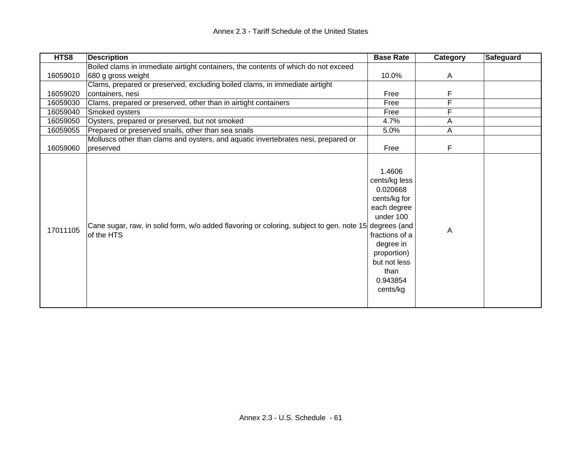| HTS8     | <b>Description</b>                                                                                                  | <b>Base Rate</b>                                                                                                                                                              | Category | <b>Safeguard</b> |
|----------|---------------------------------------------------------------------------------------------------------------------|-------------------------------------------------------------------------------------------------------------------------------------------------------------------------------|----------|------------------|
|          | Boiled clams in immediate airtight containers, the contents of which do not exceed                                  |                                                                                                                                                                               |          |                  |
| 16059010 | 680 g gross weight                                                                                                  | 10.0%                                                                                                                                                                         | A        |                  |
|          | Clams, prepared or preserved, excluding boiled clams, in immediate airtight                                         |                                                                                                                                                                               |          |                  |
| 16059020 | containers, nesi                                                                                                    | Free                                                                                                                                                                          | F        |                  |
| 16059030 | Clams, prepared or preserved, other than in airtight containers                                                     | Free                                                                                                                                                                          | F        |                  |
| 16059040 | Smoked oysters                                                                                                      | Free                                                                                                                                                                          | F        |                  |
| 16059050 | Oysters, prepared or preserved, but not smoked                                                                      | 4.7%                                                                                                                                                                          | Α        |                  |
| 16059055 | Prepared or preserved snails, other than sea snails                                                                 | 5.0%                                                                                                                                                                          | Α        |                  |
|          | Molluscs other than clams and oysters, and aquatic invertebrates nesi, prepared or                                  |                                                                                                                                                                               |          |                  |
| 16059060 | preserved                                                                                                           | Free                                                                                                                                                                          | F        |                  |
| 17011105 | Cane sugar, raw, in solid form, w/o added flavoring or coloring, subject to gen. note 15 degrees (and<br>of the HTS | 1.4606<br>cents/kg less<br>0.020668<br>cents/kg for<br>each degree<br>under 100<br>fractions of a<br>degree in<br>proportion)<br>but not less<br>than<br>0.943854<br>cents/kg | Α        |                  |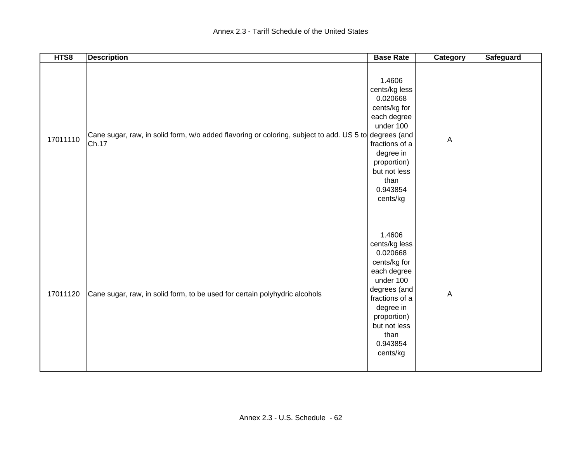| HTS8     | <b>Description</b>                                                                                             | <b>Base Rate</b>                                                                                                                                                                              | <b>Category</b> | <b>Safeguard</b> |
|----------|----------------------------------------------------------------------------------------------------------------|-----------------------------------------------------------------------------------------------------------------------------------------------------------------------------------------------|-----------------|------------------|
| 17011110 | Cane sugar, raw, in solid form, w/o added flavoring or coloring, subject to add. US 5 to degrees (and<br>Ch.17 | 1.4606<br>cents/kg less<br>0.020668<br>cents/kg for<br>each degree<br>under 100<br>fractions of a<br>degree in<br>proportion)<br>but not less<br>than<br>0.943854<br>cents/kg                 | $\overline{A}$  |                  |
| 17011120 | Cane sugar, raw, in solid form, to be used for certain polyhydric alcohols                                     | 1.4606<br>cents/kg less<br>0.020668<br>cents/kg for<br>each degree<br>under 100<br>degrees (and<br>fractions of a<br>degree in<br>proportion)<br>but not less<br>than<br>0.943854<br>cents/kg | $\overline{A}$  |                  |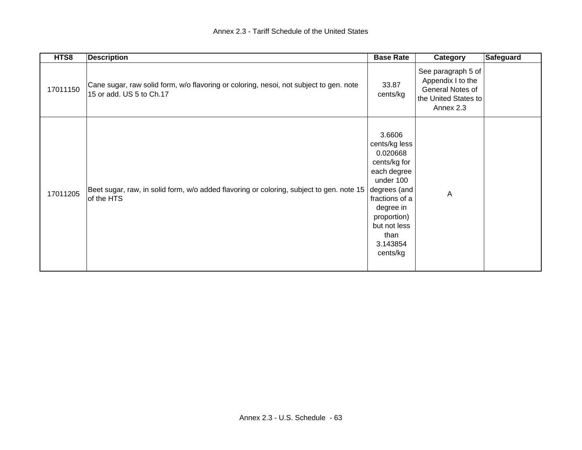| HTS8     | <b>Description</b>                                                                                                 | <b>Base Rate</b>                                                                                                                                                                              | Category                                                                                         | Safeguard |
|----------|--------------------------------------------------------------------------------------------------------------------|-----------------------------------------------------------------------------------------------------------------------------------------------------------------------------------------------|--------------------------------------------------------------------------------------------------|-----------|
| 17011150 | Cane sugar, raw solid form, w/o flavoring or coloring, nesoi, not subject to gen. note<br>15 or add. US 5 to Ch.17 | 33.87<br>cents/kg                                                                                                                                                                             | See paragraph 5 of<br>Appendix I to the<br>General Notes of<br>the United States to<br>Annex 2.3 |           |
| 17011205 | Beet sugar, raw, in solid form, w/o added flavoring or coloring, subject to gen. note 15<br>of the HTS             | 3.6606<br>cents/kg less<br>0.020668<br>cents/kg for<br>each degree<br>under 100<br>degrees (and<br>fractions of a<br>degree in<br>proportion)<br>but not less<br>than<br>3.143854<br>cents/kg | A                                                                                                |           |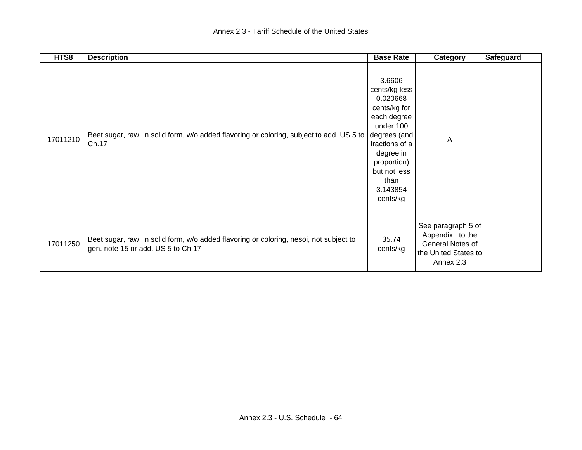| HTS8     | <b>Description</b>                                                                                                           | <b>Base Rate</b>                                                                                                                                                                              | Category                                                                                         | Safeguard |
|----------|------------------------------------------------------------------------------------------------------------------------------|-----------------------------------------------------------------------------------------------------------------------------------------------------------------------------------------------|--------------------------------------------------------------------------------------------------|-----------|
| 17011210 | Beet sugar, raw, in solid form, w/o added flavoring or coloring, subject to add. US 5 to<br>Ch.17                            | 3.6606<br>cents/kg less<br>0.020668<br>cents/kg for<br>each degree<br>under 100<br>degrees (and<br>fractions of a<br>degree in<br>proportion)<br>but not less<br>than<br>3.143854<br>cents/kg | $\overline{A}$                                                                                   |           |
| 17011250 | Beet sugar, raw, in solid form, w/o added flavoring or coloring, nesoi, not subject to<br>gen. note 15 or add. US 5 to Ch.17 | 35.74<br>cents/kg                                                                                                                                                                             | See paragraph 5 of<br>Appendix I to the<br>General Notes of<br>the United States to<br>Annex 2.3 |           |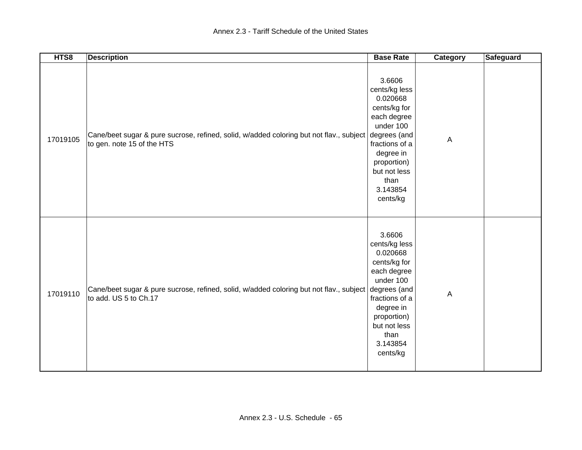| HTS8     | <b>Description</b>                                                                                                                 | <b>Base Rate</b>                                                                                                                                                              | <b>Category</b> | <b>Safeguard</b> |
|----------|------------------------------------------------------------------------------------------------------------------------------------|-------------------------------------------------------------------------------------------------------------------------------------------------------------------------------|-----------------|------------------|
| 17019105 | Cane/beet sugar & pure sucrose, refined, solid, w/added coloring but not flav., subject degrees (and<br>to gen. note 15 of the HTS | 3.6606<br>cents/kg less<br>0.020668<br>cents/kg for<br>each degree<br>under 100<br>fractions of a<br>degree in<br>proportion)<br>but not less<br>than<br>3.143854<br>cents/kg | $\overline{A}$  |                  |
| 17019110 | Cane/beet sugar & pure sucrose, refined, solid, w/added coloring but not flav., subject degrees (and<br>to add. US 5 to Ch.17      | 3.6606<br>cents/kg less<br>0.020668<br>cents/kg for<br>each degree<br>under 100<br>fractions of a<br>degree in<br>proportion)<br>but not less<br>than<br>3.143854<br>cents/kg | $\overline{A}$  |                  |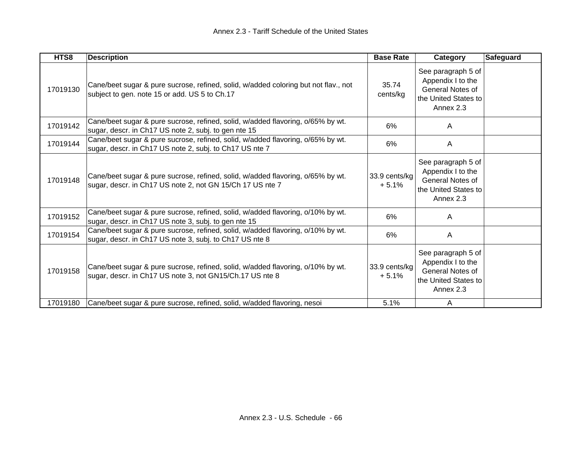| HTS8     | <b>Description</b>                                                                                                                           | <b>Base Rate</b>         | Category                                                                                                | Safeguard |
|----------|----------------------------------------------------------------------------------------------------------------------------------------------|--------------------------|---------------------------------------------------------------------------------------------------------|-----------|
| 17019130 | Cane/beet sugar & pure sucrose, refined, solid, w/added coloring but not flav., not<br>subject to gen. note 15 or add. US 5 to Ch.17         | 35.74<br>cents/kg        | See paragraph 5 of<br>Appendix I to the<br>General Notes of<br>the United States to<br>Annex 2.3        |           |
| 17019142 | Cane/beet sugar & pure sucrose, refined, solid, w/added flavoring, o/65% by wt.<br>sugar, descr. in Ch17 US note 2, subj. to gen nte 15      | 6%                       | A                                                                                                       |           |
| 17019144 | Cane/beet sugar & pure sucrose, refined, solid, w/added flavoring, o/65% by wt.<br>sugar, descr. in Ch17 US note 2, subj. to Ch17 US nte 7   | 6%                       | A                                                                                                       |           |
| 17019148 | Cane/beet sugar & pure sucrose, refined, solid, w/added flavoring, o/65% by wt.<br>sugar, descr. in Ch17 US note 2, not GN 15/Ch 17 US nte 7 | 33.9 cents/kg<br>$+5.1%$ | See paragraph 5 of<br>Appendix I to the<br><b>General Notes of</b><br>the United States to<br>Annex 2.3 |           |
| 17019152 | Cane/beet sugar & pure sucrose, refined, solid, w/added flavoring, o/10% by wt.<br>sugar, descr. in Ch17 US note 3, subj. to gen nte 15      | 6%                       | A                                                                                                       |           |
| 17019154 | Cane/beet sugar & pure sucrose, refined, solid, w/added flavoring, o/10% by wt.<br>sugar, descr. in Ch17 US note 3, subj. to Ch17 US nte 8   | 6%                       | A                                                                                                       |           |
| 17019158 | Cane/beet sugar & pure sucrose, refined, solid, w/added flavoring, o/10% by wt.<br>sugar, descr. in Ch17 US note 3, not GN15/Ch.17 US nte 8  | 33.9 cents/kg<br>$+5.1%$ | See paragraph 5 of<br>Appendix I to the<br>General Notes of<br>the United States to<br>Annex 2.3        |           |
| 17019180 | Cane/beet sugar & pure sucrose, refined, solid, w/added flavoring, nesoi                                                                     | 5.1%                     | A                                                                                                       |           |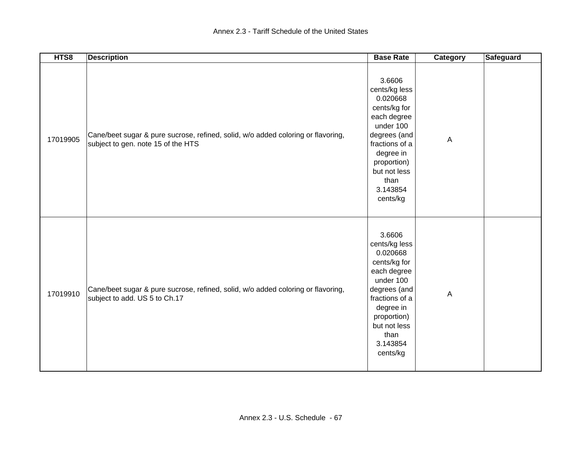| HTS8     | <b>Description</b>                                                                                                     | <b>Base Rate</b>                                                                                                                                                                              | Category     | <b>Safeguard</b> |
|----------|------------------------------------------------------------------------------------------------------------------------|-----------------------------------------------------------------------------------------------------------------------------------------------------------------------------------------------|--------------|------------------|
| 17019905 | Cane/beet sugar & pure sucrose, refined, solid, w/o added coloring or flavoring,<br>subject to gen. note 15 of the HTS | 3.6606<br>cents/kg less<br>0.020668<br>cents/kg for<br>each degree<br>under 100<br>degrees (and<br>fractions of a<br>degree in<br>proportion)<br>but not less<br>than<br>3.143854<br>cents/kg | $\mathsf{A}$ |                  |
| 17019910 | Cane/beet sugar & pure sucrose, refined, solid, w/o added coloring or flavoring,<br>subject to add. US 5 to Ch.17      | 3.6606<br>cents/kg less<br>0.020668<br>cents/kg for<br>each degree<br>under 100<br>degrees (and<br>fractions of a<br>degree in<br>proportion)<br>but not less<br>than<br>3.143854<br>cents/kg | $\mathsf{A}$ |                  |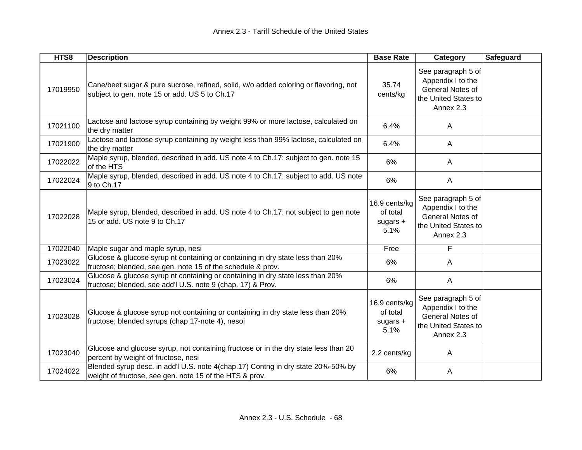| HTS8     | <b>Description</b>                                                                                                                            | <b>Base Rate</b>                                | Category                                                                                         | <b>Safeguard</b> |
|----------|-----------------------------------------------------------------------------------------------------------------------------------------------|-------------------------------------------------|--------------------------------------------------------------------------------------------------|------------------|
| 17019950 | Cane/beet sugar & pure sucrose, refined, solid, w/o added coloring or flavoring, not<br>subject to gen. note 15 or add. US 5 to Ch.17         | 35.74<br>cents/kg                               | See paragraph 5 of<br>Appendix I to the<br>General Notes of<br>the United States to<br>Annex 2.3 |                  |
| 17021100 | Lactose and lactose syrup containing by weight 99% or more lactose, calculated on<br>the dry matter                                           | 6.4%                                            | A                                                                                                |                  |
| 17021900 | Lactose and lactose syrup containing by weight less than 99% lactose, calculated on<br>the dry matter                                         | 6.4%                                            | A                                                                                                |                  |
| 17022022 | Maple syrup, blended, described in add. US note 4 to Ch.17: subject to gen. note 15<br>of the HTS                                             | 6%                                              | A                                                                                                |                  |
| 17022024 | Maple syrup, blended, described in add. US note 4 to Ch.17: subject to add. US note<br>9 to Ch.17                                             | 6%                                              | A                                                                                                |                  |
| 17022028 | Maple syrup, blended, described in add. US note 4 to Ch.17: not subject to gen note<br>15 or add. US note 9 to Ch.17                          | 16.9 cents/kg<br>of total<br>sugars $+$<br>5.1% | See paragraph 5 of<br>Appendix I to the<br>General Notes of<br>the United States to<br>Annex 2.3 |                  |
| 17022040 | Maple sugar and maple syrup, nesi                                                                                                             | Free                                            | F                                                                                                |                  |
| 17023022 | Glucose & glucose syrup nt containing or containing in dry state less than 20%<br>fructose; blended, see gen. note 15 of the schedule & prov. | 6%                                              | A                                                                                                |                  |
| 17023024 | Glucose & glucose syrup nt containing or containing in dry state less than 20%<br>fructose; blended, see add'l U.S. note 9 (chap. 17) & Prov. | 6%                                              | $\mathsf{A}$                                                                                     |                  |
| 17023028 | Glucose & glucose syrup not containing or containing in dry state less than 20%<br>fructose; blended syrups (chap 17-note 4), nesoi           | 16.9 cents/kg<br>of total<br>sugars $+$<br>5.1% | See paragraph 5 of<br>Appendix I to the<br>General Notes of<br>the United States to<br>Annex 2.3 |                  |
| 17023040 | Glucose and glucose syrup, not containing fructose or in the dry state less than 20<br>percent by weight of fructose, nesi                    | 2.2 cents/kg                                    | A                                                                                                |                  |
| 17024022 | Blended syrup desc. in add'l U.S. note 4(chap.17) Contng in dry state 20%-50% by<br>weight of fructose, see gen. note 15 of the HTS & prov.   | 6%                                              | A                                                                                                |                  |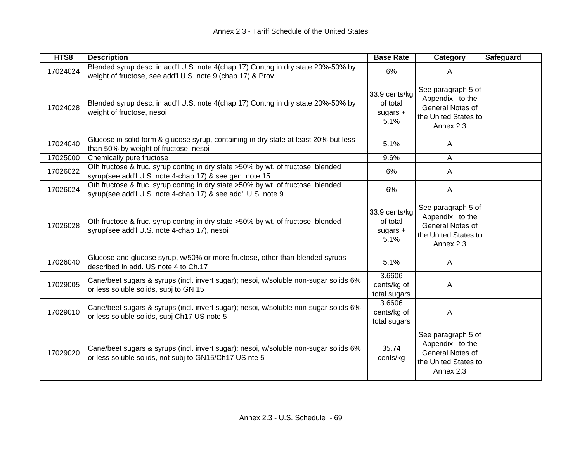| HTS8     | <b>Description</b>                                                                                                                              | <b>Base Rate</b>                                | <b>Category</b>                                                                                  | <b>Safeguard</b> |
|----------|-------------------------------------------------------------------------------------------------------------------------------------------------|-------------------------------------------------|--------------------------------------------------------------------------------------------------|------------------|
| 17024024 | Blended syrup desc. in add'l U.S. note 4(chap.17) Contng in dry state 20%-50% by<br>weight of fructose, see add'l U.S. note 9 (chap.17) & Prov. | 6%                                              | A                                                                                                |                  |
| 17024028 | Blended syrup desc. in add'l U.S. note 4(chap.17) Contng in dry state 20%-50% by<br>weight of fructose, nesoi                                   | 33.9 cents/kg<br>of total<br>sugars $+$<br>5.1% | See paragraph 5 of<br>Appendix I to the<br>General Notes of<br>the United States to<br>Annex 2.3 |                  |
| 17024040 | Glucose in solid form & glucose syrup, containing in dry state at least 20% but less<br>than 50% by weight of fructose, nesoi                   | 5.1%                                            | A                                                                                                |                  |
| 17025000 | Chemically pure fructose                                                                                                                        | 9.6%                                            | A                                                                                                |                  |
| 17026022 | Oth fructose & fruc. syrup contng in dry state >50% by wt. of fructose, blended<br>syrup(see add'l U.S. note 4-chap 17) & see gen. note 15      | 6%                                              | A                                                                                                |                  |
| 17026024 | Oth fructose & fruc. syrup contng in dry state >50% by wt. of fructose, blended<br>syrup(see add'l U.S. note 4-chap 17) & see add'l U.S. note 9 | 6%                                              | $\mathsf{A}$                                                                                     |                  |
| 17026028 | Oth fructose & fruc. syrup contng in dry state >50% by wt. of fructose, blended<br>syrup(see add'l U.S. note 4-chap 17), nesoi                  | 33.9 cents/kg<br>of total<br>sugars $+$<br>5.1% | See paragraph 5 of<br>Appendix I to the<br>General Notes of<br>the United States to<br>Annex 2.3 |                  |
| 17026040 | Glucose and glucose syrup, w/50% or more fructose, other than blended syrups<br>described in add. US note 4 to Ch.17                            | 5.1%                                            | A                                                                                                |                  |
| 17029005 | Cane/beet sugars & syrups (incl. invert sugar); nesoi, w/soluble non-sugar solids 6%<br>or less soluble solids, subj to GN 15                   | 3.6606<br>cents/kg of<br>total sugars           | A                                                                                                |                  |
| 17029010 | Cane/beet sugars & syrups (incl. invert sugar); nesoi, w/soluble non-sugar solids 6%<br>or less soluble solids, subj Ch17 US note 5             | 3.6606<br>cents/kg of<br>total sugars           | A                                                                                                |                  |
| 17029020 | Cane/beet sugars & syrups (incl. invert sugar); nesoi, w/soluble non-sugar solids 6%<br>or less soluble solids, not subj to GN15/Ch17 US nte 5  | 35.74<br>cents/kg                               | See paragraph 5 of<br>Appendix I to the<br>General Notes of<br>the United States to<br>Annex 2.3 |                  |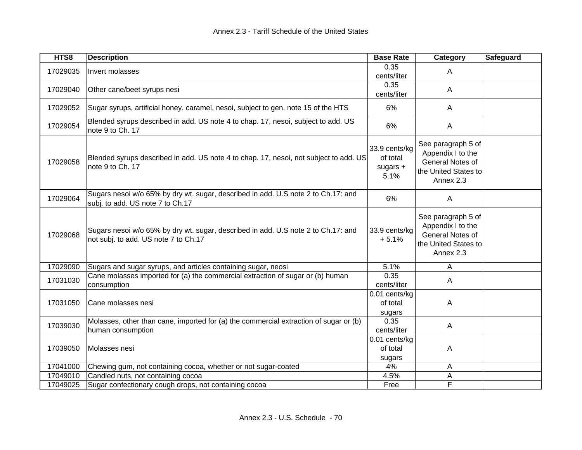| HTS8     | <b>Description</b>                                                                                                        | <b>Base Rate</b>                                | Category                                                                                         | <b>Safeguard</b> |
|----------|---------------------------------------------------------------------------------------------------------------------------|-------------------------------------------------|--------------------------------------------------------------------------------------------------|------------------|
| 17029035 | Invert molasses                                                                                                           | 0.35<br>cents/liter                             | A                                                                                                |                  |
| 17029040 | Other cane/beet syrups nesi                                                                                               | 0.35<br>cents/liter                             | A                                                                                                |                  |
| 17029052 | Sugar syrups, artificial honey, caramel, nesoi, subject to gen. note 15 of the HTS                                        | 6%                                              | $\mathsf{A}$                                                                                     |                  |
| 17029054 | Blended syrups described in add. US note 4 to chap. 17, nesoi, subject to add. US<br>note 9 to Ch. 17                     | 6%                                              | A                                                                                                |                  |
| 17029058 | Blended syrups described in add. US note 4 to chap. 17, nesoi, not subject to add. US<br>note 9 to Ch. 17                 | 33.9 cents/kg<br>of total<br>sugars $+$<br>5.1% | See paragraph 5 of<br>Appendix I to the<br>General Notes of<br>the United States to<br>Annex 2.3 |                  |
| 17029064 | Sugars nesoi w/o 65% by dry wt. sugar, described in add. U.S note 2 to Ch.17: and<br>subj. to add. US note 7 to Ch.17     | 6%                                              | A                                                                                                |                  |
| 17029068 | Sugars nesoi w/o 65% by dry wt. sugar, described in add. U.S note 2 to Ch.17: and<br>not subj. to add. US note 7 to Ch.17 | 33.9 cents/kg<br>$+5.1%$                        | See paragraph 5 of<br>Appendix I to the<br>General Notes of<br>the United States to<br>Annex 2.3 |                  |
| 17029090 | Sugars and sugar syrups, and articles containing sugar, neosi                                                             | 5.1%                                            | Α                                                                                                |                  |
| 17031030 | Cane molasses imported for (a) the commercial extraction of sugar or (b) human<br>consumption                             | 0.35<br>cents/liter                             | A                                                                                                |                  |
| 17031050 | Cane molasses nesi                                                                                                        | 0.01 cents/kg<br>of total<br>sugars             | A                                                                                                |                  |
| 17039030 | Molasses, other than cane, imported for (a) the commercial extraction of sugar or (b)<br>human consumption                | 0.35<br>cents/liter                             | A                                                                                                |                  |
| 17039050 | Molasses nesi                                                                                                             | 0.01 cents/kg<br>of total<br>sugars             | A                                                                                                |                  |
| 17041000 | Chewing gum, not containing cocoa, whether or not sugar-coated                                                            | 4%                                              | Α                                                                                                |                  |
| 17049010 | Candied nuts, not containing cocoa                                                                                        | 4.5%                                            | Α                                                                                                |                  |
| 17049025 | Sugar confectionary cough drops, not containing cocoa                                                                     | Free                                            | F                                                                                                |                  |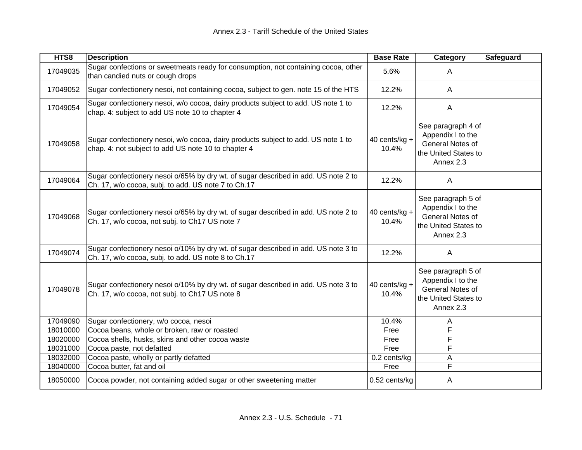| HTS8     | <b>Description</b>                                                                                                                        | <b>Base Rate</b>          | Category                                                                                         | Safeguard |
|----------|-------------------------------------------------------------------------------------------------------------------------------------------|---------------------------|--------------------------------------------------------------------------------------------------|-----------|
| 17049035 | Sugar confections or sweetmeats ready for consumption, not containing cocoa, other<br>than candied nuts or cough drops                    | 5.6%                      | A                                                                                                |           |
| 17049052 | Sugar confectionery nesoi, not containing cocoa, subject to gen. note 15 of the HTS                                                       | 12.2%                     | $\mathsf{A}$                                                                                     |           |
| 17049054 | Sugar confectionery nesoi, w/o cocoa, dairy products subject to add. US note 1 to<br>chap. 4: subject to add US note 10 to chapter 4      | 12.2%                     | $\mathsf{A}$                                                                                     |           |
| 17049058 | Sugar confectionery nesoi, w/o cocoa, dairy products subject to add. US note 1 to<br>chap. 4: not subject to add US note 10 to chapter 4  | 40 cents/ $kg +$<br>10.4% | See paragraph 4 of<br>Appendix I to the<br>General Notes of<br>the United States to<br>Annex 2.3 |           |
| 17049064 | Sugar confectionery nesoi o/65% by dry wt. of sugar described in add. US note 2 to<br>Ch. 17, w/o cocoa, subj. to add. US note 7 to Ch.17 | 12.2%                     | A                                                                                                |           |
| 17049068 | Sugar confectionery nesoi o/65% by dry wt. of sugar described in add. US note 2 to<br>Ch. 17, w/o cocoa, not subj. to Ch17 US note 7      | 40 cents/kg +<br>10.4%    | See paragraph 5 of<br>Appendix I to the<br>General Notes of<br>the United States to<br>Annex 2.3 |           |
| 17049074 | Sugar confectionery nesoi o/10% by dry wt. of sugar described in add. US note 3 to<br>Ch. 17, w/o cocoa, subj. to add. US note 8 to Ch.17 | 12.2%                     | A                                                                                                |           |
| 17049078 | Sugar confectionery nesoi o/10% by dry wt. of sugar described in add. US note 3 to<br>Ch. 17, w/o cocoa, not subj. to Ch17 US note 8      | 40 cents/kg +<br>10.4%    | See paragraph 5 of<br>Appendix I to the<br>General Notes of<br>the United States to<br>Annex 2.3 |           |
| 17049090 | Sugar confectionery, w/o cocoa, nesoi                                                                                                     | 10.4%                     | A                                                                                                |           |
| 18010000 | Cocoa beans, whole or broken, raw or roasted                                                                                              | Free                      | F                                                                                                |           |
| 18020000 | Cocoa shells, husks, skins and other cocoa waste                                                                                          | Free                      | F                                                                                                |           |
| 18031000 | Cocoa paste, not defatted                                                                                                                 | Free                      | F                                                                                                |           |
| 18032000 | Cocoa paste, wholly or partly defatted                                                                                                    | 0.2 cents/kg              | A                                                                                                |           |
| 18040000 | Cocoa butter, fat and oil                                                                                                                 | Free                      | F                                                                                                |           |
| 18050000 | Cocoa powder, not containing added sugar or other sweetening matter                                                                       | 0.52 cents/kg             | Α                                                                                                |           |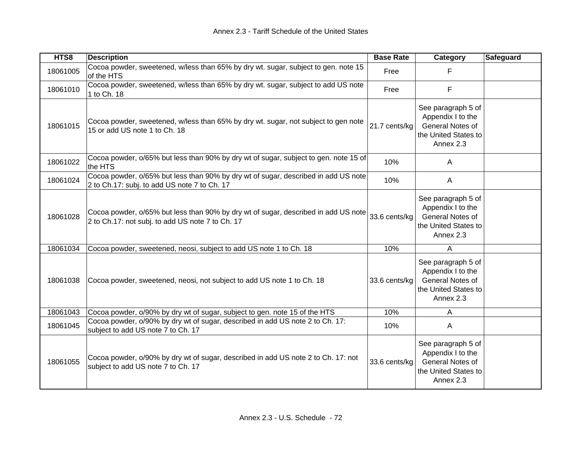| HTS8     | <b>Description</b>                                                                                                                     | <b>Base Rate</b> | Category<br>Safeguard                                                                            |  |
|----------|----------------------------------------------------------------------------------------------------------------------------------------|------------------|--------------------------------------------------------------------------------------------------|--|
| 18061005 | Cocoa powder, sweetened, w/less than 65% by dry wt. sugar, subject to gen. note 15<br>of the HTS                                       | Free             | F                                                                                                |  |
| 18061010 | Cocoa powder, sweetened, w/less than 65% by dry wt. sugar, subject to add US note<br>1 to Ch. 18                                       | Free             | F                                                                                                |  |
| 18061015 | Cocoa powder, sweetened, w/less than 65% by dry wt. sugar, not subject to gen note<br>15 or add US note 1 to Ch. 18                    | 21.7 cents/kg    | See paragraph 5 of<br>Appendix I to the<br>General Notes of<br>the United States to<br>Annex 2.3 |  |
| 18061022 | Cocoa powder, o/65% but less than 90% by dry wt of sugar, subject to gen. note 15 of<br>the HTS                                        | 10%              | A                                                                                                |  |
| 18061024 | Cocoa powder, o/65% but less than 90% by dry wt of sugar, described in add US note<br>2 to Ch.17: subj. to add US note 7 to Ch. 17     | 10%              | $\mathsf{A}$                                                                                     |  |
| 18061028 | Cocoa powder, o/65% but less than 90% by dry wt of sugar, described in add US note<br>2 to Ch.17: not subj. to add US note 7 to Ch. 17 | 33.6 cents/kg    | See paragraph 5 of<br>Appendix I to the<br>General Notes of<br>the United States to<br>Annex 2.3 |  |
| 18061034 | Cocoa powder, sweetened, neosi, subject to add US note 1 to Ch. 18                                                                     | 10%              | A                                                                                                |  |
| 18061038 | Cocoa powder, sweetened, neosi, not subject to add US note 1 to Ch. 18                                                                 | 33.6 cents/kg    | See paragraph 5 of<br>Appendix I to the<br>General Notes of<br>the United States to<br>Annex 2.3 |  |
| 18061043 | Cocoa powder, o/90% by dry wt of sugar, subject to gen. note 15 of the HTS                                                             | 10%              | A                                                                                                |  |
| 18061045 | Cocoa powder, o/90% by dry wt of sugar, described in add US note 2 to Ch. 17:<br>subject to add US note 7 to Ch. 17                    | 10%              | A                                                                                                |  |
| 18061055 | Cocoa powder, o/90% by dry wt of sugar, described in add US note 2 to Ch. 17: not<br>subject to add US note 7 to Ch. 17                | 33.6 cents/kg    | See paragraph 5 of<br>Appendix I to the<br>General Notes of<br>the United States to<br>Annex 2.3 |  |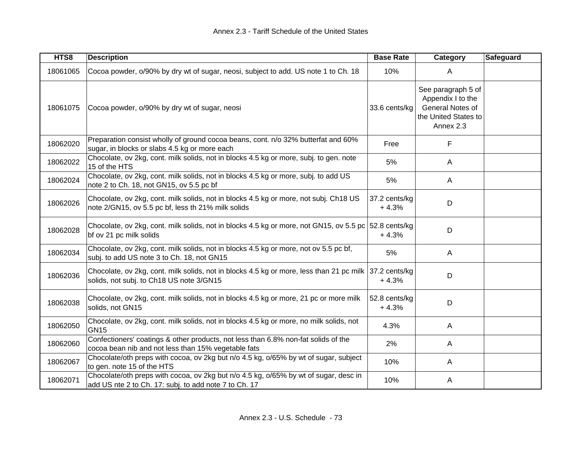| HTS8     | <b>Description</b>                                                                                                                                 | <b>Base Rate</b>         | Category                                                                                         | <b>Safeguard</b> |
|----------|----------------------------------------------------------------------------------------------------------------------------------------------------|--------------------------|--------------------------------------------------------------------------------------------------|------------------|
| 18061065 | Cocoa powder, o/90% by dry wt of sugar, neosi, subject to add. US note 1 to Ch. 18                                                                 | 10%                      | A                                                                                                |                  |
| 18061075 | Cocoa powder, o/90% by dry wt of sugar, neosi                                                                                                      | 33.6 cents/kg            | See paragraph 5 of<br>Appendix I to the<br>General Notes of<br>the United States to<br>Annex 2.3 |                  |
| 18062020 | Preparation consist wholly of ground cocoa beans, cont. n/o 32% butterfat and 60%<br>sugar, in blocks or slabs 4.5 kg or more each                 | Free                     | F                                                                                                |                  |
| 18062022 | Chocolate, ov 2kg, cont. milk solids, not in blocks 4.5 kg or more, subj. to gen. note<br>15 of the HTS                                            | 5%                       | A                                                                                                |                  |
| 18062024 | Chocolate, ov 2kg, cont. milk solids, not in blocks 4.5 kg or more, subj. to add US<br>note 2 to Ch. 18, not GN15, ov 5.5 pc bf                    | 5%                       | $\mathsf{A}$                                                                                     |                  |
| 18062026 | Chocolate, ov 2kg, cont. milk solids, not in blocks 4.5 kg or more, not subj. Ch18 US<br>note 2/GN15, ov 5.5 pc bf, less th 21% milk solids        | 37.2 cents/kg<br>$+4.3%$ | D                                                                                                |                  |
| 18062028 | Chocolate, ov 2kg, cont. milk solids, not in blocks 4.5 kg or more, not GN15, ov 5.5 pc 52.8 cents/kg<br>bf ov 21 pc milk solids                   | $+4.3%$                  | D                                                                                                |                  |
| 18062034 | Chocolate, ov 2kg, cont. milk solids, not in blocks 4.5 kg or more, not ov 5.5 pc bf,<br>subj. to add US note 3 to Ch. 18, not GN15                | 5%                       | A                                                                                                |                  |
| 18062036 | Chocolate, ov 2kg, cont. milk solids, not in blocks 4.5 kg or more, less than 21 pc milk 37.2 cents/kg<br>solids, not subj. to Ch18 US note 3/GN15 | $+4.3%$                  | D                                                                                                |                  |
| 18062038 | Chocolate, ov 2kg, cont. milk solids, not in blocks 4.5 kg or more, 21 pc or more milk<br>solids, not GN15                                         | 52.8 cents/kg<br>$+4.3%$ | D                                                                                                |                  |
| 18062050 | Chocolate, ov 2kg, cont. milk solids, not in blocks 4.5 kg or more, no milk solids, not<br><b>GN15</b>                                             | 4.3%                     | $\mathsf{A}$                                                                                     |                  |
| 18062060 | Confectioners' coatings & other products, not less than 6.8% non-fat solids of the<br>cocoa bean nib and not less than 15% vegetable fats          | 2%                       | A                                                                                                |                  |
| 18062067 | Chocolate/oth preps with cocoa, ov 2kg but n/o 4.5 kg, o/65% by wt of sugar, subject<br>to gen. note 15 of the HTS                                 | 10%                      | A                                                                                                |                  |
| 18062071 | Chocolate/oth preps with cocoa, ov 2kg but n/o 4.5 kg, o/65% by wt of sugar, desc in<br>add US nte 2 to Ch. 17: subj. to add note 7 to Ch. 17      | 10%                      | A                                                                                                |                  |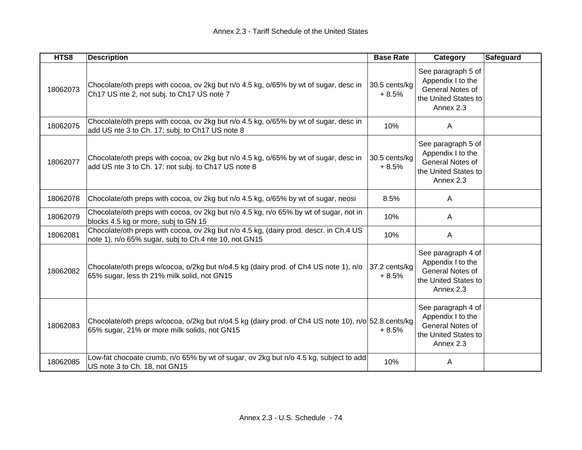| HTS8     | <b>Description</b>                                                                                                                                  | <b>Base Rate</b>         | Category                                                                                         | <b>Safeguard</b> |
|----------|-----------------------------------------------------------------------------------------------------------------------------------------------------|--------------------------|--------------------------------------------------------------------------------------------------|------------------|
| 18062073 | Chocolate/oth preps with cocoa, ov 2kg but n/o 4.5 kg, o/65% by wt of sugar, desc in<br>Ch17 US nte 2, not subj. to Ch17 US note 7                  | 30.5 cents/kg<br>$+8.5%$ | See paragraph 5 of<br>Appendix I to the<br>General Notes of<br>the United States to<br>Annex 2.3 |                  |
| 18062075 | Chocolate/oth preps with cocoa, ov 2kg but n/o 4.5 kg, o/65% by wt of sugar, desc in<br>add US nte 3 to Ch. 17: subj. to Ch17 US note 8             | 10%                      | A                                                                                                |                  |
| 18062077 | Chocolate/oth preps with cocoa, ov 2kg but n/o 4.5 kg, o/65% by wt of sugar, desc in<br>add US nte 3 to Ch. 17: not subj. to Ch17 US note 8         | 30.5 cents/kg<br>$+8.5%$ | See paragraph 5 of<br>Appendix I to the<br>General Notes of<br>the United States to<br>Annex 2.3 |                  |
| 18062078 | Chocolate/oth preps with cocoa, ov 2kg but n/o 4.5 kg, o/65% by wt of sugar, neosi                                                                  | 8.5%                     | A                                                                                                |                  |
| 18062079 | Chocolate/oth preps with cocoa, ov 2kg but n/o 4.5 kg, n/o 65% by wt of sugar, not in<br>blocks 4.5 kg or more, subj to GN 15                       | 10%                      | A                                                                                                |                  |
| 18062081 | Chocolate/oth preps with cocoa, ov 2kg but n/o 4.5 kg, (dairy prod. descr. in Ch.4 US<br>note 1), n/o 65% sugar, subj to Ch.4 nte 10, not GN15      | 10%                      | A                                                                                                |                  |
| 18062082 | Chocolate/oth preps w/cocoa, o/2kg but n/o4.5 kg (dairy prod. of Ch4 US note 1), n/o<br>65% sugar, less th 21% milk solid, not GN15                 | 37.2 cents/kg<br>$+8.5%$ | See paragraph 4 of<br>Appendix I to the<br>General Notes of<br>the United States to<br>Annex 2.3 |                  |
| 18062083 | Chocolate/oth preps w/cocoa, o/2kg but n/o4.5 kg (dairy prod. of Ch4 US note 10), n/o 52.8 cents/kg<br>65% sugar, 21% or more milk solids, not GN15 | $+8.5%$                  | See paragraph 4 of<br>Appendix I to the<br>General Notes of<br>the United States to<br>Annex 2.3 |                  |
| 18062085 | Low-fat chocoate crumb, n/o 65% by wt of sugar, ov 2kg but n/o 4.5 kg, subject to add<br>US note 3 to Ch. 18, not GN15                              | 10%                      | A                                                                                                |                  |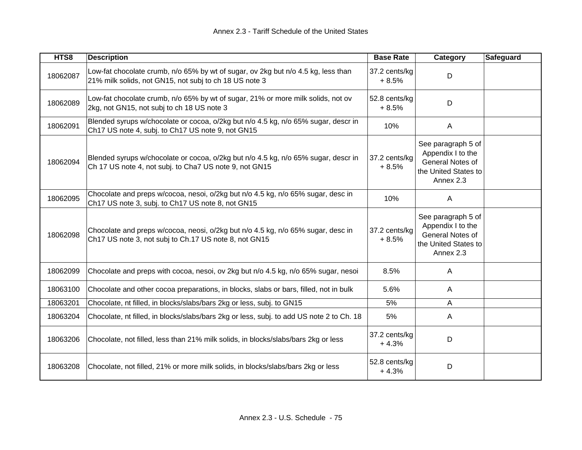| HTS8     | <b>Description</b>                                                                                                                           | <b>Base Rate</b>         | Category                                                                                         | <b>Safeguard</b> |
|----------|----------------------------------------------------------------------------------------------------------------------------------------------|--------------------------|--------------------------------------------------------------------------------------------------|------------------|
| 18062087 | Low-fat chocolate crumb, n/o 65% by wt of sugar, ov 2kg but n/o 4.5 kg, less than<br>21% milk solids, not GN15, not subj to ch 18 US note 3  | 37.2 cents/kg<br>$+8.5%$ | D                                                                                                |                  |
| 18062089 | Low-fat chocolate crumb, n/o 65% by wt of sugar, 21% or more milk solids, not ov<br>2kg, not GN15, not subj to ch 18 US note 3               | 52.8 cents/kg<br>$+8.5%$ | D                                                                                                |                  |
| 18062091 | Blended syrups w/chocolate or cocoa, o/2kg but n/o 4.5 kg, n/o 65% sugar, descr in<br>Ch17 US note 4, subj. to Ch17 US note 9, not GN15      | 10%                      | $\mathsf{A}$                                                                                     |                  |
| 18062094 | Blended syrups w/chocolate or cocoa, o/2kg but n/o 4.5 kg, n/o 65% sugar, descr in<br>Ch 17 US note 4, not subj. to Cha7 US note 9, not GN15 | 37.2 cents/kg<br>$+8.5%$ | See paragraph 5 of<br>Appendix I to the<br>General Notes of<br>the United States to<br>Annex 2.3 |                  |
| 18062095 | Chocolate and preps w/cocoa, nesoi, o/2kg but n/o 4.5 kg, n/o 65% sugar, desc in<br>Ch17 US note 3, subj. to Ch17 US note 8, not GN15        | 10%                      | A                                                                                                |                  |
| 18062098 | Chocolate and preps w/cocoa, neosi, o/2kg but n/o 4.5 kg, n/o 65% sugar, desc in<br>Ch17 US note 3, not subj to Ch.17 US note 8, not GN15    | 37.2 cents/kg<br>$+8.5%$ | See paragraph 5 of<br>Appendix I to the<br>General Notes of<br>the United States to<br>Annex 2.3 |                  |
| 18062099 | Chocolate and preps with cocoa, nesoi, ov 2kg but n/o 4.5 kg, n/o 65% sugar, nesoi                                                           | 8.5%                     | A                                                                                                |                  |
| 18063100 | Chocolate and other cocoa preparations, in blocks, slabs or bars, filled, not in bulk                                                        | 5.6%                     | A                                                                                                |                  |
| 18063201 | Chocolate, nt filled, in blocks/slabs/bars 2kg or less, subj. to GN15                                                                        | 5%                       | A                                                                                                |                  |
| 18063204 | Chocolate, nt filled, in blocks/slabs/bars 2kg or less, subj. to add US note 2 to Ch. 18                                                     | 5%                       | A                                                                                                |                  |
| 18063206 | Chocolate, not filled, less than 21% milk solids, in blocks/slabs/bars 2kg or less                                                           | 37.2 cents/kg<br>$+4.3%$ | D                                                                                                |                  |
| 18063208 | Chocolate, not filled, 21% or more milk solids, in blocks/slabs/bars 2kg or less                                                             | 52.8 cents/kg<br>$+4.3%$ | D                                                                                                |                  |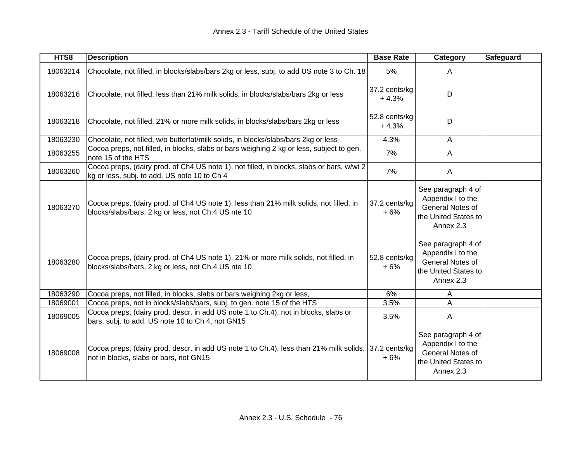| HTS8     | <b>Description</b>                                                                                                                             | <b>Base Rate</b>         | Category                                                                                         | Safeguard |
|----------|------------------------------------------------------------------------------------------------------------------------------------------------|--------------------------|--------------------------------------------------------------------------------------------------|-----------|
| 18063214 | Chocolate, not filled, in blocks/slabs/bars 2kg or less, subj. to add US note 3 to Ch. 18                                                      | 5%                       | A                                                                                                |           |
| 18063216 | Chocolate, not filled, less than 21% milk solids, in blocks/slabs/bars 2kg or less                                                             | 37.2 cents/kg<br>$+4.3%$ | D                                                                                                |           |
| 18063218 | Chocolate, not filled, 21% or more milk solids, in blocks/slabs/bars 2kg or less                                                               | 52.8 cents/kg<br>$+4.3%$ | D                                                                                                |           |
| 18063230 | Chocolate, not filled, w/o butterfat/milk solids, in blocks/slabs/bars 2kg or less                                                             | 4.3%                     | A                                                                                                |           |
| 18063255 | Cocoa preps, not filled, in blocks, slabs or bars weighing 2 kg or less, subject to gen.<br>note 15 of the HTS                                 | 7%                       | A                                                                                                |           |
| 18063260 | Cocoa preps, (dairy prod. of Ch4 US note 1), not filled, in blocks, slabs or bars, w/wt 2<br>kg or less, subj. to add. US note 10 to Ch 4      | 7%                       | A                                                                                                |           |
| 18063270 | Cocoa preps, (dairy prod. of Ch4 US note 1), less than 21% milk solids, not filled, in<br>blocks/slabs/bars, 2 kg or less, not Ch.4 US nte 10  | 37.2 cents/kg<br>$+6%$   | See paragraph 4 of<br>Appendix I to the<br>General Notes of<br>the United States to<br>Annex 2.3 |           |
| 18063280 | Cocoa preps, (dairy prod. of Ch4 US note 1), 21% or more milk solids, not filled, in<br>blocks/slabs/bars, 2 kg or less, not Ch.4 US nte 10    | 52.8 cents/kg<br>$+6%$   | See paragraph 4 of<br>Appendix I to the<br>General Notes of<br>the United States to<br>Annex 2.3 |           |
| 18063290 | Cocoa preps, not filled, in blocks, slabs or bars weighing 2kg or less,                                                                        | 6%                       | A                                                                                                |           |
| 18069001 | Cocoa preps, not in blocks/slabs/bars, subj. to gen. note 15 of the HTS                                                                        | 3.5%                     | A                                                                                                |           |
| 18069005 | Cocoa preps, (dairy prod. descr. in add US note 1 to Ch.4), not in blocks, slabs or<br>bars, subj. to add. US note 10 to Ch 4, not GN15        | 3.5%                     | A                                                                                                |           |
| 18069008 | Cocoa preps, (dairy prod. descr. in add US note 1 to Ch.4), less than 21% milk solids, 37.2 cents/kg<br>not in blocks, slabs or bars, not GN15 | $+6%$                    | See paragraph 4 of<br>Appendix I to the<br>General Notes of<br>the United States to<br>Annex 2.3 |           |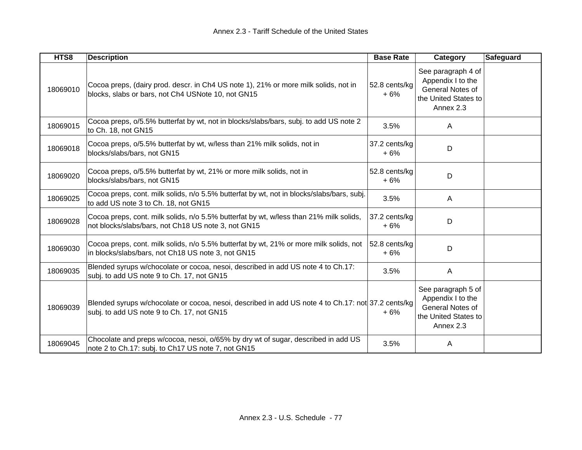| HTS8     | <b>Description</b>                                                                                                                               | <b>Base Rate</b>       | Category                                                                                         | Safeguard |
|----------|--------------------------------------------------------------------------------------------------------------------------------------------------|------------------------|--------------------------------------------------------------------------------------------------|-----------|
| 18069010 | Cocoa preps, (dairy prod. descr. in Ch4 US note 1), 21% or more milk solids, not in<br>blocks, slabs or bars, not Ch4 USNote 10, not GN15        | 52.8 cents/kg<br>+6%   | See paragraph 4 of<br>Appendix I to the<br>General Notes of<br>the United States to<br>Annex 2.3 |           |
| 18069015 | Cocoa preps, o/5.5% butterfat by wt, not in blocks/slabs/bars, subj. to add US note 2<br>to Ch. 18, not GN15                                     | 3.5%                   | A                                                                                                |           |
| 18069018 | Cocoa preps, o/5.5% butterfat by wt, w/less than 21% milk solids, not in<br>blocks/slabs/bars, not GN15                                          | 37.2 cents/kg<br>$+6%$ | D                                                                                                |           |
| 18069020 | Cocoa preps, o/5.5% butterfat by wt, 21% or more milk solids, not in<br>blocks/slabs/bars, not GN15                                              | 52.8 cents/kg<br>$+6%$ | D                                                                                                |           |
| 18069025 | Cocoa preps, cont. milk solids, n/o 5.5% butterfat by wt, not in blocks/slabs/bars, subj.<br>to add US note 3 to Ch. 18, not GN15                | 3.5%                   | $\mathsf{A}$                                                                                     |           |
| 18069028 | Cocoa preps, cont. milk solids, n/o 5.5% butterfat by wt, w/less than 21% milk solids,<br>not blocks/slabs/bars, not Ch18 US note 3, not GN15    | 37.2 cents/kg<br>$+6%$ | D                                                                                                |           |
| 18069030 | Cocoa preps, cont. milk solids, n/o 5.5% butterfat by wt, 21% or more milk solids, not<br>in blocks/slabs/bars, not Ch18 US note 3, not GN15     | 52.8 cents/kg<br>+6%   | D                                                                                                |           |
| 18069035 | Blended syrups w/chocolate or cocoa, nesoi, described in add US note 4 to Ch.17:<br>subj. to add US note 9 to Ch. 17, not GN15                   | 3.5%                   | A                                                                                                |           |
| 18069039 | Blended syrups w/chocolate or cocoa, nesoi, described in add US note 4 to Ch.17: not 37.2 cents/kg<br>subj. to add US note 9 to Ch. 17, not GN15 | $+6%$                  | See paragraph 5 of<br>Appendix I to the<br>General Notes of<br>the United States to<br>Annex 2.3 |           |
| 18069045 | Chocolate and preps w/cocoa, nesoi, o/65% by dry wt of sugar, described in add US<br>note 2 to Ch.17: subj. to Ch17 US note 7, not GN15          | 3.5%                   | A                                                                                                |           |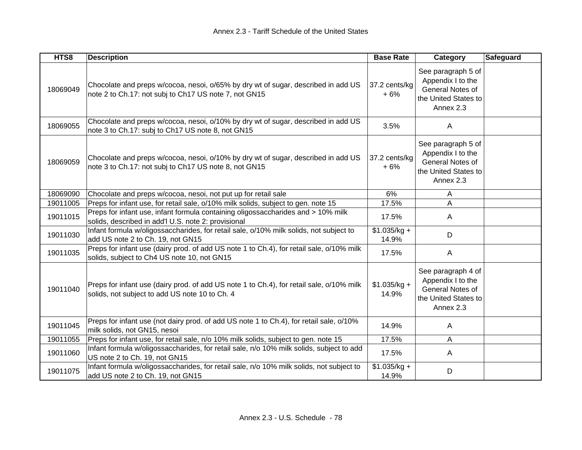| HTS8     | <b>Description</b>                                                                                                                         | <b>Base Rate</b>       | Category                                                                                         | <b>Safeguard</b> |
|----------|--------------------------------------------------------------------------------------------------------------------------------------------|------------------------|--------------------------------------------------------------------------------------------------|------------------|
| 18069049 | Chocolate and preps w/cocoa, nesoi, o/65% by dry wt of sugar, described in add US<br>note 2 to Ch.17: not subj to Ch17 US note 7, not GN15 | 37.2 cents/kg<br>$+6%$ | See paragraph 5 of<br>Appendix I to the<br>General Notes of<br>the United States to<br>Annex 2.3 |                  |
| 18069055 | Chocolate and preps w/cocoa, nesoi, o/10% by dry wt of sugar, described in add US<br>note 3 to Ch.17: subj to Ch17 US note 8, not GN15     | 3.5%                   | A                                                                                                |                  |
| 18069059 | Chocolate and preps w/cocoa, nesoi, o/10% by dry wt of sugar, described in add US<br>note 3 to Ch.17: not subj to Ch17 US note 8, not GN15 | 37.2 cents/kg<br>$+6%$ | See paragraph 5 of<br>Appendix I to the<br>General Notes of<br>the United States to<br>Annex 2.3 |                  |
| 18069090 | Chocolate and preps w/cocoa, nesoi, not put up for retail sale                                                                             | 6%                     | Α                                                                                                |                  |
| 19011005 | Preps for infant use, for retail sale, o/10% milk solids, subject to gen. note 15                                                          | 17.5%                  | A                                                                                                |                  |
| 19011015 | Preps for infant use, infant formula containing oligossaccharides and > 10% milk<br>solids, described in add'l U.S. note 2: provisional    | 17.5%                  | A                                                                                                |                  |
| 19011030 | Infant formula w/oligossaccharides, for retail sale, o/10% milk solids, not subject to<br>add US note 2 to Ch. 19, not GN15                | $$1.035/kg +$<br>14.9% | D                                                                                                |                  |
| 19011035 | Preps for infant use (dairy prod. of add US note 1 to Ch.4), for retail sale, o/10% milk<br>solids, subject to Ch4 US note 10, not GN15    | 17.5%                  | A                                                                                                |                  |
| 19011040 | Preps for infant use (dairy prod. of add US note 1 to Ch.4), for retail sale, o/10% milk<br>solids, not subject to add US note 10 to Ch. 4 | $$1.035/kg +$<br>14.9% | See paragraph 4 of<br>Appendix I to the<br>General Notes of<br>the United States to<br>Annex 2.3 |                  |
| 19011045 | Preps for infant use (not dairy prod. of add US note 1 to Ch.4), for retail sale, o/10%<br>milk solids, not GN15, nesoi                    | 14.9%                  | A                                                                                                |                  |
| 19011055 | Preps for infant use, for retail sale, n/o 10% milk solids, subject to gen. note 15                                                        | 17.5%                  | A                                                                                                |                  |
| 19011060 | Infant formula w/oligossaccharides, for retail sale, n/o 10% milk solids, subject to add<br>US note 2 to Ch. 19, not GN15                  | 17.5%                  | A                                                                                                |                  |
| 19011075 | Infant formula w/oligossaccharides, for retail sale, n/o 10% milk solids, not subject to<br>add US note 2 to Ch. 19, not GN15              | $$1.035/kg +$<br>14.9% | D                                                                                                |                  |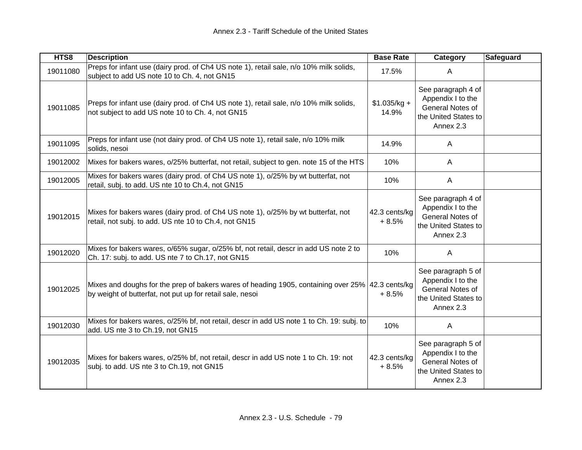| HTS8     | <b>Description</b>                                                                                                                                            | <b>Base Rate</b>         | Category<br>Safeguard                                                                            |
|----------|---------------------------------------------------------------------------------------------------------------------------------------------------------------|--------------------------|--------------------------------------------------------------------------------------------------|
| 19011080 | Preps for infant use (dairy prod. of Ch4 US note 1), retail sale, n/o 10% milk solids,<br>subject to add US note 10 to Ch. 4, not GN15                        | 17.5%                    | A                                                                                                |
| 19011085 | Preps for infant use (dairy prod. of Ch4 US note 1), retail sale, n/o 10% milk solids,<br>not subject to add US note 10 to Ch. 4, not GN15                    | $$1.035/kg +$<br>14.9%   | See paragraph 4 of<br>Appendix I to the<br>General Notes of<br>the United States to<br>Annex 2.3 |
| 19011095 | Preps for infant use (not dairy prod. of Ch4 US note 1), retail sale, n/o 10% milk<br>solids, nesoi                                                           | 14.9%                    | A                                                                                                |
| 19012002 | Mixes for bakers wares, o/25% butterfat, not retail, subject to gen. note 15 of the HTS                                                                       | 10%                      | $\mathsf{A}$                                                                                     |
| 19012005 | Mixes for bakers wares (dairy prod. of Ch4 US note 1), o/25% by wt butterfat, not<br>retail, subj. to add. US nte 10 to Ch.4, not GN15                        | 10%                      | $\mathsf{A}$                                                                                     |
| 19012015 | Mixes for bakers wares (dairy prod. of Ch4 US note 1), o/25% by wt butterfat, not<br>retail, not subj. to add. US nte 10 to Ch.4, not GN15                    | 42.3 cents/kg<br>$+8.5%$ | See paragraph 4 of<br>Appendix I to the<br>General Notes of<br>the United States to<br>Annex 2.3 |
| 19012020 | Mixes for bakers wares, o/65% sugar, o/25% bf, not retail, descr in add US note 2 to<br>Ch. 17: subj. to add. US nte 7 to Ch.17, not GN15                     | 10%                      | A                                                                                                |
| 19012025 | Mixes and doughs for the prep of bakers wares of heading 1905, containing over 25% 42.3 cents/kg<br>by weight of butterfat, not put up for retail sale, nesoi | $+8.5%$                  | See paragraph 5 of<br>Appendix I to the<br>General Notes of<br>the United States to<br>Annex 2.3 |
| 19012030 | Mixes for bakers wares, o/25% bf, not retail, descr in add US note 1 to Ch. 19: subj. to<br>add. US nte 3 to Ch.19, not GN15                                  | 10%                      | A                                                                                                |
| 19012035 | Mixes for bakers wares, o/25% bf, not retail, descr in add US note 1 to Ch. 19: not<br>subj. to add. US nte 3 to Ch.19, not GN15                              | 42.3 cents/kg<br>$+8.5%$ | See paragraph 5 of<br>Appendix I to the<br>General Notes of<br>the United States to<br>Annex 2.3 |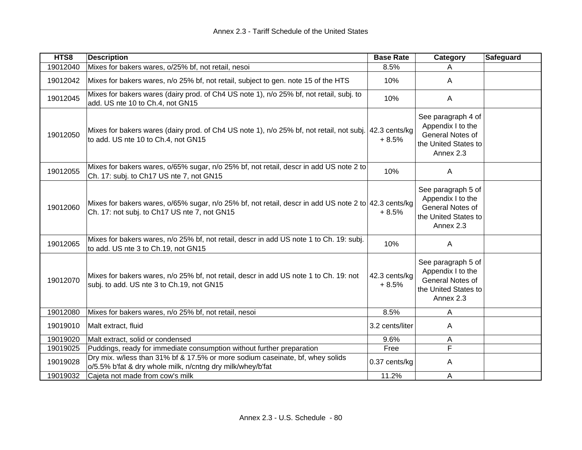| HTS8     | <b>Description</b>                                                                                                                                   | <b>Base Rate</b>         | Category                                                                                         | <b>Safeguard</b> |
|----------|------------------------------------------------------------------------------------------------------------------------------------------------------|--------------------------|--------------------------------------------------------------------------------------------------|------------------|
| 19012040 | Mixes for bakers wares, o/25% bf, not retail, nesoi                                                                                                  | 8.5%                     | A                                                                                                |                  |
| 19012042 | Mixes for bakers wares, n/o 25% bf, not retail, subject to gen. note 15 of the HTS                                                                   | 10%                      | A                                                                                                |                  |
| 19012045 | Mixes for bakers wares (dairy prod. of Ch4 US note 1), n/o 25% bf, not retail, subj. to<br>add. US nte 10 to Ch.4, not GN15                          | 10%                      | A                                                                                                |                  |
| 19012050 | Mixes for bakers wares (dairy prod. of Ch4 US note 1), n/o 25% bf, not retail, not subj. 42.3 cents/kg<br>to add. US nte 10 to Ch.4, not GN15        | $+8.5%$                  | See paragraph 4 of<br>Appendix I to the<br>General Notes of<br>the United States to<br>Annex 2.3 |                  |
| 19012055 | Mixes for bakers wares, o/65% sugar, n/o 25% bf, not retail, descr in add US note 2 to<br>Ch. 17: subj. to Ch17 US nte 7, not GN15                   | 10%                      | A                                                                                                |                  |
| 19012060 | Mixes for bakers wares, o/65% sugar, n/o 25% bf, not retail, descr in add US note 2 to 42.3 cents/kg<br>Ch. 17: not subj. to Ch17 US nte 7, not GN15 | $+8.5%$                  | See paragraph 5 of<br>Appendix I to the<br>General Notes of<br>the United States to<br>Annex 2.3 |                  |
| 19012065 | Mixes for bakers wares, n/o 25% bf, not retail, descr in add US note 1 to Ch. 19: subj.<br>to add. US nte 3 to Ch.19, not GN15                       | 10%                      | A                                                                                                |                  |
| 19012070 | Mixes for bakers wares, n/o 25% bf, not retail, descr in add US note 1 to Ch. 19: not<br>subj. to add. US nte 3 to Ch.19, not GN15                   | 42.3 cents/kg<br>$+8.5%$ | See paragraph 5 of<br>Appendix I to the<br>General Notes of<br>the United States to<br>Annex 2.3 |                  |
| 19012080 | Mixes for bakers wares, n/o 25% bf, not retail, nesoi                                                                                                | 8.5%                     | A                                                                                                |                  |
| 19019010 | Malt extract, fluid                                                                                                                                  | 3.2 cents/liter          | A                                                                                                |                  |
| 19019020 | Malt extract, solid or condensed                                                                                                                     | 9.6%                     | A                                                                                                |                  |
| 19019025 | Puddings, ready for immediate consumption without further preparation                                                                                | Free                     | F                                                                                                |                  |
| 19019028 | Dry mix. w/less than 31% bf & 17.5% or more sodium caseinate, bf, whey solids<br>o/5.5% b'fat & dry whole milk, n/cntng dry milk/whey/b'fat          | 0.37 cents/kg            | A                                                                                                |                  |
| 19019032 | Cajeta not made from cow's milk                                                                                                                      | 11.2%                    | A                                                                                                |                  |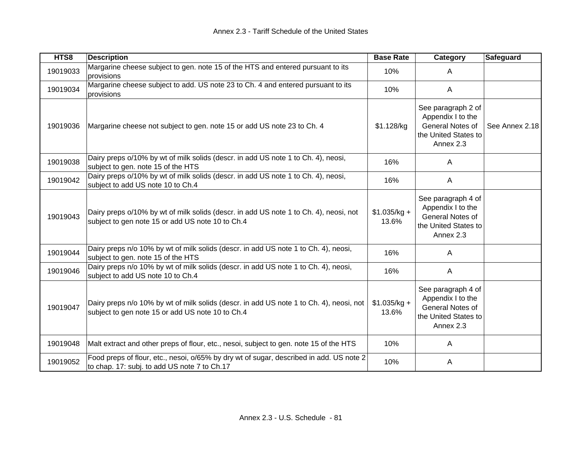| HTS8     | <b>Description</b>                                                                                                                          | <b>Base Rate</b>       | Category                                                                                         | <b>Safeguard</b> |
|----------|---------------------------------------------------------------------------------------------------------------------------------------------|------------------------|--------------------------------------------------------------------------------------------------|------------------|
| 19019033 | Margarine cheese subject to gen. note 15 of the HTS and entered pursuant to its<br>provisions                                               | 10%                    | A                                                                                                |                  |
| 19019034 | Margarine cheese subject to add. US note 23 to Ch. 4 and entered pursuant to its<br>provisions                                              | 10%                    | $\mathsf{A}$                                                                                     |                  |
| 19019036 | Margarine cheese not subject to gen. note 15 or add US note 23 to Ch. 4                                                                     | \$1.128/kg             | See paragraph 2 of<br>Appendix I to the<br>General Notes of<br>the United States to<br>Annex 2.3 | See Annex 2.18   |
| 19019038 | Dairy preps o/10% by wt of milk solids (descr. in add US note 1 to Ch. 4), neosi,<br>subject to gen. note 15 of the HTS                     | 16%                    | A                                                                                                |                  |
| 19019042 | Dairy preps o/10% by wt of milk solids (descr. in add US note 1 to Ch. 4), neosi,<br>subject to add US note 10 to Ch.4                      | 16%                    | A                                                                                                |                  |
| 19019043 | Dairy preps o/10% by wt of milk solids (descr. in add US note 1 to Ch. 4), neosi, not<br>subject to gen note 15 or add US note 10 to Ch.4   | $$1.035/kg +$<br>13.6% | See paragraph 4 of<br>Appendix I to the<br>General Notes of<br>the United States to<br>Annex 2.3 |                  |
| 19019044 | Dairy preps n/o 10% by wt of milk solids (descr. in add US note 1 to Ch. 4), neosi,<br>subject to gen. note 15 of the HTS                   | 16%                    | A                                                                                                |                  |
| 19019046 | Dairy preps n/o 10% by wt of milk solids (descr. in add US note 1 to Ch. 4), neosi,<br>subject to add US note 10 to Ch.4                    | 16%                    | A                                                                                                |                  |
| 19019047 | Dairy preps n/o 10% by wt of milk solids (descr. in add US note 1 to Ch. 4), neosi, not<br>subject to gen note 15 or add US note 10 to Ch.4 | $$1.035/kg +$<br>13.6% | See paragraph 4 of<br>Appendix I to the<br>General Notes of<br>the United States to<br>Annex 2.3 |                  |
| 19019048 | Malt extract and other preps of flour, etc., nesoi, subject to gen. note 15 of the HTS                                                      | 10%                    | A                                                                                                |                  |
| 19019052 | Food preps of flour, etc., nesoi, o/65% by dry wt of sugar, described in add. US note 2<br>to chap. 17: subj. to add US note 7 to Ch.17     | 10%                    | A                                                                                                |                  |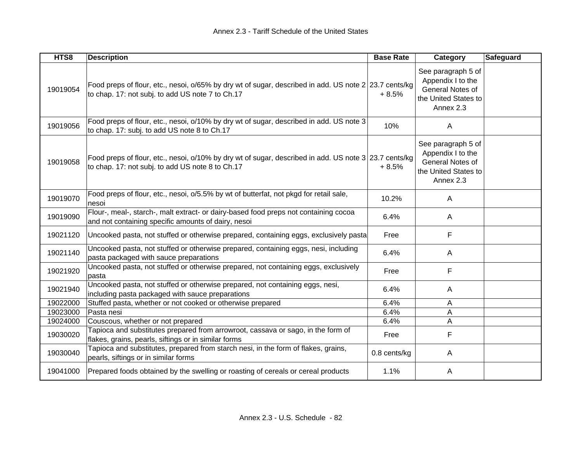| HTS8     | <b>Description</b>                                                                                                                                        | <b>Base Rate</b> | Category                                                                                         | <b>Safeguard</b> |
|----------|-----------------------------------------------------------------------------------------------------------------------------------------------------------|------------------|--------------------------------------------------------------------------------------------------|------------------|
| 19019054 | Food preps of flour, etc., nesoi, o/65% by dry wt of sugar, described in add. US note 2 23.7 cents/kg<br>to chap. 17: not subj. to add US note 7 to Ch.17 | $+8.5%$          | See paragraph 5 of<br>Appendix I to the<br>General Notes of<br>the United States to<br>Annex 2.3 |                  |
| 19019056 | Food preps of flour, etc., nesoi, o/10% by dry wt of sugar, described in add. US note 3<br>to chap. 17: subj. to add US note 8 to Ch.17                   | 10%              | A                                                                                                |                  |
| 19019058 | Food preps of flour, etc., nesoi, o/10% by dry wt of sugar, described in add. US note 3 23.7 cents/kg<br>to chap. 17: not subj. to add US note 8 to Ch.17 | $+8.5%$          | See paragraph 5 of<br>Appendix I to the<br>General Notes of<br>the United States to<br>Annex 2.3 |                  |
| 19019070 | Food preps of flour, etc., nesoi, o/5.5% by wt of butterfat, not pkgd for retail sale,<br>nesoi                                                           | 10.2%            | A                                                                                                |                  |
| 19019090 | Flour-, meal-, starch-, malt extract- or dairy-based food preps not containing cocoa<br>and not containing specific amounts of dairy, nesoi               | 6.4%             | A                                                                                                |                  |
| 19021120 | Uncooked pasta, not stuffed or otherwise prepared, containing eggs, exclusively pasta                                                                     | Free             | F                                                                                                |                  |
| 19021140 | Uncooked pasta, not stuffed or otherwise prepared, containing eggs, nesi, including<br>pasta packaged with sauce preparations                             | 6.4%             | A                                                                                                |                  |
| 19021920 | Uncooked pasta, not stuffed or otherwise prepared, not containing eggs, exclusively<br>pasta                                                              | Free             | F                                                                                                |                  |
| 19021940 | Uncooked pasta, not stuffed or otherwise prepared, not containing eggs, nesi,<br>including pasta packaged with sauce preparations                         | 6.4%             | A                                                                                                |                  |
| 19022000 | Stuffed pasta, whether or not cooked or otherwise prepared                                                                                                | 6.4%             | Α                                                                                                |                  |
| 19023000 | Pasta nesi                                                                                                                                                | 6.4%             | A                                                                                                |                  |
| 19024000 | Couscous, whether or not prepared                                                                                                                         | 6.4%             | A                                                                                                |                  |
| 19030020 | Tapioca and substitutes prepared from arrowroot, cassava or sago, in the form of<br>flakes, grains, pearls, siftings or in similar forms                  | Free             | F                                                                                                |                  |
| 19030040 | Tapioca and substitutes, prepared from starch nesi, in the form of flakes, grains,<br>pearls, siftings or in similar forms                                | 0.8 cents/kg     | A                                                                                                |                  |
| 19041000 | Prepared foods obtained by the swelling or roasting of cereals or cereal products                                                                         | 1.1%             | A                                                                                                |                  |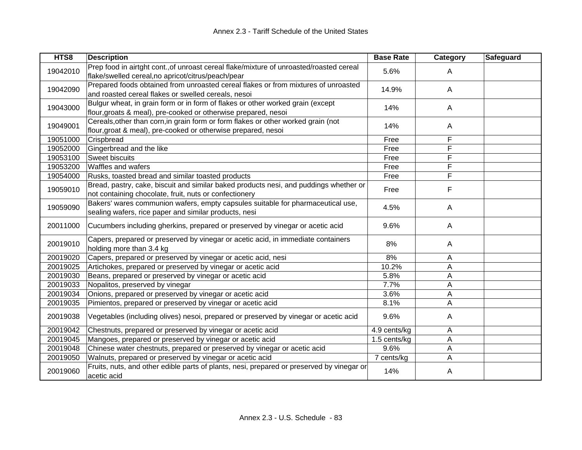| HTS8     | <b>Description</b>                                                                                                                                 | <b>Base Rate</b> | <b>Category</b> | <b>Safeguard</b> |
|----------|----------------------------------------------------------------------------------------------------------------------------------------------------|------------------|-----------------|------------------|
| 19042010 | Prep food in airtght cont., of unroast cereal flake/mixture of unroasted/roasted cereal<br>flake/swelled cereal, no apricot/citrus/peach/pear      | 5.6%             | A               |                  |
| 19042090 | Prepared foods obtained from unroasted cereal flakes or from mixtures of unroasted<br>and roasted cereal flakes or swelled cereals, nesoi          | 14.9%            | A               |                  |
| 19043000 | Bulgur wheat, in grain form or in form of flakes or other worked grain (except<br>flour, groats & meal), pre-cooked or otherwise prepared, nesoi   | 14%              | A               |                  |
| 19049001 | Cereals, other than corn, in grain form or form flakes or other worked grain (not<br>flour, groat & meal), pre-cooked or otherwise prepared, nesoi | 14%              | A               |                  |
| 19051000 | Crispbread                                                                                                                                         | Free             | F               |                  |
| 19052000 | Gingerbread and the like                                                                                                                           | Free             | $\overline{F}$  |                  |
| 19053100 | Sweet biscuits                                                                                                                                     | Free             | F               |                  |
| 19053200 | Waffles and wafers                                                                                                                                 | Free             | F               |                  |
| 19054000 | Rusks, toasted bread and similar toasted products                                                                                                  | Free             | F               |                  |
| 19059010 | Bread, pastry, cake, biscuit and similar baked products nesi, and puddings whether or<br>not containing chocolate, fruit, nuts or confectionery    | Free             | F               |                  |
| 19059090 | Bakers' wares communion wafers, empty capsules suitable for pharmaceutical use,<br>sealing wafers, rice paper and similar products, nesi           | 4.5%             | A               |                  |
| 20011000 | Cucumbers including gherkins, prepared or preserved by vinegar or acetic acid                                                                      | 9.6%             | A               |                  |
| 20019010 | Capers, prepared or preserved by vinegar or acetic acid, in immediate containers<br>holding more than 3.4 kg                                       | 8%               | A               |                  |
| 20019020 | Capers, prepared or preserved by vinegar or acetic acid, nesi                                                                                      | 8%               | Α               |                  |
| 20019025 | Artichokes, prepared or preserved by vinegar or acetic acid                                                                                        | 10.2%            | A               |                  |
| 20019030 | Beans, prepared or preserved by vinegar or acetic acid                                                                                             | 5.8%             | A               |                  |
| 20019033 | Nopalitos, preserved by vinegar                                                                                                                    | 7.7%             | A               |                  |
| 20019034 | Onions, prepared or preserved by vinegar or acetic acid                                                                                            | 3.6%             | A               |                  |
| 20019035 | Pimientos, prepared or preserved by vinegar or acetic acid                                                                                         | 8.1%             | A               |                  |
| 20019038 | Vegetables (including olives) nesoi, prepared or preserved by vinegar or acetic acid                                                               | 9.6%             | A               |                  |
| 20019042 | Chestnuts, prepared or preserved by vinegar or acetic acid                                                                                         | 4.9 cents/kg     | Α               |                  |
| 20019045 | Mangoes, prepared or preserved by vinegar or acetic acid                                                                                           | 1.5 cents/kg     | Α               |                  |
| 20019048 | Chinese water chestnuts, prepared or preserved by vinegar or acetic acid                                                                           | 9.6%             | A               |                  |
| 20019050 | Walnuts, prepared or preserved by vinegar or acetic acid                                                                                           | 7 cents/kg       | A               |                  |
| 20019060 | Fruits, nuts, and other edible parts of plants, nesi, prepared or preserved by vinegar or<br>acetic acid                                           | 14%              | A               |                  |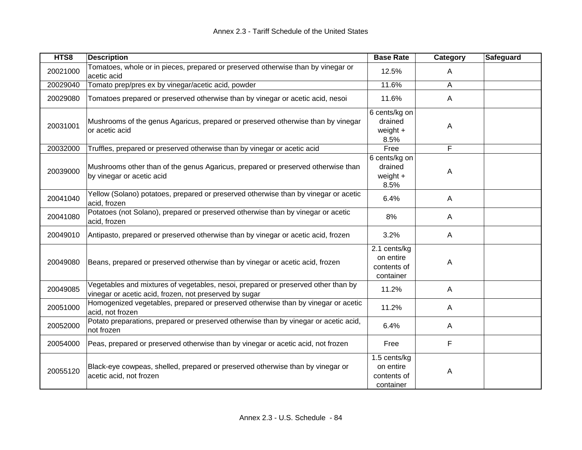| HTS8     | <b>Description</b>                                                                                                                          | <b>Base Rate</b>                                      | Category     | <b>Safeguard</b> |
|----------|---------------------------------------------------------------------------------------------------------------------------------------------|-------------------------------------------------------|--------------|------------------|
| 20021000 | Tomatoes, whole or in pieces, prepared or preserved otherwise than by vinegar or<br>acetic acid                                             | 12.5%                                                 | A            |                  |
| 20029040 | Tomato prep/pres ex by vinegar/acetic acid, powder                                                                                          | 11.6%                                                 | A            |                  |
| 20029080 | Tomatoes prepared or preserved otherwise than by vinegar or acetic acid, nesoi                                                              | 11.6%                                                 | $\mathsf{A}$ |                  |
| 20031001 | Mushrooms of the genus Agaricus, prepared or preserved otherwise than by vinegar<br>or acetic acid                                          | 6 cents/kg on<br>drained<br>weight $+$<br>8.5%        | Α            |                  |
| 20032000 | Truffles, prepared or preserved otherwise than by vinegar or acetic acid                                                                    | Free                                                  | F            |                  |
| 20039000 | Mushrooms other than of the genus Agaricus, prepared or preserved otherwise than<br>by vinegar or acetic acid                               | 6 cents/kg on<br>drained<br>weight $+$<br>8.5%        | A            |                  |
| 20041040 | Yellow (Solano) potatoes, prepared or preserved otherwise than by vinegar or acetic<br>acid, frozen                                         | 6.4%                                                  | A            |                  |
| 20041080 | Potatoes (not Solano), prepared or preserved otherwise than by vinegar or acetic<br>acid, frozen                                            | 8%                                                    | A            |                  |
| 20049010 | Antipasto, prepared or preserved otherwise than by vinegar or acetic acid, frozen                                                           | 3.2%                                                  | A            |                  |
| 20049080 | Beans, prepared or preserved otherwise than by vinegar or acetic acid, frozen                                                               | 2.1 cents/kg<br>on entire<br>contents of<br>container | Α            |                  |
| 20049085 | Vegetables and mixtures of vegetables, nesoi, prepared or preserved other than by<br>vinegar or acetic acid, frozen, not preserved by sugar | 11.2%                                                 | A            |                  |
| 20051000 | Homogenized vegetables, prepared or preserved otherwise than by vinegar or acetic<br>acid, not frozen                                       | 11.2%                                                 | A            |                  |
| 20052000 | Potato preparations, prepared or preserved otherwise than by vinegar or acetic acid,<br>not frozen                                          | 6.4%                                                  | A            |                  |
| 20054000 | Peas, prepared or preserved otherwise than by vinegar or acetic acid, not frozen                                                            | Free                                                  | F            |                  |
| 20055120 | Black-eye cowpeas, shelled, prepared or preserved otherwise than by vinegar or<br>acetic acid, not frozen                                   | 1.5 cents/kg<br>on entire<br>contents of<br>container | Α            |                  |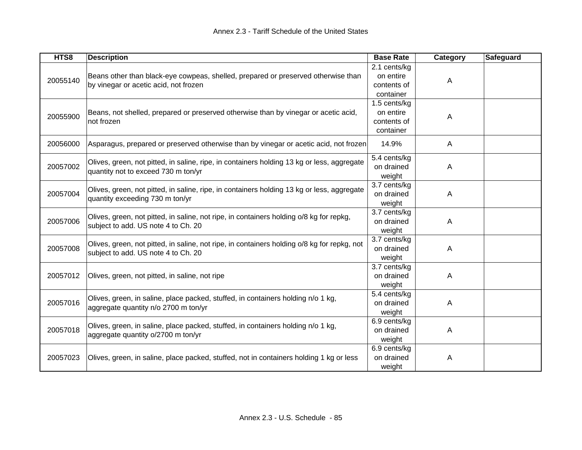| HTS8     | <b>Description</b>                                                                                                                 | <b>Base Rate</b>                                      | Category | <b>Safeguard</b> |
|----------|------------------------------------------------------------------------------------------------------------------------------------|-------------------------------------------------------|----------|------------------|
| 20055140 | Beans other than black-eye cowpeas, shelled, prepared or preserved otherwise than<br>by vinegar or acetic acid, not frozen         | 2.1 cents/kg<br>on entire<br>contents of<br>container | A        |                  |
| 20055900 | Beans, not shelled, prepared or preserved otherwise than by vinegar or acetic acid,<br>not frozen                                  | 1.5 cents/kg<br>on entire<br>contents of<br>container | A        |                  |
| 20056000 | Asparagus, prepared or preserved otherwise than by vinegar or acetic acid, not frozen                                              | 14.9%                                                 | A        |                  |
| 20057002 | Olives, green, not pitted, in saline, ripe, in containers holding 13 kg or less, aggregate<br>quantity not to exceed 730 m ton/yr  | 5.4 cents/kg<br>on drained<br>weight                  | A        |                  |
| 20057004 | Olives, green, not pitted, in saline, ripe, in containers holding 13 kg or less, aggregate<br>quantity exceeding 730 m ton/yr      | 3.7 cents/kg<br>on drained<br>weight                  | A        |                  |
| 20057006 | Olives, green, not pitted, in saline, not ripe, in containers holding o/8 kg for repkg,<br>subject to add. US note 4 to Ch. 20     | 3.7 cents/kg<br>on drained<br>weight                  | A        |                  |
| 20057008 | Olives, green, not pitted, in saline, not ripe, in containers holding o/8 kg for repkg, not<br>subject to add. US note 4 to Ch. 20 | 3.7 cents/kg<br>on drained<br>weight                  | A        |                  |
| 20057012 | Olives, green, not pitted, in saline, not ripe                                                                                     | 3.7 cents/kg<br>on drained<br>weight                  | Α        |                  |
| 20057016 | Olives, green, in saline, place packed, stuffed, in containers holding n/o 1 kg,<br>aggregate quantity n/o 2700 m ton/yr           | 5.4 cents/kg<br>on drained<br>weight                  | Α        |                  |
| 20057018 | Olives, green, in saline, place packed, stuffed, in containers holding n/o 1 kg,<br>aggregate quantity o/2700 m ton/yr             | 6.9 cents/kg<br>on drained<br>weight                  | A        |                  |
| 20057023 | Olives, green, in saline, place packed, stuffed, not in containers holding 1 kg or less                                            | 6.9 cents/kg<br>on drained<br>weight                  | Α        |                  |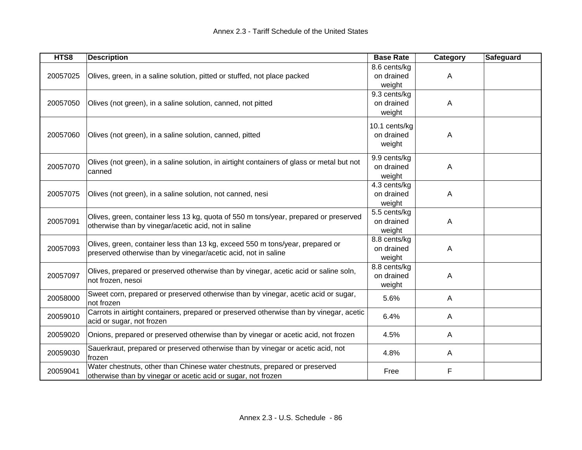| HTS8     | <b>Description</b>                                                                                                                              | <b>Base Rate</b>                      | <b>Category</b> | <b>Safeguard</b> |
|----------|-------------------------------------------------------------------------------------------------------------------------------------------------|---------------------------------------|-----------------|------------------|
| 20057025 | Olives, green, in a saline solution, pitted or stuffed, not place packed                                                                        | 8.6 cents/kg<br>on drained<br>weight  | A               |                  |
| 20057050 | Olives (not green), in a saline solution, canned, not pitted                                                                                    | 9.3 cents/kg<br>on drained<br>weight  | A               |                  |
| 20057060 | Olives (not green), in a saline solution, canned, pitted                                                                                        | 10.1 cents/kg<br>on drained<br>weight | Α               |                  |
| 20057070 | Olives (not green), in a saline solution, in airtight containers of glass or metal but not<br>canned                                            | 9.9 cents/kg<br>on drained<br>weight  | A               |                  |
| 20057075 | Olives (not green), in a saline solution, not canned, nesi                                                                                      | 4.3 cents/kg<br>on drained<br>weight  | A               |                  |
| 20057091 | Olives, green, container less 13 kg, quota of 550 m tons/year, prepared or preserved<br>otherwise than by vinegar/acetic acid, not in saline    | 5.5 cents/kg<br>on drained<br>weight  | Α               |                  |
| 20057093 | Olives, green, container less than 13 kg, exceed 550 m tons/year, prepared or<br>preserved otherwise than by vinegar/acetic acid, not in saline | 8.8 cents/kg<br>on drained<br>weight  | A               |                  |
| 20057097 | Olives, prepared or preserved otherwise than by vinegar, acetic acid or saline soln,<br>not frozen, nesoi                                       | 8.8 cents/kg<br>on drained<br>weight  | A               |                  |
| 20058000 | Sweet corn, prepared or preserved otherwise than by vinegar, acetic acid or sugar,<br>not frozen                                                | 5.6%                                  | A               |                  |
| 20059010 | Carrots in airtight containers, prepared or preserved otherwise than by vinegar, acetic<br>acid or sugar, not frozen                            | 6.4%                                  | A               |                  |
| 20059020 | Onions, prepared or preserved otherwise than by vinegar or acetic acid, not frozen                                                              | 4.5%                                  | A               |                  |
| 20059030 | Sauerkraut, prepared or preserved otherwise than by vinegar or acetic acid, not<br>frozen                                                       | 4.8%                                  | A               |                  |
| 20059041 | Water chestnuts, other than Chinese water chestnuts, prepared or preserved<br>otherwise than by vinegar or acetic acid or sugar, not frozen     | Free                                  | F               |                  |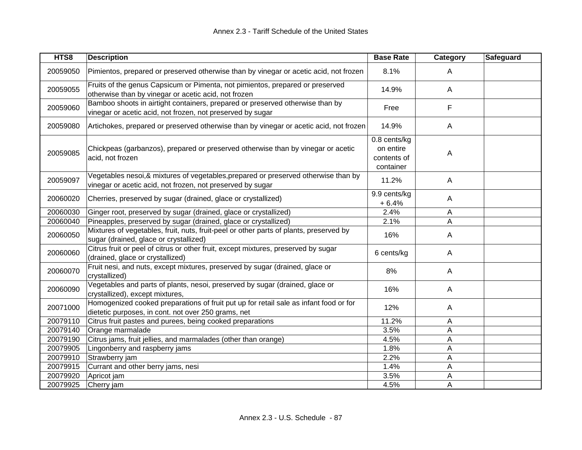| HTS8     | <b>Description</b>                                                                                                                               | <b>Base Rate</b>                                      | Category       | Safeguard |
|----------|--------------------------------------------------------------------------------------------------------------------------------------------------|-------------------------------------------------------|----------------|-----------|
| 20059050 | Pimientos, prepared or preserved otherwise than by vinegar or acetic acid, not frozen                                                            | 8.1%                                                  | $\mathsf{A}$   |           |
| 20059055 | Fruits of the genus Capsicum or Pimenta, not pimientos, prepared or preserved<br>otherwise than by vinegar or acetic acid, not frozen            | 14.9%                                                 | $\mathsf{A}$   |           |
| 20059060 | Bamboo shoots in airtight containers, prepared or preserved otherwise than by<br>vinegar or acetic acid, not frozen, not preserved by sugar      | Free                                                  | F              |           |
| 20059080 | Artichokes, prepared or preserved otherwise than by vinegar or acetic acid, not frozen                                                           | 14.9%                                                 | $\mathsf{A}$   |           |
| 20059085 | Chickpeas (garbanzos), prepared or preserved otherwise than by vinegar or acetic<br>acid, not frozen                                             | 0.8 cents/kg<br>on entire<br>contents of<br>container | A              |           |
| 20059097 | Vegetables nesoi,& mixtures of vegetables, prepared or preserved otherwise than by<br>vinegar or acetic acid, not frozen, not preserved by sugar | 11.2%                                                 | $\mathsf{A}$   |           |
| 20060020 | Cherries, preserved by sugar (drained, glace or crystallized)                                                                                    | 9.9 cents/kg<br>$+6.4%$                               | $\mathsf{A}$   |           |
| 20060030 | Ginger root, preserved by sugar (drained, glace or crystallized)                                                                                 | 2.4%                                                  | $\overline{A}$ |           |
| 20060040 | Pineapples, preserved by sugar (drained, glace or crystallized)                                                                                  | 2.1%                                                  | A              |           |
| 20060050 | Mixtures of vegetables, fruit, nuts, fruit-peel or other parts of plants, preserved by<br>sugar (drained, glace or crystallized)                 | 16%                                                   | A              |           |
| 20060060 | Citrus fruit or peel of citrus or other fruit, except mixtures, preserved by sugar<br>(drained, glace or crystallized)                           | 6 cents/kg                                            | $\mathsf{A}$   |           |
| 20060070 | Fruit nesi, and nuts, except mixtures, preserved by sugar (drained, glace or<br>crystallized)                                                    | 8%                                                    | $\mathsf{A}$   |           |
| 20060090 | Vegetables and parts of plants, nesoi, preserved by sugar (drained, glace or<br>crystallized), except mixtures,                                  | 16%                                                   | $\mathsf{A}$   |           |
| 20071000 | Homogenized cooked preparations of fruit put up for retail sale as infant food or for<br>dietetic purposes, in cont. not over 250 grams, net     | 12%                                                   | $\mathsf{A}$   |           |
| 20079110 | Citrus fruit pastes and purees, being cooked preparations                                                                                        | 11.2%                                                 | A              |           |
| 20079140 | Orange marmalade                                                                                                                                 | 3.5%                                                  | A              |           |
| 20079190 | Citrus jams, fruit jellies, and marmalades (other than orange)                                                                                   | 4.5%                                                  | Α              |           |
| 20079905 | Lingonberry and raspberry jams                                                                                                                   | 1.8%                                                  | A              |           |
| 20079910 | Strawberry jam                                                                                                                                   | 2.2%                                                  | A              |           |
| 20079915 | Currant and other berry jams, nesi                                                                                                               | 1.4%                                                  | A              |           |
| 20079920 | Apricot jam                                                                                                                                      | 3.5%                                                  | A              |           |
| 20079925 | Cherry jam                                                                                                                                       | 4.5%                                                  | A              |           |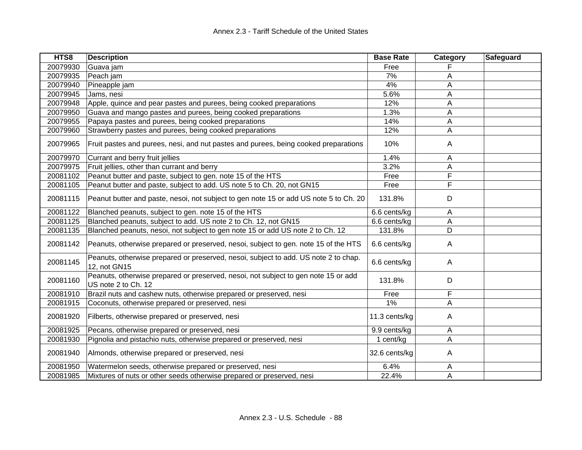| HTS8     | <b>Description</b>                                                                                        | <b>Base Rate</b> | Category                | Safeguard |
|----------|-----------------------------------------------------------------------------------------------------------|------------------|-------------------------|-----------|
| 20079930 | Guava jam                                                                                                 | Free             |                         |           |
| 20079935 | Peach jam                                                                                                 | 7%               | Α                       |           |
| 20079940 | Pineapple jam                                                                                             | 4%               | A                       |           |
| 20079945 | Jams, nesi                                                                                                | 5.6%             | A                       |           |
| 20079948 | Apple, quince and pear pastes and purees, being cooked preparations                                       | 12%              | Α                       |           |
| 20079950 | Guava and mango pastes and purees, being cooked preparations                                              | 1.3%             | A                       |           |
| 20079955 | Papaya pastes and purees, being cooked preparations                                                       | 14%              | A                       |           |
| 20079960 | Strawberry pastes and purees, being cooked preparations                                                   | 12%              | A                       |           |
| 20079965 | Fruit pastes and purees, nesi, and nut pastes and purees, being cooked preparations                       | 10%              | A                       |           |
| 20079970 | Currant and berry fruit jellies                                                                           | 1.4%             | A                       |           |
| 20079975 | Fruit jellies, other than currant and berry                                                               | 3.2%             | A                       |           |
| 20081102 | Peanut butter and paste, subject to gen. note 15 of the HTS                                               | Free             | $\overline{\mathsf{F}}$ |           |
| 20081105 | Peanut butter and paste, subject to add. US note 5 to Ch. 20, not GN15                                    | Free             | F                       |           |
| 20081115 | Peanut butter and paste, nesoi, not subject to gen note 15 or add US note 5 to Ch. 20                     | 131.8%           | D                       |           |
| 20081122 | Blanched peanuts, subject to gen. note 15 of the HTS                                                      | 6.6 cents/kg     | $\overline{\mathsf{A}}$ |           |
| 20081125 | Blanched peanuts, subject to add. US note 2 to Ch. 12, not GN15                                           | 6.6 cents/kg     | A                       |           |
| 20081135 | Blanched peanuts, nesoi, not subject to gen note 15 or add US note 2 to Ch. 12                            | 131.8%           | D                       |           |
| 20081142 | Peanuts, otherwise prepared or preserved, nesoi, subject to gen. note 15 of the HTS                       | 6.6 cents/kg     | A                       |           |
| 20081145 | Peanuts, otherwise prepared or preserved, nesoi, subject to add. US note 2 to chap.<br>12, not GN15       | 6.6 cents/kg     | A                       |           |
| 20081160 | Peanuts, otherwise prepared or preserved, nesoi, not subject to gen note 15 or add<br>US note 2 to Ch. 12 | 131.8%           | D                       |           |
| 20081910 | Brazil nuts and cashew nuts, otherwise prepared or preserved, nesi                                        | Free             | F                       |           |
| 20081915 | Coconuts, otherwise prepared or preserved, nesi                                                           | 1%               | A                       |           |
| 20081920 | Filberts, otherwise prepared or preserved, nesi                                                           | 11.3 cents/kg    | A                       |           |
| 20081925 | Pecans, otherwise prepared or preserved, nesi                                                             | 9.9 cents/kg     | A                       |           |
| 20081930 | Pignolia and pistachio nuts, otherwise prepared or preserved, nesi                                        | 1 cent/kg        | A                       |           |
| 20081940 | Almonds, otherwise prepared or preserved, nesi                                                            | 32.6 cents/kg    | A                       |           |
| 20081950 | Watermelon seeds, otherwise prepared or preserved, nesi                                                   | 6.4%             | Α                       |           |
| 20081985 | Mixtures of nuts or other seeds otherwise prepared or preserved, nesi                                     | 22.4%            | A                       |           |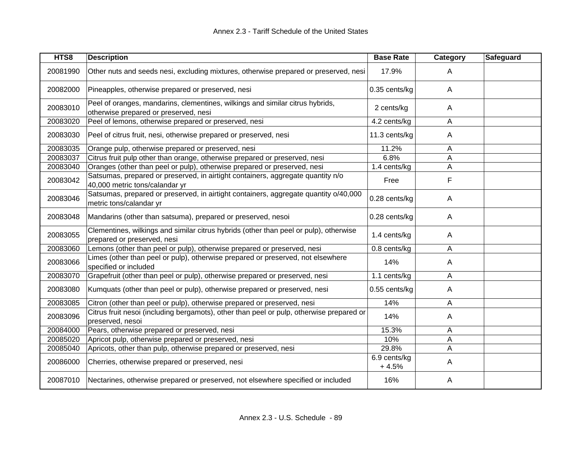| HTS8     | <b>Description</b>                                                                                                     | <b>Base Rate</b>        | Category                | Safeguard |
|----------|------------------------------------------------------------------------------------------------------------------------|-------------------------|-------------------------|-----------|
| 20081990 | Other nuts and seeds nesi, excluding mixtures, otherwise prepared or preserved, nesi                                   | 17.9%                   | $\mathsf{A}$            |           |
| 20082000 | Pineapples, otherwise prepared or preserved, nesi                                                                      | 0.35 cents/kg           | $\mathsf{A}$            |           |
| 20083010 | Peel of oranges, mandarins, clementines, wilkings and similar citrus hybrids,<br>otherwise prepared or preserved, nesi | 2 cents/kg              | $\mathsf{A}$            |           |
| 20083020 | Peel of lemons, otherwise prepared or preserved, nesi                                                                  | 4.2 cents/kg            | $\mathsf{A}$            |           |
| 20083030 | Peel of citrus fruit, nesi, otherwise prepared or preserved, nesi                                                      | 11.3 cents/kg           | $\mathsf{A}$            |           |
| 20083035 | Orange pulp, otherwise prepared or preserved, nesi                                                                     | 11.2%                   | A                       |           |
| 20083037 | Citrus fruit pulp other than orange, otherwise prepared or preserved, nesi                                             | 6.8%                    | A                       |           |
| 20083040 | Oranges (other than peel or pulp), otherwise prepared or preserved, nesi                                               | 1.4 cents/kg            | A                       |           |
| 20083042 | Satsumas, prepared or preserved, in airtight containers, aggregate quantity n/o<br>40,000 metric tons/calandar yr      | Free                    | F                       |           |
| 20083046 | Satsumas, prepared or preserved, in airtight containers, aggregate quantity o/40,000<br>metric tons/calandar yr        | 0.28 cents/kg           | $\mathsf{A}$            |           |
| 20083048 | Mandarins (other than satsuma), prepared or preserved, nesoi                                                           | 0.28 cents/kg           | $\mathsf{A}$            |           |
| 20083055 | Clementines, wilkings and similar citrus hybrids (other than peel or pulp), otherwise<br>prepared or preserved, nesi   | 1.4 cents/kg            | A                       |           |
| 20083060 | Lemons (other than peel or pulp), otherwise prepared or preserved, nesi                                                | 0.8 cents/kg            | A                       |           |
| 20083066 | Limes (other than peel or pulp), otherwise prepared or preserved, not elsewhere<br>specified or included               | 14%                     | $\mathsf{A}$            |           |
| 20083070 | Grapefruit (other than peel or pulp), otherwise prepared or preserved, nesi                                            | 1.1 cents/kg            | A                       |           |
| 20083080 | Kumquats (other than peel or pulp), otherwise prepared or preserved, nesi                                              | 0.55 cents/kg           | $\overline{\mathsf{A}}$ |           |
| 20083085 | Citron (other than peel or pulp), otherwise prepared or preserved, nesi                                                | 14%                     | $\mathsf{A}$            |           |
| 20083096 | Citrus fruit nesoi (including bergamots), other than peel or pulp, otherwise prepared or<br>preserved, nesoi           | 14%                     | $\mathsf{A}$            |           |
| 20084000 | Pears, otherwise prepared or preserved, nesi                                                                           | 15.3%                   | A                       |           |
| 20085020 | Apricot pulp, otherwise prepared or preserved, nesi                                                                    | 10%                     | Α                       |           |
| 20085040 | Apricots, other than pulp, otherwise prepared or preserved, nesi                                                       | 29.8%                   | A                       |           |
| 20086000 | Cherries, otherwise prepared or preserved, nesi                                                                        | 6.9 cents/kg<br>$+4.5%$ | $\mathsf{A}$            |           |
| 20087010 | Nectarines, otherwise prepared or preserved, not elsewhere specified or included                                       | 16%                     | A                       |           |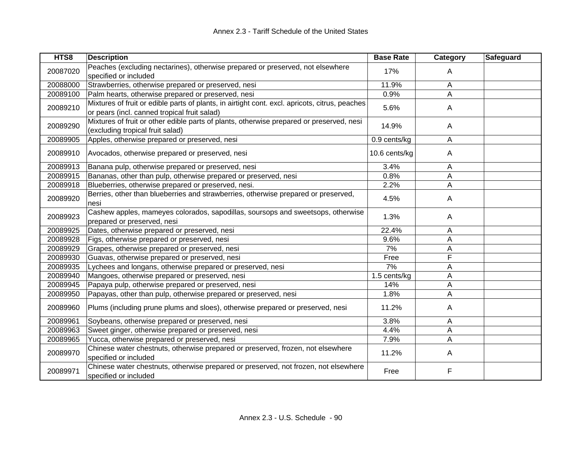| HTS8     | <b>Description</b>                                                                                                                             | <b>Base Rate</b> | Category | Safeguard |
|----------|------------------------------------------------------------------------------------------------------------------------------------------------|------------------|----------|-----------|
| 20087020 | Peaches (excluding nectarines), otherwise prepared or preserved, not elsewhere<br>specified or included                                        | 17%              | A        |           |
| 20088000 | Strawberries, otherwise prepared or preserved, nesi                                                                                            | 11.9%            | Α        |           |
| 20089100 | Palm hearts, otherwise prepared or preserved, nesi                                                                                             | 0.9%             | A        |           |
| 20089210 | Mixtures of fruit or edible parts of plants, in airtight cont. excl. apricots, citrus, peaches<br>or pears (incl. canned tropical fruit salad) | 5.6%             | A        |           |
| 20089290 | Mixtures of fruit or other edible parts of plants, otherwise prepared or preserved, nesi<br>(excluding tropical fruit salad)                   | 14.9%            | A        |           |
| 20089905 | Apples, otherwise prepared or preserved, nesi                                                                                                  | 0.9 cents/kg     | A        |           |
| 20089910 | Avocados, otherwise prepared or preserved, nesi                                                                                                | 10.6 cents/kg    | A        |           |
| 20089913 | Banana pulp, otherwise prepared or preserved, nesi                                                                                             | 3.4%             | Α        |           |
| 20089915 | Bananas, other than pulp, otherwise prepared or preserved, nesi                                                                                | 0.8%             | A        |           |
| 20089918 | Blueberries, otherwise prepared or preserved, nesi.                                                                                            | 2.2%             | Α        |           |
| 20089920 | Berries, other than blueberries and strawberries, otherwise prepared or preserved,<br>nesi                                                     | 4.5%             | A        |           |
| 20089923 | Cashew apples, mameyes colorados, sapodillas, soursops and sweetsops, otherwise<br>prepared or preserved, nesi                                 | 1.3%             | A        |           |
| 20089925 | Dates, otherwise prepared or preserved, nesi                                                                                                   | 22.4%            | Α        |           |
| 20089928 | Figs, otherwise prepared or preserved, nesi                                                                                                    | 9.6%             | A        |           |
| 20089929 | Grapes, otherwise prepared or preserved, nesi                                                                                                  | 7%               | A        |           |
| 20089930 | Guavas, otherwise prepared or preserved, nesi                                                                                                  | Free             | F        |           |
| 20089935 | Lychees and longans, otherwise prepared or preserved, nesi                                                                                     | 7%               | Α        |           |
| 20089940 | Mangoes, otherwise prepared or preserved, nesi                                                                                                 | 1.5 cents/kg     | A        |           |
| 20089945 | Papaya pulp, otherwise prepared or preserved, nesi                                                                                             | 14%              | A        |           |
| 20089950 | Papayas, other than pulp, otherwise prepared or preserved, nesi                                                                                | 1.8%             | Α        |           |
| 20089960 | Plums (including prune plums and sloes), otherwise prepared or preserved, nesi                                                                 | 11.2%            | A        |           |
| 20089961 | Soybeans, otherwise prepared or preserved, nesi                                                                                                | 3.8%             | Α        |           |
| 20089963 | Sweet ginger, otherwise prepared or preserved, nesi                                                                                            | 4.4%             | Α        |           |
| 20089965 | Yucca, otherwise prepared or preserved, nesi                                                                                                   | 7.9%             | Α        |           |
| 20089970 | Chinese water chestnuts, otherwise prepared or preserved, frozen, not elsewhere<br>specified or included                                       | 11.2%            | A        |           |
| 20089971 | Chinese water chestnuts, otherwise prepared or preserved, not frozen, not elsewhere<br>specified or included                                   | Free             | F        |           |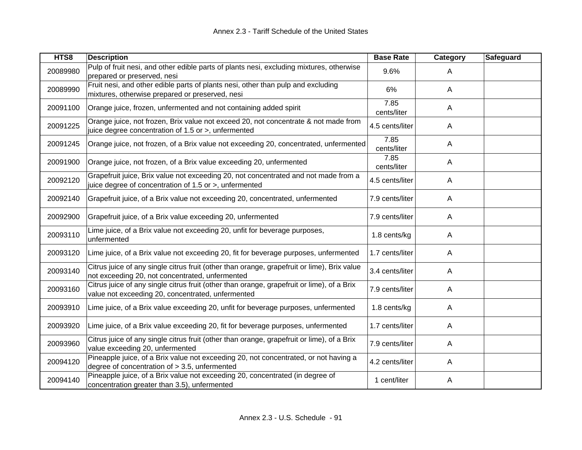| HTS8     | <b>Description</b>                                                                                                                              | <b>Base Rate</b>    | Category     | Safeguard |
|----------|-------------------------------------------------------------------------------------------------------------------------------------------------|---------------------|--------------|-----------|
| 20089980 | Pulp of fruit nesi, and other edible parts of plants nesi, excluding mixtures, otherwise<br>prepared or preserved, nesi                         | 9.6%                | A            |           |
| 20089990 | Fruit nesi, and other edible parts of plants nesi, other than pulp and excluding<br>mixtures, otherwise prepared or preserved, nesi             | 6%                  | A            |           |
| 20091100 | Orange juice, frozen, unfermented and not containing added spirit                                                                               | 7.85<br>cents/liter | A            |           |
| 20091225 | Orange juice, not frozen, Brix value not exceed 20, not concentrate & not made from<br>juice degree concentration of 1.5 or >, unfermented      | 4.5 cents/liter     | A            |           |
| 20091245 | Orange juice, not frozen, of a Brix value not exceeding 20, concentrated, unfermented                                                           | 7.85<br>cents/liter | A            |           |
| 20091900 | Orange juice, not frozen, of a Brix value exceeding 20, unfermented                                                                             | 7.85<br>cents/liter | A            |           |
| 20092120 | Grapefruit juice, Brix value not exceeding 20, not concentrated and not made from a<br>juice degree of concentration of 1.5 or >, unfermented   | 4.5 cents/liter     | A            |           |
| 20092140 | Grapefruit juice, of a Brix value not exceeding 20, concentrated, unfermented                                                                   | 7.9 cents/liter     | A            |           |
| 20092900 | Grapefruit juice, of a Brix value exceeding 20, unfermented                                                                                     | 7.9 cents/liter     | A            |           |
| 20093110 | Lime juice, of a Brix value not exceeding 20, unfit for beverage purposes,<br>unfermented                                                       | 1.8 cents/kg        | A            |           |
| 20093120 | Lime juice, of a Brix value not exceeding 20, fit for beverage purposes, unfermented                                                            | 1.7 cents/liter     | A            |           |
| 20093140 | Citrus juice of any single citrus fruit (other than orange, grapefruit or lime), Brix value<br>not exceeding 20, not concentrated, unfermented  | 3.4 cents/liter     | A            |           |
| 20093160 | Citrus juice of any single citrus fruit (other than orange, grapefruit or lime), of a Brix<br>value not exceeding 20, concentrated, unfermented | 7.9 cents/liter     | A            |           |
| 20093910 | Lime juice, of a Brix value exceeding 20, unfit for beverage purposes, unfermented                                                              | 1.8 cents/kg        | A            |           |
| 20093920 | Lime juice, of a Brix value exceeding 20, fit for beverage purposes, unfermented                                                                | 1.7 cents/liter     | $\mathsf{A}$ |           |
| 20093960 | Citrus juice of any single citrus fruit (other than orange, grapefruit or lime), of a Brix<br>value exceeding 20, unfermented                   | 7.9 cents/liter     | A            |           |
| 20094120 | Pineapple juice, of a Brix value not exceeding 20, not concentrated, or not having a<br>degree of concentration of $> 3.5$ , unfermented        | 4.2 cents/liter     | A            |           |
| 20094140 | Pineapple juice, of a Brix value not exceeding 20, concentrated (in degree of<br>concentration greater than 3.5), unfermented                   | 1 cent/liter        | A            |           |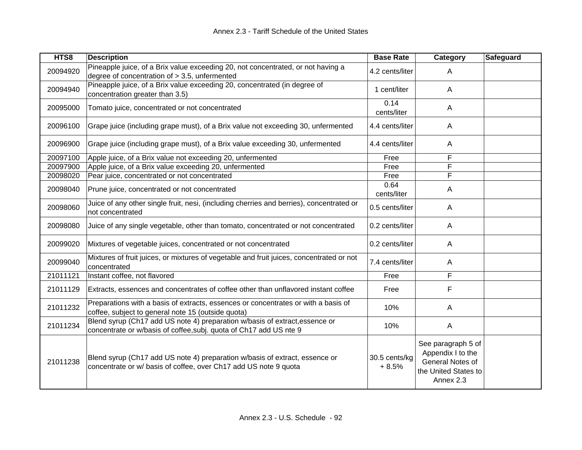| HTS8     | <b>Description</b>                                                                                                                                | <b>Base Rate</b>         | Category<br>Safeguard                                                                            |
|----------|---------------------------------------------------------------------------------------------------------------------------------------------------|--------------------------|--------------------------------------------------------------------------------------------------|
| 20094920 | Pineapple juice, of a Brix value exceeding 20, not concentrated, or not having a<br>degree of concentration of > 3.5, unfermented                 | 4.2 cents/liter          | A                                                                                                |
| 20094940 | Pineapple juice, of a Brix value exceeding 20, concentrated (in degree of<br>concentration greater than 3.5)                                      | 1 cent/liter             | $\mathsf{A}$                                                                                     |
| 20095000 | Tomato juice, concentrated or not concentrated                                                                                                    | 0.14<br>cents/liter      | $\mathsf{A}$                                                                                     |
| 20096100 | Grape juice (including grape must), of a Brix value not exceeding 30, unfermented                                                                 | 4.4 cents/liter          | $\mathsf{A}$                                                                                     |
| 20096900 | Grape juice (including grape must), of a Brix value exceeding 30, unfermented                                                                     | 4.4 cents/liter          | $\mathsf{A}$                                                                                     |
| 20097100 | Apple juice, of a Brix value not exceeding 20, unfermented                                                                                        | Free                     | F                                                                                                |
| 20097900 | Apple juice, of a Brix value exceeding 20, unfermented                                                                                            | Free                     | F                                                                                                |
| 20098020 | Pear juice, concentrated or not concentrated                                                                                                      | Free                     | F                                                                                                |
| 20098040 | Prune juice, concentrated or not concentrated                                                                                                     | 0.64<br>cents/liter      | A                                                                                                |
| 20098060 | Juice of any other single fruit, nesi, (including cherries and berries), concentrated or<br>not concentrated                                      | 0.5 cents/liter          | $\mathsf{A}$                                                                                     |
| 20098080 | Juice of any single vegetable, other than tomato, concentrated or not concentrated                                                                | 0.2 cents/liter          | $\mathsf{A}$                                                                                     |
| 20099020 | Mixtures of vegetable juices, concentrated or not concentrated                                                                                    | 0.2 cents/liter          | $\overline{A}$                                                                                   |
| 20099040 | Mixtures of fruit juices, or mixtures of vegetable and fruit juices, concentrated or not<br>concentrated                                          | 7.4 cents/liter          | $\mathsf{A}$                                                                                     |
| 21011121 | Instant coffee, not flavored                                                                                                                      | Free                     | F                                                                                                |
| 21011129 | Extracts, essences and concentrates of coffee other than unflavored instant coffee                                                                | Free                     | F                                                                                                |
| 21011232 | Preparations with a basis of extracts, essences or concentrates or with a basis of<br>coffee, subject to general note 15 (outside quota)          | 10%                      | $\mathsf{A}$                                                                                     |
| 21011234 | Blend syrup (Ch17 add US note 4) preparation w/basis of extract, essence or<br>concentrate or w/basis of coffee, subj. quota of Ch17 add US nte 9 | 10%                      | $\mathsf{A}$                                                                                     |
| 21011238 | Blend syrup (Ch17 add US note 4) preparation w/basis of extract, essence or<br>concentrate or w/ basis of coffee, over Ch17 add US note 9 quota   | 30.5 cents/kg<br>$+8.5%$ | See paragraph 5 of<br>Appendix I to the<br>General Notes of<br>the United States to<br>Annex 2.3 |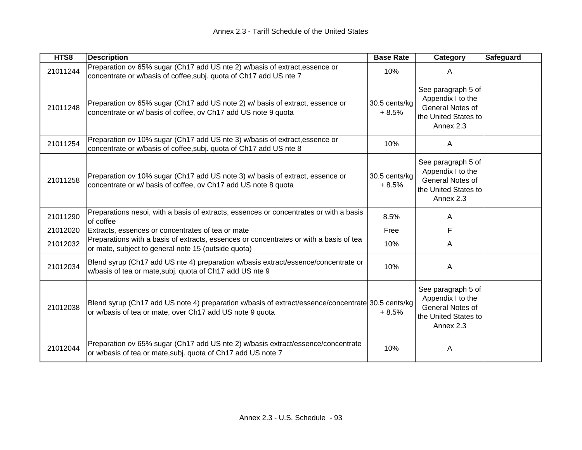| HTS8     | <b>Description</b>                                                                                                                                            | <b>Base Rate</b>         | Category                                                                                         | Safeguard |
|----------|---------------------------------------------------------------------------------------------------------------------------------------------------------------|--------------------------|--------------------------------------------------------------------------------------------------|-----------|
| 21011244 | Preparation ov 65% sugar (Ch17 add US nte 2) w/basis of extract, essence or<br>concentrate or w/basis of coffee, subj. quota of Ch17 add US nte 7             | 10%                      | A                                                                                                |           |
| 21011248 | Preparation ov 65% sugar (Ch17 add US note 2) w/ basis of extract, essence or<br>concentrate or w/ basis of coffee, ov Ch17 add US note 9 quota               | 30.5 cents/kg<br>$+8.5%$ | See paragraph 5 of<br>Appendix I to the<br>General Notes of<br>the United States to<br>Annex 2.3 |           |
| 21011254 | Preparation ov 10% sugar (Ch17 add US nte 3) w/basis of extract, essence or<br>concentrate or w/basis of coffee, subj. quota of Ch17 add US nte 8             | 10%                      | A                                                                                                |           |
| 21011258 | Preparation ov 10% sugar (Ch17 add US note 3) w/ basis of extract, essence or<br>concentrate or w/ basis of coffee, ov Ch17 add US note 8 quota               | 30.5 cents/kg<br>$+8.5%$ | See paragraph 5 of<br>Appendix I to the<br>General Notes of<br>the United States to<br>Annex 2.3 |           |
| 21011290 | Preparations nesoi, with a basis of extracts, essences or concentrates or with a basis<br>of coffee                                                           | 8.5%                     | A                                                                                                |           |
| 21012020 | Extracts, essences or concentrates of tea or mate                                                                                                             | Free                     | F                                                                                                |           |
| 21012032 | Preparations with a basis of extracts, essences or concentrates or with a basis of tea<br>or mate, subject to general note 15 (outside quota)                 | 10%                      | A                                                                                                |           |
| 21012034 | Blend syrup (Ch17 add US nte 4) preparation w/basis extract/essence/concentrate or<br>w/basis of tea or mate, subj. quota of Ch17 add US nte 9                | 10%                      | A                                                                                                |           |
| 21012038 | Blend syrup (Ch17 add US note 4) preparation w/basis of extract/essence/concentrate 30.5 cents/kg<br>or w/basis of tea or mate, over Ch17 add US note 9 quota | $+8.5%$                  | See paragraph 5 of<br>Appendix I to the<br>General Notes of<br>the United States to<br>Annex 2.3 |           |
| 21012044 | Preparation ov 65% sugar (Ch17 add US nte 2) w/basis extract/essence/concentrate<br>or w/basis of tea or mate, subj. quota of Ch17 add US note 7              | 10%                      | A                                                                                                |           |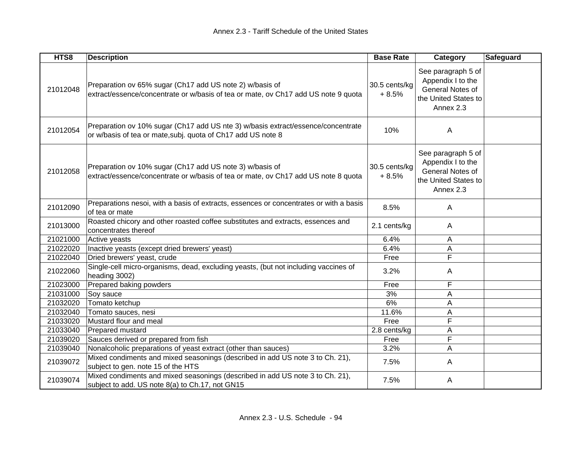| HTS8     | <b>Description</b>                                                                                                                               | <b>Base Rate</b>         | Category                                                                                         | <b>Safeguard</b> |
|----------|--------------------------------------------------------------------------------------------------------------------------------------------------|--------------------------|--------------------------------------------------------------------------------------------------|------------------|
| 21012048 | Preparation ov 65% sugar (Ch17 add US note 2) w/basis of<br>extract/essence/concentrate or w/basis of tea or mate, ov Ch17 add US note 9 quota   | 30.5 cents/kg<br>$+8.5%$ | See paragraph 5 of<br>Appendix I to the<br>General Notes of<br>the United States to<br>Annex 2.3 |                  |
| 21012054 | Preparation ov 10% sugar (Ch17 add US nte 3) w/basis extract/essence/concentrate<br>or w/basis of tea or mate, subj. quota of Ch17 add US note 8 | 10%                      | A                                                                                                |                  |
| 21012058 | Preparation ov 10% sugar (Ch17 add US note 3) w/basis of<br>extract/essence/concentrate or w/basis of tea or mate, ov Ch17 add US note 8 quota   | 30.5 cents/kg<br>$+8.5%$ | See paragraph 5 of<br>Appendix I to the<br>General Notes of<br>the United States to<br>Annex 2.3 |                  |
| 21012090 | Preparations nesoi, with a basis of extracts, essences or concentrates or with a basis<br>of tea or mate                                         | 8.5%                     | A                                                                                                |                  |
| 21013000 | Roasted chicory and other roasted coffee substitutes and extracts, essences and<br>concentrates thereof                                          | 2.1 cents/kg             | A                                                                                                |                  |
| 21021000 | Active yeasts                                                                                                                                    | 6.4%                     | Α                                                                                                |                  |
| 21022020 | Inactive yeasts (except dried brewers' yeast)                                                                                                    | 6.4%                     | A                                                                                                |                  |
| 21022040 | Dried brewers' yeast, crude                                                                                                                      | Free                     | F                                                                                                |                  |
| 21022060 | Single-cell micro-organisms, dead, excluding yeasts, (but not including vaccines of<br>heading 3002)                                             | 3.2%                     | A                                                                                                |                  |
| 21023000 | Prepared baking powders                                                                                                                          | Free                     | F                                                                                                |                  |
| 21031000 | Soy sauce                                                                                                                                        | 3%                       | Α                                                                                                |                  |
| 21032020 | Tomato ketchup                                                                                                                                   | 6%                       | A                                                                                                |                  |
| 21032040 | Tomato sauces, nesi                                                                                                                              | 11.6%                    | А                                                                                                |                  |
| 21033020 | Mustard flour and meal                                                                                                                           | Free                     | F                                                                                                |                  |
| 21033040 | Prepared mustard                                                                                                                                 | 2.8 cents/kg             | A                                                                                                |                  |
| 21039020 | Sauces derived or prepared from fish                                                                                                             | Free                     | F                                                                                                |                  |
| 21039040 | Nonalcoholic preparations of yeast extract (other than sauces)                                                                                   | 3.2%                     | A                                                                                                |                  |
| 21039072 | Mixed condiments and mixed seasonings (described in add US note 3 to Ch. 21),<br>subject to gen. note 15 of the HTS                              | 7.5%                     | A                                                                                                |                  |
| 21039074 | Mixed condiments and mixed seasonings (described in add US note 3 to Ch. 21),<br>subject to add. US note 8(a) to Ch.17, not GN15                 | 7.5%                     | A                                                                                                |                  |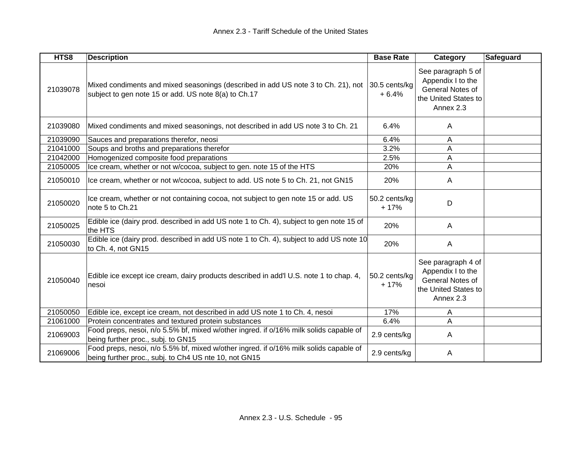| HTS8     | <b>Description</b>                                                                                                                             | <b>Base Rate</b>         | Category                                                                                         | Safeguard |
|----------|------------------------------------------------------------------------------------------------------------------------------------------------|--------------------------|--------------------------------------------------------------------------------------------------|-----------|
| 21039078 | Mixed condiments and mixed seasonings (described in add US note 3 to Ch. 21), not<br>subject to gen note 15 or add. US note 8(a) to Ch.17      | 30.5 cents/kg<br>$+6.4%$ | See paragraph 5 of<br>Appendix I to the<br>General Notes of<br>the United States to<br>Annex 2.3 |           |
| 21039080 | Mixed condiments and mixed seasonings, not described in add US note 3 to Ch. 21                                                                | 6.4%                     | A                                                                                                |           |
| 21039090 | Sauces and preparations therefor, neosi                                                                                                        | 6.4%                     | A                                                                                                |           |
| 21041000 | Soups and broths and preparations therefor                                                                                                     | 3.2%                     | A                                                                                                |           |
| 21042000 | Homogenized composite food preparations                                                                                                        | 2.5%                     | A                                                                                                |           |
| 21050005 | Ice cream, whether or not w/cocoa, subject to gen. note 15 of the HTS                                                                          | 20%                      | Α                                                                                                |           |
| 21050010 | Ice cream, whether or not w/cocoa, subject to add. US note 5 to Ch. 21, not GN15                                                               | 20%                      | A                                                                                                |           |
| 21050020 | Ice cream, whether or not containing cocoa, not subject to gen note 15 or add. US<br>note 5 to Ch.21                                           | 50.2 cents/kg<br>$+17%$  | D                                                                                                |           |
| 21050025 | Edible ice (dairy prod. described in add US note 1 to Ch. 4), subject to gen note 15 of<br>the HTS                                             | 20%                      | A                                                                                                |           |
| 21050030 | Edible ice (dairy prod. described in add US note 1 to Ch. 4), subject to add US note 10<br>to Ch. 4, not GN15                                  | 20%                      | A                                                                                                |           |
| 21050040 | Edible ice except ice cream, dairy products described in add'l U.S. note 1 to chap. 4,<br>nesoi                                                | 50.2 cents/kg<br>$+17%$  | See paragraph 4 of<br>Appendix I to the<br>General Notes of<br>the United States to<br>Annex 2.3 |           |
| 21050050 | Edible ice, except ice cream, not described in add US note 1 to Ch. 4, nesoi                                                                   | 17%                      | A                                                                                                |           |
| 21061000 | Protein concentrates and textured protein substances                                                                                           | 6.4%                     | A                                                                                                |           |
| 21069003 | Food preps, nesoi, n/o 5.5% bf, mixed w/other ingred. if o/16% milk solids capable of<br>being further proc., subj. to GN15                    | 2.9 cents/kg             | A                                                                                                |           |
| 21069006 | Food preps, nesoi, n/o 5.5% bf, mixed w/other ingred. if o/16% milk solids capable of<br>being further proc., subj. to Ch4 US nte 10, not GN15 | 2.9 cents/kg             | A                                                                                                |           |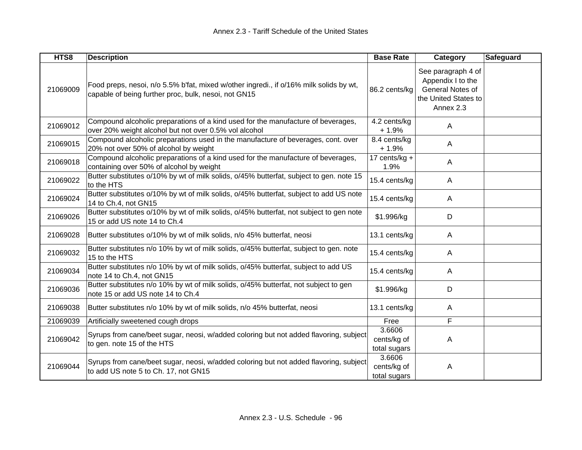| HTS8     | <b>Description</b>                                                                                                                             | <b>Base Rate</b>                      | Category                                                                                         | <b>Safeguard</b> |
|----------|------------------------------------------------------------------------------------------------------------------------------------------------|---------------------------------------|--------------------------------------------------------------------------------------------------|------------------|
| 21069009 | Food preps, nesoi, n/o 5.5% b'fat, mixed w/other ingredi., if o/16% milk solids by wt,<br>capable of being further proc, bulk, nesoi, not GN15 | 86.2 cents/kg                         | See paragraph 4 of<br>Appendix I to the<br>General Notes of<br>the United States to<br>Annex 2.3 |                  |
| 21069012 | Compound alcoholic preparations of a kind used for the manufacture of beverages,<br>over 20% weight alcohol but not over 0.5% vol alcohol      | 4.2 cents/kg<br>$+1.9%$               | A                                                                                                |                  |
| 21069015 | Compound alcoholic preparations used in the manufacture of beverages, cont. over<br>20% not over 50% of alcohol by weight                      | 8.4 cents/kg<br>$+1.9%$               | A                                                                                                |                  |
| 21069018 | Compound alcoholic preparations of a kind used for the manufacture of beverages,<br>containing over 50% of alcohol by weight                   | 17 cents/ $kg +$<br>1.9%              | A                                                                                                |                  |
| 21069022 | Butter substitutes o/10% by wt of milk solids, o/45% butterfat, subject to gen. note 15<br>to the HTS                                          | 15.4 cents/kg                         | A                                                                                                |                  |
| 21069024 | Butter substitutes o/10% by wt of milk solids, o/45% butterfat, subject to add US note<br>14 to Ch.4, not GN15                                 | 15.4 cents/kg                         | A                                                                                                |                  |
| 21069026 | Butter substitutes o/10% by wt of milk solids, o/45% butterfat, not subject to gen note<br>15 or add US note 14 to Ch.4                        | \$1.996/kg                            | D                                                                                                |                  |
| 21069028 | Butter substitutes o/10% by wt of milk solids, n/o 45% butterfat, neosi                                                                        | 13.1 cents/kg                         | A                                                                                                |                  |
| 21069032 | Butter substitutes n/o 10% by wt of milk solids, o/45% butterfat, subject to gen. note<br>15 to the HTS                                        | 15.4 cents/kg                         | A                                                                                                |                  |
| 21069034 | Butter substitutes n/o 10% by wt of milk solids, o/45% butterfat, subject to add US<br>note 14 to Ch.4, not GN15                               | 15.4 cents/kg                         | A                                                                                                |                  |
| 21069036 | Butter substitutes n/o 10% by wt of milk solids, o/45% butterfat, not subject to gen<br>note 15 or add US note 14 to Ch.4                      | \$1.996/kg                            | D                                                                                                |                  |
| 21069038 | Butter substitutes n/o 10% by wt of milk solids, n/o 45% butterfat, neosi                                                                      | 13.1 cents/kg                         | A                                                                                                |                  |
| 21069039 | Artificially sweetened cough drops                                                                                                             | Free                                  | F                                                                                                |                  |
| 21069042 | Syrups from cane/beet sugar, neosi, w/added coloring but not added flavoring, subject<br>to gen. note 15 of the HTS                            | 3.6606<br>cents/kg of<br>total sugars | A                                                                                                |                  |
| 21069044 | Syrups from cane/beet sugar, neosi, w/added coloring but not added flavoring, subject<br>to add US note 5 to Ch. 17, not GN15                  | 3.6606<br>cents/kg of<br>total sugars | A                                                                                                |                  |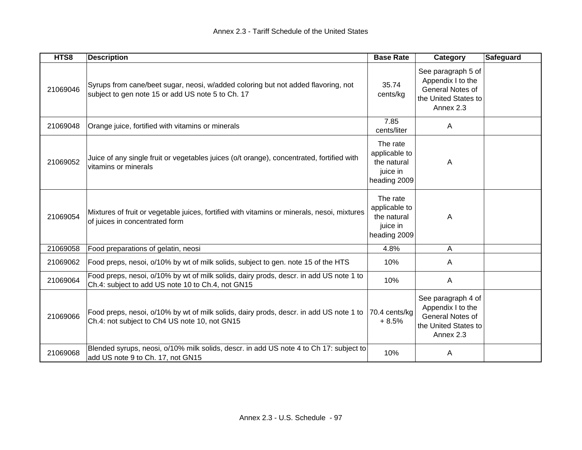| HTS8     | <b>Description</b>                                                                                                                          | <b>Base Rate</b>                                                     | Category                                                                                         | Safeguard |
|----------|---------------------------------------------------------------------------------------------------------------------------------------------|----------------------------------------------------------------------|--------------------------------------------------------------------------------------------------|-----------|
| 21069046 | Syrups from cane/beet sugar, neosi, w/added coloring but not added flavoring, not<br>subject to gen note 15 or add US note 5 to Ch. 17      | 35.74<br>cents/kg                                                    | See paragraph 5 of<br>Appendix I to the<br>General Notes of<br>the United States to<br>Annex 2.3 |           |
| 21069048 | Orange juice, fortified with vitamins or minerals                                                                                           | 7.85<br>cents/liter                                                  | A                                                                                                |           |
| 21069052 | Juice of any single fruit or vegetables juices (o/t orange), concentrated, fortified with<br>vitamins or minerals                           | The rate<br>applicable to<br>the natural<br>juice in<br>heading 2009 | A                                                                                                |           |
| 21069054 | Mixtures of fruit or vegetable juices, fortified with vitamins or minerals, nesoi, mixtures<br>of juices in concentrated form               | The rate<br>applicable to<br>the natural<br>juice in<br>heading 2009 | Α                                                                                                |           |
| 21069058 | Food preparations of gelatin, neosi                                                                                                         | 4.8%                                                                 | A                                                                                                |           |
| 21069062 | Food preps, nesoi, o/10% by wt of milk solids, subject to gen. note 15 of the HTS                                                           | 10%                                                                  | A                                                                                                |           |
| 21069064 | Food preps, nesoi, o/10% by wt of milk solids, dairy prods, descr. in add US note 1 to<br>Ch.4: subject to add US note 10 to Ch.4, not GN15 | 10%                                                                  | A                                                                                                |           |
| 21069066 | Food preps, nesoi, o/10% by wt of milk solids, dairy prods, descr. in add US note 1 to<br>Ch.4: not subject to Ch4 US note 10, not GN15     | 70.4 cents/kg<br>$+8.5%$                                             | See paragraph 4 of<br>Appendix I to the<br>General Notes of<br>the United States to<br>Annex 2.3 |           |
| 21069068 | Blended syrups, neosi, o/10% milk solids, descr. in add US note 4 to Ch 17: subject to<br>add US note 9 to Ch. 17, not GN15                 | 10%                                                                  | A                                                                                                |           |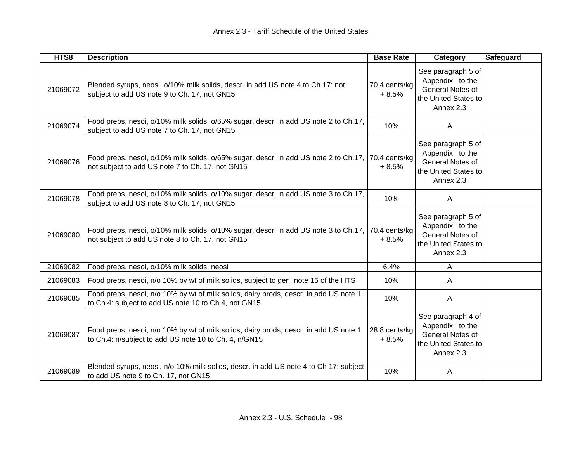| HTS8     | <b>Description</b>                                                                                                                             | <b>Base Rate</b>         | Category                                                                                         | <b>Safeguard</b> |
|----------|------------------------------------------------------------------------------------------------------------------------------------------------|--------------------------|--------------------------------------------------------------------------------------------------|------------------|
| 21069072 | Blended syrups, neosi, o/10% milk solids, descr. in add US note 4 to Ch 17: not<br>subject to add US note 9 to Ch. 17, not GN15                | 70.4 cents/kg<br>$+8.5%$ | See paragraph 5 of<br>Appendix I to the<br>General Notes of<br>the United States to<br>Annex 2.3 |                  |
| 21069074 | Food preps, nesoi, o/10% milk solids, o/65% sugar, descr. in add US note 2 to Ch.17,<br>subject to add US note 7 to Ch. 17, not GN15           | 10%                      | A                                                                                                |                  |
| 21069076 | Food preps, nesoi, o/10% milk solids, o/65% sugar, descr. in add US note 2 to Ch.17,<br>not subject to add US note 7 to Ch. 17, not GN15       | 70.4 cents/kg<br>$+8.5%$ | See paragraph 5 of<br>Appendix I to the<br>General Notes of<br>the United States to<br>Annex 2.3 |                  |
| 21069078 | Food preps, nesoi, o/10% milk solids, o/10% sugar, descr. in add US note 3 to Ch.17,<br>subject to add US note 8 to Ch. 17, not GN15           | 10%                      | A                                                                                                |                  |
| 21069080 | Food preps, nesoi, o/10% milk solids, o/10% sugar, descr. in add US note 3 to Ch.17,<br>not subject to add US note 8 to Ch. 17, not GN15       | 70.4 cents/kg<br>$+8.5%$ | See paragraph 5 of<br>Appendix I to the<br>General Notes of<br>the United States to<br>Annex 2.3 |                  |
| 21069082 | Food preps, nesoi, o/10% milk solids, neosi                                                                                                    | 6.4%                     | A                                                                                                |                  |
| 21069083 | Food preps, nesoi, n/o 10% by wt of milk solids, subject to gen. note 15 of the HTS                                                            | 10%                      | A                                                                                                |                  |
| 21069085 | Food preps, nesoi, n/o 10% by wt of milk solids, dairy prods, descr. in add US note 1<br>to Ch.4: subject to add US note 10 to Ch.4, not GN15  | 10%                      | A                                                                                                |                  |
| 21069087 | Food preps, nesoi, n/o 10% by wt of milk solids, dairy prods, descr. in add US note 1<br>to Ch.4: n/subject to add US note 10 to Ch. 4, n/GN15 | 28.8 cents/kg<br>$+8.5%$ | See paragraph 4 of<br>Appendix I to the<br>General Notes of<br>the United States to<br>Annex 2.3 |                  |
| 21069089 | Blended syrups, neosi, n/o 10% milk solids, descr. in add US note 4 to Ch 17: subject<br>to add US note 9 to Ch. 17, not GN15                  | 10%                      | A                                                                                                |                  |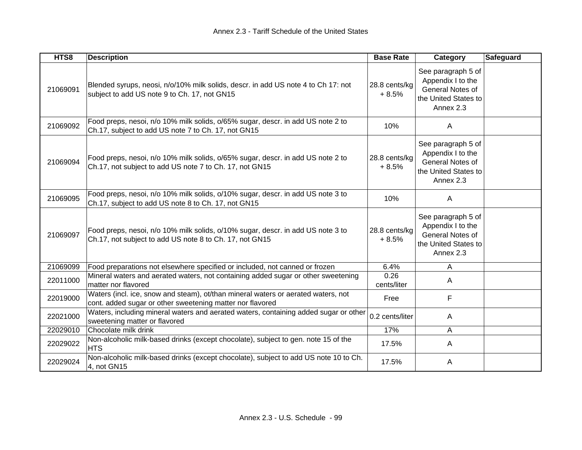| HTS8     | <b>Description</b>                                                                                                                             | <b>Base Rate</b>         | Category                                                                                         | <b>Safeguard</b> |
|----------|------------------------------------------------------------------------------------------------------------------------------------------------|--------------------------|--------------------------------------------------------------------------------------------------|------------------|
| 21069091 | Blended syrups, neosi, n/o/10% milk solids, descr. in add US note 4 to Ch 17: not<br>subject to add US note 9 to Ch. 17, not GN15              | 28.8 cents/kg<br>$+8.5%$ | See paragraph 5 of<br>Appendix I to the<br>General Notes of<br>the United States to<br>Annex 2.3 |                  |
| 21069092 | Food preps, nesoi, n/o 10% milk solids, o/65% sugar, descr. in add US note 2 to<br>Ch.17, subject to add US note 7 to Ch. 17, not GN15         | 10%                      | $\mathsf{A}$                                                                                     |                  |
| 21069094 | Food preps, nesoi, n/o 10% milk solids, o/65% sugar, descr. in add US note 2 to<br>Ch.17, not subject to add US note 7 to Ch. 17, not GN15     | 28.8 cents/kg<br>$+8.5%$ | See paragraph 5 of<br>Appendix I to the<br>General Notes of<br>the United States to<br>Annex 2.3 |                  |
| 21069095 | Food preps, nesoi, n/o 10% milk solids, o/10% sugar, descr. in add US note 3 to<br>Ch.17, subject to add US note 8 to Ch. 17, not GN15         | 10%                      | $\mathsf{A}$                                                                                     |                  |
| 21069097 | Food preps, nesoi, n/o 10% milk solids, o/10% sugar, descr. in add US note 3 to<br>Ch.17, not subject to add US note 8 to Ch. 17, not GN15     | 28.8 cents/kg<br>$+8.5%$ | See paragraph 5 of<br>Appendix I to the<br>General Notes of<br>the United States to<br>Annex 2.3 |                  |
| 21069099 | Food preparations not elsewhere specified or included, not canned or frozen                                                                    | 6.4%                     | A                                                                                                |                  |
| 22011000 | Mineral waters and aerated waters, not containing added sugar or other sweetening<br>matter nor flavored                                       | 0.26<br>cents/liter      | $\mathsf{A}$                                                                                     |                  |
| 22019000 | Waters (incl. ice, snow and steam), ot/than mineral waters or aerated waters, not<br>cont. added sugar or other sweetening matter nor flavored | Free                     | F                                                                                                |                  |
| 22021000 | Waters, including mineral waters and aerated waters, containing added sugar or other<br>sweetening matter or flavored                          | 0.2 cents/liter          | A                                                                                                |                  |
| 22029010 | Chocolate milk drink                                                                                                                           | 17%                      | A                                                                                                |                  |
| 22029022 | Non-alcoholic milk-based drinks (except chocolate), subject to gen. note 15 of the<br><b>HTS</b>                                               | 17.5%                    | $\mathsf{A}$                                                                                     |                  |
| 22029024 | Non-alcoholic milk-based drinks (except chocolate), subject to add US note 10 to Ch.<br>4, not GN15                                            | 17.5%                    | A                                                                                                |                  |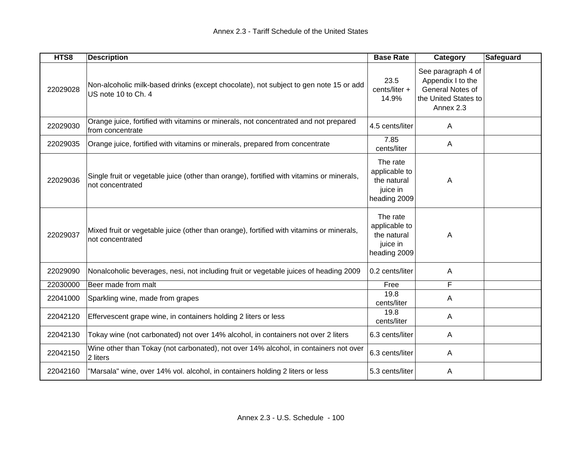| HTS8     | <b>Description</b>                                                                                            | <b>Base Rate</b>                                                     | Category                                                                                         | <b>Safeguard</b> |
|----------|---------------------------------------------------------------------------------------------------------------|----------------------------------------------------------------------|--------------------------------------------------------------------------------------------------|------------------|
| 22029028 | Non-alcoholic milk-based drinks (except chocolate), not subject to gen note 15 or add<br>US note 10 to Ch. 4  | 23.5<br>cents/liter +<br>14.9%                                       | See paragraph 4 of<br>Appendix I to the<br>General Notes of<br>the United States to<br>Annex 2.3 |                  |
| 22029030 | Orange juice, fortified with vitamins or minerals, not concentrated and not prepared<br>from concentrate      | 4.5 cents/liter                                                      | Α                                                                                                |                  |
| 22029035 | Orange juice, fortified with vitamins or minerals, prepared from concentrate                                  | 7.85<br>cents/liter                                                  | A                                                                                                |                  |
| 22029036 | Single fruit or vegetable juice (other than orange), fortified with vitamins or minerals,<br>not concentrated | The rate<br>applicable to<br>the natural<br>juice in<br>heading 2009 | A                                                                                                |                  |
| 22029037 | Mixed fruit or vegetable juice (other than orange), fortified with vitamins or minerals,<br>not concentrated  | The rate<br>applicable to<br>the natural<br>juice in<br>heading 2009 | Α                                                                                                |                  |
| 22029090 | Nonalcoholic beverages, nesi, not including fruit or vegetable juices of heading 2009                         | 0.2 cents/liter                                                      | A                                                                                                |                  |
| 22030000 | Beer made from malt                                                                                           | Free                                                                 | F                                                                                                |                  |
| 22041000 | Sparkling wine, made from grapes                                                                              | 19.8<br>cents/liter                                                  | A                                                                                                |                  |
| 22042120 | Effervescent grape wine, in containers holding 2 liters or less                                               | 19.8<br>cents/liter                                                  | Α                                                                                                |                  |
| 22042130 | Tokay wine (not carbonated) not over 14% alcohol, in containers not over 2 liters                             | 6.3 cents/liter                                                      | A                                                                                                |                  |
| 22042150 | Wine other than Tokay (not carbonated), not over 14% alcohol, in containers not over<br>2 liters              | 6.3 cents/liter                                                      | A                                                                                                |                  |
| 22042160 | "Marsala" wine, over 14% vol. alcohol, in containers holding 2 liters or less                                 | 5.3 cents/liter                                                      | Α                                                                                                |                  |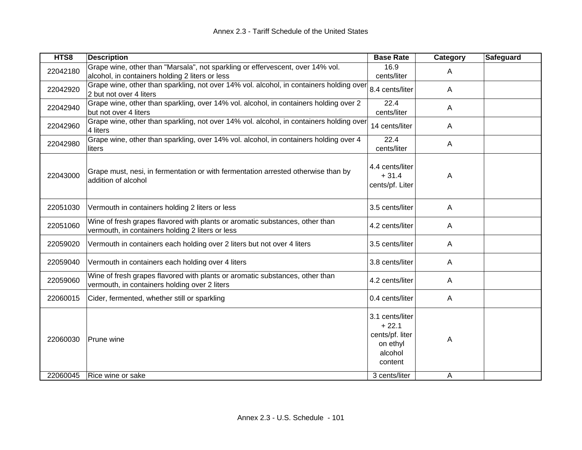| HTS8     | <b>Description</b>                                                                                                                | <b>Base Rate</b>                                                                | <b>Category</b> | Safeguard |
|----------|-----------------------------------------------------------------------------------------------------------------------------------|---------------------------------------------------------------------------------|-----------------|-----------|
| 22042180 | Grape wine, other than "Marsala", not sparkling or effervescent, over 14% vol.<br>alcohol, in containers holding 2 liters or less | 16.9<br>cents/liter                                                             | A               |           |
| 22042920 | Grape wine, other than sparkling, not over 14% vol. alcohol, in containers holding over<br>2 but not over 4 liters                | 8.4 cents/liter                                                                 | A               |           |
| 22042940 | Grape wine, other than sparkling, over 14% vol. alcohol, in containers holding over 2<br>but not over 4 liters                    | 22.4<br>cents/liter                                                             | A               |           |
| 22042960 | Grape wine, other than sparkling, not over 14% vol. alcohol, in containers holding over<br>4 liters                               | 14 cents/liter                                                                  | A               |           |
| 22042980 | Grape wine, other than sparkling, over 14% vol. alcohol, in containers holding over 4<br>liters                                   | 22.4<br>cents/liter                                                             | A               |           |
| 22043000 | Grape must, nesi, in fermentation or with fermentation arrested otherwise than by<br>addition of alcohol                          | 4.4 cents/liter<br>$+31.4$<br>cents/pf. Liter                                   | A               |           |
| 22051030 | Vermouth in containers holding 2 liters or less                                                                                   | 3.5 cents/liter                                                                 | A               |           |
| 22051060 | Wine of fresh grapes flavored with plants or aromatic substances, other than<br>vermouth, in containers holding 2 liters or less  | 4.2 cents/liter                                                                 | A               |           |
| 22059020 | Vermouth in containers each holding over 2 liters but not over 4 liters                                                           | 3.5 cents/liter                                                                 | A               |           |
| 22059040 | Vermouth in containers each holding over 4 liters                                                                                 | 3.8 cents/liter                                                                 | A               |           |
| 22059060 | Wine of fresh grapes flavored with plants or aromatic substances, other than<br>vermouth, in containers holding over 2 liters     | 4.2 cents/liter                                                                 | A               |           |
| 22060015 | Cider, fermented, whether still or sparkling                                                                                      | 0.4 cents/liter                                                                 | A               |           |
| 22060030 | Prune wine                                                                                                                        | 3.1 cents/liter<br>$+22.1$<br>cents/pf. liter<br>on ethyl<br>alcohol<br>content | Α               |           |
| 22060045 | Rice wine or sake                                                                                                                 | 3 cents/liter                                                                   | A               |           |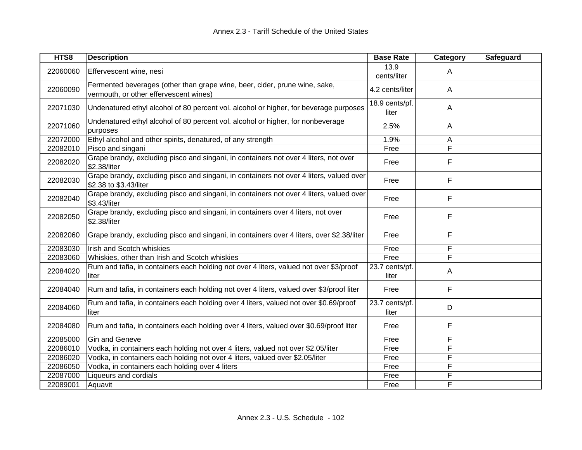| HTS8     | <b>Description</b>                                                                                                   | <b>Base Rate</b>        | Category | Safeguard |
|----------|----------------------------------------------------------------------------------------------------------------------|-------------------------|----------|-----------|
| 22060060 | Effervescent wine, nesi                                                                                              | 13.9<br>cents/liter     | A        |           |
| 22060090 | Fermented beverages (other than grape wine, beer, cider, prune wine, sake,<br>vermouth, or other effervescent wines) | 4.2 cents/liter         | A        |           |
| 22071030 | Undenatured ethyl alcohol of 80 percent vol. alcohol or higher, for beverage purposes                                | 18.9 cents/pf.<br>liter | A        |           |
| 22071060 | Undenatured ethyl alcohol of 80 percent vol. alcohol or higher, for nonbeverage<br>purposes                          | 2.5%                    | A        |           |
| 22072000 | Ethyl alcohol and other spirits, denatured, of any strength                                                          | 1.9%                    | Α        |           |
| 22082010 | Pisco and singani                                                                                                    | Free                    | F        |           |
| 22082020 | Grape brandy, excluding pisco and singani, in containers not over 4 liters, not over<br>\$2.38/liter                 | Free                    | F        |           |
| 22082030 | Grape brandy, excluding pisco and singani, in containers not over 4 liters, valued over<br>\$2.38 to \$3.43/liter    | Free                    | F        |           |
| 22082040 | Grape brandy, excluding pisco and singani, in containers not over 4 liters, valued over<br>\$3.43/liter              | Free                    | F        |           |
| 22082050 | Grape brandy, excluding pisco and singani, in containers over 4 liters, not over<br>\$2.38/liter                     | Free                    | F        |           |
| 22082060 | Grape brandy, excluding pisco and singani, in containers over 4 liters, over \$2.38/liter                            | Free                    | F        |           |
| 22083030 | Irish and Scotch whiskies                                                                                            | Free                    | F        |           |
| 22083060 | Whiskies, other than Irish and Scotch whiskies                                                                       | Free                    | F        |           |
| 22084020 | Rum and tafia, in containers each holding not over 4 liters, valued not over \$3/proof<br>liter                      | 23.7 cents/pf.<br>liter | Α        |           |
| 22084040 | Rum and tafia, in containers each holding not over 4 liters, valued over \$3/proof liter                             | Free                    | F        |           |
| 22084060 | Rum and tafia, in containers each holding over 4 liters, valued not over \$0.69/proof<br>liter                       | 23.7 cents/pf.<br>liter | D        |           |
| 22084080 | Rum and tafia, in containers each holding over 4 liters, valued over \$0.69/proof liter                              | Free                    | F        |           |
| 22085000 | <b>Gin and Geneve</b>                                                                                                | Free                    | F        |           |
| 22086010 | Vodka, in containers each holding not over 4 liters, valued not over \$2.05/liter                                    | Free                    | F        |           |
| 22086020 | Vodka, in containers each holding not over 4 liters, valued over \$2.05/liter                                        | Free                    | F        |           |
| 22086050 | Vodka, in containers each holding over 4 liters                                                                      | Free                    | F        |           |
| 22087000 | Liqueurs and cordials                                                                                                | Free                    | F        |           |
| 22089001 | Aquavit                                                                                                              | Free                    | F        |           |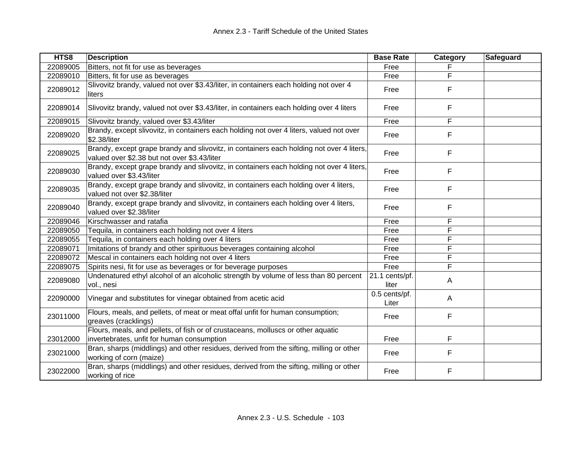| HTS8     | <b>Description</b>                                                                                                                       | <b>Base Rate</b>        | Category | Safeguard |
|----------|------------------------------------------------------------------------------------------------------------------------------------------|-------------------------|----------|-----------|
| 22089005 | Bitters, not fit for use as beverages                                                                                                    | Free                    |          |           |
| 22089010 | Bitters, fit for use as beverages                                                                                                        | Free                    | F        |           |
| 22089012 | Slivovitz brandy, valued not over \$3.43/liter, in containers each holding not over 4<br>liters                                          | Free                    | F        |           |
| 22089014 | Slivovitz brandy, valued not over \$3.43/liter, in containers each holding over 4 liters                                                 | Free                    | F        |           |
| 22089015 | Slivovitz brandy, valued over \$3.43/liter                                                                                               | Free                    | F        |           |
| 22089020 | Brandy, except slivovitz, in containers each holding not over 4 liters, valued not over<br>\$2.38/liter                                  | Free                    | F        |           |
| 22089025 | Brandy, except grape brandy and slivovitz, in containers each holding not over 4 liters,<br>valued over \$2.38 but not over \$3.43/liter | Free                    | F        |           |
| 22089030 | Brandy, except grape brandy and slivovitz, in containers each holding not over 4 liters,<br>valued over \$3.43/liter                     | Free                    | F        |           |
| 22089035 | Brandy, except grape brandy and slivovitz, in containers each holding over 4 liters,<br>valued not over \$2.38/liter                     | Free                    | F        |           |
| 22089040 | Brandy, except grape brandy and slivovitz, in containers each holding over 4 liters,<br>valued over \$2.38/liter                         | Free                    | F        |           |
| 22089046 | Kirschwasser and ratafia                                                                                                                 | Free                    | F        |           |
| 22089050 | Tequila, in containers each holding not over 4 liters                                                                                    | Free                    | F        |           |
| 22089055 | Tequila, in containers each holding over 4 liters                                                                                        | Free                    | F        |           |
| 22089071 | Imitations of brandy and other spirituous beverages containing alcohol                                                                   | Free                    | F        |           |
| 22089072 | Mescal in containers each holding not over 4 liters                                                                                      | Free                    | F        |           |
| 22089075 | Spirits nesi, fit for use as beverages or for beverage purposes                                                                          | Free                    | F        |           |
| 22089080 | Undenatured ethyl alcohol of an alcoholic strength by volume of less than 80 percent<br>vol., nesi                                       | 21.1 cents/pf.<br>liter | A        |           |
| 22090000 | Vinegar and substitutes for vinegar obtained from acetic acid                                                                            | 0.5 cents/pf.<br>Liter  | A        |           |
| 23011000 | Flours, meals, and pellets, of meat or meat offal unfit for human consumption;<br>greaves (cracklings)                                   | Free                    | F        |           |
| 23012000 | Flours, meals, and pellets, of fish or of crustaceans, molluscs or other aquatic<br>invertebrates, unfit for human consumption           | Free                    | F        |           |
| 23021000 | Bran, sharps (middlings) and other residues, derived from the sifting, milling or other<br>working of corn (maize)                       | Free                    | F        |           |
| 23022000 | Bran, sharps (middlings) and other residues, derived from the sifting, milling or other<br>working of rice                               | Free                    | F        |           |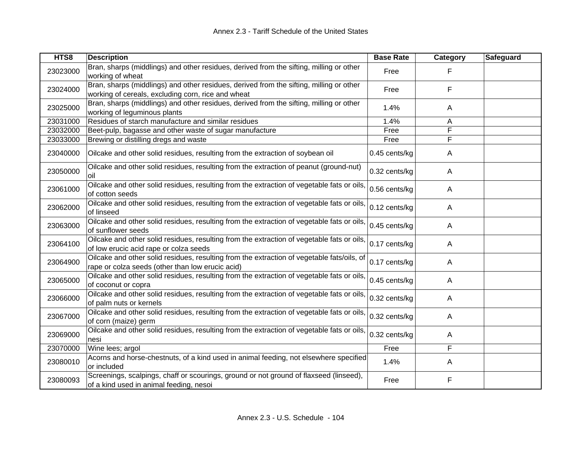| HTS8     | <b>Description</b>                                                                                                                             | <b>Base Rate</b> | Category | Safeguard |
|----------|------------------------------------------------------------------------------------------------------------------------------------------------|------------------|----------|-----------|
| 23023000 | Bran, sharps (middlings) and other residues, derived from the sifting, milling or other<br>working of wheat                                    | Free             | F        |           |
| 23024000 | Bran, sharps (middlings) and other residues, derived from the sifting, milling or other<br>working of cereals, excluding corn, rice and wheat  | Free             | F        |           |
| 23025000 | Bran, sharps (middlings) and other residues, derived from the sifting, milling or other<br>working of leguminous plants                        | 1.4%             | A        |           |
| 23031000 | Residues of starch manufacture and similar residues                                                                                            | 1.4%             | A        |           |
| 23032000 | Beet-pulp, bagasse and other waste of sugar manufacture                                                                                        | Free             | F        |           |
| 23033000 | Brewing or distilling dregs and waste                                                                                                          | Free             | F        |           |
| 23040000 | Oilcake and other solid residues, resulting from the extraction of soybean oil                                                                 | 0.45 cents/kg    | A        |           |
| 23050000 | Oilcake and other solid residues, resulting from the extraction of peanut (ground-nut)<br>oil                                                  | 0.32 cents/kg    | A        |           |
| 23061000 | Oilcake and other solid residues, resulting from the extraction of vegetable fats or oils,<br>of cotton seeds                                  | 0.56 cents/kg    | A        |           |
| 23062000 | Oilcake and other solid residues, resulting from the extraction of vegetable fats or oils,<br>of linseed                                       | 0.12 cents/kg    | A        |           |
| 23063000 | Oilcake and other solid residues, resulting from the extraction of vegetable fats or oils,<br>of sunflower seeds                               | 0.45 cents/kg    | A        |           |
| 23064100 | Oilcake and other solid residues, resulting from the extraction of vegetable fats or oils,<br>of low erucic acid rape or colza seeds           | 0.17 cents/kg    | A        |           |
| 23064900 | Oilcake and other solid residues, resulting from the extraction of vegetable fats/oils, of<br>rape or colza seeds (other than low erucic acid) | 0.17 cents/kg    | Α        |           |
| 23065000 | Oilcake and other solid residues, resulting from the extraction of vegetable fats or oils,<br>of coconut or copra                              | 0.45 cents/kg    | A        |           |
| 23066000 | Oilcake and other solid residues, resulting from the extraction of vegetable fats or oils.<br>of palm nuts or kernels                          | 0.32 cents/kg    | A        |           |
| 23067000 | Oilcake and other solid residues, resulting from the extraction of vegetable fats or oils,<br>of corn (maize) germ                             | 0.32 cents/kg    | A        |           |
| 23069000 | Oilcake and other solid residues, resulting from the extraction of vegetable fats or oils,<br>nesi                                             | 0.32 cents/kg    | A        |           |
| 23070000 | Wine lees; argol                                                                                                                               | Free             | F        |           |
| 23080010 | Acorns and horse-chestnuts, of a kind used in animal feeding, not elsewhere specified<br>or included                                           | 1.4%             | A        |           |
| 23080093 | Screenings, scalpings, chaff or scourings, ground or not ground of flaxseed (linseed),<br>of a kind used in animal feeding, nesoi              | Free             | F        |           |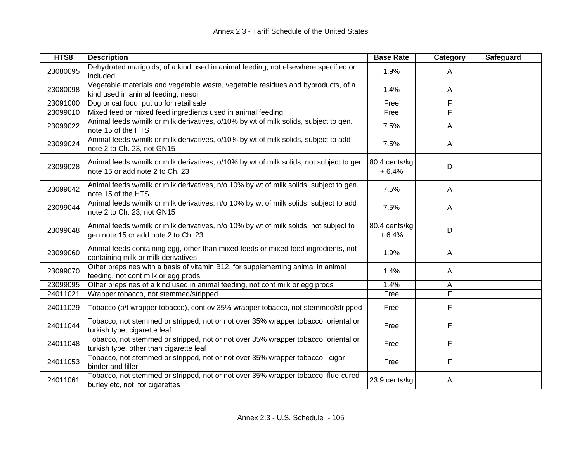| HTS8     | <b>Description</b>                                                                                                            | <b>Base Rate</b>         | Category     | Safeguard |
|----------|-------------------------------------------------------------------------------------------------------------------------------|--------------------------|--------------|-----------|
| 23080095 | Dehydrated marigolds, of a kind used in animal feeding, not elsewhere specified or<br>included                                | 1.9%                     | A            |           |
| 23080098 | Vegetable materials and vegetable waste, vegetable residues and byproducts, of a<br>kind used in animal feeding, nesoi        | 1.4%                     | $\mathsf{A}$ |           |
| 23091000 | Dog or cat food, put up for retail sale                                                                                       | Free                     | F            |           |
| 23099010 | Mixed feed or mixed feed ingredients used in animal feeding                                                                   | Free                     | F            |           |
| 23099022 | Animal feeds w/milk or milk derivatives, o/10% by wt of milk solids, subject to gen.<br>note 15 of the HTS                    | 7.5%                     | A            |           |
| 23099024 | Animal feeds w/milk or milk derivatives, o/10% by wt of milk solids, subject to add<br>note 2 to Ch. 23, not GN15             | 7.5%                     | $\mathsf{A}$ |           |
| 23099028 | Animal feeds w/milk or milk derivatives, o/10% by wt of milk solids, not subject to gen<br>note 15 or add note 2 to Ch. 23    | 80.4 cents/kg<br>$+6.4%$ | D            |           |
| 23099042 | Animal feeds w/milk or milk derivatives, n/o 10% by wt of milk solids, subject to gen.<br>note 15 of the HTS                  | 7.5%                     | $\mathsf{A}$ |           |
| 23099044 | Animal feeds w/milk or milk derivatives, n/o 10% by wt of milk solids, subject to add<br>note 2 to Ch. 23, not GN15           | 7.5%                     | $\mathsf{A}$ |           |
| 23099048 | Animal feeds w/milk or milk derivatives, n/o 10% by wt of milk solids, not subject to<br>gen note 15 or add note 2 to Ch. 23  | 80.4 cents/kg<br>$+6.4%$ | D            |           |
| 23099060 | Animal feeds containing egg, other than mixed feeds or mixed feed ingredients, not<br>containing milk or milk derivatives     | 1.9%                     | $\mathsf{A}$ |           |
| 23099070 | Other preps nes with a basis of vitamin B12, for supplementing animal in animal<br>feeding, not cont milk or egg prods        | 1.4%                     | A            |           |
| 23099095 | Other preps nes of a kind used in animal feeding, not cont milk or egg prods                                                  | 1.4%                     | A            |           |
| 24011021 | Wrapper tobacco, not stemmed/stripped                                                                                         | Free                     | F            |           |
| 24011029 | Tobacco (o/t wrapper tobacco), cont ov 35% wrapper tobacco, not stemmed/stripped                                              | Free                     | F            |           |
| 24011044 | Tobacco, not stemmed or stripped, not or not over 35% wrapper tobacco, oriental or<br>turkish type, cigarette leaf            | Free                     | F            |           |
| 24011048 | Tobacco, not stemmed or stripped, not or not over 35% wrapper tobacco, oriental or<br>turkish type, other than cigarette leaf | Free                     | F            |           |
| 24011053 | Tobacco, not stemmed or stripped, not or not over 35% wrapper tobacco, cigar<br>binder and filler                             | Free                     | F            |           |
| 24011061 | Tobacco, not stemmed or stripped, not or not over 35% wrapper tobacco, flue-cured<br>burley etc, not for cigarettes           | 23.9 cents/kg            | Α            |           |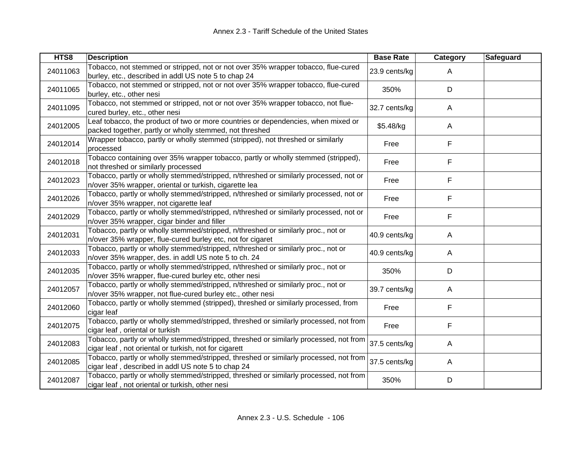| HTS8     | <b>Description</b>                                                                                                                              | <b>Base Rate</b> | Category     | Safeguard |
|----------|-------------------------------------------------------------------------------------------------------------------------------------------------|------------------|--------------|-----------|
| 24011063 | Tobacco, not stemmed or stripped, not or not over 35% wrapper tobacco, flue-cured<br>burley, etc., described in addl US note 5 to chap 24       | 23.9 cents/kg    | A            |           |
| 24011065 | Tobacco, not stemmed or stripped, not or not over 35% wrapper tobacco, flue-cured<br>burley, etc., other nesi                                   | 350%             | D            |           |
| 24011095 | Tobacco, not stemmed or stripped, not or not over 35% wrapper tobacco, not flue-<br>cured burley, etc., other nesi                              | 32.7 cents/kg    | A            |           |
| 24012005 | Leaf tobacco, the product of two or more countries or dependencies, when mixed or<br>packed together, partly or wholly stemmed, not threshed    | \$5.48/kg        | A            |           |
| 24012014 | Wrapper tobacco, partly or wholly stemmed (stripped), not threshed or similarly<br>processed                                                    | Free             | F            |           |
| 24012018 | Tobacco containing over 35% wrapper tobacco, partly or wholly stemmed (stripped),<br>not threshed or similarly processed                        | Free             | F            |           |
| 24012023 | Tobacco, partly or wholly stemmed/stripped, n/threshed or similarly processed, not or<br>n/over 35% wrapper, oriental or turkish, cigarette lea | Free             | F            |           |
| 24012026 | Tobacco, partly or wholly stemmed/stripped, n/threshed or similarly processed, not or<br>n/over 35% wrapper, not cigarette leaf                 | Free             | F            |           |
| 24012029 | Tobacco, partly or wholly stemmed/stripped, n/threshed or similarly processed, not or<br>n/over 35% wrapper, cigar binder and filler            | Free             | F            |           |
| 24012031 | Tobacco, partly or wholly stemmed/stripped, n/threshed or similarly proc., not or<br>n/over 35% wrapper, flue-cured burley etc, not for cigaret | 40.9 cents/kg    | A            |           |
| 24012033 | Tobacco, partly or wholly stemmed/stripped, n/threshed or similarly proc., not or<br>n/over 35% wrapper, des. in addl US note 5 to ch. 24       | 40.9 cents/kg    | $\mathsf{A}$ |           |
| 24012035 | Tobacco, partly or wholly stemmed/stripped, n/threshed or similarly proc., not or<br>n/over 35% wrapper, flue-cured burley etc, other nesi      | 350%             | D            |           |
| 24012057 | Tobacco, partly or wholly stemmed/stripped, n/threshed or similarly proc., not or<br>n/over 35% wrapper, not flue-cured burley etc., other nesi | 39.7 cents/kg    | Α            |           |
| 24012060 | Tobacco, partly or wholly stemmed (stripped), threshed or similarly processed, from<br>cigar leaf                                               | Free             | F            |           |
| 24012075 | Tobacco, partly or wholly stemmed/stripped, threshed or similarly processed, not from<br>cigar leaf, oriental or turkish                        | Free             | F            |           |
| 24012083 | Tobacco, partly or wholly stemmed/stripped, threshed or similarly processed, not from<br>cigar leaf, not oriental or turkish, not for cigarett  | 37.5 cents/kg    | $\mathsf{A}$ |           |
| 24012085 | Tobacco, partly or wholly stemmed/stripped, threshed or similarly processed, not from<br>cigar leaf, described in addl US note 5 to chap 24     | 37.5 cents/kg    | A            |           |
| 24012087 | Tobacco, partly or wholly stemmed/stripped, threshed or similarly processed, not from<br>cigar leaf, not oriental or turkish, other nesi        | 350%             | D            |           |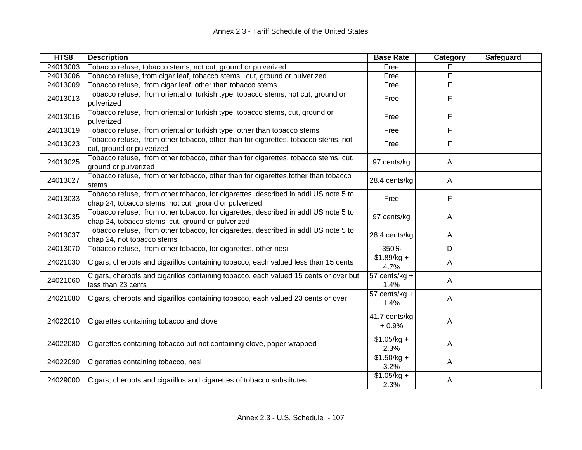| HTS8     | <b>Description</b>                                                                                                                          | <b>Base Rate</b>         | Category     | Safeguard |
|----------|---------------------------------------------------------------------------------------------------------------------------------------------|--------------------------|--------------|-----------|
| 24013003 | Tobacco refuse, tobacco stems, not cut, ground or pulverized                                                                                | Free                     |              |           |
| 24013006 | Tobacco refuse, from cigar leaf, tobacco stems, cut, ground or pulverized                                                                   | Free                     | F            |           |
| 24013009 | Tobacco refuse, from cigar leaf, other than tobacco stems                                                                                   | Free                     | F            |           |
| 24013013 | Tobacco refuse, from oriental or turkish type, tobacco stems, not cut, ground or<br>pulverized                                              | Free                     | F            |           |
| 24013016 | Tobacco refuse, from oriental or turkish type, tobacco stems, cut, ground or<br>pulverized                                                  | Free                     | F            |           |
| 24013019 | Tobacco refuse, from oriental or turkish type, other than tobacco stems                                                                     | Free                     | F            |           |
| 24013023 | Tobacco refuse, from other tobacco, other than for cigarettes, tobacco stems, not<br>cut, ground or pulverized                              | Free                     | F            |           |
| 24013025 | Tobacco refuse, from other tobacco, other than for cigarettes, tobacco stems, cut,<br>ground or pulverized                                  | 97 cents/kg              | $\mathsf{A}$ |           |
| 24013027 | Tobacco refuse, from other tobacco, other than for cigarettes, tother than tobacco<br>stems                                                 | 28.4 cents/kg            | $\mathsf{A}$ |           |
| 24013033 | Tobacco refuse, from other tobacco, for cigarettes, described in addl US note 5 to<br>chap 24, tobacco stems, not cut, ground or pulverized | Free                     | F            |           |
| 24013035 | Tobacco refuse, from other tobacco, for cigarettes, described in addl US note 5 to<br>chap 24, tobacco stems, cut, ground or pulverized     | 97 cents/kg              | A            |           |
| 24013037 | Tobacco refuse, from other tobacco, for cigarettes, described in addl US note 5 to<br>chap 24, not tobacco stems                            | 28.4 cents/kg            | $\mathsf{A}$ |           |
| 24013070 | Tobacco refuse, from other tobacco, for cigarettes, other nesi                                                                              | 350%                     | D            |           |
| 24021030 | Cigars, cheroots and cigarillos containing tobacco, each valued less than 15 cents                                                          | $$1.89/kg +$<br>4.7%     | $\mathsf{A}$ |           |
| 24021060 | Cigars, cheroots and cigarillos containing tobacco, each valued 15 cents or over but<br>less than 23 cents                                  | 57 cents/kg +<br>1.4%    | A            |           |
| 24021080 | Cigars, cheroots and cigarillos containing tobacco, each valued 23 cents or over                                                            | 57 cents/kg +<br>1.4%    | $\mathsf{A}$ |           |
| 24022010 | Cigarettes containing tobacco and clove                                                                                                     | 41.7 cents/kg<br>$+0.9%$ | A            |           |
| 24022080 | Cigarettes containing tobacco but not containing clove, paper-wrapped                                                                       | $$1.05/kg +$<br>2.3%     | $\mathsf{A}$ |           |
| 24022090 | Cigarettes containing tobacco, nesi                                                                                                         | $$1.50/kg +$<br>3.2%     | $\mathsf{A}$ |           |
| 24029000 | Cigars, cheroots and cigarillos and cigarettes of tobacco substitutes                                                                       | $$1.05/kg +$<br>2.3%     | Α            |           |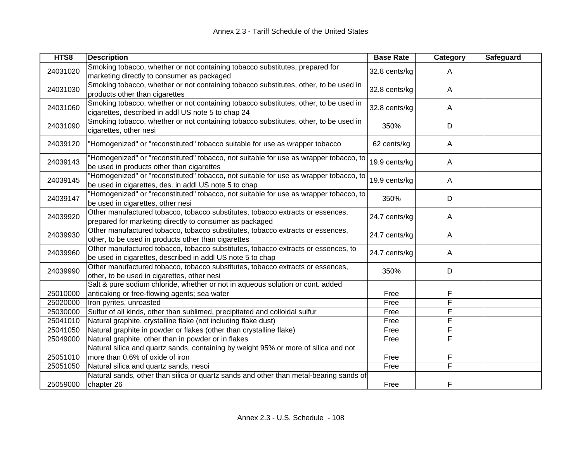| HTS8     | <b>Description</b>                                                                                                                              | <b>Base Rate</b> | Category                | Safeguard |
|----------|-------------------------------------------------------------------------------------------------------------------------------------------------|------------------|-------------------------|-----------|
| 24031020 | Smoking tobacco, whether or not containing tobacco substitutes, prepared for<br>marketing directly to consumer as packaged                      | 32.8 cents/kg    | $\mathsf{A}$            |           |
| 24031030 | Smoking tobacco, whether or not containing tobacco substitutes, other, to be used in<br>products other than cigarettes                          | 32.8 cents/kg    | $\mathsf{A}$            |           |
| 24031060 | Smoking tobacco, whether or not containing tobacco substitutes, other, to be used in<br>cigarettes, described in addl US note 5 to chap 24      | 32.8 cents/kg    | $\mathsf{A}$            |           |
| 24031090 | Smoking tobacco, whether or not containing tobacco substitutes, other, to be used in<br>cigarettes, other nesi                                  | 350%             | D                       |           |
| 24039120 | "Homogenized" or "reconstituted" tobacco suitable for use as wrapper tobacco                                                                    | 62 cents/kg      | $\mathsf{A}$            |           |
| 24039143 | "Homogenized" or "reconstituted" tobacco, not suitable for use as wrapper tobacco, to<br>be used in products other than cigarettes              | 19.9 cents/kg    | $\mathsf{A}$            |           |
| 24039145 | "Homogenized" or "reconstituted" tobacco, not suitable for use as wrapper tobacco, to<br>be used in cigarettes, des. in addl US note 5 to chap  | 19.9 cents/kg    | $\mathsf{A}$            |           |
| 24039147 | "Homogenized" or "reconstituted" tobacco, not suitable for use as wrapper tobacco, to<br>be used in cigarettes, other nesi                      | 350%             | D                       |           |
| 24039920 | Other manufactured tobacco, tobacco substitutes, tobacco extracts or essences,<br>prepared for marketing directly to consumer as packaged       | 24.7 cents/kg    | A                       |           |
| 24039930 | Other manufactured tobacco, tobacco substitutes, tobacco extracts or essences,<br>other, to be used in products other than cigarettes           | 24.7 cents/kg    | A                       |           |
| 24039960 | Other manufactured tobacco, tobacco substitutes, tobacco extracts or essences, to<br>be used in cigarettes, described in addl US note 5 to chap | 24.7 cents/kg    | $\mathsf{A}$            |           |
| 24039990 | Other manufactured tobacco, tobacco substitutes, tobacco extracts or essences,<br>other, to be used in cigarettes, other nesi                   | 350%             | D                       |           |
| 25010000 | Salt & pure sodium chloride, whether or not in aqueous solution or cont. added<br>anticaking or free-flowing agents; sea water                  | Free             | F                       |           |
| 25020000 | Iron pyrites, unroasted                                                                                                                         | Free             | F                       |           |
| 25030000 | Sulfur of all kinds, other than sublimed, precipitated and colloidal sulfur                                                                     | Free             | F                       |           |
| 25041010 | Natural graphite, crystalline flake (not including flake dust)                                                                                  | Free             | F                       |           |
| 25041050 | Natural graphite in powder or flakes (other than crystalline flake)                                                                             | Free             | F                       |           |
| 25049000 | Natural graphite, other than in powder or in flakes                                                                                             | Free             | F                       |           |
|          | Natural silica and quartz sands, containing by weight 95% or more of silica and not                                                             |                  |                         |           |
| 25051010 | more than 0.6% of oxide of iron                                                                                                                 | Free             | F                       |           |
| 25051050 | Natural silica and quartz sands, nesoi                                                                                                          | Free             | $\overline{\mathsf{F}}$ |           |
| 25059000 | Natural sands, other than silica or quartz sands and other than metal-bearing sands of<br>chapter 26                                            | Free             | F                       |           |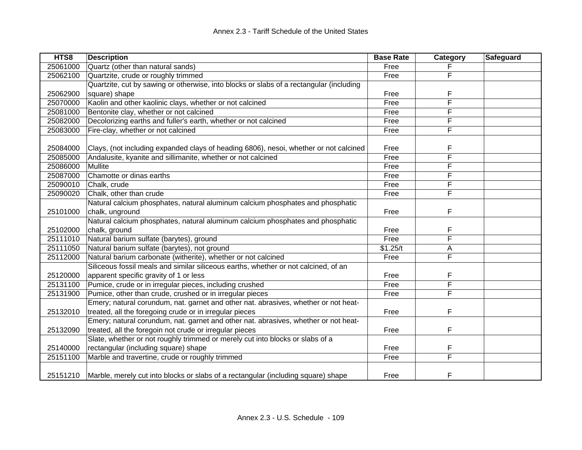| HTS8     | <b>Description</b>                                                                      | <b>Base Rate</b> | <b>Category</b> | Safeguard |
|----------|-----------------------------------------------------------------------------------------|------------------|-----------------|-----------|
| 25061000 | Quartz (other than natural sands)                                                       | Free             |                 |           |
| 25062100 | Quartzite, crude or roughly trimmed                                                     | Free             | F               |           |
|          | Quartzite, cut by sawing or otherwise, into blocks or slabs of a rectangular (including |                  |                 |           |
| 25062900 | square) shape                                                                           | Free             | F               |           |
| 25070000 | Kaolin and other kaolinic clays, whether or not calcined                                | Free             | F               |           |
| 25081000 | Bentonite clay, whether or not calcined                                                 | Free             | F               |           |
| 25082000 | Decolorizing earths and fuller's earth, whether or not calcined                         | Free             | F               |           |
| 25083000 | Fire-clay, whether or not calcined                                                      | Free             | F               |           |
|          |                                                                                         |                  |                 |           |
| 25084000 | Clays, (not including expanded clays of heading 6806), nesoi, whether or not calcined   | Free             | F               |           |
| 25085000 | Andalusite, kyanite and sillimanite, whether or not calcined                            | Free             | F               |           |
| 25086000 | Mullite                                                                                 | Free             | F               |           |
| 25087000 | Chamotte or dinas earths                                                                | Free             | F               |           |
| 25090010 | Chalk, crude                                                                            | Free             | F               |           |
| 25090020 | Chalk, other than crude                                                                 | Free             | F               |           |
|          | Natural calcium phosphates, natural aluminum calcium phosphates and phosphatic          |                  |                 |           |
| 25101000 | chalk, unground                                                                         | Free             | F               |           |
|          | Natural calcium phosphates, natural aluminum calcium phosphates and phosphatic          |                  |                 |           |
| 25102000 | chalk, ground                                                                           | Free             | F               |           |
| 25111010 | Natural barium sulfate (barytes), ground                                                | Free             | F               |           |
| 25111050 | Natural barium sulfate (barytes), not ground                                            | \$1.25/t         | A               |           |
| 25112000 | Natural barium carbonate (witherite), whether or not calcined                           | Free             | F               |           |
|          | Siliceous fossil meals and similar siliceous earths, whether or not calcined, of an     |                  |                 |           |
| 25120000 | apparent specific gravity of 1 or less                                                  | Free             | F               |           |
| 25131100 | Pumice, crude or in irregular pieces, including crushed                                 | Free             | F               |           |
| 25131900 | Pumice, other than crude, crushed or in irregular pieces                                | Free             | F               |           |
|          | Emery; natural corundum, nat. garnet and other nat. abrasives, whether or not heat-     |                  |                 |           |
| 25132010 | treated, all the foregoing crude or in irregular pieces                                 | Free             | F               |           |
|          | Emery; natural corundum, nat. garnet and other nat. abrasives, whether or not heat-     |                  |                 |           |
| 25132090 | treated, all the foregoin not crude or irregular pieces                                 | Free             | F               |           |
|          | Slate, whether or not roughly trimmed or merely cut into blocks or slabs of a           |                  |                 |           |
| 25140000 | rectangular (including square) shape                                                    | Free             | F               |           |
| 25151100 | Marble and travertine, crude or roughly trimmed                                         | Free             | F               |           |
|          |                                                                                         |                  |                 |           |
| 25151210 | Marble, merely cut into blocks or slabs of a rectangular (including square) shape       | Free             | F               |           |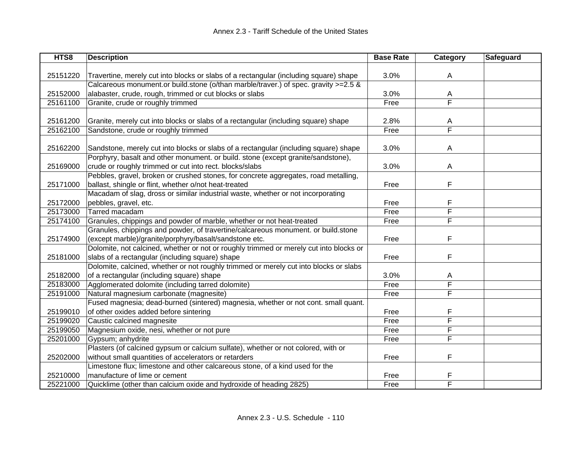| HTS8     | <b>Description</b>                                                                     | <b>Base Rate</b> | Category                | Safeguard |
|----------|----------------------------------------------------------------------------------------|------------------|-------------------------|-----------|
|          |                                                                                        |                  |                         |           |
| 25151220 | Travertine, merely cut into blocks or slabs of a rectangular (including square) shape  | 3.0%             | Α                       |           |
|          | Calcareous monument.or build.stone (o/than marble/traver.) of spec. gravity >=2.5 &    |                  |                         |           |
| 25152000 | alabaster, crude, rough, trimmed or cut blocks or slabs                                | 3.0%             | A                       |           |
| 25161100 | Granite, crude or roughly trimmed                                                      | Free             | $\overline{\mathsf{F}}$ |           |
|          |                                                                                        |                  |                         |           |
| 25161200 | Granite, merely cut into blocks or slabs of a rectangular (including square) shape     | 2.8%             | A                       |           |
| 25162100 | Sandstone, crude or roughly trimmed                                                    | Free             | $\overline{\mathsf{F}}$ |           |
|          |                                                                                        |                  |                         |           |
| 25162200 | Sandstone, merely cut into blocks or slabs of a rectangular (including square) shape   | 3.0%             | A                       |           |
|          | Porphyry, basalt and other monument. or build. stone (except granite/sandstone),       |                  |                         |           |
| 25169000 | crude or roughly trimmed or cut into rect. blocks/slabs                                | 3.0%             | A                       |           |
|          | Pebbles, gravel, broken or crushed stones, for concrete aggregates, road metalling,    |                  |                         |           |
| 25171000 | ballast, shingle or flint, whether o/not heat-treated                                  | Free             | F                       |           |
|          | Macadam of slag, dross or similar industrial waste, whether or not incorporating       |                  |                         |           |
| 25172000 | pebbles, gravel, etc.                                                                  | Free             | F                       |           |
| 25173000 | Tarred macadam                                                                         | Free             | F                       |           |
| 25174100 | Granules, chippings and powder of marble, whether or not heat-treated                  | Free             | F                       |           |
|          | Granules, chippings and powder, of travertine/calcareous monument. or build.stone      |                  |                         |           |
| 25174900 | (except marble)/granite/porphyry/basalt/sandstone etc.                                 | Free             | F                       |           |
|          | Dolomite, not calcined, whether or not or roughly trimmed or merely cut into blocks or |                  |                         |           |
| 25181000 | slabs of a rectangular (including square) shape                                        | Free             | F                       |           |
|          | Dolomite, calcined, whether or not roughly trimmed or merely cut into blocks or slabs  |                  |                         |           |
| 25182000 | of a rectangular (including square) shape                                              | 3.0%             | A                       |           |
| 25183000 | Agglomerated dolomite (including tarred dolomite)                                      | Free             | $\overline{\mathsf{F}}$ |           |
| 25191000 | Natural magnesium carbonate (magnesite)                                                | Free             | $\overline{\mathsf{F}}$ |           |
|          | Fused magnesia; dead-burned (sintered) magnesia, whether or not cont. small quant.     |                  |                         |           |
| 25199010 | of other oxides added before sintering                                                 | Free             | F                       |           |
| 25199020 | Caustic calcined magnesite                                                             | Free             | F                       |           |
| 25199050 | Magnesium oxide, nesi, whether or not pure                                             | Free             | F                       |           |
| 25201000 | Gypsum; anhydrite                                                                      | Free             | F                       |           |
|          | Plasters (of calcined gypsum or calcium sulfate), whether or not colored, with or      |                  |                         |           |
| 25202000 | without small quantities of accelerators or retarders                                  | Free             | F                       |           |
|          | Limestone flux; limestone and other calcareous stone, of a kind used for the           |                  |                         |           |
| 25210000 | manufacture of lime or cement                                                          | Free             | F                       |           |
| 25221000 | Quicklime (other than calcium oxide and hydroxide of heading 2825)                     | Free             | F                       |           |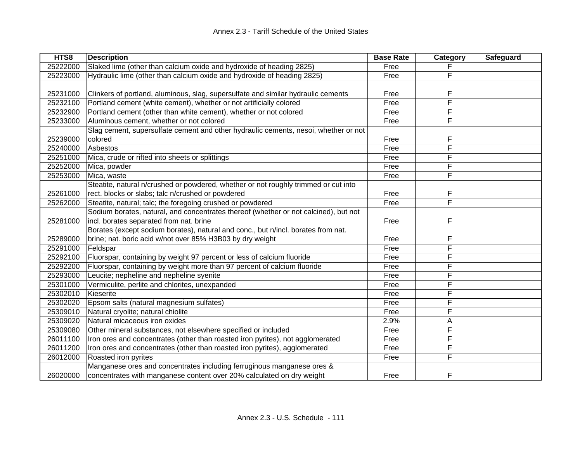| HTS8     | <b>Description</b>                                                                   | <b>Base Rate</b> | Category | Safeguard |
|----------|--------------------------------------------------------------------------------------|------------------|----------|-----------|
| 25222000 | Slaked lime (other than calcium oxide and hydroxide of heading 2825)                 | Free             |          |           |
| 25223000 | Hydraulic lime (other than calcium oxide and hydroxide of heading 2825)              | Free             | F        |           |
|          |                                                                                      |                  |          |           |
| 25231000 | Clinkers of portland, aluminous, slag, supersulfate and similar hydraulic cements    | Free             | F        |           |
| 25232100 | Portland cement (white cement), whether or not artificially colored                  | Free             | F        |           |
| 25232900 | Portland cement (other than white cement), whether or not colored                    | Free             | F        |           |
| 25233000 | Aluminous cement, whether or not colored                                             | Free             | F        |           |
|          | Slag cement, supersulfate cement and other hydraulic cements, nesoi, whether or not  |                  |          |           |
| 25239000 | colored                                                                              | Free             | F        |           |
| 25240000 | Asbestos                                                                             | Free             | F        |           |
| 25251000 | Mica, crude or rifted into sheets or splittings                                      | Free             | F        |           |
| 25252000 | Mica, powder                                                                         | Free             | F        |           |
| 25253000 | Mica, waste                                                                          | Free             | F        |           |
|          | Steatite, natural n/crushed or powdered, whether or not roughly trimmed or cut into  |                  |          |           |
| 25261000 | rect. blocks or slabs; talc n/crushed or powdered                                    | Free             | F        |           |
| 25262000 | Steatite, natural; talc; the foregoing crushed or powdered                           | Free             | F        |           |
|          | Sodium borates, natural, and concentrates thereof (whether or not calcined), but not |                  |          |           |
| 25281000 | incl. borates separated from nat. brine                                              | Free             | F        |           |
|          | Borates (except sodium borates), natural and conc., but n/incl. borates from nat.    |                  |          |           |
| 25289000 | brine; nat. boric acid w/not over 85% H3B03 by dry weight                            | Free             | F        |           |
| 25291000 | Feldspar                                                                             | Free             | F        |           |
| 25292100 | Fluorspar, containing by weight 97 percent or less of calcium fluoride               | Free             | F        |           |
| 25292200 | Fluorspar, containing by weight more than 97 percent of calcium fluoride             | Free             | F        |           |
| 25293000 | Leucite; nepheline and nepheline syenite                                             | Free             | F        |           |
| 25301000 | Vermiculite, perlite and chlorites, unexpanded                                       | Free             | F        |           |
| 25302010 | Kieserite                                                                            | Free             | F        |           |
| 25302020 | Epsom salts (natural magnesium sulfates)                                             | Free             | F        |           |
| 25309010 | Natural cryolite; natural chiolite                                                   | Free             | F        |           |
| 25309020 | Natural micaceous iron oxides                                                        | 2.9%             | А        |           |
| 25309080 | Other mineral substances, not elsewhere specified or included                        | Free             | F        |           |
| 26011100 | Iron ores and concentrates (other than roasted iron pyrites), not agglomerated       | Free             | F        |           |
| 26011200 | Iron ores and concentrates (other than roasted iron pyrites), agglomerated           | Free             | F        |           |
| 26012000 | Roasted iron pyrites                                                                 | Free             | F        |           |
|          | Manganese ores and concentrates including ferruginous manganese ores &               |                  |          |           |
| 26020000 | concentrates with manganese content over 20% calculated on dry weight                | Free             | F        |           |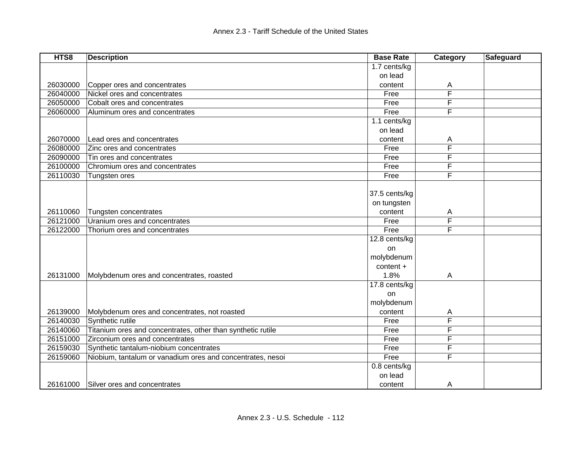| HTS8     | <b>Description</b>                                          | <b>Base Rate</b> | Category | Safeguard |
|----------|-------------------------------------------------------------|------------------|----------|-----------|
|          |                                                             | 1.7 cents/kg     |          |           |
|          |                                                             | on lead          |          |           |
| 26030000 | Copper ores and concentrates                                | content          | А        |           |
| 26040000 | Nickel ores and concentrates                                | Free             | F        |           |
| 26050000 | Cobalt ores and concentrates                                | Free             | F        |           |
| 26060000 | Aluminum ores and concentrates                              | Free             | F        |           |
|          |                                                             | 1.1 cents/kg     |          |           |
|          |                                                             | on lead          |          |           |
| 26070000 | Lead ores and concentrates                                  | content          | A        |           |
| 26080000 | Zinc ores and concentrates                                  | Free             | F        |           |
| 26090000 | Tin ores and concentrates                                   | Free             | F        |           |
| 26100000 | Chromium ores and concentrates                              | Free             | F        |           |
| 26110030 | Tungsten ores                                               | Free             | F        |           |
|          |                                                             |                  |          |           |
|          |                                                             | 37.5 cents/kg    |          |           |
|          |                                                             | on tungsten      |          |           |
| 26110060 | Tungsten concentrates                                       | content          | A        |           |
| 26121000 | Uranium ores and concentrates                               | Free             | F        |           |
| 26122000 | Thorium ores and concentrates                               | Free             | F        |           |
|          |                                                             | 12.8 cents/kg    |          |           |
|          |                                                             | on               |          |           |
|          |                                                             | molybdenum       |          |           |
|          |                                                             | content +        |          |           |
| 26131000 | Molybdenum ores and concentrates, roasted                   | 1.8%             | A        |           |
|          |                                                             | 17.8 cents/kg    |          |           |
|          |                                                             | on               |          |           |
|          |                                                             | molybdenum       |          |           |
| 26139000 | Molybdenum ores and concentrates, not roasted               | content          | A        |           |
| 26140030 | Synthetic rutile                                            | Free             | F        |           |
| 26140060 | Titanium ores and concentrates, other than synthetic rutile | Free             | F        |           |
| 26151000 | Zirconium ores and concentrates                             | Free             | F        |           |
| 26159030 | Synthetic tantalum-niobium concentrates                     | Free             | F        |           |
| 26159060 | Niobium, tantalum or vanadium ores and concentrates, nesoi  | Free             | F        |           |
|          |                                                             | 0.8 cents/kg     |          |           |
|          |                                                             | on lead          |          |           |
| 26161000 | Silver ores and concentrates                                | content          | A        |           |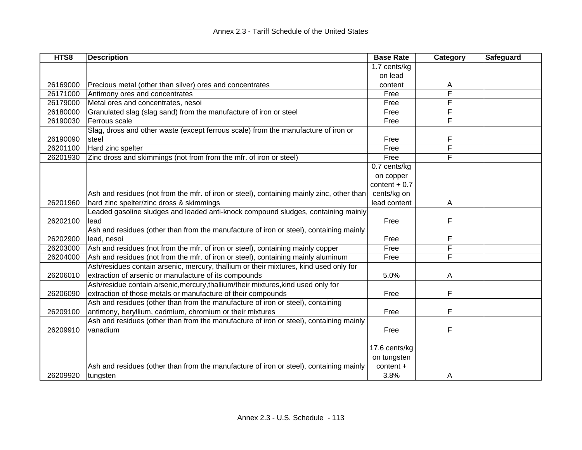| HTS8     | <b>Description</b>                                                                        | <b>Base Rate</b> | Category | Safeguard |
|----------|-------------------------------------------------------------------------------------------|------------------|----------|-----------|
|          |                                                                                           | 1.7 cents/kg     |          |           |
|          |                                                                                           | on lead          |          |           |
| 26169000 | Precious metal (other than silver) ores and concentrates                                  | content          | A        |           |
| 26171000 | Antimony ores and concentrates                                                            | Free             | F        |           |
| 26179000 | Metal ores and concentrates, nesoi                                                        | Free             | F        |           |
| 26180000 | Granulated slag (slag sand) from the manufacture of iron or steel                         | Free             | F        |           |
| 26190030 | Ferrous scale                                                                             | Free             | F        |           |
|          | Slag, dross and other waste (except ferrous scale) from the manufacture of iron or        |                  |          |           |
| 26190090 | steel                                                                                     | Free             | F        |           |
| 26201100 | Hard zinc spelter                                                                         | Free             | F        |           |
| 26201930 | Zinc dross and skimmings (not from from the mfr. of iron or steel)                        | Free             | F        |           |
|          |                                                                                           | 0.7 cents/kg     |          |           |
|          |                                                                                           | on copper        |          |           |
|          |                                                                                           | content $+0.7$   |          |           |
|          | Ash and residues (not from the mfr. of iron or steel), containing mainly zinc, other than | cents/kg on      |          |           |
| 26201960 | hard zinc spelter/zinc dross & skimmings                                                  | lead content     | Α        |           |
|          | Leaded gasoline sludges and leaded anti-knock compound sludges, containing mainly         |                  |          |           |
| 26202100 | lead                                                                                      | Free             | F        |           |
|          | Ash and residues (other than from the manufacture of iron or steel), containing mainly    |                  |          |           |
| 26202900 | lead, nesoi                                                                               | Free             | F        |           |
| 26203000 | Ash and residues (not from the mfr. of iron or steel), containing mainly copper           | Free             | F        |           |
| 26204000 | Ash and residues (not from the mfr. of iron or steel), containing mainly aluminum         | Free             | F        |           |
|          | Ash/residues contain arsenic, mercury, thallium or their mixtures, kind used only for     |                  |          |           |
| 26206010 | extraction of arsenic or manufacture of its compounds                                     | 5.0%             | A        |           |
|          | Ash/residue contain arsenic, mercury, thallium/their mixtures, kind used only for         |                  |          |           |
| 26206090 | extraction of those metals or manufacture of their compounds                              | Free             | F        |           |
|          | Ash and residues (other than from the manufacture of iron or steel), containing           |                  |          |           |
| 26209100 | antimony, beryllium, cadmium, chromium or their mixtures                                  | Free             | F        |           |
|          | Ash and residues (other than from the manufacture of iron or steel), containing mainly    |                  |          |           |
| 26209910 | vanadium                                                                                  | Free             | F        |           |
|          |                                                                                           |                  |          |           |
|          |                                                                                           | 17.6 cents/kg    |          |           |
|          |                                                                                           | on tungsten      |          |           |
|          | Ash and residues (other than from the manufacture of iron or steel), containing mainly    | content +        |          |           |
| 26209920 | tungsten                                                                                  | 3.8%             | A        |           |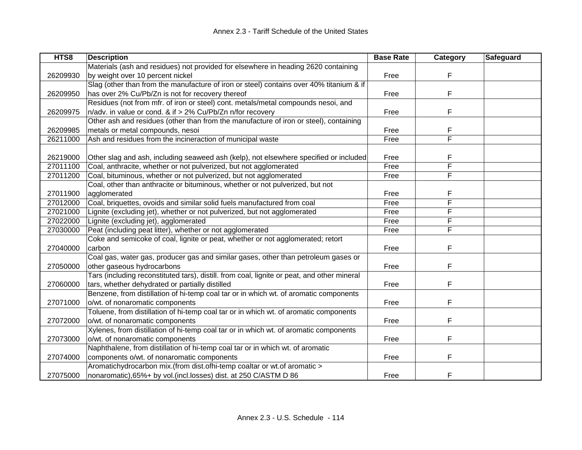| HTS8     | <b>Description</b>                                                                          | <b>Base Rate</b> | Category | Safeguard |
|----------|---------------------------------------------------------------------------------------------|------------------|----------|-----------|
|          | Materials (ash and residues) not provided for elsewhere in heading 2620 containing          |                  |          |           |
| 26209930 | by weight over 10 percent nickel                                                            | Free             | F        |           |
|          | Slag (other than from the manufacture of iron or steel) contains over 40% titanium & if     |                  |          |           |
| 26209950 | has over 2% Cu/Pb/Zn is not for recovery thereof                                            | Free             | F        |           |
|          | Residues (not from mfr. of iron or steel) cont. metals/metal compounds nesoi, and           |                  |          |           |
| 26209975 | n/adv. in value or cond. & if > 2% Cu/Pb/Zn n/for recovery                                  | Free             | F        |           |
|          | Other ash and residues (other than from the manufacture of iron or steel), containing       |                  |          |           |
| 26209985 | metals or metal compounds, nesoi                                                            | Free             | F        |           |
| 26211000 | Ash and residues from the incineraction of municipal waste                                  | Free             | F        |           |
|          |                                                                                             |                  |          |           |
| 26219000 | Other slag and ash, including seaweed ash (kelp), not elsewhere specified or included       | Free             | F        |           |
| 27011100 | Coal, anthracite, whether or not pulverized, but not agglomerated                           | Free             | F        |           |
| 27011200 | Coal, bituminous, whether or not pulverized, but not agglomerated                           | Free             | F        |           |
|          | Coal, other than anthracite or bituminous, whether or not pulverized, but not               |                  |          |           |
| 27011900 | agglomerated                                                                                | Free             | F        |           |
| 27012000 | Coal, briquettes, ovoids and similar solid fuels manufactured from coal                     | Free             | F        |           |
| 27021000 | Lignite (excluding jet), whether or not pulverized, but not agglomerated                    | Free             | F        |           |
| 27022000 | Lignite (excluding jet), agglomerated                                                       | Free             | F        |           |
| 27030000 | Peat (including peat litter), whether or not agglomerated                                   | Free             | F        |           |
|          | Coke and semicoke of coal, lignite or peat, whether or not agglomerated; retort             |                  |          |           |
| 27040000 | carbon                                                                                      | Free             | F        |           |
|          | Coal gas, water gas, producer gas and similar gases, other than petroleum gases or          |                  |          |           |
| 27050000 | other gaseous hydrocarbons                                                                  | Free             | F        |           |
|          | Tars (including reconstituted tars), distill. from coal, lignite or peat, and other mineral |                  |          |           |
| 27060000 | tars, whether dehydrated or partially distilled                                             | Free             | F        |           |
|          | Benzene, from distillation of hi-temp coal tar or in which wt. of aromatic components       |                  |          |           |
| 27071000 | o/wt. of nonaromatic components                                                             | Free             | F        |           |
|          | Toluene, from distillation of hi-temp coal tar or in which wt. of aromatic components       |                  |          |           |
| 27072000 | o/wt. of nonaromatic components                                                             | Free             | F        |           |
|          | Xylenes, from distillation of hi-temp coal tar or in which wt. of aromatic components       |                  |          |           |
| 27073000 | o/wt. of nonaromatic components                                                             | Free             | F        |           |
|          | Naphthalene, from distillation of hi-temp coal tar or in which wt. of aromatic              |                  |          |           |
| 27074000 | components o/wt. of nonaromatic components                                                  | Free             | F        |           |
|          | Aromatichydrocarbon mix.(from dist.ofhi-temp coaltar or wt.of aromatic >                    |                  |          |           |
| 27075000 | nonaromatic), 65%+ by vol. (incl.losses) dist. at 250 C/ASTM D 86                           | Free             | F        |           |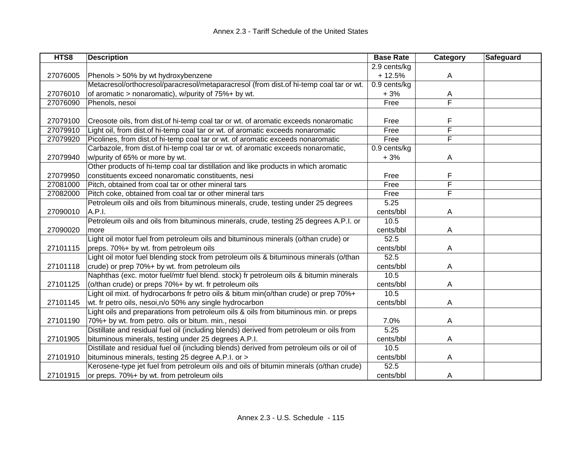| HTS8     | <b>Description</b>                                                                        | <b>Base Rate</b> | Category                | Safeguard |
|----------|-------------------------------------------------------------------------------------------|------------------|-------------------------|-----------|
|          |                                                                                           | 2.9 cents/kg     |                         |           |
| 27076005 | Phenols > 50% by wt hydroxybenzene                                                        | $+12.5%$         | A                       |           |
|          | Metacresol/orthocresol/paracresol/metaparacresol (from dist.of hi-temp coal tar or wt.    | $0.9$ cents/kg   |                         |           |
| 27076010 | of aromatic > nonaromatic), w/purity of 75%+ by wt.                                       | $+3%$            | A                       |           |
| 27076090 | Phenols, nesoi                                                                            | Free             | $\overline{\mathsf{F}}$ |           |
|          |                                                                                           |                  |                         |           |
| 27079100 | Creosote oils, from dist.of hi-temp coal tar or wt. of aromatic exceeds nonaromatic       | Free             | F                       |           |
| 27079910 | Light oil, from dist.of hi-temp coal tar or wt. of aromatic exceeds nonaromatic           | Free             | F                       |           |
| 27079920 | Picolines, from dist.of hi-temp coal tar or wt. of aromatic exceeds nonaromatic           | Free             | F                       |           |
|          | Carbazole, from dist.of hi-temp coal tar or wt. of aromatic exceeds nonaromatic,          | 0.9 cents/kg     |                         |           |
| 27079940 | w/purity of 65% or more by wt.                                                            | $+3%$            | A                       |           |
|          | Other products of hi-temp coal tar distillation and like products in which aromatic       |                  |                         |           |
| 27079950 | constituents exceed nonaromatic constituents, nesi                                        | Free             | F                       |           |
| 27081000 | Pitch, obtained from coal tar or other mineral tars                                       | Free             | F                       |           |
| 27082000 | Pitch coke, obtained from coal tar or other mineral tars                                  | Free             | F                       |           |
|          | Petroleum oils and oils from bituminous minerals, crude, testing under 25 degrees         | 5.25             |                         |           |
| 27090010 | A.P.I.                                                                                    | cents/bbl        | A                       |           |
|          | Petroleum oils and oils from bituminous minerals, crude, testing 25 degrees A.P.I. or     | 10.5             |                         |           |
| 27090020 | more                                                                                      | cents/bbl        | A                       |           |
|          | Light oil motor fuel from petroleum oils and bituminous minerals (o/than crude) or        | 52.5             |                         |           |
| 27101115 | preps. 70%+ by wt. from petroleum oils                                                    | cents/bbl        | A                       |           |
|          | Light oil motor fuel blending stock from petroleum oils & bituminous minerals (o/than     | 52.5             |                         |           |
| 27101118 | crude) or prep 70%+ by wt. from petroleum oils                                            | cents/bbl        | A                       |           |
|          | Naphthas (exc. motor fuel/mtr fuel blend. stock) fr petroleum oils & bitumin minerals     | 10.5             |                         |           |
| 27101125 | (o/than crude) or preps 70%+ by wt. fr petroleum oils                                     | cents/bbl        | A                       |           |
|          | Light oil mixt. of hydrocarbons fr petro oils & bitum min(o/than crude) or prep 70%+      | 10.5             |                         |           |
| 27101145 | wt. fr petro oils, nesoi, n/o 50% any single hydrocarbon                                  | cents/bbl        | A                       |           |
|          | Light oils and preparations from petroleum oils & oils from bituminous min. or preps      |                  |                         |           |
| 27101190 | 70%+ by wt. from petro. oils or bitum. min., nesoi                                        | 7.0%             | Α                       |           |
|          | Distillate and residual fuel oil (including blends) derived from petroleum or oils from   | 5.25             |                         |           |
| 27101905 | bituminous minerals, testing under 25 degrees A.P.I.                                      | cents/bbl        | A                       |           |
|          | Distillate and residual fuel oil (including blends) derived from petroleum oils or oil of | 10.5             |                         |           |
| 27101910 | bituminous minerals, testing 25 degree A.P.I. or >                                        | cents/bbl        | A                       |           |
|          | Kerosene-type jet fuel from petroleum oils and oils of bitumin minerals (o/than crude)    | 52.5             |                         |           |
| 27101915 | or preps. 70%+ by wt. from petroleum oils                                                 | cents/bbl        | A                       |           |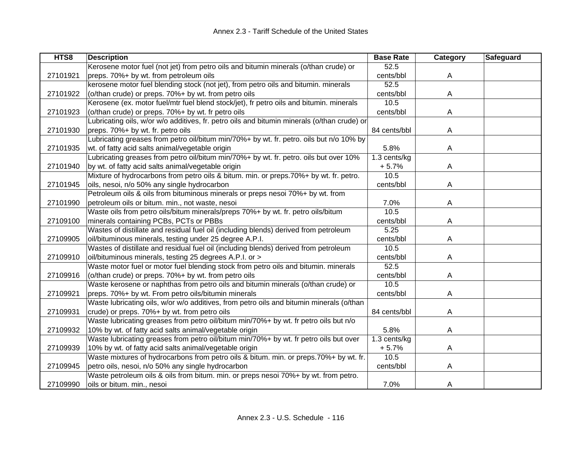| HTS8     | <b>Description</b>                                                                          | <b>Base Rate</b> | Category | Safeguard |
|----------|---------------------------------------------------------------------------------------------|------------------|----------|-----------|
|          | Kerosene motor fuel (not jet) from petro oils and bitumin minerals (o/than crude) or        | 52.5             |          |           |
| 27101921 | preps. 70%+ by wt. from petroleum oils                                                      | cents/bbl        | A        |           |
|          | kerosene motor fuel blending stock (not jet), from petro oils and bitumin. minerals         | 52.5             |          |           |
| 27101922 | (o/than crude) or preps. 70%+ by wt. from petro oils                                        | cents/bbl        | A        |           |
|          | Kerosene (ex. motor fuel/mtr fuel blend stock/jet), fr petro oils and bitumin. minerals     | 10.5             |          |           |
| 27101923 | (o/than crude) or preps. 70%+ by wt. fr petro oils                                          | cents/bbl        | Α        |           |
|          | Lubricating oils, w/or w/o additives, fr. petro oils and bitumin minerals (o/than crude) or |                  |          |           |
| 27101930 | preps. 70%+ by wt. fr. petro oils                                                           | 84 cents/bbl     | Α        |           |
|          | Lubricating greases from petro oil/bitum min/70%+ by wt. fr. petro. oils but n/o 10% by     |                  |          |           |
| 27101935 | wt. of fatty acid salts animal/vegetable origin                                             | 5.8%             | A        |           |
|          | Lubricating greases from petro oil/bitum min/70%+ by wt. fr. petro. oils but over 10%       | 1.3 cents/kg     |          |           |
| 27101940 | by wt. of fatty acid salts animal/vegetable origin                                          | $+5.7%$          | A        |           |
|          | Mixture of hydrocarbons from petro oils & bitum. min. or preps.70%+ by wt. fr. petro.       | 10.5             |          |           |
| 27101945 | oils, nesoi, n/o 50% any single hydrocarbon                                                 | cents/bbl        | A        |           |
|          | Petroleum oils & oils from bituminous minerals or preps nesoi 70%+ by wt. from              |                  |          |           |
| 27101990 | petroleum oils or bitum. min., not waste, nesoi                                             | 7.0%             | A        |           |
|          | Waste oils from petro oils/bitum minerals/preps 70%+ by wt. fr. petro oils/bitum            | 10.5             |          |           |
| 27109100 | minerals containing PCBs, PCTs or PBBs                                                      | cents/bbl        | A        |           |
|          | Wastes of distillate and residual fuel oil (including blends) derived from petroleum        | 5.25             |          |           |
| 27109905 | oil/bituminous minerals, testing under 25 degree A.P.I.                                     | cents/bbl        | A        |           |
|          | Wastes of distillate and residual fuel oil (including blends) derived from petroleum        | 10.5             |          |           |
| 27109910 | oil/bituminous minerals, testing 25 degrees A.P.I. or >                                     | cents/bbl        | A        |           |
|          | Waste motor fuel or motor fuel blending stock from petro oils and bitumin. minerals         | 52.5             |          |           |
| 27109916 | (o/than crude) or preps. 70%+ by wt. from petro oils                                        | cents/bbl        | A        |           |
|          | Waste kerosene or naphthas from petro oils and bitumin minerals (o/than crude) or           | 10.5             |          |           |
| 27109921 | preps. 70%+ by wt. From petro oils/bitumin minerals                                         | cents/bbl        | A        |           |
|          | Waste lubricating oils, w/or w/o additives, from petro oils and bitumin minerals (o/than    |                  |          |           |
| 27109931 | crude) or preps. 70%+ by wt. from petro oils                                                | 84 cents/bbl     | Α        |           |
|          | Waste lubricating greases from petro oil/bitum min/70%+ by wt. fr petro oils but n/o        |                  |          |           |
| 27109932 | 10% by wt. of fatty acid salts animal/vegetable origin                                      | 5.8%             | Α        |           |
|          | Waste lubricating greases from petro oil/bitum min/70%+ by wt. fr petro oils but over       | 1.3 cents/kg     |          |           |
| 27109939 | 10% by wt. of fatty acid salts animal/vegetable origin                                      | $+5.7%$          | A        |           |
|          | Waste mixtures of hydrocarbons from petro oils & bitum. min. or preps.70%+ by wt. fr.       | 10.5             |          |           |
| 27109945 | petro oils, nesoi, n/o 50% any single hydrocarbon                                           | cents/bbl        | Α        |           |
|          | Waste petroleum oils & oils from bitum. min. or preps nesoi 70%+ by wt. from petro.         |                  |          |           |
| 27109990 | oils or bitum. min., nesoi                                                                  | 7.0%             | A        |           |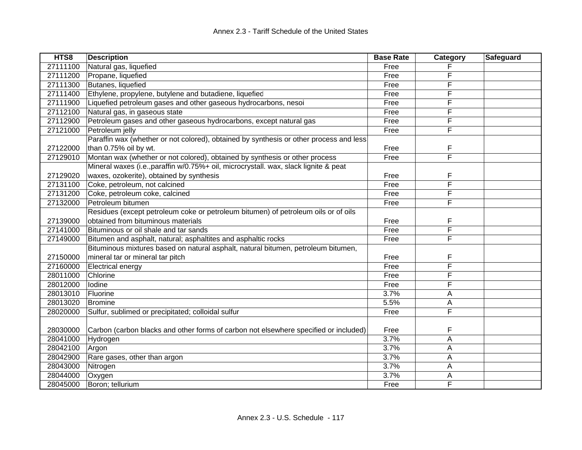| HTS8     | <b>Description</b>                                                                     | <b>Base Rate</b> | Category | Safeguard |
|----------|----------------------------------------------------------------------------------------|------------------|----------|-----------|
| 27111100 | Natural gas, liquefied                                                                 | Free             |          |           |
| 27111200 | Propane, liquefied                                                                     | Free             | F        |           |
| 27111300 | Butanes, liquefied                                                                     | Free             | F        |           |
| 27111400 | Ethylene, propylene, butylene and butadiene, liquefiec                                 | Free             | F        |           |
| 27111900 | Liquefied petroleum gases and other gaseous hydrocarbons, nesoi                        | Free             | F        |           |
| 27112100 | Natural gas, in gaseous state                                                          | Free             | F        |           |
| 27112900 | Petroleum gases and other gaseous hydrocarbons, except natural gas                     | Free             | F        |           |
| 27121000 | Petroleum jelly                                                                        | Free             | F        |           |
|          | Paraffin wax (whether or not colored), obtained by synthesis or other process and less |                  |          |           |
| 27122000 | than 0.75% oil by wt.                                                                  | Free             | F        |           |
| 27129010 | Montan wax (whether or not colored), obtained by synthesis or other process            | Free             | F        |           |
|          | Mineral waxes (i.e., paraffin w/0.75%+ oil, microcrystall. wax, slack lignite & peat   |                  |          |           |
| 27129020 | waxes, ozokerite), obtained by synthesis                                               | Free             | F        |           |
| 27131100 | Coke, petroleum, not calcined                                                          | Free             | F        |           |
| 27131200 | Coke, petroleum coke, calcined                                                         | Free             | F        |           |
| 27132000 | Petroleum bitumen                                                                      | Free             | F        |           |
|          | Residues (except petroleum coke or petroleum bitumen) of petroleum oils or of oils     |                  |          |           |
| 27139000 | obtained from bituminous materials                                                     | Free             | F        |           |
| 27141000 | Bituminous or oil shale and tar sands                                                  | Free             | F        |           |
| 27149000 | Bitumen and asphalt, natural; asphaltites and asphaltic rocks                          | Free             | F        |           |
|          | Bituminous mixtures based on natural asphalt, natural bitumen, petroleum bitumen,      |                  |          |           |
| 27150000 | mineral tar or mineral tar pitch                                                       | Free             | F        |           |
| 27160000 | Electrical energy                                                                      | Free             | F        |           |
| 28011000 | Chlorine                                                                               | Free             | F        |           |
| 28012000 | lodine                                                                                 | Free             | F        |           |
| 28013010 | Fluorine                                                                               | 3.7%             | A        |           |
| 28013020 | Bromine                                                                                | 5.5%             | A        |           |
| 28020000 | Sulfur, sublimed or precipitated; colloidal sulfur                                     | Free             | F        |           |
|          |                                                                                        |                  |          |           |
| 28030000 | Carbon (carbon blacks and other forms of carbon not elsewhere specified or included)   | Free             | F        |           |
| 28041000 | Hydrogen                                                                               | 3.7%             | Α        |           |
| 28042100 | Argon                                                                                  | 3.7%             | A        |           |
| 28042900 | Rare gases, other than argon                                                           | 3.7%             | A        |           |
| 28043000 | Nitrogen                                                                               | 3.7%             | A        |           |
| 28044000 | Oxygen                                                                                 | 3.7%             | A        |           |
| 28045000 | Boron; tellurium                                                                       | Free             | F        |           |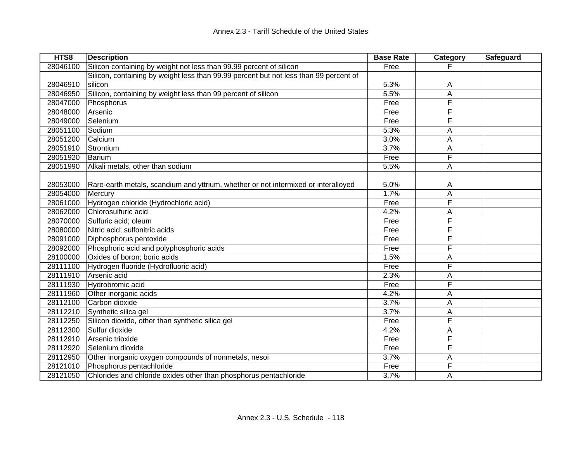| HTS8     | <b>Description</b>                                                                    | <b>Base Rate</b> | <b>Category</b> | Safeguard |
|----------|---------------------------------------------------------------------------------------|------------------|-----------------|-----------|
| 28046100 | Silicon containing by weight not less than 99.99 percent of silicon                   | Free             |                 |           |
|          | Silicon, containing by weight less than 99.99 percent but not less than 99 percent of |                  |                 |           |
| 28046910 | silicon                                                                               | 5.3%             | Α               |           |
| 28046950 | Silicon, containing by weight less than 99 percent of silicon                         | 5.5%             | Α               |           |
| 28047000 | Phosphorus                                                                            | Free             | F               |           |
| 28048000 | Arsenic                                                                               | Free             | F               |           |
| 28049000 | Selenium                                                                              | Free             | F               |           |
| 28051100 | Sodium                                                                                | 5.3%             | A               |           |
| 28051200 | Calcium                                                                               | 3.0%             | A               |           |
| 28051910 | Strontium                                                                             | 3.7%             | A               |           |
| 28051920 | Barium                                                                                | Free             | F               |           |
| 28051990 | Alkali metals, other than sodium                                                      | 5.5%             | Α               |           |
|          |                                                                                       |                  |                 |           |
| 28053000 | Rare-earth metals, scandium and yttrium, whether or not intermixed or interalloyed    | 5.0%             | Α               |           |
| 28054000 | Mercury                                                                               | 1.7%             | A               |           |
| 28061000 | Hydrogen chloride (Hydrochloric acid)                                                 | Free             | F               |           |
| 28062000 | Chlorosulfuric acid                                                                   | 4.2%             | Α               |           |
| 28070000 | Sulfuric acid; oleum                                                                  | Free             | F               |           |
| 28080000 | Nitric acid; sulfonitric acids                                                        | Free             | F               |           |
| 28091000 | Diphosphorus pentoxide                                                                | Free             | F               |           |
| 28092000 | Phosphoric acid and polyphosphoric acids                                              | Free             | F               |           |
| 28100000 | Oxides of boron; boric acids                                                          | 1.5%             | Α               |           |
| 28111100 | Hydrogen fluoride (Hydrofluoric acid)                                                 | Free             | F               |           |
| 28111910 | Arsenic acid                                                                          | 2.3%             | A               |           |
| 28111930 | Hydrobromic acid                                                                      | Free             | F               |           |
| 28111960 | Other inorganic acids                                                                 | 4.2%             | А               |           |
| 28112100 | Carbon dioxide                                                                        | 3.7%             | А               |           |
| 28112210 | Synthetic silica gel                                                                  | 3.7%             | А               |           |
| 28112250 | Silicon dioxide, other than synthetic silica gel                                      | Free             | F               |           |
| 28112300 | Sulfur dioxide                                                                        | 4.2%             | А               |           |
| 28112910 | Arsenic trioxide                                                                      | Free             | F               |           |
| 28112920 | Selenium dioxide                                                                      | Free             | F               |           |
| 28112950 | Other inorganic oxygen compounds of nonmetals, nesoi                                  | 3.7%             | Α               |           |
| 28121010 | Phosphorus pentachloride                                                              | Free             | F               |           |
| 28121050 | Chlorides and chloride oxides other than phosphorus pentachloride                     | 3.7%             | Α               |           |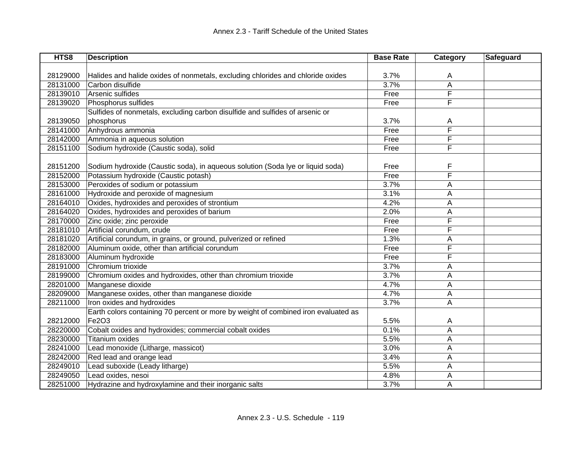| HTS8     | <b>Description</b>                                                                 | <b>Base Rate</b> | Category | Safeguard |
|----------|------------------------------------------------------------------------------------|------------------|----------|-----------|
|          |                                                                                    |                  |          |           |
| 28129000 | Halides and halide oxides of nonmetals, excluding chlorides and chloride oxides    | 3.7%             | A        |           |
| 28131000 | Carbon disulfide                                                                   | 3.7%             | A        |           |
| 28139010 | Arsenic sulfides                                                                   | Free             | F        |           |
| 28139020 | Phosphorus sulfides                                                                | Free             | F        |           |
|          | Sulfides of nonmetals, excluding carbon disulfide and sulfides of arsenic or       |                  |          |           |
| 28139050 | phosphorus                                                                         | 3.7%             | Α        |           |
| 28141000 | Anhydrous ammonia                                                                  | Free             | F        |           |
| 28142000 | Ammonia in aqueous solution                                                        | Free             | F        |           |
| 28151100 | Sodium hydroxide (Caustic soda), solid                                             | Free             | F        |           |
|          |                                                                                    |                  |          |           |
| 28151200 | Sodium hydroxide (Caustic soda), in aqueous solution (Soda lye or liquid soda)     | Free             | F        |           |
| 28152000 | Potassium hydroxide (Caustic potash)                                               | Free             | F        |           |
| 28153000 | Peroxides of sodium or potassium                                                   | 3.7%             | Α        |           |
| 28161000 | Hydroxide and peroxide of magnesium                                                | 3.1%             | Α        |           |
| 28164010 | Oxides, hydroxides and peroxides of strontium                                      | 4.2%             | Α        |           |
| 28164020 | Oxides, hydroxides and peroxides of barium                                         | 2.0%             | A        |           |
| 28170000 | Zinc oxide; zinc peroxide                                                          | Free             | F        |           |
| 28181010 | Artificial corundum, crude                                                         | Free             | F        |           |
| 28181020 | Artificial corundum, in grains, or ground, pulverized or refined                   | 1.3%             | Α        |           |
| 28182000 | Aluminum oxide, other than artificial corundum                                     | Free             | F        |           |
| 28183000 | Aluminum hydroxide                                                                 | Free             | F        |           |
| 28191000 | Chromium trioxide                                                                  | 3.7%             | Α        |           |
| 28199000 | Chromium oxides and hydroxides, other than chromium trioxide                       | 3.7%             | А        |           |
| 28201000 | Manganese dioxide                                                                  | 4.7%             | A        |           |
| 28209000 | Manganese oxides, other than manganese dioxide                                     | 4.7%             | А        |           |
| 28211000 | Iron oxides and hydroxides                                                         | 3.7%             | A        |           |
|          | Earth colors containing 70 percent or more by weight of combined iron evaluated as |                  |          |           |
| 28212000 | Fe2O3                                                                              | 5.5%             | A        |           |
| 28220000 | Cobalt oxides and hydroxides; commercial cobalt oxides                             | 0.1%             | Α        |           |
| 28230000 | Titanium oxides                                                                    | 5.5%             | A        |           |
| 28241000 | Lead monoxide (Litharge, massicot)                                                 | 3.0%             | A        |           |
| 28242000 | Red lead and orange lead                                                           | 3.4%             | A        |           |
| 28249010 | Lead suboxide (Leady litharge)                                                     | 5.5%             | Α        |           |
| 28249050 | Lead oxides, nesoi                                                                 | 4.8%             | Α        |           |
| 28251000 | Hydrazine and hydroxylamine and their inorganic salts                              | 3.7%             | Α        |           |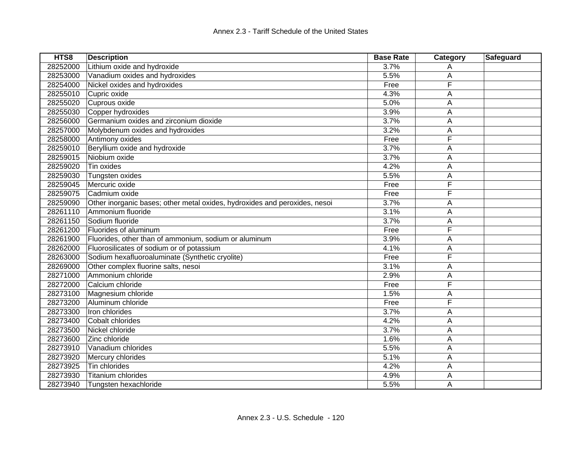| HTS8     | <b>Description</b>                                                         | <b>Base Rate</b> | Category | Safeguard |
|----------|----------------------------------------------------------------------------|------------------|----------|-----------|
| 28252000 | Lithium oxide and hydroxide                                                | 3.7%             | Α        |           |
| 28253000 | Vanadium oxides and hydroxides                                             | 5.5%             | А        |           |
| 28254000 | Nickel oxides and hydroxides                                               | Free             | F        |           |
| 28255010 | Cupric oxide                                                               | 4.3%             | Α        |           |
| 28255020 | Cuprous oxide                                                              | 5.0%             | A        |           |
| 28255030 | Copper hydroxides                                                          | 3.9%             | Α        |           |
| 28256000 | Germanium oxides and zirconium dioxide                                     | 3.7%             | А        |           |
| 28257000 | Molybdenum oxides and hydroxides                                           | 3.2%             | А        |           |
| 28258000 | Antimony oxides                                                            | Free             | F        |           |
| 28259010 | Beryllium oxide and hydroxide                                              | 3.7%             | Α        |           |
| 28259015 | Niobium oxide                                                              | 3.7%             | Α        |           |
| 28259020 | Tin oxides                                                                 | 4.2%             | А        |           |
| 28259030 | Tungsten oxides                                                            | 5.5%             | А        |           |
| 28259045 | Mercuric oxide                                                             | Free             | F        |           |
| 28259075 | Cadmium oxide                                                              | Free             | F        |           |
| 28259090 | Other inorganic bases; other metal oxides, hydroxides and peroxides, nesoi | 3.7%             | Α        |           |
| 28261110 | Ammonium fluoride                                                          | 3.1%             | A        |           |
| 28261150 | Sodium fluoride                                                            | 3.7%             | А        |           |
| 28261200 | Fluorides of aluminum                                                      | Free             | F        |           |
| 28261900 | Fluorides, other than of ammonium, sodium or aluminum                      | 3.9%             | A        |           |
| 28262000 | Fluorosilicates of sodium or of potassium                                  | 4.1%             | A        |           |
| 28263000 | Sodium hexafluoroaluminate (Synthetic cryolite)                            | Free             | F        |           |
| 28269000 | Other complex fluorine salts, nesoi                                        | 3.1%             | А        |           |
| 28271000 | Ammonium chloride                                                          | 2.9%             | Α        |           |
| 28272000 | Calcium chloride                                                           | Free             | F        |           |
| 28273100 | Magnesium chloride                                                         | 1.5%             | Α        |           |
| 28273200 | Aluminum chloride                                                          | Free             | F        |           |
| 28273300 | Iron chlorides                                                             | 3.7%             | А        |           |
| 28273400 | Cobalt chlorides                                                           | 4.2%             | Α        |           |
| 28273500 | Nickel chloride                                                            | 3.7%             | Α        |           |
| 28273600 | Zinc chloride                                                              | 1.6%             | A        |           |
| 28273910 | Vanadium chlorides                                                         | 5.5%             | A        |           |
| 28273920 | Mercury chlorides                                                          | 5.1%             | А        |           |
| 28273925 | Tin chlorides                                                              | 4.2%             | А        |           |
| 28273930 | <b>Titanium chlorides</b>                                                  | 4.9%             | Α        |           |
| 28273940 | Tungsten hexachloride                                                      | 5.5%             | Α        |           |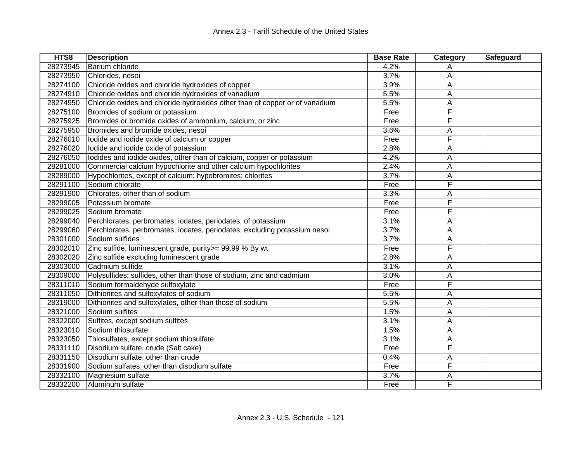| HTS8     | <b>Description</b>                                                          | <b>Base Rate</b> | Category | Safeguard |
|----------|-----------------------------------------------------------------------------|------------------|----------|-----------|
| 28273945 | Barium chloride                                                             | 4.2%             | Α        |           |
| 28273950 | Chlorides, nesoi                                                            | 3.7%             | Α        |           |
| 28274100 | Chloride oxides and chloride hydroxides of copper                           | 3.9%             | А        |           |
| 28274910 | Chloride oxides and chloride hydroxides of vanadium                         | 5.5%             | А        |           |
| 28274950 | Chloride oxides and chloride hydroxides other than of copper or of vanadium | 5.5%             | Α        |           |
| 28275100 | Bromides of sodium or potassium                                             | Free             | F        |           |
| 28275925 | Bromides or bromide oxides of ammonium, calcium, or zinc                    | Free             | F        |           |
| 28275950 | Bromides and bromide oxides, nesoi                                          | 3.6%             | А        |           |
| 28276010 | lodide and iodide oxide of calcium or copper                                | Free             | F        |           |
| 28276020 | lodide and iodide oxide of potassium                                        | 2.8%             | A        |           |
| 28276050 | lodides and iodide oxides, other than of calcium, copper or potassium       | 4.2%             | Α        |           |
| 28281000 | Commercial calcium hypochlorite and other calcium hypochlorites             | 2.4%             | Α        |           |
| 28289000 | Hypochlorites, except of calcium; hypobromites; chlorites                   | 3.7%             | A        |           |
| 28291100 | Sodium chlorate                                                             | Free             | F        |           |
| 28291900 | Chlorates, other than of sodium                                             | 3.3%             | А        |           |
| 28299005 | Potassium bromate                                                           | Free             | F        |           |
| 28299025 | Sodium bromate                                                              | Free             | F        |           |
| 28299040 | Perchlorates, perbromates, iodates, periodates; of potassium                | 3.1%             | A        |           |
| 28299060 | Perchlorates, perbromates, iodates, periodates, excluding potassium nesoi   | 3.7%             | Α        |           |
| 28301000 | Sodium sulfides                                                             | 3.7%             | А        |           |
| 28302010 | Zinc sulfide, luminescent grade, purity>= 99.99 % By wt.                    | Free             | F        |           |
| 28302020 | Zinc sulfide excluding luminescent grade                                    | 2.8%             | Α        |           |
| 28303000 | Cadmium sulfide                                                             | 3.1%             | A        |           |
| 28309000 | Polysulfides; sulfides, other than those of sodium, zinc and cadmium        | 3.0%             | Α        |           |
| 28311010 | Sodium formaldehyde sulfoxylate                                             | Free             | F        |           |
| 28311050 | Dithionites and sulfoxylates of sodium                                      | 5.5%             | Α        |           |
| 28319000 | Dithionites and sulfoxylates, other than those of sodium                    | 5.5%             | А        |           |
| 28321000 | Sodium sulfites                                                             | 1.5%             | Α        |           |
| 28322000 | Sulfites, except sodium sulfites                                            | 3.1%             | Α        |           |
| 28323010 | Sodium thiosulfate                                                          | 1.5%             | А        |           |
| 28323050 | Thiosulfates, except sodium thiosulfate                                     | 3.1%             | А        |           |
| 28331110 | Disodium sulfate, crude (Salt cake)                                         | Free             | F        |           |
| 28331150 | Disodium sulfate, other than crude                                          | 0.4%             | А        |           |
| 28331900 | Sodium sulfates, other than disodium sulfate                                | Free             | F        |           |
| 28332100 | Magnesium sulfate                                                           | 3.7%             | Α        |           |
| 28332200 | Aluminum sulfate                                                            | Free             | F        |           |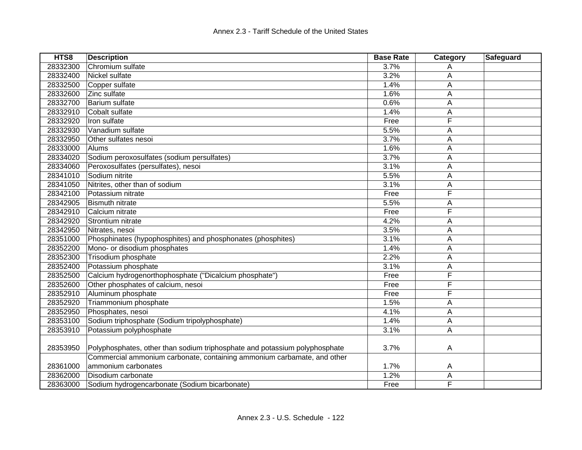| HTS8     | <b>Description</b>                                                         | <b>Base Rate</b> | Category | Safeguard |
|----------|----------------------------------------------------------------------------|------------------|----------|-----------|
| 28332300 | Chromium sulfate                                                           | 3.7%             | A        |           |
| 28332400 | Nickel sulfate                                                             | 3.2%             | Α        |           |
| 28332500 | Copper sulfate                                                             | 1.4%             | А        |           |
| 28332600 | Zinc sulfate                                                               | 1.6%             | A        |           |
| 28332700 | Barium sulfate                                                             | 0.6%             | Α        |           |
| 28332910 | Cobalt sulfate                                                             | 1.4%             | Α        |           |
| 28332920 | Iron sulfate                                                               | Free             | F        |           |
| 28332930 | Vanadium sulfate                                                           | 5.5%             | А        |           |
| 28332950 | Other sulfates nesoi                                                       | 3.7%             | Α        |           |
| 28333000 | Alums                                                                      | 1.6%             | Α        |           |
| 28334020 | Sodium peroxosulfates (sodium persulfates)                                 | 3.7%             | Α        |           |
| 28334060 | Peroxosulfates (persulfates), nesoi                                        | 3.1%             | А        |           |
| 28341010 | Sodium nitrite                                                             | 5.5%             | A        |           |
| 28341050 | Nitrites, other than of sodium                                             | 3.1%             | Α        |           |
| 28342100 | Potassium nitrate                                                          | Free             | F        |           |
| 28342905 | <b>Bismuth nitrate</b>                                                     | 5.5%             | А        |           |
| 28342910 | Calcium nitrate                                                            | Free             | F        |           |
| 28342920 | Strontium nitrate                                                          | 4.2%             | А        |           |
| 28342950 | Nitrates, nesoi                                                            | 3.5%             | Α        |           |
| 28351000 | Phosphinates (hypophosphites) and phosphonates (phosphites)                | 3.1%             | A        |           |
| 28352200 | Mono- or disodium phosphates                                               | 1.4%             | Α        |           |
| 28352300 | Trisodium phosphate                                                        | 2.2%             | А        |           |
| 28352400 | Potassium phosphate                                                        | 3.1%             | А        |           |
| 28352500 | Calcium hydrogenorthophosphate ("Dicalcium phosphate")                     | Free             | F        |           |
| 28352600 | Other phosphates of calcium, nesoi                                         | Free             | F        |           |
| 28352910 | Aluminum phosphate                                                         | Free             | F        |           |
| 28352920 | Triammonium phosphate                                                      | 1.5%             | А        |           |
| 28352950 | Phosphates, nesoi                                                          | 4.1%             | А        |           |
| 28353100 | Sodium triphosphate (Sodium tripolyphosphate)                              | 1.4%             | Α        |           |
| 28353910 | Potassium polyphosphate                                                    | 3.1%             | Α        |           |
| 28353950 | Polyphosphates, other than sodium triphosphate and potassium polyphosphate | 3.7%             | A        |           |
|          | Commercial ammonium carbonate, containing ammonium carbamate, and other    |                  |          |           |
| 28361000 | ammonium carbonates                                                        | 1.7%             | A        |           |
| 28362000 | Disodium carbonate                                                         | 1.2%             | А        |           |
| 28363000 | Sodium hydrogencarbonate (Sodium bicarbonate)                              | Free             | F        |           |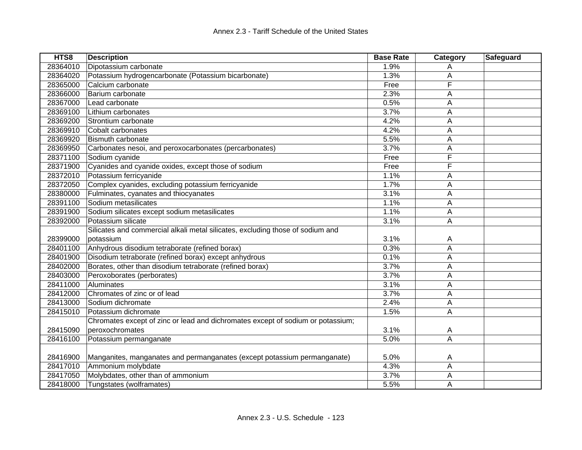| HTS8     | <b>Description</b>                                                              | <b>Base Rate</b> | Category | Safeguard |
|----------|---------------------------------------------------------------------------------|------------------|----------|-----------|
| 28364010 | Dipotassium carbonate                                                           | 1.9%             | A        |           |
| 28364020 | Potassium hydrogencarbonate (Potassium bicarbonate)                             | 1.3%             | A        |           |
| 28365000 | Calcium carbonate                                                               | Free             | F        |           |
| 28366000 | Barium carbonate                                                                | 2.3%             | А        |           |
| 28367000 | Lead carbonate                                                                  | 0.5%             | А        |           |
| 28369100 | Lithium carbonates                                                              | 3.7%             | Α        |           |
| 28369200 | Strontium carbonate                                                             | 4.2%             | A        |           |
| 28369910 | Cobalt carbonates                                                               | 4.2%             | Α        |           |
| 28369920 | <b>Bismuth carbonate</b>                                                        | 5.5%             | Α        |           |
| 28369950 | Carbonates nesoi, and peroxocarbonates (percarbonates)                          | 3.7%             | А        |           |
| 28371100 | Sodium cyanide                                                                  | Free             | F        |           |
| 28371900 | Cyanides and cyanide oxides, except those of sodium                             | Free             | F        |           |
| 28372010 | Potassium ferricyanide                                                          | 1.1%             | Α        |           |
| 28372050 | Complex cyanides, excluding potassium ferricyanide                              | 1.7%             | A        |           |
| 28380000 | Fulminates, cyanates and thiocyanates                                           | 3.1%             | Α        |           |
| 28391100 | Sodium metasilicates                                                            | 1.1%             | Α        |           |
| 28391900 | Sodium silicates except sodium metasilicates                                    | 1.1%             | А        |           |
| 28392000 | Potassium silicate                                                              | 3.1%             | A        |           |
|          | Silicates and commercial alkali metal silicates, excluding those of sodium and  |                  |          |           |
| 28399000 | potassium                                                                       | 3.1%             | A        |           |
| 28401100 | Anhydrous disodium tetraborate (refined borax)                                  | 0.3%             | Α        |           |
| 28401900 | Disodium tetraborate (refined borax) except anhydrous                           | 0.1%             | Α        |           |
| 28402000 | Borates, other than disodium tetraborate (refined borax)                        | 3.7%             | Α        |           |
| 28403000 | Peroxoborates (perborates)                                                      | 3.7%             | А        |           |
| 28411000 | Aluminates                                                                      | 3.1%             | А        |           |
| 28412000 | Chromates of zinc or of lead                                                    | 3.7%             | А        |           |
| 28413000 | Sodium dichromate                                                               | 2.4%             | А        |           |
| 28415010 | Potassium dichromate                                                            | 1.5%             | Α        |           |
|          | Chromates except of zinc or lead and dichromates except of sodium or potassium; |                  |          |           |
| 28415090 | peroxochromates                                                                 | 3.1%             | A        |           |
| 28416100 | Potassium permanganate                                                          | 5.0%             | Α        |           |
|          |                                                                                 |                  |          |           |
| 28416900 | Manganites, manganates and permanganates (except potassium permanganate)        | 5.0%             | A        |           |
| 28417010 | Ammonium molybdate                                                              | 4.3%             | Α        |           |
| 28417050 | Molybdates, other than of ammonium                                              | 3.7%             | А        |           |
| 28418000 | Tungstates (wolframates)                                                        | 5.5%             | Α        |           |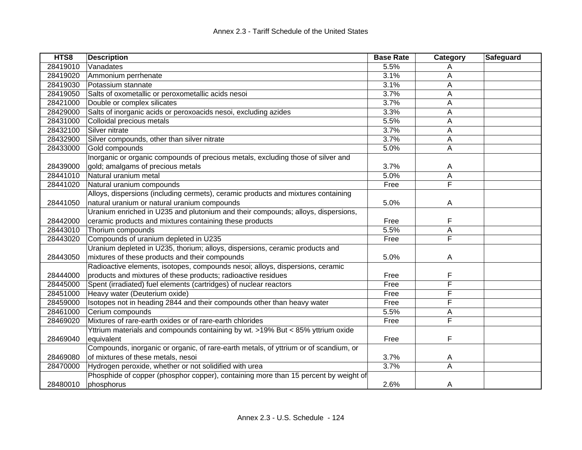| HTS8     | <b>Description</b>                                                                   | <b>Base Rate</b> | Category                | Safeguard |
|----------|--------------------------------------------------------------------------------------|------------------|-------------------------|-----------|
| 28419010 | Vanadates                                                                            | 5.5%             | A                       |           |
| 28419020 | Ammonium perrhenate                                                                  | 3.1%             | А                       |           |
| 28419030 | Potassium stannate                                                                   | 3.1%             | A                       |           |
| 28419050 | Salts of oxometallic or peroxometallic acids nesoi                                   | 3.7%             | Α                       |           |
| 28421000 | Double or complex silicates                                                          | 3.7%             | A                       |           |
| 28429000 | Salts of inorganic acids or peroxoacids nesoi, excluding azides                      | 3.3%             | A                       |           |
| 28431000 | Colloidal precious metals                                                            | 5.5%             | A                       |           |
| 28432100 | Silver nitrate                                                                       | 3.7%             | Α                       |           |
| 28432900 | Silver compounds, other than silver nitrate                                          | 3.7%             | Α                       |           |
| 28433000 | Gold compounds                                                                       | 5.0%             | A                       |           |
|          | Inorganic or organic compounds of precious metals, excluding those of silver and     |                  |                         |           |
| 28439000 | gold; amalgams of precious metals                                                    | 3.7%             | A                       |           |
| 28441010 | Natural uranium metal                                                                | 5.0%             | A                       |           |
| 28441020 | Natural uranium compounds                                                            | Free             | $\overline{\mathsf{F}}$ |           |
|          | Alloys, dispersions (including cermets), ceramic products and mixtures containing    |                  |                         |           |
| 28441050 | natural uranium or natural uranium compounds                                         | 5.0%             | A                       |           |
|          | Uranium enriched in U235 and plutonium and their compounds; alloys, dispersions,     |                  |                         |           |
| 28442000 | ceramic products and mixtures containing these products                              | Free             | F                       |           |
| 28443010 | Thorium compounds                                                                    | 5.5%             | А                       |           |
| 28443020 | Compounds of uranium depleted in U235                                                | Free             | F                       |           |
|          | Uranium depleted in U235, thorium; alloys, dispersions, ceramic products and         |                  |                         |           |
| 28443050 | mixtures of these products and their compounds                                       | 5.0%             | A                       |           |
|          | Radioactive elements, isotopes, compounds nesoi; alloys, dispersions, ceramic        |                  |                         |           |
| 28444000 | products and mixtures of these products; radioactive residues                        | Free             | F                       |           |
| 28445000 | Spent (irradiated) fuel elements (cartridges) of nuclear reactors                    | Free             | F                       |           |
| 28451000 | Heavy water (Deuterium oxide)                                                        | Free             | F                       |           |
| 28459000 | Isotopes not in heading 2844 and their compounds other than heavy water              | Free             | F                       |           |
| 28461000 | Cerium compounds                                                                     | 5.5%             | Α                       |           |
| 28469020 | Mixtures of rare-earth oxides or of rare-earth chlorides                             | Free             | F                       |           |
|          | Yttrium materials and compounds containing by wt. >19% But < 85% yttrium oxide       |                  |                         |           |
| 28469040 | equivalent                                                                           | Free             | F                       |           |
|          | Compounds, inorganic or organic, of rare-earth metals, of yttrium or of scandium, or |                  |                         |           |
| 28469080 | of mixtures of these metals, nesoi                                                   | 3.7%             | A                       |           |
| 28470000 | Hydrogen peroxide, whether or not solidified with urea                               | 3.7%             | A                       |           |
|          | Phosphide of copper (phosphor copper), containing more than 15 percent by weight of  |                  |                         |           |
| 28480010 | phosphorus                                                                           | 2.6%             | A                       |           |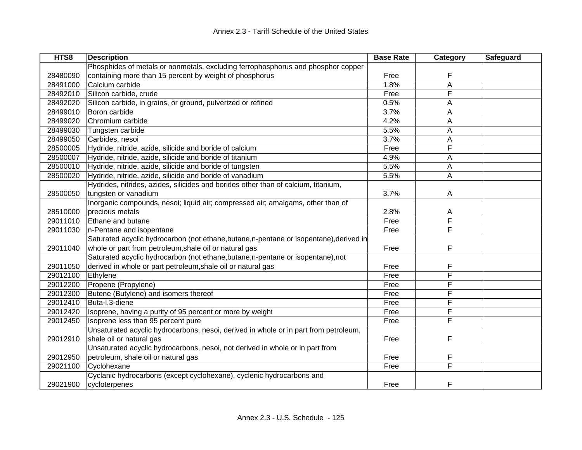| HTS8     | <b>Description</b>                                                                      | <b>Base Rate</b> | Category | Safeguard |
|----------|-----------------------------------------------------------------------------------------|------------------|----------|-----------|
|          | Phosphides of metals or nonmetals, excluding ferrophosphorus and phosphor copper        |                  |          |           |
| 28480090 | containing more than 15 percent by weight of phosphorus                                 | Free             | F        |           |
| 28491000 | Calcium carbide                                                                         | 1.8%             | A        |           |
| 28492010 | Silicon carbide, crude                                                                  | Free             | F        |           |
| 28492020 | Silicon carbide, in grains, or ground, pulverized or refined                            | 0.5%             | А        |           |
| 28499010 | Boron carbide                                                                           | 3.7%             | A        |           |
| 28499020 | Chromium carbide                                                                        | 4.2%             | A        |           |
| 28499030 | Tungsten carbide                                                                        | 5.5%             | Α        |           |
| 28499050 | Carbides, nesoi                                                                         | 3.7%             | Α        |           |
| 28500005 | Hydride, nitride, azide, silicide and boride of calcium                                 | Free             | F        |           |
| 28500007 | Hydride, nitride, azide, silicide and boride of titanium                                | 4.9%             | Α        |           |
| 28500010 | Hydride, nitride, azide, silicide and boride of tungsten                                | 5.5%             | Α        |           |
| 28500020 | Hydride, nitride, azide, silicide and boride of vanadium                                | 5.5%             | A        |           |
|          | Hydrides, nitrides, azides, silicides and borides other than of calcium, titanium,      |                  |          |           |
| 28500050 | tungsten or vanadium                                                                    | 3.7%             | A        |           |
|          | Inorganic compounds, nesoi; liquid air; compressed air; amalgams, other than of         |                  |          |           |
| 28510000 | precious metals                                                                         | 2.8%             | Α        |           |
| 29011010 | Ethane and butane                                                                       | Free             | F        |           |
| 29011030 | n-Pentane and isopentane                                                                | Free             | F        |           |
|          | Saturated acyclic hydrocarbon (not ethane, butane, n-pentane or isopentane), derived in |                  |          |           |
| 29011040 | whole or part from petroleum, shale oil or natural gas                                  | Free             | F        |           |
|          | Saturated acyclic hydrocarbon (not ethane, butane, n-pentane or isopentane), not        |                  |          |           |
| 29011050 | derived in whole or part petroleum, shale oil or natural gas                            | Free             | F        |           |
| 29012100 | Ethylene                                                                                | Free             | F        |           |
| 29012200 | Propene (Propylene)                                                                     | Free             | F        |           |
| 29012300 | Butene (Butylene) and isomers thereof                                                   | Free             | F        |           |
| 29012410 | Buta-I, 3-diene                                                                         | Free             | F        |           |
| 29012420 | Isoprene, having a purity of 95 percent or more by weight                               | Free             | F        |           |
| 29012450 | Isoprene less than 95 percent pure                                                      | Free             | F        |           |
|          | Unsaturated acyclic hydrocarbons, nesoi, derived in whole or in part from petroleum,    |                  |          |           |
| 29012910 | shale oil or natural gas                                                                | Free             | F        |           |
|          | Unsaturated acyclic hydrocarbons, nesoi, not derived in whole or in part from           |                  |          |           |
| 29012950 | petroleum, shale oil or natural gas                                                     | Free             | F        |           |
| 29021100 | Cyclohexane                                                                             | Free             | F        |           |
|          | Cyclanic hydrocarbons (except cyclohexane), cyclenic hydrocarbons and                   |                  |          |           |
| 29021900 | cycloterpenes                                                                           | Free             | F        |           |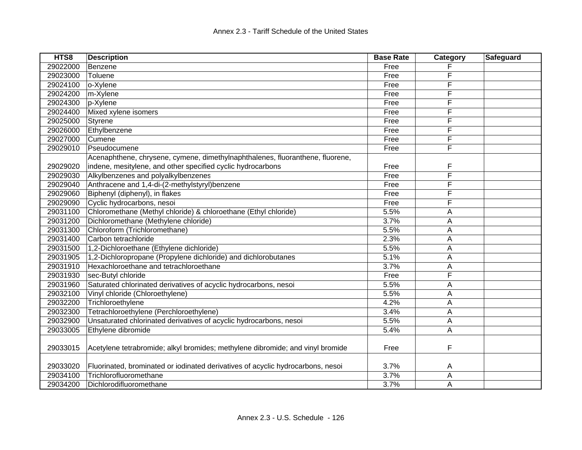| HTS8     | <b>Description</b>                                                              | <b>Base Rate</b> | Category | Safeguard |
|----------|---------------------------------------------------------------------------------|------------------|----------|-----------|
| 29022000 | Benzene                                                                         | Free             |          |           |
| 29023000 | Toluene                                                                         | Free             | F        |           |
| 29024100 | o-Xylene                                                                        | Free             | F        |           |
| 29024200 | m-Xylene                                                                        | Free             | F        |           |
| 29024300 | p-Xylene                                                                        | Free             | F        |           |
| 29024400 | Mixed xylene isomers                                                            | Free             | F        |           |
| 29025000 | Styrene                                                                         | Free             | F        |           |
| 29026000 | Ethylbenzene                                                                    | Free             | F        |           |
| 29027000 | Cumene                                                                          | Free             | F        |           |
| 29029010 | Pseudocumene                                                                    | Free             | F        |           |
|          | Acenaphthene, chrysene, cymene, dimethylnaphthalenes, fluoranthene, fluorene,   |                  |          |           |
| 29029020 | indene, mesitylene, and other specified cyclic hydrocarbons                     | Free             | F        |           |
| 29029030 | Alkylbenzenes and polyalkylbenzenes                                             | Free             | F        |           |
| 29029040 | Anthracene and 1,4-di-(2-methylstyryl)benzene                                   | Free             | F        |           |
| 29029060 | Biphenyl (diphenyl), in flakes                                                  | Free             | F        |           |
| 29029090 | Cyclic hydrocarbons, nesoi                                                      | Free             | F        |           |
| 29031100 | Chloromethane (Methyl chloride) & chloroethane (Ethyl chloride)                 | 5.5%             | A        |           |
| 29031200 | Dichloromethane (Methylene chloride)                                            | 3.7%             | Α        |           |
| 29031300 | Chloroform (Trichloromethane)                                                   | 5.5%             | A        |           |
| 29031400 | Carbon tetrachloride                                                            | 2.3%             | A        |           |
| 29031500 | 1,2-Dichloroethane (Ethylene dichloride)                                        | 5.5%             | Α        |           |
| 29031905 | 1,2-Dichloropropane (Propylene dichloride) and dichlorobutanes                  | 5.1%             | A        |           |
| 29031910 | Hexachloroethane and tetrachloroethane                                          | 3.7%             | A        |           |
| 29031930 | sec-Butyl chloride                                                              | Free             | F        |           |
| 29031960 | Saturated chlorinated derivatives of acyclic hydrocarbons, nesoi                | 5.5%             | A        |           |
| 29032100 | Vinyl chloride (Chloroethylene)                                                 | 5.5%             | A        |           |
| 29032200 | Trichloroethylene                                                               | 4.2%             | A        |           |
| 29032300 | Tetrachloroethylene (Perchloroethylene)                                         | 3.4%             | A        |           |
| 29032900 | Unsaturated chlorinated derivatives of acyclic hydrocarbons, nesoi              | 5.5%             | A        |           |
| 29033005 | Ethylene dibromide                                                              | 5.4%             | Α        |           |
| 29033015 | Acetylene tetrabromide; alkyl bromides; methylene dibromide; and vinyl bromide  | Free             | F        |           |
| 29033020 | Fluorinated, brominated or iodinated derivatives of acyclic hydrocarbons, nesoi | 3.7%             | A        |           |
| 29034100 | Trichlorofluoromethane                                                          | 3.7%             | A        |           |
| 29034200 | Dichlorodifluoromethane                                                         | 3.7%             | Α        |           |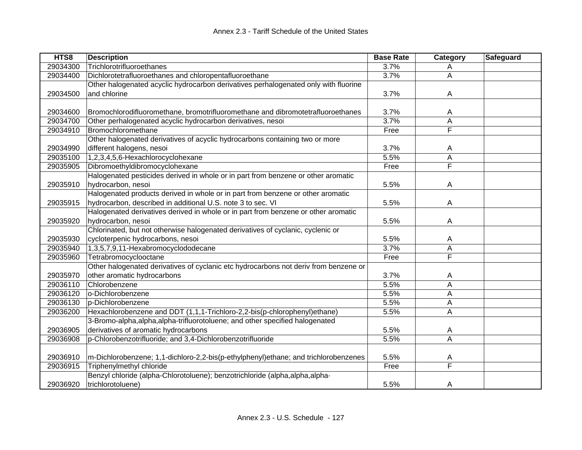| HTS8     | <b>Description</b>                                                                   | <b>Base Rate</b> | Category                | Safeguard |
|----------|--------------------------------------------------------------------------------------|------------------|-------------------------|-----------|
| 29034300 | Trichlorotrifluoroethanes                                                            | 3.7%             | A                       |           |
| 29034400 | Dichlorotetrafluoroethanes and chloropentafluoroethane                               | 3.7%             | Α                       |           |
|          | Other halogenated acyclic hydrocarbon derivatives perhalogenated only with fluorine  |                  |                         |           |
| 29034500 | and chlorine                                                                         | 3.7%             | A                       |           |
|          |                                                                                      |                  |                         |           |
| 29034600 | Bromochlorodifluoromethane, bromotrifluoromethane and dibromotetrafluoroethanes      | 3.7%             | A                       |           |
| 29034700 | Other perhalogenated acyclic hydrocarbon derivatives, nesoi                          | 3.7%             | A                       |           |
| 29034910 | Bromochloromethane                                                                   | Free             | F                       |           |
|          | Other halogenated derivatives of acyclic hydrocarbons containing two or more         |                  |                         |           |
| 29034990 | different halogens, nesoi                                                            | 3.7%             | A                       |           |
| 29035100 | 1,2,3,4,5,6-Hexachlorocyclohexane                                                    | 5.5%             | Α                       |           |
| 29035905 | Dibromoethyldibromocyclohexane                                                       | Free             | $\overline{\mathsf{F}}$ |           |
|          | Halogenated pesticides derived in whole or in part from benzene or other aromatic    |                  |                         |           |
| 29035910 | hydrocarbon, nesoi                                                                   | 5.5%             | A                       |           |
|          | Halogenated products derived in whole or in part from benzene or other aromatic      |                  |                         |           |
| 29035915 | hydrocarbon, described in additional U.S. note 3 to sec. VI                          | 5.5%             | A                       |           |
|          | Halogenated derivatives derived in whole or in part from benzene or other aromatic   |                  |                         |           |
| 29035920 | hydrocarbon, nesoi                                                                   | 5.5%             | A                       |           |
|          | Chlorinated, but not otherwise halogenated derivatives of cyclanic, cyclenic or      |                  |                         |           |
| 29035930 | cycloterpenic hydrocarbons, nesoi                                                    | 5.5%             | A                       |           |
| 29035940 | 1,3,5,7,9,11-Hexabromocyclododecane                                                  | 3.7%             | Α                       |           |
| 29035960 | Tetrabromocyclooctane                                                                | Free             | F                       |           |
|          | Other halogenated derivatives of cyclanic etc hydrocarbons not deriv from benzene or |                  |                         |           |
| 29035970 | other aromatic hydrocarbons                                                          | 3.7%             | A                       |           |
| 29036110 | Chlorobenzene                                                                        | 5.5%             | A                       |           |
| 29036120 | o-Dichlorobenzene                                                                    | 5.5%             | A                       |           |
| 29036130 | p-Dichlorobenzene                                                                    | 5.5%             | Α                       |           |
| 29036200 | Hexachlorobenzene and DDT (1,1,1-Trichloro-2,2-bis(p-chlorophenyl)ethane)            | 5.5%             | A                       |           |
|          | 3-Bromo-alpha, alpha, alpha-trifluorotoluene; and other specified halogenated        |                  |                         |           |
| 29036905 | derivatives of aromatic hydrocarbons                                                 | 5.5%             | A                       |           |
| 29036908 | p-Chlorobenzotrifluoride; and 3,4-Dichlorobenzotrifluoride                           | 5.5%             | A                       |           |
|          |                                                                                      |                  |                         |           |
| 29036910 | m-Dichlorobenzene; 1,1-dichloro-2,2-bis(p-ethylphenyl)ethane; and trichlorobenzenes  | 5.5%             | A                       |           |
| 29036915 | Triphenylmethyl chloride                                                             | Free             | $\overline{\mathsf{F}}$ |           |
|          | Benzyl chloride (alpha-Chlorotoluene); benzotrichloride (alpha, alpha, alpha-        |                  |                         |           |
| 29036920 | trichlorotoluene)                                                                    | 5.5%             | A                       |           |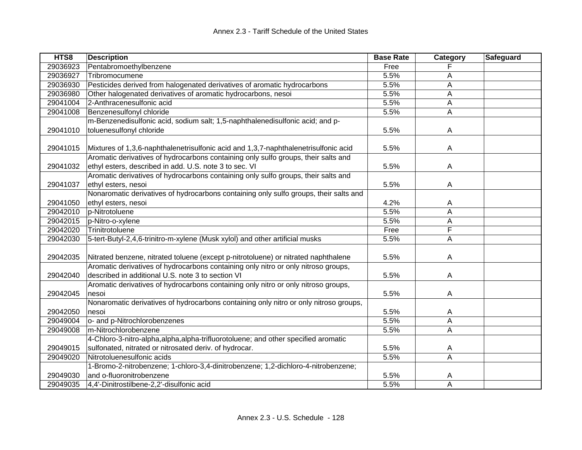| HTS8     | <b>Description</b>                                                                    | <b>Base Rate</b> | Category                | Safeguard |
|----------|---------------------------------------------------------------------------------------|------------------|-------------------------|-----------|
| 29036923 | Pentabromoethylbenzene                                                                | Free             |                         |           |
| 29036927 | Tribromocumene                                                                        | 5.5%             | Α                       |           |
| 29036930 | Pesticides derived from halogenated derivatives of aromatic hydrocarbons              | 5.5%             | А                       |           |
| 29036980 | Other halogenated derivatives of aromatic hydrocarbons, nesoi                         | 5.5%             | A                       |           |
| 29041004 | 2-Anthracenesulfonic acid                                                             | 5.5%             | A                       |           |
| 29041008 | Benzenesulfonyl chloride                                                              | 5.5%             | A                       |           |
|          | m-Benzenedisulfonic acid, sodium salt; 1,5-naphthalenedisulfonic acid; and p-         |                  |                         |           |
| 29041010 | toluenesulfonyl chloride                                                              | 5.5%             | A                       |           |
|          |                                                                                       |                  |                         |           |
| 29041015 | Mixtures of 1,3,6-naphthalenetrisulfonic acid and 1,3,7-naphthalenetrisulfonic acid   | 5.5%             | A                       |           |
|          | Aromatic derivatives of hydrocarbons containing only sulfo groups, their salts and    |                  |                         |           |
| 29041032 | ethyl esters, described in add. U.S. note 3 to sec. VI                                | 5.5%             | A                       |           |
|          | Aromatic derivatives of hydrocarbons containing only sulfo groups, their salts and    |                  |                         |           |
| 29041037 | ethyl esters, nesoi                                                                   | 5.5%             | A                       |           |
|          | Nonaromatic derivatives of hydrocarbons containing only sulfo groups, their salts and |                  |                         |           |
| 29041050 | ethyl esters, nesoi                                                                   | 4.2%             | A                       |           |
| 29042010 | p-Nitrotoluene                                                                        | 5.5%             | A                       |           |
| 29042015 | p-Nitro-o-xylene                                                                      | 5.5%             | A                       |           |
| 29042020 | Trinitrotoluene                                                                       | Free             | F                       |           |
| 29042030 | 5-tert-Butyl-2,4,6-trinitro-m-xylene (Musk xylol) and other artificial musks          | 5.5%             | A                       |           |
|          |                                                                                       |                  |                         |           |
| 29042035 | Nitrated benzene, nitrated toluene (except p-nitrotoluene) or nitrated naphthalene    | 5.5%             | A                       |           |
|          | Aromatic derivatives of hydrocarbons containing only nitro or only nitroso groups,    |                  |                         |           |
| 29042040 | described in additional U.S. note 3 to section VI                                     | 5.5%             | A                       |           |
|          | Aromatic derivatives of hydrocarbons containing only nitro or only nitroso groups,    |                  |                         |           |
| 29042045 | nesoi                                                                                 | 5.5%             | A                       |           |
|          | Nonaromatic derivatives of hydrocarbons containing only nitro or only nitroso groups, |                  |                         |           |
| 29042050 | nesoi                                                                                 | 5.5%             | A                       |           |
| 29049004 | o- and p-Nitrochlorobenzenes                                                          | 5.5%             | A                       |           |
| 29049008 | m-Nitrochlorobenzene                                                                  | 5.5%             | A                       |           |
|          | 4-Chloro-3-nitro-alpha,alpha,alpha-trifluorotoluene; and other specified aromatic     |                  |                         |           |
| 29049015 | sulfonated, nitrated or nitrosated deriv. of hydrocar.                                | 5.5%             | A                       |           |
| 29049020 | Nitrotoluenesulfonic acids                                                            | 5.5%             | $\overline{\mathsf{A}}$ |           |
|          | 1-Bromo-2-nitrobenzene; 1-chloro-3,4-dinitrobenzene; 1,2-dichloro-4-nitrobenzene;     |                  |                         |           |
| 29049030 | and o-fluoronitrobenzene                                                              | 5.5%             | A                       |           |
| 29049035 | 4,4'-Dinitrostilbene-2,2'-disulfonic acid                                             | 5.5%             | $\overline{A}$          |           |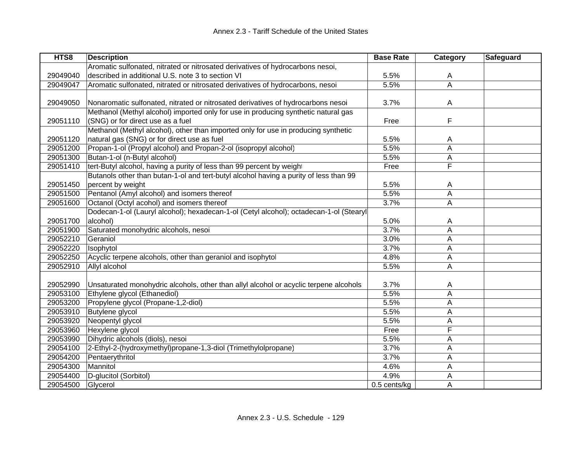| HTS8     | <b>Description</b>                                                                     | <b>Base Rate</b> | Category                | Safeguard |
|----------|----------------------------------------------------------------------------------------|------------------|-------------------------|-----------|
|          | Aromatic sulfonated, nitrated or nitrosated derivatives of hydrocarbons nesoi,         |                  |                         |           |
| 29049040 | described in additional U.S. note 3 to section VI                                      | 5.5%             | Α                       |           |
| 29049047 | Aromatic sulfonated, nitrated or nitrosated derivatives of hydrocarbons, nesoi         | 5.5%             | $\overline{\mathsf{A}}$ |           |
|          |                                                                                        |                  |                         |           |
| 29049050 | Nonaromatic sulfonated, nitrated or nitrosated derivatives of hydrocarbons nesoi       | 3.7%             | A                       |           |
|          | Methanol (Methyl alcohol) imported only for use in producing synthetic natural gas     |                  |                         |           |
| 29051110 | (SNG) or for direct use as a fuel                                                      | Free             | F                       |           |
|          | Methanol (Methyl alcohol), other than imported only for use in producing synthetic     |                  |                         |           |
| 29051120 | natural gas (SNG) or for direct use as fuel                                            | 5.5%             | A                       |           |
| 29051200 | Propan-1-ol (Propyl alcohol) and Propan-2-ol (isopropyl alcohol)                       | 5.5%             | A                       |           |
| 29051300 | Butan-1-ol (n-Butyl alcohol)                                                           | 5.5%             | A                       |           |
| 29051410 | tert-Butyl alcohol, having a purity of less than 99 percent by weight                  | Free             | F                       |           |
|          | Butanols other than butan-1-ol and tert-butyl alcohol having a purity of less than 99  |                  |                         |           |
| 29051450 | percent by weight                                                                      | 5.5%             | A                       |           |
| 29051500 | Pentanol (Amyl alcohol) and isomers thereof                                            | 5.5%             | A                       |           |
| 29051600 | Octanol (Octyl acohol) and isomers thereof                                             | 3.7%             | A                       |           |
|          | Dodecan-1-ol (Lauryl alcohol); hexadecan-1-ol (Cetyl alcohol); octadecan-1-ol (Stearyl |                  |                         |           |
| 29051700 | alcohol)                                                                               | 5.0%             | A                       |           |
| 29051900 | Saturated monohydric alcohols, nesoi                                                   | 3.7%             | A                       |           |
| 29052210 | Geraniol                                                                               | 3.0%             | A                       |           |
| 29052220 | Isophytol                                                                              | 3.7%             | A                       |           |
| 29052250 | Acyclic terpene alcohols, other than geraniol and isophytol                            | 4.8%             | A                       |           |
| 29052910 | Allyl alcohol                                                                          | 5.5%             | A                       |           |
|          |                                                                                        |                  |                         |           |
| 29052990 | Unsaturated monohydric alcohols, other than allyl alcohol or acyclic terpene alcohols  | 3.7%             | A                       |           |
| 29053100 | Ethylene glycol (Ethanediol)                                                           | 5.5%             | A                       |           |
| 29053200 | Propylene glycol (Propane-1,2-diol)                                                    | 5.5%             | A                       |           |
| 29053910 | Butylene glycol                                                                        | 5.5%             | A                       |           |
| 29053920 | Neopentyl glycol                                                                       | 5.5%             | A                       |           |
| 29053960 | Hexylene glycol                                                                        | Free             | F                       |           |
| 29053990 | Dihydric alcohols (diols), nesoi                                                       | 5.5%             | Α                       |           |
| 29054100 | 2-Ethyl-2-(hydroxymethyl)propane-1,3-diol (Trimethylolpropane)                         | 3.7%             | A                       |           |
| 29054200 | Pentaerythritol                                                                        | 3.7%             | A                       |           |
| 29054300 | Mannitol                                                                               | 4.6%             | A                       |           |
| 29054400 | D-glucitol (Sorbitol)                                                                  | 4.9%             | Α                       |           |
| 29054500 | Glycerol                                                                               | 0.5 cents/kg     | A                       |           |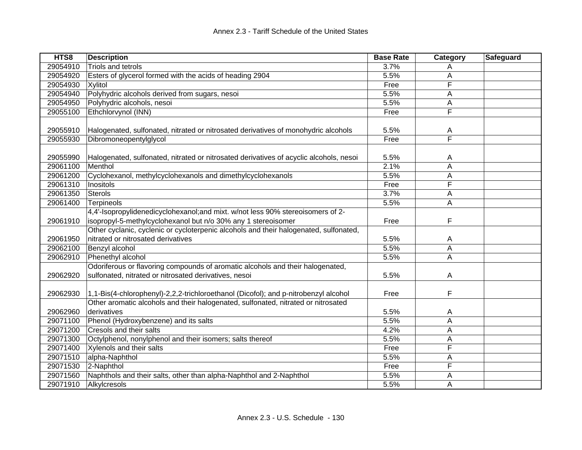| HTS8                 | <b>Description</b>                                                                                                                               | <b>Base Rate</b> | Category | Safeguard |
|----------------------|--------------------------------------------------------------------------------------------------------------------------------------------------|------------------|----------|-----------|
| 29054910             | Triols and tetrols                                                                                                                               | 3.7%             | A        |           |
| 29054920             | Esters of glycerol formed with the acids of heading 2904                                                                                         | 5.5%             | A        |           |
| 29054930             | Xylitol                                                                                                                                          | Free             | F        |           |
| 29054940             | Polyhydric alcohols derived from sugars, nesoi                                                                                                   | 5.5%             | А        |           |
| 29054950             | Polyhydric alcohols, nesoi                                                                                                                       | 5.5%             | А        |           |
| 29055100             | Ethchlorvynol (INN)                                                                                                                              | Free             | F        |           |
| 29055910             | Halogenated, sulfonated, nitrated or nitrosated derivatives of monohydric alcohols                                                               | 5.5%             | A        |           |
| 29055930             | Dibromoneopentylglycol                                                                                                                           | Free             | F        |           |
| 29055990<br>29061100 | Halogenated, sulfonated, nitrated or nitrosated derivatives of acyclic alcohols, nesoi<br>Menthol                                                | 5.5%<br>2.1%     | A<br>A   |           |
| 29061200             | Cyclohexanol, methylcyclohexanols and dimethylcyclohexanols                                                                                      | 5.5%             | Α        |           |
| 29061310             | Inositols                                                                                                                                        | Free             | F        |           |
| 29061350             | <b>Sterols</b>                                                                                                                                   | 3.7%             | Α        |           |
| 29061400             | Terpineols                                                                                                                                       | 5.5%             | Α        |           |
| 29061910             | 4,4'-Isopropylidenedicyclohexanol; and mixt. w/not less 90% stereoisomers of 2-<br>isopropyl-5-methylcyclohexanol but n/o 30% any 1 stereoisomer | Free             | F        |           |
|                      | Other cyclanic, cyclenic or cycloterpenic alcohols and their halogenated, sulfonated,                                                            |                  |          |           |
| 29061950             | nitrated or nitrosated derivatives                                                                                                               | 5.5%             | A        |           |
| 29062100             | Benzyl alcohol                                                                                                                                   | 5.5%             | Α        |           |
| 29062910             | Phenethyl alcohol                                                                                                                                | 5.5%             | Α        |           |
| 29062920             | Odoriferous or flavoring compounds of aromatic alcohols and their halogenated,<br>sulfonated, nitrated or nitrosated derivatives, nesoi          | 5.5%             | A        |           |
| 29062930             | 1,1-Bis(4-chlorophenyl)-2,2,2-trichloroethanol (Dicofol); and p-nitrobenzyl alcohol                                                              | Free             | F        |           |
| 29062960             | Other aromatic alcohols and their halogenated, sulfonated, nitrated or nitrosated<br>derivatives                                                 | 5.5%             | A        |           |
| 29071100             | Phenol (Hydroxybenzene) and its salts                                                                                                            | 5.5%             | Α        |           |
| 29071200             | Cresols and their salts                                                                                                                          | 4.2%             | A        |           |
| 29071300             | Octylphenol, nonylphenol and their isomers; salts thereof                                                                                        | 5.5%             | Α        |           |
| 29071400             | Xylenols and their salts                                                                                                                         | Free             | F        |           |
| 29071510             | alpha-Naphthol                                                                                                                                   | 5.5%             | А        |           |
| 29071530             | 2-Naphthol                                                                                                                                       | Free             | F        |           |
| 29071560             | Naphthols and their salts, other than alpha-Naphthol and 2-Naphthol                                                                              | 5.5%             | Α        |           |
| 29071910             | Alkylcresols                                                                                                                                     | 5.5%             | А        |           |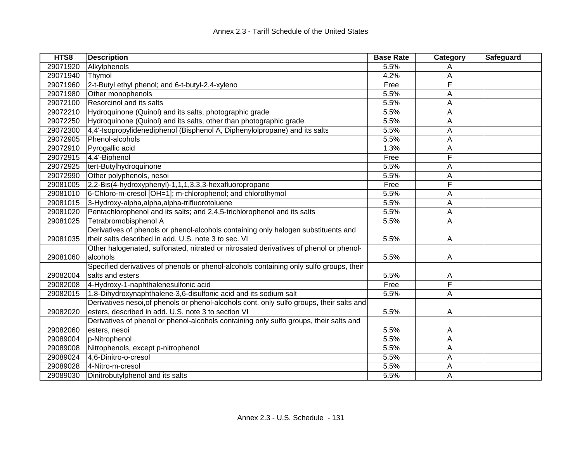| HTS8     | <b>Description</b>                                                                        | <b>Base Rate</b> | Category | Safeguard |
|----------|-------------------------------------------------------------------------------------------|------------------|----------|-----------|
| 29071920 | Alkylphenols                                                                              | 5.5%             |          |           |
| 29071940 | Thymol                                                                                    | 4.2%             | A        |           |
| 29071960 | 2-t-Butyl ethyl phenol; and 6-t-butyl-2,4-xyleno                                          | Free             | F        |           |
| 29071980 | Other monophenols                                                                         | 5.5%             | Α        |           |
| 29072100 | Resorcinol and its salts                                                                  | 5.5%             | A        |           |
| 29072210 | Hydroquinone (Quinol) and its salts, photographic grade                                   | 5.5%             | A        |           |
| 29072250 | Hydroquinone (Quinol) and its salts, other than photographic grade                        | 5.5%             | A        |           |
| 29072300 | 4,4'-Isopropylidenediphenol (Bisphenol A, Diphenylolpropane) and its salts                | 5.5%             | Α        |           |
| 29072905 | Phenol-alcohols                                                                           | 5.5%             | A        |           |
| 29072910 | Pyrogallic acid                                                                           | 1.3%             | A        |           |
| 29072915 | 4,4'-Biphenol                                                                             | Free             | F        |           |
| 29072925 | tert-Butylhydroquinone                                                                    | 5.5%             | Α        |           |
| 29072990 | Other polyphenols, nesoi                                                                  | 5.5%             | A        |           |
| 29081005 | 2,2-Bis(4-hydroxyphenyl)-1,1,1,3,3,3-hexafluoropropane                                    | Free             | F        |           |
| 29081010 | 6-Chloro-m-cresol [OH=1]; m-chlorophenol; and chlorothymol                                | 5.5%             | A        |           |
| 29081015 | 3-Hydroxy-alpha, alpha, alpha-trifluorotoluene                                            | 5.5%             | A        |           |
| 29081020 | Pentachlorophenol and its salts; and 2,4,5-trichlorophenol and its salts                  | 5.5%             | A        |           |
| 29081025 | Tetrabromobisphenol A                                                                     | 5.5%             | Α        |           |
|          | Derivatives of phenols or phenol-alcohols containing only halogen substituents and        |                  |          |           |
| 29081035 | their salts described in add. U.S. note 3 to sec. VI                                      | 5.5%             | A        |           |
|          | Other halogenated, sulfonated, nitrated or nitrosated derivatives of phenol or phenol-    |                  |          |           |
| 29081060 | alcohols                                                                                  | 5.5%             | Α        |           |
|          | Specified derivatives of phenols or phenol-alcohols containing only sulfo groups, their   |                  |          |           |
| 29082004 | salts and esters                                                                          | 5.5%             | Α        |           |
| 29082008 | 4-Hydroxy-1-naphthalenesulfonic acid                                                      | Free             | F        |           |
| 29082015 | 1,8-Dihydroxynaphthalene-3,6-disulfonic acid and its sodium salt                          | 5.5%             | Α        |           |
|          | Derivatives nesoi, of phenols or phenol-alcohols cont. only sulfo groups, their salts and |                  |          |           |
| 29082020 | esters, described in add. U.S. note 3 to section VI                                       | 5.5%             | Α        |           |
|          | Derivatives of phenol or phenol-alcohols containing only sulfo groups, their salts and    |                  |          |           |
| 29082060 | esters, nesoi                                                                             | 5.5%             | A        |           |
| 29089004 | p-Nitrophenol                                                                             | 5.5%             | A        |           |
| 29089008 | Nitrophenols, except p-nitrophenol                                                        | 5.5%             | A        |           |
| 29089024 | 4,6-Dinitro-o-cresol                                                                      | 5.5%             | A        |           |
| 29089028 | 4-Nitro-m-cresol                                                                          | 5.5%             | A        |           |
| 29089030 | Dinitrobutylphenol and its salts                                                          | 5.5%             | Α        |           |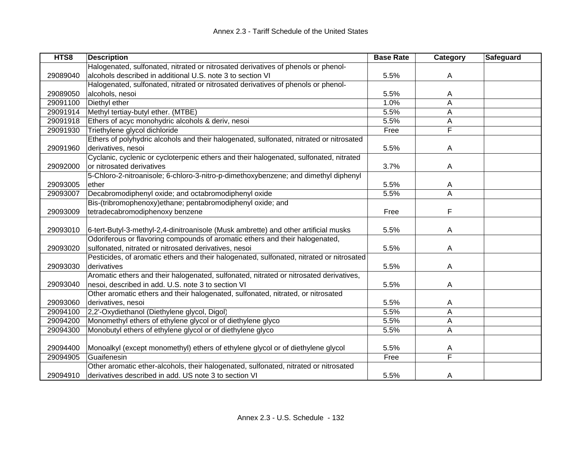| HTS8     | <b>Description</b>                                                                       | <b>Base Rate</b> | Category | <b>Safeguard</b> |
|----------|------------------------------------------------------------------------------------------|------------------|----------|------------------|
|          | Halogenated, sulfonated, nitrated or nitrosated derivatives of phenols or phenol-        |                  |          |                  |
| 29089040 | alcohols described in additional U.S. note 3 to section VI                               | 5.5%             | A        |                  |
|          | Halogenated, sulfonated, nitrated or nitrosated derivatives of phenols or phenol-        |                  |          |                  |
| 29089050 | alcohols, nesoi                                                                          | 5.5%             | A        |                  |
| 29091100 | Diethyl ether                                                                            | 1.0%             | A        |                  |
| 29091914 | Methyl tertiay-butyl ether. (MTBE)                                                       | 5.5%             | A        |                  |
| 29091918 | Ethers of acyc monohydric alcohols & deriv, nesoi                                        | 5.5%             | A        |                  |
| 29091930 | Triethylene glycol dichloride                                                            | Free             | F        |                  |
|          | Ethers of polyhydric alcohols and their halogenated, sulfonated, nitrated or nitrosated  |                  |          |                  |
| 29091960 | derivatives, nesoi                                                                       | 5.5%             | A        |                  |
|          | Cyclanic, cyclenic or cycloterpenic ethers and their halogenated, sulfonated, nitrated   |                  |          |                  |
| 29092000 | or nitrosated derivatives                                                                | 3.7%             | A        |                  |
|          | 5-Chloro-2-nitroanisole; 6-chloro-3-nitro-p-dimethoxybenzene; and dimethyl diphenyl      |                  |          |                  |
| 29093005 | ether                                                                                    | 5.5%             | A        |                  |
| 29093007 | Decabromodiphenyl oxide; and octabromodiphenyl oxide                                     | 5.5%             | A        |                  |
|          | Bis-(tribromophenoxy)ethane; pentabromodiphenyl oxide; and                               |                  |          |                  |
| 29093009 | tetradecabromodiphenoxy benzene                                                          | Free             | F        |                  |
|          |                                                                                          |                  |          |                  |
| 29093010 | 6-tert-Butyl-3-methyl-2,4-dinitroanisole (Musk ambrette) and other artificial musks      | 5.5%             | A        |                  |
|          | Odoriferous or flavoring compounds of aromatic ethers and their halogenated,             |                  |          |                  |
| 29093020 | sulfonated, nitrated or nitrosated derivatives, nesoi                                    | 5.5%             | A        |                  |
|          | Pesticides, of aromatic ethers and their halogenated, sulfonated, nitrated or nitrosated |                  |          |                  |
| 29093030 | derivatives                                                                              | 5.5%             | A        |                  |
|          | Aromatic ethers and their halogenated, sulfonated, nitrated or nitrosated derivatives,   |                  |          |                  |
| 29093040 | nesoi, described in add. U.S. note 3 to section VI                                       | 5.5%             | A        |                  |
|          | Other aromatic ethers and their halogenated, sulfonated, nitrated, or nitrosated         |                  |          |                  |
| 29093060 | derivatives, nesoi                                                                       | 5.5%             | A        |                  |
| 29094100 | 2,2'-Oxydiethanol (Diethylene glycol, Digol)                                             | 5.5%             | A        |                  |
| 29094200 | Monomethyl ethers of ethylene glycol or of diethylene glyco                              | 5.5%             | A        |                  |
| 29094300 | Monobutyl ethers of ethylene glycol or of diethylene glyco                               | 5.5%             | A        |                  |
|          |                                                                                          |                  |          |                  |
| 29094400 | Monoalkyl (except monomethyl) ethers of ethylene glycol or of diethylene glycol          | 5.5%             | A        |                  |
| 29094905 | Guaifenesin                                                                              | Free             | F        |                  |
|          | Other aromatic ether-alcohols, their halogenated, sulfonated, nitrated or nitrosated     |                  |          |                  |
| 29094910 | derivatives described in add. US note 3 to section VI                                    | 5.5%             | A        |                  |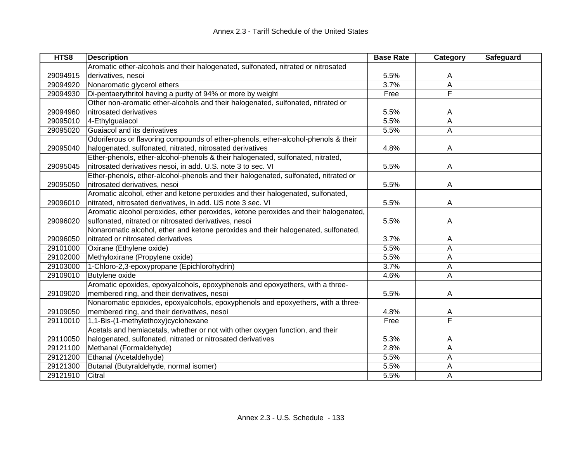| HTS8     | <b>Description</b>                                                                   | <b>Base Rate</b> | <b>Category</b>         | Safeguard |
|----------|--------------------------------------------------------------------------------------|------------------|-------------------------|-----------|
|          | Aromatic ether-alcohols and their halogenated, sulfonated, nitrated or nitrosated    |                  |                         |           |
| 29094915 | derivatives, nesoi                                                                   | 5.5%             | A                       |           |
| 29094920 | Nonaromatic glycerol ethers                                                          | 3.7%             | A                       |           |
| 29094930 | Di-pentaerythritol having a purity of 94% or more by weight                          | Free             | F                       |           |
|          | Other non-aromatic ether-alcohols and their halogenated, sulfonated, nitrated or     |                  |                         |           |
| 29094960 | nitrosated derivatives                                                               | 5.5%             | A                       |           |
| 29095010 | 4-Ethylguaiacol                                                                      | 5.5%             | A                       |           |
| 29095020 | Guaiacol and its derivatives                                                         | 5.5%             | A                       |           |
|          | Odoriferous or flavoring compounds of ether-phenols, ether-alcohol-phenols & their   |                  |                         |           |
| 29095040 | halogenated, sulfonated, nitrated, nitrosated derivatives                            | 4.8%             | A                       |           |
|          | Ether-phenols, ether-alcohol-phenols & their halogenated, sulfonated, nitrated,      |                  |                         |           |
| 29095045 | nitrosated derivatives nesoi, in add. U.S. note 3 to sec. VI                         | 5.5%             | Α                       |           |
|          | Ether-phenols, ether-alcohol-phenols and their halogenated, sulfonated, nitrated or  |                  |                         |           |
| 29095050 | nitrosated derivatives, nesoi                                                        | 5.5%             | Α                       |           |
|          | Aromatic alcohol, ether and ketone peroxides and their halogenated, sulfonated,      |                  |                         |           |
| 29096010 | nitrated, nitrosated derivatives, in add. US note 3 sec. VI                          | 5.5%             | Α                       |           |
|          | Aromatic alcohol peroxides, ether peroxides, ketone peroxides and their halogenated, |                  |                         |           |
| 29096020 | sulfonated, nitrated or nitrosated derivatives, nesoi                                | 5.5%             | A                       |           |
|          | Nonaromatic alcohol, ether and ketone peroxides and their halogenated, sulfonated,   |                  |                         |           |
| 29096050 | nitrated or nitrosated derivatives                                                   | 3.7%             | Α                       |           |
| 29101000 | Oxirane (Ethylene oxide)                                                             | 5.5%             | A                       |           |
| 29102000 | Methyloxirane (Propylene oxide)                                                      | 5.5%             | Α                       |           |
| 29103000 | 1-Chloro-2,3-epoxypropane (Epichlorohydrin)                                          | 3.7%             | Α                       |           |
| 29109010 | <b>Butylene oxide</b>                                                                | 4.6%             | Α                       |           |
|          | Aromatic epoxides, epoxyalcohols, epoxyphenols and epoxyethers, with a three-        |                  |                         |           |
| 29109020 | membered ring, and their derivatives, nesoi                                          | 5.5%             | Α                       |           |
|          | Nonaromatic epoxides, epoxyalcohols, epoxyphenols and epoxyethers, with a three-     |                  |                         |           |
| 29109050 | membered ring, and their derivatives, nesoi                                          | 4.8%             | A                       |           |
| 29110010 | 1,1-Bis-(1-methylethoxy)cyclohexane                                                  | Free             | $\overline{\mathsf{F}}$ |           |
|          | Acetals and hemiacetals, whether or not with other oxygen function, and their        |                  |                         |           |
| 29110050 | halogenated, sulfonated, nitrated or nitrosated derivatives                          | 5.3%             | A                       |           |
| 29121100 | Methanal (Formaldehyde)                                                              | 2.8%             | A                       |           |
| 29121200 | Ethanal (Acetaldehyde)                                                               | 5.5%             | A                       |           |
| 29121300 | Butanal (Butyraldehyde, normal isomer)                                               | 5.5%             | А                       |           |
| 29121910 | Citral                                                                               | 5.5%             | Α                       |           |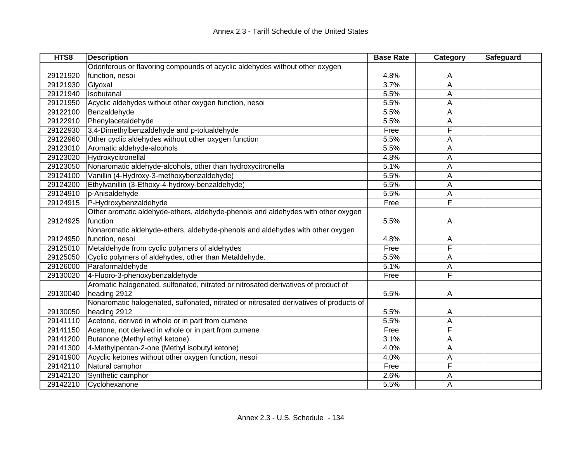| HTS8     | <b>Description</b>                                                                     | <b>Base Rate</b> | Category | Safeguard |
|----------|----------------------------------------------------------------------------------------|------------------|----------|-----------|
|          | Odoriferous or flavoring compounds of acyclic aldehydes without other oxygen           |                  |          |           |
| 29121920 | function, nesoi                                                                        | 4.8%             | A        |           |
| 29121930 | Glyoxal                                                                                | 3.7%             | A        |           |
| 29121940 | Isobutanal                                                                             | 5.5%             | Α        |           |
| 29121950 | Acyclic aldehydes without other oxygen function, nesoi                                 | 5.5%             | A        |           |
| 29122100 | Benzaldehyde                                                                           | 5.5%             | A        |           |
| 29122910 | Phenylacetaldehyde                                                                     | 5.5%             | A        |           |
| 29122930 | 3,4-Dimethylbenzaldehyde and p-tolualdehyde                                            | Free             | F        |           |
| 29122960 | Other cyclic aldehydes without other oxygen function                                   | 5.5%             | A        |           |
| 29123010 | Aromatic aldehyde-alcohols                                                             | 5.5%             | A        |           |
| 29123020 | Hydroxycitronellal                                                                     | 4.8%             | A        |           |
| 29123050 | Nonaromatic aldehyde-alcohols, other than hydroxycitronellal                           | 5.1%             | A        |           |
| 29124100 | Vanillin (4-Hydroxy-3-methoxybenzaldehyde)                                             | 5.5%             | A        |           |
| 29124200 | Ethylvanillin (3-Ethoxy-4-hydroxy-benzaldehyde)                                        | 5.5%             | A        |           |
| 29124910 | p-Anisaldehyde                                                                         | 5.5%             | A        |           |
| 29124915 | P-Hydroxybenzaldehyde                                                                  | Free             | F        |           |
|          | Other aromatic aldehyde-ethers, aldehyde-phenols and aldehydes with other oxygen       |                  |          |           |
| 29124925 | function                                                                               | 5.5%             | A        |           |
|          | Nonaromatic aldehyde-ethers, aldehyde-phenols and aldehydes with other oxygen          |                  |          |           |
| 29124950 | function, nesoi                                                                        | 4.8%             | A        |           |
| 29125010 | Metaldehyde from cyclic polymers of aldehydes                                          | Free             | F        |           |
| 29125050 | Cyclic polymers of aldehydes, other than Metaldehyde.                                  | 5.5%             | A        |           |
| 29126000 | Paraformaldehyde                                                                       | 5.1%             | A        |           |
| 29130020 | 4-Fluoro-3-phenoxybenzaldehyde                                                         | Free             | F        |           |
|          | Aromatic halogenated, sulfonated, nitrated or nitrosated derivatives of product of     |                  |          |           |
| 29130040 | heading 2912                                                                           | 5.5%             | A        |           |
|          | Nonaromatic halogenated, sulfonated, nitrated or nitrosated derivatives of products of |                  |          |           |
| 29130050 | heading 2912                                                                           | 5.5%             | A        |           |
| 29141110 | Acetone, derived in whole or in part from cumene                                       | 5.5%             | Α        |           |
| 29141150 | Acetone, not derived in whole or in part from cumene                                   | Free             | F        |           |
| 29141200 | Butanone (Methyl ethyl ketone)                                                         | 3.1%             | Α        |           |
| 29141300 | 4-Methylpentan-2-one (Methyl isobutyl ketone)                                          | 4.0%             | A        |           |
| 29141900 | Acyclic ketones without other oxygen function, nesoi                                   | 4.0%             | A        |           |
| 29142110 | Natural camphor                                                                        | Free             | F        |           |
| 29142120 | Synthetic camphor                                                                      | 2.6%             | A        |           |
| 29142210 | Cyclohexanone                                                                          | 5.5%             | A        |           |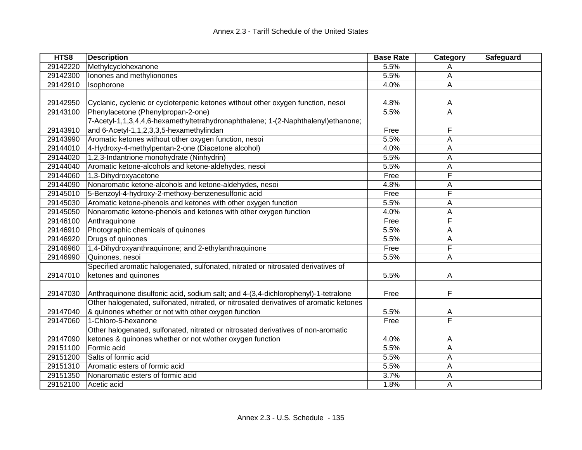| HTS8     | <b>Description</b>                                                                     | <b>Base Rate</b> | Category                | Safeguard |
|----------|----------------------------------------------------------------------------------------|------------------|-------------------------|-----------|
| 29142220 | Methylcyclohexanone                                                                    | 5.5%             | A                       |           |
| 29142300 | Ionones and methylionones                                                              | 5.5%             | А                       |           |
| 29142910 | Isophorone                                                                             | 4.0%             | A                       |           |
|          |                                                                                        |                  |                         |           |
| 29142950 | Cyclanic, cyclenic or cycloterpenic ketones without other oxygen function, nesoi       | 4.8%             | A                       |           |
| 29143100 | Phenylacetone (Phenylpropan-2-one)                                                     | 5.5%             | A                       |           |
|          | 7-Acetyl-1,1,3,4,4,6-hexamethyltetrahydronaphthalene; 1-(2-Naphthalenyl)ethanone;      |                  |                         |           |
| 29143910 | and 6-Acetyl-1,1,2,3,3,5-hexamethylindan                                               | Free             | F                       |           |
| 29143990 | Aromatic ketones without other oxygen function, nesoi                                  | 5.5%             | Α                       |           |
| 29144010 | 4-Hydroxy-4-methylpentan-2-one (Diacetone alcohol)                                     | 4.0%             | Α                       |           |
| 29144020 | 1,2,3-Indantrione monohydrate (Ninhydrin)                                              | 5.5%             | A                       |           |
| 29144040 | Aromatic ketone-alcohols and ketone-aldehydes, nesoi                                   | 5.5%             | А                       |           |
| 29144060 | 1,3-Dihydroxyacetone                                                                   | Free             | F                       |           |
| 29144090 | Nonaromatic ketone-alcohols and ketone-aldehydes, nesoi                                | 4.8%             | Α                       |           |
| 29145010 | 5-Benzoyl-4-hydroxy-2-methoxy-benzenesulfonic acid                                     | Free             | F                       |           |
| 29145030 | Aromatic ketone-phenols and ketones with other oxygen function                         | 5.5%             | A                       |           |
| 29145050 | Nonaromatic ketone-phenols and ketones with other oxygen function                      | 4.0%             | A                       |           |
| 29146100 | Anthraquinone                                                                          | Free             | F                       |           |
| 29146910 | Photographic chemicals of quinones                                                     | 5.5%             | Α                       |           |
| 29146920 | Drugs of quinones                                                                      | 5.5%             | А                       |           |
| 29146960 | 1,4-Dihydroxyanthraquinone; and 2-ethylanthraquinone                                   | Free             | F                       |           |
| 29146990 | Quinones, nesoi                                                                        | 5.5%             | A                       |           |
|          | Specified aromatic halogenated, sulfonated, nitrated or nitrosated derivatives of      |                  |                         |           |
| 29147010 | ketones and quinones                                                                   | 5.5%             | A                       |           |
|          |                                                                                        |                  |                         |           |
| 29147030 | Anthraquinone disulfonic acid, sodium salt; and 4-(3,4-dichlorophenyl)-1-tetralone     | Free             | F                       |           |
|          | Other halogenated, sulfonated, nitrated, or nitrosated derivatives of aromatic ketones |                  |                         |           |
| 29147040 | & quinones whether or not with other oxygen function                                   | 5.5%             | A                       |           |
| 29147060 | 1-Chloro-5-hexanone                                                                    | Free             | $\overline{\mathsf{F}}$ |           |
|          | Other halogenated, sulfonated, nitrated or nitrosated derivatives of non-aromatic      |                  |                         |           |
| 29147090 | ketones & quinones whether or not w/other oxygen function                              | 4.0%             | A                       |           |
| 29151100 | Formic acid                                                                            | 5.5%             | A                       |           |
| 29151200 | Salts of formic acid                                                                   | 5.5%             | A                       |           |
| 29151310 | Aromatic esters of formic acid                                                         | 5.5%             | Α                       |           |
| 29151350 | Nonaromatic esters of formic acid                                                      | 3.7%             | Α                       |           |
| 29152100 | Acetic acid                                                                            | 1.8%             | A                       |           |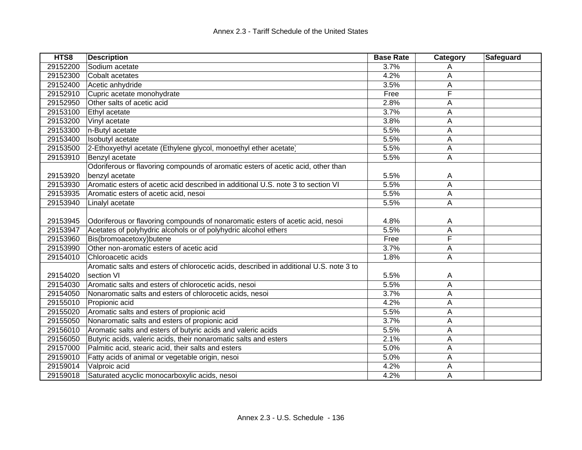| HTS8     | <b>Description</b>                                                                     | <b>Base Rate</b> | Category | Safeguard |
|----------|----------------------------------------------------------------------------------------|------------------|----------|-----------|
| 29152200 | Sodium acetate                                                                         | 3.7%             | A        |           |
| 29152300 | Cobalt acetates                                                                        | 4.2%             | Α        |           |
| 29152400 | Acetic anhydride                                                                       | 3.5%             | Α        |           |
| 29152910 | Cupric acetate monohydrate                                                             | Free             | F        |           |
| 29152950 | Other salts of acetic acid                                                             | 2.8%             | A        |           |
| 29153100 | Ethyl acetate                                                                          | 3.7%             | A        |           |
| 29153200 | Vinyl acetate                                                                          | 3.8%             | A        |           |
| 29153300 | n-Butyl acetate                                                                        | 5.5%             | A        |           |
| 29153400 | Isobutyl acetate                                                                       | 5.5%             | Α        |           |
| 29153500 | 2-Ethoxyethyl acetate (Ethylene glycol, monoethyl ether acetate)                       | 5.5%             | A        |           |
| 29153910 | Benzyl acetate                                                                         | 5.5%             | A        |           |
|          | Odoriferous or flavoring compounds of aromatic esters of acetic acid, other than       |                  |          |           |
| 29153920 | benzyl acetate                                                                         | 5.5%             | A        |           |
| 29153930 | Aromatic esters of acetic acid described in additional U.S. note 3 to section VI       | 5.5%             | A        |           |
| 29153935 | Aromatic esters of acetic acid, nesoi                                                  | 5.5%             | A        |           |
| 29153940 | Linalyl acetate                                                                        | 5.5%             | Α        |           |
|          |                                                                                        |                  |          |           |
| 29153945 | Odoriferous or flavoring compounds of nonaromatic esters of acetic acid, nesoi         | 4.8%             | A        |           |
| 29153947 | Acetates of polyhydric alcohols or of polyhydric alcohol ethers                        | 5.5%             | A        |           |
| 29153960 | Bis(bromoacetoxy)butene                                                                | Free             | F        |           |
| 29153990 | Other non-aromatic esters of acetic acid                                               | 3.7%             | A        |           |
| 29154010 | Chloroacetic acids                                                                     | 1.8%             | Α        |           |
|          | Aromatic salts and esters of chlorocetic acids, described in additional U.S. note 3 to |                  |          |           |
| 29154020 | section VI                                                                             | 5.5%             | A        |           |
| 29154030 | Aromatic salts and esters of chlorocetic acids, nesoi                                  | 5.5%             | Α        |           |
| 29154050 | Nonaromatic salts and esters of chlorocetic acids, nesoi                               | 3.7%             | Α        |           |
| 29155010 | Propionic acid                                                                         | 4.2%             | A        |           |
| 29155020 | Aromatic salts and esters of propionic acid                                            | 5.5%             | А        |           |
| 29155050 | Nonaromatic salts and esters of propionic acid                                         | 3.7%             | A        |           |
| 29156010 | Aromatic salts and esters of butyric acids and valeric acids                           | 5.5%             | A        |           |
| 29156050 | Butyric acids, valeric acids, their nonaromatic salts and esters                       | 2.1%             | А        |           |
| 29157000 | Palmitic acid, stearic acid, their salts and esters                                    | 5.0%             | A        |           |
| 29159010 | Fatty acids of animal or vegetable origin, nesoi                                       | 5.0%             | A        |           |
| 29159014 | Valproic acid                                                                          | 4.2%             | А        |           |
| 29159018 | Saturated acyclic monocarboxylic acids, nesoi                                          | 4.2%             | A        |           |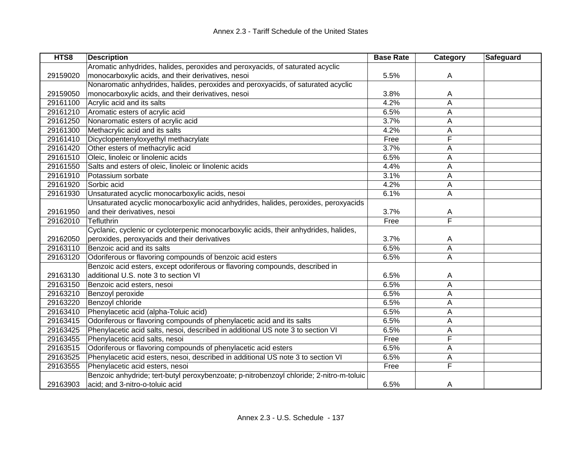| HTS8     | <b>Description</b>                                                                      | <b>Base Rate</b> | Category | Safeguard |
|----------|-----------------------------------------------------------------------------------------|------------------|----------|-----------|
|          | Aromatic anhydrides, halides, peroxides and peroxyacids, of saturated acyclic           |                  |          |           |
| 29159020 | monocarboxylic acids, and their derivatives, nesoi                                      | 5.5%             | Α        |           |
|          | Nonaromatic anhydrides, halides, peroxides and peroxyacids, of saturated acyclic        |                  |          |           |
| 29159050 | monocarboxylic acids, and their derivatives, nesoi                                      | 3.8%             | A        |           |
| 29161100 | Acrylic acid and its salts                                                              | 4.2%             | A        |           |
| 29161210 | Aromatic esters of acrylic acid                                                         | 6.5%             | Α        |           |
| 29161250 | Nonaromatic esters of acrylic acid                                                      | 3.7%             | Α        |           |
| 29161300 | Methacrylic acid and its salts                                                          | 4.2%             | А        |           |
| 29161410 | Dicyclopentenyloxyethyl methacrylate                                                    | Free             | F        |           |
| 29161420 | Other esters of methacrylic acid                                                        | 3.7%             | Α        |           |
| 29161510 | Oleic, linoleic or linolenic acids                                                      | 6.5%             | A        |           |
| 29161550 | Salts and esters of oleic, linoleic or linolenic acids                                  | 4.4%             | Α        |           |
| 29161910 | Potassium sorbate                                                                       | 3.1%             | Α        |           |
| 29161920 | Sorbic acid                                                                             | 4.2%             | Α        |           |
| 29161930 | Unsaturated acyclic monocarboxylic acids, nesoi                                         | 6.1%             | А        |           |
|          | Unsaturated acyclic monocarboxylic acid anhydrides, halides, peroxides, peroxyacids     |                  |          |           |
| 29161950 | and their derivatives, nesoi                                                            | 3.7%             | A        |           |
| 29162010 | Tefluthrin                                                                              | Free             | F        |           |
|          | Cyclanic, cyclenic or cycloterpenic monocarboxylic acids, their anhydrides, halides,    |                  |          |           |
| 29162050 | peroxides, peroxyacids and their derivatives                                            | 3.7%             | A        |           |
| 29163110 | Benzoic acid and its salts                                                              | 6.5%             | А        |           |
| 29163120 | Odoriferous or flavoring compounds of benzoic acid esters                               | 6.5%             | A        |           |
|          | Benzoic acid esters, except odoriferous or flavoring compounds, described in            |                  |          |           |
| 29163130 | additional U.S. note 3 to section VI                                                    | 6.5%             | A        |           |
| 29163150 | Benzoic acid esters, nesoi                                                              | 6.5%             | A        |           |
| 29163210 | Benzoyl peroxide                                                                        | 6.5%             | A        |           |
| 29163220 | Benzoyl chloride                                                                        | 6.5%             | Α        |           |
| 29163410 | Phenylacetic acid (alpha-Toluic acid)                                                   | 6.5%             | Α        |           |
| 29163415 | Odoriferous or flavoring compounds of phenylacetic acid and its salts                   | 6.5%             | Α        |           |
| 29163425 | Phenylacetic acid salts, nesoi, described in additional US note 3 to section VI         | 6.5%             | Α        |           |
| 29163455 | Phenylacetic acid salts, nesoi                                                          | Free             | F        |           |
| 29163515 | Odoriferous or flavoring compounds of phenylacetic acid esters                          | 6.5%             | Α        |           |
| 29163525 | Phenylacetic acid esters, nesoi, described in additional US note 3 to section VI        | 6.5%             | А        |           |
| 29163555 | Phenylacetic acid esters, nesoi                                                         | Free             | F        |           |
|          | Benzoic anhydride; tert-butyl peroxybenzoate; p-nitrobenzoyl chloride; 2-nitro-m-toluic |                  |          |           |
| 29163903 | acid; and 3-nitro-o-toluic acid                                                         | 6.5%             | A        |           |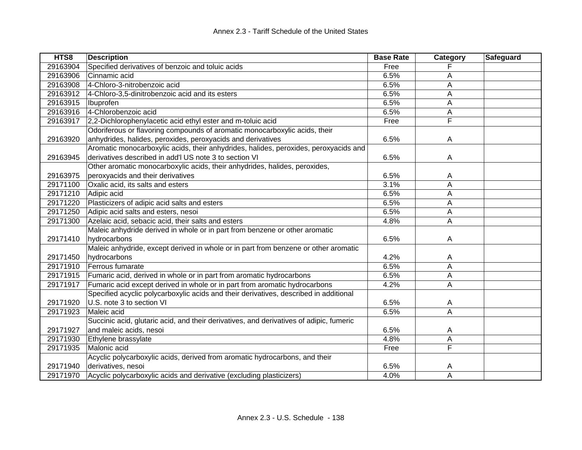| HTS8     | <b>Description</b>                                                                      | <b>Base Rate</b> | Category       | Safeguard |
|----------|-----------------------------------------------------------------------------------------|------------------|----------------|-----------|
| 29163904 | Specified derivatives of benzoic and toluic acids                                       | Free             |                |           |
| 29163906 | Cinnamic acid                                                                           | 6.5%             | A              |           |
| 29163908 | 4-Chloro-3-nitrobenzoic acid                                                            | 6.5%             | Α              |           |
| 29163912 | 4-Chloro-3,5-dinitrobenzoic acid and its esters                                         | 6.5%             | A              |           |
| 29163915 | Ibuprofen                                                                               | 6.5%             | A              |           |
| 29163916 | 4-Chlorobenzoic acid                                                                    | 6.5%             | A              |           |
| 29163917 | 2,2-Dichlorophenylacetic acid ethyl ester and m-toluic acid                             | Free             | F              |           |
|          | Odoriferous or flavoring compounds of aromatic monocarboxylic acids, their              |                  |                |           |
| 29163920 | anhydrides, halides, peroxides, peroxyacids and derivatives                             | 6.5%             | A              |           |
|          | Aromatic monocarboxylic acids, their anhydrides, halides, peroxides, peroxyacids and    |                  |                |           |
| 29163945 | derivatives described in add'l US note 3 to section VI                                  | 6.5%             | A              |           |
|          | Other aromatic monocarboxylic acids, their anhydrides, halides, peroxides,              |                  |                |           |
| 29163975 | peroxyacids and their derivatives                                                       | 6.5%             | A              |           |
| 29171100 | Oxalic acid, its salts and esters                                                       | 3.1%             | A              |           |
| 29171210 | Adipic acid                                                                             | 6.5%             | Α              |           |
| 29171220 | Plasticizers of adipic acid salts and esters                                            | 6.5%             | A              |           |
| 29171250 | Adipic acid salts and esters, nesoi                                                     | 6.5%             | A              |           |
| 29171300 | Azelaic acid, sebacic acid, their salts and esters                                      | 4.8%             | A              |           |
|          | Maleic anhydride derived in whole or in part from benzene or other aromatic             |                  |                |           |
| 29171410 | hydrocarbons                                                                            | 6.5%             | A              |           |
|          | Maleic anhydride, except derived in whole or in part from benzene or other aromatic     |                  |                |           |
| 29171450 | hydrocarbons                                                                            | 4.2%             | Α              |           |
| 29171910 | Ferrous fumarate                                                                        | 6.5%             | A              |           |
| 29171915 | Fumaric acid, derived in whole or in part from aromatic hydrocarbons                    | 6.5%             | A              |           |
| 29171917 | Fumaric acid except derived in whole or in part from aromatic hydrocarbons              | 4.2%             | A              |           |
|          | Specified acyclic polycarboxylic acids and their derivatives, described in additional   |                  |                |           |
| 29171920 | U.S. note 3 to section VI                                                               | 6.5%             | A              |           |
| 29171923 | Maleic acid                                                                             | 6.5%             | $\overline{A}$ |           |
|          | Succinic acid, glutaric acid, and their derivatives, and derivatives of adipic, fumeric |                  |                |           |
| 29171927 | and maleic acids, nesoi                                                                 | 6.5%             | A              |           |
| 29171930 | Ethylene brassylate                                                                     | 4.8%             | A              |           |
| 29171935 | Malonic acid                                                                            | Free             | F              |           |
|          | Acyclic polycarboxylic acids, derived from aromatic hydrocarbons, and their             |                  |                |           |
| 29171940 | derivatives, nesoi                                                                      | 6.5%             | A              |           |
| 29171970 | Acyclic polycarboxylic acids and derivative (excluding plasticizers)                    | 4.0%             | A              |           |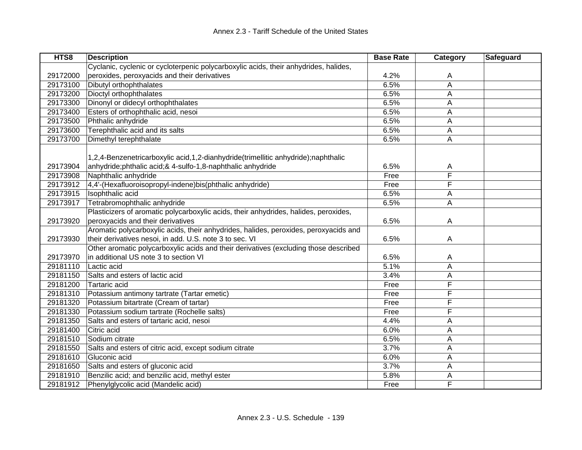| HTS8     | <b>Description</b>                                                                                                                                 | <b>Base Rate</b> | Category | Safeguard |
|----------|----------------------------------------------------------------------------------------------------------------------------------------------------|------------------|----------|-----------|
|          | Cyclanic, cyclenic or cycloterpenic polycarboxylic acids, their anhydrides, halides,                                                               |                  |          |           |
| 29172000 | peroxides, peroxyacids and their derivatives                                                                                                       | 4.2%             | A        |           |
| 29173100 | Dibutyl orthophthalates                                                                                                                            | 6.5%             | A        |           |
| 29173200 | Dioctyl orthophthalates                                                                                                                            | 6.5%             | Α        |           |
| 29173300 | Dinonyl or didecyl orthophthalates                                                                                                                 | 6.5%             | А        |           |
| 29173400 | Esters of orthophthalic acid, nesoi                                                                                                                | 6.5%             | A        |           |
| 29173500 | Phthalic anhydride                                                                                                                                 | 6.5%             | A        |           |
| 29173600 | Terephthalic acid and its salts                                                                                                                    | 6.5%             | Α        |           |
| 29173700 | Dimethyl terephthalate                                                                                                                             | 6.5%             | Α        |           |
| 29173904 | 1,2,4-Benzenetricarboxylic acid,1,2-dianhydride(trimellitic anhydride);naphthalic<br>anhydride; phthalic acid; & 4-sulfo-1, 8-naphthalic anhydride | 6.5%             | A        |           |
| 29173908 | Naphthalic anhydride                                                                                                                               | Free             | F        |           |
| 29173912 | 4,4'-(Hexafluoroisopropyl-indene)bis(phthalic anhydride)                                                                                           | Free             | F        |           |
| 29173915 | Isophthalic acid                                                                                                                                   | 6.5%             | A        |           |
| 29173917 | Tetrabromophthalic anhydride                                                                                                                       | 6.5%             | A        |           |
| 29173920 | Plasticizers of aromatic polycarboxylic acids, their anhydrides, halides, peroxides,<br>peroxyacids and their derivatives                          | 6.5%             | A        |           |
| 29173930 | Aromatic polycarboxylic acids, their anhydrides, halides, peroxides, peroxyacids and<br>their derivatives nesoi, in add. U.S. note 3 to sec. VI    | 6.5%             | A        |           |
| 29173970 | Other aromatic polycarboxylic acids and their derivatives (excluding those described<br>in additional US note 3 to section VI                      | 6.5%             | A        |           |
| 29181110 | Lactic acid                                                                                                                                        | 5.1%             | Α        |           |
| 29181150 | Salts and esters of lactic acid                                                                                                                    | 3.4%             | А        |           |
| 29181200 | Tartaric acid                                                                                                                                      | Free             | F        |           |
| 29181310 | Potassium antimony tartrate (Tartar emetic)                                                                                                        | Free             | F        |           |
| 29181320 | Potassium bitartrate (Cream of tartar)                                                                                                             | Free             | F        |           |
| 29181330 | Potassium sodium tartrate (Rochelle salts)                                                                                                         | Free             | F        |           |
| 29181350 | Salts and esters of tartaric acid, nesoi                                                                                                           | 4.4%             | Α        |           |
| 29181400 | Citric acid                                                                                                                                        | 6.0%             | A        |           |
| 29181510 | Sodium citrate                                                                                                                                     | 6.5%             | Α        |           |
| 29181550 | Salts and esters of citric acid, except sodium citrate                                                                                             | 3.7%             | Α        |           |
| 29181610 | Gluconic acid                                                                                                                                      | 6.0%             | Α        |           |
| 29181650 | Salts and esters of gluconic acid                                                                                                                  | 3.7%             | Α        |           |
| 29181910 | Benzilic acid; and benzilic acid, methyl ester                                                                                                     | 5.8%             | Α        |           |
| 29181912 | Phenylglycolic acid (Mandelic acid)                                                                                                                | Free             | F        |           |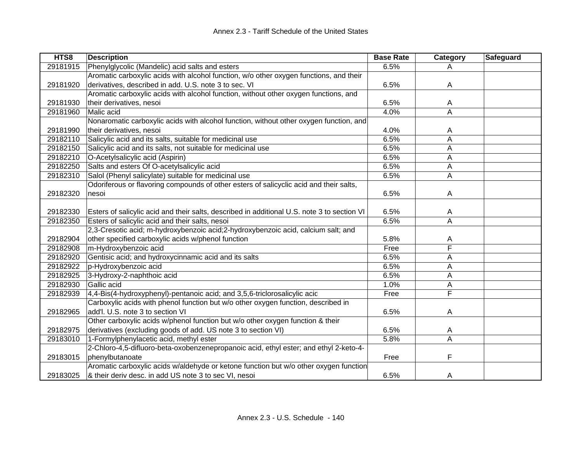| HTS8     | <b>Description</b>                                                                          | <b>Base Rate</b> | Category | <b>Safeguard</b> |
|----------|---------------------------------------------------------------------------------------------|------------------|----------|------------------|
| 29181915 | Phenylglycolic (Mandelic) acid salts and esters                                             | 6.5%             | A        |                  |
|          | Aromatic carboxylic acids with alcohol function, w/o other oxygen functions, and their      |                  |          |                  |
| 29181920 | derivatives, described in add. U.S. note 3 to sec. VI                                       | 6.5%             | A        |                  |
|          | Aromatic carboxylic acids with alcohol function, without other oxygen functions, and        |                  |          |                  |
| 29181930 | their derivatives, nesoi                                                                    | 6.5%             | A        |                  |
| 29181960 | Malic acid                                                                                  | 4.0%             | A        |                  |
|          | Nonaromatic carboxylic acids with alcohol function, without other oxygen function, and      |                  |          |                  |
| 29181990 | their derivatives, nesoi                                                                    | 4.0%             | A        |                  |
| 29182110 | Salicylic acid and its salts, suitable for medicinal use                                    | 6.5%             | A        |                  |
| 29182150 | Salicylic acid and its salts, not suitable for medicinal use                                | 6.5%             | A        |                  |
| 29182210 | O-Acetylsalicylic acid (Aspirin)                                                            | 6.5%             | A        |                  |
| 29182250 | Salts and esters Of O-acetylsalicylic acid                                                  | 6.5%             | A        |                  |
| 29182310 | Salol (Phenyl salicylate) suitable for medicinal use                                        | 6.5%             | Α        |                  |
|          | Odoriferous or flavoring compounds of other esters of salicyclic acid and their salts,      |                  |          |                  |
| 29182320 | nesoi                                                                                       | 6.5%             | A        |                  |
|          |                                                                                             |                  |          |                  |
| 29182330 | Esters of salicylic acid and their salts, described in additional U.S. note 3 to section VI | 6.5%             | A        |                  |
| 29182350 | Esters of salicylic acid and their salts, nesoi                                             | 6.5%             | A        |                  |
|          | 2,3-Cresotic acid; m-hydroxybenzoic acid; 2-hydroxybenzoic acid, calcium salt; and          |                  |          |                  |
| 29182904 | other specified carboxylic acids w/phenol function                                          | 5.8%             | A        |                  |
| 29182908 | m-Hydroxybenzoic acid                                                                       | Free             | F        |                  |
| 29182920 | Gentisic acid; and hydroxycinnamic acid and its salts                                       | 6.5%             | A        |                  |
| 29182922 | p-Hydroxybenzoic acid                                                                       | 6.5%             | Α        |                  |
| 29182925 | 3-Hydroxy-2-naphthoic acid                                                                  | 6.5%             | A        |                  |
| 29182930 | Gallic acid                                                                                 | 1.0%             | A        |                  |
| 29182939 | 4,4-Bis(4-hydroxyphenyl)-pentanoic acid; and 3,5,6-triclorosalicylic acid                   | Free             | F        |                  |
|          | Carboxylic acids with phenol function but w/o other oxygen function, described in           |                  |          |                  |
| 29182965 | add'l. U.S. note 3 to section VI                                                            | 6.5%             | A        |                  |
|          | Other carboxylic acids w/phenol function but w/o other oxygen function & their              |                  |          |                  |
| 29182975 | derivatives (excluding goods of add. US note 3 to section VI)                               | 6.5%             | A        |                  |
| 29183010 | 1-Formylphenylacetic acid, methyl ester                                                     | 5.8%             | A        |                  |
|          | 2-Chloro-4,5-difluoro-beta-oxobenzenepropanoic acid, ethyl ester; and ethyl 2-keto-4-       |                  |          |                  |
| 29183015 | phenylbutanoate                                                                             | Free             | F        |                  |
|          | Aromatic carboxylic acids w/aldehyde or ketone function but w/o other oxygen function       |                  |          |                  |
| 29183025 | & their deriv desc. in add US note 3 to sec VI, nesoi                                       | 6.5%             | A        |                  |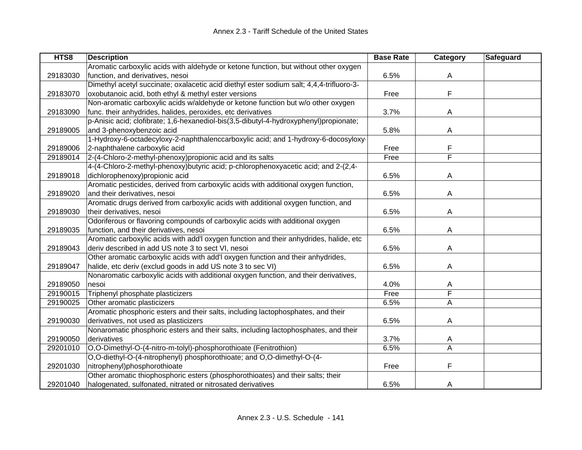| HTS8     | <b>Description</b>                                                                       | <b>Base Rate</b> | Category | Safeguard |
|----------|------------------------------------------------------------------------------------------|------------------|----------|-----------|
|          | Aromatic carboxylic acids with aldehyde or ketone function, but without other oxygen     |                  |          |           |
| 29183030 | function, and derivatives, nesoi                                                         | 6.5%             | A        |           |
|          | Dimethyl acetyl succinate; oxalacetic acid diethyl ester sodium salt; 4,4,4-trifluoro-3- |                  |          |           |
| 29183070 | oxobutanoic acid, both ethyl & methyl ester versions                                     | Free             | F        |           |
|          | Non-aromatic carboxylic acids w/aldehyde or ketone function but w/o other oxygen         |                  |          |           |
| 29183090 | func. their anhydrides, halides, peroxides, etc derivatives                              | 3.7%             | A        |           |
|          | p-Anisic acid; clofibrate; 1,6-hexanediol-bis(3,5-dibutyl-4-hydroxyphenyl)propionate;    |                  |          |           |
| 29189005 | and 3-phenoxybenzoic acid                                                                | 5.8%             | A        |           |
|          | 1-Hydroxy-6-octadecyloxy-2-naphthalenccarboxylic acid; and 1-hydroxy-6-docosyloxy-       |                  |          |           |
| 29189006 | 2-naphthalene carboxylic acid                                                            | Free             | F        |           |
| 29189014 | 2-(4-Chloro-2-methyl-phenoxy) propionic acid and its salts                               | Free             | F        |           |
|          | 4-(4-Chloro-2-methyl-phenoxy)butyric acid; p-chlorophenoxyacetic acid; and 2-(2,4-       |                  |          |           |
| 29189018 | dichlorophenoxy) propionic acid                                                          | 6.5%             | A        |           |
|          | Aromatic pesticides, derived from carboxylic acids with additional oxygen function,      |                  |          |           |
| 29189020 | and their derivatives, nesoi                                                             | 6.5%             | A        |           |
|          | Aromatic drugs derived from carboxylic acids with additional oxygen function, and        |                  |          |           |
| 29189030 | their derivatives, nesoi                                                                 | 6.5%             | A        |           |
|          | Odoriferous or flavoring compounds of carboxylic acids with additional oxygen            |                  |          |           |
| 29189035 | function, and their derivatives, nesoi                                                   | 6.5%             | A        |           |
|          | Aromatic carboxylic acids with add'l oxygen function and their anhydrides, halide, etc   |                  |          |           |
| 29189043 | deriv described in add US note 3 to sect VI, nesoi                                       | 6.5%             | Α        |           |
|          | Other aromatic carboxylic acids with add'l oxygen function and their anhydrides,         |                  |          |           |
| 29189047 | halide, etc deriv (exclud goods in add US note 3 to sec VI)                              | 6.5%             | Α        |           |
|          | Nonaromatic carboxylic acids with additional oxygen function, and their derivatives,     |                  |          |           |
| 29189050 | nesoi                                                                                    | 4.0%             | A        |           |
| 29190015 | Triphenyl phosphate plasticizers                                                         | Free             | F        |           |
| 29190025 | Other aromatic plasticizers                                                              | 6.5%             | Α        |           |
|          | Aromatic phosphoric esters and their salts, including lactophosphates, and their         |                  |          |           |
| 29190030 | derivatives, not used as plasticizers                                                    | 6.5%             | A        |           |
|          | Nonaromatic phosphoric esters and their salts, including lactophosphates, and their      |                  |          |           |
| 29190050 | derivatives                                                                              | 3.7%             | A        |           |
| 29201010 | O,O-Dimethyl-O-(4-nitro-m-tolyl)-phosphorothioate (Fenitrothion)                         | 6.5%             | A        |           |
|          | O,O-diethyl-O-(4-nitrophenyl) phosphorothioate; and O,O-dimethyl-O-(4-                   |                  |          |           |
| 29201030 | nitrophenyl)phosphorothioate                                                             | Free             | F        |           |
|          | Other aromatic thiophosphoric esters (phosphorothioates) and their salts; their          |                  |          |           |
| 29201040 | halogenated, sulfonated, nitrated or nitrosated derivatives                              | 6.5%             | A        |           |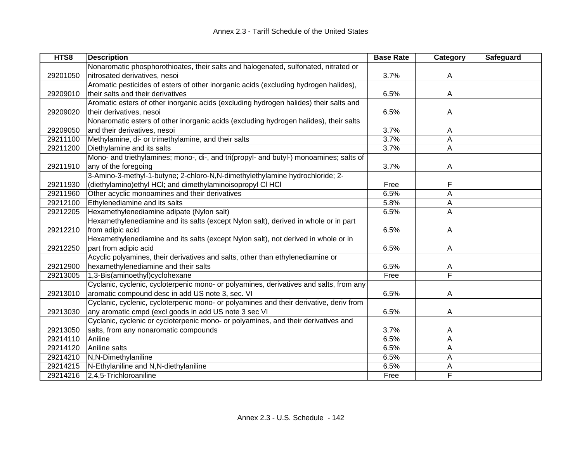| HTS8     | <b>Description</b>                                                                     | <b>Base Rate</b> | Category | <b>Safeguard</b> |
|----------|----------------------------------------------------------------------------------------|------------------|----------|------------------|
|          | Nonaromatic phosphorothioates, their salts and halogenated, sulfonated, nitrated or    |                  |          |                  |
| 29201050 | nitrosated derivatives, nesoi                                                          | 3.7%             | A        |                  |
|          | Aromatic pesticides of esters of other inorganic acids (excluding hydrogen halides),   |                  |          |                  |
| 29209010 | their salts and their derivatives                                                      | 6.5%             | A        |                  |
|          | Aromatic esters of other inorganic acids (excluding hydrogen halides) their salts and  |                  |          |                  |
| 29209020 | their derivatives, nesoi                                                               | 6.5%             | A        |                  |
|          | Nonaromatic esters of other inorganic acids (excluding hydrogen halides), their salts  |                  |          |                  |
| 29209050 | and their derivatives, nesoi                                                           | 3.7%             | A        |                  |
| 29211100 | Methylamine, di- or trimethylamine, and their salts                                    | 3.7%             | Α        |                  |
| 29211200 | Diethylamine and its salts                                                             | 3.7%             | A        |                  |
|          | Mono- and triethylamines; mono-, di-, and tri(propyl- and butyl-) monoamines; salts of |                  |          |                  |
| 29211910 | any of the foregoing                                                                   | 3.7%             | A        |                  |
|          | 3-Amino-3-methyl-1-butyne; 2-chloro-N,N-dimethylethylamine hydrochloride; 2-           |                  |          |                  |
| 29211930 | (diethylamino) ethyl HCI; and dimethylaminoisopropyl CI HCI                            | Free             | F        |                  |
| 29211960 | Other acyclic monoamines and their derivatives                                         | 6.5%             | A        |                  |
| 29212100 | Ethylenediamine and its salts                                                          | 5.8%             | A        |                  |
| 29212205 | Hexamethylenediamine adipate (Nylon salt)                                              | 6.5%             | A        |                  |
|          | Hexamethylenediamine and its salts (except Nylon salt), derived in whole or in part    |                  |          |                  |
| 29212210 | from adipic acid                                                                       | 6.5%             | A        |                  |
|          | Hexamethylenediamine and its salts (except Nylon salt), not derived in whole or in     |                  |          |                  |
| 29212250 | part from adipic acid                                                                  | 6.5%             | A        |                  |
|          | Acyclic polyamines, their derivatives and salts, other than ethylenediamine or         |                  |          |                  |
| 29212900 | hexamethylenediamine and their salts                                                   | 6.5%             | A        |                  |
| 29213005 | 1,3-Bis(aminoethyl)cyclohexane                                                         | Free             | F        |                  |
|          | Cyclanic, cyclenic, cycloterpenic mono- or polyamines, derivatives and salts, from any |                  |          |                  |
| 29213010 | aromatic compound desc in add US note 3, sec. VI                                       | 6.5%             | Α        |                  |
|          | Cyclanic, cyclenic, cycloterpenic mono- or polyamines and their derivative, deriv from |                  |          |                  |
| 29213030 | any aromatic cmpd (excl goods in add US note 3 sec VI                                  | 6.5%             | A        |                  |
|          | Cyclanic, cyclenic or cycloterpenic mono- or polyamines, and their derivatives and     |                  |          |                  |
| 29213050 | salts, from any nonaromatic compounds                                                  | 3.7%             | A        |                  |
| 29214110 | Aniline                                                                                | 6.5%             | A        |                  |
| 29214120 | Aniline salts                                                                          | 6.5%             | A        |                  |
| 29214210 | N,N-Dimethylaniline                                                                    | 6.5%             | A        |                  |
| 29214215 | N-Ethylaniline and N,N-diethylaniline                                                  | 6.5%             | A        |                  |
| 29214216 | 2,4,5-Trichloroaniline                                                                 | Free             | F        |                  |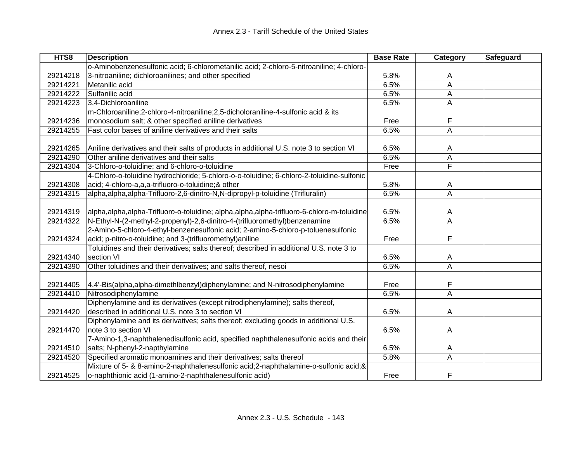| HTS8     | <b>Description</b>                                                                            | <b>Base Rate</b> | Category                | <b>Safeguard</b> |
|----------|-----------------------------------------------------------------------------------------------|------------------|-------------------------|------------------|
|          | o-Aminobenzenesulfonic acid; 6-chlorometanilic acid; 2-chloro-5-nitroaniline; 4-chloro-       |                  |                         |                  |
| 29214218 | 3-nitroaniline; dichloroanilines; and other specified                                         | 5.8%             | A                       |                  |
| 29214221 | Metanilic acid                                                                                | 6.5%             | A                       |                  |
| 29214222 | Sulfanilic acid                                                                               | 6.5%             | A                       |                  |
| 29214223 | 3,4-Dichloroaniline                                                                           | 6.5%             | A                       |                  |
|          | m-Chloroaniline;2-chloro-4-nitroaniline;2,5-dicholoraniline-4-sulfonic acid & its             |                  |                         |                  |
| 29214236 | monosodium salt; & other specified aniline derivatives                                        | Free             | F                       |                  |
| 29214255 | Fast color bases of aniline derivatives and their salts                                       | 6.5%             | $\overline{A}$          |                  |
|          |                                                                                               |                  |                         |                  |
| 29214265 | Aniline derivatives and their salts of products in additional U.S. note 3 to section VI       | 6.5%             | A                       |                  |
| 29214290 | Other aniline derivatives and their salts                                                     | 6.5%             | $\overline{A}$          |                  |
| 29214304 | 3-Chloro-o-toluidine; and 6-chloro-o-toluidine                                                | Free             | $\overline{\mathsf{F}}$ |                  |
|          | 4-Chloro-o-toluidine hydrochloride; 5-chloro-o-o-toluidine; 6-chloro-2-toluidine-sulfonic     |                  |                         |                  |
| 29214308 | acid; 4-chloro-a,a,a-trifluoro-o-toluidine;& other                                            | 5.8%             | A                       |                  |
| 29214315 | alpha, alpha, alpha-Trifluoro-2, 6-dinitro-N, N-dipropyl-p-toluidine (Trifluralin)            | 6.5%             | $\overline{A}$          |                  |
|          |                                                                                               |                  |                         |                  |
| 29214319 | alpha, alpha, alpha-Trifluoro-o-toluidine; alpha, alpha, alpha-trifluoro-6-chloro-m-toluidine | 6.5%             | A                       |                  |
| 29214322 | N-Ethyl-N-(2-methyl-2-propenyl)-2,6-dinitro-4-(trifluoromethyl)benzenamine                    | 6.5%             | $\overline{A}$          |                  |
|          | 2-Amino-5-chloro-4-ethyl-benzenesulfonic acid; 2-amino-5-chloro-p-toluenesulfonic             |                  |                         |                  |
| 29214324 | acid; p-nitro-o-toluidine; and 3-(trifluoromethyl) aniline                                    | Free             | F                       |                  |
|          | Toluidines and their derivatives; salts thereof; described in additional U.S. note 3 to       |                  |                         |                  |
| 29214340 | section VI                                                                                    | 6.5%             | Α                       |                  |
| 29214390 | Other toluidines and their derivatives; and salts thereof, nesoi                              | 6.5%             | A                       |                  |
|          |                                                                                               |                  |                         |                  |
| 29214405 | 4,4'-Bis(alpha,alpha-dimethlbenzyl)diphenylamine; and N-nitrosodiphenylamine                  | Free             | F                       |                  |
| 29214410 | Nitrosodiphenylamine                                                                          | 6.5%             | A                       |                  |
|          | Diphenylamine and its derivatives (except nitrodiphenylamine); salts thereof,                 |                  |                         |                  |
| 29214420 | described in additional U.S. note 3 to section VI                                             | 6.5%             | A                       |                  |
|          | Diphenylamine and its derivatives; salts thereof; excluding goods in additional U.S.          |                  |                         |                  |
| 29214470 | note 3 to section VI                                                                          | 6.5%             | A                       |                  |
|          | 7-Amino-1,3-naphthalenedisulfonic acid, specified naphthalenesulfonic acids and their         |                  |                         |                  |
| 29214510 | salts; N-phenyl-2-napthylamine                                                                | 6.5%             | A                       |                  |
| 29214520 | Specified aromatic monoamines and their derivatives; salts thereof                            | 5.8%             | $\overline{A}$          |                  |
|          | Mixture of 5- & 8-amino-2-naphthalenesulfonic acid; 2-naphthalamine-o-sulfonic acid; &        |                  |                         |                  |
| 29214525 | o-naphthionic acid (1-amino-2-naphthalenesulfonic acid)                                       | Free             | F                       |                  |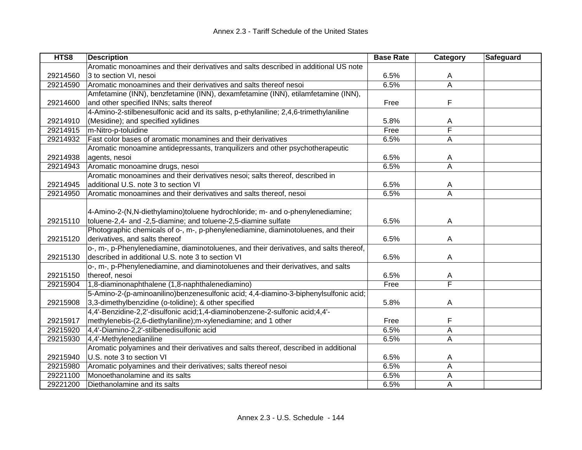| HTS8     | <b>Description</b>                                                                     | <b>Base Rate</b> | Category                | Safeguard |
|----------|----------------------------------------------------------------------------------------|------------------|-------------------------|-----------|
|          | Aromatic monoamines and their derivatives and salts described in additional US note    |                  |                         |           |
| 29214560 | 3 to section VI, nesoi                                                                 | 6.5%             | A                       |           |
| 29214590 | Aromatic monoamines and their derivatives and salts thereof nesoi                      | 6.5%             | $\overline{\mathsf{A}}$ |           |
|          | Amfetamine (INN), benzfetamine (INN), dexamfetamine (INN), etilamfetamine (INN),       |                  |                         |           |
| 29214600 | and other specified INNs; salts thereof                                                | Free             | F                       |           |
|          | 4-Amino-2-stilbenesulfonic acid and its salts, p-ethylaniline; 2,4,6-trimethylaniline  |                  |                         |           |
| 29214910 | (Mesidine); and specified xylidines                                                    | 5.8%             | Α                       |           |
| 29214915 | m-Nitro-p-toluidine                                                                    | Free             | F                       |           |
| 29214932 | Fast color bases of aromatic monamines and their derivatives                           | 6.5%             | A                       |           |
|          | Aromatic monoamine antidepressants, tranquilizers and other psychotherapeutic          |                  |                         |           |
| 29214938 | agents, nesoi                                                                          | 6.5%             | A                       |           |
| 29214943 | Aromatic monoamine drugs, nesoi                                                        | 6.5%             | A                       |           |
|          | Aromatic monoamines and their derivatives nesoi; salts thereof, described in           |                  |                         |           |
| 29214945 | additional U.S. note 3 to section VI                                                   | 6.5%             | A                       |           |
| 29214950 | Aromatic monoamines and their derivatives and salts thereof, nesoi                     | 6.5%             | A                       |           |
|          |                                                                                        |                  |                         |           |
|          | 4-Amino-2-(N,N-diethylamino)toluene hydrochloride; m- and o-phenylenediamine;          |                  |                         |           |
| 29215110 | toluene-2,4- and -2,5-diamine; and toluene-2,5-diamine sulfate                         | 6.5%             | A                       |           |
|          | Photographic chemicals of o-, m-, p-phenylenediamine, diaminotoluenes, and their       |                  |                         |           |
| 29215120 | derivatives, and salts thereof                                                         | 6.5%             | A                       |           |
|          | o-, m-, p-Phenylenediamine, diaminotoluenes, and their derivatives, and salts thereof, |                  |                         |           |
| 29215130 | described in additional U.S. note 3 to section VI                                      | 6.5%             | A                       |           |
|          | o-, m-, p-Phenylenediamine, and diaminotoluenes and their derivatives, and salts       |                  |                         |           |
| 29215150 | thereof, nesoi                                                                         | 6.5%             | A                       |           |
| 29215904 | 1,8-diaminonaphthalene (1,8-naphthalenediamino)                                        | Free             | $\overline{\mathsf{F}}$ |           |
|          | 5-Amino-2-(p-aminoanilino)benzenesulfonic acid; 4,4-diamino-3-biphenylsulfonic acid;   |                  |                         |           |
| 29215908 | 3,3-dimethylbenzidine (o-tolidine); & other specified                                  | 5.8%             | A                       |           |
|          | 4,4'-Benzidine-2,2'-disulfonic acid;1,4-diaminobenzene-2-sulfonic acid;4,4'-           |                  |                         |           |
| 29215917 | methylenebis-(2,6-diethylaniline); m-xylenediamine; and 1 other                        | Free             | F                       |           |
| 29215920 | 4,4'-Diamino-2,2'-stilbenedisulfonic acid                                              | 6.5%             | Α                       |           |
| 29215930 | 4,4'-Methylenedianiline                                                                | 6.5%             | Α                       |           |
|          | Aromatic polyamines and their derivatives and salts thereof, described in additional   |                  |                         |           |
| 29215940 | U.S. note 3 to section VI                                                              | 6.5%             | A                       |           |
| 29215980 | Aromatic polyamines and their derivatives; salts thereof nesoi                         | 6.5%             | Α                       |           |
| 29221100 | Monoethanolamine and its salts                                                         | 6.5%             | Α                       |           |
| 29221200 | Diethanolamine and its salts                                                           | 6.5%             | Α                       |           |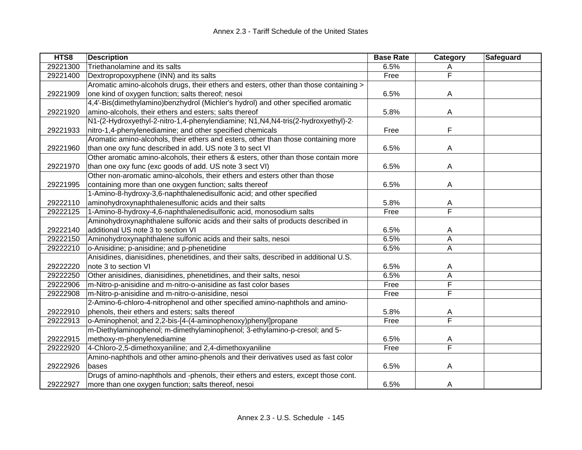| HTS8     | <b>Description</b>                                                                    | <b>Base Rate</b> | Category                | Safeguard |
|----------|---------------------------------------------------------------------------------------|------------------|-------------------------|-----------|
| 29221300 | Triethanolamine and its salts                                                         | 6.5%             | Α                       |           |
| 29221400 | Dextropropoxyphene (INN) and its salts                                                | Free             | $\overline{\mathsf{F}}$ |           |
|          | Aromatic amino-alcohols drugs, their ethers and esters, other than those containing > |                  |                         |           |
| 29221909 | one kind of oxygen function; salts thereof; nesoi                                     | 6.5%             | A                       |           |
|          | 4,4'-Bis(dimethylamino)benzhydrol (Michler's hydrol) and other specified aromatic     |                  |                         |           |
| 29221920 | amino-alcohols, their ethers and esters; salts thereof                                | 5.8%             | A                       |           |
|          | N1-(2-Hydroxyethyl-2-nitro-1,4-phenylendiamine; N1, N4, N4-tris(2-hydroxyethyl)-2-    |                  |                         |           |
| 29221933 | nitro-1,4-phenylenediamine; and other specified chemicals                             | Free             | F                       |           |
|          | Aromatic amino-alcohols, their ethers and esters, other than those containing more    |                  |                         |           |
| 29221960 | than one oxy func described in add. US note 3 to sect VI                              | 6.5%             | A                       |           |
|          | Other aromatic amino-alcohols, their ethers & esters, other than those contain more   |                  |                         |           |
| 29221970 | than one oxy func (exc goods of add. US note 3 sect VI)                               | 6.5%             | A                       |           |
|          | Other non-aromatic amino-alcohols, their ethers and esters other than those           |                  |                         |           |
| 29221995 | containing more than one oxygen function; salts thereof                               | 6.5%             | A                       |           |
|          | 1-Amino-8-hydroxy-3,6-naphthalenedisulfonic acid; and other specified                 |                  |                         |           |
| 29222110 | aminohydroxynaphthalenesulfonic acids and their salts                                 | 5.8%             | A                       |           |
| 29222125 | 1-Amino-8-hydroxy-4,6-naphthalenedisulfonic acid, monosodium salts                    | Free             | Ē                       |           |
|          | Aminohydroxynaphthalene sulfonic acids and their salts of products described in       |                  |                         |           |
| 29222140 | additional US note 3 to section VI                                                    | 6.5%             | A                       |           |
| 29222150 | Aminohydroxynaphthalene sulfonic acids and their salts, nesoi                         | 6.5%             | Α                       |           |
| 29222210 | o-Anisidine; p-anisidine; and p-phenetidine                                           | 6.5%             | A                       |           |
|          | Anisidines, dianisidines, phenetidines, and their salts, described in additional U.S. |                  |                         |           |
| 29222220 | note 3 to section VI                                                                  | 6.5%             | Α                       |           |
| 29222250 | Other anisidines, dianisidines, phenetidines, and their salts, nesoi                  | 6.5%             | A                       |           |
| 29222906 | m-Nitro-p-anisidine and m-nitro-o-anisidine as fast color bases                       | Free             | F                       |           |
| 29222908 | m-Nitro-p-anisidine and m-nitro-o-anisidine, nesoi                                    | Free             | F                       |           |
|          | 2-Amino-6-chloro-4-nitrophenol and other specified amino-naphthols and amino-         |                  |                         |           |
| 29222910 | phenols, their ethers and esters; salts thereof                                       | 5.8%             | A                       |           |
| 29222913 | o-Aminophenol; and 2,2-bis-[4-(4-aminophenoxy)phenyl]propane                          | Free             | $\overline{\mathsf{F}}$ |           |
|          | m-Diethylaminophenol; m-dimethylaminophenol; 3-ethylamino-p-cresol; and 5-            |                  |                         |           |
| 29222915 | methoxy-m-phenylenediamine                                                            | 6.5%             | A                       |           |
| 29222920 | 4-Chloro-2,5-dimethoxyaniline; and 2,4-dimethoxyaniline                               | Free             | $\overline{\mathsf{F}}$ |           |
|          | Amino-naphthols and other amino-phenols and their derivatives used as fast color      |                  |                         |           |
| 29222926 | bases                                                                                 | 6.5%             | A                       |           |
|          | Drugs of amino-naphthols and -phenols, their ethers and esters, except those cont.    |                  |                         |           |
| 29222927 | more than one oxygen function; salts thereof, nesoi                                   | 6.5%             | A                       |           |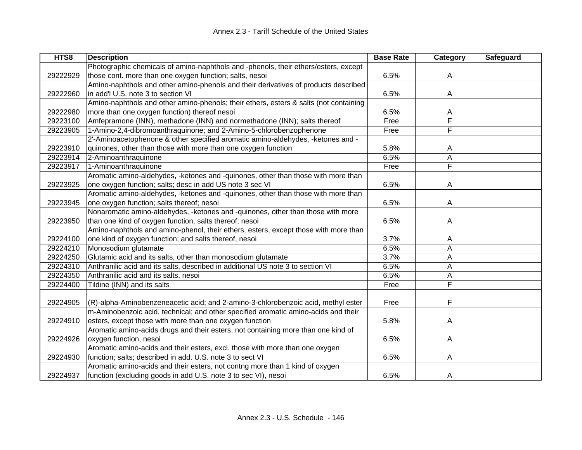| HTS8     | <b>Description</b>                                                                    | <b>Base Rate</b> | Category                | <b>Safeguard</b> |
|----------|---------------------------------------------------------------------------------------|------------------|-------------------------|------------------|
|          | Photographic chemicals of amino-naphthols and -phenols, their ethers/esters, except   |                  |                         |                  |
| 29222929 | those cont. more than one oxygen function; salts, nesoi                               | 6.5%             | A                       |                  |
|          | Amino-naphthols and other amino-phenols and their derivatives of products described   |                  |                         |                  |
| 29222960 | in add'l U.S. note 3 to section VI                                                    | 6.5%             | A                       |                  |
|          | Amino-naphthols and other amino-phenols; their ethers, esters & salts (not containing |                  |                         |                  |
| 29222980 | more than one oxygen function) thereof nesoi                                          | 6.5%             | A                       |                  |
| 29223100 | Amfepramone (INN), methadone (INN) and normethadone (INN); salts thereof              | Free             | $\overline{\mathsf{F}}$ |                  |
| 29223905 | 1-Amino-2,4-dibromoanthraquinone; and 2-Amino-5-chlorobenzophenone                    | Free             | F                       |                  |
|          | 2'-Aminoacetophenone & other specified aromatic amino-aldehydes, -ketones and -       |                  |                         |                  |
| 29223910 | quinones, other than those with more than one oxygen function                         | 5.8%             | A                       |                  |
| 29223914 | 2-Aminoanthraquinone                                                                  | 6.5%             | A                       |                  |
| 29223917 | 1-Aminoanthraquinone                                                                  | Free             | F                       |                  |
|          | Aromatic amino-aldehydes, -ketones and -quinones, other than those with more than     |                  |                         |                  |
| 29223925 | one oxygen function; salts; desc in add US note 3 sec VI                              | 6.5%             | A                       |                  |
|          | Aromatic amino-aldehydes, -ketones and -quinones, other than those with more than     |                  |                         |                  |
| 29223945 | one oxygen function; salts thereof; nesoi                                             | 6.5%             | A                       |                  |
|          | Nonaromatic amino-aldehydes, -ketones and -quinones, other than those with more       |                  |                         |                  |
| 29223950 | than one kind of oxygen function, salts thereof; nesoi                                | 6.5%             | A                       |                  |
|          | Amino-naphthols and amino-phenol, their ethers, esters, except those with more than   |                  |                         |                  |
| 29224100 | one kind of oxygen function; and salts thereof, nesoi                                 | 3.7%             | A                       |                  |
| 29224210 | Monosodium glutamate                                                                  | 6.5%             | Α                       |                  |
| 29224250 | Glutamic acid and its salts, other than monosodium glutamate                          | 3.7%             | Α                       |                  |
| 29224310 | Anthranilic acid and its salts, described in additional US note 3 to section VI       | 6.5%             | A                       |                  |
| 29224350 | Anthranilic acid and its salts, nesoi                                                 | 6.5%             | А                       |                  |
| 29224400 | Tildine (INN) and its salts                                                           | Free             | F                       |                  |
|          |                                                                                       |                  |                         |                  |
| 29224905 | (R)-alpha-Aminobenzeneacetic acid; and 2-amino-3-chlorobenzoic acid, methyl ester     | Free             | F                       |                  |
|          | m-Aminobenzoic acid, technical; and other specified aromatic amino-acids and their    |                  |                         |                  |
| 29224910 | esters, except those with more than one oxygen function                               | 5.8%             | A                       |                  |
|          | Aromatic amino-acids drugs and their esters, not containing more than one kind of     |                  |                         |                  |
| 29224926 | oxygen function, nesoi                                                                | 6.5%             | A                       |                  |
|          | Aromatic amino-acids and their esters, excl. those with more than one oxygen          |                  |                         |                  |
| 29224930 | function; salts; described in add. U.S. note 3 to sect VI                             | 6.5%             | A                       |                  |
|          | Aromatic amino-acids and their esters, not contng more than 1 kind of oxygen          |                  |                         |                  |
| 29224937 | function (excluding goods in add U.S. note 3 to sec VI), nesoi                        | 6.5%             | A                       |                  |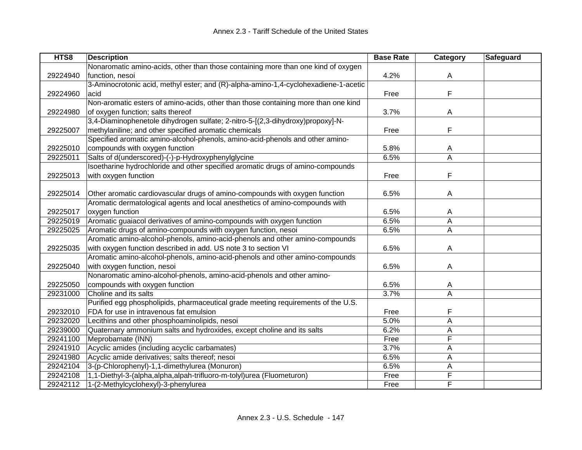| HTS8     | <b>Description</b>                                                                  | <b>Base Rate</b> | Category | Safeguard |
|----------|-------------------------------------------------------------------------------------|------------------|----------|-----------|
|          | Nonaromatic amino-acids, other than those containing more than one kind of oxygen   |                  |          |           |
| 29224940 | function, nesoi                                                                     | 4.2%             | A        |           |
|          | 3-Aminocrotonic acid, methyl ester; and (R)-alpha-amino-1,4-cyclohexadiene-1-acetic |                  |          |           |
| 29224960 | acid                                                                                | Free             | F        |           |
|          | Non-aromatic esters of amino-acids, other than those containing more than one kind  |                  |          |           |
| 29224980 | of oxygen function; salts thereof                                                   | 3.7%             | A        |           |
|          | 3,4-Diaminophenetole dihydrogen sulfate; 2-nitro-5-[(2,3-dihydroxy)propoxy]-N-      |                  |          |           |
| 29225007 | methylaniline; and other specified aromatic chemicals                               | Free             | F        |           |
|          | Specified aromatic amino-alcohol-phenols, amino-acid-phenols and other amino-       |                  |          |           |
| 29225010 | compounds with oxygen function                                                      | 5.8%             | A        |           |
| 29225011 | Salts of d(underscored)-(-)-p-Hydroxyphenylglycine                                  | 6.5%             | A        |           |
|          | Isoetharine hydrochloride and other specified aromatic drugs of amino-compounds     |                  |          |           |
| 29225013 | with oxygen function                                                                | Free             | F        |           |
|          |                                                                                     |                  |          |           |
| 29225014 | Other aromatic cardiovascular drugs of amino-compounds with oxygen function         | 6.5%             | A        |           |
|          | Aromatic dermatological agents and local anesthetics of amino-compounds with        |                  |          |           |
| 29225017 | oxygen function                                                                     | 6.5%             | A        |           |
| 29225019 | Aromatic guaiacol derivatives of amino-compounds with oxygen function               | 6.5%             | A        |           |
| 29225025 | Aromatic drugs of amino-compounds with oxygen function, nesoi                       | 6.5%             | A        |           |
|          | Aromatic amino-alcohol-phenols, amino-acid-phenols and other amino-compounds        |                  |          |           |
| 29225035 | with oxygen function described in add. US note 3 to section VI                      | 6.5%             | A        |           |
|          | Aromatic amino-alcohol-phenols, amino-acid-phenols and other amino-compounds        |                  |          |           |
| 29225040 | with oxygen function, nesoi                                                         | 6.5%             | A        |           |
|          | Nonaromatic amino-alcohol-phenols, amino-acid-phenols and other amino-              |                  |          |           |
| 29225050 | compounds with oxygen function                                                      | 6.5%             | A        |           |
| 29231000 | Choline and its salts                                                               | 3.7%             | Α        |           |
|          | Purified egg phospholipids, pharmaceutical grade meeting requirements of the U.S.   |                  |          |           |
| 29232010 | FDA for use in intravenous fat emulsion                                             | Free             | F        |           |
| 29232020 | Lecithins and other phosphoaminolipids, nesoi                                       | 5.0%             | A        |           |
| 29239000 | Quaternary ammonium salts and hydroxides, except choline and its salts              | 6.2%             | Α        |           |
| 29241100 | Meprobamate (INN)                                                                   | Free             | F        |           |
| 29241910 | Acyclic amides (including acyclic carbamates)                                       | 3.7%             | Α        |           |
| 29241980 | Acyclic amide derivatives; salts thereof; nesoi                                     | 6.5%             | A        |           |
| 29242104 | 3-(p-Chlorophenyl)-1,1-dimethylurea (Monuron)                                       | 6.5%             | Α        |           |
| 29242108 | 1,1-Diethyl-3-(alpha,alpha,alpah-trifluoro-m-tolyl)urea (Fluometuron)               | Free             | F        |           |
| 29242112 | 1-(2-Methylcyclohexyl)-3-phenylurea                                                 | Free             | F        |           |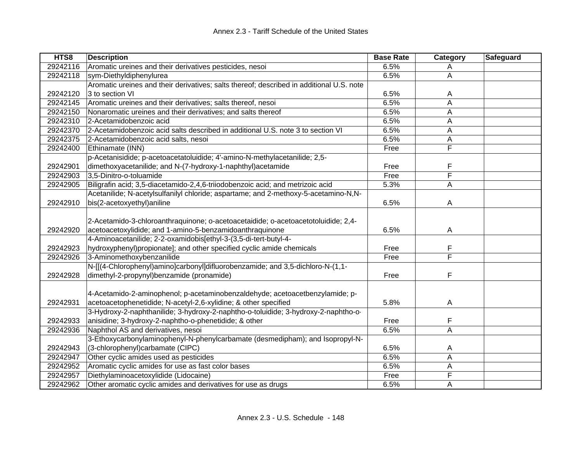| HTS8     | <b>Description</b>                                                                       | <b>Base Rate</b> | Category       | Safeguard |
|----------|------------------------------------------------------------------------------------------|------------------|----------------|-----------|
| 29242116 | Aromatic ureines and their derivatives pesticides, nesoi                                 | 6.5%             | Α              |           |
| 29242118 | sym-Diethyldiphenylurea                                                                  | 6.5%             | A              |           |
|          | Aromatic ureines and their derivatives; salts thereof; described in additional U.S. note |                  |                |           |
| 29242120 | 3 to section VI                                                                          | 6.5%             | A              |           |
| 29242145 | Aromatic ureines and their derivatives; salts thereof, nesoi                             | 6.5%             | A              |           |
| 29242150 | Nonaromatic ureines and their derivatives; and salts thereof                             | 6.5%             | Α              |           |
| 29242310 | 2-Acetamidobenzoic acid                                                                  | 6.5%             | Α              |           |
| 29242370 | 2-Acetamidobenzoic acid salts described in additional U.S. note 3 to section VI          | 6.5%             | Α              |           |
| 29242375 | 2-Acetamidobenzoic acid salts, nesoi                                                     | 6.5%             | A              |           |
| 29242400 | Ethinamate (INN)                                                                         | Free             | F              |           |
|          | p-Acetanisidide; p-acetoacetatoluidide; 4'-amino-N-methylacetanilide; 2,5-               |                  |                |           |
| 29242901 | dimethoxyacetanilide; and N-(7-hydroxy-1-naphthyl)acetamide                              | Free             | F              |           |
| 29242903 | 3,5-Dinitro-o-toluamide                                                                  | Free             | F              |           |
| 29242905 | Biligrafin acid; 3,5-diacetamido-2,4,6-triiodobenzoic acid; and metrizoic acid           | 5.3%             | A              |           |
|          | Acetanilide; N-acetylsulfanilyl chloride; aspartame; and 2-methoxy-5-acetamino-N,N-      |                  |                |           |
| 29242910 | bis(2-acetoxyethyl)aniline                                                               | 6.5%             | $\overline{A}$ |           |
|          |                                                                                          |                  |                |           |
|          | 2-Acetamido-3-chloroanthraquinone; o-acetoacetaidide; o-acetoacetotoluidide; 2,4-        |                  |                |           |
| 29242920 | acetoacetoxylidide; and 1-amino-5-benzamidoanthraquinone                                 | 6.5%             | A              |           |
|          | 4-Aminoacetanilide; 2-2-oxamidobis[ethyl-3-(3,5-di-tert-butyl-4-                         |                  |                |           |
| 29242923 | hydroxyphenyl)propionate]; and other specified cyclic amide chemicals                    | Free             | F              |           |
| 29242926 | 3-Aminomethoxybenzanilide                                                                | Free             | F              |           |
|          | N-[[(4-Chlorophenyl)amino]carbonyl]difluorobenzamide; and 3,5-dichloro-N-(1,1-           |                  |                |           |
| 29242928 | dimethyl-2-propynyl)benzamide (pronamide)                                                | Free             | F              |           |
|          |                                                                                          |                  |                |           |
|          | 4-Acetamido-2-aminophenol; p-acetaminobenzaldehyde; acetoacetbenzylamide; p-             |                  |                |           |
| 29242931 | acetoacetophenetidide; N-acetyl-2,6-xylidine; & other specified                          | 5.8%             | A              |           |
|          | 3-Hydroxy-2-naphthanilide; 3-hydroxy-2-naphtho-o-toluidide; 3-hydroxy-2-naphtho-o-       |                  |                |           |
| 29242933 | anisidine; 3-hydroxy-2-naphtho-o-phenetidide; & other                                    | Free             | F              |           |
| 29242936 | Naphthol AS and derivatives, nesoi                                                       | 6.5%             | A              |           |
|          | 3-Ethoxycarbonylaminophenyl-N-phenylcarbamate (desmedipham); and Isopropyl-N-            |                  |                |           |
| 29242943 | (3-chlorophenyl)carbamate (CIPC)                                                         | 6.5%             | A              |           |
| 29242947 | Other cyclic amides used as pesticides                                                   | 6.5%             | A              |           |
| 29242952 | Aromatic cyclic amides for use as fast color bases                                       | 6.5%             | A              |           |
| 29242957 | Diethylaminoacetoxylidide (Lidocaine)                                                    | Free             | F              |           |
| 29242962 | Other aromatic cyclic amides and derivatives for use as drugs                            | 6.5%             | A              |           |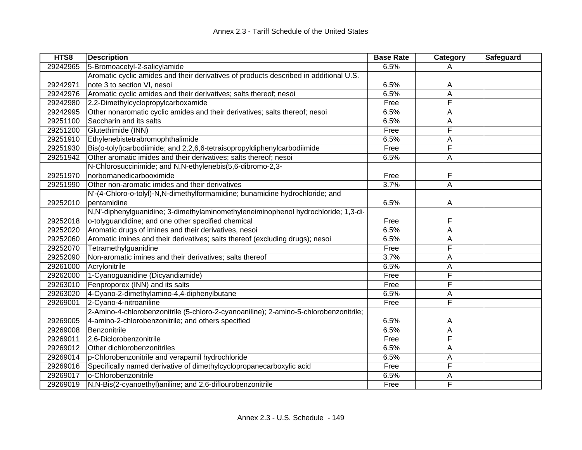| HTS8     | <b>Description</b>                                                                    | <b>Base Rate</b> | Category | Safeguard |
|----------|---------------------------------------------------------------------------------------|------------------|----------|-----------|
| 29242965 | 5-Bromoacetyl-2-salicylamide                                                          | 6.5%             | A        |           |
|          | Aromatic cyclic amides and their derivatives of products described in additional U.S. |                  |          |           |
| 29242971 | note 3 to section VI, nesoi                                                           | 6.5%             | Α        |           |
| 29242976 | Aromatic cyclic amides and their derivatives; salts thereof; nesoi                    | 6.5%             | A        |           |
| 29242980 | 2,2-Dimethylcyclopropylcarboxamide                                                    | Free             | F        |           |
| 29242995 | Other nonaromatic cyclic amides and their derivatives; salts thereof; nesoi           | 6.5%             | A        |           |
| 29251100 | Saccharin and its salts                                                               | 6.5%             | Α        |           |
| 29251200 | Glutethimide (INN)                                                                    | Free             | F        |           |
| 29251910 | Ethylenebistetrabromophthalimide                                                      | 6.5%             | Α        |           |
| 29251930 | Bis(o-tolyl)carbodiimide; and 2,2,6,6-tetraisopropyldiphenylcarbodiimide              | Free             | F        |           |
| 29251942 | Other aromatic imides and their derivatives; salts thereof; nesoi                     | 6.5%             | A        |           |
|          | N-Chlorosuccinimide; and N,N-ethylenebis(5,6-dibromo-2,3-                             |                  |          |           |
| 29251970 | norbornanedicarbooximide                                                              | Free             | F        |           |
| 29251990 | Other non-aromatic imides and their derivatives                                       | 3.7%             | A        |           |
|          | N'-(4-Chloro-o-tolyl)-N,N-dimethylformamidine; bunamidine hydrochloride; and          |                  |          |           |
| 29252010 | pentamidine                                                                           | 6.5%             | A        |           |
|          | N,N'-diphenylguanidine; 3-dimethylaminomethyleneiminophenol hydrochloride; 1,3-di-    |                  |          |           |
| 29252018 | o-tolyguandidine; and one other specified chemical                                    | Free             | F        |           |
| 29252020 | Aromatic drugs of imines and their derivatives, nesoi                                 | 6.5%             | Α        |           |
| 29252060 | Aromatic imines and their derivatives; salts thereof (excluding drugs); nesoi         | 6.5%             | А        |           |
| 29252070 | Tetramethylguanidine                                                                  | Free             | F        |           |
| 29252090 | Non-aromatic imines and their derivatives; salts thereof                              | 3.7%             | А        |           |
| 29261000 | Acrylonitrile                                                                         | 6.5%             | А        |           |
| 29262000 | 1-Cyanoguanidine (Dicyandiamide)                                                      | Free             | F        |           |
| 29263010 | Fenproporex (INN) and its salts                                                       | Free             | F        |           |
| 29263020 | 4-Cyano-2-dimethylamino-4,4-diphenylbutane                                            | 6.5%             | Α        |           |
| 29269001 | 2-Cyano-4-nitroaniline                                                                | Free             | F        |           |
|          | 2-Amino-4-chlorobenzonitrile (5-chloro-2-cyanoaniline); 2-amino-5-chlorobenzonitrile; |                  |          |           |
| 29269005 | 4-amino-2-chlorobenzonitrile; and others specified                                    | 6.5%             | A        |           |
| 29269008 | Benzonitrile                                                                          | 6.5%             | A        |           |
| 29269011 | 2,6-Diclorobenzonitrile                                                               | Free             | F        |           |
| 29269012 | Other dichlorobenzonitriles                                                           | 6.5%             | А        |           |
| 29269014 | p-Chlorobenzonitrile and verapamil hydrochloride                                      | 6.5%             | А        |           |
| 29269016 | Specifically named derivative of dimethylcyclopropanecarboxylic acid                  | Free             | F        |           |
| 29269017 | o-Chlorobenzonitrile                                                                  | 6.5%             | Α        |           |
| 29269019 | N,N-Bis(2-cyanoethyl)aniline; and 2,6-diflourobenzonitrile                            | Free             | F        |           |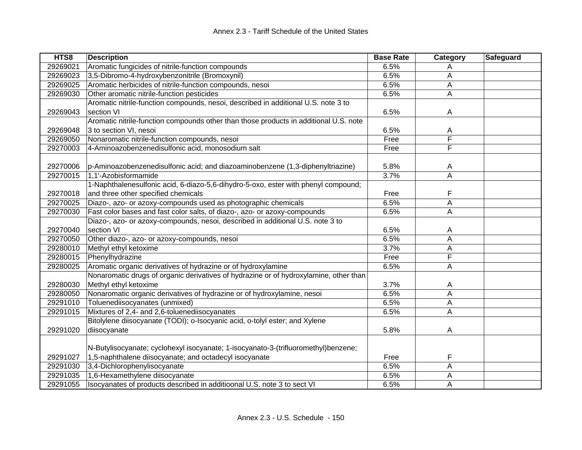| HTS8     | <b>Description</b>                                                                    | <b>Base Rate</b> | Category     | Safeguard |
|----------|---------------------------------------------------------------------------------------|------------------|--------------|-----------|
| 29269021 | Aromatic fungicides of nitrile-function compounds                                     | 6.5%             | Α            |           |
| 29269023 | 3,5-Dibromo-4-hydroxybenzonitrile (Bromoxynil)                                        | 6.5%             | A            |           |
| 29269025 | Aromatic herbicides of nitrile-function compounds, nesoi                              | 6.5%             | A            |           |
| 29269030 | Other aromatic nitrile-function pesticides                                            | 6.5%             | A            |           |
|          | Aromatic nitrile-function compounds, nesoi, described in additional U.S. note 3 to    |                  |              |           |
| 29269043 | section VI                                                                            | 6.5%             | $\mathsf{A}$ |           |
|          | Aromatic nitrile-function compounds other than those products in additional U.S. note |                  |              |           |
| 29269048 | 3 to section VI, nesoi                                                                | 6.5%             | Α            |           |
| 29269050 | Nonaromatic nitrile-function compounds, nesoi                                         | Free             | F            |           |
| 29270003 | 4-Aminoazobenzenedisulfonic acid, monosodium salt                                     | Free             | F            |           |
|          |                                                                                       |                  |              |           |
| 29270006 | p-Aminoazobenzenedisulfonic acid; and diazoaminobenzene (1,3-diphenyltriazine)        | 5.8%             | A            |           |
| 29270015 | 1,1'-Azobisformamide                                                                  | 3.7%             | A            |           |
|          | 1-Naphthalenesulfonic acid, 6-diazo-5,6-dihydro-5-oxo, ester with phenyl compound;    |                  |              |           |
| 29270018 | and three other specified chemicals                                                   | Free             | F            |           |
| 29270025 | Diazo-, azo- or azoxy-compounds used as photographic chemicals                        | 6.5%             | Α            |           |
| 29270030 | Fast color bases and fast color salts, of diazo-, azo- or azoxy-compounds             | 6.5%             | Α            |           |
|          | Diazo-, azo- or azoxy-compounds, nesoi, described in additional U.S. note 3 to        |                  |              |           |
| 29270040 | section VI                                                                            | 6.5%             | A            |           |
| 29270050 | Other diazo-, azo- or azoxy-compounds, nesoi                                          | 6.5%             | A            |           |
| 29280010 | Methyl ethyl ketoxime                                                                 | 3.7%             | A            |           |
| 29280015 | Phenylhydrazine                                                                       | Free             | F            |           |
| 29280025 | Aromatic organic derivatives of hydrazine or of hydroxylamine                         | 6.5%             | A            |           |
|          | Nonaromatic drugs of organic derivatives of hydrazine or of hydroxylamine, other than |                  |              |           |
| 29280030 | Methyl ethyl ketoxime                                                                 | 3.7%             | A            |           |
| 29280050 | Nonaromatic organic derivatives of hydrazine or of hydroxylamine, nesoi               | 6.5%             | A            |           |
| 29291010 | Toluenediisocyanates (unmixed)                                                        | 6.5%             | Α            |           |
| 29291015 | Mixtures of 2,4- and 2,6-toluenediisocyanates                                         | 6.5%             | A            |           |
|          | Bitolylene diisocyanate (TODI); o-Isocyanic acid, o-tolyl ester; and Xylene           |                  |              |           |
| 29291020 | diisocyanate                                                                          | 5.8%             | A            |           |
|          |                                                                                       |                  |              |           |
|          | N-Butylisocyanate; cyclohexyl isocyanate; 1-isocyanato-3-(trifluoromethyl)benzene;    |                  |              |           |
| 29291027 | 1,5-naphthalene diisocyanate; and octadecyl isocyanate                                | Free             | F            |           |
| 29291030 | 3,4-Dichlorophenylisocyanate                                                          | 6.5%             | Α            |           |
| 29291035 | 1,6-Hexamethylene diisocyanate                                                        | 6.5%             | A            |           |
| 29291055 | Isocyanates of products described in additioonal U.S. note 3 to sect VI               | 6.5%             | А            |           |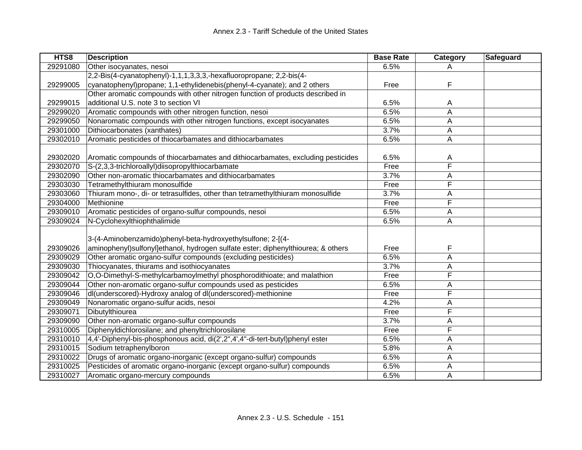| HTS8     | <b>Description</b>                                                               | <b>Base Rate</b> | <b>Category</b> | <b>Safeguard</b> |
|----------|----------------------------------------------------------------------------------|------------------|-----------------|------------------|
| 29291080 | Other isocyanates, nesoi                                                         | 6.5%             | A               |                  |
|          | 2,2-Bis(4-cyanatophenyl)-1,1,1,3,3,3,-hexafluoropropane; 2,2-bis(4-              |                  |                 |                  |
| 29299005 | cyanatophenyl)propane; 1,1-ethylidenebis(phenyl-4-cyanate); and 2 others         | Free             | F               |                  |
|          | Other aromatic compounds with other nitrogen function of products described in   |                  |                 |                  |
| 29299015 | additional U.S. note 3 to section VI                                             | 6.5%             | A               |                  |
| 29299020 | Aromatic compounds with other nitrogen function, nesoi                           | 6.5%             | A               |                  |
| 29299050 | Nonaromatic compounds with other nitrogen functions, except isocyanates          | 6.5%             | Α               |                  |
| 29301000 | Dithiocarbonates (xanthates)                                                     | 3.7%             | A               |                  |
| 29302010 | Aromatic pesticides of thiocarbamates and dithiocarbamates                       | 6.5%             | A               |                  |
|          |                                                                                  |                  |                 |                  |
| 29302020 | Aromatic compounds of thiocarbamates and dithiocarbamates, excluding pesticides  | 6.5%             | A               |                  |
| 29302070 | S-(2,3,3-trichloroallyl)diisopropylthiocarbamate                                 | Free             | F               |                  |
| 29302090 | Other non-aromatic thiocarbamates and dithiocarbamates                           | 3.7%             | Α               |                  |
| 29303030 | Tetramethylthiuram monosulfide                                                   | Free             | F               |                  |
| 29303060 | Thiuram mono-, di- or tetrasulfides, other than tetramethylthiuram monosulfide   | 3.7%             | A               |                  |
| 29304000 | Methionine                                                                       | Free             | F               |                  |
| 29309010 | Aromatic pesticides of organo-sulfur compounds, nesoi                            | 6.5%             | A               |                  |
| 29309024 | N-Cyclohexylthiophthalimide                                                      | 6.5%             | A               |                  |
|          |                                                                                  |                  |                 |                  |
|          | 3-(4-Aminobenzamido)phenyl-beta-hydroxyethylsulfone; 2-[(4-                      |                  |                 |                  |
| 29309026 | aminophenyl)sulfonyl]ethanol, hydrogen sulfate ester; diphenylthiourea; & others | Free             | F               |                  |
| 29309029 | Other aromatic organo-sulfur compounds (excluding pesticides)                    | 6.5%             | A               |                  |
| 29309030 | Thiocyanates, thiurams and isothiocyanates                                       | 3.7%             | Α               |                  |
| 29309042 | O,O-Dimethyl-S-methylcarbamoylmethyl phosphorodithioate; and malathion           | Free             | F               |                  |
| 29309044 | Other non-aromatic organo-sulfur compounds used as pesticides                    | 6.5%             | A               |                  |
| 29309046 | dl(underscored)-Hydroxy analog of dl(underscored)-methionine                     | Free             | F               |                  |
| 29309049 | Nonaromatic organo-sulfur acids, nesoi                                           | 4.2%             | Α               |                  |
| 29309071 | Dibutylthiourea                                                                  | Free             | F               |                  |
| 29309090 | Other non-aromatic organo-sulfur compounds                                       | 3.7%             | Α               |                  |
| 29310005 | Diphenyldichlorosilane; and phenyltrichlorosilane                                | Free             | F               |                  |
| 29310010 | 4,4'-Diphenyl-bis-phosphonous acid, di(2',2",4',4"-di-tert-butyl)phenyl ester    | 6.5%             | A               |                  |
| 29310015 | Sodium tetraphenylboron                                                          | 5.8%             | A               |                  |
| 29310022 | Drugs of aromatic organo-inorganic (except organo-sulfur) compounds              | 6.5%             | A               |                  |
| 29310025 | Pesticides of aromatic organo-inorganic (except organo-sulfur) compounds         | 6.5%             | A               |                  |
| 29310027 | Aromatic organo-mercury compounds                                                | 6.5%             | A               |                  |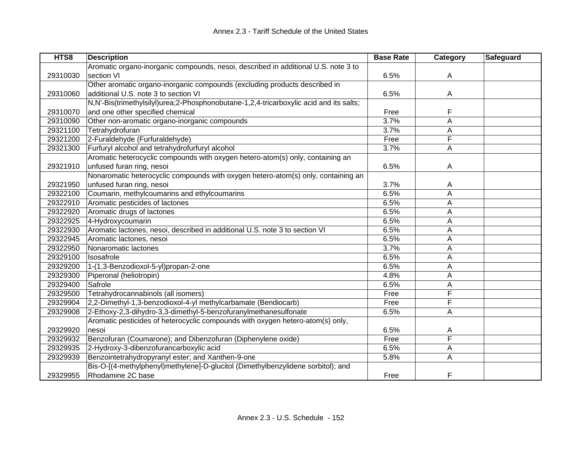| HTS8     | <b>Description</b>                                                                     | <b>Base Rate</b> | <b>Category</b> | <b>Safeguard</b> |
|----------|----------------------------------------------------------------------------------------|------------------|-----------------|------------------|
|          | Aromatic organo-inorganic compounds, nesoi, described in additional U.S. note 3 to     |                  |                 |                  |
| 29310030 | section VI                                                                             | 6.5%             | Α               |                  |
|          | Other aromatic organo-inorganic compounds (excluding products described in             |                  |                 |                  |
| 29310060 | additional U.S. note 3 to section VI                                                   | 6.5%             | A               |                  |
|          | N,N'-Bis(trimethylsilyl)urea;2-Phosphonobutane-1,2,4-tricarboxylic acid and its salts; |                  |                 |                  |
| 29310070 | and one other specified chemical                                                       | Free             | F               |                  |
| 29310090 | Other non-aromatic organo-inorganic compounds                                          | 3.7%             | A               |                  |
| 29321100 | Tetrahydrofuran                                                                        | 3.7%             | Α               |                  |
| 29321200 | 2-Furaldehyde (Furfuraldehyde)                                                         | Free             | F               |                  |
| 29321300 | Furfuryl alcohol and tetrahydrofurfuryl alcohol                                        | 3.7%             | A               |                  |
|          | Aromatic heterocyclic compounds with oxygen hetero-atom(s) only, containing an         |                  |                 |                  |
| 29321910 | unfused furan ring, nesoi                                                              | 6.5%             | A               |                  |
|          | Nonaromatic heterocyclic compounds with oxygen hetero-atom(s) only, containing an      |                  |                 |                  |
| 29321950 | unfused furan ring, nesoi                                                              | 3.7%             | A               |                  |
| 29322100 | Coumarin, methylcoumarins and ethylcoumarins                                           | 6.5%             | A               |                  |
| 29322910 | Aromatic pesticides of lactones                                                        | 6.5%             | Α               |                  |
| 29322920 | Aromatic drugs of lactones                                                             | 6.5%             | A               |                  |
| 29322925 | 4-Hydroxycoumarin                                                                      | 6.5%             | A               |                  |
| 29322930 | Aromatic lactones, nesoi, described in additional U.S. note 3 to section VI            | 6.5%             | A               |                  |
| 29322945 | Aromatic lactones, nesoi                                                               | 6.5%             | Α               |                  |
| 29322950 | Nonaromatic lactones                                                                   | 3.7%             | A               |                  |
| 29329100 | Isosafrole                                                                             | 6.5%             | Α               |                  |
| 29329200 | 1-(1,3-Benzodioxol-5-yl)propan-2-one                                                   | 6.5%             | Α               |                  |
| 29329300 | Piperonal (heliotropin)                                                                | 4.8%             | Α               |                  |
| 29329400 | Safrole                                                                                | 6.5%             | Α               |                  |
| 29329500 | Tetrahydrocannabinols (all isomers)                                                    | Free             | F               |                  |
| 29329904 | 2,2-Dimethyl-1,3-benzodioxol-4-yl methylcarbamate (Bendiocarb)                         | Free             | F               |                  |
| 29329908 | 2-Ethoxy-2,3-dihydro-3,3-dimethyl-5-benzofuranylmethanesulfonate                       | 6.5%             | Α               |                  |
|          | Aromatic pesticides of heterocyclic compounds with oxygen hetero-atom(s) only,         |                  |                 |                  |
| 29329920 | nesoi                                                                                  | 6.5%             | A               |                  |
| 29329932 | Benzofuran (Coumarone); and Dibenzofuran (Diphenylene oxide)                           | Free             | F               |                  |
| 29329935 | 2-Hydroxy-3-dibenzofurancarboxylic acid                                                | 6.5%             | A               |                  |
| 29329939 | Benzointetrahydropyranyl ester; and Xanthen-9-one                                      | 5.8%             | A               |                  |
|          | Bis-O-[(4-methylphenyl)methylene]-D-glucitol (Dimethylbenzylidene sorbitol); and       |                  |                 |                  |
| 29329955 | Rhodamine 2C base                                                                      | Free             | F               |                  |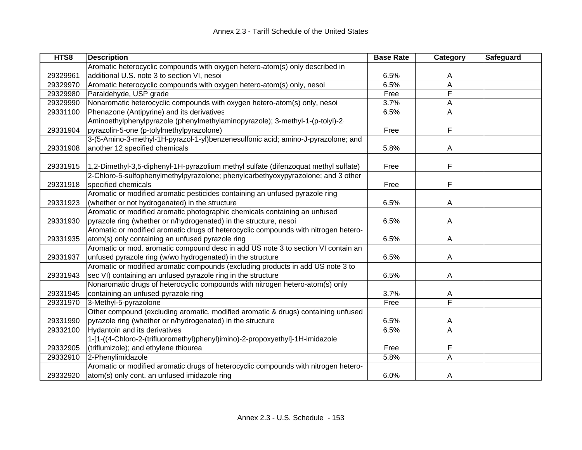| HTS8     | <b>Description</b>                                                                  | <b>Base Rate</b> | Category                | <b>Safeguard</b> |
|----------|-------------------------------------------------------------------------------------|------------------|-------------------------|------------------|
|          | Aromatic heterocyclic compounds with oxygen hetero-atom(s) only described in        |                  |                         |                  |
| 29329961 | additional U.S. note 3 to section VI, nesoi                                         | 6.5%             | A                       |                  |
| 29329970 | Aromatic heterocyclic compounds with oxygen hetero-atom(s) only, nesoi              | 6.5%             | Α                       |                  |
| 29329980 | Paraldehyde, USP grade                                                              | Free             | F                       |                  |
| 29329990 | Nonaromatic heterocyclic compounds with oxygen hetero-atom(s) only, nesoi           | 3.7%             | A                       |                  |
| 29331100 | Phenazone (Antipyrine) and its derivatives                                          | 6.5%             | Α                       |                  |
|          | Aminoethylphenylpyrazole (phenylmethylaminopyrazole); 3-methyl-1-(p-tolyl)-2-       |                  |                         |                  |
| 29331904 | pyrazolin-5-one (p-tolylmethylpyrazolone)                                           | Free             | F                       |                  |
|          | 3-(5-Amino-3-methyl-1H-pyrazol-1-yl)benzenesulfonic acid; amino-J-pyrazolone; and   |                  |                         |                  |
| 29331908 | another 12 specified chemicals                                                      | 5.8%             | A                       |                  |
|          |                                                                                     |                  |                         |                  |
| 29331915 | 1,2-Dimethyl-3,5-diphenyl-1H-pyrazolium methyl sulfate (difenzoquat methyl sulfate) | Free             | F                       |                  |
|          | 2-Chloro-5-sulfophenylmethylpyrazolone; phenylcarbethyoxypyrazolone; and 3 other    |                  |                         |                  |
| 29331918 | specified chemicals                                                                 | Free             | F                       |                  |
|          | Aromatic or modified aromatic pesticides containing an unfused pyrazole ring        |                  |                         |                  |
| 29331923 | (whether or not hydrogenated) in the structure                                      | 6.5%             | A                       |                  |
|          | Aromatic or modified aromatic photographic chemicals containing an unfused          |                  |                         |                  |
| 29331930 | pyrazole ring (whether or n/hydrogenated) in the structure, nesoi                   | 6.5%             | A                       |                  |
|          | Aromatic or modified aromatic drugs of heterocyclic compounds with nitrogen hetero- |                  |                         |                  |
| 29331935 | atom(s) only containing an unfused pyrazole ring                                    | 6.5%             | Α                       |                  |
|          | Aromatic or mod. aromatic compound desc in add US note 3 to section VI contain an   |                  |                         |                  |
| 29331937 | unfused pyrazole ring (w/wo hydrogenated) in the structure                          | 6.5%             | Α                       |                  |
|          | Aromatic or modified aromatic compounds (excluding products in add US note 3 to     |                  |                         |                  |
| 29331943 | sec VI) containing an unfused pyrazole ring in the structure                        | 6.5%             | Α                       |                  |
|          | Nonaromatic drugs of heterocyclic compounds with nitrogen hetero-atom(s) only       |                  |                         |                  |
| 29331945 | containing an unfused pyrazole ring                                                 | 3.7%             | A                       |                  |
| 29331970 | 3-Methyl-5-pyrazolone                                                               | Free             | F                       |                  |
|          | Other compound (excluding aromatic, modified aromatic & drugs) containing unfused   |                  |                         |                  |
| 29331990 | pyrazole ring (whether or n/hydrogenated) in the structure                          | 6.5%             | A                       |                  |
| 29332100 | Hydantoin and its derivatives                                                       | 6.5%             | $\overline{\mathsf{A}}$ |                  |
|          | 1-[1-((4-Chloro-2-(trifluoromethyl)phenyl)imino)-2-propoxyethyl]-1H-imidazole       |                  |                         |                  |
| 29332905 | (triflumizole); and ethylene thiourea                                               | Free             | F                       |                  |
| 29332910 | 2-Phenylimidazole                                                                   | 5.8%             | $\overline{\mathsf{A}}$ |                  |
|          | Aromatic or modified aromatic drugs of heterocyclic compounds with nitrogen hetero- |                  |                         |                  |
| 29332920 | atom(s) only cont. an unfused imidazole ring                                        | 6.0%             | A                       |                  |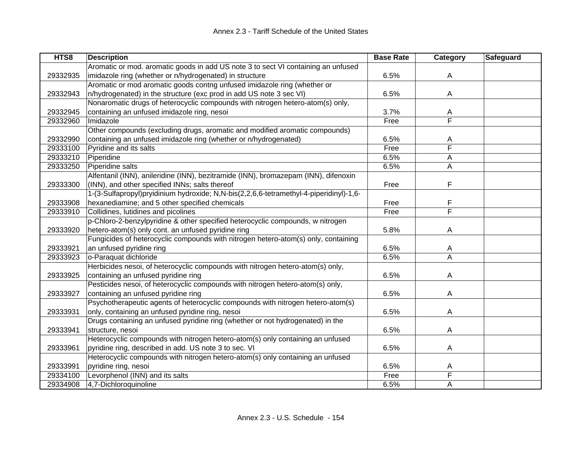| HTS8     | <b>Description</b>                                                                     | <b>Base Rate</b> | Category | Safeguard |
|----------|----------------------------------------------------------------------------------------|------------------|----------|-----------|
|          | Aromatic or mod. aromatic goods in add US note 3 to sect VI containing an unfused      |                  |          |           |
| 29332935 | imidazole ring (whether or n/hydrogenated) in structure                                | 6.5%             | A        |           |
|          | Aromatic or mod aromatic goods contng unfused imidazole ring (whether or               |                  |          |           |
| 29332943 | n/hydrogenated) in the structure (exc prod in add US note 3 sec VI)                    | 6.5%             | A        |           |
|          | Nonaromatic drugs of heterocyclic compounds with nitrogen hetero-atom(s) only,         |                  |          |           |
| 29332945 | containing an unfused imidazole ring, nesoi                                            | 3.7%             | A        |           |
| 29332960 | Imidazole                                                                              | Free             | F        |           |
|          | Other compounds (excluding drugs, aromatic and modified aromatic compounds)            |                  |          |           |
| 29332990 | containing an unfused imidazole ring (whether or n/hydrogenated)                       | 6.5%             | A        |           |
| 29333100 | Pyridine and its salts                                                                 | Free             | F        |           |
| 29333210 | Piperidine                                                                             | 6.5%             | A        |           |
| 29333250 | Piperidine salts                                                                       | 6.5%             | Α        |           |
|          | Alfentanil (INN), anileridine (INN), bezitramide (INN), bromazepam (INN), difenoxin    |                  |          |           |
| 29333300 | (INN), and other specified INNs; salts thereof                                         | Free             | F        |           |
|          | 1-(3-Sulfapropyl)pryidinium hydroxide; N,N-bis(2,2,6,6-tetramethyl-4-piperidinyl)-1,6- |                  |          |           |
| 29333908 | hexanediamine; and 5 other specified chemicals                                         | Free             | F        |           |
| 29333910 | Collidines, lutidines and picolines                                                    | Free             | F        |           |
|          | p-Chloro-2-benzylpyridine & other specified heterocyclic compounds, w nitrogen         |                  |          |           |
| 29333920 | hetero-atom(s) only cont. an unfused pyridine ring                                     | 5.8%             | A        |           |
|          | Fungicides of heterocyclic compounds with nitrogen hetero-atom(s) only, containing     |                  |          |           |
| 29333921 | an unfused pyridine ring                                                               | 6.5%             | A        |           |
| 29333923 | o-Paraquat dichloride                                                                  | 6.5%             | A        |           |
|          | Herbicides nesoi, of heterocyclic compounds with nitrogen hetero-atom(s) only,         |                  |          |           |
| 29333925 | containing an unfused pyridine ring                                                    | 6.5%             | A        |           |
|          | Pesticides nesoi, of heterocyclic compounds with nitrogen hetero-atom(s) only,         |                  |          |           |
| 29333927 | containing an unfused pyridine ring                                                    | 6.5%             | A        |           |
|          | Psychotherapeutic agents of heterocyclic compounds with nitrogen hetero-atom(s)        |                  |          |           |
| 29333931 | only, containing an unfused pyridine ring, nesoi                                       | 6.5%             | A        |           |
|          | Drugs containing an unfused pyridine ring (whether or not hydrogenated) in the         |                  |          |           |
| 29333941 | structure, nesoi                                                                       | 6.5%             | A        |           |
|          | Heterocyclic compounds with nitrogen hetero-atom(s) only containing an unfused         |                  |          |           |
| 29333961 | pyridine ring, described in add. US note 3 to sec. VI                                  | 6.5%             | A        |           |
|          | Heterocyclic compounds with nitrogen hetero-atom(s) only containing an unfused         |                  |          |           |
| 29333991 | pyridine ring, nesoi                                                                   | 6.5%             | A        |           |
| 29334100 | Levorphenol (INN) and its salts                                                        | Free             | F        |           |
| 29334908 | 4,7-Dichloroquinoline                                                                  | 6.5%             | A        |           |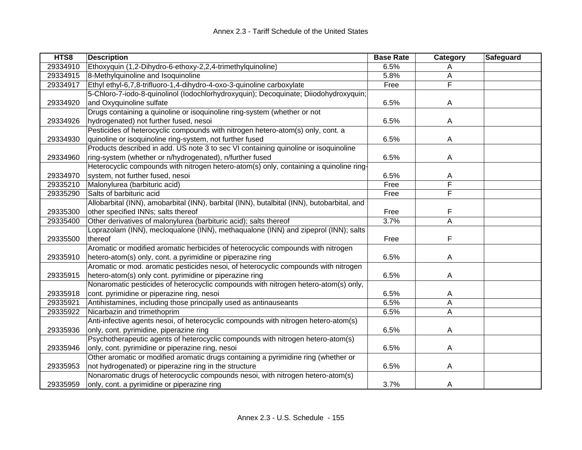| 29334910<br>Ethoxyquin (1,2-Dihydro-6-ethoxy-2,2,4-trimethylquinoline)<br>6.5%<br>A<br>29334915<br>8-Methylquinoline and Isoquinoline<br>5.8%<br>Α<br>F<br>Ethyl ethyl-6,7,8-trifluoro-1,4-dihydro-4-oxo-3-quinoline carboxylate<br>29334917<br>Free<br>5-Chloro-7-iodo-8-quinolinol (lodochlorhydroxyquin); Decoquinate; Diiodohydroxyquin;<br>and Oxyquinoline sulfate<br>$\overline{A}$<br>29334920<br>6.5%<br>Drugs containing a quinoline or isoquinoline ring-system (whether or not<br>hydrogenated) not further fused, nesoi<br>29334926<br>6.5%<br>A<br>Pesticides of heterocyclic compounds with nitrogen hetero-atom(s) only, cont. a<br>quinoline or isoquinoline ring-system, not further fused<br>29334930<br>6.5%<br>A<br>Products described in add. US note 3 to sec VI containing quinoline or isoquinoline<br>ring-system (whether or n/hydrogenated), n/further fused<br>$\overline{A}$<br>29334960<br>6.5%<br>Heterocyclic compounds with nitrogen hetero-atom(s) only, containing a quinoline ring-<br>system, not further fused, nesoi<br>29334970<br>6.5%<br>A<br>F<br>Malonylurea (barbituric acid)<br>Free<br>29335210<br>F<br>29335290<br>Salts of barbituric acid<br>Free<br>Allobarbital (INN), amobarbital (INN), barbital (INN), butalbital (INN), butobarbital, and<br>F<br>29335300<br>other specified INNs; salts thereof<br>Free<br>3.7%<br>A<br>29335400<br>Other derivatives of malonylurea (barbituric acid); salts thereof<br>Loprazolam (INN), mecloqualone (INN), methaqualone (INN) and zipeprol (INN); salts<br>F<br>thereof<br>29335500<br>Free<br>Aromatic or modified aromatic herbicides of heterocyclic compounds with nitrogen<br>hetero-atom(s) only, cont. a pyrimidine or piperazine ring<br>29335910<br>6.5%<br>A<br>Aromatic or mod. aromatic pesticides nesoi, of heterocyclic compounds with nitrogen<br>hetero-atom(s) only cont. pyrimidine or piperazine ring<br>29335915<br>6.5%<br>A<br>Nonaromatic pesticides of heterocyclic compounds with nitrogen hetero-atom(s) only,<br>29335918<br>cont. pyrimidine or piperazine ring, nesoi<br>6.5%<br>A | HTS8 | <b>Description</b> | <b>Base Rate</b> | Category | Safeguard |
|----------------------------------------------------------------------------------------------------------------------------------------------------------------------------------------------------------------------------------------------------------------------------------------------------------------------------------------------------------------------------------------------------------------------------------------------------------------------------------------------------------------------------------------------------------------------------------------------------------------------------------------------------------------------------------------------------------------------------------------------------------------------------------------------------------------------------------------------------------------------------------------------------------------------------------------------------------------------------------------------------------------------------------------------------------------------------------------------------------------------------------------------------------------------------------------------------------------------------------------------------------------------------------------------------------------------------------------------------------------------------------------------------------------------------------------------------------------------------------------------------------------------------------------------------------------------------------------------------------------------------------------------------------------------------------------------------------------------------------------------------------------------------------------------------------------------------------------------------------------------------------------------------------------------------------------------------------------------------------------------------------------------------------------------------------------------------------------------------------------|------|--------------------|------------------|----------|-----------|
|                                                                                                                                                                                                                                                                                                                                                                                                                                                                                                                                                                                                                                                                                                                                                                                                                                                                                                                                                                                                                                                                                                                                                                                                                                                                                                                                                                                                                                                                                                                                                                                                                                                                                                                                                                                                                                                                                                                                                                                                                                                                                                                |      |                    |                  |          |           |
|                                                                                                                                                                                                                                                                                                                                                                                                                                                                                                                                                                                                                                                                                                                                                                                                                                                                                                                                                                                                                                                                                                                                                                                                                                                                                                                                                                                                                                                                                                                                                                                                                                                                                                                                                                                                                                                                                                                                                                                                                                                                                                                |      |                    |                  |          |           |
|                                                                                                                                                                                                                                                                                                                                                                                                                                                                                                                                                                                                                                                                                                                                                                                                                                                                                                                                                                                                                                                                                                                                                                                                                                                                                                                                                                                                                                                                                                                                                                                                                                                                                                                                                                                                                                                                                                                                                                                                                                                                                                                |      |                    |                  |          |           |
|                                                                                                                                                                                                                                                                                                                                                                                                                                                                                                                                                                                                                                                                                                                                                                                                                                                                                                                                                                                                                                                                                                                                                                                                                                                                                                                                                                                                                                                                                                                                                                                                                                                                                                                                                                                                                                                                                                                                                                                                                                                                                                                |      |                    |                  |          |           |
|                                                                                                                                                                                                                                                                                                                                                                                                                                                                                                                                                                                                                                                                                                                                                                                                                                                                                                                                                                                                                                                                                                                                                                                                                                                                                                                                                                                                                                                                                                                                                                                                                                                                                                                                                                                                                                                                                                                                                                                                                                                                                                                |      |                    |                  |          |           |
|                                                                                                                                                                                                                                                                                                                                                                                                                                                                                                                                                                                                                                                                                                                                                                                                                                                                                                                                                                                                                                                                                                                                                                                                                                                                                                                                                                                                                                                                                                                                                                                                                                                                                                                                                                                                                                                                                                                                                                                                                                                                                                                |      |                    |                  |          |           |
|                                                                                                                                                                                                                                                                                                                                                                                                                                                                                                                                                                                                                                                                                                                                                                                                                                                                                                                                                                                                                                                                                                                                                                                                                                                                                                                                                                                                                                                                                                                                                                                                                                                                                                                                                                                                                                                                                                                                                                                                                                                                                                                |      |                    |                  |          |           |
|                                                                                                                                                                                                                                                                                                                                                                                                                                                                                                                                                                                                                                                                                                                                                                                                                                                                                                                                                                                                                                                                                                                                                                                                                                                                                                                                                                                                                                                                                                                                                                                                                                                                                                                                                                                                                                                                                                                                                                                                                                                                                                                |      |                    |                  |          |           |
|                                                                                                                                                                                                                                                                                                                                                                                                                                                                                                                                                                                                                                                                                                                                                                                                                                                                                                                                                                                                                                                                                                                                                                                                                                                                                                                                                                                                                                                                                                                                                                                                                                                                                                                                                                                                                                                                                                                                                                                                                                                                                                                |      |                    |                  |          |           |
|                                                                                                                                                                                                                                                                                                                                                                                                                                                                                                                                                                                                                                                                                                                                                                                                                                                                                                                                                                                                                                                                                                                                                                                                                                                                                                                                                                                                                                                                                                                                                                                                                                                                                                                                                                                                                                                                                                                                                                                                                                                                                                                |      |                    |                  |          |           |
|                                                                                                                                                                                                                                                                                                                                                                                                                                                                                                                                                                                                                                                                                                                                                                                                                                                                                                                                                                                                                                                                                                                                                                                                                                                                                                                                                                                                                                                                                                                                                                                                                                                                                                                                                                                                                                                                                                                                                                                                                                                                                                                |      |                    |                  |          |           |
|                                                                                                                                                                                                                                                                                                                                                                                                                                                                                                                                                                                                                                                                                                                                                                                                                                                                                                                                                                                                                                                                                                                                                                                                                                                                                                                                                                                                                                                                                                                                                                                                                                                                                                                                                                                                                                                                                                                                                                                                                                                                                                                |      |                    |                  |          |           |
|                                                                                                                                                                                                                                                                                                                                                                                                                                                                                                                                                                                                                                                                                                                                                                                                                                                                                                                                                                                                                                                                                                                                                                                                                                                                                                                                                                                                                                                                                                                                                                                                                                                                                                                                                                                                                                                                                                                                                                                                                                                                                                                |      |                    |                  |          |           |
|                                                                                                                                                                                                                                                                                                                                                                                                                                                                                                                                                                                                                                                                                                                                                                                                                                                                                                                                                                                                                                                                                                                                                                                                                                                                                                                                                                                                                                                                                                                                                                                                                                                                                                                                                                                                                                                                                                                                                                                                                                                                                                                |      |                    |                  |          |           |
|                                                                                                                                                                                                                                                                                                                                                                                                                                                                                                                                                                                                                                                                                                                                                                                                                                                                                                                                                                                                                                                                                                                                                                                                                                                                                                                                                                                                                                                                                                                                                                                                                                                                                                                                                                                                                                                                                                                                                                                                                                                                                                                |      |                    |                  |          |           |
|                                                                                                                                                                                                                                                                                                                                                                                                                                                                                                                                                                                                                                                                                                                                                                                                                                                                                                                                                                                                                                                                                                                                                                                                                                                                                                                                                                                                                                                                                                                                                                                                                                                                                                                                                                                                                                                                                                                                                                                                                                                                                                                |      |                    |                  |          |           |
|                                                                                                                                                                                                                                                                                                                                                                                                                                                                                                                                                                                                                                                                                                                                                                                                                                                                                                                                                                                                                                                                                                                                                                                                                                                                                                                                                                                                                                                                                                                                                                                                                                                                                                                                                                                                                                                                                                                                                                                                                                                                                                                |      |                    |                  |          |           |
|                                                                                                                                                                                                                                                                                                                                                                                                                                                                                                                                                                                                                                                                                                                                                                                                                                                                                                                                                                                                                                                                                                                                                                                                                                                                                                                                                                                                                                                                                                                                                                                                                                                                                                                                                                                                                                                                                                                                                                                                                                                                                                                |      |                    |                  |          |           |
|                                                                                                                                                                                                                                                                                                                                                                                                                                                                                                                                                                                                                                                                                                                                                                                                                                                                                                                                                                                                                                                                                                                                                                                                                                                                                                                                                                                                                                                                                                                                                                                                                                                                                                                                                                                                                                                                                                                                                                                                                                                                                                                |      |                    |                  |          |           |
|                                                                                                                                                                                                                                                                                                                                                                                                                                                                                                                                                                                                                                                                                                                                                                                                                                                                                                                                                                                                                                                                                                                                                                                                                                                                                                                                                                                                                                                                                                                                                                                                                                                                                                                                                                                                                                                                                                                                                                                                                                                                                                                |      |                    |                  |          |           |
|                                                                                                                                                                                                                                                                                                                                                                                                                                                                                                                                                                                                                                                                                                                                                                                                                                                                                                                                                                                                                                                                                                                                                                                                                                                                                                                                                                                                                                                                                                                                                                                                                                                                                                                                                                                                                                                                                                                                                                                                                                                                                                                |      |                    |                  |          |           |
|                                                                                                                                                                                                                                                                                                                                                                                                                                                                                                                                                                                                                                                                                                                                                                                                                                                                                                                                                                                                                                                                                                                                                                                                                                                                                                                                                                                                                                                                                                                                                                                                                                                                                                                                                                                                                                                                                                                                                                                                                                                                                                                |      |                    |                  |          |           |
|                                                                                                                                                                                                                                                                                                                                                                                                                                                                                                                                                                                                                                                                                                                                                                                                                                                                                                                                                                                                                                                                                                                                                                                                                                                                                                                                                                                                                                                                                                                                                                                                                                                                                                                                                                                                                                                                                                                                                                                                                                                                                                                |      |                    |                  |          |           |
|                                                                                                                                                                                                                                                                                                                                                                                                                                                                                                                                                                                                                                                                                                                                                                                                                                                                                                                                                                                                                                                                                                                                                                                                                                                                                                                                                                                                                                                                                                                                                                                                                                                                                                                                                                                                                                                                                                                                                                                                                                                                                                                |      |                    |                  |          |           |
|                                                                                                                                                                                                                                                                                                                                                                                                                                                                                                                                                                                                                                                                                                                                                                                                                                                                                                                                                                                                                                                                                                                                                                                                                                                                                                                                                                                                                                                                                                                                                                                                                                                                                                                                                                                                                                                                                                                                                                                                                                                                                                                |      |                    |                  |          |           |
|                                                                                                                                                                                                                                                                                                                                                                                                                                                                                                                                                                                                                                                                                                                                                                                                                                                                                                                                                                                                                                                                                                                                                                                                                                                                                                                                                                                                                                                                                                                                                                                                                                                                                                                                                                                                                                                                                                                                                                                                                                                                                                                |      |                    |                  |          |           |
| 29335921<br>Antihistamines, including those principally used as antinauseants<br>6.5%<br>A                                                                                                                                                                                                                                                                                                                                                                                                                                                                                                                                                                                                                                                                                                                                                                                                                                                                                                                                                                                                                                                                                                                                                                                                                                                                                                                                                                                                                                                                                                                                                                                                                                                                                                                                                                                                                                                                                                                                                                                                                     |      |                    |                  |          |           |
| A<br>29335922<br>Nicarbazin and trimethoprim<br>6.5%                                                                                                                                                                                                                                                                                                                                                                                                                                                                                                                                                                                                                                                                                                                                                                                                                                                                                                                                                                                                                                                                                                                                                                                                                                                                                                                                                                                                                                                                                                                                                                                                                                                                                                                                                                                                                                                                                                                                                                                                                                                           |      |                    |                  |          |           |
| Anti-infective agents nesoi, of heterocyclic compounds with nitrogen hetero-atom(s)                                                                                                                                                                                                                                                                                                                                                                                                                                                                                                                                                                                                                                                                                                                                                                                                                                                                                                                                                                                                                                                                                                                                                                                                                                                                                                                                                                                                                                                                                                                                                                                                                                                                                                                                                                                                                                                                                                                                                                                                                            |      |                    |                  |          |           |
| 29335936<br>only, cont. pyrimidine, piperazine ring<br>6.5%<br>A                                                                                                                                                                                                                                                                                                                                                                                                                                                                                                                                                                                                                                                                                                                                                                                                                                                                                                                                                                                                                                                                                                                                                                                                                                                                                                                                                                                                                                                                                                                                                                                                                                                                                                                                                                                                                                                                                                                                                                                                                                               |      |                    |                  |          |           |
| Psychotherapeutic agents of heterocyclic compounds with nitrogen hetero-atom(s)                                                                                                                                                                                                                                                                                                                                                                                                                                                                                                                                                                                                                                                                                                                                                                                                                                                                                                                                                                                                                                                                                                                                                                                                                                                                                                                                                                                                                                                                                                                                                                                                                                                                                                                                                                                                                                                                                                                                                                                                                                |      |                    |                  |          |           |
| 29335946<br>only, cont. pyrimidine or piperazine ring, nesoi<br>6.5%<br>A                                                                                                                                                                                                                                                                                                                                                                                                                                                                                                                                                                                                                                                                                                                                                                                                                                                                                                                                                                                                                                                                                                                                                                                                                                                                                                                                                                                                                                                                                                                                                                                                                                                                                                                                                                                                                                                                                                                                                                                                                                      |      |                    |                  |          |           |
| Other aromatic or modified aromatic drugs containing a pyrimidine ring (whether or                                                                                                                                                                                                                                                                                                                                                                                                                                                                                                                                                                                                                                                                                                                                                                                                                                                                                                                                                                                                                                                                                                                                                                                                                                                                                                                                                                                                                                                                                                                                                                                                                                                                                                                                                                                                                                                                                                                                                                                                                             |      |                    |                  |          |           |
| not hydrogenated) or piperazine ring in the structure<br>6.5%<br>29335953<br>A                                                                                                                                                                                                                                                                                                                                                                                                                                                                                                                                                                                                                                                                                                                                                                                                                                                                                                                                                                                                                                                                                                                                                                                                                                                                                                                                                                                                                                                                                                                                                                                                                                                                                                                                                                                                                                                                                                                                                                                                                                 |      |                    |                  |          |           |
| Nonaromatic drugs of heterocyclic compounds nesoi, with nitrogen hetero-atom(s)                                                                                                                                                                                                                                                                                                                                                                                                                                                                                                                                                                                                                                                                                                                                                                                                                                                                                                                                                                                                                                                                                                                                                                                                                                                                                                                                                                                                                                                                                                                                                                                                                                                                                                                                                                                                                                                                                                                                                                                                                                |      |                    |                  |          |           |
| 3.7%<br>29335959<br>only, cont. a pyrimidine or piperazine ring<br>A                                                                                                                                                                                                                                                                                                                                                                                                                                                                                                                                                                                                                                                                                                                                                                                                                                                                                                                                                                                                                                                                                                                                                                                                                                                                                                                                                                                                                                                                                                                                                                                                                                                                                                                                                                                                                                                                                                                                                                                                                                           |      |                    |                  |          |           |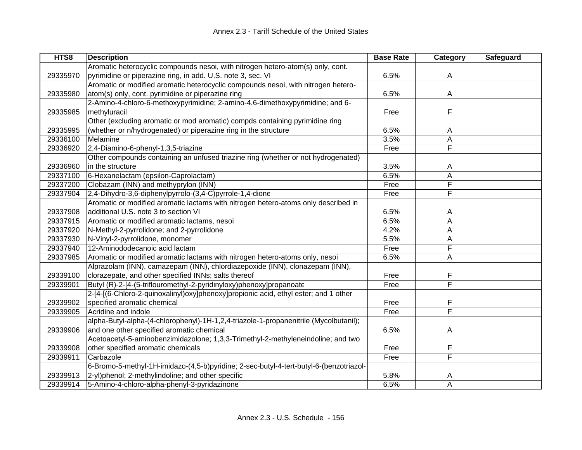| HTS8     | <b>Description</b>                                                                     | <b>Base Rate</b> | Category | Safeguard |
|----------|----------------------------------------------------------------------------------------|------------------|----------|-----------|
|          | Aromatic heterocyclic compounds nesoi, with nitrogen hetero-atom(s) only, cont.        |                  |          |           |
| 29335970 | pyrimidine or piperazine ring, in add. U.S. note 3, sec. VI                            | 6.5%             | A        |           |
|          | Aromatic or modified aromatic heterocyclic compounds nesoi, with nitrogen hetero-      |                  |          |           |
| 29335980 | atom(s) only, cont. pyrimidine or piperazine ring                                      | 6.5%             | A        |           |
|          | 2-Amino-4-chloro-6-methoxypyrimidine; 2-amino-4,6-dimethoxypyrimidine; and 6-          |                  |          |           |
| 29335985 | methyluracil                                                                           | Free             | F        |           |
|          | Other (excluding aromatic or mod aromatic) compds containing pyrimidine ring           |                  |          |           |
| 29335995 | (whether or n/hydrogenated) or piperazine ring in the structure                        | 6.5%             | A        |           |
| 29336100 | Melamine                                                                               | 3.5%             | A        |           |
| 29336920 | 2,4-Diamino-6-phenyl-1,3,5-triazine                                                    | Free             | F        |           |
|          | Other compounds containing an unfused triazine ring (whether or not hydrogenated)      |                  |          |           |
| 29336960 | in the structure                                                                       | 3.5%             | A        |           |
| 29337100 | 6-Hexanelactam (epsilon-Caprolactam)                                                   | 6.5%             | A        |           |
| 29337200 | Clobazam (INN) and methyprylon (INN)                                                   | Free             | F        |           |
| 29337904 | 2,4-Dihydro-3,6-diphenylpyrrolo-(3,4-C)pyrrole-1,4-dione                               | Free             | F        |           |
|          | Aromatic or modified aromatic lactams with nitrogen hetero-atoms only described in     |                  |          |           |
| 29337908 | additional U.S. note 3 to section VI                                                   | 6.5%             | A        |           |
| 29337915 | Aromatic or modified aromatic lactams, nesoi                                           | 6.5%             | A        |           |
| 29337920 | N-Methyl-2-pyrrolidone; and 2-pyrrolidone                                              | 4.2%             | Α        |           |
| 29337930 | N-Vinyl-2-pyrrolidone, monomer                                                         | 5.5%             | Α        |           |
| 29337940 | 12-Aminododecanoic acid lactam                                                         | Free             | F        |           |
| 29337985 | Aromatic or modified aromatic lactams with nitrogen hetero-atoms only, nesoi           | 6.5%             | Α        |           |
|          | Alprazolam (INN), camazepam (INN), chlordiazepoxide (INN), clonazepam (INN),           |                  |          |           |
| 29339100 | clorazepate, and other specified INNs; salts thereof                                   | Free             | F        |           |
| 29339901 | Butyl (R)-2-[4-(5-triflouromethyl-2-pyridinyloxy)phenoxy]propanoate                    | Free             | F        |           |
|          | 2-[4-[(6-Chloro-2-quinoxalinyl)oxy]phenoxy]propionic acid, ethyl ester; and 1 other    |                  |          |           |
| 29339902 | specified aromatic chemical                                                            | Free             | F        |           |
| 29339905 | Acridine and indole                                                                    | Free             | F        |           |
|          | alpha-Butyl-alpha-(4-chlorophenyl)-1H-1,2,4-triazole-1-propanenitrile (Mycolbutanil);  |                  |          |           |
| 29339906 | and one other specified aromatic chemical                                              | 6.5%             | A        |           |
|          | Acetoacetyl-5-aminobenzimidazolone; 1,3,3-Trimethyl-2-methyleneindoline; and two       |                  |          |           |
| 29339908 | other specified aromatic chemicals                                                     | Free             | F        |           |
| 29339911 | Carbazole                                                                              | Free             | F        |           |
|          | 6-Bromo-5-methyl-1H-imidazo-(4,5-b)pyridine; 2-sec-butyl-4-tert-butyl-6-(benzotriazol- |                  |          |           |
| 29339913 | 2-yl)phenol; 2-methylindoline; and other specific                                      | 5.8%             | Α        |           |
| 29339914 | 5-Amino-4-chloro-alpha-phenyl-3-pyridazinone                                           | 6.5%             | A        |           |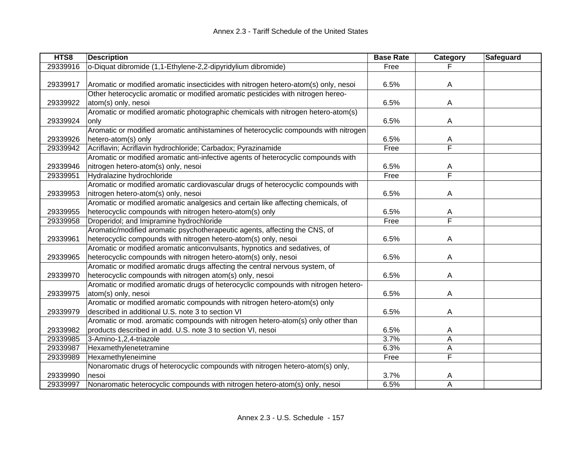| HTS8     | <b>Description</b>                                                                   | <b>Base Rate</b> | Category                | Safeguard |
|----------|--------------------------------------------------------------------------------------|------------------|-------------------------|-----------|
| 29339916 | o-Diquat dibromide (1,1-Ethylene-2,2-dipyridylium dibromide)                         | Free             |                         |           |
|          |                                                                                      |                  |                         |           |
| 29339917 | Aromatic or modified aromatic insecticides with nitrogen hetero-atom(s) only, nesoi  | 6.5%             | $\overline{A}$          |           |
|          | Other heterocyclic aromatic or modified aromatic pesticides with nitrogen hereo-     |                  |                         |           |
| 29339922 | atom(s) only, nesoi                                                                  | 6.5%             | A                       |           |
|          | Aromatic or modified aromatic photographic chemicals with nitrogen hetero-atom(s)    |                  |                         |           |
| 29339924 | only                                                                                 | 6.5%             | A                       |           |
|          | Aromatic or modified aromatic antihistamines of heterocyclic compounds with nitrogen |                  |                         |           |
| 29339926 | hetero-atom(s) only                                                                  | 6.5%             | Α                       |           |
| 29339942 | Acriflavin; Acriflavin hydrochloride; Carbadox; Pyrazinamide                         | Free             | F                       |           |
|          | Aromatic or modified aromatic anti-infective agents of heterocyclic compounds with   |                  |                         |           |
| 29339946 | nitrogen hetero-atom(s) only, nesoi                                                  | 6.5%             | A                       |           |
| 29339951 | Hydralazine hydrochloride                                                            | Free             | $\overline{\mathsf{F}}$ |           |
|          | Aromatic or modified aromatic cardiovascular drugs of heterocyclic compounds with    |                  |                         |           |
| 29339953 | nitrogen hetero-atom(s) only, nesoi                                                  | 6.5%             | A                       |           |
|          | Aromatic or modified aromatic analgesics and certain like affecting chemicals, of    |                  |                         |           |
| 29339955 | heterocyclic compounds with nitrogen hetero-atom(s) only                             | 6.5%             | Α                       |           |
| 29339958 | Droperidol; and Imipramine hydrochloride                                             | Free             | F                       |           |
|          | Aromatic/modified aromatic psychotherapeutic agents, affecting the CNS, of           |                  |                         |           |
| 29339961 | heterocyclic compounds with nitrogen hetero-atom(s) only, nesoi                      | 6.5%             | A                       |           |
|          | Aromatic or modified aromatic anticonvulsants, hypnotics and sedatives, of           |                  |                         |           |
| 29339965 | heterocyclic compounds with nitrogen hetero-atom(s) only, nesoi                      | 6.5%             | A                       |           |
|          | Aromatic or modified aromatic drugs affecting the central nervous system, of         |                  |                         |           |
| 29339970 | heterocyclic compounds with nitrogen atom(s) only, nesoi                             | 6.5%             | A                       |           |
|          | Aromatic or modified aromatic drugs of heterocyclic compounds with nitrogen hetero-  |                  |                         |           |
| 29339975 | atom(s) only, nesoi                                                                  | 6.5%             | A                       |           |
|          | Aromatic or modified aromatic compounds with nitrogen hetero-atom(s) only            |                  |                         |           |
| 29339979 | described in additional U.S. note 3 to section VI                                    | 6.5%             | A                       |           |
|          | Aromatic or mod. aromatic compounds with nitrogen hetero-atom(s) only other than     |                  |                         |           |
| 29339982 | products described in add. U.S. note 3 to section VI, nesoi                          | 6.5%             | A                       |           |
| 29339985 | 3-Amino-1,2,4-triazole                                                               | 3.7%             | A                       |           |
| 29339987 | Hexamethylenetetramine                                                               | 6.3%             | А                       |           |
| 29339989 | Hexamethyleneimine                                                                   | Free             | F                       |           |
|          | Nonaromatic drugs of heterocyclic compounds with nitrogen hetero-atom(s) only,       |                  |                         |           |
| 29339990 | nesoi                                                                                | 3.7%             | A                       |           |
| 29339997 | Nonaromatic heterocyclic compounds with nitrogen hetero-atom(s) only, nesoi          | 6.5%             | Α                       |           |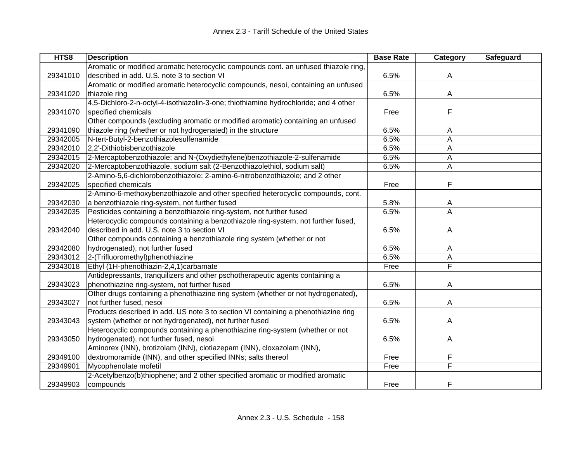| HTS8     | <b>Description</b>                                                                   | <b>Base Rate</b> | Category | Safeguard |
|----------|--------------------------------------------------------------------------------------|------------------|----------|-----------|
|          | Aromatic or modified aromatic heterocyclic compounds cont. an unfused thiazole ring, |                  |          |           |
| 29341010 | described in add. U.S. note 3 to section VI                                          | 6.5%             | A        |           |
|          | Aromatic or modified aromatic heterocyclic compounds, nesoi, containing an unfused   |                  |          |           |
| 29341020 | thiazole ring                                                                        | 6.5%             | A        |           |
|          | 4,5-Dichloro-2-n-octyl-4-isothiazolin-3-one; thiothiamine hydrochloride; and 4 other |                  |          |           |
| 29341070 | specified chemicals                                                                  | Free             | F        |           |
|          | Other compounds (excluding aromatic or modified aromatic) containing an unfused      |                  |          |           |
| 29341090 | thiazole ring (whether or not hydrogenated) in the structure                         | 6.5%             | A        |           |
| 29342005 | N-tert-Butyl-2-benzothiazolesulfenamide                                              | 6.5%             | A        |           |
| 29342010 | 2,2'-Dithiobisbenzothiazole                                                          | 6.5%             | A        |           |
| 29342015 | 2-Mercaptobenzothiazole; and N-(Oxydiethylene)benzothiazole-2-sulfenamide            | 6.5%             | A        |           |
| 29342020 | 2-Mercaptobenzothiazole, sodium salt (2-Benzothiazolethiol, sodium salt)             | 6.5%             | A        |           |
|          | 2-Amino-5,6-dichlorobenzothiazole; 2-amino-6-nitrobenzothiazole; and 2 other         |                  |          |           |
| 29342025 | specified chemicals                                                                  | Free             | F        |           |
|          | 2-Amino-6-methoxybenzothiazole and other specified heterocyclic compounds, cont.     |                  |          |           |
| 29342030 | a benzothiazole ring-system, not further fused                                       | 5.8%             | A        |           |
| 29342035 | Pesticides containing a benzothiazole ring-system, not further fused                 | 6.5%             | Α        |           |
|          | Heterocyclic compounds containing a benzothiazole ring-system, not further fused,    |                  |          |           |
| 29342040 | described in add. U.S. note 3 to section VI                                          | 6.5%             | A        |           |
|          | Other compounds containing a benzothiazole ring system (whether or not               |                  |          |           |
| 29342080 | hydrogenated), not further fused                                                     | 6.5%             | A        |           |
| 29343012 | 2-(Trifluoromethyl)phenothiazine                                                     | 6.5%             | A        |           |
| 29343018 | Ethyl (1H-phenothiazin-2,4,1)carbamate                                               | Free             | F        |           |
|          | Antidepressants, tranquilizers and other pschotherapeutic agents containing a        |                  |          |           |
| 29343023 | phenothiazine ring-system, not further fused                                         | 6.5%             | A        |           |
|          | Other drugs containing a phenothiazine ring system (whether or not hydrogenated),    |                  |          |           |
| 29343027 | not further fused, nesoi                                                             | 6.5%             | A        |           |
|          | Products described in add. US note 3 to section VI containing a phenothiazine ring   |                  |          |           |
| 29343043 | system (whether or not hydrogenated), not further fused                              | 6.5%             | A        |           |
|          | Heterocyclic compounds containing a phenothiazine ring-system (whether or not        |                  |          |           |
| 29343050 | hydrogenated), not further fused, nesoi                                              | 6.5%             | A        |           |
|          | Aminorex (INN), brotizolam (INN), clotiazepam (INN), cloxazolam (INN),               |                  |          |           |
| 29349100 | dextromoramide (INN), and other specified INNs; salts thereof                        | Free             | F        |           |
| 29349901 | Mycophenolate mofetil                                                                | Free             | F        |           |
|          | 2-Acetylbenzo(b)thiophene; and 2 other specified aromatic or modified aromatic       |                  |          |           |
| 29349903 | compounds                                                                            | Free             | F        |           |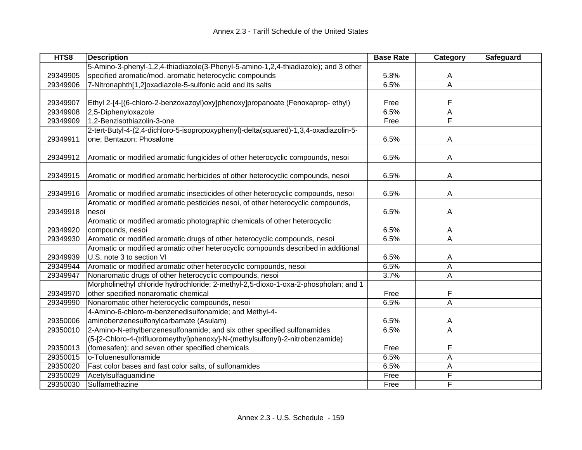| HTS8     | <b>Description</b>                                                                   | <b>Base Rate</b> | Category       | Safeguard |
|----------|--------------------------------------------------------------------------------------|------------------|----------------|-----------|
|          | 5-Amino-3-phenyl-1,2,4-thiadiazole(3-Phenyl-5-amino-1,2,4-thiadiazole); and 3 other  |                  |                |           |
| 29349905 | specified aromatic/mod. aromatic heterocyclic compounds                              | 5.8%             | A              |           |
| 29349906 | 7-Nitronaphth[1,2]oxadiazole-5-sulfonic acid and its salts                           | 6.5%             | A              |           |
|          |                                                                                      |                  |                |           |
| 29349907 | Ethyl 2-[4-[(6-chloro-2-benzoxazoyl)oxy]phenoxy]propanoate (Fenoxaprop-ethyl)        | Free             | F              |           |
| 29349908 | 2,5-Diphenyloxazole                                                                  | 6.5%             | A              |           |
| 29349909 | 1,2-Benzisothiazolin-3-one                                                           | Free             | F              |           |
|          | 2-tert-Butyl-4-(2,4-dichloro-5-isopropoxyphenyl)-delta(squared)-1,3,4-oxadiazolin-5- |                  |                |           |
| 29349911 | one; Bentazon; Phosalone                                                             | 6.5%             | $\overline{A}$ |           |
|          |                                                                                      |                  |                |           |
| 29349912 | Aromatic or modified aromatic fungicides of other heterocyclic compounds, nesoi      | 6.5%             | $\overline{A}$ |           |
|          |                                                                                      |                  |                |           |
| 29349915 | Aromatic or modified aromatic herbicides of other heterocyclic compounds, nesoi      | 6.5%             | A              |           |
|          |                                                                                      |                  |                |           |
| 29349916 | Aromatic or modified aromatic insecticides of other heterocyclic compounds, nesoi    | 6.5%             | A              |           |
|          | Aromatic or modified aromatic pesticides nesoi, of other heterocyclic compounds,     |                  |                |           |
| 29349918 | nesoi                                                                                | 6.5%             | A              |           |
|          | Aromatic or modified aromatic photographic chemicals of other heterocyclic           |                  |                |           |
| 29349920 | compounds, nesoi                                                                     | 6.5%             | A              |           |
| 29349930 | Aromatic or modified aromatic drugs of other heterocyclic compounds, nesoi           | 6.5%             | A              |           |
|          | Aromatic or modified aromatic other heterocyclic compounds described in additional   |                  |                |           |
| 29349939 | U.S. note 3 to section VI                                                            | 6.5%             | A              |           |
| 29349944 | Aromatic or modified aromatic other heterocyclic compounds, nesoi                    | 6.5%             | A              |           |
| 29349947 | Nonaromatic drugs of other heterocyclic compounds, nesoi                             | 3.7%             | A              |           |
|          | Morpholinethyl chloride hydrochloride; 2-methyl-2,5-dioxo-1-oxa-2-phospholan; and 1  |                  |                |           |
| 29349970 | other specified nonaromatic chemical                                                 | Free             | F              |           |
| 29349990 | Nonaromatic other heterocyclic compounds, nesoi                                      | 6.5%             | A              |           |
|          | 4-Amino-6-chloro-m-benzenedisulfonamide; and Methyl-4-                               |                  |                |           |
| 29350006 | aminobenzenesulfonylcarbamate (Asulam)                                               | 6.5%             | A              |           |
| 29350010 | 2-Amino-N-ethylbenzenesulfonamide; and six other specified sulfonamides              | 6.5%             | A              |           |
|          | (5-[2-Chloro-4-(trifluoromeythyl)phenoxy]-N-(methylsulfonyl)-2-nitrobenzamide)       |                  |                |           |
| 29350013 | (fomesafen); and seven other specified chemicals                                     | Free             | F              |           |
| 29350015 | o-Toluenesulfonamide                                                                 | 6.5%             | A              |           |
| 29350020 | Fast color bases and fast color salts, of sulfonamides                               | 6.5%             | Α              |           |
| 29350029 | Acetylsulfaguanidine                                                                 | Free             | F              |           |
| 29350030 | Sulfamethazine                                                                       | Free             | F              |           |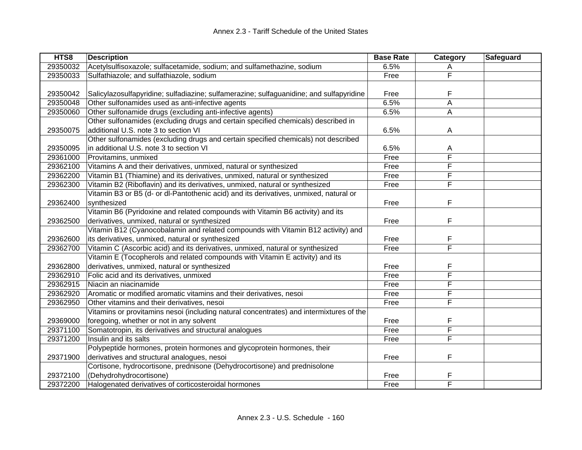| HTS8     | <b>Description</b>                                                                      | <b>Base Rate</b> | Category    | Safeguard |
|----------|-----------------------------------------------------------------------------------------|------------------|-------------|-----------|
| 29350032 | Acetylsulfisoxazole; sulfacetamide, sodium; and sulfamethazine, sodium                  | 6.5%             | A           |           |
| 29350033 | Sulfathiazole; and sulfathiazole, sodium                                                | Free             | F           |           |
|          |                                                                                         |                  |             |           |
| 29350042 | Salicylazosulfapyridine; sulfadiazine; sulfamerazine; sulfaguanidine; and sulfapyridine | Free             | F           |           |
| 29350048 | Other sulfonamides used as anti-infective agents                                        | 6.5%             | $\mathsf A$ |           |
| 29350060 | Other sulfonamide drugs (excluding anti-infective agents)                               | 6.5%             | A           |           |
|          | Other sulfonamides (excluding drugs and certain specified chemicals) described in       |                  |             |           |
| 29350075 | additional U.S. note 3 to section VI                                                    | 6.5%             | A           |           |
|          | Other sulfonamides (excluding drugs and certain specified chemicals) not described      |                  |             |           |
| 29350095 | in additional U.S. note 3 to section VI                                                 | 6.5%             | A           |           |
| 29361000 | Provitamins, unmixed                                                                    | Free             | F           |           |
| 29362100 | Vitamins A and their derivatives, unmixed, natural or synthesized                       | Free             | F           |           |
| 29362200 | Vitamin B1 (Thiamine) and its derivatives, unmixed, natural or synthesized              | Free             | F           |           |
| 29362300 | Vitamin B2 (Riboflavin) and its derivatives, unmixed, natural or synthesized            | Free             | F           |           |
|          | Vitamin B3 or B5 (d- or dl-Pantothenic acid) and its derivatives, unmixed, natural or   |                  |             |           |
| 29362400 | synthesized                                                                             | Free             | F           |           |
|          | Vitamin B6 (Pyridoxine and related compounds with Vitamin B6 activity) and its          |                  |             |           |
| 29362500 | derivatives, unmixed, natural or synthesized                                            | Free             | F           |           |
|          | Vitamin B12 (Cyanocobalamin and related compounds with Vitamin B12 activity) and        |                  |             |           |
| 29362600 | its derivatives, unmixed, natural or synthesized                                        | Free             | F           |           |
| 29362700 | Vitamin C (Ascorbic acid) and its derivatives, unmixed, natural or synthesized          | Free             | F           |           |
|          | Vitamin E (Tocopherols and related compounds with Vitamin E activity) and its           |                  |             |           |
| 29362800 | derivatives, unmixed, natural or synthesized                                            | Free             | F           |           |
| 29362910 | Folic acid and its derivatives, unmixed                                                 | Free             | F           |           |
| 29362915 | Niacin an niacinamide                                                                   | Free             | F           |           |
| 29362920 | Aromatic or modified aromatic vitamins and their derivatives, nesoi                     | Free             | F           |           |
| 29362950 | Other vitamins and their derivatives, nesoi                                             | Free             | F           |           |
|          | Vitamins or provitamins nesoi (including natural concentrates) and intermixtures of the |                  |             |           |
| 29369000 | foregoing, whether or not in any solvent                                                | Free             | F           |           |
| 29371100 | Somatotropin, its derivatives and structural analogues                                  | Free             | F           |           |
| 29371200 | Insulin and its salts                                                                   | Free             | F           |           |
|          | Polypeptide hormones, protein hormones and glycoprotein hormones, their                 |                  |             |           |
| 29371900 | derivatives and structural analogues, nesoi                                             | Free             | F           |           |
|          | Cortisone, hydrocortisone, prednisone (Dehydrocortisone) and prednisolone               |                  |             |           |
| 29372100 | (Dehydrohydrocortisone)                                                                 | Free             | F           |           |
| 29372200 | Halogenated derivatives of corticosteroidal hormones                                    | Free             | F           |           |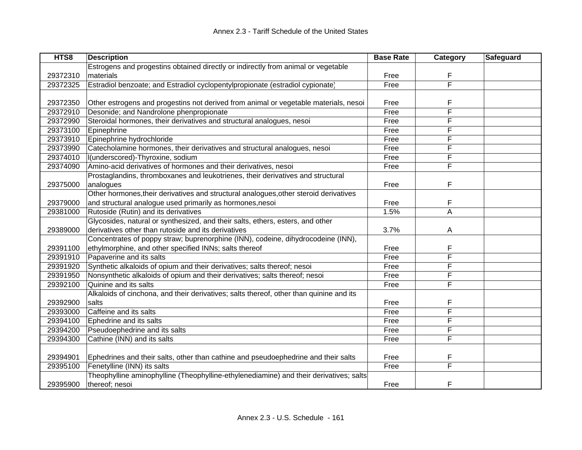| HTS8     | <b>Description</b>                                                                      | <b>Base Rate</b> | Category                | Safeguard |
|----------|-----------------------------------------------------------------------------------------|------------------|-------------------------|-----------|
|          | Estrogens and progestins obtained directly or indirectly from animal or vegetable       |                  |                         |           |
| 29372310 | materials                                                                               | Free             | F                       |           |
| 29372325 | Estradiol benzoate; and Estradiol cyclopentylpropionate (estradiol cypionate)           | Free             | F                       |           |
|          |                                                                                         |                  |                         |           |
| 29372350 | Other estrogens and progestins not derived from animal or vegetable materials, nesoi    | Free             | F                       |           |
| 29372910 | Desonide; and Nandrolone phenpropionate                                                 | Free             | F                       |           |
| 29372990 | Steroidal hormones, their derivatives and structural analogues, nesoi                   | Free             | F                       |           |
| 29373100 | Epinephrine                                                                             | Free             | F                       |           |
| 29373910 | Epinephrine hydrochloride                                                               | Free             | F                       |           |
| 29373990 | Catecholamine hormones, their derivatives and structural analogues, nesoi               | Free             | F                       |           |
| 29374010 | I(underscored)-Thyroxine, sodium                                                        | Free             | F                       |           |
| 29374090 | Amino-acid derivatives of hormones and their derivatives, nesoi                         | Free             | F                       |           |
|          | Prostaglandins, thromboxanes and leukotrienes, their derivatives and structural         |                  |                         |           |
| 29375000 | analogues                                                                               | Free             | F                       |           |
|          | Other hormones, their derivatives and structural analogues, other steroid derivatives   |                  |                         |           |
| 29379000 | and structural analogue used primarily as hormones, nesoi                               | Free             | F                       |           |
| 29381000 | Rutoside (Rutin) and its derivatives                                                    | 1.5%             | A                       |           |
|          | Glycosides, natural or synthesized, and their salts, ethers, esters, and other          |                  |                         |           |
| 29389000 | derivatives other than rutoside and its derivatives                                     | 3.7%             | A                       |           |
|          | Concentrates of poppy straw; buprenorphine (INN), codeine, dihydrocodeine (INN),        |                  |                         |           |
| 29391100 | ethylmorphine, and other specified INNs; salts thereof                                  | Free             | F                       |           |
| 29391910 | Papaverine and its salts                                                                | Free             | F                       |           |
| 29391920 | Synthetic alkaloids of opium and their derivatives; salts thereof; nesoi                | Free             | F                       |           |
| 29391950 | Nonsynthetic alkaloids of opium and their derivatives; salts thereof; nesoi             | Free             | F                       |           |
| 29392100 | Quinine and its salts                                                                   | Free             | F                       |           |
|          | Alkaloids of cinchona, and their derivatives; salts thereof, other than quinine and its |                  |                         |           |
| 29392900 | salts                                                                                   | Free             | F                       |           |
| 29393000 | Caffeine and its salts                                                                  | Free             | F                       |           |
| 29394100 | Ephedrine and its salts                                                                 | Free             | F                       |           |
| 29394200 | Pseudoephedrine and its salts                                                           | Free             | F                       |           |
| 29394300 | Cathine (INN) and its salts                                                             | Free             | F                       |           |
|          |                                                                                         |                  |                         |           |
| 29394901 | Ephedrines and their salts, other than cathine and pseudoephedrine and their salts      | Free             | F                       |           |
| 29395100 | Fenetylline (INN) its salts                                                             | Free             | $\overline{\mathsf{F}}$ |           |
|          | Theophylline aminophylline (Theophylline-ethylenediamine) and their derivatives; salts  |                  |                         |           |
| 29395900 | thereof; nesoi                                                                          | Free             | F                       |           |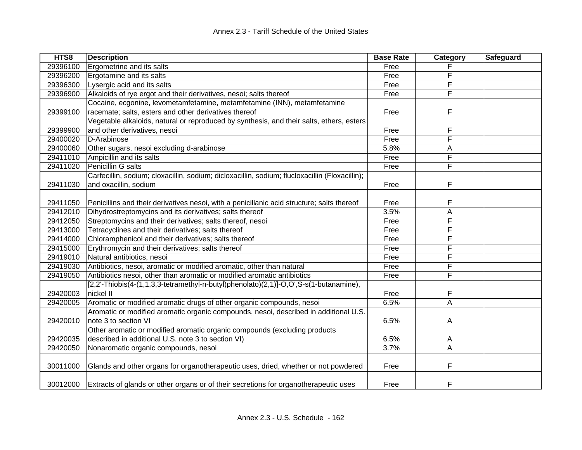| HTS8     | <b>Description</b>                                                                               | <b>Base Rate</b> | Category                | Safeguard |
|----------|--------------------------------------------------------------------------------------------------|------------------|-------------------------|-----------|
| 29396100 | Ergometrine and its salts                                                                        | Free             |                         |           |
| 29396200 | Ergotamine and its salts                                                                         | Free             | F                       |           |
| 29396300 | Lysergic acid and its salts                                                                      | Free             | F                       |           |
| 29396900 | Alkaloids of rye ergot and their derivatives, nesoi; salts thereof                               | Free             | F                       |           |
|          | Cocaine, ecgonine, levometamfetamine, metamfetamine (INN), metamfetamine                         |                  |                         |           |
| 29399100 | racemate; salts, esters and other derivatives thereof                                            | Free             | F                       |           |
|          | Vegetable alkaloids, natural or reproduced by synthesis, and their salts, ethers, esters         |                  |                         |           |
| 29399900 | and other derivatives, nesoi                                                                     | Free             | F                       |           |
| 29400020 | D-Arabinose                                                                                      | Free             | F                       |           |
| 29400060 | Other sugars, nesoi excluding d-arabinose                                                        | 5.8%             | A                       |           |
| 29411010 | Ampicillin and its salts                                                                         | Free             | F                       |           |
| 29411020 | Penicillin G salts                                                                               | Free             | F                       |           |
|          | Carfecillin, sodium; cloxacillin, sodium; dicloxacillin, sodium; flucloxacillin (Floxacillin);   |                  |                         |           |
| 29411030 | and oxacillin, sodium                                                                            | Free             | F                       |           |
|          |                                                                                                  |                  |                         |           |
| 29411050 | Penicillins and their derivatives nesoi, with a penicillanic acid structure; salts thereof       | Free             | F                       |           |
| 29412010 | Dihydrostreptomycins and its derivatives; salts thereof                                          | 3.5%             | A                       |           |
| 29412050 | Streptomycins and their derivatives; salts thereof, nesoi                                        | Free             | F                       |           |
| 29413000 | Tetracyclines and their derivatives; salts thereof                                               | Free             | F                       |           |
| 29414000 | Chloramphenicol and their derivatives; salts thereof                                             | Free             | F                       |           |
| 29415000 | Erythromycin and their derivatives; salts thereof                                                | Free             | F                       |           |
| 29419010 | Natural antibiotics, nesoi                                                                       | Free             | F                       |           |
| 29419030 | Antibiotics, nesoi, aromatic or modified aromatic, other than natural                            | Free             | F                       |           |
| 29419050 | Antibiotics nesoi, other than aromatic or modified aromatic antibiotics                          | Free             | F                       |           |
|          | $[2,2'-\text{Thiobis}(4-(1,1,3,3-tetramethyl-n-butyl)phenolato)(2,1)]-O, O', S-s(1-butanamine),$ |                  |                         |           |
| 29420003 | nickel II                                                                                        | Free             | F                       |           |
| 29420005 | Aromatic or modified aromatic drugs of other organic compounds, nesoi                            | 6.5%             | $\overline{\mathsf{A}}$ |           |
|          | Aromatic or modified aromatic organic compounds, nesoi, described in additional U.S.             |                  |                         |           |
| 29420010 | note 3 to section VI                                                                             | 6.5%             | A                       |           |
|          | Other aromatic or modified aromatic organic compounds (excluding products                        |                  |                         |           |
| 29420035 | described in additional U.S. note 3 to section VI)                                               | 6.5%             | A                       |           |
| 29420050 | Nonaromatic organic compounds, nesoi                                                             | 3.7%             | A                       |           |
|          |                                                                                                  |                  |                         |           |
| 30011000 | Glands and other organs for organotherapeutic uses, dried, whether or not powdered               | Free             | F                       |           |
|          |                                                                                                  |                  |                         |           |
| 30012000 | Extracts of glands or other organs or of their secretions for organotherapeutic uses             | Free             | F                       |           |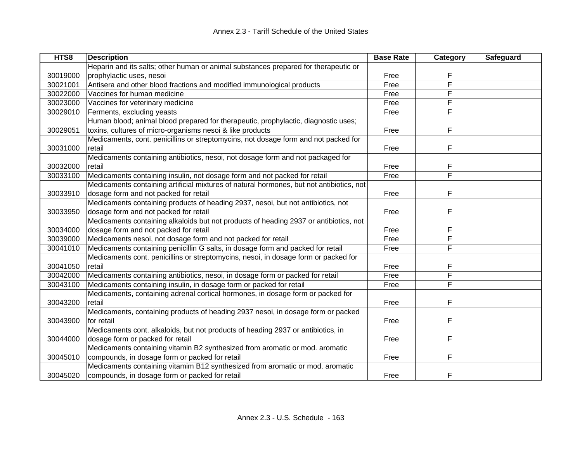| HTS8     | <b>Description</b>                                                                       | <b>Base Rate</b> | Category | Safeguard |
|----------|------------------------------------------------------------------------------------------|------------------|----------|-----------|
|          | Heparin and its salts; other human or animal substances prepared for therapeutic or      |                  |          |           |
| 30019000 | prophylactic uses, nesoi                                                                 | Free             | F        |           |
| 30021001 | Antisera and other blood fractions and modified immunological products                   | Free             | F        |           |
| 30022000 | Vaccines for human medicine                                                              | Free             | F        |           |
| 30023000 | Vaccines for veterinary medicine                                                         | Free             | F        |           |
| 30029010 | Ferments, excluding yeasts                                                               | Free             | F        |           |
|          | Human blood; animal blood prepared for therapeutic, prophylactic, diagnostic uses;       |                  |          |           |
| 30029051 | toxins, cultures of micro-organisms nesoi & like products                                | Free             | F        |           |
|          | Medicaments, cont. penicillins or streptomycins, not dosage form and not packed for      |                  |          |           |
| 30031000 | retail                                                                                   | Free             | F        |           |
|          | Medicaments containing antibiotics, nesoi, not dosage form and not packaged for          |                  |          |           |
| 30032000 | retail                                                                                   | Free             | F        |           |
| 30033100 | Medicaments containing insulin, not dosage form and not packed for retail                | Free             | F        |           |
|          | Medicaments containing artificial mixtures of natural hormones, but not antibiotics, not |                  |          |           |
| 30033910 | dosage form and not packed for retail                                                    | Free             | F        |           |
|          | Medicaments containing products of heading 2937, nesoi, but not antibiotics, not         |                  |          |           |
| 30033950 | dosage form and not packed for retail                                                    | Free             | F        |           |
|          | Medicaments containing alkaloids but not products of heading 2937 or antibiotics, not    |                  |          |           |
| 30034000 | dosage form and not packed for retail                                                    | Free             | F        |           |
| 30039000 | Medicaments nesoi, not dosage form and not packed for retail                             | Free             | F        |           |
| 30041010 | Medicaments containing penicillin G salts, in dosage form and packed for retail          | Free             | F        |           |
|          | Medicaments cont. penicillins or streptomycins, nesoi, in dosage form or packed for      |                  |          |           |
| 30041050 | retail                                                                                   | Free             | F        |           |
| 30042000 | Medicaments containing antibiotics, nesoi, in dosage form or packed for retail           | Free             | F        |           |
| 30043100 | Medicaments containing insulin, in dosage form or packed for retail                      | Free             | F        |           |
|          | Medicaments, containing adrenal cortical hormones, in dosage form or packed for          |                  |          |           |
| 30043200 | retail                                                                                   | Free             | F        |           |
|          | Medicaments, containing products of heading 2937 nesoi, in dosage form or packed         |                  |          |           |
| 30043900 | for retail                                                                               | Free             | F        |           |
|          | Medicaments cont. alkaloids, but not products of heading 2937 or antibiotics, in         |                  |          |           |
| 30044000 | dosage form or packed for retail                                                         | Free             | F        |           |
|          | Medicaments containing vitamin B2 synthesized from aromatic or mod. aromatic             |                  |          |           |
| 30045010 | compounds, in dosage form or packed for retail                                           | Free             | F        |           |
|          | Medicaments containing vitamim B12 synthesized from aromatic or mod. aromatic            |                  |          |           |
| 30045020 | compounds, in dosage form or packed for retail                                           | Free             | F        |           |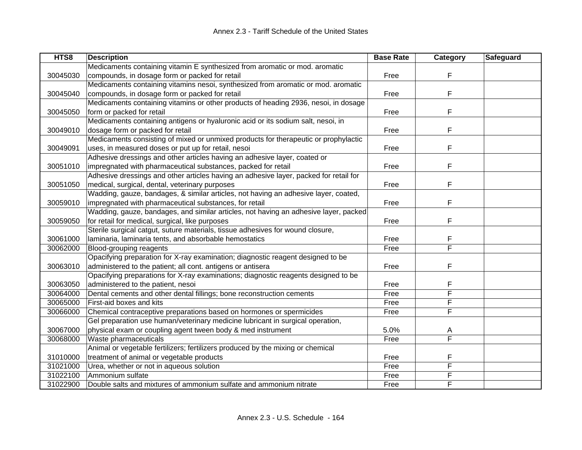| HTS8     | <b>Description</b>                                                                    | <b>Base Rate</b> | Category | Safeguard |
|----------|---------------------------------------------------------------------------------------|------------------|----------|-----------|
|          | Medicaments containing vitamin E synthesized from aromatic or mod. aromatic           |                  |          |           |
| 30045030 | compounds, in dosage form or packed for retail                                        | Free             | F        |           |
|          | Medicaments containing vitamins nesoi, synthesized from aromatic or mod. aromatic     |                  |          |           |
| 30045040 | compounds, in dosage form or packed for retail                                        | Free             | F        |           |
|          | Medicaments containing vitamins or other products of heading 2936, nesoi, in dosage   |                  |          |           |
| 30045050 | form or packed for retail                                                             | Free             | F        |           |
|          | Medicaments containing antigens or hyaluronic acid or its sodium salt, nesoi, in      |                  |          |           |
| 30049010 | dosage form or packed for retail                                                      | Free             | F        |           |
|          | Medicaments consisting of mixed or unmixed products for therapeutic or prophylactic   |                  |          |           |
| 30049091 | uses, in measured doses or put up for retail, nesoi                                   | Free             | F        |           |
|          | Adhesive dressings and other articles having an adhesive layer, coated or             |                  |          |           |
| 30051010 | impregnated with pharmaceutical substances, packed for retail                         | Free             | F        |           |
|          | Adhesive dressings and other articles having an adhesive layer, packed for retail for |                  |          |           |
| 30051050 | medical, surgical, dental, veterinary purposes                                        | Free             | F        |           |
|          | Wadding, gauze, bandages, & similar articles, not having an adhesive layer, coated,   |                  |          |           |
| 30059010 | impregnated with pharmaceutical substances, for retail                                | Free             | F        |           |
|          | Wadding, gauze, bandages, and similar articles, not having an adhesive layer, packed  |                  |          |           |
| 30059050 | for retail for medical, surgical, like purposes                                       | Free             | F        |           |
|          | Sterile surgical catgut, suture materials, tissue adhesives for wound closure,        |                  |          |           |
| 30061000 | laminaria, laminaria tents, and absorbable hemostatics                                | Free             | F        |           |
| 30062000 | Blood-grouping reagents                                                               | Free             | F        |           |
|          | Opacifying preparation for X-ray examination; diagnostic reagent designed to be       |                  |          |           |
| 30063010 | administered to the patient; all cont. antigens or antisera                           | Free             | F        |           |
|          | Opacifying preparations for X-ray examinations; diagnostic reagents designed to be    |                  |          |           |
| 30063050 | administered to the patient, nesoi                                                    | Free             | F        |           |
| 30064000 | Dental cements and other dental fillings; bone reconstruction cements                 | Free             | F        |           |
| 30065000 | First-aid boxes and kits                                                              | Free             | F        |           |
| 30066000 | Chemical contraceptive preparations based on hormones or spermicides                  | Free             | F        |           |
|          | Gel preparation use human/veterinary medicine lubricant in surgical operation,        |                  |          |           |
| 30067000 | physical exam or coupling agent tween body & med instrument                           | 5.0%             | A        |           |
| 30068000 | Waste pharmaceuticals                                                                 | Free             | F        |           |
|          | Animal or vegetable fertilizers; fertilizers produced by the mixing or chemical       |                  |          |           |
| 31010000 | treatment of animal or vegetable products                                             | Free             | F        |           |
| 31021000 | Urea, whether or not in aqueous solution                                              | Free             | F        |           |
| 31022100 | Ammonium sulfate                                                                      | Free             | F        |           |
| 31022900 | Double salts and mixtures of ammonium sulfate and ammonium nitrate                    | Free             | F        |           |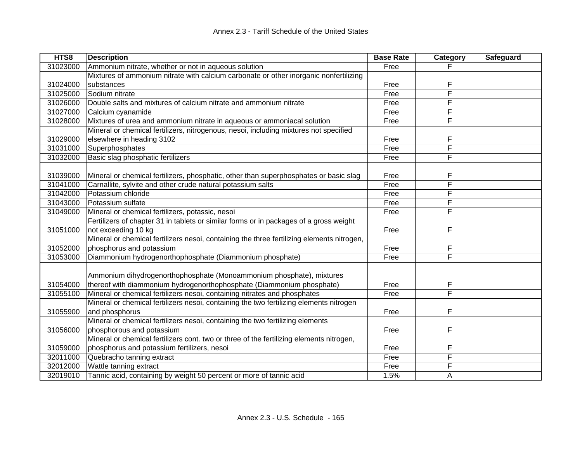| HTS8     | <b>Description</b>                                                                         | <b>Base Rate</b> | Category | <b>Safeguard</b> |
|----------|--------------------------------------------------------------------------------------------|------------------|----------|------------------|
| 31023000 | Ammonium nitrate, whether or not in aqueous solution                                       | Free             |          |                  |
|          | Mixtures of ammonium nitrate with calcium carbonate or other inorganic nonfertilizing      |                  |          |                  |
| 31024000 | substances                                                                                 | Free             | F        |                  |
| 31025000 | Sodium nitrate                                                                             | Free             | F        |                  |
| 31026000 | Double salts and mixtures of calcium nitrate and ammonium nitrate                          | Free             | F        |                  |
| 31027000 | Calcium cyanamide                                                                          | Free             | F        |                  |
| 31028000 | Mixtures of urea and ammonium nitrate in aqueous or ammoniacal solution                    | Free             | F        |                  |
|          | Mineral or chemical fertilizers, nitrogenous, nesoi, including mixtures not specified      |                  |          |                  |
| 31029000 | elsewhere in heading 3102                                                                  | Free             | F        |                  |
| 31031000 | Superphosphates                                                                            | Free             | F        |                  |
| 31032000 | Basic slag phosphatic fertilizers                                                          | Free             | F        |                  |
|          |                                                                                            |                  |          |                  |
| 31039000 | Mineral or chemical fertilizers, phosphatic, other than superphosphates or basic slag      | Free             | F        |                  |
| 31041000 | Carnallite, sylvite and other crude natural potassium salts                                | Free             | F        |                  |
| 31042000 | Potassium chloride                                                                         | Free             | F        |                  |
| 31043000 | Potassium sulfate                                                                          | Free             | F        |                  |
| 31049000 | Mineral or chemical fertilizers, potassic, nesoi                                           | Free             | F        |                  |
|          | Fertilizers of chapter 31 in tablets or similar forms or in packages of a gross weight     |                  |          |                  |
| 31051000 | not exceeding 10 kg                                                                        | Free             | F        |                  |
|          | Mineral or chemical fertilizers nesoi, containing the three fertilizing elements nitrogen, |                  |          |                  |
| 31052000 | phosphorus and potassium                                                                   | Free             | F        |                  |
| 31053000 | Diammonium hydrogenorthophosphate (Diammonium phosphate)                                   | Free             | F        |                  |
|          |                                                                                            |                  |          |                  |
|          | Ammonium dihydrogenorthophosphate (Monoammonium phosphate), mixtures                       |                  |          |                  |
| 31054000 | thereof with diammonium hydrogenorthophosphate (Diammonium phosphate)                      | Free             | F        |                  |
| 31055100 | Mineral or chemical fertilizers nesoi, containing nitrates and phosphates                  | Free             | E        |                  |
|          | Mineral or chemical fertilizers nesoi, containing the two fertilizing elements nitrogen    |                  |          |                  |
| 31055900 | and phosphorus                                                                             | Free             | F        |                  |
|          | Mineral or chemical fertilizers nesoi, containing the two fertilizing elements             |                  |          |                  |
| 31056000 | phosphorous and potassium                                                                  | Free             | F        |                  |
|          | Mineral or chemical fertilizers cont. two or three of the fertilizing elements nitrogen,   |                  |          |                  |
| 31059000 | phosphorus and potassium fertilizers, nesoi                                                | Free             | F        |                  |
| 32011000 | Quebracho tanning extract                                                                  | Free             | F        |                  |
| 32012000 | Wattle tanning extract                                                                     | Free             | F        |                  |
| 32019010 | Tannic acid, containing by weight 50 percent or more of tannic acid                        | 1.5%             | A        |                  |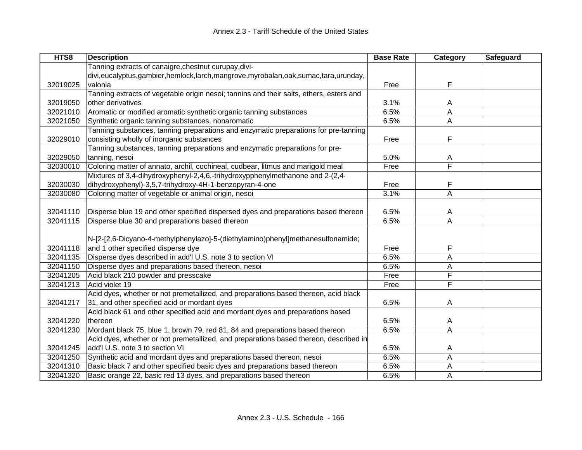| HTS8     | <b>Description</b>                                                                      | <b>Base Rate</b> | Category | <b>Safeguard</b> |
|----------|-----------------------------------------------------------------------------------------|------------------|----------|------------------|
|          | Tanning extracts of canaigre, chestnut curupay, divi-                                   |                  |          |                  |
|          | divi,eucalyptus,gambier,hemlock,larch,mangrove,myrobalan,oak,sumac,tara,urunday,        |                  |          |                  |
| 32019025 | valonia                                                                                 | Free             | F        |                  |
|          | Tanning extracts of vegetable origin nesoi; tannins and their salts, ethers, esters and |                  |          |                  |
| 32019050 | other derivatives                                                                       | 3.1%             | A        |                  |
| 32021010 | Aromatic or modified aromatic synthetic organic tanning substances                      | 6.5%             | A        |                  |
| 32021050 | Synthetic organic tanning substances, nonaromatic                                       | 6.5%             | A        |                  |
|          | Tanning substances, tanning preparations and enzymatic preparations for pre-tanning     |                  |          |                  |
| 32029010 | consisting wholly of inorganic substances                                               | Free             | F        |                  |
|          | Tanning substances, tanning preparations and enzymatic preparations for pre-            |                  |          |                  |
| 32029050 | tanning, nesoi                                                                          | 5.0%             | A        |                  |
| 32030010 | Coloring matter of annato, archil, cochineal, cudbear, litmus and marigold meal         | Free             | F        |                  |
|          | Mixtures of 3,4-dihydroxyphenyl-2,4,6,-trihydroxypphenylmethanone and 2-(2,4-           |                  |          |                  |
| 32030030 | dihydroxyphenyl)-3,5,7-trihydroxy-4H-1-benzopyran-4-one                                 | Free             | F        |                  |
| 32030080 | Coloring matter of vegetable or animal origin, nesoi                                    | 3.1%             | A        |                  |
|          |                                                                                         |                  |          |                  |
| 32041110 | Disperse blue 19 and other specified dispersed dyes and preparations based thereon      | 6.5%             | A        |                  |
| 32041115 | Disperse blue 30 and preparations based thereon                                         | 6.5%             | A        |                  |
|          |                                                                                         |                  |          |                  |
|          | N-[2-[2,6-Dicyano-4-methylphenylazo]-5-(diethylamino)phenyl]methanesulfonamide;         |                  |          |                  |
| 32041118 | and 1 other specified disperse dye                                                      | Free             | F        |                  |
| 32041135 | Disperse dyes described in add'l U.S. note 3 to section VI                              | 6.5%             | A        |                  |
| 32041150 | Disperse dyes and preparations based thereon, nesoi                                     | 6.5%             | A        |                  |
| 32041205 | Acid black 210 powder and presscake                                                     | Free             | F        |                  |
| 32041213 | Acid violet 19                                                                          | Free             | F        |                  |
|          | Acid dyes, whether or not premetallized, and preparations based thereon, acid black     |                  |          |                  |
| 32041217 | 31, and other specified acid or mordant dyes                                            | 6.5%             | A        |                  |
|          | Acid black 61 and other specified acid and mordant dyes and preparations based          |                  |          |                  |
| 32041220 | thereon                                                                                 | 6.5%             | A        |                  |
| 32041230 | Mordant black 75, blue 1, brown 79, red 81, 84 and preparations based thereon           | 6.5%             | A        |                  |
|          | Acid dyes, whether or not premetallized, and preparations based thereon, described in   |                  |          |                  |
| 32041245 | add'l U.S. note 3 to section VI                                                         | 6.5%             | A        |                  |
| 32041250 | Synthetic acid and mordant dyes and preparations based thereon, nesoi                   | 6.5%             | A        |                  |
| 32041310 | Basic black 7 and other specified basic dyes and preparations based thereon             | 6.5%             | Α        |                  |
| 32041320 | Basic orange 22, basic red 13 dyes, and preparations based thereon                      | 6.5%             | A        |                  |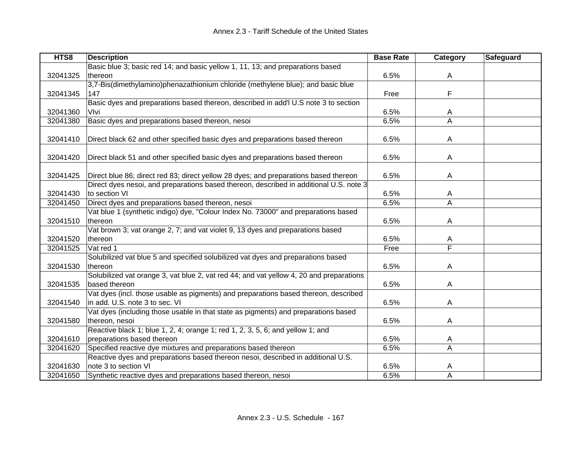| HTS8     | <b>Description</b>                                                                      | <b>Base Rate</b> | Category                | Safeguard |
|----------|-----------------------------------------------------------------------------------------|------------------|-------------------------|-----------|
|          | Basic blue 3; basic red 14; and basic yellow 1, 11, 13; and preparations based          |                  |                         |           |
| 32041325 | thereon                                                                                 | 6.5%             | A                       |           |
|          | 3,7-Bis(dimethylamino)phenazathionium chloride (methylene blue); and basic blue         |                  |                         |           |
| 32041345 | 147                                                                                     | Free             | F                       |           |
|          | Basic dyes and preparations based thereon, described in add'l U.S note 3 to section     |                  |                         |           |
| 32041360 | Vlvi                                                                                    | 6.5%             | A                       |           |
| 32041380 | Basic dyes and preparations based thereon, nesoi                                        | 6.5%             | A                       |           |
|          |                                                                                         |                  |                         |           |
| 32041410 | Direct black 62 and other specified basic dyes and preparations based thereon           | 6.5%             | A                       |           |
|          |                                                                                         |                  |                         |           |
| 32041420 | Direct black 51 and other specified basic dyes and preparations based thereon           | 6.5%             | A                       |           |
|          |                                                                                         |                  |                         |           |
| 32041425 | Direct blue 86; direct red 83; direct yellow 28 dyes; and preparations based thereon    | 6.5%             | A                       |           |
|          | Direct dyes nesoi, and preparations based thereon, described in additional U.S. note 3  |                  |                         |           |
| 32041430 | to section VI                                                                           | 6.5%             | A                       |           |
| 32041450 | Direct dyes and preparations based thereon, nesoi                                       | 6.5%             | A                       |           |
|          | Vat blue 1 (synthetic indigo) dye, "Colour Index No. 73000" and preparations based      |                  |                         |           |
| 32041510 | thereon                                                                                 | 6.5%             | A                       |           |
|          | Vat brown 3; vat orange 2, 7; and vat violet 9, 13 dyes and preparations based          |                  |                         |           |
| 32041520 | thereon                                                                                 | 6.5%             | Α                       |           |
| 32041525 | Vat red 1                                                                               | Free             | $\overline{\mathsf{F}}$ |           |
|          | Solubilized vat blue 5 and specified solubilized vat dyes and preparations based        |                  |                         |           |
| 32041530 | thereon                                                                                 | 6.5%             | A                       |           |
|          | Solubilized vat orange 3, vat blue 2, vat red 44; and vat yellow 4, 20 and preparations |                  |                         |           |
| 32041535 | based thereon                                                                           | 6.5%             | A                       |           |
|          | Vat dyes (incl. those usable as pigments) and preparations based thereon, described     |                  |                         |           |
| 32041540 | in add. U.S. note 3 to sec. VI                                                          | 6.5%             | A                       |           |
|          | Vat dyes (including those usable in that state as pigments) and preparations based      |                  |                         |           |
| 32041580 | thereon, nesoi                                                                          | 6.5%             | A                       |           |
|          | Reactive black 1; blue 1, 2, 4; orange 1; red 1, 2, 3, 5, 6; and yellow 1; and          |                  |                         |           |
| 32041610 | preparations based thereon                                                              | 6.5%             | A                       |           |
| 32041620 | Specified reactive dye mixtures and preparations based thereon                          | 6.5%             | A                       |           |
|          | Reactive dyes and preparations based thereon nesoi, described in additional U.S.        |                  |                         |           |
| 32041630 | note 3 to section VI                                                                    | 6.5%             | A                       |           |
| 32041650 | Synthetic reactive dyes and preparations based thereon, nesoi                           | 6.5%             | A                       |           |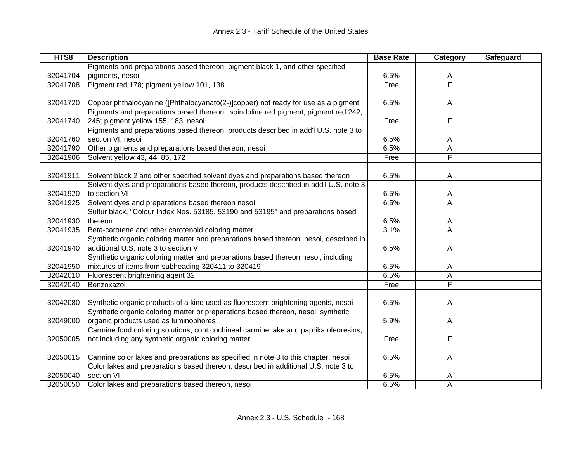| HTS8     | <b>Description</b>                                                                    | <b>Base Rate</b> | Category       | Safeguard |
|----------|---------------------------------------------------------------------------------------|------------------|----------------|-----------|
|          | Pigments and preparations based thereon, pigment black 1, and other specified         |                  |                |           |
| 32041704 | pigments, nesoi                                                                       | 6.5%             | A              |           |
| 32041708 | Pigment red 178; pigment yellow 101, 138                                              | Free             | F              |           |
|          |                                                                                       |                  |                |           |
| 32041720 | Copper phthalocyanine ([Phthalocyanato(2-)]copper) not ready for use as a pigment     | 6.5%             | A              |           |
|          | Pigments and preparations based thereon, isoindoline red pigment; pigment red 242,    |                  |                |           |
| 32041740 | 245; pigment yellow 155, 183, nesoi                                                   | Free             | F              |           |
|          | Pigments and preparations based thereon, products described in add'l U.S. note 3 to   |                  |                |           |
| 32041760 | section VI, nesoi                                                                     | 6.5%             | A              |           |
| 32041790 | Other pigments and preparations based thereon, nesoi                                  | 6.5%             | A              |           |
| 32041906 | Solvent yellow 43, 44, 85, 172                                                        | Free             | F              |           |
|          |                                                                                       |                  |                |           |
| 32041911 | Solvent black 2 and other specified solvent dyes and preparations based thereon       | 6.5%             | A              |           |
|          | Solvent dyes and preparations based thereon, products described in add'l U.S. note 3  |                  |                |           |
| 32041920 | to section VI                                                                         | 6.5%             | A              |           |
| 32041925 | Solvent dyes and preparations based thereon nesoi                                     | 6.5%             | A              |           |
|          | Sulfur black, "Colour Index Nos. 53185, 53190 and 53195" and preparations based       |                  |                |           |
| 32041930 | thereon                                                                               | 6.5%             | A              |           |
| 32041935 | Beta-carotene and other carotenoid coloring matter                                    | 3.1%             | A              |           |
|          | Synthetic organic coloring matter and preparations based thereon, nesoi, described in |                  |                |           |
| 32041940 | additional U.S. note 3 to section VI                                                  | 6.5%             | A              |           |
|          | Synthetic organic coloring matter and preparations based thereon nesoi, including     |                  |                |           |
| 32041950 | mixtures of items from subheading 320411 to 320419                                    | 6.5%             | A              |           |
| 32042010 | Fluorescent brightening agent 32                                                      | 6.5%             | $\overline{A}$ |           |
| 32042040 | Benzoxazol                                                                            | Free             | F              |           |
|          |                                                                                       |                  |                |           |
| 32042080 | Synthetic organic products of a kind used as fluorescent brightening agents, nesoi    | 6.5%             | A              |           |
|          | Synthetic organic coloring matter or preparations based thereon, nesoi; synthetic     |                  |                |           |
| 32049000 | organic products used as luminophores                                                 | 5.9%             | A              |           |
|          | Carmine food coloring solutions, cont cochineal carmine lake and paprika oleoresins,  |                  |                |           |
| 32050005 | not including any synthetic organic coloring matter                                   | Free             | F              |           |
|          |                                                                                       |                  |                |           |
| 32050015 | Carmine color lakes and preparations as specified in note 3 to this chapter, nesoi    | 6.5%             | Α              |           |
|          | Color lakes and preparations based thereon, described in additional U.S. note 3 to    |                  |                |           |
| 32050040 | section VI                                                                            | 6.5%             | A              |           |
| 32050050 | Color lakes and preparations based thereon, nesoi                                     | 6.5%             | A              |           |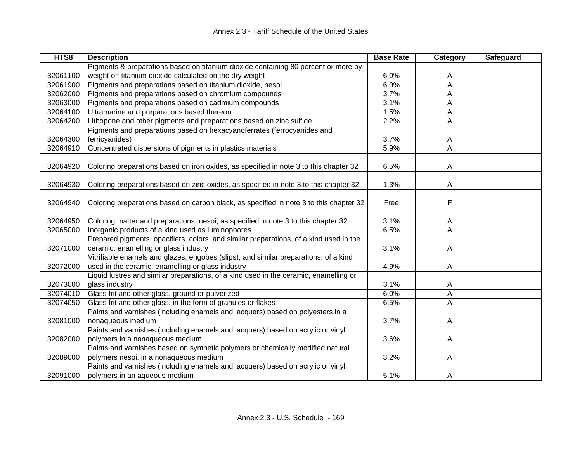| HTS8     | <b>Description</b>                                                                     | <b>Base Rate</b> | Category | Safeguard |
|----------|----------------------------------------------------------------------------------------|------------------|----------|-----------|
|          | Pigments & preparations based on titanium dioxide containing 80 percent or more by     |                  |          |           |
| 32061100 | weight off titanium dioxide calculated on the dry weight                               | 6.0%             | A        |           |
| 32061900 | Pigments and preparations based on titanium dioxide, nesoi                             | 6.0%             | A        |           |
| 32062000 | Pigments and preparations based on chromium compounds                                  | 3.7%             | A        |           |
| 32063000 | Pigments and preparations based on cadmium compounds                                   | 3.1%             | A        |           |
| 32064100 | Ultramarine and preparations based thereon                                             | 1.5%             | A        |           |
| 32064200 | Lithopone and other pigments and preparations based on zinc sulfide                    | 2.2%             | A        |           |
|          | Pigments and preparations based on hexacyanoferrates (ferrocyanides and                |                  |          |           |
| 32064300 | ferricyanides)                                                                         | 3.7%             | A        |           |
| 32064910 | Concentrated dispersions of pigments in plastics materials                             | 5.9%             | A        |           |
|          |                                                                                        |                  |          |           |
| 32064920 | Coloring preparations based on iron oxides, as specified in note 3 to this chapter 32  | 6.5%             | A        |           |
|          |                                                                                        |                  |          |           |
| 32064930 | Coloring preparations based on zinc oxides, as specified in note 3 to this chapter 32  | 1.3%             | A        |           |
|          |                                                                                        |                  |          |           |
| 32064940 | Coloring preparations based on carbon black, as specified in note 3 to this chapter 32 | Free             | F        |           |
|          |                                                                                        |                  |          |           |
| 32064950 | Coloring matter and preparations, nesoi, as specified in note 3 to this chapter 32     | 3.1%             | A        |           |
| 32065000 | Inorganic products of a kind used as luminophores                                      | 6.5%             | A        |           |
|          | Prepared pigments, opacifiers, colors, and similar preparations, of a kind used in the |                  |          |           |
| 32071000 | ceramic, enamelling or glass industry                                                  | 3.1%             | A        |           |
|          | Vitrifiable enamels and glazes, engobes (slips), and similar preparations, of a kind   |                  |          |           |
| 32072000 | used in the ceramic, enamelling or glass industry                                      | 4.9%             | A        |           |
|          | Liquid lustres and similar preparations, of a kind used in the ceramic, enamelling or  |                  |          |           |
| 32073000 | glass industry                                                                         | 3.1%             | A        |           |
| 32074010 | Glass frit and other glass, ground or pulverized                                       | 6.0%             | A        |           |
| 32074050 | Glass frit and other glass, in the form of granules or flakes                          | 6.5%             | A        |           |
|          | Paints and varnishes (including enamels and lacquers) based on polyesters in a         |                  |          |           |
| 32081000 | nonaqueous medium                                                                      | 3.7%             | A        |           |
|          | Paints and varnishes (including enamels and lacquers) based on acrylic or vinyl        |                  |          |           |
| 32082000 | polymers in a nonaqueous medium                                                        | 3.6%             | A        |           |
|          | Paints and varnishes based on synthetic polymers or chemically modified natural        |                  |          |           |
| 32089000 | polymers nesoi, in a nonaqueous medium                                                 | 3.2%             | A        |           |
|          | Paints and varnishes (including enamels and lacquers) based on acrylic or vinyl        |                  |          |           |
| 32091000 | polymers in an aqueous medium                                                          | 5.1%             | A        |           |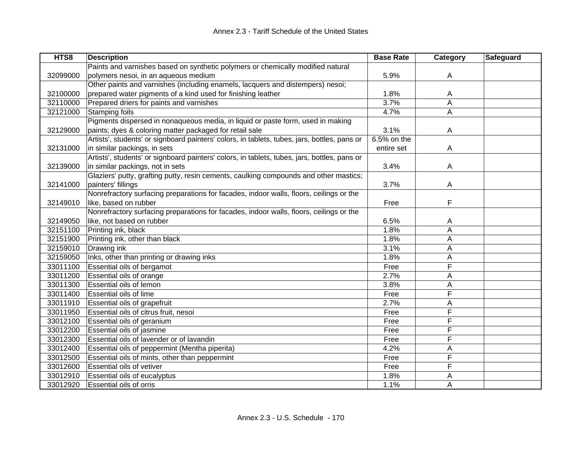| HTS8     | <b>Description</b>                                                                           | <b>Base Rate</b> | Category | Safeguard |
|----------|----------------------------------------------------------------------------------------------|------------------|----------|-----------|
|          | Paints and varnishes based on synthetic polymers or chemically modified natural              |                  |          |           |
| 32099000 | polymers nesoi, in an aqueous medium                                                         | 5.9%             | A        |           |
|          | Other paints and varnishes (including enamels, lacquers and distempers) nesoi;               |                  |          |           |
| 32100000 | prepared water pigments of a kind used for finishing leather                                 | 1.8%             | A        |           |
| 32110000 | Prepared driers for paints and varnishes                                                     | 3.7%             | Α        |           |
| 32121000 | Stamping foils                                                                               | 4.7%             | A        |           |
|          | Pigments dispersed in nonaqueous media, in liquid or paste form, used in making              |                  |          |           |
| 32129000 | paints; dyes & coloring matter packaged for retail sale                                      | 3.1%             | Α        |           |
|          | Artists', students' or signboard painters' colors, in tablets, tubes, jars, bottles, pans or | 6.5% on the      |          |           |
| 32131000 | in similar packings, in sets                                                                 | entire set       | A        |           |
|          | Artists', students' or signboard painters' colors, in tablets, tubes, jars, bottles, pans or |                  |          |           |
| 32139000 | in similar packings, not in sets                                                             | 3.4%             | A        |           |
|          | Glaziers' putty, grafting putty, resin cements, caulking compounds and other mastics;        |                  |          |           |
| 32141000 | painters' fillings                                                                           | 3.7%             | A        |           |
|          | Nonrefractory surfacing preparations for facades, indoor walls, floors, ceilings or the      |                  |          |           |
| 32149010 | like, based on rubber                                                                        | Free             | F        |           |
|          | Nonrefractory surfacing preparations for facades, indoor walls, floors, ceilings or the      |                  |          |           |
| 32149050 | like, not based on rubber                                                                    | 6.5%             | A        |           |
| 32151100 | Printing ink, black                                                                          | 1.8%             | Α        |           |
| 32151900 | Printing ink, other than black                                                               | 1.8%             | А        |           |
| 32159010 | Drawing ink                                                                                  | 3.1%             | Α        |           |
| 32159050 | Inks, other than printing or drawing inks                                                    | 1.8%             | A        |           |
| 33011100 | Essential oils of bergamot                                                                   | Free             | F        |           |
| 33011200 | Essential oils of orange                                                                     | 2.7%             | A        |           |
| 33011300 | Essential oils of lemon                                                                      | 3.8%             | Α        |           |
| 33011400 | Essential oils of lime                                                                       | Free             | F        |           |
| 33011910 | Essential oils of grapefruit                                                                 | 2.7%             | Α        |           |
| 33011950 | Essential oils of citrus fruit, nesoi                                                        | Free             | F        |           |
| 33012100 | Essential oils of geranium                                                                   | Free             | F        |           |
| 33012200 | Essential oils of jasmine                                                                    | Free             | F        |           |
| 33012300 | Essential oils of lavender or of lavandin                                                    | Free             | F        |           |
| 33012400 | Essential oils of peppermint (Mentha piperita)                                               | 4.2%             | A        |           |
| 33012500 | Essential oils of mints, other than peppermint                                               | Free             | F        |           |
| 33012600 | Essential oils of vetiver                                                                    | Free             | F        |           |
| 33012910 | Essential oils of eucalyptus                                                                 | 1.8%             | A        |           |
| 33012920 | <b>Essential oils of orris</b>                                                               | 1.1%             | A        |           |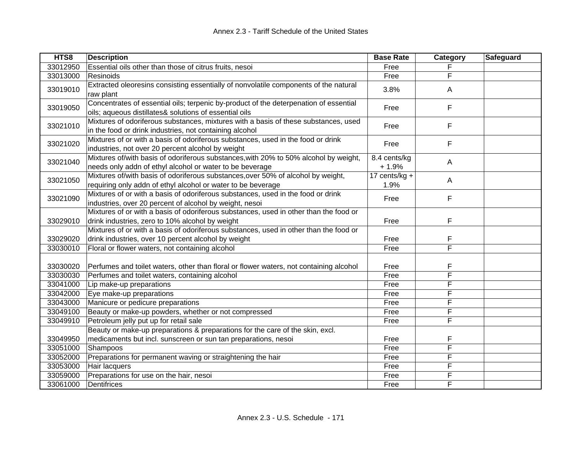| HTS8     | <b>Description</b>                                                                     | <b>Base Rate</b> | Category                | Safeguard |
|----------|----------------------------------------------------------------------------------------|------------------|-------------------------|-----------|
| 33012950 | Essential oils other than those of citrus fruits, nesoi                                | Free             |                         |           |
| 33013000 | Resinoids                                                                              | Free             | F                       |           |
| 33019010 | Extracted oleoresins consisting essentially of nonvolatile components of the natural   | 3.8%             | A                       |           |
|          | raw plant                                                                              |                  |                         |           |
| 33019050 | Concentrates of essential oils; terpenic by-product of the deterpenation of essential  | Free             | F                       |           |
|          | oils; aqueous distillates& solutions of essential oils                                 |                  |                         |           |
| 33021010 | Mixtures of odoriferous substances, mixtures with a basis of these substances, used    | Free             | F                       |           |
|          | in the food or drink industries, not containing alcohol                                |                  |                         |           |
| 33021020 | Mixtures of or with a basis of odoriferous substances, used in the food or drink       | Free             | F                       |           |
|          | industries, not over 20 percent alcohol by weight                                      |                  |                         |           |
| 33021040 | Mixtures of/with basis of odoriferous substances, with 20% to 50% alcohol by weight,   | 8.4 cents/kg     | A                       |           |
|          | needs only addn of ethyl alcohol or water to be beverage                               | $+1.9%$          |                         |           |
| 33021050 | Mixtures of/with basis of odoriferous substances, over 50% of alcohol by weight,       | 17 cents/ $kg +$ | Α                       |           |
|          | requiring only addn of ethyl alcohol or water to be beverage                           | 1.9%             |                         |           |
| 33021090 | Mixtures of or with a basis of odoriferous substances, used in the food or drink       | Free             | F                       |           |
|          | industries, over 20 percent of alcohol by weight, nesoi                                |                  |                         |           |
|          | Mixtures of or with a basis of odoriferous substances, used in other than the food or  |                  |                         |           |
| 33029010 | drink industries, zero to 10% alcohol by weight                                        | Free             | F                       |           |
|          | Mixtures of or with a basis of odoriferous substances, used in other than the food or  |                  |                         |           |
| 33029020 | drink industries, over 10 percent alcohol by weight                                    | Free             | F                       |           |
| 33030010 | Floral or flower waters, not containing alcohol                                        | Free             | $\overline{\mathsf{F}}$ |           |
|          |                                                                                        |                  |                         |           |
| 33030020 | Perfumes and toilet waters, other than floral or flower waters, not containing alcohol | Free             | F                       |           |
| 33030030 | Perfumes and toilet waters, containing alcohol                                         | Free             | F                       |           |
| 33041000 | Lip make-up preparations                                                               | Free             | F                       |           |
| 33042000 | Eye make-up preparations                                                               | Free             | F                       |           |
| 33043000 | Manicure or pedicure preparations                                                      | Free             | F                       |           |
| 33049100 | Beauty or make-up powders, whether or not compressed                                   | Free             | F                       |           |
| 33049910 | Petroleum jelly put up for retail sale                                                 | Free             | F                       |           |
|          | Beauty or make-up preparations & preparations for the care of the skin, excl.          |                  |                         |           |
| 33049950 | medicaments but incl. sunscreen or sun tan preparations, nesoi                         | Free             | F                       |           |
| 33051000 | Shampoos                                                                               | Free             | F                       |           |
| 33052000 | Preparations for permanent waving or straightening the hair                            | Free             | F                       |           |
| 33053000 | Hair lacquers                                                                          | Free             | F                       |           |
| 33059000 | Preparations for use on the hair, nesoi                                                | Free             | F                       |           |
| 33061000 | Dentifrices                                                                            | Free             | F                       |           |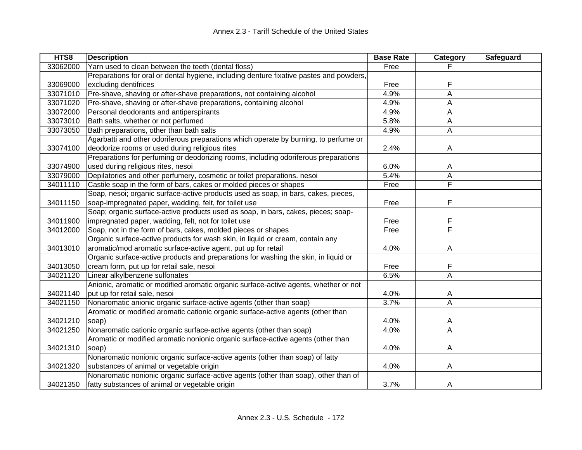| HTS8     | <b>Description</b>                                                                      | <b>Base Rate</b> | Category                | Safeguard |
|----------|-----------------------------------------------------------------------------------------|------------------|-------------------------|-----------|
| 33062000 | Yarn used to clean between the teeth (dental floss)                                     | Free             |                         |           |
|          | Preparations for oral or dental hygiene, including denture fixative pastes and powders, |                  |                         |           |
| 33069000 | excluding dentifrices                                                                   | Free             | F                       |           |
| 33071010 | Pre-shave, shaving or after-shave preparations, not containing alcohol                  | 4.9%             | A                       |           |
| 33071020 | Pre-shave, shaving or after-shave preparations, containing alcohol                      | 4.9%             | А                       |           |
| 33072000 | Personal deodorants and antiperspirants                                                 | 4.9%             | Α                       |           |
| 33073010 | Bath salts, whether or not perfumed                                                     | 5.8%             | А                       |           |
| 33073050 | Bath preparations, other than bath salts                                                | 4.9%             | Α                       |           |
|          | Agarbatti and other odoriferous preparations which operate by burning, to perfume or    |                  |                         |           |
| 33074100 | deodorize rooms or used during religious rites                                          | 2.4%             | A                       |           |
|          | Preparations for perfuming or deodorizing rooms, including odoriferous preparations     |                  |                         |           |
| 33074900 | used during religious rites, nesoi                                                      | 6.0%             | A                       |           |
| 33079000 | Depilatories and other perfumery, cosmetic or toilet preparations. nesoi                | 5.4%             | Α                       |           |
| 34011110 | Castile soap in the form of bars, cakes or molded pieces or shapes                      | Free             | F                       |           |
|          | Soap, nesoi; organic surface-active products used as soap, in bars, cakes, pieces,      |                  |                         |           |
| 34011150 | soap-impregnated paper, wadding, felt, for toilet use                                   | Free             | F                       |           |
|          | Soap; organic surface-active products used as soap, in bars, cakes, pieces; soap-       |                  |                         |           |
| 34011900 | impregnated paper, wadding, felt, not for toilet use                                    | Free             | F                       |           |
| 34012000 | Soap, not in the form of bars, cakes, molded pieces or shapes                           | Free             | $\overline{\mathsf{F}}$ |           |
|          | Organic surface-active products for wash skin, in liquid or cream, contain any          |                  |                         |           |
| 34013010 | aromatic/mod aromatic surface-active agent, put up for retail                           | 4.0%             | A                       |           |
|          | Organic surface-active products and preparations for washing the skin, in liquid or     |                  |                         |           |
| 34013050 | cream form, put up for retail sale, nesoi                                               | Free             | F                       |           |
| 34021120 | Linear alkylbenzene sulfonates                                                          | 6.5%             | A                       |           |
|          | Anionic, aromatic or modified aromatic organic surface-active agents, whether or not    |                  |                         |           |
| 34021140 | put up for retail sale, nesoi                                                           | 4.0%             | A                       |           |
| 34021150 | Nonaromatic anionic organic surface-active agents (other than soap)                     | 3.7%             | A                       |           |
|          | Aromatic or modified aromatic cationic organic surface-active agents (other than        |                  |                         |           |
| 34021210 | soap)                                                                                   | 4.0%             | A                       |           |
| 34021250 | Nonaromatic cationic organic surface-active agents (other than soap)                    | 4.0%             | Α                       |           |
|          | Aromatic or modified aromatic nonionic organic surface-active agents (other than        |                  |                         |           |
| 34021310 | soap)                                                                                   | 4.0%             | Α                       |           |
|          | Nonaromatic nonionic organic surface-active agents (other than soap) of fatty           |                  |                         |           |
| 34021320 | substances of animal or vegetable origin                                                | 4.0%             | Α                       |           |
|          | Nonaromatic nonionic organic surface-active agents (other than soap), other than of     |                  |                         |           |
| 34021350 | fatty substances of animal or vegetable origin                                          | 3.7%             | A                       |           |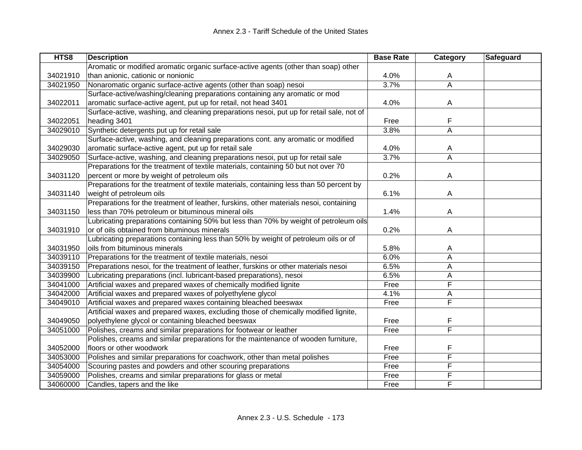| HTS8     | <b>Description</b>                                                                       | <b>Base Rate</b> | Category                | Safeguard |
|----------|------------------------------------------------------------------------------------------|------------------|-------------------------|-----------|
|          | Aromatic or modified aromatic organic surface-active agents (other than soap) other      |                  |                         |           |
| 34021910 | than anionic, cationic or nonionic                                                       | 4.0%             | A                       |           |
| 34021950 | Nonaromatic organic surface-active agents (other than soap) nesoi                        | 3.7%             | $\overline{\mathsf{A}}$ |           |
|          | Surface-active/washing/cleaning preparations containing any aromatic or mod              |                  |                         |           |
| 34022011 | aromatic surface-active agent, put up for retail, not head 3401                          | 4.0%             | A                       |           |
|          | Surface-active, washing, and cleaning preparations nesoi, put up for retail sale, not of |                  |                         |           |
| 34022051 | heading 3401                                                                             | Free             | F                       |           |
| 34029010 | Synthetic detergents put up for retail sale                                              | 3.8%             | A                       |           |
|          | Surface-active, washing, and cleaning preparations cont. any aromatic or modified        |                  |                         |           |
| 34029030 | aromatic surface-active agent, put up for retail sale                                    | 4.0%             | A                       |           |
| 34029050 | Surface-active, washing, and cleaning preparations nesoi, put up for retail sale         | 3.7%             | A                       |           |
|          | Preparations for the treatment of textile materials, containing 50 but not over 70       |                  |                         |           |
| 34031120 | percent or more by weight of petroleum oils                                              | 0.2%             | A                       |           |
|          | Preparations for the treatment of textile materials, containing less than 50 percent by  |                  |                         |           |
| 34031140 | weight of petroleum oils                                                                 | 6.1%             | A                       |           |
|          | Preparations for the treatment of leather, furskins, other materials nesoi, containing   |                  |                         |           |
| 34031150 | less than 70% petroleum or bituminous mineral oils                                       | 1.4%             | A                       |           |
|          | Lubricating preparations containing 50% but less than 70% by weight of petroleum oils    |                  |                         |           |
| 34031910 | or of oils obtained from bituminous minerals                                             | 0.2%             | A                       |           |
|          | Lubricating preparations containing less than 50% by weight of petroleum oils or of      |                  |                         |           |
| 34031950 | oils from bituminous minerals                                                            | 5.8%             | A                       |           |
| 34039110 | Preparations for the treatment of textile materials, nesoi                               | 6.0%             | Α                       |           |
| 34039150 | Preparations nesoi, for the treatment of leather, furskins or other materials nesoi      | 6.5%             | А                       |           |
| 34039900 | Lubricating preparations (incl. lubricant-based preparations), nesoi                     | 6.5%             | А                       |           |
| 34041000 | Artificial waxes and prepared waxes of chemically modified lignite                       | Free             | F                       |           |
| 34042000 | Artificial waxes and prepared waxes of polyethylene glycol                               | 4.1%             | Α                       |           |
| 34049010 | Artificial waxes and prepared waxes containing bleached beeswax                          | Free             | $\overline{F}$          |           |
|          | Artificial waxes and prepared waxes, excluding those of chemically modified lignite,     |                  |                         |           |
| 34049050 | polyethylene glycol or containing bleached beeswax                                       | Free             | F                       |           |
| 34051000 | Polishes, creams and similar preparations for footwear or leather                        | Free             | F                       |           |
|          | Polishes, creams and similar preparations for the maintenance of wooden furniture,       |                  |                         |           |
| 34052000 | floors or other woodwork                                                                 | Free             | F                       |           |
| 34053000 | Polishes and similar preparations for coachwork, other than metal polishes               | Free             | F                       |           |
| 34054000 | Scouring pastes and powders and other scouring preparations                              | Free             | F                       |           |
| 34059000 | Polishes, creams and similar preparations for glass or metal                             | Free             | F                       |           |
| 34060000 | Candles, tapers and the like                                                             | Free             | F                       |           |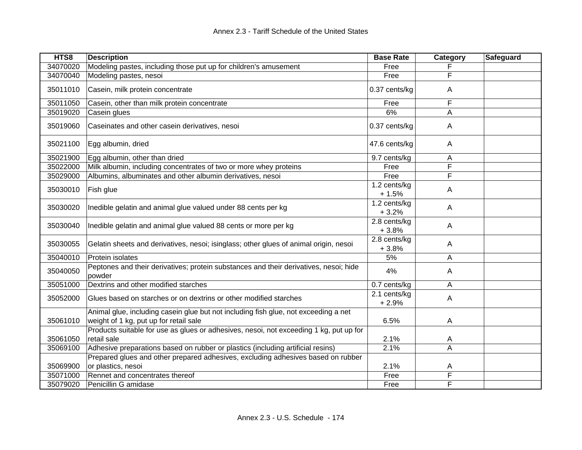| HTS8                 | <b>Description</b>                                                                                                            | <b>Base Rate</b>        | Category     | Safeguard |
|----------------------|-------------------------------------------------------------------------------------------------------------------------------|-------------------------|--------------|-----------|
| 34070020             | Modeling pastes, including those put up for children's amusement                                                              | Free                    |              |           |
| 34070040             | Modeling pastes, nesoi                                                                                                        | Free                    | F            |           |
| 35011010             | Casein, milk protein concentrate                                                                                              | 0.37 cents/kg           | A            |           |
| 35011050             | Casein, other than milk protein concentrate                                                                                   | Free                    | F            |           |
| 35019020             | Casein glues                                                                                                                  | 6%                      | Α            |           |
| 35019060             | Caseinates and other casein derivatives, nesoi                                                                                | 0.37 cents/kg           | A            |           |
| 35021100             | Egg albumin, dried                                                                                                            | 47.6 cents/kg           | A            |           |
| 35021900             | Egg albumin, other than dried                                                                                                 | 9.7 cents/kg            | Α            |           |
| 35022000             | Milk albumin, including concentrates of two or more whey proteins                                                             | Free                    | F            |           |
| 35029000             | Albumins, albuminates and other albumin derivatives, nesoi                                                                    | Free                    | F            |           |
| 35030010             | Fish glue                                                                                                                     | 1.2 cents/kg<br>$+1.5%$ | $\mathsf{A}$ |           |
| 35030020             | Inedible gelatin and animal glue valued under 88 cents per kg                                                                 | 1.2 cents/kg<br>$+3.2%$ | A            |           |
| 35030040             | Inedible gelatin and animal glue valued 88 cents or more per kg                                                               | 2.8 cents/kg<br>$+3.8%$ | A            |           |
| 35030055             | Gelatin sheets and derivatives, nesoi; isinglass; other glues of animal origin, nesoi                                         | 2.8 cents/kg<br>$+3.8%$ | A            |           |
| 35040010             | Protein isolates                                                                                                              | 5%                      | A            |           |
| 35040050             | Peptones and their derivatives; protein substances and their derivatives, nesoi; hide<br>powder                               | 4%                      | A            |           |
| 35051000             | Dextrins and other modified starches                                                                                          | 0.7 cents/kg            | A            |           |
| 35052000             | Glues based on starches or on dextrins or other modified starches                                                             | 2.1 cents/kg<br>$+2.9%$ | $\mathsf{A}$ |           |
| 35061010             | Animal glue, including casein glue but not including fish glue, not exceeding a net<br>weight of 1 kg, put up for retail sale | 6.5%                    | A            |           |
|                      | Products suitable for use as glues or adhesives, nesoi, not exceeding 1 kg, put up for                                        |                         |              |           |
| 35061050             | retail sale                                                                                                                   | 2.1%                    | A            |           |
| 35069100             | Adhesive preparations based on rubber or plastics (including artificial resins)                                               | 2.1%                    | A            |           |
|                      | Prepared glues and other prepared adhesives, excluding adhesives based on rubber                                              |                         |              |           |
| 35069900             | or plastics, nesoi<br>Rennet and concentrates thereof                                                                         | 2.1%<br>Free            | A<br>F       |           |
| 35071000<br>35079020 | Penicillin G amidase                                                                                                          | Free                    | F            |           |
|                      |                                                                                                                               |                         |              |           |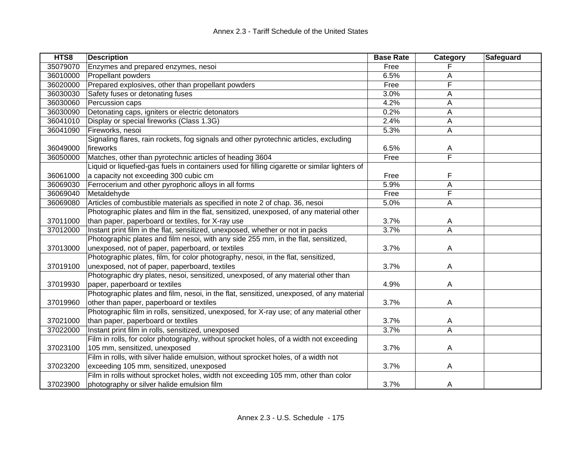| HTS8     | <b>Description</b>                                                                            | <b>Base Rate</b> | Category       | Safeguard |
|----------|-----------------------------------------------------------------------------------------------|------------------|----------------|-----------|
| 35079070 | Enzymes and prepared enzymes, nesoi                                                           | Free             |                |           |
| 36010000 | Propellant powders                                                                            | 6.5%             | A              |           |
| 36020000 | Prepared explosives, other than propellant powders                                            | Free             | F              |           |
| 36030030 | Safety fuses or detonating fuses                                                              | 3.0%             | A              |           |
| 36030060 | Percussion caps                                                                               | 4.2%             | Α              |           |
| 36030090 | Detonating caps, igniters or electric detonators                                              | 0.2%             | Α              |           |
| 36041010 | Display or special fireworks (Class 1.3G)                                                     | 2.4%             | A              |           |
| 36041090 | Fireworks, nesoi                                                                              | 5.3%             | Α              |           |
|          | Signaling flares, rain rockets, fog signals and other pyrotechnic articles, excluding         |                  |                |           |
| 36049000 | fireworks                                                                                     | 6.5%             | Α              |           |
| 36050000 | Matches, other than pyrotechnic articles of heading 3604                                      | Free             | F              |           |
|          | Liquid or liquefied-gas fuels in containers used for filling cigarette or similar lighters of |                  |                |           |
| 36061000 | a capacity not exceeding 300 cubic cm                                                         | Free             | F              |           |
| 36069030 | Ferrocerium and other pyrophoric alloys in all forms                                          | 5.9%             | A              |           |
| 36069040 | Metaldehyde                                                                                   | Free             | F              |           |
| 36069080 | Articles of combustible materials as specified in note 2 of chap. 36, nesoi                   | 5.0%             | A              |           |
|          | Photographic plates and film in the flat, sensitized, unexposed, of any material other        |                  |                |           |
| 37011000 | than paper, paperboard or textiles, for X-ray use                                             | 3.7%             | Α              |           |
| 37012000 | Instant print film in the flat, sensitized, unexposed, whether or not in packs                | 3.7%             | $\overline{A}$ |           |
|          | Photographic plates and film nesoi, with any side 255 mm, in the flat, sensitized,            |                  |                |           |
| 37013000 | unexposed, not of paper, paperboard, or textiles                                              | 3.7%             | A              |           |
|          | Photographic plates, film, for color photography, nesoi, in the flat, sensitized,             |                  |                |           |
| 37019100 | unexposed, not of paper, paperboard, textiles                                                 | 3.7%             | A              |           |
|          | Photographic dry plates, nesoi, sensitized, unexposed, of any material other than             |                  |                |           |
| 37019930 | paper, paperboard or textiles                                                                 | 4.9%             | A              |           |
|          | Photographic plates and film, nesoi, in the flat, sensitized, unexposed, of any material      |                  |                |           |
| 37019960 | other than paper, paperboard or textiles                                                      | 3.7%             | A              |           |
|          | Photographic film in rolls, sensitized, unexposed, for X-ray use; of any material other       |                  |                |           |
| 37021000 | than paper, paperboard or textiles                                                            | 3.7%             | A              |           |
| 37022000 | Instant print film in rolls, sensitized, unexposed                                            | 3.7%             | A              |           |
|          | Film in rolls, for color photography, without sprocket holes, of a width not exceeding        |                  |                |           |
| 37023100 | 105 mm, sensitized, unexposed                                                                 | 3.7%             | A              |           |
|          | Film in rolls, with silver halide emulsion, without sprocket holes, of a width not            |                  |                |           |
| 37023200 | exceeding 105 mm, sensitized, unexposed                                                       | 3.7%             | A              |           |
|          | Film in rolls without sprocket holes, width not exceeding 105 mm, other than color            |                  |                |           |
| 37023900 | photography or silver halide emulsion film                                                    | 3.7%             | A              |           |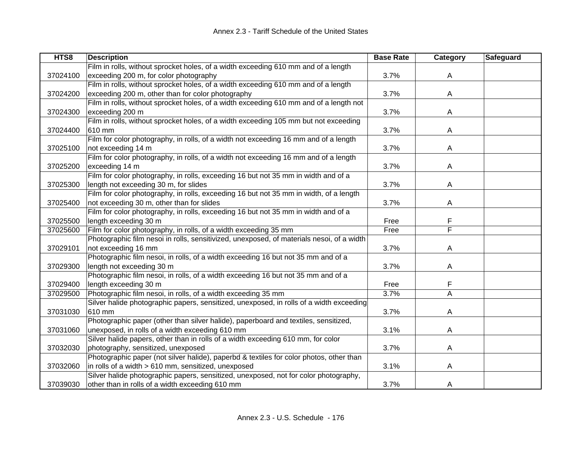| HTS8     | <b>Description</b>                                                                        | <b>Base Rate</b> | Category | Safeguard |
|----------|-------------------------------------------------------------------------------------------|------------------|----------|-----------|
|          | Film in rolls, without sprocket holes, of a width exceeding 610 mm and of a length        |                  |          |           |
| 37024100 | exceeding 200 m, for color photography                                                    | 3.7%             | A        |           |
|          | Film in rolls, without sprocket holes, of a width exceeding 610 mm and of a length        |                  |          |           |
| 37024200 | exceeding 200 m, other than for color photography                                         | 3.7%             | A        |           |
|          | Film in rolls, without sprocket holes, of a width exceeding 610 mm and of a length not    |                  |          |           |
| 37024300 | exceeding 200 m                                                                           | 3.7%             | A        |           |
|          | Film in rolls, without sprocket holes, of a width exceeding 105 mm but not exceeding      |                  |          |           |
| 37024400 | 610 mm                                                                                    | 3.7%             | Α        |           |
|          | Film for color photography, in rolls, of a width not exceeding 16 mm and of a length      |                  |          |           |
| 37025100 | not exceeding 14 m                                                                        | 3.7%             | A        |           |
|          | Film for color photography, in rolls, of a width not exceeding 16 mm and of a length      |                  |          |           |
| 37025200 | exceeding 14 m                                                                            | 3.7%             | A        |           |
|          | Film for color photography, in rolls, exceeding 16 but not 35 mm in width and of a        |                  |          |           |
| 37025300 | length not exceeding 30 m, for slides                                                     | 3.7%             | A        |           |
|          | Film for color photography, in rolls, exceeding 16 but not 35 mm in width, of a length    |                  |          |           |
| 37025400 | not exceeding 30 m, other than for slides                                                 | 3.7%             | A        |           |
|          | Film for color photography, in rolls, exceeding 16 but not 35 mm in width and of a        |                  |          |           |
| 37025500 | length exceeding 30 m                                                                     | Free             | F        |           |
| 37025600 | Film for color photography, in rolls, of a width exceeding 35 mm                          | Free             | F        |           |
|          | Photographic film nesoi in rolls, sensitivized, unexposed, of materials nesoi, of a width |                  |          |           |
| 37029101 | not exceeding 16 mm                                                                       | 3.7%             | A        |           |
|          | Photographic film nesoi, in rolls, of a width exceeding 16 but not 35 mm and of a         |                  |          |           |
| 37029300 | length not exceeding 30 m                                                                 | 3.7%             | A        |           |
|          | Photographic film nesoi, in rolls, of a width exceeding 16 but not 35 mm and of a         |                  |          |           |
| 37029400 | length exceeding 30 m                                                                     | Free             | F        |           |
| 37029500 | Photographic film nesoi, in rolls, of a width exceeding 35 mm                             | 3.7%             | A        |           |
|          | Silver halide photographic papers, sensitized, unexposed, in rolls of a width exceeding   |                  |          |           |
| 37031030 | 610 mm                                                                                    | 3.7%             | A        |           |
|          | Photographic paper (other than silver halide), paperboard and textiles, sensitized,       |                  |          |           |
| 37031060 | unexposed, in rolls of a width exceeding 610 mm                                           | 3.1%             | A        |           |
|          | Silver halide papers, other than in rolls of a width exceeding 610 mm, for color          |                  |          |           |
| 37032030 | photography, sensitized, unexposed                                                        | 3.7%             | A        |           |
|          | Photographic paper (not silver halide), paperbd & textiles for color photos, other than   |                  |          |           |
| 37032060 | in rolls of a width > 610 mm, sensitized, unexposed                                       | 3.1%             | A        |           |
|          | Silver halide photographic papers, sensitized, unexposed, not for color photography,      |                  |          |           |
| 37039030 | other than in rolls of a width exceeding 610 mm                                           | 3.7%             | A        |           |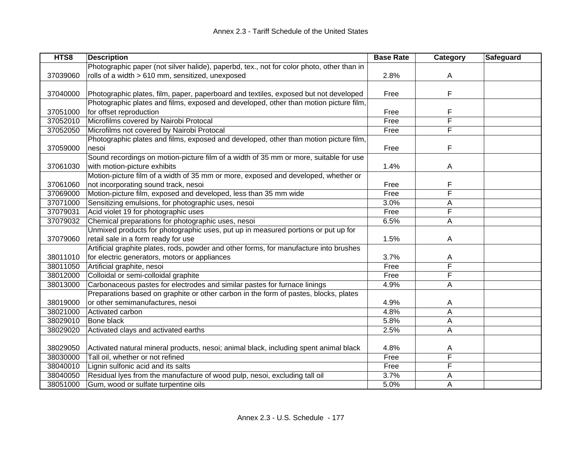| HTS8     | <b>Description</b>                                                                        | <b>Base Rate</b> | Category                | Safeguard |
|----------|-------------------------------------------------------------------------------------------|------------------|-------------------------|-----------|
|          | Photographic paper (not silver halide), paperbd, tex., not for color photo, other than in |                  |                         |           |
| 37039060 | rolls of a width > 610 mm, sensitized, unexposed                                          | 2.8%             | Α                       |           |
|          |                                                                                           |                  |                         |           |
| 37040000 | Photographic plates, film, paper, paperboard and textiles, exposed but not developed      | Free             | F                       |           |
|          | Photographic plates and films, exposed and developed, other than motion picture film,     |                  |                         |           |
| 37051000 | for offset reproduction                                                                   | Free             | F                       |           |
| 37052010 | Microfilms covered by Nairobi Protocal                                                    | Free             | F                       |           |
| 37052050 | Microfilms not covered by Nairobi Protocal                                                | Free             | $\overline{\mathsf{F}}$ |           |
|          | Photographic plates and films, exposed and developed, other than motion picture film,     |                  |                         |           |
| 37059000 | nesoi                                                                                     | Free             | F                       |           |
|          | Sound recordings on motion-picture film of a width of 35 mm or more, suitable for use     |                  |                         |           |
| 37061030 | with motion-picture exhibits                                                              | 1.4%             | A                       |           |
|          | Motion-picture film of a width of 35 mm or more, exposed and developed, whether or        |                  |                         |           |
| 37061060 | not incorporating sound track, nesoi                                                      | Free             | F                       |           |
| 37069000 | Motion-picture film, exposed and developed, less than 35 mm wide                          | Free             | F                       |           |
| 37071000 | Sensitizing emulsions, for photographic uses, nesoi                                       | 3.0%             | Α                       |           |
| 37079031 | Acid violet 19 for photographic uses                                                      | Free             | F                       |           |
| 37079032 | Chemical preparations for photographic uses, nesoi                                        | 6.5%             | А                       |           |
|          | Unmixed products for photographic uses, put up in measured portions or put up for         |                  |                         |           |
| 37079060 | retail sale in a form ready for use                                                       | 1.5%             | A                       |           |
|          | Artificial graphite plates, rods, powder and other forms, for manufacture into brushes    |                  |                         |           |
| 38011010 | for electric generators, motors or appliances                                             | 3.7%             | A                       |           |
| 38011050 | Artificial graphite, nesoi                                                                | Free             | F                       |           |
| 38012000 | Colloidal or semi-colloidal graphite                                                      | Free             | F                       |           |
| 38013000 | Carbonaceous pastes for electrodes and similar pastes for furnace linings                 | 4.9%             | Α                       |           |
|          | Preparations based on graphite or other carbon in the form of pastes, blocks, plates      |                  |                         |           |
| 38019000 | or other semimanufactures, nesoi                                                          | 4.9%             | A                       |           |
| 38021000 | Activated carbon                                                                          | 4.8%             | A                       |           |
| 38029010 | Bone black                                                                                | 5.8%             | А                       |           |
| 38029020 | Activated clays and activated earths                                                      | 2.5%             | Α                       |           |
|          |                                                                                           |                  |                         |           |
| 38029050 | Activated natural mineral products, nesoi; animal black, including spent animal black     | 4.8%             | Α                       |           |
| 38030000 | Tall oil, whether or not refined                                                          | Free             | $\overline{\mathsf{F}}$ |           |
| 38040010 | Lignin sulfonic acid and its salts                                                        | Free             | F                       |           |
| 38040050 | Residual lyes from the manufacture of wood pulp, nesoi, excluding tall oil                | 3.7%             | А                       |           |
| 38051000 | Gum, wood or sulfate turpentine oils                                                      | 5.0%             | А                       |           |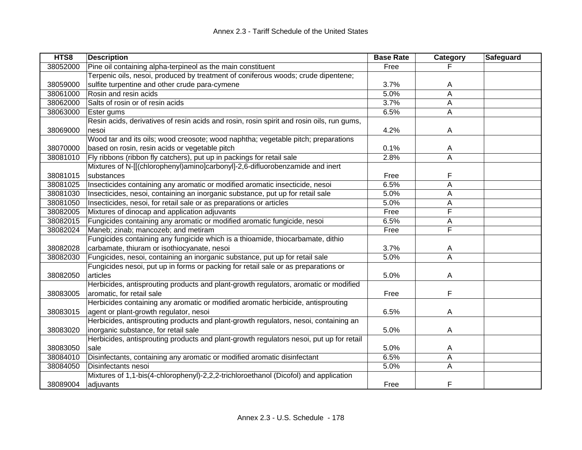| HTS8     | <b>Description</b>                                                                        | <b>Base Rate</b> | Category       | Safeguard |
|----------|-------------------------------------------------------------------------------------------|------------------|----------------|-----------|
| 38052000 | Pine oil containing alpha-terpineol as the main constituent                               | Free             |                |           |
|          | Terpenic oils, nesoi, produced by treatment of coniferous woods; crude dipentene;         |                  |                |           |
| 38059000 | sulfite turpentine and other crude para-cymene                                            | 3.7%             | A              |           |
| 38061000 | Rosin and resin acids                                                                     | 5.0%             | A              |           |
| 38062000 | Salts of rosin or of resin acids                                                          | 3.7%             | A              |           |
| 38063000 | Ester gums                                                                                | 6.5%             | A              |           |
|          | Resin acids, derivatives of resin acids and rosin, rosin spirit and rosin oils, run gums, |                  |                |           |
| 38069000 | nesoi                                                                                     | 4.2%             | Α              |           |
|          | Wood tar and its oils; wood creosote; wood naphtha; vegetable pitch; preparations         |                  |                |           |
| 38070000 | based on rosin, resin acids or vegetable pitch                                            | 0.1%             | A              |           |
| 38081010 | Fly ribbons (ribbon fly catchers), put up in packings for retail sale                     | 2.8%             | A              |           |
|          | Mixtures of N-[[(chlorophenyl)amino]carbonyl]-2,6-difluorobenzamide and inert             |                  |                |           |
| 38081015 | substances                                                                                | Free             | F              |           |
| 38081025 | Insecticides containing any aromatic or modified aromatic insecticide, nesoi              | 6.5%             | A              |           |
| 38081030 | Insecticides, nesoi, containing an inorganic substance, put up for retail sale            | 5.0%             | Α              |           |
| 38081050 | Insecticides, nesoi, for retail sale or as preparations or articles                       | 5.0%             | Α              |           |
| 38082005 | Mixtures of dinocap and application adjuvants                                             | Free             | F              |           |
| 38082015 | Fungicides containing any aromatic or modified aromatic fungicide, nesoi                  | 6.5%             | Α              |           |
| 38082024 | Maneb; zinab; mancozeb; and metiram                                                       | Free             | F              |           |
|          | Fungicides containing any fungicide which is a thioamide, thiocarbamate, dithio           |                  |                |           |
| 38082028 | carbamate, thiuram or isothiocyanate, nesoi                                               | 3.7%             | A              |           |
| 38082030 | Fungicides, nesoi, containing an inorganic substance, put up for retail sale              | 5.0%             | $\overline{A}$ |           |
|          | Fungicides nesoi, put up in forms or packing for retail sale or as preparations or        |                  |                |           |
| 38082050 | articles                                                                                  | 5.0%             | A              |           |
|          | Herbicides, antisprouting products and plant-growth regulators, aromatic or modified      |                  |                |           |
| 38083005 | aromatic, for retail sale                                                                 | Free             | F              |           |
|          | Herbicides containing any aromatic or modified aromatic herbicide, antisprouting          |                  |                |           |
| 38083015 | agent or plant-growth regulator, nesoi                                                    | 6.5%             | A              |           |
|          | Herbicides, antisprouting products and plant-growth regulators, nesoi, containing an      |                  |                |           |
| 38083020 | inorganic substance, for retail sale                                                      | 5.0%             | A              |           |
|          | Herbicides, antisprouting products and plant-growth regulators nesoi, put up for retail   |                  |                |           |
| 38083050 | sale                                                                                      | 5.0%             | A              |           |
| 38084010 | Disinfectants, containing any aromatic or modified aromatic disinfectant                  | 6.5%             | A              |           |
| 38084050 | Disinfectants nesoi                                                                       | 5.0%             | Α              |           |
|          | Mixtures of 1,1-bis(4-chlorophenyl)-2,2,2-trichloroethanol (Dicofol) and application      |                  |                |           |
| 38089004 | adjuvants                                                                                 | Free             | F              |           |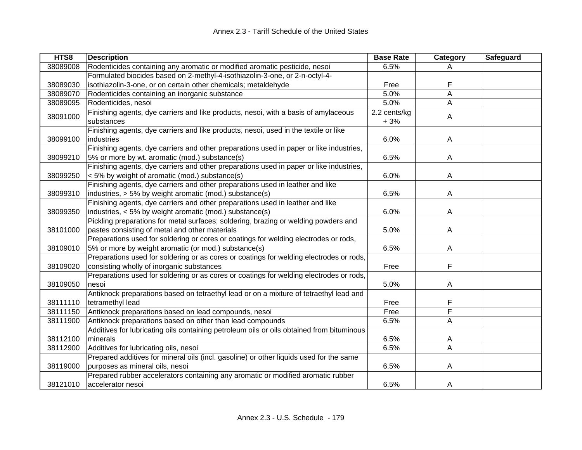| HTS8     | <b>Description</b>                                                                        | <b>Base Rate</b> | Category                | Safeguard |
|----------|-------------------------------------------------------------------------------------------|------------------|-------------------------|-----------|
| 38089008 | Rodenticides containing any aromatic or modified aromatic pesticide, nesoi                | 6.5%             | A                       |           |
|          | Formulated biocides based on 2-methyl-4-isothiazolin-3-one, or 2-n-octyl-4-               |                  |                         |           |
| 38089030 | isothiazolin-3-one, or on certain other chemicals; metaldehyde                            | Free             | F                       |           |
| 38089070 | Rodenticides containing an inorganic substance                                            | 5.0%             | A                       |           |
| 38089095 | Rodenticides, nesoi                                                                       | 5.0%             | A                       |           |
| 38091000 | Finishing agents, dye carriers and like products, nesoi, with a basis of amylaceous       | 2.2 cents/kg     | $\mathsf{A}$            |           |
|          | substances                                                                                | $+3%$            |                         |           |
|          | Finishing agents, dye carriers and like products, nesoi, used in the textile or like      |                  |                         |           |
| 38099100 | industries                                                                                | 6.0%             | A                       |           |
|          | Finishing agents, dye carriers and other preparations used in paper or like industries,   |                  |                         |           |
| 38099210 | 5% or more by wt. aromatic (mod.) substance(s)                                            | 6.5%             | A                       |           |
|          | Finishing agents, dye carriers and other preparations used in paper or like industries,   |                  |                         |           |
| 38099250 | < 5% by weight of aromatic (mod.) substance(s)                                            | 6.0%             | A                       |           |
|          | Finishing agents, dye carriers and other preparations used in leather and like            |                  |                         |           |
| 38099310 | industries, > 5% by weight aromatic (mod.) substance(s)                                   | 6.5%             | A                       |           |
|          | Finishing agents, dye carriers and other preparations used in leather and like            |                  |                         |           |
| 38099350 | industries, < 5% by weight aromatic (mod.) substance(s)                                   | 6.0%             | A                       |           |
|          | Pickling preparations for metal surfaces; soldering, brazing or welding powders and       |                  |                         |           |
| 38101000 | pastes consisting of metal and other materials                                            | 5.0%             | A                       |           |
|          | Preparations used for soldering or cores or coatings for welding electrodes or rods,      |                  |                         |           |
| 38109010 | 5% or more by weight aromatic (or mod.) substance(s)                                      | 6.5%             | A                       |           |
|          | Preparations used for soldering or as cores or coatings for welding electrodes or rods,   |                  |                         |           |
| 38109020 | consisting wholly of inorganic substances                                                 | Free             | F                       |           |
|          | Preparations used for soldering or as cores or coatings for welding electrodes or rods,   |                  |                         |           |
| 38109050 | nesoi                                                                                     | 5.0%             | A                       |           |
|          | Antiknock preparations based on tetraethyl lead or on a mixture of tetraethyl lead and    |                  |                         |           |
| 38111110 | tetramethyl lead                                                                          | Free             | F                       |           |
| 38111150 | Antiknock preparations based on lead compounds, nesoi                                     | Free             | F                       |           |
| 38111900 | Antiknock preparations based on other than lead compounds                                 | 6.5%             | A                       |           |
|          | Additives for lubricating oils containing petroleum oils or oils obtained from bituminous |                  |                         |           |
| 38112100 | minerals                                                                                  | 6.5%             | A                       |           |
| 38112900 | Additives for lubricating oils, nesoi                                                     | 6.5%             | $\overline{\mathsf{A}}$ |           |
|          | Prepared additives for mineral oils (incl. gasoline) or other liquids used for the same   |                  |                         |           |
| 38119000 | purposes as mineral oils, nesoi                                                           | 6.5%             | A                       |           |
|          | Prepared rubber accelerators containing any aromatic or modified aromatic rubber          |                  |                         |           |
| 38121010 | accelerator nesoi                                                                         | 6.5%             | A                       |           |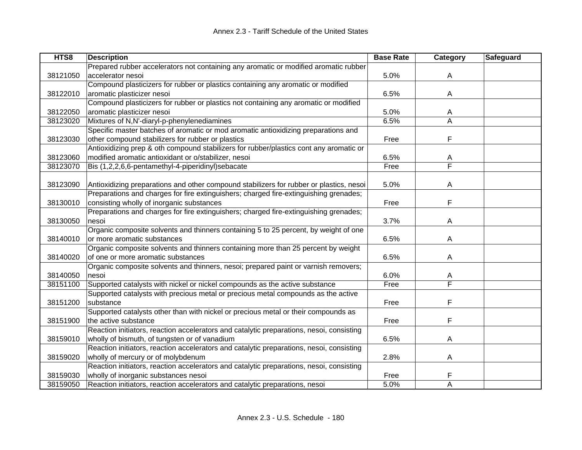| HTS8     | <b>Description</b>                                                                       | <b>Base Rate</b> | Category | Safeguard |
|----------|------------------------------------------------------------------------------------------|------------------|----------|-----------|
|          | Prepared rubber accelerators not containing any aromatic or modified aromatic rubber     |                  |          |           |
| 38121050 | accelerator nesoi                                                                        | 5.0%             | A        |           |
|          | Compound plasticizers for rubber or plastics containing any aromatic or modified         |                  |          |           |
| 38122010 | aromatic plasticizer nesoi                                                               | 6.5%             | A        |           |
|          | Compound plasticizers for rubber or plastics not containing any aromatic or modified     |                  |          |           |
| 38122050 | aromatic plasticizer nesoi                                                               | 5.0%             | A        |           |
| 38123020 | Mixtures of N,N'-diaryl-p-phenylenediamines                                              | 6.5%             | A        |           |
|          | Specific master batches of aromatic or mod aromatic antioxidizing preparations and       |                  |          |           |
| 38123030 | other compound stabilizers for rubber or plastics                                        | Free             | F        |           |
|          | Antioxidizing prep & oth compound stabilizers for rubber/plastics cont any aromatic or   |                  |          |           |
| 38123060 | modified aromatic antioxidant or o/stabilizer, nesoi                                     | 6.5%             | A        |           |
| 38123070 | Bis (1,2,2,6,6-pentamethyl-4-piperidinyl)sebacate                                        | Free             | F        |           |
|          |                                                                                          |                  |          |           |
| 38123090 | Antioxidizing preparations and other compound stabilizers for rubber or plastics, nesoi  | 5.0%             | A        |           |
|          | Preparations and charges for fire extinguishers; charged fire-extinguishing grenades;    |                  |          |           |
| 38130010 | consisting wholly of inorganic substances                                                | Free             | F        |           |
|          | Preparations and charges for fire extinguishers; charged fire-extinguishing grenades;    |                  |          |           |
| 38130050 | nesoi                                                                                    | 3.7%             | Α        |           |
|          | Organic composite solvents and thinners containing 5 to 25 percent, by weight of one     |                  |          |           |
| 38140010 | or more aromatic substances                                                              | 6.5%             | A        |           |
|          | Organic composite solvents and thinners containing more than 25 percent by weight        |                  |          |           |
| 38140020 | of one or more aromatic substances                                                       | 6.5%             | A        |           |
|          | Organic composite solvents and thinners, nesoi; prepared paint or varnish removers;      |                  |          |           |
| 38140050 | nesoi                                                                                    | 6.0%             | A        |           |
| 38151100 | Supported catalysts with nickel or nickel compounds as the active substance              | Free             | F        |           |
|          | Supported catalysts with precious metal or precious metal compounds as the active        |                  |          |           |
| 38151200 | substance                                                                                | Free             | F        |           |
|          | Supported catalysts other than with nickel or precious metal or their compounds as       |                  |          |           |
| 38151900 | the active substance                                                                     | Free             | F        |           |
|          | Reaction initiators, reaction accelerators and catalytic preparations, nesoi, consisting |                  |          |           |
| 38159010 | wholly of bismuth, of tungsten or of vanadium                                            | 6.5%             | Α        |           |
|          | Reaction initiators, reaction accelerators and catalytic preparations, nesoi, consisting |                  |          |           |
| 38159020 | wholly of mercury or of molybdenum                                                       | 2.8%             | A        |           |
|          | Reaction initiators, reaction accelerators and catalytic preparations, nesoi, consisting |                  |          |           |
| 38159030 | wholly of inorganic substances nesoi                                                     | Free             | F        |           |
| 38159050 | Reaction initiators, reaction accelerators and catalytic preparations, nesoi             | 5.0%             | A        |           |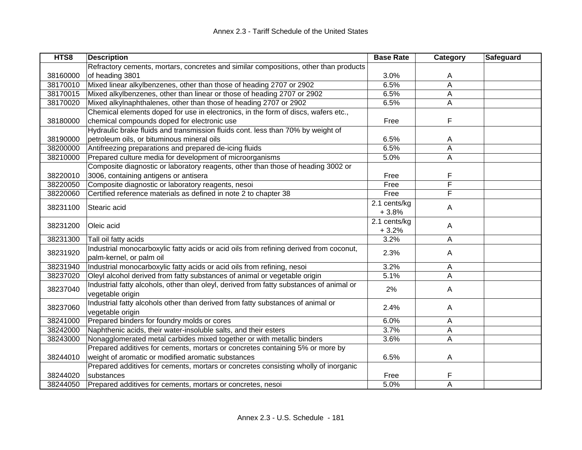| HTS8     | <b>Description</b>                                                                      | <b>Base Rate</b> | Category | Safeguard |
|----------|-----------------------------------------------------------------------------------------|------------------|----------|-----------|
|          | Refractory cements, mortars, concretes and similar compositions, other than products    |                  |          |           |
| 38160000 | of heading 3801                                                                         | 3.0%             | A        |           |
| 38170010 | Mixed linear alkylbenzenes, other than those of heading 2707 or 2902                    | 6.5%             | A        |           |
| 38170015 | Mixed alkylbenzenes, other than linear or those of heading 2707 or 2902                 | 6.5%             | A        |           |
| 38170020 | Mixed alkylnaphthalenes, other than those of heading 2707 or 2902                       | 6.5%             | A        |           |
|          | Chemical elements doped for use in electronics, in the form of discs, wafers etc.,      |                  |          |           |
| 38180000 | chemical compounds doped for electronic use                                             | Free             | F        |           |
|          | Hydraulic brake fluids and transmission fluids cont. less than 70% by weight of         |                  |          |           |
| 38190000 | petroleum oils, or bituminous mineral oils                                              | 6.5%             | A        |           |
| 38200000 | Antifreezing preparations and prepared de-icing fluids                                  | 6.5%             | A        |           |
| 38210000 | Prepared culture media for development of microorganisms                                | 5.0%             | Α        |           |
|          | Composite diagnostic or laboratory reagents, other than those of heading 3002 or        |                  |          |           |
| 38220010 | 3006, containing antigens or antisera                                                   | Free             | F        |           |
| 38220050 | Composite diagnostic or laboratory reagents, nesoi                                      | Free             | F        |           |
| 38220060 | Certified reference materials as defined in note 2 to chapter 38                        | Free             | F        |           |
|          |                                                                                         | 2.1 cents/kg     |          |           |
| 38231100 | Stearic acid                                                                            | $+3.8%$          | A        |           |
|          |                                                                                         | 2.1 cents/kg     |          |           |
| 38231200 | Oleic acid                                                                              | $+3.2%$          | A        |           |
| 38231300 | Tall oil fatty acids                                                                    | 3.2%             | A        |           |
|          | Industrial monocarboxylic fatty acids or acid oils from refining derived from coconut,  |                  |          |           |
| 38231920 | palm-kernel, or palm oil                                                                | 2.3%             | A        |           |
| 38231940 | Industrial monocarboxylic fatty acids or acid oils from refining, nesoi                 | 3.2%             | A        |           |
| 38237020 | Oleyl alcohol derived from fatty substances of animal or vegetable origin               | 5.1%             | A        |           |
|          | Industrial fatty alcohols, other than oleyl, derived from fatty substances of animal or |                  |          |           |
| 38237040 | vegetable origin                                                                        | 2%               | A        |           |
|          | Industrial fatty alcohols other than derived from fatty substances of animal or         |                  |          |           |
| 38237060 | vegetable origin                                                                        | 2.4%             | A        |           |
| 38241000 | Prepared binders for foundry molds or cores                                             | 6.0%             | A        |           |
| 38242000 | Naphthenic acids, their water-insoluble salts, and their esters                         | 3.7%             | A        |           |
| 38243000 | Nonagglomerated metal carbides mixed together or with metallic binders                  | 3.6%             | A        |           |
|          | Prepared additives for cements, mortars or concretes containing 5% or more by           |                  |          |           |
| 38244010 | weight of aromatic or modified aromatic substances                                      | 6.5%             | A        |           |
|          | Prepared additives for cements, mortars or concretes consisting wholly of inorganic     |                  |          |           |
| 38244020 | substances                                                                              | Free             | F        |           |
| 38244050 | Prepared additives for cements, mortars or concretes, nesoi                             | 5.0%             | A        |           |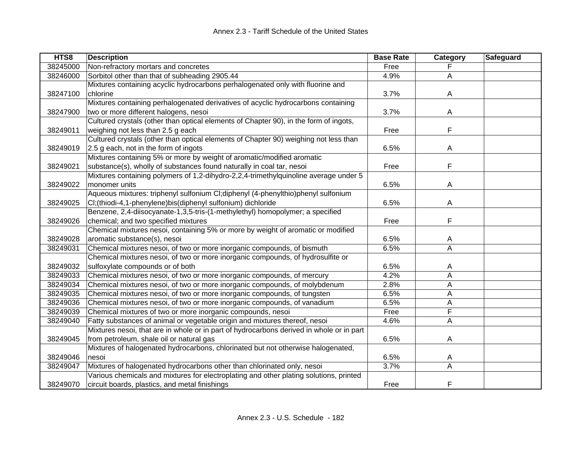| HTS8     | <b>Description</b>                                                                       | <b>Base Rate</b> | Category | Safeguard |
|----------|------------------------------------------------------------------------------------------|------------------|----------|-----------|
| 38245000 | Non-refractory mortars and concretes                                                     | Free             |          |           |
| 38246000 | Sorbitol other than that of subheading 2905.44                                           | 4.9%             | A        |           |
|          | Mixtures containing acyclic hydrocarbons perhalogenated only with fluorine and           |                  |          |           |
| 38247100 | chlorine                                                                                 | 3.7%             | A        |           |
|          | Mixtures containing perhalogenated derivatives of acyclic hydrocarbons containing        |                  |          |           |
| 38247900 | two or more different halogens, nesoi                                                    | 3.7%             | A        |           |
|          | Cultured crystals (other than optical elements of Chapter 90), in the form of ingots,    |                  |          |           |
| 38249011 | weighing not less than 2.5 g each                                                        | Free             | F        |           |
|          | Cultured crystals (other than optical elements of Chapter 90) weighing not less than     |                  |          |           |
| 38249019 | 2.5 g each, not in the form of ingots                                                    | 6.5%             | A        |           |
|          | Mixtures containing 5% or more by weight of aromatic/modified aromatic                   |                  |          |           |
| 38249021 | substance(s), wholly of substances found naturally in coal tar, nesoi                    | Free             | F        |           |
|          | Mixtures containing polymers of 1,2-dihydro-2,2,4-trimethylquinoline average under 5     |                  |          |           |
| 38249022 | monomer units                                                                            | 6.5%             | A        |           |
|          | Aqueous mixtures: triphenyl sulfonium CI;diphenyl (4-phenylthio)phenyl sulfonium         |                  |          |           |
| 38249025 | CI; (thiodi-4,1-phenylene) bis (diphenyl sulfonium) dichloride                           | 6.5%             | A        |           |
|          | Benzene, 2,4-diisocyanate-1,3,5-tris-(1-methylethyl) homopolymer; a specified            |                  |          |           |
| 38249026 | chemical; and two specified mixtures                                                     | Free             | F        |           |
|          | Chemical mixtures nesoi, containing 5% or more by weight of aromatic or modified         |                  |          |           |
| 38249028 | aromatic substance(s), nesoi                                                             | 6.5%             | A        |           |
| 38249031 | Chemical mixtures nesoi, of two or more inorganic compounds, of bismuth                  | 6.5%             | Α        |           |
|          | Chemical mixtures nesoi, of two or more inorganic compounds, of hydrosulfite or          |                  |          |           |
| 38249032 | sulfoxylate compounds or of both                                                         | 6.5%             | A        |           |
| 38249033 | Chemical mixtures nesoi, of two or more inorganic compounds, of mercury                  | 4.2%             | A        |           |
| 38249034 | Chemical mixtures nesoi, of two or more inorganic compounds, of molybdenum               | 2.8%             | A        |           |
| 38249035 | Chemical mixtures nesoi, of two or more inorganic compounds, of tungsten                 | 6.5%             | A        |           |
| 38249036 | Chemical mixtures nesoi, of two or more inorganic compounds, of vanadium                 | 6.5%             | Α        |           |
| 38249039 | Chemical mixtures of two or more inorganic compounds, nesoi                              | Free             | F        |           |
| 38249040 | Fatty substances of animal or vegetable origin and mixtures thereof, nesoi               | 4.6%             | A        |           |
|          | Mixtures nesoi, that are in whole or in part of hydrocarbons derived in whole or in part |                  |          |           |
| 38249045 | from petroleum, shale oil or natural gas                                                 | 6.5%             | A        |           |
|          | Mixtures of halogenated hydrocarbons, chlorinated but not otherwise halogenated,         |                  |          |           |
| 38249046 | nesoi                                                                                    | 6.5%             | A        |           |
| 38249047 | Mixtures of halogenated hydrocarbons other than chlorinated only, nesoi                  | 3.7%             | A        |           |
|          | Various chemicals and mixtures for electroplating and other plating solutions, printed   |                  |          |           |
| 38249070 | circuit boards, plastics, and metal finishings                                           | Free             | F        |           |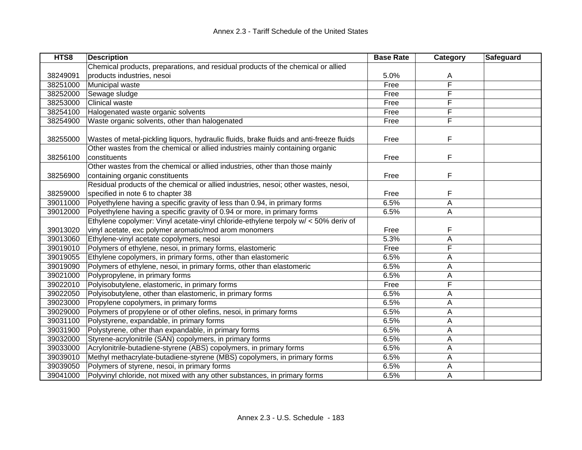| HTS8     | <b>Description</b>                                                                      | <b>Base Rate</b> | <b>Category</b> | Safeguard |
|----------|-----------------------------------------------------------------------------------------|------------------|-----------------|-----------|
|          | Chemical products, preparations, and residual products of the chemical or allied        |                  |                 |           |
| 38249091 | products industries, nesoi                                                              | 5.0%             | A               |           |
| 38251000 | Municipal waste                                                                         | Free             | F               |           |
| 38252000 | Sewage sludge                                                                           | Free             | F               |           |
| 38253000 | Clinical waste                                                                          | Free             | F               |           |
| 38254100 | Halogenated waste organic solvents                                                      | Free             | F               |           |
| 38254900 | Waste organic solvents, other than halogenated                                          | Free             | F               |           |
|          |                                                                                         |                  |                 |           |
| 38255000 | Wastes of metal-pickling liquors, hydraulic fluids, brake fluids and anti-freeze fluids | Free             | F               |           |
|          | Other wastes from the chemical or allied industries mainly containing organic           |                  |                 |           |
| 38256100 | constituents                                                                            | Free             | F               |           |
|          | Other wastes from the chemical or allied industries, other than those mainly            |                  |                 |           |
| 38256900 | containing organic constituents                                                         | Free             | F               |           |
|          | Residual products of the chemical or allied industries, nesoi; other wastes, nesoi,     |                  |                 |           |
| 38259000 | specified in note 6 to chapter 38                                                       | Free             | F               |           |
| 39011000 | Polyethylene having a specific gravity of less than 0.94, in primary forms              | 6.5%             | $\mathsf A$     |           |
| 39012000 | Polyethylene having a specific gravity of 0.94 or more, in primary forms                | 6.5%             | A               |           |
|          | Ethylene copolymer: Vinyl acetate-vinyl chloride-ethylene terpoly w/ < 50% deriv of     |                  |                 |           |
| 39013020 | vinyl acetate, exc polymer aromatic/mod arom monomers                                   | Free             | F               |           |
| 39013060 | Ethylene-vinyl acetate copolymers, nesoi                                                | 5.3%             | A               |           |
| 39019010 | Polymers of ethylene, nesoi, in primary forms, elastomeric                              | Free             | F               |           |
| 39019055 | Ethylene copolymers, in primary forms, other than elastomeric                           | 6.5%             | А               |           |
| 39019090 | Polymers of ethylene, nesoi, in primary forms, other than elastomeric                   | 6.5%             | А               |           |
| 39021000 | Polypropylene, in primary forms                                                         | 6.5%             | А               |           |
| 39022010 | Polyisobutylene, elastomeric, in primary forms                                          | Free             | F               |           |
| 39022050 | Polyisobutylene, other than elastomeric, in primary forms                               | 6.5%             | A               |           |
| 39023000 | Propylene copolymers, in primary forms                                                  | 6.5%             | А               |           |
| 39029000 | Polymers of propylene or of other olefins, nesoi, in primary forms                      | 6.5%             | А               |           |
| 39031100 | Polystyrene, expandable, in primary forms                                               | 6.5%             | A               |           |
| 39031900 | Polystyrene, other than expandable, in primary forms                                    | 6.5%             | Α               |           |
| 39032000 | Styrene-acrylonitrile (SAN) copolymers, in primary forms                                | 6.5%             | A               |           |
| 39033000 | Acrylonitrile-butadiene-styrene (ABS) copolymers, in primary forms                      | 6.5%             | A               |           |
| 39039010 | Methyl methacrylate-butadiene-styrene (MBS) copolymers, in primary forms                | 6.5%             | A               |           |
| 39039050 | Polymers of styrene, nesoi, in primary forms                                            | 6.5%             | A               |           |
| 39041000 | Polyvinyl chloride, not mixed with any other substances, in primary forms               | 6.5%             | A               |           |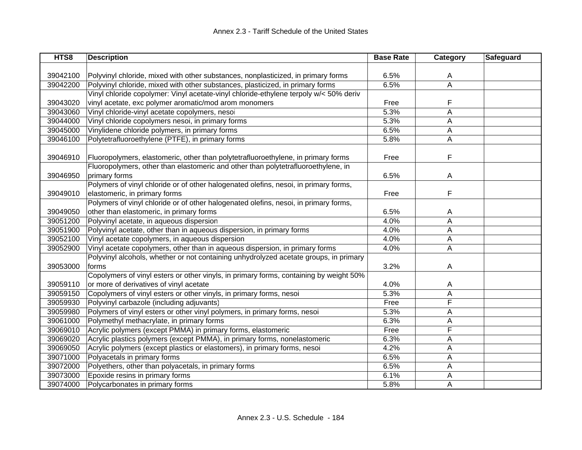| HTS8     | <b>Description</b>                                                                     | <b>Base Rate</b> | Category                | Safeguard |
|----------|----------------------------------------------------------------------------------------|------------------|-------------------------|-----------|
|          |                                                                                        |                  |                         |           |
| 39042100 | Polyvinyl chloride, mixed with other substances, nonplasticized, in primary forms      | 6.5%             | A                       |           |
| 39042200 | Polyvinyl chloride, mixed with other substances, plasticized, in primary forms         | 6.5%             | $\overline{\mathsf{A}}$ |           |
|          | Vinyl chloride copolymer: Vinyl acetate-vinyl chloride-ethylene terpoly w/< 50% deriv  |                  |                         |           |
| 39043020 | vinyl acetate, exc polymer aromatic/mod arom monomers                                  | Free             | F                       |           |
| 39043060 | Vinyl chloride-vinyl acetate copolymers, nesoi                                         | 5.3%             | A                       |           |
| 39044000 | Vinyl chloride copolymers nesoi, in primary forms                                      | 5.3%             | Α                       |           |
| 39045000 | Vinylidene chloride polymers, in primary forms                                         | 6.5%             | Α                       |           |
| 39046100 | Polytetrafluoroethylene (PTFE), in primary forms                                       | 5.8%             | A                       |           |
| 39046910 | Fluoropolymers, elastomeric, other than polytetrafluoroethylene, in primary forms      | Free             | F                       |           |
|          | Fluoropolymers, other than elastomeric and other than polytetrafluoroethylene, in      |                  |                         |           |
| 39046950 | primary forms                                                                          | 6.5%             | A                       |           |
|          | Polymers of vinyl chloride or of other halogenated olefins, nesoi, in primary forms,   |                  |                         |           |
| 39049010 | elastomeric, in primary forms                                                          | Free             | F                       |           |
|          | Polymers of vinyl chloride or of other halogenated olefins, nesoi, in primary forms,   |                  |                         |           |
| 39049050 | other than elastomeric, in primary forms                                               | 6.5%             | A                       |           |
| 39051200 | Polyvinyl acetate, in aqueous dispersion                                               | 4.0%             | A                       |           |
| 39051900 | Polyvinyl acetate, other than in aqueous dispersion, in primary forms                  | 4.0%             | A                       |           |
| 39052100 | Vinyl acetate copolymers, in aqueous dispersion                                        | 4.0%             | Α                       |           |
| 39052900 | Vinyl acetate copolymers, other than in aqueous dispersion, in primary forms           | 4.0%             | A                       |           |
|          | Polyvinyl alcohols, whether or not containing unhydrolyzed acetate groups, in primary  |                  |                         |           |
| 39053000 | forms                                                                                  | 3.2%             | A                       |           |
|          | Copolymers of vinyl esters or other vinyls, in primary forms, containing by weight 50% |                  |                         |           |
| 39059110 | or more of derivatives of vinyl acetate                                                | 4.0%             | A                       |           |
| 39059150 | Copolymers of vinyl esters or other vinyls, in primary forms, nesoi                    | 5.3%             | A                       |           |
| 39059930 | Polyvinyl carbazole (including adjuvants)                                              | Free             | F                       |           |
| 39059980 | Polymers of vinyl esters or other vinyl polymers, in primary forms, nesoi              | 5.3%             | Α                       |           |
| 39061000 | Polymethyl methacrylate, in primary forms                                              | 6.3%             | А                       |           |
| 39069010 | Acrylic polymers (except PMMA) in primary forms, elastomeric                           | Free             | F                       |           |
| 39069020 | Acrylic plastics polymers (except PMMA), in primary forms, nonelastomeric              | 6.3%             | Α                       |           |
| 39069050 | Acrylic polymers (except plastics or elastomers), in primary forms, nesoi              | 4.2%             | Α                       |           |
| 39071000 | Polyacetals in primary forms                                                           | 6.5%             | A                       |           |
| 39072000 | Polyethers, other than polyacetals, in primary forms                                   | 6.5%             | Α                       |           |
| 39073000 | Epoxide resins in primary forms                                                        | 6.1%             | A                       |           |
| 39074000 | Polycarbonates in primary forms                                                        | 5.8%             | A                       |           |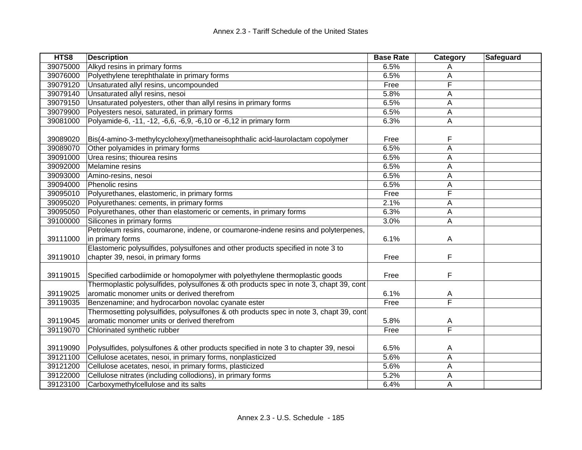| HTS8     | <b>Description</b>                                                                     | <b>Base Rate</b> | Category                | Safeguard |
|----------|----------------------------------------------------------------------------------------|------------------|-------------------------|-----------|
| 39075000 | Alkyd resins in primary forms                                                          | 6.5%             | A                       |           |
| 39076000 | Polyethylene terephthalate in primary forms                                            | 6.5%             | A                       |           |
| 39079120 | Unsaturated allyl resins, uncompounded                                                 | Free             | F                       |           |
| 39079140 | Unsaturated allyl resins, nesoi                                                        | 5.8%             | A                       |           |
| 39079150 | Unsaturated polyesters, other than allyl resins in primary forms                       | 6.5%             | А                       |           |
| 39079900 | Polyesters nesoi, saturated, in primary forms                                          | 6.5%             | Α                       |           |
| 39081000 | Polyamide-6, -11, -12, -6,6, -6,9, -6,10 or -6,12 in primary form                      | 6.3%             | Α                       |           |
|          |                                                                                        |                  |                         |           |
| 39089020 | Bis(4-amino-3-methylcyclohexyl)methaneisophthalic acid-laurolactam copolymer           | Free             | F                       |           |
| 39089070 | Other polyamides in primary forms                                                      | 6.5%             | A                       |           |
| 39091000 | Urea resins; thiourea resins                                                           | 6.5%             | A                       |           |
| 39092000 | Melamine resins                                                                        | 6.5%             | A                       |           |
| 39093000 | Amino-resins, nesoi                                                                    | 6.5%             | Α                       |           |
| 39094000 | Phenolic resins                                                                        | 6.5%             | А                       |           |
| 39095010 | Polyurethanes, elastomeric, in primary forms                                           | Free             | F                       |           |
| 39095020 | Polyurethanes: cements, in primary forms                                               | 2.1%             | A                       |           |
| 39095050 | Polyurethanes, other than elastomeric or cements, in primary forms                     | 6.3%             | А                       |           |
| 39100000 | Silicones in primary forms                                                             | 3.0%             | A                       |           |
|          | Petroleum resins, coumarone, indene, or coumarone-indene resins and polyterpenes,      |                  |                         |           |
| 39111000 | in primary forms                                                                       | 6.1%             | A                       |           |
|          | Elastomeric polysulfides, polysulfones and other products specified in note 3 to       |                  |                         |           |
| 39119010 | chapter 39, nesoi, in primary forms                                                    | Free             | F                       |           |
|          |                                                                                        |                  |                         |           |
| 39119015 | Specified carbodiimide or homopolymer with polyethylene thermoplastic goods            | Free             | F                       |           |
|          | Thermoplastic polysulfides, polysulfones & oth products spec in note 3, chapt 39, cont |                  |                         |           |
| 39119025 | aromatic monomer units or derived therefrom                                            | 6.1%             | A                       |           |
| 39119035 | Benzenamine; and hydrocarbon novolac cyanate ester                                     | Free             | $\overline{\mathsf{F}}$ |           |
|          | Thermosetting polysulfides, polysulfones & oth products spec in note 3, chapt 39, cont |                  |                         |           |
| 39119045 | aromatic monomer units or derived therefrom                                            | 5.8%             | A                       |           |
| 39119070 | Chlorinated synthetic rubber                                                           | Free             | F                       |           |
|          |                                                                                        |                  |                         |           |
| 39119090 | Polysulfides, polysulfones & other products specified in note 3 to chapter 39, nesoi   | 6.5%             | A                       |           |
| 39121100 | Cellulose acetates, nesoi, in primary forms, nonplasticized                            | 5.6%             | A                       |           |
| 39121200 | Cellulose acetates, nesoi, in primary forms, plasticized                               | 5.6%             | Α                       |           |
| 39122000 | Cellulose nitrates (including collodions), in primary forms                            | 5.2%             | Α                       |           |
| 39123100 | Carboxymethylcellulose and its salts                                                   | 6.4%             | Α                       |           |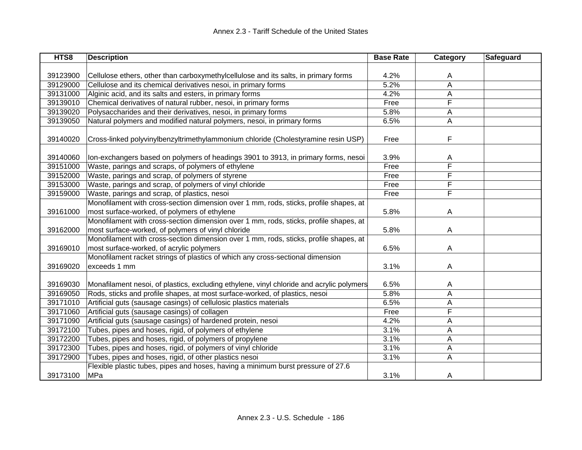| HTS8     | <b>Description</b>                                                                       | <b>Base Rate</b> | Category       | Safeguard |
|----------|------------------------------------------------------------------------------------------|------------------|----------------|-----------|
|          |                                                                                          |                  |                |           |
| 39123900 | Cellulose ethers, other than carboxymethylcellulose and its salts, in primary forms      | 4.2%             | A              |           |
| 39129000 | Cellulose and its chemical derivatives nesoi, in primary forms                           | 5.2%             | $\overline{A}$ |           |
| 39131000 | Alginic acid, and its salts and esters, in primary forms                                 | 4.2%             | A              |           |
| 39139010 | Chemical derivatives of natural rubber, nesoi, in primary forms                          | Free             | F              |           |
| 39139020 | Polysaccharides and their derivatives, nesoi, in primary forms                           | 5.8%             | A              |           |
| 39139050 | Natural polymers and modified natural polymers, nesoi, in primary forms                  | 6.5%             | A              |           |
|          |                                                                                          |                  |                |           |
| 39140020 | Cross-linked polyvinylbenzyltrimethylammonium chloride (Cholestyramine resin USP)        | Free             | F              |           |
|          |                                                                                          |                  |                |           |
| 39140060 | Ion-exchangers based on polymers of headings 3901 to 3913, in primary forms, nesoi       | 3.9%             | A              |           |
| 39151000 | Waste, parings and scraps, of polymers of ethylene                                       | Free             | F              |           |
| 39152000 | Waste, parings and scrap, of polymers of styrene                                         | Free             | F              |           |
| 39153000 | Waste, parings and scrap, of polymers of vinyl chloride                                  | Free             | F              |           |
| 39159000 | Waste, parings and scrap, of plastics, nesoi                                             | Free             | F              |           |
|          | Monofilament with cross-section dimension over 1 mm, rods, sticks, profile shapes, at    |                  |                |           |
| 39161000 | most surface-worked, of polymers of ethylene                                             | 5.8%             | A              |           |
|          | Monofilament with cross-section dimension over 1 mm, rods, sticks, profile shapes, at    |                  |                |           |
| 39162000 | most surface-worked, of polymers of vinyl chloride                                       | 5.8%             | A              |           |
|          | Monofilament with cross-section dimension over 1 mm, rods, sticks, profile shapes, at    |                  |                |           |
| 39169010 | most surface-worked, of acrylic polymers                                                 | 6.5%             | A              |           |
|          | Monofilament racket strings of plastics of which any cross-sectional dimension           |                  |                |           |
| 39169020 | exceeds 1 mm                                                                             | 3.1%             | A              |           |
|          |                                                                                          |                  |                |           |
| 39169030 | Monafilament nesoi, of plastics, excluding ethylene, vinyl chloride and acrylic polymers | 6.5%             | A              |           |
| 39169050 | Rods, sticks and profile shapes, at most surface-worked, of plastics, nesoi              | 5.8%             | Α              |           |
| 39171010 | Artificial guts (sausage casings) of cellulosic plastics materials                       | 6.5%             | А              |           |
| 39171060 | Artificial guts (sausage casings) of collagen                                            | Free             | F              |           |
| 39171090 | Artificial guts (sausage casings) of hardened protein, nesoi                             | 4.2%             | A              |           |
| 39172100 | Tubes, pipes and hoses, rigid, of polymers of ethylene                                   | 3.1%             | A              |           |
| 39172200 | Tubes, pipes and hoses, rigid, of polymers of propylene                                  | 3.1%             | A              |           |
| 39172300 | Tubes, pipes and hoses, rigid, of polymers of vinyl chloride                             | 3.1%             | A              |           |
| 39172900 | Tubes, pipes and hoses, rigid, of other plastics nesoi                                   | 3.1%             | A              |           |
|          | Flexible plastic tubes, pipes and hoses, having a minimum burst pressure of 27.6         |                  |                |           |
| 39173100 | MPa                                                                                      | 3.1%             | A              |           |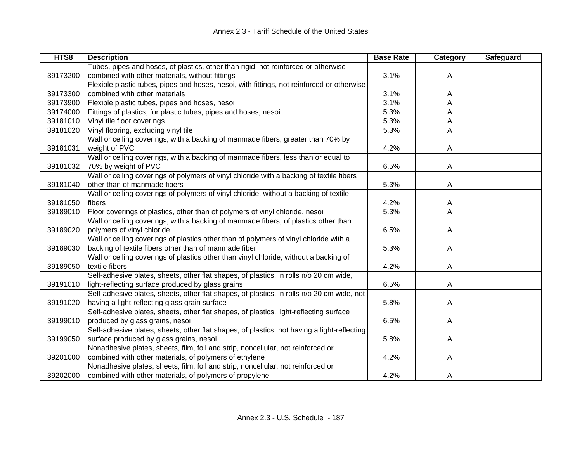| HTS8     | <b>Description</b>                                                                          | <b>Base Rate</b> | Category       | Safeguard |
|----------|---------------------------------------------------------------------------------------------|------------------|----------------|-----------|
|          | Tubes, pipes and hoses, of plastics, other than rigid, not reinforced or otherwise          |                  |                |           |
| 39173200 | combined with other materials, without fittings                                             | 3.1%             | A              |           |
|          | Flexible plastic tubes, pipes and hoses, nesoi, with fittings, not reinforced or otherwise  |                  |                |           |
| 39173300 | combined with other materials                                                               | 3.1%             | A              |           |
| 39173900 | Flexible plastic tubes, pipes and hoses, nesoi                                              | 3.1%             | A              |           |
| 39174000 | Fittings of plastics, for plastic tubes, pipes and hoses, nesoi                             | 5.3%             | A              |           |
| 39181010 | Vinyl tile floor coverings                                                                  | 5.3%             | A              |           |
| 39181020 | Vinyl flooring, excluding vinyl tile                                                        | 5.3%             | A              |           |
|          | Wall or ceiling coverings, with a backing of manmade fibers, greater than 70% by            |                  |                |           |
| 39181031 | weight of PVC                                                                               | 4.2%             | A              |           |
|          | Wall or ceiling coverings, with a backing of manmade fibers, less than or equal to          |                  |                |           |
| 39181032 | 70% by weight of PVC                                                                        | 6.5%             | A              |           |
|          | Wall or ceiling coverings of polymers of vinyl chloride with a backing of textile fibers    |                  |                |           |
| 39181040 | other than of manmade fibers                                                                | 5.3%             | A              |           |
|          | Wall or ceiling coverings of polymers of vinyl chloride, without a backing of textile       |                  |                |           |
| 39181050 | fibers                                                                                      | 4.2%             | A              |           |
| 39189010 | Floor coverings of plastics, other than of polymers of vinyl chloride, nesoi                | 5.3%             | A              |           |
|          | Wall or ceiling coverings, with a backing of manmade fibers, of plastics other than         |                  |                |           |
| 39189020 | polymers of vinyl chloride                                                                  | 6.5%             | $\overline{A}$ |           |
|          | Wall or ceiling coverings of plastics other than of polymers of vinyl chloride with a       |                  |                |           |
| 39189030 | backing of textile fibers other than of manmade fiber                                       | 5.3%             | A              |           |
|          | Wall or ceiling coverings of plastics other than vinyl chloride, without a backing of       |                  |                |           |
| 39189050 | textile fibers                                                                              | 4.2%             | A              |           |
|          | Self-adhesive plates, sheets, other flat shapes, of plastics, in rolls n/o 20 cm wide,      |                  |                |           |
| 39191010 | light-reflecting surface produced by glass grains                                           | 6.5%             | A              |           |
|          | Self-adhesive plates, sheets, other flat shapes, of plastics, in rolls n/o 20 cm wide, not  |                  |                |           |
| 39191020 | having a light-reflecting glass grain surface                                               | 5.8%             | A              |           |
|          | Self-adhesive plates, sheets, other flat shapes, of plastics, light-reflecting surface      |                  |                |           |
| 39199010 | produced by glass grains, nesoi                                                             | 6.5%             | A              |           |
|          | Self-adhesive plates, sheets, other flat shapes, of plastics, not having a light-reflecting |                  |                |           |
| 39199050 | surface produced by glass grains, nesoi                                                     | 5.8%             | A              |           |
|          | Nonadhesive plates, sheets, film, foil and strip, noncellular, not reinforced or            |                  |                |           |
| 39201000 | combined with other materials, of polymers of ethylene                                      | 4.2%             | A              |           |
|          | Nonadhesive plates, sheets, film, foil and strip, noncellular, not reinforced or            |                  |                |           |
| 39202000 | combined with other materials, of polymers of propylene                                     | 4.2%             | A              |           |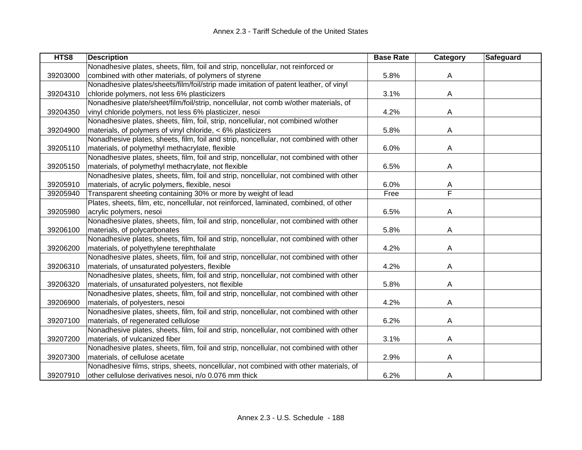| HTS8     | <b>Description</b>                                                                     | <b>Base Rate</b> | Category | <b>Safeguard</b> |
|----------|----------------------------------------------------------------------------------------|------------------|----------|------------------|
|          | Nonadhesive plates, sheets, film, foil and strip, noncellular, not reinforced or       |                  |          |                  |
| 39203000 | combined with other materials, of polymers of styrene                                  | 5.8%             | A        |                  |
|          | Nonadhesive plates/sheets/film/foil/strip made imitation of patent leather, of vinyl   |                  |          |                  |
| 39204310 | chloride polymers, not less 6% plasticizers                                            | 3.1%             | A        |                  |
|          | Nonadhesive plate/sheet/film/foil/strip, noncellular, not comb w/other materials, of   |                  |          |                  |
| 39204350 | vinyl chloride polymers, not less 6% plasticizer, nesoi                                | 4.2%             | A        |                  |
|          | Nonadhesive plates, sheets, film, foil, strip, noncellular, not combined w/other       |                  |          |                  |
| 39204900 | materials, of polymers of vinyl chloride, < 6% plasticizers                            | 5.8%             | A        |                  |
|          | Nonadhesive plates, sheets, film, foil and strip, noncellular, not combined with other |                  |          |                  |
| 39205110 | materials, of polymethyl methacrylate, flexible                                        | 6.0%             | A        |                  |
|          | Nonadhesive plates, sheets, film, foil and strip, noncellular, not combined with other |                  |          |                  |
| 39205150 | materials, of polymethyl methacrylate, not flexible                                    | 6.5%             | A        |                  |
|          | Nonadhesive plates, sheets, film, foil and strip, noncellular, not combined with other |                  |          |                  |
| 39205910 | materials, of acrylic polymers, flexible, nesoi                                        | 6.0%             | A        |                  |
| 39205940 | Transparent sheeting containing 30% or more by weight of lead                          | Free             | F        |                  |
|          | Plates, sheets, film, etc, noncellular, not reinforced, laminated, combined, of other  |                  |          |                  |
| 39205980 | acrylic polymers, nesoi                                                                | 6.5%             | A        |                  |
|          | Nonadhesive plates, sheets, film, foil and strip, noncellular, not combined with other |                  |          |                  |
| 39206100 | materials, of polycarbonates                                                           | 5.8%             | A        |                  |
|          | Nonadhesive plates, sheets, film, foil and strip, noncellular, not combined with other |                  |          |                  |
| 39206200 | materials, of polyethylene terephthalate                                               | 4.2%             | A        |                  |
|          | Nonadhesive plates, sheets, film, foil and strip, noncellular, not combined with other |                  |          |                  |
| 39206310 | materials, of unsaturated polyesters, flexible                                         | 4.2%             | A        |                  |
|          | Nonadhesive plates, sheets, film, foil and strip, noncellular, not combined with other |                  |          |                  |
| 39206320 | materials, of unsaturated polyesters, not flexible                                     | 5.8%             | A        |                  |
|          | Nonadhesive plates, sheets, film, foil and strip, noncellular, not combined with other |                  |          |                  |
| 39206900 | materials, of polyesters, nesoi                                                        | 4.2%             | A        |                  |
|          | Nonadhesive plates, sheets, film, foil and strip, noncellular, not combined with other |                  |          |                  |
| 39207100 | materials, of regenerated cellulose                                                    | 6.2%             | A        |                  |
|          | Nonadhesive plates, sheets, film, foil and strip, noncellular, not combined with other |                  |          |                  |
| 39207200 | materials, of vulcanized fiber                                                         | 3.1%             | A        |                  |
|          | Nonadhesive plates, sheets, film, foil and strip, noncellular, not combined with other |                  |          |                  |
| 39207300 | materials, of cellulose acetate                                                        | 2.9%             | A        |                  |
|          | Nonadhesive films, strips, sheets, noncellular, not combined with other materials, of  |                  |          |                  |
| 39207910 | other cellulose derivatives nesoi, n/o 0.076 mm thick                                  | 6.2%             | A        |                  |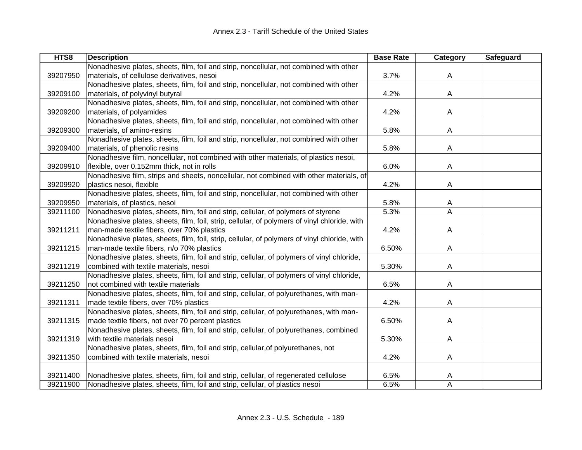| HTS8     | <b>Description</b>                                                                           | <b>Base Rate</b> | Category | Safeguard |
|----------|----------------------------------------------------------------------------------------------|------------------|----------|-----------|
|          | Nonadhesive plates, sheets, film, foil and strip, noncellular, not combined with other       |                  |          |           |
| 39207950 | materials, of cellulose derivatives, nesoi                                                   | 3.7%             | A        |           |
|          | Nonadhesive plates, sheets, film, foil and strip, noncellular, not combined with other       |                  |          |           |
| 39209100 | materials, of polyvinyl butyral                                                              | 4.2%             | A        |           |
|          | Nonadhesive plates, sheets, film, foil and strip, noncellular, not combined with other       |                  |          |           |
| 39209200 | materials, of polyamides                                                                     | 4.2%             | A        |           |
|          | Nonadhesive plates, sheets, film, foil and strip, noncellular, not combined with other       |                  |          |           |
| 39209300 | materials, of amino-resins                                                                   | 5.8%             | A        |           |
|          | Nonadhesive plates, sheets, film, foil and strip, noncellular, not combined with other       |                  |          |           |
| 39209400 | materials, of phenolic resins                                                                | 5.8%             | A        |           |
|          | Nonadhesive film, noncellular, not combined with other materials, of plastics nesoi,         |                  |          |           |
| 39209910 | flexible, over 0.152mm thick, not in rolls                                                   | 6.0%             | A        |           |
|          | Nonadhesive film, strips and sheets, noncellular, not combined with other materials, of      |                  |          |           |
| 39209920 | plastics nesoi, flexible                                                                     | 4.2%             | A        |           |
|          | Nonadhesive plates, sheets, film, foil and strip, noncellular, not combined with other       |                  |          |           |
| 39209950 | materials, of plastics, nesoi                                                                | 5.8%             | A        |           |
| 39211100 | Nonadhesive plates, sheets, film, foil and strip, cellular, of polymers of styrene           | 5.3%             | A        |           |
|          | Nonadhesive plates, sheets, film, foil, strip, cellular, of polymers of vinyl chloride, with |                  |          |           |
| 39211211 | man-made textile fibers, over 70% plastics                                                   | 4.2%             | Α        |           |
|          | Nonadhesive plates, sheets, film, foil, strip, cellular, of polymers of vinyl chloride, with |                  |          |           |
| 39211215 | man-made textile fibers, n/o 70% plastics                                                    | 6.50%            | А        |           |
|          | Nonadhesive plates, sheets, film, foil and strip, cellular, of polymers of vinyl chloride,   |                  |          |           |
| 39211219 | combined with textile materials, nesoi                                                       | 5.30%            | А        |           |
|          | Nonadhesive plates, sheets, film, foil and strip, cellular, of polymers of vinyl chloride,   |                  |          |           |
| 39211250 | not combined with textile materials                                                          | 6.5%             | Α        |           |
|          | Nonadhesive plates, sheets, film, foil and strip, cellular, of polyurethanes, with man-      |                  |          |           |
| 39211311 | made textile fibers, over 70% plastics                                                       | 4.2%             | A        |           |
|          | Nonadhesive plates, sheets, film, foil and strip, cellular, of polyurethanes, with man-      |                  |          |           |
| 39211315 | made textile fibers, not over 70 percent plastics                                            | 6.50%            | A        |           |
|          | Nonadhesive plates, sheets, film, foil and strip, cellular, of polyurethanes, combined       |                  |          |           |
| 39211319 | with textile materials nesoi                                                                 | 5.30%            | Α        |           |
|          | Nonadhesive plates, sheets, film, foil and strip, cellular, of polyurethanes, not            |                  |          |           |
| 39211350 | combined with textile materials, nesoi                                                       | 4.2%             | Α        |           |
|          |                                                                                              |                  |          |           |
| 39211400 | Nonadhesive plates, sheets, film, foil and strip, cellular, of regenerated cellulose         | 6.5%             | Α        |           |
| 39211900 | Nonadhesive plates, sheets, film, foil and strip, cellular, of plastics nesoi                | 6.5%             | Α        |           |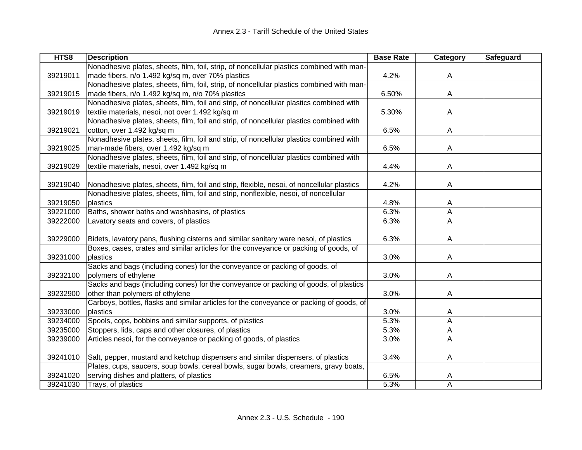| HTS8     | <b>Description</b>                                                                         | <b>Base Rate</b> | Category | Safeguard |
|----------|--------------------------------------------------------------------------------------------|------------------|----------|-----------|
|          | Nonadhesive plates, sheets, film, foil, strip, of noncellular plastics combined with man-  |                  |          |           |
| 39219011 | made fibers, n/o 1.492 kg/sq m, over 70% plastics                                          | 4.2%             | A        |           |
|          | Nonadhesive plates, sheets, film, foil, strip, of noncellular plastics combined with man-  |                  |          |           |
| 39219015 | made fibers, n/o 1.492 kg/sq m, n/o 70% plastics                                           | 6.50%            | A        |           |
|          | Nonadhesive plates, sheets, film, foil and strip, of noncellular plastics combined with    |                  |          |           |
| 39219019 | textile materials, nesoi, not over 1.492 kg/sq m                                           | 5.30%            | A        |           |
|          | Nonadhesive plates, sheets, film, foil and strip, of noncellular plastics combined with    |                  |          |           |
| 39219021 | cotton, over 1.492 kg/sq m                                                                 | 6.5%             | A        |           |
|          | Nonadhesive plates, sheets, film, foil and strip, of noncellular plastics combined with    |                  |          |           |
| 39219025 | man-made fibers, over 1.492 kg/sq m                                                        | 6.5%             | A        |           |
|          | Nonadhesive plates, sheets, film, foil and strip, of noncellular plastics combined with    |                  |          |           |
| 39219029 | textile materials, nesoi, over 1.492 kg/sq m                                               | 4.4%             | A        |           |
|          |                                                                                            |                  |          |           |
| 39219040 | Nonadhesive plates, sheets, film, foil and strip, flexible, nesoi, of noncellular plastics | 4.2%             | A        |           |
|          | Nonadhesive plates, sheets, film, foil and strip, nonflexible, nesoi, of noncellular       |                  |          |           |
| 39219050 | plastics                                                                                   | 4.8%             | A        |           |
| 39221000 | Baths, shower baths and washbasins, of plastics                                            | 6.3%             | A        |           |
| 39222000 | Lavatory seats and covers, of plastics                                                     | 6.3%             | A        |           |
|          |                                                                                            |                  |          |           |
| 39229000 | Bidets, lavatory pans, flushing cisterns and similar sanitary ware nesoi, of plastics      | 6.3%             | A        |           |
|          | Boxes, cases, crates and similar articles for the conveyance or packing of goods, of       |                  |          |           |
| 39231000 | plastics                                                                                   | 3.0%             | A        |           |
|          | Sacks and bags (including cones) for the conveyance or packing of goods, of                |                  |          |           |
| 39232100 | polymers of ethylene                                                                       | 3.0%             | A        |           |
|          | Sacks and bags (including cones) for the conveyance or packing of goods, of plastics       |                  |          |           |
| 39232900 | other than polymers of ethylene                                                            | 3.0%             | Α        |           |
|          | Carboys, bottles, flasks and similar articles for the conveyance or packing of goods, of   |                  |          |           |
| 39233000 | plastics                                                                                   | 3.0%             | Α        |           |
| 39234000 | Spools, cops, bobbins and similar supports, of plastics                                    | 5.3%             | A        |           |
| 39235000 | Stoppers, lids, caps and other closures, of plastics                                       | 5.3%             | A        |           |
| 39239000 | Articles nesoi, for the conveyance or packing of goods, of plastics                        | 3.0%             | A        |           |
|          |                                                                                            |                  |          |           |
| 39241010 | Salt, pepper, mustard and ketchup dispensers and similar dispensers, of plastics           | 3.4%             | A        |           |
|          | Plates, cups, saucers, soup bowls, cereal bowls, sugar bowls, creamers, gravy boats,       |                  |          |           |
| 39241020 | serving dishes and platters, of plastics                                                   | 6.5%             | Α        |           |
| 39241030 | Trays, of plastics                                                                         | 5.3%             | A        |           |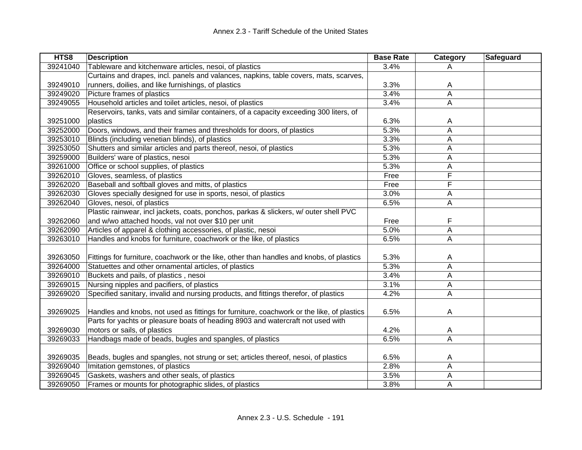| HTS8     | <b>Description</b>                                                                        | <b>Base Rate</b> | Category | Safeguard |
|----------|-------------------------------------------------------------------------------------------|------------------|----------|-----------|
| 39241040 | Tableware and kitchenware articles, nesoi, of plastics                                    | 3.4%             | A        |           |
|          | Curtains and drapes, incl. panels and valances, napkins, table covers, mats, scarves,     |                  |          |           |
| 39249010 | runners, doilies, and like furnishings, of plastics                                       | 3.3%             | A        |           |
| 39249020 | Picture frames of plastics                                                                | 3.4%             | A        |           |
| 39249055 | Household articles and toilet articles, nesoi, of plastics                                | 3.4%             | A        |           |
|          | Reservoirs, tanks, vats and similar containers, of a capacity exceeding 300 liters, of    |                  |          |           |
| 39251000 | plastics                                                                                  | 6.3%             | A        |           |
| 39252000 | Doors, windows, and their frames and thresholds for doors, of plastics                    | 5.3%             | Α        |           |
| 39253010 | Blinds (including venetian blinds), of plastics                                           | 3.3%             | A        |           |
| 39253050 | Shutters and similar articles and parts thereof, nesoi, of plastics                       | 5.3%             | A        |           |
| 39259000 | Builders' ware of plastics, nesoi                                                         | 5.3%             | A        |           |
| 39261000 | Office or school supplies, of plastics                                                    | 5.3%             | А        |           |
| 39262010 | Gloves, seamless, of plastics                                                             | Free             | F        |           |
| 39262020 | Baseball and softball gloves and mitts, of plastics                                       | Free             | F        |           |
| 39262030 | Gloves specially designed for use in sports, nesoi, of plastics                           | 3.0%             | Α        |           |
| 39262040 | Gloves, nesoi, of plastics                                                                | 6.5%             | A        |           |
|          | Plastic rainwear, incl jackets, coats, ponchos, parkas & slickers, w/ outer shell PVC     |                  |          |           |
| 39262060 | and w/wo attached hoods, val not over \$10 per unit                                       | Free             | F        |           |
| 39262090 | Articles of apparel & clothing accessories, of plastic, nesoi                             | 5.0%             | А        |           |
| 39263010 | Handles and knobs for furniture, coachwork or the like, of plastics                       | 6.5%             | A        |           |
|          |                                                                                           |                  |          |           |
| 39263050 | Fittings for furniture, coachwork or the like, other than handles and knobs, of plastics  | 5.3%             | A        |           |
| 39264000 | Statuettes and other ornamental articles, of plastics                                     | 5.3%             | A        |           |
| 39269010 | Buckets and pails, of plastics, nesoi                                                     | 3.4%             | A        |           |
| 39269015 | Nursing nipples and pacifiers, of plastics                                                | 3.1%             | Α        |           |
| 39269020 | Specified sanitary, invalid and nursing products, and fittings therefor, of plastics      | 4.2%             | A        |           |
|          |                                                                                           |                  |          |           |
| 39269025 | Handles and knobs, not used as fittings for furniture, coachwork or the like, of plastics | 6.5%             | A        |           |
|          | Parts for yachts or pleasure boats of heading 8903 and watercraft not used with           |                  |          |           |
| 39269030 | motors or sails, of plastics                                                              | 4.2%             | A        |           |
| 39269033 | Handbags made of beads, bugles and spangles, of plastics                                  | 6.5%             | Α        |           |
|          |                                                                                           |                  |          |           |
| 39269035 | Beads, bugles and spangles, not strung or set; articles thereof, nesoi, of plastics       | 6.5%             | A        |           |
| 39269040 | Imitation gemstones, of plastics                                                          | 2.8%             | A        |           |
| 39269045 | Gaskets, washers and other seals, of plastics                                             | 3.5%             | Α        |           |
| 39269050 | Frames or mounts for photographic slides, of plastics                                     | 3.8%             | Α        |           |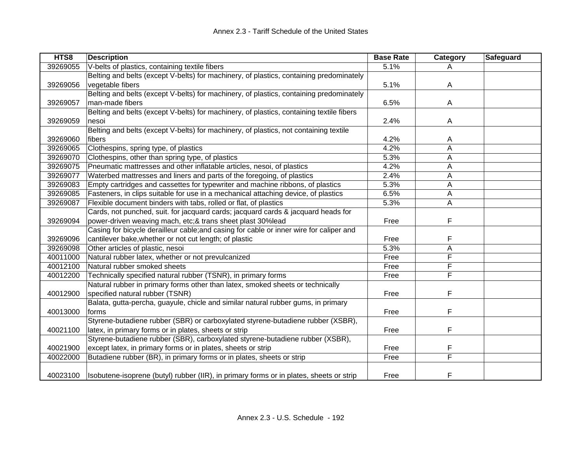| HTS8     | <b>Description</b>                                                                       | <b>Base Rate</b> | <b>Category</b> | Safeguard |
|----------|------------------------------------------------------------------------------------------|------------------|-----------------|-----------|
| 39269055 | V-belts of plastics, containing textile fibers                                           | 5.1%             | A               |           |
|          | Belting and belts (except V-belts) for machinery, of plastics, containing predominately  |                  |                 |           |
| 39269056 | vegetable fibers                                                                         | 5.1%             | A               |           |
|          | Belting and belts (except V-belts) for machinery, of plastics, containing predominately  |                  |                 |           |
| 39269057 | man-made fibers                                                                          | 6.5%             | Α               |           |
|          | Belting and belts (except V-belts) for machinery, of plastics, containing textile fibers |                  |                 |           |
| 39269059 | nesoi                                                                                    | 2.4%             | A               |           |
|          | Belting and belts (except V-belts) for machinery, of plastics, not containing textile    |                  |                 |           |
| 39269060 | fibers                                                                                   | 4.2%             | A               |           |
| 39269065 | Clothespins, spring type, of plastics                                                    | 4.2%             | А               |           |
| 39269070 | Clothespins, other than spring type, of plastics                                         | 5.3%             | Α               |           |
| 39269075 | Pneumatic mattresses and other inflatable articles, nesoi, of plastics                   | 4.2%             | A               |           |
| 39269077 | Waterbed mattresses and liners and parts of the foregoing, of plastics                   | 2.4%             | Α               |           |
| 39269083 | Empty cartridges and cassettes for typewriter and machine ribbons, of plastics           | 5.3%             | A               |           |
| 39269085 | Fasteners, in clips suitable for use in a mechanical attaching device, of plastics       | 6.5%             | A               |           |
| 39269087 | Flexible document binders with tabs, rolled or flat, of plastics                         | 5.3%             | Α               |           |
|          | Cards, not punched, suit. for jacquard cards; jacquard cards & jacquard heads for        |                  |                 |           |
| 39269094 | power-driven weaving mach, etc;& trans sheet plast 30%lead                               | Free             | F               |           |
|          | Casing for bicycle derailleur cable; and casing for cable or inner wire for caliper and  |                  |                 |           |
| 39269096 | cantilever bake, whether or not cut length; of plastic                                   | Free             | F               |           |
| 39269098 | Other articles of plastic, nesoi                                                         | 5.3%             | A               |           |
| 40011000 | Natural rubber latex, whether or not prevulcanized                                       | Free             | F               |           |
| 40012100 | Natural rubber smoked sheets                                                             | Free             | F               |           |
| 40012200 | Technically specified natural rubber (TSNR), in primary forms                            | Free             | Ē               |           |
|          | Natural rubber in primary forms other than latex, smoked sheets or technically           |                  |                 |           |
| 40012900 | specified natural rubber (TSNR)                                                          | Free             | F               |           |
|          | Balata, gutta-percha, guayule, chicle and similar natural rubber gums, in primary        |                  |                 |           |
| 40013000 | forms                                                                                    | Free             | F               |           |
|          | Styrene-butadiene rubber (SBR) or carboxylated styrene-butadiene rubber (XSBR),          |                  |                 |           |
| 40021100 | latex, in primary forms or in plates, sheets or strip                                    | Free             | F               |           |
|          | Styrene-butadiene rubber (SBR), carboxylated styrene-butadiene rubber (XSBR),            |                  |                 |           |
| 40021900 | except latex, in primary forms or in plates, sheets or strip                             | Free             | F               |           |
| 40022000 | Butadiene rubber (BR), in primary forms or in plates, sheets or strip                    | Free             | F               |           |
|          |                                                                                          |                  |                 |           |
| 40023100 | Isobutene-isoprene (butyl) rubber (IIR), in primary forms or in plates, sheets or strip  | Free             | F               |           |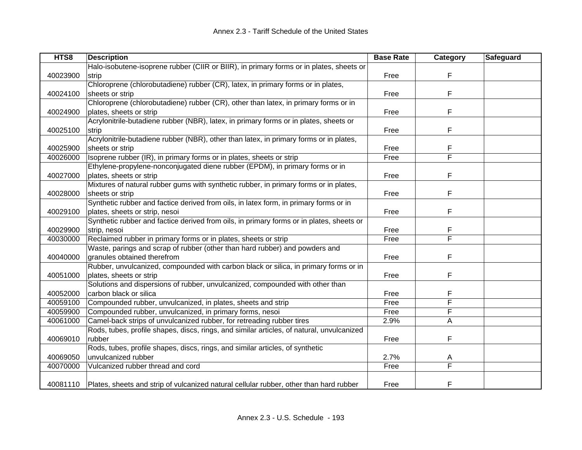| HTS8     | <b>Description</b>                                                                        | <b>Base Rate</b> | Category | Safeguard |
|----------|-------------------------------------------------------------------------------------------|------------------|----------|-----------|
|          | Halo-isobutene-isoprene rubber (CIIR or BIIR), in primary forms or in plates, sheets or   |                  |          |           |
| 40023900 | strip                                                                                     | Free             | F        |           |
|          | Chloroprene (chlorobutadiene) rubber (CR), latex, in primary forms or in plates,          |                  |          |           |
| 40024100 | sheets or strip                                                                           | Free             | F        |           |
|          | Chloroprene (chlorobutadiene) rubber (CR), other than latex, in primary forms or in       |                  |          |           |
| 40024900 | plates, sheets or strip                                                                   | Free             | F        |           |
|          | Acrylonitrile-butadiene rubber (NBR), latex, in primary forms or in plates, sheets or     |                  |          |           |
| 40025100 | strip                                                                                     | Free             | F        |           |
|          | Acrylonitrile-butadiene rubber (NBR), other than latex, in primary forms or in plates,    |                  |          |           |
| 40025900 | sheets or strip                                                                           | Free             | F        |           |
| 40026000 | Isoprene rubber (IR), in primary forms or in plates, sheets or strip                      | Free             | F        |           |
|          | Ethylene-propylene-nonconjugated diene rubber (EPDM), in primary forms or in              |                  |          |           |
| 40027000 | plates, sheets or strip                                                                   | Free             | F        |           |
|          | Mixtures of natural rubber gums with synthetic rubber, in primary forms or in plates,     |                  |          |           |
| 40028000 | sheets or strip                                                                           | Free             | F        |           |
|          | Synthetic rubber and factice derived from oils, in latex form, in primary forms or in     |                  |          |           |
| 40029100 | plates, sheets or strip, nesoi                                                            | Free             | F        |           |
|          | Synthetic rubber and factice derived from oils, in primary forms or in plates, sheets or  |                  |          |           |
| 40029900 | strip, nesoi                                                                              | Free             | F        |           |
| 40030000 | Reclaimed rubber in primary forms or in plates, sheets or strip                           | Free             | F        |           |
|          | Waste, parings and scrap of rubber (other than hard rubber) and powders and               |                  |          |           |
| 40040000 | granules obtained therefrom                                                               | Free             | F        |           |
|          | Rubber, unvulcanized, compounded with carbon black or silica, in primary forms or in      |                  |          |           |
| 40051000 | plates, sheets or strip                                                                   | Free             | F        |           |
|          | Solutions and dispersions of rubber, unvulcanized, compounded with other than             |                  |          |           |
| 40052000 | carbon black or silica                                                                    | Free             | F        |           |
| 40059100 | Compounded rubber, unvulcanized, in plates, sheets and strip                              | Free             | F        |           |
| 40059900 | Compounded rubber, unvulcanized, in primary forms, nesoi                                  | Free             | F        |           |
| 40061000 | Camel-back strips of unvulcanized rubber, for retreading rubber tires                     | 2.9%             | Α        |           |
|          | Rods, tubes, profile shapes, discs, rings, and similar articles, of natural, unvulcanized |                  |          |           |
| 40069010 | rubber                                                                                    | Free             | F        |           |
|          | Rods, tubes, profile shapes, discs, rings, and similar articles, of synthetic             |                  |          |           |
| 40069050 | unvulcanized rubber                                                                       | 2.7%             | A        |           |
| 40070000 | Vulcanized rubber thread and cord                                                         | Free             | F        |           |
|          |                                                                                           |                  |          |           |
| 40081110 | Plates, sheets and strip of vulcanized natural cellular rubber, other than hard rubber    | Free             | F        |           |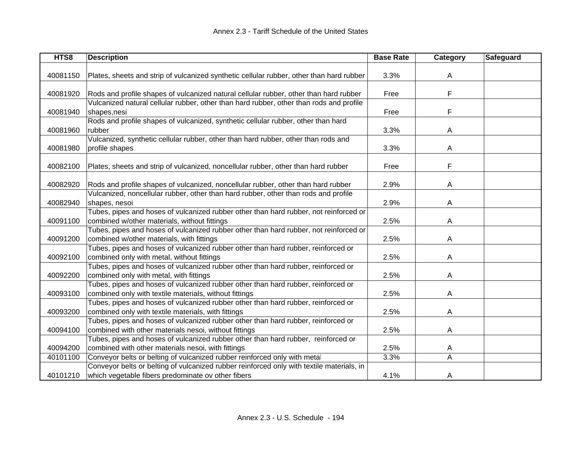| HTS8     | <b>Description</b>                                                                        | <b>Base Rate</b> | <b>Category</b> | Safeguard |
|----------|-------------------------------------------------------------------------------------------|------------------|-----------------|-----------|
|          |                                                                                           |                  |                 |           |
| 40081150 | Plates, sheets and strip of vulcanized synthetic cellular rubber, other than hard rubber  | 3.3%             | A               |           |
|          |                                                                                           |                  |                 |           |
| 40081920 | Rods and profile shapes of vulcanized natural cellular rubber, other than hard rubber     | Free             | F               |           |
|          | Vulcanized natural cellular rubber, other than hard rubber, other than rods and profile   |                  |                 |           |
| 40081940 | shapes, nesi                                                                              | Free             | F               |           |
|          | Rods and profile shapes of vulcanized, synthetic cellular rubber, other than hard         |                  |                 |           |
| 40081960 | rubber                                                                                    | 3.3%             | A               |           |
|          | Vulcanized, synthetic cellular rubber, other than hard rubber, other than rods and        |                  |                 |           |
| 40081980 | profile shapes                                                                            | 3.3%             | Α               |           |
|          |                                                                                           |                  |                 |           |
| 40082100 | Plates, sheets and strip of vulcanized, noncellular rubber, other than hard rubber        | Free             | F               |           |
|          |                                                                                           |                  |                 |           |
| 40082920 | Rods and profile shapes of vulcanized, noncellular rubber, other than hard rubber         | 2.9%             | A               |           |
|          | Vulcanized, noncellular rubber, other than hard rubber, other than rods and profile       |                  |                 |           |
| 40082940 | shapes, nesoi                                                                             | 2.9%             | A               |           |
|          | Tubes, pipes and hoses of vulcanized rubber other than hard rubber, not reinforced or     |                  |                 |           |
| 40091100 | combined w/other materials, without fittings                                              | 2.5%             | Α               |           |
|          | Tubes, pipes and hoses of vulcanized rubber other than hard rubber, not reinforced or     |                  |                 |           |
| 40091200 | combined w/other materials, with fittings                                                 | 2.5%             | Α               |           |
|          | Tubes, pipes and hoses of vulcanized rubber other than hard rubber, reinforced or         |                  |                 |           |
| 40092100 | combined only with metal, without fittings                                                | 2.5%             | Α               |           |
|          | Tubes, pipes and hoses of vulcanized rubber other than hard rubber, reinforced or         |                  |                 |           |
| 40092200 | combined only with metal, with fittings                                                   | 2.5%             | Α               |           |
|          | Tubes, pipes and hoses of vulcanized rubber other than hard rubber, reinforced or         |                  |                 |           |
| 40093100 | combined only with textile materials, without fittings                                    | 2.5%             | A               |           |
|          | Tubes, pipes and hoses of vulcanized rubber other than hard rubber, reinforced or         |                  |                 |           |
| 40093200 | combined only with textile materials, with fittings                                       | 2.5%             | A               |           |
|          | Tubes, pipes and hoses of vulcanized rubber other than hard rubber, reinforced or         |                  |                 |           |
| 40094100 | combined with other materials nesoi, without fittings                                     | 2.5%             | A               |           |
|          | Tubes, pipes and hoses of vulcanized rubber other than hard rubber, reinforced or         |                  |                 |           |
| 40094200 | combined with other materials nesoi, with fittings                                        | 2.5%             | A               |           |
| 40101100 | Conveyor belts or belting of vulcanized rubber reinforced only with metal                 | 3.3%             | A               |           |
|          | Conveyor belts or belting of vulcanized rubber reinforced only with textile materials, in |                  |                 |           |
| 40101210 | which vegetable fibers predominate ov other fibers                                        | 4.1%             | A               |           |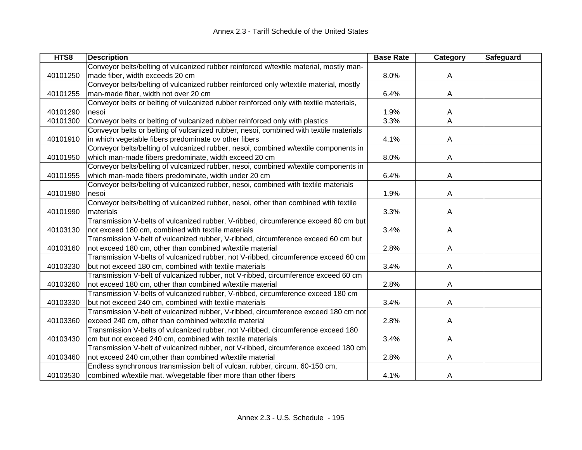| HTS8     | <b>Description</b>                                                                     | <b>Base Rate</b> | <b>Category</b> | Safeguard |
|----------|----------------------------------------------------------------------------------------|------------------|-----------------|-----------|
|          | Conveyor belts/belting of vulcanized rubber reinforced w/textile material, mostly man- |                  |                 |           |
| 40101250 | made fiber, width exceeds 20 cm                                                        | 8.0%             | A               |           |
|          | Conveyor belts/belting of vulcanized rubber reinforced only w/textile material, mostly |                  |                 |           |
| 40101255 | man-made fiber, width not over 20 cm                                                   | 6.4%             | A               |           |
|          | Conveyor belts or belting of vulcanized rubber reinforced only with textile materials, |                  |                 |           |
| 40101290 | nesoi                                                                                  | 1.9%             | A               |           |
| 40101300 | Conveyor belts or belting of vulcanized rubber reinforced only with plastics           | 3.3%             | A               |           |
|          | Conveyor belts or belting of vulcanized rubber, nesoi, combined with textile materials |                  |                 |           |
| 40101910 | in which vegetable fibers predominate ov other fibers                                  | 4.1%             | A               |           |
|          | Conveyor belts/belting of vulcanized rubber, nesoi, combined w/textile components in   |                  |                 |           |
| 40101950 | which man-made fibers predominate, width exceed 20 cm                                  | 8.0%             | A               |           |
|          | Conveyor belts/belting of vulcanized rubber, nesoi, combined w/textile components in   |                  |                 |           |
| 40101955 | which man-made fibers predominate, width under 20 cm                                   | 6.4%             | A               |           |
|          | Conveyor belts/belting of vulcanized rubber, nesoi, combined with textile materials    |                  |                 |           |
| 40101980 | nesoi                                                                                  | 1.9%             | A               |           |
|          | Conveyor belts/belting of vulcanized rubber, nesoi, other than combined with textile   |                  |                 |           |
| 40101990 | materials                                                                              | 3.3%             | A               |           |
|          | Transmission V-belts of vulcanized rubber, V-ribbed, circumference exceed 60 cm but    |                  |                 |           |
| 40103130 | not exceed 180 cm, combined with textile materials                                     | 3.4%             | A               |           |
|          | Transmission V-belt of vulcanized rubber, V-ribbed, circumference exceed 60 cm but     |                  |                 |           |
| 40103160 | not exceed 180 cm, other than combined w/textile material                              | 2.8%             | A               |           |
|          | Transmission V-belts of vulcanized rubber, not V-ribbed, circumference exceed 60 cm    |                  |                 |           |
| 40103230 | but not exceed 180 cm, combined with textile materials                                 | 3.4%             | A               |           |
|          | Transmission V-belt of vulcanized rubber, not V-ribbed, circumference exceed 60 cm     |                  |                 |           |
| 40103260 | not exceed 180 cm, other than combined w/textile material                              | 2.8%             | A               |           |
|          | Transmission V-belts of vulcanized rubber, V-ribbed, circumference exceed 180 cm       |                  |                 |           |
| 40103330 | but not exceed 240 cm, combined with textile materials                                 | 3.4%             | A               |           |
|          | Transmission V-belt of vulcanized rubber, V-ribbed, circumference exceed 180 cm not    |                  |                 |           |
| 40103360 | exceed 240 cm, other than combined w/textile material                                  | 2.8%             | A               |           |
|          | Transmission V-belts of vulcanized rubber, not V-ribbed, circumference exceed 180      |                  |                 |           |
| 40103430 | cm but not exceed 240 cm, combined with textile materials                              | 3.4%             | A               |           |
|          | Transmission V-belt of vulcanized rubber, not V-ribbed, circumference exceed 180 cm    |                  |                 |           |
| 40103460 | not exceed 240 cm, other than combined w/textile material                              | 2.8%             | Α               |           |
|          | Endless synchronous transmission belt of vulcan. rubber, circum. 60-150 cm,            |                  |                 |           |
| 40103530 | combined w/textile mat. w/vegetable fiber more than other fibers                       | 4.1%             | A               |           |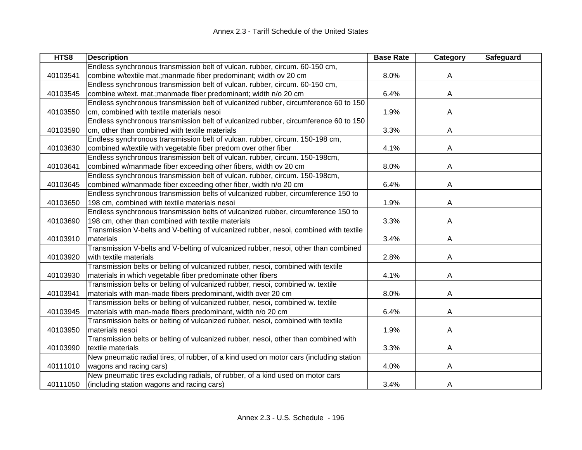| HTS8     | <b>Description</b>                                                                     | <b>Base Rate</b> | Category | Safeguard |
|----------|----------------------------------------------------------------------------------------|------------------|----------|-----------|
|          | Endless synchronous transmission belt of vulcan. rubber, circum. 60-150 cm,            |                  |          |           |
| 40103541 | combine w/textile mat.; manmade fiber predominant; width ov 20 cm                      | 8.0%             | A        |           |
|          | Endless synchronous transmission belt of vulcan. rubber, circum. 60-150 cm,            |                  |          |           |
| 40103545 | combine w/text. mat.; manmade fiber predominant; width n/o 20 cm                       | 6.4%             | A        |           |
|          | Endless synchronous transmission belt of vulcanized rubber, circumference 60 to 150    |                  |          |           |
| 40103550 | cm, combined with textile materials nesoi                                              | 1.9%             | A        |           |
|          | Endless synchronous transmission belt of vulcanized rubber, circumference 60 to 150    |                  |          |           |
| 40103590 | cm, other than combined with textile materials                                         | 3.3%             | A        |           |
|          | Endless synchronous transmission belt of vulcan. rubber, circum. 150-198 cm,           |                  |          |           |
| 40103630 | combined w/textile with vegetable fiber predom over other fiber                        | 4.1%             | A        |           |
|          | Endless synchronous transmission belt of vulcan. rubber, circum. 150-198cm,            |                  |          |           |
| 40103641 | combined w/manmade fiber exceeding other fibers, width ov 20 cm                        | 8.0%             | A        |           |
|          | Endless synchronous transmission belt of vulcan. rubber, circum. 150-198cm,            |                  |          |           |
| 40103645 | combined w/manmade fiber exceeding other fiber, width n/o 20 cm                        | 6.4%             | A        |           |
|          | Endless synchronous transmission belts of vulcanized rubber, circumference 150 to      |                  |          |           |
| 40103650 | 198 cm, combined with textile materials nesoi                                          | 1.9%             | A        |           |
|          | Endless synchronous transmission belts of vulcanized rubber, circumference 150 to      |                  |          |           |
| 40103690 | 198 cm, other than combined with textile materials                                     | 3.3%             | A        |           |
|          | Transmission V-belts and V-belting of vulcanized rubber, nesoi, combined with textile  |                  |          |           |
| 40103910 | materials                                                                              | 3.4%             | Α        |           |
|          | Transmission V-belts and V-belting of vulcanized rubber, nesoi, other than combined    |                  |          |           |
| 40103920 | with textile materials                                                                 | 2.8%             | A        |           |
|          | Transmission belts or belting of vulcanized rubber, nesoi, combined with textile       |                  |          |           |
| 40103930 | materials in which vegetable fiber predominate other fibers                            | 4.1%             | A        |           |
|          | Transmission belts or belting of vulcanized rubber, nesoi, combined w. textile         |                  |          |           |
| 40103941 | materials with man-made fibers predominant, width over 20 cm                           | 8.0%             | A        |           |
|          | Transmission belts or belting of vulcanized rubber, nesoi, combined w. textile         |                  |          |           |
| 40103945 | materials with man-made fibers predominant, width n/o 20 cm                            | 6.4%             | A        |           |
|          | Transmission belts or belting of vulcanized rubber, nesoi, combined with textile       |                  |          |           |
| 40103950 | materials nesoi                                                                        | 1.9%             | A        |           |
|          | Transmission belts or belting of vulcanized rubber, nesoi, other than combined with    |                  |          |           |
| 40103990 | textile materials                                                                      | 3.3%             | A        |           |
|          | New pneumatic radial tires, of rubber, of a kind used on motor cars (including station |                  |          |           |
| 40111010 | wagons and racing cars)                                                                | 4.0%             | A        |           |
|          | New pneumatic tires excluding radials, of rubber, of a kind used on motor cars         |                  |          |           |
| 40111050 | (including station wagons and racing cars)                                             | 3.4%             | A        |           |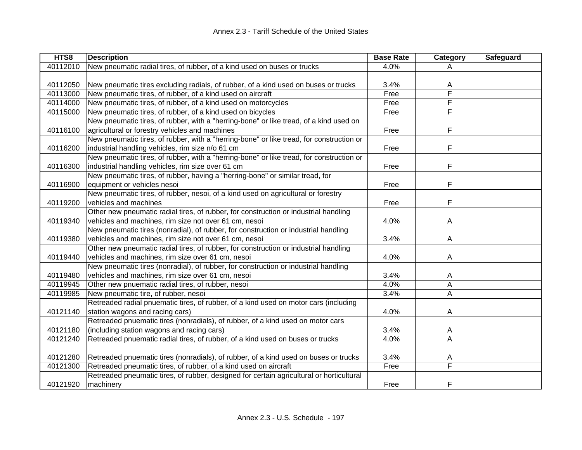| HTS8     | <b>Description</b>                                                                       | <b>Base Rate</b> | Category | Safeguard |
|----------|------------------------------------------------------------------------------------------|------------------|----------|-----------|
| 40112010 | New pneumatic radial tires, of rubber, of a kind used on buses or trucks                 | 4.0%             | A        |           |
|          |                                                                                          |                  |          |           |
| 40112050 | New pneumatic tires excluding radials, of rubber, of a kind used on buses or trucks      | 3.4%             | A        |           |
| 40113000 | New pneumatic tires, of rubber, of a kind used on aircraft                               | Free             | F        |           |
| 40114000 | New pneumatic tires, of rubber, of a kind used on motorcycles                            | Free             | F        |           |
| 40115000 | New pneumatic tires, of rubber, of a kind used on bicycles                               | Free             | F        |           |
|          | New pneumatic tires, of rubber, with a "herring-bone" or like tread, of a kind used on   |                  |          |           |
| 40116100 | agricultural or forestry vehicles and machines                                           | Free             | F        |           |
|          | New pneumatic tires, of rubber, with a "herring-bone" or like tread, for construction or |                  |          |           |
| 40116200 | industrial handling vehicles, rim size n/o 61 cm                                         | Free             | F        |           |
|          | New pneumatic tires, of rubber, with a "herring-bone" or like tread, for construction or |                  |          |           |
| 40116300 | industrial handling vehicles, rim size over 61 cm                                        | Free             | F        |           |
|          | New pneumatic tires, of rubber, having a "herring-bone" or similar tread, for            |                  |          |           |
| 40116900 | equipment or vehicles nesoi                                                              | Free             | F        |           |
|          | New pneumatic tires, of rubber, nesoi, of a kind used on agricultural or forestry        |                  |          |           |
| 40119200 | vehicles and machines                                                                    | Free             | F        |           |
|          | Other new pneumatic radial tires, of rubber, for construction or industrial handling     |                  |          |           |
| 40119340 | vehicles and machines, rim size not over 61 cm, nesoi                                    | 4.0%             | A        |           |
|          | New pneumatic tires (nonradial), of rubber, for construction or industrial handling      |                  |          |           |
| 40119380 | vehicles and machines, rim size not over 61 cm, nesoi                                    | 3.4%             | A        |           |
|          | Other new pneumatic radial tires, of rubber, for construction or industrial handling     |                  |          |           |
| 40119440 | vehicles and machines, rim size over 61 cm, nesoi                                        | 4.0%             | A        |           |
|          | New pneumatic tires (nonradial), of rubber, for construction or industrial handling      |                  |          |           |
| 40119480 | vehicles and machines, rim size over 61 cm, nesoi                                        | 3.4%             | A        |           |
| 40119945 | Other new pnuematic radial tires, of rubber, nesoi                                       | 4.0%             | A        |           |
| 40119985 | New pneumatic tire, of rubber, nesoi                                                     | 3.4%             | A        |           |
|          | Retreaded radial pnuematic tires, of rubber, of a kind used on motor cars (including     |                  |          |           |
| 40121140 | station wagons and racing cars)                                                          | 4.0%             | A        |           |
|          | Retreaded pnuematic tires (nonradials), of rubber, of a kind used on motor cars          |                  |          |           |
| 40121180 | (including station wagons and racing cars)                                               | 3.4%             | A        |           |
| 40121240 | Retreaded pnuematic radial tires, of rubber, of a kind used on buses or trucks           | 4.0%             | A        |           |
|          |                                                                                          |                  |          |           |
| 40121280 | Retreaded pnuematic tires (nonradials), of rubber, of a kind used on buses or trucks     | 3.4%             | A        |           |
| 40121300 | Retreaded pneumatic tires, of rubber, of a kind used on aircraft                         | Free             | F        |           |
|          | Retreaded pneumatic tires, of rubber, designed for certain agricultural or horticultural |                  |          |           |
| 40121920 | machinery                                                                                | Free             | F        |           |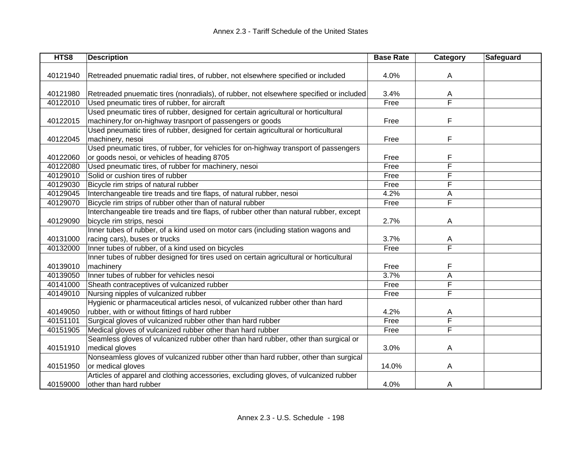| HTS8     | <b>Description</b>                                                                      | <b>Base Rate</b> | Category                | Safeguard |
|----------|-----------------------------------------------------------------------------------------|------------------|-------------------------|-----------|
|          |                                                                                         |                  |                         |           |
| 40121940 | Retreaded pnuematic radial tires, of rubber, not elsewhere specified or included        | 4.0%             | A                       |           |
|          |                                                                                         |                  |                         |           |
| 40121980 | Retreaded pnuematic tires (nonradials), of rubber, not elsewhere specified or included  | 3.4%             | A                       |           |
| 40122010 | Used pneumatic tires of rubber, for aircraft                                            | Free             | $\overline{\mathsf{F}}$ |           |
|          | Used pneumatic tires of rubber, designed for certain agricultural or horticultural      |                  |                         |           |
| 40122015 | machinery, for on-highway trasnport of passengers or goods                              | Free             | F                       |           |
|          | Used pneumatic tires of rubber, designed for certain agricultural or horticultural      |                  |                         |           |
| 40122045 | machinery, nesoi                                                                        | Free             | F                       |           |
|          | Used pneumatic tires, of rubber, for vehicles for on-highway transport of passengers    |                  |                         |           |
| 40122060 | or goods nesoi, or vehicles of heading 8705                                             | Free             | F                       |           |
| 40122080 | Used pneumatic tires, of rubber for machinery, nesoi                                    | Free             | F                       |           |
| 40129010 | Solid or cushion tires of rubber                                                        | Free             | F                       |           |
| 40129030 | Bicycle rim strips of natural rubber                                                    | Free             | F                       |           |
| 40129045 | Interchangeable tire treads and tire flaps, of natural rubber, nesoi                    | 4.2%             | A                       |           |
| 40129070 | Bicycle rim strips of rubber other than of natural rubber                               | Free             | F                       |           |
|          | Interchangeable tire treads and tire flaps, of rubber other than natural rubber, except |                  |                         |           |
| 40129090 | bicycle rim strips, nesoi                                                               | 2.7%             | A                       |           |
|          | Inner tubes of rubber, of a kind used on motor cars (including station wagons and       |                  |                         |           |
| 40131000 | racing cars), buses or trucks                                                           | 3.7%             | A                       |           |
| 40132000 | Inner tubes of rubber, of a kind used on bicycles                                       | Free             | F                       |           |
|          | Inner tubes of rubber designed for tires used on certain agricultural or horticultural  |                  |                         |           |
| 40139010 | machinery                                                                               | Free             | F                       |           |
| 40139050 | Inner tubes of rubber for vehicles nesoi                                                | 3.7%             | Α                       |           |
| 40141000 | Sheath contraceptives of vulcanized rubber                                              | Free             | F                       |           |
| 40149010 | Nursing nipples of vulcanized rubber                                                    | Free             | F                       |           |
|          | Hygienic or pharmaceutical articles nesoi, of vulcanized rubber other than hard         |                  |                         |           |
| 40149050 | rubber, with or without fittings of hard rubber                                         | 4.2%             | A                       |           |
| 40151101 | Surgical gloves of vulcanized rubber other than hard rubber                             | Free             | F                       |           |
| 40151905 | Medical gloves of vulcanized rubber other than hard rubber                              | Free             | F                       |           |
|          | Seamless gloves of vulcanized rubber other than hard rubber, other than surgical or     |                  |                         |           |
| 40151910 | medical gloves                                                                          | 3.0%             | Α                       |           |
|          | Nonseamless gloves of vulcanized rubber other than hard rubber, other than surgical     |                  |                         |           |
| 40151950 | or medical gloves                                                                       | 14.0%            | A                       |           |
|          | Articles of apparel and clothing accessories, excluding gloves, of vulcanized rubber    |                  |                         |           |
| 40159000 | other than hard rubber                                                                  | 4.0%             | A                       |           |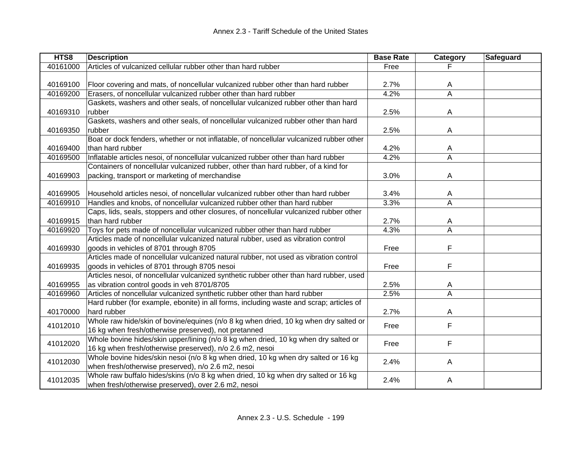| HTS8     | <b>Description</b>                                                                      | <b>Base Rate</b> | Category                | Safeguard |
|----------|-----------------------------------------------------------------------------------------|------------------|-------------------------|-----------|
| 40161000 | Articles of vulcanized cellular rubber other than hard rubber                           | Free             |                         |           |
|          |                                                                                         |                  |                         |           |
| 40169100 | Floor covering and mats, of noncellular vulcanized rubber other than hard rubber        | 2.7%             | A                       |           |
| 40169200 | Erasers, of noncellular vulcanized rubber other than hard rubber                        | 4.2%             | $\overline{\mathsf{A}}$ |           |
|          | Gaskets, washers and other seals, of noncellular vulcanized rubber other than hard      |                  |                         |           |
| 40169310 | rubber                                                                                  | 2.5%             | A                       |           |
|          | Gaskets, washers and other seals, of noncellular vulcanized rubber other than hard      |                  |                         |           |
| 40169350 | rubber                                                                                  | 2.5%             | A                       |           |
|          | Boat or dock fenders, whether or not inflatable, of noncellular vulcanized rubber other |                  |                         |           |
| 40169400 | than hard rubber                                                                        | 4.2%             | A                       |           |
| 40169500 | Inflatable articles nesoi, of noncellular vulcanized rubber other than hard rubber      | 4.2%             | $\overline{\mathsf{A}}$ |           |
|          | Containers of noncellular vulcanized rubber, other than hard rubber, of a kind for      |                  |                         |           |
| 40169903 | packing, transport or marketing of merchandise                                          | 3.0%             | A                       |           |
|          |                                                                                         |                  |                         |           |
| 40169905 | Household articles nesoi, of noncellular vulcanized rubber other than hard rubber       | 3.4%             | A                       |           |
| 40169910 | Handles and knobs, of noncellular vulcanized rubber other than hard rubber              | 3.3%             | A                       |           |
|          | Caps, lids, seals, stoppers and other closures, of noncellular vulcanized rubber other  |                  |                         |           |
| 40169915 | than hard rubber                                                                        | 2.7%             | A                       |           |
| 40169920 | Toys for pets made of noncellular vulcanized rubber other than hard rubber              | 4.3%             | A                       |           |
|          | Articles made of noncellular vulcanized natural rubber, used as vibration control       |                  |                         |           |
| 40169930 | goods in vehicles of 8701 through 8705                                                  | Free             | F                       |           |
|          | Articles made of noncellular vulcanized natural rubber, not used as vibration control   |                  |                         |           |
| 40169935 | goods in vehicles of 8701 through 8705 nesoi                                            | Free             | F                       |           |
|          | Articles nesoi, of noncellular vulcanized synthetic rubber other than hard rubber, used |                  |                         |           |
| 40169955 | as vibration control goods in veh 8701/8705                                             | 2.5%             | A                       |           |
| 40169960 | Articles of noncellular vulcanized synthetic rubber other than hard rubber              | 2.5%             | A                       |           |
|          | Hard rubber (for example, ebonite) in all forms, including waste and scrap; articles of |                  |                         |           |
| 40170000 | hard rubber                                                                             | 2.7%             | A                       |           |
| 41012010 | Whole raw hide/skin of bovine/equines (n/o 8 kg when dried, 10 kg when dry salted or    | Free             | F                       |           |
|          | 16 kg when fresh/otherwise preserved), not pretanned                                    |                  |                         |           |
| 41012020 | Whole bovine hides/skin upper/lining (n/o 8 kg when dried, 10 kg when dry salted or     | Free             | F                       |           |
|          | 16 kg when fresh/otherwise preserved), n/o 2.6 m2, nesoi                                |                  |                         |           |
| 41012030 | Whole bovine hides/skin nesoi (n/o 8 kg when dried, 10 kg when dry salted or 16 kg      | 2.4%             | A                       |           |
|          | when fresh/otherwise preserved), n/o 2.6 m2, nesoi                                      |                  |                         |           |
| 41012035 | Whole raw buffalo hides/skins (n/o 8 kg when dried, 10 kg when dry salted or 16 kg      | 2.4%             | Α                       |           |
|          | when fresh/otherwise preserved), over 2.6 m2, nesoi                                     |                  |                         |           |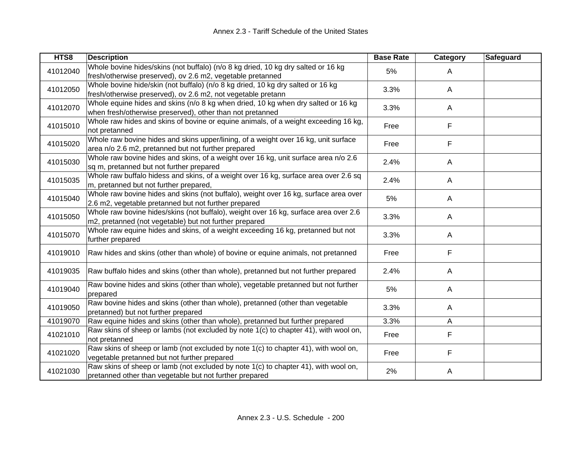| HTS8     | <b>Description</b>                                                                                                                              | <b>Base Rate</b> | <b>Category</b> | <b>Safeguard</b> |
|----------|-------------------------------------------------------------------------------------------------------------------------------------------------|------------------|-----------------|------------------|
| 41012040 | Whole bovine hides/skins (not buffalo) (n/o 8 kg dried, 10 kg dry salted or 16 kg<br>fresh/otherwise preserved), ov 2.6 m2, vegetable pretanned | 5%               | A               |                  |
| 41012050 | Whole bovine hide/skin (not buffalo) (n/o 8 kg dried, 10 kg dry salted or 16 kg<br>fresh/otherwise preserved), ov 2.6 m2, not vegetable pretann | 3.3%             | A               |                  |
| 41012070 | Whole equine hides and skins (n/o 8 kg when dried, 10 kg when dry salted or 16 kg<br>when fresh/otherwise preserved), other than not pretanned  | 3.3%             | A               |                  |
| 41015010 | Whole raw hides and skins of bovine or equine animals, of a weight exceeding 16 kg,<br>not pretanned                                            | Free             | F               |                  |
| 41015020 | Whole raw bovine hides and skins upper/lining, of a weight over 16 kg, unit surface<br>area n/o 2.6 m2, pretanned but not further prepared      | Free             | F               |                  |
| 41015030 | Whole raw bovine hides and skins, of a weight over 16 kg, unit surface area n/o 2.6<br>sq m, pretanned but not further prepared                 | 2.4%             | A               |                  |
| 41015035 | Whole raw buffalo hidess and skins, of a weight over 16 kg, surface area over 2.6 sq<br>m, pretanned but not further prepared,                  | 2.4%             | A               |                  |
| 41015040 | Whole raw bovine hides and skins (not buffalo), weight over 16 kg, surface area over<br>2.6 m2, vegetable pretanned but not further prepared    | 5%               | A               |                  |
| 41015050 | Whole raw bovine hides/skins (not buffalo), weight over 16 kg, surface area over 2.6<br>m2, pretanned (not vegetable) but not further prepared  | 3.3%             | A               |                  |
| 41015070 | Whole raw equine hides and skins, of a weight exceeding 16 kg, pretanned but not<br>further prepared                                            | 3.3%             | A               |                  |
| 41019010 | Raw hides and skins (other than whole) of bovine or equine animals, not pretanned                                                               | Free             | F               |                  |
| 41019035 | Raw buffalo hides and skins (other than whole), pretanned but not further prepared                                                              | 2.4%             | A               |                  |
| 41019040 | Raw bovine hides and skins (other than whole), vegetable pretanned but not further<br>prepared                                                  | 5%               | A               |                  |
| 41019050 | Raw bovine hides and skins (other than whole), pretanned (other than vegetable<br>pretanned) but not further prepared                           | 3.3%             | A               |                  |
| 41019070 | Raw equine hides and skins (other than whole), pretanned but further prepared                                                                   | 3.3%             | A               |                  |
| 41021010 | Raw skins of sheep or lambs (not excluded by note 1(c) to chapter 41), with wool on,<br>not pretanned                                           | Free             | F               |                  |
| 41021020 | Raw skins of sheep or lamb (not excluded by note 1(c) to chapter 41), with wool on,<br>vegetable pretanned but not further prepared             | Free             | F               |                  |
| 41021030 | Raw skins of sheep or lamb (not excluded by note 1(c) to chapter 41), with wool on,<br>pretanned other than vegetable but not further prepared  | 2%               | Α               |                  |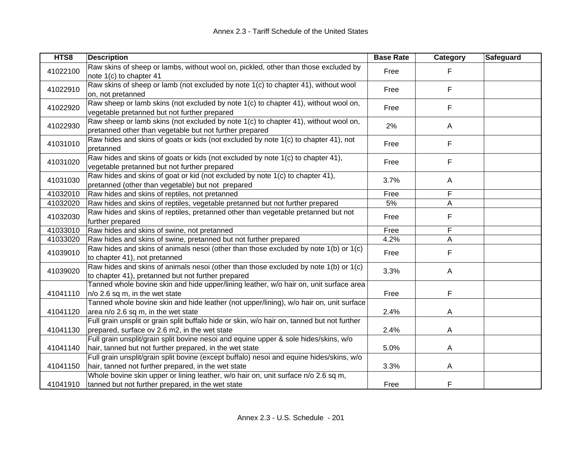| HTS8     | <b>Description</b>                                                                                                                              | <b>Base Rate</b> | Category     | Safeguard |
|----------|-------------------------------------------------------------------------------------------------------------------------------------------------|------------------|--------------|-----------|
| 41022100 | Raw skins of sheep or lambs, without wool on, pickled, other than those excluded by<br>note 1(c) to chapter 41                                  | Free             | F            |           |
| 41022910 | Raw skins of sheep or lamb (not excluded by note 1(c) to chapter 41), without wool<br>on, not pretanned                                         | Free             | F            |           |
| 41022920 | Raw sheep or lamb skins (not excluded by note 1(c) to chapter 41), without wool on,<br>vegetable pretanned but not further prepared             | Free             | F            |           |
| 41022930 | Raw sheep or lamb skins (not excluded by note 1(c) to chapter 41), without wool on,<br>pretanned other than vegetable but not further prepared  | 2%               | $\mathsf{A}$ |           |
| 41031010 | Raw hides and skins of goats or kids (not excluded by note 1(c) to chapter 41), not<br>pretanned                                                | Free             | F            |           |
| 41031020 | Raw hides and skins of goats or kids (not excluded by note 1(c) to chapter 41),<br>vegetable pretanned but not further prepared                 | Free             | F            |           |
| 41031030 | Raw hides and skins of goat or kid (not excluded by note 1(c) to chapter 41),<br>pretanned (other than vegetable) but not prepared              | 3.7%             | $\mathsf{A}$ |           |
| 41032010 | Raw hides and skins of reptiles, not pretanned                                                                                                  | Free             | F            |           |
| 41032020 | Raw hides and skins of reptiles, vegetable pretanned but not further prepared                                                                   | 5%               | Α            |           |
| 41032030 | Raw hides and skins of reptiles, pretanned other than vegetable pretanned but not<br>further prepared                                           | Free             | F            |           |
| 41033010 | Raw hides and skins of swine, not pretanned                                                                                                     | Free             | F            |           |
| 41033020 | Raw hides and skins of swine, pretanned but not further prepared                                                                                | 4.2%             | A            |           |
| 41039010 | Raw hides and skins of animals nesoi (other than those excluded by note 1(b) or 1(c)<br>to chapter 41), not pretanned                           | Free             | F            |           |
| 41039020 | Raw hides and skins of animals nesoi (other than those excluded by note 1(b) or 1(c)<br>to chapter 41), pretanned but not further prepared      | 3.3%             | $\mathsf{A}$ |           |
| 41041110 | Tanned whole bovine skin and hide upper/lining leather, w/o hair on, unit surface area<br>n/o 2.6 sq m, in the wet state                        | Free             | F            |           |
| 41041120 | Tanned whole bovine skin and hide leather (not upper/lining), w/o hair on, unit surface<br>area n/o 2.6 sq m, in the wet state                  | 2.4%             | A            |           |
| 41041130 | Full grain unsplit or grain split buffalo hide or skin, w/o hair on, tanned but not further<br>prepared, surface ov 2.6 m2, in the wet state    | 2.4%             | A            |           |
| 41041140 | Full grain unsplit/grain split bovine nesoi and equine upper & sole hides/skins, w/o<br>hair, tanned but not further prepared, in the wet state | 5.0%             | A            |           |
| 41041150 | Full grain unsplit/grain split bovine (except buffalo) nesoi and equine hides/skins, w/o<br>hair, tanned not further prepared, in the wet state | 3.3%             | A            |           |
| 41041910 | Whole bovine skin upper or lining leather, w/o hair on, unit surface n/o 2.6 sq m,<br>tanned but not further prepared, in the wet state         | Free             | F            |           |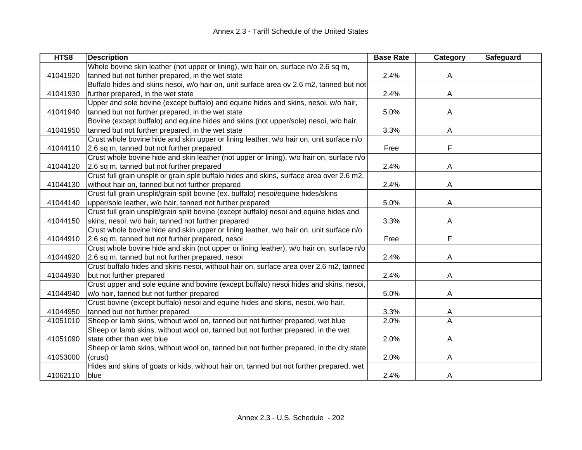| HTS8     | <b>Description</b>                                                                         | <b>Base Rate</b> | <b>Category</b> | Safeguard |
|----------|--------------------------------------------------------------------------------------------|------------------|-----------------|-----------|
|          | Whole bovine skin leather (not upper or lining), w/o hair on, surface n/o 2.6 sq m,        |                  |                 |           |
| 41041920 | tanned but not further prepared, in the wet state                                          | 2.4%             | A               |           |
|          | Buffalo hides and skins nesoi, w/o hair on, unit surface area ov 2.6 m2, tanned but not    |                  |                 |           |
| 41041930 | further prepared, in the wet state                                                         | 2.4%             | A               |           |
|          | Upper and sole bovine (except buffalo) and equine hides and skins, nesoi, w/o hair,        |                  |                 |           |
| 41041940 | tanned but not further prepared, in the wet state                                          | 5.0%             | A               |           |
|          | Bovine (except buffalo) and equine hides and skins (not upper/sole) nesoi, w/o hair,       |                  |                 |           |
| 41041950 | tanned but not further prepared, in the wet state                                          | 3.3%             | A               |           |
|          | Crust whole bovine hide and skin upper or lining leather, w/o hair on, unit surface n/o    |                  |                 |           |
| 41044110 | 2.6 sq m, tanned but not further prepared                                                  | Free             | F               |           |
|          | Crust whole bovine hide and skin leather (not upper or lining), w/o hair on, surface n/o   |                  |                 |           |
| 41044120 | 2.6 sq m, tanned but not further prepared                                                  | 2.4%             | Α               |           |
|          | Crust full grain unsplit or grain split buffalo hides and skins, surface area over 2.6 m2, |                  |                 |           |
| 41044130 | without hair on, tanned but not further prepared                                           | 2.4%             | A               |           |
|          | Crust full grain unsplit/grain split bovine (ex. buffalo) nesoi/equine hides/skins         |                  |                 |           |
| 41044140 | upper/sole leather, w/o hair, tanned not further prepared                                  | 5.0%             | A               |           |
|          | Crust full grain unsplit/grain split bovine (except buffalo) nesoi and equine hides and    |                  |                 |           |
| 41044150 | skins, nesoi, w/o hair, tanned not further prepared                                        | 3.3%             | A               |           |
|          | Crust whole bovine hide and skin upper or lining leather, w/o hair on, unit surface n/o    |                  |                 |           |
| 41044910 | 2.6 sq m, tanned but not further prepared, nesoi                                           | Free             | F               |           |
|          | Crust whole bovine hide and skin (not upper or lining leather), w/o hair on, surface n/o   |                  |                 |           |
| 41044920 | 2.6 sq m, tanned but not further prepared, nesoi                                           | 2.4%             | A               |           |
|          | Crust buffalo hides and skins nesoi, without hair on, surface area over 2.6 m2, tanned     |                  |                 |           |
| 41044930 | but not further prepared                                                                   | 2.4%             | A               |           |
|          | Crust upper and sole equine and bovine (except buffalo) nesoi hides and skins, nesoi,      |                  |                 |           |
| 41044940 | w/o hair, tanned but not further prepared                                                  | 5.0%             | Α               |           |
|          | Crust bovine (except buffalo) nesoi and equine hides and skins, nesoi, w/o hair,           |                  |                 |           |
| 41044950 | tanned but not further prepared                                                            | 3.3%             | A               |           |
| 41051010 | Sheep or lamb skins, without wool on, tanned but not further prepared, wet blue            | 2.0%             | A               |           |
|          | Sheep or lamb skins, without wool on, tanned but not further prepared, in the wet          |                  |                 |           |
| 41051090 | state other than wet blue                                                                  | 2.0%             | A               |           |
|          | Sheep or lamb skins, without wool on, tanned but not further prepared, in the dry state    |                  |                 |           |
| 41053000 | (crust)                                                                                    | 2.0%             | A               |           |
|          | Hides and skins of goats or kids, without hair on, tanned but not further prepared, wet    |                  |                 |           |
| 41062110 | blue                                                                                       | 2.4%             | A               |           |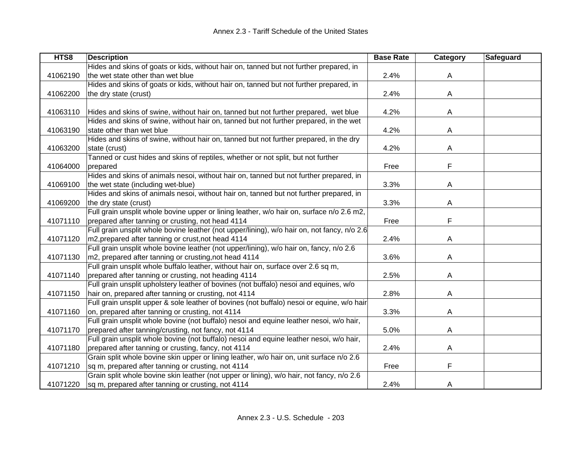| HTS8     | <b>Description</b>                                                                          | <b>Base Rate</b> | Category | Safeguard |
|----------|---------------------------------------------------------------------------------------------|------------------|----------|-----------|
|          | Hides and skins of goats or kids, without hair on, tanned but not further prepared, in      |                  |          |           |
| 41062190 | the wet state other than wet blue                                                           | 2.4%             | A        |           |
|          | Hides and skins of goats or kids, without hair on, tanned but not further prepared, in      |                  |          |           |
| 41062200 | the dry state (crust)                                                                       | 2.4%             | A        |           |
|          |                                                                                             |                  |          |           |
| 41063110 | Hides and skins of swine, without hair on, tanned but not further prepared, wet blue        | 4.2%             | A        |           |
|          | Hides and skins of swine, without hair on, tanned but not further prepared, in the wet      |                  |          |           |
| 41063190 | state other than wet blue                                                                   | 4.2%             | Α        |           |
|          | Hides and skins of swine, without hair on, tanned but not further prepared, in the dry      |                  |          |           |
| 41063200 | state (crust)                                                                               | 4.2%             | A        |           |
|          | Tanned or cust hides and skins of reptiles, whether or not split, but not further           |                  |          |           |
| 41064000 | prepared                                                                                    | Free             | F        |           |
|          | Hides and skins of animals nesoi, without hair on, tanned but not further prepared, in      |                  |          |           |
| 41069100 | the wet state (including wet-blue)                                                          | 3.3%             | A        |           |
|          | Hides and skins of animals nesoi, without hair on, tanned but not further prepared, in      |                  |          |           |
| 41069200 | the dry state (crust)                                                                       | 3.3%             | Α        |           |
|          | Full grain unsplit whole bovine upper or lining leather, w/o hair on, surface n/o 2.6 m2,   |                  |          |           |
| 41071110 | prepared after tanning or crusting, not head 4114                                           | Free             | F        |           |
|          | Full grain unsplit whole bovine leather (not upper/lining), w/o hair on, not fancy, n/o 2.6 |                  |          |           |
| 41071120 | m2, prepared after tanning or crust, not head 4114                                          | 2.4%             | A        |           |
|          | Full grain unsplit whole bovine leather (not upper/lining), w/o hair on, fancy, n/o 2.6     |                  |          |           |
| 41071130 | m2, prepared after tanning or crusting, not head 4114                                       | 3.6%             | A        |           |
|          | Full grain unsplit whole buffalo leather, without hair on, surface over 2.6 sq m,           |                  |          |           |
| 41071140 | prepared after tanning or crusting, not heading 4114                                        | 2.5%             | A        |           |
|          | Full grain unsplit upholstery leather of bovines (not buffalo) nesoi and equines, w/o       |                  |          |           |
| 41071150 | hair on, prepared after tanning or crusting, not 4114                                       | 2.8%             | A        |           |
|          | Full grain unsplit upper & sole leather of bovines (not buffalo) nesoi or equine, w/o hair  |                  |          |           |
| 41071160 | on, prepared after tanning or crusting, not 4114                                            | 3.3%             | A        |           |
|          | Full grain unsplit whole bovine (not buffalo) nesoi and equine leather nesoi, w/o hair,     |                  |          |           |
| 41071170 | prepared after tanning/crusting, not fancy, not 4114                                        | 5.0%             | A        |           |
|          | Full grain unsplit whole bovine (not buffalo) nesoi and equine leather nesoi, w/o hair,     |                  |          |           |
| 41071180 | prepared after tanning or crusting, fancy, not 4114                                         | 2.4%             | A        |           |
|          | Grain split whole bovine skin upper or lining leather, w/o hair on, unit surface n/o 2.6    |                  |          |           |
| 41071210 | sq m, prepared after tanning or crusting, not 4114                                          | Free             | F        |           |
|          | Grain split whole bovine skin leather (not upper or lining), w/o hair, not fancy, n/o 2.6   |                  |          |           |
| 41071220 | sq m, prepared after tanning or crusting, not 4114                                          | 2.4%             | A        |           |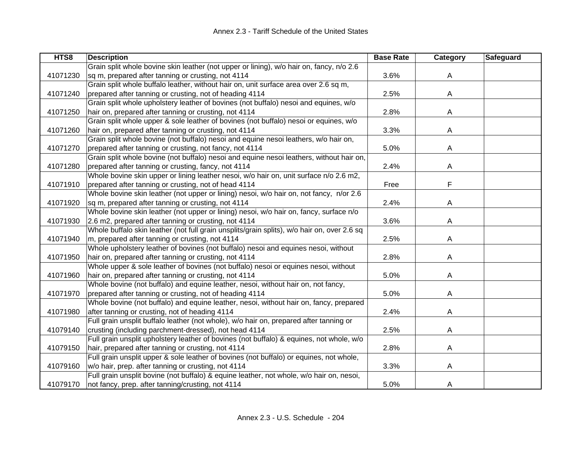| HTS8     | <b>Description</b>                                                                          | <b>Base Rate</b> | Category | Safeguard |
|----------|---------------------------------------------------------------------------------------------|------------------|----------|-----------|
|          | Grain split whole bovine skin leather (not upper or lining), w/o hair on, fancy, n/o 2.6    |                  |          |           |
| 41071230 | sq m, prepared after tanning or crusting, not 4114                                          | 3.6%             | A        |           |
|          | Grain split whole buffalo leather, without hair on, unit surface area over 2.6 sq m,        |                  |          |           |
| 41071240 | prepared after tanning or crusting, not of heading 4114                                     | 2.5%             | A        |           |
|          | Grain split whole upholstery leather of bovines (not buffalo) nesoi and equines, w/o        |                  |          |           |
| 41071250 | hair on, prepared after tanning or crusting, not 4114                                       | 2.8%             | A        |           |
|          | Grain split whole upper & sole leather of bovines (not buffalo) nesoi or equines, w/o       |                  |          |           |
| 41071260 | hair on, prepared after tanning or crusting, not 4114                                       | 3.3%             | A        |           |
|          | Grain split whole bovine (not buffalo) nesoi and equine nesoi leathers, w/o hair on,        |                  |          |           |
| 41071270 | prepared after tanning or crusting, not fancy, not 4114                                     | 5.0%             | A        |           |
|          | Grain split whole bovine (not buffalo) nesoi and equine nesoi leathers, without hair on,    |                  |          |           |
| 41071280 | prepared after tanning or crusting, fancy, not 4114                                         | 2.4%             | A        |           |
|          | Whole bovine skin upper or lining leather nesoi, w/o hair on, unit surface n/o 2.6 m2,      |                  |          |           |
| 41071910 | prepared after tanning or crusting, not of head 4114                                        | Free             | F        |           |
|          | Whole bovine skin leather (not upper or lining) nesoi, w/o hair on, not fancy, n/or 2.6     |                  |          |           |
| 41071920 | sq m, prepared after tanning or crusting, not 4114                                          | 2.4%             | A        |           |
|          | Whole bovine skin leather (not upper or lining) nesoi, w/o hair on, fancy, surface n/o      |                  |          |           |
| 41071930 | 2.6 m2, prepared after tanning or crusting, not 4114                                        | 3.6%             | A        |           |
|          | Whole buffalo skin leather (not full grain unsplits/grain splits), w/o hair on, over 2.6 sq |                  |          |           |
| 41071940 | m, prepared after tanning or crusting, not 4114                                             | 2.5%             | A        |           |
|          | Whole upholstery leather of bovines (not buffalo) nesoi and equines nesoi, without          |                  |          |           |
| 41071950 | hair on, prepared after tanning or crusting, not 4114                                       | 2.8%             | Α        |           |
|          | Whole upper & sole leather of bovines (not buffalo) nesoi or equines nesoi, without         |                  |          |           |
| 41071960 | hair on, prepared after tanning or crusting, not 4114                                       | 5.0%             | A        |           |
|          | Whole bovine (not buffalo) and equine leather, nesoi, without hair on, not fancy,           |                  |          |           |
| 41071970 | prepared after tanning or crusting, not of heading 4114                                     | 5.0%             | A        |           |
|          | Whole bovine (not buffalo) and equine leather, nesoi, without hair on, fancy, prepared      |                  |          |           |
| 41071980 | after tanning or crusting, not of heading 4114                                              | 2.4%             | A        |           |
|          | Full grain unsplit buffalo leather (not whole), w/o hair on, prepared after tanning or      |                  |          |           |
| 41079140 | crusting (including parchment-dressed), not head 4114                                       | 2.5%             | Α        |           |
|          | Full grain unsplit upholstery leather of bovines (not buffalo) & equines, not whole, w/o    |                  |          |           |
| 41079150 | hair, prepared after tanning or crusting, not 4114                                          | 2.8%             | A        |           |
|          | Full grain unsplit upper & sole leather of bovines (not buffalo) or equines, not whole,     |                  |          |           |
| 41079160 | w/o hair, prep. after tanning or crusting, not 4114                                         | 3.3%             | A        |           |
|          | Full grain unsplit bovine (not buffalo) & equine leather, not whole, w/o hair on, nesoi,    |                  |          |           |
| 41079170 | not fancy, prep. after tanning/crusting, not 4114                                           | 5.0%             | A        |           |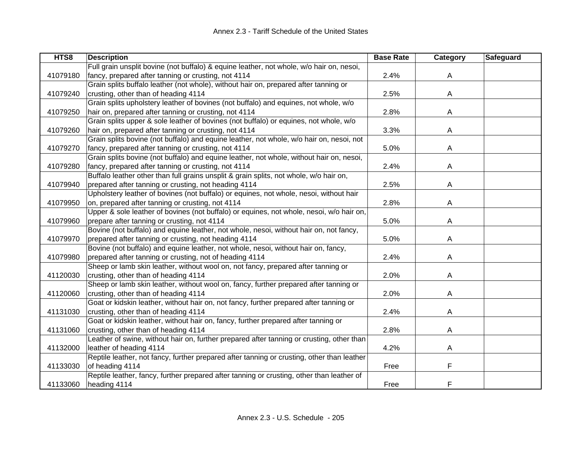| HTS8     | <b>Description</b>                                                                         | <b>Base Rate</b> | Category | Safeguard |
|----------|--------------------------------------------------------------------------------------------|------------------|----------|-----------|
|          | Full grain unsplit bovine (not buffalo) & equine leather, not whole, w/o hair on, nesoi,   |                  |          |           |
| 41079180 | fancy, prepared after tanning or crusting, not 4114                                        | 2.4%             | A        |           |
|          | Grain splits buffalo leather (not whole), without hair on, prepared after tanning or       |                  |          |           |
| 41079240 | crusting, other than of heading 4114                                                       | 2.5%             | A        |           |
|          | Grain splits upholstery leather of bovines (not buffalo) and equines, not whole, w/o       |                  |          |           |
| 41079250 | hair on, prepared after tanning or crusting, not 4114                                      | 2.8%             | A        |           |
|          | Grain splits upper & sole leather of bovines (not buffalo) or equines, not whole, w/o      |                  |          |           |
| 41079260 | hair on, prepared after tanning or crusting, not 4114                                      | 3.3%             | A        |           |
|          | Grain splits bovine (not buffalo) and equine leather, not whole, w/o hair on, nesoi, not   |                  |          |           |
| 41079270 | fancy, prepared after tanning or crusting, not 4114                                        | 5.0%             | A        |           |
|          | Grain splits bovine (not buffalo) and equine leather, not whole, without hair on, nesoi,   |                  |          |           |
| 41079280 | fancy, prepared after tanning or crusting, not 4114                                        | 2.4%             | A        |           |
|          | Buffalo leather other than full grains unsplit & grain splits, not whole, w/o hair on,     |                  |          |           |
| 41079940 | prepared after tanning or crusting, not heading 4114                                       | 2.5%             | A        |           |
|          | Upholstery leather of bovines (not buffalo) or equines, not whole, nesoi, without hair     |                  |          |           |
| 41079950 | on, prepared after tanning or crusting, not 4114                                           | 2.8%             | A        |           |
|          | Upper & sole leather of bovines (not buffalo) or equines, not whole, nesoi, w/o hair on,   |                  |          |           |
| 41079960 | prepare after tanning or crusting, not 4114                                                | 5.0%             | A        |           |
|          | Bovine (not buffalo) and equine leather, not whole, nesoi, without hair on, not fancy,     |                  |          |           |
| 41079970 | prepared after tanning or crusting, not heading 4114                                       | 5.0%             | A        |           |
|          | Bovine (not buffalo) and equine leather, not whole, nesoi, without hair on, fancy,         |                  |          |           |
| 41079980 | prepared after tanning or crusting, not of heading 4114                                    | 2.4%             | A        |           |
|          | Sheep or lamb skin leather, without wool on, not fancy, prepared after tanning or          |                  |          |           |
| 41120030 | crusting, other than of heading 4114                                                       | 2.0%             | A        |           |
|          | Sheep or lamb skin leather, without wool on, fancy, further prepared after tanning or      |                  |          |           |
| 41120060 | crusting, other than of heading 4114                                                       | 2.0%             | A        |           |
|          | Goat or kidskin leather, without hair on, not fancy, further prepared after tanning or     |                  |          |           |
| 41131030 | crusting, other than of heading 4114                                                       | 2.4%             | A        |           |
|          | Goat or kidskin leather, without hair on, fancy, further prepared after tanning or         |                  |          |           |
| 41131060 | crusting, other than of heading 4114                                                       | 2.8%             | A        |           |
|          | Leather of swine, without hair on, further prepared after tanning or crusting, other than  |                  |          |           |
| 41132000 | leather of heading 4114                                                                    | 4.2%             | A        |           |
|          | Reptile leather, not fancy, further prepared after tanning or crusting, other than leather |                  |          |           |
| 41133030 | of heading 4114                                                                            | Free             | F        |           |
|          | Reptile leather, fancy, further prepared after tanning or crusting, other than leather of  |                  |          |           |
| 41133060 | heading 4114                                                                               | Free             | F        |           |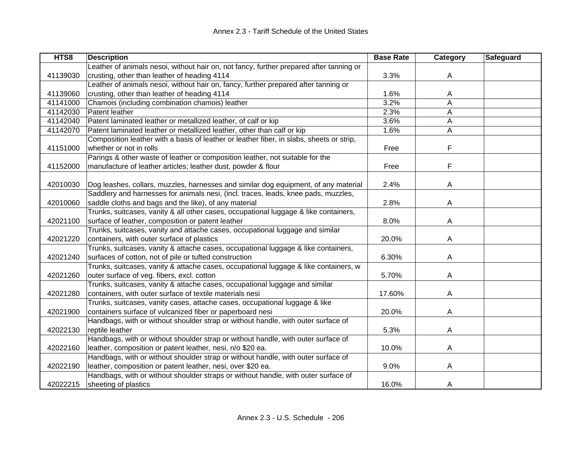| HTS8     | <b>Description</b>                                                                       | <b>Base Rate</b> | Category     | Safeguard |
|----------|------------------------------------------------------------------------------------------|------------------|--------------|-----------|
|          | Leather of animals nesoi, without hair on, not fancy, further prepared after tanning or  |                  |              |           |
| 41139030 | crusting, other than leather of heading 4114                                             | 3.3%             | A            |           |
|          | Leather of animals nesoi, without hair on, fancy, further prepared after tanning or      |                  |              |           |
| 41139060 | crusting, other than leather of heading 4114                                             | 1.6%             | A            |           |
| 41141000 | Chamois (including combination chamois) leather                                          | 3.2%             | A            |           |
| 41142030 | Patent leather                                                                           | 2.3%             | A            |           |
| 41142040 | Patent laminated leather or metallized leather, of calf or kip                           | 3.6%             | A            |           |
| 41142070 | Patent laminated leather or metallized leather, other than calf or kip                   | 1.6%             | $\mathsf{A}$ |           |
|          | Composition leather with a basis of leather or leather fiber, in slabs, sheets or strip, |                  |              |           |
| 41151000 | whether or not in rolls                                                                  | Free             | F            |           |
|          | Parings & other waste of leather or composition leather, not suitable for the            |                  |              |           |
| 41152000 | manufacture of leather articles; leather dust, powder & flour                            | Free             | F            |           |
|          |                                                                                          |                  |              |           |
| 42010030 | Dog leashes, collars, muzzles, harnesses and similar dog equipment, of any material      | 2.4%             | A            |           |
|          | Saddlery and harnesses for animals nesi, (incl. traces, leads, knee pads, muzzles,       |                  |              |           |
| 42010060 | saddle cloths and bags and the like), of any material                                    | 2.8%             | A            |           |
|          | Trunks, suitcases, vanity & all other cases, occupational luggage & like containers,     |                  |              |           |
| 42021100 | surface of leather, composition or patent leather                                        | 8.0%             | A            |           |
|          | Trunks, suitcases, vanity and attache cases, occupational luggage and similar            |                  |              |           |
| 42021220 | containers, with outer surface of plastics                                               | 20.0%            | A            |           |
|          | Trunks, suitcases, vanity & attache cases, occupational luggage & like containers,       |                  |              |           |
| 42021240 | surfaces of cotton, not of pile or tufted construction                                   | 6.30%            | A            |           |
|          | Trunks, suitcases, vanity & attache cases, occupational luggage & like containers, w     |                  |              |           |
| 42021260 | outer surface of veg. fibers, excl. cotton                                               | 5.70%            | A            |           |
|          | Trunks, suitcases, vanity & attache cases, occupational luggage and similar              |                  |              |           |
| 42021280 | containers, with outer surface of textile materials nesi                                 | 17.60%           | A            |           |
|          | Trunks, suitcases, vanity cases, attache cases, occupational luggage & like              |                  |              |           |
| 42021900 | containers surface of vulcanized fiber or paperboard nesi                                | 20.0%            | A            |           |
|          | Handbags, with or without shoulder strap or without handle, with outer surface of        |                  |              |           |
| 42022130 | reptile leather                                                                          | 5.3%             | A            |           |
|          | Handbags, with or without shoulder strap or without handle, with outer surface of        |                  |              |           |
| 42022160 | leather, composition or patent leather, nesi, n/o \$20 ea.                               | 10.0%            | A            |           |
|          | Handbags, with or without shoulder strap or without handle, with outer surface of        |                  |              |           |
| 42022190 | leather, composition or patent leather, nesi, over \$20 ea.                              | 9.0%             | A            |           |
|          | Handbags, with or without shoulder straps or without handle, with outer surface of       |                  |              |           |
| 42022215 | sheeting of plastics                                                                     | 16.0%            | A            |           |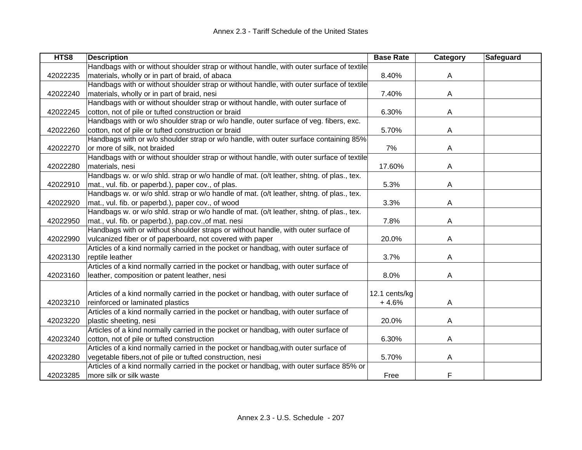| HTS8     | <b>Description</b>                                                                       | <b>Base Rate</b> | <b>Category</b> | Safeguard |
|----------|------------------------------------------------------------------------------------------|------------------|-----------------|-----------|
|          | Handbags with or without shoulder strap or without handle, with outer surface of textile |                  |                 |           |
| 42022235 | materials, wholly or in part of braid, of abaca                                          | 8.40%            | A               |           |
|          | Handbags with or without shoulder strap or without handle, with outer surface of textile |                  |                 |           |
| 42022240 | materials, wholly or in part of braid, nesi                                              | 7.40%            | A               |           |
|          | Handbags with or without shoulder strap or without handle, with outer surface of         |                  |                 |           |
| 42022245 | cotton, not of pile or tufted construction or braid                                      | 6.30%            | A               |           |
|          | Handbags with or w/o shoulder strap or w/o handle, outer surface of veg. fibers, exc.    |                  |                 |           |
| 42022260 | cotton, not of pile or tufted construction or braid                                      | 5.70%            | A               |           |
|          | Handbags with or w/o shoulder strap or w/o handle, with outer surface containing 85%     |                  |                 |           |
| 42022270 | or more of silk, not braided                                                             | 7%               | A               |           |
|          | Handbags with or without shoulder strap or without handle, with outer surface of textile |                  |                 |           |
| 42022280 | materials, nesi                                                                          | 17.60%           | A               |           |
|          | Handbags w. or w/o shld. strap or w/o handle of mat. (o/t leather, shtng. of plas., tex. |                  |                 |           |
| 42022910 | mat., vul. fib. or paperbd.), paper cov., of plas.                                       | 5.3%             | A               |           |
|          | Handbags w. or w/o shld. strap or w/o handle of mat. (o/t leather, shtng. of plas., tex. |                  |                 |           |
| 42022920 | mat., vul. fib. or paperbd.), paper cov., of wood                                        | 3.3%             | A               |           |
|          | Handbags w. or w/o shld. strap or w/o handle of mat. (o/t leather, shtng. of plas., tex. |                  |                 |           |
| 42022950 | mat., vul. fib. or paperbd.), pap.cov., of mat. nesi                                     | 7.8%             | Α               |           |
|          | Handbags with or without shoulder straps or without handle, with outer surface of        |                  |                 |           |
| 42022990 | vulcanized fiber or of paperboard, not covered with paper                                | 20.0%            | Α               |           |
|          | Articles of a kind normally carried in the pocket or handbag, with outer surface of      |                  |                 |           |
| 42023130 | reptile leather                                                                          | 3.7%             | A               |           |
|          | Articles of a kind normally carried in the pocket or handbag, with outer surface of      |                  |                 |           |
| 42023160 | leather, composition or patent leather, nesi                                             | 8.0%             | A               |           |
|          |                                                                                          |                  |                 |           |
|          | Articles of a kind normally carried in the pocket or handbag, with outer surface of      | 12.1 cents/kg    |                 |           |
| 42023210 | reinforced or laminated plastics                                                         | $+4.6%$          | A               |           |
|          | Articles of a kind normally carried in the pocket or handbag, with outer surface of      |                  |                 |           |
| 42023220 | plastic sheeting, nesi                                                                   | 20.0%            | Α               |           |
|          | Articles of a kind normally carried in the pocket or handbag, with outer surface of      |                  |                 |           |
| 42023240 | cotton, not of pile or tufted construction                                               | 6.30%            | A               |           |
|          | Articles of a kind normally carried in the pocket or handbag, with outer surface of      |                  |                 |           |
| 42023280 | vegetable fibers, not of pile or tufted construction, nesi                               | 5.70%            | Α               |           |
|          | Articles of a kind normally carried in the pocket or handbag, with outer surface 85% or  |                  |                 |           |
| 42023285 | more silk or silk waste                                                                  | Free             | F               |           |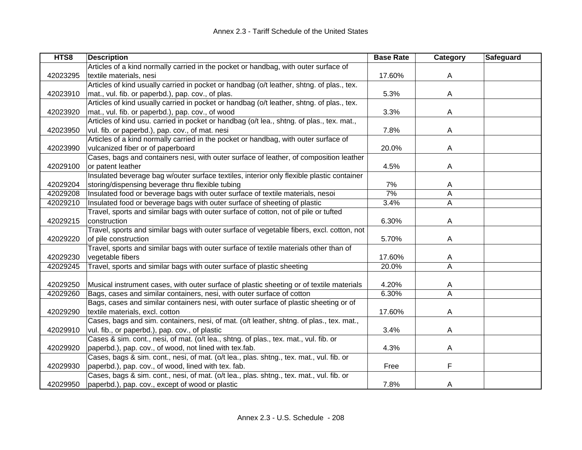| HTS8     | <b>Description</b>                                                                        | <b>Base Rate</b> | Category       | Safeguard |
|----------|-------------------------------------------------------------------------------------------|------------------|----------------|-----------|
|          | Articles of a kind normally carried in the pocket or handbag, with outer surface of       |                  |                |           |
| 42023295 | textile materials, nesi                                                                   | 17.60%           | A              |           |
|          | Articles of kind usually carried in pocket or handbag (o/t leather, shtng. of plas., tex. |                  |                |           |
| 42023910 | mat., vul. fib. or paperbd.), pap. cov., of plas.                                         | 5.3%             | A              |           |
|          | Articles of kind usually carried in pocket or handbag (o/t leather, shtng. of plas., tex. |                  |                |           |
| 42023920 | mat., vul. fib. or paperbd.), pap. cov., of wood                                          | 3.3%             | A              |           |
|          | Articles of kind usu. carried in pocket or handbag (o/t lea., shtng. of plas., tex. mat., |                  |                |           |
| 42023950 | vul. fib. or paperbd.), pap. cov., of mat. nesi                                           | 7.8%             | A              |           |
|          | Articles of a kind normally carried in the pocket or handbag, with outer surface of       |                  |                |           |
| 42023990 | vulcanized fiber or of paperboard                                                         | 20.0%            | A              |           |
|          | Cases, bags and containers nesi, with outer surface of leather, of composition leather    |                  |                |           |
| 42029100 | or patent leather                                                                         | 4.5%             | A              |           |
|          | Insulated beverage bag w/outer surface textiles, interior only flexible plastic container |                  |                |           |
| 42029204 | storing/dispensing beverage thru flexible tubing                                          | 7%               | A              |           |
| 42029208 | Insulated food or beverage bags with outer surface of textile materials, nesoi            | 7%               | A              |           |
| 42029210 | Insulated food or beverage bags with outer surface of sheeting of plastic                 | 3.4%             | A              |           |
|          | Travel, sports and similar bags with outer surface of cotton, not of pile or tufted       |                  |                |           |
| 42029215 | construction                                                                              | 6.30%            | Α              |           |
|          | Travel, sports and similar bags with outer surface of vegetable fibers, excl. cotton, not |                  |                |           |
| 42029220 | of pile construction                                                                      | 5.70%            | Α              |           |
|          | Travel, sports and similar bags with outer surface of textile materials other than of     |                  |                |           |
| 42029230 | vegetable fibers                                                                          | 17.60%           | A              |           |
| 42029245 | Travel, sports and similar bags with outer surface of plastic sheeting                    | 20.0%            | $\overline{A}$ |           |
|          |                                                                                           |                  |                |           |
| 42029250 | Musical instrument cases, with outer surface of plastic sheeting or of textile materials  | 4.20%            | A              |           |
| 42029260 | Bags, cases and similar containers, nesi, with outer surface of cotton                    | 6.30%            | A              |           |
|          | Bags, cases and similar containers nesi, with outer surface of plastic sheeting or of     |                  |                |           |
| 42029290 | textile materials, excl. cotton                                                           | 17.60%           | A              |           |
|          | Cases, bags and sim. containers, nesi, of mat. (o/t leather, shtng. of plas., tex. mat.,  |                  |                |           |
| 42029910 | vul. fib., or paperbd.), pap. cov., of plastic                                            | 3.4%             | A              |           |
|          | Cases & sim. cont., nesi, of mat. (o/t lea., shtng. of plas., tex. mat., vul. fib. or     |                  |                |           |
| 42029920 | paperbd.), pap. cov., of wood, not lined with tex.fab.                                    | 4.3%             | A              |           |
|          | Cases, bags & sim. cont., nesi, of mat. (o/t lea., plas. shtng., tex. mat., vul. fib. or  |                  |                |           |
| 42029930 | paperbd.), pap. cov., of wood, lined with tex. fab.                                       | Free             | F              |           |
|          | Cases, bags & sim. cont., nesi, of mat. (o/t lea., plas. shtng., tex. mat., vul. fib. or  |                  |                |           |
| 42029950 | paperbd.), pap. cov., except of wood or plastic                                           | 7.8%             | A              |           |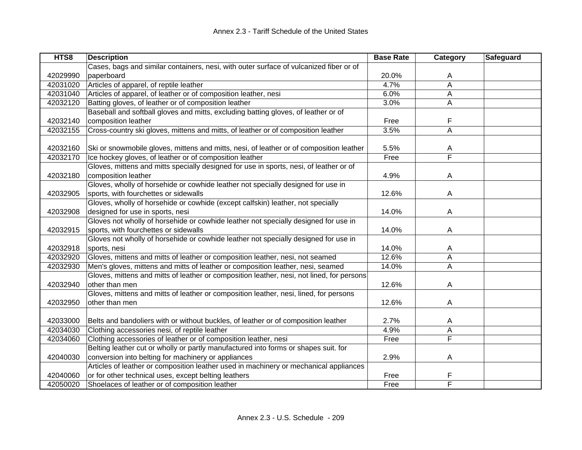| HTS8     | <b>Description</b>                                                                        | <b>Base Rate</b> | Category                | Safeguard |
|----------|-------------------------------------------------------------------------------------------|------------------|-------------------------|-----------|
|          | Cases, bags and similar containers, nesi, with outer surface of vulcanized fiber or of    |                  |                         |           |
| 42029990 | paperboard                                                                                | 20.0%            | A                       |           |
| 42031020 | Articles of apparel, of reptile leather                                                   | 4.7%             | A                       |           |
| 42031040 | Articles of apparel, of leather or of composition leather, nesi                           | 6.0%             | A                       |           |
| 42032120 | Batting gloves, of leather or of composition leather                                      | 3.0%             | A                       |           |
|          | Baseball and softball gloves and mitts, excluding batting gloves, of leather or of        |                  |                         |           |
| 42032140 | composition leather                                                                       | Free             | F                       |           |
| 42032155 | Cross-country ski gloves, mittens and mitts, of leather or of composition leather         | 3.5%             | A                       |           |
|          |                                                                                           |                  |                         |           |
| 42032160 | Ski or snowmobile gloves, mittens and mitts, nesi, of leather or of composition leather   | 5.5%             | A                       |           |
| 42032170 | Ice hockey gloves, of leather or of composition leather                                   | Free             | $\overline{\mathsf{F}}$ |           |
|          | Gloves, mittens and mitts specially designed for use in sports, nesi, of leather or of    |                  |                         |           |
| 42032180 | composition leather                                                                       | 4.9%             | A                       |           |
|          | Gloves, wholly of horsehide or cowhide leather not specially designed for use in          |                  |                         |           |
| 42032905 | sports, with fourchettes or sidewalls                                                     | 12.6%            | A                       |           |
|          | Gloves, wholly of horsehide or cowhide (except calfskin) leather, not specially           |                  |                         |           |
| 42032908 | designed for use in sports, nesi                                                          | 14.0%            | A                       |           |
|          | Gloves not wholly of horsehide or cowhide leather not specially designed for use in       |                  |                         |           |
| 42032915 | sports, with fourchettes or sidewalls                                                     | 14.0%            | A                       |           |
|          | Gloves not wholly of horsehide or cowhide leather not specially designed for use in       |                  |                         |           |
| 42032918 | sports, nesi                                                                              | 14.0%            | A                       |           |
| 42032920 | Gloves, mittens and mitts of leather or composition leather, nesi, not seamed             | 12.6%            | A                       |           |
| 42032930 | Men's gloves, mittens and mitts of leather or composition leather, nesi, seamed           | 14.0%            | A                       |           |
|          | Gloves, mittens and mitts of leather or composition leather, nesi, not lined, for persons |                  |                         |           |
| 42032940 | other than men                                                                            | 12.6%            | A                       |           |
|          | Gloves, mittens and mitts of leather or composition leather, nesi, lined, for persons     |                  |                         |           |
| 42032950 | other than men                                                                            | 12.6%            | A                       |           |
|          |                                                                                           |                  |                         |           |
| 42033000 | Belts and bandoliers with or without buckles, of leather or of composition leather        | 2.7%             | A                       |           |
| 42034030 | Clothing accessories nesi, of reptile leather                                             | 4.9%             | A                       |           |
| 42034060 | Clothing accessories of leather or of composition leather, nesi                           | Free             | F                       |           |
|          | Belting leather cut or wholly or partly manufactured into forms or shapes suit. for       |                  |                         |           |
| 42040030 | conversion into belting for machinery or appliances                                       | 2.9%             | A                       |           |
|          | Articles of leather or composition leather used in machinery or mechanical appliances     |                  |                         |           |
| 42040060 | or for other technical uses, except belting leathers                                      | Free             | F                       |           |
| 42050020 | Shoelaces of leather or of composition leather                                            | Free             | F                       |           |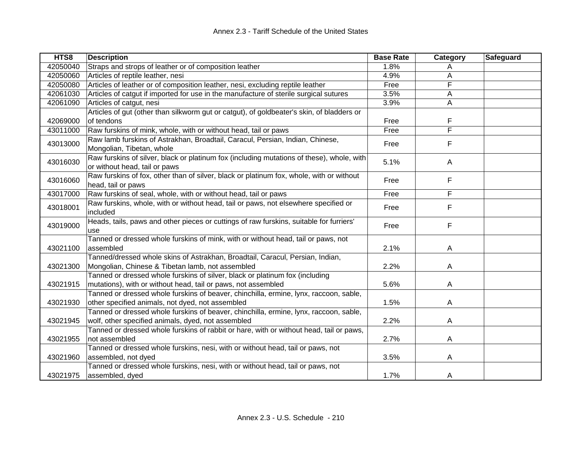| HTS8     | <b>Description</b>                                                                        | <b>Base Rate</b> | Category                | Safeguard |
|----------|-------------------------------------------------------------------------------------------|------------------|-------------------------|-----------|
| 42050040 | Straps and strops of leather or of composition leather                                    | 1.8%             | A                       |           |
| 42050060 | Articles of reptile leather, nesi                                                         | 4.9%             | Α                       |           |
| 42050080 | Articles of leather or of composition leather, nesi, excluding reptile leather            | Free             | F                       |           |
| 42061030 | Articles of catgut if imported for use in the manufacture of sterile surgical sutures     | 3.5%             | A                       |           |
| 42061090 | Articles of catgut, nesi                                                                  | 3.9%             | A                       |           |
|          | Articles of gut (other than silkworm gut or catgut), of goldbeater's skin, of bladders or |                  |                         |           |
| 42069000 | of tendons                                                                                | Free             | F                       |           |
| 43011000 | Raw furskins of mink, whole, with or without head, tail or paws                           | Free             | $\overline{\mathsf{F}}$ |           |
|          | Raw lamb furskins of Astrakhan, Broadtail, Caracul, Persian, Indian, Chinese,             |                  | F                       |           |
| 43013000 | Mongolian, Tibetan, whole                                                                 | Free             |                         |           |
|          | Raw furskins of silver, black or platinum fox (including mutations of these), whole, with |                  |                         |           |
| 43016030 | or without head, tail or paws                                                             | 5.1%             | A                       |           |
|          | Raw furskins of fox, other than of silver, black or platinum fox, whole, with or without  |                  | F                       |           |
| 43016060 | head, tail or paws                                                                        | Free             |                         |           |
| 43017000 | Raw furskins of seal, whole, with or without head, tail or paws                           | Free             | F                       |           |
|          | Raw furskins, whole, with or without head, tail or paws, not elsewhere specified or       |                  |                         |           |
| 43018001 | included                                                                                  | Free             | F                       |           |
|          | Heads, tails, paws and other pieces or cuttings of raw furskins, suitable for furriers'   |                  |                         |           |
| 43019000 | use                                                                                       | Free             | F                       |           |
|          | Tanned or dressed whole furskins of mink, with or without head, tail or paws, not         |                  |                         |           |
| 43021100 | assembled                                                                                 | 2.1%             | A                       |           |
|          | Tanned/dressed whole skins of Astrakhan, Broadtail, Caracul, Persian, Indian,             |                  |                         |           |
| 43021300 | Mongolian, Chinese & Tibetan lamb, not assembled                                          | 2.2%             | A                       |           |
|          | Tanned or dressed whole furskins of silver, black or platinum fox (including              |                  |                         |           |
| 43021915 | mutations), with or without head, tail or paws, not assembled                             | 5.6%             | A                       |           |
|          | Tanned or dressed whole furskins of beaver, chinchilla, ermine, lynx, raccoon, sable,     |                  |                         |           |
| 43021930 | other specified animals, not dyed, not assembled                                          | 1.5%             | A                       |           |
|          | Tanned or dressed whole furskins of beaver, chinchilla, ermine, lynx, raccoon, sable,     |                  |                         |           |
| 43021945 | wolf, other specified animals, dyed, not assembled                                        | 2.2%             | A                       |           |
|          | Tanned or dressed whole furskins of rabbit or hare, with or without head, tail or paws,   |                  |                         |           |
| 43021955 | not assembled                                                                             | 2.7%             | A                       |           |
|          | Tanned or dressed whole furskins, nesi, with or without head, tail or paws, not           |                  |                         |           |
| 43021960 | assembled, not dyed                                                                       | 3.5%             | A                       |           |
|          | Tanned or dressed whole furskins, nesi, with or without head, tail or paws, not           |                  |                         |           |
| 43021975 | assembled, dyed                                                                           | 1.7%             | A                       |           |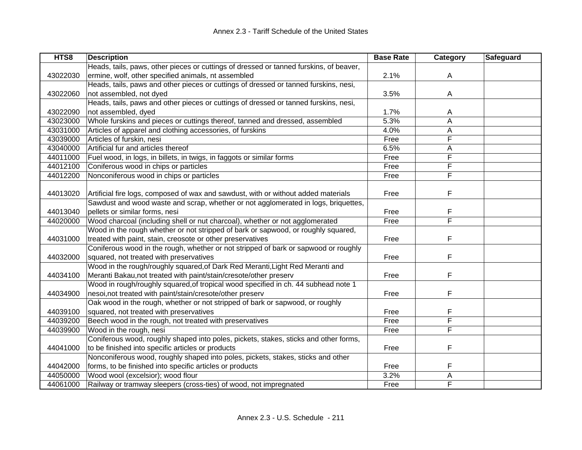| HTS8     | <b>Description</b>                                                                     | <b>Base Rate</b> | Category | Safeguard |
|----------|----------------------------------------------------------------------------------------|------------------|----------|-----------|
|          | Heads, tails, paws, other pieces or cuttings of dressed or tanned furskins, of beaver, |                  |          |           |
| 43022030 | ermine, wolf, other specified animals, nt assembled                                    | 2.1%             | A        |           |
|          | Heads, tails, paws and other pieces or cuttings of dressed or tanned furskins, nesi,   |                  |          |           |
| 43022060 | not assembled, not dyed                                                                | 3.5%             | A        |           |
|          | Heads, tails, paws and other pieces or cuttings of dressed or tanned furskins, nesi,   |                  |          |           |
| 43022090 | not assembled, dyed                                                                    | 1.7%             | A        |           |
| 43023000 | Whole furskins and pieces or cuttings thereof, tanned and dressed, assembled           | 5.3%             | A        |           |
| 43031000 | Articles of apparel and clothing accessories, of furskins                              | 4.0%             | А        |           |
| 43039000 | Articles of furskin, nesi                                                              | Free             | F        |           |
| 43040000 | Artificial fur and articles thereof                                                    | 6.5%             | A        |           |
| 44011000 | Fuel wood, in logs, in billets, in twigs, in faggots or similar forms                  | Free             | F        |           |
| 44012100 | Coniferous wood in chips or particles                                                  | Free             | F        |           |
| 44012200 | Nonconiferous wood in chips or particles                                               | Free             | F        |           |
|          |                                                                                        |                  |          |           |
| 44013020 | Artificial fire logs, composed of wax and sawdust, with or without added materials     | Free             | F        |           |
|          | Sawdust and wood waste and scrap, whether or not agglomerated in logs, briquettes,     |                  |          |           |
| 44013040 | pellets or similar forms, nesi                                                         | Free             | F        |           |
| 44020000 | Wood charcoal (including shell or nut charcoal), whether or not agglomerated           | Free             | F        |           |
|          | Wood in the rough whether or not stripped of bark or sapwood, or roughly squared,      |                  |          |           |
| 44031000 | treated with paint, stain, creosote or other preservatives                             | Free             | F        |           |
|          | Coniferous wood in the rough, whether or not stripped of bark or sapwood or roughly    |                  |          |           |
| 44032000 | squared, not treated with preservatives                                                | Free             | F        |           |
|          | Wood in the rough/roughly squared, of Dark Red Meranti, Light Red Meranti and          |                  |          |           |
| 44034100 | Meranti Bakau, not treated with paint/stain/cresote/other preserv                      | Free             | F        |           |
|          | Wood in rough/roughly squared, of tropical wood specified in ch. 44 subhead note 1     |                  |          |           |
| 44034900 | nesoi, not treated with paint/stain/cresote/other preserv                              | Free             | F        |           |
|          | Oak wood in the rough, whether or not stripped of bark or sapwood, or roughly          |                  |          |           |
| 44039100 | squared, not treated with preservatives                                                | Free             | F        |           |
| 44039200 | Beech wood in the rough, not treated with preservatives                                | Free             | F        |           |
| 44039900 | Wood in the rough, nesi                                                                | Free             | F        |           |
|          | Coniferous wood, roughly shaped into poles, pickets, stakes, sticks and other forms,   |                  |          |           |
| 44041000 | to be finished into specific articles or products                                      | Free             | F        |           |
|          | Nonconiferous wood, roughly shaped into poles, pickets, stakes, sticks and other       |                  |          |           |
| 44042000 | forms, to be finished into specific articles or products                               | Free             | F        |           |
| 44050000 | Wood wool (excelsior); wood flour                                                      | 3.2%             | А        |           |
| 44061000 | Railway or tramway sleepers (cross-ties) of wood, not impregnated                      | Free             | F        |           |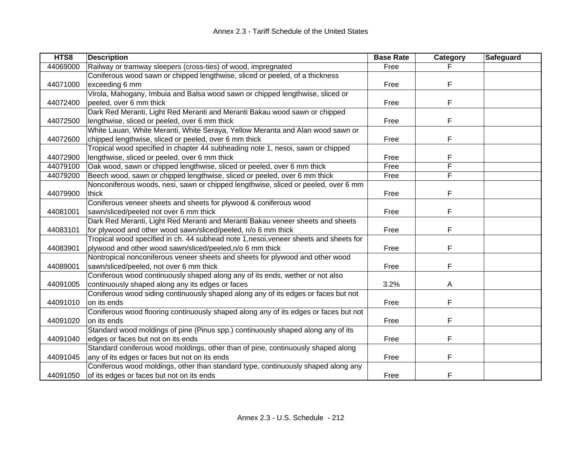| HTS8     | <b>Description</b>                                                                   | <b>Base Rate</b> | Category | <b>Safeguard</b> |
|----------|--------------------------------------------------------------------------------------|------------------|----------|------------------|
| 44069000 | Railway or tramway sleepers (cross-ties) of wood, impregnated                        | Free             |          |                  |
|          | Coniferous wood sawn or chipped lengthwise, sliced or peeled, of a thickness         |                  |          |                  |
| 44071000 | exceeding 6 mm                                                                       | Free             | F        |                  |
|          | Virola, Mahogany, Imbuia and Balsa wood sawn or chipped lengthwise, sliced or        |                  |          |                  |
| 44072400 | peeled, over 6 mm thick                                                              | Free             | F        |                  |
|          | Dark Red Meranti, Light Red Meranti and Meranti Bakau wood sawn or chipped           |                  |          |                  |
| 44072500 | lengthwise, sliced or peeled, over 6 mm thick                                        | Free             | F        |                  |
|          | White Lauan, White Meranti, White Seraya, Yellow Meranta and Alan wood sawn or       |                  |          |                  |
| 44072600 | chipped lengthwise, sliced or peeled, over 6 mm thick                                | Free             | F        |                  |
|          | Tropical wood specified in chapter 44 subheading note 1, nesoi, sawn or chipped      |                  |          |                  |
| 44072900 | lengthwise, sliced or peeled, over 6 mm thick                                        | Free             | F        |                  |
| 44079100 | Oak wood, sawn or chipped lengthwise, sliced or peeled, over 6 mm thick              | Free             | F        |                  |
| 44079200 | Beech wood, sawn or chipped lengthwise, sliced or peeled, over 6 mm thick            | Free             | F        |                  |
|          | Nonconiferous woods, nesi, sawn or chipped lengthwise, sliced or peeled, over 6 mm   |                  |          |                  |
| 44079900 | thick                                                                                | Free             | F        |                  |
|          | Coniferous veneer sheets and sheets for plywood & coniferous wood                    |                  |          |                  |
| 44081001 | sawn/sliced/peeled not over 6 mm thick                                               | Free             | F        |                  |
|          | Dark Red Meranti, Light Red Meranti and Meranti Bakau veneer sheets and sheets       |                  |          |                  |
| 44083101 | for plywood and other wood sawn/sliced/peeled, n/o 6 mm thick                        | Free             | F        |                  |
|          | Tropical wood specified in ch. 44 subhead note 1,nesoi, veneer sheets and sheets for |                  |          |                  |
| 44083901 | plywood and other wood sawn/sliced/peeled, n/o 6 mm thick                            | Free             | F        |                  |
|          | Nontropical nonconiferous veneer sheets and sheets for plywood and other wood        |                  |          |                  |
| 44089001 | sawn/sliced/peeled, not over 6 mm thick                                              | Free             | F        |                  |
|          | Coniferous wood continuously shaped along any of its ends, wether or not also        |                  |          |                  |
| 44091005 | continuously shaped along any its edges or faces                                     | 3.2%             | A        |                  |
|          | Coniferous wood siding continuously shaped along any of its edges or faces but not   |                  |          |                  |
| 44091010 | on its ends                                                                          | Free             | F        |                  |
|          | Coniferous wood flooring continuously shaped along any of its edges or faces but not |                  |          |                  |
| 44091020 | on its ends                                                                          | Free             | F        |                  |
|          | Standard wood moldings of pine (Pinus spp.) continuously shaped along any of its     |                  |          |                  |
| 44091040 | edges or faces but not on its ends                                                   | Free             | F        |                  |
|          | Standard coniferous wood moldings, other than of pine, continuously shaped along     |                  |          |                  |
| 44091045 | any of its edges or faces but not on its ends                                        | Free             | F        |                  |
|          | Coniferous wood moldings, other than standard type, continuously shaped along any    |                  |          |                  |
| 44091050 | of its edges or faces but not on its ends                                            | Free             | F        |                  |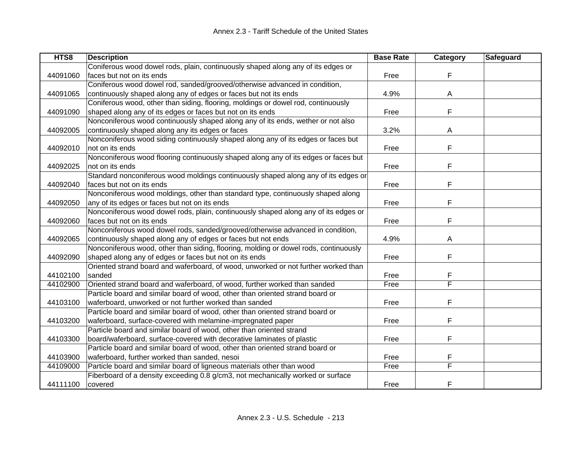| HTS8     | <b>Description</b>                                                                   | <b>Base Rate</b> | Category | Safeguard |
|----------|--------------------------------------------------------------------------------------|------------------|----------|-----------|
|          | Coniferous wood dowel rods, plain, continuously shaped along any of its edges or     |                  |          |           |
| 44091060 | faces but not on its ends                                                            | Free             | F        |           |
|          | Coniferous wood dowel rod, sanded/grooved/otherwise advanced in condition,           |                  |          |           |
| 44091065 | continuously shaped along any of edges or faces but not its ends                     | 4.9%             | A        |           |
|          | Coniferous wood, other than siding, flooring, moldings or dowel rod, continuously    |                  |          |           |
| 44091090 | shaped along any of its edges or faces but not on its ends                           | Free             | F        |           |
|          | Nonconiferous wood continuously shaped along any of its ends, wether or not also     |                  |          |           |
| 44092005 | continuously shaped along any its edges or faces                                     | 3.2%             | A        |           |
|          | Nonconiferous wood siding continuously shaped along any of its edges or faces but    |                  |          |           |
| 44092010 | not on its ends                                                                      | Free             | F        |           |
|          | Nonconiferous wood flooring continuously shaped along any of its edges or faces but  |                  |          |           |
| 44092025 | not on its ends                                                                      | Free             | F        |           |
|          | Standard nonconiferous wood moldings continuously shaped along any of its edges or   |                  |          |           |
| 44092040 | faces but not on its ends                                                            | Free             | F        |           |
|          | Nonconiferous wood moldings, other than standard type, continuously shaped along     |                  |          |           |
| 44092050 | any of its edges or faces but not on its ends                                        | Free             | F        |           |
|          | Nonconiferous wood dowel rods, plain, continuously shaped along any of its edges or  |                  |          |           |
| 44092060 | faces but not on its ends                                                            | Free             | F        |           |
|          | Nonconiferous wood dowel rods, sanded/grooved/otherwise advanced in condition,       |                  |          |           |
| 44092065 | continuously shaped along any of edges or faces but not ends                         | 4.9%             | A        |           |
|          | Nonconiferous wood, other than siding, flooring, molding or dowel rods, continuously |                  |          |           |
| 44092090 | shaped along any of edges or faces but not on its ends                               | Free             | F        |           |
|          | Oriented strand board and waferboard, of wood, unworked or not further worked than   |                  |          |           |
| 44102100 | sanded                                                                               | Free             | F        |           |
| 44102900 | Oriented strand board and waferboard, of wood, further worked than sanded            | Free             | F        |           |
|          | Particle board and similar board of wood, other than oriented strand board or        |                  |          |           |
| 44103100 | waferboard, unworked or not further worked than sanded                               | Free             | F        |           |
|          | Particle board and similar board of wood, other than oriented strand board or        |                  |          |           |
| 44103200 | waferboard, surface-covered with melamine-impregnated paper                          | Free             | F        |           |
|          | Particle board and similar board of wood, other than oriented strand                 |                  |          |           |
| 44103300 | board/waferboard, surface-covered with decorative laminates of plastic               | Free             | F        |           |
|          | Particle board and similar board of wood, other than oriented strand board or        |                  |          |           |
| 44103900 | waferboard, further worked than sanded, nesoi                                        | Free             | F        |           |
| 44109000 | Particle board and similar board of ligneous materials other than wood               | Free             | F        |           |
|          | Fiberboard of a density exceeding 0.8 g/cm3, not mechanically worked or surface      |                  |          |           |
| 44111100 | covered                                                                              | Free             | F        |           |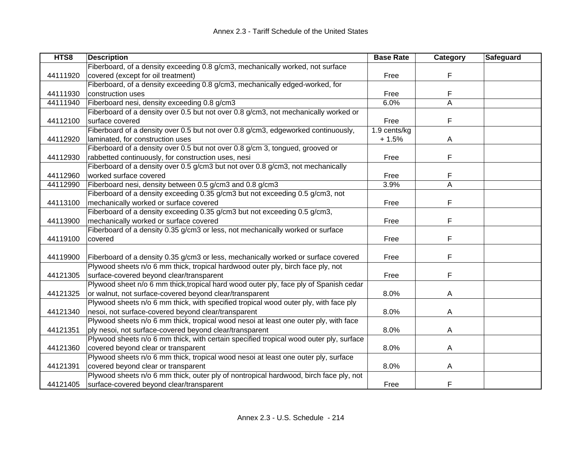| HTS8     | <b>Description</b>                                                                     | <b>Base Rate</b> | Category | Safeguard |
|----------|----------------------------------------------------------------------------------------|------------------|----------|-----------|
|          | Fiberboard, of a density exceeding 0.8 g/cm3, mechanically worked, not surface         |                  |          |           |
| 44111920 | covered (except for oil treatment)                                                     | Free             | F        |           |
|          | Fiberboard, of a density exceeding 0.8 g/cm3, mechanically edged-worked, for           |                  |          |           |
| 44111930 | construction uses                                                                      | Free             | F        |           |
| 44111940 | Fiberboard nesi, density exceeding 0.8 g/cm3                                           | 6.0%             | A        |           |
|          | Fiberboard of a density over 0.5 but not over 0.8 g/cm3, not mechanically worked or    |                  |          |           |
| 44112100 | surface covered                                                                        | Free             | F        |           |
|          | Fiberboard of a density over 0.5 but not over 0.8 g/cm3, edgeworked continuously,      | 1.9 cents/kg     |          |           |
| 44112920 | laminated, for construction uses                                                       | $+1.5%$          | A        |           |
|          | Fiberboard of a density over 0.5 but not over 0.8 g/cm 3, tongued, grooved or          |                  |          |           |
| 44112930 | rabbetted continuously, for construction uses, nesi                                    | Free             | F        |           |
|          | Fiberboard of a density over 0.5 g/cm3 but not over 0.8 g/cm3, not mechanically        |                  |          |           |
| 44112960 | worked surface covered                                                                 | Free             | F        |           |
| 44112990 | Fiberboard nesi, density between 0.5 g/cm3 and 0.8 g/cm3                               | 3.9%             | A        |           |
|          | Fiberboard of a density exceeding 0.35 g/cm3 but not exceeding 0.5 g/cm3, not          |                  |          |           |
| 44113100 | mechanically worked or surface covered                                                 | Free             | F        |           |
|          | Fiberboard of a density exceeding 0.35 g/cm3 but not exceeding 0.5 g/cm3,              |                  |          |           |
| 44113900 | mechanically worked or surface covered                                                 | Free             | F        |           |
|          | Fiberboard of a density 0.35 g/cm3 or less, not mechanically worked or surface         |                  |          |           |
| 44119100 | covered                                                                                | Free             | F        |           |
|          |                                                                                        |                  |          |           |
| 44119900 | Fiberboard of a density 0.35 g/cm3 or less, mechanically worked or surface covered     | Free             | F        |           |
|          | Plywood sheets n/o 6 mm thick, tropical hardwood outer ply, birch face ply, not        |                  |          |           |
| 44121305 | surface-covered beyond clear/transparent                                               | Free             | F        |           |
|          | Plywood sheet n/o 6 mm thick, tropical hard wood outer ply, face ply of Spanish cedar  |                  |          |           |
| 44121325 | or walnut, not surface-covered beyond clear/transparent                                | 8.0%             | A        |           |
|          | Plywood sheets n/o 6 mm thick, with specified tropical wood outer ply, with face ply   |                  |          |           |
| 44121340 | nesoi, not surface-covered beyond clear/transparent                                    | 8.0%             | A        |           |
|          | Plywood sheets n/o 6 mm thick, tropical wood nesoi at least one outer ply, with face   |                  |          |           |
| 44121351 | ply nesoi, not surface-covered beyond clear/transparent                                | 8.0%             | A        |           |
|          | Plywood sheets n/o 6 mm thick, with certain specified tropical wood outer ply, surface |                  |          |           |
| 44121360 | covered beyond clear or transparent                                                    | 8.0%             | A        |           |
|          | Plywood sheets n/o 6 mm thick, tropical wood nesoi at least one outer ply, surface     |                  |          |           |
| 44121391 | covered beyond clear or transparent                                                    | 8.0%             | Α        |           |
|          | Plywood sheets n/o 6 mm thick, outer ply of nontropical hardwood, birch face ply, not  |                  |          |           |
| 44121405 | surface-covered beyond clear/transparent                                               | Free             | F        |           |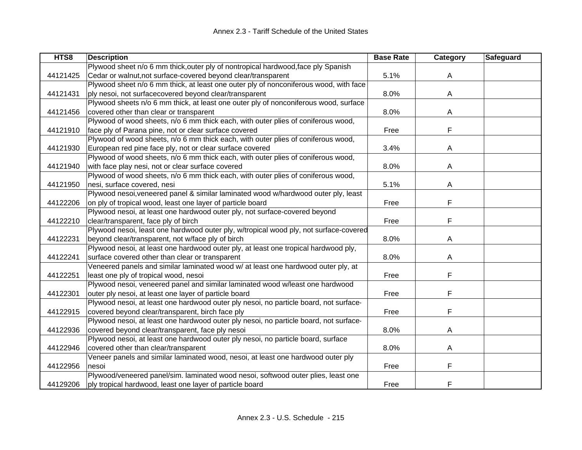| HTS8     | <b>Description</b>                                                                    | <b>Base Rate</b> | Category | Safeguard |
|----------|---------------------------------------------------------------------------------------|------------------|----------|-----------|
|          | Plywood sheet n/o 6 mm thick, outer ply of nontropical hardwood, face ply Spanish     |                  |          |           |
| 44121425 | Cedar or walnut, not surface-covered beyond clear/transparent                         | 5.1%             | A        |           |
|          | Plywood sheet n/o 6 mm thick, at least one outer ply of nonconiferous wood, with face |                  |          |           |
| 44121431 | ply nesoi, not surfacecovered beyond clear/transparent                                | 8.0%             | A        |           |
|          | Plywood sheets n/o 6 mm thick, at least one outer ply of nonconiferous wood, surface  |                  |          |           |
| 44121456 | covered other than clear or transparent                                               | 8.0%             | A        |           |
|          | Plywood of wood sheets, n/o 6 mm thick each, with outer plies of coniferous wood,     |                  |          |           |
| 44121910 | face ply of Parana pine, not or clear surface covered                                 | Free             | F        |           |
|          | Plywood of wood sheets, n/o 6 mm thick each, with outer plies of coniferous wood,     |                  |          |           |
| 44121930 | European red pine face ply, not or clear surface covered                              | 3.4%             | A        |           |
|          | Plywood of wood sheets, n/o 6 mm thick each, with outer plies of coniferous wood,     |                  |          |           |
| 44121940 | with face play nesi, not or clear surface covered                                     | 8.0%             | A        |           |
|          | Plywood of wood sheets, n/o 6 mm thick each, with outer plies of coniferous wood,     |                  |          |           |
| 44121950 | nesi, surface covered, nesi                                                           | 5.1%             | A        |           |
|          | Plywood nesoi, veneered panel & similar laminated wood w/hardwood outer ply, least    |                  |          |           |
| 44122206 | on ply of tropical wood, least one layer of particle board                            | Free             | F        |           |
|          | Plywood nesoi, at least one hardwood outer ply, not surface-covered beyond            |                  |          |           |
| 44122210 | clear/transparent, face ply of birch                                                  | Free             | F        |           |
|          | Plywood nesoi, least one hardwood outer ply, w/tropical wood ply, not surface-covered |                  |          |           |
| 44122231 | beyond clear/transparent, not w/face ply of birch                                     | 8.0%             | A        |           |
|          | Plywood nesoi, at least one hardwood outer ply, at least one tropical hardwood ply,   |                  |          |           |
| 44122241 | surface covered other than clear or transparent                                       | 8.0%             | A        |           |
|          | Veneered panels and similar laminated wood w/ at least one hardwood outer ply, at     |                  |          |           |
| 44122251 | least one ply of tropical wood, nesoi                                                 | Free             | F        |           |
|          | Plywood nesoi, veneered panel and similar laminated wood w/least one hardwood         |                  |          |           |
| 44122301 | outer ply nesoi, at least one layer of particle board                                 | Free             | F        |           |
|          | Plywood nesoi, at least one hardwood outer ply nesoi, no particle board, not surface- |                  |          |           |
| 44122915 | covered beyond clear/transparent, birch face ply                                      | Free             | F        |           |
|          | Plywood nesoi, at least one hardwood outer ply nesoi, no particle board, not surface- |                  |          |           |
| 44122936 | covered beyond clear/transparent, face ply nesoi                                      | 8.0%             | A        |           |
|          | Plywood nesoi, at least one hardwood outer ply nesoi, no particle board, surface      |                  |          |           |
| 44122946 | covered other than clear/transparent                                                  | 8.0%             | A        |           |
|          | Veneer panels and similar laminated wood, nesoi, at least one hardwood outer ply      |                  |          |           |
| 44122956 | nesoi                                                                                 | Free             | F        |           |
|          | Plywood/veneered panel/sim. laminated wood nesoi, softwood outer plies, least one     |                  |          |           |
| 44129206 | ply tropical hardwood, least one layer of particle board                              | Free             | F        |           |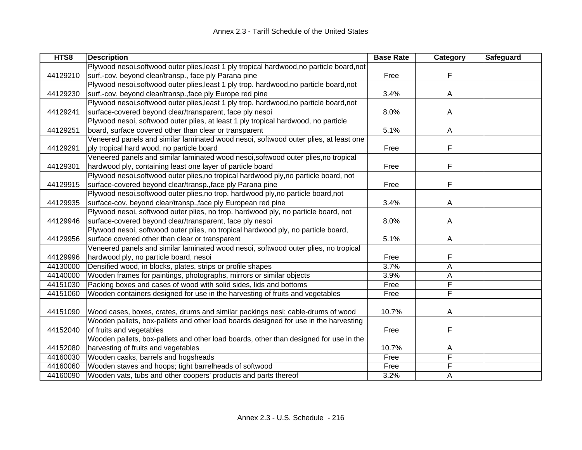| HTS8     | <b>Description</b>                                                                         | <b>Base Rate</b> | <b>Category</b> | Safeguard |
|----------|--------------------------------------------------------------------------------------------|------------------|-----------------|-----------|
|          | Plywood nesoi, softwood outer plies, least 1 ply tropical hardwood, no particle board, not |                  |                 |           |
| 44129210 | surf.-cov. beyond clear/transp., face ply Parana pine                                      | Free             | F               |           |
|          | Plywood nesoi, softwood outer plies, least 1 ply trop. hardwood, no particle board, not    |                  |                 |           |
| 44129230 | surf.-cov. beyond clear/transp., face ply Europe red pine                                  | 3.4%             | Α               |           |
|          | Plywood nesoi, softwood outer plies, least 1 ply trop. hardwood, no particle board, not    |                  |                 |           |
| 44129241 | surface-covered beyond clear/transparent, face ply nesoi                                   | 8.0%             | A               |           |
|          | Plywood nesoi, softwood outer plies, at least 1 ply tropical hardwood, no particle         |                  |                 |           |
| 44129251 | board, surface covered other than clear or transparent                                     | 5.1%             | A               |           |
|          | Veneered panels and similar laminated wood nesoi, softwood outer plies, at least one       |                  |                 |           |
| 44129291 | ply tropical hard wood, no particle board                                                  | Free             | F               |           |
|          | Veneered panels and similar laminated wood nesoi, softwood outer plies, no tropical        |                  |                 |           |
| 44129301 | hardwood ply, containing least one layer of particle board                                 | Free             | F               |           |
|          | Plywood nesoi, softwood outer plies, no tropical hardwood ply, no particle board, not      |                  |                 |           |
| 44129915 | surface-covered beyond clear/transp., face ply Parana pine                                 | Free             | F               |           |
|          | Plywood nesoi, softwood outer plies, no trop. hardwood ply, no particle board, not         |                  |                 |           |
| 44129935 | surface-cov. beyond clear/transp., face ply European red pine                              | 3.4%             | A               |           |
|          | Plywood nesoi, softwood outer plies, no trop. hardwood ply, no particle board, not         |                  |                 |           |
| 44129946 | surface-covered beyond clear/transparent, face ply nesoi                                   | 8.0%             | A               |           |
|          | Plywood nesoi, softwood outer plies, no tropical hardwood ply, no particle board,          |                  |                 |           |
| 44129956 | surface covered other than clear or transparent                                            | 5.1%             | A               |           |
|          | Veneered panels and similar laminated wood nesoi, softwood outer plies, no tropical        |                  |                 |           |
| 44129996 | hardwood ply, no particle board, nesoi                                                     | Free             | F               |           |
| 44130000 | Densified wood, in blocks, plates, strips or profile shapes                                | 3.7%             | A               |           |
| 44140000 | Wooden frames for paintings, photographs, mirrors or similar objects                       | 3.9%             | А               |           |
| 44151030 | Packing boxes and cases of wood with solid sides, lids and bottoms                         | Free             | F               |           |
| 44151060 | Wooden containers designed for use in the harvesting of fruits and vegetables              | Free             | F               |           |
|          |                                                                                            |                  |                 |           |
| 44151090 | Wood cases, boxes, crates, drums and similar packings nesi; cable-drums of wood            | 10.7%            | A               |           |
|          | Wooden pallets, box-pallets and other load boards designed for use in the harvesting       |                  |                 |           |
| 44152040 | of fruits and vegetables                                                                   | Free             | F               |           |
|          | Wooden pallets, box-pallets and other load boards, other than designed for use in the      |                  |                 |           |
| 44152080 | harvesting of fruits and vegetables                                                        | 10.7%            | A               |           |
| 44160030 | Wooden casks, barrels and hogsheads                                                        | Free             | F               |           |
| 44160060 | Wooden staves and hoops; tight barrelheads of softwood                                     | Free             | F               |           |
| 44160090 | Wooden vats, tubs and other coopers' products and parts thereof                            | 3.2%             | Α               |           |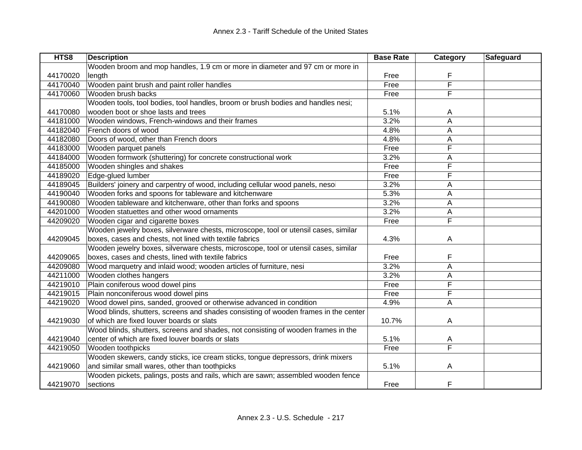| HTS8     | <b>Description</b>                                                                  | <b>Base Rate</b> | Category | Safeguard |
|----------|-------------------------------------------------------------------------------------|------------------|----------|-----------|
|          | Wooden broom and mop handles, 1.9 cm or more in diameter and 97 cm or more in       |                  |          |           |
| 44170020 | length                                                                              | Free             | F        |           |
| 44170040 | Wooden paint brush and paint roller handles                                         | Free             | F        |           |
| 44170060 | Wooden brush backs                                                                  | Free             | F        |           |
|          | Wooden tools, tool bodies, tool handles, broom or brush bodies and handles nesi;    |                  |          |           |
| 44170080 | wooden boot or shoe lasts and trees                                                 | 5.1%             | A        |           |
| 44181000 | Wooden windows, French-windows and their frames                                     | 3.2%             | Α        |           |
| 44182040 | French doors of wood                                                                | 4.8%             | A        |           |
| 44182080 | Doors of wood, other than French doors                                              | 4.8%             | Α        |           |
| 44183000 | Wooden parquet panels                                                               | Free             | F        |           |
| 44184000 | Wooden formwork (shuttering) for concrete constructional work                       | 3.2%             | A        |           |
| 44185000 | Wooden shingles and shakes                                                          | Free             | F        |           |
| 44189020 | Edge-glued lumber                                                                   | Free             | F        |           |
| 44189045 | Builders' joinery and carpentry of wood, including cellular wood panels, nesoi      | 3.2%             | А        |           |
| 44190040 | Wooden forks and spoons for tableware and kitchenware                               | 5.3%             | A        |           |
| 44190080 | Wooden tableware and kitchenware, other than forks and spoons                       | 3.2%             | A        |           |
| 44201000 | Wooden statuettes and other wood ornaments                                          | 3.2%             | A        |           |
| 44209020 | Wooden cigar and cigarette boxes                                                    | Free             | F        |           |
|          | Wooden jewelry boxes, silverware chests, microscope, tool or utensil cases, similar |                  |          |           |
| 44209045 | boxes, cases and chests, not lined with textile fabrics                             | 4.3%             | A        |           |
|          | Wooden jewelry boxes, silverware chests, microscope, tool or utensil cases, similar |                  |          |           |
| 44209065 | boxes, cases and chests, lined with textile fabrics                                 | Free             | F        |           |
| 44209080 | Wood marquetry and inlaid wood; wooden articles of furniture, nesi                  | 3.2%             | А        |           |
| 44211000 | Wooden clothes hangers                                                              | 3.2%             | Α        |           |
| 44219010 | Plain coniferous wood dowel pins                                                    | Free             | F        |           |
| 44219015 | Plain nonconiferous wood dowel pins                                                 | Free             | F        |           |
| 44219020 | Wood dowel pins, sanded, grooved or otherwise advanced in condition                 | 4.9%             | Α        |           |
|          | Wood blinds, shutters, screens and shades consisting of wooden frames in the center |                  |          |           |
| 44219030 | of which are fixed louver boards or slats                                           | 10.7%            | A        |           |
|          | Wood blinds, shutters, screens and shades, not consisting of wooden frames in the   |                  |          |           |
| 44219040 | center of which are fixed louver boards or slats                                    | 5.1%             | A        |           |
| 44219050 | Wooden toothpicks                                                                   | Free             | F        |           |
|          | Wooden skewers, candy sticks, ice cream sticks, tongue depressors, drink mixers     |                  |          |           |
| 44219060 | and similar small wares, other than toothpicks                                      | 5.1%             | A        |           |
|          | Wooden pickets, palings, posts and rails, which are sawn; assembled wooden fence    |                  |          |           |
| 44219070 | sections                                                                            | Free             | F        |           |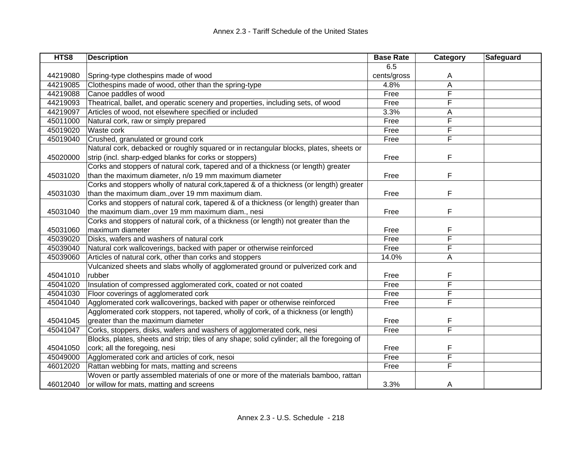| HTS8     | <b>Description</b>                                                                         | <b>Base Rate</b> | Category | Safeguard |
|----------|--------------------------------------------------------------------------------------------|------------------|----------|-----------|
|          |                                                                                            | 6.5              |          |           |
| 44219080 | Spring-type clothespins made of wood                                                       | cents/gross      | A        |           |
| 44219085 | Clothespins made of wood, other than the spring-type                                       | 4.8%             | A        |           |
| 44219088 | Canoe paddles of wood                                                                      | Free             | F        |           |
| 44219093 | Theatrical, ballet, and operatic scenery and properties, including sets, of wood           | Free             | F        |           |
| 44219097 | Articles of wood, not elsewhere specified or included                                      | 3.3%             | A        |           |
| 45011000 | Natural cork, raw or simply prepared                                                       | Free             | F        |           |
| 45019020 | Waste cork                                                                                 | Free             | F        |           |
| 45019040 | Crushed, granulated or ground cork                                                         | Free             | F        |           |
|          | Natural cork, debacked or roughly squared or in rectangular blocks, plates, sheets or      |                  |          |           |
| 45020000 | strip (incl. sharp-edged blanks for corks or stoppers)                                     | Free             | F        |           |
|          | Corks and stoppers of natural cork, tapered and of a thickness (or length) greater         |                  |          |           |
| 45031020 | than the maximum diameter, n/o 19 mm maximum diameter                                      | Free             | F        |           |
|          | Corks and stoppers wholly of natural cork, tapered & of a thickness (or length) greater    |                  |          |           |
| 45031030 | than the maximum diam., over 19 mm maximum diam.                                           | Free             | F        |           |
|          | Corks and stoppers of natural cork, tapered & of a thickness (or length) greater than      |                  |          |           |
| 45031040 | the maximum diam., over 19 mm maximum diam., nesi                                          | Free             | F        |           |
|          | Corks and stoppers of natural cork, of a thickness (or length) not greater than the        |                  |          |           |
| 45031060 | maximum diameter                                                                           | Free             | F        |           |
| 45039020 | Disks, wafers and washers of natural cork                                                  | Free             | F        |           |
| 45039040 | Natural cork wallcoverings, backed with paper or otherwise reinforced                      | Free             | F        |           |
| 45039060 | Articles of natural cork, other than corks and stoppers                                    | 14.0%            | Α        |           |
|          | Vulcanized sheets and slabs wholly of agglomerated ground or pulverized cork and           |                  |          |           |
| 45041010 | rubber                                                                                     | Free             | F        |           |
| 45041020 | Insulation of compressed agglomerated cork, coated or not coated                           | Free             | F        |           |
| 45041030 | Floor coverings of agglomerated cork                                                       | Free             | F        |           |
| 45041040 | Agglomerated cork wallcoverings, backed with paper or otherwise reinforced                 | Free             | F        |           |
|          | Agglomerated cork stoppers, not tapered, wholly of cork, of a thickness (or length)        |                  |          |           |
| 45041045 | greater than the maximum diameter                                                          | Free             | F        |           |
| 45041047 | Corks, stoppers, disks, wafers and washers of agglomerated cork, nesi                      | Free             | F        |           |
|          | Blocks, plates, sheets and strip; tiles of any shape; solid cylinder; all the foregoing of |                  |          |           |
| 45041050 | cork; all the foregoing, nesi                                                              | Free             | F        |           |
| 45049000 | Agglomerated cork and articles of cork, nesoi                                              | Free             | F        |           |
| 46012020 | Rattan webbing for mats, matting and screens                                               | Free             | F        |           |
|          | Woven or partly assembled materials of one or more of the materials bamboo, rattan         |                  |          |           |
| 46012040 | or willow for mats, matting and screens                                                    | 3.3%             | A        |           |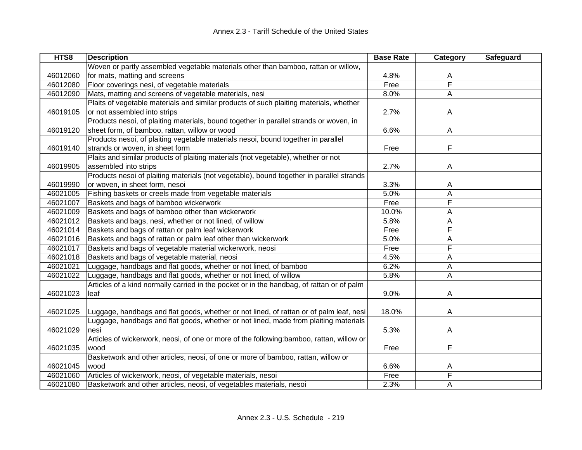| HTS8     | <b>Description</b>                                                                        | <b>Base Rate</b> | Category       | Safeguard |
|----------|-------------------------------------------------------------------------------------------|------------------|----------------|-----------|
|          | Woven or partly assembled vegetable materials other than bamboo, rattan or willow,        |                  |                |           |
| 46012060 | for mats, matting and screens                                                             | 4.8%             | A              |           |
| 46012080 | Floor coverings nesi, of vegetable materials                                              | Free             | F              |           |
| 46012090 | Mats, matting and screens of vegetable materials, nesi                                    | 8.0%             | A              |           |
|          | Plaits of vegetable materials and similar products of such plaiting materials, whether    |                  |                |           |
| 46019105 | or not assembled into strips                                                              | 2.7%             | A              |           |
|          | Products nesoi, of plaiting materials, bound together in parallel strands or woven, in    |                  |                |           |
| 46019120 | sheet form, of bamboo, rattan, willow or wood                                             | 6.6%             | A              |           |
|          | Products nesoi, of plaiting vegetable materials nesoi, bound together in parallel         |                  |                |           |
| 46019140 | strands or woven, in sheet form                                                           | Free             | F              |           |
|          | Plaits and similar products of plaiting materials (not vegetable), whether or not         |                  |                |           |
| 46019905 | assembled into strips                                                                     | 2.7%             | A              |           |
|          | Products nesoi of plaiting materials (not vegetable), bound together in parallel strands  |                  |                |           |
| 46019990 | or woven, in sheet form, nesoi                                                            | 3.3%             | A              |           |
| 46021005 | Fishing baskets or creels made from vegetable materials                                   | 5.0%             | A              |           |
| 46021007 | Baskets and bags of bamboo wickerwork                                                     | Free             | F              |           |
| 46021009 | Baskets and bags of bamboo other than wickerwork                                          | 10.0%            | A              |           |
| 46021012 | Baskets and bags, nesi, whether or not lined, of willow                                   | 5.8%             | A              |           |
| 46021014 | Baskets and bags of rattan or palm leaf wickerwork                                        | Free             | F              |           |
| 46021016 | Baskets and bags of rattan or palm leaf other than wickerwork                             | 5.0%             | Α              |           |
| 46021017 | Baskets and bags of vegetable material wickerwork, neosi                                  | Free             | F              |           |
| 46021018 | Baskets and bags of vegetable material, neosi                                             | 4.5%             | A              |           |
| 46021021 | Luggage, handbags and flat goods, whether or not lined, of bamboo                         | 6.2%             | $\overline{A}$ |           |
| 46021022 | Luggage, handbags and flat goods, whether or not lined, of willow                         | 5.8%             | A              |           |
|          | Articles of a kind normally carried in the pocket or in the handbag, of rattan or of palm |                  |                |           |
| 46021023 | leaf                                                                                      | 9.0%             | A              |           |
|          |                                                                                           |                  |                |           |
| 46021025 | Luggage, handbags and flat goods, whether or not lined, of rattan or of palm leaf, nesi   | 18.0%            | A              |           |
|          | Luggage, handbags and flat goods, whether or not lined, made from plaiting materials      |                  |                |           |
| 46021029 | nesi                                                                                      | 5.3%             | A              |           |
|          | Articles of wickerwork, neosi, of one or more of the following:bamboo, rattan, willow or  |                  |                |           |
| 46021035 | wood                                                                                      | Free             | F              |           |
|          | Basketwork and other articles, neosi, of one or more of bamboo, rattan, willow or         |                  |                |           |
| 46021045 | wood                                                                                      | 6.6%             | A              |           |
| 46021060 | Articles of wickerwork, neosi, of vegetable materials, nesoi                              | Free             | F              |           |
| 46021080 | Basketwork and other articles, neosi, of vegetables materials, nesoi                      | 2.3%             | A              |           |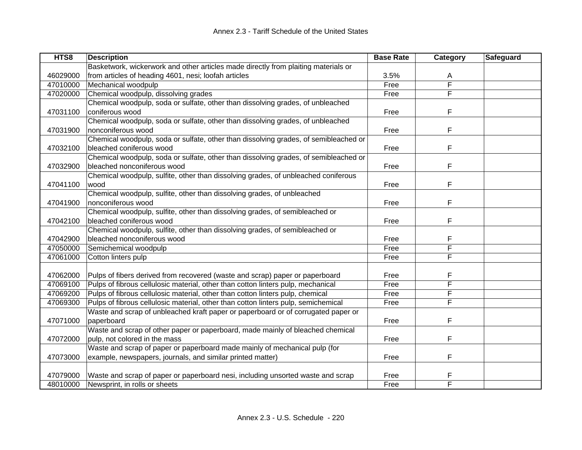| HTS8     | <b>Description</b>                                                                   | <b>Base Rate</b> | Category | Safeguard |
|----------|--------------------------------------------------------------------------------------|------------------|----------|-----------|
|          | Basketwork, wickerwork and other articles made directly from plaiting materials or   |                  |          |           |
| 46029000 | from articles of heading 4601, nesi; loofah articles                                 | 3.5%             | A        |           |
| 47010000 | Mechanical woodpulp                                                                  | Free             | F        |           |
| 47020000 | Chemical woodpulp, dissolving grades                                                 | Free             | F        |           |
|          | Chemical woodpulp, soda or sulfate, other than dissolving grades, of unbleached      |                  |          |           |
| 47031100 | coniferous wood                                                                      | Free             | F        |           |
|          | Chemical woodpulp, soda or sulfate, other than dissolving grades, of unbleached      |                  |          |           |
| 47031900 | nonconiferous wood                                                                   | Free             | F        |           |
|          | Chemical woodpulp, soda or sulfate, other than dissolving grades, of semibleached or |                  |          |           |
| 47032100 | bleached coniferous wood                                                             | Free             | F        |           |
|          | Chemical woodpulp, soda or sulfate, other than dissolving grades, of semibleached or |                  |          |           |
| 47032900 | bleached nonconiferous wood                                                          | Free             | F        |           |
|          | Chemical woodpulp, sulfite, other than dissolving grades, of unbleached coniferous   |                  |          |           |
| 47041100 | wood                                                                                 | Free             | F        |           |
|          | Chemical woodpulp, sulfite, other than dissolving grades, of unbleached              |                  |          |           |
| 47041900 | nonconiferous wood                                                                   | Free             | F        |           |
|          | Chemical woodpulp, sulfite, other than dissolving grades, of semibleached or         |                  |          |           |
| 47042100 | bleached coniferous wood                                                             | Free             | F        |           |
|          | Chemical woodpulp, sulfite, other than dissolving grades, of semibleached or         |                  |          |           |
| 47042900 | bleached nonconiferous wood                                                          | Free             | F        |           |
| 47050000 | Semichemical woodpulp                                                                | Free             | F        |           |
| 47061000 | Cotton linters pulp                                                                  | Free             | F        |           |
|          |                                                                                      |                  |          |           |
| 47062000 | Pulps of fibers derived from recovered (waste and scrap) paper or paperboard         | Free             | F        |           |
| 47069100 | Pulps of fibrous cellulosic material, other than cotton linters pulp, mechanical     | Free             | F        |           |
| 47069200 | Pulps of fibrous cellulosic material, other than cotton linters pulp, chemical       | Free             | F        |           |
| 47069300 | Pulps of fibrous cellulosic material, other than cotton linters pulp, semichemical   | Free             | F        |           |
|          | Waste and scrap of unbleached kraft paper or paperboard or of corrugated paper or    |                  |          |           |
| 47071000 | paperboard                                                                           | Free             | F        |           |
|          | Waste and scrap of other paper or paperboard, made mainly of bleached chemical       |                  |          |           |
| 47072000 | pulp, not colored in the mass                                                        | Free             | F        |           |
|          | Waste and scrap of paper or paperboard made mainly of mechanical pulp (for           |                  |          |           |
| 47073000 | example, newspapers, journals, and similar printed matter)                           | Free             | F        |           |
|          |                                                                                      |                  |          |           |
| 47079000 | Waste and scrap of paper or paperboard nesi, including unsorted waste and scrap      | Free             |          |           |
| 48010000 | Newsprint, in rolls or sheets                                                        | Free             | F        |           |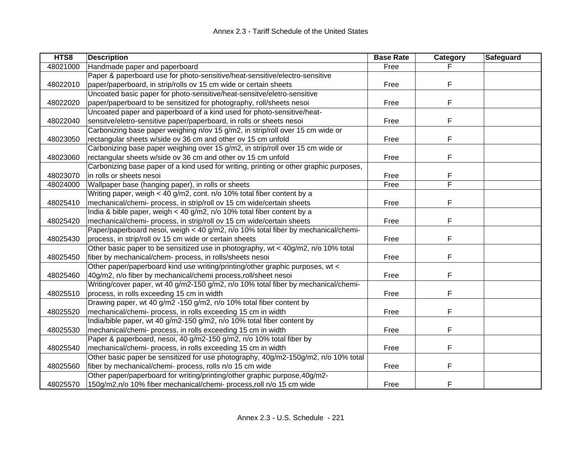| HTS8     | <b>Description</b>                                                                     | <b>Base Rate</b> | Category | Safeguard |
|----------|----------------------------------------------------------------------------------------|------------------|----------|-----------|
| 48021000 | Handmade paper and paperboard                                                          | Free             |          |           |
|          | Paper & paperboard use for photo-sensitive/heat-sensitive/electro-sensitive            |                  |          |           |
| 48022010 | paper/paperboard, in strip/rolls ov 15 cm wide or certain sheets                       | Free             | F        |           |
|          | Uncoated basic paper for photo-sensitive/heat-sensitve/eletro-sensitive                |                  |          |           |
| 48022020 | paper/paperboard to be sensitized for photography, roll/sheets nesoi                   | Free             | F        |           |
|          | Uncoated paper and paperboard of a kind used for photo-sensitive/heat-                 |                  |          |           |
| 48022040 | sensitve/eletro-sensitive paper/paperboard, in rolls or sheets nesoi                   | Free             | F        |           |
|          | Carbonizing base paper weighing n/ov 15 g/m2, in strip/roll over 15 cm wide or         |                  |          |           |
| 48023050 | rectangular sheets w/side ov 36 cm and other ov 15 cm unfold                           | Free             | F        |           |
|          | Carbonizing base paper weighing over 15 g/m2, in strip/roll over 15 cm wide or         |                  |          |           |
| 48023060 | rectangular sheets w/side ov 36 cm and other ov 15 cm unfold                           | Free             | F        |           |
|          | Carbonizing base paper of a kind used for writing, printing or other graphic purposes, |                  |          |           |
| 48023070 | in rolls or sheets nesoi                                                               | Free             | F        |           |
| 48024000 | Wallpaper base (hanging paper), in rolls or sheets                                     | Free             | F        |           |
|          | Writing paper, weigh < 40 g/m2, cont. n/o 10% total fiber content by a                 |                  |          |           |
| 48025410 | mechanical/chemi- process, in strip/roll ov 15 cm wide/certain sheets                  | Free             | F        |           |
|          | India & bible paper, weigh < 40 g/m2, n/o 10% total fiber content by a                 |                  |          |           |
| 48025420 | mechanical/chemi- process, in strip/roll ov 15 cm wide/certain sheets                  | Free             | F        |           |
|          | Paper/paperboard nesoi, weigh < 40 g/m2, n/o 10% total fiber by mechanical/chemi-      |                  |          |           |
| 48025430 | process, in strip/roll ov 15 cm wide or certain sheets                                 | Free             | F        |           |
|          | Other basic paper to be sensitized use in photography, wt < 40g/m2, n/o 10% total      |                  |          |           |
| 48025450 | fiber by mechanical/chem- process, in rolls/sheets nesoi                               | Free             | F        |           |
|          | Other paper/paperboard kind use writing/printing/other graphic purposes, wt <          |                  |          |           |
| 48025460 | 40g/m2, n/o fiber by mechanical/chemi process, roll/sheet nesoi                        | Free             | F        |           |
|          | Writing/cover paper, wt 40 g/m2-150 g/m2, n/o 10% total fiber by mechanical/chemi-     |                  |          |           |
| 48025510 | process, in rolls exceeding 15 cm in width                                             | Free             | F        |           |
|          | Drawing paper, wt 40 g/m2 -150 g/m2, n/o 10% total fiber content by                    |                  |          |           |
| 48025520 | mechanical/chemi- process, in rolls exceeding 15 cm in width                           | Free             | F        |           |
|          | India/bible paper, wt 40 g/m2-150 g/m2, n/o 10% total fiber content by                 |                  |          |           |
| 48025530 | mechanical/chemi- process, in rolls exceeding 15 cm in width                           | Free             | F        |           |
|          | Paper & paperboard, nesoi, 40 g/m2-150 g/m2, n/o 10% total fiber by                    |                  |          |           |
| 48025540 | mechanical/chemi- process, in rolls exceeding 15 cm in width                           | Free             | F        |           |
|          | Other basic paper be sensitized for use photography, 40g/m2-150g/m2, n/o 10% total     |                  |          |           |
| 48025560 | fiber by mechanical/chemi- process, rolls n/o 15 cm wide                               | Free             | F        |           |
|          | Other paper/paperboard for writing/printing/other graphic purpose, 40g/m2-             |                  |          |           |
| 48025570 | 150g/m2,n/o 10% fiber mechanical/chemi- process,roll n/o 15 cm wide                    | Free             | F        |           |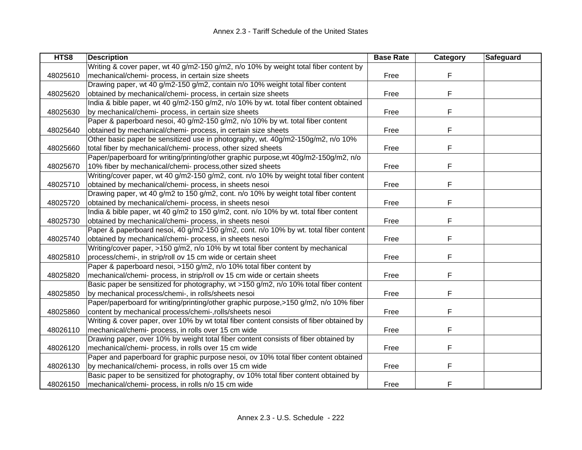| HTS8     | <b>Description</b>                                                                      | <b>Base Rate</b> | Category | Safeguard |
|----------|-----------------------------------------------------------------------------------------|------------------|----------|-----------|
|          | Writing & cover paper, wt 40 g/m2-150 g/m2, n/o 10% by weight total fiber content by    |                  |          |           |
| 48025610 | mechanical/chemi- process, in certain size sheets                                       | Free             | F        |           |
|          | Drawing paper, wt 40 g/m2-150 g/m2, contain n/o 10% weight total fiber content          |                  |          |           |
| 48025620 | obtained by mechanical/chemi- process, in certain size sheets                           | Free             | F        |           |
|          | India & bible paper, wt 40 g/m2-150 g/m2, n/o 10% by wt. total fiber content obtained   |                  |          |           |
| 48025630 | by mechanical/chemi- process, in certain size sheets                                    | Free             | F        |           |
|          | Paper & paperboard nesoi, 40 g/m2-150 g/m2, n/o 10% by wt. total fiber content          |                  |          |           |
| 48025640 | obtained by mechanical/chemi- process, in certain size sheets                           | Free             | F        |           |
|          | Other basic paper be sensitized use in photography, wt. 40g/m2-150g/m2, n/o 10%         |                  |          |           |
| 48025660 | total fiber by mechanical/chemi- process, other sized sheets                            | Free             | F        |           |
|          | Paper/paperboard for writing/printing/other graphic purpose, wt 40g/m2-150g/m2, n/o     |                  |          |           |
| 48025670 | 10% fiber by mechanical/chemi- process, other sized sheets                              | Free             | F        |           |
|          | Writing/cover paper, wt 40 g/m2-150 g/m2, cont. n/o 10% by weight total fiber content   |                  |          |           |
| 48025710 | obtained by mechanical/chemi- process, in sheets nesoi                                  | Free             | F        |           |
|          | Drawing paper, wt 40 g/m2 to 150 g/m2, cont. n/o 10% by weight total fiber content      |                  |          |           |
| 48025720 | obtained by mechanical/chemi- process, in sheets nesoi                                  | Free             | F        |           |
|          | India & bible paper, wt 40 g/m2 to 150 g/m2, cont. n/o 10% by wt. total fiber content   |                  |          |           |
| 48025730 | obtained by mechanical/chemi- process, in sheets nesoi                                  | Free             | F        |           |
|          | Paper & paperboard nesoi, 40 g/m2-150 g/m2, cont. n/o 10% by wt. total fiber content    |                  |          |           |
| 48025740 | obtained by mechanical/chemi- process, in sheets nesoi                                  | Free             | F        |           |
|          | Writing/cover paper, >150 g/m2, n/o 10% by wt total fiber content by mechanical         |                  |          |           |
| 48025810 | process/chemi-, in strip/roll ov 15 cm wide or certain sheet                            | Free             | F        |           |
|          | Paper & paperboard nesoi, >150 g/m2, n/o 10% total fiber content by                     |                  |          |           |
| 48025820 | mechanical/chemi- process, in strip/roll ov 15 cm wide or certain sheets                | Free             | F        |           |
|          | Basic paper be sensitized for photography, wt >150 g/m2, n/o 10% total fiber content    |                  |          |           |
| 48025850 | by mechanical process/chemi-, in rolls/sheets nesoi                                     | Free             | F        |           |
|          | Paper/paperboard for writing/printing/other graphic purpose,>150 g/m2, n/o 10% fiber    |                  |          |           |
| 48025860 | content by mechanical process/chemi-,rolls/sheets nesoi                                 | Free             | F        |           |
|          | Writing & cover paper, over 10% by wt total fiber content consists of fiber obtained by |                  |          |           |
| 48026110 | mechanical/chemi- process, in rolls over 15 cm wide                                     | Free             | F        |           |
|          | Drawing paper, over 10% by weight total fiber content consists of fiber obtained by     |                  |          |           |
| 48026120 | mechanical/chemi- process, in rolls over 15 cm wide                                     | Free             | F        |           |
|          | Paper and paperboard for graphic purpose nesoi, ov 10% total fiber content obtained     |                  |          |           |
| 48026130 | by mechanical/chemi- process, in rolls over 15 cm wide                                  | Free             | F        |           |
|          | Basic paper to be sensitized for photography, ov 10% total fiber content obtained by    |                  |          |           |
| 48026150 | mechanical/chemi- process, in rolls n/o 15 cm wide                                      | Free             | F        |           |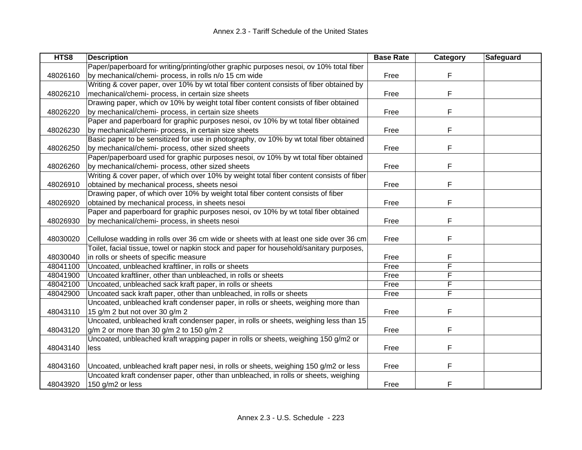| HTS8     | <b>Description</b>                                                                       | <b>Base Rate</b> | Category | Safeguard |
|----------|------------------------------------------------------------------------------------------|------------------|----------|-----------|
|          | Paper/paperboard for writing/printing/other graphic purposes nesoi, ov 10% total fiber   |                  |          |           |
| 48026160 | by mechanical/chemi- process, in rolls n/o 15 cm wide                                    | Free             | F        |           |
|          | Writing & cover paper, over 10% by wt total fiber content consists of fiber obtained by  |                  |          |           |
| 48026210 | mechanical/chemi- process, in certain size sheets                                        | Free             | F        |           |
|          | Drawing paper, which ov 10% by weight total fiber content consists of fiber obtained     |                  |          |           |
| 48026220 | by mechanical/chemi- process, in certain size sheets                                     | Free             | F        |           |
|          | Paper and paperboard for graphic purposes nesoi, ov 10% by wt total fiber obtained       |                  |          |           |
| 48026230 | by mechanical/chemi- process, in certain size sheets                                     | Free             | F        |           |
|          | Basic paper to be sensitized for use in photography, ov 10% by wt total fiber obtained   |                  |          |           |
| 48026250 | by mechanical/chemi- process, other sized sheets                                         | Free             | F        |           |
|          | Paper/paperboard used for graphic purposes nesoi, ov 10% by wt total fiber obtained      |                  |          |           |
| 48026260 | by mechanical/chemi- process, other sized sheets                                         | Free             | F        |           |
|          | Writing & cover paper, of which over 10% by weight total fiber content consists of fiber |                  |          |           |
| 48026910 | obtained by mechanical process, sheets nesoi                                             | Free             | F        |           |
|          | Drawing paper, of which over 10% by weight total fiber content consists of fiber         |                  |          |           |
| 48026920 | obtained by mechanical process, in sheets nesoi                                          | Free             | F        |           |
|          | Paper and paperboard for graphic purposes nesoi, ov 10% by wt total fiber obtained       |                  |          |           |
| 48026930 | by mechanical/chemi- process, in sheets nesoi                                            | Free             | F        |           |
|          |                                                                                          |                  |          |           |
| 48030020 | Cellulose wadding in rolls over 36 cm wide or sheets with at least one side over 36 cm   | Free             | F        |           |
|          | Toilet, facial tissue, towel or napkin stock and paper for household/sanitary purposes,  |                  |          |           |
| 48030040 | in rolls or sheets of specific measure                                                   | Free             | F        |           |
| 48041100 | Uncoated, unbleached kraftliner, in rolls or sheets                                      | Free             | F        |           |
| 48041900 | Uncoated kraftliner, other than unbleached, in rolls or sheets                           | Free             | F        |           |
| 48042100 | Uncoated, unbleached sack kraft paper, in rolls or sheets                                | Free             | F        |           |
| 48042900 | Uncoated sack kraft paper, other than unbleached, in rolls or sheets                     | Free             | F        |           |
|          | Uncoated, unbleached kraft condenser paper, in rolls or sheets, weighing more than       |                  |          |           |
| 48043110 | 15 g/m 2 but not over 30 g/m 2                                                           | Free             | F        |           |
|          | Uncoated, unbleached kraft condenser paper, in rolls or sheets, weighing less than 15    |                  |          |           |
| 48043120 | $g/m$ 2 or more than 30 $g/m$ 2 to 150 $g/m$ 2                                           | Free             | F        |           |
|          | Uncoated, unbleached kraft wrapping paper in rolls or sheets, weighing 150 g/m2 or       |                  |          |           |
| 48043140 | less                                                                                     | Free             | F.       |           |
|          |                                                                                          |                  |          |           |
| 48043160 | Uncoated, unbleached kraft paper nesi, in rolls or sheets, weighing 150 g/m2 or less     | Free             | F        |           |
|          | Uncoated kraft condenser paper, other than unbleached, in rolls or sheets, weighing      |                  |          |           |
| 48043920 | 150 g/m2 or less                                                                         | Free             | F        |           |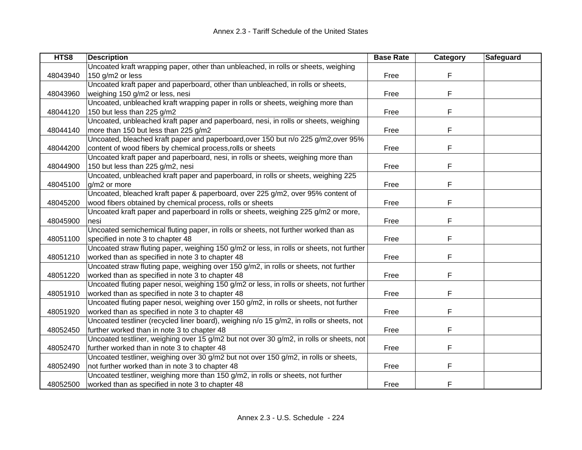| HTS8     | <b>Description</b>                                                                       | <b>Base Rate</b> | Category | Safeguard |
|----------|------------------------------------------------------------------------------------------|------------------|----------|-----------|
|          | Uncoated kraft wrapping paper, other than unbleached, in rolls or sheets, weighing       |                  |          |           |
| 48043940 | 150 g/m2 or less                                                                         | Free             | F        |           |
|          | Uncoated kraft paper and paperboard, other than unbleached, in rolls or sheets,          |                  |          |           |
| 48043960 | weighing 150 g/m2 or less, nesi                                                          | Free             | F        |           |
|          | Uncoated, unbleached kraft wrapping paper in rolls or sheets, weighing more than         |                  |          |           |
| 48044120 | 150 but less than 225 g/m2                                                               | Free             | F        |           |
|          | Uncoated, unbleached kraft paper and paperboard, nesi, in rolls or sheets, weighing      |                  |          |           |
| 48044140 | more than 150 but less than 225 g/m2                                                     | Free             | F        |           |
|          | Uncoated, bleached kraft paper and paperboard, over 150 but n/o 225 g/m2, over 95%       |                  |          |           |
| 48044200 | content of wood fibers by chemical process, rolls or sheets                              | Free             | F        |           |
|          | Uncoated kraft paper and paperboard, nesi, in rolls or sheets, weighing more than        |                  |          |           |
| 48044900 | 150 but less than 225 g/m2, nesi                                                         | Free             | F        |           |
|          | Uncoated, unbleached kraft paper and paperboard, in rolls or sheets, weighing 225        |                  |          |           |
| 48045100 | g/m2 or more                                                                             | Free             | F        |           |
|          | Uncoated, bleached kraft paper & paperboard, over 225 g/m2, over 95% content of          |                  |          |           |
| 48045200 | wood fibers obtained by chemical process, rolls or sheets                                | Free             | F        |           |
|          | Uncoated kraft paper and paperboard in rolls or sheets, weighing 225 g/m2 or more,       |                  |          |           |
| 48045900 | nesi                                                                                     | Free             | F        |           |
|          | Uncoated semichemical fluting paper, in rolls or sheets, not further worked than as      |                  |          |           |
| 48051100 | specified in note 3 to chapter 48                                                        | Free             | F        |           |
|          | Uncoated straw fluting paper, weighing 150 g/m2 or less, in rolls or sheets, not further |                  |          |           |
| 48051210 | worked than as specified in note 3 to chapter 48                                         | Free             | F        |           |
|          | Uncoated straw fluting pape, weighing over 150 g/m2, in rolls or sheets, not further     |                  |          |           |
| 48051220 | worked than as specified in note 3 to chapter 48                                         | Free             | F        |           |
|          | Uncoated fluting paper nesoi, weighing 150 g/m2 or less, in rolls or sheets, not further |                  |          |           |
| 48051910 | worked than as specified in note 3 to chapter 48                                         | Free             | F        |           |
|          | Uncoated fluting paper nesoi, weighing over 150 g/m2, in rolls or sheets, not further    |                  |          |           |
| 48051920 | worked than as specified in note 3 to chapter 48                                         | Free             | F        |           |
|          | Uncoated testliner (recycled liner board), weighing n/o 15 g/m2, in rolls or sheets, not |                  |          |           |
| 48052450 | further worked than in note 3 to chapter 48                                              | Free             | F        |           |
|          | Uncoated testliner, weighing over 15 g/m2 but not over 30 g/m2, in rolls or sheets, not  |                  |          |           |
| 48052470 | further worked than in note 3 to chapter 48                                              | Free             | F.       |           |
|          | Uncoated testliner, weighing over 30 g/m2 but not over 150 g/m2, in rolls or sheets,     |                  |          |           |
| 48052490 | not further worked than in note 3 to chapter 48                                          | Free             | F        |           |
|          | Uncoated testliner, weighing more than 150 g/m2, in rolls or sheets, not further         |                  |          |           |
| 48052500 | worked than as specified in note 3 to chapter 48                                         | Free             | F        |           |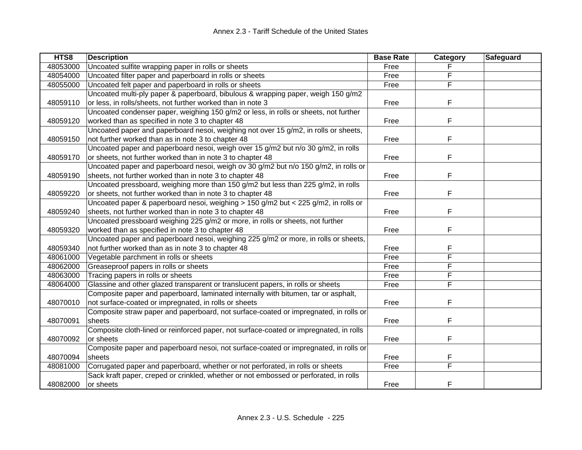| HTS8     | <b>Description</b>                                                                     | <b>Base Rate</b> | Category                | Safeguard |
|----------|----------------------------------------------------------------------------------------|------------------|-------------------------|-----------|
| 48053000 | Uncoated sulfite wrapping paper in rolls or sheets                                     | Free             |                         |           |
| 48054000 | Uncoated filter paper and paperboard in rolls or sheets                                | Free             | F                       |           |
| 48055000 | Uncoated felt paper and paperboard in rolls or sheets                                  | Free             | F                       |           |
|          | Uncoated multi-ply paper & paperboard, bibulous & wrapping paper, weigh 150 g/m2       |                  |                         |           |
| 48059110 | or less, in rolls/sheets, not further worked than in note 3                            | Free             | F                       |           |
|          | Uncoated condenser paper, weighing 150 g/m2 or less, in rolls or sheets, not further   |                  |                         |           |
| 48059120 | worked than as specified in note 3 to chapter 48                                       | Free             | F                       |           |
|          | Uncoated paper and paperboard nesoi, weighing not over 15 g/m2, in rolls or sheets,    |                  |                         |           |
| 48059150 | not further worked than as in note 3 to chapter 48                                     | Free             | F                       |           |
|          | Uncoated paper and paperboard nesoi, weigh over 15 g/m2 but n/o 30 g/m2, in rolls      |                  |                         |           |
| 48059170 | or sheets, not further worked than in note 3 to chapter 48                             | Free             | F                       |           |
|          | Uncoated paper and paperboard nesoi, weigh ov 30 g/m2 but n/o 150 g/m2, in rolls or    |                  |                         |           |
| 48059190 | sheets, not further worked than in note 3 to chapter 48                                | Free             | F                       |           |
|          | Uncoated pressboard, weighing more than 150 g/m2 but less than 225 g/m2, in rolls      |                  |                         |           |
| 48059220 | or sheets, not further worked than in note 3 to chapter 48                             | Free             | F                       |           |
|          | Uncoated paper & paperboard nesoi, weighing > 150 g/m2 but < 225 g/m2, in rolls or     |                  |                         |           |
| 48059240 | sheets, not further worked than in note 3 to chapter 48                                | Free             | F                       |           |
|          | Uncoated pressboard weighing 225 g/m2 or more, in rolls or sheets, not further         |                  |                         |           |
| 48059320 | worked than as specified in note 3 to chapter 48                                       | Free             | F                       |           |
|          | Uncoated paper and paperboard nesoi, weighing 225 g/m2 or more, in rolls or sheets,    |                  |                         |           |
| 48059340 | not further worked than as in note 3 to chapter 48                                     | Free             | F                       |           |
| 48061000 | Vegetable parchment in rolls or sheets                                                 | Free             | F                       |           |
| 48062000 | Greaseproof papers in rolls or sheets                                                  | Free             | F                       |           |
| 48063000 | Tracing papers in rolls or sheets                                                      | Free             | F                       |           |
| 48064000 | Glassine and other glazed transparent or translucent papers, in rolls or sheets        | Free             | F                       |           |
|          | Composite paper and paperboard, laminated internally with bitumen, tar or asphalt,     |                  |                         |           |
| 48070010 | not surface-coated or impregnated, in rolls or sheets                                  | Free             | F                       |           |
|          | Composite straw paper and paperboard, not surface-coated or impregnated, in rolls or   |                  |                         |           |
| 48070091 | sheets                                                                                 | Free             | F                       |           |
|          | Composite cloth-lined or reinforced paper, not surface-coated or impregnated, in rolls |                  |                         |           |
| 48070092 | or sheets                                                                              | Free             | F                       |           |
|          | Composite paper and paperboard nesoi, not surface-coated or impregnated, in rolls or   |                  |                         |           |
| 48070094 | sheets                                                                                 | Free             | F                       |           |
| 48081000 | Corrugated paper and paperboard, whether or not perforated, in rolls or sheets         | Free             | $\overline{\mathsf{F}}$ |           |
|          | Sack kraft paper, creped or crinkled, whether or not embossed or perforated, in rolls  |                  |                         |           |
| 48082000 | or sheets                                                                              | Free             | F                       |           |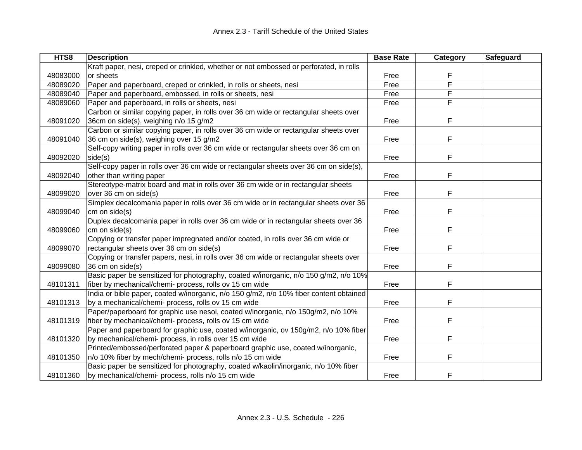| HTS8     | <b>Description</b>                                                                     | <b>Base Rate</b> | Category | Safeguard |
|----------|----------------------------------------------------------------------------------------|------------------|----------|-----------|
|          | Kraft paper, nesi, creped or crinkled, whether or not embossed or perforated, in rolls |                  |          |           |
| 48083000 | or sheets                                                                              | Free             | F        |           |
| 48089020 | Paper and paperboard, creped or crinkled, in rolls or sheets, nesi                     | Free             | F        |           |
| 48089040 | Paper and paperboard, embossed, in rolls or sheets, nesi                               | Free             | F        |           |
| 48089060 | Paper and paperboard, in rolls or sheets, nesi                                         | Free             | F        |           |
|          | Carbon or similar copying paper, in rolls over 36 cm wide or rectangular sheets over   |                  |          |           |
| 48091020 | 36cm on side(s), weighing n/o 15 g/m2                                                  | Free             | F        |           |
|          | Carbon or similar copying paper, in rolls over 36 cm wide or rectangular sheets over   |                  |          |           |
| 48091040 | 36 cm on side(s), weighing over 15 g/m2                                                | Free             | F        |           |
|          | Self-copy writing paper in rolls over 36 cm wide or rectangular sheets over 36 cm on   |                  |          |           |
| 48092020 | side(s)                                                                                | Free             | F        |           |
|          | Self-copy paper in rolls over 36 cm wide or rectangular sheets over 36 cm on side(s),  |                  |          |           |
| 48092040 | other than writing paper                                                               | Free             | F        |           |
|          | Stereotype-matrix board and mat in rolls over 36 cm wide or in rectangular sheets      |                  |          |           |
| 48099020 | over 36 cm on side(s)                                                                  | Free             | F        |           |
|          | Simplex decalcomania paper in rolls over 36 cm wide or in rectangular sheets over 36   |                  |          |           |
| 48099040 | cm on side(s)                                                                          | Free             | F        |           |
|          | Duplex decalcomania paper in rolls over 36 cm wide or in rectangular sheets over 36    |                  |          |           |
| 48099060 | cm on side(s)                                                                          | Free             | F        |           |
|          | Copying or transfer paper impregnated and/or coated, in rolls over 36 cm wide or       |                  |          |           |
| 48099070 | rectangular sheets over 36 cm on side(s)                                               | Free             | F        |           |
|          | Copying or transfer papers, nesi, in rolls over 36 cm wide or rectangular sheets over  |                  |          |           |
| 48099080 | 36 cm on side(s)                                                                       | Free             | F        |           |
|          | Basic paper be sensitized for photography, coated w/inorganic, n/o 150 g/m2, n/o 10%   |                  |          |           |
| 48101311 | fiber by mechanical/chemi- process, rolls ov 15 cm wide                                | Free             | F        |           |
|          | India or bible paper, coated w/inorganic, n/o 150 g/m2, n/o 10% fiber content obtained |                  |          |           |
| 48101313 | by a mechanical/chemi- process, rolls ov 15 cm wide                                    | Free             | F        |           |
|          | Paper/paperboard for graphic use nesoi, coated w/inorganic, n/o 150g/m2, n/o 10%       |                  |          |           |
| 48101319 | fiber by mechanical/chemi- process, rolls ov 15 cm wide                                | Free             | F        |           |
|          | Paper and paperboard for graphic use, coated w/inorganic, ov 150g/m2, n/o 10% fiber    |                  |          |           |
| 48101320 | by mechanical/chemi- process, in rolls over 15 cm wide                                 | Free             | F        |           |
|          | Printed/embossed/perforated paper & paperboard graphic use, coated w/inorganic,        |                  |          |           |
| 48101350 | n/o 10% fiber by mech/chemi- process, rolls n/o 15 cm wide                             | Free             | F        |           |
|          | Basic paper be sensitized for photography, coated w/kaolin/inorganic, n/o 10% fiber    |                  |          |           |
| 48101360 | by mechanical/chemi- process, rolls n/o 15 cm wide                                     | Free             | F        |           |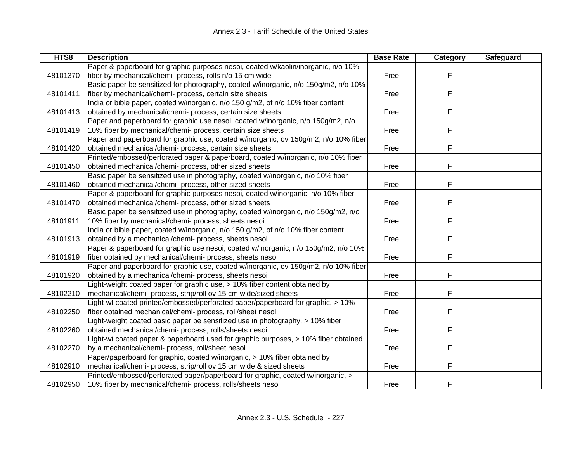| HTS8     | <b>Description</b>                                                                  | <b>Base Rate</b> | Category | Safeguard |
|----------|-------------------------------------------------------------------------------------|------------------|----------|-----------|
|          | Paper & paperboard for graphic purposes nesoi, coated w/kaolin/inorganic, n/o 10%   |                  |          |           |
| 48101370 | fiber by mechanical/chemi- process, rolls n/o 15 cm wide                            | Free             | F        |           |
|          | Basic paper be sensitized for photography, coated w/inorganic, n/o 150g/m2, n/o 10% |                  |          |           |
| 48101411 | fiber by mechanical/chemi- process, certain size sheets                             | Free             | F        |           |
|          | India or bible paper, coated w/inorganic, n/o 150 g/m2, of n/o 10% fiber content    |                  |          |           |
| 48101413 | obtained by mechanical/chemi- process, certain size sheets                          | Free             | F        |           |
|          | Paper and paperboard for graphic use nesoi, coated w/inorganic, n/o 150g/m2, n/o    |                  |          |           |
| 48101419 | 10% fiber by mechanical/chemi- process, certain size sheets                         | Free             | F        |           |
|          | Paper and paperboard for graphic use, coated w/inorganic, ov 150g/m2, n/o 10% fiber |                  |          |           |
| 48101420 | obtained mechanical/chemi- process, certain size sheets                             | Free             | F        |           |
|          | Printed/embossed/perforated paper & paperboard, coated w/inorganic, n/o 10% fiber   |                  |          |           |
| 48101450 | obtained mechanical/chemi- process, other sized sheets                              | Free             | F        |           |
|          | Basic paper be sensitized use in photography, coated w/inorganic, n/o 10% fiber     |                  |          |           |
| 48101460 | obtained mechanical/chemi- process, other sized sheets                              | Free             | F        |           |
|          | Paper & paperboard for graphic purposes nesoi, coated w/inorganic, n/o 10% fiber    |                  |          |           |
| 48101470 | obtained mechanical/chemi- process, other sized sheets                              | Free             | F        |           |
|          | Basic paper be sensitized use in photography, coated w/inorganic, n/o 150g/m2, n/o  |                  |          |           |
| 48101911 | 10% fiber by mechanical/chemi- process, sheets nesoi                                | Free             | F        |           |
|          | India or bible paper, coated w/inorganic, n/o 150 g/m2, of n/o 10% fiber content    |                  |          |           |
| 48101913 | obtained by a mechanical/chemi- process, sheets nesoi                               | Free             | F        |           |
|          | Paper & paperboard for graphic use nesoi, coated w/inorganic, n/o 150g/m2, n/o 10%  |                  |          |           |
| 48101919 | fiber obtained by mechanical/chemi- process, sheets nesoi                           | Free             | F        |           |
|          | Paper and paperboard for graphic use, coated w/inorganic, ov 150g/m2, n/o 10% fiber |                  |          |           |
| 48101920 | obtained by a mechanical/chemi- process, sheets nesoi                               | Free             | F        |           |
|          | Light-weight coated paper for graphic use, > 10% fiber content obtained by          |                  |          |           |
| 48102210 | mechanical/chemi- process, strip/roll ov 15 cm wide/sized sheets                    | Free             | F        |           |
|          | Light-wt coated printed/embossed/perforated paper/paperboard for graphic, > 10%     |                  |          |           |
| 48102250 | fiber obtained mechanical/chemi- process, roll/sheet nesoi                          | Free             | F        |           |
|          | Light-weight coated basic paper be sensitized use in photography, > 10% fiber       |                  |          |           |
| 48102260 | obtained mechanical/chemi- process, rolls/sheets nesoi                              | Free             | F        |           |
|          | Light-wt coated paper & paperboard used for graphic purposes, > 10% fiber obtained  |                  |          |           |
| 48102270 | by a mechanical/chemi- process, roll/sheet nesoi                                    | Free             | F        |           |
|          | Paper/paperboard for graphic, coated w/inorganic, > 10% fiber obtained by           |                  |          |           |
| 48102910 | mechanical/chemi- process, strip/roll ov 15 cm wide & sized sheets                  | Free             | F        |           |
|          | Printed/embossed/perforated paper/paperboard for graphic, coated w/inorganic, >     |                  |          |           |
| 48102950 | 10% fiber by mechanical/chemi- process, rolls/sheets nesoi                          | Free             | F        |           |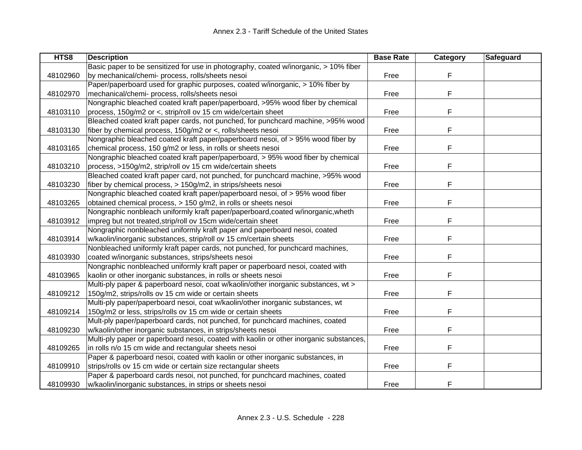| HTS8     | <b>Description</b>                                                                     | <b>Base Rate</b> | Category | Safeguard |
|----------|----------------------------------------------------------------------------------------|------------------|----------|-----------|
|          | Basic paper to be sensitized for use in photography, coated w/inorganic, > 10% fiber   |                  |          |           |
| 48102960 | by mechanical/chemi- process, rolls/sheets nesoi                                       | Free             | F        |           |
|          | Paper/paperboard used for graphic purposes, coated w/inorganic, > 10% fiber by         |                  |          |           |
| 48102970 | mechanical/chemi- process, rolls/sheets nesoi                                          | Free             | F        |           |
|          | Nongraphic bleached coated kraft paper/paperboard, >95% wood fiber by chemical         |                  |          |           |
| 48103110 | process, 150g/m2 or <, strip/roll ov 15 cm wide/certain sheet                          | Free             | F        |           |
|          | Bleached coated kraft paper cards, not punched, for punchcard machine, >95% wood       |                  |          |           |
| 48103130 | fiber by chemical process, 150g/m2 or <, rolls/sheets nesoi                            | Free             | F        |           |
|          | Nongraphic bleached coated kraft paper/paperboard nesoi, of > 95% wood fiber by        |                  |          |           |
| 48103165 | chemical process, 150 g/m2 or less, in rolls or sheets nesoi                           | Free             | F        |           |
|          | Nongraphic bleached coated kraft paper/paperboard, > 95% wood fiber by chemical        |                  |          |           |
| 48103210 | process, >150g/m2, strip/roll ov 15 cm wide/certain sheets                             | Free             | F        |           |
|          | Bleached coated kraft paper card, not punched, for punchcard machine, >95% wood        |                  |          |           |
| 48103230 | fiber by chemical process, > 150g/m2, in strips/sheets nesoi                           | Free             | F        |           |
|          | Nongraphic bleached coated kraft paper/paperboard nesoi, of > 95% wood fiber           |                  |          |           |
| 48103265 | obtained chemical process, > 150 g/m2, in rolls or sheets nesoi                        | Free             | F        |           |
|          | Nongraphic nonbleach uniformly kraft paper/paperboard,coated w/inorganic,wheth         |                  |          |           |
| 48103912 | impreg but not treated, strip/roll ov 15cm wide/certain sheet                          | Free             | F        |           |
|          | Nongraphic nonbleached uniformly kraft paper and paperboard nesoi, coated              |                  |          |           |
| 48103914 | w/kaolin/inorganic substances, strip/roll ov 15 cm/certain sheets                      | Free             | F        |           |
|          | Nonbleached uniformly kraft paper cards, not punched, for punchcard machines,          |                  |          |           |
| 48103930 | coated w/inorganic substances, strips/sheets nesoi                                     | Free             | F        |           |
|          | Nongraphic nonbleached uniformly kraft paper or paperboard nesoi, coated with          |                  |          |           |
| 48103965 | kaolin or other inorganic substances, in rolls or sheets nesoi                         | Free             | F        |           |
|          | Multi-ply paper & paperboard nesoi, coat w/kaolin/other inorganic substances, wt >     |                  |          |           |
| 48109212 | 150g/m2, strips/rolls ov 15 cm wide or certain sheets                                  | Free             | F        |           |
|          | Multi-ply paper/paperboard nesoi, coat w/kaolin/other inorganic substances, wt         |                  |          |           |
| 48109214 | 150g/m2 or less, strips/rolls ov 15 cm wide or certain sheets                          | Free             | F        |           |
|          | Mult-ply paper/paperboard cards, not punched, for punchcard machines, coated           |                  |          |           |
| 48109230 | w/kaolin/other inorganic substances, in strips/sheets nesoi                            | Free             | F        |           |
|          | Multi-ply paper or paperboard nesoi, coated with kaolin or other inorganic substances, |                  |          |           |
| 48109265 | in rolls n/o 15 cm wide and rectangular sheets nesoi                                   | Free             | F.       |           |
|          | Paper & paperboard nesoi, coated with kaolin or other inorganic substances, in         |                  |          |           |
| 48109910 | strips/rolls ov 15 cm wide or certain size rectangular sheets                          | Free             | F        |           |
|          | Paper & paperboard cards nesoi, not punched, for punchcard machines, coated            |                  |          |           |
| 48109930 | w/kaolin/inorganic substances, in strips or sheets nesoi                               | Free             | F        |           |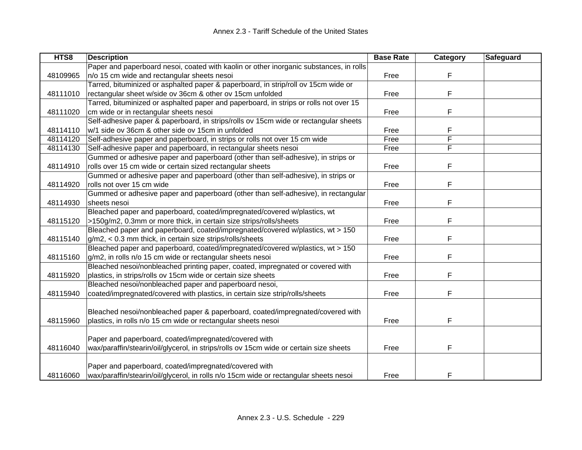| HTS8     | <b>Description</b>                                                                     | <b>Base Rate</b> | <b>Category</b> | <b>Safeguard</b> |
|----------|----------------------------------------------------------------------------------------|------------------|-----------------|------------------|
|          | Paper and paperboard nesoi, coated with kaolin or other inorganic substances, in rolls |                  |                 |                  |
| 48109965 | n/o 15 cm wide and rectangular sheets nesoi                                            | Free             | F               |                  |
|          | Tarred, bituminized or asphalted paper & paperboard, in strip/roll ov 15cm wide or     |                  |                 |                  |
| 48111010 | rectangular sheet w/side ov 36cm & other ov 15cm unfolded                              | Free             | F               |                  |
|          | Tarred, bituminized or asphalted paper and paperboard, in strips or rolls not over 15  |                  |                 |                  |
| 48111020 | cm wide or in rectangular sheets nesoi                                                 | Free             | F               |                  |
|          | Self-adhesive paper & paperboard, in strips/rolls ov 15cm wide or rectangular sheets   |                  |                 |                  |
| 48114110 | w/1 side ov 36cm & other side ov 15cm in unfolded                                      | Free             | F               |                  |
| 48114120 | Self-adhesive paper and paperboard, in strips or rolls not over 15 cm wide             | Free             | F               |                  |
| 48114130 | Self-adhesive paper and paperboard, in rectangular sheets nesoi                        | Free             | F               |                  |
|          | Gummed or adhesive paper and paperboard (other than self-adhesive), in strips or       |                  |                 |                  |
| 48114910 | rolls over 15 cm wide or certain sized rectangular sheets                              | Free             | F               |                  |
|          | Gummed or adhesive paper and paperboard (other than self-adhesive), in strips or       |                  |                 |                  |
| 48114920 | rolls not over 15 cm wide                                                              | Free             | F               |                  |
|          | Gummed or adhesive paper and paperboard (other than self-adhesive), in rectangular     |                  |                 |                  |
| 48114930 | sheets nesoi                                                                           | Free             | F               |                  |
|          | Bleached paper and paperboard, coated/impregnated/covered w/plastics, wt               |                  |                 |                  |
| 48115120 | >150g/m2, 0.3mm or more thick, in certain size strips/rolls/sheets                     | Free             | F               |                  |
|          | Bleached paper and paperboard, coated/impregnated/covered w/plastics, wt > 150         |                  |                 |                  |
| 48115140 | g/m2, < 0.3 mm thick, in certain size strips/rolls/sheets                              | Free             | F               |                  |
|          | Bleached paper and paperboard, coated/impregnated/covered w/plastics, wt > 150         |                  |                 |                  |
| 48115160 | g/m2, in rolls n/o 15 cm wide or rectangular sheets nesoi                              | Free             | F               |                  |
|          | Bleached nesoi/nonbleached printing paper, coated, impregnated or covered with         |                  |                 |                  |
| 48115920 | plastics, in strips/rolls ov 15cm wide or certain size sheets                          | Free             | F               |                  |
|          | Bleached nesoi/nonbleached paper and paperboard nesoi,                                 |                  |                 |                  |
| 48115940 | coated/impregnated/covered with plastics, in certain size strip/rolls/sheets           | Free             | F               |                  |
|          |                                                                                        |                  |                 |                  |
|          | Bleached nesoi/nonbleached paper & paperboard, coated/impregnated/covered with         |                  |                 |                  |
| 48115960 | plastics, in rolls n/o 15 cm wide or rectangular sheets nesoi                          | Free             | F               |                  |
|          |                                                                                        |                  |                 |                  |
|          | Paper and paperboard, coated/impregnated/covered with                                  |                  |                 |                  |
| 48116040 | wax/paraffin/stearin/oil/glycerol, in strips/rolls ov 15cm wide or certain size sheets | Free             | F               |                  |
|          |                                                                                        |                  |                 |                  |
|          | Paper and paperboard, coated/impregnated/covered with                                  |                  |                 |                  |
| 48116060 | wax/paraffin/stearin/oil/glycerol, in rolls n/o 15cm wide or rectangular sheets nesoi  | Free             | F               |                  |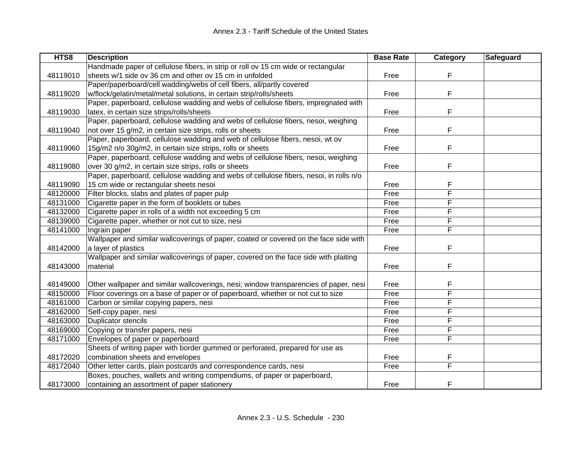| HTS8     | <b>Description</b>                                                                     | <b>Base Rate</b> | Category | Safeguard |
|----------|----------------------------------------------------------------------------------------|------------------|----------|-----------|
|          | Handmade paper of cellulose fibers, in strip or roll ov 15 cm wide or rectangular      |                  |          |           |
| 48119010 | sheets w/1 side ov 36 cm and other ov 15 cm in unfolded                                | Free             | F        |           |
|          | Paper/paperboard/cell wadding/webs of cell fibers, all/partly covered                  |                  |          |           |
| 48119020 | w/flock/gelatin/metal/metal solutions, in certain strip/rolls/sheets                   | Free             | F        |           |
|          | Paper, paperboard, cellulose wadding and webs of cellulose fibers, impregnated with    |                  |          |           |
| 48119030 | latex, in certain size strips/rolls/sheets                                             | Free             | F        |           |
|          | Paper, paperboard, cellulose wadding and webs of cellulose fibers, nesoi, weighing     |                  |          |           |
| 48119040 | not over 15 g/m2, in certain size strips, rolls or sheets                              | Free             | F        |           |
|          | Paper, paperboard, cellulose wadding and web of cellulose fibers, nesoi, wt ov         |                  |          |           |
| 48119060 | 15g/m2 n/o 30g/m2, in certain size strips, rolls or sheets                             | Free             | F        |           |
|          | Paper, paperboard, cellulose wadding and webs of cellulose fibers, nesoi, weighing     |                  |          |           |
| 48119080 | over 30 g/m2, in certain size strips, rolls or sheets                                  | Free             | F        |           |
|          | Paper, paperboard, cellulose wadding and webs of cellulose fibers, nesoi, in rolls n/o |                  |          |           |
| 48119090 | 15 cm wide or rectangular sheets nesoi                                                 | Free             | F        |           |
| 48120000 | Filter blocks, slabs and plates of paper pulp                                          | Free             | F        |           |
| 48131000 | Cigarette paper in the form of booklets or tubes                                       | Free             | F        |           |
| 48132000 | Cigarette paper in rolls of a width not exceeding 5 cm                                 | Free             | F        |           |
| 48139000 | Cigarette paper, whether or not cut to size, nesi                                      | Free             | F        |           |
| 48141000 | Ingrain paper                                                                          | Free             | F        |           |
|          | Wallpaper and similar wallcoverings of paper, coated or covered on the face side with  |                  |          |           |
| 48142000 | a layer of plastics                                                                    | Free             | F        |           |
|          | Wallpaper and similar wallcoverings of paper, covered on the face side with plaiting   |                  |          |           |
| 48143000 | material                                                                               | Free             | F        |           |
|          |                                                                                        |                  |          |           |
| 48149000 | Other wallpaper and similar wallcoverings, nesi; window transparencies of paper, nesi  | Free             | F        |           |
| 48150000 | Floor coverings on a base of paper or of paperboard, whether or not cut to size        | Free             | F        |           |
| 48161000 | Carbon or similar copying papers, nesi                                                 | Free             | F        |           |
| 48162000 | Self-copy paper, nesi                                                                  | Free             | F        |           |
| 48163000 | Duplicator stencils                                                                    | Free             | F        |           |
| 48169000 | Copying or transfer papers, nesi                                                       | Free             | F        |           |
| 48171000 | Envelopes of paper or paperboard                                                       | Free             | F        |           |
|          | Sheets of writing paper with border gummed or perforated, prepared for use as          |                  |          |           |
| 48172020 | combination sheets and envelopes                                                       | Free             | F        |           |
| 48172040 | Other letter cards, plain postcards and correspondence cards, nesi                     | Free             | F        |           |
|          | Boxes, pouches, wallets and writing compendiums, of paper or paperboard,               |                  |          |           |
| 48173000 | containing an assortment of paper stationery                                           | Free             | F        |           |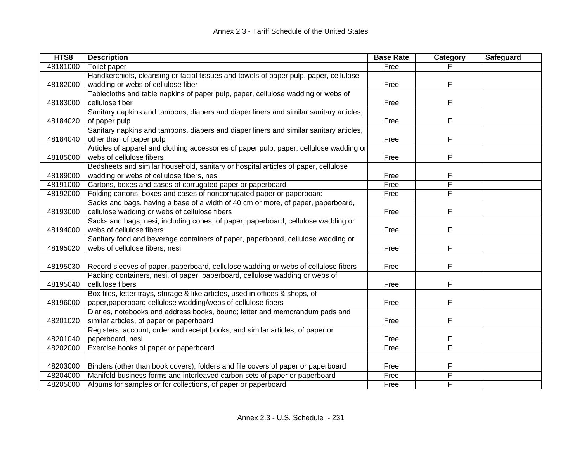| HTS8     | <b>Description</b>                                                                      | <b>Base Rate</b> | Category | Safeguard |
|----------|-----------------------------------------------------------------------------------------|------------------|----------|-----------|
| 48181000 | Toilet paper                                                                            | Free             |          |           |
|          | Handkerchiefs, cleansing or facial tissues and towels of paper pulp, paper, cellulose   |                  |          |           |
| 48182000 | wadding or webs of cellulose fiber                                                      | Free             | F        |           |
|          | Tablecloths and table napkins of paper pulp, paper, cellulose wadding or webs of        |                  |          |           |
| 48183000 | cellulose fiber                                                                         | Free             | F        |           |
|          | Sanitary napkins and tampons, diapers and diaper liners and similar sanitary articles,  |                  |          |           |
| 48184020 | of paper pulp                                                                           | Free             | F        |           |
|          | Sanitary napkins and tampons, diapers and diaper liners and similar sanitary articles,  |                  |          |           |
| 48184040 | other than of paper pulp                                                                | Free             | F        |           |
|          | Articles of apparel and clothing accessories of paper pulp, paper, cellulose wadding or |                  |          |           |
| 48185000 | webs of cellulose fibers                                                                | Free             | F        |           |
|          | Bedsheets and similar household, sanitary or hospital articles of paper, cellulose      |                  |          |           |
| 48189000 | wadding or webs of cellulose fibers, nesi                                               | Free             | F        |           |
| 48191000 | Cartons, boxes and cases of corrugated paper or paperboard                              | Free             | F        |           |
| 48192000 | Folding cartons, boxes and cases of noncorrugated paper or paperboard                   | Free             | F        |           |
|          | Sacks and bags, having a base of a width of 40 cm or more, of paper, paperboard,        |                  |          |           |
| 48193000 | cellulose wadding or webs of cellulose fibers                                           | Free             | F        |           |
|          | Sacks and bags, nesi, including cones, of paper, paperboard, cellulose wadding or       |                  |          |           |
| 48194000 | webs of cellulose fibers                                                                | Free             | F        |           |
|          | Sanitary food and beverage containers of paper, paperboard, cellulose wadding or        |                  |          |           |
| 48195020 | webs of cellulose fibers, nesi                                                          | Free             | F        |           |
|          |                                                                                         |                  |          |           |
| 48195030 | Record sleeves of paper, paperboard, cellulose wadding or webs of cellulose fibers      | Free             | F        |           |
|          | Packing containers, nesi, of paper, paperboard, cellulose wadding or webs of            |                  |          |           |
| 48195040 | cellulose fibers                                                                        | Free             | F        |           |
|          | Box files, letter trays, storage & like articles, used in offices & shops, of           |                  |          |           |
| 48196000 | paper, paperboard, cellulose wadding/webs of cellulose fibers                           | Free             | F        |           |
|          | Diaries, notebooks and address books, bound; letter and memorandum pads and             |                  |          |           |
| 48201020 | similar articles, of paper or paperboard                                                | Free             | F        |           |
|          | Registers, account, order and receipt books, and similar articles, of paper or          |                  |          |           |
| 48201040 | paperboard, nesi                                                                        | Free             | F        |           |
| 48202000 | Exercise books of paper or paperboard                                                   | Free             | F        |           |
|          |                                                                                         |                  |          |           |
| 48203000 | Binders (other than book covers), folders and file covers of paper or paperboard        | Free             | F        |           |
| 48204000 | Manifold business forms and interleaved carbon sets of paper or paperboard              | Free             | F        |           |
| 48205000 | Albums for samples or for collections, of paper or paperboard                           | Free             | F        |           |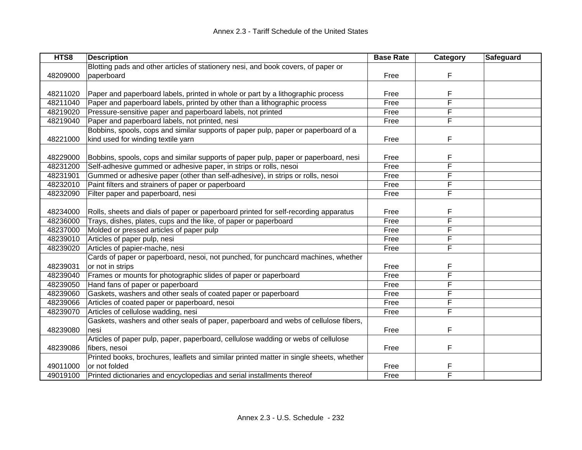| HTS8     | <b>Description</b>                                                                      | <b>Base Rate</b> | <b>Category</b> | <b>Safeguard</b> |
|----------|-----------------------------------------------------------------------------------------|------------------|-----------------|------------------|
|          | Blotting pads and other articles of stationery nesi, and book covers, of paper or       |                  |                 |                  |
| 48209000 | paperboard                                                                              | Free             | F               |                  |
|          |                                                                                         |                  |                 |                  |
| 48211020 | Paper and paperboard labels, printed in whole or part by a lithographic process         | Free             | F               |                  |
| 48211040 | Paper and paperboard labels, printed by other than a lithographic process               | Free             | F               |                  |
| 48219020 | Pressure-sensitive paper and paperboard labels, not printed                             | Free             | F               |                  |
| 48219040 | Paper and paperboard labels, not printed, nesi                                          | Free             | F               |                  |
|          | Bobbins, spools, cops and similar supports of paper pulp, paper or paperboard of a      |                  |                 |                  |
| 48221000 | kind used for winding textile yarn                                                      | Free             | F               |                  |
|          |                                                                                         |                  |                 |                  |
| 48229000 | Bobbins, spools, cops and similar supports of paper pulp, paper or paperboard, nesi     | Free             | F               |                  |
| 48231200 | Self-adhesive gummed or adhesive paper, in strips or rolls, nesoi                       | Free             | F               |                  |
| 48231901 | Gummed or adhesive paper (other than self-adhesive), in strips or rolls, nesoi          | Free             | F               |                  |
| 48232010 | Paint filters and strainers of paper or paperboard                                      | Free             | F               |                  |
| 48232090 | Filter paper and paperboard, nesi                                                       | Free             | F               |                  |
|          |                                                                                         |                  |                 |                  |
| 48234000 | Rolls, sheets and dials of paper or paperboard printed for self-recording apparatus     | Free             | F               |                  |
| 48236000 | Trays, dishes, plates, cups and the like, of paper or paperboard                        | Free             | F               |                  |
| 48237000 | Molded or pressed articles of paper pulp                                                | Free             | F               |                  |
| 48239010 | Articles of paper pulp, nesi                                                            | Free             | F               |                  |
| 48239020 | Articles of papier-mache, nesi                                                          | Free             | F               |                  |
|          | Cards of paper or paperboard, nesoi, not punched, for punchcard machines, whether       |                  |                 |                  |
| 48239031 | or not in strips                                                                        | Free             | F               |                  |
| 48239040 | Frames or mounts for photographic slides of paper or paperboard                         | Free             | F               |                  |
| 48239050 | Hand fans of paper or paperboard                                                        | Free             | F               |                  |
| 48239060 | Gaskets, washers and other seals of coated paper or paperboard                          | Free             | F               |                  |
| 48239066 | Articles of coated paper or paperboard, nesoi                                           | Free             | F               |                  |
| 48239070 | Articles of cellulose wadding, nesi                                                     | Free             | F               |                  |
|          | Gaskets, washers and other seals of paper, paperboard and webs of cellulose fibers,     |                  |                 |                  |
| 48239080 | nesi                                                                                    | Free             | F               |                  |
|          | Articles of paper pulp, paper, paperboard, cellulose wadding or webs of cellulose       |                  |                 |                  |
| 48239086 | fibers, nesoi                                                                           | Free             | F               |                  |
|          | Printed books, brochures, leaflets and similar printed matter in single sheets, whether |                  |                 |                  |
| 49011000 | or not folded                                                                           | Free             | F               |                  |
| 49019100 | Printed dictionaries and encyclopedias and serial installments thereof                  | Free             | F               |                  |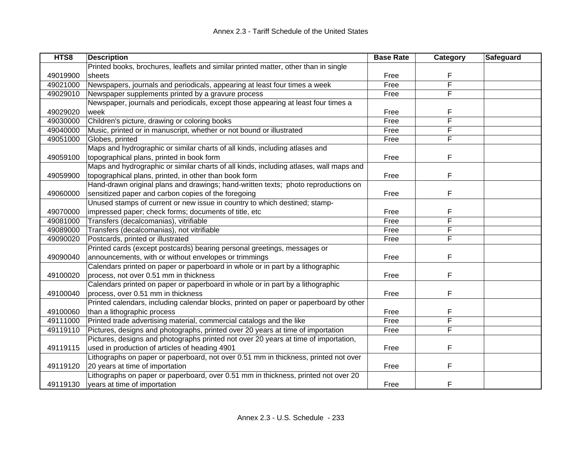| HTS8     | <b>Description</b>                                                                     | <b>Base Rate</b> | Category | Safeguard |
|----------|----------------------------------------------------------------------------------------|------------------|----------|-----------|
|          | Printed books, brochures, leaflets and similar printed matter, other than in single    |                  |          |           |
| 49019900 | sheets                                                                                 | Free             | F        |           |
| 49021000 | Newspapers, journals and periodicals, appearing at least four times a week             | Free             | F        |           |
| 49029010 | Newspaper supplements printed by a gravure process                                     | Free             | F        |           |
|          | Newspaper, journals and periodicals, except those appearing at least four times a      |                  |          |           |
| 49029020 | week                                                                                   | Free             | F        |           |
| 49030000 | Children's picture, drawing or coloring books                                          | Free             | F        |           |
| 49040000 | Music, printed or in manuscript, whether or not bound or illustrated                   | Free             | F        |           |
| 49051000 | Globes, printed                                                                        | Free             | F        |           |
|          | Maps and hydrographic or similar charts of all kinds, including atlases and            |                  |          |           |
| 49059100 | topographical plans, printed in book form                                              | Free             | F        |           |
|          | Maps and hydrographic or similar charts of all kinds, including atlases, wall maps and |                  |          |           |
| 49059900 | topographical plans, printed, in other than book form                                  | Free             | F        |           |
|          | Hand-drawn original plans and drawings; hand-written texts; photo reproductions on     |                  |          |           |
| 49060000 | sensitized paper and carbon copies of the foregoing                                    | Free             | F        |           |
|          | Unused stamps of current or new issue in country to which destined; stamp-             |                  |          |           |
| 49070000 | impressed paper; check forms; documents of title, etc                                  | Free             | F        |           |
| 49081000 | Transfers (decalcomanias), vitrifiable                                                 | Free             | F        |           |
| 49089000 | Transfers (decalcomanias), not vitrifiable                                             | Free             | F        |           |
| 49090020 | Postcards, printed or illustrated                                                      | Free             | F        |           |
|          | Printed cards (except postcards) bearing personal greetings, messages or               |                  |          |           |
| 49090040 | announcements, with or without envelopes or trimmings                                  | Free             | F        |           |
|          | Calendars printed on paper or paperboard in whole or in part by a lithographic         |                  |          |           |
| 49100020 | process, not over 0.51 mm in thickness                                                 | Free             | F        |           |
|          | Calendars printed on paper or paperboard in whole or in part by a lithographic         |                  |          |           |
| 49100040 | process, over 0.51 mm in thickness                                                     | Free             | F        |           |
|          | Printed calendars, including calendar blocks, printed on paper or paperboard by other  |                  |          |           |
| 49100060 | than a lithographic process                                                            | Free             | F        |           |
| 49111000 | Printed trade advertising material, commercial catalogs and the like                   | Free             | F        |           |
| 49119110 | Pictures, designs and photographs, printed over 20 years at time of importation        | Free             | F        |           |
|          | Pictures, designs and photographs printed not over 20 years at time of importation,    |                  |          |           |
| 49119115 | used in production of articles of heading 4901                                         | Free             | F        |           |
|          | Lithographs on paper or paperboard, not over 0.51 mm in thickness, printed not over    |                  |          |           |
| 49119120 | 20 years at time of importation                                                        | Free             | F        |           |
|          | Lithographs on paper or paperboard, over 0.51 mm in thickness, printed not over 20     |                  |          |           |
| 49119130 | years at time of importation                                                           | Free             | F        |           |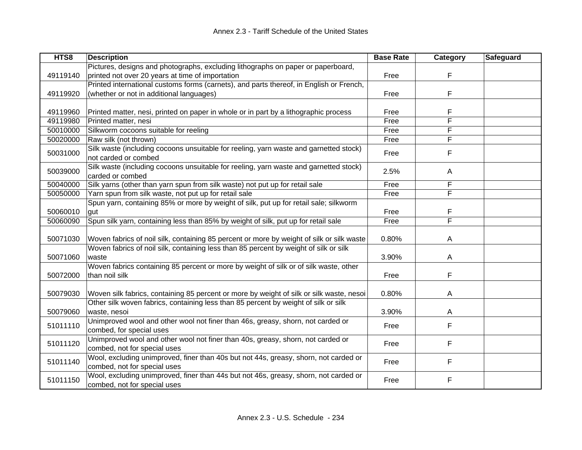| HTS8     | <b>Description</b>                                                                        | <b>Base Rate</b> | Category | Safeguard |
|----------|-------------------------------------------------------------------------------------------|------------------|----------|-----------|
|          | Pictures, designs and photographs, excluding lithographs on paper or paperboard,          |                  |          |           |
| 49119140 | printed not over 20 years at time of importation                                          | Free             | F        |           |
|          | Printed international customs forms (carnets), and parts thereof, in English or French,   |                  |          |           |
| 49119920 | (whether or not in additional languages)                                                  | Free             | F        |           |
|          |                                                                                           |                  |          |           |
| 49119960 | Printed matter, nesi, printed on paper in whole or in part by a lithographic process      | Free             | F        |           |
| 49119980 | Printed matter, nesi                                                                      | Free             | F        |           |
| 50010000 | Silkworm cocoons suitable for reeling                                                     | Free             | F        |           |
| 50020000 | Raw silk (not thrown)                                                                     | Free             | F        |           |
|          | Silk waste (including cocoons unsuitable for reeling, yarn waste and garnetted stock)     |                  |          |           |
| 50031000 | not carded or combed                                                                      | Free             | F        |           |
|          | Silk waste (including cocoons unsuitable for reeling, yarn waste and garnetted stock)     |                  |          |           |
| 50039000 | carded or combed                                                                          | 2.5%             | Α        |           |
| 50040000 | Silk yarns (other than yarn spun from silk waste) not put up for retail sale              | Free             | F        |           |
| 50050000 | Yarn spun from silk waste, not put up for retail sale                                     | Free             | F        |           |
|          | Spun yarn, containing 85% or more by weight of silk, put up for retail sale; silkworm     |                  |          |           |
| 50060010 | gut                                                                                       | Free             | F        |           |
| 50060090 | Spun silk yarn, containing less than 85% by weight of silk, put up for retail sale        | Free             | F        |           |
|          |                                                                                           |                  |          |           |
| 50071030 | Woven fabrics of noil silk, containing 85 percent or more by weight of silk or silk waste | 0.80%            | A        |           |
|          | Woven fabrics of noil silk, containing less than 85 percent by weight of silk or silk     |                  |          |           |
| 50071060 | waste                                                                                     | 3.90%            | A        |           |
|          | Woven fabrics containing 85 percent or more by weight of silk or of silk waste, other     |                  |          |           |
| 50072000 | than noil silk                                                                            | Free             | F        |           |
|          |                                                                                           |                  |          |           |
| 50079030 | Woven silk fabrics, containing 85 percent or more by weight of silk or silk waste, nesoi  | 0.80%            | A        |           |
|          | Other silk woven fabrics, containing less than 85 percent by weight of silk or silk       |                  |          |           |
| 50079060 | waste, nesoi                                                                              | 3.90%            | Α        |           |
|          | Unimproved wool and other wool not finer than 46s, greasy, shorn, not carded or           |                  |          |           |
| 51011110 | combed, for special uses                                                                  | Free             | F        |           |
|          | Unimproved wool and other wool not finer than 40s, greasy, shorn, not carded or           |                  |          |           |
| 51011120 | combed, not for special uses                                                              | Free             | F        |           |
|          | Wool, excluding unimproved, finer than 40s but not 44s, greasy, shorn, not carded or      |                  |          |           |
| 51011140 | combed, not for special uses                                                              | Free             | F        |           |
|          | Wool, excluding unimproved, finer than 44s but not 46s, greasy, shorn, not carded or      |                  |          |           |
| 51011150 | combed, not for special uses                                                              | Free             | F        |           |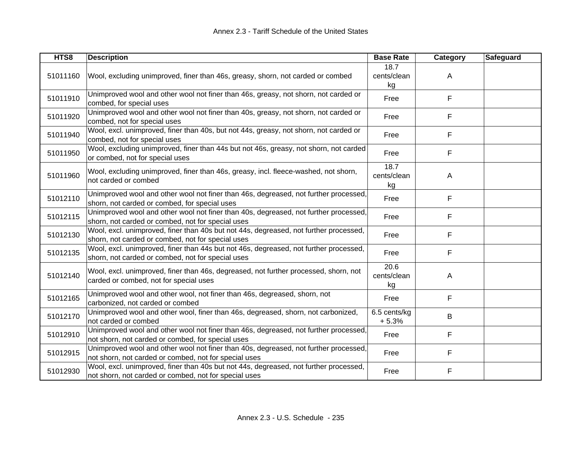| HTS8     | <b>Description</b>                                                                                                                             | <b>Base Rate</b>          | <b>Category</b> | <b>Safeguard</b> |
|----------|------------------------------------------------------------------------------------------------------------------------------------------------|---------------------------|-----------------|------------------|
| 51011160 | Wool, excluding unimproved, finer than 46s, greasy, shorn, not carded or combed                                                                | 18.7<br>cents/clean<br>kg | A               |                  |
| 51011910 | Unimproved wool and other wool not finer than 46s, greasy, not shorn, not carded or<br>combed, for special uses                                | Free                      | F               |                  |
| 51011920 | Unimproved wool and other wool not finer than 40s, greasy, not shorn, not carded or<br>combed, not for special uses                            | Free                      | F               |                  |
| 51011940 | Wool, excl. unimproved, finer than 40s, but not 44s, greasy, not shorn, not carded or<br>combed, not for special uses                          | Free                      | F               |                  |
| 51011950 | Wool, excluding unimproved, finer than 44s but not 46s, greasy, not shorn, not carded<br>or combed, not for special uses                       | Free                      | F               |                  |
| 51011960 | Wool, excluding unimproved, finer than 46s, greasy, incl. fleece-washed, not shorn,<br>not carded or combed                                    | 18.7<br>cents/clean<br>kg | A               |                  |
| 51012110 | Unimproved wool and other wool not finer than 46s, degreased, not further processed,<br>shorn, not carded or combed, for special uses          | Free                      | F               |                  |
| 51012115 | Unimproved wool and other wool not finer than 40s, degreased, not further processed,<br>shorn, not carded or combed, not for special uses      | Free                      | F               |                  |
| 51012130 | Wool, excl. unimproved, finer than 40s but not 44s, degreased, not further processed,<br>shorn, not carded or combed, not for special uses     | Free                      | F               |                  |
| 51012135 | Wool, excl. unimproved, finer than 44s but not 46s, degreased, not further processed,<br>shorn, not carded or combed, not for special uses     | Free                      | F               |                  |
| 51012140 | Wool, excl. unimproved, finer than 46s, degreased, not further processed, shorn, not<br>carded or combed, not for special uses                 | 20.6<br>cents/clean<br>kg | A               |                  |
| 51012165 | Unimproved wool and other wool, not finer than 46s, degreased, shorn, not<br>carbonized, not carded or combed                                  | Free                      | F               |                  |
| 51012170 | Unimproved wool and other wool, finer than 46s, degreased, shorn, not carbonized,<br>not carded or combed                                      | 6.5 cents/kg<br>$+5.3%$   | B               |                  |
| 51012910 | Unimproved wool and other wool not finer than 46s, degreased, not further processed,<br>not shorn, not carded or combed, for special uses      | Free                      | F               |                  |
| 51012915 | Unimproved wool and other wool not finer than 40s, degreased, not further processed,<br>not shorn, not carded or combed, not for special uses  | Free                      | F               |                  |
| 51012930 | Wool, excl. unimproved, finer than 40s but not 44s, degreased, not further processed,<br>not shorn, not carded or combed, not for special uses | Free                      | F               |                  |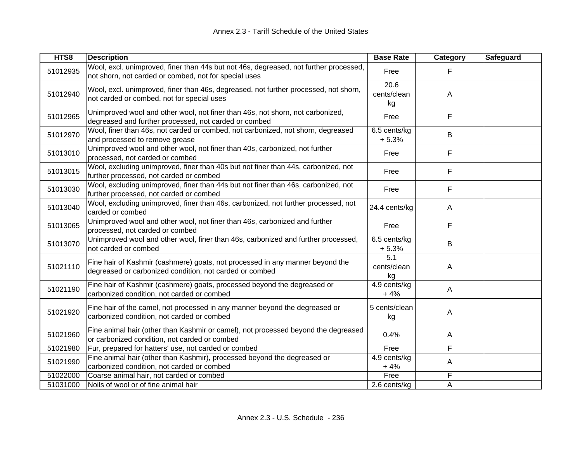| HTS8     | <b>Description</b>                                                                                                                             | <b>Base Rate</b>          | Category     | Safeguard |
|----------|------------------------------------------------------------------------------------------------------------------------------------------------|---------------------------|--------------|-----------|
| 51012935 | Wool, excl. unimproved, finer than 44s but not 46s, degreased, not further processed,<br>not shorn, not carded or combed, not for special uses | Free                      | F            |           |
| 51012940 | Wool, excl. unimproved, finer than 46s, degreased, not further processed, not shorn,<br>not carded or combed, not for special uses             | 20.6<br>cents/clean<br>kg | A            |           |
| 51012965 | Unimproved wool and other wool, not finer than 46s, not shorn, not carbonized,<br>degreased and further processed, not carded or combed        | Free                      | F            |           |
| 51012970 | Wool, finer than 46s, not carded or combed, not carbonized, not shorn, degreased<br>and processed to remove grease                             | 6.5 cents/kg<br>$+5.3%$   | B            |           |
| 51013010 | Unimproved wool and other wool, not finer than 40s, carbonized, not further<br>processed, not carded or combed                                 | Free                      | F            |           |
| 51013015 | Wool, excluding unimproved, finer than 40s but not finer than 44s, carbonized, not<br>further processed, not carded or combed                  | Free                      | F            |           |
| 51013030 | Wool, excluding unimproved, finer than 44s but not finer than 46s, carbonized, not<br>further processed, not carded or combed                  | Free                      | F            |           |
| 51013040 | Wool, excluding unimproved, finer than 46s, carbonized, not further processed, not<br>carded or combed                                         | 24.4 cents/kg             | $\mathsf{A}$ |           |
| 51013065 | Unimproved wool and other wool, not finer than 46s, carbonized and further<br>processed, not carded or combed                                  | Free                      | F            |           |
| 51013070 | Unimproved wool and other wool, finer than 46s, carbonized and further processed,<br>not carded or combed                                      | 6.5 cents/kg<br>$+5.3%$   | В            |           |
| 51021110 | Fine hair of Kashmir (cashmere) goats, not processed in any manner beyond the<br>degreased or carbonized condition, not carded or combed       | 5.1<br>cents/clean<br>kg  | A            |           |
| 51021190 | Fine hair of Kashmir (cashmere) goats, processed beyond the degreased or<br>carbonized condition, not carded or combed                         | 4.9 cents/kg<br>$+4%$     | $\mathsf{A}$ |           |
| 51021920 | Fine hair of the camel, not processed in any manner beyond the degreased or<br>carbonized condition, not carded or combed                      | 5 cents/clean<br>kg       | A            |           |
| 51021960 | Fine animal hair (other than Kashmir or camel), not processed beyond the degreased<br>or carbonized condition, not carded or combed            | 0.4%                      | $\mathsf{A}$ |           |
| 51021980 | Fur, prepared for hatters' use, not carded or combed                                                                                           | Free                      | F            |           |
| 51021990 | Fine animal hair (other than Kashmir), processed beyond the degreased or<br>carbonized condition, not carded or combed                         | 4.9 cents/kg<br>$+4%$     | Α            |           |
| 51022000 | Coarse animal hair, not carded or combed                                                                                                       | Free                      | F            |           |
| 51031000 | Noils of wool or of fine animal hair                                                                                                           | 2.6 cents/kg              | A            |           |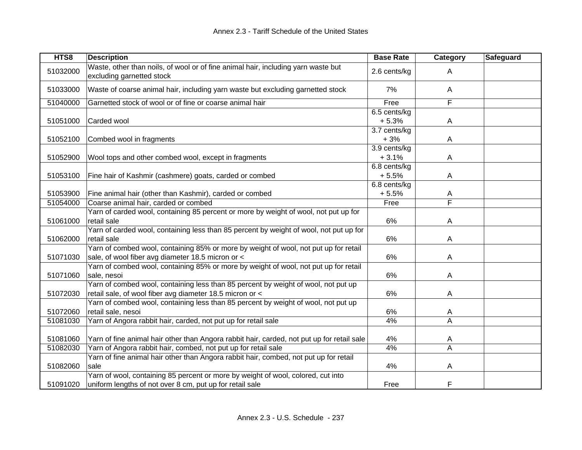| HTS8     | <b>Description</b>                                                                                                                           | <b>Base Rate</b> | Category                | Safeguard |
|----------|----------------------------------------------------------------------------------------------------------------------------------------------|------------------|-------------------------|-----------|
| 51032000 | Waste, other than noils, of wool or of fine animal hair, including yarn waste but<br>excluding garnetted stock                               | 2.6 cents/kg     | Α                       |           |
| 51033000 | Waste of coarse animal hair, including yarn waste but excluding garnetted stock                                                              | 7%               | A                       |           |
| 51040000 | Garnetted stock of wool or of fine or coarse animal hair                                                                                     | Free             | F                       |           |
|          |                                                                                                                                              | 6.5 cents/kg     |                         |           |
| 51051000 | Carded wool                                                                                                                                  | $+5.3%$          | $\overline{A}$          |           |
|          |                                                                                                                                              | 3.7 cents/kg     |                         |           |
| 51052100 | Combed wool in fragments                                                                                                                     | $+3%$            | A                       |           |
|          |                                                                                                                                              | 3.9 cents/kg     |                         |           |
| 51052900 | Wool tops and other combed wool, except in fragments                                                                                         | $+3.1%$          | A                       |           |
|          |                                                                                                                                              | 6.8 cents/kg     |                         |           |
| 51053100 | Fine hair of Kashmir (cashmere) goats, carded or combed                                                                                      | $+5.5%$          | A                       |           |
|          |                                                                                                                                              | 6.8 cents/kg     |                         |           |
| 51053900 | Fine animal hair (other than Kashmir), carded or combed                                                                                      | $+5.5%$          | A                       |           |
| 51054000 | Coarse animal hair, carded or combed                                                                                                         | Free             | F                       |           |
| 51061000 | Yarn of carded wool, containing 85 percent or more by weight of wool, not put up for<br>retail sale                                          | 6%               | A                       |           |
|          | Yarn of carded wool, containing less than 85 percent by weight of wool, not put up for                                                       |                  |                         |           |
| 51062000 | retail sale                                                                                                                                  | 6%               | A                       |           |
| 51071030 | Yarn of combed wool, containing 85% or more by weight of wool, not put up for retail<br>sale, of wool fiber avg diameter 18.5 micron or <    | 6%               | A                       |           |
| 51071060 | Yarn of combed wool, containing 85% or more by weight of wool, not put up for retail<br>sale, nesoi                                          | 6%               | A                       |           |
|          | Yarn of combed wool, containing less than 85 percent by weight of wool, not put up                                                           |                  |                         |           |
| 51072030 | retail sale, of wool fiber avg diameter 18.5 micron or <                                                                                     | 6%               | A                       |           |
|          | Yarn of combed wool, containing less than 85 percent by weight of wool, not put up                                                           |                  |                         |           |
| 51072060 | retail sale, nesoi                                                                                                                           | 6%               | A                       |           |
| 51081030 | Yarn of Angora rabbit hair, carded, not put up for retail sale                                                                               | 4%               | $\overline{\mathsf{A}}$ |           |
|          |                                                                                                                                              |                  |                         |           |
| 51081060 | Yarn of fine animal hair other than Angora rabbit hair, carded, not put up for retail sale                                                   | 4%               | A                       |           |
| 51082030 | Yarn of Angora rabbit hair, combed, not put up for retail sale                                                                               | 4%               | A                       |           |
|          | Yarn of fine animal hair other than Angora rabbit hair, combed, not put up for retail                                                        |                  |                         |           |
| 51082060 | sale                                                                                                                                         | 4%               | A                       |           |
| 51091020 | Yarn of wool, containing 85 percent or more by weight of wool, colored, cut into<br>uniform lengths of not over 8 cm, put up for retail sale | Free             | F                       |           |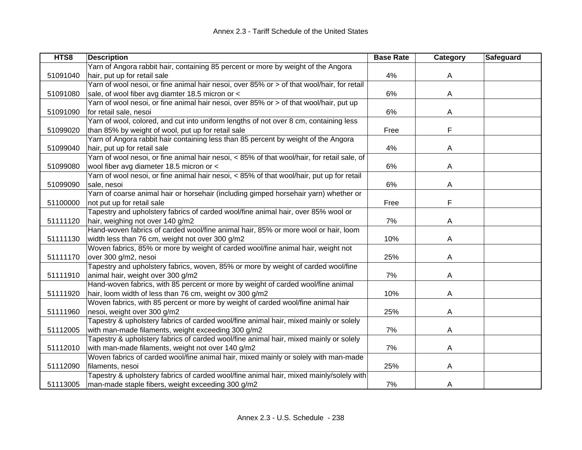| HTS8     | <b>Description</b>                                                                          | <b>Base Rate</b> | Category | Safeguard |
|----------|---------------------------------------------------------------------------------------------|------------------|----------|-----------|
|          | Yarn of Angora rabbit hair, containing 85 percent or more by weight of the Angora           |                  |          |           |
| 51091040 | hair, put up for retail sale                                                                | 4%               | A        |           |
|          | Yarn of wool nesoi, or fine animal hair nesoi, over 85% or > of that wool/hair, for retail  |                  |          |           |
| 51091080 | sale, of wool fiber avg diamter 18.5 micron or <                                            | 6%               | A        |           |
|          | Yarn of wool nesoi, or fine animal hair nesoi, over 85% or > of that wool/hair, put up      |                  |          |           |
| 51091090 | for retail sale, nesoi                                                                      | 6%               | Α        |           |
|          | Yarn of wool, colored, and cut into uniform lengths of not over 8 cm, containing less       |                  |          |           |
| 51099020 | than 85% by weight of wool, put up for retail sale                                          | Free             | F        |           |
|          | Yarn of Angora rabbit hair containing less than 85 percent by weight of the Angora          |                  |          |           |
| 51099040 | hair, put up for retail sale                                                                | 4%               | A        |           |
|          | Yarn of wool nesoi, or fine animal hair nesoi, < 85% of that wool/hair, for retail sale, of |                  |          |           |
| 51099080 | wool fiber avg diameter 18.5 micron or <                                                    | 6%               | A        |           |
|          | Yarn of wool nesoi, or fine animal hair nesoi, < 85% of that wool/hair, put up for retail   |                  |          |           |
| 51099090 | sale, nesoi                                                                                 | 6%               | A        |           |
|          | Yarn of coarse animal hair or horsehair (including gimped horsehair yarn) whether or        |                  |          |           |
| 51100000 | not put up for retail sale                                                                  | Free             | F        |           |
|          | Tapestry and upholstery fabrics of carded wool/fine animal hair, over 85% wool or           |                  |          |           |
| 51111120 | hair, weighing not over 140 g/m2                                                            | 7%               | A        |           |
|          | Hand-woven fabrics of carded wool/fine animal hair, 85% or more wool or hair, loom          |                  |          |           |
| 51111130 | width less than 76 cm, weight not over 300 g/m2                                             | 10%              | A        |           |
|          | Woven fabrics, 85% or more by weight of carded wool/fine animal hair, weight not            |                  |          |           |
| 51111170 | over 300 g/m2, nesoi                                                                        | 25%              | Α        |           |
|          | Tapestry and upholstery fabrics, woven, 85% or more by weight of carded wool/fine           |                  |          |           |
| 51111910 | animal hair, weight over 300 g/m2                                                           | 7%               | A        |           |
|          | Hand-woven fabrics, with 85 percent or more by weight of carded wool/fine animal            |                  |          |           |
| 51111920 | hair, loom width of less than 76 cm, weight ov 300 g/m2                                     | 10%              | A        |           |
|          | Woven fabrics, with 85 percent or more by weight of carded wool/fine animal hair            |                  |          |           |
| 51111960 | nesoi, weight over 300 g/m2                                                                 | 25%              | A        |           |
|          | Tapestry & upholstery fabrics of carded wool/fine animal hair, mixed mainly or solely       |                  |          |           |
| 51112005 | with man-made filaments, weight exceeding 300 g/m2                                          | 7%               | Α        |           |
|          | Tapestry & upholstery fabrics of carded wool/fine animal hair, mixed mainly or solely       |                  |          |           |
| 51112010 | with man-made filaments, weight not over 140 g/m2                                           | 7%               | A        |           |
|          | Woven fabrics of carded wool/fine animal hair, mixed mainly or solely with man-made         |                  |          |           |
| 51112090 | filaments, nesoi                                                                            | 25%              | Α        |           |
|          | Tapestry & upholstery fabrics of carded wool/fine animal hair, mixed mainly/solely with     |                  |          |           |
| 51113005 | man-made staple fibers, weight exceeding 300 g/m2                                           | 7%               | A        |           |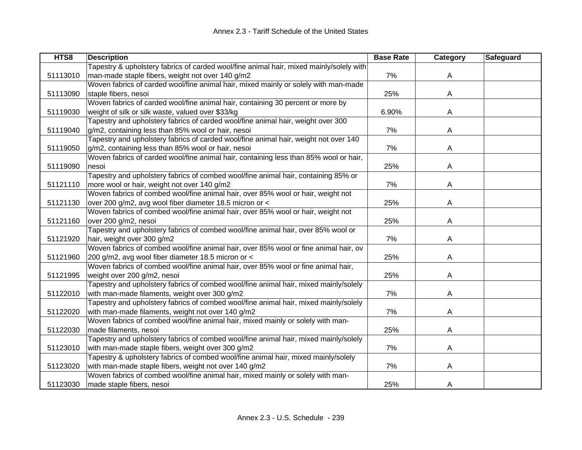| HTS8     | <b>Description</b>                                                                      | <b>Base Rate</b> | Category | Safeguard |
|----------|-----------------------------------------------------------------------------------------|------------------|----------|-----------|
|          | Tapestry & upholstery fabrics of carded wool/fine animal hair, mixed mainly/solely with |                  |          |           |
| 51113010 | man-made staple fibers, weight not over 140 g/m2                                        | 7%               | A        |           |
|          | Woven fabrics of carded wool/fine animal hair, mixed mainly or solely with man-made     |                  |          |           |
| 51113090 | staple fibers, nesoi                                                                    | 25%              | Α        |           |
|          | Woven fabrics of carded wool/fine animal hair, containing 30 percent or more by         |                  |          |           |
| 51119030 | weight of silk or silk waste, valued over \$33/kg                                       | 6.90%            | A        |           |
|          | Tapestry and upholstery fabrics of carded wool/fine animal hair, weight over 300        |                  |          |           |
| 51119040 | g/m2, containing less than 85% wool or hair, nesoi                                      | 7%               | A        |           |
|          | Tapestry and upholstery fabrics of carded wool/fine animal hair, weight not over 140    |                  |          |           |
| 51119050 | g/m2, containing less than 85% wool or hair, nesoi                                      | 7%               | A        |           |
|          | Woven fabrics of carded wool/fine animal hair, containing less than 85% wool or hair,   |                  |          |           |
| 51119090 | nesoi                                                                                   | 25%              | A        |           |
|          | Tapestry and upholstery fabrics of combed wool/fine animal hair, containing 85% or      |                  |          |           |
| 51121110 | more wool or hair, weight not over 140 g/m2                                             | 7%               | A        |           |
|          | Woven fabrics of combed wool/fine animal hair, over 85% wool or hair, weight not        |                  |          |           |
| 51121130 | over 200 g/m2, avg wool fiber diameter 18.5 micron or <                                 | 25%              | A        |           |
|          | Woven fabrics of combed wool/fine animal hair, over 85% wool or hair, weight not        |                  |          |           |
| 51121160 | over 200 g/m2, nesoi                                                                    | 25%              | A        |           |
|          | Tapestry and upholstery fabrics of combed wool/fine animal hair, over 85% wool or       |                  |          |           |
| 51121920 | hair, weight over 300 g/m2                                                              | 7%               | A        |           |
|          | Woven fabrics of combed wool/fine animal hair, over 85% wool or fine animal hair, ov    |                  |          |           |
| 51121960 | 200 g/m2, avg wool fiber diameter 18.5 micron or <                                      | 25%              | A        |           |
|          | Woven fabrics of combed wool/fine animal hair, over 85% wool or fine animal hair,       |                  |          |           |
| 51121995 | weight over 200 g/m2, nesoi                                                             | 25%              | A        |           |
|          | Tapestry and upholstery fabrics of combed wool/fine animal hair, mixed mainly/solely    |                  |          |           |
| 51122010 | with man-made filaments, weight over 300 g/m2                                           | 7%               | A        |           |
|          | Tapestry and upholstery fabrics of combed wool/fine animal hair, mixed mainly/solely    |                  |          |           |
| 51122020 | with man-made filaments, weight not over 140 g/m2                                       | 7%               | A        |           |
|          | Woven fabrics of combed wool/fine animal hair, mixed mainly or solely with man-         |                  |          |           |
| 51122030 | made filaments, nesoi                                                                   | 25%              | A        |           |
|          | Tapestry and upholstery fabrics of combed wool/fine animal hair, mixed mainly/solely    |                  |          |           |
| 51123010 | with man-made staple fibers, weight over 300 g/m2                                       | 7%               | A        |           |
|          | Tapestry & upholstery fabrics of combed wool/fine animal hair, mixed mainly/solely      |                  |          |           |
| 51123020 | with man-made staple fibers, weight not over 140 g/m2                                   | 7%               | A        |           |
|          | Woven fabrics of combed wool/fine animal hair, mixed mainly or solely with man-         |                  |          |           |
| 51123030 | made staple fibers, nesoi                                                               | 25%              | A        |           |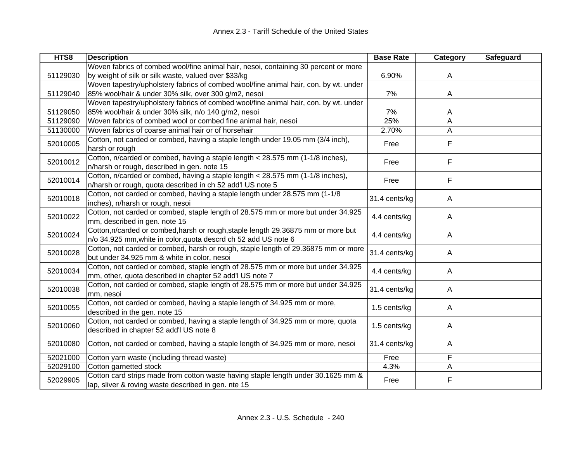| HTS8     | <b>Description</b>                                                                   | <b>Base Rate</b> | Category | Safeguard |
|----------|--------------------------------------------------------------------------------------|------------------|----------|-----------|
|          | Woven fabrics of combed wool/fine animal hair, nesoi, containing 30 percent or more  |                  |          |           |
| 51129030 | by weight of silk or silk waste, valued over \$33/kg                                 | 6.90%            | A        |           |
|          | Woven tapestry/upholstery fabrics of combed wool/fine animal hair, con. by wt. under |                  |          |           |
| 51129040 | 85% wool/hair & under 30% silk, over 300 g/m2, nesoi                                 | 7%               | A        |           |
|          | Woven tapestry/upholstery fabrics of combed wool/fine animal hair, con. by wt. under |                  |          |           |
| 51129050 | 85% wool/hair & under 30% silk, n/o 140 g/m2, nesoi                                  | 7%               | A        |           |
| 51129090 | Woven fabrics of combed wool or combed fine animal hair, nesoi                       | 25%              | Α        |           |
| 51130000 | Woven fabrics of coarse animal hair or of horsehair                                  | 2.70%            | Α        |           |
| 52010005 | Cotton, not carded or combed, having a staple length under 19.05 mm (3/4 inch),      | Free             | F        |           |
|          | harsh or rough                                                                       |                  |          |           |
| 52010012 | Cotton, n/carded or combed, having a staple length < 28.575 mm (1-1/8 inches),       | Free             | F        |           |
|          | n/harsh or rough, described in gen. note 15                                          |                  |          |           |
| 52010014 | Cotton, n/carded or combed, having a staple length < 28.575 mm (1-1/8 inches),       | Free             | F        |           |
|          | n/harsh or rough, quota described in ch 52 add'l US note 5                           |                  |          |           |
| 52010018 | Cotton, not carded or combed, having a staple length under 28.575 mm (1-1/8          | 31.4 cents/kg    | A        |           |
|          | inches), n/harsh or rough, nesoi                                                     |                  |          |           |
| 52010022 | Cotton, not carded or combed, staple length of 28.575 mm or more but under 34.925    | 4.4 cents/kg     |          |           |
|          | mm, described in gen. note 15                                                        |                  | A        |           |
| 52010024 | Cotton, n/carded or combed, harsh or rough, staple length 29.36875 mm or more but    | 4.4 cents/kg     | Α        |           |
|          | n/o 34.925 mm, white in color, quota descrd ch 52 add US note 6                      |                  |          |           |
| 52010028 | Cotton, not carded or combed, harsh or rough, staple length of 29.36875 mm or more   | 31.4 cents/kg    |          |           |
|          | but under 34.925 mm & white in color, nesoi                                          |                  | A        |           |
| 52010034 | Cotton, not carded or combed, staple length of 28.575 mm or more but under 34.925    | 4.4 cents/kg     | A        |           |
|          | mm, other, quota described in chapter 52 add'l US note 7                             |                  |          |           |
| 52010038 | Cotton, not carded or combed, staple length of 28.575 mm or more but under 34.925    | 31.4 cents/kg    | A        |           |
|          | mm, nesoi                                                                            |                  |          |           |
| 52010055 | Cotton, not carded or combed, having a staple length of 34.925 mm or more,           | 1.5 cents/kg     | A        |           |
|          | described in the gen. note 15                                                        |                  |          |           |
| 52010060 | Cotton, not carded or combed, having a staple length of 34.925 mm or more, quota     | 1.5 cents/kg     | A        |           |
|          | described in chapter 52 add'l US note 8                                              |                  |          |           |
| 52010080 | Cotton, not carded or combed, having a staple length of 34.925 mm or more, nesoi     | 31.4 cents/kg    | A        |           |
|          |                                                                                      |                  |          |           |
| 52021000 | Cotton yarn waste (including thread waste)                                           | Free             | F        |           |
| 52029100 | Cotton garnetted stock                                                               | 4.3%             | Α        |           |
| 52029905 | Cotton card strips made from cotton waste having staple length under 30.1625 mm &    | Free             | F        |           |
|          | lap, sliver & roving waste described in gen. nte 15                                  |                  |          |           |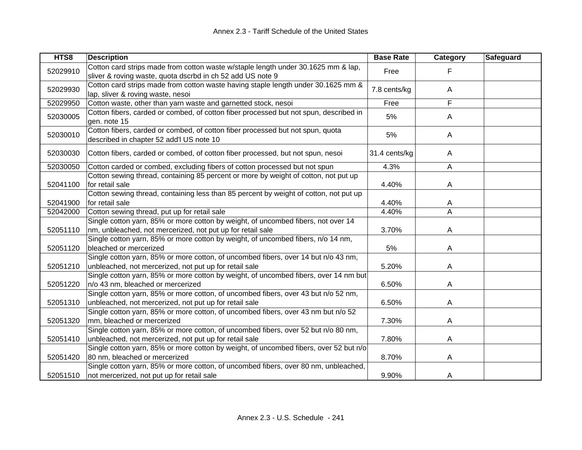| HTS8     | <b>Description</b>                                                                                                                              | <b>Base Rate</b> | Category       | <b>Safeguard</b> |
|----------|-------------------------------------------------------------------------------------------------------------------------------------------------|------------------|----------------|------------------|
| 52029910 | Cotton card strips made from cotton waste w/staple length under 30.1625 mm & lap,<br>sliver & roving waste, quota dscrbd in ch 52 add US note 9 | Free             | F              |                  |
| 52029930 | Cotton card strips made from cotton waste having staple length under 30.1625 mm &<br>lap, sliver & roving waste, nesoi                          | 7.8 cents/kg     | A              |                  |
| 52029950 | Cotton waste, other than yarn waste and garnetted stock, nesoi                                                                                  | Free             | F              |                  |
| 52030005 | Cotton fibers, carded or combed, of cotton fiber processed but not spun, described in<br>gen. note 15                                           | 5%               | A              |                  |
| 52030010 | Cotton fibers, carded or combed, of cotton fiber processed but not spun, quota<br>described in chapter 52 add'l US note 10                      | 5%               | A              |                  |
| 52030030 | Cotton fibers, carded or combed, of cotton fiber processed, but not spun, nesoi                                                                 | 31.4 cents/kg    | A              |                  |
| 52030050 | Cotton carded or combed, excluding fibers of cotton processed but not spun                                                                      | 4.3%             | $\mathsf{A}$   |                  |
| 52041100 | Cotton sewing thread, containing 85 percent or more by weight of cotton, not put up<br>for retail sale                                          | 4.40%            | A              |                  |
| 52041900 | Cotton sewing thread, containing less than 85 percent by weight of cotton, not put up<br>for retail sale                                        | 4.40%            | A              |                  |
| 52042000 | Cotton sewing thread, put up for retail sale                                                                                                    | 4.40%            | $\overline{A}$ |                  |
| 52051110 | Single cotton yarn, 85% or more cotton by weight, of uncombed fibers, not over 14<br>nm, unbleached, not mercerized, not put up for retail sale | 3.70%            | A              |                  |
| 52051120 | Single cotton yarn, 85% or more cotton by weight, of uncombed fibers, n/o 14 nm,<br>bleached or mercerized                                      | 5%               | A              |                  |
| 52051210 | Single cotton yarn, 85% or more cotton, of uncombed fibers, over 14 but n/o 43 nm,<br>unbleached, not mercerized, not put up for retail sale    | 5.20%            | A              |                  |
| 52051220 | Single cotton yarn, 85% or more cotton by weight, of uncombed fibers, over 14 nm but<br>n/o 43 nm, bleached or mercerized                       | 6.50%            | A              |                  |
| 52051310 | Single cotton yarn, 85% or more cotton, of uncombed fibers, over 43 but n/o 52 nm,<br>unbleached, not mercerized, not put up for retail sale    | 6.50%            | A              |                  |
| 52051320 | Single cotton yarn, 85% or more cotton, of uncombed fibers, over 43 nm but n/o 52<br>mm, bleached or mercerized                                 | 7.30%            | A              |                  |
| 52051410 | Single cotton yarn, 85% or more cotton, of uncombed fibers, over 52 but n/o 80 nm,<br>unbleached, not mercerized, not put up for retail sale    | 7.80%            | A              |                  |
| 52051420 | Single cotton yarn, 85% or more cotton by weight, of uncombed fibers, over 52 but n/o<br>80 nm, bleached or mercerized                          | 8.70%            | A              |                  |
| 52051510 | Single cotton yarn, 85% or more cotton, of uncombed fibers, over 80 nm, unbleached,<br>not mercerized, not put up for retail sale               | 9.90%            | A              |                  |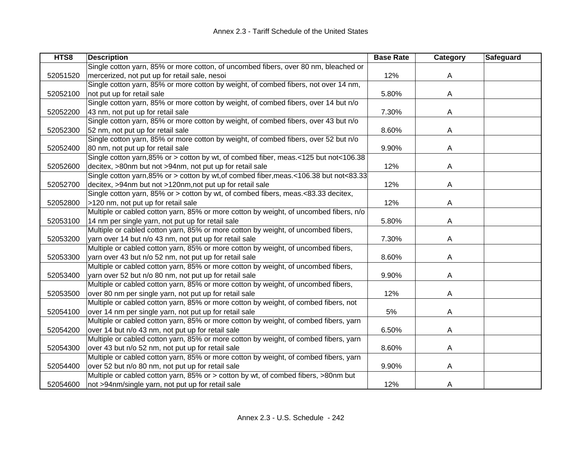| HTS8     | <b>Description</b>                                                                     | <b>Base Rate</b> | Category | Safeguard |
|----------|----------------------------------------------------------------------------------------|------------------|----------|-----------|
|          | Single cotton yarn, 85% or more cotton, of uncombed fibers, over 80 nm, bleached or    |                  |          |           |
| 52051520 | mercerized, not put up for retail sale, nesoi                                          | 12%              | A        |           |
|          | Single cotton yarn, 85% or more cotton by weight, of combed fibers, not over 14 nm,    |                  |          |           |
| 52052100 | not put up for retail sale                                                             | 5.80%            | A        |           |
|          | Single cotton yarn, 85% or more cotton by weight, of combed fibers, over 14 but n/o    |                  |          |           |
| 52052200 | 43 nm, not put up for retail sale                                                      | 7.30%            | A        |           |
|          | Single cotton yarn, 85% or more cotton by weight, of combed fibers, over 43 but n/o    |                  |          |           |
| 52052300 | 52 nm, not put up for retail sale                                                      | 8.60%            | A        |           |
|          | Single cotton yarn, 85% or more cotton by weight, of combed fibers, over 52 but n/o    |                  |          |           |
| 52052400 | 80 nm, not put up for retail sale                                                      | 9.90%            | A        |           |
|          | Single cotton yarn, 85% or > cotton by wt, of combed fiber, meas.<125 but not<106.38   |                  |          |           |
| 52052600 | decitex, >80nm but not >94nm, not put up for retail sale                               | 12%              | A        |           |
|          | Single cotton yarn, 85% or > cotton by wt, of combed fiber, meas.<106.38 but not<83.33 |                  |          |           |
| 52052700 | decitex, >94nm but not >120nm, not put up for retail sale                              | 12%              | A        |           |
|          | Single cotton yarn, 85% or > cotton by wt, of combed fibers, meas.<83.33 decitex,      |                  |          |           |
| 52052800 | >120 nm, not put up for retail sale                                                    | 12%              | A        |           |
|          | Multiple or cabled cotton yarn, 85% or more cotton by weight, of uncombed fibers, n/o  |                  |          |           |
| 52053100 | 14 nm per single yarn, not put up for retail sale                                      | 5.80%            | A        |           |
|          | Multiple or cabled cotton yarn, 85% or more cotton by weight, of uncombed fibers,      |                  |          |           |
| 52053200 | yarn over 14 but n/o 43 nm, not put up for retail sale                                 | 7.30%            | A        |           |
|          | Multiple or cabled cotton yarn, 85% or more cotton by weight, of uncombed fibers,      |                  |          |           |
| 52053300 | yarn over 43 but n/o 52 nm, not put up for retail sale                                 | 8.60%            | A        |           |
|          | Multiple or cabled cotton yarn, 85% or more cotton by weight, of uncombed fibers,      |                  |          |           |
| 52053400 | yarn over 52 but n/o 80 nm, not put up for retail sale                                 | 9.90%            | A        |           |
|          | Multiple or cabled cotton yarn, 85% or more cotton by weight, of uncombed fibers,      |                  |          |           |
| 52053500 | over 80 nm per single yarn, not put up for retail sale                                 | 12%              | A        |           |
|          | Multiple or cabled cotton yarn, 85% or more cotton by weight, of combed fibers, not    |                  |          |           |
| 52054100 | over 14 nm per single yarn, not put up for retail sale                                 | 5%               | A        |           |
|          | Multiple or cabled cotton yarn, 85% or more cotton by weight, of combed fibers, yarn   |                  |          |           |
| 52054200 | over 14 but n/o 43 nm, not put up for retail sale                                      | 6.50%            | Α        |           |
|          | Multiple or cabled cotton yarn, 85% or more cotton by weight, of combed fibers, yarn   |                  |          |           |
| 52054300 | over 43 but n/o 52 nm, not put up for retail sale                                      | 8.60%            | A        |           |
|          | Multiple or cabled cotton yarn, 85% or more cotton by weight, of combed fibers, yarn   |                  |          |           |
| 52054400 | over 52 but n/o 80 nm, not put up for retail sale                                      | 9.90%            | A        |           |
|          | Multiple or cabled cotton yarn, 85% or > cotton by wt, of combed fibers, >80nm but     |                  |          |           |
| 52054600 | not >94nm/single yarn, not put up for retail sale                                      | 12%              | A        |           |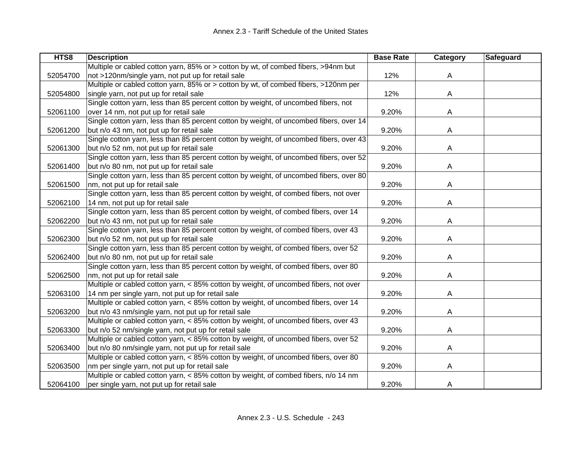| HTS8     | <b>Description</b>                                                                     | <b>Base Rate</b> | Category | <b>Safeguard</b> |
|----------|----------------------------------------------------------------------------------------|------------------|----------|------------------|
|          | Multiple or cabled cotton yarn, 85% or > cotton by wt, of combed fibers, >94nm but     |                  |          |                  |
| 52054700 | not >120nm/single yarn, not put up for retail sale                                     | 12%              | A        |                  |
|          | Multiple or cabled cotton yarn, 85% or > cotton by wt, of combed fibers, >120nm per    |                  |          |                  |
| 52054800 | single yarn, not put up for retail sale                                                | 12%              | A        |                  |
|          | Single cotton yarn, less than 85 percent cotton by weight, of uncombed fibers, not     |                  |          |                  |
| 52061100 | over 14 nm, not put up for retail sale                                                 | 9.20%            | Α        |                  |
|          | Single cotton yarn, less than 85 percent cotton by weight, of uncombed fibers, over 14 |                  |          |                  |
| 52061200 | but n/o 43 nm, not put up for retail sale                                              | 9.20%            | A        |                  |
|          | Single cotton yarn, less than 85 percent cotton by weight, of uncombed fibers, over 43 |                  |          |                  |
| 52061300 | but n/o 52 nm, not put up for retail sale                                              | 9.20%            | A        |                  |
|          | Single cotton yarn, less than 85 percent cotton by weight, of uncombed fibers, over 52 |                  |          |                  |
| 52061400 | but n/o 80 nm, not put up for retail sale                                              | 9.20%            | A        |                  |
|          | Single cotton yarn, less than 85 percent cotton by weight, of uncombed fibers, over 80 |                  |          |                  |
| 52061500 | nm, not put up for retail sale                                                         | 9.20%            | A        |                  |
|          | Single cotton yarn, less than 85 percent cotton by weight, of combed fibers, not over  |                  |          |                  |
| 52062100 | 14 nm, not put up for retail sale                                                      | 9.20%            | A        |                  |
|          | Single cotton yarn, less than 85 percent cotton by weight, of combed fibers, over 14   |                  |          |                  |
| 52062200 | but n/o 43 nm, not put up for retail sale                                              | 9.20%            | A        |                  |
|          | Single cotton yarn, less than 85 percent cotton by weight, of combed fibers, over 43   |                  |          |                  |
| 52062300 | but n/o 52 nm, not put up for retail sale                                              | 9.20%            | A        |                  |
|          | Single cotton yarn, less than 85 percent cotton by weight, of combed fibers, over 52   |                  |          |                  |
| 52062400 | but n/o 80 nm, not put up for retail sale                                              | 9.20%            | A        |                  |
|          | Single cotton yarn, less than 85 percent cotton by weight, of combed fibers, over 80   |                  |          |                  |
| 52062500 | nm, not put up for retail sale                                                         | 9.20%            | A        |                  |
|          | Multiple or cabled cotton yarn, < 85% cotton by weight, of uncombed fibers, not over   |                  |          |                  |
| 52063100 | 14 nm per single yarn, not put up for retail sale                                      | 9.20%            | Α        |                  |
|          | Multiple or cabled cotton yarn, < 85% cotton by weight, of uncombed fibers, over 14    |                  |          |                  |
| 52063200 | but n/o 43 nm/single yarn, not put up for retail sale                                  | 9.20%            | Α        |                  |
|          | Multiple or cabled cotton yarn, < 85% cotton by weight, of uncombed fibers, over 43    |                  |          |                  |
| 52063300 | but n/o 52 nm/single yarn, not put up for retail sale                                  | 9.20%            | A        |                  |
|          | Multiple or cabled cotton yarn, < 85% cotton by weight, of uncombed fibers, over 52    |                  |          |                  |
| 52063400 | but n/o 80 nm/single yarn, not put up for retail sale                                  | 9.20%            | A        |                  |
|          | Multiple or cabled cotton yarn, < 85% cotton by weight, of uncombed fibers, over 80    |                  |          |                  |
| 52063500 | nm per single yarn, not put up for retail sale                                         | 9.20%            | A        |                  |
|          | Multiple or cabled cotton yarn, < 85% cotton by weight, of combed fibers, n/o 14 nm    |                  |          |                  |
| 52064100 | per single yarn, not put up for retail sale                                            | 9.20%            | A        |                  |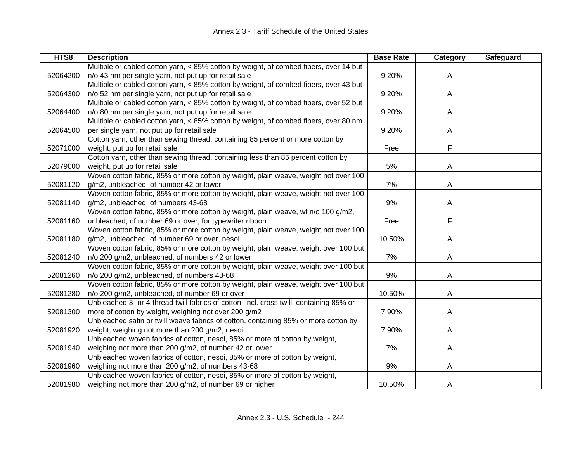| HTS8     | <b>Description</b>                                                                      | <b>Base Rate</b> | Category | Safeguard |
|----------|-----------------------------------------------------------------------------------------|------------------|----------|-----------|
|          | Multiple or cabled cotton yarn, < 85% cotton by weight, of combed fibers, over 14 but   |                  |          |           |
| 52064200 | n/o 43 nm per single yarn, not put up for retail sale                                   | 9.20%            | A        |           |
|          | Multiple or cabled cotton yarn, < 85% cotton by weight, of combed fibers, over 43 but   |                  |          |           |
| 52064300 | n/o 52 nm per single yarn, not put up for retail sale                                   | 9.20%            | Α        |           |
|          | Multiple or cabled cotton yarn, < 85% cotton by weight, of combed fibers, over 52 but   |                  |          |           |
| 52064400 | n/o 80 nm per single yarn, not put up for retail sale                                   | 9.20%            | Α        |           |
|          | Multiple or cabled cotton yarn, < 85% cotton by weight, of combed fibers, over 80 nm    |                  |          |           |
| 52064500 | per single yarn, not put up for retail sale                                             | 9.20%            | A        |           |
|          | Cotton yarn, other than sewing thread, containing 85 percent or more cotton by          |                  |          |           |
| 52071000 | weight, put up for retail sale                                                          | Free             | F        |           |
|          | Cotton yarn, other than sewing thread, containing less than 85 percent cotton by        |                  |          |           |
| 52079000 | weight, put up for retail sale                                                          | 5%               | A        |           |
|          | Woven cotton fabric, 85% or more cotton by weight, plain weave, weight not over 100     |                  |          |           |
| 52081120 | g/m2, unbleached, of number 42 or lower                                                 | 7%               | A        |           |
|          | Woven cotton fabric, 85% or more cotton by weight, plain weave, weight not over 100     |                  |          |           |
| 52081140 | g/m2, unbleached, of numbers 43-68                                                      | 9%               | A        |           |
|          | Woven cotton fabric, 85% or more cotton by weight, plain weave, wt n/o 100 g/m2,        |                  |          |           |
| 52081160 | unbleached, of number 69 or over, for typewriter ribbon                                 | Free             | F        |           |
|          | Woven cotton fabric, 85% or more cotton by weight, plain weave, weight not over 100     |                  |          |           |
| 52081180 | g/m2, unbleached, of number 69 or over, nesoi                                           | 10.50%           | A        |           |
|          | Woven cotton fabric, 85% or more cotton by weight, plain weave, weight over 100 but     |                  |          |           |
| 52081240 | n/o 200 g/m2, unbleached, of numbers 42 or lower                                        | 7%               | Α        |           |
|          | Woven cotton fabric, 85% or more cotton by weight, plain weave, weight over 100 but     |                  |          |           |
| 52081260 | n/o 200 g/m2, unbleached, of numbers 43-68                                              | 9%               | A        |           |
|          | Woven cotton fabric, 85% or more cotton by weight, plain weave, weight over 100 but     |                  |          |           |
| 52081280 | n/o 200 g/m2, unbleached, of number 69 or over                                          | 10.50%           | A        |           |
|          | Unbleached 3- or 4-thread twill fabrics of cotton, incl. cross twill, containing 85% or |                  |          |           |
| 52081300 | more of cotton by weight, weighing not over 200 g/m2                                    | 7.90%            | A        |           |
|          | Unbleached satin or twill weave fabrics of cotton, containing 85% or more cotton by     |                  |          |           |
| 52081920 | weight, weighing not more than 200 g/m2, nesoi                                          | 7.90%            | A        |           |
|          | Unbleached woven fabrics of cotton, nesoi, 85% or more of cotton by weight,             |                  |          |           |
| 52081940 | weighing not more than 200 g/m2, of number 42 or lower                                  | 7%               | A        |           |
|          | Unbleached woven fabrics of cotton, nesoi, 85% or more of cotton by weight,             |                  |          |           |
| 52081960 | weighing not more than 200 g/m2, of numbers 43-68                                       | 9%               | A        |           |
|          | Unbleached woven fabrics of cotton, nesoi, 85% or more of cotton by weight,             |                  |          |           |
| 52081980 | weighing not more than 200 g/m2, of number 69 or higher                                 | 10.50%           | A        |           |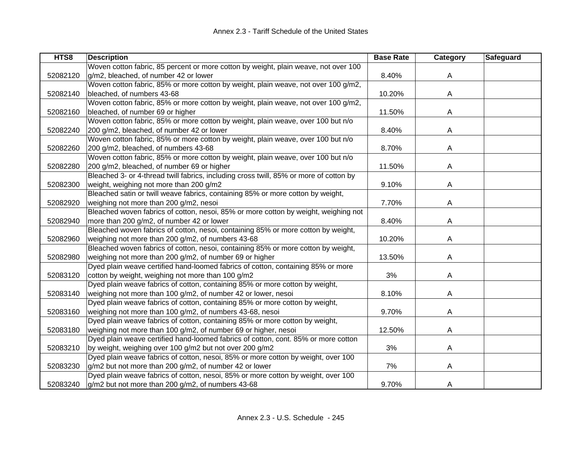| HTS8     | <b>Description</b>                                                                     | <b>Base Rate</b> | <b>Category</b> | Safeguard |
|----------|----------------------------------------------------------------------------------------|------------------|-----------------|-----------|
|          | Woven cotton fabric, 85 percent or more cotton by weight, plain weave, not over 100    |                  |                 |           |
| 52082120 | g/m2, bleached, of number 42 or lower                                                  | 8.40%            | A               |           |
|          | Woven cotton fabric, 85% or more cotton by weight, plain weave, not over 100 g/m2,     |                  |                 |           |
| 52082140 | bleached, of numbers 43-68                                                             | 10.20%           | A               |           |
|          | Woven cotton fabric, 85% or more cotton by weight, plain weave, not over 100 g/m2,     |                  |                 |           |
| 52082160 | bleached, of number 69 or higher                                                       | 11.50%           | A               |           |
|          | Woven cotton fabric, 85% or more cotton by weight, plain weave, over 100 but n/o       |                  |                 |           |
| 52082240 | 200 g/m2, bleached, of number 42 or lower                                              | 8.40%            | A               |           |
|          | Woven cotton fabric, 85% or more cotton by weight, plain weave, over 100 but n/o       |                  |                 |           |
| 52082260 | 200 g/m2, bleached, of numbers 43-68                                                   | 8.70%            | A               |           |
|          | Woven cotton fabric, 85% or more cotton by weight, plain weave, over 100 but n/o       |                  |                 |           |
| 52082280 | 200 g/m2, bleached, of number 69 or higher                                             | 11.50%           | A               |           |
|          | Bleached 3- or 4-thread twill fabrics, including cross twill, 85% or more of cotton by |                  |                 |           |
| 52082300 | weight, weighing not more than 200 g/m2                                                | 9.10%            | A               |           |
|          | Bleached satin or twill weave fabrics, containing 85% or more cotton by weight,        |                  |                 |           |
| 52082920 | weighing not more than 200 g/m2, nesoi                                                 | 7.70%            | A               |           |
|          | Bleached woven fabrics of cotton, nesoi, 85% or more cotton by weight, weighing not    |                  |                 |           |
| 52082940 | more than 200 g/m2, of number 42 or lower                                              | 8.40%            | A               |           |
|          | Bleached woven fabrics of cotton, nesoi, containing 85% or more cotton by weight,      |                  |                 |           |
| 52082960 | weighing not more than 200 g/m2, of numbers 43-68                                      | 10.20%           | A               |           |
|          | Bleached woven fabrics of cotton, nesoi, containing 85% or more cotton by weight,      |                  |                 |           |
| 52082980 | weighing not more than 200 g/m2, of number 69 or higher                                | 13.50%           | A               |           |
|          | Dyed plain weave certified hand-loomed fabrics of cotton, containing 85% or more       |                  |                 |           |
| 52083120 | cotton by weight, weighing not more than 100 g/m2                                      | 3%               | A               |           |
|          | Dyed plain weave fabrics of cotton, containing 85% or more cotton by weight,           |                  |                 |           |
| 52083140 | weighing not more than 100 g/m2, of number 42 or lower, nesoi                          | 8.10%            | A               |           |
|          | Dyed plain weave fabrics of cotton, containing 85% or more cotton by weight,           |                  |                 |           |
| 52083160 | weighing not more than 100 g/m2, of numbers 43-68, nesoi                               | 9.70%            | A               |           |
|          | Dyed plain weave fabrics of cotton, containing 85% or more cotton by weight,           |                  |                 |           |
| 52083180 | weighing not more than 100 g/m2, of number 69 or higher, nesoi                         | 12.50%           | A               |           |
|          | Dyed plain weave certified hand-loomed fabrics of cotton, cont. 85% or more cotton     |                  |                 |           |
| 52083210 | by weight, weighing over 100 g/m2 but not over 200 g/m2                                | 3%               | A               |           |
|          | Dyed plain weave fabrics of cotton, nesoi, 85% or more cotton by weight, over 100      |                  |                 |           |
| 52083230 | $g/m2$ but not more than 200 $g/m2$ , of number 42 or lower                            | 7%               | A               |           |
|          | Dyed plain weave fabrics of cotton, nesoi, 85% or more cotton by weight, over 100      |                  |                 |           |
| 52083240 | g/m2 but not more than 200 g/m2, of numbers 43-68                                      | 9.70%            | A               |           |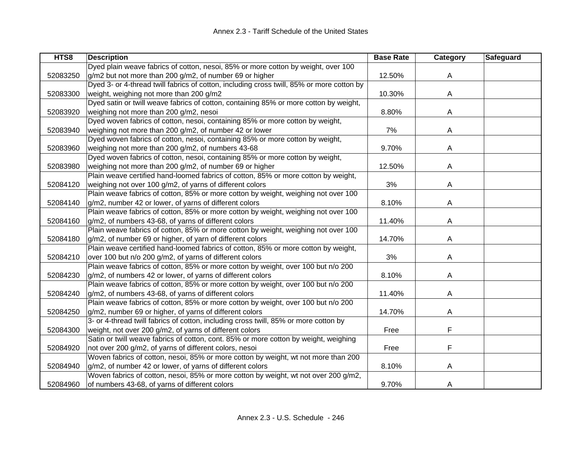| HTS8     | <b>Description</b>                                                                        | <b>Base Rate</b> | Category | Safeguard |
|----------|-------------------------------------------------------------------------------------------|------------------|----------|-----------|
|          | Dyed plain weave fabrics of cotton, nesoi, 85% or more cotton by weight, over 100         |                  |          |           |
| 52083250 | g/m2 but not more than 200 g/m2, of number 69 or higher                                   | 12.50%           | A        |           |
|          | Dyed 3- or 4-thread twill fabrics of cotton, including cross twill, 85% or more cotton by |                  |          |           |
| 52083300 | weight, weighing not more than 200 g/m2                                                   | 10.30%           | A        |           |
|          | Dyed satin or twill weave fabrics of cotton, containing 85% or more cotton by weight,     |                  |          |           |
| 52083920 | weighing not more than 200 g/m2, nesoi                                                    | 8.80%            | Α        |           |
|          | Dyed woven fabrics of cotton, nesoi, containing 85% or more cotton by weight,             |                  |          |           |
| 52083940 | weighing not more than 200 g/m2, of number 42 or lower                                    | 7%               | A        |           |
|          | Dyed woven fabrics of cotton, nesoi, containing 85% or more cotton by weight,             |                  |          |           |
| 52083960 | weighing not more than 200 g/m2, of numbers 43-68                                         | 9.70%            | A        |           |
|          | Dyed woven fabrics of cotton, nesoi, containing 85% or more cotton by weight,             |                  |          |           |
| 52083980 | weighing not more than 200 g/m2, of number 69 or higher                                   | 12.50%           | A        |           |
|          | Plain weave certified hand-loomed fabrics of cotton, 85% or more cotton by weight,        |                  |          |           |
| 52084120 | weighing not over 100 g/m2, of yarns of different colors                                  | 3%               | A        |           |
|          | Plain weave fabrics of cotton, 85% or more cotton by weight, weighing not over 100        |                  |          |           |
| 52084140 | g/m2, number 42 or lower, of yarns of different colors                                    | 8.10%            | A        |           |
|          | Plain weave fabrics of cotton, 85% or more cotton by weight, weighing not over 100        |                  |          |           |
| 52084160 | g/m2, of numbers 43-68, of yarns of different colors                                      | 11.40%           | A        |           |
|          | Plain weave fabrics of cotton, 85% or more cotton by weight, weighing not over 100        |                  |          |           |
| 52084180 | g/m2, of number 69 or higher, of yarn of different colors                                 | 14.70%           | A        |           |
|          | Plain weave certified hand-loomed fabrics of cotton, 85% or more cotton by weight,        |                  |          |           |
| 52084210 | over 100 but n/o 200 g/m2, of yarns of different colors                                   | 3%               | A        |           |
|          | Plain weave fabrics of cotton, 85% or more cotton by weight, over 100 but n/o 200         |                  |          |           |
| 52084230 | g/m2, of numbers 42 or lower, of yarns of different colors                                | 8.10%            | A        |           |
|          | Plain weave fabrics of cotton, 85% or more cotton by weight, over 100 but n/o 200         |                  |          |           |
| 52084240 | g/m2, of numbers 43-68, of yarns of different colors                                      | 11.40%           | Α        |           |
|          | Plain weave fabrics of cotton, 85% or more cotton by weight, over 100 but n/o 200         |                  |          |           |
| 52084250 | g/m2, number 69 or higher, of yarns of different colors                                   | 14.70%           | Α        |           |
|          | 3- or 4-thread twill fabrics of cotton, including cross twill, 85% or more cotton by      |                  |          |           |
| 52084300 | weight, not over 200 g/m2, of yarns of different colors                                   | Free             | F        |           |
|          | Satin or twill weave fabrics of cotton, cont. 85% or more cotton by weight, weighing      |                  |          |           |
| 52084920 | not over 200 g/m2, of yarns of different colors, nesoi                                    | Free             | F        |           |
|          | Woven fabrics of cotton, nesoi, 85% or more cotton by weight, wt not more than 200        |                  |          |           |
| 52084940 | g/m2, of number 42 or lower, of yarns of different colors                                 | 8.10%            | A        |           |
|          | Woven fabrics of cotton, nesoi, 85% or more cotton by weight, wt not over 200 g/m2,       |                  |          |           |
| 52084960 | of numbers 43-68, of yarns of different colors                                            | 9.70%            | A        |           |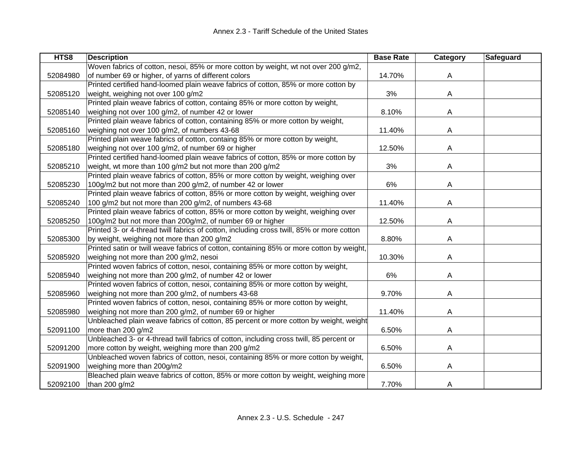| HTS8     | <b>Description</b>                                                                        | <b>Base Rate</b> | Category | Safeguard |
|----------|-------------------------------------------------------------------------------------------|------------------|----------|-----------|
|          | Woven fabrics of cotton, nesoi, 85% or more cotton by weight, wt not over 200 g/m2,       |                  |          |           |
| 52084980 | of number 69 or higher, of yarns of different colors                                      | 14.70%           | A        |           |
|          | Printed certified hand-loomed plain weave fabrics of cotton, 85% or more cotton by        |                  |          |           |
| 52085120 | weight, weighing not over 100 g/m2                                                        | 3%               | A        |           |
|          | Printed plain weave fabrics of cotton, containg 85% or more cotton by weight,             |                  |          |           |
| 52085140 | weighing not over 100 g/m2, of number 42 or lower                                         | 8.10%            | A        |           |
|          | Printed plain weave fabrics of cotton, containing 85% or more cotton by weight,           |                  |          |           |
| 52085160 | weighing not over 100 g/m2, of numbers 43-68                                              | 11.40%           | A        |           |
|          | Printed plain weave fabrics of cotton, containg 85% or more cotton by weight,             |                  |          |           |
| 52085180 | weighing not over 100 g/m2, of number 69 or higher                                        | 12.50%           | A        |           |
|          | Printed certified hand-loomed plain weave fabrics of cotton, 85% or more cotton by        |                  |          |           |
| 52085210 | weight, wt more than 100 g/m2 but not more than 200 g/m2                                  | 3%               | A        |           |
|          | Printed plain weave fabrics of cotton, 85% or more cotton by weight, weighing over        |                  |          |           |
| 52085230 | 100g/m2 but not more than 200 g/m2, of number 42 or lower                                 | 6%               | A        |           |
|          | Printed plain weave fabrics of cotton, 85% or more cotton by weight, weighing over        |                  |          |           |
| 52085240 | 100 g/m2 but not more than 200 g/m2, of numbers 43-68                                     | 11.40%           | A        |           |
|          | Printed plain weave fabrics of cotton, 85% or more cotton by weight, weighing over        |                  |          |           |
| 52085250 | 100g/m2 but not more than 200g/m2, of number 69 or higher                                 | 12.50%           | A        |           |
|          | Printed 3- or 4-thread twill fabrics of cotton, including cross twill, 85% or more cotton |                  |          |           |
| 52085300 | by weight, weighing not more than 200 g/m2                                                | 8.80%            | A        |           |
|          | Printed satin or twill weave fabrics of cotton, containing 85% or more cotton by weight,  |                  |          |           |
| 52085920 | weighing not more than 200 g/m2, nesoi                                                    | 10.30%           | A        |           |
|          | Printed woven fabrics of cotton, nesoi, containing 85% or more cotton by weight,          |                  |          |           |
| 52085940 | weighing not more than 200 g/m2, of number 42 or lower                                    | 6%               | A        |           |
|          | Printed woven fabrics of cotton, nesoi, containing 85% or more cotton by weight,          |                  |          |           |
| 52085960 | weighing not more than 200 g/m2, of numbers 43-68                                         | 9.70%            | A        |           |
|          | Printed woven fabrics of cotton, nesoi, containing 85% or more cotton by weight,          |                  |          |           |
| 52085980 | weighing not more than 200 g/m2, of number 69 or higher                                   | 11.40%           | A        |           |
|          | Unbleached plain weave fabrics of cotton, 85 percent or more cotton by weight, weight     |                  |          |           |
| 52091100 | more than 200 g/m2                                                                        | 6.50%            | A        |           |
|          | Unbleached 3- or 4-thread twill fabrics of cotton, including cross twill, 85 percent or   |                  |          |           |
| 52091200 | more cotton by weight, weighing more than 200 g/m2                                        | 6.50%            | A        |           |
|          | Unbleached woven fabrics of cotton, nesoi, containing 85% or more cotton by weight,       |                  |          |           |
| 52091900 | weighing more than 200g/m2                                                                | 6.50%            | A        |           |
|          | Bleached plain weave fabrics of cotton, 85% or more cotton by weight, weighing more       |                  |          |           |
| 52092100 | than 200 g/m2                                                                             | 7.70%            | A        |           |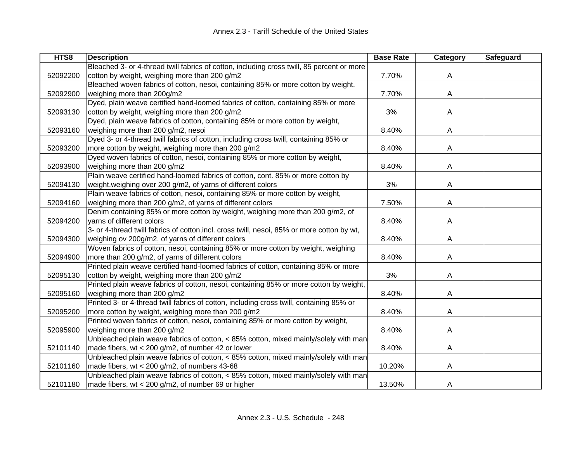| HTS8     | <b>Description</b>                                                                          | <b>Base Rate</b> | Category | Safeguard |
|----------|---------------------------------------------------------------------------------------------|------------------|----------|-----------|
|          | Bleached 3- or 4-thread twill fabrics of cotton, including cross twill, 85 percent or more  |                  |          |           |
| 52092200 | cotton by weight, weighing more than 200 g/m2                                               | 7.70%            | A        |           |
|          | Bleached woven fabrics of cotton, nesoi, containing 85% or more cotton by weight,           |                  |          |           |
| 52092900 | weighing more than 200g/m2                                                                  | 7.70%            | A        |           |
|          | Dyed, plain weave certified hand-loomed fabrics of cotton, containing 85% or more           |                  |          |           |
| 52093130 | cotton by weight, weighing more than 200 g/m2                                               | 3%               | Α        |           |
|          | Dyed, plain weave fabrics of cotton, containing 85% or more cotton by weight,               |                  |          |           |
| 52093160 | weighing more than 200 g/m2, nesoi                                                          | 8.40%            | A        |           |
|          | Dyed 3- or 4-thread twill fabrics of cotton, including cross twill, containing 85% or       |                  |          |           |
| 52093200 | more cotton by weight, weighing more than 200 g/m2                                          | 8.40%            | A        |           |
|          | Dyed woven fabrics of cotton, nesoi, containing 85% or more cotton by weight,               |                  |          |           |
| 52093900 | weighing more than 200 g/m2                                                                 | 8.40%            | A        |           |
|          | Plain weave certified hand-loomed fabrics of cotton, cont. 85% or more cotton by            |                  |          |           |
| 52094130 | weight, weighing over 200 g/m2, of yarns of different colors                                | 3%               | A        |           |
|          | Plain weave fabrics of cotton, nesoi, containing 85% or more cotton by weight,              |                  |          |           |
| 52094160 | weighing more than 200 g/m2, of yarns of different colors                                   | 7.50%            | A        |           |
|          | Denim containing 85% or more cotton by weight, weighing more than 200 g/m2, of              |                  |          |           |
| 52094200 | yarns of different colors                                                                   | 8.40%            | A        |           |
|          | 3- or 4-thread twill fabrics of cotton, incl. cross twill, nesoi, 85% or more cotton by wt, |                  |          |           |
| 52094300 | weighing ov 200g/m2, of yarns of different colors                                           | 8.40%            | Α        |           |
|          | Woven fabrics of cotton, nesoi, containing 85% or more cotton by weight, weighing           |                  |          |           |
| 52094900 | more than 200 g/m2, of yarns of different colors                                            | 8.40%            | Α        |           |
|          | Printed plain weave certified hand-loomed fabrics of cotton, containing 85% or more         |                  |          |           |
| 52095130 | cotton by weight, weighing more than 200 g/m2                                               | 3%               | A        |           |
|          | Printed plain weave fabrics of cotton, nesoi, containing 85% or more cotton by weight,      |                  |          |           |
| 52095160 | weighing more than 200 g/m2                                                                 | 8.40%            | Α        |           |
|          | Printed 3- or 4-thread twill fabrics of cotton, including cross twill, containing 85% or    |                  |          |           |
| 52095200 | more cotton by weight, weighing more than 200 g/m2                                          | 8.40%            | А        |           |
|          | Printed woven fabrics of cotton, nesoi, containing 85% or more cotton by weight,            |                  |          |           |
| 52095900 | weighing more than 200 g/m2                                                                 | 8.40%            | Α        |           |
|          | Unbleached plain weave fabrics of cotton, < 85% cotton, mixed mainly/solely with man        |                  |          |           |
| 52101140 | made fibers, wt < 200 g/m2, of number 42 or lower                                           | 8.40%            | A        |           |
|          | Unbleached plain weave fabrics of cotton, < 85% cotton, mixed mainly/solely with man        |                  |          |           |
| 52101160 | made fibers, wt < 200 g/m2, of numbers 43-68                                                | 10.20%           | A        |           |
|          | Unbleached plain weave fabrics of cotton, < 85% cotton, mixed mainly/solely with man        |                  |          |           |
| 52101180 | made fibers, wt < 200 g/m2, of number 69 or higher                                          | 13.50%           | A        |           |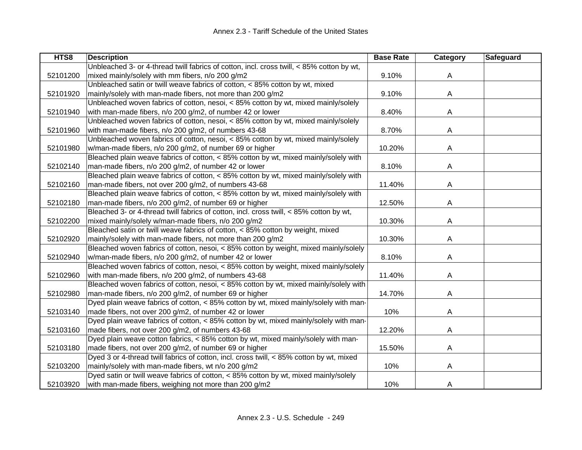| HTS8     | <b>Description</b>                                                                        | <b>Base Rate</b> | Category | Safeguard |
|----------|-------------------------------------------------------------------------------------------|------------------|----------|-----------|
|          | Unbleached 3- or 4-thread twill fabrics of cotton, incl. cross twill, < 85% cotton by wt, |                  |          |           |
| 52101200 | mixed mainly/solely with mm fibers, n/o 200 g/m2                                          | 9.10%            | A        |           |
|          | Unbleached satin or twill weave fabrics of cotton, < 85% cotton by wt, mixed              |                  |          |           |
| 52101920 | mainly/solely with man-made fibers, not more than 200 g/m2                                | 9.10%            | A        |           |
|          | Unbleached woven fabrics of cotton, nesoi, < 85% cotton by wt, mixed mainly/solely        |                  |          |           |
| 52101940 | with man-made fibers, n/o 200 g/m2, of number 42 or lower                                 | 8.40%            | Α        |           |
|          | Unbleached woven fabrics of cotton, nesoi, < 85% cotton by wt, mixed mainly/solely        |                  |          |           |
| 52101960 | with man-made fibers, n/o 200 g/m2, of numbers 43-68                                      | 8.70%            | A        |           |
|          | Unbleached woven fabrics of cotton, nesoi, < 85% cotton by wt, mixed mainly/solely        |                  |          |           |
| 52101980 | w/man-made fibers, n/o 200 g/m2, of number 69 or higher                                   | 10.20%           | A        |           |
|          | Bleached plain weave fabrics of cotton, < 85% cotton by wt, mixed mainly/solely with      |                  |          |           |
| 52102140 | man-made fibers, n/o 200 g/m2, of number 42 or lower                                      | 8.10%            | A        |           |
|          | Bleached plain weave fabrics of cotton, < 85% cotton by wt, mixed mainly/solely with      |                  |          |           |
| 52102160 | man-made fibers, not over 200 g/m2, of numbers 43-68                                      | 11.40%           | A        |           |
|          | Bleached plain weave fabrics of cotton, < 85% cotton by wt, mixed mainly/solely with      |                  |          |           |
| 52102180 | man-made fibers, n/o 200 g/m2, of number 69 or higher                                     | 12.50%           | A        |           |
|          | Bleached 3- or 4-thread twill fabrics of cotton, incl. cross twill, < 85% cotton by wt,   |                  |          |           |
| 52102200 | mixed mainly/solely w/man-made fibers, n/o 200 g/m2                                       | 10.30%           | Α        |           |
|          | Bleached satin or twill weave fabrics of cotton, < 85% cotton by weight, mixed            |                  |          |           |
| 52102920 | mainly/solely with man-made fibers, not more than 200 g/m2                                | 10.30%           | A        |           |
|          | Bleached woven fabrics of cotton, nesoi, < 85% cotton by weight, mixed mainly/solely      |                  |          |           |
| 52102940 | w/man-made fibers, n/o 200 g/m2, of number 42 or lower                                    | 8.10%            | A        |           |
|          | Bleached woven fabrics of cotton, nesoi, < 85% cotton by weight, mixed mainly/solely      |                  |          |           |
| 52102960 | with man-made fibers, n/o 200 g/m2, of numbers 43-68                                      | 11.40%           | A        |           |
|          | Bleached woven fabrics of cotton, nesoi, < 85% cotton by wt, mixed mainly/solely with     |                  |          |           |
| 52102980 | man-made fibers, n/o 200 g/m2, of number 69 or higher                                     | 14.70%           | Α        |           |
|          | Dyed plain weave fabrics of cotton, < 85% cotton by wt, mixed mainly/solely with man-     |                  |          |           |
| 52103140 | made fibers, not over 200 g/m2, of number 42 or lower                                     | 10%              | Α        |           |
|          | Dyed plain weave fabrics of cotton, < 85% cotton by wt, mixed mainly/solely with man-     |                  |          |           |
| 52103160 | made fibers, not over 200 g/m2, of numbers 43-68                                          | 12.20%           | Α        |           |
|          | Dyed plain weave cotton fabrics, < 85% cotton by wt, mixed mainly/solely with man-        |                  |          |           |
| 52103180 | made fibers, not over 200 g/m2, of number 69 or higher                                    | 15.50%           | A        |           |
|          | Dyed 3 or 4-thread twill fabrics of cotton, incl. cross twill, < 85% cotton by wt, mixed  |                  |          |           |
| 52103200 | mainly/solely with man-made fibers, wt n/o 200 g/m2                                       | 10%              | Α        |           |
|          | Dyed satin or twill weave fabrics of cotton, < 85% cotton by wt, mixed mainly/solely      |                  |          |           |
| 52103920 | with man-made fibers, weighing not more than 200 g/m2                                     | 10%              | A        |           |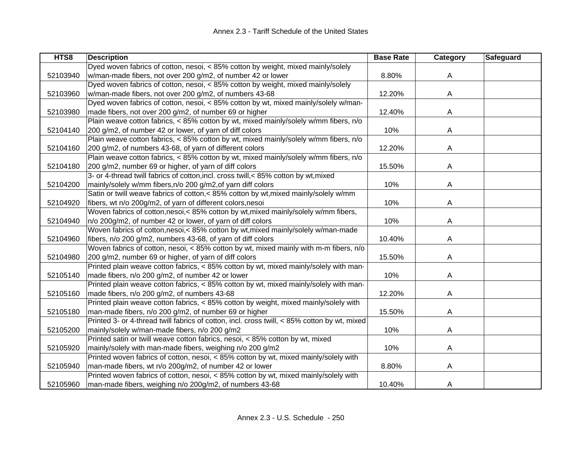| HTS8     | <b>Description</b>                                                                           | <b>Base Rate</b> | Category | Safeguard |
|----------|----------------------------------------------------------------------------------------------|------------------|----------|-----------|
|          | Dyed woven fabrics of cotton, nesoi, < 85% cotton by weight, mixed mainly/solely             |                  |          |           |
| 52103940 | w/man-made fibers, not over 200 g/m2, of number 42 or lower                                  | 8.80%            | A        |           |
|          | Dyed woven fabrics of cotton, nesoi, < 85% cotton by weight, mixed mainly/solely             |                  |          |           |
| 52103960 | w/man-made fibers, not over 200 g/m2, of numbers 43-68                                       | 12.20%           | A        |           |
|          | Dyed woven fabrics of cotton, nesoi, < 85% cotton by wt, mixed mainly/solely w/man-          |                  |          |           |
| 52103980 | made fibers, not over 200 g/m2, of number 69 or higher                                       | 12.40%           | A        |           |
|          | Plain weave cotton fabrics, < 85% cotton by wt, mixed mainly/solely w/mm fibers, n/o         |                  |          |           |
| 52104140 | 200 g/m2, of number 42 or lower, of yarn of diff colors                                      | 10%              | A        |           |
|          | Plain weave cotton fabrics, < 85% cotton by wt, mixed mainly/solely w/mm fibers, n/o         |                  |          |           |
| 52104160 | 200 g/m2, of numbers 43-68, of yarn of different colors                                      | 12.20%           | A        |           |
|          | Plain weave cotton fabrics, < 85% cotton by wt, mixed mainly/solely w/mm fibers, n/o         |                  |          |           |
| 52104180 | 200 g/m2, number 69 or higher, of yarn of diff colors                                        | 15.50%           | A        |           |
|          | 3- or 4-thread twill fabrics of cotton, incl. cross twill, < 85% cotton by wt, mixed         |                  |          |           |
| 52104200 | mainly/solely w/mm fibers, n/o 200 g/m2, of yarn diff colors                                 | 10%              | A        |           |
|          | Satin or twill weave fabrics of cotton,< 85% cotton by wt, mixed mainly/solely w/mm          |                  |          |           |
| 52104920 | fibers, wt n/o 200g/m2, of yarn of different colors, nesoi                                   | 10%              | A        |           |
|          | Woven fabrics of cotton, nesoi, < 85% cotton by wt, mixed mainly/solely w/mm fibers,         |                  |          |           |
| 52104940 | n/o 200g/m2, of number 42 or lower, of yarn of diff colors                                   | 10%              | A        |           |
|          | Woven fabrics of cotton, nesoi, < 85% cotton by wt, mixed mainly/solely w/man-made           |                  |          |           |
| 52104960 | fibers, n/o 200 g/m2, numbers 43-68, of yarn of diff colors                                  | 10.40%           | A        |           |
|          | Woven fabrics of cotton, nesoi, < 85% cotton by wt, mixed mainly with m-m fibers, n/o        |                  |          |           |
| 52104980 | 200 g/m2, number 69 or higher, of yarn of diff colors                                        | 15.50%           | A        |           |
|          | Printed plain weave cotton fabrics, < 85% cotton by wt, mixed mainly/solely with man-        |                  |          |           |
| 52105140 | made fibers, n/o 200 g/m2, of number 42 or lower                                             | 10%              | A        |           |
|          | Printed plain weave cotton fabrics, < 85% cotton by wt, mixed mainly/solely with man-        |                  |          |           |
| 52105160 | made fibers, n/o 200 g/m2, of numbers 43-68                                                  | 12.20%           | A        |           |
|          | Printed plain weave cotton fabrics, < 85% cotton by weight, mixed mainly/solely with         |                  |          |           |
| 52105180 | man-made fibers, n/o 200 g/m2, of number 69 or higher                                        | 15.50%           | A        |           |
|          | Printed 3- or 4-thread twill fabrics of cotton, incl. cross twill, < 85% cotton by wt, mixed |                  |          |           |
| 52105200 | mainly/solely w/man-made fibers, n/o 200 g/m2                                                | 10%              | A        |           |
|          | Printed satin or twill weave cotton fabrics, nesoi, < 85% cotton by wt, mixed                |                  |          |           |
| 52105920 | mainly/solely with man-made fibers, weighing n/o 200 g/m2                                    | 10%              | A        |           |
|          | Printed woven fabrics of cotton, nesoi, < 85% cotton by wt, mixed mainly/solely with         |                  |          |           |
| 52105940 | man-made fibers, wt n/o 200g/m2, of number 42 or lower                                       | 8.80%            | A        |           |
|          | Printed woven fabrics of cotton, nesoi, < 85% cotton by wt, mixed mainly/solely with         |                  |          |           |
| 52105960 | man-made fibers, weighing n/o 200g/m2, of numbers 43-68                                      | 10.40%           | A        |           |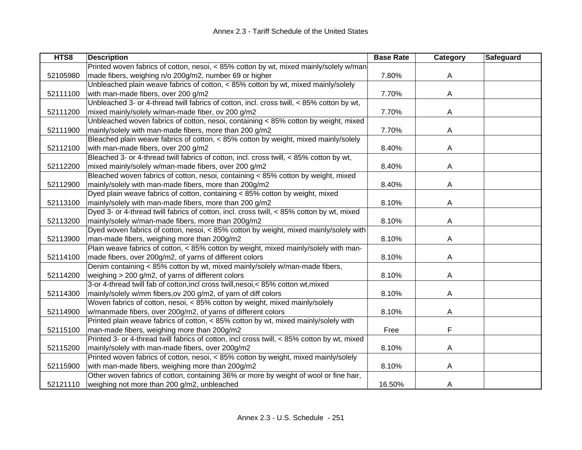| HTS8     | <b>Description</b>                                                                          | <b>Base Rate</b> | Category | Safeguard |
|----------|---------------------------------------------------------------------------------------------|------------------|----------|-----------|
|          | Printed woven fabrics of cotton, nesoi, < 85% cotton by wt, mixed mainly/solely w/man       |                  |          |           |
| 52105980 | made fibers, weighing n/o 200g/m2, number 69 or higher                                      | 7.80%            | A        |           |
|          | Unbleached plain weave fabrics of cotton, < 85% cotton by wt, mixed mainly/solely           |                  |          |           |
| 52111100 | with man-made fibers, over 200 g/m2                                                         | 7.70%            | A        |           |
|          | Unbleached 3- or 4-thread twill fabrics of cotton, incl. cross twill, < 85% cotton by wt,   |                  |          |           |
| 52111200 | mixed mainly/solely w/man-made fiber, ov 200 g/m2                                           | 7.70%            | A        |           |
|          | Unbleached woven fabrics of cotton, nesoi, containing < 85% cotton by weight, mixed         |                  |          |           |
| 52111900 | mainly/solely with man-made fibers, more than 200 g/m2                                      | 7.70%            | A        |           |
|          | Bleached plain weave fabrics of cotton, < 85% cotton by weight, mixed mainly/solely         |                  |          |           |
| 52112100 | with man-made fibers, over 200 g/m2                                                         | 8.40%            | A        |           |
|          | Bleached 3- or 4-thread twill fabrics of cotton, incl. cross twill, < 85% cotton by wt,     |                  |          |           |
| 52112200 | mixed mainly/solely w/man-made fibers, over 200 g/m2                                        | 8.40%            | A        |           |
|          | Bleached woven fabrics of cotton, nesoi, containing < 85% cotton by weight, mixed           |                  |          |           |
| 52112900 | mainly/solely with man-made fibers, more than 200g/m2                                       | 8.40%            | A        |           |
|          | Dyed plain weave fabrics of cotton, containing < 85% cotton by weight, mixed                |                  |          |           |
| 52113100 | mainly/solely with man-made fibers, more than 200 g/m2                                      | 8.10%            | A        |           |
|          | Dyed 3- or 4-thread twill fabrics of cotton, incl. cross twill, < 85% cotton by wt, mixed   |                  |          |           |
| 52113200 | mainly/solely w/man-made fibers, more than 200g/m2                                          | 8.10%            | A        |           |
|          | Dyed woven fabrics of cotton, nesoi, < 85% cotton by weight, mixed mainly/solely with       |                  |          |           |
| 52113900 | man-made fibers, weighing more than 200g/m2                                                 | 8.10%            | A        |           |
|          | Plain weave fabrics of cotton, < 85% cotton by weight, mixed mainly/solely with man-        |                  |          |           |
| 52114100 | made fibers, over 200g/m2, of yarns of different colors                                     | 8.10%            | A        |           |
|          | Denim containing < 85% cotton by wt, mixed mainly/solely w/man-made fibers,                 |                  |          |           |
| 52114200 | weighing > 200 g/m2, of yarns of different colors                                           | 8.10%            | A        |           |
|          | 3-or 4-thread twill fab of cotton, incl cross twill, nesoi, < 85% cotton wt, mixed          |                  |          |           |
| 52114300 | mainly/solely w/mm fibers, ov 200 g/m2, of yarn of diff colors                              | 8.10%            | A        |           |
|          | Woven fabrics of cotton, nesoi, < 85% cotton by weight, mixed mainly/solely                 |                  |          |           |
| 52114900 | w/manmade fibers, over 200g/m2, of yarns of different colors                                | 8.10%            | A        |           |
|          | Printed plain weave fabrics of cotton, < 85% cotton by wt, mixed mainly/solely with         |                  |          |           |
| 52115100 | man-made fibers, weighing more than 200g/m2                                                 | Free             | F        |           |
|          | Printed 3- or 4-thread twill fabrics of cotton, incl cross twill, < 85% cotton by wt, mixed |                  |          |           |
| 52115200 | mainly/solely with man-made fibers, over 200g/m2                                            | 8.10%            | A        |           |
|          | Printed woven fabrics of cotton, nesoi, < 85% cotton by weight, mixed mainly/solely         |                  |          |           |
| 52115900 | with man-made fibers, weighing more than 200g/m2                                            | 8.10%            | A        |           |
|          | Other woven fabrics of cotton, containing 36% or more by weight of wool or fine hair,       |                  |          |           |
| 52121110 | weighing not more than 200 g/m2, unbleached                                                 | 16.50%           | A        |           |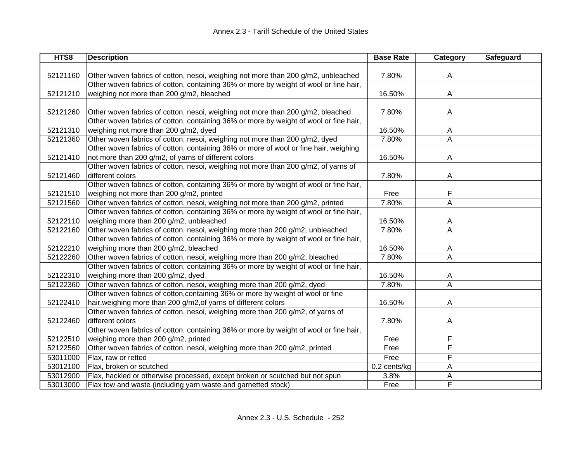| HTS8     | <b>Description</b>                                                                    | <b>Base Rate</b> | Category                | Safeguard |
|----------|---------------------------------------------------------------------------------------|------------------|-------------------------|-----------|
|          |                                                                                       |                  |                         |           |
| 52121160 | Other woven fabrics of cotton, nesoi, weighing not more than 200 g/m2, unbleached     | 7.80%            | A                       |           |
|          | Other woven fabrics of cotton, containing 36% or more by weight of wool or fine hair, |                  |                         |           |
| 52121210 | weighing not more than 200 g/m2, bleached                                             | 16.50%           | A                       |           |
|          |                                                                                       |                  |                         |           |
| 52121260 | Other woven fabrics of cotton, nesoi, weighing not more than 200 g/m2, bleached       | 7.80%            | A                       |           |
|          | Other woven fabrics of cotton, containing 36% or more by weight of wool or fine hair, |                  |                         |           |
| 52121310 | weighing not more than 200 g/m2, dyed                                                 | 16.50%           | A                       |           |
| 52121360 | Other woven fabrics of cotton, nesoi, weighing not more than 200 g/m2, dyed           | 7.80%            | Α                       |           |
|          | Other woven fabrics of cotton, containing 36% or more of wool or fine hair, weighing  |                  |                         |           |
| 52121410 | not more than 200 g/m2, of yarns of different colors                                  | 16.50%           | A                       |           |
|          | Other woven fabrics of cotton, nesoi, weighing not more than 200 g/m2, of yarns of    |                  |                         |           |
| 52121460 | different colors                                                                      | 7.80%            | A                       |           |
|          | Other woven fabrics of cotton, containing 36% or more by weight of wool or fine hair, |                  |                         |           |
| 52121510 | weighing not more than 200 g/m2, printed                                              | Free             | F                       |           |
| 52121560 | Other woven fabrics of cotton, nesoi, weighing not more than 200 g/m2, printed        | 7.80%            | A                       |           |
|          | Other woven fabrics of cotton, containing 36% or more by weight of wool or fine hair, |                  |                         |           |
| 52122110 | weighing more than 200 g/m2, unbleached                                               | 16.50%           | A                       |           |
| 52122160 | Other woven fabrics of cotton, nesoi, weighing more than 200 g/m2, unbleached         | 7.80%            | A                       |           |
|          | Other woven fabrics of cotton, containing 36% or more by weight of wool or fine hair, |                  |                         |           |
| 52122210 | weighing more than 200 g/m2, bleached                                                 | 16.50%           | A                       |           |
| 52122260 | Other woven fabrics of cotton, nesoi, weighing more than 200 g/m2, bleached           | 7.80%            | A                       |           |
|          | Other woven fabrics of cotton, containing 36% or more by weight of wool or fine hair, |                  |                         |           |
| 52122310 | weighing more than 200 g/m2, dyed                                                     | 16.50%           | A                       |           |
| 52122360 | Other woven fabrics of cotton, nesoi, weighing more than 200 g/m2, dyed               | 7.80%            | $\overline{\mathsf{A}}$ |           |
|          | Other woven fabrics of cotton, containing 36% or more by weight of wool or fine       |                  |                         |           |
| 52122410 | hair, weighing more than 200 g/m2, of yarns of different colors                       | 16.50%           | A                       |           |
|          | Other woven fabrics of cotton, nesoi, weighing more than 200 g/m2, of yarns of        |                  |                         |           |
| 52122460 | different colors                                                                      | 7.80%            | A                       |           |
|          | Other woven fabrics of cotton, containing 36% or more by weight of wool or fine hair, |                  |                         |           |
| 52122510 | weighing more than 200 g/m2, printed                                                  | Free             | F                       |           |
| 52122560 | Other woven fabrics of cotton, nesoi, weighing more than 200 g/m2, printed            | Free             | F                       |           |
| 53011000 | Flax, raw or retted                                                                   | Free             | F                       |           |
| 53012100 | Flax, broken or scutched                                                              | 0.2 cents/kg     | A                       |           |
| 53012900 | Flax, hackled or otherwise processed, except broken or scutched but not spun          | 3.8%             | Α                       |           |
| 53013000 | Flax tow and waste (including yarn waste and garnetted stock)                         | Free             | F                       |           |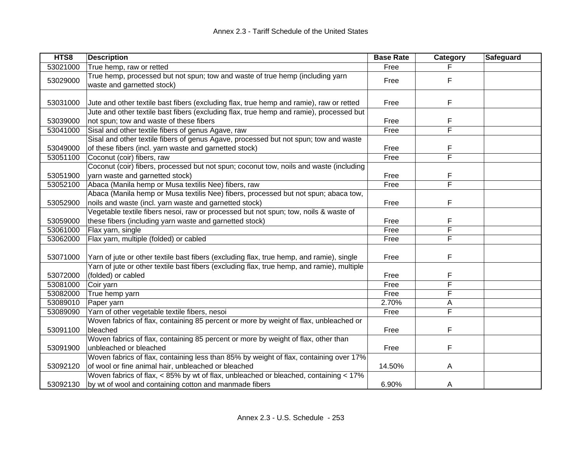| HTS8     | <b>Description</b>                                                                           | <b>Base Rate</b> | Category | Safeguard |
|----------|----------------------------------------------------------------------------------------------|------------------|----------|-----------|
| 53021000 | True hemp, raw or retted                                                                     | Free             |          |           |
| 53029000 | True hemp, processed but not spun; tow and waste of true hemp (including yarn                | Free             | F        |           |
|          | waste and garnetted stock)                                                                   |                  |          |           |
|          |                                                                                              |                  |          |           |
| 53031000 | Jute and other textile bast fibers (excluding flax, true hemp and ramie), raw or retted      | Free             | F        |           |
|          | Jute and other textile bast fibers (excluding flax, true hemp and ramie), processed but      |                  |          |           |
| 53039000 | not spun; tow and waste of these fibers                                                      | Free             | F        |           |
| 53041000 | Sisal and other textile fibers of genus Agave, raw                                           | Free             | F        |           |
|          | Sisal and other textile fibers of genus Agave, processed but not spun; tow and waste         |                  |          |           |
| 53049000 | of these fibers (incl. yarn waste and garnetted stock)                                       | Free             | F        |           |
| 53051100 | Coconut (coir) fibers, raw                                                                   | Free             | F        |           |
|          | Coconut (coir) fibers, processed but not spun; coconut tow, noils and waste (including       |                  |          |           |
| 53051900 | yarn waste and garnetted stock)                                                              | Free             | F        |           |
| 53052100 | Abaca (Manila hemp or Musa textilis Nee) fibers, raw                                         | Free             | F        |           |
|          | Abaca (Manila hemp or Musa textilis Nee) fibers, processed but not spun; abaca tow,          |                  |          |           |
| 53052900 | noils and waste (incl. yarn waste and garnetted stock)                                       | Free             | F        |           |
|          | Vegetable textile fibers nesoi, raw or processed but not spun; tow, noils & waste of         |                  |          |           |
| 53059000 | these fibers (including yarn waste and garnetted stock)                                      | Free             | F        |           |
| 53061000 | Flax yarn, single                                                                            | Free             | F        |           |
| 53062000 | Flax yarn, multiple (folded) or cabled                                                       | Free             | F        |           |
|          |                                                                                              |                  |          |           |
| 53071000 | Yarn of jute or other textile bast fibers (excluding flax, true hemp, and ramie), single     | Free             | F        |           |
|          | Yarn of jute or other textile bast fibers (excluding flax, true hemp, and ramie), multiple   |                  |          |           |
| 53072000 | (folded) or cabled                                                                           | Free             | F        |           |
| 53081000 | Coir yarn                                                                                    | Free             | F        |           |
| 53082000 | True hemp yarn                                                                               | Free             | F        |           |
| 53089010 | Paper yarn                                                                                   | 2.70%            | Α        |           |
| 53089090 | Yarn of other vegetable textile fibers, nesoi                                                | Free             | F        |           |
|          | Woven fabrics of flax, containing 85 percent or more by weight of flax, unbleached or        |                  |          |           |
| 53091100 | bleached                                                                                     | Free             | F        |           |
|          | Woven fabrics of flax, containing 85 percent or more by weight of flax, other than           |                  |          |           |
| 53091900 | unbleached or bleached                                                                       | Free             | F        |           |
|          | Woven fabrics of flax, containing less than 85% by weight of flax, containing over 17%       |                  |          |           |
| 53092120 | of wool or fine animal hair, unbleached or bleached                                          | 14.50%           | A        |           |
|          | Woven fabrics of flax, $\lt$ 85% by wt of flax, unbleached or bleached, containing $\lt$ 17% |                  |          |           |
| 53092130 | by wt of wool and containing cotton and manmade fibers                                       | 6.90%            | A        |           |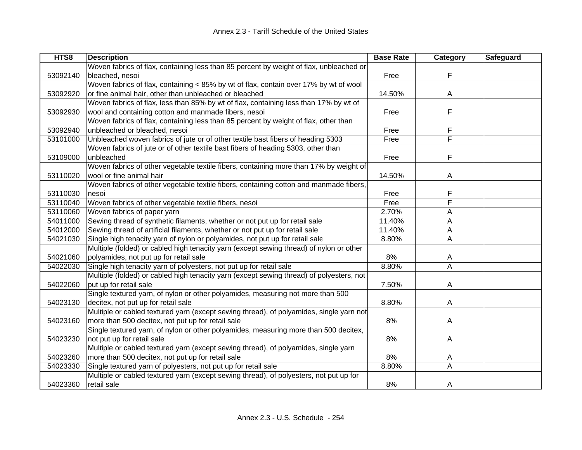| HTS8     | <b>Description</b>                                                                       | <b>Base Rate</b> | Category                | Safeguard |
|----------|------------------------------------------------------------------------------------------|------------------|-------------------------|-----------|
|          | Woven fabrics of flax, containing less than 85 percent by weight of flax, unbleached or  |                  |                         |           |
| 53092140 | bleached, nesoi                                                                          | Free             | F                       |           |
|          | Woven fabrics of flax, containing < 85% by wt of flax, contain over 17% by wt of wool    |                  |                         |           |
| 53092920 | or fine animal hair, other than unbleached or bleached                                   | 14.50%           | A                       |           |
|          | Woven fabrics of flax, less than 85% by wt of flax, containing less than 17% by wt of    |                  |                         |           |
| 53092930 | wool and containing cotton and manmade fibers, nesoi                                     | Free             | F                       |           |
|          | Woven fabrics of flax, containing less than 85 percent by weight of flax, other than     |                  |                         |           |
| 53092940 | unbleached or bleached, nesoi                                                            | Free             | F                       |           |
| 53101000 | Unbleached woven fabrics of jute or of other textile bast fibers of heading 5303         | Free             | $\overline{\mathsf{F}}$ |           |
|          | Woven fabrics of jute or of other textile bast fibers of heading 5303, other than        |                  |                         |           |
| 53109000 | unbleached                                                                               | Free             | F                       |           |
|          | Woven fabrics of other vegetable textile fibers, containing more than 17% by weight of   |                  |                         |           |
| 53110020 | wool or fine animal hair                                                                 | 14.50%           | Α                       |           |
|          | Woven fabrics of other vegetable textile fibers, containing cotton and manmade fibers,   |                  |                         |           |
| 53110030 | nesoi                                                                                    | Free             | F                       |           |
| 53110040 | Woven fabrics of other vegetable textile fibers, nesoi                                   | Free             | F                       |           |
| 53110060 | Woven fabrics of paper yarn                                                              | 2.70%            | Α                       |           |
| 54011000 | Sewing thread of synthetic filaments, whether or not put up for retail sale              | 11.40%           | A                       |           |
| 54012000 | Sewing thread of artificial filaments, whether or not put up for retail sale             | 11.40%           | Α                       |           |
| 54021030 | Single high tenacity yarn of nylon or polyamides, not put up for retail sale             | 8.80%            | Α                       |           |
|          | Multiple (folded) or cabled high tenacity yarn (except sewing thread) of nylon or other  |                  |                         |           |
| 54021060 | polyamides, not put up for retail sale                                                   | 8%               | A                       |           |
| 54022030 | Single high tenacity yarn of polyesters, not put up for retail sale                      | 8.80%            | $\overline{\mathsf{A}}$ |           |
|          | Multiple (folded) or cabled high tenacity yarn (except sewing thread) of polyesters, not |                  |                         |           |
| 54022060 | put up for retail sale                                                                   | 7.50%            | Α                       |           |
|          | Single textured yarn, of nylon or other polyamides, measuring not more than 500          |                  |                         |           |
| 54023130 | decitex, not put up for retail sale                                                      | 8.80%            | A                       |           |
|          | Multiple or cabled textured yarn (except sewing thread), of polyamides, single yarn not  |                  |                         |           |
| 54023160 | more than 500 decitex, not put up for retail sale                                        | 8%               | A                       |           |
|          | Single textured yarn, of nylon or other polyamides, measuring more than 500 decitex,     |                  |                         |           |
| 54023230 | not put up for retail sale                                                               | 8%               | A                       |           |
|          | Multiple or cabled textured yarn (except sewing thread), of polyamides, single yarn      |                  |                         |           |
| 54023260 | more than 500 decitex, not put up for retail sale                                        | 8%               | A                       |           |
| 54023330 | Single textured yarn of polyesters, not put up for retail sale                           | 8.80%            | A                       |           |
|          | Multiple or cabled textured yarn (except sewing thread), of polyesters, not put up for   |                  |                         |           |
| 54023360 | retail sale                                                                              | 8%               | A                       |           |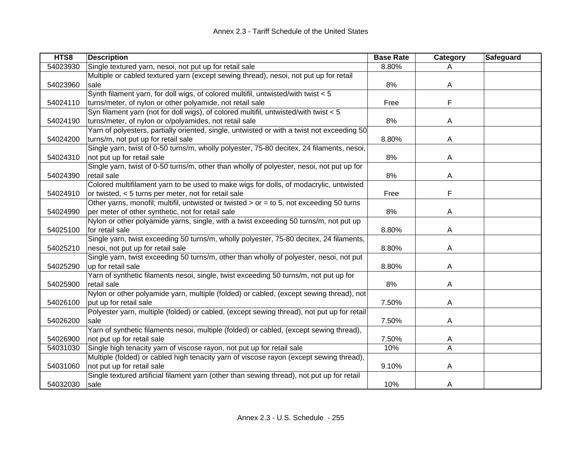| HTS8     | <b>Description</b>                                                                         | <b>Base Rate</b> | Category                | Safeguard |
|----------|--------------------------------------------------------------------------------------------|------------------|-------------------------|-----------|
| 54023930 | Single textured yarn, nesoi, not put up for retail sale                                    | 8.80%            | A                       |           |
|          | Multiple or cabled textured yarn (except sewing thread), nesoi, not put up for retail      |                  |                         |           |
| 54023960 | sale                                                                                       | 8%               | A                       |           |
|          | Synth filament yarn, for doll wigs, of colored multifil, untwisted/with twist < 5          |                  |                         |           |
| 54024110 | turns/meter, of nylon or other polyamide, not retail sale                                  | Free             | F                       |           |
|          | Syn filament yarn (not for doll wigs), of colored multifil, untwisted/with twist < 5       |                  |                         |           |
| 54024190 | turns/meter, of nylon or o/polyamides, not retail sale                                     | 8%               | A                       |           |
|          | Yarn of polyesters, partially oriented, single, untwisted or with a twist not exceeding 50 |                  |                         |           |
| 54024200 | turns/m, not put up for retail sale                                                        | 8.80%            | Α                       |           |
|          | Single yarn, twist of 0-50 turns/m, wholly polyester, 75-80 decitex, 24 filaments, nesoi,  |                  |                         |           |
| 54024310 | not put up for retail sale                                                                 | 8%               | A                       |           |
|          | Single yarn, twist of 0-50 turns/m, other than wholly of polyester, nesoi, not put up for  |                  |                         |           |
| 54024390 | retail sale                                                                                | 8%               | A                       |           |
|          | Colored multifilament yarn to be used to make wigs for dolls, of modacrylic, untwisted     |                  |                         |           |
| 54024910 | or twisted, < 5 turns per meter, not for retail sale                                       | Free             | F                       |           |
|          | Other yarns, monofil; multifil, untwisted or twisted > or = to 5, not exceeding 50 turns   |                  |                         |           |
| 54024990 | per meter of other synthetic, not for retail sale                                          | 8%               | A                       |           |
|          | Nylon or other polyamide yarns, single, with a twist exceeding 50 turns/m, not put up      |                  |                         |           |
| 54025100 | for retail sale                                                                            | 8.80%            | A                       |           |
|          | Single yarn, twist exceeding 50 turns/m, wholly polyester, 75-80 decitex, 24 filaments,    |                  |                         |           |
| 54025210 | nesoi, not put up for retail sale                                                          | 8.80%            | A                       |           |
|          | Single yarn, twist exceeding 50 turns/m, other than wholly of polyester, nesoi, not put    |                  |                         |           |
| 54025290 | up for retail sale                                                                         | 8.80%            | Α                       |           |
|          | Yarn of synthetic filaments nesoi, single, twist exceeding 50 turns/m, not put up for      |                  |                         |           |
| 54025900 | retail sale                                                                                | 8%               | A                       |           |
|          | Nylon or other polyamide yarn, multiple (folded) or cabled, (except sewing thread), not    |                  |                         |           |
| 54026100 | put up for retail sale                                                                     | 7.50%            | A                       |           |
|          | Polyester yarn, multiple (folded) or cabled, (except sewing thread), not put up for retail |                  |                         |           |
| 54026200 | sale                                                                                       | 7.50%            | A                       |           |
|          | Yarn of synthetic filaments nesoi, multiple (folded) or cabled, (except sewing thread),    |                  |                         |           |
| 54026900 | not put up for retail sale                                                                 | 7.50%            | A                       |           |
| 54031030 | Single high tenacity yarn of viscose rayon, not put up for retail sale                     | 10%              | $\overline{\mathsf{A}}$ |           |
|          | Multiple (folded) or cabled high tenacity yarn of viscose rayon (except sewing thread),    |                  |                         |           |
| 54031060 | not put up for retail sale                                                                 | 9.10%            | A                       |           |
|          | Single textured artificial filament yarn (other than sewing thread), not put up for retail |                  |                         |           |
| 54032030 | sale                                                                                       | 10%              | A                       |           |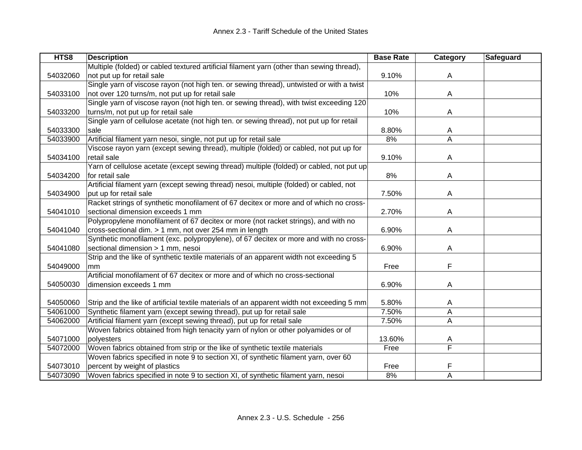| HTS8     | <b>Description</b>                                                                         | <b>Base Rate</b> | <b>Category</b>         | <b>Safeguard</b> |
|----------|--------------------------------------------------------------------------------------------|------------------|-------------------------|------------------|
|          | Multiple (folded) or cabled textured artificial filament yarn (other than sewing thread),  |                  |                         |                  |
| 54032060 | not put up for retail sale                                                                 | 9.10%            | A                       |                  |
|          | Single yarn of viscose rayon (not high ten. or sewing thread), untwisted or with a twist   |                  |                         |                  |
| 54033100 | not over 120 turns/m, not put up for retail sale                                           | 10%              | A                       |                  |
|          | Single yarn of viscose rayon (not high ten. or sewing thread), with twist exceeding 120    |                  |                         |                  |
| 54033200 | turns/m, not put up for retail sale                                                        | 10%              | A                       |                  |
|          | Single yarn of cellulose acetate (not high ten. or sewing thread), not put up for retail   |                  |                         |                  |
| 54033300 | sale                                                                                       | 8.80%            | A                       |                  |
| 54033900 | Artificial filament yarn nesoi, single, not put up for retail sale                         | 8%               | A                       |                  |
|          | Viscose rayon yarn (except sewing thread), multiple (folded) or cabled, not put up for     |                  |                         |                  |
| 54034100 | retail sale                                                                                | 9.10%            | Α                       |                  |
|          | Yarn of cellulose acetate (except sewing thread) multiple (folded) or cabled, not put up   |                  |                         |                  |
| 54034200 | for retail sale                                                                            | 8%               | Α                       |                  |
|          | Artificial filament yarn (except sewing thread) nesoi, multiple (folded) or cabled, not    |                  |                         |                  |
| 54034900 | put up for retail sale                                                                     | 7.50%            | A                       |                  |
|          | Racket strings of synthetic monofilament of 67 decitex or more and of which no cross-      |                  |                         |                  |
| 54041010 | sectional dimension exceeds 1 mm                                                           | 2.70%            | A                       |                  |
|          | Polypropylene monofilament of 67 decitex or more (not racket strings), and with no         |                  |                         |                  |
| 54041040 | cross-sectional dim. > 1 mm, not over 254 mm in length                                     | 6.90%            | Α                       |                  |
|          | Synthetic monofilament (exc. polypropylene), of 67 decitex or more and with no cross-      |                  |                         |                  |
| 54041080 | sectional dimension > 1 mm, nesoi                                                          | 6.90%            | Α                       |                  |
|          | Strip and the like of synthetic textile materials of an apparent width not exceeding 5     |                  |                         |                  |
| 54049000 | mm                                                                                         | Free             | F                       |                  |
|          | Artificial monofilament of 67 decitex or more and of which no cross-sectional              |                  |                         |                  |
| 54050030 | dimension exceeds 1 mm                                                                     | 6.90%            | A                       |                  |
|          |                                                                                            |                  |                         |                  |
| 54050060 | Strip and the like of artificial textile materials of an apparent width not exceeding 5 mm | 5.80%            | A                       |                  |
| 54061000 | Synthetic filament yarn (except sewing thread), put up for retail sale                     | 7.50%            | A                       |                  |
| 54062000 | Artificial filament yarn (except sewing thread), put up for retail sale                    | 7.50%            | A                       |                  |
|          | Woven fabrics obtained from high tenacity yarn of nylon or other polyamides or of          |                  |                         |                  |
| 54071000 | polyesters                                                                                 | 13.60%           | A                       |                  |
| 54072000 | Woven fabrics obtained from strip or the like of synthetic textile materials               | Free             | $\overline{\mathsf{F}}$ |                  |
|          | Woven fabrics specified in note 9 to section XI, of synthetic filament yarn, over 60       |                  |                         |                  |
| 54073010 | percent by weight of plastics                                                              | Free             | F                       |                  |
| 54073090 | Woven fabrics specified in note 9 to section XI, of synthetic filament yarn, nesoi         | 8%               | Α                       |                  |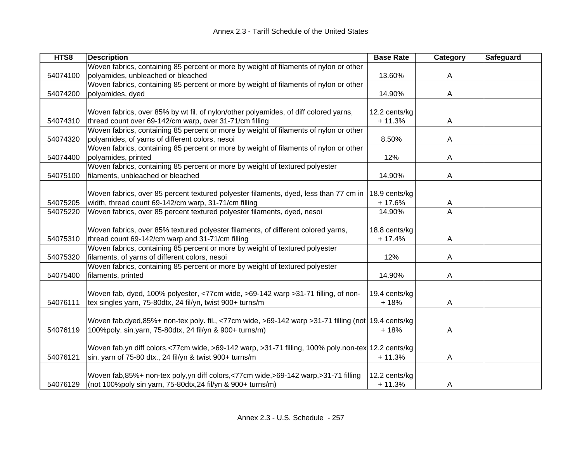| Woven fabrics, containing 85 percent or more by weight of filaments of nylon or other<br>polyamides, unbleached or bleached<br>54074100<br>13.60%<br>A<br>Woven fabrics, containing 85 percent or more by weight of filaments of nylon or other<br>54074200<br>polyamides, dyed<br>14.90%<br>A<br>Woven fabrics, over 85% by wt fil. of nylon/other polyamides, of diff colored yarns,<br>12.2 cents/kg<br>thread count over 69-142/cm warp, over 31-71/cm filling<br>$+11.3%$<br>54074310<br>A<br>Woven fabrics, containing 85 percent or more by weight of filaments of nylon or other<br>polyamides, of yarns of different colors, nesoi<br>8.50%<br>54074320<br>A<br>Woven fabrics, containing 85 percent or more by weight of filaments of nylon or other<br>54074400<br>polyamides, printed<br>12%<br>A<br>Woven fabrics, containing 85 percent or more by weight of textured polyester<br>54075100<br>filaments, unbleached or bleached<br>14.90%<br>A<br>Woven fabrics, over 85 percent textured polyester filaments, dyed, less than 77 cm in<br>18.9 cents/kg<br>width, thread count 69-142/cm warp, 31-71/cm filling<br>$+17.6%$<br>54075205<br>A<br>54075220<br>Woven fabrics, over 85 percent textured polyester filaments, dyed, nesoi<br>14.90%<br>Α<br>Woven fabrics, over 85% textured polyester filaments, of different colored yarns,<br>18.8 cents/kg<br>thread count 69-142/cm warp and 31-71/cm filling<br>54075310<br>$+17.4%$<br>A<br>Woven fabrics, containing 85 percent or more by weight of textured polyester<br>filaments, of yarns of different colors, nesoi<br>12%<br>54075320<br>A<br>Woven fabrics, containing 85 percent or more by weight of textured polyester<br>54075400<br>filaments, printed<br>14.90%<br>A<br>Woven fab, dyed, 100% polyester, <77cm wide, >69-142 warp >31-71 filling, of non-<br>19.4 cents/kg<br>tex singles yarn, 75-80dtx, 24 fil/yn, twist 900+ turns/m<br>54076111<br>$+18%$<br>A<br>Woven fab,dyed,85%+ non-tex poly. fil., <77cm wide, >69-142 warp >31-71 filling (not   19.4 cents/kg<br>54076119<br>100%poly. sin.yarn, 75-80dtx, 24 fil/yn & 900+ turns/m)<br>$+18%$<br>A<br>Woven fab,yn diff colors,<77cm wide, >69-142 warp, >31-71 filling, 100% poly.non-tex 12.2 cents/kg<br>54076121<br>sin. yarn of 75-80 dtx., 24 fillyn & twist 900+ turns/m<br>$+11.3%$<br>A<br>Woven fab, 85%+ non-tex poly, yn diff colors, <77cm wide, >69-142 warp, >31-71 filling<br>12.2 cents/kg | HTS8     | <b>Description</b>                                          | <b>Base Rate</b> | Category | Safeguard |
|------------------------------------------------------------------------------------------------------------------------------------------------------------------------------------------------------------------------------------------------------------------------------------------------------------------------------------------------------------------------------------------------------------------------------------------------------------------------------------------------------------------------------------------------------------------------------------------------------------------------------------------------------------------------------------------------------------------------------------------------------------------------------------------------------------------------------------------------------------------------------------------------------------------------------------------------------------------------------------------------------------------------------------------------------------------------------------------------------------------------------------------------------------------------------------------------------------------------------------------------------------------------------------------------------------------------------------------------------------------------------------------------------------------------------------------------------------------------------------------------------------------------------------------------------------------------------------------------------------------------------------------------------------------------------------------------------------------------------------------------------------------------------------------------------------------------------------------------------------------------------------------------------------------------------------------------------------------------------------------------------------------------------------------------------------------------------------------------------------------------------------------------------------------------------------------------------------------------------------------------------------------------------------------------------------------------------------------------------------------------------------------------------------------------------------------------------------|----------|-------------------------------------------------------------|------------------|----------|-----------|
|                                                                                                                                                                                                                                                                                                                                                                                                                                                                                                                                                                                                                                                                                                                                                                                                                                                                                                                                                                                                                                                                                                                                                                                                                                                                                                                                                                                                                                                                                                                                                                                                                                                                                                                                                                                                                                                                                                                                                                                                                                                                                                                                                                                                                                                                                                                                                                                                                                                            |          |                                                             |                  |          |           |
|                                                                                                                                                                                                                                                                                                                                                                                                                                                                                                                                                                                                                                                                                                                                                                                                                                                                                                                                                                                                                                                                                                                                                                                                                                                                                                                                                                                                                                                                                                                                                                                                                                                                                                                                                                                                                                                                                                                                                                                                                                                                                                                                                                                                                                                                                                                                                                                                                                                            |          |                                                             |                  |          |           |
|                                                                                                                                                                                                                                                                                                                                                                                                                                                                                                                                                                                                                                                                                                                                                                                                                                                                                                                                                                                                                                                                                                                                                                                                                                                                                                                                                                                                                                                                                                                                                                                                                                                                                                                                                                                                                                                                                                                                                                                                                                                                                                                                                                                                                                                                                                                                                                                                                                                            |          |                                                             |                  |          |           |
|                                                                                                                                                                                                                                                                                                                                                                                                                                                                                                                                                                                                                                                                                                                                                                                                                                                                                                                                                                                                                                                                                                                                                                                                                                                                                                                                                                                                                                                                                                                                                                                                                                                                                                                                                                                                                                                                                                                                                                                                                                                                                                                                                                                                                                                                                                                                                                                                                                                            |          |                                                             |                  |          |           |
|                                                                                                                                                                                                                                                                                                                                                                                                                                                                                                                                                                                                                                                                                                                                                                                                                                                                                                                                                                                                                                                                                                                                                                                                                                                                                                                                                                                                                                                                                                                                                                                                                                                                                                                                                                                                                                                                                                                                                                                                                                                                                                                                                                                                                                                                                                                                                                                                                                                            |          |                                                             |                  |          |           |
|                                                                                                                                                                                                                                                                                                                                                                                                                                                                                                                                                                                                                                                                                                                                                                                                                                                                                                                                                                                                                                                                                                                                                                                                                                                                                                                                                                                                                                                                                                                                                                                                                                                                                                                                                                                                                                                                                                                                                                                                                                                                                                                                                                                                                                                                                                                                                                                                                                                            |          |                                                             |                  |          |           |
|                                                                                                                                                                                                                                                                                                                                                                                                                                                                                                                                                                                                                                                                                                                                                                                                                                                                                                                                                                                                                                                                                                                                                                                                                                                                                                                                                                                                                                                                                                                                                                                                                                                                                                                                                                                                                                                                                                                                                                                                                                                                                                                                                                                                                                                                                                                                                                                                                                                            |          |                                                             |                  |          |           |
|                                                                                                                                                                                                                                                                                                                                                                                                                                                                                                                                                                                                                                                                                                                                                                                                                                                                                                                                                                                                                                                                                                                                                                                                                                                                                                                                                                                                                                                                                                                                                                                                                                                                                                                                                                                                                                                                                                                                                                                                                                                                                                                                                                                                                                                                                                                                                                                                                                                            |          |                                                             |                  |          |           |
|                                                                                                                                                                                                                                                                                                                                                                                                                                                                                                                                                                                                                                                                                                                                                                                                                                                                                                                                                                                                                                                                                                                                                                                                                                                                                                                                                                                                                                                                                                                                                                                                                                                                                                                                                                                                                                                                                                                                                                                                                                                                                                                                                                                                                                                                                                                                                                                                                                                            |          |                                                             |                  |          |           |
|                                                                                                                                                                                                                                                                                                                                                                                                                                                                                                                                                                                                                                                                                                                                                                                                                                                                                                                                                                                                                                                                                                                                                                                                                                                                                                                                                                                                                                                                                                                                                                                                                                                                                                                                                                                                                                                                                                                                                                                                                                                                                                                                                                                                                                                                                                                                                                                                                                                            |          |                                                             |                  |          |           |
|                                                                                                                                                                                                                                                                                                                                                                                                                                                                                                                                                                                                                                                                                                                                                                                                                                                                                                                                                                                                                                                                                                                                                                                                                                                                                                                                                                                                                                                                                                                                                                                                                                                                                                                                                                                                                                                                                                                                                                                                                                                                                                                                                                                                                                                                                                                                                                                                                                                            |          |                                                             |                  |          |           |
|                                                                                                                                                                                                                                                                                                                                                                                                                                                                                                                                                                                                                                                                                                                                                                                                                                                                                                                                                                                                                                                                                                                                                                                                                                                                                                                                                                                                                                                                                                                                                                                                                                                                                                                                                                                                                                                                                                                                                                                                                                                                                                                                                                                                                                                                                                                                                                                                                                                            |          |                                                             |                  |          |           |
|                                                                                                                                                                                                                                                                                                                                                                                                                                                                                                                                                                                                                                                                                                                                                                                                                                                                                                                                                                                                                                                                                                                                                                                                                                                                                                                                                                                                                                                                                                                                                                                                                                                                                                                                                                                                                                                                                                                                                                                                                                                                                                                                                                                                                                                                                                                                                                                                                                                            |          |                                                             |                  |          |           |
|                                                                                                                                                                                                                                                                                                                                                                                                                                                                                                                                                                                                                                                                                                                                                                                                                                                                                                                                                                                                                                                                                                                                                                                                                                                                                                                                                                                                                                                                                                                                                                                                                                                                                                                                                                                                                                                                                                                                                                                                                                                                                                                                                                                                                                                                                                                                                                                                                                                            |          |                                                             |                  |          |           |
|                                                                                                                                                                                                                                                                                                                                                                                                                                                                                                                                                                                                                                                                                                                                                                                                                                                                                                                                                                                                                                                                                                                                                                                                                                                                                                                                                                                                                                                                                                                                                                                                                                                                                                                                                                                                                                                                                                                                                                                                                                                                                                                                                                                                                                                                                                                                                                                                                                                            |          |                                                             |                  |          |           |
|                                                                                                                                                                                                                                                                                                                                                                                                                                                                                                                                                                                                                                                                                                                                                                                                                                                                                                                                                                                                                                                                                                                                                                                                                                                                                                                                                                                                                                                                                                                                                                                                                                                                                                                                                                                                                                                                                                                                                                                                                                                                                                                                                                                                                                                                                                                                                                                                                                                            |          |                                                             |                  |          |           |
|                                                                                                                                                                                                                                                                                                                                                                                                                                                                                                                                                                                                                                                                                                                                                                                                                                                                                                                                                                                                                                                                                                                                                                                                                                                                                                                                                                                                                                                                                                                                                                                                                                                                                                                                                                                                                                                                                                                                                                                                                                                                                                                                                                                                                                                                                                                                                                                                                                                            |          |                                                             |                  |          |           |
|                                                                                                                                                                                                                                                                                                                                                                                                                                                                                                                                                                                                                                                                                                                                                                                                                                                                                                                                                                                                                                                                                                                                                                                                                                                                                                                                                                                                                                                                                                                                                                                                                                                                                                                                                                                                                                                                                                                                                                                                                                                                                                                                                                                                                                                                                                                                                                                                                                                            |          |                                                             |                  |          |           |
|                                                                                                                                                                                                                                                                                                                                                                                                                                                                                                                                                                                                                                                                                                                                                                                                                                                                                                                                                                                                                                                                                                                                                                                                                                                                                                                                                                                                                                                                                                                                                                                                                                                                                                                                                                                                                                                                                                                                                                                                                                                                                                                                                                                                                                                                                                                                                                                                                                                            |          |                                                             |                  |          |           |
|                                                                                                                                                                                                                                                                                                                                                                                                                                                                                                                                                                                                                                                                                                                                                                                                                                                                                                                                                                                                                                                                                                                                                                                                                                                                                                                                                                                                                                                                                                                                                                                                                                                                                                                                                                                                                                                                                                                                                                                                                                                                                                                                                                                                                                                                                                                                                                                                                                                            |          |                                                             |                  |          |           |
|                                                                                                                                                                                                                                                                                                                                                                                                                                                                                                                                                                                                                                                                                                                                                                                                                                                                                                                                                                                                                                                                                                                                                                                                                                                                                                                                                                                                                                                                                                                                                                                                                                                                                                                                                                                                                                                                                                                                                                                                                                                                                                                                                                                                                                                                                                                                                                                                                                                            |          |                                                             |                  |          |           |
|                                                                                                                                                                                                                                                                                                                                                                                                                                                                                                                                                                                                                                                                                                                                                                                                                                                                                                                                                                                                                                                                                                                                                                                                                                                                                                                                                                                                                                                                                                                                                                                                                                                                                                                                                                                                                                                                                                                                                                                                                                                                                                                                                                                                                                                                                                                                                                                                                                                            |          |                                                             |                  |          |           |
|                                                                                                                                                                                                                                                                                                                                                                                                                                                                                                                                                                                                                                                                                                                                                                                                                                                                                                                                                                                                                                                                                                                                                                                                                                                                                                                                                                                                                                                                                                                                                                                                                                                                                                                                                                                                                                                                                                                                                                                                                                                                                                                                                                                                                                                                                                                                                                                                                                                            |          |                                                             |                  |          |           |
|                                                                                                                                                                                                                                                                                                                                                                                                                                                                                                                                                                                                                                                                                                                                                                                                                                                                                                                                                                                                                                                                                                                                                                                                                                                                                                                                                                                                                                                                                                                                                                                                                                                                                                                                                                                                                                                                                                                                                                                                                                                                                                                                                                                                                                                                                                                                                                                                                                                            |          |                                                             |                  |          |           |
|                                                                                                                                                                                                                                                                                                                                                                                                                                                                                                                                                                                                                                                                                                                                                                                                                                                                                                                                                                                                                                                                                                                                                                                                                                                                                                                                                                                                                                                                                                                                                                                                                                                                                                                                                                                                                                                                                                                                                                                                                                                                                                                                                                                                                                                                                                                                                                                                                                                            |          |                                                             |                  |          |           |
|                                                                                                                                                                                                                                                                                                                                                                                                                                                                                                                                                                                                                                                                                                                                                                                                                                                                                                                                                                                                                                                                                                                                                                                                                                                                                                                                                                                                                                                                                                                                                                                                                                                                                                                                                                                                                                                                                                                                                                                                                                                                                                                                                                                                                                                                                                                                                                                                                                                            |          |                                                             |                  |          |           |
|                                                                                                                                                                                                                                                                                                                                                                                                                                                                                                                                                                                                                                                                                                                                                                                                                                                                                                                                                                                                                                                                                                                                                                                                                                                                                                                                                                                                                                                                                                                                                                                                                                                                                                                                                                                                                                                                                                                                                                                                                                                                                                                                                                                                                                                                                                                                                                                                                                                            |          |                                                             |                  |          |           |
|                                                                                                                                                                                                                                                                                                                                                                                                                                                                                                                                                                                                                                                                                                                                                                                                                                                                                                                                                                                                                                                                                                                                                                                                                                                                                                                                                                                                                                                                                                                                                                                                                                                                                                                                                                                                                                                                                                                                                                                                                                                                                                                                                                                                                                                                                                                                                                                                                                                            |          |                                                             |                  |          |           |
|                                                                                                                                                                                                                                                                                                                                                                                                                                                                                                                                                                                                                                                                                                                                                                                                                                                                                                                                                                                                                                                                                                                                                                                                                                                                                                                                                                                                                                                                                                                                                                                                                                                                                                                                                                                                                                                                                                                                                                                                                                                                                                                                                                                                                                                                                                                                                                                                                                                            |          |                                                             |                  |          |           |
|                                                                                                                                                                                                                                                                                                                                                                                                                                                                                                                                                                                                                                                                                                                                                                                                                                                                                                                                                                                                                                                                                                                                                                                                                                                                                                                                                                                                                                                                                                                                                                                                                                                                                                                                                                                                                                                                                                                                                                                                                                                                                                                                                                                                                                                                                                                                                                                                                                                            |          |                                                             |                  |          |           |
|                                                                                                                                                                                                                                                                                                                                                                                                                                                                                                                                                                                                                                                                                                                                                                                                                                                                                                                                                                                                                                                                                                                                                                                                                                                                                                                                                                                                                                                                                                                                                                                                                                                                                                                                                                                                                                                                                                                                                                                                                                                                                                                                                                                                                                                                                                                                                                                                                                                            |          |                                                             |                  |          |           |
|                                                                                                                                                                                                                                                                                                                                                                                                                                                                                                                                                                                                                                                                                                                                                                                                                                                                                                                                                                                                                                                                                                                                                                                                                                                                                                                                                                                                                                                                                                                                                                                                                                                                                                                                                                                                                                                                                                                                                                                                                                                                                                                                                                                                                                                                                                                                                                                                                                                            |          |                                                             |                  |          |           |
|                                                                                                                                                                                                                                                                                                                                                                                                                                                                                                                                                                                                                                                                                                                                                                                                                                                                                                                                                                                                                                                                                                                                                                                                                                                                                                                                                                                                                                                                                                                                                                                                                                                                                                                                                                                                                                                                                                                                                                                                                                                                                                                                                                                                                                                                                                                                                                                                                                                            |          |                                                             |                  |          |           |
|                                                                                                                                                                                                                                                                                                                                                                                                                                                                                                                                                                                                                                                                                                                                                                                                                                                                                                                                                                                                                                                                                                                                                                                                                                                                                                                                                                                                                                                                                                                                                                                                                                                                                                                                                                                                                                                                                                                                                                                                                                                                                                                                                                                                                                                                                                                                                                                                                                                            |          |                                                             |                  |          |           |
|                                                                                                                                                                                                                                                                                                                                                                                                                                                                                                                                                                                                                                                                                                                                                                                                                                                                                                                                                                                                                                                                                                                                                                                                                                                                                                                                                                                                                                                                                                                                                                                                                                                                                                                                                                                                                                                                                                                                                                                                                                                                                                                                                                                                                                                                                                                                                                                                                                                            |          |                                                             |                  |          |           |
|                                                                                                                                                                                                                                                                                                                                                                                                                                                                                                                                                                                                                                                                                                                                                                                                                                                                                                                                                                                                                                                                                                                                                                                                                                                                                                                                                                                                                                                                                                                                                                                                                                                                                                                                                                                                                                                                                                                                                                                                                                                                                                                                                                                                                                                                                                                                                                                                                                                            | 54076129 | (not 100%poly sin yarn, 75-80dtx, 24 fil/yn & 900+ turns/m) | $+11.3%$         | A        |           |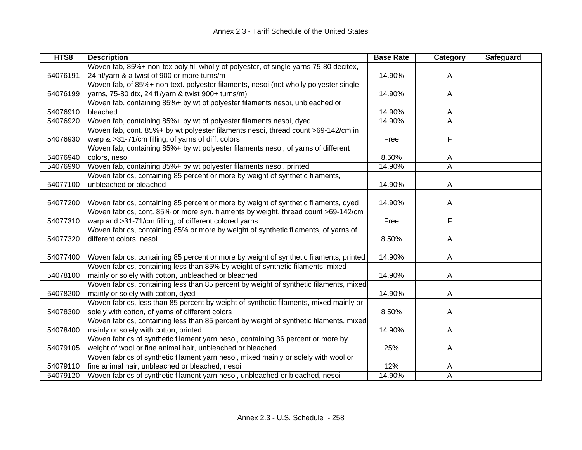| HTS8     | <b>Description</b>                                                                     | <b>Base Rate</b> | Category | <b>Safeguard</b> |
|----------|----------------------------------------------------------------------------------------|------------------|----------|------------------|
|          | Woven fab, 85%+ non-tex poly fil, wholly of polyester, of single yarns 75-80 decitex,  |                  |          |                  |
| 54076191 | 24 fil/yarn & a twist of 900 or more turns/m                                           | 14.90%           | A        |                  |
|          | Woven fab, of 85%+ non-text. polyester filaments, nesoi (not wholly polyester single   |                  |          |                  |
| 54076199 | yarns, 75-80 dtx, 24 fil/yarn & twist 900+ turns/m)                                    | 14.90%           | A        |                  |
|          | Woven fab, containing 85%+ by wt of polyester filaments nesoi, unbleached or           |                  |          |                  |
| 54076910 | bleached                                                                               | 14.90%           | A        |                  |
| 54076920 | Woven fab, containing 85%+ by wt of polyester filaments nesoi, dyed                    | 14.90%           | A        |                  |
|          | Woven fab, cont. 85%+ by wt polyester filaments nesoi, thread count >69-142/cm in      |                  |          |                  |
| 54076930 | warp & >31-71/cm filling, of yarns of diff. colors                                     | Free             | F        |                  |
|          | Woven fab, containing 85%+ by wt polyester filaments nesoi, of yarns of different      |                  |          |                  |
| 54076940 | colors, nesoi                                                                          | 8.50%            | A        |                  |
| 54076990 | Woven fab, containing 85%+ by wt polyester filaments nesoi, printed                    | 14.90%           | A        |                  |
|          | Woven fabrics, containing 85 percent or more by weight of synthetic filaments,         |                  |          |                  |
| 54077100 | unbleached or bleached                                                                 | 14.90%           | A        |                  |
|          |                                                                                        |                  |          |                  |
| 54077200 | Woven fabrics, containing 85 percent or more by weight of synthetic filaments, dyed    | 14.90%           | A        |                  |
|          | Woven fabrics, cont. 85% or more syn. filaments by weight, thread count >69-142/cm     |                  |          |                  |
| 54077310 | warp and >31-71/cm filling, of different colored yarns                                 | Free             | F        |                  |
|          | Woven fabrics, containing 85% or more by weight of synthetic filaments, of yarns of    |                  |          |                  |
| 54077320 | different colors, nesoi                                                                | 8.50%            | A        |                  |
|          |                                                                                        |                  |          |                  |
| 54077400 | Woven fabrics, containing 85 percent or more by weight of synthetic filaments, printed | 14.90%           | A        |                  |
|          | Woven fabrics, containing less than 85% by weight of synthetic filaments, mixed        |                  |          |                  |
| 54078100 | mainly or solely with cotton, unbleached or bleached                                   | 14.90%           | A        |                  |
|          | Woven fabrics, containing less than 85 percent by weight of synthetic filaments, mixed |                  |          |                  |
| 54078200 | mainly or solely with cotton, dyed                                                     | 14.90%           | A        |                  |
|          | Woven fabrics, less than 85 percent by weight of synthetic filaments, mixed mainly or  |                  |          |                  |
| 54078300 | solely with cotton, of yarns of different colors                                       | 8.50%            | A        |                  |
|          | Woven fabrics, containing less than 85 percent by weight of synthetic filaments, mixed |                  |          |                  |
| 54078400 | mainly or solely with cotton, printed                                                  | 14.90%           | A        |                  |
|          | Woven fabrics of synthetic filament yarn nesoi, containing 36 percent or more by       |                  |          |                  |
| 54079105 | weight of wool or fine animal hair, unbleached or bleached                             | 25%              | Α        |                  |
|          | Woven fabrics of synthetic filament yarn nesoi, mixed mainly or solely with wool or    |                  |          |                  |
| 54079110 | fine animal hair, unbleached or bleached, nesoi                                        | 12%              | A        |                  |
| 54079120 | Woven fabrics of synthetic filament yarn nesoi, unbleached or bleached, nesoi          | 14.90%           | A        |                  |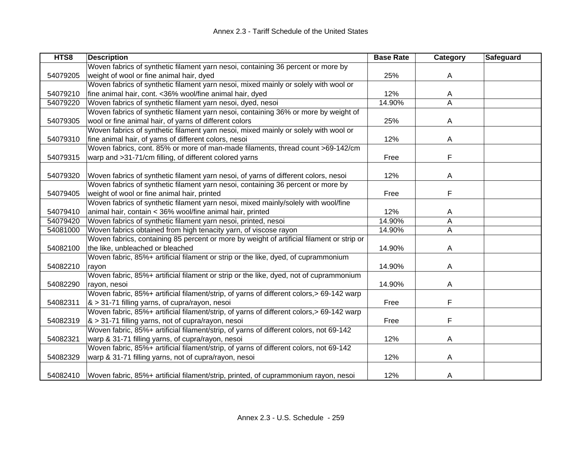| HTS8     | <b>Description</b>                                                                        | <b>Base Rate</b> | <b>Category</b> | <b>Safeguard</b> |
|----------|-------------------------------------------------------------------------------------------|------------------|-----------------|------------------|
|          | Woven fabrics of synthetic filament yarn nesoi, containing 36 percent or more by          |                  |                 |                  |
| 54079205 | weight of wool or fine animal hair, dyed                                                  | 25%              | A               |                  |
|          | Woven fabrics of synthetic filament yarn nesoi, mixed mainly or solely with wool or       |                  |                 |                  |
| 54079210 | fine animal hair, cont. < 36% wool/fine animal hair, dyed                                 | 12%              | A               |                  |
| 54079220 | Woven fabrics of synthetic filament yarn nesoi, dyed, nesoi                               | 14.90%           | A               |                  |
|          | Woven fabrics of synthetic filament yarn nesoi, containing 36% or more by weight of       |                  |                 |                  |
| 54079305 | wool or fine animal hair, of yarns of different colors                                    | 25%              | A               |                  |
|          | Woven fabrics of synthetic filament yarn nesoi, mixed mainly or solely with wool or       |                  |                 |                  |
| 54079310 | fine animal hair, of yarns of different colors, nesoi                                     | 12%              | A               |                  |
|          | Woven fabrics, cont. 85% or more of man-made filaments, thread count >69-142/cm           |                  |                 |                  |
| 54079315 | warp and >31-71/cm filling, of different colored yarns                                    | Free             | F               |                  |
|          |                                                                                           |                  |                 |                  |
| 54079320 | Woven fabrics of synthetic filament yarn nesoi, of yarns of different colors, nesoi       | 12%              | A               |                  |
|          | Woven fabrics of synthetic filament yarn nesoi, containing 36 percent or more by          |                  |                 |                  |
| 54079405 | weight of wool or fine animal hair, printed                                               | Free             | F               |                  |
|          | Woven fabrics of synthetic filament yarn nesoi, mixed mainly/solely with wool/fine        |                  |                 |                  |
| 54079410 | animal hair, contain < 36% wool/fine animal hair, printed                                 | 12%              | A               |                  |
| 54079420 | Woven fabrics of synthetic filament yarn nesoi, printed, nesoi                            | 14.90%           | A               |                  |
| 54081000 | Woven fabrics obtained from high tenacity yarn, of viscose rayon                          | 14.90%           | A               |                  |
|          | Woven fabrics, containing 85 percent or more by weight of artificial filament or strip or |                  |                 |                  |
| 54082100 | the like, unbleached or bleached                                                          | 14.90%           | A               |                  |
|          | Woven fabric, 85%+ artificial filament or strip or the like, dyed, of cuprammonium        |                  |                 |                  |
| 54082210 | rayon                                                                                     | 14.90%           | Α               |                  |
|          | Woven fabric, 85%+ artificial filament or strip or the like, dyed, not of cuprammonium    |                  |                 |                  |
| 54082290 | rayon, nesoi                                                                              | 14.90%           | A               |                  |
|          | Woven fabric, 85%+ artificial filament/strip, of yarns of different colors,> 69-142 warp  |                  |                 |                  |
| 54082311 | & > 31-71 filling yarns, of cupra/rayon, nesoi                                            | Free             | F               |                  |
|          | Woven fabric, 85%+ artificial filament/strip, of yarns of different colors,> 69-142 warp  |                  |                 |                  |
| 54082319 | & > 31-71 filling yarns, not of cupra/rayon, nesoi                                        | Free             | F               |                  |
|          | Woven fabric, 85%+ artificial filament/strip, of yarns of different colors, not 69-142    |                  |                 |                  |
| 54082321 | warp & 31-71 filling yarns, of cupra/rayon, nesoi                                         | 12%              | A               |                  |
|          | Woven fabric, 85%+ artificial filament/strip, of yarns of different colors, not 69-142    |                  |                 |                  |
| 54082329 | warp & 31-71 filling yarns, not of cupra/rayon, nesoi                                     | 12%              | A               |                  |
|          |                                                                                           |                  |                 |                  |
| 54082410 | Woven fabric, 85%+ artificial filament/strip, printed, of cuprammonium rayon, nesoi       | 12%              | A               |                  |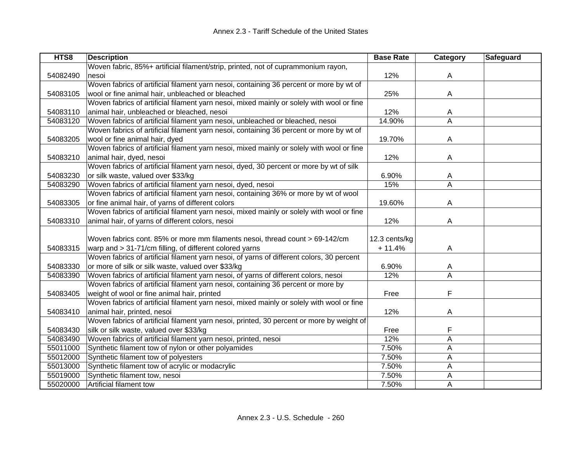| HTS8     | <b>Description</b>                                                                        | <b>Base Rate</b> | Category                | Safeguard |
|----------|-------------------------------------------------------------------------------------------|------------------|-------------------------|-----------|
|          | Woven fabric, 85%+ artificial filament/strip, printed, not of cuprammonium rayon,         |                  |                         |           |
| 54082490 | nesoi                                                                                     | 12%              | A                       |           |
|          | Woven fabrics of artificial filament yarn nesoi, containing 36 percent or more by wt of   |                  |                         |           |
| 54083105 | wool or fine animal hair, unbleached or bleached                                          | 25%              | A                       |           |
|          | Woven fabrics of artificial filament yarn nesoi, mixed mainly or solely with wool or fine |                  |                         |           |
| 54083110 | animal hair, unbleached or bleached, nesoi                                                | 12%              | A                       |           |
| 54083120 | Woven fabrics of artificial filament yarn nesoi, unbleached or bleached, nesoi            | 14.90%           | A                       |           |
|          | Woven fabrics of artificial filament yarn nesoi, containing 36 percent or more by wt of   |                  |                         |           |
| 54083205 | wool or fine animal hair, dyed                                                            | 19.70%           | A                       |           |
|          | Woven fabrics of artificial filament yarn nesoi, mixed mainly or solely with wool or fine |                  |                         |           |
| 54083210 | animal hair, dyed, nesoi                                                                  | 12%              | Α                       |           |
|          | Woven fabrics of artificial filament yarn nesoi, dyed, 30 percent or more by wt of silk   |                  |                         |           |
| 54083230 | or silk waste, valued over \$33/kg                                                        | 6.90%            | A                       |           |
| 54083290 | Woven fabrics of artificial filament yarn nesoi, dyed, nesoi                              | 15%              | $\overline{\mathsf{A}}$ |           |
|          | Woven fabrics of artificial filament yarn nesoi, containing 36% or more by wt of wool     |                  |                         |           |
| 54083305 | or fine animal hair, of yarns of different colors                                         | 19.60%           | A                       |           |
|          | Woven fabrics of artificial filament yarn nesoi, mixed mainly or solely with wool or fine |                  |                         |           |
| 54083310 | animal hair, of yarns of different colors, nesoi                                          | 12%              | A                       |           |
|          |                                                                                           |                  |                         |           |
|          | Woven fabrics cont. 85% or more mm filaments nesoi, thread count > 69-142/cm              | 12.3 cents/kg    |                         |           |
| 54083315 | warp and > 31-71/cm filling, of different colored yarns                                   | $+11.4%$         | Α                       |           |
|          | Woven fabrics of artificial filament yarn nesoi, of yarns of different colors, 30 percent |                  |                         |           |
| 54083330 | or more of silk or silk waste, valued over \$33/kg                                        | 6.90%            | A                       |           |
| 54083390 | Woven fabrics of artificial filament yarn nesoi, of yarns of different colors, nesoi      | 12%              | A                       |           |
|          | Woven fabrics of artificial filament yarn nesoi, containing 36 percent or more by         |                  |                         |           |
| 54083405 | weight of wool or fine animal hair, printed                                               | Free             | F                       |           |
|          | Woven fabrics of artificial filament yarn nesoi, mixed mainly or solely with wool or fine |                  |                         |           |
| 54083410 | animal hair, printed, nesoi                                                               | 12%              | A                       |           |
|          | Woven fabrics of artificial filament yarn nesoi, printed, 30 percent or more by weight of |                  |                         |           |
| 54083430 | silk or silk waste, valued over \$33/kg                                                   | Free             | F                       |           |
| 54083490 | Woven fabrics of artificial filament yarn nesoi, printed, nesoi                           | 12%              | Α                       |           |
| 55011000 | Synthetic filament tow of nylon or other polyamides                                       | 7.50%            | Α                       |           |
| 55012000 | Synthetic filament tow of polyesters                                                      | 7.50%            | А                       |           |
| 55013000 | Synthetic filament tow of acrylic or modacrylic                                           | 7.50%            | Α                       |           |
| 55019000 | Synthetic filament tow, nesoi                                                             | 7.50%            | А                       |           |
| 55020000 | Artificial filament tow                                                                   | 7.50%            | A                       |           |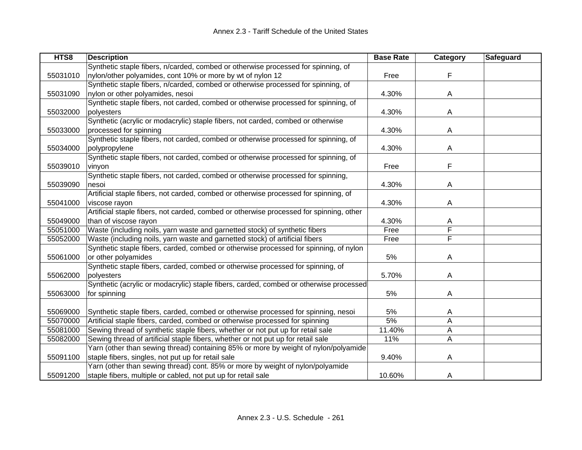| HTS8     | <b>Description</b>                                                                      | <b>Base Rate</b> | Category                | Safeguard |
|----------|-----------------------------------------------------------------------------------------|------------------|-------------------------|-----------|
|          | Synthetic staple fibers, n/carded, combed or otherwise processed for spinning, of       |                  |                         |           |
| 55031010 | nylon/other polyamides, cont 10% or more by wt of nylon 12                              | Free             | F                       |           |
|          | Synthetic staple fibers, n/carded, combed or otherwise processed for spinning, of       |                  |                         |           |
| 55031090 | nylon or other polyamides, nesoi                                                        | 4.30%            | A                       |           |
|          | Synthetic staple fibers, not carded, combed or otherwise processed for spinning, of     |                  |                         |           |
| 55032000 | polyesters                                                                              | 4.30%            | Α                       |           |
|          | Synthetic (acrylic or modacrylic) staple fibers, not carded, combed or otherwise        |                  |                         |           |
| 55033000 | processed for spinning                                                                  | 4.30%            | Α                       |           |
|          | Synthetic staple fibers, not carded, combed or otherwise processed for spinning, of     |                  |                         |           |
| 55034000 | polypropylene                                                                           | 4.30%            | Α                       |           |
|          | Synthetic staple fibers, not carded, combed or otherwise processed for spinning, of     |                  |                         |           |
| 55039010 | vinyon                                                                                  | Free             | F                       |           |
|          | Synthetic staple fibers, not carded, combed or otherwise processed for spinning,        |                  |                         |           |
| 55039090 | nesoi                                                                                   | 4.30%            | A                       |           |
|          | Artificial staple fibers, not carded, combed or otherwise processed for spinning, of    |                  |                         |           |
| 55041000 | viscose rayon                                                                           | 4.30%            | Α                       |           |
|          | Artificial staple fibers, not carded, combed or otherwise processed for spinning, other |                  |                         |           |
| 55049000 | than of viscose rayon                                                                   | 4.30%            | A                       |           |
| 55051000 | Waste (including noils, yarn waste and garnetted stock) of synthetic fibers             | Free             | F                       |           |
| 55052000 | Waste (including noils, yarn waste and garnetted stock) of artificial fibers            | Free             | $\overline{\mathsf{F}}$ |           |
|          | Synthetic staple fibers, carded, combed or otherwise processed for spinning, of nylon   |                  |                         |           |
| 55061000 | or other polyamides                                                                     | 5%               | Α                       |           |
|          | Synthetic staple fibers, carded, combed or otherwise processed for spinning, of         |                  |                         |           |
| 55062000 | polyesters                                                                              | 5.70%            | Α                       |           |
|          | Synthetic (acrylic or modacrylic) staple fibers, carded, combed or otherwise processed  |                  |                         |           |
| 55063000 | for spinning                                                                            | 5%               | Α                       |           |
|          |                                                                                         |                  |                         |           |
| 55069000 | Synthetic staple fibers, carded, combed or otherwise processed for spinning, nesoi      | 5%               | A                       |           |
| 55070000 | Artificial staple fibers, carded, combed or otherwise processed for spinning            | 5%               | А                       |           |
| 55081000 | Sewing thread of synthetic staple fibers, whether or not put up for retail sale         | 11.40%           | Α                       |           |
| 55082000 | Sewing thread of artificial staple fibers, whether or not put up for retail sale        | 11%              | А                       |           |
|          | Yarn (other than sewing thread) containing 85% or more by weight of nylon/polyamide     |                  |                         |           |
| 55091100 | staple fibers, singles, not put up for retail sale                                      | 9.40%            | A                       |           |
|          | Yarn (other than sewing thread) cont. 85% or more by weight of nylon/polyamide          |                  |                         |           |
| 55091200 | staple fibers, multiple or cabled, not put up for retail sale                           | 10.60%           | A                       |           |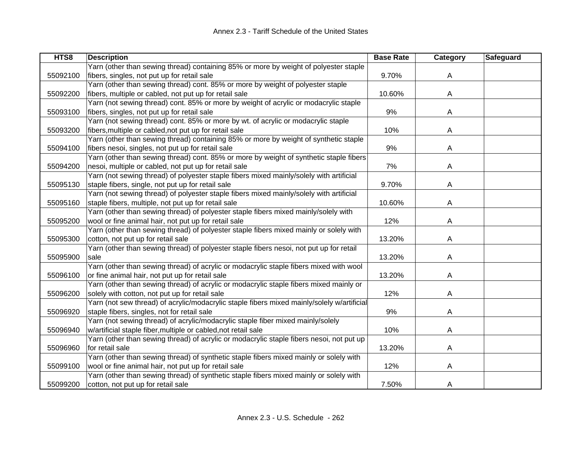| HTS8     | <b>Description</b>                                                                         | <b>Base Rate</b> | Category | Safeguard |
|----------|--------------------------------------------------------------------------------------------|------------------|----------|-----------|
|          | Yarn (other than sewing thread) containing 85% or more by weight of polyester staple       |                  |          |           |
| 55092100 | fibers, singles, not put up for retail sale                                                | 9.70%            | A        |           |
|          | Yarn (other than sewing thread) cont. 85% or more by weight of polyester staple            |                  |          |           |
| 55092200 | fibers, multiple or cabled, not put up for retail sale                                     | 10.60%           | A        |           |
|          | Yarn (not sewing thread) cont. 85% or more by weight of acrylic or modacrylic staple       |                  |          |           |
| 55093100 | fibers, singles, not put up for retail sale                                                | 9%               | A        |           |
|          | Yarn (not sewing thread) cont. 85% or more by wt. of acrylic or modacrylic staple          |                  |          |           |
| 55093200 | fibers, multiple or cabled, not put up for retail sale                                     | 10%              | A        |           |
|          | Yarn (other than sewing thread) containing 85% or more by weight of synthetic staple       |                  |          |           |
| 55094100 | fibers nesoi, singles, not put up for retail sale                                          | 9%               | A        |           |
|          | Yarn (other than sewing thread) cont. 85% or more by weight of synthetic staple fibers     |                  |          |           |
| 55094200 | nesoi, multiple or cabled, not put up for retail sale                                      | 7%               | A        |           |
|          | Yarn (not sewing thread) of polyester staple fibers mixed mainly/solely with artificial    |                  |          |           |
| 55095130 | staple fibers, single, not put up for retail sale                                          | 9.70%            | A        |           |
|          | Yarn (not sewing thread) of polyester staple fibers mixed mainly/solely with artificial    |                  |          |           |
| 55095160 | staple fibers, multiple, not put up for retail sale                                        | 10.60%           | A        |           |
|          | Yarn (other than sewing thread) of polyester staple fibers mixed mainly/solely with        |                  |          |           |
| 55095200 | wool or fine animal hair, not put up for retail sale                                       | 12%              | A        |           |
|          | Yarn (other than sewing thread) of polyester staple fibers mixed mainly or solely with     |                  |          |           |
| 55095300 | cotton, not put up for retail sale                                                         | 13.20%           | Α        |           |
|          | Yarn (other than sewing thread) of polyester staple fibers nesoi, not put up for retail    |                  |          |           |
| 55095900 | sale                                                                                       | 13.20%           | Α        |           |
|          | Yarn (other than sewing thread) of acrylic or modacrylic staple fibers mixed with wool     |                  |          |           |
| 55096100 | or fine animal hair, not put up for retail sale                                            | 13.20%           | A        |           |
|          | Yarn (other than sewing thread) of acrylic or modacrylic staple fibers mixed mainly or     |                  |          |           |
| 55096200 | solely with cotton, not put up for retail sale                                             | 12%              | A        |           |
|          | Yarn (not sew thread) of acrylic/modacrylic staple fibers mixed mainly/solely w/artificial |                  |          |           |
| 55096920 | staple fibers, singles, not for retail sale                                                | 9%               | A        |           |
|          | Yarn (not sewing thread) of acrylic/modacrylic staple fiber mixed mainly/solely            |                  |          |           |
| 55096940 | w/artificial staple fiber, multiple or cabled, not retail sale                             | 10%              | Α        |           |
|          | Yarn (other than sewing thread) of acrylic or modacrylic staple fibers nesoi, not put up   |                  |          |           |
| 55096960 | for retail sale                                                                            | 13.20%           | A        |           |
|          | Yarn (other than sewing thread) of synthetic staple fibers mixed mainly or solely with     |                  |          |           |
| 55099100 | wool or fine animal hair, not put up for retail sale                                       | 12%              | A        |           |
|          | Yarn (other than sewing thread) of synthetic staple fibers mixed mainly or solely with     |                  |          |           |
| 55099200 | cotton, not put up for retail sale                                                         | 7.50%            | A        |           |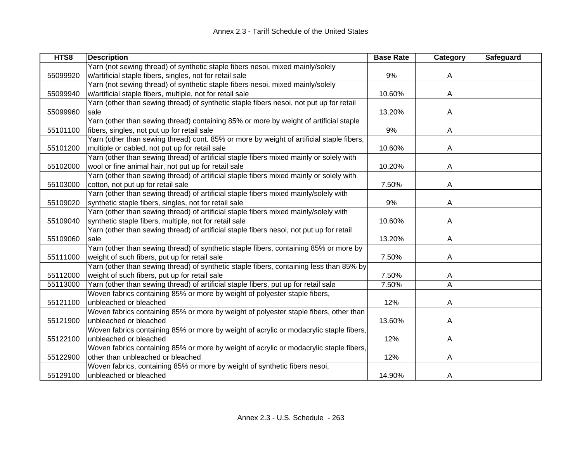| HTS8     | <b>Description</b>                                                                       | <b>Base Rate</b> | <b>Category</b> | <b>Safeguard</b> |
|----------|------------------------------------------------------------------------------------------|------------------|-----------------|------------------|
|          | Yarn (not sewing thread) of synthetic staple fibers nesoi, mixed mainly/solely           |                  |                 |                  |
| 55099920 | w/artificial staple fibers, singles, not for retail sale                                 | 9%               | A               |                  |
|          | Yarn (not sewing thread) of synthetic staple fibers nesoi, mixed mainly/solely           |                  |                 |                  |
| 55099940 | w/artificial staple fibers, multiple, not for retail sale                                | 10.60%           | A               |                  |
|          | Yarn (other than sewing thread) of synthetic staple fibers nesoi, not put up for retail  |                  |                 |                  |
| 55099960 | sale                                                                                     | 13.20%           | A               |                  |
|          | Yarn (other than sewing thread) containing 85% or more by weight of artificial staple    |                  |                 |                  |
| 55101100 | fibers, singles, not put up for retail sale                                              | 9%               | A               |                  |
|          | Yarn (other than sewing thread) cont. 85% or more by weight of artificial staple fibers, |                  |                 |                  |
| 55101200 | multiple or cabled, not put up for retail sale                                           | 10.60%           | A               |                  |
|          | Yarn (other than sewing thread) of artificial staple fibers mixed mainly or solely with  |                  |                 |                  |
| 55102000 | wool or fine animal hair, not put up for retail sale                                     | 10.20%           | A               |                  |
|          | Yarn (other than sewing thread) of artificial staple fibers mixed mainly or solely with  |                  |                 |                  |
| 55103000 | cotton, not put up for retail sale                                                       | 7.50%            | A               |                  |
|          | Yarn (other than sewing thread) of artificial staple fibers mixed mainly/solely with     |                  |                 |                  |
| 55109020 | synthetic staple fibers, singles, not for retail sale                                    | 9%               | Α               |                  |
|          | Yarn (other than sewing thread) of artificial staple fibers mixed mainly/solely with     |                  |                 |                  |
| 55109040 | synthetic staple fibers, multiple, not for retail sale                                   | 10.60%           | A               |                  |
|          | Yarn (other than sewing thread) of artificial staple fibers nesoi, not put up for retail |                  |                 |                  |
| 55109060 | sale                                                                                     | 13.20%           | A               |                  |
|          | Yarn (other than sewing thread) of synthetic staple fibers, containing 85% or more by    |                  |                 |                  |
| 55111000 | weight of such fibers, put up for retail sale                                            | 7.50%            | Α               |                  |
|          | Yarn (other than sewing thread) of synthetic staple fibers, containing less than 85% by  |                  |                 |                  |
| 55112000 | weight of such fibers, put up for retail sale                                            | 7.50%            | A               |                  |
| 55113000 | Yarn (other than sewing thread) of artificial staple fibers, put up for retail sale      | 7.50%            | A               |                  |
|          | Woven fabrics containing 85% or more by weight of polyester staple fibers,               |                  |                 |                  |
| 55121100 | unbleached or bleached                                                                   | 12%              | A               |                  |
|          | Woven fabrics containing 85% or more by weight of polyester staple fibers, other than    |                  |                 |                  |
| 55121900 | unbleached or bleached                                                                   | 13.60%           | A               |                  |
|          | Woven fabrics containing 85% or more by weight of acrylic or modacrylic staple fibers,   |                  |                 |                  |
| 55122100 | unbleached or bleached                                                                   | 12%              | A               |                  |
|          | Woven fabrics containing 85% or more by weight of acrylic or modacrylic staple fibers,   |                  |                 |                  |
| 55122900 | other than unbleached or bleached                                                        | 12%              | A               |                  |
|          | Woven fabrics, containing 85% or more by weight of synthetic fibers nesoi,               |                  |                 |                  |
| 55129100 | unbleached or bleached                                                                   | 14.90%           | A               |                  |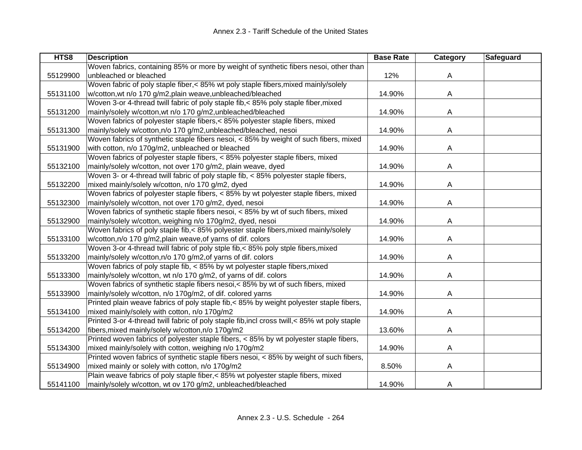| HTS8     | <b>Description</b>                                                                            | <b>Base Rate</b> | Category | Safeguard |
|----------|-----------------------------------------------------------------------------------------------|------------------|----------|-----------|
|          | Woven fabrics, containing 85% or more by weight of synthetic fibers nesoi, other than         |                  |          |           |
| 55129900 | unbleached or bleached                                                                        | 12%              | A        |           |
|          | Woven fabric of poly staple fiber,< 85% wt poly staple fibers, mixed mainly/solely            |                  |          |           |
| 55131100 | w/cotton, wt n/o 170 g/m2, plain weave, unbleached/bleached                                   | 14.90%           | A        |           |
|          | Woven 3-or 4-thread twill fabric of poly staple fib, < 85% poly staple fiber, mixed           |                  |          |           |
| 55131200 | mainly/solely w/cotton, wt n/o 170 g/m2, unbleached/bleached                                  | 14.90%           | A        |           |
|          | Woven fabrics of polyester staple fibers,< 85% polyester staple fibers, mixed                 |                  |          |           |
| 55131300 | mainly/solely w/cotton,n/o 170 g/m2,unbleached/bleached, nesoi                                | 14.90%           | Α        |           |
|          | Woven fabrics of synthetic staple fibers nesoi, < 85% by weight of such fibers, mixed         |                  |          |           |
| 55131900 | with cotton, n/o 170g/m2, unbleached or bleached                                              | 14.90%           | A        |           |
|          | Woven fabrics of polyester staple fibers, < 85% polyester staple fibers, mixed                |                  |          |           |
| 55132100 | mainly/solely w/cotton, not over 170 g/m2, plain weave, dyed                                  | 14.90%           | A        |           |
|          | Woven 3- or 4-thread twill fabric of poly staple fib, < 85% polyester staple fibers,          |                  |          |           |
| 55132200 | mixed mainly/solely w/cotton, n/o 170 g/m2, dyed                                              | 14.90%           | A        |           |
|          | Woven fabrics of polyester staple fibers, < 85% by wt polyester staple fibers, mixed          |                  |          |           |
| 55132300 | mainly/solely w/cotton, not over 170 g/m2, dyed, nesoi                                        | 14.90%           | A        |           |
|          | Woven fabrics of synthetic staple fibers nesoi, < 85% by wt of such fibers, mixed             |                  |          |           |
| 55132900 | mainly/solely w/cotton, weighing n/o 170g/m2, dyed, nesoi                                     | 14.90%           | A        |           |
|          | Woven fabrics of poly staple fib,< 85% polyester staple fibers, mixed mainly/solely           |                  |          |           |
| 55133100 | w/cotton, n/o 170 g/m2, plain weave, of yarns of dif. colors                                  | 14.90%           | A        |           |
|          | Woven 3-or 4-thread twill fabric of poly stple fib,< 85% poly stple fibers, mixed             |                  |          |           |
| 55133200 | mainly/solely w/cotton, n/o 170 g/m2, of yarns of dif. colors                                 | 14.90%           | A        |           |
|          | Woven fabrics of poly staple fib, < 85% by wt polyester staple fibers, mixed                  |                  |          |           |
| 55133300 | mainly/solely w/cotton, wt n/o 170 g/m2, of yarns of dif. colors                              | 14.90%           | Α        |           |
|          | Woven fabrics of synthetic staple fibers nesoi, < 85% by wt of such fibers, mixed             |                  |          |           |
| 55133900 | mainly/solely w/cotton, n/o 170g/m2, of dif. colored yarns                                    | 14.90%           | Α        |           |
|          | Printed plain weave fabrics of poly staple fib,< 85% by weight polyester staple fibers,       |                  |          |           |
| 55134100 | mixed mainly/solely with cotton, n/o 170g/m2                                                  | 14.90%           | A        |           |
|          | Printed 3-or 4-thread twill fabric of poly staple fib, incl cross twill, < 85% wt poly staple |                  |          |           |
| 55134200 | fibers, mixed mainly/solely w/cotton, n/o 170g/m2                                             | 13.60%           | A        |           |
|          | Printed woven fabrics of polyester staple fibers, < 85% by wt polyester staple fibers,        |                  |          |           |
| 55134300 | mixed mainly/solely with cotton, weighing n/o 170g/m2                                         | 14.90%           | A        |           |
|          | Printed woven fabrics of synthetic staple fibers nesoi, < 85% by weight of such fibers,       |                  |          |           |
| 55134900 | mixed mainly or solely with cotton, n/o 170g/m2                                               | 8.50%            | А        |           |
|          | Plain weave fabrics of poly staple fiber,< 85% wt polyester staple fibers, mixed              |                  |          |           |
| 55141100 | mainly/solely w/cotton, wt ov 170 g/m2, unbleached/bleached                                   | 14.90%           | A        |           |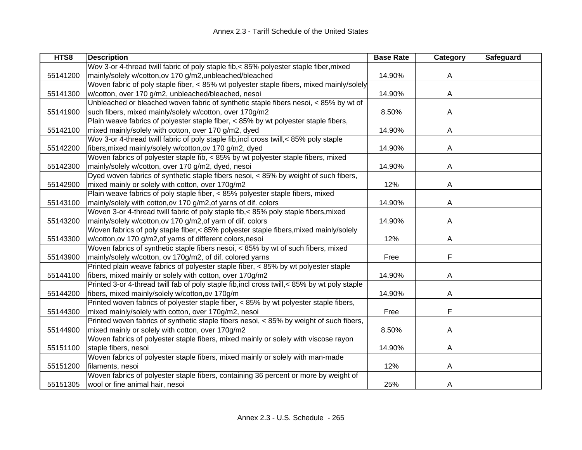| HTS8     | <b>Description</b>                                                                            | <b>Base Rate</b> | Category | Safeguard |
|----------|-----------------------------------------------------------------------------------------------|------------------|----------|-----------|
|          | Wov 3-or 4-thread twill fabric of poly staple fib, < 85% polyester staple fiber, mixed        |                  |          |           |
| 55141200 | mainly/solely w/cotton, ov 170 g/m2, unbleached/bleached                                      | 14.90%           | A        |           |
|          | Woven fabric of poly staple fiber, < 85% wt polyester staple fibers, mixed mainly/solely      |                  |          |           |
| 55141300 | w/cotton, over 170 g/m2, unbleached/bleached, nesoi                                           | 14.90%           | A        |           |
|          | Unbleached or bleached woven fabric of synthetic staple fibers nesoi, < 85% by wt of          |                  |          |           |
| 55141900 | such fibers, mixed mainly/solely w/cotton, over 170g/m2                                       | 8.50%            | Α        |           |
|          | Plain weave fabrics of polyester staple fiber, $< 85\%$ by wt polyester staple fibers,        |                  |          |           |
| 55142100 | mixed mainly/solely with cotton, over 170 g/m2, dyed                                          | 14.90%           | Α        |           |
|          | Wov 3-or 4-thread twill fabric of poly staple fib, incl cross twill, < 85% poly staple        |                  |          |           |
| 55142200 | fibers, mixed mainly/solely w/cotton, ov 170 g/m2, dyed                                       | 14.90%           | A        |           |
|          | Woven fabrics of polyester staple fib, < 85% by wt polyester staple fibers, mixed             |                  |          |           |
| 55142300 | mainly/solely w/cotton, over 170 g/m2, dyed, nesoi                                            | 14.90%           | A        |           |
|          | Dyed woven fabrics of synthetic staple fibers nesoi, < 85% by weight of such fibers,          |                  |          |           |
| 55142900 | mixed mainly or solely with cotton, over 170g/m2                                              | 12%              | A        |           |
|          | Plain weave fabrics of poly staple fiber, < 85% polyester staple fibers, mixed                |                  |          |           |
| 55143100 | mainly/solely with cotton, ov 170 g/m2, of yarns of dif. colors                               | 14.90%           | Α        |           |
|          | Woven 3-or 4-thread twill fabric of poly staple fib, $<$ 85% poly staple fibers, mixed        |                  |          |           |
| 55143200 | mainly/solely w/cotton,ov 170 g/m2,of yarn of dif. colors                                     | 14.90%           | A        |           |
|          | Woven fabrics of poly staple fiber,< 85% polyester staple fibers, mixed mainly/solely         |                  |          |           |
| 55143300 | w/cotton, ov 170 g/m2, of yarns of different colors, nesoi                                    | 12%              | A        |           |
|          | Woven fabrics of synthetic staple fibers nesoi, < 85% by wt of such fibers, mixed             |                  |          |           |
| 55143900 | mainly/solely w/cotton, ov 170g/m2, of dif. colored yarns                                     | Free             | F        |           |
|          | Printed plain weave fabrics of polyester staple fiber, < 85% by wt polyester staple           |                  |          |           |
| 55144100 | fibers, mixed mainly or solely with cotton, over 170g/m2                                      | 14.90%           | A        |           |
|          | Printed 3-or 4-thread twill fab of poly staple fib, incl cross twill, < 85% by wt poly staple |                  |          |           |
| 55144200 | fibers, mixed mainly/solely w/cotton, ov 170g/m                                               | 14.90%           | Α        |           |
|          | Printed woven fabrics of polyester staple fiber, < 85% by wt polyester staple fibers,         |                  |          |           |
| 55144300 | mixed mainly/solely with cotton, over 170g/m2, nesoi                                          | Free             | F        |           |
|          | Printed woven fabrics of synthetic staple fibers nesoi, < 85% by weight of such fibers,       |                  |          |           |
| 55144900 | mixed mainly or solely with cotton, over 170g/m2                                              | 8.50%            | Α        |           |
|          | Woven fabrics of polyester staple fibers, mixed mainly or solely with viscose rayon           |                  |          |           |
| 55151100 | staple fibers, nesoi                                                                          | 14.90%           | A        |           |
|          | Woven fabrics of polyester staple fibers, mixed mainly or solely with man-made                |                  |          |           |
| 55151200 | filaments, nesoi                                                                              | 12%              | A        |           |
|          | Woven fabrics of polyester staple fibers, containing 36 percent or more by weight of          |                  |          |           |
| 55151305 | wool or fine animal hair, nesoi                                                               | 25%              | A        |           |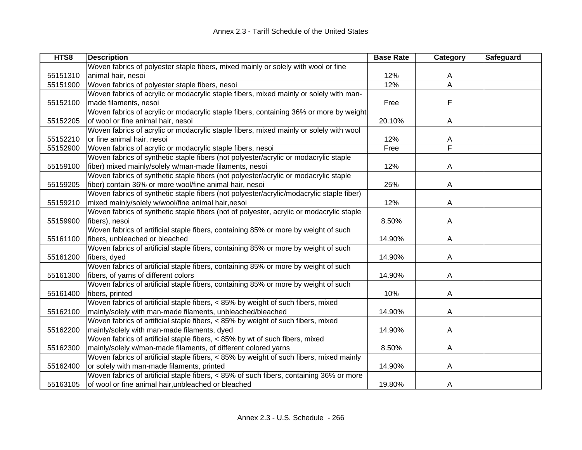| HTS8     | <b>Description</b>                                                                       | <b>Base Rate</b> | Category                | Safeguard |
|----------|------------------------------------------------------------------------------------------|------------------|-------------------------|-----------|
|          | Woven fabrics of polyester staple fibers, mixed mainly or solely with wool or fine       |                  |                         |           |
| 55151310 | animal hair, nesoi                                                                       | 12%              | A                       |           |
| 55151900 | Woven fabrics of polyester staple fibers, nesoi                                          | 12%              | Ā                       |           |
|          | Woven fabrics of acrylic or modacrylic staple fibers, mixed mainly or solely with man-   |                  |                         |           |
| 55152100 | made filaments, nesoi                                                                    | Free             | F                       |           |
|          | Woven fabrics of acrylic or modacrylic staple fibers, containing 36% or more by weight   |                  |                         |           |
| 55152205 | of wool or fine animal hair, nesoi                                                       | 20.10%           | A                       |           |
|          | Woven fabrics of acrylic or modacrylic staple fibers, mixed mainly or solely with wool   |                  |                         |           |
| 55152210 | or fine animal hair, nesoi                                                               | 12%              | A                       |           |
| 55152900 | Woven fabrics of acrylic or modacrylic staple fibers, nesoi                              | Free             | $\overline{\mathsf{F}}$ |           |
|          | Woven fabrics of synthetic staple fibers (not polyester/acrylic or modacrylic staple     |                  |                         |           |
| 55159100 | fiber) mixed mainly/solely w/man-made filaments, nesoi                                   | 12%              | A                       |           |
|          | Woven fabrics of synthetic staple fibers (not polyester/acrylic or modacrylic staple     |                  |                         |           |
| 55159205 | fiber) contain 36% or more wool/fine animal hair, nesoi                                  | 25%              | A                       |           |
|          | Woven fabrics of synthetic staple fibers (not polyester/acrylic/modacrylic staple fiber) |                  |                         |           |
| 55159210 | mixed mainly/solely w/wool/fine animal hair, nesoi                                       | 12%              | A                       |           |
|          | Woven fabrics of synthetic staple fibers (not of polyester, acrylic or modacrylic staple |                  |                         |           |
| 55159900 | fibers), nesoi                                                                           | 8.50%            | A                       |           |
|          | Woven fabrics of artificial staple fibers, containing 85% or more by weight of such      |                  |                         |           |
| 55161100 | fibers, unbleached or bleached                                                           | 14.90%           | A                       |           |
|          | Woven fabrics of artificial staple fibers, containing 85% or more by weight of such      |                  |                         |           |
| 55161200 | fibers, dyed                                                                             | 14.90%           | A                       |           |
|          | Woven fabrics of artificial staple fibers, containing 85% or more by weight of such      |                  |                         |           |
| 55161300 | fibers, of yarns of different colors                                                     | 14.90%           | Α                       |           |
|          | Woven fabrics of artificial staple fibers, containing 85% or more by weight of such      |                  |                         |           |
| 55161400 | fibers, printed                                                                          | 10%              | Α                       |           |
|          | Woven fabrics of artificial staple fibers, < 85% by weight of such fibers, mixed         |                  |                         |           |
| 55162100 | mainly/solely with man-made filaments, unbleached/bleached                               | 14.90%           | A                       |           |
|          | Woven fabrics of artificial staple fibers, < 85% by weight of such fibers, mixed         |                  |                         |           |
| 55162200 | mainly/solely with man-made filaments, dyed                                              | 14.90%           | Α                       |           |
|          | Woven fabrics of artificial staple fibers, < 85% by wt of such fibers, mixed             |                  |                         |           |
| 55162300 | mainly/solely w/man-made filaments, of different colored yarns                           | 8.50%            | A                       |           |
|          | Woven fabrics of artificial staple fibers, < 85% by weight of such fibers, mixed mainly  |                  |                         |           |
| 55162400 | or solely with man-made filaments, printed                                               | 14.90%           | A                       |           |
|          | Woven fabrics of artificial staple fibers, < 85% of such fibers, containing 36% or more  |                  |                         |           |
| 55163105 | of wool or fine animal hair, unbleached or bleached                                      | 19.80%           | A                       |           |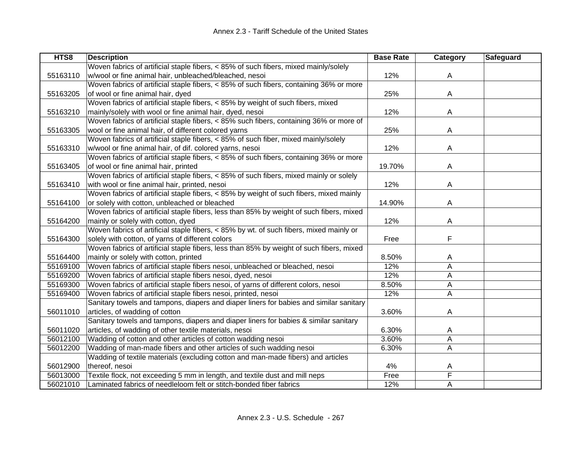| HTS8     | <b>Description</b>                                                                       | <b>Base Rate</b> | Category | Safeguard |
|----------|------------------------------------------------------------------------------------------|------------------|----------|-----------|
|          | Woven fabrics of artificial staple fibers, < 85% of such fibers, mixed mainly/solely     |                  |          |           |
| 55163110 | w/wool or fine animal hair, unbleached/bleached, nesoi                                   | 12%              | A        |           |
|          | Woven fabrics of artificial staple fibers, < 85% of such fibers, containing 36% or more  |                  |          |           |
| 55163205 | of wool or fine animal hair, dyed                                                        | 25%              | A        |           |
|          | Woven fabrics of artificial staple fibers, < 85% by weight of such fibers, mixed         |                  |          |           |
| 55163210 | mainly/solely with wool or fine animal hair, dyed, nesoi                                 | 12%              | A        |           |
|          | Woven fabrics of artificial staple fibers, < 85% such fibers, containing 36% or more of  |                  |          |           |
| 55163305 | wool or fine animal hair, of different colored yarns                                     | 25%              | A        |           |
|          | Woven fabrics of artificial staple fibers, < 85% of such fiber, mixed mainly/solely      |                  |          |           |
| 55163310 | w/wool or fine animal hair, of dif. colored yarns, nesoi                                 | 12%              | A        |           |
|          | Woven fabrics of artificial staple fibers, < 85% of such fibers, containing 36% or more  |                  |          |           |
| 55163405 | of wool or fine animal hair, printed                                                     | 19.70%           | A        |           |
|          | Woven fabrics of artificial staple fibers, < 85% of such fibers, mixed mainly or solely  |                  |          |           |
| 55163410 | with wool or fine animal hair, printed, nesoi                                            | 12%              | A        |           |
|          | Woven fabrics of artificial staple fibers, < 85% by weight of such fibers, mixed mainly  |                  |          |           |
| 55164100 | or solely with cotton, unbleached or bleached                                            | 14.90%           | A        |           |
|          | Woven fabrics of artificial staple fibers, less than 85% by weight of such fibers, mixed |                  |          |           |
| 55164200 | mainly or solely with cotton, dyed                                                       | 12%              | A        |           |
|          | Woven fabrics of artificial staple fibers, < 85% by wt. of such fibers, mixed mainly or  |                  |          |           |
| 55164300 | solely with cotton, of yarns of different colors                                         | Free             | F        |           |
|          | Woven fabrics of artificial staple fibers, less than 85% by weight of such fibers, mixed |                  |          |           |
| 55164400 | mainly or solely with cotton, printed                                                    | 8.50%            | A        |           |
| 55169100 | Woven fabrics of artificial staple fibers nesoi, unbleached or bleached, nesoi           | 12%              | A        |           |
| 55169200 | Woven fabrics of artificial staple fibers nesoi, dyed, nesoi                             | 12%              | A        |           |
| 55169300 | Woven fabrics of artificial staple fibers nesoi, of yarns of different colors, nesoi     | 8.50%            | A        |           |
| 55169400 | Woven fabrics of artificial staple fibers nesoi, printed, nesoi                          | 12%              | A        |           |
|          | Sanitary towels and tampons, diapers and diaper liners for babies and similar sanitary   |                  |          |           |
| 56011010 | articles, of wadding of cotton                                                           | 3.60%            | A        |           |
|          | Sanitary towels and tampons, diapers and diaper liners for babies & similar sanitary     |                  |          |           |
| 56011020 | articles, of wadding of other textile materials, nesoi                                   | 6.30%            | A        |           |
| 56012100 | Wadding of cotton and other articles of cotton wadding nesoi                             | 3.60%            | Α        |           |
| 56012200 | Wadding of man-made fibers and other articles of such wadding nesoi                      | 6.30%            | A        |           |
|          | Wadding of textile materials (excluding cotton and man-made fibers) and articles         |                  |          |           |
| 56012900 | thereof, nesoi                                                                           | 4%               | A        |           |
| 56013000 | Textile flock, not exceeding 5 mm in length, and textile dust and mill neps              | Free             | F        |           |
| 56021010 | Laminated fabrics of needleloom felt or stitch-bonded fiber fabrics                      | 12%              | A        |           |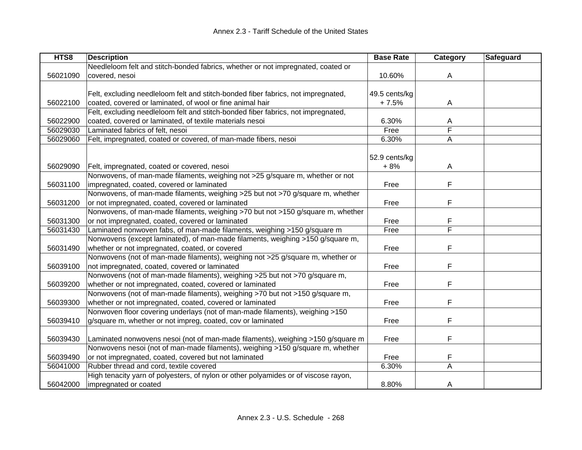| HTS8     | <b>Description</b>                                                                  | <b>Base Rate</b> | Category | Safeguard |
|----------|-------------------------------------------------------------------------------------|------------------|----------|-----------|
|          | Needleloom felt and stitch-bonded fabrics, whether or not impregnated, coated or    |                  |          |           |
| 56021090 | covered, nesoi                                                                      | 10.60%           | A        |           |
|          |                                                                                     |                  |          |           |
|          | Felt, excluding needleloom felt and stitch-bonded fiber fabrics, not impregnated,   | 49.5 cents/kg    |          |           |
| 56022100 | coated, covered or laminated, of wool or fine animal hair                           | $+7.5%$          | A        |           |
|          | Felt, excluding needleloom felt and stitch-bonded fiber fabrics, not impregnated,   |                  |          |           |
| 56022900 | coated, covered or laminated, of textile materials nesoi                            | 6.30%            | A        |           |
| 56029030 | Laminated fabrics of felt, nesoi                                                    | Free             | F        |           |
| 56029060 | Felt, impregnated, coated or covered, of man-made fibers, nesoi                     | 6.30%            | A        |           |
|          |                                                                                     |                  |          |           |
|          |                                                                                     | 52.9 cents/kg    |          |           |
| 56029090 | Felt, impregnated, coated or covered, nesoi                                         | $+8%$            | A        |           |
|          | Nonwovens, of man-made filaments, weighing not >25 g/square m, whether or not       |                  |          |           |
| 56031100 | impregnated, coated, covered or laminated                                           | Free             | F        |           |
|          | Nonwovens, of man-made filaments, weighing >25 but not >70 g/square m, whether      |                  |          |           |
| 56031200 | or not impregnated, coated, covered or laminated                                    | Free             | F        |           |
|          | Nonwovens, of man-made filaments, weighing >70 but not >150 g/square m, whether     |                  |          |           |
| 56031300 | or not impregnated, coated, covered or laminated                                    | Free             | F        |           |
| 56031430 | Laminated nonwoven fabs, of man-made filaments, weighing >150 g/square m            | Free             | F        |           |
|          | Nonwovens (except laminated), of man-made filaments, weighing >150 g/square m,      |                  |          |           |
| 56031490 | whether or not impregnated, coated, or covered                                      | Free             | F        |           |
|          | Nonwovens (not of man-made filaments), weighing not >25 g/square m, whether or      |                  |          |           |
| 56039100 | not impregnated, coated, covered or laminated                                       | Free             | F        |           |
|          | Nonwovens (not of man-made filaments), weighing >25 but not >70 g/square m,         |                  |          |           |
| 56039200 | whether or not impregnated, coated, covered or laminated                            | Free             | F        |           |
|          | Nonwovens (not of man-made filaments), weighing >70 but not >150 g/square m,        |                  |          |           |
| 56039300 | whether or not impregnated, coated, covered or laminated                            | Free             | F        |           |
|          | Nonwoven floor covering underlays (not of man-made filaments), weighing >150        |                  |          |           |
| 56039410 | g/square m, whether or not impreg, coated, cov or laminated                         | Free             | F        |           |
|          |                                                                                     |                  |          |           |
| 56039430 | Laminated nonwovens nesoi (not of man-made filaments), weighing >150 g/square m     | Free             | F        |           |
|          | Nonwovens nesoi (not of man-made filaments), weighing >150 g/square m, whether      |                  |          |           |
| 56039490 | or not impregnated, coated, covered but not laminated                               | Free             | F        |           |
| 56041000 | Rubber thread and cord, textile covered                                             | 6.30%            | A        |           |
|          | High tenacity yarn of polyesters, of nylon or other polyamides or of viscose rayon, |                  |          |           |
| 56042000 | impregnated or coated                                                               | 8.80%            | A        |           |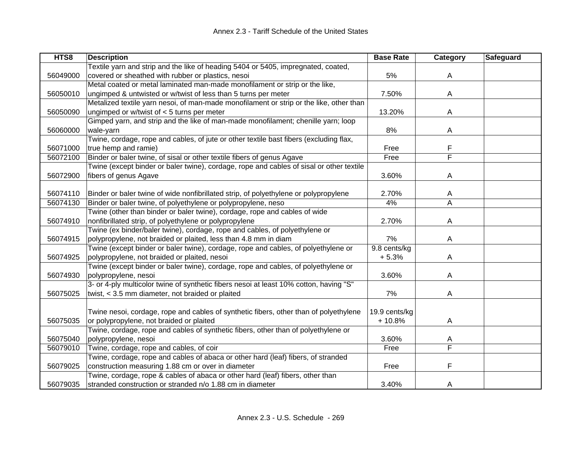| HTS8     | <b>Description</b>                                                                       | <b>Base Rate</b> | Category                | Safeguard |
|----------|------------------------------------------------------------------------------------------|------------------|-------------------------|-----------|
|          | Textile yarn and strip and the like of heading 5404 or 5405, impregnated, coated,        |                  |                         |           |
| 56049000 | covered or sheathed with rubber or plastics, nesoi                                       | 5%               | A                       |           |
|          | Metal coated or metal laminated man-made monofilament or strip or the like,              |                  |                         |           |
| 56050010 | ungimped & untwisted or w/twist of less than 5 turns per meter                           | 7.50%            | A                       |           |
|          | Metalized textile yarn nesoi, of man-made monofilament or strip or the like, other than  |                  |                         |           |
| 56050090 | ungimped or w/twist of $<$ 5 turns per meter                                             | 13.20%           | A                       |           |
|          | Gimped yarn, and strip and the like of man-made monofilament; chenille yarn; loop        |                  |                         |           |
| 56060000 | wale-yarn                                                                                | 8%               | Α                       |           |
|          | Twine, cordage, rope and cables, of jute or other textile bast fibers (excluding flax,   |                  |                         |           |
| 56071000 | true hemp and ramie)                                                                     | Free             | F                       |           |
| 56072100 | Binder or baler twine, of sisal or other textile fibers of genus Agave                   | Free             | $\overline{\mathsf{F}}$ |           |
|          | Twine (except binder or baler twine), cordage, rope and cables of sisal or other textile |                  |                         |           |
| 56072900 | fibers of genus Agave                                                                    | 3.60%            | A                       |           |
|          |                                                                                          |                  |                         |           |
| 56074110 | Binder or baler twine of wide nonfibrillated strip, of polyethylene or polypropylene     | 2.70%            | A                       |           |
| 56074130 | Binder or baler twine, of polyethylene or polypropylene, neso                            | 4%               | $\overline{\mathsf{A}}$ |           |
|          | Twine (other than binder or baler twine), cordage, rope and cables of wide               |                  |                         |           |
| 56074910 | nonfibrillated strip, of polyethylene or polypropylene                                   | 2.70%            | А                       |           |
|          | Twine (ex binder/baler twine), cordage, rope and cables, of polyethylene or              |                  |                         |           |
| 56074915 | polypropylene, not braided or plaited, less than 4.8 mm in diam                          | 7%               | Α                       |           |
|          | Twine (except binder or baler twine), cordage, rope and cables, of polyethylene or       | 9.8 cents/kg     |                         |           |
| 56074925 | polypropylene, not braided or plaited, nesoi                                             | $+5.3%$          | A                       |           |
|          | Twine (except binder or baler twine), cordage, rope and cables, of polyethylene or       |                  |                         |           |
| 56074930 | polypropylene, nesoi                                                                     | 3.60%            | A                       |           |
|          | 3- or 4-ply multicolor twine of synthetic fibers nesoi at least 10% cotton, having "S"   |                  |                         |           |
| 56075025 | twist, < 3.5 mm diameter, not braided or plaited                                         | 7%               | A                       |           |
|          |                                                                                          |                  |                         |           |
|          | Twine nesoi, cordage, rope and cables of synthetic fibers, other than of polyethylene    | 19.9 cents/kg    |                         |           |
| 56075035 | or polypropylene, not braided or plaited                                                 | $+10.8%$         | A                       |           |
|          | Twine, cordage, rope and cables of synthetic fibers, other than of polyethylene or       |                  |                         |           |
| 56075040 | polypropylene, nesoi                                                                     | 3.60%            | Α                       |           |
| 56079010 | Twine, cordage, rope and cables, of coir                                                 | Free             | F                       |           |
|          | Twine, cordage, rope and cables of abaca or other hard (leaf) fibers, of stranded        |                  |                         |           |
| 56079025 | construction measuring 1.88 cm or over in diameter                                       | Free             | F                       |           |
|          | Twine, cordage, rope & cables of abaca or other hard (leaf) fibers, other than           |                  |                         |           |
| 56079035 | stranded construction or stranded n/o 1.88 cm in diameter                                | 3.40%            | A                       |           |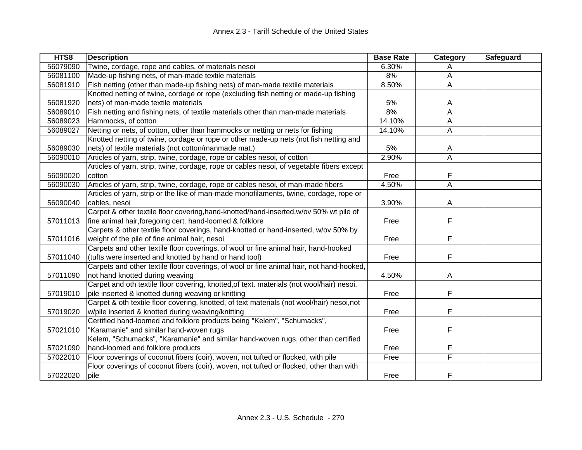| HTS8     | <b>Description</b>                                                                        | <b>Base Rate</b> | Category | Safeguard |
|----------|-------------------------------------------------------------------------------------------|------------------|----------|-----------|
| 56079090 | Twine, cordage, rope and cables, of materials nesoi                                       | 6.30%            | A        |           |
| 56081100 | Made-up fishing nets, of man-made textile materials                                       | 8%               | A        |           |
| 56081910 | Fish netting (other than made-up fishing nets) of man-made textile materials              | 8.50%            | A        |           |
|          | Knotted netting of twine, cordage or rope (excluding fish netting or made-up fishing      |                  |          |           |
| 56081920 | nets) of man-made textile materials                                                       | 5%               | A        |           |
| 56089010 | Fish netting and fishing nets, of textile materials other than man-made materials         | 8%               | A        |           |
| 56089023 | Hammocks, of cotton                                                                       | 14.10%           | A        |           |
| 56089027 | Netting or nets, of cotton, other than hammocks or netting or nets for fishing            | 14.10%           | A        |           |
|          | Knotted netting of twine, cordage or rope or other made-up nets (not fish netting and     |                  |          |           |
| 56089030 | nets) of textile materials (not cotton/manmade mat.)                                      | 5%               | A        |           |
| 56090010 | Articles of yarn, strip, twine, cordage, rope or cables nesoi, of cotton                  | 2.90%            | A        |           |
|          | Articles of yarn, strip, twine, cordage, rope or cables nesoi, of vegetable fibers except |                  |          |           |
| 56090020 | cotton                                                                                    | Free             | F        |           |
| 56090030 | Articles of yarn, strip, twine, cordage, rope or cables nesoi, of man-made fibers         | 4.50%            | Α        |           |
|          | Articles of yarn, strip or the like of man-made monofilaments, twine, cordage, rope or    |                  |          |           |
| 56090040 | cables, nesoi                                                                             | 3.90%            | A        |           |
|          | Carpet & other textile floor covering, hand-knotted/hand-inserted, w/ov 50% wt pile of    |                  |          |           |
| 57011013 | fine animal hair, foregoing cert. hand-loomed & folklore                                  | Free             | F        |           |
|          | Carpets & other textile floor coverings, hand-knotted or hand-inserted, w/ov 50% by       |                  |          |           |
| 57011016 | weight of the pile of fine animal hair, nesoi                                             | Free             | F        |           |
|          | Carpets and other textile floor coverings, of wool or fine animal hair, hand-hooked       |                  |          |           |
| 57011040 | (tufts were inserted and knotted by hand or hand tool)                                    | Free             | F        |           |
|          | Carpets and other textile floor coverings, of wool or fine animal hair, not hand-hooked,  |                  |          |           |
| 57011090 | not hand knotted during weaving                                                           | 4.50%            | A        |           |
|          | Carpet and oth textile floor covering, knotted, of text. materials (not wool/hair) nesoi, |                  |          |           |
| 57019010 | pile inserted & knotted during weaving or knitting                                        | Free             | F        |           |
|          | Carpet & oth textile floor covering, knotted, of text materials (not wool/hair) nesoi,not |                  |          |           |
| 57019020 | w/pile inserted & knotted during weaving/knitting                                         | Free             | F        |           |
|          | Certified hand-loomed and folklore products being "Kelem", "Schumacks",                   |                  |          |           |
| 57021010 | "Karamanie" and similar hand-woven rugs                                                   | Free             | F        |           |
|          | Kelem, "Schumacks", "Karamanie" and similar hand-woven rugs, other than certified         |                  |          |           |
| 57021090 | hand-loomed and folklore products                                                         | Free             | F        |           |
| 57022010 | Floor coverings of coconut fibers (coir), woven, not tufted or flocked, with pile         | Free             | F        |           |
|          | Floor coverings of coconut fibers (coir), woven, not tufted or flocked, other than with   |                  |          |           |
| 57022020 | pile                                                                                      | Free             | F        |           |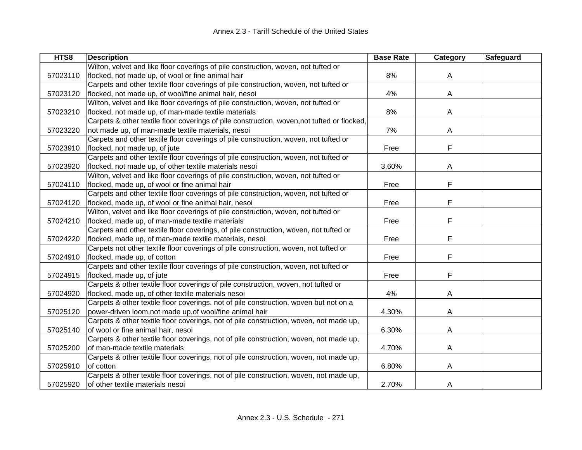| HTS8     | <b>Description</b>                                                                          | <b>Base Rate</b> | Category | <b>Safeguard</b> |
|----------|---------------------------------------------------------------------------------------------|------------------|----------|------------------|
|          | Wilton, velvet and like floor coverings of pile construction, woven, not tufted or          |                  |          |                  |
| 57023110 | flocked, not made up, of wool or fine animal hair                                           | 8%               | A        |                  |
|          | Carpets and other textile floor coverings of pile construction, woven, not tufted or        |                  |          |                  |
| 57023120 | flocked, not made up, of wool/fine animal hair, nesoi                                       | 4%               | A        |                  |
|          | Wilton, velvet and like floor coverings of pile construction, woven, not tufted or          |                  |          |                  |
| 57023210 | flocked, not made up, of man-made textile materials                                         | 8%               | A        |                  |
|          | Carpets & other textile floor coverings of pile construction, woven, not tufted or flocked, |                  |          |                  |
| 57023220 | not made up, of man-made textile materials, nesoi                                           | 7%               | A        |                  |
|          | Carpets and other textile floor coverings of pile construction, woven, not tufted or        |                  |          |                  |
| 57023910 | flocked, not made up, of jute                                                               | Free             | F        |                  |
|          | Carpets and other textile floor coverings of pile construction, woven, not tufted or        |                  |          |                  |
| 57023920 | flocked, not made up, of other textile materials nesoi                                      | 3.60%            | A        |                  |
|          | Wilton, velvet and like floor coverings of pile construction, woven, not tufted or          |                  |          |                  |
| 57024110 | flocked, made up, of wool or fine animal hair                                               | Free             | F        |                  |
|          | Carpets and other textile floor coverings of pile construction, woven, not tufted or        |                  |          |                  |
| 57024120 | flocked, made up, of wool or fine animal hair, nesoi                                        | Free             | F        |                  |
|          | Wilton, velvet and like floor coverings of pile construction, woven, not tufted or          |                  |          |                  |
| 57024210 | flocked, made up, of man-made textile materials                                             | Free             | F        |                  |
|          | Carpets and other textile floor coverings, of pile construction, woven, not tufted or       |                  |          |                  |
| 57024220 | flocked, made up, of man-made textile materials, nesoi                                      | Free             | F        |                  |
|          | Carpets not other textile floor coverings of pile construction, woven, not tufted or        |                  |          |                  |
| 57024910 | flocked, made up, of cotton                                                                 | Free             | F        |                  |
|          | Carpets and other textile floor coverings of pile construction, woven, not tufted or        |                  |          |                  |
| 57024915 | flocked, made up, of jute                                                                   | Free             | F        |                  |
|          | Carpets & other textile floor coverings of pile construction, woven, not tufted or          |                  |          |                  |
| 57024920 | flocked, made up, of other textile materials nesoi                                          | 4%               | A        |                  |
|          | Carpets & other textile floor coverings, not of pile construction, woven but not on a       |                  |          |                  |
| 57025120 | power-driven loom, not made up, of wool/fine animal hair                                    | 4.30%            | A        |                  |
|          | Carpets & other textile floor coverings, not of pile construction, woven, not made up,      |                  |          |                  |
| 57025140 | of wool or fine animal hair, nesoi                                                          | 6.30%            | A        |                  |
|          | Carpets & other textile floor coverings, not of pile construction, woven, not made up,      |                  |          |                  |
| 57025200 | of man-made textile materials                                                               | 4.70%            | A        |                  |
|          | Carpets & other textile floor coverings, not of pile construction, woven, not made up,      |                  |          |                  |
| 57025910 | of cotton                                                                                   | 6.80%            | A        |                  |
|          | Carpets & other textile floor coverings, not of pile construction, woven, not made up,      |                  |          |                  |
| 57025920 | of other textile materials nesoi                                                            | 2.70%            | A        |                  |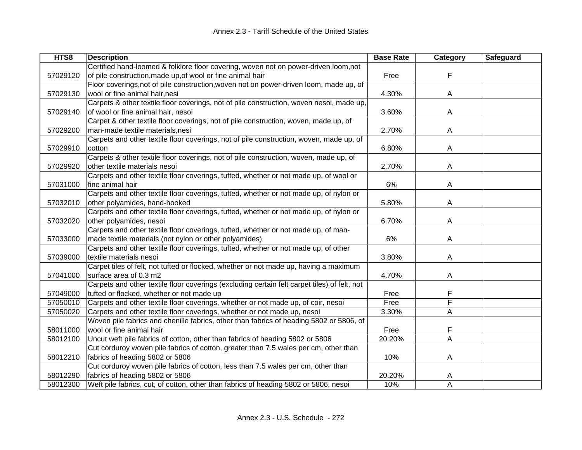| HTS8     | <b>Description</b>                                                                           | <b>Base Rate</b> | Category | Safeguard |
|----------|----------------------------------------------------------------------------------------------|------------------|----------|-----------|
|          | Certified hand-loomed & folklore floor covering, woven not on power-driven loom,not          |                  |          |           |
| 57029120 | of pile construction, made up, of wool or fine animal hair                                   | Free             | F        |           |
|          | Floor coverings, not of pile construction, woven not on power-driven loom, made up, of       |                  |          |           |
| 57029130 | wool or fine animal hair, nesi                                                               | 4.30%            | A        |           |
|          | Carpets & other textile floor coverings, not of pile construction, woven nesoi, made up,     |                  |          |           |
| 57029140 | of wool or fine animal hair, nesoi                                                           | 3.60%            | A        |           |
|          | Carpet & other textile floor coverings, not of pile construction, woven, made up, of         |                  |          |           |
| 57029200 | man-made textile materials, nesi                                                             | 2.70%            | A        |           |
|          | Carpets and other textile floor coverings, not of pile construction, woven, made up, of      |                  |          |           |
| 57029910 | cotton                                                                                       | 6.80%            | Α        |           |
|          | Carpets & other textile floor coverings, not of pile construction, woven, made up, of        |                  |          |           |
| 57029920 | other textile materials nesoi                                                                | 2.70%            | Α        |           |
|          | Carpets and other textile floor coverings, tufted, whether or not made up, of wool or        |                  |          |           |
| 57031000 | fine animal hair                                                                             | 6%               | Α        |           |
|          | Carpets and other textile floor coverings, tufted, whether or not made up, of nylon or       |                  |          |           |
| 57032010 | other polyamides, hand-hooked                                                                | 5.80%            | A        |           |
|          | Carpets and other textile floor coverings, tufted, whether or not made up, of nylon or       |                  |          |           |
| 57032020 | other polyamides, nesoi                                                                      | 6.70%            | A        |           |
|          | Carpets and other textile floor coverings, tufted, whether or not made up, of man-           |                  |          |           |
| 57033000 | made textile materials (not nylon or other polyamides)                                       | 6%               | A        |           |
|          | Carpets and other textile floor coverings, tufted, whether or not made up, of other          |                  |          |           |
| 57039000 | textile materials nesoi                                                                      | 3.80%            | A        |           |
|          | Carpet tiles of felt, not tufted or flocked, whether or not made up, having a maximum        |                  |          |           |
| 57041000 | surface area of 0.3 m2                                                                       | 4.70%            | A        |           |
|          | Carpets and other textile floor coverings (excluding certain felt carpet tiles) of felt, not |                  |          |           |
| 57049000 | tufted or flocked, whether or not made up                                                    | Free             | F        |           |
| 57050010 | Carpets and other textile floor coverings, whether or not made up, of coir, nesoi            | Free             | F        |           |
| 57050020 | Carpets and other textile floor coverings, whether or not made up, nesoi                     | 3.30%            | Α        |           |
|          | Woven pile fabrics and chenille fabrics, other than fabrics of heading 5802 or 5806, of      |                  |          |           |
| 58011000 | wool or fine animal hair                                                                     | Free             | F        |           |
| 58012100 | Uncut weft pile fabrics of cotton, other than fabrics of heading 5802 or 5806                | 20.20%           | A        |           |
|          | Cut corduroy woven pile fabrics of cotton, greater than 7.5 wales per cm, other than         |                  |          |           |
| 58012210 | fabrics of heading 5802 or 5806                                                              | 10%              | A        |           |
|          | Cut corduroy woven pile fabrics of cotton, less than 7.5 wales per cm, other than            |                  |          |           |
| 58012290 | fabrics of heading 5802 or 5806                                                              | 20.20%           | A        |           |
| 58012300 | Weft pile fabrics, cut, of cotton, other than fabrics of heading 5802 or 5806, nesoi         | 10%              | A        |           |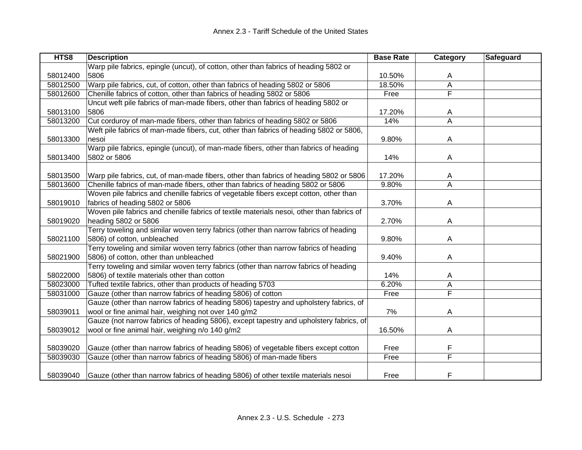| HTS8     | <b>Description</b>                                                                        | <b>Base Rate</b> | Category       | <b>Safeguard</b> |
|----------|-------------------------------------------------------------------------------------------|------------------|----------------|------------------|
|          | Warp pile fabrics, epingle (uncut), of cotton, other than fabrics of heading 5802 or      |                  |                |                  |
| 58012400 | 5806                                                                                      | 10.50%           | A              |                  |
| 58012500 | Warp pile fabrics, cut, of cotton, other than fabrics of heading 5802 or 5806             | 18.50%           | Α              |                  |
| 58012600 | Chenille fabrics of cotton, other than fabrics of heading 5802 or 5806                    | Free             | F              |                  |
|          | Uncut weft pile fabrics of man-made fibers, other than fabrics of heading 5802 or         |                  |                |                  |
| 58013100 | 5806                                                                                      | 17.20%           | A              |                  |
| 58013200 | Cut corduroy of man-made fibers, other than fabrics of heading 5802 or 5806               | 14%              | $\overline{A}$ |                  |
|          | Weft pile fabrics of man-made fibers, cut, other than fabrics of heading 5802 or 5806,    |                  |                |                  |
| 58013300 | nesoi                                                                                     | 9.80%            | A              |                  |
|          | Warp pile fabrics, epingle (uncut), of man-made fibers, other than fabrics of heading     |                  |                |                  |
| 58013400 | 5802 or 5806                                                                              | 14%              | A              |                  |
|          |                                                                                           |                  |                |                  |
| 58013500 | Warp pile fabrics, cut, of man-made fibers, other than fabrics of heading 5802 or 5806    | 17.20%           | A              |                  |
| 58013600 | Chenille fabrics of man-made fibers, other than fabrics of heading 5802 or 5806           | 9.80%            | A              |                  |
|          | Woven pile fabrics and chenille fabrics of vegetable fibers except cotton, other than     |                  |                |                  |
| 58019010 | fabrics of heading 5802 or 5806                                                           | 3.70%            | A              |                  |
|          | Woven pile fabrics and chenille fabrics of textile materials nesoi, other than fabrics of |                  |                |                  |
| 58019020 | heading 5802 or 5806                                                                      | 2.70%            | A              |                  |
|          | Terry toweling and similar woven terry fabrics (other than narrow fabrics of heading      |                  |                |                  |
| 58021100 | 5806) of cotton, unbleached                                                               | 9.80%            | A              |                  |
|          | Terry toweling and similar woven terry fabrics (other than narrow fabrics of heading      |                  |                |                  |
| 58021900 | 5806) of cotton, other than unbleached                                                    | 9.40%            | A              |                  |
|          | Terry toweling and similar woven terry fabrics (other than narrow fabrics of heading      |                  |                |                  |
| 58022000 | 5806) of textile materials other than cotton                                              | 14%              | A              |                  |
| 58023000 | Tufted textile fabrics, other than products of heading 5703                               | 6.20%            | Α              |                  |
| 58031000 | Gauze (other than narrow fabrics of heading 5806) of cotton                               | Free             | F              |                  |
|          | Gauze (other than narrow fabrics of heading 5806) tapestry and upholstery fabrics, of     |                  |                |                  |
| 58039011 | wool or fine animal hair, weighing not over 140 g/m2                                      | 7%               | A              |                  |
|          | Gauze (not narrow fabrics of heading 5806), except tapestry and upholstery fabrics, of    |                  |                |                  |
| 58039012 | wool or fine animal hair, weighing n/o 140 g/m2                                           | 16.50%           | A              |                  |
|          |                                                                                           |                  |                |                  |
| 58039020 | Gauze (other than narrow fabrics of heading 5806) of vegetable fibers except cotton       | Free             | F              |                  |
| 58039030 | Gauze (other than narrow fabrics of heading 5806) of man-made fibers                      | Free             | F              |                  |
|          |                                                                                           |                  |                |                  |
| 58039040 | Gauze (other than narrow fabrics of heading 5806) of other textile materials nesoi        | Free             | F              |                  |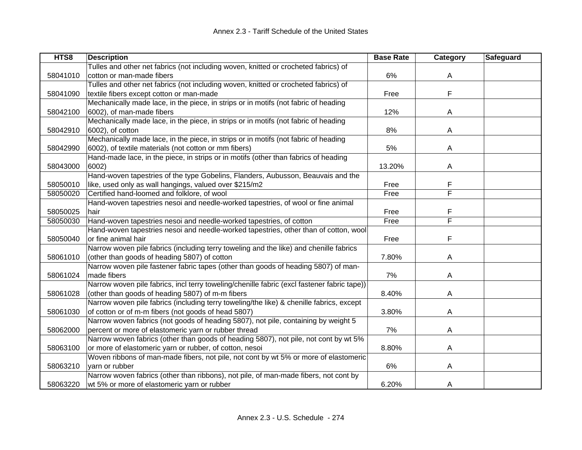| HTS8     | <b>Description</b>                                                                          | <b>Base Rate</b> | Category | Safeguard |
|----------|---------------------------------------------------------------------------------------------|------------------|----------|-----------|
|          | Tulles and other net fabrics (not including woven, knitted or crocheted fabrics) of         |                  |          |           |
| 58041010 | cotton or man-made fibers                                                                   | 6%               | A        |           |
|          | Tulles and other net fabrics (not including woven, knitted or crocheted fabrics) of         |                  |          |           |
| 58041090 | textile fibers except cotton or man-made                                                    | Free             | F        |           |
|          | Mechanically made lace, in the piece, in strips or in motifs (not fabric of heading         |                  |          |           |
| 58042100 | 6002), of man-made fibers                                                                   | 12%              | A        |           |
|          | Mechanically made lace, in the piece, in strips or in motifs (not fabric of heading         |                  |          |           |
| 58042910 | 6002), of cotton                                                                            | 8%               | A        |           |
|          | Mechanically made lace, in the piece, in strips or in motifs (not fabric of heading         |                  |          |           |
| 58042990 | 6002), of textile materials (not cotton or mm fibers)                                       | 5%               | A        |           |
|          | Hand-made lace, in the piece, in strips or in motifs (other than fabrics of heading         |                  |          |           |
| 58043000 | 6002)                                                                                       | 13.20%           | A        |           |
|          | Hand-woven tapestries of the type Gobelins, Flanders, Aubusson, Beauvais and the            |                  |          |           |
| 58050010 | like, used only as wall hangings, valued over \$215/m2                                      | Free             | F        |           |
| 58050020 | Certified hand-loomed and folklore, of wool                                                 | Free             | F        |           |
|          | Hand-woven tapestries nesoi and needle-worked tapestries, of wool or fine animal            |                  |          |           |
| 58050025 | hair                                                                                        | Free             | F        |           |
| 58050030 | Hand-woven tapestries nesoi and needle-worked tapestries, of cotton                         | Free             | F        |           |
|          | Hand-woven tapestries nesoi and needle-worked tapestries, other than of cotton, wool        |                  |          |           |
| 58050040 | or fine animal hair                                                                         | Free             | F        |           |
|          | Narrow woven pile fabrics (including terry toweling and the like) and chenille fabrics      |                  |          |           |
| 58061010 | (other than goods of heading 5807) of cotton                                                | 7.80%            | A        |           |
|          | Narrow woven pile fastener fabric tapes (other than goods of heading 5807) of man-          |                  |          |           |
| 58061024 | made fibers                                                                                 | 7%               | A        |           |
|          | Narrow woven pile fabrics, incl terry toweling/chenille fabric (excl fastener fabric tape)) |                  |          |           |
| 58061028 | (other than goods of heading 5807) of m-m fibers                                            | 8.40%            | A        |           |
|          | Narrow woven pile fabrics (including terry toweling/the like) & chenille fabrics, except    |                  |          |           |
| 58061030 | of cotton or of m-m fibers (not goods of head 5807)                                         | 3.80%            | A        |           |
|          | Narrow woven fabrics (not goods of heading 5807), not pile, containing by weight 5          |                  |          |           |
| 58062000 | percent or more of elastomeric yarn or rubber thread                                        | 7%               | A        |           |
|          | Narrow woven fabrics (other than goods of heading 5807), not pile, not cont by wt 5%        |                  |          |           |
| 58063100 | or more of elastomeric yarn or rubber, of cotton, nesoi                                     | 8.80%            | A        |           |
|          | Woven ribbons of man-made fibers, not pile, not cont by wt 5% or more of elastomeric        |                  |          |           |
| 58063210 | varn or rubber                                                                              | 6%               | A        |           |
|          | Narrow woven fabrics (other than ribbons), not pile, of man-made fibers, not cont by        |                  |          |           |
| 58063220 | wt 5% or more of elastomeric yarn or rubber                                                 | 6.20%            | A        |           |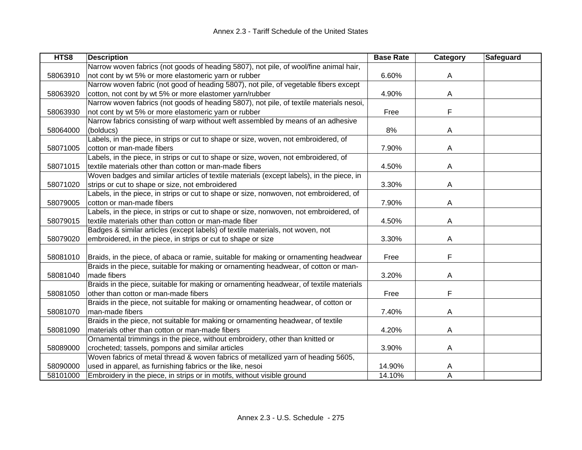| HTS8     | <b>Description</b>                                                                       | <b>Base Rate</b> | Category | <b>Safeguard</b> |
|----------|------------------------------------------------------------------------------------------|------------------|----------|------------------|
|          | Narrow woven fabrics (not goods of heading 5807), not pile, of wool/fine animal hair,    |                  |          |                  |
| 58063910 | not cont by wt 5% or more elastomeric yarn or rubber                                     | 6.60%            | A        |                  |
|          | Narrow woven fabric (not good of heading 5807), not pile, of vegetable fibers except     |                  |          |                  |
| 58063920 | cotton, not cont by wt 5% or more elastomer yarn/rubber                                  | 4.90%            | A        |                  |
|          | Narrow woven fabrics (not goods of heading 5807), not pile, of textile materials nesoi,  |                  |          |                  |
| 58063930 | not cont by wt 5% or more elastomeric yarn or rubber                                     | Free             | F        |                  |
|          | Narrow fabrics consisting of warp without weft assembled by means of an adhesive         |                  |          |                  |
| 58064000 | (bolducs)                                                                                | 8%               | A        |                  |
|          | Labels, in the piece, in strips or cut to shape or size, woven, not embroidered, of      |                  |          |                  |
| 58071005 | cotton or man-made fibers                                                                | 7.90%            | A        |                  |
|          | Labels, in the piece, in strips or cut to shape or size, woven, not embroidered, of      |                  |          |                  |
| 58071015 | textile materials other than cotton or man-made fibers                                   | 4.50%            | A        |                  |
|          | Woven badges and similar articles of textile materials (except labels), in the piece, in |                  |          |                  |
| 58071020 | strips or cut to shape or size, not embroidered                                          | 3.30%            | A        |                  |
|          | Labels, in the piece, in strips or cut to shape or size, nonwoven, not embroidered, of   |                  |          |                  |
| 58079005 | cotton or man-made fibers                                                                | 7.90%            | A        |                  |
|          | Labels, in the piece, in strips or cut to shape or size, nonwoven, not embroidered, of   |                  |          |                  |
| 58079015 | textile materials other than cotton or man-made fiber                                    | 4.50%            | A        |                  |
|          | Badges & similar articles (except labels) of textile materials, not woven, not           |                  |          |                  |
| 58079020 | embroidered, in the piece, in strips or cut to shape or size                             | 3.30%            | A        |                  |
|          |                                                                                          |                  |          |                  |
| 58081010 | Braids, in the piece, of abaca or ramie, suitable for making or ornamenting headwear     | Free             | F        |                  |
|          | Braids in the piece, suitable for making or ornamenting headwear, of cotton or man-      |                  |          |                  |
| 58081040 | made fibers                                                                              | 3.20%            | Α        |                  |
|          | Braids in the piece, suitable for making or ornamenting headwear, of textile materials   |                  |          |                  |
| 58081050 | other than cotton or man-made fibers                                                     | Free             | F        |                  |
|          | Braids in the piece, not suitable for making or ornamenting headwear, of cotton or       |                  |          |                  |
| 58081070 | man-made fibers                                                                          | 7.40%            | A        |                  |
|          | Braids in the piece, not suitable for making or ornamenting headwear, of textile         |                  |          |                  |
| 58081090 | materials other than cotton or man-made fibers                                           | 4.20%            | A        |                  |
|          | Ornamental trimmings in the piece, without embroidery, other than knitted or             |                  |          |                  |
| 58089000 | crocheted; tassels, pompons and similar articles                                         | 3.90%            | A        |                  |
|          | Woven fabrics of metal thread & woven fabrics of metallized yarn of heading 5605,        |                  |          |                  |
| 58090000 | used in apparel, as furnishing fabrics or the like, nesoi                                | 14.90%           | A        |                  |
| 58101000 | Embroidery in the piece, in strips or in motifs, without visible ground                  | 14.10%           | Α        |                  |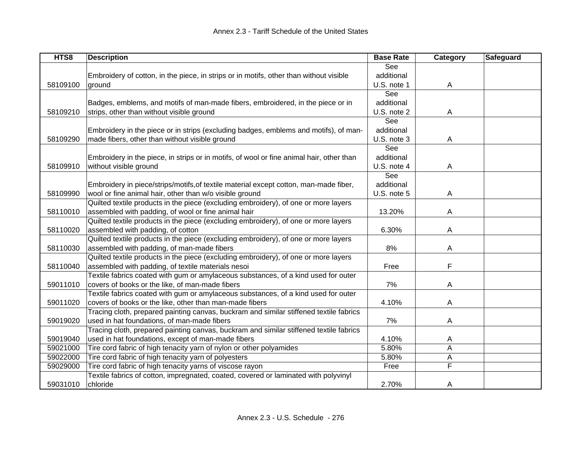| HTS8     | <b>Description</b>                                                                       | <b>Base Rate</b> | Category | Safeguard |
|----------|------------------------------------------------------------------------------------------|------------------|----------|-----------|
|          |                                                                                          | See              |          |           |
|          | Embroidery of cotton, in the piece, in strips or in motifs, other than without visible   | additional       |          |           |
| 58109100 | ground                                                                                   | U.S. note 1      | A        |           |
|          |                                                                                          | See              |          |           |
|          | Badges, emblems, and motifs of man-made fibers, embroidered, in the piece or in          | additional       |          |           |
| 58109210 | strips, other than without visible ground                                                | U.S. note 2      | A        |           |
|          |                                                                                          | See              |          |           |
|          | Embroidery in the piece or in strips (excluding badges, emblems and motifs), of man-     | additional       |          |           |
| 58109290 | made fibers, other than without visible ground                                           | U.S. note 3      | A        |           |
|          |                                                                                          | See              |          |           |
|          | Embroidery in the piece, in strips or in motifs, of wool or fine animal hair, other than | additional       |          |           |
| 58109910 | without visible ground                                                                   | U.S. note 4      | A        |           |
|          |                                                                                          | See              |          |           |
|          | Embroidery in piece/strips/motifs, of textile material except cotton, man-made fiber,    | additional       |          |           |
| 58109990 | wool or fine animal hair, other than w/o visible ground                                  | U.S. note 5      | A        |           |
|          | Quilted textile products in the piece (excluding embroidery), of one or more layers      |                  |          |           |
| 58110010 | assembled with padding, of wool or fine animal hair                                      | 13.20%           | A        |           |
|          | Quilted textile products in the piece (excluding embroidery), of one or more layers      |                  |          |           |
| 58110020 | assembled with padding, of cotton                                                        | 6.30%            | A        |           |
|          | Quilted textile products in the piece (excluding embroidery), of one or more layers      |                  |          |           |
| 58110030 | assembled with padding, of man-made fibers                                               | 8%               | A        |           |
|          | Quilted textile products in the piece (excluding embroidery), of one or more layers      |                  |          |           |
| 58110040 | assembled with padding, of textile materials nesoi                                       | Free             | F        |           |
|          | Textile fabrics coated with gum or amylaceous substances, of a kind used for outer       |                  |          |           |
| 59011010 | covers of books or the like, of man-made fibers                                          | 7%               | A        |           |
|          | Textile fabrics coated with gum or amylaceous substances, of a kind used for outer       |                  |          |           |
| 59011020 | covers of books or the like, other than man-made fibers                                  | 4.10%            | A        |           |
|          | Tracing cloth, prepared painting canvas, buckram and similar stiffened textile fabrics   |                  |          |           |
| 59019020 | used in hat foundations, of man-made fibers                                              | 7%               | A        |           |
|          | Tracing cloth, prepared painting canvas, buckram and similar stiffened textile fabrics   |                  |          |           |
| 59019040 | used in hat foundations, except of man-made fibers                                       | 4.10%            | A        |           |
| 59021000 | Tire cord fabric of high tenacity yarn of nylon or other polyamides                      | 5.80%            | Α        |           |
| 59022000 | Tire cord fabric of high tenacity yarn of polyesters                                     | 5.80%            | A        |           |
| 59029000 | Tire cord fabric of high tenacity yarns of viscose rayon                                 | Free             | F        |           |
|          | Textile fabrics of cotton, impregnated, coated, covered or laminated with polyvinyl      |                  |          |           |
| 59031010 | chloride                                                                                 | 2.70%            | A        |           |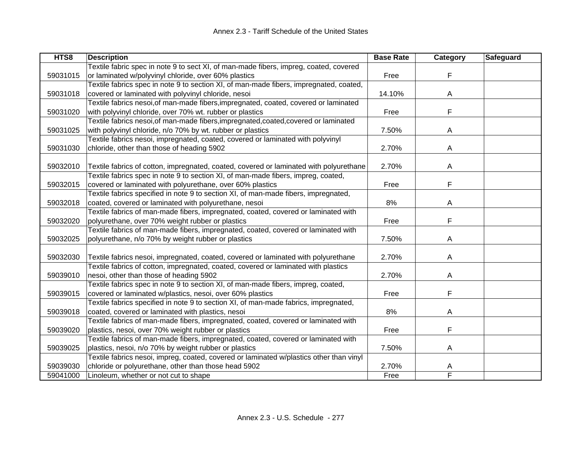| HTS8     | <b>Description</b>                                                                      | <b>Base Rate</b> | Category | <b>Safeguard</b> |
|----------|-----------------------------------------------------------------------------------------|------------------|----------|------------------|
|          | Textile fabric spec in note 9 to sect XI, of man-made fibers, impreg, coated, covered   |                  |          |                  |
| 59031015 | or laminated w/polyvinyl chloride, over 60% plastics                                    | Free             | F        |                  |
|          | Textile fabrics spec in note 9 to section XI, of man-made fibers, impregnated, coated,  |                  |          |                  |
| 59031018 | covered or laminated with polyvinyl chloride, nesoi                                     | 14.10%           | A        |                  |
|          | Textile fabrics nesoi, of man-made fibers, impregnated, coated, covered or laminated    |                  |          |                  |
| 59031020 | with polyvinyl chloride, over 70% wt. rubber or plastics                                | Free             | F        |                  |
|          | Textile fabrics nesoi, of man-made fibers, impregnated, coated, covered or laminated    |                  |          |                  |
| 59031025 | with polyvinyl chloride, n/o 70% by wt. rubber or plastics                              | 7.50%            | A        |                  |
|          | Textile fabrics nesoi, impregnated, coated, covered or laminated with polyvinyl         |                  |          |                  |
| 59031030 | chloride, other than those of heading 5902                                              | 2.70%            | A        |                  |
|          |                                                                                         |                  |          |                  |
| 59032010 | Textile fabrics of cotton, impregnated, coated, covered or laminated with polyurethane  | 2.70%            | A        |                  |
|          | Textile fabrics spec in note 9 to section XI, of man-made fibers, impreg, coated,       |                  |          |                  |
| 59032015 | covered or laminated with polyurethane, over 60% plastics                               | Free             | F        |                  |
|          | Textile fabrics specified in note 9 to section XI, of man-made fibers, impregnated,     |                  |          |                  |
| 59032018 | coated, covered or laminated with polyurethane, nesoi                                   | 8%               | A        |                  |
|          | Textile fabrics of man-made fibers, impregnated, coated, covered or laminated with      |                  |          |                  |
| 59032020 | polyurethane, over 70% weight rubber or plastics                                        | Free             | F        |                  |
|          | Textile fabrics of man-made fibers, impregnated, coated, covered or laminated with      |                  |          |                  |
| 59032025 | polyurethane, n/o 70% by weight rubber or plastics                                      | 7.50%            | A        |                  |
|          |                                                                                         |                  |          |                  |
| 59032030 | Textile fabrics nesoi, impregnated, coated, covered or laminated with polyurethane      | 2.70%            | A        |                  |
|          | Textile fabrics of cotton, impregnated, coated, covered or laminated with plastics      |                  |          |                  |
| 59039010 | nesoi, other than those of heading 5902                                                 | 2.70%            | A        |                  |
|          | Textile fabrics spec in note 9 to section XI, of man-made fibers, impreg, coated,       |                  |          |                  |
| 59039015 | covered or laminated w/plastics, nesoi, over 60% plastics                               | Free             | F        |                  |
|          | Textile fabrics specified in note 9 to section XI, of man-made fabrics, impregnated,    |                  |          |                  |
| 59039018 | coated, covered or laminated with plastics, nesoi                                       | 8%               | A        |                  |
|          | Textile fabrics of man-made fibers, impregnated, coated, covered or laminated with      |                  |          |                  |
| 59039020 | plastics, nesoi, over 70% weight rubber or plastics                                     | Free             | F        |                  |
|          | Textile fabrics of man-made fibers, impregnated, coated, covered or laminated with      |                  |          |                  |
| 59039025 | plastics, nesoi, n/o 70% by weight rubber or plastics                                   | 7.50%            | A        |                  |
|          | Textile fabrics nesoi, impreg, coated, covered or laminated w/plastics other than vinyl |                  |          |                  |
| 59039030 | chloride or polyurethane, other than those head 5902                                    | 2.70%            | A        |                  |
| 59041000 | Linoleum, whether or not cut to shape                                                   | Free             | F        |                  |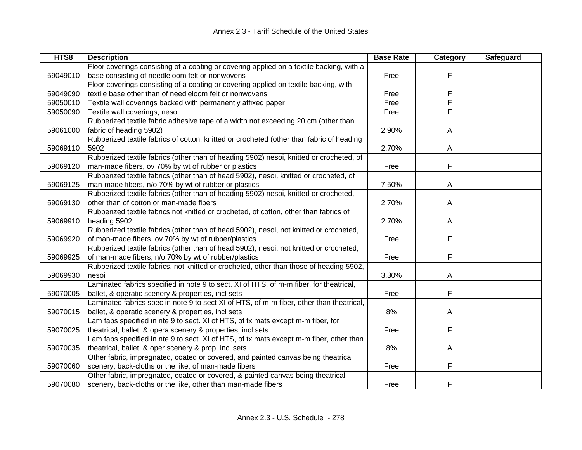| HTS8     | <b>Description</b>                                                                       | <b>Base Rate</b> | Category | Safeguard |
|----------|------------------------------------------------------------------------------------------|------------------|----------|-----------|
|          | Floor coverings consisting of a coating or covering applied on a textile backing, with a |                  |          |           |
| 59049010 | base consisting of needleloom felt or nonwovens                                          | Free             | F        |           |
|          | Floor coverings consisting of a coating or covering applied on textile backing, with     |                  |          |           |
| 59049090 | textile base other than of needleloom felt or nonwovens                                  | Free             | F        |           |
| 59050010 | Textile wall coverings backed with permanently affixed paper                             | Free             | F        |           |
| 59050090 | Textile wall coverings, nesoi                                                            | Free             | F        |           |
|          | Rubberized textile fabric adhesive tape of a width not exceeding 20 cm (other than       |                  |          |           |
| 59061000 | fabric of heading 5902)                                                                  | 2.90%            | A        |           |
|          | Rubberized textile fabrics of cotton, knitted or crocheted (other than fabric of heading |                  |          |           |
| 59069110 | 5902                                                                                     | 2.70%            | A        |           |
|          | Rubberized textile fabrics (other than of heading 5902) nesoi, knitted or crocheted, of  |                  |          |           |
| 59069120 | man-made fibers, ov 70% by wt of rubber or plastics                                      | Free             | F        |           |
|          | Rubberized textile fabrics (other than of head 5902), nesoi, knitted or crocheted, of    |                  |          |           |
| 59069125 | man-made fibers, n/o 70% by wt of rubber or plastics                                     | 7.50%            | A        |           |
|          | Rubberized textile fabrics (other than of heading 5902) nesoi, knitted or crocheted,     |                  |          |           |
| 59069130 | other than of cotton or man-made fibers                                                  | 2.70%            | A        |           |
|          | Rubberized textile fabrics not knitted or crocheted, of cotton, other than fabrics of    |                  |          |           |
| 59069910 | heading 5902                                                                             | 2.70%            | A        |           |
|          | Rubberized textile fabrics (other than of head 5902), nesoi, not knitted or crocheted,   |                  |          |           |
| 59069920 | of man-made fibers, ov 70% by wt of rubber/plastics                                      | Free             | F        |           |
|          | Rubberized textile fabrics (other than of head 5902), nesoi, not knitted or crocheted,   |                  |          |           |
| 59069925 | of man-made fibers, n/o 70% by wt of rubber/plastics                                     | Free             | F        |           |
|          | Rubberized textile fabrics, not knitted or crocheted, other than those of heading 5902,  |                  |          |           |
| 59069930 | nesoi                                                                                    | 3.30%            | A        |           |
|          | Laminated fabrics specified in note 9 to sect. XI of HTS, of m-m fiber, for theatrical,  |                  |          |           |
| 59070005 | ballet, & operatic scenery & properties, incl sets                                       | Free             | F        |           |
|          | Laminated fabrics spec in note 9 to sect XI of HTS, of m-m fiber, other than theatrical, |                  |          |           |
| 59070015 | ballet, & operatic scenery & properties, incl sets                                       | 8%               | A        |           |
|          | Lam fabs specified in nte 9 to sect. XI of HTS, of tx mats except m-m fiber, for         |                  |          |           |
| 59070025 | theatrical, ballet, & opera scenery & properties, incl sets                              | Free             | F        |           |
|          | Lam fabs specified in nte 9 to sect. XI of HTS, of tx mats except m-m fiber, other than  |                  |          |           |
| 59070035 | theatrical, ballet, & oper scenery & prop, incl sets                                     | 8%               | A        |           |
|          | Other fabric, impregnated, coated or covered, and painted canvas being theatrical        |                  |          |           |
| 59070060 | scenery, back-cloths or the like, of man-made fibers                                     | Free             | F        |           |
|          | Other fabric, impregnated, coated or covered, & painted canvas being theatrical          |                  |          |           |
| 59070080 | scenery, back-cloths or the like, other than man-made fibers                             | Free             | F        |           |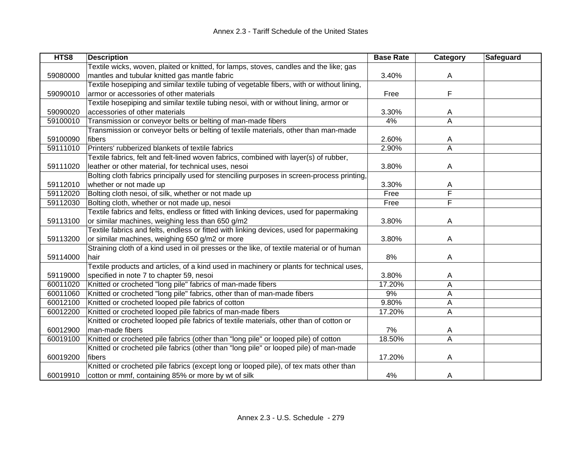| HTS8     | <b>Description</b>                                                                         | <b>Base Rate</b> | <b>Category</b> | Safeguard |
|----------|--------------------------------------------------------------------------------------------|------------------|-----------------|-----------|
|          | Textile wicks, woven, plaited or knitted, for lamps, stoves, candles and the like; gas     |                  |                 |           |
| 59080000 | mantles and tubular knitted gas mantle fabric                                              | 3.40%            | A               |           |
|          | Textile hosepiping and similar textile tubing of vegetable fibers, with or without lining, |                  |                 |           |
| 59090010 | armor or accessories of other materials                                                    | Free             | F               |           |
|          | Textile hosepiping and similar textile tubing nesoi, with or without lining, armor or      |                  |                 |           |
| 59090020 | accessories of other materials                                                             | 3.30%            | A               |           |
| 59100010 | Transmission or conveyor belts or belting of man-made fibers                               | 4%               | A               |           |
|          | Transmission or conveyor belts or belting of textile materials, other than man-made        |                  |                 |           |
| 59100090 | fibers                                                                                     | 2.60%            | A               |           |
| 59111010 | Printers' rubberized blankets of textile fabrics                                           | 2.90%            | A               |           |
|          | Textile fabrics, felt and felt-lined woven fabrics, combined with layer(s) of rubber,      |                  |                 |           |
| 59111020 | leather or other material, for technical uses, nesoi                                       | 3.80%            | Α               |           |
|          | Bolting cloth fabrics principally used for stenciling purposes in screen-process printing, |                  |                 |           |
| 59112010 | whether or not made up                                                                     | 3.30%            | A               |           |
| 59112020 | Bolting cloth nesoi, of silk, whether or not made up                                       | Free             | F               |           |
| 59112030 | Bolting cloth, whether or not made up, nesoi                                               | Free             | F               |           |
|          | Textile fabrics and felts, endless or fitted with linking devices, used for papermaking    |                  |                 |           |
| 59113100 | or similar machines, weighing less than 650 g/m2                                           | 3.80%            | A               |           |
|          | Textile fabrics and felts, endless or fitted with linking devices, used for papermaking    |                  |                 |           |
| 59113200 | or similar machines, weighing 650 g/m2 or more                                             | 3.80%            | A               |           |
|          | Straining cloth of a kind used in oil presses or the like, of textile material or of human |                  |                 |           |
| 59114000 | hair                                                                                       | 8%               | Α               |           |
|          | Textile products and articles, of a kind used in machinery or plants for technical uses,   |                  |                 |           |
| 59119000 | specified in note 7 to chapter 59, nesoi                                                   | 3.80%            | A               |           |
| 60011020 | Knitted or crocheted "long pile" fabrics of man-made fibers                                | 17.20%           | Α               |           |
| 60011060 | Knitted or crocheted "long pile" fabrics, other than of man-made fibers                    | 9%               | А               |           |
| 60012100 | Knitted or crocheted looped pile fabrics of cotton                                         | 9.80%            | Α               |           |
| 60012200 | Knitted or crocheted looped pile fabrics of man-made fibers                                | 17.20%           | Α               |           |
|          | Knitted or crocheted looped pile fabrics of textile materials, other than of cotton or     |                  |                 |           |
| 60012900 | man-made fibers                                                                            | 7%               | A               |           |
| 60019100 | Knitted or crocheted pile fabrics (other than "long pile" or looped pile) of cotton        | 18.50%           | Α               |           |
|          | Knitted or crocheted pile fabrics (other than "long pile" or looped pile) of man-made      |                  |                 |           |
| 60019200 | fibers                                                                                     | 17.20%           | Α               |           |
|          | Knitted or crocheted pile fabrics (except long or looped pile), of tex mats other than     |                  |                 |           |
| 60019910 | cotton or mmf, containing 85% or more by wt of silk                                        | 4%               | Α               |           |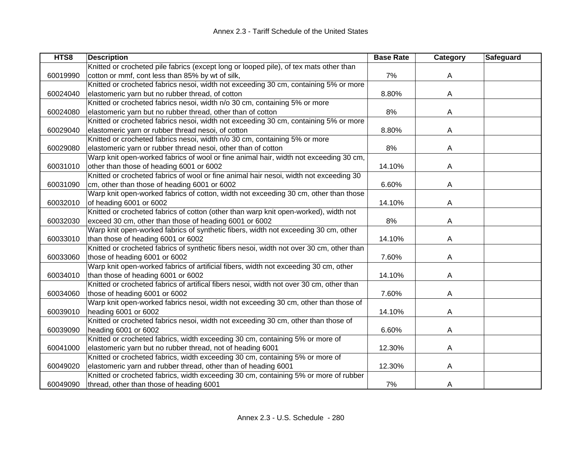| HTS8     | <b>Description</b>                                                                       | <b>Base Rate</b> | Category | <b>Safeguard</b> |
|----------|------------------------------------------------------------------------------------------|------------------|----------|------------------|
|          | Knitted or crocheted pile fabrics (except long or looped pile), of tex mats other than   |                  |          |                  |
| 60019990 | cotton or mmf, cont less than 85% by wt of silk,                                         | 7%               | A        |                  |
|          | Knitted or crocheted fabrics nesoi, width not exceeding 30 cm, containing 5% or more     |                  |          |                  |
| 60024040 | elastomeric yarn but no rubber thread, of cotton                                         | 8.80%            | A        |                  |
|          | Knitted or crocheted fabrics nesoi, width n/o 30 cm, containing 5% or more               |                  |          |                  |
| 60024080 | elastomeric yarn but no rubber thread, other than of cotton                              | 8%               | A        |                  |
|          | Knitted or crocheted fabrics nesoi, width not exceeding 30 cm, containing 5% or more     |                  |          |                  |
| 60029040 | elastomeric yarn or rubber thread nesoi, of cotton                                       | 8.80%            | A        |                  |
|          | Knitted or crocheted fabrics nesoi, width n/o 30 cm, containing 5% or more               |                  |          |                  |
| 60029080 | elastomeric yarn or rubber thread nesoi, other than of cotton                            | 8%               | A        |                  |
|          | Warp knit open-worked fabrics of wool or fine animal hair, width not exceeding 30 cm,    |                  |          |                  |
| 60031010 | other than those of heading 6001 or 6002                                                 | 14.10%           | A        |                  |
|          | Knitted or crocheted fabrics of wool or fine animal hair nesoi, width not exceeding 30   |                  |          |                  |
| 60031090 | cm, other than those of heading 6001 or 6002                                             | 6.60%            | A        |                  |
|          | Warp knit open-worked fabrics of cotton, width not exceeding 30 cm, other than those     |                  |          |                  |
| 60032010 | of heading 6001 or 6002                                                                  | 14.10%           | A        |                  |
|          | Knitted or crocheted fabrics of cotton (other than warp knit open-worked), width not     |                  |          |                  |
| 60032030 | exceed 30 cm, other than those of heading 6001 or 6002                                   | 8%               | A        |                  |
|          | Warp knit open-worked fabrics of synthetic fibers, width not exceeding 30 cm, other      |                  |          |                  |
| 60033010 | than those of heading 6001 or 6002                                                       | 14.10%           | A        |                  |
|          | Knitted or crocheted fabrics of synthetic fibers nesoi, width not over 30 cm, other than |                  |          |                  |
| 60033060 | those of heading 6001 or 6002                                                            | 7.60%            | A        |                  |
|          | Warp knit open-worked fabrics of artificial fibers, width not exceeding 30 cm, other     |                  |          |                  |
| 60034010 | than those of heading 6001 or 6002                                                       | 14.10%           | A        |                  |
|          | Knitted or crocheted fabrics of artifical fibers nesoi, width not over 30 cm, other than |                  |          |                  |
| 60034060 | those of heading 6001 or 6002                                                            | 7.60%            | A        |                  |
|          | Warp knit open-worked fabrics nesoi, width not exceeding 30 cm, other than those of      |                  |          |                  |
| 60039010 | heading 6001 or 6002                                                                     | 14.10%           | A        |                  |
|          | Knitted or crocheted fabrics nesoi, width not exceeding 30 cm, other than those of       |                  |          |                  |
| 60039090 | heading 6001 or 6002                                                                     | 6.60%            | A        |                  |
|          | Knitted or crocheted fabrics, width exceeding 30 cm, containing 5% or more of            |                  |          |                  |
| 60041000 | elastomeric yarn but no rubber thread, not of heading 6001                               | 12.30%           | A        |                  |
|          | Knitted or crocheted fabrics, width exceeding 30 cm, containing 5% or more of            |                  |          |                  |
| 60049020 | elastomeric yarn and rubber thread, other than of heading 6001                           | 12.30%           | A        |                  |
|          | Knitted or crocheted fabrics, width exceeding 30 cm, containing 5% or more of rubber     |                  |          |                  |
| 60049090 | thread, other than those of heading 6001                                                 | 7%               | A        |                  |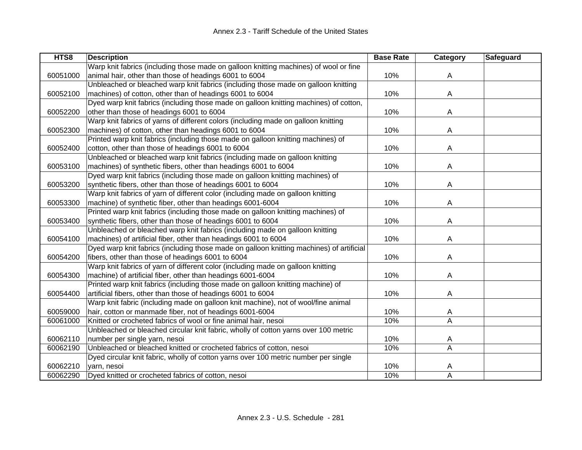| HTS8     | <b>Description</b>                                                                       | <b>Base Rate</b> | Category | Safeguard |
|----------|------------------------------------------------------------------------------------------|------------------|----------|-----------|
|          | Warp knit fabrics (including those made on galloon knitting machines) of wool or fine    |                  |          |           |
| 60051000 | animal hair, other than those of headings 6001 to 6004                                   | 10%              | A        |           |
|          | Unbleached or bleached warp knit fabrics (including those made on galloon knitting       |                  |          |           |
| 60052100 | machines) of cotton, other than of headings 6001 to 6004                                 | 10%              | A        |           |
|          | Dyed warp knit fabrics (including those made on galloon knitting machines) of cotton,    |                  |          |           |
| 60052200 | other than those of headings 6001 to 6004                                                | 10%              | A        |           |
|          | Warp knit fabrics of yarns of different colors (including made on galloon knitting       |                  |          |           |
| 60052300 | machines) of cotton, other than headings 6001 to 6004                                    | 10%              | A        |           |
|          | Printed warp knit fabrics (including those made on galloon knitting machines) of         |                  |          |           |
| 60052400 | cotton, other than those of headings 6001 to 6004                                        | 10%              | A        |           |
|          | Unbleached or bleached warp knit fabrics (including made on galloon knitting             |                  |          |           |
| 60053100 | machines) of synthetic fibers, other than headings 6001 to 6004                          | 10%              | А        |           |
|          | Dyed warp knit fabrics (including those made on galloon knitting machines) of            |                  |          |           |
| 60053200 | synthetic fibers, other than those of headings 6001 to 6004                              | 10%              | А        |           |
|          | Warp knit fabrics of yarn of different color (including made on galloon knitting         |                  |          |           |
| 60053300 | machine) of synthetic fiber, other than headings 6001-6004                               | 10%              | A        |           |
|          | Printed warp knit fabrics (including those made on galloon knitting machines) of         |                  |          |           |
| 60053400 | synthetic fibers, other than those of headings 6001 to 6004                              | 10%              | A        |           |
|          | Unbleached or bleached warp knit fabrics (including made on galloon knitting             |                  |          |           |
| 60054100 | machines) of artificial fiber, other than headings 6001 to 6004                          | 10%              | Α        |           |
|          | Dyed warp knit fabrics (including those made on galloon knitting machines) of artificial |                  |          |           |
| 60054200 | fibers, other than those of headings 6001 to 6004                                        | 10%              | Α        |           |
|          | Warp knit fabrics of yarn of different color (including made on galloon knitting         |                  |          |           |
| 60054300 | machine) of artificial fiber, other than headings 6001-6004                              | 10%              | Α        |           |
|          | Printed warp knit fabrics (including those made on galloon knitting machine) of          |                  |          |           |
| 60054400 | artificial fibers, other than those of headings 6001 to 6004                             | 10%              | А        |           |
|          | Warp knit fabric (including made on galloon knit machine), not of wool/fine animal       |                  |          |           |
| 60059000 | hair, cotton or manmade fiber, not of headings 6001-6004                                 | 10%              | A        |           |
| 60061000 | Knitted or crocheted fabrics of wool or fine animal hair, nesoi                          | 10%              | A        |           |
|          | Unbleached or bleached circular knit fabric, wholly of cotton yarns over 100 metric      |                  |          |           |
| 60062110 | number per single yarn, nesoi                                                            | 10%              | A        |           |
| 60062190 | Unbleached or bleached knitted or crocheted fabrics of cotton, nesoi                     | 10%              | A        |           |
|          | Dyed circular knit fabric, wholly of cotton yarns over 100 metric number per single      |                  |          |           |
| 60062210 | yarn, nesoi                                                                              | 10%              | A        |           |
| 60062290 | Dyed knitted or crocheted fabrics of cotton, nesoi                                       | 10%              | A        |           |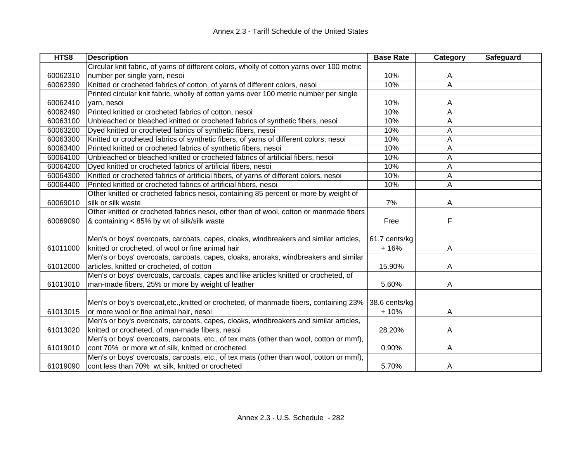| HTS8     | <b>Description</b>                                                                         | <b>Base Rate</b> | Category | Safeguard |
|----------|--------------------------------------------------------------------------------------------|------------------|----------|-----------|
|          | Circular knit fabric, of yarns of different colors, wholly of cotton yarns over 100 metric |                  |          |           |
| 60062310 | number per single yarn, nesoi                                                              | 10%              | A        |           |
| 60062390 | Knitted or crocheted fabrics of cotton, of yarns of different colors, nesoi                | 10%              | A        |           |
|          | Printed circular knit fabric, wholly of cotton yarns over 100 metric number per single     |                  |          |           |
| 60062410 | yarn, nesoi                                                                                | 10%              | A        |           |
| 60062490 | Printed knitted or crocheted fabrics of cotton, nesoi                                      | 10%              | Α        |           |
| 60063100 | Unbleached or bleached knitted or crocheted fabrics of synthetic fibers, nesoi             | 10%              | A        |           |
| 60063200 | Dyed knitted or crocheted fabrics of synthetic fibers, nesoi                               | 10%              | A        |           |
| 60063300 | Knitted or crocheted fabrics of synthetic fibers, of yarns of different colors, nesoi      | 10%              | A        |           |
| 60063400 | Printed knitted or crocheted fabrics of synthetic fibers, nesoi                            | 10%              | A        |           |
| 60064100 | Unbleached or bleached knitted or crocheted fabrics of artificial fibers, nesoi            | 10%              | A        |           |
| 60064200 | Dyed knitted or crocheted fabrics of artificial fibers, nesoi                              | 10%              | Α        |           |
| 60064300 | Knitted or crocheted fabrics of artificial fibers, of yarns of different colors, nesoi     | 10%              | A        |           |
| 60064400 | Printed knitted or crocheted fabrics of artificial fibers, nesoi                           | 10%              | A        |           |
|          | Other knitted or crocheted fabrics nesoi, containing 85 percent or more by weight of       |                  |          |           |
| 60069010 | silk or silk waste                                                                         | 7%               | A        |           |
|          | Other knitted or crocheted fabrics nesoi, other than of wool, cotton or manmade fibers     |                  |          |           |
| 60069090 | & containing < 85% by wt of silk/silk waste                                                | Free             | F        |           |
|          |                                                                                            |                  |          |           |
|          | Men's or boys' overcoats, carcoats, capes, cloaks, windbreakers and similar articles,      | 61.7 cents/kg    |          |           |
| 61011000 | knitted or crocheted, of wool or fine animal hair                                          | $+16%$           | A        |           |
|          | Men's or boys' overcoats, carcoats, capes, cloaks, anoraks, windbreakers and similar       |                  |          |           |
| 61012000 | articles, knitted or crocheted, of cotton                                                  | 15.90%           | A        |           |
|          | Men's or boys' overcoats, carcoats, capes and like articles knitted or crocheted, of       |                  |          |           |
| 61013010 | man-made fibers, 25% or more by weight of leather                                          | 5.60%            | A        |           |
|          |                                                                                            |                  |          |           |
|          | Men's or boy's overcoat, etc., knitted or crocheted, of manmade fibers, containing 23%     | 38.6 cents/kg    |          |           |
| 61013015 | or more wool or fine animal hair, nesoi                                                    | $+10%$           | A        |           |
|          | Men's or boy's overcoats, carcoats, capes, cloaks, windbreakers and similar articles,      |                  |          |           |
| 61013020 | knitted or crocheted, of man-made fibers, nesoi                                            | 28.20%           | A        |           |
|          | Men's or boys' overcoats, carcoats, etc., of tex mats (other than wool, cotton or mmf),    |                  |          |           |
| 61019010 | cont 70% or more wt of silk, knitted or crocheted                                          | 0.90%            | A        |           |
|          | Men's or boys' overcoats, carcoats, etc., of tex mats (other than wool, cotton or mmf),    |                  |          |           |
| 61019090 | cont less than 70% wt silk, knitted or crocheted                                           | 5.70%            | A        |           |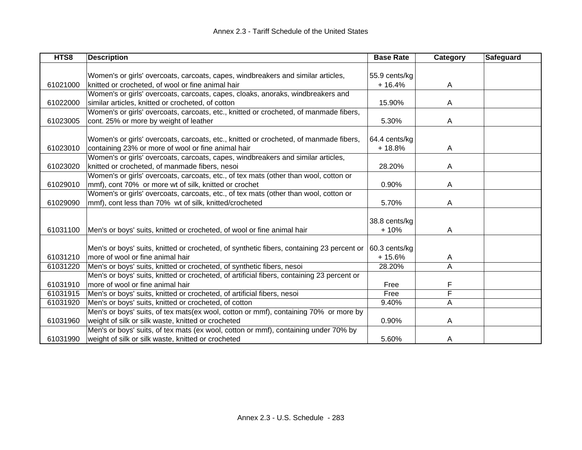| HTS8     | <b>Description</b>                                                                         | <b>Base Rate</b> | Category | <b>Safeguard</b> |
|----------|--------------------------------------------------------------------------------------------|------------------|----------|------------------|
|          |                                                                                            |                  |          |                  |
|          | Women's or girls' overcoats, carcoats, capes, windbreakers and similar articles,           | 55.9 cents/kg    |          |                  |
| 61021000 | knitted or crocheted, of wool or fine animal hair                                          | $+16.4%$         | A        |                  |
|          | Women's or girls' overcoats, carcoats, capes, cloaks, anoraks, windbreakers and            |                  |          |                  |
| 61022000 | similar articles, knitted or crocheted, of cotton                                          | 15.90%           | A        |                  |
|          | Women's or girls' overcoats, carcoats, etc., knitted or crocheted, of manmade fibers,      |                  |          |                  |
| 61023005 | cont. 25% or more by weight of leather                                                     | 5.30%            | A        |                  |
|          |                                                                                            |                  |          |                  |
|          | Women's or girls' overcoats, carcoats, etc., knitted or crocheted, of manmade fibers,      | 64.4 cents/kg    |          |                  |
| 61023010 | containing 23% or more of wool or fine animal hair                                         | $+18.8%$         | A        |                  |
|          | Women's or girls' overcoats, carcoats, capes, windbreakers and similar articles,           |                  |          |                  |
| 61023020 | knitted or crocheted, of manmade fibers, nesoi                                             | 28.20%           | A        |                  |
|          | Women's or girls' overcoats, carcoats, etc., of tex mats (other than wool, cotton or       |                  |          |                  |
| 61029010 | mmf), cont 70% or more wt of silk, knitted or crochet                                      | 0.90%            | A        |                  |
|          | Women's or girls' overcoats, carcoats, etc., of tex mats (other than wool, cotton or       |                  |          |                  |
| 61029090 | mmf), cont less than 70% wt of silk, knitted/crocheted                                     | 5.70%            | A        |                  |
|          |                                                                                            |                  |          |                  |
|          |                                                                                            | 38.8 cents/kg    |          |                  |
| 61031100 | Men's or boys' suits, knitted or crocheted, of wool or fine animal hair                    | $+10%$           | A        |                  |
|          |                                                                                            |                  |          |                  |
|          | Men's or boys' suits, knitted or crocheted, of synthetic fibers, containing 23 percent or  | 60.3 cents/kg    |          |                  |
| 61031210 | more of wool or fine animal hair                                                           | $+15.6%$         | A        |                  |
| 61031220 | Men's or boys' suits, knitted or crocheted, of synthetic fibers, nesoi                     | 28.20%           | A        |                  |
|          | Men's or boys' suits, knitted or crocheted, of artificial fibers, containing 23 percent or |                  |          |                  |
| 61031910 | more of wool or fine animal hair                                                           | Free             | F        |                  |
| 61031915 | Men's or boys' suits, knitted or crocheted, of artificial fibers, nesoi                    | Free             | F        |                  |
| 61031920 | Men's or boys' suits, knitted or crocheted, of cotton                                      | 9.40%            | A        |                  |
|          | Men's or boys' suits, of tex mats(ex wool, cotton or mmf), containing 70% or more by       |                  |          |                  |
| 61031960 | weight of silk or silk waste, knitted or crocheted                                         | 0.90%            | A        |                  |
|          | Men's or boys' suits, of tex mats (ex wool, cotton or mmf), containing under 70% by        |                  |          |                  |
| 61031990 | weight of silk or silk waste, knitted or crocheted                                         | 5.60%            | A        |                  |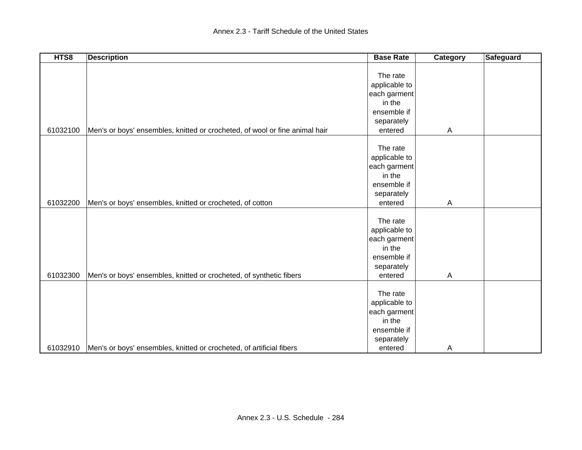| HTS8     | <b>Description</b>                                                          | <b>Base Rate</b>       | Category     | <b>Safeguard</b> |
|----------|-----------------------------------------------------------------------------|------------------------|--------------|------------------|
|          |                                                                             |                        |              |                  |
|          |                                                                             | The rate               |              |                  |
|          |                                                                             | applicable to          |              |                  |
|          |                                                                             | each garment           |              |                  |
|          |                                                                             | in the                 |              |                  |
|          |                                                                             | ensemble if            |              |                  |
|          |                                                                             | separately             |              |                  |
| 61032100 | Men's or boys' ensembles, knitted or crocheted, of wool or fine animal hair | entered                | A            |                  |
|          |                                                                             |                        |              |                  |
|          |                                                                             | The rate               |              |                  |
|          |                                                                             | applicable to          |              |                  |
|          |                                                                             | each garment           |              |                  |
|          |                                                                             | in the                 |              |                  |
|          |                                                                             | ensemble if            |              |                  |
|          |                                                                             | separately             |              |                  |
| 61032200 | Men's or boys' ensembles, knitted or crocheted, of cotton                   | entered                | $\mathsf{A}$ |                  |
|          |                                                                             |                        |              |                  |
|          |                                                                             | The rate               |              |                  |
|          |                                                                             | applicable to          |              |                  |
|          |                                                                             | each garment           |              |                  |
|          |                                                                             | in the                 |              |                  |
|          |                                                                             | ensemble if            |              |                  |
|          |                                                                             | separately             |              |                  |
| 61032300 | Men's or boys' ensembles, knitted or crocheted, of synthetic fibers         | entered                | Α            |                  |
|          |                                                                             | The rate               |              |                  |
|          |                                                                             |                        |              |                  |
|          |                                                                             | applicable to          |              |                  |
|          |                                                                             | each garment<br>in the |              |                  |
|          |                                                                             |                        |              |                  |
|          |                                                                             | ensemble if            |              |                  |
|          |                                                                             | separately             |              |                  |
| 61032910 | Men's or boys' ensembles, knitted or crocheted, of artificial fibers        | entered                | A            |                  |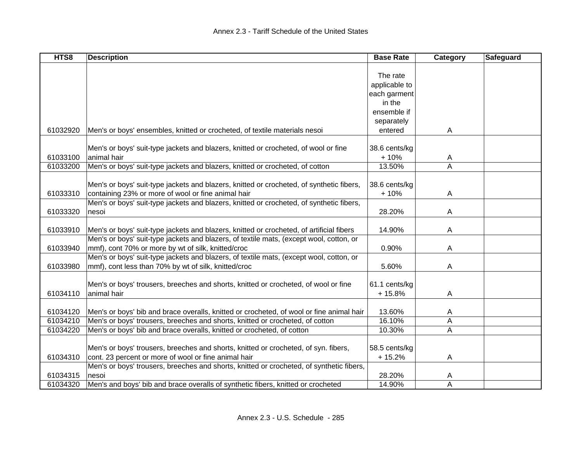| HTS8     | <b>Description</b>                                                                       | <b>Base Rate</b> | Category | Safeguard |
|----------|------------------------------------------------------------------------------------------|------------------|----------|-----------|
|          |                                                                                          |                  |          |           |
|          |                                                                                          | The rate         |          |           |
|          |                                                                                          | applicable to    |          |           |
|          |                                                                                          | each garment     |          |           |
|          |                                                                                          | in the           |          |           |
|          |                                                                                          | ensemble if      |          |           |
|          |                                                                                          | separately       |          |           |
| 61032920 | Men's or boys' ensembles, knitted or crocheted, of textile materials nesoi               | entered          | A        |           |
|          |                                                                                          |                  |          |           |
|          | Men's or boys' suit-type jackets and blazers, knitted or crocheted, of wool or fine      | 38.6 cents/kg    |          |           |
| 61033100 | animal hair                                                                              | $+10%$           | A        |           |
| 61033200 | Men's or boys' suit-type jackets and blazers, knitted or crocheted, of cotton            | 13.50%           | A        |           |
|          |                                                                                          |                  |          |           |
|          | Men's or boys' suit-type jackets and blazers, knitted or crocheted, of synthetic fibers, | 38.6 cents/kg    |          |           |
| 61033310 | containing 23% or more of wool or fine animal hair                                       | $+10%$           | A        |           |
|          | Men's or boys' suit-type jackets and blazers, knitted or crocheted, of synthetic fibers, |                  |          |           |
| 61033320 | nesoi                                                                                    | 28.20%           | A        |           |
|          |                                                                                          |                  |          |           |
| 61033910 | Men's or boys' suit-type jackets and blazers, knitted or crocheted, of artificial fibers | 14.90%           | A        |           |
|          | Men's or boys' suit-type jackets and blazers, of textile mats, (except wool, cotton, or  |                  |          |           |
| 61033940 | mmf), cont 70% or more by wt of silk, knitted/croc                                       | 0.90%            | A        |           |
|          | Men's or boys' suit-type jackets and blazers, of textile mats, (except wool, cotton, or  |                  |          |           |
| 61033980 | mmf), cont less than 70% by wt of silk, knitted/croc                                     | 5.60%            | A        |           |
|          |                                                                                          |                  |          |           |
|          | Men's or boys' trousers, breeches and shorts, knitted or crocheted, of wool or fine      | 61.1 cents/kg    |          |           |
| 61034110 | animal hair                                                                              | $+15.8%$         | Α        |           |
|          |                                                                                          |                  |          |           |
| 61034120 | Men's or boys' bib and brace overalls, knitted or crocheted, of wool or fine animal hair | 13.60%           | A        |           |
| 61034210 | Men's or boys' trousers, breeches and shorts, knitted or crocheted, of cotton            | 16.10%           | Α        |           |
| 61034220 | Men's or boys' bib and brace overalls, knitted or crocheted, of cotton                   | 10.30%           | A        |           |
|          |                                                                                          |                  |          |           |
|          | Men's or boys' trousers, breeches and shorts, knitted or crocheted, of syn. fibers,      | 58.5 cents/kg    |          |           |
| 61034310 | cont. 23 percent or more of wool or fine animal hair                                     | $+15.2%$         | A        |           |
|          | Men's or boys' trousers, breeches and shorts, knitted or crocheted, of synthetic fibers, |                  |          |           |
| 61034315 | nesoi                                                                                    | 28.20%           | A        |           |
| 61034320 | Men's and boys' bib and brace overalls of synthetic fibers, knitted or crocheted         | 14.90%           | Α        |           |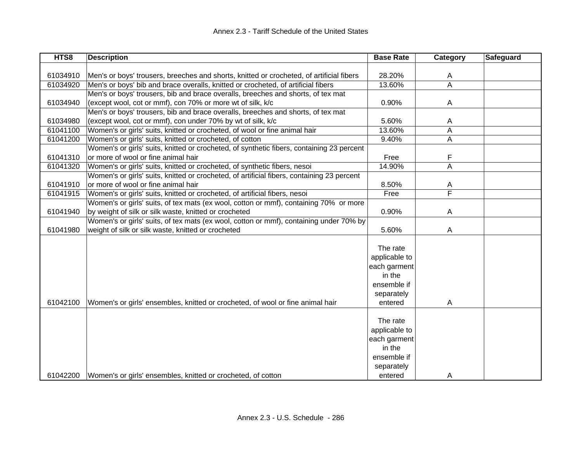| HTS8     | <b>Description</b>                                                                         | <b>Base Rate</b> | <b>Category</b> | Safeguard |
|----------|--------------------------------------------------------------------------------------------|------------------|-----------------|-----------|
|          |                                                                                            |                  |                 |           |
| 61034910 | Men's or boys' trousers, breeches and shorts, knitted or crocheted, of artificial fibers   | 28.20%           | A               |           |
| 61034920 | Men's or boys' bib and brace overalls, knitted or crocheted, of artificial fibers          | 13.60%           | A               |           |
|          | Men's or boys' trousers, bib and brace overalls, breeches and shorts, of tex mat           |                  |                 |           |
| 61034940 | (except wool, cot or mmf), con 70% or more wt of silk, k/c                                 | 0.90%            | Α               |           |
|          | Men's or boys' trousers, bib and brace overalls, breeches and shorts, of tex mat           |                  |                 |           |
| 61034980 | (except wool, cot or mmf), con under 70% by wt of silk, k/c                                | 5.60%            | A               |           |
| 61041100 | Women's or girls' suits, knitted or crocheted, of wool or fine animal hair                 | 13.60%           | Α               |           |
| 61041200 | Women's or girls' suits, knitted or crocheted, of cotton                                   | 9.40%            | Α               |           |
|          | Women's or girls' suits, knitted or crocheted, of synthetic fibers, containing 23 percent  |                  |                 |           |
| 61041310 | or more of wool or fine animal hair                                                        | Free             | F               |           |
| 61041320 | Women's or girls' suits, knitted or crocheted, of synthetic fibers, nesoi                  | 14.90%           | A               |           |
|          | Women's or girls' suits, knitted or crocheted, of artificial fibers, containing 23 percent |                  |                 |           |
| 61041910 | or more of wool or fine animal hair                                                        | 8.50%            | Α               |           |
| 61041915 | Women's or girls' suits, knitted or crocheted, of artificial fibers, nesoi                 | Free             | F               |           |
|          | Women's or girls' suits, of tex mats (ex wool, cotton or mmf), containing 70% or more      |                  |                 |           |
| 61041940 | by weight of silk or silk waste, knitted or crocheted                                      | 0.90%            | A               |           |
|          | Women's or girls' suits, of tex mats (ex wool, cotton or mmf), containing under 70% by     |                  |                 |           |
| 61041980 | weight of silk or silk waste, knitted or crocheted                                         | 5.60%            | Α               |           |
|          |                                                                                            |                  |                 |           |
|          |                                                                                            | The rate         |                 |           |
|          |                                                                                            | applicable to    |                 |           |
|          |                                                                                            | each garment     |                 |           |
|          |                                                                                            | in the           |                 |           |
|          |                                                                                            | ensemble if      |                 |           |
|          |                                                                                            | separately       |                 |           |
| 61042100 | Women's or girls' ensembles, knitted or crocheted, of wool or fine animal hair             | entered          | A               |           |
|          |                                                                                            |                  |                 |           |
|          |                                                                                            | The rate         |                 |           |
|          |                                                                                            | applicable to    |                 |           |
|          |                                                                                            | each garment     |                 |           |
|          |                                                                                            | in the           |                 |           |
|          |                                                                                            | ensemble if      |                 |           |
|          |                                                                                            | separately       |                 |           |
| 61042200 | Women's or girls' ensembles, knitted or crocheted, of cotton                               | entered          | A               |           |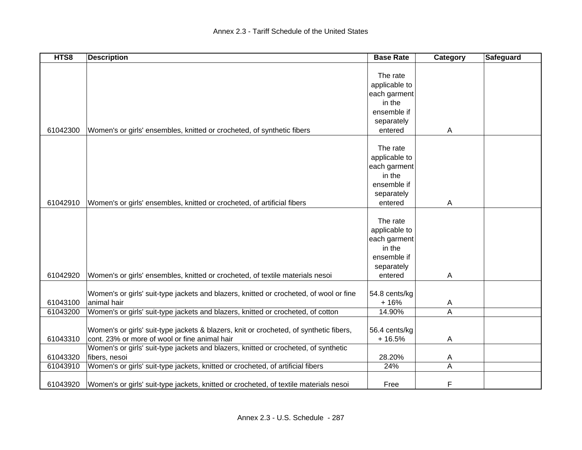| HTS8     | <b>Description</b>                                                                     | <b>Base Rate</b> | Category | Safeguard |
|----------|----------------------------------------------------------------------------------------|------------------|----------|-----------|
|          |                                                                                        |                  |          |           |
|          |                                                                                        | The rate         |          |           |
|          |                                                                                        | applicable to    |          |           |
|          |                                                                                        | each garment     |          |           |
|          |                                                                                        | in the           |          |           |
|          |                                                                                        | ensemble if      |          |           |
|          |                                                                                        | separately       |          |           |
| 61042300 | Women's or girls' ensembles, knitted or crocheted, of synthetic fibers                 | entered          | A        |           |
|          |                                                                                        |                  |          |           |
|          |                                                                                        | The rate         |          |           |
|          |                                                                                        | applicable to    |          |           |
|          |                                                                                        | each garment     |          |           |
|          |                                                                                        | in the           |          |           |
|          |                                                                                        | ensemble if      |          |           |
|          |                                                                                        | separately       |          |           |
| 61042910 | Women's or girls' ensembles, knitted or crocheted, of artificial fibers                | entered          | A        |           |
|          |                                                                                        |                  |          |           |
|          |                                                                                        | The rate         |          |           |
|          |                                                                                        | applicable to    |          |           |
|          |                                                                                        | each garment     |          |           |
|          |                                                                                        | in the           |          |           |
|          |                                                                                        | ensemble if      |          |           |
|          |                                                                                        | separately       |          |           |
| 61042920 | Women's or girls' ensembles, knitted or crocheted, of textile materials nesoi          | entered          | Α        |           |
|          |                                                                                        |                  |          |           |
|          | Women's or girls' suit-type jackets and blazers, knitted or crocheted, of wool or fine | 54.8 cents/kg    |          |           |
| 61043100 | animal hair                                                                            | $+16%$           | A        |           |
| 61043200 | Women's or girls' suit-type jackets and blazers, knitted or crocheted, of cotton       | 14.90%           | Α        |           |
|          |                                                                                        |                  |          |           |
|          | Women's or girls' suit-type jackets & blazers, knit or crocheted, of synthetic fibers, | 56.4 cents/kg    |          |           |
| 61043310 | cont. 23% or more of wool or fine animal hair                                          | $+16.5%$         | Α        |           |
|          | Women's or girls' suit-type jackets and blazers, knitted or crocheted, of synthetic    |                  |          |           |
| 61043320 | fibers, nesoi                                                                          | 28.20%           | A        |           |
| 61043910 | Women's or girls' suit-type jackets, knitted or crocheted, of artificial fibers        | 24%              | Α        |           |
| 61043920 | Women's or girls' suit-type jackets, knitted or crocheted, of textile materials nesoi  | Free             | F        |           |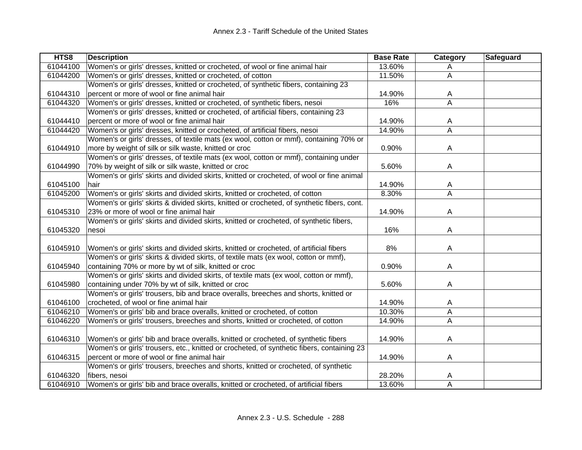| HTS8     | <b>Description</b>                                                                          | <b>Base Rate</b> | Category | Safeguard |
|----------|---------------------------------------------------------------------------------------------|------------------|----------|-----------|
| 61044100 | Women's or girls' dresses, knitted or crocheted, of wool or fine animal hair                | 13.60%           | A        |           |
| 61044200 | Women's or girls' dresses, knitted or crocheted, of cotton                                  | 11.50%           | A        |           |
|          | Women's or girls' dresses, knitted or crocheted, of synthetic fibers, containing 23         |                  |          |           |
| 61044310 | percent or more of wool or fine animal hair                                                 | 14.90%           | A        |           |
| 61044320 | Women's or girls' dresses, knitted or crocheted, of synthetic fibers, nesoi                 | 16%              | A        |           |
|          | Women's or girls' dresses, knitted or crocheted, of artificial fibers, containing 23        |                  |          |           |
| 61044410 | percent or more of wool or fine animal hair                                                 | 14.90%           | A        |           |
| 61044420 | Women's or girls' dresses, knitted or crocheted, of artificial fibers, nesoi                | 14.90%           | A        |           |
|          | Women's or girls' dresses, of textile mats (ex wool, cotton or mmf), containing 70% or      |                  |          |           |
| 61044910 | more by weight of silk or silk waste, knitted or croc                                       | 0.90%            | A        |           |
|          | Women's or girls' dresses, of textile mats (ex wool, cotton or mmf), containing under       |                  |          |           |
| 61044990 | 70% by weight of silk or silk waste, knitted or croc                                        | 5.60%            | A        |           |
|          | Women's or girls' skirts and divided skirts, knitted or crocheted, of wool or fine animal   |                  |          |           |
| 61045100 | hair                                                                                        | 14.90%           | A        |           |
| 61045200 | Women's or girls' skirts and divided skirts, knitted or crocheted, of cotton                | 8.30%            | A        |           |
|          | Women's or girls' skirts & divided skirts, knitted or crocheted, of synthetic fibers, cont. |                  |          |           |
| 61045310 | 23% or more of wool or fine animal hair                                                     | 14.90%           | Α        |           |
|          | Women's or girls' skirts and divided skirts, knitted or crocheted, of synthetic fibers,     |                  |          |           |
| 61045320 | nesoi                                                                                       | 16%              | A        |           |
|          |                                                                                             |                  |          |           |
| 61045910 | Women's or girls' skirts and divided skirts, knitted or crocheted, of artificial fibers     | 8%               | A        |           |
|          | Women's or girls' skirts & divided skirts, of textile mats (ex wool, cotton or mmf),        |                  |          |           |
| 61045940 | containing 70% or more by wt of silk, knitted or croc                                       | 0.90%            | A        |           |
|          | Women's or girls' skirts and divided skirts, of textile mats (ex wool, cotton or mmf),      |                  |          |           |
| 61045980 | containing under 70% by wt of silk, knitted or croc                                         | 5.60%            | A        |           |
|          | Women's or girls' trousers, bib and brace overalls, breeches and shorts, knitted or         |                  |          |           |
| 61046100 | crocheted, of wool or fine animal hair                                                      | 14.90%           | A        |           |
| 61046210 | Women's or girls' bib and brace overalls, knitted or crocheted, of cotton                   | 10.30%           | A        |           |
| 61046220 | Women's or girls' trousers, breeches and shorts, knitted or crocheted, of cotton            | 14.90%           | A        |           |
|          |                                                                                             |                  |          |           |
| 61046310 | Women's or girls' bib and brace overalls, knitted or crocheted, of synthetic fibers         | 14.90%           | Α        |           |
|          | Women's or girls' trousers, etc., knitted or crocheted, of synthetic fibers, containing 23  |                  |          |           |
| 61046315 | percent or more of wool or fine animal hair                                                 | 14.90%           | A        |           |
|          | Women's or girls' trousers, breeches and shorts, knitted or crocheted, of synthetic         |                  |          |           |
| 61046320 | fibers, nesoi                                                                               | 28.20%           | A        |           |
| 61046910 | Women's or girls' bib and brace overalls, knitted or crocheted, of artificial fibers        | 13.60%           | A        |           |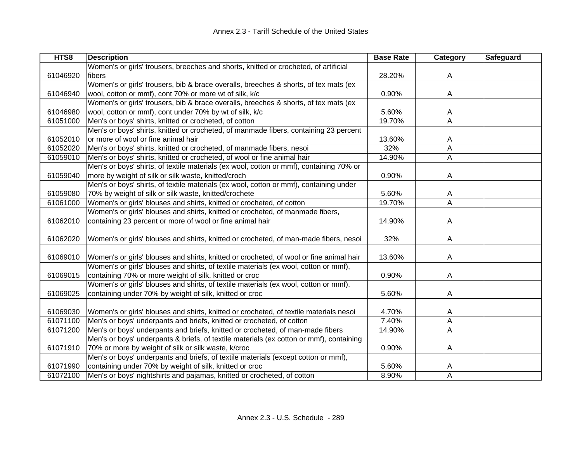| HTS8     | <b>Description</b>                                                                      | <b>Base Rate</b> | Category | Safeguard |
|----------|-----------------------------------------------------------------------------------------|------------------|----------|-----------|
|          | Women's or girls' trousers, breeches and shorts, knitted or crocheted, of artificial    |                  |          |           |
| 61046920 | fibers                                                                                  | 28.20%           | A        |           |
|          | Women's or girls' trousers, bib & brace overalls, breeches & shorts, of tex mats (ex    |                  |          |           |
| 61046940 | wool, cotton or mmf), cont 70% or more wt of silk, k/c                                  | 0.90%            | Α        |           |
|          | Women's or girls' trousers, bib & brace overalls, breeches & shorts, of tex mats (ex    |                  |          |           |
| 61046980 | wool, cotton or mmf), cont under 70% by wt of silk, k/c                                 | 5.60%            | A        |           |
| 61051000 | Men's or boys' shirts, knitted or crocheted, of cotton                                  | 19.70%           | A        |           |
|          | Men's or boys' shirts, knitted or crocheted, of manmade fibers, containing 23 percent   |                  |          |           |
| 61052010 | or more of wool or fine animal hair                                                     | 13.60%           | A        |           |
| 61052020 | Men's or boys' shirts, knitted or crocheted, of manmade fibers, nesoi                   | 32%              | Α        |           |
| 61059010 | Men's or boys' shirts, knitted or crocheted, of wool or fine animal hair                | 14.90%           | А        |           |
|          | Men's or boys' shirts, of textile materials (ex wool, cotton or mmf), containing 70% or |                  |          |           |
| 61059040 | more by weight of silk or silk waste, knitted/croch                                     | 0.90%            | A        |           |
|          | Men's or boys' shirts, of textile materials (ex wool, cotton or mmf), containing under  |                  |          |           |
| 61059080 | 70% by weight of silk or silk waste, knitted/crochete                                   | 5.60%            | A        |           |
| 61061000 | Women's or girls' blouses and shirts, knitted or crocheted, of cotton                   | 19.70%           | A        |           |
|          | Women's or girls' blouses and shirts, knitted or crocheted, of manmade fibers,          |                  |          |           |
| 61062010 | containing 23 percent or more of wool or fine animal hair                               | 14.90%           | A        |           |
|          |                                                                                         |                  |          |           |
| 61062020 | Women's or girls' blouses and shirts, knitted or crocheted, of man-made fibers, nesoi   | 32%              | Α        |           |
|          |                                                                                         |                  |          |           |
| 61069010 | Women's or girls' blouses and shirts, knitted or crocheted, of wool or fine animal hair | 13.60%           | A        |           |
|          | Women's or girls' blouses and shirts, of textile materials (ex wool, cotton or mmf),    |                  |          |           |
| 61069015 | containing 70% or more weight of silk, knitted or croc                                  | 0.90%            | A        |           |
|          | Women's or girls' blouses and shirts, of textile materials (ex wool, cotton or mmf),    |                  |          |           |
| 61069025 | containing under 70% by weight of silk, knitted or croc                                 | 5.60%            | A        |           |
|          |                                                                                         |                  |          |           |
| 61069030 | Women's or girls' blouses and shirts, knitted or crocheted, of textile materials nesoi  | 4.70%            | A        |           |
| 61071100 | Men's or boys' underpants and briefs, knitted or crocheted, of cotton                   | 7.40%            | А        |           |
| 61071200 | Men's or boys' underpants and briefs, knitted or crocheted, of man-made fibers          | 14.90%           | А        |           |
|          | Men's or boys' underpants & briefs, of textile materials (ex cotton or mmf), containing |                  |          |           |
| 61071910 | 70% or more by weight of silk or silk waste, k/croc                                     | 0.90%            | A        |           |
|          | Men's or boys' underpants and briefs, of textile materials (except cotton or mmf),      |                  |          |           |
| 61071990 | containing under 70% by weight of silk, knitted or croc                                 | 5.60%            | A        |           |
| 61072100 | Men's or boys' nightshirts and pajamas, knitted or crocheted, of cotton                 | 8.90%            | A        |           |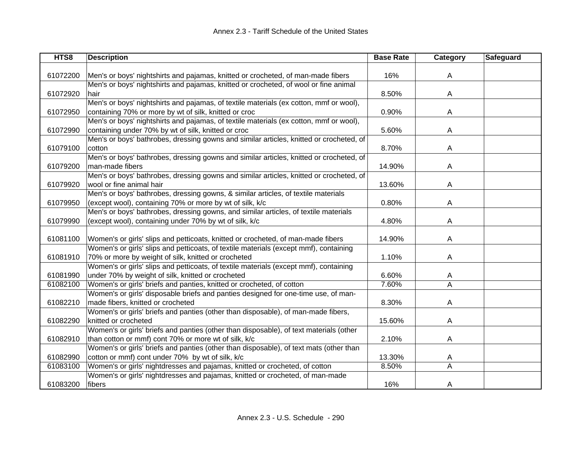| HTS8     | <b>Description</b>                                                                      | <b>Base Rate</b> | Category | Safeguard |
|----------|-----------------------------------------------------------------------------------------|------------------|----------|-----------|
|          |                                                                                         |                  |          |           |
| 61072200 | Men's or boys' nightshirts and pajamas, knitted or crocheted, of man-made fibers        | 16%              | A        |           |
|          | Men's or boys' nightshirts and pajamas, knitted or crocheted, of wool or fine animal    |                  |          |           |
| 61072920 | hair                                                                                    | 8.50%            | A        |           |
|          | Men's or boys' nightshirts and pajamas, of textile materials (ex cotton, mmf or wool),  |                  |          |           |
| 61072950 | containing 70% or more by wt of silk, knitted or croc                                   | 0.90%            | A        |           |
|          | Men's or boys' nightshirts and pajamas, of textile materials (ex cotton, mmf or wool),  |                  |          |           |
| 61072990 | containing under 70% by wt of silk, knitted or croc                                     | 5.60%            | A        |           |
|          | Men's or boys' bathrobes, dressing gowns and similar articles, knitted or crocheted, of |                  |          |           |
| 61079100 | cotton                                                                                  | 8.70%            | A        |           |
|          | Men's or boys' bathrobes, dressing gowns and similar articles, knitted or crocheted, of |                  |          |           |
| 61079200 | man-made fibers                                                                         | 14.90%           | A        |           |
|          | Men's or boys' bathrobes, dressing gowns and similar articles, knitted or crocheted, of |                  |          |           |
| 61079920 | wool or fine animal hair                                                                | 13.60%           | A        |           |
|          | Men's or boys' bathrobes, dressing gowns, & similar articles, of textile materials      |                  |          |           |
| 61079950 | (except wool), containing 70% or more by wt of silk, k/c                                | 0.80%            | A        |           |
|          | Men's or boys' bathrobes, dressing gowns, and similar articles, of textile materials    |                  |          |           |
| 61079990 | (except wool), containing under 70% by wt of silk, k/c                                  | 4.80%            | A        |           |
|          |                                                                                         |                  |          |           |
| 61081100 | Women's or girls' slips and petticoats, knitted or crocheted, of man-made fibers        | 14.90%           | A        |           |
|          | Women's or girls' slips and petticoats, of textile materials (except mmf), containing   |                  |          |           |
| 61081910 | 70% or more by weight of silk, knitted or crocheted                                     | 1.10%            | A        |           |
|          | Women's or girls' slips and petticoats, of textile materials (except mmf), containing   |                  |          |           |
| 61081990 | under 70% by weight of silk, knitted or crocheted                                       | 6.60%            | A        |           |
| 61082100 | Women's or girls' briefs and panties, knitted or crocheted, of cotton                   | 7.60%            | A        |           |
|          | Women's or girls' disposable briefs and panties designed for one-time use, of man-      |                  |          |           |
| 61082210 | made fibers, knitted or crocheted                                                       | 8.30%            | A        |           |
|          | Women's or girls' briefs and panties (other than disposable), of man-made fibers,       |                  |          |           |
| 61082290 | knitted or crocheted                                                                    | 15.60%           | A        |           |
|          | Women's or girls' briefs and panties (other than disposable), of text materials (other  |                  |          |           |
| 61082910 | than cotton or mmf) cont 70% or more wt of silk, k/c                                    | 2.10%            | A        |           |
|          | Women's or girls' briefs and panties (other than disposable), of text mats (other than  |                  |          |           |
| 61082990 | cotton or mmf) cont under 70% by wt of silk, k/c                                        | 13.30%           | A        |           |
| 61083100 | Women's or girls' nightdresses and pajamas, knitted or crocheted, of cotton             | 8.50%            | A        |           |
|          | Women's or girls' nightdresses and pajamas, knitted or crocheted, of man-made           |                  |          |           |
| 61083200 | fibers                                                                                  | 16%              | A        |           |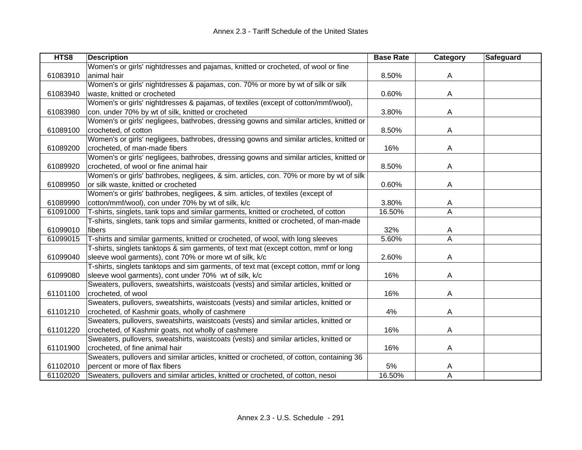| HTS8     | <b>Description</b>                                                                       | <b>Base Rate</b> | Category | <b>Safeguard</b> |
|----------|------------------------------------------------------------------------------------------|------------------|----------|------------------|
|          | Women's or girls' nightdresses and pajamas, knitted or crocheted, of wool or fine        |                  |          |                  |
| 61083910 | animal hair                                                                              | 8.50%            | Α        |                  |
|          | Women's or girls' nightdresses & pajamas, con. 70% or more by wt of silk or silk         |                  |          |                  |
| 61083940 | waste, knitted or crocheted                                                              | 0.60%            | A        |                  |
|          | Women's or girls' nightdresses & pajamas, of textiles (except of cotton/mmf/wool),       |                  |          |                  |
| 61083980 | con. under 70% by wt of silk, knitted or crocheted                                       | 3.80%            | A        |                  |
|          | Women's or girls' negligees, bathrobes, dressing gowns and similar articles, knitted or  |                  |          |                  |
| 61089100 | crocheted, of cotton                                                                     | 8.50%            | A        |                  |
|          | Women's or girls' negligees, bathrobes, dressing gowns and similar articles, knitted or  |                  |          |                  |
| 61089200 | crocheted, of man-made fibers                                                            | 16%              | A        |                  |
|          | Women's or girls' negligees, bathrobes, dressing gowns and similar articles, knitted or  |                  |          |                  |
| 61089920 | crocheted, of wool or fine animal hair                                                   | 8.50%            | A        |                  |
|          | Women's or girls' bathrobes, negligees, & sim. articles, con. 70% or more by wt of silk  |                  |          |                  |
| 61089950 | or silk waste, knitted or crocheted                                                      | 0.60%            | A        |                  |
|          | Women's or girls' bathrobes, negligees, & sim. articles, of textiles (except of          |                  |          |                  |
| 61089990 | cotton/mmf/wool), con under 70% by wt of silk, k/c                                       | 3.80%            | A        |                  |
| 61091000 | T-shirts, singlets, tank tops and similar garments, knitted or crocheted, of cotton      | 16.50%           | Α        |                  |
|          | T-shirts, singlets, tank tops and similar garments, knitted or crocheted, of man-made    |                  |          |                  |
| 61099010 | fibers                                                                                   | 32%              | A        |                  |
| 61099015 | T-shirts and similar garments, knitted or crocheted, of wool, with long sleeves          | 5.60%            | A        |                  |
|          | T-shirts, singlets tanktops & sim garments, of text mat (except cotton, mmf or long      |                  |          |                  |
| 61099040 | sleeve wool garments), cont 70% or more wt of silk, k/c                                  | 2.60%            | Α        |                  |
|          | T-shirts, singlets tanktops and sim garments, of text mat (except cotton, mmf or long    |                  |          |                  |
| 61099080 | sleeve wool garments), cont under 70% wt of silk, k/c                                    | 16%              | A        |                  |
|          | Sweaters, pullovers, sweatshirts, waistcoats (vests) and similar articles, knitted or    |                  |          |                  |
| 61101100 | crocheted, of wool                                                                       | 16%              | A        |                  |
|          | Sweaters, pullovers, sweatshirts, waistcoats (vests) and similar articles, knitted or    |                  |          |                  |
| 61101210 | crocheted, of Kashmir goats, wholly of cashmere                                          | 4%               | A        |                  |
|          | Sweaters, pullovers, sweatshirts, waistcoats (vests) and similar articles, knitted or    |                  |          |                  |
| 61101220 | crocheted, of Kashmir goats, not wholly of cashmere                                      | 16%              | A        |                  |
|          | Sweaters, pullovers, sweatshirts, waistcoats (vests) and similar articles, knitted or    |                  |          |                  |
| 61101900 | crocheted, of fine animal hair                                                           | 16%              | A        |                  |
|          | Sweaters, pullovers and similar articles, knitted or crocheted, of cotton, containing 36 |                  |          |                  |
| 61102010 | percent or more of flax fibers                                                           | 5%               | A        |                  |
| 61102020 | Sweaters, pullovers and similar articles, knitted or crocheted, of cotton, nesoi         | 16.50%           | A        |                  |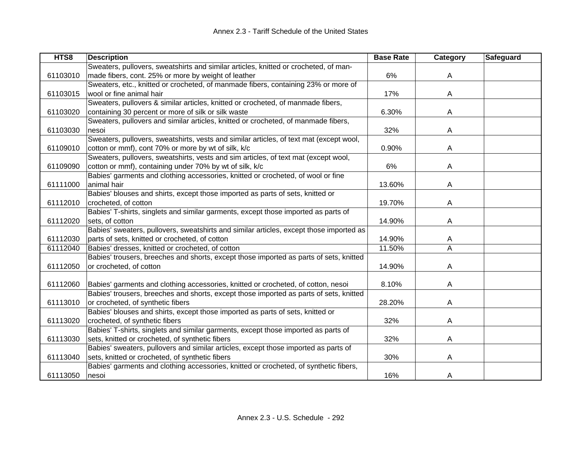| HTS8     | <b>Description</b>                                                                      | <b>Base Rate</b> | Category | <b>Safeguard</b> |
|----------|-----------------------------------------------------------------------------------------|------------------|----------|------------------|
|          | Sweaters, pullovers, sweatshirts and similar articles, knitted or crocheted, of man-    |                  |          |                  |
| 61103010 | made fibers, cont. 25% or more by weight of leather                                     | 6%               | A        |                  |
|          | Sweaters, etc., knitted or crocheted, of manmade fibers, containing 23% or more of      |                  |          |                  |
| 61103015 | wool or fine animal hair                                                                | 17%              | A        |                  |
|          | Sweaters, pullovers & similar articles, knitted or crocheted, of manmade fibers,        |                  |          |                  |
| 61103020 | containing 30 percent or more of silk or silk waste                                     | 6.30%            | A        |                  |
|          | Sweaters, pullovers and similar articles, knitted or crocheted, of manmade fibers,      |                  |          |                  |
| 61103030 | nesoi                                                                                   | 32%              | A        |                  |
|          | Sweaters, pullovers, sweatshirts, vests and similar articles, of text mat (except wool, |                  |          |                  |
| 61109010 | cotton or mmf), cont 70% or more by wt of silk, k/c                                     | 0.90%            | A        |                  |
|          | Sweaters, pullovers, sweatshirts, vests and sim articles, of text mat (except wool,     |                  |          |                  |
| 61109090 | cotton or mmf), containing under 70% by wt of silk, k/c                                 | 6%               | Α        |                  |
|          | Babies' garments and clothing accessories, knitted or crocheted, of wool or fine        |                  |          |                  |
| 61111000 | animal hair                                                                             | 13.60%           | Α        |                  |
|          | Babies' blouses and shirts, except those imported as parts of sets, knitted or          |                  |          |                  |
| 61112010 | crocheted, of cotton                                                                    | 19.70%           | Α        |                  |
|          | Babies' T-shirts, singlets and similar garments, except those imported as parts of      |                  |          |                  |
| 61112020 | sets, of cotton                                                                         | 14.90%           | A        |                  |
|          | Babies' sweaters, pullovers, sweatshirts and similar articles, except those imported as |                  |          |                  |
| 61112030 | parts of sets, knitted or crocheted, of cotton                                          | 14.90%           | Α        |                  |
| 61112040 | Babies' dresses, knitted or crocheted, of cotton                                        | 11.50%           | A        |                  |
|          | Babies' trousers, breeches and shorts, except those imported as parts of sets, knitted  |                  |          |                  |
| 61112050 | or crocheted, of cotton                                                                 | 14.90%           | A        |                  |
|          |                                                                                         |                  |          |                  |
| 61112060 | Babies' garments and clothing accessories, knitted or crocheted, of cotton, nesoi       | 8.10%            | A        |                  |
|          | Babies' trousers, breeches and shorts, except those imported as parts of sets, knitted  |                  |          |                  |
| 61113010 | or crocheted, of synthetic fibers                                                       | 28.20%           | A        |                  |
|          | Babies' blouses and shirts, except those imported as parts of sets, knitted or          |                  |          |                  |
| 61113020 | crocheted, of synthetic fibers                                                          | 32%              | A        |                  |
|          | Babies' T-shirts, singlets and similar garments, except those imported as parts of      |                  |          |                  |
| 61113030 | sets, knitted or crocheted, of synthetic fibers                                         | 32%              | A        |                  |
|          | Babies' sweaters, pullovers and similar articles, except those imported as parts of     |                  |          |                  |
| 61113040 | sets, knitted or crocheted, of synthetic fibers                                         | 30%              | A        |                  |
|          | Babies' garments and clothing accessories, knitted or crocheted, of synthetic fibers,   |                  |          |                  |
| 61113050 | nesoi                                                                                   | 16%              | A        |                  |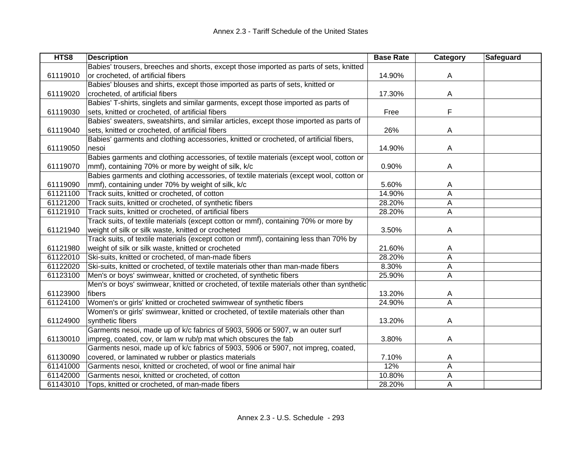| HTS8     | <b>Description</b>                                                                       | <b>Base Rate</b> | Category       | Safeguard |
|----------|------------------------------------------------------------------------------------------|------------------|----------------|-----------|
|          | Babies' trousers, breeches and shorts, except those imported as parts of sets, knitted   |                  |                |           |
| 61119010 | or crocheted, of artificial fibers                                                       | 14.90%           | A              |           |
|          | Babies' blouses and shirts, except those imported as parts of sets, knitted or           |                  |                |           |
| 61119020 | crocheted, of artificial fibers                                                          | 17.30%           | $\overline{A}$ |           |
|          | Babies' T-shirts, singlets and similar garments, except those imported as parts of       |                  |                |           |
| 61119030 | sets, knitted or crocheted, of artificial fibers                                         | Free             | F              |           |
|          | Babies' sweaters, sweatshirts, and similar articles, except those imported as parts of   |                  |                |           |
| 61119040 | sets, knitted or crocheted, of artificial fibers                                         | 26%              | A              |           |
|          | Babies' garments and clothing accessories, knitted or crocheted, of artificial fibers,   |                  |                |           |
| 61119050 | nesoi                                                                                    | 14.90%           | A              |           |
|          | Babies garments and clothing accessories, of textile materials (except wool, cotton or   |                  |                |           |
| 61119070 | mmf), containing 70% or more by weight of silk, k/c                                      | 0.90%            | A              |           |
|          | Babies garments and clothing accessories, of textile materials (except wool, cotton or   |                  |                |           |
| 61119090 | mmf), containing under 70% by weight of silk, k/c                                        | 5.60%            | A              |           |
| 61121100 | Track suits, knitted or crocheted, of cotton                                             | 14.90%           | A              |           |
| 61121200 | Track suits, knitted or crocheted, of synthetic fibers                                   | 28.20%           | A              |           |
| 61121910 | Track suits, knitted or crocheted, of artificial fibers                                  | 28.20%           | $\overline{A}$ |           |
|          | Track suits, of textile materials (except cotton or mmf), containing 70% or more by      |                  |                |           |
| 61121940 | weight of silk or silk waste, knitted or crocheted                                       | 3.50%            | A              |           |
|          | Track suits, of textile materials (except cotton or mmf), containing less than 70% by    |                  |                |           |
| 61121980 | weight of silk or silk waste, knitted or crocheted                                       | 21.60%           | A              |           |
| 61122010 | Ski-suits, knitted or crocheted, of man-made fibers                                      | 28.20%           | A              |           |
| 61122020 | Ski-suits, knitted or crocheted, of textile materials other than man-made fibers         | 8.30%            | A              |           |
| 61123100 | Men's or boys' swimwear, knitted or crocheted, of synthetic fibers                       | 25.90%           | A              |           |
|          | Men's or boys' swimwear, knitted or crocheted, of textile materials other than synthetic |                  |                |           |
| 61123900 | fibers                                                                                   | 13.20%           | A              |           |
| 61124100 | Women's or girls' knitted or crocheted swimwear of synthetic fibers                      | 24.90%           | A              |           |
|          | Women's or girls' swimwear, knitted or crocheted, of textile materials other than        |                  |                |           |
| 61124900 | synthetic fibers                                                                         | 13.20%           | A              |           |
|          | Garments nesoi, made up of k/c fabrics of 5903, 5906 or 5907, w an outer surf            |                  |                |           |
| 61130010 | impreg, coated, cov, or lam w rub/p mat which obscures the fab                           | 3.80%            | A              |           |
|          | Garments nesoi, made up of k/c fabrics of 5903, 5906 or 5907, not impreg, coated,        |                  |                |           |
| 61130090 | covered, or laminated w rubber or plastics materials                                     | 7.10%            | A              |           |
| 61141000 | Garments nesoi, knitted or crocheted, of wool or fine animal hair                        | 12%              | A              |           |
| 61142000 | Garments nesoi, knitted or crocheted, of cotton                                          | 10.80%           | A              |           |
| 61143010 | Tops, knitted or crocheted, of man-made fibers                                           | 28.20%           | A              |           |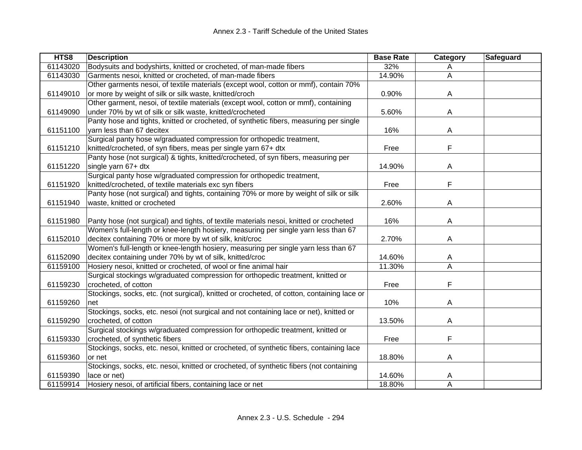| HTS8     | <b>Description</b>                                                                         | <b>Base Rate</b> | Category       | Safeguard |
|----------|--------------------------------------------------------------------------------------------|------------------|----------------|-----------|
| 61143020 | Bodysuits and bodyshirts, knitted or crocheted, of man-made fibers                         | 32%              | A              |           |
| 61143030 | Garments nesoi, knitted or crocheted, of man-made fibers                                   | 14.90%           | A              |           |
|          | Other garments nesoi, of textile materials (except wool, cotton or mmf), contain 70%       |                  |                |           |
| 61149010 | or more by weight of silk or silk waste, knitted/croch                                     | 0.90%            | A              |           |
|          | Other garment, nesoi, of textile materials (except wool, cotton or mmf), containing        |                  |                |           |
| 61149090 | under 70% by wt of silk or silk waste, knitted/crocheted                                   | 5.60%            | A              |           |
|          | Panty hose and tights, knitted or crocheted, of synthetic fibers, measuring per single     |                  |                |           |
| 61151100 | yarn less than 67 decitex                                                                  | 16%              | A              |           |
|          | Surgical panty hose w/graduated compression for orthopedic treatment,                      |                  |                |           |
| 61151210 | knitted/crocheted, of syn fibers, meas per single yarn 67+ dtx                             | Free             | F              |           |
|          | Panty hose (not surgical) & tights, knitted/crocheted, of syn fibers, measuring per        |                  |                |           |
| 61151220 | single yarn 67+ dtx                                                                        | 14.90%           | A              |           |
|          | Surgical panty hose w/graduated compression for orthopedic treatment,                      |                  |                |           |
| 61151920 | knitted/crocheted, of textile materials exc syn fibers                                     | Free             | F              |           |
|          | Panty hose (not surgical) and tights, containing 70% or more by weight of silk or silk     |                  |                |           |
| 61151940 | waste, knitted or crocheted                                                                | 2.60%            | A              |           |
|          |                                                                                            |                  |                |           |
| 61151980 | Panty hose (not surgical) and tights, of textile materials nesoi, knitted or crocheted     | 16%              | A              |           |
|          | Women's full-length or knee-length hosiery, measuring per single yarn less than 67         |                  |                |           |
| 61152010 | decitex containing 70% or more by wt of silk, knit/croc                                    | 2.70%            | Α              |           |
|          | Women's full-length or knee-length hosiery, measuring per single yarn less than 67         |                  |                |           |
| 61152090 | decitex containing under 70% by wt of silk, knitted/croc                                   | 14.60%           | A              |           |
| 61159100 | Hosiery nesoi, knitted or crocheted, of wool or fine animal hair                           | 11.30%           | $\overline{A}$ |           |
|          | Surgical stockings w/graduated compression for orthopedic treatment, knitted or            |                  |                |           |
| 61159230 | crocheted, of cotton                                                                       | Free             | F              |           |
|          | Stockings, socks, etc. (not surgical), knitted or crocheted, of cotton, containing lace or |                  |                |           |
| 61159260 | net                                                                                        | 10%              | A              |           |
|          | Stockings, socks, etc. nesoi (not surgical and not containing lace or net), knitted or     |                  |                |           |
| 61159290 | crocheted, of cotton                                                                       | 13.50%           | Α              |           |
|          | Surgical stockings w/graduated compression for orthopedic treatment, knitted or            |                  |                |           |
| 61159330 | crocheted, of synthetic fibers                                                             | Free             | F              |           |
|          | Stockings, socks, etc. nesoi, knitted or crocheted, of synthetic fibers, containing lace   |                  |                |           |
| 61159360 | or net                                                                                     | 18.80%           | Α              |           |
|          | Stockings, socks, etc. nesoi, knitted or crocheted, of synthetic fibers (not containing    |                  |                |           |
| 61159390 | lace or net)                                                                               | 14.60%           | A              |           |
| 61159914 | Hosiery nesoi, of artificial fibers, containing lace or net                                | 18.80%           | A              |           |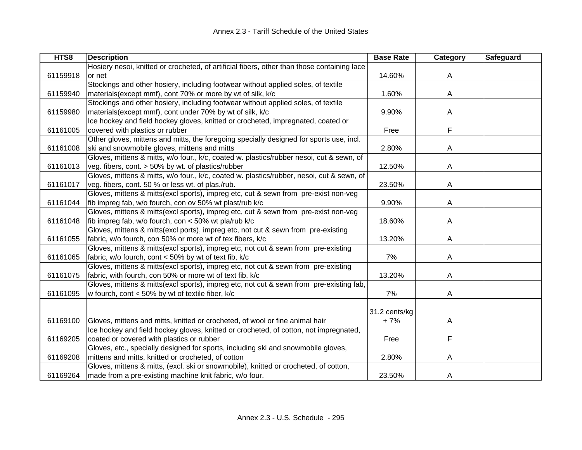| HTS8     | <b>Description</b>                                                                          | <b>Base Rate</b> | Category | <b>Safeguard</b> |
|----------|---------------------------------------------------------------------------------------------|------------------|----------|------------------|
|          | Hosiery nesoi, knitted or crocheted, of artificial fibers, other than those containing lace |                  |          |                  |
| 61159918 | or net                                                                                      | 14.60%           | A        |                  |
|          | Stockings and other hosiery, including footwear without applied soles, of textile           |                  |          |                  |
| 61159940 | materials(except mmf), cont 70% or more by wt of silk, k/c                                  | 1.60%            | Α        |                  |
|          | Stockings and other hosiery, including footwear without applied soles, of textile           |                  |          |                  |
| 61159980 | materials(except mmf), cont under 70% by wt of silk, k/c                                    | 9.90%            | A        |                  |
|          | Ice hockey and field hockey gloves, knitted or crocheted, impregnated, coated or            |                  |          |                  |
| 61161005 | covered with plastics or rubber                                                             | Free             | F        |                  |
|          | Other gloves, mittens and mitts, the foregoing specially designed for sports use, incl.     |                  |          |                  |
| 61161008 | ski and snowmobile gloves, mittens and mitts                                                | 2.80%            | Α        |                  |
|          | Gloves, mittens & mitts, w/o four., k/c, coated w. plastics/rubber nesoi, cut & sewn, of    |                  |          |                  |
| 61161013 | veg. fibers, cont. > 50% by wt. of plastics/rubber                                          | 12.50%           | Α        |                  |
|          | Gloves, mittens & mitts, w/o four., k/c, coated w. plastics/rubber, nesoi, cut & sewn, of   |                  |          |                  |
| 61161017 | veg. fibers, cont. 50 % or less wt. of plas./rub.                                           | 23.50%           | Α        |                  |
|          | Gloves, mittens & mitts(excl sports), impreg etc, cut & sewn from pre-exist non-veg         |                  |          |                  |
| 61161044 | fib impreg fab, w/o fourch, con ov 50% wt plast/rub k/c                                     | 9.90%            | A        |                  |
|          | Gloves, mittens & mitts(excl sports), impreg etc, cut & sewn from pre-exist non-veg         |                  |          |                  |
| 61161048 | fib impreg fab, w/o fourch, con < 50% wt pla/rub k/c                                        | 18.60%           | A        |                  |
|          | Gloves, mittens & mitts(excl ports), impreg etc, not cut & sewn from pre-existing           |                  |          |                  |
| 61161055 | fabric, w/o fourch, con 50% or more wt of tex fibers, k/c                                   | 13.20%           | A        |                  |
|          | Gloves, mittens & mitts(excl sports), impreg etc, not cut & sewn from pre-existing          |                  |          |                  |
| 61161065 | fabric, w/o fourch, cont < 50% by wt of text fib, k/c                                       | 7%               | Α        |                  |
|          | Gloves, mittens & mitts(excl sports), impreg etc, not cut & sewn from pre-existing          |                  |          |                  |
| 61161075 | fabric, with fourch, con 50% or more wt of text fib, k/c                                    | 13.20%           | A        |                  |
|          | Gloves, mittens & mitts(excl sports), impreg etc, not cut & sewn from pre-existing fab,     |                  |          |                  |
| 61161095 | w fourch, cont < 50% by wt of textile fiber, k/c                                            | 7%               | Α        |                  |
|          |                                                                                             |                  |          |                  |
|          |                                                                                             | 31.2 cents/kg    |          |                  |
| 61169100 | Gloves, mittens and mitts, knitted or crocheted, of wool or fine animal hair                | $+7%$            | A        |                  |
|          | Ice hockey and field hockey gloves, knitted or crocheted, of cotton, not impregnated,       |                  |          |                  |
| 61169205 | coated or covered with plastics or rubber                                                   | Free             | F        |                  |
|          | Gloves, etc., specially designed for sports, including ski and snowmobile gloves,           |                  |          |                  |
| 61169208 | mittens and mitts, knitted or crocheted, of cotton                                          | 2.80%            | Α        |                  |
|          | Gloves, mittens & mitts, (excl. ski or snowmobile), knitted or crocheted, of cotton,        |                  |          |                  |
| 61169264 | made from a pre-existing machine knit fabric, w/o four.                                     | 23.50%           | A        |                  |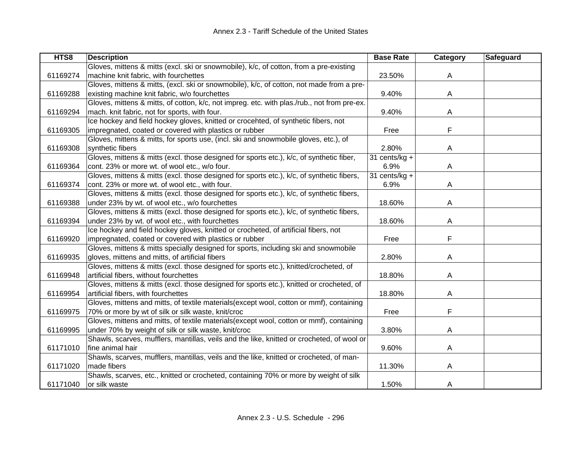| HTS8     | <b>Description</b>                                                                          | <b>Base Rate</b> | Category | <b>Safeguard</b> |
|----------|---------------------------------------------------------------------------------------------|------------------|----------|------------------|
|          | Gloves, mittens & mitts (excl. ski or snowmobile), k/c, of cotton, from a pre-existing      |                  |          |                  |
| 61169274 | machine knit fabric, with fourchettes                                                       | 23.50%           | A        |                  |
|          | Gloves, mittens & mitts, (excl. ski or snowmobile), k/c, of cotton, not made from a pre-    |                  |          |                  |
| 61169288 | existing machine knit fabric, w/o fourchettes                                               | 9.40%            | A        |                  |
|          | Gloves, mittens & mitts, of cotton, k/c, not impreg. etc. with plas./rub., not from pre-ex. |                  |          |                  |
| 61169294 | mach. knit fabric, not for sports, with four.                                               | 9.40%            | A        |                  |
|          | Ice hockey and field hockey gloves, knitted or crocehted, of synthetic fibers, not          |                  |          |                  |
| 61169305 | impregnated, coated or covered with plastics or rubber                                      | Free             | F        |                  |
|          | Gloves, mittens & mitts, for sports use, (incl. ski and snowmobile gloves, etc.), of        |                  |          |                  |
| 61169308 | synthetic fibers                                                                            | 2.80%            | A        |                  |
|          | Gloves, mittens & mitts (excl. those designed for sports etc.), k/c, of synthetic fiber,    | 31 cents/ $kg +$ |          |                  |
| 61169364 | cont. 23% or more wt. of wool etc., w/o four.                                               | 6.9%             | A        |                  |
|          | Gloves, mittens & mitts (excl. those designed for sports etc.), k/c, of synthetic fibers,   | 31 cents/ $kg +$ |          |                  |
| 61169374 | cont. 23% or more wt. of wool etc., with four.                                              | 6.9%             | A        |                  |
|          | Gloves, mittens & mitts (excl. those designed for sports etc.), k/c, of synthetic fibers,   |                  |          |                  |
| 61169388 | under 23% by wt. of wool etc., w/o fourchettes                                              | 18.60%           | A        |                  |
|          | Gloves, mittens & mitts (excl. those designed for sports etc.), k/c, of synthetic fibers,   |                  |          |                  |
| 61169394 | under 23% by wt. of wool etc., with fourchettes                                             | 18.60%           | A        |                  |
|          | Ice hockey and field hockey gloves, knitted or crocheted, of artificial fibers, not         |                  |          |                  |
| 61169920 | impregnated, coated or covered with plastics or rubber                                      | Free             | F        |                  |
|          | Gloves, mittens & mitts specially designed for sports, including ski and snowmobile         |                  |          |                  |
| 61169935 | gloves, mittens and mitts, of artificial fibers                                             | 2.80%            | A        |                  |
|          | Gloves, mittens & mitts (excl. those designed for sports etc.), knitted/crocheted, of       |                  |          |                  |
| 61169948 | artificial fibers, without fourchettes                                                      | 18.80%           | A        |                  |
|          | Gloves, mittens & mitts (excl. those designed for sports etc.), knitted or crocheted, of    |                  |          |                  |
| 61169954 | artificial fibers, with fourchettes                                                         | 18.80%           | A        |                  |
|          | Gloves, mittens and mitts, of textile materials(except wool, cotton or mmf), containing     |                  |          |                  |
| 61169975 | 70% or more by wt of silk or silk waste, knit/croc                                          | Free             | F        |                  |
|          | Gloves, mittens and mitts, of textile materials(except wool, cotton or mmf), containing     |                  |          |                  |
| 61169995 | under 70% by weight of silk or silk waste, knit/croc                                        | 3.80%            | A        |                  |
|          | Shawls, scarves, mufflers, mantillas, veils and the like, knitted or crocheted, of wool or  |                  |          |                  |
| 61171010 | fine animal hair                                                                            | 9.60%            | A        |                  |
|          | Shawls, scarves, mufflers, mantillas, veils and the like, knitted or crocheted, of man-     |                  |          |                  |
| 61171020 | made fibers                                                                                 | 11.30%           | A        |                  |
|          | Shawls, scarves, etc., knitted or crocheted, containing 70% or more by weight of silk       |                  |          |                  |
| 61171040 | or silk waste                                                                               | 1.50%            | A        |                  |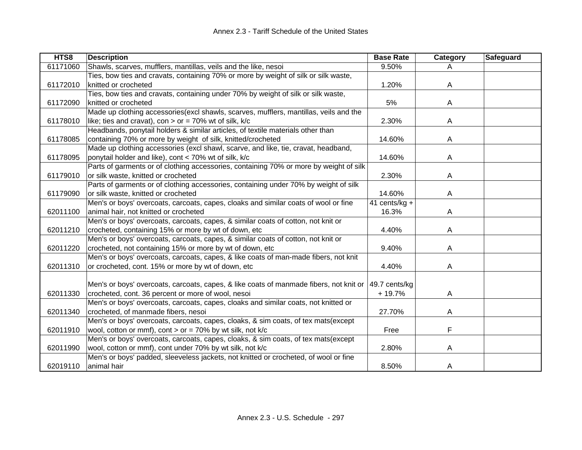| HTS8     | <b>Description</b>                                                                     | <b>Base Rate</b> | Category | <b>Safeguard</b> |
|----------|----------------------------------------------------------------------------------------|------------------|----------|------------------|
| 61171060 | Shawls, scarves, mufflers, mantillas, veils and the like, nesoi                        | 9.50%            | A        |                  |
|          | Ties, bow ties and cravats, containing 70% or more by weight of silk or silk waste,    |                  |          |                  |
| 61172010 | knitted or crocheted                                                                   | 1.20%            | A        |                  |
|          | Ties, bow ties and cravats, containing under 70% by weight of silk or silk waste,      |                  |          |                  |
| 61172090 | knitted or crocheted                                                                   | 5%               | Α        |                  |
|          | Made up clothing accessories(excl shawls, scarves, mufflers, mantillas, veils and the  |                  |          |                  |
| 61178010 | like; ties and cravat), con > or = 70% wt of silk, $k/c$                               | 2.30%            | A        |                  |
|          | Headbands, ponytail holders & similar articles, of textile materials other than        |                  |          |                  |
| 61178085 | containing 70% or more by weight of silk, knitted/crocheted                            | 14.60%           | A        |                  |
|          | Made up clothing accessories (excl shawl, scarve, and like, tie, cravat, headband,     |                  |          |                  |
| 61178095 | ponytail holder and like), cont < 70% wt of silk, k/c                                  | 14.60%           | A        |                  |
|          | Parts of garments or of clothing accessories, containing 70% or more by weight of silk |                  |          |                  |
| 61179010 | or silk waste, knitted or crocheted                                                    | 2.30%            | A        |                  |
|          | Parts of garments or of clothing accessories, containing under 70% by weight of silk   |                  |          |                  |
| 61179090 | or silk waste, knitted or crocheted                                                    | 14.60%           | A        |                  |
|          | Men's or boys' overcoats, carcoats, capes, cloaks and similar coats of wool or fine    | 41 cents/kg $+$  |          |                  |
| 62011100 | animal hair, not knitted or crocheted                                                  | 16.3%            | A        |                  |
|          | Men's or boys' overcoats, carcoats, capes, & similar coats of cotton, not knit or      |                  |          |                  |
| 62011210 | crocheted, containing 15% or more by wt of down, etc                                   | 4.40%            | A        |                  |
|          | Men's or boys' overcoats, carcoats, capes, & similar coats of cotton, not knit or      |                  |          |                  |
| 62011220 | crocheted, not containing 15% or more by wt of down, etc                               | 9.40%            | A        |                  |
|          | Men's or boys' overcoats, carcoats, capes, & like coats of man-made fibers, not knit   |                  |          |                  |
| 62011310 | or crocheted, cont. 15% or more by wt of down, etc                                     | 4.40%            | A        |                  |
|          |                                                                                        |                  |          |                  |
|          | Men's or boys' overcoats, carcoats, capes, & like coats of manmade fibers, not knit or | 49.7 cents/kg    |          |                  |
| 62011330 | crocheted, cont. 36 percent or more of wool, nesoi                                     | $+19.7%$         | A        |                  |
|          | Men's or boys' overcoats, carcoats, capes, cloaks and similar coats, not knitted or    |                  |          |                  |
| 62011340 | crocheted, of manmade fibers, nesoi                                                    | 27.70%           | A        |                  |
|          | Men's or boys' overcoats, carcoats, capes, cloaks, & sim coats, of tex mats(except     |                  |          |                  |
| 62011910 | wool, cotton or mmf), cont > or = $70\%$ by wt silk, not k/c                           | Free             | F        |                  |
|          | Men's or boys' overcoats, carcoats, capes, cloaks, & sim coats, of tex mats(except     |                  |          |                  |
| 62011990 | wool, cotton or mmf), cont under 70% by wt silk, not k/c                               | 2.80%            | A        |                  |
|          | Men's or boys' padded, sleeveless jackets, not knitted or crocheted, of wool or fine   |                  |          |                  |
| 62019110 | animal hair                                                                            | 8.50%            | A        |                  |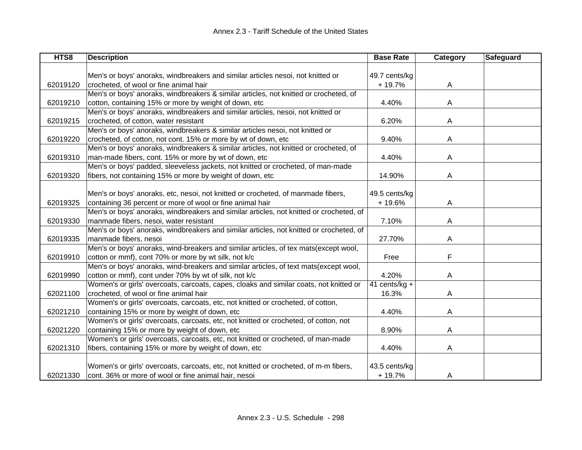| HTS8     | <b>Description</b>                                                                      | <b>Base Rate</b> | Category | Safeguard |
|----------|-----------------------------------------------------------------------------------------|------------------|----------|-----------|
|          |                                                                                         |                  |          |           |
|          | Men's or boys' anoraks, windbreakers and similar articles nesoi, not knitted or         | 49.7 cents/kg    |          |           |
| 62019120 | crocheted, of wool or fine animal hair                                                  | $+19.7%$         | A        |           |
|          | Men's or boys' anoraks, windbreakers & similar articles, not knitted or crocheted, of   |                  |          |           |
| 62019210 | cotton, containing 15% or more by weight of down, etc                                   | 4.40%            | A        |           |
|          | Men's or boys' anoraks, windbreakers and similar articles, nesoi, not knitted or        |                  |          |           |
| 62019215 | crocheted, of cotton, water resistant                                                   | 6.20%            | A        |           |
|          | Men's or boys' anoraks, windbreakers & similar articles nesoi, not knitted or           |                  |          |           |
| 62019220 | crocheted, of cotton, not cont. 15% or more by wt of down, etc                          | 9.40%            | A        |           |
|          | Men's or boys' anoraks, windbreakers & similar articles, not knitted or crocheted, of   |                  |          |           |
| 62019310 | man-made fibers, cont. 15% or more by wt of down, etc                                   | 4.40%            | A        |           |
|          | Men's or boys' padded, sleeveless jackets, not knitted or crocheted, of man-made        |                  |          |           |
| 62019320 | fibers, not containing 15% or more by weight of down, etc                               | 14.90%           | Α        |           |
|          |                                                                                         |                  |          |           |
|          | Men's or boys' anoraks, etc, nesoi, not knitted or crocheted, of manmade fibers,        | 49.5 cents/kg    |          |           |
| 62019325 | containing 36 percent or more of wool or fine animal hair                               | $+19.6%$         | A        |           |
|          | Men's or boys' anoraks, windbreakers and similar articles, not knitted or crocheted, of |                  |          |           |
| 62019330 | manmade fibers, nesoi, water resistant                                                  | 7.10%            | A        |           |
|          | Men's or boys' anoraks, windbreakers and similar articles, not knitted or crocheted, of |                  |          |           |
| 62019335 | manmade fibers, nesoi                                                                   | 27.70%           | A        |           |
|          | Men's or boys' anoraks, wind-breakers and similar articles, of tex mats(except wool,    |                  |          |           |
| 62019910 | cotton or mmf), cont 70% or more by wt silk, not k/c                                    | Free             | F        |           |
|          | Men's or boys' anoraks, wind-breakers and similar articles, of text mats(except wool,   |                  |          |           |
| 62019990 | cotton or mmf), cont under 70% by wt of silk, not k/c                                   | 4.20%            | A        |           |
|          | Women's or girls' overcoats, carcoats, capes, cloaks and similar coats, not knitted or  | 41 cents/ $kg +$ |          |           |
| 62021100 | crocheted, of wool or fine animal hair                                                  | 16.3%            | A        |           |
|          | Women's or girls' overcoats, carcoats, etc, not knitted or crocheted, of cotton,        |                  |          |           |
| 62021210 | containing 15% or more by weight of down, etc                                           | 4.40%            | A        |           |
|          | Women's or girls' overcoats, carcoats, etc, not knitted or crocheted, of cotton, not    |                  |          |           |
| 62021220 | containing 15% or more by weight of down, etc                                           | 8.90%            | A        |           |
|          | Women's or girls' overcoats, carcoats, etc, not knitted or crocheted, of man-made       |                  |          |           |
| 62021310 | fibers, containing 15% or more by weight of down, etc                                   | 4.40%            | A        |           |
|          |                                                                                         |                  |          |           |
|          | Women's or girls' overcoats, carcoats, etc, not knitted or crocheted, of m-m fibers,    | 43.5 cents/kg    |          |           |
| 62021330 | cont. 36% or more of wool or fine animal hair, nesoi                                    | $+19.7%$         | A        |           |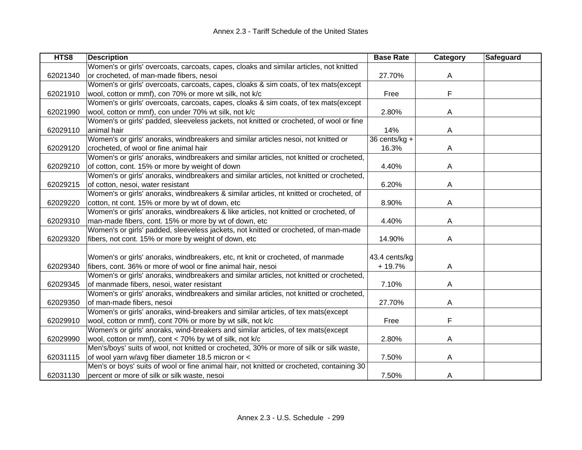| HTS8     | <b>Description</b>                                                                        | <b>Base Rate</b> | <b>Category</b> | Safeguard |
|----------|-------------------------------------------------------------------------------------------|------------------|-----------------|-----------|
|          | Women's or girls' overcoats, carcoats, capes, cloaks and similar articles, not knitted    |                  |                 |           |
| 62021340 | or crocheted, of man-made fibers, nesoi                                                   | 27.70%           | A               |           |
|          | Women's or girls' overcoats, carcoats, capes, cloaks & sim coats, of tex mats(except      |                  |                 |           |
| 62021910 | wool, cotton or mmf), con 70% or more wt silk, not k/c                                    | Free             | F               |           |
|          | Women's or girls' overcoats, carcoats, capes, cloaks & sim coats, of tex mats(except      |                  |                 |           |
| 62021990 | wool, cotton or mmf), con under 70% wt silk, not k/c                                      | 2.80%            | A               |           |
|          | Women's or girls' padded, sleeveless jackets, not knitted or crocheted, of wool or fine   |                  |                 |           |
| 62029110 | animal hair                                                                               | 14%              | Α               |           |
|          | Women's or girls' anoraks, windbreakers and similar articles nesoi, not knitted or        | 36 cents/kg +    |                 |           |
| 62029120 | crocheted, of wool or fine animal hair                                                    | 16.3%            | A               |           |
|          | Women's or girls' anoraks, windbreakers and similar articles, not knitted or crocheted,   |                  |                 |           |
| 62029210 | of cotton, cont. 15% or more by weight of down                                            | 4.40%            | A               |           |
|          | Women's or girls' anoraks, windbreakers and similar articles, not knitted or crocheted,   |                  |                 |           |
| 62029215 | of cotton, nesoi, water resistant                                                         | 6.20%            | A               |           |
|          | Women's or girls' anoraks, windbreakers & similar articles, nt knitted or crocheted, of   |                  |                 |           |
| 62029220 | cotton, nt cont. 15% or more by wt of down, etc                                           | 8.90%            | A               |           |
|          | Women's or girls' anoraks, windbreakers & like articles, not knitted or crocheted, of     |                  |                 |           |
| 62029310 | man-made fibers, cont. 15% or more by wt of down, etc                                     | 4.40%            | A               |           |
|          | Women's or girls' padded, sleeveless jackets, not knitted or crocheted, of man-made       |                  |                 |           |
| 62029320 | fibers, not cont. 15% or more by weight of down, etc                                      | 14.90%           | A               |           |
|          |                                                                                           |                  |                 |           |
|          | Women's or girls' anoraks, windbreakers, etc, nt knit or crocheted, of manmade            | 43.4 cents/kg    |                 |           |
| 62029340 | fibers, cont. 36% or more of wool or fine animal hair, nesoi                              | $+19.7%$         | Α               |           |
|          | Women's or girls' anoraks, windbreakers and similar articles, not knitted or crocheted,   |                  |                 |           |
| 62029345 | of manmade fibers, nesoi, water resistant                                                 | 7.10%            | A               |           |
|          | Women's or girls' anoraks, windbreakers and similar articles, not knitted or crocheted,   |                  |                 |           |
| 62029350 | of man-made fibers, nesoi                                                                 | 27.70%           | A               |           |
|          | Women's or girls' anoraks, wind-breakers and similar articles, of tex mats(except         |                  |                 |           |
| 62029910 | wool, cotton or mmf), cont 70% or more by wt silk, not k/c                                | Free             | F               |           |
|          | Women's or girls' anoraks, wind-breakers and similar articles, of tex mats(except         |                  |                 |           |
| 62029990 | wool, cotton or mmf), cont < 70% by wt of silk, not k/c                                   | 2.80%            | A               |           |
|          | Men's/boys' suits of wool, not knitted or crocheted, 30% or more of silk or silk waste,   |                  |                 |           |
| 62031115 | of wool yarn w/avg fiber diameter 18.5 micron or <                                        | 7.50%            | A               |           |
|          | Men's or boys' suits of wool or fine animal hair, not knitted or crocheted, containing 30 |                  |                 |           |
| 62031130 | percent or more of silk or silk waste, nesoi                                              | 7.50%            | A               |           |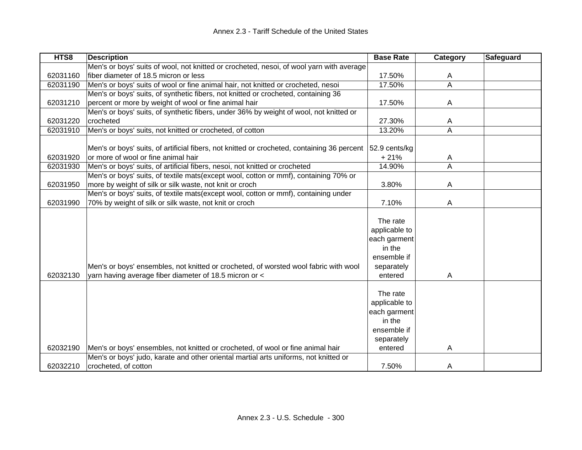| HTS8     | <b>Description</b>                                                                          | <b>Base Rate</b> | Category       | Safeguard |
|----------|---------------------------------------------------------------------------------------------|------------------|----------------|-----------|
|          | Men's or boys' suits of wool, not knitted or crocheted, nesoi, of wool yarn with average    |                  |                |           |
| 62031160 | fiber diameter of 18.5 micron or less                                                       | 17.50%           | A              |           |
| 62031190 | Men's or boys' suits of wool or fine animal hair, not knitted or crocheted, nesoi           | 17.50%           | $\overline{A}$ |           |
|          | Men's or boys' suits, of synthetic fibers, not knitted or crocheted, containing 36          |                  |                |           |
| 62031210 | percent or more by weight of wool or fine animal hair                                       | 17.50%           | A              |           |
|          | Men's or boys' suits, of synthetic fibers, under 36% by weight of wool, not knitted or      |                  |                |           |
| 62031220 | crocheted                                                                                   | 27.30%           | A              |           |
| 62031910 | Men's or boys' suits, not knitted or crocheted, of cotton                                   | 13.20%           | A              |           |
|          |                                                                                             |                  |                |           |
|          | Men's or boys' suits, of artificial fibers, not knitted or crocheted, containing 36 percent | 52.9 cents/kg    |                |           |
| 62031920 | or more of wool or fine animal hair                                                         | $+21%$           | A              |           |
| 62031930 | Men's or boys' suits, of artificial fibers, nesoi, not knitted or crocheted                 | 14.90%           | $\overline{A}$ |           |
|          | Men's or boys' suits, of textile mats(except wool, cotton or mmf), containing 70% or        |                  |                |           |
| 62031950 | more by weight of silk or silk waste, not knit or croch                                     | 3.80%            | A              |           |
|          | Men's or boys' suits, of textile mats(except wool, cotton or mmf), containing under         |                  |                |           |
| 62031990 | 70% by weight of silk or silk waste, not knit or croch                                      | 7.10%            | A              |           |
|          |                                                                                             |                  |                |           |
|          |                                                                                             | The rate         |                |           |
|          |                                                                                             | applicable to    |                |           |
|          |                                                                                             | each garment     |                |           |
|          |                                                                                             | in the           |                |           |
|          |                                                                                             | ensemble if      |                |           |
|          | Men's or boys' ensembles, not knitted or crocheted, of worsted wool fabric with wool        | separately       |                |           |
| 62032130 | yarn having average fiber diameter of 18.5 micron or <                                      | entered          | A              |           |
|          |                                                                                             |                  |                |           |
|          |                                                                                             | The rate         |                |           |
|          |                                                                                             | applicable to    |                |           |
|          |                                                                                             | each garment     |                |           |
|          |                                                                                             | in the           |                |           |
|          |                                                                                             | ensemble if      |                |           |
|          |                                                                                             | separately       |                |           |
| 62032190 | Men's or boys' ensembles, not knitted or crocheted, of wool or fine animal hair             | entered          | A              |           |
|          | Men's or boys' judo, karate and other oriental martial arts uniforms, not knitted or        |                  |                |           |
| 62032210 | crocheted, of cotton                                                                        | 7.50%            | A              |           |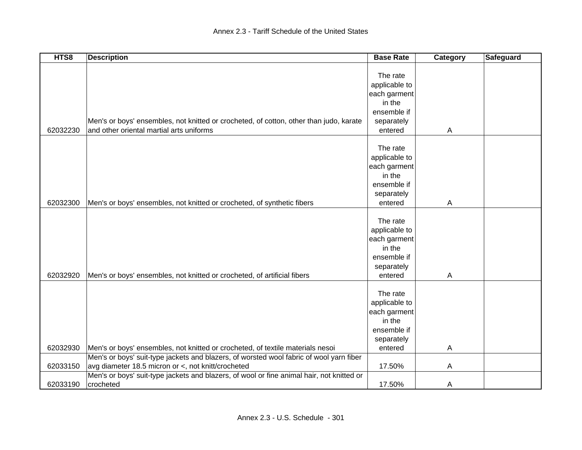| HTS8     | <b>Description</b>                                                                        | <b>Base Rate</b> | Category | Safeguard |
|----------|-------------------------------------------------------------------------------------------|------------------|----------|-----------|
|          |                                                                                           |                  |          |           |
|          |                                                                                           | The rate         |          |           |
|          |                                                                                           | applicable to    |          |           |
|          |                                                                                           | each garment     |          |           |
|          |                                                                                           | in the           |          |           |
|          |                                                                                           | ensemble if      |          |           |
|          | Men's or boys' ensembles, not knitted or crocheted, of cotton, other than judo, karate    | separately       |          |           |
| 62032230 | and other oriental martial arts uniforms                                                  | entered          | A        |           |
|          |                                                                                           |                  |          |           |
|          |                                                                                           | The rate         |          |           |
|          |                                                                                           | applicable to    |          |           |
|          |                                                                                           | each garment     |          |           |
|          |                                                                                           | in the           |          |           |
|          |                                                                                           | ensemble if      |          |           |
|          |                                                                                           | separately       |          |           |
| 62032300 | Men's or boys' ensembles, not knitted or crocheted, of synthetic fibers                   | entered          | A        |           |
|          |                                                                                           |                  |          |           |
|          |                                                                                           | The rate         |          |           |
|          |                                                                                           | applicable to    |          |           |
|          |                                                                                           | each garment     |          |           |
|          |                                                                                           | in the           |          |           |
|          |                                                                                           | ensemble if      |          |           |
|          |                                                                                           | separately       |          |           |
| 62032920 | Men's or boys' ensembles, not knitted or crocheted, of artificial fibers                  | entered          | A        |           |
|          |                                                                                           |                  |          |           |
|          |                                                                                           | The rate         |          |           |
|          |                                                                                           | applicable to    |          |           |
|          |                                                                                           | each garment     |          |           |
|          |                                                                                           | in the           |          |           |
|          |                                                                                           | ensemble if      |          |           |
|          |                                                                                           | separately       |          |           |
| 62032930 | Men's or boys' ensembles, not knitted or crocheted, of textile materials nesoi            | entered          | A        |           |
|          | Men's or boys' suit-type jackets and blazers, of worsted wool fabric of wool yarn fiber   |                  |          |           |
| 62033150 | avg diameter 18.5 micron or <, not knitt/crocheted                                        | 17.50%           | A        |           |
|          | Men's or boys' suit-type jackets and blazers, of wool or fine animal hair, not knitted or |                  |          |           |
| 62033190 | crocheted                                                                                 | 17.50%           | A        |           |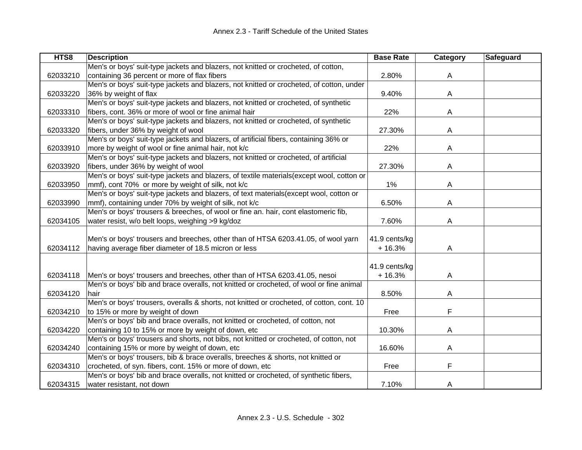| HTS8     | <b>Description</b>                                                                        | <b>Base Rate</b> | Category | Safeguard |
|----------|-------------------------------------------------------------------------------------------|------------------|----------|-----------|
|          | Men's or boys' suit-type jackets and blazers, not knitted or crocheted, of cotton,        |                  |          |           |
| 62033210 | containing 36 percent or more of flax fibers                                              | 2.80%            | A        |           |
|          | Men's or boys' suit-type jackets and blazers, not knitted or crocheted, of cotton, under  |                  |          |           |
| 62033220 | 36% by weight of flax                                                                     | 9.40%            | A        |           |
|          | Men's or boys' suit-type jackets and blazers, not knitted or crocheted, of synthetic      |                  |          |           |
| 62033310 | fibers, cont. 36% or more of wool or fine animal hair                                     | 22%              | A        |           |
|          | Men's or boys' suit-type jackets and blazers, not knitted or crocheted, of synthetic      |                  |          |           |
| 62033320 | fibers, under 36% by weight of wool                                                       | 27.30%           | A        |           |
|          | Men's or boys' suit-type jackets and blazers, of artificial fibers, containing 36% or     |                  |          |           |
| 62033910 | more by weight of wool or fine animal hair, not k/c                                       | 22%              | A        |           |
|          | Men's or boys' suit-type jackets and blazers, not knitted or crocheted, of artificial     |                  |          |           |
| 62033920 | fibers, under 36% by weight of wool                                                       | 27.30%           | A        |           |
|          | Men's or boys' suit-type jackets and blazers, of textile materials(except wool, cotton or |                  |          |           |
| 62033950 | mmf), cont 70% or more by weight of silk, not k/c                                         | 1%               | Α        |           |
|          | Men's or boys' suit-type jackets and blazers, of text materials(except wool, cotton or    |                  |          |           |
| 62033990 | mmf), containing under 70% by weight of silk, not k/c                                     | 6.50%            | A        |           |
|          | Men's or boys' trousers & breeches, of wool or fine an. hair, cont elastomeric fib,       |                  |          |           |
| 62034105 | water resist, w/o belt loops, weighing >9 kg/doz                                          | 7.60%            | А        |           |
|          |                                                                                           |                  |          |           |
|          | Men's or boys' trousers and breeches, other than of HTSA 6203.41.05, of wool yarn         | 41.9 cents/kg    |          |           |
| 62034112 | having average fiber diameter of 18.5 micron or less                                      | $+16.3%$         | A        |           |
|          |                                                                                           |                  |          |           |
|          |                                                                                           | 41.9 cents/kg    |          |           |
| 62034118 | Men's or boys' trousers and breeches, other than of HTSA 6203.41.05, nesoi                | $+16.3%$         | Α        |           |
|          | Men's or boys' bib and brace overalls, not knitted or crocheted, of wool or fine animal   |                  |          |           |
| 62034120 | hair                                                                                      | 8.50%            | Α        |           |
|          | Men's or boys' trousers, overalls & shorts, not knitted or crocheted, of cotton, cont. 10 |                  |          |           |
| 62034210 | to 15% or more by weight of down                                                          | Free             | F        |           |
|          | Men's or boys' bib and brace overalls, not knitted or crocheted, of cotton, not           |                  |          |           |
| 62034220 | containing 10 to 15% or more by weight of down, etc                                       | 10.30%           | Α        |           |
|          | Men's or boys' trousers and shorts, not bibs, not knitted or crocheted, of cotton, not    |                  |          |           |
| 62034240 | containing 15% or more by weight of down, etc                                             | 16.60%           | Α        |           |
|          | Men's or boys' trousers, bib & brace overalls, breeches & shorts, not knitted or          |                  |          |           |
| 62034310 | crocheted, of syn. fibers, cont. 15% or more of down, etc                                 | Free             | F        |           |
|          | Men's or boys' bib and brace overalls, not knitted or crocheted, of synthetic fibers,     |                  |          |           |
| 62034315 | water resistant, not down                                                                 | 7.10%            | A        |           |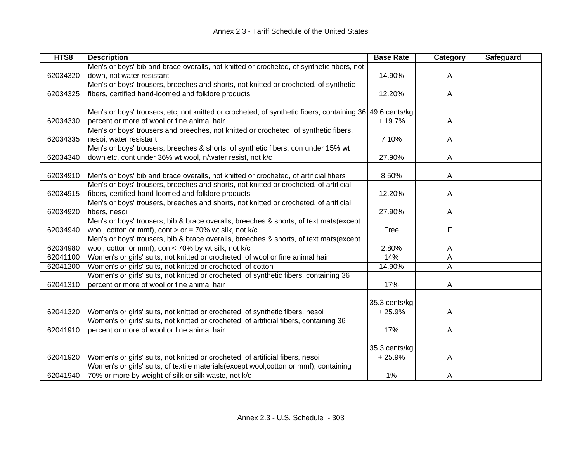| HTS8     | <b>Description</b>                                                                                       | <b>Base Rate</b> | <b>Category</b> | Safeguard |
|----------|----------------------------------------------------------------------------------------------------------|------------------|-----------------|-----------|
|          | Men's or boys' bib and brace overalls, not knitted or crocheted, of synthetic fibers, not                |                  |                 |           |
| 62034320 | down, not water resistant                                                                                | 14.90%           | A               |           |
|          | Men's or boys' trousers, breeches and shorts, not knitted or crocheted, of synthetic                     |                  |                 |           |
| 62034325 | fibers, certified hand-loomed and folklore products                                                      | 12.20%           | A               |           |
|          |                                                                                                          |                  |                 |           |
|          | Men's or boys' trousers, etc, not knitted or crocheted, of synthetic fibers, containing 36 49.6 cents/kg |                  |                 |           |
| 62034330 | percent or more of wool or fine animal hair                                                              | + 19.7%          | A               |           |
|          | Men's or boys' trousers and breeches, not knitted or crocheted, of synthetic fibers,                     |                  |                 |           |
| 62034335 | nesoi, water resistant                                                                                   | 7.10%            | A               |           |
|          | Men's or boys' trousers, breeches & shorts, of synthetic fibers, con under 15% wt                        |                  |                 |           |
| 62034340 | down etc, cont under 36% wt wool, n/water resist, not k/c                                                | 27.90%           | A               |           |
|          |                                                                                                          |                  |                 |           |
| 62034910 | Men's or boys' bib and brace overalls, not knitted or crocheted, of artificial fibers                    | 8.50%            | A               |           |
|          | Men's or boys' trousers, breeches and shorts, not knitted or crocheted, of artificial                    |                  |                 |           |
| 62034915 | fibers, certified hand-loomed and folklore products                                                      | 12.20%           | A               |           |
|          | Men's or boys' trousers, breeches and shorts, not knitted or crocheted, of artificial                    |                  |                 |           |
| 62034920 | fibers, nesoi                                                                                            | 27.90%           | A               |           |
|          | Men's or boys' trousers, bib & brace overalls, breeches & shorts, of text mats(except                    |                  |                 |           |
| 62034940 | wool, cotton or mmf), cont $>$ or = 70% wt silk, not k/c                                                 | Free             | F               |           |
|          | Men's or boys' trousers, bib & brace overalls, breeches & shorts, of text mats(except                    |                  |                 |           |
| 62034980 | wool, cotton or mmf), con < 70% by wt silk, not k/c                                                      | 2.80%            | A               |           |
| 62041100 | Women's or girls' suits, not knitted or crocheted, of wool or fine animal hair                           | 14%              | A               |           |
| 62041200 | Women's or girls' suits, not knitted or crocheted, of cotton                                             | 14.90%           | Α               |           |
|          | Women's or girls' suits, not knitted or crocheted, of synthetic fibers, containing 36                    |                  |                 |           |
| 62041310 | percent or more of wool or fine animal hair                                                              | 17%              | Α               |           |
|          |                                                                                                          |                  |                 |           |
|          |                                                                                                          | 35.3 cents/kg    |                 |           |
| 62041320 | Women's or girls' suits, not knitted or crocheted, of synthetic fibers, nesoi                            | $+25.9%$         | A               |           |
|          | Women's or girls' suits, not knitted or crocheted, of artificial fibers, containing 36                   |                  |                 |           |
| 62041910 | percent or more of wool or fine animal hair                                                              | 17%              | A               |           |
|          |                                                                                                          |                  |                 |           |
|          |                                                                                                          | 35.3 cents/kg    |                 |           |
| 62041920 | Women's or girls' suits, not knitted or crocheted, of artificial fibers, nesoi                           | $+25.9%$         | A               |           |
|          | Women's or girls' suits, of textile materials(except wool, cotton or mmf), containing                    |                  |                 |           |
| 62041940 | 70% or more by weight of silk or silk waste, not k/c                                                     | 1%               | A               |           |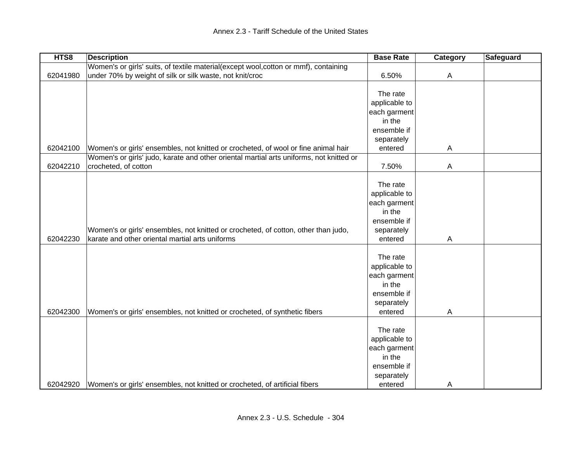| HTS8     | <b>Description</b>                                                                      | <b>Base Rate</b>       | Category       | Safeguard |
|----------|-----------------------------------------------------------------------------------------|------------------------|----------------|-----------|
|          | Women's or girls' suits, of textile material(except wool, cotton or mmf), containing    |                        |                |           |
| 62041980 | under 70% by weight of silk or silk waste, not knit/croc                                | 6.50%                  | $\overline{A}$ |           |
|          |                                                                                         |                        |                |           |
|          |                                                                                         | The rate               |                |           |
|          |                                                                                         | applicable to          |                |           |
|          |                                                                                         | each garment           |                |           |
|          |                                                                                         | in the                 |                |           |
|          |                                                                                         | ensemble if            |                |           |
|          |                                                                                         | separately             |                |           |
| 62042100 | Women's or girls' ensembles, not knitted or crocheted, of wool or fine animal hair      | entered                | A              |           |
|          | Women's or girls' judo, karate and other oriental martial arts uniforms, not knitted or |                        |                |           |
| 62042210 | crocheted, of cotton                                                                    | 7.50%                  | $\overline{A}$ |           |
|          |                                                                                         |                        |                |           |
|          |                                                                                         | The rate               |                |           |
|          |                                                                                         | applicable to          |                |           |
|          |                                                                                         | each garment           |                |           |
|          |                                                                                         | in the                 |                |           |
|          |                                                                                         | ensemble if            |                |           |
|          | Women's or girls' ensembles, not knitted or crocheted, of cotton, other than judo,      | separately             |                |           |
| 62042230 | karate and other oriental martial arts uniforms                                         | entered                | $\mathsf{A}$   |           |
|          |                                                                                         |                        |                |           |
|          |                                                                                         | The rate               |                |           |
|          |                                                                                         | applicable to          |                |           |
|          |                                                                                         | each garment           |                |           |
|          |                                                                                         | in the                 |                |           |
|          |                                                                                         | ensemble if            |                |           |
|          |                                                                                         | separately             |                |           |
| 62042300 | Women's or girls' ensembles, not knitted or crocheted, of synthetic fibers              | entered                | $\overline{A}$ |           |
|          |                                                                                         | The rate               |                |           |
|          |                                                                                         | applicable to          |                |           |
|          |                                                                                         |                        |                |           |
|          |                                                                                         | each garment<br>in the |                |           |
|          |                                                                                         | ensemble if            |                |           |
|          |                                                                                         |                        |                |           |
| 62042920 |                                                                                         | separately             |                |           |
|          | Women's or girls' ensembles, not knitted or crocheted, of artificial fibers             | entered                | A              |           |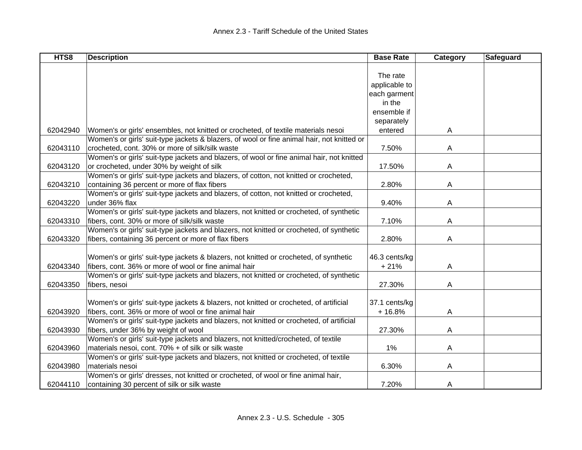| HTS8     | <b>Description</b>                                                                         | <b>Base Rate</b> | Category | Safeguard |
|----------|--------------------------------------------------------------------------------------------|------------------|----------|-----------|
|          |                                                                                            |                  |          |           |
|          |                                                                                            | The rate         |          |           |
|          |                                                                                            | applicable to    |          |           |
|          |                                                                                            | each garment     |          |           |
|          |                                                                                            | in the           |          |           |
|          |                                                                                            | ensemble if      |          |           |
|          |                                                                                            | separately       |          |           |
| 62042940 | Women's or girls' ensembles, not knitted or crocheted, of textile materials nesoi          | entered          | A        |           |
|          | Women's or girls' suit-type jackets & blazers, of wool or fine animal hair, not knitted or |                  |          |           |
| 62043110 | crocheted, cont. 30% or more of silk/silk waste                                            | 7.50%            | A        |           |
|          | Women's or girls' suit-type jackets and blazers, of wool or fine animal hair, not knitted  |                  |          |           |
| 62043120 | or crocheted, under 30% by weight of silk                                                  | 17.50%           | A        |           |
|          | Women's or girls' suit-type jackets and blazers, of cotton, not knitted or crocheted,      |                  |          |           |
| 62043210 | containing 36 percent or more of flax fibers                                               | 2.80%            | A        |           |
|          | Women's or girls' suit-type jackets and blazers, of cotton, not knitted or crocheted,      |                  |          |           |
| 62043220 | under 36% flax                                                                             | 9.40%            | A        |           |
|          | Women's or girls' suit-type jackets and blazers, not knitted or crocheted, of synthetic    |                  |          |           |
| 62043310 | fibers, cont. 30% or more of silk/silk waste                                               | 7.10%            | A        |           |
|          | Women's or girls' suit-type jackets and blazers, not knitted or crocheted, of synthetic    |                  |          |           |
| 62043320 | fibers, containing 36 percent or more of flax fibers                                       | 2.80%            | A        |           |
|          |                                                                                            |                  |          |           |
|          | Women's or girls' suit-type jackets & blazers, not knitted or crocheted, of synthetic      | 46.3 cents/kg    |          |           |
| 62043340 | fibers, cont. 36% or more of wool or fine animal hair                                      | $+21%$           | A        |           |
|          | Women's or girls' suit-type jackets and blazers, not knitted or crocheted, of synthetic    |                  |          |           |
| 62043350 | fibers, nesoi                                                                              | 27.30%           | A        |           |
|          |                                                                                            |                  |          |           |
|          | Women's or girls' suit-type jackets & blazers, not knitted or crocheted, of artificial     | 37.1 cents/kg    |          |           |
| 62043920 | fibers, cont. 36% or more of wool or fine animal hair                                      | $+16.8%$         | A        |           |
|          | Women's or girls' suit-type jackets and blazers, not knitted or crocheted, of artificial   |                  |          |           |
| 62043930 | fibers, under 36% by weight of wool                                                        | 27.30%           | A        |           |
|          | Women's or girls' suit-type jackets and blazers, not knitted/crocheted, of textile         |                  |          |           |
| 62043960 | materials nesoi, cont. 70% + of silk or silk waste                                         | 1%               | A        |           |
|          | Women's or girls' suit-type jackets and blazers, not knitted or crocheted, of textile      |                  |          |           |
| 62043980 | materials nesoi                                                                            | 6.30%            | A        |           |
|          | Women's or girls' dresses, not knitted or crocheted, of wool or fine animal hair,          |                  |          |           |
| 62044110 | containing 30 percent of silk or silk waste                                                | 7.20%            | A        |           |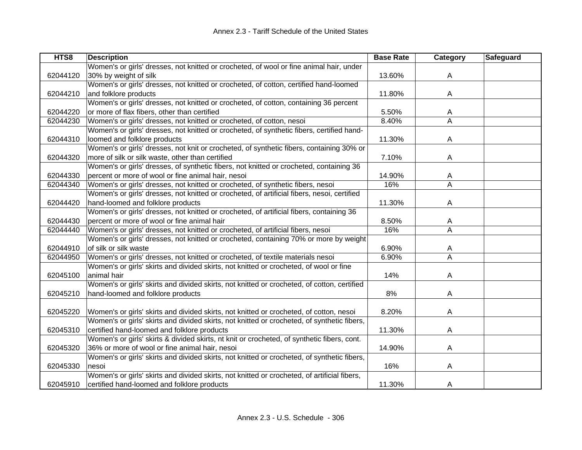| HTS8     | <b>Description</b>                                                                           | <b>Base Rate</b> | Category                | Safeguard |
|----------|----------------------------------------------------------------------------------------------|------------------|-------------------------|-----------|
|          | Women's or girls' dresses, not knitted or crocheted, of wool or fine animal hair, under      |                  |                         |           |
| 62044120 | 30% by weight of silk                                                                        | 13.60%           | A                       |           |
|          | Women's or girls' dresses, not knitted or crocheted, of cotton, certified hand-loomed        |                  |                         |           |
| 62044210 | and folklore products                                                                        | 11.80%           | A                       |           |
|          | Women's or girls' dresses, not knitted or crocheted, of cotton, containing 36 percent        |                  |                         |           |
| 62044220 | or more of flax fibers, other than certified                                                 | 5.50%            | A                       |           |
| 62044230 | Women's or girls' dresses, not knitted or crocheted, of cotton, nesoi                        | 8.40%            | A                       |           |
|          | Women's or girls' dresses, not knitted or crocheted, of synthetic fibers, certified hand-    |                  |                         |           |
| 62044310 | loomed and folklore products                                                                 | 11.30%           | A                       |           |
|          | Women's or girls' dresses, not knit or crocheted, of synthetic fibers, containing 30% or     |                  |                         |           |
| 62044320 | more of silk or silk waste, other than certified                                             | 7.10%            | A                       |           |
|          | Women's or girls' dresses, of synthetic fibers, not knitted or crocheted, containing 36      |                  |                         |           |
| 62044330 | percent or more of wool or fine animal hair, nesoi                                           | 14.90%           | A                       |           |
| 62044340 | Women's or girls' dresses, not knitted or crocheted, of synthetic fibers, nesoi              | 16%              | A                       |           |
|          | Women's or girls' dresses, not knitted or crocheted, of artificial fibers, nesoi, certified  |                  |                         |           |
| 62044420 | hand-loomed and folklore products                                                            | 11.30%           | A                       |           |
|          | Women's or girls' dresses, not knitted or crocheted, of artificial fibers, containing 36     |                  |                         |           |
| 62044430 | percent or more of wool or fine animal hair                                                  | 8.50%            | A                       |           |
| 62044440 | Women's or girls' dresses, not knitted or crocheted, of artificial fibers, nesoi             | 16%              | A                       |           |
|          | Women's or girls' dresses, not knitted or crocheted, containing 70% or more by weight        |                  |                         |           |
| 62044910 | of silk or silk waste                                                                        | 6.90%            | A                       |           |
| 62044950 | Women's or girls' dresses, not knitted or crocheted, of textile materials nesoi              | 6.90%            | $\overline{\mathsf{A}}$ |           |
|          | Women's or girls' skirts and divided skirts, not knitted or crocheted, of wool or fine       |                  |                         |           |
| 62045100 | animal hair                                                                                  | 14%              | A                       |           |
|          | Women's or girls' skirts and divided skirts, not knitted or crocheted, of cotton, certified  |                  |                         |           |
| 62045210 | hand-loomed and folklore products                                                            | 8%               | A                       |           |
|          |                                                                                              |                  |                         |           |
| 62045220 | Women's or girls' skirts and divided skirts, not knitted or crocheted, of cotton, nesoi      | 8.20%            | A                       |           |
|          | Women's or girls' skirts and divided skirts, not knitted or crocheted, of synthetic fibers,  |                  |                         |           |
| 62045310 | certified hand-loomed and folklore products                                                  | 11.30%           | A                       |           |
|          | Women's or girls' skirts & divided skirts, nt knit or crocheted, of synthetic fibers, cont.  |                  |                         |           |
| 62045320 | 36% or more of wool or fine animal hair, nesoi                                               | 14.90%           | A                       |           |
|          | Women's or girls' skirts and divided skirts, not knitted or crocheted, of synthetic fibers,  |                  |                         |           |
| 62045330 | nesoi                                                                                        | 16%              | A                       |           |
|          | Women's or girls' skirts and divided skirts, not knitted or crocheted, of artificial fibers, |                  |                         |           |
| 62045910 | certified hand-loomed and folklore products                                                  | 11.30%           | A                       |           |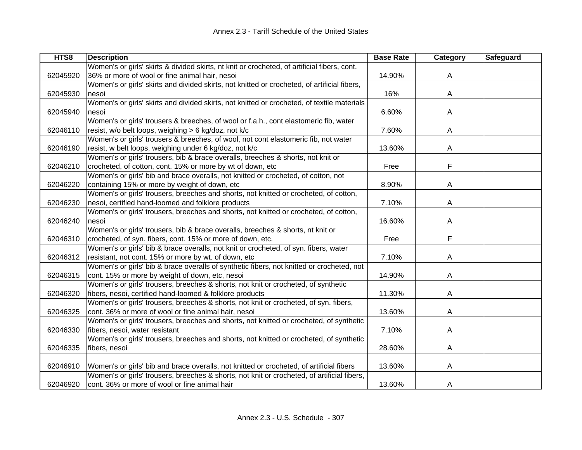| HTS8     | <b>Description</b>                                                                           | <b>Base Rate</b> | Category | Safeguard |
|----------|----------------------------------------------------------------------------------------------|------------------|----------|-----------|
|          | Women's or girls' skirts & divided skirts, nt knit or crocheted, of artificial fibers, cont. |                  |          |           |
| 62045920 | 36% or more of wool or fine animal hair, nesoi                                               | 14.90%           | A        |           |
|          | Women's or girls' skirts and divided skirts, not knitted or crocheted, of artificial fibers, |                  |          |           |
| 62045930 | nesoi                                                                                        | 16%              | A        |           |
|          | Women's or girls' skirts and divided skirts, not knitted or crocheted, of textile materials  |                  |          |           |
| 62045940 | nesoi                                                                                        | 6.60%            | A        |           |
|          | Women's or girls' trousers & breeches, of wool or f.a.h., cont elastomeric fib, water        |                  |          |           |
| 62046110 | resist, w/o belt loops, weighing > 6 kg/doz, not k/c                                         | 7.60%            | A        |           |
|          | Women's or girls' trousers & breeches, of wool, not cont elastomeric fib, not water          |                  |          |           |
| 62046190 | resist, w belt loops, weighing under 6 kg/doz, not k/c                                       | 13.60%           | A        |           |
|          | Women's or girls' trousers, bib & brace overalls, breeches & shorts, not knit or             |                  |          |           |
| 62046210 | crocheted, of cotton, cont. 15% or more by wt of down, etc                                   | Free             | F        |           |
|          | Women's or girls' bib and brace overalls, not knitted or crocheted, of cotton, not           |                  |          |           |
| 62046220 | containing 15% or more by weight of down, etc                                                | 8.90%            | A        |           |
|          | Women's or girls' trousers, breeches and shorts, not knitted or crocheted, of cotton,        |                  |          |           |
| 62046230 | nesoi, certified hand-loomed and folklore products                                           | 7.10%            | A        |           |
|          | Women's or girls' trousers, breeches and shorts, not knitted or crocheted, of cotton,        |                  |          |           |
| 62046240 | nesoi                                                                                        | 16.60%           | Α        |           |
|          | Women's or girls' trousers, bib & brace overalls, breeches & shorts, nt knit or              |                  |          |           |
| 62046310 | crocheted, of syn. fibers, cont. 15% or more of down, etc.                                   | Free             | F        |           |
|          | Women's or girls' bib & brace overalls, not knit or crocheted, of syn. fibers, water         |                  |          |           |
| 62046312 | resistant, not cont. 15% or more by wt. of down, etc                                         | 7.10%            | A        |           |
|          | Women's or girls' bib & brace overalls of synthetic fibers, not knitted or crocheted, not    |                  |          |           |
| 62046315 | cont. 15% or more by weight of down, etc, nesoi                                              | 14.90%           | A        |           |
|          | Women's or girls' trousers, breeches & shorts, not knit or crocheted, of synthetic           |                  |          |           |
| 62046320 | fibers, nesoi, certified hand-loomed & folklore products                                     | 11.30%           | Α        |           |
|          | Women's or girls' trousers, breeches & shorts, not knit or crocheted, of syn. fibers,        |                  |          |           |
| 62046325 | cont. 36% or more of wool or fine animal hair, nesoi                                         | 13.60%           | Α        |           |
|          | Women's or girls' trousers, breeches and shorts, not knitted or crocheted, of synthetic      |                  |          |           |
| 62046330 | fibers, nesoi, water resistant                                                               | 7.10%            | A        |           |
|          | Women's or girls' trousers, breeches and shorts, not knitted or crocheted, of synthetic      |                  |          |           |
| 62046335 | fibers, nesoi                                                                                | 28.60%           | A        |           |
|          |                                                                                              |                  |          |           |
| 62046910 | Women's or girls' bib and brace overalls, not knitted or crocheted, of artificial fibers     | 13.60%           | A        |           |
|          | Women's or girls' trousers, breeches & shorts, not knit or crocheted, of artificial fibers,  |                  |          |           |
| 62046920 | cont. 36% or more of wool or fine animal hair                                                | 13.60%           | A        |           |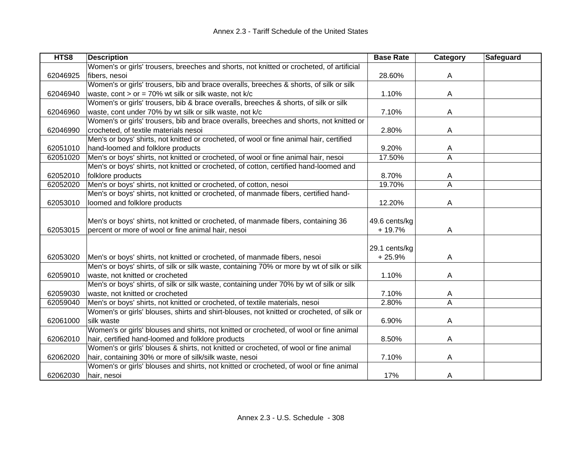| HTS8     | <b>Description</b>                                                                         | <b>Base Rate</b> | Category                | Safeguard |
|----------|--------------------------------------------------------------------------------------------|------------------|-------------------------|-----------|
|          | Women's or girls' trousers, breeches and shorts, not knitted or crocheted, of artificial   |                  |                         |           |
| 62046925 | fibers, nesoi                                                                              | 28.60%           | A                       |           |
|          | Women's or girls' trousers, bib and brace overalls, breeches & shorts, of silk or silk     |                  |                         |           |
| 62046940 | waste, cont > or = $70\%$ wt silk or silk waste, not k/c                                   | 1.10%            | A                       |           |
|          | Women's or girls' trousers, bib & brace overalls, breeches & shorts, of silk or silk       |                  |                         |           |
| 62046960 | waste, cont under 70% by wt silk or silk waste, not k/c                                    | 7.10%            | Α                       |           |
|          | Women's or girls' trousers, bib and brace overalls, breeches and shorts, not knitted or    |                  |                         |           |
| 62046990 | crocheted, of textile materials nesoi                                                      | 2.80%            | A                       |           |
|          | Men's or boys' shirts, not knitted or crocheted, of wool or fine animal hair, certified    |                  |                         |           |
| 62051010 | hand-loomed and folklore products                                                          | 9.20%            | A                       |           |
| 62051020 | Men's or boys' shirts, not knitted or crocheted, of wool or fine animal hair, nesoi        | 17.50%           | A                       |           |
|          | Men's or boys' shirts, not knitted or crocheted, of cotton, certified hand-loomed and      |                  |                         |           |
| 62052010 | folklore products                                                                          | 8.70%            | A                       |           |
| 62052020 | Men's or boys' shirts, not knitted or crocheted, of cotton, nesoi                          | 19.70%           | $\overline{\mathsf{A}}$ |           |
|          | Men's or boys' shirts, not knitted or crocheted, of manmade fibers, certified hand-        |                  |                         |           |
| 62053010 | loomed and folklore products                                                               | 12.20%           | Α                       |           |
|          |                                                                                            |                  |                         |           |
|          | Men's or boys' shirts, not knitted or crocheted, of manmade fibers, containing 36          | 49.6 cents/kg    |                         |           |
| 62053015 | percent or more of wool or fine animal hair, nesoi                                         | $+19.7%$         | Α                       |           |
|          |                                                                                            |                  |                         |           |
|          |                                                                                            | 29.1 cents/kg    |                         |           |
| 62053020 | Men's or boys' shirts, not knitted or crocheted, of manmade fibers, nesoi                  | $+25.9%$         | A                       |           |
|          | Men's or boys' shirts, of silk or silk waste, containing 70% or more by wt of silk or silk |                  |                         |           |
| 62059010 | waste, not knitted or crocheted                                                            | 1.10%            | A                       |           |
|          | Men's or boys' shirts, of silk or silk waste, containing under 70% by wt of silk or silk   |                  |                         |           |
| 62059030 | waste, not knitted or crocheted                                                            | 7.10%            | A                       |           |
| 62059040 | Men's or boys' shirts, not knitted or crocheted, of textile materials, nesoi               | 2.80%            | $\overline{\mathsf{A}}$ |           |
|          | Women's or girls' blouses, shirts and shirt-blouses, not knitted or crocheted, of silk or  |                  |                         |           |
| 62061000 | silk waste                                                                                 | 6.90%            | Α                       |           |
|          | Women's or girls' blouses and shirts, not knitted or crocheted, of wool or fine animal     |                  |                         |           |
| 62062010 | hair, certified hand-loomed and folklore products                                          | 8.50%            | A                       |           |
|          | Women's or girls' blouses & shirts, not knitted or crocheted, of wool or fine animal       |                  |                         |           |
| 62062020 | hair, containing 30% or more of silk/silk waste, nesoi                                     | 7.10%            | A                       |           |
|          | Women's or girls' blouses and shirts, not knitted or crocheted, of wool or fine animal     |                  |                         |           |
| 62062030 | hair, nesoi                                                                                | 17%              | A                       |           |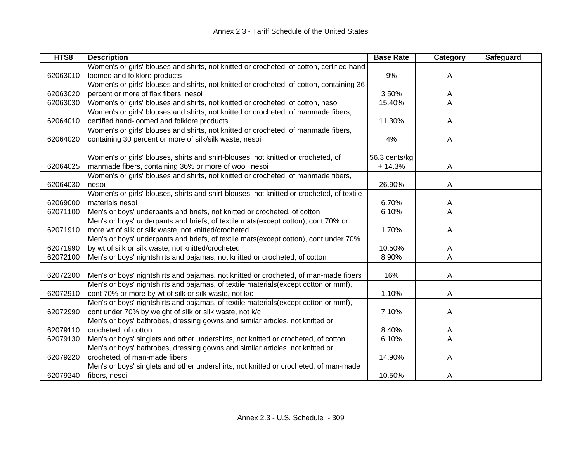| HTS8     | <b>Description</b>                                                                         | <b>Base Rate</b> | Category | <b>Safeguard</b> |
|----------|--------------------------------------------------------------------------------------------|------------------|----------|------------------|
|          | Women's or girls' blouses and shirts, not knitted or crocheted, of cotton, certified hand- |                  |          |                  |
| 62063010 | loomed and folklore products                                                               | 9%               | A        |                  |
|          | Women's or girls' blouses and shirts, not knitted or crocheted, of cotton, containing 36   |                  |          |                  |
| 62063020 | percent or more of flax fibers, nesoi                                                      | 3.50%            | A        |                  |
| 62063030 | Women's or girls' blouses and shirts, not knitted or crocheted, of cotton, nesoi           | 15.40%           | A        |                  |
|          | Women's or girls' blouses and shirts, not knitted or crocheted, of manmade fibers,         |                  |          |                  |
| 62064010 | certified hand-loomed and folklore products                                                | 11.30%           | A        |                  |
|          | Women's or girls' blouses and shirts, not knitted or crocheted, of manmade fibers,         |                  |          |                  |
| 62064020 | containing 30 percent or more of silk/silk waste, nesoi                                    | 4%               | A        |                  |
|          |                                                                                            |                  |          |                  |
|          | Women's or girls' blouses, shirts and shirt-blouses, not knitted or crocheted, of          | 56.3 cents/kg    |          |                  |
| 62064025 | manmade fibers, containing 36% or more of wool, nesoi                                      | $+14.3%$         | A        |                  |
|          | Women's or girls' blouses and shirts, not knitted or crocheted, of manmade fibers,         |                  |          |                  |
| 62064030 | nesoi                                                                                      | 26.90%           | A        |                  |
|          | Women's or girls' blouses, shirts and shirt-blouses, not knitted or crocheted, of textile  |                  |          |                  |
| 62069000 | materials nesoi                                                                            | 6.70%            | A        |                  |
| 62071100 | Men's or boys' underpants and briefs, not knitted or crocheted, of cotton                  | 6.10%            | A        |                  |
|          | Men's or boys' underpants and briefs, of textile mats(except cotton), cont 70% or          |                  |          |                  |
| 62071910 | more wt of silk or silk waste, not knitted/crocheted                                       | 1.70%            | A        |                  |
|          | Men's or boys' underpants and briefs, of textile mats(except cotton), cont under 70%       |                  |          |                  |
| 62071990 | by wt of silk or silk waste, not knitted/crocheted                                         | 10.50%           | A        |                  |
| 62072100 | Men's or boys' nightshirts and pajamas, not knitted or crocheted, of cotton                | 8.90%            | A        |                  |
|          |                                                                                            |                  |          |                  |
| 62072200 | Men's or boys' nightshirts and pajamas, not knitted or crocheted, of man-made fibers       | 16%              | A        |                  |
|          | Men's or boys' nightshirts and pajamas, of textile materials(except cotton or mmf),        |                  |          |                  |
| 62072910 | cont 70% or more by wt of silk or silk waste, not k/c                                      | 1.10%            | A        |                  |
|          | Men's or boys' nightshirts and pajamas, of textile materials(except cotton or mmf),        |                  |          |                  |
| 62072990 | cont under 70% by weight of silk or silk waste, not k/c                                    | 7.10%            | A        |                  |
|          | Men's or boys' bathrobes, dressing gowns and similar articles, not knitted or              |                  |          |                  |
| 62079110 | crocheted, of cotton                                                                       | 8.40%            | A        |                  |
| 62079130 | Men's or boys' singlets and other undershirts, not knitted or crocheted, of cotton         | 6.10%            | A        |                  |
|          | Men's or boys' bathrobes, dressing gowns and similar articles, not knitted or              |                  |          |                  |
| 62079220 | crocheted, of man-made fibers                                                              | 14.90%           | A        |                  |
|          | Men's or boys' singlets and other undershirts, not knitted or crocheted, of man-made       |                  |          |                  |
| 62079240 | fibers, nesoi                                                                              | 10.50%           | A        |                  |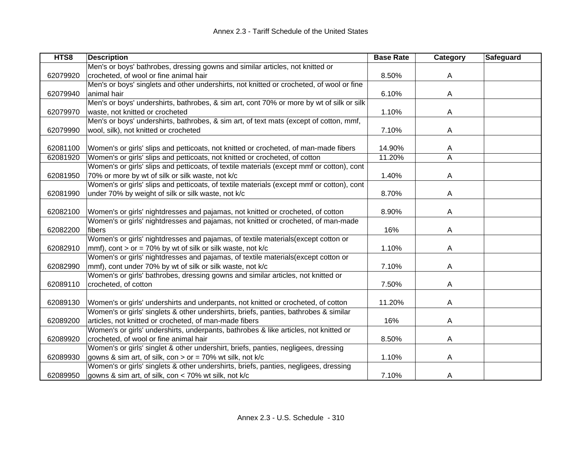| HTS8     | <b>Description</b>                                                                        | <b>Base Rate</b> | Category | <b>Safeguard</b> |
|----------|-------------------------------------------------------------------------------------------|------------------|----------|------------------|
|          | Men's or boys' bathrobes, dressing gowns and similar articles, not knitted or             |                  |          |                  |
| 62079920 | crocheted, of wool or fine animal hair                                                    | 8.50%            | A        |                  |
|          | Men's or boys' singlets and other undershirts, not knitted or crocheted, of wool or fine  |                  |          |                  |
| 62079940 | animal hair                                                                               | 6.10%            | A        |                  |
|          | Men's or boys' undershirts, bathrobes, & sim art, cont 70% or more by wt of silk or silk  |                  |          |                  |
| 62079970 | waste, not knitted or crocheted                                                           | 1.10%            | A        |                  |
|          | Men's or boys' undershirts, bathrobes, & sim art, of text mats (except of cotton, mmf,    |                  |          |                  |
| 62079990 | wool, silk), not knitted or crocheted                                                     | 7.10%            | A        |                  |
|          |                                                                                           |                  |          |                  |
| 62081100 | Women's or girls' slips and petticoats, not knitted or crocheted, of man-made fibers      | 14.90%           | A        |                  |
| 62081920 | Women's or girls' slips and petticoats, not knitted or crocheted, of cotton               | 11.20%           | A        |                  |
|          | Women's or girls' slips and petticoats, of textile materials (except mmf or cotton), cont |                  |          |                  |
| 62081950 | 70% or more by wt of silk or silk waste, not k/c                                          | 1.40%            | Α        |                  |
|          | Women's or girls' slips and petticoats, of textile materials (except mmf or cotton), cont |                  |          |                  |
| 62081990 | under 70% by weight of silk or silk waste, not k/c                                        | 8.70%            | A        |                  |
|          |                                                                                           |                  |          |                  |
| 62082100 | Women's or girls' nightdresses and pajamas, not knitted or crocheted, of cotton           | 8.90%            | A        |                  |
|          | Women's or girls' nightdresses and pajamas, not knitted or crocheted, of man-made         |                  |          |                  |
| 62082200 | fibers                                                                                    | 16%              | Α        |                  |
|          | Women's or girls' nightdresses and pajamas, of textile materials(except cotton or         |                  |          |                  |
| 62082910 | mmf), cont > or = 70% by wt of silk or silk waste, not $k/c$                              | 1.10%            | Α        |                  |
|          | Women's or girls' nightdresses and pajamas, of textile materials(except cotton or         |                  |          |                  |
| 62082990 | mmf), cont under 70% by wt of silk or silk waste, not k/c                                 | 7.10%            | Α        |                  |
|          | Women's or girls' bathrobes, dressing gowns and similar articles, not knitted or          |                  |          |                  |
| 62089110 | crocheted, of cotton                                                                      | 7.50%            | Α        |                  |
|          |                                                                                           |                  |          |                  |
| 62089130 | Women's or girls' undershirts and underpants, not knitted or crocheted, of cotton         | 11.20%           | A        |                  |
|          | Women's or girls' singlets & other undershirts, briefs, panties, bathrobes & similar      |                  |          |                  |
| 62089200 | articles, not knitted or crocheted, of man-made fibers                                    | 16%              | A        |                  |
|          | Women's or girls' undershirts, underpants, bathrobes & like articles, not knitted or      |                  |          |                  |
| 62089920 | crocheted, of wool or fine animal hair                                                    | 8.50%            | A        |                  |
|          | Women's or girls' singlet & other undershirt, briefs, panties, negligees, dressing        |                  |          |                  |
| 62089930 | gowns & sim art, of silk, con > or = 70% wt silk, not k/c                                 | 1.10%            | A        |                  |
|          | Women's or girls' singlets & other undershirts, briefs, panties, negligees, dressing      |                  |          |                  |
| 62089950 | gowns & sim art, of silk, con < 70% wt silk, not k/c                                      | 7.10%            | A        |                  |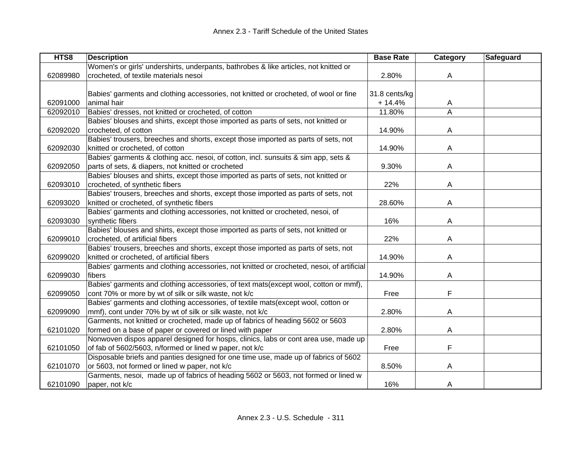| HTS8     | <b>Description</b>                                                                        | <b>Base Rate</b> | Category | <b>Safeguard</b> |
|----------|-------------------------------------------------------------------------------------------|------------------|----------|------------------|
|          | Women's or girls' undershirts, underpants, bathrobes & like articles, not knitted or      |                  |          |                  |
| 62089980 | crocheted, of textile materials nesoi                                                     | 2.80%            | A        |                  |
|          |                                                                                           |                  |          |                  |
|          | Babies' garments and clothing accessories, not knitted or crocheted, of wool or fine      | 31.8 cents/kg    |          |                  |
| 62091000 | animal hair                                                                               | $+ 14.4%$        | A        |                  |
| 62092010 | Babies' dresses, not knitted or crocheted, of cotton                                      | 11.80%           | A        |                  |
|          | Babies' blouses and shirts, except those imported as parts of sets, not knitted or        |                  |          |                  |
| 62092020 | crocheted, of cotton                                                                      | 14.90%           | A        |                  |
|          | Babies' trousers, breeches and shorts, except those imported as parts of sets, not        |                  |          |                  |
| 62092030 | knitted or crocheted, of cotton                                                           | 14.90%           | A        |                  |
|          | Babies' garments & clothing acc. nesoi, of cotton, incl. sunsuits & sim app, sets &       |                  |          |                  |
| 62092050 | parts of sets, & diapers, not knitted or crocheted                                        | 9.30%            | A        |                  |
|          | Babies' blouses and shirts, except those imported as parts of sets, not knitted or        |                  |          |                  |
| 62093010 | crocheted, of synthetic fibers                                                            | 22%              | A        |                  |
|          | Babies' trousers, breeches and shorts, except those imported as parts of sets, not        |                  |          |                  |
| 62093020 | knitted or crocheted, of synthetic fibers                                                 | 28.60%           | A        |                  |
|          | Babies' garments and clothing accessories, not knitted or crocheted, nesoi, of            |                  |          |                  |
| 62093030 | synthetic fibers                                                                          | 16%              | A        |                  |
|          | Babies' blouses and shirts, except those imported as parts of sets, not knitted or        |                  |          |                  |
| 62099010 | crocheted, of artificial fibers                                                           | 22%              | A        |                  |
|          | Babies' trousers, breeches and shorts, except those imported as parts of sets, not        |                  |          |                  |
| 62099020 | knitted or crocheted, of artificial fibers                                                | 14.90%           | A        |                  |
|          | Babies' garments and clothing accessories, not knitted or crocheted, nesoi, of artificial |                  |          |                  |
| 62099030 | fibers                                                                                    | 14.90%           | A        |                  |
|          | Babies' garments and clothing accessories, of text mats(except wool, cotton or mmf),      |                  |          |                  |
| 62099050 | cont 70% or more by wt of silk or silk waste, not k/c                                     | Free             | F        |                  |
|          | Babies' garments and clothing accessories, of textile mats(except wool, cotton or         |                  |          |                  |
| 62099090 | mmf), cont under 70% by wt of silk or silk waste, not k/c                                 | 2.80%            | A        |                  |
|          | Garments, not knitted or crocheted, made up of fabrics of heading 5602 or 5603            |                  |          |                  |
| 62101020 | formed on a base of paper or covered or lined with paper                                  | 2.80%            | A        |                  |
|          | Nonwoven dispos apparel designed for hosps, clinics, labs or cont area use, made up       |                  |          |                  |
| 62101050 | of fab of 5602/5603, n/formed or lined w paper, not k/c                                   | Free             | F        |                  |
|          | Disposable briefs and panties designed for one time use, made up of fabrics of 5602       |                  |          |                  |
| 62101070 | or 5603, not formed or lined w paper, not k/c                                             | 8.50%            | A        |                  |
|          | Garments, nesoi, made up of fabrics of heading 5602 or 5603, not formed or lined w        |                  |          |                  |
| 62101090 | paper, not k/c                                                                            | 16%              | A        |                  |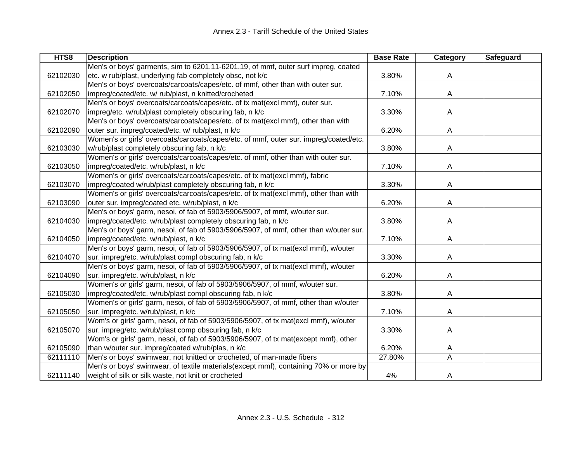| HTS8     | <b>Description</b>                                                                    | <b>Base Rate</b> | Category | <b>Safeguard</b> |
|----------|---------------------------------------------------------------------------------------|------------------|----------|------------------|
|          | Men's or boys' garments, sim to 6201.11-6201.19, of mmf, outer surf impreg, coated    |                  |          |                  |
| 62102030 | etc. w rub/plast, underlying fab completely obsc, not k/c                             | 3.80%            | A        |                  |
|          | Men's or boys' overcoats/carcoats/capes/etc. of mmf, other than with outer sur.       |                  |          |                  |
| 62102050 | impreg/coated/etc. w/ rub/plast, n knitted/crocheted                                  | 7.10%            | A        |                  |
|          | Men's or boys' overcoats/carcoats/capes/etc. of tx mat(excl mmf), outer sur.          |                  |          |                  |
| 62102070 | impreg/etc. w/rub/plast completely obscuring fab, n k/c                               | 3.30%            | A        |                  |
|          | Men's or boys' overcoats/carcoats/capes/etc. of tx mat(excl mmf), other than with     |                  |          |                  |
| 62102090 | outer sur. impreg/coated/etc. w/ rub/plast, n k/c                                     | 6.20%            | A        |                  |
|          | Women's or girls' overcoats/carcoats/capes/etc. of mmf, outer sur. impreg/coated/etc. |                  |          |                  |
| 62103030 | w/rub/plast completely obscuring fab, n k/c                                           | 3.80%            | A        |                  |
|          | Women's or girls' overcoats/carcoats/capes/etc. of mmf, other than with outer sur.    |                  |          |                  |
| 62103050 | impreg/coated/etc. w/rub/plast, n k/c                                                 | 7.10%            | Α        |                  |
|          | Women's or girls' overcoats/carcoats/capes/etc. of tx mat(excl mmf), fabric           |                  |          |                  |
| 62103070 | impreg/coated w/rub/plast completely obscuring fab, n k/c                             | 3.30%            | Α        |                  |
|          | Women's or girls' overcoats/carcoats/capes/etc. of tx mat(excl mmf), other than with  |                  |          |                  |
| 62103090 | outer sur. impreg/coated etc. w/rub/plast, n k/c                                      | 6.20%            | Α        |                  |
|          | Men's or boys' garm, nesoi, of fab of 5903/5906/5907, of mmf, w/outer sur.            |                  |          |                  |
| 62104030 | impreg/coated/etc. w/rub/plast completely obscuring fab, n k/c                        | 3.80%            | A        |                  |
|          | Men's or boys' garm, nesoi, of fab of 5903/5906/5907, of mmf, other than w/outer sur. |                  |          |                  |
| 62104050 | impreg/coated/etc. w/rub/plast, n k/c                                                 | 7.10%            | Α        |                  |
|          | Men's or boys' garm, nesoi, of fab of 5903/5906/5907, of tx mat(excl mmf), w/outer    |                  |          |                  |
| 62104070 | sur. impreg/etc. w/rub/plast compl obscuring fab, n k/c                               | 3.30%            | A        |                  |
|          | Men's or boys' garm, nesoi, of fab of 5903/5906/5907, of tx mat(excl mmf), w/outer    |                  |          |                  |
| 62104090 | sur. impreg/etc. w/rub/plast, n k/c                                                   | 6.20%            | Α        |                  |
|          | Women's or girls' garm, nesoi, of fab of 5903/5906/5907, of mmf, w/outer sur.         |                  |          |                  |
| 62105030 | impreg/coated/etc. w/rub/plast compl obscuring fab, n k/c                             | 3.80%            | A        |                  |
|          | Women's or girls' garm, nesoi, of fab of 5903/5906/5907, of mmf, other than w/outer   |                  |          |                  |
| 62105050 | sur. impreg/etc. w/rub/plast, n k/c                                                   | 7.10%            | Α        |                  |
|          | Wom's or girls' garm, nesoi, of fab of 5903/5906/5907, of tx mat(excl mmf), w/outer   |                  |          |                  |
| 62105070 | sur. impreg/etc. w/rub/plast comp obscuring fab, n k/c                                | 3.30%            | A        |                  |
|          | Wom's or girls' garm, nesoi, of fab of 5903/5906/5907, of tx mat(except mmf), other   |                  |          |                  |
| 62105090 | than w/outer sur. impreg/coated w/rub/plas, n k/c                                     | 6.20%            | A        |                  |
| 62111110 | Men's or boys' swimwear, not knitted or crocheted, of man-made fibers                 | 27.80%           | A        |                  |
|          | Men's or boys' swimwear, of textile materials(except mmf), containing 70% or more by  |                  |          |                  |
| 62111140 | weight of silk or silk waste, not knit or crocheted                                   | 4%               | A        |                  |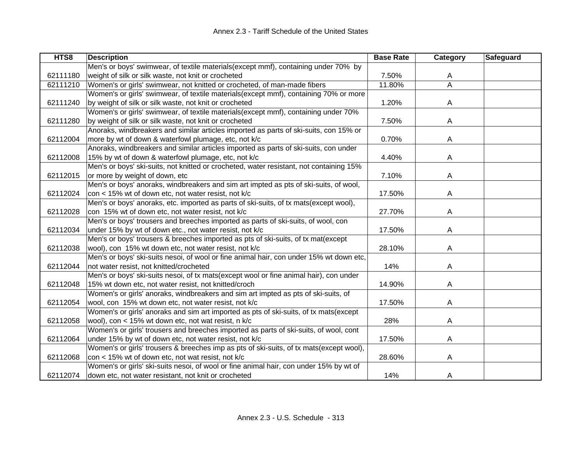| HTS8     | <b>Description</b>                                                                      | <b>Base Rate</b> | Category | Safeguard |
|----------|-----------------------------------------------------------------------------------------|------------------|----------|-----------|
|          | Men's or boys' swimwear, of textile materials(except mmf), containing under 70% by      |                  |          |           |
| 62111180 | weight of silk or silk waste, not knit or crocheted                                     | 7.50%            | A        |           |
| 62111210 | Women's or girls' swimwear, not knitted or crocheted, of man-made fibers                | 11.80%           | A        |           |
|          | Women's or girls' swimwear, of textile materials(except mmf), containing 70% or more    |                  |          |           |
| 62111240 | by weight of silk or silk waste, not knit or crocheted                                  | 1.20%            | A        |           |
|          | Women's or girls' swimwear, of textile materials(except mmf), containing under 70%      |                  |          |           |
| 62111280 | by weight of silk or silk waste, not knit or crocheted                                  | 7.50%            | A        |           |
|          | Anoraks, windbreakers and similar articles imported as parts of ski-suits, con 15% or   |                  |          |           |
| 62112004 | more by wt of down & waterfowl plumage, etc, not k/c                                    | 0.70%            | A        |           |
|          | Anoraks, windbreakers and similar articles imported as parts of ski-suits, con under    |                  |          |           |
| 62112008 | 15% by wt of down & waterfowl plumage, etc, not k/c                                     | 4.40%            | A        |           |
|          | Men's or boys' ski-suits, not knitted or crocheted, water resistant, not containing 15% |                  |          |           |
| 62112015 | or more by weight of down, etc                                                          | 7.10%            | Α        |           |
|          | Men's or boys' anoraks, windbreakers and sim art impted as pts of ski-suits, of wool,   |                  |          |           |
| 62112024 | con < 15% wt of down etc, not water resist, not k/c                                     | 17.50%           | Α        |           |
|          | Men's or boys' anoraks, etc. imported as parts of ski-suits, of tx mats(except wool),   |                  |          |           |
| 62112028 | con 15% wt of down etc, not water resist, not k/c                                       | 27.70%           | Α        |           |
|          | Men's or boys' trousers and breeches imported as parts of ski-suits, of wool, con       |                  |          |           |
| 62112034 | under 15% by wt of down etc., not water resist, not k/c                                 | 17.50%           | A        |           |
|          | Men's or boys' trousers & breeches imported as pts of ski-suits, of tx mat(except       |                  |          |           |
| 62112038 | wool), con 15% wt down etc, not water resist, not k/c                                   | 28.10%           | A        |           |
|          | Men's or boys' ski-suits nesoi, of wool or fine animal hair, con under 15% wt down etc, |                  |          |           |
| 62112044 | not water resist, not knitted/crocheted                                                 | 14%              | A        |           |
|          | Men's or boys' ski-suits nesoi, of tx mats(except wool or fine animal hair), con under  |                  |          |           |
| 62112048 | 15% wt down etc, not water resist, not knitted/croch                                    | 14.90%           | Α        |           |
|          | Women's or girls' anoraks, windbreakers and sim art impted as pts of ski-suits, of      |                  |          |           |
| 62112054 | wool, con 15% wt down etc, not water resist, not k/c                                    | 17.50%           | A        |           |
|          | Women's or girls' anoraks and sim art imported as pts of ski-suits, of tx mats(except   |                  |          |           |
| 62112058 | wool), con < 15% wt down etc, not wat resist, n k/c                                     | 28%              | A        |           |
|          | Women's or girls' trousers and breeches imported as parts of ski-suits, of wool, cont   |                  |          |           |
| 62112064 | under 15% by wt of down etc, not water resist, not k/c                                  | 17.50%           | A        |           |
|          | Women's or girls' trousers & breeches imp as pts of ski-suits, of tx mats(except wool), |                  |          |           |
| 62112068 | con < 15% wt of down etc, not wat resist, not k/c                                       | 28.60%           | A        |           |
|          | Women's or girls' ski-suits nesoi, of wool or fine animal hair, con under 15% by wt of  |                  |          |           |
| 62112074 | down etc, not water resistant, not knit or crocheted                                    | 14%              | A        |           |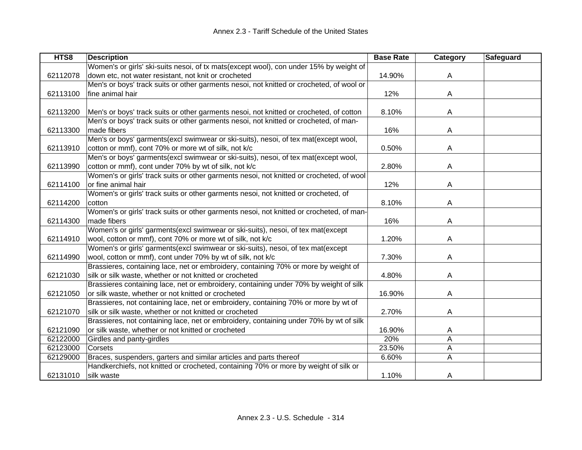| HTS8     | <b>Description</b>                                                                       | <b>Base Rate</b> | <b>Category</b> | <b>Safeguard</b> |
|----------|------------------------------------------------------------------------------------------|------------------|-----------------|------------------|
|          | Women's or girls' ski-suits nesoi, of tx mats(except wool), con under 15% by weight of   |                  |                 |                  |
| 62112078 | down etc, not water resistant, not knit or crocheted                                     | 14.90%           | A               |                  |
|          | Men's or boys' track suits or other garments nesoi, not knitted or crocheted, of wool or |                  |                 |                  |
| 62113100 | fine animal hair                                                                         | 12%              | A               |                  |
|          |                                                                                          |                  |                 |                  |
| 62113200 | Men's or boys' track suits or other garments nesoi, not knitted or crocheted, of cotton  | 8.10%            | A               |                  |
|          | Men's or boys' track suits or other garments nesoi, not knitted or crocheted, of man-    |                  |                 |                  |
| 62113300 | made fibers                                                                              | 16%              | A               |                  |
|          | Men's or boys' garments(excl swimwear or ski-suits), nesoi, of tex mat(except wool,      |                  |                 |                  |
| 62113910 | cotton or mmf), cont 70% or more wt of silk, not k/c                                     | 0.50%            | A               |                  |
|          | Men's or boys' garments(excl swimwear or ski-suits), nesoi, of tex mat(except wool,      |                  |                 |                  |
| 62113990 | cotton or mmf), cont under 70% by wt of silk, not k/c                                    | 2.80%            | A               |                  |
|          | Women's or girls' track suits or other garments nesoi, not knitted or crocheted, of wool |                  |                 |                  |
| 62114100 | or fine animal hair                                                                      | 12%              | Α               |                  |
|          | Women's or girls' track suits or other garments nesoi, not knitted or crocheted, of      |                  |                 |                  |
| 62114200 | cotton                                                                                   | 8.10%            | Α               |                  |
|          | Women's or girls' track suits or other garments nesoi, not knitted or crocheted, of man- |                  |                 |                  |
| 62114300 | made fibers                                                                              | 16%              | A               |                  |
|          | Women's or girls' garments(excl swimwear or ski-suits), nesoi, of tex mat(except         |                  |                 |                  |
| 62114910 | wool, cotton or mmf), cont 70% or more wt of silk, not k/c                               | 1.20%            | Α               |                  |
|          | Women's or girls' garments(excl swimwear or ski-suits), nesoi, of tex mat(except         |                  |                 |                  |
| 62114990 | wool, cotton or mmf), cont under 70% by wt of silk, not k/c                              | 7.30%            | Α               |                  |
|          | Brassieres, containing lace, net or embroidery, containing 70% or more by weight of      |                  |                 |                  |
| 62121030 | silk or silk waste, whether or not knitted or crocheted                                  | 4.80%            | A               |                  |
|          | Brassieres containing lace, net or embroidery, containing under 70% by weight of silk    |                  |                 |                  |
| 62121050 | or silk waste, whether or not knitted or crocheted                                       | 16.90%           | A               |                  |
|          | Brassieres, not containing lace, net or embroidery, containing 70% or more by wt of      |                  |                 |                  |
| 62121070 | silk or silk waste, whether or not knitted or crocheted                                  | 2.70%            | A               |                  |
|          | Brassieres, not containing lace, net or embroidery, containing under 70% by wt of silk   |                  |                 |                  |
| 62121090 | or silk waste, whether or not knitted or crocheted                                       | 16.90%           | A               |                  |
| 62122000 | Girdles and panty-girdles                                                                | 20%              | A               |                  |
| 62123000 | Corsets                                                                                  | 23.50%           | A               |                  |
| 62129000 | Braces, suspenders, garters and similar articles and parts thereof                       | 6.60%            | A               |                  |
|          | Handkerchiefs, not knitted or crocheted, containing 70% or more by weight of silk or     |                  |                 |                  |
| 62131010 | silk waste                                                                               | 1.10%            | A               |                  |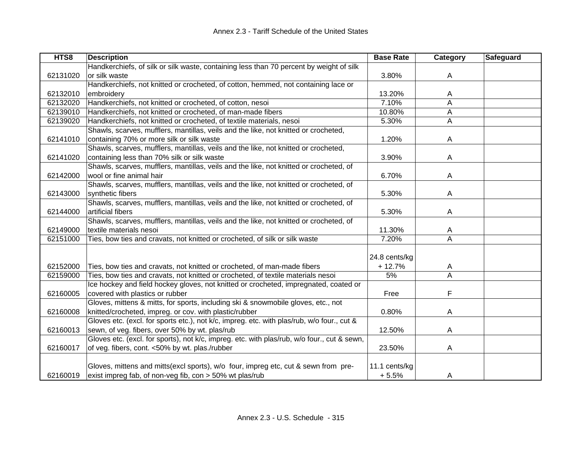| HTS8     | <b>Description</b>                                                                          | <b>Base Rate</b> | Category       | <b>Safeguard</b> |
|----------|---------------------------------------------------------------------------------------------|------------------|----------------|------------------|
|          | Handkerchiefs, of silk or silk waste, containing less than 70 percent by weight of silk     |                  |                |                  |
| 62131020 | or silk waste                                                                               | 3.80%            | A              |                  |
|          | Handkerchiefs, not knitted or crocheted, of cotton, hemmed, not containing lace or          |                  |                |                  |
| 62132010 | embroidery                                                                                  | 13.20%           | A              |                  |
| 62132020 | Handkerchiefs, not knitted or crocheted, of cotton, nesoi                                   | 7.10%            | A              |                  |
| 62139010 | Handkerchiefs, not knitted or crocheted, of man-made fibers                                 | 10.80%           | A              |                  |
| 62139020 | Handkerchiefs, not knitted or crocheted, of textile materials, nesoi                        | 5.30%            | A              |                  |
|          | Shawls, scarves, mufflers, mantillas, veils and the like, not knitted or crocheted,         |                  |                |                  |
| 62141010 | containing 70% or more silk or silk waste                                                   | 1.20%            | A              |                  |
|          | Shawls, scarves, mufflers, mantillas, veils and the like, not knitted or crocheted,         |                  |                |                  |
| 62141020 | containing less than 70% silk or silk waste                                                 | 3.90%            | A              |                  |
|          | Shawls, scarves, mufflers, mantillas, veils and the like, not knitted or crocheted, of      |                  |                |                  |
| 62142000 | wool or fine animal hair                                                                    | 6.70%            | A              |                  |
|          | Shawls, scarves, mufflers, mantillas, veils and the like, not knitted or crocheted, of      |                  |                |                  |
| 62143000 | synthetic fibers                                                                            | 5.30%            | A              |                  |
|          | Shawls, scarves, mufflers, mantillas, veils and the like, not knitted or crocheted, of      |                  |                |                  |
| 62144000 | artificial fibers                                                                           | 5.30%            | A              |                  |
|          | Shawls, scarves, mufflers, mantillas, veils and the like, not knitted or crocheted, of      |                  |                |                  |
| 62149000 | textile materials nesoi                                                                     | 11.30%           | A              |                  |
| 62151000 | Ties, bow ties and cravats, not knitted or crocheted, of silk or silk waste                 | 7.20%            | $\overline{A}$ |                  |
|          |                                                                                             |                  |                |                  |
|          |                                                                                             | 24.8 cents/kg    |                |                  |
| 62152000 | Ties, bow ties and cravats, not knitted or crocheted, of man-made fibers                    | $+12.7%$         | Α              |                  |
| 62159000 | Ties, bow ties and cravats, not knitted or crocheted, of textile materials nesoi            | 5%               | A              |                  |
|          | Ice hockey and field hockey gloves, not knitted or crocheted, impregnated, coated or        |                  |                |                  |
| 62160005 | covered with plastics or rubber                                                             | Free             | F              |                  |
|          | Gloves, mittens & mitts, for sports, including ski & snowmobile gloves, etc., not           |                  |                |                  |
| 62160008 | knitted/crocheted, impreg. or cov. with plastic/rubber                                      | 0.80%            | A              |                  |
|          | Gloves etc. (excl. for sports etc.), not k/c, impreg. etc. with plas/rub, w/o four., cut &  |                  |                |                  |
| 62160013 | sewn, of veg. fibers, over 50% by wt. plas/rub                                              | 12.50%           | A              |                  |
|          | Gloves etc. (excl. for sports), not k/c, impreg. etc. with plas/rub, w/o four., cut & sewn, |                  |                |                  |
| 62160017 | of veg. fibers, cont. <50% by wt. plas./rubber                                              | 23.50%           | Α              |                  |
|          |                                                                                             |                  |                |                  |
|          | Gloves, mittens and mitts(excl sports), w/o four, impreg etc, cut & sewn from pre-          | 11.1 cents/kg    |                |                  |
| 62160019 | exist impreg fab, of non-veg fib, con > 50% wt plas/rub                                     | $+5.5%$          | A              |                  |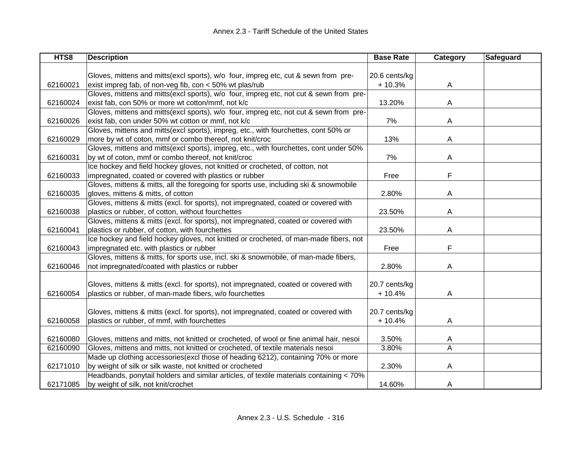| HTS8     | <b>Description</b>                                                                      | <b>Base Rate</b> | Category | Safeguard |
|----------|-----------------------------------------------------------------------------------------|------------------|----------|-----------|
|          |                                                                                         |                  |          |           |
|          | Gloves, mittens and mitts(excl sports), w/o four, impreg etc, cut & sewn from pre-      | 20.6 cents/kg    |          |           |
| 62160021 | exist impreg fab, of non-veg fib, con < 50% wt plas/rub                                 | $+10.3%$         | A        |           |
|          | Gloves, mittens and mitts(excl sports), w/o four, impreg etc, not cut & sewn from pre-  |                  |          |           |
| 62160024 | exist fab, con 50% or more wt cotton/mmf, not k/c                                       | 13.20%           | A        |           |
|          | Gloves, mittens and mitts(excl sports), w/o four, impreg etc, not cut & sewn from pre-  |                  |          |           |
| 62160026 | exist fab, con under 50% wt cotton or mmf, not k/c                                      | 7%               | A        |           |
|          | Gloves, mittens and mitts(excl sports), impreg, etc., with fourchettes, cont 50% or     |                  |          |           |
| 62160029 | more by wt of coton, mmf or combo thereof, not knit/croc                                | 13%              | A        |           |
|          | Gloves, mittens and mitts(excl sports), impreg, etc., with fourchettes, cont under 50%  |                  |          |           |
| 62160031 | by wt of coton, mmf or combo thereof, not knit/croc                                     | 7%               | A        |           |
|          | Ice hockey and field hockey gloves, not knitted or crocheted, of cotton, not            |                  |          |           |
| 62160033 | impregnated, coated or covered with plastics or rubber                                  | Free             | F        |           |
|          | Gloves, mittens & mitts, all the foregoing for sports use, including ski & snowmobile   |                  |          |           |
| 62160035 | gloves, mittens & mitts, of cotton                                                      | 2.80%            | A        |           |
|          | Gloves, mittens & mitts (excl. for sports), not impregnated, coated or covered with     |                  |          |           |
| 62160038 | plastics or rubber, of cotton, without fourchettes                                      | 23.50%           | Α        |           |
|          | Gloves, mittens & mitts (excl. for sports), not impregnated, coated or covered with     |                  |          |           |
| 62160041 | plastics or rubber, of cotton, with fourchettes                                         | 23.50%           | A        |           |
|          | Ice hockey and field hockey gloves, not knitted or crocheted, of man-made fibers, not   |                  |          |           |
| 62160043 | impregnated etc. with plastics or rubber                                                | Free             | F        |           |
|          | Gloves, mittens & mitts, for sports use, incl. ski & snowmobile, of man-made fibers,    |                  |          |           |
| 62160046 | not impregnated/coated with plastics or rubber                                          | 2.80%            | A        |           |
|          |                                                                                         |                  |          |           |
|          | Gloves, mittens & mitts (excl. for sports), not impregnated, coated or covered with     | 20.7 cents/kg    |          |           |
| 62160054 | plastics or rubber, of man-made fibers, w/o fourchettes                                 | $+10.4%$         | A        |           |
|          |                                                                                         |                  |          |           |
|          | Gloves, mittens & mitts (excl. for sports), not impregnated, coated or covered with     | 20.7 cents/kg    |          |           |
| 62160058 | plastics or rubber, of mmf, with fourchettes                                            | $+10.4%$         | A        |           |
|          |                                                                                         |                  |          |           |
| 62160080 | Gloves, mittens and mitts, not knitted or crocheted, of wool or fine animal hair, nesoi | 3.50%            | A        |           |
| 62160090 | Gloves, mittens and mitts, not knitted or crocheted, of textile materials nesoi         | 3.80%            | A        |           |
|          | Made up clothing accessories(excl those of heading 6212), containing 70% or more        |                  |          |           |
| 62171010 | by weight of silk or silk waste, not knitted or crocheted                               | 2.30%            | A        |           |
|          | Headbands, ponytail holders and similar articles, of textile materials containing < 70% |                  |          |           |
| 62171085 | by weight of silk, not knit/crochet                                                     | 14.60%           | A        |           |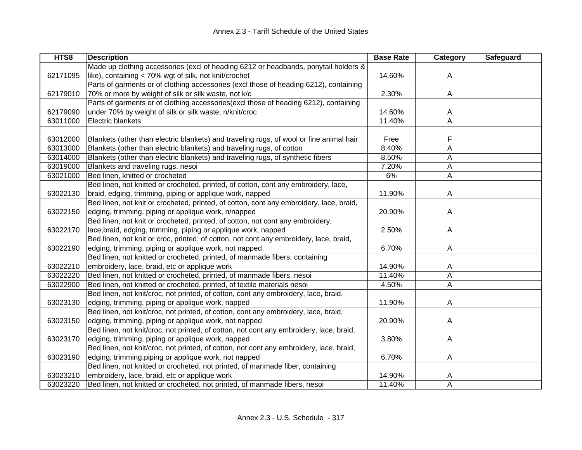| HTS8     | <b>Description</b>                                                                      | <b>Base Rate</b> | Category | Safeguard |
|----------|-----------------------------------------------------------------------------------------|------------------|----------|-----------|
|          | Made up clothing accessories (excl of heading 6212 or headbands, ponytail holders &     |                  |          |           |
| 62171095 | like), containing < 70% wgt of silk, not knit/crochet                                   | 14.60%           | A        |           |
|          | Parts of garments or of clothing accessories (excl those of heading 6212), containing   |                  |          |           |
| 62179010 | 70% or more by weight of silk or silk waste, not k/c                                    | 2.30%            | A        |           |
|          | Parts of garments or of clothing accessories(excl those of heading 6212), containing    |                  |          |           |
| 62179090 | under 70% by weight of silk or silk waste, n/knit/croc                                  | 14.60%           | Α        |           |
| 63011000 | Electric blankets                                                                       | 11.40%           | Α        |           |
|          |                                                                                         |                  |          |           |
| 63012000 | Blankets (other than electric blankets) and traveling rugs, of wool or fine animal hair | Free             | F        |           |
| 63013000 | Blankets (other than electric blankets) and traveling rugs, of cotton                   | 8.40%            | A        |           |
| 63014000 | Blankets (other than electric blankets) and traveling rugs, of synthetic fibers         | 8.50%            | Α        |           |
| 63019000 | Blankets and traveling rugs, nesoi                                                      | 7.20%            | Α        |           |
| 63021000 | Bed linen, knitted or crocheted                                                         | 6%               | A        |           |
|          | Bed linen, not knitted or crocheted, printed, of cotton, cont any embroidery, lace,     |                  |          |           |
| 63022130 | braid, edging, trimming, piping or applique work, napped                                | 11.90%           | A        |           |
|          | Bed linen, not knit or crocheted, printed, of cotton, cont any embroidery, lace, braid, |                  |          |           |
| 63022150 | edging, trimming, piping or applique work, n/napped                                     | 20.90%           | A        |           |
|          | Bed linen, not knit or crocheted, printed, of cotton, not cont any embroidery,          |                  |          |           |
| 63022170 | lace, braid, edging, trimming, piping or applique work, napped                          | 2.50%            | A        |           |
|          | Bed linen, not knit or croc, printed, of cotton, not cont any embroidery, lace, braid,  |                  |          |           |
| 63022190 | edging, trimming, piping or applique work, not napped                                   | 6.70%            | А        |           |
|          | Bed linen, not knitted or crocheted, printed, of manmade fibers, containing             |                  |          |           |
| 63022210 | embroidery, lace, braid, etc or applique work                                           | 14.90%           | A        |           |
| 63022220 | Bed linen, not knitted or crocheted, printed, of manmade fibers, nesoi                  | 11.40%           | Α        |           |
| 63022900 | Bed linen, not knitted or crocheted, printed, of textile materials nesoi                | 4.50%            | A        |           |
|          | Bed linen, not knit/croc, not printed, of cotton, cont any embroidery, lace, braid,     |                  |          |           |
| 63023130 | edging, trimming, piping or applique work, napped                                       | 11.90%           | A        |           |
|          | Bed linen, not knit/croc, not printed, of cotton, cont any embroidery, lace, braid,     |                  |          |           |
| 63023150 | edging, trimming, piping or applique work, not napped                                   | 20.90%           | A        |           |
|          | Bed linen, not knit/croc, not printed, of cotton, not cont any embroidery, lace, braid, |                  |          |           |
| 63023170 | edging, trimming, piping or applique work, napped                                       | 3.80%            | A        |           |
|          | Bed linen, not knit/croc, not printed, of cotton, not cont any embroidery, lace, braid, |                  |          |           |
| 63023190 | edging, trimming, piping or applique work, not napped                                   | 6.70%            | А        |           |
|          | Bed linen, not knitted or crocheted, not printed, of manmade fiber, containing          |                  |          |           |
| 63023210 | embroidery, lace, braid, etc or applique work                                           | 14.90%           | Α        |           |
| 63023220 | Bed linen, not knitted or crocheted, not printed, of manmade fibers, nesoi              | 11.40%           | A        |           |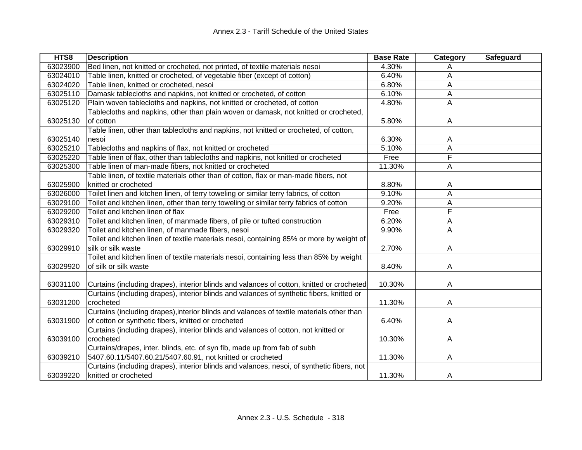| HTS8     | <b>Description</b>                                                                         | <b>Base Rate</b> | Category | Safeguard |
|----------|--------------------------------------------------------------------------------------------|------------------|----------|-----------|
| 63023900 | Bed linen, not knitted or crocheted, not printed, of textile materials nesoi               | 4.30%            | A        |           |
| 63024010 | Table linen, knitted or crocheted, of vegetable fiber (except of cotton)                   | 6.40%            | Α        |           |
| 63024020 | Table linen, knitted or crocheted, nesoi                                                   | 6.80%            | A        |           |
| 63025110 | Damask tablecloths and napkins, not knitted or crocheted, of cotton                        | 6.10%            | A        |           |
| 63025120 | Plain woven tablecloths and napkins, not knitted or crocheted, of cotton                   | 4.80%            | A        |           |
|          | Tablecloths and napkins, other than plain woven or damask, not knitted or crocheted,       |                  |          |           |
| 63025130 | of cotton                                                                                  | 5.80%            | A        |           |
|          | Table linen, other than tablecloths and napkins, not knitted or crocheted, of cotton,      |                  |          |           |
| 63025140 | nesoi                                                                                      | 6.30%            | A        |           |
| 63025210 | Tablecloths and napkins of flax, not knitted or crocheted                                  | 5.10%            | Α        |           |
| 63025220 | Table linen of flax, other than tablecloths and napkins, not knitted or crocheted          | Free             | F        |           |
| 63025300 | Table linen of man-made fibers, not knitted or crocheted                                   | 11.30%           | A        |           |
|          | Table linen, of textile materials other than of cotton, flax or man-made fibers, not       |                  |          |           |
| 63025900 | knitted or crocheted                                                                       | 8.80%            | A        |           |
| 63026000 | Toilet linen and kitchen linen, of terry toweling or similar terry fabrics, of cotton      | 9.10%            | A        |           |
| 63029100 | Toilet and kitchen linen, other than terry toweling or similar terry fabrics of cotton     | 9.20%            | Α        |           |
| 63029200 | Toilet and kitchen linen of flax                                                           | Free             | F        |           |
| 63029310 | Toilet and kitchen linen, of manmade fibers, of pile or tufted construction                | 6.20%            | A        |           |
| 63029320 | Toilet and kitchen linen, of manmade fibers, nesoi                                         | 9.90%            | Α        |           |
|          | Toilet and kitchen linen of textile materials nesoi, containing 85% or more by weight of   |                  |          |           |
| 63029910 | silk or silk waste                                                                         | 2.70%            | Α        |           |
|          | Toilet and kitchen linen of textile materials nesoi, containing less than 85% by weight    |                  |          |           |
| 63029920 | of silk or silk waste                                                                      | 8.40%            | A        |           |
|          |                                                                                            |                  |          |           |
| 63031100 | Curtains (including drapes), interior blinds and valances of cotton, knitted or crocheted  | 10.30%           | A        |           |
|          | Curtains (including drapes), interior blinds and valances of synthetic fibers, knitted or  |                  |          |           |
| 63031200 | crocheted                                                                                  | 11.30%           | Α        |           |
|          | Curtains (including drapes), interior blinds and valances of textile materials other than  |                  |          |           |
| 63031900 | of cotton or synthetic fibers, knitted or crocheted                                        | 6.40%            | A        |           |
|          | Curtains (including drapes), interior blinds and valances of cotton, not knitted or        |                  |          |           |
| 63039100 | crocheted                                                                                  | 10.30%           | A        |           |
|          | Curtains/drapes, inter. blinds, etc. of syn fib, made up from fab of subh                  |                  |          |           |
| 63039210 | 5407.60.11/5407.60.21/5407.60.91, not knitted or crocheted                                 | 11.30%           | A        |           |
|          | Curtains (including drapes), interior blinds and valances, nesoi, of synthetic fibers, not |                  |          |           |
| 63039220 | knitted or crocheted                                                                       | 11.30%           | A        |           |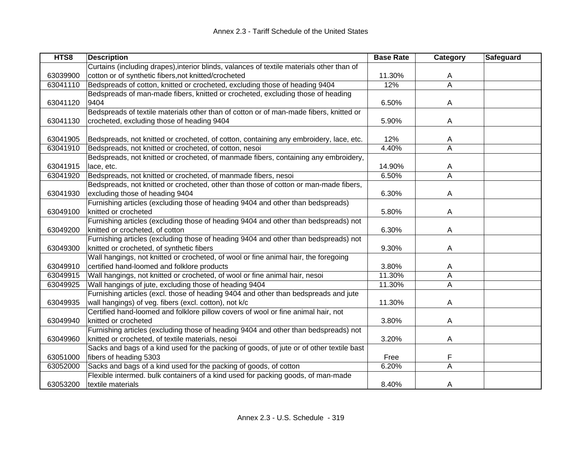| HTS8     | <b>Description</b>                                                                        | <b>Base Rate</b> | Category                | Safeguard |
|----------|-------------------------------------------------------------------------------------------|------------------|-------------------------|-----------|
|          | Curtains (including drapes), interior blinds, valances of textile materials other than of |                  |                         |           |
| 63039900 | cotton or of synthetic fibers, not knitted/crocheted                                      | 11.30%           | A                       |           |
| 63041110 | Bedspreads of cotton, knitted or crocheted, excluding those of heading 9404               | 12%              | $\overline{\mathsf{A}}$ |           |
|          | Bedspreads of man-made fibers, knitted or crocheted, excluding those of heading           |                  |                         |           |
| 63041120 | 9404                                                                                      | 6.50%            | A                       |           |
|          | Bedspreads of textile materials other than of cotton or of man-made fibers, knitted or    |                  |                         |           |
| 63041130 | crocheted, excluding those of heading 9404                                                | 5.90%            | A                       |           |
|          |                                                                                           |                  |                         |           |
| 63041905 | Bedspreads, not knitted or crocheted, of cotton, containing any embroidery, lace, etc.    | 12%              | A                       |           |
| 63041910 | Bedspreads, not knitted or crocheted, of cotton, nesoi                                    | 4.40%            | A                       |           |
|          | Bedspreads, not knitted or crocheted, of manmade fibers, containing any embroidery,       |                  |                         |           |
| 63041915 | lace, etc.                                                                                | 14.90%           | A                       |           |
| 63041920 | Bedspreads, not knitted or crocheted, of manmade fibers, nesoi                            | 6.50%            | A                       |           |
|          | Bedspreads, not knitted or crocheted, other than those of cotton or man-made fibers,      |                  |                         |           |
| 63041930 | excluding those of heading 9404                                                           | 6.30%            | A                       |           |
|          | Furnishing articles (excluding those of heading 9404 and other than bedspreads)           |                  |                         |           |
| 63049100 | knitted or crocheted                                                                      | 5.80%            | A                       |           |
|          | Furnishing articles (excluding those of heading 9404 and other than bedspreads) not       |                  |                         |           |
| 63049200 | knitted or crocheted, of cotton                                                           | 6.30%            | A                       |           |
|          | Furnishing articles (excluding those of heading 9404 and other than bedspreads) not       |                  |                         |           |
| 63049300 | knitted or crocheted, of synthetic fibers                                                 | 9.30%            | A                       |           |
|          | Wall hangings, not knitted or crocheted, of wool or fine animal hair, the foregoing       |                  |                         |           |
| 63049910 | certified hand-loomed and folklore products                                               | 3.80%            | A                       |           |
| 63049915 | Wall hangings, not knitted or crocheted, of wool or fine animal hair, nesoi               | 11.30%           | A                       |           |
| 63049925 | Wall hangings of jute, excluding those of heading 9404                                    | 11.30%           | $\overline{A}$          |           |
|          | Furnishing articles (excl. those of heading 9404 and other than bedspreads and jute       |                  |                         |           |
| 63049935 | wall hangings) of veg. fibers (excl. cotton), not k/c                                     | 11.30%           | A                       |           |
|          | Certified hand-loomed and folklore pillow covers of wool or fine animal hair, not         |                  |                         |           |
| 63049940 | knitted or crocheted                                                                      | 3.80%            | A                       |           |
|          | Furnishing articles (excluding those of heading 9404 and other than bedspreads) not       |                  |                         |           |
| 63049960 | knitted or crocheted, of textile materials, nesoi                                         | 3.20%            | A                       |           |
|          | Sacks and bags of a kind used for the packing of goods, of jute or of other textile bast  |                  |                         |           |
| 63051000 | fibers of heading 5303                                                                    | Free             | F                       |           |
| 63052000 | Sacks and bags of a kind used for the packing of goods, of cotton                         | 6.20%            | A                       |           |
|          | Flexible intermed. bulk containers of a kind used for packing goods, of man-made          |                  |                         |           |
| 63053200 | textile materials                                                                         | 8.40%            | A                       |           |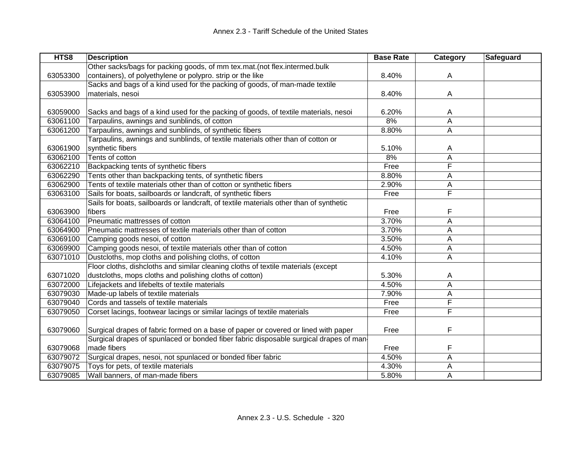| HTS8     | <b>Description</b>                                                                     | <b>Base Rate</b> | <b>Category</b> | <b>Safeguard</b> |
|----------|----------------------------------------------------------------------------------------|------------------|-----------------|------------------|
|          | Other sacks/bags for packing goods, of mm tex.mat. (not flex.intermed.bulk             |                  |                 |                  |
| 63053300 | containers), of polyethylene or polypro. strip or the like                             | 8.40%            | A               |                  |
|          | Sacks and bags of a kind used for the packing of goods, of man-made textile            |                  |                 |                  |
| 63053900 | materials, nesoi                                                                       | 8.40%            | A               |                  |
|          |                                                                                        |                  |                 |                  |
| 63059000 | Sacks and bags of a kind used for the packing of goods, of textile materials, nesoi    | 6.20%            | A               |                  |
| 63061100 | Tarpaulins, awnings and sunblinds, of cotton                                           | 8%               | A               |                  |
| 63061200 | Tarpaulins, awnings and sunblinds, of synthetic fibers                                 | 8.80%            | A               |                  |
|          | Tarpaulins, awnings and sunblinds, of textile materials other than of cotton or        |                  |                 |                  |
| 63061900 | synthetic fibers                                                                       | 5.10%            | A               |                  |
| 63062100 | Tents of cotton                                                                        | 8%               | Α               |                  |
| 63062210 | Backpacking tents of synthetic fibers                                                  | Free             | F               |                  |
| 63062290 | Tents other than backpacking tents, of synthetic fibers                                | 8.80%            | A               |                  |
| 63062900 | Tents of textile materials other than of cotton or synthetic fibers                    | 2.90%            | Α               |                  |
| 63063100 | Sails for boats, sailboards or landcraft, of synthetic fibers                          | Free             | F               |                  |
|          | Sails for boats, sailboards or landcraft, of textile materials other than of synthetic |                  |                 |                  |
| 63063900 | fibers                                                                                 | Free             | F               |                  |
| 63064100 | Pneumatic mattresses of cotton                                                         | 3.70%            | A               |                  |
| 63064900 | Pneumatic mattresses of textile materials other than of cotton                         | 3.70%            | Α               |                  |
| 63069100 | Camping goods nesoi, of cotton                                                         | 3.50%            | Α               |                  |
| 63069900 | Camping goods nesoi, of textile materials other than of cotton                         | 4.50%            | A               |                  |
| 63071010 | Dustcloths, mop cloths and polishing cloths, of cotton                                 | 4.10%            | A               |                  |
|          | Floor cloths, dishcloths and similar cleaning cloths of textile materials (except      |                  |                 |                  |
| 63071020 | dustcloths, mops cloths and polishing cloths of cotton)                                | 5.30%            | A               |                  |
| 63072000 | Lifejackets and lifebelts of textile materials                                         | 4.50%            | A               |                  |
| 63079030 | Made-up labels of textile materials                                                    | 7.90%            | Α               |                  |
| 63079040 | Cords and tassels of textile materials                                                 | Free             | F               |                  |
| 63079050 | Corset lacings, footwear lacings or similar lacings of textile materials               | Free             | F               |                  |
|          |                                                                                        |                  |                 |                  |
| 63079060 | Surgical drapes of fabric formed on a base of paper or covered or lined with paper     | Free             | F               |                  |
|          | Surgical drapes of spunlaced or bonded fiber fabric disposable surgical drapes of man- |                  |                 |                  |
| 63079068 | made fibers                                                                            | Free             | F               |                  |
| 63079072 | Surgical drapes, nesoi, not spunlaced or bonded fiber fabric                           | 4.50%            | A               |                  |
| 63079075 | Toys for pets, of textile materials                                                    | 4.30%            | Α               |                  |
| 63079085 | Wall banners, of man-made fibers                                                       | 5.80%            | A               |                  |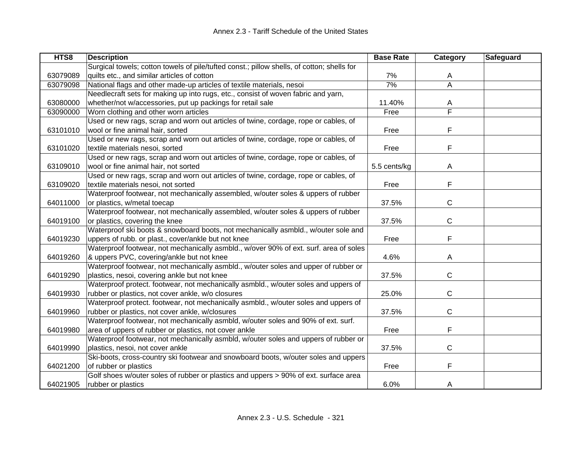| HTS8     | <b>Description</b>                                                                         | <b>Base Rate</b> | Category                | <b>Safeguard</b> |
|----------|--------------------------------------------------------------------------------------------|------------------|-------------------------|------------------|
|          | Surgical towels; cotton towels of pile/tufted const.; pillow shells, of cotton; shells for |                  |                         |                  |
| 63079089 | quilts etc., and similar articles of cotton                                                | 7%               | A                       |                  |
| 63079098 | National flags and other made-up articles of textile materials, nesoi                      | 7%               | $\overline{A}$          |                  |
|          | Needlecraft sets for making up into rugs, etc., consist of woven fabric and yarn,          |                  |                         |                  |
| 63080000 | whether/not w/accessories, put up packings for retail sale                                 | 11.40%           | A                       |                  |
| 63090000 | Worn clothing and other worn articles                                                      | Free             | $\overline{\mathsf{F}}$ |                  |
|          | Used or new rags, scrap and worn out articles of twine, cordage, rope or cables, of        |                  |                         |                  |
| 63101010 | wool or fine animal hair, sorted                                                           | Free             | F                       |                  |
|          | Used or new rags, scrap and worn out articles of twine, cordage, rope or cables, of        |                  |                         |                  |
| 63101020 | textile materials nesoi, sorted                                                            | Free             | F                       |                  |
|          | Used or new rags, scrap and worn out articles of twine, cordage, rope or cables, of        |                  |                         |                  |
| 63109010 | wool or fine animal hair, not sorted                                                       | 5.5 cents/kg     | A                       |                  |
|          | Used or new rags, scrap and worn out articles of twine, cordage, rope or cables, of        |                  |                         |                  |
| 63109020 | textile materials nesoi, not sorted                                                        | Free             | F                       |                  |
|          | Waterproof footwear, not mechanically assembled, w/outer soles & uppers of rubber          |                  |                         |                  |
| 64011000 | or plastics, w/metal toecap                                                                | 37.5%            | C                       |                  |
|          | Waterproof footwear, not mechanically assembled, w/outer soles & uppers of rubber          |                  |                         |                  |
| 64019100 | or plastics, covering the knee                                                             | 37.5%            | C                       |                  |
|          | Waterproof ski boots & snowboard boots, not mechanically asmbld., w/outer sole and         |                  |                         |                  |
| 64019230 | uppers of rubb. or plast., cover/ankle but not knee                                        | Free             | F                       |                  |
|          | Waterproof footwear, not mechanically asmbld., w/over 90% of ext. surf. area of soles      |                  |                         |                  |
| 64019260 | & uppers PVC, covering/ankle but not knee                                                  | 4.6%             | A                       |                  |
|          | Waterproof footwear, not mechanically asmbld., w/outer soles and upper of rubber or        |                  |                         |                  |
| 64019290 | plastics, nesoi, covering ankle but not knee                                               | 37.5%            | С                       |                  |
|          | Waterproof protect. footwear, not mechanically asmbld., w/outer soles and uppers of        |                  |                         |                  |
| 64019930 | rubber or plastics, not cover ankle, w/o closures                                          | 25.0%            | C                       |                  |
|          | Waterproof protect. footwear, not mechanically asmbld., w/outer soles and uppers of        |                  |                         |                  |
| 64019960 | rubber or plastics, not cover ankle, w/closures                                            | 37.5%            | C                       |                  |
|          | Waterproof footwear, not mechanically asmbld, w/outer soles and 90% of ext. surf.          |                  |                         |                  |
| 64019980 | area of uppers of rubber or plastics, not cover ankle                                      | Free             | F                       |                  |
|          | Waterproof footwear, not mechanically asmbld, w/outer soles and uppers of rubber or        |                  |                         |                  |
| 64019990 | plastics, nesoi, not cover ankle                                                           | 37.5%            | C                       |                  |
|          | Ski-boots, cross-country ski footwear and snowboard boots, w/outer soles and uppers        |                  |                         |                  |
| 64021200 | of rubber or plastics                                                                      | Free             | F                       |                  |
|          | Golf shoes w/outer soles of rubber or plastics and uppers > 90% of ext. surface area       |                  |                         |                  |
| 64021905 | rubber or plastics                                                                         | 6.0%             | A                       |                  |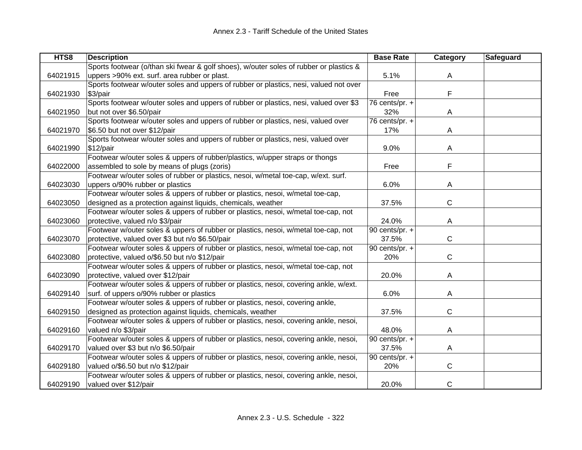| HTS8     | <b>Description</b>                                                                     | <b>Base Rate</b>            | Category     | Safeguard |
|----------|----------------------------------------------------------------------------------------|-----------------------------|--------------|-----------|
|          | Sports footwear (o/than ski fwear & golf shoes), w/outer soles of rubber or plastics & |                             |              |           |
| 64021915 | uppers >90% ext. surf. area rubber or plast.                                           | 5.1%                        | A            |           |
|          | Sports footwear w/outer soles and uppers of rubber or plastics, nesi, valued not over  |                             |              |           |
| 64021930 | \$3/pair                                                                               | Free                        | F            |           |
|          | Sports footwear w/outer soles and uppers of rubber or plastics, nesi, valued over \$3  | 76 cents/pr. $+$            |              |           |
| 64021950 | but not over \$6.50/pair                                                               | 32%                         | A            |           |
|          | Sports footwear w/outer soles and uppers of rubber or plastics, nesi, valued over      | $\overline{76}$ cents/pr. + |              |           |
| 64021970 | \$6.50 but not over \$12/pair                                                          | 17%                         | A            |           |
|          | Sports footwear w/outer soles and uppers of rubber or plastics, nesi, valued over      |                             |              |           |
| 64021990 | $$12$ /pair                                                                            | 9.0%                        | A            |           |
|          | Footwear w/outer soles & uppers of rubber/plastics, w/upper straps or thongs           |                             |              |           |
| 64022000 | assembled to sole by means of plugs (zoris)                                            | Free                        | F            |           |
|          | Footwear w/outer soles of rubber or plastics, nesoi, w/metal toe-cap, w/ext. surf.     |                             |              |           |
| 64023030 | uppers o/90% rubber or plastics                                                        | 6.0%                        | A            |           |
|          | Footwear w/outer soles & uppers of rubber or plastics, nesoi, w/metal toe-cap,         |                             |              |           |
| 64023050 | designed as a protection against liquids, chemicals, weather                           | 37.5%                       | $\mathsf{C}$ |           |
|          | Footwear w/outer soles & uppers of rubber or plastics, nesoi, w/metal toe-cap, not     |                             |              |           |
| 64023060 | protective, valued n/o \$3/pair                                                        | 24.0%                       | Α            |           |
|          | Footwear w/outer soles & uppers of rubber or plastics, nesoi, w/metal toe-cap, not     | 90 cents/pr. +              |              |           |
| 64023070 | protective, valued over \$3 but n/o \$6.50/pair                                        | 37.5%                       | С            |           |
|          | Footwear w/outer soles & uppers of rubber or plastics, nesoi, w/metal toe-cap, not     | 90 cents/pr. +              |              |           |
| 64023080 | protective, valued o/\$6.50 but n/o \$12/pair                                          | 20%                         | С            |           |
|          | Footwear w/outer soles & uppers of rubber or plastics, nesoi, w/metal toe-cap, not     |                             |              |           |
| 64023090 | protective, valued over \$12/pair                                                      | 20.0%                       | A            |           |
|          | Footwear w/outer soles & uppers of rubber or plastics, nesoi, covering ankle, w/ext.   |                             |              |           |
| 64029140 | surf. of uppers o/90% rubber or plastics                                               | 6.0%                        | Α            |           |
|          | Footwear w/outer soles & uppers of rubber or plastics, nesoi, covering ankle,          |                             |              |           |
| 64029150 | designed as protection against liquids, chemicals, weather                             | 37.5%                       | C            |           |
|          | Footwear w/outer soles & uppers of rubber or plastics, nesoi, covering ankle, nesoi,   |                             |              |           |
| 64029160 | valued n/o \$3/pair                                                                    | 48.0%                       | Α            |           |
|          | Footwear w/outer soles & uppers of rubber or plastics, nesoi, covering ankle, nesoi,   | 90 cents/pr. +              |              |           |
| 64029170 | valued over \$3 but n/o \$6.50/pair                                                    | 37.5%                       | Α            |           |
|          | Footwear w/outer soles & uppers of rubber or plastics, nesoi, covering ankle, nesoi,   | 90 cents/pr. +              |              |           |
| 64029180 | valued o/\$6.50 but n/o \$12/pair                                                      | 20%                         | C            |           |
|          | Footwear w/outer soles & uppers of rubber or plastics, nesoi, covering ankle, nesoi,   |                             |              |           |
| 64029190 | valued over \$12/pair                                                                  | 20.0%                       | $\mathsf{C}$ |           |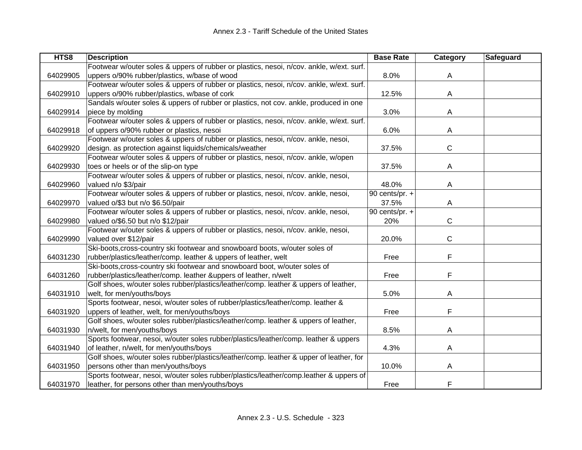| HTS8     | <b>Description</b>                                                                       | <b>Base Rate</b> | Category     | <b>Safeguard</b> |
|----------|------------------------------------------------------------------------------------------|------------------|--------------|------------------|
|          | Footwear w/outer soles & uppers of rubber or plastics, nesoi, n/cov. ankle, w/ext. surf. |                  |              |                  |
| 64029905 | uppers o/90% rubber/plastics, w/base of wood                                             | 8.0%             | A            |                  |
|          | Footwear w/outer soles & uppers of rubber or plastics, nesoi, n/cov. ankle, w/ext. surf. |                  |              |                  |
| 64029910 | uppers o/90% rubber/plastics, w/base of cork                                             | 12.5%            | A            |                  |
|          | Sandals w/outer soles & uppers of rubber or plastics, not cov. ankle, produced in one    |                  |              |                  |
| 64029914 | piece by molding                                                                         | 3.0%             | Α            |                  |
|          | Footwear w/outer soles & uppers of rubber or plastics, nesoi, n/cov. ankle, w/ext. surf. |                  |              |                  |
| 64029918 | of uppers o/90% rubber or plastics, nesoi                                                | 6.0%             | A            |                  |
|          | Footwear w/outer soles & uppers of rubber or plastics, nesoi, n/cov. ankle, nesoi,       |                  |              |                  |
| 64029920 | design. as protection against liquids/chemicals/weather                                  | 37.5%            | $\mathsf{C}$ |                  |
|          | Footwear w/outer soles & uppers of rubber or plastics, nesoi, n/cov. ankle, w/open       |                  |              |                  |
| 64029930 | toes or heels or of the slip-on type                                                     | 37.5%            | A            |                  |
|          | Footwear w/outer soles & uppers of rubber or plastics, nesoi, n/cov. ankle, nesoi,       |                  |              |                  |
| 64029960 | valued n/o \$3/pair                                                                      | 48.0%            | A            |                  |
|          | Footwear w/outer soles & uppers of rubber or plastics, nesoi, n/cov. ankle, nesoi,       | 90 cents/pr. $+$ |              |                  |
| 64029970 | valued o/\$3 but n/o \$6.50/pair                                                         | 37.5%            | A            |                  |
|          | Footwear w/outer soles & uppers of rubber or plastics, nesoi, n/cov. ankle, nesoi,       | 90 cents/pr. +   |              |                  |
| 64029980 | valued o/\$6.50 but n/o \$12/pair                                                        | 20%              | $\mathsf{C}$ |                  |
|          | Footwear w/outer soles & uppers of rubber or plastics, nesoi, n/cov. ankle, nesoi,       |                  |              |                  |
| 64029990 | valued over \$12/pair                                                                    | 20.0%            | $\mathsf{C}$ |                  |
|          | Ski-boots, cross-country ski footwear and snowboard boots, w/outer soles of              |                  |              |                  |
| 64031230 | rubber/plastics/leather/comp. leather & uppers of leather, welt                          | Free             | F            |                  |
|          | Ski-boots, cross-country ski footwear and snowboard boot, w/outer soles of               |                  |              |                  |
| 64031260 | rubber/plastics/leather/comp. leather &uppers of leather, n/welt                         | Free             | F            |                  |
|          | Golf shoes, w/outer soles rubber/plastics/leather/comp. leather & uppers of leather,     |                  |              |                  |
| 64031910 | welt, for men/youths/boys                                                                | 5.0%             | A            |                  |
|          | Sports footwear, nesoi, w/outer soles of rubber/plastics/leather/comp. leather &         |                  |              |                  |
| 64031920 | uppers of leather, welt, for men/youths/boys                                             | Free             | F            |                  |
|          | Golf shoes, w/outer soles rubber/plastics/leather/comp. leather & uppers of leather,     |                  |              |                  |
| 64031930 | n/welt, for men/youths/boys                                                              | 8.5%             | A            |                  |
|          | Sports footwear, nesoi, w/outer soles rubber/plastics/leather/comp. leather & uppers     |                  |              |                  |
| 64031940 | of leather, n/welt, for men/youths/boys                                                  | 4.3%             | A            |                  |
|          | Golf shoes, w/outer soles rubber/plastics/leather/comp. leather & upper of leather, for  |                  |              |                  |
| 64031950 | persons other than men/youths/boys                                                       | 10.0%            | A            |                  |
|          | Sports footwear, nesoi, w/outer soles rubber/plastics/leather/comp.leather & uppers of   |                  |              |                  |
| 64031970 | leather, for persons other than men/youths/boys                                          | Free             | F            |                  |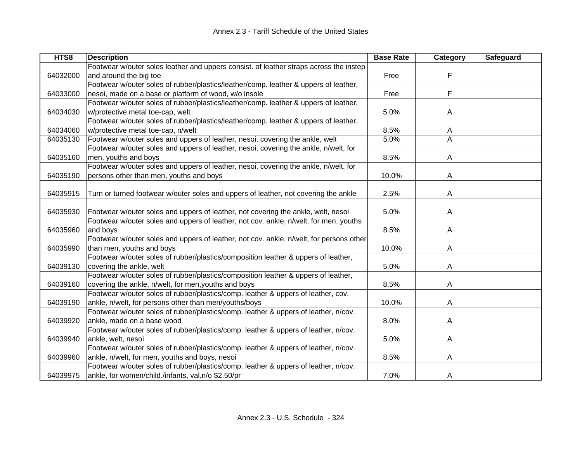| HTS8     | <b>Description</b>                                                                      | <b>Base Rate</b> | Category | <b>Safeguard</b> |
|----------|-----------------------------------------------------------------------------------------|------------------|----------|------------------|
|          | Footwear w/outer soles leather and uppers consist. of leather straps across the instep  |                  |          |                  |
| 64032000 | and around the big toe                                                                  | Free             | F        |                  |
|          | Footwear w/outer soles of rubber/plastics/leather/comp. leather & uppers of leather,    |                  |          |                  |
| 64033000 | nesoi, made on a base or platform of wood, w/o insole                                   | Free             | F        |                  |
|          | Footwear w/outer soles of rubber/plastics/leather/comp. leather & uppers of leather,    |                  |          |                  |
| 64034030 | w/protective metal toe-cap, welt                                                        | 5.0%             | A        |                  |
|          | Footwear w/outer soles of rubber/plastics/leather/comp. leather & uppers of leather,    |                  |          |                  |
| 64034060 | w/protective metal toe-cap, n/welt                                                      | 8.5%             | A        |                  |
| 64035130 | Footwear w/outer soles and uppers of leather, nesoi, covering the ankle, welt           | 5.0%             | A        |                  |
|          | Footwear w/outer soles and uppers of leather, nesoi, covering the ankle, n/welt, for    |                  |          |                  |
| 64035160 | men, youths and boys                                                                    | 8.5%             | Α        |                  |
|          | Footwear w/outer soles and uppers of leather, nesoi, covering the ankle, n/welt, for    |                  |          |                  |
| 64035190 | persons other than men, youths and boys                                                 | 10.0%            | A        |                  |
|          |                                                                                         |                  |          |                  |
| 64035915 | Turn or turned footwear w/outer soles and uppers of leather, not covering the ankle     | 2.5%             | A        |                  |
|          |                                                                                         |                  |          |                  |
| 64035930 | Footwear w/outer soles and uppers of leather, not covering the ankle, welt, nesoi       | 5.0%             | A        |                  |
|          | Footwear w/outer soles and uppers of leather, not cov. ankle, n/welt, for men, youths   |                  |          |                  |
| 64035960 | and boys                                                                                | 8.5%             | A        |                  |
|          | Footwear w/outer soles and uppers of leather, not cov. ankle, n/welt, for persons other |                  |          |                  |
| 64035990 | than men, youths and boys                                                               | 10.0%            | A        |                  |
|          | Footwear w/outer soles of rubber/plastics/composition leather & uppers of leather,      |                  |          |                  |
| 64039130 | covering the ankle, welt                                                                | 5.0%             | A        |                  |
|          | Footwear w/outer soles of rubber/plastics/composition leather & uppers of leather,      |                  |          |                  |
| 64039160 | covering the ankle, n/welt, for men, youths and boys                                    | 8.5%             | A        |                  |
|          | Footwear w/outer soles of rubber/plastics/comp. leather & uppers of leather, cov.       |                  |          |                  |
| 64039190 | ankle, n/welt, for persons other than men/youths/boys                                   | 10.0%            | A        |                  |
|          | Footwear w/outer soles of rubber/plastics/comp. leather & uppers of leather, n/cov.     |                  |          |                  |
| 64039920 | ankle, made on a base wood                                                              | 8.0%             | A        |                  |
|          | Footwear w/outer soles of rubber/plastics/comp. leather & uppers of leather, n/cov.     |                  |          |                  |
| 64039940 | ankle, welt, nesoi                                                                      | 5.0%             | A        |                  |
|          | Footwear w/outer soles of rubber/plastics/comp. leather & uppers of leather, n/cov.     |                  |          |                  |
| 64039960 | ankle, n/welt, for men, youths and boys, nesoi                                          | 8.5%             | A        |                  |
|          | Footwear w/outer soles of rubber/plastics/comp. leather & uppers of leather, n/cov.     |                  |          |                  |
| 64039975 | ankle, for women/child./infants, val.n/o \$2.50/pr                                      | 7.0%             | A        |                  |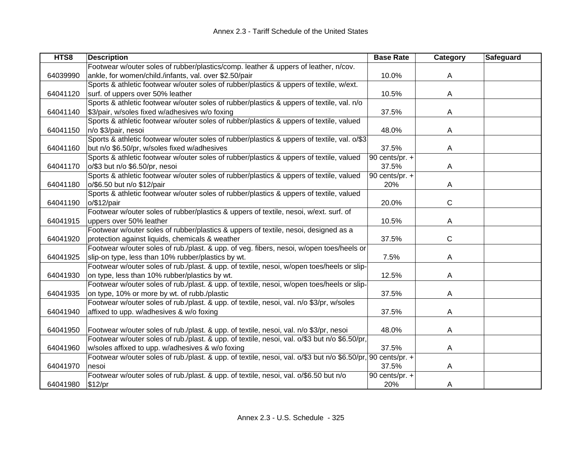| HTS8     | <b>Description</b>                                                                                           | <b>Base Rate</b>            | Category     | Safeguard |
|----------|--------------------------------------------------------------------------------------------------------------|-----------------------------|--------------|-----------|
|          | Footwear w/outer soles of rubber/plastics/comp. leather & uppers of leather, n/cov.                          |                             |              |           |
| 64039990 | ankle, for women/child./infants, val. over \$2.50/pair                                                       | 10.0%                       | A            |           |
|          | Sports & athletic footwear w/outer soles of rubber/plastics & uppers of textile, w/ext.                      |                             |              |           |
| 64041120 | surf. of uppers over 50% leather                                                                             | 10.5%                       | A            |           |
|          | Sports & athletic footwear w/outer soles of rubber/plastics & uppers of textile, val. n/o                    |                             |              |           |
| 64041140 | \$3/pair, w/soles fixed w/adhesives w/o foxing                                                               | 37.5%                       | A            |           |
|          | Sports & athletic footwear w/outer soles of rubber/plastics & uppers of textile, valued                      |                             |              |           |
| 64041150 | n/o \$3/pair, nesoi                                                                                          | 48.0%                       | A            |           |
|          | Sports & athletic footwear w/outer soles of rubber/plastics & uppers of textile, val. o/\$3                  |                             |              |           |
| 64041160 | but n/o \$6.50/pr, w/soles fixed w/adhesives                                                                 | 37.5%                       | A            |           |
|          | Sports & athletic footwear w/outer soles of rubber/plastics & uppers of textile, valued                      | $\overline{90}$ cents/pr. + |              |           |
| 64041170 | o/\$3 but n/o \$6.50/pr, nesoi                                                                               | 37.5%                       | A            |           |
|          | Sports & athletic footwear w/outer soles of rubber/plastics & uppers of textile, valued                      | 90 cents/pr. $+$            |              |           |
| 64041180 | o/\$6.50 but n/o \$12/pair                                                                                   | 20%                         | A            |           |
|          | Sports & athletic footwear w/outer soles of rubber/plastics & uppers of textile, valued                      |                             |              |           |
| 64041190 | $o$ /\$12/pair                                                                                               | 20.0%                       | $\mathsf{C}$ |           |
|          | Footwear w/outer soles of rubber/plastics & uppers of textile, nesoi, w/ext. surf. of                        |                             |              |           |
| 64041915 | uppers over 50% leather                                                                                      | 10.5%                       | A            |           |
|          | Footwear w/outer soles of rubber/plastics & uppers of textile, nesoi, designed as a                          |                             |              |           |
| 64041920 | protection against liquids, chemicals & weather                                                              | 37.5%                       | $\mathsf{C}$ |           |
|          | Footwear w/outer soles of rub./plast. & upp. of veg. fibers, nesoi, w/open toes/heels or                     |                             |              |           |
| 64041925 | slip-on type, less than 10% rubber/plastics by wt.                                                           | 7.5%                        | A            |           |
|          | Footwear w/outer soles of rub./plast. & upp. of textile, nesoi, w/open toes/heels or slip-                   |                             |              |           |
| 64041930 | on type, less than 10% rubber/plastics by wt.                                                                | 12.5%                       | A            |           |
|          | Footwear w/outer soles of rub./plast. & upp. of textile, nesoi, w/open toes/heels or slip-                   |                             |              |           |
| 64041935 | on type, 10% or more by wt. of rubb./plastic                                                                 | 37.5%                       | A            |           |
|          | Footwear w/outer soles of rub./plast. & upp. of textile, nesoi, val. n/o \$3/pr, w/soles                     |                             |              |           |
| 64041940 | affixed to upp. w/adhesives & w/o foxing                                                                     | 37.5%                       | A            |           |
|          |                                                                                                              |                             |              |           |
| 64041950 | Footwear w/outer soles of rub./plast. & upp. of textile, nesoi, val. n/o \$3/pr, nesoi                       | 48.0%                       | A            |           |
|          | Footwear w/outer soles of rub./plast. & upp. of textile, nesoi, val. o/\$3 but n/o \$6.50/pr,                |                             |              |           |
| 64041960 | w/soles affixed to upp. w/adhesives & w/o foxing                                                             | 37.5%                       | A            |           |
|          | Footwear w/outer soles of rub./plast. & upp. of textile, nesoi, val. o/\$3 but n/o \$6.50/pr, 90 cents/pr. + |                             |              |           |
| 64041970 | nesoi                                                                                                        | 37.5%                       | A            |           |
|          | Footwear w/outer soles of rub./plast. & upp. of textile, nesoi, val. o/\$6.50 but n/o                        | 90 cents/pr. $+$            |              |           |
| 64041980 | \$12/pr                                                                                                      | 20%                         | A            |           |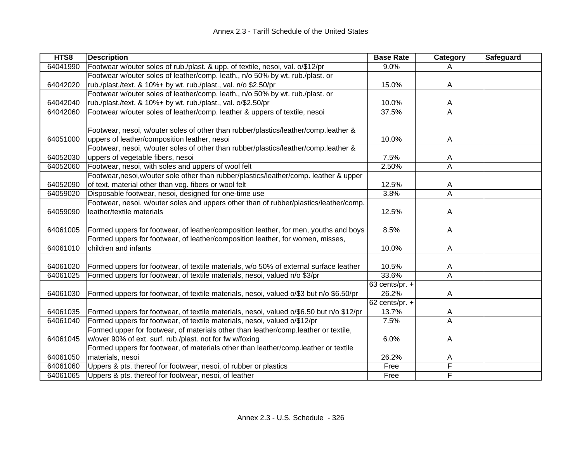| HTS8     | <b>Description</b>                                                                       | <b>Base Rate</b> | Category | Safeguard |
|----------|------------------------------------------------------------------------------------------|------------------|----------|-----------|
| 64041990 | Footwear w/outer soles of rub./plast. & upp. of textile, nesoi, val. o/\$12/pr           | 9.0%             | A        |           |
|          | Footwear w/outer soles of leather/comp. leath., n/o 50% by wt. rub./plast. or            |                  |          |           |
| 64042020 | rub./plast./text. & 10%+ by wt. rub./plast., val. n/o \$2.50/pr                          | 15.0%            | A        |           |
|          | Footwear w/outer soles of leather/comp. leath., n/o 50% by wt. rub./plast. or            |                  |          |           |
| 64042040 | rub./plast./text. & 10%+ by wt. rub./plast., val. o/\$2.50/pr                            | 10.0%            | A        |           |
| 64042060 | Footwear w/outer soles of leather/comp. leather & uppers of textile, nesoi               | 37.5%            | A        |           |
|          |                                                                                          |                  |          |           |
|          | Footwear, nesoi, w/outer soles of other than rubber/plastics/leather/comp.leather &      |                  |          |           |
| 64051000 | uppers of leather/composition leather, nesoi                                             | 10.0%            | A        |           |
|          | Footwear, nesoi, w/outer soles of other than rubber/plastics/leather/comp.leather &      |                  |          |           |
| 64052030 | uppers of vegetable fibers, nesoi                                                        | 7.5%             | A        |           |
| 64052060 | Footwear, nesoi, with soles and uppers of wool felt                                      | 2.50%            | A        |           |
|          | Footwear,nesoi,w/outer sole other than rubber/plastics/leather/comp. leather & upper     |                  |          |           |
| 64052090 | of text. material other than veg. fibers or wool felt                                    | 12.5%            | A        |           |
| 64059020 | Disposable footwear, nesoi, designed for one-time use                                    | 3.8%             | A        |           |
|          | Footwear, nesoi, w/outer soles and uppers other than of rubber/plastics/leather/comp.    |                  |          |           |
| 64059090 | leather/textile materials                                                                | 12.5%            | A        |           |
|          |                                                                                          |                  |          |           |
| 64061005 | Formed uppers for footwear, of leather/composition leather, for men, youths and boys     | 8.5%             | A        |           |
|          | Formed uppers for footwear, of leather/composition leather, for women, misses,           |                  |          |           |
| 64061010 | children and infants                                                                     | 10.0%            | Α        |           |
|          |                                                                                          |                  |          |           |
| 64061020 | Formed uppers for footwear, of textile materials, w/o 50% of external surface leather    | 10.5%            | Α        |           |
| 64061025 | Formed uppers for footwear, of textile materials, nesoi, valued n/o \$3/pr               | 33.6%            | A        |           |
|          |                                                                                          | 63 cents/pr. $+$ |          |           |
| 64061030 | Formed uppers for footwear, of textile materials, nesoi, valued o/\$3 but n/o \$6.50/pr  | 26.2%            | Α        |           |
|          |                                                                                          | 62 cents/pr. +   |          |           |
| 64061035 | Formed uppers for footwear, of textile materials, nesoi, valued o/\$6.50 but n/o \$12/pr | 13.7%            | A        |           |
| 64061040 | Formed uppers for footwear, of textile materials, nesoi, valued o/\$12/pr                | 7.5%             | A        |           |
|          | Formed upper for footwear, of materials other than leather/comp.leather or textile,      |                  |          |           |
| 64061045 | w/over 90% of ext. surf. rub./plast. not for fw w/foxing                                 | 6.0%             | A        |           |
|          | Formed uppers for footwear, of materials other than leather/comp.leather or textile      |                  |          |           |
| 64061050 | materials, nesoi                                                                         | 26.2%            | A        |           |
| 64061060 | Uppers & pts. thereof for footwear, nesoi, of rubber or plastics                         | Free             | F        |           |
| 64061065 | Uppers & pts. thereof for footwear, nesoi, of leather                                    | Free             | F        |           |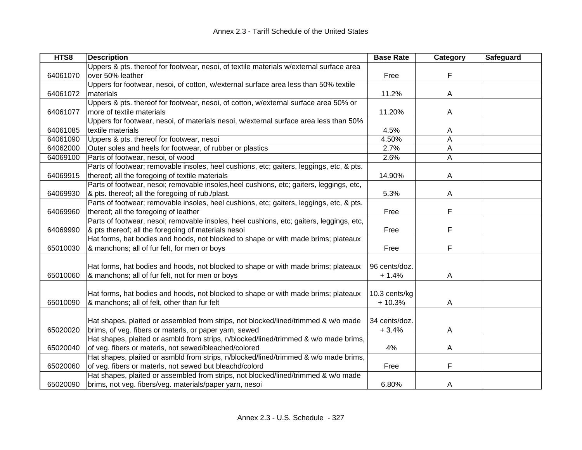| HTS8     | <b>Description</b>                                                                       | <b>Base Rate</b> | Category | Safeguard |
|----------|------------------------------------------------------------------------------------------|------------------|----------|-----------|
|          | Uppers & pts. thereof for footwear, nesoi, of textile materials w/external surface area  |                  |          |           |
| 64061070 | over 50% leather                                                                         | Free             | F        |           |
|          | Uppers for footwear, nesoi, of cotton, w/external surface area less than 50% textile     |                  |          |           |
| 64061072 | materials                                                                                | 11.2%            | A        |           |
|          | Uppers & pts. thereof for footwear, nesoi, of cotton, w/external surface area 50% or     |                  |          |           |
| 64061077 | more of textile materials                                                                | 11.20%           | A        |           |
|          | Uppers for footwear, nesoi, of materials nesoi, w/external surface area less than 50%    |                  |          |           |
| 64061085 | textile materials                                                                        | 4.5%             | A        |           |
| 64061090 | Uppers & pts. thereof for footwear, nesoi                                                | 4.50%            | Α        |           |
| 64062000 | Outer soles and heels for footwear, of rubber or plastics                                | 2.7%             | Α        |           |
| 64069100 | Parts of footwear, nesoi, of wood                                                        | 2.6%             | Α        |           |
|          | Parts of footwear; removable insoles, heel cushions, etc; gaiters, leggings, etc, & pts. |                  |          |           |
| 64069915 | thereof; all the foregoing of textile materials                                          | 14.90%           | A        |           |
|          | Parts of footwear, nesoi; removable insoles, heel cushions, etc; gaiters, leggings, etc, |                  |          |           |
| 64069930 | & pts. thereof; all the foregoing of rub./plast.                                         | 5.3%             | A        |           |
|          | Parts of footwear; removable insoles, heel cushions, etc; gaiters, leggings, etc, & pts. |                  |          |           |
| 64069960 | thereof; all the foregoing of leather                                                    | Free             | F        |           |
|          | Parts of footwear, nesoi; removable insoles, heel cushions, etc; gaiters, leggings, etc, |                  |          |           |
| 64069990 | & pts thereof; all the foregoing of materials nesoi                                      | Free             | F        |           |
|          | Hat forms, hat bodies and hoods, not blocked to shape or with made brims; plateaux       |                  |          |           |
| 65010030 | & manchons; all of fur felt, for men or boys                                             | Free             | F        |           |
|          |                                                                                          |                  |          |           |
|          | Hat forms, hat bodies and hoods, not blocked to shape or with made brims; plateaux       | 96 cents/doz.    |          |           |
| 65010060 | & manchons; all of fur felt, not for men or boys                                         | $+1.4%$          | A        |           |
|          |                                                                                          |                  |          |           |
|          | Hat forms, hat bodies and hoods, not blocked to shape or with made brims; plateaux       | 10.3 cents/kg    |          |           |
| 65010090 | & manchons; all of felt, other than fur felt                                             | $+10.3%$         | A        |           |
|          |                                                                                          |                  |          |           |
|          | Hat shapes, plaited or assembled from strips, not blocked/lined/trimmed & w/o made       | 34 cents/doz.    |          |           |
| 65020020 | brims, of veg. fibers or materls, or paper yarn, sewed                                   | $+3.4%$          | A        |           |
|          | Hat shapes, plaited or asmbld from strips, n/blocked/lined/trimmed & w/o made brims,     |                  |          |           |
| 65020040 | of veg. fibers or materls, not sewed/bleached/colored                                    | 4%               | A        |           |
|          | Hat shapes, plaited or asmbld from strips, n/blocked/lined/trimmed & w/o made brims,     |                  |          |           |
| 65020060 | of veg. fibers or materls, not sewed but bleachd/colord                                  | Free             | F        |           |
|          | Hat shapes, plaited or assembled from strips, not blocked/lined/trimmed & w/o made       |                  |          |           |
| 65020090 | brims, not veg. fibers/veg. materials/paper yarn, nesoi                                  | 6.80%            | A        |           |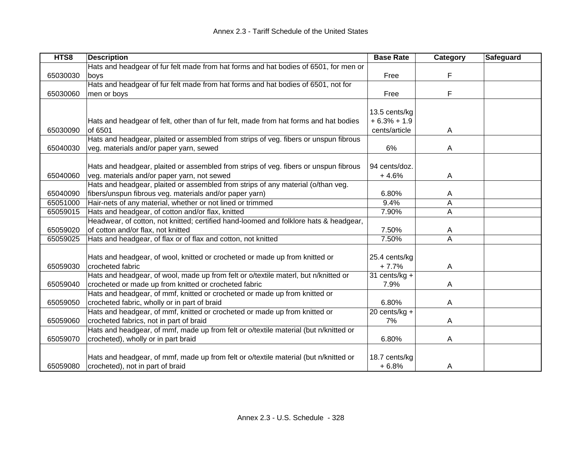| HTS8     | <b>Description</b>                                                                    | <b>Base Rate</b> | Category | Safeguard |
|----------|---------------------------------------------------------------------------------------|------------------|----------|-----------|
|          | Hats and headgear of fur felt made from hat forms and hat bodies of 6501, for men or  |                  |          |           |
| 65030030 | boys                                                                                  | Free             | F        |           |
|          | Hats and headgear of fur felt made from hat forms and hat bodies of 6501, not for     |                  |          |           |
| 65030060 | men or boys                                                                           | Free             | F        |           |
|          |                                                                                       |                  |          |           |
|          |                                                                                       | 13.5 cents/kg    |          |           |
|          | Hats and headgear of felt, other than of fur felt, made from hat forms and hat bodies | $+6.3% + 1.9$    |          |           |
| 65030090 | of 6501                                                                               | cents/article    | A        |           |
|          | Hats and headgear, plaited or assembled from strips of veg. fibers or unspun fibrous  |                  |          |           |
| 65040030 | veg. materials and/or paper yarn, sewed                                               | 6%               | A        |           |
|          | Hats and headgear, plaited or assembled from strips of veg. fibers or unspun fibrous  | 94 cents/doz.    |          |           |
| 65040060 | veg. materials and/or paper yarn, not sewed                                           | $+4.6%$          | A        |           |
|          | Hats and headgear, plaited or assembled from strips of any material (o/than veg.      |                  |          |           |
| 65040090 | fibers/unspun fibrous veg. materials and/or paper yarn)                               | 6.80%            | A        |           |
| 65051000 | Hair-nets of any material, whether or not lined or trimmed                            | 9.4%             | A        |           |
| 65059015 | Hats and headgear, of cotton and/or flax, knitted                                     | 7.90%            | A        |           |
|          | Headwear, of cotton, not knitted; certified hand-loomed and folklore hats & headgear, |                  |          |           |
| 65059020 | of cotton and/or flax, not knitted                                                    | 7.50%            | A        |           |
| 65059025 | Hats and headgear, of flax or of flax and cotton, not knitted                         | 7.50%            | A        |           |
|          |                                                                                       |                  |          |           |
|          | Hats and headgear, of wool, knitted or crocheted or made up from knitted or           | 25.4 cents/kg    |          |           |
| 65059030 | crocheted fabric                                                                      | $+7.7%$          | A        |           |
|          | Hats and headgear, of wool, made up from felt or o/textile materl, but n/knitted or   | 31 cents/ $kg +$ |          |           |
| 65059040 | crocheted or made up from knitted or crocheted fabric                                 | 7.9%             | A        |           |
|          | Hats and headgear, of mmf, knitted or crocheted or made up from knitted or            |                  |          |           |
| 65059050 | crocheted fabric, wholly or in part of braid                                          | 6.80%            | A        |           |
|          | Hats and headgear, of mmf, knitted or crocheted or made up from knitted or            | 20 cents/kg +    |          |           |
| 65059060 | crocheted fabrics, not in part of braid                                               | 7%               | A        |           |
|          | Hats and headgear, of mmf, made up from felt or o/textile material (but n/knitted or  |                  |          |           |
| 65059070 | crocheted), wholly or in part braid                                                   | 6.80%            | Α        |           |
|          |                                                                                       |                  |          |           |
|          | Hats and headgear, of mmf, made up from felt or o/textile material (but n/knitted or  | 18.7 cents/kg    |          |           |
| 65059080 | crocheted), not in part of braid                                                      | $+6.8%$          | A        |           |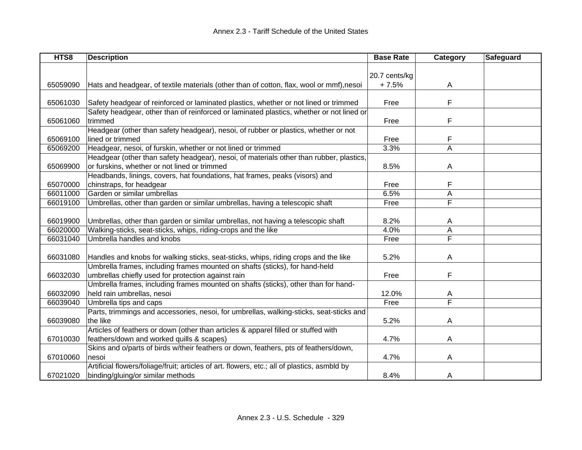| HTS8     | <b>Description</b>                                                                           | <b>Base Rate</b> | Category | Safeguard |
|----------|----------------------------------------------------------------------------------------------|------------------|----------|-----------|
|          |                                                                                              |                  |          |           |
|          |                                                                                              | 20.7 cents/kg    |          |           |
| 65059090 | Hats and headgear, of textile materials (other than of cotton, flax, wool or mmf), nesoi     | $+7.5%$          | A        |           |
|          |                                                                                              |                  |          |           |
| 65061030 | Safety headgear of reinforced or laminated plastics, whether or not lined or trimmed         | Free             | F        |           |
|          | Safety headgear, other than of reinforced or laminated plastics, whether or not lined or     |                  |          |           |
| 65061060 | trimmed                                                                                      | Free             | F        |           |
|          | Headgear (other than safety headgear), nesoi, of rubber or plastics, whether or not          |                  |          |           |
| 65069100 | lined or trimmed                                                                             | Free             | F        |           |
| 65069200 | Headgear, nesoi, of furskin, whether or not lined or trimmed                                 | 3.3%             | A        |           |
|          | Headgear (other than safety headgear), nesoi, of materials other than rubber, plastics,      |                  |          |           |
| 65069900 | or furskins, whether or not lined or trimmed                                                 | 8.5%             | Α        |           |
|          | Headbands, linings, covers, hat foundations, hat frames, peaks (visors) and                  |                  |          |           |
| 65070000 | chinstraps, for headgear                                                                     | Free             | F        |           |
| 66011000 | Garden or similar umbrellas                                                                  | 6.5%             | A        |           |
| 66019100 | Umbrellas, other than garden or similar umbrellas, having a telescopic shaft                 | Free             | F        |           |
|          |                                                                                              |                  |          |           |
| 66019900 | Umbrellas, other than garden or similar umbrellas, not having a telescopic shaft             | 8.2%             | A        |           |
| 66020000 | Walking-sticks, seat-sticks, whips, riding-crops and the like                                | 4.0%             | A        |           |
| 66031040 | Umbrella handles and knobs                                                                   | Free             | F        |           |
|          |                                                                                              |                  |          |           |
| 66031080 | Handles and knobs for walking sticks, seat-sticks, whips, riding crops and the like          | 5.2%             | A        |           |
|          | Umbrella frames, including frames mounted on shafts (sticks), for hand-held                  |                  |          |           |
| 66032030 | umbrellas chiefly used for protection against rain                                           | Free             | F        |           |
|          | Umbrella frames, including frames mounted on shafts (sticks), other than for hand-           |                  |          |           |
| 66032090 | held rain umbrellas, nesoi                                                                   | 12.0%            | A        |           |
| 66039040 | Umbrella tips and caps                                                                       | Free             | F        |           |
|          | Parts, trimmings and accessories, nesoi, for umbrellas, walking-sticks, seat-sticks and      |                  |          |           |
| 66039080 | the like                                                                                     | 5.2%             | A        |           |
|          | Articles of feathers or down (other than articles & apparel filled or stuffed with           |                  |          |           |
| 67010030 | feathers/down and worked quills & scapes)                                                    | 4.7%             | A        |           |
|          | Skins and o/parts of birds w/their feathers or down, feathers, pts of feathers/down,         |                  |          |           |
| 67010060 | nesoi                                                                                        | 4.7%             | A        |           |
|          | Artificial flowers/foliage/fruit; articles of art. flowers, etc.; all of plastics, asmbld by |                  |          |           |
| 67021020 | binding/gluing/or similar methods                                                            | 8.4%             | A        |           |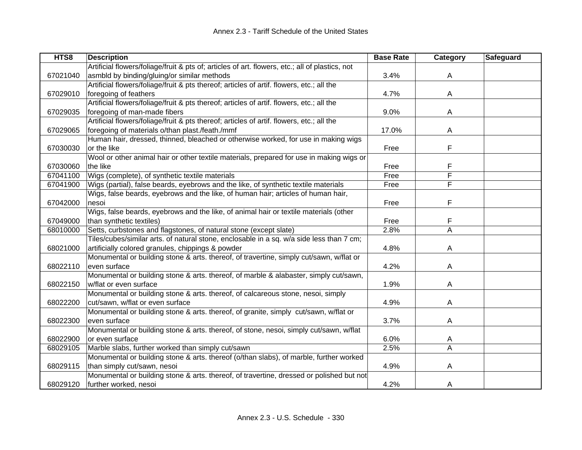| HTS8     | <b>Description</b>                                                                              | <b>Base Rate</b> | Category | Safeguard |
|----------|-------------------------------------------------------------------------------------------------|------------------|----------|-----------|
|          | Artificial flowers/foliage/fruit & pts of; articles of art. flowers, etc.; all of plastics, not |                  |          |           |
| 67021040 | asmbld by binding/gluing/or similar methods                                                     | 3.4%             | A        |           |
|          | Artificial flowers/foliage/fruit & pts thereof; articles of artif. flowers, etc.; all the       |                  |          |           |
| 67029010 | foregoing of feathers                                                                           | 4.7%             | A        |           |
|          | Artificial flowers/foliage/fruit & pts thereof; articles of artif. flowers, etc.; all the       |                  |          |           |
| 67029035 | foregoing of man-made fibers                                                                    | 9.0%             | A        |           |
|          | Artificial flowers/foliage/fruit & pts thereof; articles of artif. flowers, etc.; all the       |                  |          |           |
| 67029065 | foregoing of materials o/than plast./feath./mmf                                                 | 17.0%            | A        |           |
|          | Human hair, dressed, thinned, bleached or otherwise worked, for use in making wigs              |                  |          |           |
| 67030030 | or the like                                                                                     | Free             | F        |           |
|          | Wool or other animal hair or other textile materials, prepared for use in making wigs or        |                  |          |           |
| 67030060 | the like                                                                                        | Free             | F        |           |
| 67041100 | Wigs (complete), of synthetic textile materials                                                 | Free             | F        |           |
| 67041900 | Wigs (partial), false beards, eyebrows and the like, of synthetic textile materials             | Free             | F        |           |
|          | Wigs, false beards, eyebrows and the like, of human hair; articles of human hair,               |                  |          |           |
| 67042000 | nesoi                                                                                           | Free             | F        |           |
|          | Wigs, false beards, eyebrows and the like, of animal hair or textile materials (other           |                  |          |           |
| 67049000 | than synthetic textiles)                                                                        | Free             |          |           |
| 68010000 | Setts, curbstones and flagstones, of natural stone (except slate)                               | 2.8%             | A        |           |
|          | Tiles/cubes/similar arts. of natural stone, enclosable in a sq. w/a side less than 7 cm;        |                  |          |           |
| 68021000 | artificially colored granules, chippings & powder                                               | 4.8%             | A        |           |
|          | Monumental or building stone & arts. thereof, of travertine, simply cut/sawn, w/flat or         |                  |          |           |
| 68022110 | even surface                                                                                    | 4.2%             | A        |           |
|          | Monumental or building stone & arts. thereof, of marble & alabaster, simply cut/sawn,           |                  |          |           |
| 68022150 | w/flat or even surface                                                                          | 1.9%             | A        |           |
|          | Monumental or building stone & arts. thereof, of calcareous stone, nesoi, simply                |                  |          |           |
| 68022200 | cut/sawn, w/flat or even surface                                                                | 4.9%             | A        |           |
|          | Monumental or building stone & arts. thereof, of granite, simply cut/sawn, w/flat or            |                  |          |           |
| 68022300 | even surface                                                                                    | 3.7%             | A        |           |
|          | Monumental or building stone & arts. thereof, of stone, nesoi, simply cut/sawn, w/flat          |                  |          |           |
| 68022900 | or even surface                                                                                 | 6.0%             | A        |           |
| 68029105 | Marble slabs, further worked than simply cut/sawn                                               | 2.5%             | A        |           |
|          | Monumental or building stone & arts. thereof (o/than slabs), of marble, further worked          |                  |          |           |
| 68029115 | than simply cut/sawn, nesoi                                                                     | 4.9%             | A        |           |
|          | Monumental or building stone & arts. thereof, of travertine, dressed or polished but not        |                  |          |           |
| 68029120 | further worked, nesoi                                                                           | 4.2%             | A        |           |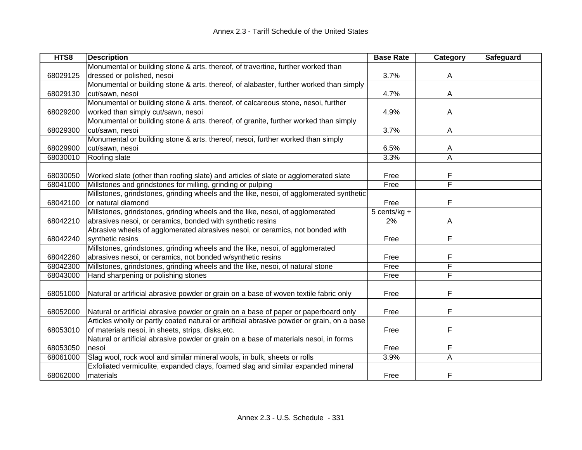| HTS8     | <b>Description</b>                                                                         | <b>Base Rate</b> | Category | <b>Safeguard</b> |
|----------|--------------------------------------------------------------------------------------------|------------------|----------|------------------|
|          | Monumental or building stone & arts. thereof, of travertine, further worked than           |                  |          |                  |
| 68029125 | dressed or polished, nesoi                                                                 | 3.7%             | A        |                  |
|          | Monumental or building stone & arts. thereof, of alabaster, further worked than simply     |                  |          |                  |
| 68029130 | cut/sawn, nesoi                                                                            | 4.7%             | A        |                  |
|          | Monumental or building stone & arts. thereof, of calcareous stone, nesoi, further          |                  |          |                  |
| 68029200 | worked than simply cut/sawn, nesoi                                                         | 4.9%             | A        |                  |
|          | Monumental or building stone & arts. thereof, of granite, further worked than simply       |                  |          |                  |
| 68029300 | cut/sawn, nesoi                                                                            | 3.7%             | A        |                  |
|          | Monumental or building stone & arts. thereof, nesoi, further worked than simply            |                  |          |                  |
| 68029900 | cut/sawn, nesoi                                                                            | 6.5%             | A        |                  |
| 68030010 | Roofing slate                                                                              | 3.3%             | Α        |                  |
|          |                                                                                            |                  |          |                  |
| 68030050 | Worked slate (other than roofing slate) and articles of slate or agglomerated slate        | Free             | F        |                  |
| 68041000 | Millstones and grindstones for milling, grinding or pulping                                | Free             | F        |                  |
|          | Millstones, grindstones, grinding wheels and the like, nesoi, of agglomerated synthetic    |                  |          |                  |
| 68042100 | or natural diamond                                                                         | Free             | F        |                  |
|          | Millstones, grindstones, grinding wheels and the like, nesoi, of agglomerated              | 5 cents/kg +     |          |                  |
| 68042210 | abrasives nesoi, or ceramics, bonded with synthetic resins                                 | 2%               | A        |                  |
|          | Abrasive wheels of agglomerated abrasives nesoi, or ceramics, not bonded with              |                  |          |                  |
| 68042240 | synthetic resins                                                                           | Free             | F        |                  |
|          | Millstones, grindstones, grinding wheels and the like, nesoi, of agglomerated              |                  |          |                  |
| 68042260 | abrasives nesoi, or ceramics, not bonded w/synthetic resins                                | Free             | F        |                  |
| 68042300 | Millstones, grindstones, grinding wheels and the like, nesoi, of natural stone             | Free             | F        |                  |
| 68043000 | Hand sharpening or polishing stones                                                        | Free             | F        |                  |
|          |                                                                                            |                  |          |                  |
| 68051000 | Natural or artificial abrasive powder or grain on a base of woven textile fabric only      | Free             | F        |                  |
|          |                                                                                            |                  |          |                  |
| 68052000 | Natural or artificial abrasive powder or grain on a base of paper or paperboard only       | Free             | F        |                  |
|          | Articles wholly or partly coated natural or artificial abrasive powder or grain, on a base |                  |          |                  |
| 68053010 | of materials nesoi, in sheets, strips, disks, etc.                                         | Free             | F        |                  |
|          | Natural or artificial abrasive powder or grain on a base of materials nesoi, in forms      |                  |          |                  |
| 68053050 | nesoi                                                                                      | Free             | F        |                  |
| 68061000 | Slag wool, rock wool and similar mineral wools, in bulk, sheets or rolls                   | 3.9%             | A        |                  |
|          | Exfoliated vermiculite, expanded clays, foamed slag and similar expanded mineral           |                  |          |                  |
| 68062000 | materials                                                                                  | Free             | F        |                  |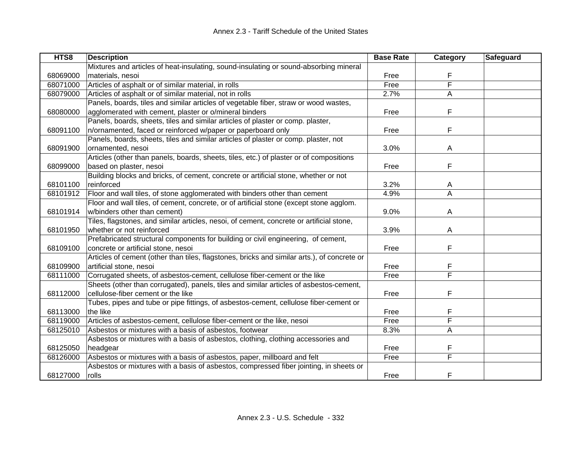| HTS8     | <b>Description</b>                                                                          | <b>Base Rate</b> | Category | Safeguard |
|----------|---------------------------------------------------------------------------------------------|------------------|----------|-----------|
|          | Mixtures and articles of heat-insulating, sound-insulating or sound-absorbing mineral       |                  |          |           |
| 68069000 | materials, nesoi                                                                            | Free             | F        |           |
| 68071000 | Articles of asphalt or of similar material, in rolls                                        | Free             | F        |           |
| 68079000 | Articles of asphalt or of similar material, not in rolls                                    | 2.7%             | A        |           |
|          | Panels, boards, tiles and similar articles of vegetable fiber, straw or wood wastes,        |                  |          |           |
| 68080000 | agglomerated with cement, plaster or o/mineral binders                                      | Free             | F        |           |
|          | Panels, boards, sheets, tiles and similar articles of plaster or comp. plaster,             |                  |          |           |
| 68091100 | n/ornamented, faced or reinforced w/paper or paperboard only                                | Free             | F        |           |
|          | Panels, boards, sheets, tiles and similar articles of plaster or comp. plaster, not         |                  |          |           |
| 68091900 | ornamented, nesoi                                                                           | 3.0%             | A        |           |
|          | Articles (other than panels, boards, sheets, tiles, etc.) of plaster or of compositions     |                  |          |           |
| 68099000 | based on plaster, nesoi                                                                     | Free             | F        |           |
|          | Building blocks and bricks, of cement, concrete or artificial stone, whether or not         |                  |          |           |
| 68101100 | reinforced                                                                                  | 3.2%             | A        |           |
| 68101912 | Floor and wall tiles, of stone agglomerated with binders other than cement                  | 4.9%             | A        |           |
|          | Floor and wall tiles, of cement, concrete, or of artificial stone (except stone agglom.     |                  |          |           |
| 68101914 | w/binders other than cement)                                                                | 9.0%             | A        |           |
|          | Tiles, flagstones, and similar articles, nesoi, of cement, concrete or artificial stone,    |                  |          |           |
| 68101950 | whether or not reinforced                                                                   | 3.9%             | A        |           |
|          | Prefabricated structural components for building or civil engineering, of cement,           |                  |          |           |
| 68109100 | concrete or artificial stone, nesoi                                                         | Free             | F        |           |
|          | Articles of cement (other than tiles, flagstones, bricks and similar arts.), of concrete or |                  |          |           |
| 68109900 | artificial stone, nesoi                                                                     | Free             | F        |           |
| 68111000 | Corrugated sheets, of asbestos-cement, cellulose fiber-cement or the like                   | Free             | F        |           |
|          | Sheets (other than corrugated), panels, tiles and similar articles of asbestos-cement,      |                  |          |           |
| 68112000 | cellulose-fiber cement or the like                                                          | Free             | F        |           |
|          | Tubes, pipes and tube or pipe fittings, of asbestos-cement, cellulose fiber-cement or       |                  |          |           |
| 68113000 | the like                                                                                    | Free             | F        |           |
| 68119000 | Articles of asbestos-cement, cellulose fiber-cement or the like, nesoi                      | Free             | F        |           |
| 68125010 | Asbestos or mixtures with a basis of asbestos, footwear                                     | 8.3%             | A        |           |
|          | Asbestos or mixtures with a basis of asbestos, clothing, clothing accessories and           |                  |          |           |
| 68125050 | headgear                                                                                    | Free             | F        |           |
| 68126000 | Asbestos or mixtures with a basis of asbestos, paper, millboard and felt                    | Free             | F        |           |
|          | Asbestos or mixtures with a basis of asbestos, compressed fiber jointing, in sheets or      |                  |          |           |
| 68127000 | rolls                                                                                       | Free             | F        |           |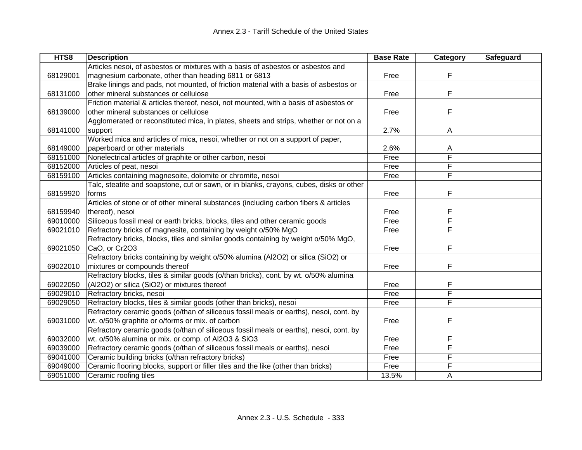| HTS8     | <b>Description</b>                                                                      | <b>Base Rate</b> | Category | <b>Safeguard</b> |
|----------|-----------------------------------------------------------------------------------------|------------------|----------|------------------|
|          | Articles nesoi, of asbestos or mixtures with a basis of asbestos or asbestos and        |                  |          |                  |
| 68129001 | magnesium carbonate, other than heading 6811 or 6813                                    | Free             | F        |                  |
|          | Brake linings and pads, not mounted, of friction material with a basis of asbestos or   |                  |          |                  |
| 68131000 | other mineral substances or cellulose                                                   | Free             | F        |                  |
|          | Friction material & articles thereof, nesoi, not mounted, with a basis of asbestos or   |                  |          |                  |
| 68139000 | other mineral substances or cellulose                                                   | Free             | F        |                  |
|          | Agglomerated or reconstituted mica, in plates, sheets and strips, whether or not on a   |                  |          |                  |
| 68141000 | support                                                                                 | 2.7%             | A        |                  |
|          | Worked mica and articles of mica, nesoi, whether or not on a support of paper,          |                  |          |                  |
| 68149000 | paperboard or other materials                                                           | 2.6%             | A        |                  |
| 68151000 | Nonelectrical articles of graphite or other carbon, nesoi                               | Free             | F        |                  |
| 68152000 | Articles of peat, nesoi                                                                 | Free             | F        |                  |
| 68159100 | Articles containing magnesoite, dolomite or chromite, nesoi                             | Free             | F        |                  |
|          | Talc, steatite and soapstone, cut or sawn, or in blanks, crayons, cubes, disks or other |                  |          |                  |
| 68159920 | forms                                                                                   | Free             | F        |                  |
|          | Articles of stone or of other mineral substances (including carbon fibers & articles    |                  |          |                  |
| 68159940 | thereof), nesoi                                                                         | Free             | F        |                  |
| 69010000 | Siliceous fossil meal or earth bricks, blocks, tiles and other ceramic goods            | Free             | F        |                  |
| 69021010 | Refractory bricks of magnesite, containing by weight o/50% MgO                          | Free             | F        |                  |
|          | Refractory bricks, blocks, tiles and similar goods containing by weight o/50% MgO,      |                  |          |                  |
| 69021050 | CaO, or Cr2O3                                                                           | Free             | F        |                  |
|          | Refractory bricks containing by weight o/50% alumina (Al2O2) or silica (SiO2) or        |                  |          |                  |
| 69022010 | mixtures or compounds thereof                                                           | Free             | F        |                  |
|          | Refractory blocks, tiles & similar goods (o/than bricks), cont. by wt. o/50% alumina    |                  |          |                  |
| 69022050 | (Al2O2) or silica (SiO2) or mixtures thereof                                            | Free             | F        |                  |
| 69029010 | Refractory bricks, nesoi                                                                | Free             | F        |                  |
| 69029050 | Refractory blocks, tiles & similar goods (other than bricks), nesoi                     | Free             | F        |                  |
|          | Refractory ceramic goods (o/than of siliceous fossil meals or earths), nesoi, cont. by  |                  |          |                  |
| 69031000 | wt. o/50% graphite or o/forms or mix. of carbon                                         | Free             | F        |                  |
|          | Refractory ceramic goods (o/than of siliceous fossil meals or earths), nesoi, cont. by  |                  |          |                  |
| 69032000 | wt. o/50% alumina or mix. or comp. of Al2O3 & SiO3                                      | Free             | F        |                  |
| 69039000 | Refractory ceramic goods (o/than of siliceous fossil meals or earths), nesoi            | Free             | F        |                  |
| 69041000 | Ceramic building bricks (o/than refractory bricks)                                      | Free             | F        |                  |
| 69049000 | Ceramic flooring blocks, support or filler tiles and the like (other than bricks)       | Free             | F        |                  |
| 69051000 | Ceramic roofing tiles                                                                   | 13.5%            | Α        |                  |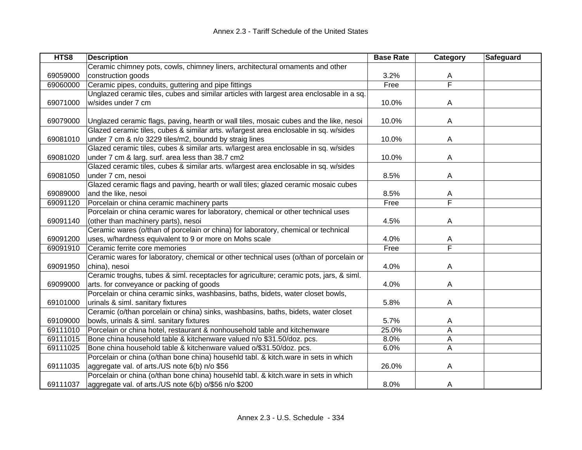| HTS8     | <b>Description</b>                                                                       | <b>Base Rate</b> | Category                | Safeguard |
|----------|------------------------------------------------------------------------------------------|------------------|-------------------------|-----------|
|          | Ceramic chimney pots, cowls, chimney liners, architectural ornaments and other           |                  |                         |           |
| 69059000 | construction goods                                                                       | 3.2%             | A                       |           |
| 69060000 | Ceramic pipes, conduits, guttering and pipe fittings                                     | Free             | $\overline{\mathsf{F}}$ |           |
|          | Unglazed ceramic tiles, cubes and similar articles with largest area enclosable in a sq. |                  |                         |           |
| 69071000 | w/sides under 7 cm                                                                       | 10.0%            | A                       |           |
|          |                                                                                          |                  |                         |           |
| 69079000 | Unglazed ceramic flags, paving, hearth or wall tiles, mosaic cubes and the like, nesoi   | 10.0%            | A                       |           |
|          | Glazed ceramic tiles, cubes & similar arts. w/largest area enclosable in sq. w/sides     |                  |                         |           |
| 69081010 | under 7 cm & n/o 3229 tiles/m2, boundd by straig lines                                   | 10.0%            | A                       |           |
|          | Glazed ceramic tiles, cubes & similar arts. w/largest area enclosable in sq. w/sides     |                  |                         |           |
| 69081020 | under 7 cm & larg. surf. area less than 38.7 cm2                                         | 10.0%            | A                       |           |
|          | Glazed ceramic tiles, cubes & similar arts. w/largest area enclosable in sq. w/sides     |                  |                         |           |
| 69081050 | under 7 cm, nesoi                                                                        | 8.5%             | A                       |           |
|          | Glazed ceramic flags and paving, hearth or wall tiles; glazed ceramic mosaic cubes       |                  |                         |           |
| 69089000 | and the like, nesoi                                                                      | 8.5%             | A                       |           |
| 69091120 | Porcelain or china ceramic machinery parts                                               | Free             | $\overline{\mathsf{F}}$ |           |
|          | Porcelain or china ceramic wares for laboratory, chemical or other technical uses        |                  |                         |           |
| 69091140 | (other than machinery parts), nesoi                                                      | 4.5%             | A                       |           |
|          | Ceramic wares (o/than of porcelain or china) for laboratory, chemical or technical       |                  |                         |           |
| 69091200 | uses, w/hardness equivalent to 9 or more on Mohs scale                                   | 4.0%             | A                       |           |
| 69091910 | Ceramic ferrite core memories                                                            | Free             | $\overline{\mathsf{F}}$ |           |
|          | Ceramic wares for laboratory, chemical or other technical uses (o/than of porcelain or   |                  |                         |           |
| 69091950 | china), nesoi                                                                            | 4.0%             | Α                       |           |
|          | Ceramic troughs, tubes & siml. receptacles for agriculture; ceramic pots, jars, & siml.  |                  |                         |           |
| 69099000 | arts. for conveyance or packing of goods                                                 | 4.0%             | A                       |           |
|          | Porcelain or china ceramic sinks, washbasins, baths, bidets, water closet bowls,         |                  |                         |           |
| 69101000 | urinals & siml. sanitary fixtures                                                        | 5.8%             | A                       |           |
|          | Ceramic (o/than porcelain or china) sinks, washbasins, baths, bidets, water closet       |                  |                         |           |
| 69109000 | bowls, urinals & siml. sanitary fixtures                                                 | 5.7%             | A                       |           |
| 69111010 | Porcelain or china hotel, restaurant & nonhousehold table and kitchenware                | 25.0%            | A                       |           |
| 69111015 | Bone china household table & kitchenware valued n/o \$31.50/doz. pcs.                    | 8.0%             | A                       |           |
| 69111025 | Bone china household table & kitchenware valued o/\$31.50/doz. pcs.                      | 6.0%             | A                       |           |
|          | Porcelain or china (o/than bone china) househld tabl. & kitch.ware in sets in which      |                  |                         |           |
| 69111035 | aggregate val. of arts./US note 6(b) n/o \$56                                            | 26.0%            | A                       |           |
|          | Porcelain or china (o/than bone china) househld tabl. & kitch.ware in sets in which      |                  |                         |           |
| 69111037 | aggregate val. of arts./US note 6(b) o/\$56 n/o \$200                                    | 8.0%             | A                       |           |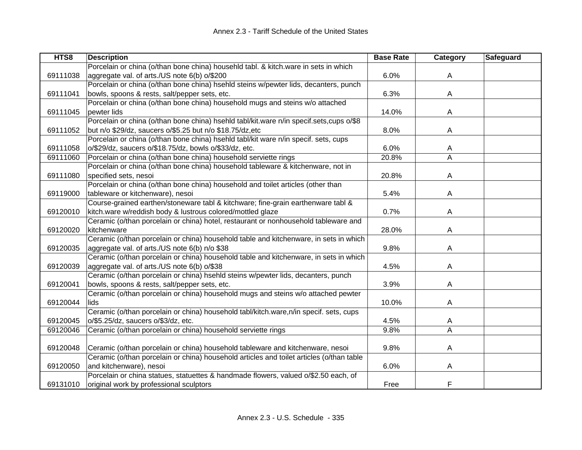| HTS8     | <b>Description</b>                                                                       | <b>Base Rate</b> | Category | Safeguard |
|----------|------------------------------------------------------------------------------------------|------------------|----------|-----------|
|          | Porcelain or china (o/than bone china) househld tabl. & kitch.ware in sets in which      |                  |          |           |
| 69111038 | aggregate val. of arts./US note 6(b) o/\$200                                             | 6.0%             | A        |           |
|          | Porcelain or china (o/than bone china) hsehld steins w/pewter lids, decanters, punch     |                  |          |           |
| 69111041 | bowls, spoons & rests, salt/pepper sets, etc.                                            | 6.3%             | A        |           |
|          | Porcelain or china (o/than bone china) household mugs and steins w/o attached            |                  |          |           |
| 69111045 | pewter lids                                                                              | 14.0%            | A        |           |
|          | Porcelain or china (o/than bone china) hsehld tabl/kit.ware n/in specif.sets,cups o/\$8  |                  |          |           |
| 69111052 | but n/o \$29/dz, saucers o/\$5.25 but n/o \$18.75/dz,etc                                 | 8.0%             | A        |           |
|          | Porcelain or china (o/than bone china) hsehld tabl/kit ware n/in specif. sets, cups      |                  |          |           |
| 69111058 | o/\$29/dz, saucers o/\$18.75/dz, bowls o/\$33/dz, etc.                                   | 6.0%             | A        |           |
| 69111060 | Porcelain or china (o/than bone china) household serviette rings                         | 20.8%            | A        |           |
|          | Porcelain or china (o/than bone china) household tableware & kitchenware, not in         |                  |          |           |
| 69111080 | specified sets, nesoi                                                                    | 20.8%            | A        |           |
|          | Porcelain or china (o/than bone china) household and toilet articles (other than         |                  |          |           |
| 69119000 | tableware or kitchenware), nesoi                                                         | 5.4%             | A        |           |
|          | Course-grained earthen/stoneware tabl & kitchware; fine-grain earthenware tabl &         |                  |          |           |
| 69120010 | kitch.ware w/reddish body & lustrous colored/mottled glaze                               | 0.7%             | Α        |           |
|          | Ceramic (o/than porcelain or china) hotel, restaurant or nonhousehold tableware and      |                  |          |           |
| 69120020 | kitchenware                                                                              | 28.0%            | Α        |           |
|          | Ceramic (o/than porcelain or china) household table and kitchenware, in sets in which    |                  |          |           |
| 69120035 | aggregate val. of arts./US note 6(b) n/o \$38                                            | 9.8%             | A        |           |
|          | Ceramic (o/than porcelain or china) household table and kitchenware, in sets in which    |                  |          |           |
| 69120039 | aggregate val. of arts./US note 6(b) o/\$38                                              | 4.5%             | A        |           |
|          | Ceramic (o/than porcelain or china) hsehld steins w/pewter lids, decanters, punch        |                  |          |           |
| 69120041 | bowls, spoons & rests, salt/pepper sets, etc.                                            | 3.9%             | A        |           |
|          | Ceramic (o/than porcelain or china) household mugs and steins w/o attached pewter        |                  |          |           |
| 69120044 | lids                                                                                     | 10.0%            | Α        |           |
|          | Ceramic (o/than porcelain or china) household tabl/kitch.ware,n/in specif. sets, cups    |                  |          |           |
| 69120045 | o/\$5.25/dz, saucers o/\$3/dz, etc.                                                      | 4.5%             | A        |           |
| 69120046 | Ceramic (o/than porcelain or china) household serviette rings                            | 9.8%             | Α        |           |
|          |                                                                                          |                  |          |           |
| 69120048 | Ceramic (o/than porcelain or china) household tableware and kitchenware, nesoi           | 9.8%             | A        |           |
|          | Ceramic (o/than porcelain or china) household articles and toilet articles (o/than table |                  |          |           |
| 69120050 | and kitchenware), nesoi                                                                  | 6.0%             | A        |           |
|          | Porcelain or china statues, statuettes & handmade flowers, valued o/\$2.50 each, of      |                  |          |           |
| 69131010 | original work by professional sculptors                                                  | Free             | F        |           |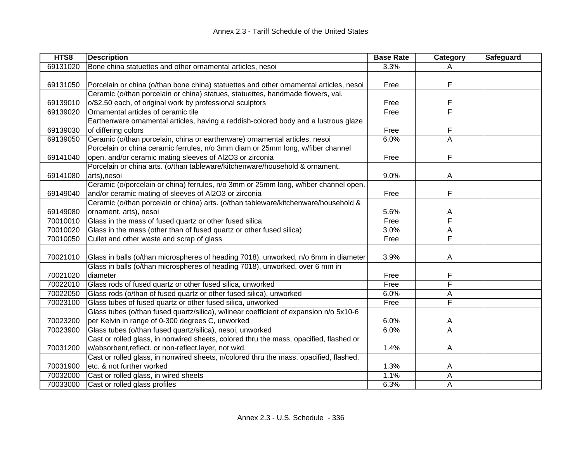| HTS8     | <b>Description</b>                                                                     | <b>Base Rate</b> | Category                | Safeguard |
|----------|----------------------------------------------------------------------------------------|------------------|-------------------------|-----------|
| 69131020 | Bone china statuettes and other ornamental articles, nesoi                             | 3.3%             |                         |           |
|          |                                                                                        |                  |                         |           |
| 69131050 | Porcelain or china (o/than bone china) statuettes and other ornamental articles, nesoi | Free             | F                       |           |
|          | Ceramic (o/than porcelain or china) statues, statuettes, handmade flowers, val.        |                  |                         |           |
| 69139010 | o/\$2.50 each, of original work by professional sculptors                              | Free             | F                       |           |
| 69139020 | Ornamental articles of ceramic tile                                                    | Free             | F                       |           |
|          | Earthenware ornamental articles, having a reddish-colored body and a lustrous glaze    |                  |                         |           |
| 69139030 | of differing colors                                                                    | Free             | F                       |           |
| 69139050 | Ceramic (o/than porcelain, china or eartherware) ornamental articles, nesoi            | 6.0%             | A                       |           |
|          | Porcelain or china ceramic ferrules, n/o 3mm diam or 25mm long, w/fiber channel        |                  |                         |           |
| 69141040 | open. and/or ceramic mating sleeves of Al2O3 or zirconia                               | Free             | F                       |           |
|          | Porcelain or china arts. (o/than tableware/kitchenware/household & ornament.           |                  |                         |           |
| 69141080 | arts), nesoi                                                                           | 9.0%             | A                       |           |
|          | Ceramic (o/porcelain or china) ferrules, n/o 3mm or 25mm long, w/fiber channel open.   |                  |                         |           |
| 69149040 | and/or ceramic mating of sleeves of Al2O3 or zirconia                                  | Free             | F                       |           |
|          | Ceramic (o/than porcelain or china) arts. (o/than tableware/kitchenware/household &    |                  |                         |           |
| 69149080 | ornament. arts), nesoi                                                                 | 5.6%             | A                       |           |
| 70010010 | Glass in the mass of fused quartz or other fused silica                                | Free             | F                       |           |
| 70010020 | Glass in the mass (other than of fused quartz or other fused silica)                   | 3.0%             | A                       |           |
| 70010050 | Cullet and other waste and scrap of glass                                              | Free             | F                       |           |
|          |                                                                                        |                  |                         |           |
| 70021010 | Glass in balls (o/than microspheres of heading 7018), unworked, n/o 6mm in diameter    | 3.9%             | A                       |           |
|          | Glass in balls (o/than microspheres of heading 7018), unworked, over 6 mm in           |                  |                         |           |
| 70021020 | diameter                                                                               | Free             | F                       |           |
| 70022010 | Glass rods of fused quartz or other fused silica, unworked                             | Free             | F                       |           |
| 70022050 | Glass rods (o/than of fused quartz or other fused silica), unworked                    | 6.0%             | Α                       |           |
| 70023100 | Glass tubes of fused quartz or other fused silica, unworked                            | Free             | $\overline{\mathsf{F}}$ |           |
|          | Glass tubes (o/than fused quartz/silica), w/linear coefficient of expansion n/o 5x10-6 |                  |                         |           |
| 70023200 | per Kelvin in range of 0-300 degrees C, unworked                                       | 6.0%             | A                       |           |
| 70023900 | Glass tubes (o/than fused quartz/silica), nesoi, unworked                              | 6.0%             | A                       |           |
|          | Cast or rolled glass, in nonwired sheets, colored thru the mass, opacified, flashed or |                  |                         |           |
| 70031200 | w/absorbent,reflect. or non-reflect.layer, not wkd.                                    | 1.4%             | A                       |           |
|          | Cast or rolled glass, in nonwired sheets, n/colored thru the mass, opacified, flashed, |                  |                         |           |
| 70031900 | etc. & not further worked                                                              | 1.3%             | A                       |           |
| 70032000 | Cast or rolled glass, in wired sheets                                                  | 1.1%             | А                       |           |
| 70033000 | Cast or rolled glass profiles                                                          | 6.3%             | A                       |           |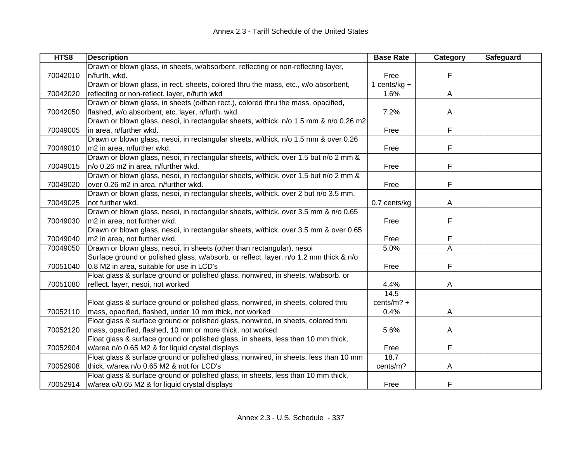| HTS8     | <b>Description</b>                                                                    | <b>Base Rate</b> | Category       | Safeguard |
|----------|---------------------------------------------------------------------------------------|------------------|----------------|-----------|
|          | Drawn or blown glass, in sheets, w/absorbent, reflecting or non-reflecting layer,     |                  |                |           |
| 70042010 | n/furth. wkd.                                                                         | Free             | F              |           |
|          | Drawn or blown glass, in rect. sheets, colored thru the mass, etc., w/o absorbent,    | 1 cents/ $kg +$  |                |           |
| 70042020 | reflecting or non-reflect. layer, n/furth wkd                                         | 1.6%             | A              |           |
|          | Drawn or blown glass, in sheets (o/than rect.), colored thru the mass, opacified,     |                  |                |           |
| 70042050 | flashed, w/o absorbent, etc. layer, n/furth. wkd.                                     | 7.2%             | A              |           |
|          | Drawn or blown glass, nesoi, in rectangular sheets, w/thick. n/o 1.5 mm & n/o 0.26 m2 |                  |                |           |
| 70049005 | in area, n/further wkd.                                                               | Free             | F              |           |
|          | Drawn or blown glass, nesoi, in rectangular sheets, w/thick. n/o 1.5 mm & over 0.26   |                  |                |           |
| 70049010 | m2 in area, n/further wkd.                                                            | Free             | F              |           |
|          | Drawn or blown glass, nesoi, in rectangular sheets, w/thick. over 1.5 but n/o 2 mm &  |                  |                |           |
| 70049015 | n/o 0.26 m2 in area, n/further wkd.                                                   | Free             | F              |           |
|          | Drawn or blown glass, nesoi, in rectangular sheets, w/thick. over 1.5 but n/o 2 mm &  |                  |                |           |
| 70049020 | over 0.26 m2 in area, n/further wkd.                                                  | Free             | F              |           |
|          | Drawn or blown glass, nesoi, in rectangular sheets, w/thick. over 2 but n/o 3.5 mm,   |                  |                |           |
| 70049025 | not further wkd.                                                                      | 0.7 cents/kg     | A              |           |
|          | Drawn or blown glass, nesoi, in rectangular sheets, w/thick. over 3.5 mm & n/o 0.65   |                  |                |           |
| 70049030 | m2 in area, not further wkd.                                                          | Free             | F              |           |
|          | Drawn or blown glass, nesoi, in rectangular sheets, w/thick. over 3.5 mm & over 0.65  |                  |                |           |
| 70049040 | m2 in area, not further wkd.                                                          | Free             | F              |           |
| 70049050 | Drawn or blown glass, nesoi, in sheets (other than rectangular), nesoi                | 5.0%             | $\overline{A}$ |           |
|          | Surface ground or polished glass, w/absorb. or reflect. layer, n/o 1.2 mm thick & n/o |                  |                |           |
| 70051040 | 0.8 M2 in area, suitable for use in LCD's                                             | Free             | F              |           |
|          | Float glass & surface ground or polished glass, nonwired, in sheets, w/absorb. or     |                  |                |           |
| 70051080 | reflect. layer, nesoi, not worked                                                     | 4.4%             | A              |           |
|          |                                                                                       | 14.5             |                |           |
|          | Float glass & surface ground or polished glass, nonwired, in sheets, colored thru     | cents/ $m$ ? +   |                |           |
| 70052110 | mass, opacified, flashed, under 10 mm thick, not worked                               | 0.4%             | A              |           |
|          | Float glass & surface ground or polished glass, nonwired, in sheets, colored thru     |                  |                |           |
| 70052120 | mass, opacified, flashed, 10 mm or more thick, not worked                             | 5.6%             | A              |           |
|          | Float glass & surface ground or polished glass, in sheets, less than 10 mm thick,     |                  |                |           |
| 70052904 | w/area n/o 0.65 M2 & for liquid crystal displays                                      | Free             | F              |           |
|          | Float glass & surface ground or polished glass, nonwired, in sheets, less than 10 mm  | 18.7             |                |           |
| 70052908 | thick, w/area n/o 0.65 M2 & not for LCD's                                             | cents/m?         | Α              |           |
|          | Float glass & surface ground or polished glass, in sheets, less than 10 mm thick,     |                  |                |           |
| 70052914 | w/area o/0.65 M2 & for liquid crystal displays                                        | Free             | F              |           |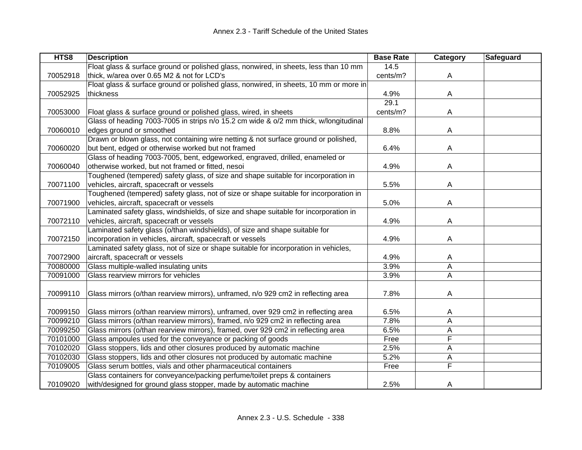| HTS8     | <b>Description</b>                                                                    | <b>Base Rate</b> | <b>Category</b>         | Safeguard |
|----------|---------------------------------------------------------------------------------------|------------------|-------------------------|-----------|
|          | Float glass & surface ground or polished glass, nonwired, in sheets, less than 10 mm  | 14.5             |                         |           |
| 70052918 | thick, w/area over 0.65 M2 & not for LCD's                                            | cents/m?         | A                       |           |
|          | Float glass & surface ground or polished glass, nonwired, in sheets, 10 mm or more in |                  |                         |           |
| 70052925 | thickness                                                                             | 4.9%             | A                       |           |
|          |                                                                                       | 29.1             |                         |           |
| 70053000 | Float glass & surface ground or polished glass, wired, in sheets                      | cents/m?         | Α                       |           |
|          | Glass of heading 7003-7005 in strips n/o 15.2 cm wide & o/2 mm thick, w/longitudinal  |                  |                         |           |
| 70060010 | edges ground or smoothed                                                              | 8.8%             | A                       |           |
|          | Drawn or blown glass, not containing wire netting & not surface ground or polished,   |                  |                         |           |
| 70060020 | but bent, edged or otherwise worked but not framed                                    | 6.4%             | A                       |           |
|          | Glass of heading 7003-7005, bent, edgeworked, engraved, drilled, enameled or          |                  |                         |           |
| 70060040 | otherwise worked, but not framed or fitted, nesoi                                     | 4.9%             | A                       |           |
|          | Toughened (tempered) safety glass, of size and shape suitable for incorporation in    |                  |                         |           |
| 70071100 | vehicles, aircraft, spacecraft or vessels                                             | 5.5%             | A                       |           |
|          | Toughened (tempered) safety glass, not of size or shape suitable for incorporation in |                  |                         |           |
| 70071900 | vehicles, aircraft, spacecraft or vessels                                             | 5.0%             | A                       |           |
|          | Laminated safety glass, windshields, of size and shape suitable for incorporation in  |                  |                         |           |
| 70072110 | vehicles, aircraft, spacecraft or vessels                                             | 4.9%             | A                       |           |
|          | Laminated safety glass (o/than windshields), of size and shape suitable for           |                  |                         |           |
| 70072150 | incorporation in vehicles, aircraft, spacecraft or vessels                            | 4.9%             | A                       |           |
|          | Laminated safety glass, not of size or shape suitable for incorporation in vehicles,  |                  |                         |           |
| 70072900 | aircraft, spacecraft or vessels                                                       | 4.9%             | A                       |           |
| 70080000 | Glass multiple-walled insulating units                                                | 3.9%             | A                       |           |
| 70091000 | Glass rearview mirrors for vehicles                                                   | 3.9%             | A                       |           |
|          |                                                                                       |                  |                         |           |
| 70099110 | Glass mirrors (o/than rearview mirrors), unframed, n/o 929 cm2 in reflecting area     | 7.8%             | Α                       |           |
|          |                                                                                       |                  |                         |           |
| 70099150 | Glass mirrors (o/than rearview mirrors), unframed, over 929 cm2 in reflecting area    | 6.5%             | A                       |           |
| 70099210 | Glass mirrors (o/than rearview mirrors), framed, n/o 929 cm2 in reflecting area       | 7.8%             | A                       |           |
| 70099250 | Glass mirrors (o/than rearview mirrors), framed, over 929 cm2 in reflecting area      | 6.5%             | Α                       |           |
| 70101000 | Glass ampoules used for the conveyance or packing of goods                            | Free             | F                       |           |
| 70102020 | Glass stoppers, lids and other closures produced by automatic machine                 | 2.5%             | Α                       |           |
| 70102030 | Glass stoppers, lids and other closures not produced by automatic machine             | 5.2%             | А                       |           |
| 70109005 | Glass serum bottles, vials and other pharmaceutical containers                        | Free             | $\overline{\mathsf{F}}$ |           |
|          | Glass containers for conveyance/packing perfume/toilet preps & containers             |                  |                         |           |
| 70109020 | with/designed for ground glass stopper, made by automatic machine                     | 2.5%             | A                       |           |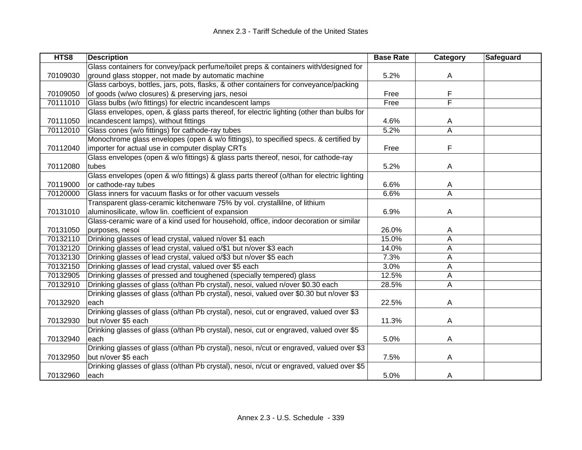| HTS8     | <b>Description</b>                                                                        | <b>Base Rate</b> | <b>Category</b> | Safeguard |
|----------|-------------------------------------------------------------------------------------------|------------------|-----------------|-----------|
|          | Glass containers for convey/pack perfume/toilet preps & containers with/designed for      |                  |                 |           |
| 70109030 | ground glass stopper, not made by automatic machine                                       | 5.2%             | A               |           |
|          | Glass carboys, bottles, jars, pots, flasks, & other containers for conveyance/packing     |                  |                 |           |
| 70109050 | of goods (w/wo closures) & preserving jars, nesoi                                         | Free             | F               |           |
| 70111010 | Glass bulbs (w/o fittings) for electric incandescent lamps                                | Free             | F               |           |
|          | Glass envelopes, open, & glass parts thereof, for electric lighting (other than bulbs for |                  |                 |           |
| 70111050 | incandescent lamps), without fittings                                                     | 4.6%             | A               |           |
| 70112010 | Glass cones (w/o fittings) for cathode-ray tubes                                          | 5.2%             | A               |           |
|          | Monochrome glass envelopes (open & w/o fittings), to specified specs. & certified by      |                  |                 |           |
| 70112040 | importer for actual use in computer display CRTs                                          | Free             | F               |           |
|          | Glass envelopes (open & w/o fittings) & glass parts thereof, nesoi, for cathode-ray       |                  |                 |           |
| 70112080 | tubes                                                                                     | 5.2%             | A               |           |
|          | Glass envelopes (open & w/o fittings) & glass parts thereof (o/than for electric lighting |                  |                 |           |
| 70119000 | or cathode-ray tubes                                                                      | 6.6%             | A               |           |
| 70120000 | Glass inners for vacuum flasks or for other vacuum vessels                                | 6.6%             | A               |           |
|          | Transparent glass-ceramic kitchenware 75% by vol. crystallilne, of lithium                |                  |                 |           |
| 70131010 | aluminosilicate, w/low lin. coefficient of expansion                                      | 6.9%             | A               |           |
|          | Glass-ceramic ware of a kind used for household, office, indoor decoration or similar     |                  |                 |           |
| 70131050 | purposes, nesoi                                                                           | 26.0%            | A               |           |
| 70132110 | Drinking glasses of lead crystal, valued n/over \$1 each                                  | 15.0%            | Α               |           |
| 70132120 | Drinking glasses of lead crystal, valued o/\$1 but n/over \$3 each                        | 14.0%            | A               |           |
| 70132130 | Drinking glasses of lead crystal, valued o/\$3 but n/over \$5 each                        | 7.3%             | Α               |           |
| 70132150 | Drinking glasses of lead crystal, valued over \$5 each                                    | 3.0%             | Α               |           |
| 70132905 | Drinking glasses of pressed and toughened (specially tempered) glass                      | 12.5%            | $\mathsf{A}$    |           |
| 70132910 | Drinking glasses of glass (o/than Pb crystal), nesoi, valued n/over \$0.30 each           | 28.5%            | A               |           |
|          | Drinking glasses of glass (o/than Pb crystal), nesoi, valued over \$0.30 but n/over \$3   |                  |                 |           |
| 70132920 | each                                                                                      | 22.5%            | A               |           |
|          | Drinking glasses of glass (o/than Pb crystal), nesoi, cut or engraved, valued over \$3    |                  |                 |           |
| 70132930 | but n/over \$5 each                                                                       | 11.3%            | A               |           |
|          | Drinking glasses of glass (o/than Pb crystal), nesoi, cut or engraved, valued over \$5    |                  |                 |           |
| 70132940 | each                                                                                      | 5.0%             | A               |           |
|          | Drinking glasses of glass (o/than Pb crystal), nesoi, n/cut or engraved, valued over \$3  |                  |                 |           |
| 70132950 | but n/over \$5 each                                                                       | 7.5%             | Α               |           |
|          | Drinking glasses of glass (o/than Pb crystal), nesoi, n/cut or engraved, valued over \$5  |                  |                 |           |
| 70132960 | each                                                                                      | 5.0%             | A               |           |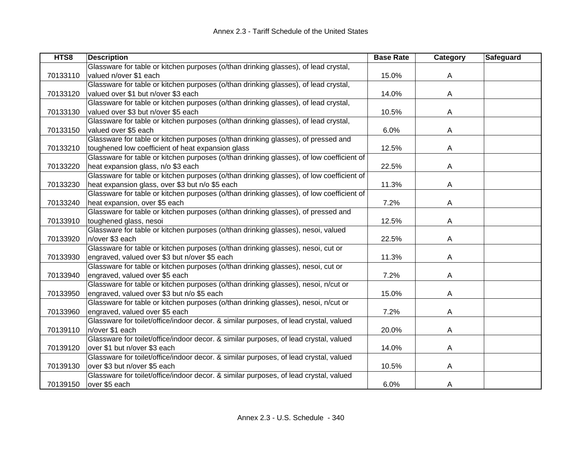| HTS8     | <b>Description</b>                                                                       | <b>Base Rate</b> | Category | Safeguard |
|----------|------------------------------------------------------------------------------------------|------------------|----------|-----------|
|          | Glassware for table or kitchen purposes (o/than drinking glasses), of lead crystal,      |                  |          |           |
| 70133110 | valued n/over \$1 each                                                                   | 15.0%            | A        |           |
|          | Glassware for table or kitchen purposes (o/than drinking glasses), of lead crystal,      |                  |          |           |
| 70133120 | valued over \$1 but n/over \$3 each                                                      | 14.0%            | A        |           |
|          | Glassware for table or kitchen purposes (o/than drinking glasses), of lead crystal,      |                  |          |           |
| 70133130 | valued over \$3 but n/over \$5 each                                                      | 10.5%            | A        |           |
|          | Glassware for table or kitchen purposes (o/than drinking glasses), of lead crystal,      |                  |          |           |
| 70133150 | valued over \$5 each                                                                     | 6.0%             | A        |           |
|          | Glassware for table or kitchen purposes (o/than drinking glasses), of pressed and        |                  |          |           |
| 70133210 | toughened low coefficient of heat expansion glass                                        | 12.5%            | A        |           |
|          | Glassware for table or kitchen purposes (o/than drinking glasses), of low coefficient of |                  |          |           |
| 70133220 | heat expansion glass, n/o \$3 each                                                       | 22.5%            | A        |           |
|          | Glassware for table or kitchen purposes (o/than drinking glasses), of low coefficient of |                  |          |           |
| 70133230 | heat expansion glass, over \$3 but n/o \$5 each                                          | 11.3%            | A        |           |
|          | Glassware for table or kitchen purposes (o/than drinking glasses), of low coefficient of |                  |          |           |
| 70133240 | heat expansion, over \$5 each                                                            | 7.2%             | A        |           |
|          | Glassware for table or kitchen purposes (o/than drinking glasses), of pressed and        |                  |          |           |
| 70133910 | toughened glass, nesoi                                                                   | 12.5%            | A        |           |
|          | Glassware for table or kitchen purposes (o/than drinking glasses), nesoi, valued         |                  |          |           |
| 70133920 | n/over \$3 each                                                                          | 22.5%            | A        |           |
|          | Glassware for table or kitchen purposes (o/than drinking glasses), nesoi, cut or         |                  |          |           |
| 70133930 | engraved, valued over \$3 but n/over \$5 each                                            | 11.3%            | A        |           |
|          | Glassware for table or kitchen purposes (o/than drinking glasses), nesoi, cut or         |                  |          |           |
| 70133940 | engraved, valued over \$5 each                                                           | 7.2%             | A        |           |
|          | Glassware for table or kitchen purposes (o/than drinking glasses), nesoi, n/cut or       |                  |          |           |
| 70133950 | engraved, valued over \$3 but n/o \$5 each                                               | 15.0%            | A        |           |
|          | Glassware for table or kitchen purposes (o/than drinking glasses), nesoi, n/cut or       |                  |          |           |
| 70133960 | engraved, valued over \$5 each                                                           | 7.2%             | A        |           |
|          | Glassware for toilet/office/indoor decor. & similar purposes, of lead crystal, valued    |                  |          |           |
| 70139110 | n/over \$1 each                                                                          | 20.0%            | A        |           |
|          | Glassware for toilet/office/indoor decor. & similar purposes, of lead crystal, valued    |                  |          |           |
| 70139120 | over \$1 but n/over \$3 each                                                             | 14.0%            | A        |           |
|          | Glassware for toilet/office/indoor decor. & similar purposes, of lead crystal, valued    |                  |          |           |
| 70139130 | over \$3 but n/over \$5 each                                                             | 10.5%            | A        |           |
|          | Glassware for toilet/office/indoor decor. & similar purposes, of lead crystal, valued    |                  |          |           |
| 70139150 | over \$5 each                                                                            | 6.0%             | A        |           |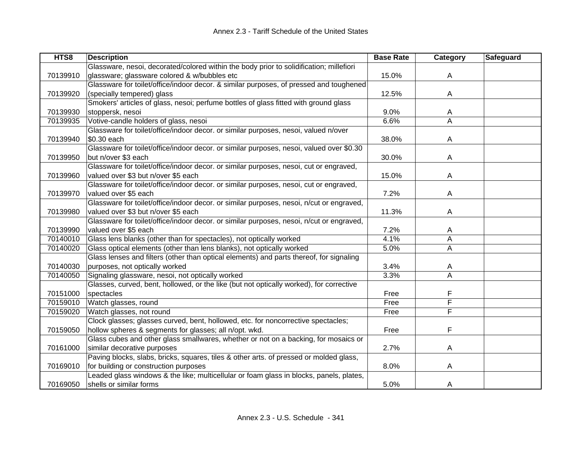| HTS8     | <b>Description</b>                                                                       | <b>Base Rate</b> | Category | Safeguard |
|----------|------------------------------------------------------------------------------------------|------------------|----------|-----------|
|          | Glassware, nesoi, decorated/colored within the body prior to solidification; millefiori  |                  |          |           |
| 70139910 | glassware; glassware colored & w/bubbles etc                                             | 15.0%            | A        |           |
|          | Glassware for toilet/office/indoor decor. & similar purposes, of pressed and toughened   |                  |          |           |
| 70139920 | (specially tempered) glass                                                               | 12.5%            | A        |           |
|          | Smokers' articles of glass, nesoi; perfume bottles of glass fitted with ground glass     |                  |          |           |
| 70139930 | stoppersk, nesoi                                                                         | 9.0%             | A        |           |
| 70139935 | Votive-candle holders of glass, nesoi                                                    | 6.6%             | A        |           |
|          | Glassware for toilet/office/indoor decor. or similar purposes, nesoi, valued n/over      |                  |          |           |
| 70139940 | \$0.30 each                                                                              | 38.0%            | A        |           |
|          | Glassware for toilet/office/indoor decor. or similar purposes, nesoi, valued over \$0.30 |                  |          |           |
| 70139950 | but n/over \$3 each                                                                      | 30.0%            | Α        |           |
|          | Glassware for toilet/office/indoor decor. or similar purposes, nesoi, cut or engraved,   |                  |          |           |
| 70139960 | valued over \$3 but n/over \$5 each                                                      | 15.0%            | A        |           |
|          | Glassware for toilet/office/indoor decor. or similar purposes, nesoi, cut or engraved,   |                  |          |           |
| 70139970 | valued over \$5 each                                                                     | 7.2%             | A        |           |
|          | Glassware for toilet/office/indoor decor. or similar purposes, nesoi, n/cut or engraved, |                  |          |           |
| 70139980 | valued over \$3 but n/over \$5 each                                                      | 11.3%            | A        |           |
|          | Glassware for toilet/office/indoor decor. or similar purposes, nesoi, n/cut or engraved, |                  |          |           |
| 70139990 | valued over \$5 each                                                                     | 7.2%             | A        |           |
| 70140010 | Glass lens blanks (other than for spectacles), not optically worked                      | 4.1%             | A        |           |
| 70140020 | Glass optical elements (other than lens blanks), not optically worked                    | 5.0%             | A        |           |
|          | Glass lenses and filters (other than optical elements) and parts thereof, for signaling  |                  |          |           |
| 70140030 | purposes, not optically worked                                                           | 3.4%             | A        |           |
| 70140050 | Signaling glassware, nesoi, not optically worked                                         | 3.3%             | Α        |           |
|          | Glasses, curved, bent, hollowed, or the like (but not optically worked), for corrective  |                  |          |           |
| 70151000 | spectacles                                                                               | Free             | F        |           |
| 70159010 | Watch glasses, round                                                                     | Free             | F        |           |
| 70159020 | Watch glasses, not round                                                                 | Free             | F        |           |
|          | Clock glasses; glasses curved, bent, hollowed, etc. for noncorrective spectacles;        |                  |          |           |
| 70159050 | hollow spheres & segments for glasses; all n/opt. wkd.                                   | Free             | F        |           |
|          | Glass cubes and other glass smallwares, whether or not on a backing, for mosaics or      |                  |          |           |
| 70161000 | similar decorative purposes                                                              | 2.7%             | A        |           |
|          | Paving blocks, slabs, bricks, squares, tiles & other arts. of pressed or molded glass,   |                  |          |           |
| 70169010 | for building or construction purposes                                                    | 8.0%             | A        |           |
|          | Leaded glass windows & the like; multicellular or foam glass in blocks, panels, plates,  |                  |          |           |
| 70169050 | shells or similar forms                                                                  | 5.0%             | A        |           |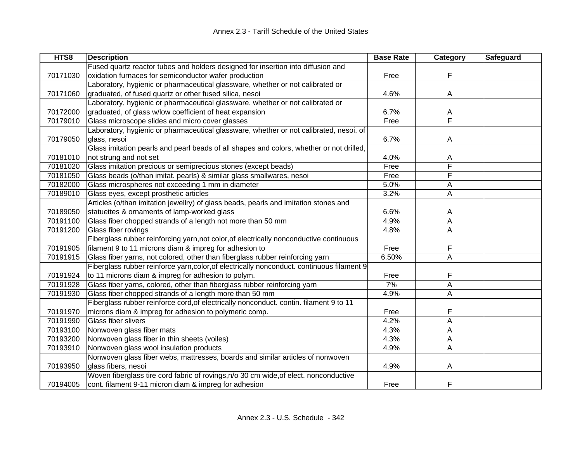| HTS8     | <b>Description</b>                                                                         | <b>Base Rate</b> | Category | Safeguard |
|----------|--------------------------------------------------------------------------------------------|------------------|----------|-----------|
|          | Fused quartz reactor tubes and holders designed for insertion into diffusion and           |                  |          |           |
| 70171030 | oxidation furnaces for semiconductor wafer production                                      | Free             | F        |           |
|          | Laboratory, hygienic or pharmaceutical glassware, whether or not calibrated or             |                  |          |           |
| 70171060 | graduated, of fused quartz or other fused silica, nesoi                                    | 4.6%             | Α        |           |
|          | Laboratory, hygienic or pharmaceutical glassware, whether or not calibrated or             |                  |          |           |
| 70172000 | graduated, of glass w/low coefficient of heat expansion                                    | 6.7%             | A        |           |
| 70179010 | Glass microscope slides and micro cover glasses                                            | Free             | F        |           |
|          | Laboratory, hygienic or pharmaceutical glassware, whether or not calibrated, nesoi, of     |                  |          |           |
| 70179050 | glass, nesoi                                                                               | 6.7%             | A        |           |
|          | Glass imitation pearls and pearl beads of all shapes and colors, whether or not drilled,   |                  |          |           |
| 70181010 | not strung and not set                                                                     | 4.0%             | A        |           |
| 70181020 | Glass imitation precious or semiprecious stones (except beads)                             | Free             | F        |           |
| 70181050 | Glass beads (o/than imitat. pearls) & similar glass smallwares, nesoi                      | Free             | F        |           |
| 70182000 | Glass microspheres not exceeding 1 mm in diameter                                          | 5.0%             | Α        |           |
| 70189010 | Glass eyes, except prosthetic articles                                                     | 3.2%             | Α        |           |
|          | Articles (o/than imitation jewellry) of glass beads, pearls and imitation stones and       |                  |          |           |
| 70189050 | statuettes & ornaments of lamp-worked glass                                                | 6.6%             | A        |           |
| 70191100 | Glass fiber chopped strands of a length not more than 50 mm                                | 4.9%             | A        |           |
| 70191200 | Glass fiber rovings                                                                        | 4.8%             | Α        |           |
|          | Fiberglass rubber reinforcing yarn, not color, of electrically nonconductive continuous    |                  |          |           |
| 70191905 | filament 9 to 11 microns diam & impreg for adhesion to                                     | Free             | F        |           |
| 70191915 | Glass fiber yarns, not colored, other than fiberglass rubber reinforcing yarn              | 6.50%            | A        |           |
|          | Fiberglass rubber reinforce yarn, color, of electrically nonconduct. continuous filament 9 |                  |          |           |
| 70191924 | to 11 microns diam & impreg for adhesion to polym.                                         | Free             | F        |           |
| 70191928 | Glass fiber yarns, colored, other than fiberglass rubber reinforcing yarn                  | 7%               | A        |           |
| 70191930 | Glass fiber chopped strands of a length more than 50 mm                                    | 4.9%             | A        |           |
|          | Fiberglass rubber reinforce cord, of electrically nonconduct. contin. filament 9 to 11     |                  |          |           |
| 70191970 | microns diam & impreg for adhesion to polymeric comp.                                      | Free             | F        |           |
| 70191990 | Glass fiber slivers                                                                        | 4.2%             | Α        |           |
| 70193100 | Nonwoven glass fiber mats                                                                  | 4.3%             | А        |           |
| 70193200 | Nonwoven glass fiber in thin sheets (voiles)                                               | 4.3%             | A        |           |
| 70193910 | Nonwoven glass wool insulation products                                                    | 4.9%             | A        |           |
|          | Nonwoven glass fiber webs, mattresses, boards and similar articles of nonwoven             |                  |          |           |
| 70193950 | glass fibers, nesoi                                                                        | 4.9%             | Α        |           |
|          | Woven fiberglass tire cord fabric of rovings, n/o 30 cm wide, of elect. nonconductive      |                  |          |           |
| 70194005 | cont. filament 9-11 micron diam & impreg for adhesion                                      | Free             | F        |           |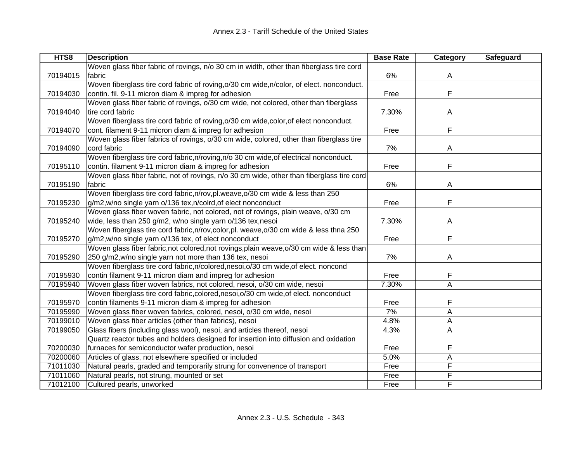| HTS8     | <b>Description</b>                                                                        | <b>Base Rate</b> | Category | Safeguard |
|----------|-------------------------------------------------------------------------------------------|------------------|----------|-----------|
|          | Woven glass fiber fabric of rovings, n/o 30 cm in width, other than fiberglass tire cord  |                  |          |           |
| 70194015 | fabric                                                                                    | 6%               | A        |           |
|          | Woven fiberglass tire cord fabric of roving, o/30 cm wide, n/color, of elect. nonconduct. |                  |          |           |
| 70194030 | contin. fil. 9-11 micron diam & impreg for adhesion                                       | Free             | F        |           |
|          | Woven glass fiber fabric of rovings, o/30 cm wide, not colored, other than fiberglass     |                  |          |           |
| 70194040 | tire cord fabric                                                                          | 7.30%            | A        |           |
|          | Woven fiberglass tire cord fabric of roving, o/30 cm wide, color, of elect nonconduct.    |                  |          |           |
| 70194070 | cont. filament 9-11 micron diam & impreg for adhesion                                     | Free             | F        |           |
|          | Woven glass fiber fabrics of rovings, o/30 cm wide, colored, other than fiberglass tire   |                  |          |           |
| 70194090 | cord fabric                                                                               | 7%               | A        |           |
|          | Woven fiberglass tire cord fabric, n/roving, n/o 30 cm wide, of electrical nonconduct.    |                  |          |           |
| 70195110 | contin. filament 9-11 micron diam & impreg for adhesion                                   | Free             | F        |           |
|          | Woven glass fiber fabric, not of rovings, n/o 30 cm wide, other than fiberglass tire cord |                  |          |           |
| 70195190 | fabric                                                                                    | 6%               | A        |           |
|          | Woven fiberglass tire cord fabric, n/rov, pl. weave, o/30 cm wide & less than 250         |                  |          |           |
| 70195230 | g/m2,w/no single yarn o/136 tex,n/colrd, of elect nonconduct                              | Free             | F        |           |
|          | Woven glass fiber woven fabric, not colored, not of rovings, plain weave, o/30 cm         |                  |          |           |
| 70195240 | wide, less than 250 g/m2, w/no single yarn o/136 tex, nesoi                               | 7.30%            | A        |           |
|          | Woven fiberglass tire cord fabric, n/rov, color, pl. weave, o/30 cm wide & less thna 250  |                  |          |           |
| 70195270 | g/m2,w/no single yarn o/136 tex, of elect nonconduct                                      | Free             | F        |           |
|          | Woven glass fiber fabric, not colored, not rovings, plain weave, o/30 cm wide & less than |                  |          |           |
| 70195290 | 250 g/m2, w/no single yarn not more than 136 tex, nesoi                                   | 7%               | A        |           |
|          | Woven fiberglass tire cord fabric, n/colored, nesoi, o/30 cm wide, of elect. noncond      |                  |          |           |
| 70195930 | contin filament 9-11 micron diam and impreg for adhesion                                  | Free             | F        |           |
| 70195940 | Woven glass fiber woven fabrics, not colored, nesoi, o/30 cm wide, nesoi                  | 7.30%            | A        |           |
|          | Woven fiberglass tire cord fabric, colored, nesoi, o/30 cm wide, of elect. nonconduct     |                  |          |           |
| 70195970 | contin filaments 9-11 micron diam & impreg for adhesion                                   | Free             | F        |           |
| 70195990 | Woven glass fiber woven fabrics, colored, nesoi, o/30 cm wide, nesoi                      | 7%               | A        |           |
| 70199010 | Woven glass fiber articles (other than fabrics), nesoi                                    | 4.8%             | A        |           |
| 70199050 | Glass fibers (including glass wool), nesoi, and articles thereof, nesoi                   | 4.3%             | A        |           |
|          | Quartz reactor tubes and holders designed for insertion into diffusion and oxidation      |                  |          |           |
| 70200030 | furnaces for semiconductor wafer production, nesoi                                        | Free             | F        |           |
| 70200060 | Articles of glass, not elsewhere specified or included                                    | 5.0%             | A        |           |
| 71011030 | Natural pearls, graded and temporarily strung for convenence of transport                 | Free             | F        |           |
| 71011060 | Natural pearls, not strung, mounted or set                                                | Free             | F        |           |
| 71012100 | Cultured pearls, unworked                                                                 | Free             | F        |           |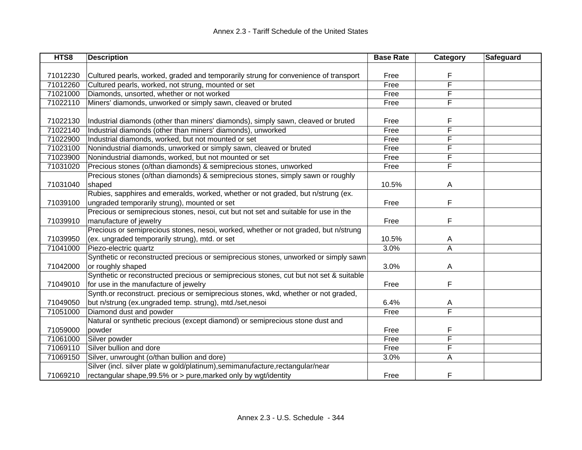| HTS8     | <b>Description</b>                                                                     | <b>Base Rate</b> | Category | Safeguard |
|----------|----------------------------------------------------------------------------------------|------------------|----------|-----------|
|          |                                                                                        |                  |          |           |
| 71012230 | Cultured pearls, worked, graded and temporarily strung for convenience of transport    | Free             | F        |           |
| 71012260 | Cultured pearls, worked, not strung, mounted or set                                    | Free             | F        |           |
| 71021000 | Diamonds, unsorted, whether or not worked                                              | Free             | F        |           |
| 71022110 | Miners' diamonds, unworked or simply sawn, cleaved or bruted                           | Free             | F        |           |
|          |                                                                                        |                  |          |           |
| 71022130 | Industrial diamonds (other than miners' diamonds), simply sawn, cleaved or bruted      | Free             | F        |           |
| 71022140 | Industrial diamonds (other than miners' diamonds), unworked                            | Free             | F        |           |
| 71022900 | Industrial diamonds, worked, but not mounted or set                                    | Free             | F        |           |
| 71023100 | Nonindustrial diamonds, unworked or simply sawn, cleaved or bruted                     | Free             | F        |           |
| 71023900 | Nonindustrial diamonds, worked, but not mounted or set                                 | Free             | F        |           |
| 71031020 | Precious stones (o/than diamonds) & semiprecious stones, unworked                      | Free             | F        |           |
|          | Precious stones (o/than diamonds) & semiprecious stones, simply sawn or roughly        |                  |          |           |
| 71031040 | shaped                                                                                 | 10.5%            | Α        |           |
|          | Rubies, sapphires and emeralds, worked, whether or not graded, but n/strung (ex.       |                  |          |           |
| 71039100 | ungraded temporarily strung), mounted or set                                           | Free             | F        |           |
|          | Precious or semiprecious stones, nesoi, cut but not set and suitable for use in the    |                  |          |           |
| 71039910 | manufacture of jewelry                                                                 | Free             | F        |           |
|          | Precious or semiprecious stones, nesoi, worked, whether or not graded, but n/strung    |                  |          |           |
| 71039950 | (ex. ungraded temporarily strung), mtd. or set                                         | 10.5%            | Α        |           |
| 71041000 | Piezo-electric quartz                                                                  | 3.0%             | A        |           |
|          | Synthetic or reconstructed precious or semiprecious stones, unworked or simply sawn    |                  |          |           |
| 71042000 | or roughly shaped                                                                      | 3.0%             | Α        |           |
|          | Synthetic or reconstructed precious or semiprecious stones, cut but not set & suitable |                  |          |           |
| 71049010 | for use in the manufacture of jewelry                                                  | Free             | F        |           |
|          | Synth.or reconstruct. precious or semiprecious stones, wkd, whether or not graded,     |                  |          |           |
| 71049050 | but n/strung (ex.ungraded temp. strung), mtd./set,nesoi                                | 6.4%             | A        |           |
| 71051000 | Diamond dust and powder                                                                | Free             | F        |           |
|          | Natural or synthetic precious (except diamond) or semiprecious stone dust and          |                  |          |           |
| 71059000 | powder                                                                                 | Free             | F        |           |
| 71061000 | Silver powder                                                                          | Free             | F        |           |
| 71069110 | Silver bullion and dore                                                                | Free             | F        |           |
| 71069150 | Silver, unwrought (o/than bullion and dore)                                            | 3.0%             | A        |           |
|          | Silver (incl. silver plate w gold/platinum), semimanufacture, rectangular/near         |                  |          |           |
| 71069210 | rectangular shape, 99.5% or > pure, marked only by wgt/identity                        | Free             | F        |           |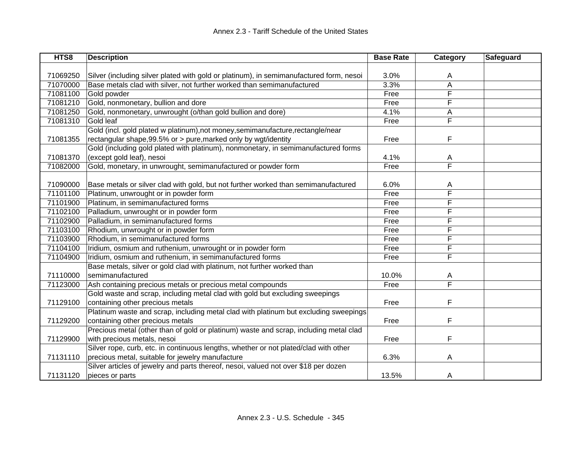| HTS8     | <b>Description</b>                                                                      | <b>Base Rate</b> | Category | Safeguard |
|----------|-----------------------------------------------------------------------------------------|------------------|----------|-----------|
|          |                                                                                         |                  |          |           |
| 71069250 | Silver (including silver plated with gold or platinum), in semimanufactured form, nesoi | 3.0%             | A        |           |
| 71070000 | Base metals clad with silver, not further worked than semimanufactured                  | 3.3%             | A        |           |
| 71081100 | Gold powder                                                                             | Free             | F        |           |
| 71081210 | Gold, nonmonetary, bullion and dore                                                     | Free             | F        |           |
| 71081250 | Gold, nonmonetary, unwrought (o/than gold bullion and dore)                             | 4.1%             | A        |           |
| 71081310 | Gold leaf                                                                               | Free             | F        |           |
|          | Gold (incl. gold plated w platinum), not money, semimanufacture, rectangle/near         |                  |          |           |
| 71081355 | rectangular shape, 99.5% or > pure, marked only by wgt/identity                         | Free             | F        |           |
|          | Gold (including gold plated with platinum), nonmonetary, in semimanufactured forms      |                  |          |           |
| 71081370 | (except gold leaf), nesoi                                                               | 4.1%             | A        |           |
| 71082000 | Gold, monetary, in unwrought, semimanufactured or powder form                           | Free             | F        |           |
|          |                                                                                         |                  |          |           |
| 71090000 | Base metals or silver clad with gold, but not further worked than semimanufactured      | 6.0%             | A        |           |
| 71101100 | Platinum, unwrought or in powder form                                                   | Free             | F        |           |
| 71101900 | Platinum, in semimanufactured forms                                                     | Free             | F        |           |
| 71102100 | Palladium, unwrought or in powder form                                                  | Free             | F        |           |
| 71102900 | Palladium, in semimanufactured forms                                                    | Free             | F        |           |
| 71103100 | Rhodium, unwrought or in powder form                                                    | Free             | F        |           |
| 71103900 | Rhodium, in semimanufactured forms                                                      | Free             | F        |           |
| 71104100 | Iridium, osmium and ruthenium, unwrought or in powder form                              | Free             | F        |           |
| 71104900 | Iridium, osmium and ruthenium, in semimanufactured forms                                | Free             | F        |           |
|          | Base metals, silver or gold clad with platinum, not further worked than                 |                  |          |           |
| 71110000 | semimanufactured                                                                        | 10.0%            | A        |           |
| 71123000 | Ash containing precious metals or precious metal compounds                              | Free             | F        |           |
|          | Gold waste and scrap, including metal clad with gold but excluding sweepings            |                  |          |           |
| 71129100 | containing other precious metals                                                        | Free             | F        |           |
|          | Platinum waste and scrap, including metal clad with platinum but excluding sweepings    |                  |          |           |
| 71129200 | containing other precious metals                                                        | Free             | F        |           |
|          | Precious metal (other than of gold or platinum) waste and scrap, including metal clad   |                  |          |           |
| 71129900 | with precious metals, nesoi                                                             | Free             | F        |           |
|          | Silver rope, curb, etc. in continuous lengths, whether or not plated/clad with other    |                  |          |           |
| 71131110 | precious metal, suitable for jewelry manufacture                                        | 6.3%             | A        |           |
|          | Silver articles of jewelry and parts thereof, nesoi, valued not over \$18 per dozen     |                  |          |           |
| 71131120 | pieces or parts                                                                         | 13.5%            | A        |           |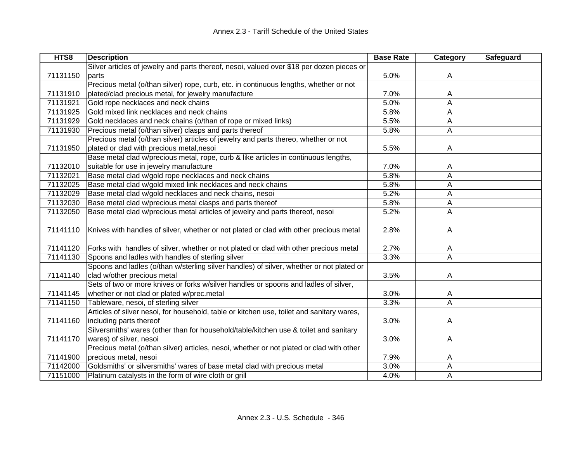| HTS8     | <b>Description</b>                                                                        | <b>Base Rate</b> | <b>Category</b> | Safeguard |
|----------|-------------------------------------------------------------------------------------------|------------------|-----------------|-----------|
|          | Silver articles of jewelry and parts thereof, nesoi, valued over \$18 per dozen pieces or |                  |                 |           |
| 71131150 | parts                                                                                     | 5.0%             | A               |           |
|          | Precious metal (o/than silver) rope, curb, etc. in continuous lengths, whether or not     |                  |                 |           |
| 71131910 | plated/clad precious metal, for jewelry manufacture                                       | 7.0%             | A               |           |
| 71131921 | Gold rope necklaces and neck chains                                                       | 5.0%             | A               |           |
| 71131925 | Gold mixed link necklaces and neck chains                                                 | 5.8%             | A               |           |
| 71131929 | Gold necklaces and neck chains (o/than of rope or mixed links)                            | 5.5%             | A               |           |
| 71131930 | Precious metal (o/than silver) clasps and parts thereof                                   | 5.8%             | A               |           |
|          | Precious metal (o/than silver) articles of jewelry and parts thereo, whether or not       |                  |                 |           |
| 71131950 | plated or clad with precious metal, nesoi                                                 | 5.5%             | A               |           |
|          | Base metal clad w/precious metal, rope, curb & like articles in continuous lengths,       |                  |                 |           |
| 71132010 | suitable for use in jewelry manufacture                                                   | 7.0%             | A               |           |
| 71132021 | Base metal clad w/gold rope necklaces and neck chains                                     | 5.8%             | A               |           |
| 71132025 | Base metal clad w/gold mixed link necklaces and neck chains                               | 5.8%             | A               |           |
| 71132029 | Base metal clad w/gold necklaces and neck chains, nesoi                                   | 5.2%             | A               |           |
| 71132030 | Base metal clad w/precious metal clasps and parts thereof                                 | 5.8%             | A               |           |
| 71132050 | Base metal clad w/precious metal articles of jewelry and parts thereof, nesoi             | 5.2%             | A               |           |
|          |                                                                                           |                  |                 |           |
| 71141110 | Knives with handles of silver, whether or not plated or clad with other precious metal    | 2.8%             | A               |           |
|          |                                                                                           |                  |                 |           |
| 71141120 | Forks with handles of silver, whether or not plated or clad with other precious metal     | 2.7%             | Α               |           |
| 71141130 | Spoons and ladles with handles of sterling silver                                         | 3.3%             | A               |           |
|          | Spoons and ladles (o/than w/sterling silver handles) of silver, whether or not plated or  |                  |                 |           |
| 71141140 | clad w/other precious metal                                                               | 3.5%             | A               |           |
|          | Sets of two or more knives or forks w/silver handles or spoons and ladles of silver,      |                  |                 |           |
| 71141145 | whether or not clad or plated w/prec.metal                                                | 3.0%             | Α               |           |
| 71141150 | Tableware, nesoi, of sterling silver                                                      | 3.3%             | A               |           |
|          | Articles of silver nesoi, for household, table or kitchen use, toilet and sanitary wares, |                  |                 |           |
| 71141160 | including parts thereof                                                                   | 3.0%             | A               |           |
|          | Silversmiths' wares (other than for household/table/kitchen use & toilet and sanitary     |                  |                 |           |
| 71141170 | wares) of silver, nesoi                                                                   | 3.0%             | A               |           |
|          | Precious metal (o/than silver) articles, nesoi, whether or not plated or clad with other  |                  |                 |           |
| 71141900 | precious metal, nesoi                                                                     | 7.9%             | A               |           |
| 71142000 | Goldsmiths' or silversmiths' wares of base metal clad with precious metal                 | 3.0%             | А               |           |
| 71151000 | Platinum catalysts in the form of wire cloth or grill                                     | 4.0%             | Α               |           |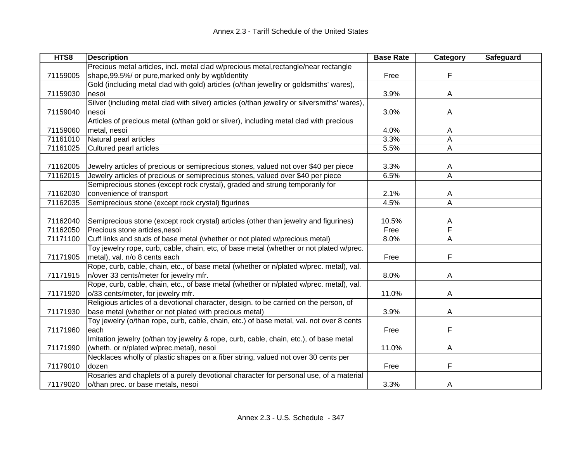| HTS8     | <b>Description</b>                                                                           | <b>Base Rate</b> | Category     | Safeguard |
|----------|----------------------------------------------------------------------------------------------|------------------|--------------|-----------|
|          | Precious metal articles, incl. metal clad w/precious metal, rectangle/near rectangle         |                  |              |           |
| 71159005 | shape, 99.5%/ or pure, marked only by wgt/identity                                           | Free             | F            |           |
|          | Gold (including metal clad with gold) articles (o/than jewellry or goldsmiths' wares),       |                  |              |           |
| 71159030 | nesoi                                                                                        | 3.9%             | $\mathsf{A}$ |           |
|          | Silver (including metal clad with silver) articles (o/than jewellry or silversmiths' wares), |                  |              |           |
| 71159040 | nesoi                                                                                        | 3.0%             | A            |           |
|          | Articles of precious metal (o/than gold or silver), including metal clad with precious       |                  |              |           |
| 71159060 | metal, nesoi                                                                                 | 4.0%             | A            |           |
| 71161010 | Natural pearl articles                                                                       | 3.3%             | Α            |           |
| 71161025 | Cultured pearl articles                                                                      | 5.5%             | A            |           |
|          |                                                                                              |                  |              |           |
| 71162005 | Jewelry articles of precious or semiprecious stones, valued not over \$40 per piece          | 3.3%             | Α            |           |
| 71162015 | Jewelry articles of precious or semiprecious stones, valued over \$40 per piece              | 6.5%             | A            |           |
|          | Semiprecious stones (except rock crystal), graded and strung temporarily for                 |                  |              |           |
| 71162030 | convenience of transport                                                                     | 2.1%             | A            |           |
| 71162035 | Semiprecious stone (except rock crystal) figurines                                           | 4.5%             | A            |           |
|          |                                                                                              |                  |              |           |
| 71162040 | Semiprecious stone (except rock crystal) articles (other than jewelry and figurines)         | 10.5%            | A            |           |
| 71162050 | Precious stone articles, nesoi                                                               | Free             | F            |           |
| 71171100 | Cuff links and studs of base metal (whether or not plated w/precious metal)                  | 8.0%             | A            |           |
|          | Toy jewelry rope, curb, cable, chain, etc, of base metal (whether or not plated w/prec.      |                  |              |           |
| 71171905 | metal), val. n/o 8 cents each                                                                | Free             | F            |           |
|          | Rope, curb, cable, chain, etc., of base metal (whether or n/plated w/prec. metal), val.      |                  |              |           |
| 71171915 | n/over 33 cents/meter for jewelry mfr.                                                       | 8.0%             | A            |           |
|          | Rope, curb, cable, chain, etc., of base metal (whether or n/plated w/prec. metal), val.      |                  |              |           |
| 71171920 | o/33 cents/meter, for jewelry mfr.                                                           | 11.0%            | A            |           |
|          | Religious articles of a devotional character, design. to be carried on the person, of        |                  |              |           |
| 71171930 | base metal (whether or not plated with precious metal)                                       | 3.9%             | A            |           |
|          | Toy jewelry (o/than rope, curb, cable, chain, etc.) of base metal, val. not over 8 cents     |                  |              |           |
| 71171960 | each                                                                                         | Free             | F            |           |
|          | Imitation jewelry (o/than toy jewelry & rope, curb, cable, chain, etc.), of base metal       |                  |              |           |
| 71171990 | (wheth. or n/plated w/prec.metal), nesoi                                                     | 11.0%            | A            |           |
|          | Necklaces wholly of plastic shapes on a fiber string, valued not over 30 cents per           |                  |              |           |
| 71179010 | dozen                                                                                        | Free             | F            |           |
|          | Rosaries and chaplets of a purely devotional character for personal use, of a material       |                  |              |           |
| 71179020 | o/than prec. or base metals, nesoi                                                           | 3.3%             | A            |           |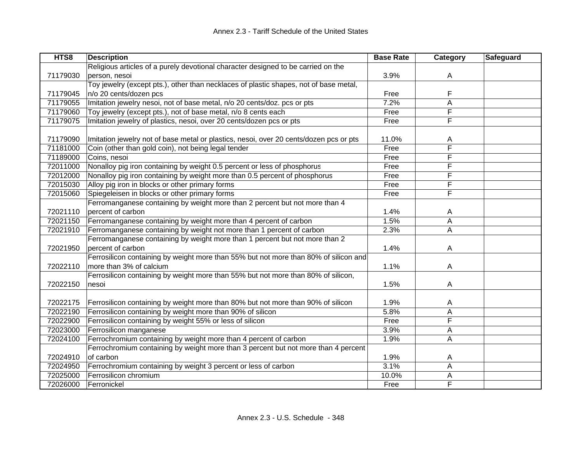| HTS8     | <b>Description</b>                                                                     | <b>Base Rate</b> | Category | Safeguard |
|----------|----------------------------------------------------------------------------------------|------------------|----------|-----------|
|          | Religious articles of a purely devotional character designed to be carried on the      |                  |          |           |
| 71179030 | person, nesoi                                                                          | 3.9%             | A        |           |
|          | Toy jewelry (except pts.), other than necklaces of plastic shapes, not of base metal,  |                  |          |           |
| 71179045 | n/o 20 cents/dozen pcs                                                                 | Free             | F        |           |
| 71179055 | Imitation jewelry nesoi, not of base metal, n/o 20 cents/doz. pcs or pts               | 7.2%             | A        |           |
| 71179060 | Toy jewelry (except pts.), not of base metal, n/o 8 cents each                         | Free             | F        |           |
| 71179075 | Imitation jewelry of plastics, nesoi, over 20 cents/dozen pcs or pts                   | Free             | F        |           |
|          |                                                                                        |                  |          |           |
| 71179090 | Imitation jewelry not of base metal or plastics, nesoi, over 20 cents/dozen pcs or pts | 11.0%            | A        |           |
| 71181000 | Coin (other than gold coin), not being legal tender                                    | Free             | F        |           |
| 71189000 | Coins, nesoi                                                                           | Free             | F        |           |
| 72011000 | Nonalloy pig iron containing by weight 0.5 percent or less of phosphorus               | Free             | F        |           |
| 72012000 | Nonalloy pig iron containing by weight more than 0.5 percent of phosphorus             | Free             | F        |           |
| 72015030 | Alloy pig iron in blocks or other primary forms                                        | Free             | F        |           |
| 72015060 | Spiegeleisen in blocks or other primary forms                                          | Free             | F        |           |
|          | Ferromanganese containing by weight more than 2 percent but not more than 4            |                  |          |           |
| 72021110 | percent of carbon                                                                      | 1.4%             | Α        |           |
| 72021150 | Ferromanganese containing by weight more than 4 percent of carbon                      | 1.5%             | A        |           |
| 72021910 | Ferromanganese containing by weight not more than 1 percent of carbon                  | 2.3%             | A        |           |
|          | Ferromanganese containing by weight more than 1 percent but not more than 2            |                  |          |           |
| 72021950 | percent of carbon                                                                      | 1.4%             | A        |           |
|          | Ferrosilicon containing by weight more than 55% but not more than 80% of silicon and   |                  |          |           |
| 72022110 | more than 3% of calcium                                                                | 1.1%             | A        |           |
|          | Ferrosilicon containing by weight more than 55% but not more than 80% of silicon,      |                  |          |           |
| 72022150 | nesoi                                                                                  | 1.5%             | A        |           |
|          |                                                                                        |                  |          |           |
| 72022175 | Ferrosilicon containing by weight more than 80% but not more than 90% of silicon       | 1.9%             | Α        |           |
| 72022190 | Ferrosilicon containing by weight more than 90% of silicon                             | 5.8%             | A        |           |
| 72022900 | Ferrosilicon containing by weight 55% or less of silicon                               | Free             | F        |           |
| 72023000 | Ferrosilicon manganese                                                                 | 3.9%             | А        |           |
| 72024100 | Ferrochromium containing by weight more than 4 percent of carbon                       | 1.9%             | А        |           |
|          | Ferrochromium containing by weight more than 3 percent but not more than 4 percent     |                  |          |           |
| 72024910 | of carbon                                                                              | 1.9%             | A        |           |
| 72024950 | Ferrochromium containing by weight 3 percent or less of carbon                         | 3.1%             | Α        |           |
| 72025000 | Ferrosilicon chromium                                                                  | 10.0%            | А        |           |
| 72026000 | Ferronickel                                                                            | Free             | F        |           |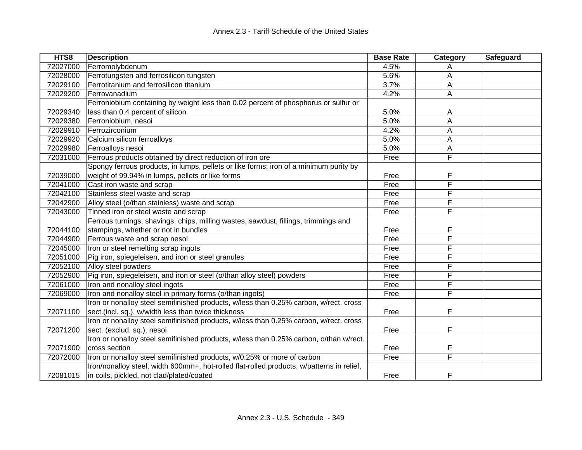| HTS8     | <b>Description</b>                                                                        | <b>Base Rate</b> | Category | Safeguard |
|----------|-------------------------------------------------------------------------------------------|------------------|----------|-----------|
| 72027000 | Ferromolybdenum                                                                           | 4.5%             | Α        |           |
| 72028000 | Ferrotungsten and ferrosilicon tungsten                                                   | 5.6%             | Α        |           |
| 72029100 | Ferrotitanium and ferrosilicon titanium                                                   | 3.7%             | A        |           |
| 72029200 | Ferrovanadium                                                                             | 4.2%             | A        |           |
|          | Ferroniobium containing by weight less than 0.02 percent of phosphorus or sulfur or       |                  |          |           |
| 72029340 | less than 0.4 percent of silicon                                                          | 5.0%             | A        |           |
| 72029380 | Ferroniobium, nesoi                                                                       | 5.0%             | A        |           |
| 72029910 | Ferrozirconium                                                                            | 4.2%             | A        |           |
| 72029920 | Calcium silicon ferroalloys                                                               | 5.0%             | A        |           |
| 72029980 | Ferroalloys nesoi                                                                         | 5.0%             | Α        |           |
| 72031000 | Ferrous products obtained by direct reduction of iron ore                                 | Free             | F        |           |
|          | Spongy ferrous products, in lumps, pellets or like forms; iron of a minimum purity by     |                  |          |           |
| 72039000 | weight of 99.94% in lumps, pellets or like forms                                          | Free             | F        |           |
| 72041000 | Cast iron waste and scrap                                                                 | Free             | F        |           |
| 72042100 | Stainless steel waste and scrap                                                           | Free             | F        |           |
| 72042900 | Alloy steel (o/than stainless) waste and scrap                                            | Free             | F        |           |
| 72043000 | Tinned iron or steel waste and scrap                                                      | Free             | F        |           |
|          | Ferrous turnings, shavings, chips, milling wastes, sawdust, fillings, trimmings and       |                  |          |           |
| 72044100 | stampings, whether or not in bundles                                                      | Free             | F        |           |
| 72044900 | Ferrous waste and scrap nesoi                                                             | Free             | F        |           |
| 72045000 | Iron or steel remelting scrap ingots                                                      | Free             | F        |           |
| 72051000 | Pig iron, spiegeleisen, and iron or steel granules                                        | Free             | F        |           |
| 72052100 | Alloy steel powders                                                                       | Free             | F        |           |
| 72052900 | Pig iron, spiegeleisen, and iron or steel (o/than alloy steel) powders                    | Free             | F        |           |
| 72061000 | Iron and nonalloy steel ingots                                                            | Free             | F        |           |
| 72069000 | Iron and nonalloy steel in primary forms (o/than ingots)                                  | Free             | F        |           |
|          | Iron or nonalloy steel semifinished products, w/less than 0.25% carbon, w/rect. cross     |                  |          |           |
| 72071100 | sect.(incl. sq.), w/width less than twice thickness                                       | Free             | F        |           |
|          | Iron or nonalloy steel semifinished products, w/less than 0.25% carbon, w/rect. cross     |                  |          |           |
| 72071200 | sect. (exclud. sq.), nesoi                                                                | Free             | F        |           |
|          | Iron or nonalloy steel semifinished products, w/less than 0.25% carbon, o/than w/rect.    |                  |          |           |
| 72071900 | cross section                                                                             | Free             | F        |           |
| 72072000 | Iron or nonalloy steel semifinished products, w/0.25% or more of carbon                   | Free             | F        |           |
|          | Iron/nonalloy steel, width 600mm+, hot-rolled flat-rolled products, w/patterns in relief, |                  |          |           |
| 72081015 | in coils, pickled, not clad/plated/coated                                                 | Free             | F        |           |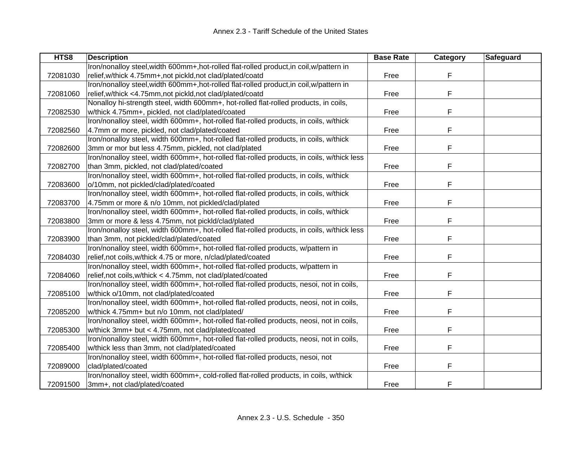| HTS8     | <b>Description</b>                                                                         | <b>Base Rate</b> | Category | Safeguard |
|----------|--------------------------------------------------------------------------------------------|------------------|----------|-----------|
|          | Iron/nonalloy steel, width 600mm+, hot-rolled flat-rolled product, in coil, w/pattern in   |                  |          |           |
| 72081030 | relief, w/thick 4.75mm+, not pickld, not clad/plated/coatd                                 | Free             | F        |           |
|          | Iron/nonalloy steel, width 600mm+, hot-rolled flat-rolled product, in coil, w/pattern in   |                  |          |           |
| 72081060 | relief, w/thick <4.75mm, not pickld, not clad/plated/coatd                                 | Free             | F        |           |
|          | Nonalloy hi-strength steel, width 600mm+, hot-rolled flat-rolled products, in coils,       |                  |          |           |
| 72082530 | w/thick 4.75mm+, pickled, not clad/plated/coated                                           | Free             | F        |           |
|          | Iron/nonalloy steel, width 600mm+, hot-rolled flat-rolled products, in coils, w/thick      |                  |          |           |
| 72082560 | 4.7mm or more, pickled, not clad/plated/coated                                             | Free             | F        |           |
|          | Iron/nonalloy steel, width 600mm+, hot-rolled flat-rolled products, in coils, w/thick      |                  |          |           |
| 72082600 | 3mm or mor but less 4.75mm, pickled, not clad/plated                                       | Free             | F        |           |
|          | Iron/nonalloy steel, width 600mm+, hot-rolled flat-rolled products, in coils, w/thick less |                  |          |           |
| 72082700 | than 3mm, pickled, not clad/plated/coated                                                  | Free             | F        |           |
|          | Iron/nonalloy steel, width 600mm+, hot-rolled flat-rolled products, in coils, w/thick      |                  |          |           |
| 72083600 | o/10mm, not pickled/clad/plated/coated                                                     | Free             | F        |           |
|          | Iron/nonalloy steel, width 600mm+, hot-rolled flat-rolled products, in coils, w/thick      |                  |          |           |
| 72083700 | 4.75mm or more & n/o 10mm, not pickled/clad/plated                                         | Free             | F        |           |
|          | Iron/nonalloy steel, width 600mm+, hot-rolled flat-rolled products, in coils, w/thick      |                  |          |           |
| 72083800 | 3mm or more & less 4.75mm, not pickld/clad/plated                                          | Free             | F        |           |
|          | Iron/nonalloy steel, width 600mm+, hot-rolled flat-rolled products, in coils, w/thick less |                  |          |           |
| 72083900 | than 3mm, not pickled/clad/plated/coated                                                   | Free             | F        |           |
|          | Iron/nonalloy steel, width 600mm+, hot-rolled flat-rolled products, w/pattern in           |                  |          |           |
| 72084030 | relief, not coils, w/thick 4.75 or more, n/clad/plated/coated                              | Free             | F        |           |
|          | Iron/nonalloy steel, width 600mm+, hot-rolled flat-rolled products, w/pattern in           |                  |          |           |
| 72084060 | relief, not coils, w/thick < 4.75mm, not clad/plated/coated                                | Free             | F        |           |
|          | Iron/nonalloy steel, width 600mm+, hot-rolled flat-rolled products, nesoi, not in coils,   |                  |          |           |
| 72085100 | w/thick o/10mm, not clad/plated/coated                                                     | Free             | F        |           |
|          | Iron/nonalloy steel, width 600mm+, hot-rolled flat-rolled products, neosi, not in coils,   |                  |          |           |
| 72085200 | w/thick 4.75mm+ but n/o 10mm, not clad/plated/                                             | Free             | F        |           |
|          | Iron/nonalloy steel, width 600mm+, hot-rolled flat-rolled products, neosi, not in coils,   |                  |          |           |
| 72085300 | w/thick 3mm+ but < 4.75mm, not clad/plated/coated                                          | Free             | F        |           |
|          | Iron/nonalloy steel, width 600mm+, hot-rolled flat-rolled products, neosi, not in coils,   |                  |          |           |
| 72085400 | w/thick less than 3mm, not clad/plated/coated                                              | Free             | F.       |           |
|          | Iron/nonalloy steel, width 600mm+, hot-rolled flat-rolled products, nesoi, not             |                  |          |           |
| 72089000 | clad/plated/coated                                                                         | Free             | F        |           |
|          | Iron/nonalloy steel, width 600mm+, cold-rolled flat-rolled products, in coils, w/thick     |                  |          |           |
| 72091500 | 3mm+, not clad/plated/coated                                                               | Free             | F        |           |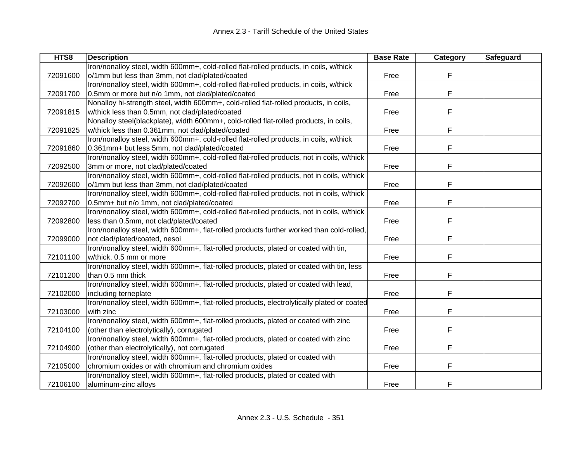| HTS8     | <b>Description</b>                                                                         | <b>Base Rate</b> | Category | Safeguard |
|----------|--------------------------------------------------------------------------------------------|------------------|----------|-----------|
|          | Iron/nonalloy steel, width 600mm+, cold-rolled flat-rolled products, in coils, w/thick     |                  |          |           |
| 72091600 | o/1mm but less than 3mm, not clad/plated/coated                                            | Free             | F        |           |
|          | Iron/nonalloy steel, width 600mm+, cold-rolled flat-rolled products, in coils, w/thick     |                  |          |           |
| 72091700 | 0.5mm or more but n/o 1mm, not clad/plated/coated                                          | Free             | F        |           |
|          | Nonalloy hi-strength steel, width 600mm+, cold-rolled flat-rolled products, in coils,      |                  |          |           |
| 72091815 | w/thick less than 0.5mm, not clad/plated/coated                                            | Free             | F        |           |
|          | Nonalloy steel(blackplate), width 600mm+, cold-rolled flat-rolled products, in coils,      |                  |          |           |
| 72091825 | w/thick less than 0.361mm, not clad/plated/coated                                          | Free             | F        |           |
|          | Iron/nonalloy steel, width 600mm+, cold-rolled flat-rolled products, in coils, w/thick     |                  |          |           |
| 72091860 | 0.361mm+ but less 5mm, not clad/plated/coated                                              | Free             | F        |           |
|          | Iron/nonalloy steel, width 600mm+, cold-rolled flat-rolled products, not in coils, w/thick |                  |          |           |
| 72092500 | 3mm or more, not clad/plated/coated                                                        | Free             | F        |           |
|          | Iron/nonalloy steel, width 600mm+, cold-rolled flat-rolled products, not in coils, w/thick |                  |          |           |
| 72092600 | o/1mm but less than 3mm, not clad/plated/coated                                            | Free             | F        |           |
|          | Iron/nonalloy steel, width 600mm+, cold-rolled flat-rolled products, not in coils, w/thick |                  |          |           |
| 72092700 | 0.5mm+ but n/o 1mm, not clad/plated/coated                                                 | Free             | F        |           |
|          | Iron/nonalloy steel, width 600mm+, cold-rolled flat-rolled products, not in coils, w/thick |                  |          |           |
| 72092800 | less than 0.5mm, not clad/plated/coated                                                    | Free             | F        |           |
|          | Iron/nonalloy steel, width 600mm+, flat-rolled products further worked than cold-rolled,   |                  |          |           |
| 72099000 | not clad/plated/coated, nesoi                                                              | Free             | F        |           |
|          | Iron/nonalloy steel, width 600mm+, flat-rolled products, plated or coated with tin,        |                  |          |           |
| 72101100 | w/thick. 0.5 mm or more                                                                    | Free             | F        |           |
|          | Iron/nonalloy steel, width 600mm+, flat-rolled products, plated or coated with tin, less   |                  |          |           |
| 72101200 | than 0.5 mm thick                                                                          | Free             | F        |           |
|          | Iron/nonalloy steel, width 600mm+, flat-rolled products, plated or coated with lead,       |                  |          |           |
| 72102000 | including terneplate                                                                       | Free             | F        |           |
|          | Iron/nonalloy steel, width 600mm+, flat-rolled products, electrolytically plated or coated |                  |          |           |
| 72103000 | with zinc                                                                                  | Free             | F        |           |
|          | Iron/nonalloy steel, width 600mm+, flat-rolled products, plated or coated with zinc        |                  |          |           |
| 72104100 | (other than electrolytically), corrugated                                                  | Free             | F        |           |
|          | Iron/nonalloy steel, width 600mm+, flat-rolled products, plated or coated with zinc        |                  |          |           |
| 72104900 | (other than electrolytically), not corrugated                                              | Free             | F.       |           |
|          | Iron/nonalloy steel, width 600mm+, flat-rolled products, plated or coated with             |                  |          |           |
| 72105000 | chromium oxides or with chromium and chromium oxides                                       | Free             | F        |           |
|          | Iron/nonalloy steel, width 600mm+, flat-rolled products, plated or coated with             |                  |          |           |
| 72106100 | aluminum-zinc alloys                                                                       | Free             | F        |           |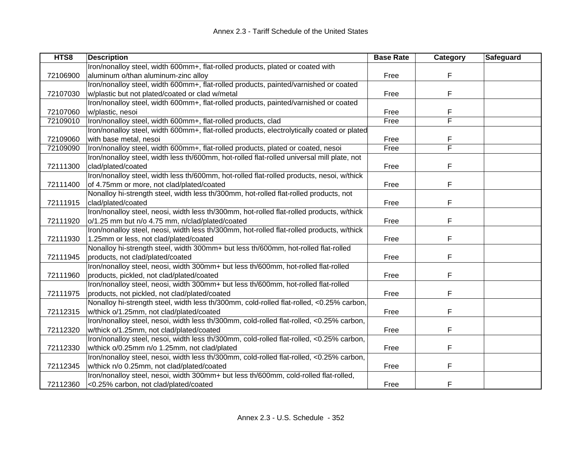| HTS8     | <b>Description</b>                                                                         | <b>Base Rate</b> | Category | Safeguard |
|----------|--------------------------------------------------------------------------------------------|------------------|----------|-----------|
|          | Iron/nonalloy steel, width 600mm+, flat-rolled products, plated or coated with             |                  |          |           |
| 72106900 | aluminum o/than aluminum-zinc alloy                                                        | Free             | F        |           |
|          | Iron/nonalloy steel, width 600mm+, flat-rolled products, painted/varnished or coated       |                  |          |           |
| 72107030 | w/plastic but not plated/coated or clad w/metal                                            | Free             | F        |           |
|          | Iron/nonalloy steel, width 600mm+, flat-rolled products, painted/varnished or coated       |                  |          |           |
| 72107060 | w/plastic, nesoi                                                                           | Free             | F        |           |
| 72109010 | Iron/nonalloy steel, width 600mm+, flat-rolled products, clad                              | Free             | F        |           |
|          | Iron/nonalloy steel, width 600mm+, flat-rolled products, electrolytically coated or plated |                  |          |           |
| 72109060 | with base metal, nesoi                                                                     | Free             | F        |           |
| 72109090 | Iron/nonalloy steel, width 600mm+, flat-rolled products, plated or coated, nesoi           | Free             | F        |           |
|          | Iron/nonalloy steel, width less th/600mm, hot-rolled flat-rolled universal mill plate, not |                  |          |           |
| 72111300 | clad/plated/coated                                                                         | Free             | F        |           |
|          | Iron/nonalloy steel, width less th/600mm, hot-rolled flat-rolled products, nesoi, w/thick  |                  |          |           |
| 72111400 | of 4.75mm or more, not clad/plated/coated                                                  | Free             | F        |           |
|          | Nonalloy hi-strength steel, width less th/300mm, hot-rolled flat-rolled products, not      |                  |          |           |
| 72111915 | clad/plated/coated                                                                         | Free             | F        |           |
|          | Iron/nonalloy steel, neosi, width less th/300mm, hot-rolled flat-rolled products, w/thick  |                  |          |           |
| 72111920 | o/1.25 mm but n/o 4.75 mm, n/clad/plated/coated                                            | Free             | F        |           |
|          | Iron/nonalloy steel, neosi, width less th/300mm, hot-rolled flat-rolled products, w/thick  |                  |          |           |
| 72111930 | 1.25mm or less, not clad/plated/coated                                                     | Free             | F        |           |
|          | Nonalloy hi-strength steel, width 300mm+ but less th/600mm, hot-rolled flat-rolled         |                  |          |           |
| 72111945 | products, not clad/plated/coated                                                           | Free             | F        |           |
|          | Iron/nonalloy steel, neosi, width 300mm+ but less th/600mm, hot-rolled flat-rolled         |                  |          |           |
| 72111960 | products, pickled, not clad/plated/coated                                                  | Free             | F        |           |
|          | Iron/nonalloy steel, neosi, width 300mm+ but less th/600mm, hot-rolled flat-rolled         |                  |          |           |
| 72111975 | products, not pickled, not clad/plated/coated                                              | Free             | F        |           |
|          | Nonalloy hi-strength steel, width less th/300mm, cold-rolled flat-rolled, <0.25% carbon,   |                  |          |           |
| 72112315 | w/thick o/1.25mm, not clad/plated/coated                                                   | Free             | F        |           |
|          | Iron/nonalloy steel, nesoi, width less th/300mm, cold-rolled flat-rolled, <0.25% carbon,   |                  |          |           |
| 72112320 | w/thick o/1.25mm, not clad/plated/coated                                                   | Free             | F        |           |
|          | Iron/nonalloy steel, nesoi, width less th/300mm, cold-rolled flat-rolled, <0.25% carbon,   |                  |          |           |
| 72112330 | w/thick o/0.25mm n/o 1.25mm, not clad/plated                                               | Free             | F.       |           |
|          | Iron/nonalloy steel, nesoi, width less th/300mm, cold-rolled flat-rolled, <0.25% carbon,   |                  |          |           |
| 72112345 | w/thick n/o 0.25mm, not clad/plated/coated                                                 | Free             | F        |           |
|          | Iron/nonalloy steel, nesoi, width 300mm+ but less th/600mm, cold-rolled flat-rolled,       |                  |          |           |
| 72112360 | <0.25% carbon, not clad/plated/coated                                                      | Free             | F        |           |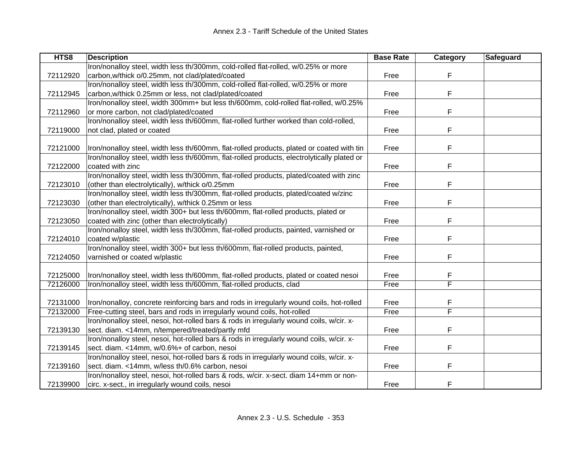| HTS <sub>8</sub> | <b>Description</b>                                                                         | <b>Base Rate</b> | Category | Safeguard |
|------------------|--------------------------------------------------------------------------------------------|------------------|----------|-----------|
|                  | Iron/nonalloy steel, width less th/300mm, cold-rolled flat-rolled, w/0.25% or more         |                  |          |           |
| 72112920         | carbon, w/thick o/0.25mm, not clad/plated/coated                                           | Free             | F        |           |
|                  | Iron/nonalloy steel, width less th/300mm, cold-rolled flat-rolled, w/0.25% or more         |                  |          |           |
| 72112945         | carbon, w/thick 0.25mm or less, not clad/plated/coated                                     | Free             | F        |           |
|                  | Iron/nonalloy steel, width 300mm+ but less th/600mm, cold-rolled flat-rolled, w/0.25%      |                  |          |           |
| 72112960         | or more carbon, not clad/plated/coated                                                     | Free             | F        |           |
|                  | Iron/nonalloy steel, width less th/600mm, flat-rolled further worked than cold-rolled,     |                  |          |           |
| 72119000         | not clad, plated or coated                                                                 | Free             | F        |           |
|                  |                                                                                            |                  |          |           |
| 72121000         | Iron/nonalloy steel, width less th/600mm, flat-rolled products, plated or coated with tin  | Free             | F        |           |
|                  | Iron/nonalloy steel, width less th/600mm, flat-rolled products, electrolytically plated or |                  |          |           |
| 72122000         | coated with zinc                                                                           | Free             | F        |           |
|                  | Iron/nonalloy steel, width less th/300mm, flat-rolled products, plated/coated with zinc    |                  |          |           |
| 72123010         | (other than electrolytically), w/thick o/0.25mm                                            | Free             | F        |           |
|                  | Iron/nonalloy steel, width less th/300mm, flat-rolled products, plated/coated w/zinc       |                  |          |           |
| 72123030         | (other than electrolytically), w/thick 0.25mm or less                                      | Free             | F        |           |
|                  | Iron/nonalloy steel, width 300+ but less th/600mm, flat-rolled products, plated or         |                  |          |           |
| 72123050         | coated with zinc (other than electrolytically)                                             | Free             | F        |           |
|                  | Iron/nonalloy steel, width less th/300mm, flat-rolled products, painted, varnished or      |                  |          |           |
| 72124010         | coated w/plastic                                                                           | Free             | F        |           |
|                  | Iron/nonalloy steel, width 300+ but less th/600mm, flat-rolled products, painted,          |                  |          |           |
| 72124050         | varnished or coated w/plastic                                                              | Free             | F        |           |
|                  |                                                                                            |                  |          |           |
| 72125000         | Iron/nonalloy steel, width less th/600mm, flat-rolled products, plated or coated nesoi     | Free             | F        |           |
| 72126000         | Iron/nonalloy steel, width less th/600mm, flat-rolled products, clad                       | Free             | F        |           |
|                  |                                                                                            |                  |          |           |
| 72131000         | Iron/nonalloy, concrete reinforcing bars and rods in irregularly wound coils, hot-rolled   | Free             | F        |           |
| 72132000         | Free-cutting steel, bars and rods in irregularly wound coils, hot-rolled                   | Free             | F        |           |
|                  | Iron/nonalloy steel, nesoi, hot-rolled bars & rods in irregularly wound coils, w/cir. x-   |                  |          |           |
| 72139130         | sect. diam. <14mm, n/tempered/treated/partly mfd                                           | Free             | F        |           |
|                  | Iron/nonalloy steel, nesoi, hot-rolled bars & rods in irregularly wound coils, w/cir. x-   |                  |          |           |
| 72139145         | sect. diam. <14mm, w/0.6%+ of carbon, nesoi                                                | Free             | F.       |           |
|                  | Iron/nonalloy steel, nesoi, hot-rolled bars & rods in irregularly wound coils, w/cir. x-   |                  |          |           |
| 72139160         | sect. diam. <14mm, w/less th/0.6% carbon, nesoi                                            | Free             | F        |           |
|                  | Iron/nonalloy steel, nesoi, hot-rolled bars & rods, w/cir. x-sect. diam 14+mm or non-      |                  |          |           |
| 72139900         | circ. x-sect., in irregularly wound coils, nesoi                                           | Free             | F        |           |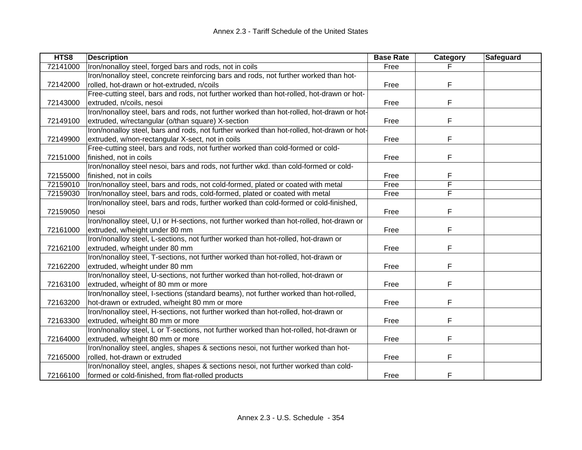| HTS8     | <b>Description</b>                                                                        | <b>Base Rate</b> | Category | Safeguard |
|----------|-------------------------------------------------------------------------------------------|------------------|----------|-----------|
| 72141000 | Iron/nonalloy steel, forged bars and rods, not in coils                                   | Free             |          |           |
|          | Iron/nonalloy steel, concrete reinforcing bars and rods, not further worked than hot-     |                  |          |           |
| 72142000 | rolled, hot-drawn or hot-extruded, n/coils                                                | Free             | F        |           |
|          | Free-cutting steel, bars and rods, not further worked than hot-rolled, hot-drawn or hot-  |                  |          |           |
| 72143000 | extruded, n/coils, nesoi                                                                  | Free             | F        |           |
|          | Iron/nonalloy steel, bars and rods, not further worked than hot-rolled, hot-drawn or hot- |                  |          |           |
| 72149100 | extruded, w/rectangular (o/than square) X-section                                         | Free             | F        |           |
|          | Iron/nonalloy steel, bars and rods, not further worked than hot-rolled, hot-drawn or hot- |                  |          |           |
| 72149900 | extruded, w/non-rectangular X-sect, not in coils                                          | Free             | F        |           |
|          | Free-cutting steel, bars and rods, not further worked than cold-formed or cold-           |                  |          |           |
| 72151000 | finished, not in coils                                                                    | Free             | F        |           |
|          | Iron/nonalloy steel nesoi, bars and rods, not further wkd. than cold-formed or cold-      |                  |          |           |
| 72155000 | finished, not in coils                                                                    | Free             | F        |           |
| 72159010 | Iron/nonalloy steel, bars and rods, not cold-formed, plated or coated with metal          | Free             | F        |           |
| 72159030 | Iron/nonalloy steel, bars and rods, cold-formed, plated or coated with metal              | Free             | F        |           |
|          | Iron/nonalloy steel, bars and rods, further worked than cold-formed or cold-finished,     |                  |          |           |
| 72159050 | nesoi                                                                                     | Free             | F        |           |
|          | Iron/nonalloy steel, U,I or H-sections, not further worked than hot-rolled, hot-drawn or  |                  |          |           |
| 72161000 | extruded, w/height under 80 mm                                                            | Free             | F        |           |
|          | Iron/nonalloy steel, L-sections, not further worked than hot-rolled, hot-drawn or         |                  |          |           |
| 72162100 | extruded, w/height under 80 mm                                                            | Free             | F        |           |
|          | Iron/nonalloy steel, T-sections, not further worked than hot-rolled, hot-drawn or         |                  |          |           |
| 72162200 | extruded, w/height under 80 mm                                                            | Free             | F        |           |
|          | Iron/nonalloy steel, U-sections, not further worked than hot-rolled, hot-drawn or         |                  |          |           |
| 72163100 | extruded, w/height of 80 mm or more                                                       | Free             | F        |           |
|          | Iron/nonalloy steel, I-sections (standard beams), not further worked than hot-rolled,     |                  |          |           |
| 72163200 | hot-drawn or extruded, w/height 80 mm or more                                             | Free             | F        |           |
|          | Iron/nonalloy steel, H-sections, not further worked than hot-rolled, hot-drawn or         |                  |          |           |
| 72163300 | extruded, w/height 80 mm or more                                                          | Free             | F        |           |
|          | Iron/nonalloy steel, L or T-sections, not further worked than hot-rolled, hot-drawn or    |                  |          |           |
| 72164000 | extruded, w/height 80 mm or more                                                          | Free             | F        |           |
|          | Iron/nonalloy steel, angles, shapes & sections nesoi, not further worked than hot-        |                  |          |           |
| 72165000 | rolled, hot-drawn or extruded                                                             | Free             | F        |           |
|          | Iron/nonalloy steel, angles, shapes & sections nesoi, not further worked than cold-       |                  |          |           |
| 72166100 | formed or cold-finished, from flat-rolled products                                        | Free             | F        |           |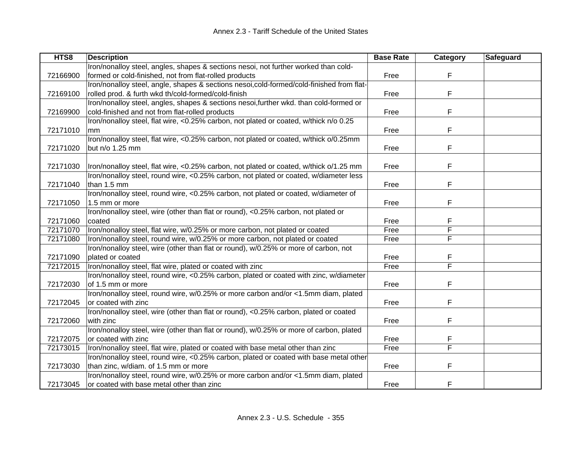| HTS8     | <b>Description</b>                                                                       | <b>Base Rate</b> | Category                | Safeguard |
|----------|------------------------------------------------------------------------------------------|------------------|-------------------------|-----------|
|          | Iron/nonalloy steel, angles, shapes & sections nesoi, not further worked than cold-      |                  |                         |           |
| 72166900 | formed or cold-finished, not from flat-rolled products                                   | Free             | F                       |           |
|          | Iron/nonalloy steel, angle, shapes & sections nesoi,cold-formed/cold-finished from flat- |                  |                         |           |
| 72169100 | rolled prod. & furth wkd th/cold-formed/cold-finish                                      | Free             | F                       |           |
|          | Iron/nonalloy steel, angles, shapes & sections nesoi, further wkd. than cold-formed or   |                  |                         |           |
| 72169900 | cold-finished and not from flat-rolled products                                          | Free             | F                       |           |
|          | Iron/nonalloy steel, flat wire, <0.25% carbon, not plated or coated, w/thick n/o 0.25    |                  |                         |           |
| 72171010 | mm                                                                                       | Free             | F                       |           |
|          | Iron/nonalloy steel, flat wire, <0.25% carbon, not plated or coated, w/thick o/0.25mm    |                  |                         |           |
| 72171020 | but n/o 1.25 mm                                                                          | Free             | F                       |           |
|          |                                                                                          |                  |                         |           |
| 72171030 | Iron/nonalloy steel, flat wire, <0.25% carbon, not plated or coated, w/thick o/1.25 mm   | Free             | F                       |           |
|          | Iron/nonalloy steel, round wire, <0.25% carbon, not plated or coated, w/diameter less    |                  |                         |           |
| 72171040 | than 1.5 mm                                                                              | Free             | F                       |           |
|          | Iron/nonalloy steel, round wire, <0.25% carbon, not plated or coated, w/diameter of      |                  |                         |           |
| 72171050 | 1.5 mm or more                                                                           | Free             | F                       |           |
|          | Iron/nonalloy steel, wire (other than flat or round), <0.25% carbon, not plated or       |                  |                         |           |
| 72171060 | coated                                                                                   | Free             | F                       |           |
| 72171070 | Iron/nonalloy steel, flat wire, w/0.25% or more carbon, not plated or coated             | Free             | F                       |           |
| 72171080 | Iron/nonalloy steel, round wire, w/0.25% or more carbon, not plated or coated            | Free             | F                       |           |
|          | Iron/nonalloy steel, wire (other than flat or round), w/0.25% or more of carbon, not     |                  |                         |           |
| 72171090 | plated or coated                                                                         | Free             |                         |           |
| 72172015 | Iron/nonalloy steel, flat wire, plated or coated with zinc                               | Free             | F                       |           |
|          | Iron/nonalloy steel, round wire, <0.25% carbon, plated or coated with zinc, w/diameter   |                  |                         |           |
| 72172030 | of 1.5 mm or more                                                                        | Free             | F                       |           |
|          | Iron/nonalloy steel, round wire, w/0.25% or more carbon and/or <1.5mm diam, plated       |                  |                         |           |
| 72172045 | or coated with zinc                                                                      | Free             | F                       |           |
|          | Iron/nonalloy steel, wire (other than flat or round), <0.25% carbon, plated or coated    |                  |                         |           |
| 72172060 | with zinc                                                                                | Free             | F                       |           |
|          | Iron/nonalloy steel, wire (other than flat or round), w/0.25% or more of carbon, plated  |                  |                         |           |
| 72172075 | or coated with zinc                                                                      | Free             |                         |           |
| 72173015 | Iron/nonalloy steel, flat wire, plated or coated with base metal other than zinc         | Free             | $\overline{\mathsf{F}}$ |           |
|          | Iron/nonalloy steel, round wire, <0.25% carbon, plated or coated with base metal other   |                  |                         |           |
| 72173030 | than zinc, w/diam. of 1.5 mm or more                                                     | Free             | F                       |           |
|          | Iron/nonalloy steel, round wire, w/0.25% or more carbon and/or <1.5mm diam, plated       |                  |                         |           |
| 72173045 | or coated with base metal other than zinc                                                | Free             | F                       |           |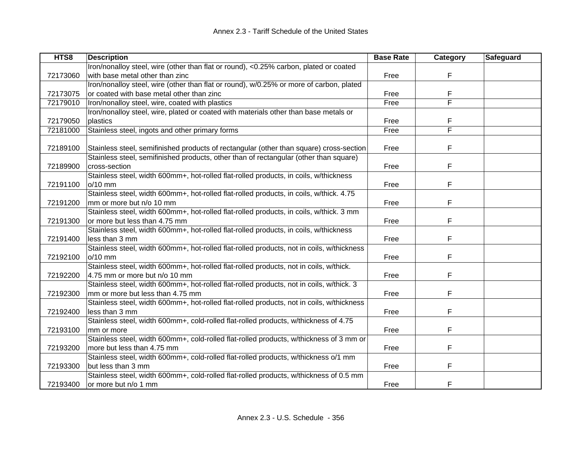| HTS8     | <b>Description</b>                                                                        | <b>Base Rate</b> | Category | Safeguard |
|----------|-------------------------------------------------------------------------------------------|------------------|----------|-----------|
|          | Iron/nonalloy steel, wire (other than flat or round), <0.25% carbon, plated or coated     |                  |          |           |
| 72173060 | with base metal other than zinc                                                           | Free             | F        |           |
|          | Iron/nonalloy steel, wire (other than flat or round), w/0.25% or more of carbon, plated   |                  |          |           |
| 72173075 | or coated with base metal other than zinc                                                 | Free             | F        |           |
| 72179010 | Iron/nonalloy steel, wire, coated with plastics                                           | Free             | F        |           |
|          | Iron/nonalloy steel, wire, plated or coated with materials other than base metals or      |                  |          |           |
| 72179050 | plastics                                                                                  | Free             | F        |           |
| 72181000 | Stainless steel, ingots and other primary forms                                           | Free             | F        |           |
|          |                                                                                           |                  |          |           |
| 72189100 | Stainless steel, semifinished products of rectangular (other than square) cross-section   | Free             | F        |           |
|          | Stainless steel, semifinished products, other than of rectangular (other than square)     |                  |          |           |
| 72189900 | cross-section                                                                             | Free             | F        |           |
|          | Stainless steel, width 600mm+, hot-rolled flat-rolled products, in coils, w/thickness     |                  |          |           |
| 72191100 | o/10 mm                                                                                   | Free             | F        |           |
|          | Stainless steel, width 600mm+, hot-rolled flat-rolled products, in coils, w/thick. 4.75   |                  |          |           |
| 72191200 | mm or more but n/o 10 mm                                                                  | Free             | F        |           |
|          | Stainless steel, width 600mm+, hot-rolled flat-rolled products, in coils, w/thick. 3 mm   |                  |          |           |
| 72191300 | or more but less than 4.75 mm                                                             | Free             | F        |           |
|          | Stainless steel, width 600mm+, hot-rolled flat-rolled products, in coils, w/thickness     |                  |          |           |
| 72191400 | less than 3 mm                                                                            | Free             | F        |           |
|          | Stainless steel, width 600mm+, hot-rolled flat-rolled products, not in coils, w/thickness |                  |          |           |
| 72192100 | o/10 mm                                                                                   | Free             | F        |           |
|          | Stainless steel, width 600mm+, hot-rolled flat-rolled products, not in coils, w/thick.    |                  |          |           |
| 72192200 | 4.75 mm or more but n/o 10 mm                                                             | Free             | F        |           |
|          | Stainless steel, width 600mm+, hot-rolled flat-rolled products, not in coils, w/thick. 3  |                  |          |           |
| 72192300 | mm or more but less than 4.75 mm                                                          | Free             | F        |           |
|          | Stainless steel, width 600mm+, hot-rolled flat-rolled products, not in coils, w/thickness |                  |          |           |
| 72192400 | less than 3 mm                                                                            | Free             | F        |           |
|          | Stainless steel, width 600mm+, cold-rolled flat-rolled products, w/thickness of 4.75      |                  |          |           |
| 72193100 | mm or more                                                                                | Free             | F        |           |
|          | Stainless steel, width 600mm+, cold-rolled flat-rolled products, w/thickness of 3 mm or   |                  |          |           |
| 72193200 | more but less than 4.75 mm                                                                | Free             | F.       |           |
|          | Stainless steel, width 600mm+, cold-rolled flat-rolled products, w/thickness o/1 mm       |                  |          |           |
| 72193300 | but less than 3 mm                                                                        | Free             | F        |           |
|          | Stainless steel, width 600mm+, cold-rolled flat-rolled products, w/thickness of 0.5 mm    |                  |          |           |
| 72193400 | or more but n/o 1 mm                                                                      | Free             | F        |           |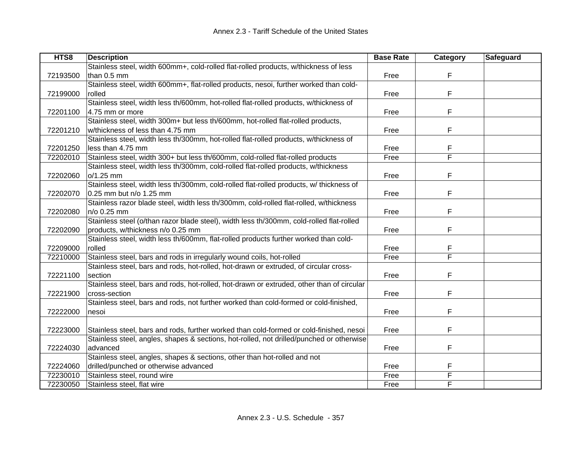| HTS8     | <b>Description</b>                                                                        | <b>Base Rate</b> | Category | Safeguard |
|----------|-------------------------------------------------------------------------------------------|------------------|----------|-----------|
|          | Stainless steel, width 600mm+, cold-rolled flat-rolled products, w/thickness of less      |                  |          |           |
| 72193500 | than 0.5 mm                                                                               | Free             | F        |           |
|          | Stainless steel, width 600mm+, flat-rolled products, nesoi, further worked than cold-     |                  |          |           |
| 72199000 | rolled                                                                                    | Free             | F        |           |
|          | Stainless steel, width less th/600mm, hot-rolled flat-rolled products, w/thickness of     |                  |          |           |
| 72201100 | 4.75 mm or more                                                                           | Free             | F        |           |
|          | Stainless steel, width 300m+ but less th/600mm, hot-rolled flat-rolled products,          |                  |          |           |
| 72201210 | w/thickness of less than 4.75 mm                                                          | Free             | F        |           |
|          | Stainless steel, width less th/300mm, hot-rolled flat-rolled products, w/thickness of     |                  |          |           |
| 72201250 | less than 4.75 mm                                                                         | Free             | F        |           |
| 72202010 | Stainless steel, width 300+ but less th/600mm, cold-rolled flat-rolled products           | Free             | F        |           |
|          | Stainless steel, width less th/300mm, cold-rolled flat-rolled products, w/thickness       |                  |          |           |
| 72202060 | o/1.25 mm                                                                                 | Free             | F        |           |
|          | Stainless steel, width less th/300mm, cold-rolled flat-rolled products, w/ thickness of   |                  |          |           |
| 72202070 | 0.25 mm but n/o 1.25 mm                                                                   | Free             | F        |           |
|          | Stainless razor blade steel, width less th/300mm, cold-rolled flat-rolled, w/thickness    |                  |          |           |
| 72202080 | n/o 0.25 mm                                                                               | Free             | F        |           |
|          | Stainless steel (o/than razor blade steel), width less th/300mm, cold-rolled flat-rolled  |                  |          |           |
| 72202090 | products, w/thickness n/o 0.25 mm                                                         | Free             | F        |           |
|          | Stainless steel, width less th/600mm, flat-rolled products further worked than cold-      |                  |          |           |
| 72209000 | rolled                                                                                    | Free             |          |           |
| 72210000 | Stainless steel, bars and rods in irregularly wound coils, hot-rolled                     | Free             | F        |           |
|          | Stainless steel, bars and rods, hot-rolled, hot-drawn or extruded, of circular cross-     |                  |          |           |
| 72221100 | section                                                                                   | Free             | F        |           |
|          | Stainless steel, bars and rods, hot-rolled, hot-drawn or extruded, other than of circular |                  |          |           |
| 72221900 | cross-section                                                                             | Free             | F        |           |
|          | Stainless steel, bars and rods, not further worked than cold-formed or cold-finished,     |                  |          |           |
| 72222000 | nesoi                                                                                     | Free             | F        |           |
|          |                                                                                           |                  |          |           |
| 72223000 | Stainless steel, bars and rods, further worked than cold-formed or cold-finished, nesoi   | Free             | F        |           |
|          | Stainless steel, angles, shapes & sections, hot-rolled, not drilled/punched or otherwise  |                  |          |           |
| 72224030 | advanced                                                                                  | Free             | F        |           |
|          | Stainless steel, angles, shapes & sections, other than hot-rolled and not                 |                  |          |           |
| 72224060 | drilled/punched or otherwise advanced                                                     | Free             |          |           |
| 72230010 | Stainless steel, round wire                                                               | Free             | F        |           |
| 72230050 | Stainless steel, flat wire                                                                | Free             | F        |           |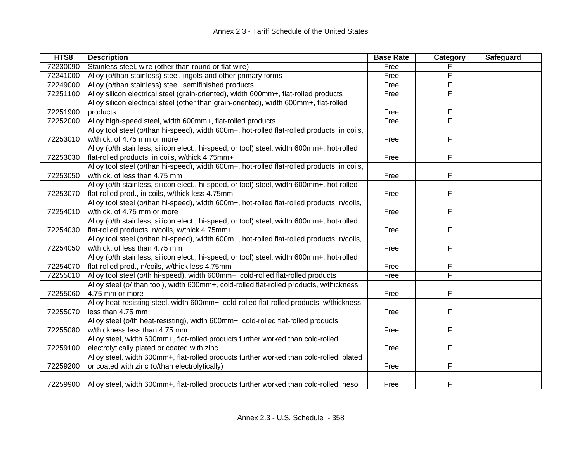| HTS8     | <b>Description</b>                                                                          | <b>Base Rate</b> | Category | Safeguard |
|----------|---------------------------------------------------------------------------------------------|------------------|----------|-----------|
| 72230090 | Stainless steel, wire (other than round or flat wire)                                       | Free             |          |           |
| 72241000 | Alloy (o/than stainless) steel, ingots and other primary forms                              | Free             | F        |           |
| 72249000 | Alloy (o/than stainless) steel, semifinished products                                       | Free             |          |           |
| 72251100 | Alloy silicon electrical steel (grain-oriented), width 600mm+, flat-rolled products         | Free             | F        |           |
|          | Alloy silicon electrical steel (other than grain-oriented), width 600mm+, flat-rolled       |                  |          |           |
| 72251900 | products                                                                                    | Free             | F        |           |
| 72252000 | Alloy high-speed steel, width 600mm+, flat-rolled products                                  | Free             | F        |           |
|          | Alloy tool steel (o/than hi-speed), width 600m+, hot-rolled flat-rolled products, in coils, |                  |          |           |
| 72253010 | w/thick. of 4.75 mm or more                                                                 | Free             | F        |           |
|          | Alloy (o/th stainless, silicon elect., hi-speed, or tool) steel, width 600mm+, hot-rolled   |                  |          |           |
| 72253030 | flat-rolled products, in coils, w/thick 4.75mm+                                             | Free             | F        |           |
|          | Alloy tool steel (o/than hi-speed), width 600m+, hot-rolled flat-rolled products, in coils, |                  |          |           |
| 72253050 | w/thick. of less than 4.75 mm                                                               | Free             | F        |           |
|          | Alloy (o/th stainless, silicon elect., hi-speed, or tool) steel, width 600mm+, hot-rolled   |                  |          |           |
| 72253070 | flat-rolled prod., in coils, w/thick less 4.75mm                                            | Free             | F        |           |
|          | Alloy tool steel (o/than hi-speed), width 600m+, hot-rolled flat-rolled products, n/coils,  |                  |          |           |
| 72254010 | w/thick. of 4.75 mm or more                                                                 | Free             | F        |           |
|          | Alloy (o/th stainless, silicon elect., hi-speed, or tool) steel, width 600mm+, hot-rolled   |                  |          |           |
| 72254030 | flat-rolled products, n/coils, w/thick 4.75mm+                                              | Free             | F        |           |
|          | Alloy tool steel (o/than hi-speed), width 600m+, hot-rolled flat-rolled products, n/coils,  |                  |          |           |
| 72254050 | w/thick. of less than 4.75 mm                                                               | Free             | F        |           |
|          | Alloy (o/th stainless, silicon elect., hi-speed, or tool) steel, width 600mm+, hot-rolled   |                  |          |           |
| 72254070 | flat-rolled prod., n/coils, w/thick less 4.75mm                                             | Free             | F        |           |
| 72255010 | Alloy tool steel (o/th hi-speed), width 600mm+, cold-rolled flat-rolled products            | Free             | F        |           |
|          | Alloy steel (o/ than tool), width 600mm+, cold-rolled flat-rolled products, w/thickness     |                  |          |           |
| 72255060 | 4.75 mm or more                                                                             | Free             | F        |           |
|          | Alloy heat-resisting steel, width 600mm+, cold-rolled flat-rolled products, w/thickness     |                  |          |           |
| 72255070 | less than 4.75 mm                                                                           | Free             | F        |           |
|          | Alloy steel (o/th heat-resisting), width 600mm+, cold-rolled flat-rolled products,          |                  |          |           |
| 72255080 | w/thickness less than 4.75 mm                                                               | Free             | F        |           |
|          | Alloy steel, width 600mm+, flat-rolled products further worked than cold-rolled,            |                  |          |           |
| 72259100 | electrolytically plated or coated with zinc                                                 | Free             | F        |           |
|          | Alloy steel, width 600mm+, flat-rolled products further worked than cold-rolled, plated     |                  |          |           |
| 72259200 | or coated with zinc (o/than electrolytically)                                               | Free             | F        |           |
| 72259900 | Alloy steel, width 600mm+, flat-rolled products further worked than cold-rolled, nesoi      | Free             | F        |           |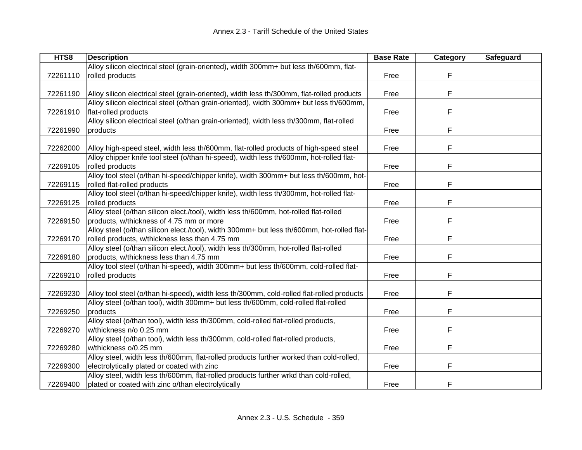| HTS8     | <b>Description</b>                                                                         | <b>Base Rate</b> | Category | Safeguard |
|----------|--------------------------------------------------------------------------------------------|------------------|----------|-----------|
|          | Alloy silicon electrical steel (grain-oriented), width 300mm+ but less th/600mm, flat-     |                  |          |           |
| 72261110 | rolled products                                                                            | Free             | F        |           |
|          |                                                                                            |                  |          |           |
| 72261190 | Alloy silicon electrical steel (grain-oriented), width less th/300mm, flat-rolled products | Free             | F        |           |
|          | Alloy silicon electrical steel (o/than grain-oriented), width 300mm+ but less th/600mm,    |                  |          |           |
| 72261910 | flat-rolled products                                                                       | Free             | F        |           |
|          | Alloy silicon electrical steel (o/than grain-oriented), width less th/300mm, flat-rolled   |                  |          |           |
| 72261990 | products                                                                                   | Free             | F        |           |
|          |                                                                                            |                  |          |           |
| 72262000 | Alloy high-speed steel, width less th/600mm, flat-rolled products of high-speed steel      | Free             | F        |           |
|          | Alloy chipper knife tool steel (o/than hi-speed), width less th/600mm, hot-rolled flat-    |                  |          |           |
| 72269105 | rolled products                                                                            | Free             | F        |           |
|          | Alloy tool steel (o/than hi-speed/chipper knife), width 300mm+ but less th/600mm, hot-     |                  |          |           |
| 72269115 | rolled flat-rolled products                                                                | Free             | F        |           |
|          | Alloy tool steel (o/than hi-speed/chipper knife), width less th/300mm, hot-rolled flat-    |                  |          |           |
| 72269125 | rolled products                                                                            | Free             | F        |           |
|          | Alloy steel (o/than silicon elect./tool), width less th/600mm, hot-rolled flat-rolled      |                  |          |           |
| 72269150 | products, w/thickness of 4.75 mm or more                                                   | Free             | F        |           |
|          | Alloy steel (o/than silicon elect./tool), width 300mm+ but less th/600mm, hot-rolled flat- |                  |          |           |
| 72269170 | rolled products, w/thickness less than 4.75 mm                                             | Free             | F        |           |
|          | Alloy steel (o/than silicon elect./tool), width less th/300mm, hot-rolled flat-rolled      |                  |          |           |
| 72269180 | products, w/thickness less than 4.75 mm                                                    | Free             | F        |           |
|          | Alloy tool steel (o/than hi-speed), width 300mm+ but less th/600mm, cold-rolled flat-      |                  |          |           |
| 72269210 | rolled products                                                                            | Free             | F        |           |
|          |                                                                                            |                  |          |           |
| 72269230 | Alloy tool steel (o/than hi-speed), width less th/300mm, cold-rolled flat-rolled products  | Free             | F        |           |
|          | Alloy steel (o/than tool), width 300mm+ but less th/600mm, cold-rolled flat-rolled         |                  |          |           |
| 72269250 | products                                                                                   | Free             | F        |           |
|          | Alloy steel (o/than tool), width less th/300mm, cold-rolled flat-rolled products,          |                  |          |           |
| 72269270 | w/thickness n/o 0.25 mm                                                                    | Free             | F        |           |
|          | Alloy steel (o/than tool), width less th/300mm, cold-rolled flat-rolled products,          |                  |          |           |
| 72269280 | w/thickness o/0.25 mm                                                                      | Free             | F        |           |
|          | Alloy steel, width less th/600mm, flat-rolled products further worked than cold-rolled,    |                  |          |           |
| 72269300 | electrolytically plated or coated with zinc                                                | Free             | F        |           |
|          | Alloy steel, width less th/600mm, flat-rolled products further wrkd than cold-rolled,      |                  |          |           |
| 72269400 | plated or coated with zinc o/than electrolytically                                         | Free             | F        |           |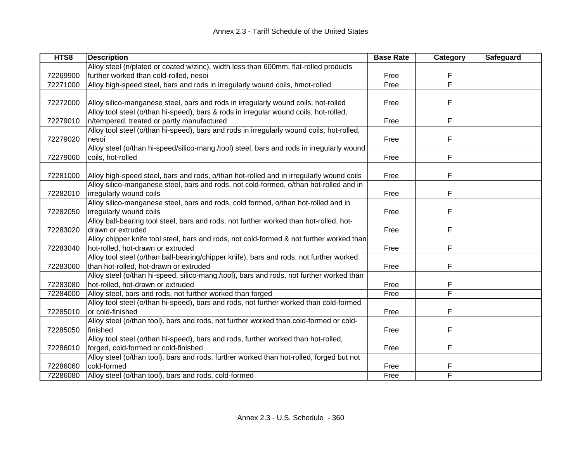| HTS8     | <b>Description</b>                                                                        | <b>Base Rate</b> | <b>Category</b> | Safeguard |
|----------|-------------------------------------------------------------------------------------------|------------------|-----------------|-----------|
|          | Alloy steel (n/plated or coated w/zinc), width less than 600mm, flat-rolled products      |                  |                 |           |
| 72269900 | further worked than cold-rolled, nesoi                                                    | Free             | F               |           |
| 72271000 | Alloy high-speed steel, bars and rods in irregularly wound coils, hmot-rolled             | Free             | F               |           |
|          |                                                                                           |                  |                 |           |
| 72272000 | Alloy silico-manganese steel, bars and rods in irregularly wound coils, hot-rolled        | Free             | F               |           |
|          | Alloy tool steel (o/than hi-speed), bars & rods in irregular wound coils, hot-rolled,     |                  |                 |           |
| 72279010 | n/tempered, treated or partly manufactured                                                | Free             | F               |           |
|          | Alloy tool steel (o/than hi-speed), bars and rods in irregularly wound coils, hot-rolled, |                  |                 |           |
| 72279020 | nesoi                                                                                     | Free             | F               |           |
|          | Alloy steel (o/than hi-speed/silico-mang./tool) steel, bars and rods in irregularly wound |                  |                 |           |
| 72279060 | coils, hot-rolled                                                                         | Free             | F               |           |
|          |                                                                                           |                  |                 |           |
| 72281000 | Alloy high-speed steel, bars and rods, o/than hot-rolled and in irregularly wound coils   | Free             | F               |           |
|          | Alloy silico-manganese steel, bars and rods, not cold-formed, o/than hot-rolled and in    |                  |                 |           |
| 72282010 | irregularly wound coils                                                                   | Free             | F               |           |
|          | Alloy silico-manganese steel, bars and rods, cold formed, o/than hot-rolled and in        |                  |                 |           |
| 72282050 | irregularly wound coils                                                                   | Free             | F               |           |
|          | Alloy ball-bearing tool steel, bars and rods, not further worked than hot-rolled, hot-    |                  |                 |           |
| 72283020 | drawn or extruded                                                                         | Free             | F               |           |
|          | Alloy chipper knife tool steel, bars and rods, not cold-formed & not further worked than  |                  |                 |           |
| 72283040 | hot-rolled, hot-drawn or extruded                                                         | Free             | F               |           |
|          | Alloy tool steel (o/than ball-bearing/chipper knife), bars and rods, not further worked   |                  |                 |           |
| 72283060 | than hot-rolled, hot-drawn or extruded                                                    | Free             | F               |           |
|          | Alloy steel (o/than hi-speed, silico-mang./tool), bars and rods, not further worked than  |                  |                 |           |
| 72283080 | hot-rolled, hot-drawn or extruded                                                         | Free             | F               |           |
| 72284000 | Alloy steel, bars and rods, not further worked than forged                                | Free             | F               |           |
|          | Alloy tool steel (o/than hi-speed), bars and rods, not further worked than cold-formed    |                  |                 |           |
| 72285010 | or cold-finished                                                                          | Free             | F               |           |
|          | Alloy steel (o/than tool), bars and rods, not further worked than cold-formed or cold-    |                  |                 |           |
| 72285050 | finished                                                                                  | Free             | F               |           |
|          | Alloy tool steel (o/than hi-speed), bars and rods, further worked than hot-rolled,        |                  |                 |           |
| 72286010 | forged, cold-formed or cold-finished                                                      | Free             | F               |           |
|          | Alloy steel (o/than tool), bars and rods, further worked than hot-rolled, forged but not  |                  |                 |           |
| 72286060 | cold-formed                                                                               | Free             | F               |           |
| 72286080 | Alloy steel (o/than tool), bars and rods, cold-formed                                     | Free             | F               |           |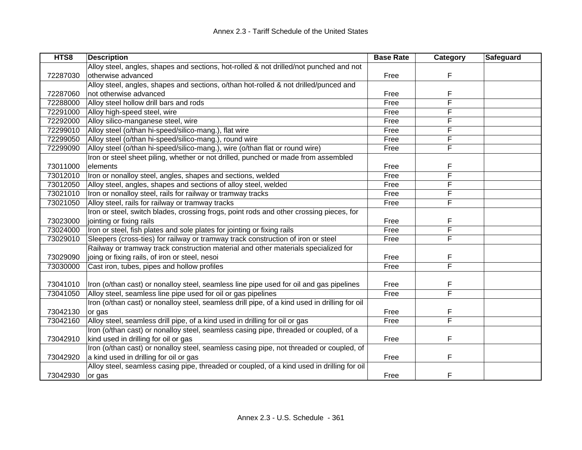| HTS8     | <b>Description</b>                                                                            | <b>Base Rate</b> | Category                | Safeguard |
|----------|-----------------------------------------------------------------------------------------------|------------------|-------------------------|-----------|
|          | Alloy steel, angles, shapes and sections, hot-rolled & not drilled/not punched and not        |                  |                         |           |
| 72287030 | otherwise advanced                                                                            | Free             | F                       |           |
|          | Alloy steel, angles, shapes and sections, o/than hot-rolled & not drilled/punced and          |                  |                         |           |
| 72287060 | not otherwise advanced                                                                        | Free             | F                       |           |
| 72288000 | Alloy steel hollow drill bars and rods                                                        | Free             | F                       |           |
| 72291000 | Alloy high-speed steel, wire                                                                  | Free             | F                       |           |
| 72292000 | Alloy silico-manganese steel, wire                                                            | Free             | F                       |           |
| 72299010 | Alloy steel (o/than hi-speed/silico-mang.), flat wire                                         | Free             | F                       |           |
| 72299050 | Alloy steel (o/than hi-speed/silico-mang.), round wire                                        | Free             | F                       |           |
| 72299090 | Alloy steel (o/than hi-speed/silico-mang.), wire (o/than flat or round wire)                  | Free             | F                       |           |
|          | Iron or steel sheet piling, whether or not drilled, punched or made from assembled            |                  |                         |           |
| 73011000 | elements                                                                                      | Free             | F                       |           |
| 73012010 | Iron or nonalloy steel, angles, shapes and sections, welded                                   | Free             | F                       |           |
| 73012050 | Alloy steel, angles, shapes and sections of alloy steel, welded                               | Free             | F                       |           |
| 73021010 | Iron or nonalloy steel, rails for railway or tramway tracks                                   | Free             | F                       |           |
| 73021050 | Alloy steel, rails for railway or tramway tracks                                              | Free             | F                       |           |
|          | Iron or steel, switch blades, crossing frogs, point rods and other crossing pieces, for       |                  |                         |           |
| 73023000 | jointing or fixing rails                                                                      | Free             | F                       |           |
| 73024000 | Iron or steel, fish plates and sole plates for jointing or fixing rails                       | Free             | F                       |           |
| 73029010 | Sleepers (cross-ties) for railway or tramway track construction of iron or steel              | Free             | F                       |           |
|          | Railway or tramway track construction material and other materials specialized for            |                  |                         |           |
| 73029090 | joing or fixing rails, of iron or steel, nesoi                                                | Free             | F                       |           |
| 73030000 | Cast iron, tubes, pipes and hollow profiles                                                   | Free             | $\overline{\mathsf{F}}$ |           |
|          |                                                                                               |                  |                         |           |
| 73041010 | Iron (o/than cast) or nonalloy steel, seamless line pipe used for oil and gas pipelines       | Free             | F                       |           |
| 73041050 | Alloy steel, seamless line pipe used for oil or gas pipelines                                 | Free             | F                       |           |
|          | Iron (o/than cast) or nonalloy steel, seamless drill pipe, of a kind used in drilling for oil |                  |                         |           |
| 73042130 | or gas                                                                                        | Free             | F                       |           |
| 73042160 | Alloy steel, seamless drill pipe, of a kind used in drilling for oil or gas                   | Free             | F                       |           |
|          | Iron (o/than cast) or nonalloy steel, seamless casing pipe, threaded or coupled, of a         |                  |                         |           |
| 73042910 | kind used in drilling for oil or gas                                                          | Free             | F                       |           |
|          | Iron (o/than cast) or nonalloy steel, seamless casing pipe, not threaded or coupled, of       |                  |                         |           |
| 73042920 | a kind used in drilling for oil or gas                                                        | Free             | F                       |           |
|          | Alloy steel, seamless casing pipe, threaded or coupled, of a kind used in drilling for oil    |                  |                         |           |
| 73042930 | or gas                                                                                        | Free             | F                       |           |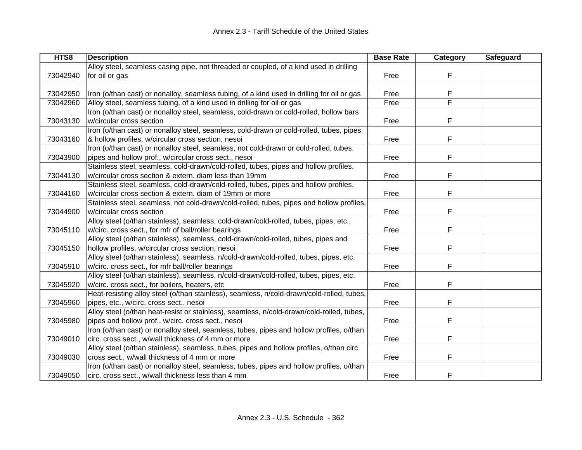| HTS8     | <b>Description</b>                                                                         | <b>Base Rate</b> | Category | <b>Safeguard</b> |
|----------|--------------------------------------------------------------------------------------------|------------------|----------|------------------|
|          | Alloy steel, seamless casing pipe, not threaded or coupled, of a kind used in drilling     |                  |          |                  |
| 73042940 | for oil or gas                                                                             | Free             | F        |                  |
|          |                                                                                            |                  |          |                  |
| 73042950 | Iron (o/than cast) or nonalloy, seamless tubing, of a kind used in drilling for oil or gas | Free             | F        |                  |
| 73042960 | Alloy steel, seamless tubing, of a kind used in drilling for oil or gas                    | Free             | F        |                  |
|          | Iron (o/than cast) or nonalloy steel, seamless, cold-drawn or cold-rolled, hollow bars     |                  |          |                  |
| 73043130 | w/circular cross section                                                                   | Free             | F        |                  |
|          | Iron (o/than cast) or nonalloy steel, seamless, cold-drawn or cold-rolled, tubes, pipes    |                  |          |                  |
| 73043160 | & hollow profiles, w/circular cross section, nesoi                                         | Free             | F        |                  |
|          | Iron (o/than cast) or nonalloy steel, seamless, not cold-drawn or cold-rolled, tubes,      |                  |          |                  |
| 73043900 | pipes and hollow prof., w/circular cross sect., nesoi                                      | Free             | F        |                  |
|          | Stainless steel, seamless, cold-drawn/cold-rolled, tubes, pipes and hollow profiles,       |                  |          |                  |
| 73044130 | w/circular cross section & extern. diam less than 19mm                                     | Free             | F        |                  |
|          | Stainless steel, seamless, cold-drawn/cold-rolled, tubes, pipes and hollow profiles,       |                  |          |                  |
| 73044160 | w/circular cross section & extern. diam of 19mm or more                                    | Free             | F        |                  |
|          | Stainless steel, seamless, not cold-drawn/cold-rolled, tubes, pipes and hollow profiles,   |                  |          |                  |
| 73044900 | w/circular cross section                                                                   | Free             | F        |                  |
|          | Alloy steel (o/than stainless), seamless, cold-drawn/cold-rolled, tubes, pipes, etc.,      |                  |          |                  |
| 73045110 | w/circ. cross sect., for mfr of ball/roller bearings                                       | Free             | F        |                  |
|          | Alloy steel (o/than stainless), seamless, cold-drawn/cold-rolled, tubes, pipes and         |                  |          |                  |
| 73045150 | hollow profiles, w/circular cross section, nesoi                                           | Free             | F        |                  |
|          | Alloy steel (o/than stainless), seamless, n/cold-drawn/cold-rolled, tubes, pipes, etc.     |                  |          |                  |
| 73045910 | w/circ. cross sect., for mfr ball/roller bearings                                          | Free             | F        |                  |
|          | Alloy steel (o/than stainless), seamless, n/cold-drawn/cold-rolled, tubes, pipes, etc.     |                  |          |                  |
| 73045920 | w/circ. cross sect., for boilers, heaters, etc                                             | Free             | F        |                  |
|          | Heat-resisting alloy steel (o/than stainless), seamless, n/cold-drawn/cold-rolled, tubes,  |                  |          |                  |
| 73045960 | pipes, etc., w/circ. cross sect., nesoi                                                    | Free             | F        |                  |
|          | Alloy steel (o/than heat-resist or stainless), seamless, n/cold-drawn/cold-rolled, tubes,  |                  |          |                  |
| 73045980 | pipes and hollow prof., w/circ. cross sect., nesoi                                         | Free             | F        |                  |
|          | Iron (o/than cast) or nonalloy steel, seamless, tubes, pipes and hollow profiles, o/than   |                  |          |                  |
| 73049010 | circ. cross sect., w/wall thickness of 4 mm or more                                        | Free             | F        |                  |
|          | Alloy steel (o/than stainless), seamless, tubes, pipes and hollow profiles, o/than circ.   |                  |          |                  |
| 73049030 | cross sect., w/wall thickness of 4 mm or more                                              | Free             | F        |                  |
|          | Iron (o/than cast) or nonalloy steel, seamless, tubes, pipes and hollow profiles, o/than   |                  |          |                  |
| 73049050 | circ. cross sect., w/wall thickness less than 4 mm                                         | Free             | F        |                  |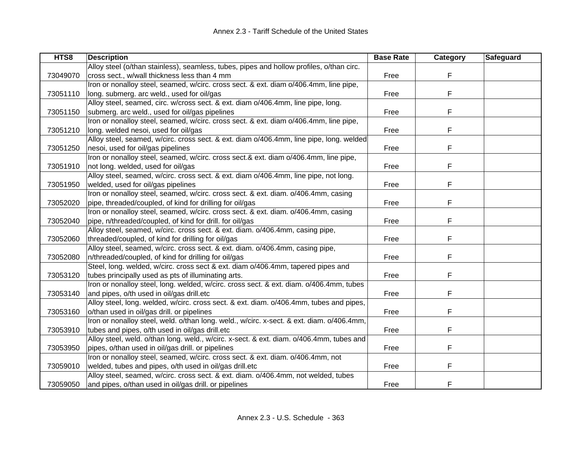| HTS8     | <b>Description</b>                                                                        | <b>Base Rate</b> | Category | Safeguard |
|----------|-------------------------------------------------------------------------------------------|------------------|----------|-----------|
|          | Alloy steel (o/than stainless), seamless, tubes, pipes and hollow profiles, o/than circ.  |                  |          |           |
| 73049070 | cross sect., w/wall thickness less than 4 mm                                              | Free             | F        |           |
|          | Iron or nonalloy steel, seamed, w/circ. cross sect. & ext. diam o/406.4mm, line pipe,     |                  |          |           |
| 73051110 | long. submerg. arc weld., used for oil/gas                                                | Free             | F        |           |
|          | Alloy steel, seamed, circ. w/cross sect. & ext. diam o/406.4mm, line pipe, long.          |                  |          |           |
| 73051150 | submerg. arc weld., used for oil/gas pipelines                                            | Free             | F        |           |
|          | Iron or nonalloy steel, seamed, w/circ. cross sect. & ext. diam o/406.4mm, line pipe,     |                  |          |           |
| 73051210 | long. welded nesoi, used for oil/gas                                                      | Free             | F        |           |
|          | Alloy steel, seamed, w/circ. cross sect. & ext. diam o/406.4mm, line pipe, long. welded   |                  |          |           |
| 73051250 | nesoi, used for oil/gas pipelines                                                         | Free             | F        |           |
|          | Iron or nonalloy steel, seamed, w/circ. cross sect.& ext. diam o/406.4mm, line pipe,      |                  |          |           |
| 73051910 | not long. welded, used for oil/gas                                                        | Free             | F        |           |
|          | Alloy steel, seamed, w/circ. cross sect. & ext. diam o/406.4mm, line pipe, not long.      |                  |          |           |
| 73051950 | welded, used for oil/gas pipelines                                                        | Free             | F        |           |
|          | Iron or nonalloy steel, seamed, w/circ. cross sect. & ext. diam. o/406.4mm, casing        |                  |          |           |
| 73052020 | pipe, threaded/coupled, of kind for drilling for oil/gas                                  | Free             | F        |           |
|          | Iron or nonalloy steel, seamed, w/circ. cross sect. & ext. diam. o/406.4mm, casing        |                  |          |           |
| 73052040 | pipe, n/threaded/coupled, of kind for drill. for oil/gas                                  | Free             | F        |           |
|          | Alloy steel, seamed, w/circ. cross sect. & ext. diam. o/406.4mm, casing pipe,             |                  |          |           |
| 73052060 | threaded/coupled, of kind for drilling for oil/gas                                        | Free             | F        |           |
|          | Alloy steel, seamed, w/circ. cross sect. & ext. diam. o/406.4mm, casing pipe,             |                  |          |           |
| 73052080 | n/threaded/coupled, of kind for drilling for oil/gas                                      | Free             | F        |           |
|          | Steel, long. welded, w/circ. cross sect & ext. diam o/406.4mm, tapered pipes and          |                  |          |           |
| 73053120 | tubes principally used as pts of illuminating arts.                                       | Free             | F        |           |
|          | Iron or nonalloy steel, long. welded, w/circ. cross sect. & ext. diam. o/406.4mm, tubes   |                  |          |           |
| 73053140 | and pipes, o/th used in oil/gas drill.etc                                                 | Free             | F        |           |
|          | Alloy steel, long. welded, w/circ. cross sect. & ext. diam. o/406.4mm, tubes and pipes,   |                  |          |           |
| 73053160 | o/than used in oil/gas drill. or pipelines                                                | Free             | F        |           |
|          | Iron or nonalloy steel, weld. o/than long. weld., w/circ. x-sect. & ext. diam. o/406.4mm, |                  |          |           |
| 73053910 | tubes and pipes, o/th used in oil/gas drill.etc                                           | Free             | F        |           |
|          | Alloy steel, weld. o/than long. weld., w/circ. x-sect. & ext. diam. o/406.4mm, tubes and  |                  |          |           |
| 73053950 | pipes, o/than used in oil/gas drill. or pipelines                                         | Free             | F.       |           |
|          | Iron or nonalloy steel, seamed, w/circ. cross sect. & ext. diam. o/406.4mm, not           |                  |          |           |
| 73059010 | welded, tubes and pipes, o/th used in oil/gas drill.etc                                   | Free             | F        |           |
|          | Alloy steel, seamed, w/circ. cross sect. & ext. diam. o/406.4mm, not welded, tubes        |                  |          |           |
| 73059050 | and pipes, o/than used in oil/gas drill. or pipelines                                     | Free             | F        |           |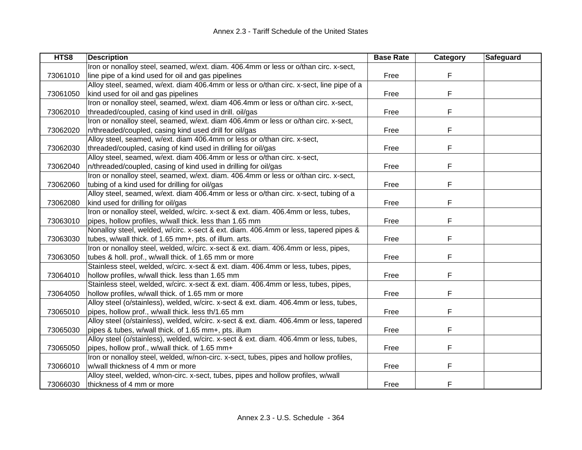| HTS8     | <b>Description</b>                                                                      | <b>Base Rate</b> | Category | <b>Safeguard</b> |
|----------|-----------------------------------------------------------------------------------------|------------------|----------|------------------|
|          | Iron or nonalloy steel, seamed, w/ext. diam. 406.4mm or less or o/than circ. x-sect,    |                  |          |                  |
| 73061010 | line pipe of a kind used for oil and gas pipelines                                      | Free             | F        |                  |
|          | Alloy steel, seamed, w/ext. diam 406.4mm or less or o/than circ. x-sect, line pipe of a |                  |          |                  |
| 73061050 | kind used for oil and gas pipelines                                                     | Free             | F        |                  |
|          | Iron or nonalloy steel, seamed, w/ext. diam 406.4mm or less or o/than circ. x-sect,     |                  |          |                  |
| 73062010 | threaded/coupled, casing of kind used in drill. oil/gas                                 | Free             | F        |                  |
|          | Iron or nonalloy steel, seamed, w/ext. diam 406.4mm or less or o/than circ. x-sect,     |                  |          |                  |
| 73062020 | n/threaded/coupled, casing kind used drill for oil/gas                                  | Free             | F        |                  |
|          | Alloy steel, seamed, w/ext. diam 406.4mm or less or o/than circ. x-sect,                |                  |          |                  |
| 73062030 | threaded/coupled, casing of kind used in drilling for oil/gas                           | Free             | F        |                  |
|          | Alloy steel, seamed, w/ext. diam 406.4mm or less or o/than circ. x-sect,                |                  |          |                  |
| 73062040 | n/threaded/coupled, casing of kind used in drilling for oil/gas                         | Free             | F        |                  |
|          | Iron or nonalloy steel, seamed, w/ext. diam. 406.4mm or less or o/than circ. x-sect,    |                  |          |                  |
| 73062060 | tubing of a kind used for drilling for oil/gas                                          | Free             | F        |                  |
|          | Alloy steel, seamed, w/ext. diam 406.4mm or less or o/than circ. x-sect, tubing of a    |                  |          |                  |
| 73062080 | kind used for drilling for oil/gas                                                      | Free             | F        |                  |
|          | Iron or nonalloy steel, welded, w/circ. x-sect & ext. diam. 406.4mm or less, tubes,     |                  |          |                  |
| 73063010 | pipes, hollow profiles, w/wall thick. less than 1.65 mm                                 | Free             | F        |                  |
|          | Nonalloy steel, welded, w/circ. x-sect & ext. diam. 406.4mm or less, tapered pipes &    |                  |          |                  |
| 73063030 | tubes, w/wall thick. of 1.65 mm+, pts. of illum. arts.                                  | Free             | F        |                  |
|          | Iron or nonalloy steel, welded, w/circ. x-sect & ext. diam. 406.4mm or less, pipes,     |                  |          |                  |
| 73063050 | tubes & holl. prof., w/wall thick. of 1.65 mm or more                                   | Free             | F        |                  |
|          | Stainless steel, welded, w/circ. x-sect & ext. diam. 406.4mm or less, tubes, pipes,     |                  |          |                  |
| 73064010 | hollow profiles, w/wall thick. less than 1.65 mm                                        | Free             | F        |                  |
|          | Stainless steel, welded, w/circ. x-sect & ext. diam. 406.4mm or less, tubes, pipes,     |                  |          |                  |
| 73064050 | hollow profiles, w/wall thick. of 1.65 mm or more                                       | Free             | F        |                  |
|          | Alloy steel (o/stainless), welded, w/circ. x-sect & ext. diam. 406.4mm or less, tubes,  |                  |          |                  |
| 73065010 | pipes, hollow prof., w/wall thick. less th/1.65 mm                                      | Free             | F        |                  |
|          | Alloy steel (o/stainless), welded, w/circ. x-sect & ext. diam. 406.4mm or less, tapered |                  |          |                  |
| 73065030 | pipes & tubes, w/wall thick. of 1.65 mm+, pts. illum                                    | Free             | F        |                  |
|          | Alloy steel (o/stainless), welded, w/circ. x-sect & ext. diam. 406.4mm or less, tubes,  |                  |          |                  |
| 73065050 | pipes, hollow prof., w/wall thick. of 1.65 mm+                                          | Free             | F        |                  |
|          | Iron or nonalloy steel, welded, w/non-circ. x-sect, tubes, pipes and hollow profiles,   |                  |          |                  |
| 73066010 | w/wall thickness of 4 mm or more                                                        | Free             | F        |                  |
|          | Alloy steel, welded, w/non-circ. x-sect, tubes, pipes and hollow profiles, w/wall       |                  |          |                  |
| 73066030 | thickness of 4 mm or more                                                               | Free             | F        |                  |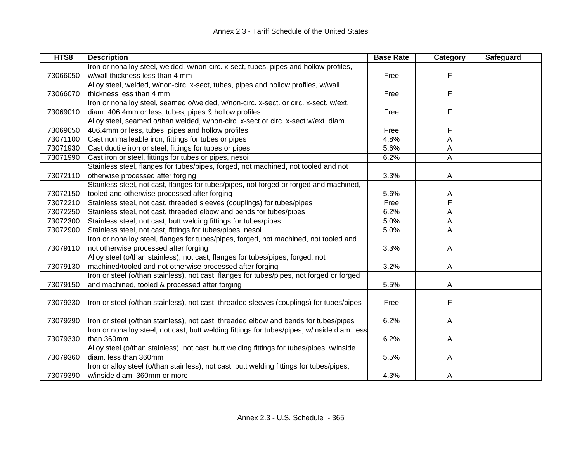| HTS8     | <b>Description</b>                                                                           | <b>Base Rate</b> | Category | <b>Safeguard</b> |
|----------|----------------------------------------------------------------------------------------------|------------------|----------|------------------|
|          | Iron or nonalloy steel, welded, w/non-circ. x-sect, tubes, pipes and hollow profiles,        |                  |          |                  |
| 73066050 | w/wall thickness less than 4 mm                                                              | Free             | F        |                  |
|          | Alloy steel, welded, w/non-circ. x-sect, tubes, pipes and hollow profiles, w/wall            |                  |          |                  |
| 73066070 | thickness less than 4 mm                                                                     | Free             | F        |                  |
|          | Iron or nonalloy steel, seamed o/welded, w/non-circ. x-sect. or circ. x-sect. w/ext.         |                  |          |                  |
| 73069010 | diam. 406.4mm or less, tubes, pipes & hollow profiles                                        | Free             | F        |                  |
|          | Alloy steel, seamed o/than welded, w/non-circ. x-sect or circ. x-sect w/ext. diam.           |                  |          |                  |
| 73069050 | 406.4mm or less, tubes, pipes and hollow profiles                                            | Free             | F        |                  |
| 73071100 | Cast nonmalleable iron, fittings for tubes or pipes                                          | 4.8%             | A        |                  |
| 73071930 | Cast ductile iron or steel, fittings for tubes or pipes                                      | 5.6%             | A        |                  |
| 73071990 | Cast iron or steel, fittings for tubes or pipes, nesoi                                       | 6.2%             | A        |                  |
|          | Stainless steel, flanges for tubes/pipes, forged, not machined, not tooled and not           |                  |          |                  |
| 73072110 | otherwise processed after forging                                                            | 3.3%             | A        |                  |
|          | Stainless steel, not cast, flanges for tubes/pipes, not forged or forged and machined,       |                  |          |                  |
| 73072150 | tooled and otherwise processed after forging                                                 | 5.6%             | A        |                  |
| 73072210 | Stainless steel, not cast, threaded sleeves (couplings) for tubes/pipes                      | Free             | F        |                  |
| 73072250 | Stainless steel, not cast, threaded elbow and bends for tubes/pipes                          | 6.2%             | A        |                  |
| 73072300 | Stainless steel, not cast, butt welding fittings for tubes/pipes                             | 5.0%             | A        |                  |
| 73072900 | Stainless steel, not cast, fittings for tubes/pipes, nesoi                                   | 5.0%             | A        |                  |
|          | Iron or nonalloy steel, flanges for tubes/pipes, forged, not machined, not tooled and        |                  |          |                  |
| 73079110 | not otherwise processed after forging                                                        | 3.3%             | A        |                  |
|          | Alloy steel (o/than stainless), not cast, flanges for tubes/pipes, forged, not               |                  |          |                  |
| 73079130 | machined/tooled and not otherwise processed after forging                                    | 3.2%             | A        |                  |
|          | Iron or steel (o/than stainless), not cast, flanges for tubes/pipes, not forged or forged    |                  |          |                  |
| 73079150 | and machined, tooled & processed after forging                                               | 5.5%             | A        |                  |
|          |                                                                                              |                  |          |                  |
| 73079230 | Iron or steel (o/than stainless), not cast, threaded sleeves (couplings) for tubes/pipes     | Free             | F        |                  |
|          |                                                                                              |                  |          |                  |
| 73079290 | Iron or steel (o/than stainless), not cast, threaded elbow and bends for tubes/pipes         | 6.2%             | A        |                  |
|          | Iron or nonalloy steel, not cast, butt welding fittings for tubes/pipes, w/inside diam. less |                  |          |                  |
| 73079330 | than 360mm                                                                                   | 6.2%             | A        |                  |
|          | Alloy steel (o/than stainless), not cast, butt welding fittings for tubes/pipes, w/inside    |                  |          |                  |
| 73079360 | diam. less than 360mm                                                                        | 5.5%             | A        |                  |
|          | Iron or alloy steel (o/than stainless), not cast, butt welding fittings for tubes/pipes,     |                  |          |                  |
| 73079390 | w/inside diam. 360mm or more                                                                 | 4.3%             | A        |                  |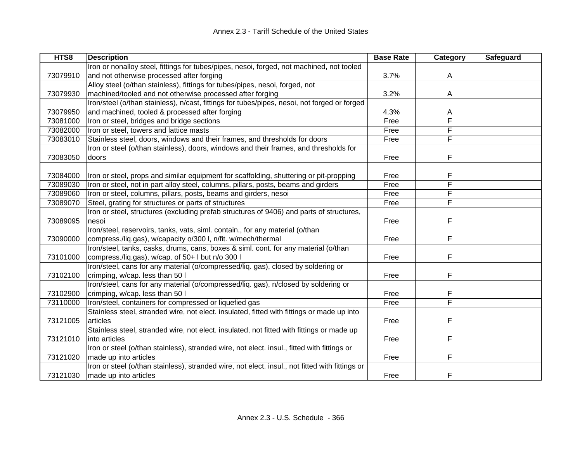| HTS8     | <b>Description</b>                                                                              | <b>Base Rate</b> | <b>Category</b>         | Safeguard |
|----------|-------------------------------------------------------------------------------------------------|------------------|-------------------------|-----------|
|          | Iron or nonalloy steel, fittings for tubes/pipes, nesoi, forged, not machined, not tooled       |                  |                         |           |
| 73079910 | and not otherwise processed after forging                                                       | 3.7%             | A                       |           |
|          | Alloy steel (o/than stainless), fittings for tubes/pipes, nesoi, forged, not                    |                  |                         |           |
| 73079930 | machined/tooled and not otherwise processed after forging                                       | 3.2%             | A                       |           |
|          | Iron/steel (o/than stainless), n/cast, fittings for tubes/pipes, nesoi, not forged or forged    |                  |                         |           |
| 73079950 | and machined, tooled & processed after forging                                                  | 4.3%             | A                       |           |
| 73081000 | Iron or steel, bridges and bridge sections                                                      | Free             | F                       |           |
| 73082000 | Iron or steel, towers and lattice masts                                                         | Free             | F                       |           |
| 73083010 | Stainless steel, doors, windows and their frames, and thresholds for doors                      | Free             | F                       |           |
|          | Iron or steel (o/than stainless), doors, windows and their frames, and thresholds for           |                  |                         |           |
| 73083050 | doors                                                                                           | Free             | F                       |           |
|          |                                                                                                 |                  |                         |           |
| 73084000 | Iron or steel, props and similar equipment for scaffolding, shuttering or pit-propping          | Free             | F                       |           |
| 73089030 | Iron or steel, not in part alloy steel, columns, pillars, posts, beams and girders              | Free             | F                       |           |
| 73089060 | Iron or steel, columns, pillars, posts, beams and girders, nesoi                                | Free             | F                       |           |
| 73089070 | Steel, grating for structures or parts of structures                                            | Free             | F                       |           |
|          | Iron or steel, structures (excluding prefab structures of 9406) and parts of structures,        |                  |                         |           |
| 73089095 | nesoi                                                                                           | Free             | F                       |           |
|          | Iron/steel, reservoirs, tanks, vats, siml. contain., for any material (o/than                   |                  |                         |           |
| 73090000 | compress./liq.gas), w/capacity o/300 l, n/fit. w/mech/thermal                                   | Free             | F                       |           |
|          | Iron/steel, tanks, casks, drums, cans, boxes & siml. cont. for any material (o/than             |                  |                         |           |
| 73101000 | compress./liq.gas), w/cap. of 50+ I but n/o 300 I                                               | Free             | F                       |           |
|          | Iron/steel, cans for any material (o/compressed/liq. gas), closed by soldering or               |                  |                         |           |
| 73102100 | crimping, w/cap. less than 50 l                                                                 | Free             | F                       |           |
|          | Iron/steel, cans for any material (o/compressed/liq. gas), n/closed by soldering or             |                  |                         |           |
| 73102900 | crimping, w/cap. less than 50 l                                                                 | Free             | F                       |           |
| 73110000 | Iron/steel, containers for compressed or liquefied gas                                          | Free             | $\overline{\mathsf{F}}$ |           |
|          | Stainless steel, stranded wire, not elect. insulated, fitted with fittings or made up into      |                  |                         |           |
| 73121005 | articles                                                                                        | Free             | F                       |           |
|          | Stainless steel, stranded wire, not elect. insulated, not fitted with fittings or made up       |                  |                         |           |
| 73121010 | into articles                                                                                   | Free             | F                       |           |
|          | Iron or steel (o/than stainless), stranded wire, not elect. insul., fitted with fittings or     |                  |                         |           |
| 73121020 | made up into articles                                                                           | Free             | F                       |           |
|          | Iron or steel (o/than stainless), stranded wire, not elect. insul., not fitted with fittings or |                  |                         |           |
| 73121030 | made up into articles                                                                           | Free             | F                       |           |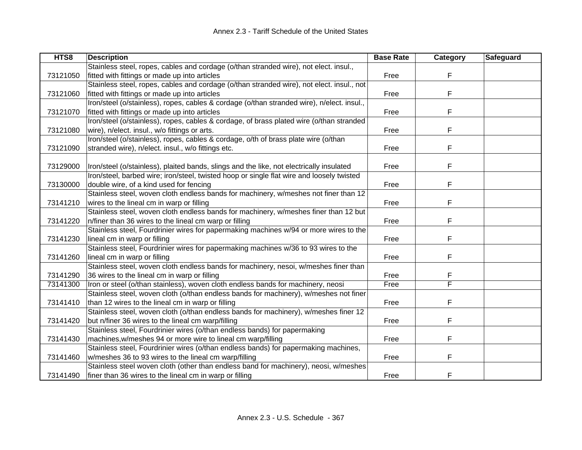| HTS8     | <b>Description</b>                                                                         | <b>Base Rate</b> | Category | Safeguard |
|----------|--------------------------------------------------------------------------------------------|------------------|----------|-----------|
|          | Stainless steel, ropes, cables and cordage (o/than stranded wire), not elect. insul.,      |                  |          |           |
| 73121050 | fitted with fittings or made up into articles                                              | Free             | F        |           |
|          | Stainless steel, ropes, cables and cordage (o/than stranded wire), not elect. insul., not  |                  |          |           |
| 73121060 | fitted with fittings or made up into articles                                              | Free             | F        |           |
|          | Iron/steel (o/stainless), ropes, cables & cordage (o/than stranded wire), n/elect. insul., |                  |          |           |
| 73121070 | fitted with fittings or made up into articles                                              | Free             | F        |           |
|          | Iron/steel (o/stainless), ropes, cables & cordage, of brass plated wire (o/than stranded   |                  |          |           |
| 73121080 | wire), n/elect. insul., w/o fittings or arts.                                              | Free             | F        |           |
|          | Iron/steel (o/stainless), ropes, cables & cordage, o/th of brass plate wire (o/than        |                  |          |           |
| 73121090 | stranded wire), n/elect. insul., w/o fittings etc.                                         | Free             | F        |           |
|          |                                                                                            |                  |          |           |
| 73129000 | Iron/steel (o/stainless), plaited bands, slings and the like, not electrically insulated   | Free             | F        |           |
|          | Iron/steel, barbed wire; iron/steel, twisted hoop or single flat wire and loosely twisted  |                  |          |           |
| 73130000 | double wire, of a kind used for fencing                                                    | Free             | F        |           |
|          | Stainless steel, woven cloth endless bands for machinery, w/meshes not finer than 12       |                  |          |           |
| 73141210 | wires to the lineal cm in warp or filling                                                  | Free             | F        |           |
|          | Stainless steel, woven cloth endless bands for machinery, w/meshes finer than 12 but       |                  |          |           |
| 73141220 | n/finer than 36 wires to the lineal cm warp or filling                                     | Free             | F        |           |
|          | Stainless steel, Fourdrinier wires for papermaking machines w/94 or more wires to the      |                  |          |           |
| 73141230 | lineal cm in warp or filling                                                               | Free             | F        |           |
|          | Stainless steel, Fourdrinier wires for papermaking machines w/36 to 93 wires to the        |                  |          |           |
| 73141260 | lineal cm in warp or filling                                                               | Free             | F        |           |
|          | Stainless steel, woven cloth endless bands for machinery, nesoi, w/meshes finer than       |                  |          |           |
| 73141290 | 36 wires to the lineal cm in warp or filling                                               | Free             | F        |           |
| 73141300 | Iron or steel (o/than stainless), woven cloth endless bands for machinery, neosi           | Free             | F        |           |
|          | Stainless steel, woven cloth (o/than endless bands for machinery), w/meshes not finer      |                  |          |           |
| 73141410 | than 12 wires to the lineal cm in warp or filling                                          | Free             | F        |           |
|          | Stainless steel, woven cloth (o/than endless bands for machinery), w/meshes finer 12       |                  |          |           |
| 73141420 | but n/finer 36 wires to the lineal cm warp/filling                                         | Free             | F        |           |
|          | Stainless steel, Fourdrinier wires (o/than endless bands) for papermaking                  |                  |          |           |
| 73141430 | machines, w/meshes 94 or more wire to lineal cm warp/filling                               | Free             | F        |           |
|          | Stainless steel, Fourdrinier wires (o/than endless bands) for papermaking machines,        |                  |          |           |
| 73141460 | w/meshes 36 to 93 wires to the lineal cm warp/filling                                      | Free             | F        |           |
|          | Stainless steel woven cloth (other than endless band for machinery), neosi, w/meshes       |                  |          |           |
| 73141490 | finer than 36 wires to the lineal cm in warp or filling                                    | Free             | F        |           |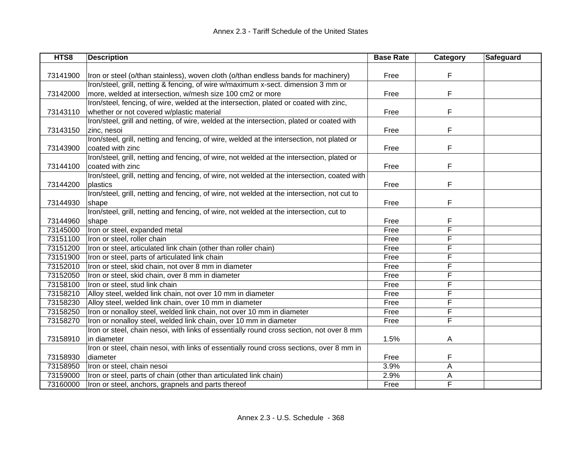| HTS8     | <b>Description</b>                                                                           | <b>Base Rate</b> | Category | Safeguard |
|----------|----------------------------------------------------------------------------------------------|------------------|----------|-----------|
|          |                                                                                              |                  |          |           |
| 73141900 | Iron or steel (o/than stainless), woven cloth (o/than endless bands for machinery)           | Free             | F        |           |
|          | Iron/steel, grill, netting & fencing, of wire w/maximum x-sect. dimension 3 mm or            |                  |          |           |
| 73142000 | more, welded at intersection, w/mesh size 100 cm2 or more                                    | Free             | F        |           |
|          | Iron/steel, fencing, of wire, welded at the intersection, plated or coated with zinc,        |                  |          |           |
| 73143110 | whether or not covered w/plastic material                                                    | Free             | F        |           |
|          | Iron/steel, grill and netting, of wire, welded at the intersection, plated or coated with    |                  |          |           |
| 73143150 | zinc, nesoi                                                                                  | Free             | F        |           |
|          | Iron/steel, grill, netting and fencing, of wire, welded at the intersection, not plated or   |                  |          |           |
| 73143900 | coated with zinc                                                                             | Free             | F        |           |
|          | Iron/steel, grill, netting and fencing, of wire, not welded at the intersection, plated or   |                  |          |           |
| 73144100 | coated with zinc                                                                             | Free             | F        |           |
|          | Iron/steel, grill, netting and fencing, of wire, not welded at the intersection, coated with |                  |          |           |
| 73144200 | plastics                                                                                     | Free             | F        |           |
|          | Iron/steel, grill, netting and fencing, of wire, not welded at the intersection, not cut to  |                  |          |           |
| 73144930 | shape                                                                                        | Free             | F        |           |
|          | Iron/steel, grill, netting and fencing, of wire, not welded at the intersection, cut to      |                  |          |           |
| 73144960 | shape                                                                                        | Free             | F        |           |
| 73145000 | Iron or steel, expanded metal                                                                | Free             | F        |           |
| 73151100 | Iron or steel, roller chain                                                                  | Free             | F        |           |
| 73151200 | Iron or steel, articulated link chain (other than roller chain)                              | Free             | F        |           |
| 73151900 | Iron or steel, parts of articulated link chain                                               | Free             | F        |           |
| 73152010 | Iron or steel, skid chain, not over 8 mm in diameter                                         | Free             | F        |           |
| 73152050 | Iron or steel, skid chain, over 8 mm in diameter                                             | Free             | F        |           |
| 73158100 | Iron or steel, stud link chain                                                               | Free             | F        |           |
| 73158210 | Alloy steel, welded link chain, not over 10 mm in diameter                                   | Free             | F        |           |
| 73158230 | Alloy steel, welded link chain, over 10 mm in diameter                                       | Free             | F        |           |
| 73158250 | Iron or nonalloy steel, welded link chain, not over 10 mm in diameter                        | Free             | F        |           |
| 73158270 | Iron or nonalloy steel, welded link chain, over 10 mm in diameter                            | Free             | F        |           |
|          | Iron or steel, chain nesoi, with links of essentially round cross section, not over 8 mm     |                  |          |           |
| 73158910 | in diameter                                                                                  | 1.5%             | A        |           |
|          | Iron or steel, chain nesoi, with links of essentially round cross sections, over 8 mm in     |                  |          |           |
| 73158930 | diameter                                                                                     | Free             | F        |           |
| 73158950 | Iron or steel, chain nesoi                                                                   | 3.9%             | Α        |           |
| 73159000 | Iron or steel, parts of chain (other than articulated link chain)                            | 2.9%             | Α        |           |
| 73160000 | Iron or steel, anchors, grapnels and parts thereof                                           | Free             | F        |           |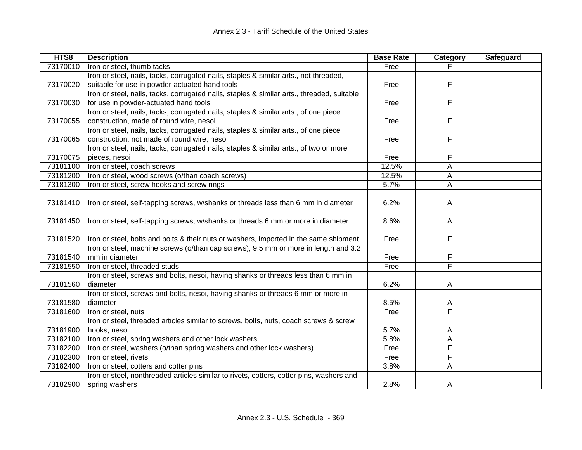| HTS8     | <b>Description</b>                                                                         | <b>Base Rate</b> | Category | Safeguard |
|----------|--------------------------------------------------------------------------------------------|------------------|----------|-----------|
| 73170010 | Iron or steel, thumb tacks                                                                 | Free             |          |           |
|          | Iron or steel, nails, tacks, corrugated nails, staples & similar arts., not threaded,      |                  |          |           |
| 73170020 | suitable for use in powder-actuated hand tools                                             | Free             | F        |           |
|          | Iron or steel, nails, tacks, corrugated nails, staples & similar arts., threaded, suitable |                  |          |           |
| 73170030 | for use in powder-actuated hand tools                                                      | Free             | F        |           |
|          | Iron or steel, nails, tacks, corrugated nails, staples & similar arts., of one piece       |                  |          |           |
| 73170055 | construction, made of round wire, nesoi                                                    | Free             | F        |           |
|          | Iron or steel, nails, tacks, corrugated nails, staples & similar arts., of one piece       |                  |          |           |
| 73170065 | construction, not made of round wire, nesoi                                                | Free             | F        |           |
|          | Iron or steel, nails, tacks, corrugated nails, staples & similar arts., of two or more     |                  |          |           |
| 73170075 | pieces, nesoi                                                                              | Free             | F        |           |
| 73181100 | Iron or steel, coach screws                                                                | 12.5%            | Α        |           |
| 73181200 | Iron or steel, wood screws (o/than coach screws)                                           | 12.5%            | A        |           |
| 73181300 | Iron or steel, screw hooks and screw rings                                                 | 5.7%             | A        |           |
|          |                                                                                            |                  |          |           |
| 73181410 | Iron or steel, self-tapping screws, w/shanks or threads less than 6 mm in diameter         | 6.2%             | A        |           |
|          |                                                                                            |                  |          |           |
| 73181450 | Iron or steel, self-tapping screws, w/shanks or threads 6 mm or more in diameter           | 8.6%             | A        |           |
|          |                                                                                            |                  |          |           |
| 73181520 | fron or steel, bolts and bolts & their nuts or washers, imported in the same shipment      | Free             | F        |           |
|          | Iron or steel, machine screws (o/than cap screws), 9.5 mm or more in length and 3.2        |                  |          |           |
| 73181540 | mm in diameter                                                                             | Free             | F        |           |
| 73181550 | Iron or steel, threaded studs                                                              | Free             | F        |           |
|          | Iron or steel, screws and bolts, nesoi, having shanks or threads less than 6 mm in         |                  |          |           |
| 73181560 | diameter                                                                                   | 6.2%             | A        |           |
|          | Iron or steel, screws and bolts, nesoi, having shanks or threads 6 mm or more in           |                  |          |           |
| 73181580 | diameter                                                                                   | 8.5%             | A        |           |
| 73181600 | Iron or steel, nuts                                                                        | Free             | F        |           |
|          | Iron or steel, threaded articles similar to screws, bolts, nuts, coach screws & screw      |                  |          |           |
| 73181900 | hooks, nesoi                                                                               | 5.7%             | A        |           |
| 73182100 | Iron or steel, spring washers and other lock washers                                       | 5.8%             | A        |           |
| 73182200 | Iron or steel, washers (o/than spring washers and other lock washers)                      | Free             | F        |           |
| 73182300 | Iron or steel, rivets                                                                      | Free             | F        |           |
| 73182400 | Iron or steel, cotters and cotter pins                                                     | 3.8%             | A        |           |
|          | Iron or steel, nonthreaded articles similar to rivets, cotters, cotter pins, washers and   |                  |          |           |
| 73182900 | spring washers                                                                             | 2.8%             | A        |           |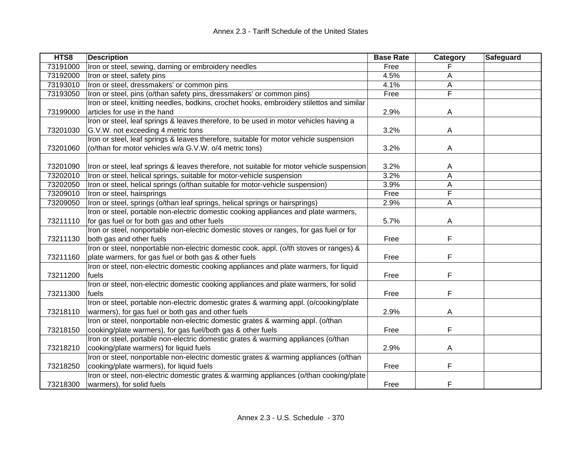| 73191000<br>Free<br>73192000<br>4.5%<br>Iron or steel, safety pins<br>A<br>4.1%<br>73193010<br>Iron or steel, dressmakers' or common pins<br>А<br>F<br>73193050<br>Iron or steel, pins (o/than safety pins, dressmakers' or common pins)<br>Free<br>Iron or steel, knitting needles, bodkins, crochet hooks, embroidery stilettos and similar<br>73199000<br>articles for use in the hand<br>$\overline{A}$<br>2.9%<br>Iron or steel, leaf springs & leaves therefore, to be used in motor vehicles having a<br>73201030<br>G.V.W. not exceeding 4 metric tons<br>3.2%<br>A<br>Iron or steel, leaf springs & leaves therefore, suitable for motor vehicle suspension<br>(o/than for motor vehicles w/a G.V.W. o/4 metric tons)<br>73201060<br>3.2%<br>Α<br>3.2%<br>73201090<br>A<br>Iron or steel, leaf springs & leaves therefore, not suitable for motor vehicle suspension<br>3.2%<br>73202010<br>Iron or steel, helical springs, suitable for motor-vehicle suspension<br>A<br>73202050<br>Iron or steel, helical springs (o/than suitable for motor-vehicle suspension)<br>3.9%<br>A<br>Free<br>F<br>73209010<br>Iron or steel, hairsprings<br>73209050<br>Iron or steel, springs (o/than leaf springs, helical springs or hairsprings)<br>A<br>2.9%<br>Iron or steel, portable non-electric domestic cooking appliances and plate warmers,<br>73211110<br>for gas fuel or for both gas and other fuels<br>5.7%<br>A<br>Iron or steel, nonportable non-electric domestic stoves or ranges, for gas fuel or for<br>F<br>both gas and other fuels<br>73211130<br>Free<br>Iron or steel, nonportable non-electric domestic cook. appl. (o/th stoves or ranges) &<br>F<br>73211160<br>plate warmers, for gas fuel or both gas & other fuels<br>Free<br>Iron or steel, non-electric domestic cooking appliances and plate warmers, for liquid<br>F<br>73211200<br>fuels<br>Free<br>Iron or steel, non-electric domestic cooking appliances and plate warmers, for solid<br>F<br>73211300<br>Free<br>fuels<br>Iron or steel, portable non-electric domestic grates & warming appl. (o/cooking/plate<br>warmers), for gas fuel or both gas and other fuels<br>73218110<br>2.9%<br>A<br>Iron or steel, nonportable non-electric domestic grates & warming appl. (o/than<br>F<br>cooking/plate warmers), for gas fuel/both gas & other fuels<br>73218150<br>Free<br>Iron or steel, portable non-electric domestic grates & warming appliances (o/than<br>cooking/plate warmers) for liquid fuels<br>73218210<br>2.9%<br>A<br>Iron or steel, nonportable non-electric domestic grates & warming appliances (o/than<br>73218250<br>cooking/plate warmers), for liquid fuels<br>F<br>Free<br>Iron or steel, non-electric domestic grates & warming appliances (o/than cooking/plate<br>F<br>73218300<br>warmers), for solid fuels<br>Free | HTS8 | <b>Description</b>                                   | <b>Base Rate</b> | Category | Safeguard |
|------------------------------------------------------------------------------------------------------------------------------------------------------------------------------------------------------------------------------------------------------------------------------------------------------------------------------------------------------------------------------------------------------------------------------------------------------------------------------------------------------------------------------------------------------------------------------------------------------------------------------------------------------------------------------------------------------------------------------------------------------------------------------------------------------------------------------------------------------------------------------------------------------------------------------------------------------------------------------------------------------------------------------------------------------------------------------------------------------------------------------------------------------------------------------------------------------------------------------------------------------------------------------------------------------------------------------------------------------------------------------------------------------------------------------------------------------------------------------------------------------------------------------------------------------------------------------------------------------------------------------------------------------------------------------------------------------------------------------------------------------------------------------------------------------------------------------------------------------------------------------------------------------------------------------------------------------------------------------------------------------------------------------------------------------------------------------------------------------------------------------------------------------------------------------------------------------------------------------------------------------------------------------------------------------------------------------------------------------------------------------------------------------------------------------------------------------------------------------------------------------------------------------------------------------------------------------------------------------------------------------------------------------------------------------------------------------------------------------------------------------------------------------------------------------------------------------------|------|------------------------------------------------------|------------------|----------|-----------|
|                                                                                                                                                                                                                                                                                                                                                                                                                                                                                                                                                                                                                                                                                                                                                                                                                                                                                                                                                                                                                                                                                                                                                                                                                                                                                                                                                                                                                                                                                                                                                                                                                                                                                                                                                                                                                                                                                                                                                                                                                                                                                                                                                                                                                                                                                                                                                                                                                                                                                                                                                                                                                                                                                                                                                                                                                                    |      | Iron or steel, sewing, darning or embroidery needles |                  |          |           |
|                                                                                                                                                                                                                                                                                                                                                                                                                                                                                                                                                                                                                                                                                                                                                                                                                                                                                                                                                                                                                                                                                                                                                                                                                                                                                                                                                                                                                                                                                                                                                                                                                                                                                                                                                                                                                                                                                                                                                                                                                                                                                                                                                                                                                                                                                                                                                                                                                                                                                                                                                                                                                                                                                                                                                                                                                                    |      |                                                      |                  |          |           |
|                                                                                                                                                                                                                                                                                                                                                                                                                                                                                                                                                                                                                                                                                                                                                                                                                                                                                                                                                                                                                                                                                                                                                                                                                                                                                                                                                                                                                                                                                                                                                                                                                                                                                                                                                                                                                                                                                                                                                                                                                                                                                                                                                                                                                                                                                                                                                                                                                                                                                                                                                                                                                                                                                                                                                                                                                                    |      |                                                      |                  |          |           |
|                                                                                                                                                                                                                                                                                                                                                                                                                                                                                                                                                                                                                                                                                                                                                                                                                                                                                                                                                                                                                                                                                                                                                                                                                                                                                                                                                                                                                                                                                                                                                                                                                                                                                                                                                                                                                                                                                                                                                                                                                                                                                                                                                                                                                                                                                                                                                                                                                                                                                                                                                                                                                                                                                                                                                                                                                                    |      |                                                      |                  |          |           |
|                                                                                                                                                                                                                                                                                                                                                                                                                                                                                                                                                                                                                                                                                                                                                                                                                                                                                                                                                                                                                                                                                                                                                                                                                                                                                                                                                                                                                                                                                                                                                                                                                                                                                                                                                                                                                                                                                                                                                                                                                                                                                                                                                                                                                                                                                                                                                                                                                                                                                                                                                                                                                                                                                                                                                                                                                                    |      |                                                      |                  |          |           |
|                                                                                                                                                                                                                                                                                                                                                                                                                                                                                                                                                                                                                                                                                                                                                                                                                                                                                                                                                                                                                                                                                                                                                                                                                                                                                                                                                                                                                                                                                                                                                                                                                                                                                                                                                                                                                                                                                                                                                                                                                                                                                                                                                                                                                                                                                                                                                                                                                                                                                                                                                                                                                                                                                                                                                                                                                                    |      |                                                      |                  |          |           |
|                                                                                                                                                                                                                                                                                                                                                                                                                                                                                                                                                                                                                                                                                                                                                                                                                                                                                                                                                                                                                                                                                                                                                                                                                                                                                                                                                                                                                                                                                                                                                                                                                                                                                                                                                                                                                                                                                                                                                                                                                                                                                                                                                                                                                                                                                                                                                                                                                                                                                                                                                                                                                                                                                                                                                                                                                                    |      |                                                      |                  |          |           |
|                                                                                                                                                                                                                                                                                                                                                                                                                                                                                                                                                                                                                                                                                                                                                                                                                                                                                                                                                                                                                                                                                                                                                                                                                                                                                                                                                                                                                                                                                                                                                                                                                                                                                                                                                                                                                                                                                                                                                                                                                                                                                                                                                                                                                                                                                                                                                                                                                                                                                                                                                                                                                                                                                                                                                                                                                                    |      |                                                      |                  |          |           |
|                                                                                                                                                                                                                                                                                                                                                                                                                                                                                                                                                                                                                                                                                                                                                                                                                                                                                                                                                                                                                                                                                                                                                                                                                                                                                                                                                                                                                                                                                                                                                                                                                                                                                                                                                                                                                                                                                                                                                                                                                                                                                                                                                                                                                                                                                                                                                                                                                                                                                                                                                                                                                                                                                                                                                                                                                                    |      |                                                      |                  |          |           |
|                                                                                                                                                                                                                                                                                                                                                                                                                                                                                                                                                                                                                                                                                                                                                                                                                                                                                                                                                                                                                                                                                                                                                                                                                                                                                                                                                                                                                                                                                                                                                                                                                                                                                                                                                                                                                                                                                                                                                                                                                                                                                                                                                                                                                                                                                                                                                                                                                                                                                                                                                                                                                                                                                                                                                                                                                                    |      |                                                      |                  |          |           |
|                                                                                                                                                                                                                                                                                                                                                                                                                                                                                                                                                                                                                                                                                                                                                                                                                                                                                                                                                                                                                                                                                                                                                                                                                                                                                                                                                                                                                                                                                                                                                                                                                                                                                                                                                                                                                                                                                                                                                                                                                                                                                                                                                                                                                                                                                                                                                                                                                                                                                                                                                                                                                                                                                                                                                                                                                                    |      |                                                      |                  |          |           |
|                                                                                                                                                                                                                                                                                                                                                                                                                                                                                                                                                                                                                                                                                                                                                                                                                                                                                                                                                                                                                                                                                                                                                                                                                                                                                                                                                                                                                                                                                                                                                                                                                                                                                                                                                                                                                                                                                                                                                                                                                                                                                                                                                                                                                                                                                                                                                                                                                                                                                                                                                                                                                                                                                                                                                                                                                                    |      |                                                      |                  |          |           |
|                                                                                                                                                                                                                                                                                                                                                                                                                                                                                                                                                                                                                                                                                                                                                                                                                                                                                                                                                                                                                                                                                                                                                                                                                                                                                                                                                                                                                                                                                                                                                                                                                                                                                                                                                                                                                                                                                                                                                                                                                                                                                                                                                                                                                                                                                                                                                                                                                                                                                                                                                                                                                                                                                                                                                                                                                                    |      |                                                      |                  |          |           |
|                                                                                                                                                                                                                                                                                                                                                                                                                                                                                                                                                                                                                                                                                                                                                                                                                                                                                                                                                                                                                                                                                                                                                                                                                                                                                                                                                                                                                                                                                                                                                                                                                                                                                                                                                                                                                                                                                                                                                                                                                                                                                                                                                                                                                                                                                                                                                                                                                                                                                                                                                                                                                                                                                                                                                                                                                                    |      |                                                      |                  |          |           |
|                                                                                                                                                                                                                                                                                                                                                                                                                                                                                                                                                                                                                                                                                                                                                                                                                                                                                                                                                                                                                                                                                                                                                                                                                                                                                                                                                                                                                                                                                                                                                                                                                                                                                                                                                                                                                                                                                                                                                                                                                                                                                                                                                                                                                                                                                                                                                                                                                                                                                                                                                                                                                                                                                                                                                                                                                                    |      |                                                      |                  |          |           |
|                                                                                                                                                                                                                                                                                                                                                                                                                                                                                                                                                                                                                                                                                                                                                                                                                                                                                                                                                                                                                                                                                                                                                                                                                                                                                                                                                                                                                                                                                                                                                                                                                                                                                                                                                                                                                                                                                                                                                                                                                                                                                                                                                                                                                                                                                                                                                                                                                                                                                                                                                                                                                                                                                                                                                                                                                                    |      |                                                      |                  |          |           |
|                                                                                                                                                                                                                                                                                                                                                                                                                                                                                                                                                                                                                                                                                                                                                                                                                                                                                                                                                                                                                                                                                                                                                                                                                                                                                                                                                                                                                                                                                                                                                                                                                                                                                                                                                                                                                                                                                                                                                                                                                                                                                                                                                                                                                                                                                                                                                                                                                                                                                                                                                                                                                                                                                                                                                                                                                                    |      |                                                      |                  |          |           |
|                                                                                                                                                                                                                                                                                                                                                                                                                                                                                                                                                                                                                                                                                                                                                                                                                                                                                                                                                                                                                                                                                                                                                                                                                                                                                                                                                                                                                                                                                                                                                                                                                                                                                                                                                                                                                                                                                                                                                                                                                                                                                                                                                                                                                                                                                                                                                                                                                                                                                                                                                                                                                                                                                                                                                                                                                                    |      |                                                      |                  |          |           |
|                                                                                                                                                                                                                                                                                                                                                                                                                                                                                                                                                                                                                                                                                                                                                                                                                                                                                                                                                                                                                                                                                                                                                                                                                                                                                                                                                                                                                                                                                                                                                                                                                                                                                                                                                                                                                                                                                                                                                                                                                                                                                                                                                                                                                                                                                                                                                                                                                                                                                                                                                                                                                                                                                                                                                                                                                                    |      |                                                      |                  |          |           |
|                                                                                                                                                                                                                                                                                                                                                                                                                                                                                                                                                                                                                                                                                                                                                                                                                                                                                                                                                                                                                                                                                                                                                                                                                                                                                                                                                                                                                                                                                                                                                                                                                                                                                                                                                                                                                                                                                                                                                                                                                                                                                                                                                                                                                                                                                                                                                                                                                                                                                                                                                                                                                                                                                                                                                                                                                                    |      |                                                      |                  |          |           |
|                                                                                                                                                                                                                                                                                                                                                                                                                                                                                                                                                                                                                                                                                                                                                                                                                                                                                                                                                                                                                                                                                                                                                                                                                                                                                                                                                                                                                                                                                                                                                                                                                                                                                                                                                                                                                                                                                                                                                                                                                                                                                                                                                                                                                                                                                                                                                                                                                                                                                                                                                                                                                                                                                                                                                                                                                                    |      |                                                      |                  |          |           |
|                                                                                                                                                                                                                                                                                                                                                                                                                                                                                                                                                                                                                                                                                                                                                                                                                                                                                                                                                                                                                                                                                                                                                                                                                                                                                                                                                                                                                                                                                                                                                                                                                                                                                                                                                                                                                                                                                                                                                                                                                                                                                                                                                                                                                                                                                                                                                                                                                                                                                                                                                                                                                                                                                                                                                                                                                                    |      |                                                      |                  |          |           |
|                                                                                                                                                                                                                                                                                                                                                                                                                                                                                                                                                                                                                                                                                                                                                                                                                                                                                                                                                                                                                                                                                                                                                                                                                                                                                                                                                                                                                                                                                                                                                                                                                                                                                                                                                                                                                                                                                                                                                                                                                                                                                                                                                                                                                                                                                                                                                                                                                                                                                                                                                                                                                                                                                                                                                                                                                                    |      |                                                      |                  |          |           |
|                                                                                                                                                                                                                                                                                                                                                                                                                                                                                                                                                                                                                                                                                                                                                                                                                                                                                                                                                                                                                                                                                                                                                                                                                                                                                                                                                                                                                                                                                                                                                                                                                                                                                                                                                                                                                                                                                                                                                                                                                                                                                                                                                                                                                                                                                                                                                                                                                                                                                                                                                                                                                                                                                                                                                                                                                                    |      |                                                      |                  |          |           |
|                                                                                                                                                                                                                                                                                                                                                                                                                                                                                                                                                                                                                                                                                                                                                                                                                                                                                                                                                                                                                                                                                                                                                                                                                                                                                                                                                                                                                                                                                                                                                                                                                                                                                                                                                                                                                                                                                                                                                                                                                                                                                                                                                                                                                                                                                                                                                                                                                                                                                                                                                                                                                                                                                                                                                                                                                                    |      |                                                      |                  |          |           |
|                                                                                                                                                                                                                                                                                                                                                                                                                                                                                                                                                                                                                                                                                                                                                                                                                                                                                                                                                                                                                                                                                                                                                                                                                                                                                                                                                                                                                                                                                                                                                                                                                                                                                                                                                                                                                                                                                                                                                                                                                                                                                                                                                                                                                                                                                                                                                                                                                                                                                                                                                                                                                                                                                                                                                                                                                                    |      |                                                      |                  |          |           |
|                                                                                                                                                                                                                                                                                                                                                                                                                                                                                                                                                                                                                                                                                                                                                                                                                                                                                                                                                                                                                                                                                                                                                                                                                                                                                                                                                                                                                                                                                                                                                                                                                                                                                                                                                                                                                                                                                                                                                                                                                                                                                                                                                                                                                                                                                                                                                                                                                                                                                                                                                                                                                                                                                                                                                                                                                                    |      |                                                      |                  |          |           |
|                                                                                                                                                                                                                                                                                                                                                                                                                                                                                                                                                                                                                                                                                                                                                                                                                                                                                                                                                                                                                                                                                                                                                                                                                                                                                                                                                                                                                                                                                                                                                                                                                                                                                                                                                                                                                                                                                                                                                                                                                                                                                                                                                                                                                                                                                                                                                                                                                                                                                                                                                                                                                                                                                                                                                                                                                                    |      |                                                      |                  |          |           |
|                                                                                                                                                                                                                                                                                                                                                                                                                                                                                                                                                                                                                                                                                                                                                                                                                                                                                                                                                                                                                                                                                                                                                                                                                                                                                                                                                                                                                                                                                                                                                                                                                                                                                                                                                                                                                                                                                                                                                                                                                                                                                                                                                                                                                                                                                                                                                                                                                                                                                                                                                                                                                                                                                                                                                                                                                                    |      |                                                      |                  |          |           |
|                                                                                                                                                                                                                                                                                                                                                                                                                                                                                                                                                                                                                                                                                                                                                                                                                                                                                                                                                                                                                                                                                                                                                                                                                                                                                                                                                                                                                                                                                                                                                                                                                                                                                                                                                                                                                                                                                                                                                                                                                                                                                                                                                                                                                                                                                                                                                                                                                                                                                                                                                                                                                                                                                                                                                                                                                                    |      |                                                      |                  |          |           |
|                                                                                                                                                                                                                                                                                                                                                                                                                                                                                                                                                                                                                                                                                                                                                                                                                                                                                                                                                                                                                                                                                                                                                                                                                                                                                                                                                                                                                                                                                                                                                                                                                                                                                                                                                                                                                                                                                                                                                                                                                                                                                                                                                                                                                                                                                                                                                                                                                                                                                                                                                                                                                                                                                                                                                                                                                                    |      |                                                      |                  |          |           |
|                                                                                                                                                                                                                                                                                                                                                                                                                                                                                                                                                                                                                                                                                                                                                                                                                                                                                                                                                                                                                                                                                                                                                                                                                                                                                                                                                                                                                                                                                                                                                                                                                                                                                                                                                                                                                                                                                                                                                                                                                                                                                                                                                                                                                                                                                                                                                                                                                                                                                                                                                                                                                                                                                                                                                                                                                                    |      |                                                      |                  |          |           |
|                                                                                                                                                                                                                                                                                                                                                                                                                                                                                                                                                                                                                                                                                                                                                                                                                                                                                                                                                                                                                                                                                                                                                                                                                                                                                                                                                                                                                                                                                                                                                                                                                                                                                                                                                                                                                                                                                                                                                                                                                                                                                                                                                                                                                                                                                                                                                                                                                                                                                                                                                                                                                                                                                                                                                                                                                                    |      |                                                      |                  |          |           |
|                                                                                                                                                                                                                                                                                                                                                                                                                                                                                                                                                                                                                                                                                                                                                                                                                                                                                                                                                                                                                                                                                                                                                                                                                                                                                                                                                                                                                                                                                                                                                                                                                                                                                                                                                                                                                                                                                                                                                                                                                                                                                                                                                                                                                                                                                                                                                                                                                                                                                                                                                                                                                                                                                                                                                                                                                                    |      |                                                      |                  |          |           |
|                                                                                                                                                                                                                                                                                                                                                                                                                                                                                                                                                                                                                                                                                                                                                                                                                                                                                                                                                                                                                                                                                                                                                                                                                                                                                                                                                                                                                                                                                                                                                                                                                                                                                                                                                                                                                                                                                                                                                                                                                                                                                                                                                                                                                                                                                                                                                                                                                                                                                                                                                                                                                                                                                                                                                                                                                                    |      |                                                      |                  |          |           |
|                                                                                                                                                                                                                                                                                                                                                                                                                                                                                                                                                                                                                                                                                                                                                                                                                                                                                                                                                                                                                                                                                                                                                                                                                                                                                                                                                                                                                                                                                                                                                                                                                                                                                                                                                                                                                                                                                                                                                                                                                                                                                                                                                                                                                                                                                                                                                                                                                                                                                                                                                                                                                                                                                                                                                                                                                                    |      |                                                      |                  |          |           |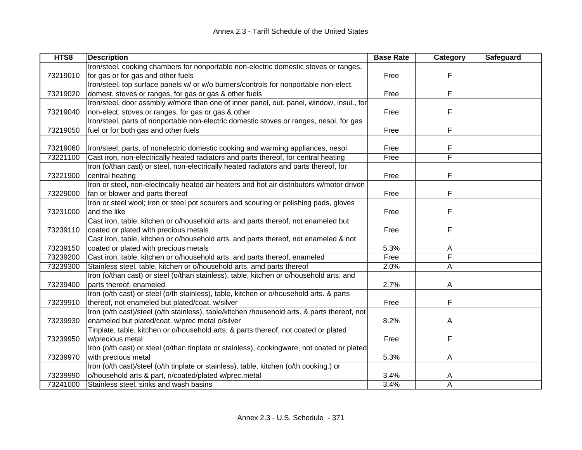| HTS8     | <b>Description</b>                                                                           | <b>Base Rate</b> | Category | Safeguard |
|----------|----------------------------------------------------------------------------------------------|------------------|----------|-----------|
|          | Iron/steel, cooking chambers for nonportable non-electric domestic stoves or ranges,         |                  |          |           |
| 73219010 | for gas or for gas and other fuels                                                           | Free             | F        |           |
|          | Iron/steel, top surface panels w/ or w/o burners/controls for nonportable non-elect.         |                  |          |           |
| 73219020 | domest. stoves or ranges, for gas or gas & other fuels                                       | Free             | F        |           |
|          | Iron/steel, door assmbly w/more than one of inner panel, out. panel, window, insul., for     |                  |          |           |
| 73219040 | non-elect. stoves or ranges, for gas or gas & other                                          | Free             | F        |           |
|          | Iron/steel, parts of nonportable non-electric domestic stoves or ranges, nesoi, for gas      |                  |          |           |
| 73219050 | fuel or for both gas and other fuels                                                         | Free             | F        |           |
|          |                                                                                              |                  |          |           |
| 73219060 | Iron/steel, parts, of nonelectric domestic cooking and warming appliances, nesoi             | Free             | F        |           |
| 73221100 | Cast iron, non-electrically heated radiators and parts thereof, for central heating          | Free             | F        |           |
|          | Iron (o/than cast) or steel, non-electrically heated radiators and parts thereof, for        |                  |          |           |
| 73221900 | central heating                                                                              | Free             | F        |           |
|          | Iron or steel, non-electrically heated air heaters and hot air distributors w/motor driven   |                  |          |           |
| 73229000 | fan or blower and parts thereof                                                              | Free             | F        |           |
|          | Iron or steel wool; iron or steel pot scourers and scouring or polishing pads, gloves        |                  |          |           |
| 73231000 | and the like                                                                                 | Free             | F        |           |
|          | Cast iron, table, kitchen or o/household arts. and parts thereof, not enameled but           |                  |          |           |
| 73239110 | coated or plated with precious metals                                                        | Free             | F        |           |
|          | Cast iron, table, kitchen or o/household arts. and parts thereof, not enameled & not         |                  |          |           |
| 73239150 | coated or plated with precious metals                                                        | 5.3%             | A        |           |
| 73239200 | Cast iron, table, kitchen or o/household arts. and parts thereof, enameled                   | Free             | F        |           |
| 73239300 | Stainless steel, table, kitchen or o/household arts. amd parts thereof                       | 2.0%             | A        |           |
|          | Iron (o/than cast) or steel (o/than stainless), table, kitchen or o/household arts. and      |                  |          |           |
| 73239400 | parts thereof, enameled                                                                      | 2.7%             | A        |           |
|          | Iron (o/th cast) or steel (o/th stainless), table, kitchen or o/household arts. & parts      |                  |          |           |
| 73239910 | thereof, not enameled but plated/coat. w/silver                                              | Free             | F        |           |
|          | Iron (o/th cast)/steel (o/th stainless), table/kitchen /household arts. & parts thereof, not |                  |          |           |
| 73239930 | enameled but plated/coat. w/prec metal o/silver                                              | 8.2%             | A        |           |
|          | Tinplate, table, kitchen or o/household arts. & parts thereof, not coated or plated          |                  |          |           |
| 73239950 | w/precious metal                                                                             | Free             | F        |           |
|          | Iron (o/th cast) or steel (o/than tinplate or stainless), cookingware, not coated or plated  |                  |          |           |
| 73239970 | with precious metal                                                                          | 5.3%             | A        |           |
|          | Iron (o/th cast)/steel (o/th tinplate or stainless), table, kitchen (o/th cooking.) or       |                  |          |           |
| 73239990 | o/household arts & part, n/coated/plated w/prec.metal                                        | 3.4%             | A        |           |
| 73241000 | Stainless steel, sinks and wash basins                                                       | 3.4%             | A        |           |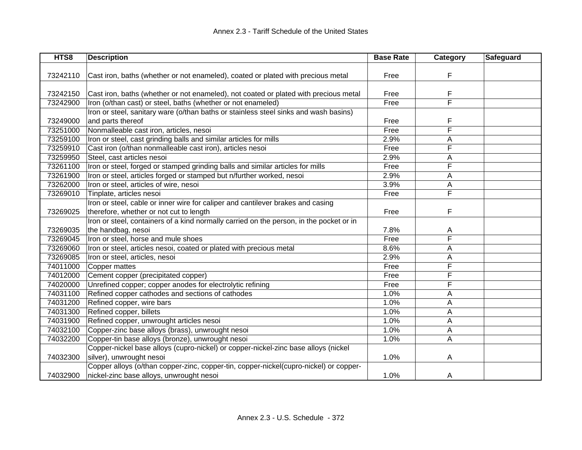| HTS8     | <b>Description</b>                                                                      | <b>Base Rate</b> | Category                | Safeguard |
|----------|-----------------------------------------------------------------------------------------|------------------|-------------------------|-----------|
|          |                                                                                         |                  |                         |           |
| 73242110 | Cast iron, baths (whether or not enameled), coated or plated with precious metal        | Free             | F                       |           |
|          |                                                                                         |                  |                         |           |
| 73242150 | Cast iron, baths (whether or not enameled), not coated or plated with precious metal    | Free             | F                       |           |
| 73242900 | Iron (o/than cast) or steel, baths (whether or not enameled)                            | Free             | $\overline{\mathsf{F}}$ |           |
|          | Iron or steel, sanitary ware (o/than baths or stainless steel sinks and wash basins)    |                  |                         |           |
| 73249000 | and parts thereof                                                                       | Free             | F                       |           |
| 73251000 | Nonmalleable cast iron, articles, nesoi                                                 | Free             | F                       |           |
| 73259100 | Iron or steel, cast grinding balls and similar articles for mills                       | 2.9%             | A                       |           |
| 73259910 | Cast iron (o/than nonmalleable cast iron), articles nesoi                               | Free             | F                       |           |
| 73259950 | Steel, cast articles nesoi                                                              | 2.9%             | Α                       |           |
| 73261100 | Iron or steel, forged or stamped grinding balls and similar articles for mills          | Free             | F                       |           |
| 73261900 | Iron or steel, articles forged or stamped but n/further worked, nesoi                   | 2.9%             | A                       |           |
| 73262000 | Iron or steel, articles of wire, nesoi                                                  | 3.9%             | Α                       |           |
| 73269010 | Tinplate, articles nesoi                                                                | Free             | F                       |           |
|          | Iron or steel, cable or inner wire for caliper and cantilever brakes and casing         |                  |                         |           |
| 73269025 | therefore, whether or not cut to length                                                 | Free             | F                       |           |
|          | Iron or steel, containers of a kind normally carried on the person, in the pocket or in |                  |                         |           |
| 73269035 | the handbag, nesoi                                                                      | 7.8%             | A                       |           |
| 73269045 | Iron or steel, horse and mule shoes                                                     | Free             | F                       |           |
| 73269060 | Iron or steel, articles nesoi, coated or plated with precious metal                     | 8.6%             | A                       |           |
| 73269085 | Iron or steel, articles, nesoi                                                          | 2.9%             | Α                       |           |
| 74011000 | Copper mattes                                                                           | Free             | F                       |           |
| 74012000 | Cement copper (precipitated copper)                                                     | Free             | F                       |           |
| 74020000 | Unrefined copper; copper anodes for electrolytic refining                               | Free             | F                       |           |
| 74031100 | Refined copper cathodes and sections of cathodes                                        | 1.0%             | A                       |           |
| 74031200 | Refined copper, wire bars                                                               | 1.0%             | A                       |           |
| 74031300 | Refined copper, billets                                                                 | 1.0%             | Α                       |           |
| 74031900 | Refined copper, unwrought articles nesoi                                                | 1.0%             | Α                       |           |
| 74032100 | Copper-zinc base alloys (brass), unwrought nesoi                                        | 1.0%             | Α                       |           |
| 74032200 | Copper-tin base alloys (bronze), unwrought nesoi                                        | 1.0%             | Α                       |           |
|          | Copper-nickel base alloys (cupro-nickel) or copper-nickel-zinc base alloys (nickel      |                  |                         |           |
| 74032300 | silver), unwrought nesoi                                                                | 1.0%             | A                       |           |
|          | Copper alloys (o/than copper-zinc, copper-tin, copper-nickel(cupro-nickel) or copper-   |                  |                         |           |
| 74032900 | nickel-zinc base alloys, unwrought nesoi                                                | 1.0%             | A                       |           |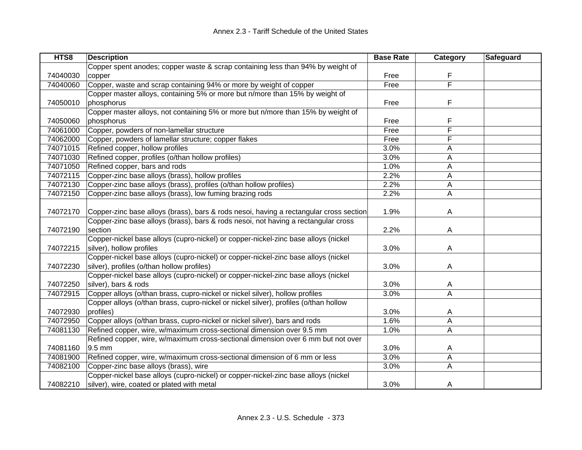| HTS8     | <b>Description</b>                                                                     | <b>Base Rate</b> | Category       | Safeguard |
|----------|----------------------------------------------------------------------------------------|------------------|----------------|-----------|
|          | Copper spent anodes; copper waste & scrap containing less than 94% by weight of        |                  |                |           |
| 74040030 | copper                                                                                 | Free             | F              |           |
| 74040060 | Copper, waste and scrap containing 94% or more by weight of copper                     | Free             | F              |           |
|          | Copper master alloys, containing 5% or more but n/more than 15% by weight of           |                  |                |           |
| 74050010 | phosphorus                                                                             | Free             | F              |           |
|          | Copper master alloys, not containing 5% or more but n/more than 15% by weight of       |                  |                |           |
| 74050060 | phosphorus                                                                             | Free             | F              |           |
| 74061000 | Copper, powders of non-lamellar structure                                              | Free             | F              |           |
| 74062000 | Copper, powders of lamellar structure; copper flakes                                   | Free             | F              |           |
| 74071015 | Refined copper, hollow profiles                                                        | 3.0%             | A              |           |
| 74071030 | Refined copper, profiles (o/than hollow profiles)                                      | 3.0%             | A              |           |
| 74071050 | Refined copper, bars and rods                                                          | 1.0%             | Α              |           |
| 74072115 | Copper-zinc base alloys (brass), hollow profiles                                       | 2.2%             | Α              |           |
| 74072130 | Copper-zinc base alloys (brass), profiles (o/than hollow profiles)                     | 2.2%             | A              |           |
| 74072150 | Copper-zinc base alloys (brass), low fuming brazing rods                               | 2.2%             | Α              |           |
|          |                                                                                        |                  |                |           |
| 74072170 | Copper-zinc base alloys (brass), bars & rods nesoi, having a rectangular cross section | 1.9%             | A              |           |
|          | Copper-zinc base alloys (brass), bars & rods nesoi, not having a rectangular cross     |                  |                |           |
| 74072190 | section                                                                                | 2.2%             | Α              |           |
|          | Copper-nickel base alloys (cupro-nickel) or copper-nickel-zinc base alloys (nickel     |                  |                |           |
| 74072215 | silver), hollow profiles                                                               | 3.0%             | A              |           |
|          | Copper-nickel base alloys (cupro-nickel) or copper-nickel-zinc base alloys (nickel     |                  |                |           |
| 74072230 | silver), profiles (o/than hollow profiles)                                             | 3.0%             | A              |           |
|          | Copper-nickel base alloys (cupro-nickel) or copper-nickel-zinc base alloys (nickel     |                  |                |           |
| 74072250 | silver), bars & rods                                                                   | 3.0%             | A              |           |
| 74072915 | Copper alloys (o/than brass, cupro-nickel or nickel silver), hollow profiles           | 3.0%             | $\overline{A}$ |           |
|          | Copper alloys (o/than brass, cupro-nickel or nickel silver), profiles (o/than hollow   |                  |                |           |
| 74072930 | profiles)                                                                              | 3.0%             | A              |           |
| 74072950 | Copper alloys (o/than brass, cupro-nickel or nickel silver), bars and rods             | 1.6%             | A              |           |
| 74081130 | Refined copper, wire, w/maximum cross-sectional dimension over 9.5 mm                  | 1.0%             | A              |           |
|          | Refined copper, wire, w/maximum cross-sectional dimension over 6 mm but not over       |                  |                |           |
| 74081160 | $9.5 \text{ mm}$                                                                       | 3.0%             | A              |           |
| 74081900 | Refined copper, wire, w/maximum cross-sectional dimension of 6 mm or less              | 3.0%             | A              |           |
| 74082100 | Copper-zinc base alloys (brass), wire                                                  | 3.0%             | A              |           |
|          | Copper-nickel base alloys (cupro-nickel) or copper-nickel-zinc base alloys (nickel     |                  |                |           |
| 74082210 | silver), wire, coated or plated with metal                                             | 3.0%             | A              |           |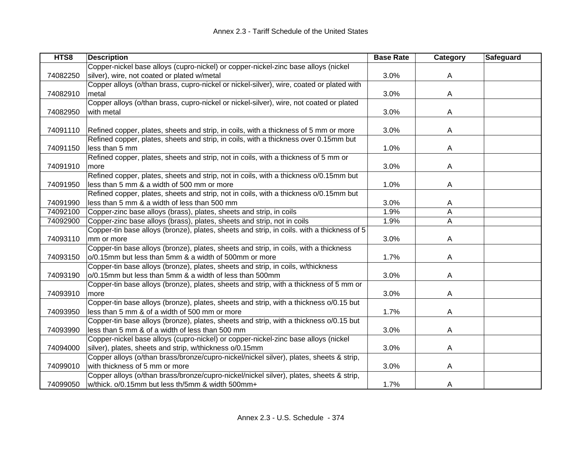| HTS8     | <b>Description</b>                                                                         | <b>Base Rate</b> | Category | Safeguard |
|----------|--------------------------------------------------------------------------------------------|------------------|----------|-----------|
|          | Copper-nickel base alloys (cupro-nickel) or copper-nickel-zinc base alloys (nickel         |                  |          |           |
| 74082250 | silver), wire, not coated or plated w/metal                                                | 3.0%             | A        |           |
|          | Copper alloys (o/than brass, cupro-nickel or nickel-silver), wire, coated or plated with   |                  |          |           |
| 74082910 | metal                                                                                      | 3.0%             | A        |           |
|          | Copper alloys (o/than brass, cupro-nickel or nickel-silver), wire, not coated or plated    |                  |          |           |
| 74082950 | with metal                                                                                 | 3.0%             | A        |           |
|          |                                                                                            |                  |          |           |
| 74091110 | Refined copper, plates, sheets and strip, in coils, with a thickness of 5 mm or more       | 3.0%             | A        |           |
|          | Refined copper, plates, sheets and strip, in coils, with a thickness over 0.15mm but       |                  |          |           |
| 74091150 | less than 5 mm                                                                             | 1.0%             | A        |           |
|          | Refined copper, plates, sheets and strip, not in coils, with a thickness of 5 mm or        |                  |          |           |
| 74091910 | more                                                                                       | 3.0%             | A        |           |
|          | Refined copper, plates, sheets and strip, not in coils, with a thickness o/0.15mm but      |                  |          |           |
| 74091950 | less than 5 mm & a width of 500 mm or more                                                 | 1.0%             | A        |           |
|          | Refined copper, plates, sheets and strip, not in coils, with a thickness o/0.15mm but      |                  |          |           |
| 74091990 | less than 5 mm & a width of less than 500 mm                                               | 3.0%             | A        |           |
| 74092100 | Copper-zinc base alloys (brass), plates, sheets and strip, in coils                        | 1.9%             | A        |           |
| 74092900 | Copper-zinc base alloys (brass), plates, sheets and strip, not in coils                    | 1.9%             | A        |           |
|          | Copper-tin base alloys (bronze), plates, sheets and strip, in coils. with a thickness of 5 |                  |          |           |
| 74093110 | mm or more                                                                                 | 3.0%             | A        |           |
|          | Copper-tin base alloys (bronze), plates, sheets and strip, in coils, with a thickness      |                  |          |           |
| 74093150 | o/0.15mm but less than 5mm & a width of 500mm or more                                      | 1.7%             | A        |           |
|          | Copper-tin base alloys (bronze), plates, sheets and strip, in coils, w/thickness           |                  |          |           |
| 74093190 | o/0.15mm but less than 5mm & a width of less than 500mm                                    | 3.0%             | A        |           |
|          | Copper-tin base alloys (bronze), plates, sheets and strip, with a thickness of 5 mm or     |                  |          |           |
| 74093910 | more                                                                                       | 3.0%             | A        |           |
|          | Copper-tin base alloys (bronze), plates, sheets and strip, with a thickness o/0.15 but     |                  |          |           |
| 74093950 | less than 5 mm & of a width of 500 mm or more                                              | 1.7%             | Α        |           |
|          | Copper-tin base alloys (bronze), plates, sheets and strip, with a thickness o/0.15 but     |                  |          |           |
| 74093990 | less than 5 mm & of a width of less than 500 mm                                            | 3.0%             | A        |           |
|          | Copper-nickel base alloys (cupro-nickel) or copper-nickel-zinc base alloys (nickel         |                  |          |           |
| 74094000 | silver), plates, sheets and strip, w/thickness o/0.15mm                                    | 3.0%             | A        |           |
|          | Copper alloys (o/than brass/bronze/cupro-nickel/nickel silver), plates, sheets & strip,    |                  |          |           |
| 74099010 | with thickness of 5 mm or more                                                             | 3.0%             | Α        |           |
|          | Copper alloys (o/than brass/bronze/cupro-nickel/nickel silver), plates, sheets & strip,    |                  |          |           |
| 74099050 | w/thick. o/0.15mm but less th/5mm & width 500mm+                                           | 1.7%             | A        |           |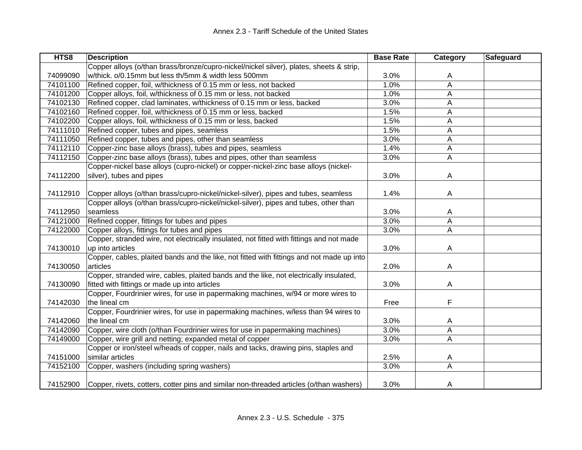| HTS8     | <b>Description</b>                                                                        | <b>Base Rate</b> | Category     | Safeguard |
|----------|-------------------------------------------------------------------------------------------|------------------|--------------|-----------|
|          | Copper alloys (o/than brass/bronze/cupro-nickel/nickel silver), plates, sheets & strip,   |                  |              |           |
| 74099090 | w/thick. o/0.15mm but less th/5mm & width less 500mm                                      | 3.0%             | A            |           |
| 74101100 | Refined copper, foil, w/thickness of 0.15 mm or less, not backed                          | 1.0%             | A            |           |
| 74101200 | Copper alloys, foil, w/thickness of 0.15 mm or less, not backed                           | 1.0%             | A            |           |
| 74102130 | Refined copper, clad laminates, w/thickness of 0.15 mm or less, backed                    | 3.0%             | A            |           |
| 74102160 | Refined copper, foil, w/thickness of 0.15 mm or less, backed                              | 1.5%             | A            |           |
| 74102200 | Copper alloys, foil, w/thickness of 0.15 mm or less, backed                               | 1.5%             | A            |           |
| 74111010 | Refined copper, tubes and pipes, seamless                                                 | 1.5%             | Α            |           |
| 74111050 | Refined copper, tubes and pipes, other than seamless                                      | 3.0%             | A            |           |
| 74112110 | Copper-zinc base alloys (brass), tubes and pipes, seamless                                | 1.4%             | $\mathsf{A}$ |           |
| 74112150 | Copper-zinc base alloys (brass), tubes and pipes, other than seamless                     | 3.0%             | A            |           |
|          | Copper-nickel base alloys (cupro-nickel) or copper-nickel-zinc base alloys (nickel-       |                  |              |           |
| 74112200 | silver), tubes and pipes                                                                  | 3.0%             | A            |           |
|          |                                                                                           |                  |              |           |
| 74112910 | Copper alloys (o/than brass/cupro-nickel/nickel-silver), pipes and tubes, seamless        | 1.4%             | A            |           |
|          | Copper alloys (o/than brass/cupro-nickel/nickel-silver), pipes and tubes, other than      |                  |              |           |
| 74112950 | seamless                                                                                  | 3.0%             | A            |           |
| 74121000 | Refined copper, fittings for tubes and pipes                                              | 3.0%             | A            |           |
| 74122000 | Copper alloys, fittings for tubes and pipes                                               | 3.0%             | A            |           |
|          | Copper, stranded wire, not electrically insulated, not fitted with fittings and not made  |                  |              |           |
| 74130010 | up into articles                                                                          | 3.0%             | A            |           |
|          | Copper, cables, plaited bands and the like, not fitted with fittings and not made up into |                  |              |           |
| 74130050 | articles                                                                                  | 2.0%             | A            |           |
|          | Copper, stranded wire, cables, plaited bands and the like, not electrically insulated,    |                  |              |           |
| 74130090 | fitted with fittings or made up into articles                                             | 3.0%             | A            |           |
|          | Copper, Fourdrinier wires, for use in papermaking machines, w/94 or more wires to         |                  |              |           |
| 74142030 | the lineal cm                                                                             | Free             | F            |           |
|          | Copper, Fourdrinier wires, for use in papermaking machines, w/less than 94 wires to       |                  |              |           |
| 74142060 | the lineal cm                                                                             | 3.0%             | A            |           |
| 74142090 | Copper, wire cloth (o/than Fourdrinier wires for use in papermaking machines)             | 3.0%             | A            |           |
| 74149000 | Copper, wire grill and netting; expanded metal of copper                                  | 3.0%             | Α            |           |
|          | Copper or iron/steel w/heads of copper, nails and tacks, drawing pins, staples and        |                  |              |           |
| 74151000 | similar articles                                                                          | 2.5%             | A            |           |
| 74152100 | Copper, washers (including spring washers)                                                | 3.0%             | A            |           |
|          |                                                                                           |                  |              |           |
| 74152900 | Copper, rivets, cotters, cotter pins and similar non-threaded articles (o/than washers)   | 3.0%             | A            |           |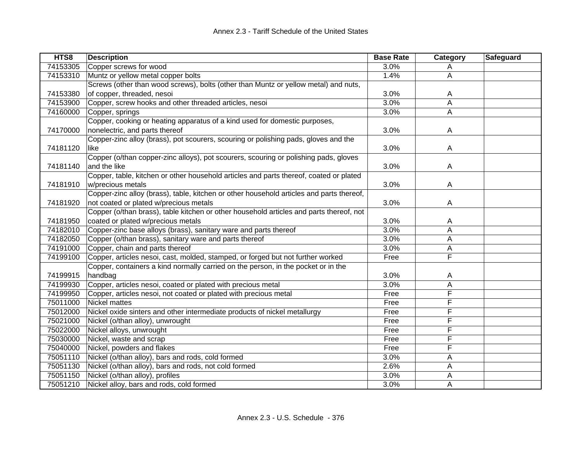| HTS8     | <b>Description</b>                                                                       | <b>Base Rate</b> | Category       | Safeguard |
|----------|------------------------------------------------------------------------------------------|------------------|----------------|-----------|
| 74153305 | Copper screws for wood                                                                   | 3.0%             | A              |           |
| 74153310 | Muntz or yellow metal copper bolts                                                       | 1.4%             | $\mathsf{A}$   |           |
|          | Screws (other than wood screws), bolts (other than Muntz or yellow metal) and nuts,      |                  |                |           |
| 74153380 | of copper, threaded, nesoi                                                               | 3.0%             | A              |           |
| 74153900 | Copper, screw hooks and other threaded articles, nesoi                                   | 3.0%             | A              |           |
| 74160000 | Copper, springs                                                                          | 3.0%             | Α              |           |
|          | Copper, cooking or heating apparatus of a kind used for domestic purposes,               |                  |                |           |
| 74170000 | nonelectric, and parts thereof                                                           | 3.0%             | A              |           |
|          | Copper-zinc alloy (brass), pot scourers, scouring or polishing pads, gloves and the      |                  |                |           |
| 74181120 | like                                                                                     | 3.0%             | A              |           |
|          | Copper (o/than copper-zinc alloys), pot scourers, scouring or polishing pads, gloves     |                  |                |           |
| 74181140 | and the like                                                                             | 3.0%             | A              |           |
|          | Copper, table, kitchen or other household articles and parts thereof, coated or plated   |                  |                |           |
| 74181910 | w/precious metals                                                                        | 3.0%             | A              |           |
|          | Copper-zinc alloy (brass), table, kitchen or other household articles and parts thereof, |                  |                |           |
| 74181920 | not coated or plated w/precious metals                                                   | 3.0%             | $\overline{A}$ |           |
|          | Copper (o/than brass), table kitchen or other household articles and parts thereof, not  |                  |                |           |
| 74181950 | coated or plated w/precious metals                                                       | 3.0%             | A              |           |
| 74182010 | Copper-zinc base alloys (brass), sanitary ware and parts thereof                         | 3.0%             | А              |           |
| 74182050 | Copper (o/than brass), sanitary ware and parts thereof                                   | 3.0%             | A              |           |
| 74191000 | Copper, chain and parts thereof                                                          | 3.0%             | A              |           |
| 74199100 | Copper, articles nesoi, cast, molded, stamped, or forged but not further worked          | Free             | F              |           |
|          | Copper, containers a kind normally carried on the person, in the pocket or in the        |                  |                |           |
| 74199915 | handbag                                                                                  | 3.0%             | A              |           |
| 74199930 | Copper, articles nesoi, coated or plated with precious metal                             | 3.0%             | А              |           |
| 74199950 | Copper, articles nesoi, not coated or plated with precious metal                         | Free             | F              |           |
| 75011000 | <b>Nickel mattes</b>                                                                     | Free             | F              |           |
| 75012000 | Nickel oxide sinters and other intermediate products of nickel metallurgy                | Free             | F              |           |
| 75021000 | Nickel (o/than alloy), unwrought                                                         | Free             | F              |           |
| 75022000 | Nickel alloys, unwrought                                                                 | Free             | F              |           |
| 75030000 | Nickel, waste and scrap                                                                  | Free             | F              |           |
| 75040000 | Nickel, powders and flakes                                                               | Free             | F              |           |
| 75051110 | Nickel (o/than alloy), bars and rods, cold formed                                        | 3.0%             | A              |           |
| 75051130 | Nickel (o/than alloy), bars and rods, not cold formed                                    | 2.6%             | Α              |           |
| 75051150 | Nickel (o/than alloy), profiles                                                          | 3.0%             | A              |           |
| 75051210 | Nickel alloy, bars and rods, cold formed                                                 | 3.0%             | Α              |           |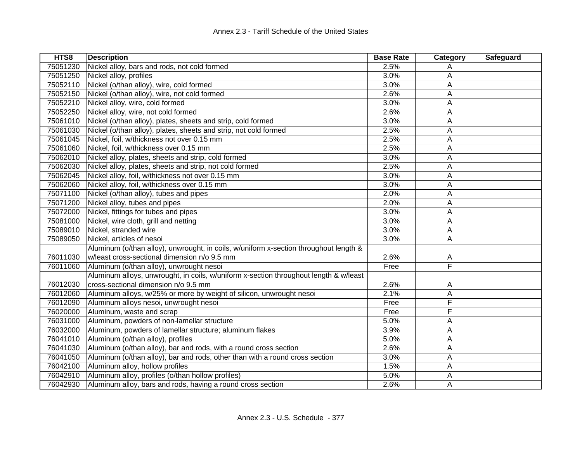| HTS8     | <b>Description</b>                                                                    | <b>Base Rate</b> | Category | Safeguard |
|----------|---------------------------------------------------------------------------------------|------------------|----------|-----------|
| 75051230 | Nickel alloy, bars and rods, not cold formed                                          | 2.5%             | Α        |           |
| 75051250 | Nickel alloy, profiles                                                                | 3.0%             | A        |           |
| 75052110 | Nickel (o/than alloy), wire, cold formed                                              | 3.0%             | Α        |           |
| 75052150 | Nickel (o/than alloy), wire, not cold formed                                          | 2.6%             | Α        |           |
| 75052210 | Nickel alloy, wire, cold formed                                                       | 3.0%             | Α        |           |
| 75052250 | Nickel alloy, wire, not cold formed                                                   | 2.6%             | A        |           |
| 75061010 | Nickel (o/than alloy), plates, sheets and strip, cold formed                          | 3.0%             | A        |           |
| 75061030 | Nickel (o/than alloy), plates, sheets and strip, not cold formed                      | 2.5%             | A        |           |
| 75061045 | Nickel, foil, w/thickness not over 0.15 mm                                            | 2.5%             | A        |           |
| 75061060 | Nickel, foil, w/thickness over 0.15 mm                                                | 2.5%             | А        |           |
| 75062010 | Nickel alloy, plates, sheets and strip, cold formed                                   | 3.0%             | Α        |           |
| 75062030 | Nickel alloy, plates, sheets and strip, not cold formed                               | 2.5%             | Α        |           |
| 75062045 | Nickel alloy, foil, w/thickness not over 0.15 mm                                      | 3.0%             | A        |           |
| 75062060 | Nickel alloy, foil, w/thickness over 0.15 mm                                          | 3.0%             | A        |           |
| 75071100 | Nickel (o/than alloy), tubes and pipes                                                | 2.0%             | A        |           |
| 75071200 | Nickel alloy, tubes and pipes                                                         | 2.0%             | Α        |           |
| 75072000 | Nickel, fittings for tubes and pipes                                                  | 3.0%             | Α        |           |
| 75081000 | Nickel, wire cloth, grill and netting                                                 | 3.0%             | Α        |           |
| 75089010 | Nickel, stranded wire                                                                 | 3.0%             | A        |           |
| 75089050 | Nickel, articles of nesoi                                                             | 3.0%             | A        |           |
|          | Aluminum (o/than alloy), unwrought, in coils, w/uniform x-section throughout length & |                  |          |           |
| 76011030 | w/least cross-sectional dimension n/o 9.5 mm                                          | 2.6%             | A        |           |
| 76011060 | Aluminum (o/than alloy), unwrought nesoi                                              | Free             | F        |           |
|          | Aluminum alloys, unwrought, in coils, w/uniform x-section throughout length & w/least |                  |          |           |
| 76012030 | cross-sectional dimension n/o 9.5 mm                                                  | 2.6%             | A        |           |
| 76012060 | Aluminum alloys, w/25% or more by weight of silicon, unwrought nesoi                  | 2.1%             | A        |           |
| 76012090 | Aluminum alloys nesoi, unwrought nesoi                                                | Free             | F        |           |
| 76020000 | Aluminum, waste and scrap                                                             | Free             | F        |           |
| 76031000 | Aluminum, powders of non-lamellar structure                                           | 5.0%             | Α        |           |
| 76032000 | Aluminum, powders of lamellar structure; aluminum flakes                              | 3.9%             | Α        |           |
| 76041010 | Aluminum (o/than alloy), profiles                                                     | 5.0%             | A        |           |
| 76041030 | Aluminum (o/than alloy), bar and rods, with a round cross section                     | 2.6%             | A        |           |
| 76041050 | Aluminum (o/than alloy), bar and rods, other than with a round cross section          | 3.0%             | Α        |           |
| 76042100 | Aluminum alloy, hollow profiles                                                       | 1.5%             | Α        |           |
| 76042910 | Aluminum alloy, profiles (o/than hollow profiles)                                     | 5.0%             | A        |           |
| 76042930 | Aluminum alloy, bars and rods, having a round cross section                           | 2.6%             | A        |           |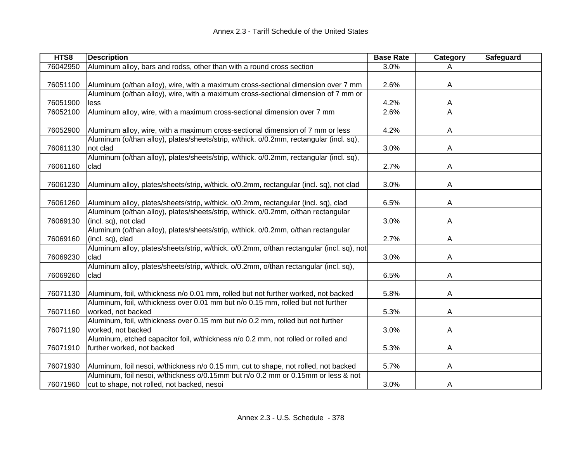| HTS8     | <b>Description</b>                                                                        | <b>Base Rate</b> | Category       | Safeguard |
|----------|-------------------------------------------------------------------------------------------|------------------|----------------|-----------|
| 76042950 | Aluminum alloy, bars and rodss, other than with a round cross section                     | 3.0%             |                |           |
|          |                                                                                           |                  |                |           |
| 76051100 | Aluminum (o/than alloy), wire, with a maximum cross-sectional dimension over 7 mm         | 2.6%             | $\overline{A}$ |           |
|          | Aluminum (o/than alloy), wire, with a maximum cross-sectional dimension of 7 mm or        |                  |                |           |
| 76051900 | less                                                                                      | 4.2%             | A              |           |
| 76052100 | Aluminum alloy, wire, with a maximum cross-sectional dimension over 7 mm                  | 2.6%             | A              |           |
|          |                                                                                           |                  |                |           |
| 76052900 | Aluminum alloy, wire, with a maximum cross-sectional dimension of 7 mm or less            | 4.2%             | A              |           |
|          | Aluminum (o/than alloy), plates/sheets/strip, w/thick. o/0.2mm, rectangular (incl. sq),   |                  |                |           |
| 76061130 | not clad                                                                                  | 3.0%             | A              |           |
|          | Aluminum (o/than alloy), plates/sheets/strip, w/thick. o/0.2mm, rectangular (incl. sq),   |                  |                |           |
| 76061160 | clad                                                                                      | 2.7%             | A              |           |
|          |                                                                                           |                  |                |           |
| 76061230 | Aluminum alloy, plates/sheets/strip, w/thick. o/0.2mm, rectangular (incl. sq), not clad   | 3.0%             | A              |           |
|          |                                                                                           |                  |                |           |
| 76061260 | Aluminum alloy, plates/sheets/strip, w/thick. o/0.2mm, rectangular (incl. sq), clad       | 6.5%             | A              |           |
|          | Aluminum (o/than alloy), plates/sheets/strip, w/thick. o/0.2mm, o/than rectangular        |                  |                |           |
| 76069130 | (incl. sq), not clad                                                                      | 3.0%             | A              |           |
|          | Aluminum (o/than alloy), plates/sheets/strip, w/thick. o/0.2mm, o/than rectangular        |                  |                |           |
| 76069160 | (incl. sq), clad                                                                          | 2.7%             | A              |           |
|          | Aluminum alloy, plates/sheets/strip, w/thick. o/0.2mm, o/than rectangular (incl. sq), not |                  |                |           |
| 76069230 | clad                                                                                      | 3.0%             | A              |           |
|          | Aluminum alloy, plates/sheets/strip, w/thick. o/0.2mm, o/than rectangular (incl. sq),     |                  |                |           |
| 76069260 | clad                                                                                      | 6.5%             | A              |           |
|          |                                                                                           |                  |                |           |
| 76071130 | Aluminum, foil, w/thickness n/o 0.01 mm, rolled but not further worked, not backed        | 5.8%             | A              |           |
|          | Aluminum, foil, w/thickness over 0.01 mm but n/o 0.15 mm, rolled but not further          |                  |                |           |
| 76071160 | worked, not backed                                                                        | 5.3%             | A              |           |
|          | Aluminum, foil, w/thickness over 0.15 mm but n/o 0.2 mm, rolled but not further           |                  |                |           |
| 76071190 | worked, not backed                                                                        | 3.0%             | A              |           |
|          | Aluminum, etched capacitor foil, w/thickness n/o 0.2 mm, not rolled or rolled and         |                  |                |           |
| 76071910 | further worked, not backed                                                                | 5.3%             | A              |           |
|          |                                                                                           |                  |                |           |
| 76071930 | Aluminum, foil nesoi, w/thickness n/o 0.15 mm, cut to shape, not rolled, not backed       | 5.7%             | A              |           |
|          | Aluminum, foil nesoi, w/thickness o/0.15mm but n/o 0.2 mm or 0.15mm or less & not         |                  |                |           |
| 76071960 | cut to shape, not rolled, not backed, nesoi                                               | 3.0%             | A              |           |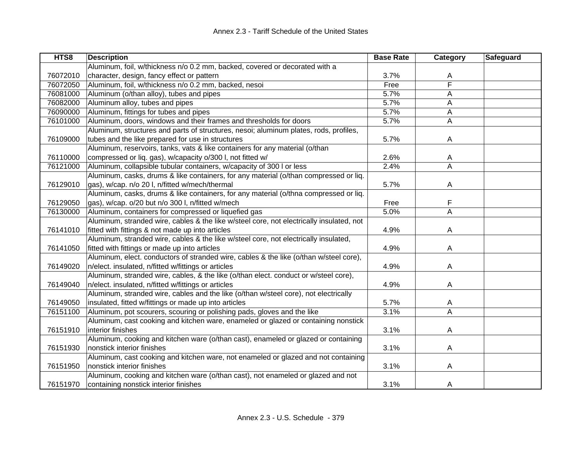| HTS8     | <b>Description</b>                                                                       | <b>Base Rate</b> | Category                | Safeguard |
|----------|------------------------------------------------------------------------------------------|------------------|-------------------------|-----------|
|          | Aluminum, foil, w/thickness n/o 0.2 mm, backed, covered or decorated with a              |                  |                         |           |
| 76072010 | character, design, fancy effect or pattern                                               | 3.7%             | Α                       |           |
| 76072050 | Aluminum, foil, w/thickness n/o 0.2 mm, backed, nesoi                                    | Free             | F                       |           |
| 76081000 | Aluminum (o/than alloy), tubes and pipes                                                 | 5.7%             | A                       |           |
| 76082000 | Aluminum alloy, tubes and pipes                                                          | 5.7%             | A                       |           |
| 76090000 | Aluminum, fittings for tubes and pipes                                                   | 5.7%             | A                       |           |
| 76101000 | Aluminum, doors, windows and their frames and thresholds for doors                       | 5.7%             | A                       |           |
|          | Aluminum, structures and parts of structures, nesoi; aluminum plates, rods, profiles,    |                  |                         |           |
| 76109000 | tubes and the like prepared for use in structures                                        | 5.7%             | A                       |           |
|          | Aluminum, reservoirs, tanks, vats & like containers for any material (o/than             |                  |                         |           |
| 76110000 | compressed or liq. gas), w/capacity o/300 l, not fitted w/                               | 2.6%             | A                       |           |
| 76121000 | Aluminum, collapsible tubular containers, w/capacity of 300 I or less                    | 2.4%             | Α                       |           |
|          | Aluminum, casks, drums & like containers, for any material (o/than compressed or liq.    |                  |                         |           |
| 76129010 | gas), w/cap. n/o 20 l, n/fitted w/mech/thermal                                           | 5.7%             | A                       |           |
|          | Aluminum, casks, drums & like containers, for any material (o/thna compressed or liq.    |                  |                         |           |
| 76129050 | gas), w/cap. o/20 but n/o 300 l, n/fitted w/mech                                         | Free             | F                       |           |
| 76130000 | Aluminum, containers for compressed or liquefied gas                                     | 5.0%             | $\overline{\mathsf{A}}$ |           |
|          | Aluminum, stranded wire, cables & the like w/steel core, not electrically insulated, not |                  |                         |           |
| 76141010 | fitted with fittings & not made up into articles                                         | 4.9%             | A                       |           |
|          | Aluminum, stranded wire, cables & the like w/steel core, not electrically insulated,     |                  |                         |           |
| 76141050 | fitted with fittings or made up into articles                                            | 4.9%             | A                       |           |
|          | Aluminum, elect. conductors of stranded wire, cables & the like (o/than w/steel core),   |                  |                         |           |
| 76149020 | n/elect. insulated, n/fitted w/fittings or articles                                      | 4.9%             | A                       |           |
|          | Aluminum, stranded wire, cables, & the like (o/than elect. conduct or w/steel core),     |                  |                         |           |
| 76149040 | n/elect. insulated, n/fitted w/fittings or articles                                      | 4.9%             | A                       |           |
|          | Aluminum, stranded wire, cables and the like (o/than w/steel core), not electrically     |                  |                         |           |
| 76149050 | insulated, fitted w/fittings or made up into articles                                    | 5.7%             | A                       |           |
| 76151100 | Aluminum, pot scourers, scouring or polishing pads, gloves and the like                  | 3.1%             | $\overline{\mathsf{A}}$ |           |
|          | Aluminum, cast cooking and kitchen ware, enameled or glazed or containing nonstick       |                  |                         |           |
| 76151910 | interior finishes                                                                        | 3.1%             | A                       |           |
|          | Aluminum, cooking and kitchen ware (o/than cast), enameled or glazed or containing       |                  |                         |           |
| 76151930 | nonstick interior finishes                                                               | 3.1%             | A                       |           |
|          | Aluminum, cast cooking and kitchen ware, not enameled or glazed and not containing       |                  |                         |           |
| 76151950 | nonstick interior finishes                                                               | 3.1%             | A                       |           |
|          | Aluminum, cooking and kitchen ware (o/than cast), not enameled or glazed and not         |                  |                         |           |
| 76151970 | containing nonstick interior finishes                                                    | 3.1%             | A                       |           |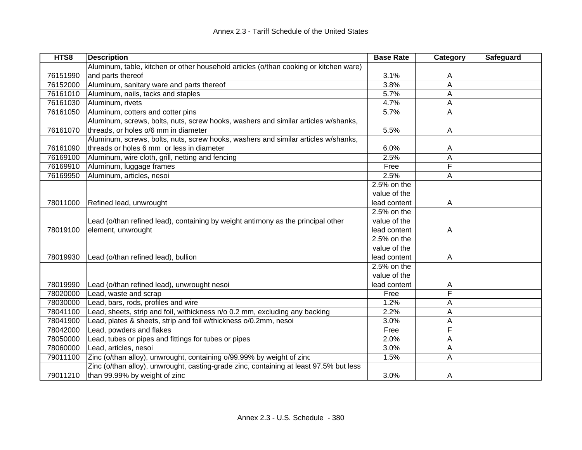| HTS8     | <b>Description</b>                                                                     | <b>Base Rate</b> | Category                | Safeguard |
|----------|----------------------------------------------------------------------------------------|------------------|-------------------------|-----------|
|          | Aluminum, table, kitchen or other household articles (o/than cooking or kitchen ware)  |                  |                         |           |
| 76151990 | and parts thereof                                                                      | 3.1%             | A                       |           |
| 76152000 | Aluminum, sanitary ware and parts thereof                                              | 3.8%             | A                       |           |
| 76161010 | Aluminum, nails, tacks and staples                                                     | 5.7%             | A                       |           |
| 76161030 | Aluminum, rivets                                                                       | 4.7%             | A                       |           |
| 76161050 | Aluminum, cotters and cotter pins                                                      | 5.7%             | Α                       |           |
|          | Aluminum, screws, bolts, nuts, screw hooks, washers and similar articles w/shanks,     |                  |                         |           |
| 76161070 | threads, or holes o/6 mm in diameter                                                   | 5.5%             | A                       |           |
|          | Aluminum, screws, bolts, nuts, screw hooks, washers and similar articles w/shanks,     |                  |                         |           |
| 76161090 | threads or holes 6 mm or less in diameter                                              | 6.0%             | A                       |           |
| 76169100 | Aluminum, wire cloth, grill, netting and fencing                                       | 2.5%             | A                       |           |
| 76169910 | Aluminum, luggage frames                                                               | Free             | F                       |           |
| 76169950 | Aluminum, articles, nesoi                                                              | 2.5%             | A                       |           |
|          |                                                                                        | 2.5% on the      |                         |           |
|          |                                                                                        | value of the     |                         |           |
| 78011000 | Refined lead, unwrought                                                                | lead content     | A                       |           |
|          |                                                                                        | 2.5% on the      |                         |           |
|          | Lead (o/than refined lead), containing by weight antimony as the principal other       | value of the     |                         |           |
| 78019100 | element, unwrought                                                                     | lead content     | A                       |           |
|          |                                                                                        | 2.5% on the      |                         |           |
|          |                                                                                        | value of the     |                         |           |
| 78019930 | Lead (o/than refined lead), bullion                                                    | lead content     | A                       |           |
|          |                                                                                        | $2.5%$ on the    |                         |           |
|          |                                                                                        | value of the     |                         |           |
| 78019990 | Lead (o/than refined lead), unwrought nesoi                                            | lead content     | A                       |           |
| 78020000 | Lead, waste and scrap                                                                  | Free             | $\overline{\mathsf{F}}$ |           |
| 78030000 | Lead, bars, rods, profiles and wire                                                    | 1.2%             | А                       |           |
| 78041100 | Lead, sheets, strip and foil, w/thickness n/o 0.2 mm, excluding any backing            | 2.2%             | A                       |           |
| 78041900 | Lead, plates & sheets, strip and foil w/thickness o/0.2mm, nesoi                       | 3.0%             | Α                       |           |
| 78042000 | Lead, powders and flakes                                                               | Free             | F                       |           |
| 78050000 | Lead, tubes or pipes and fittings for tubes or pipes                                   | 2.0%             | A                       |           |
| 78060000 | Lead, articles, nesoi                                                                  | 3.0%             | A                       |           |
| 79011100 | Zinc (o/than alloy), unwrought, containing o/99.99% by weight of zinc                  | 1.5%             | A                       |           |
|          | Zinc (o/than alloy), unwrought, casting-grade zinc, containing at least 97.5% but less |                  |                         |           |
| 79011210 | than 99.99% by weight of zinc                                                          | 3.0%             | A                       |           |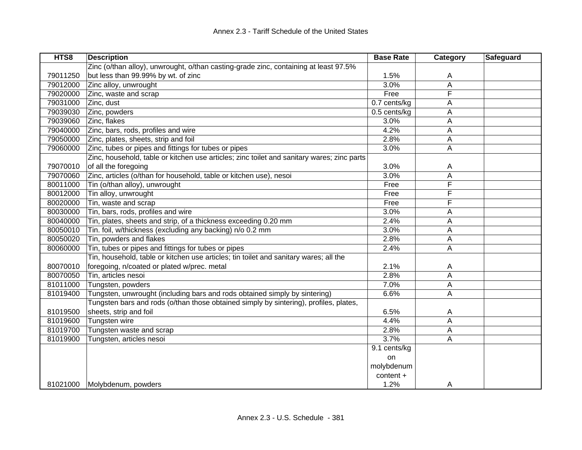| HTS8     | <b>Description</b>                                                                         | <b>Base Rate</b> | Category | Safeguard |
|----------|--------------------------------------------------------------------------------------------|------------------|----------|-----------|
|          | Zinc (o/than alloy), unwrought, o/than casting-grade zinc, containing at least 97.5%       |                  |          |           |
| 79011250 | but less than 99.99% by wt. of zinc                                                        | 1.5%             | A        |           |
| 79012000 | Zinc alloy, unwrought                                                                      | 3.0%             | A        |           |
| 79020000 | Zinc, waste and scrap                                                                      | Free             | F        |           |
| 79031000 | Zinc, dust                                                                                 | 0.7 cents/kg     | А        |           |
| 79039030 | Zinc, powders                                                                              | 0.5 cents/kg     | Α        |           |
| 79039060 | Zinc, flakes                                                                               | 3.0%             | Α        |           |
| 79040000 | Zinc, bars, rods, profiles and wire                                                        | 4.2%             | Α        |           |
| 79050000 | Zinc, plates, sheets, strip and foil                                                       | 2.8%             | Α        |           |
| 79060000 | Zinc, tubes or pipes and fittings for tubes or pipes                                       | 3.0%             | Α        |           |
|          | Zinc, household, table or kitchen use articles; zinc toilet and sanitary wares; zinc parts |                  |          |           |
| 79070010 | of all the foregoing                                                                       | 3.0%             | A        |           |
| 79070060 | Zinc, articles (o/than for household, table or kitchen use), nesoi                         | 3.0%             | Α        |           |
| 80011000 | Tin (o/than alloy), unwrought                                                              | Free             | F        |           |
| 80012000 | Tin alloy, unwrought                                                                       | Free             | F        |           |
| 80020000 | Tin, waste and scrap                                                                       | Free             | F        |           |
| 80030000 | Tin, bars, rods, profiles and wire                                                         | 3.0%             | А        |           |
| 80040000 | Tin, plates, sheets and strip, of a thickness exceeding 0.20 mm                            | 2.4%             | А        |           |
| 80050010 | Tin. foil, w/thickness (excluding any backing) n/o 0.2 mm                                  | 3.0%             | А        |           |
| 80050020 | Tin, powders and flakes                                                                    | 2.8%             | А        |           |
| 80060000 | Tin, tubes or pipes and fittings for tubes or pipes                                        | 2.4%             | Α        |           |
|          | Tin, household, table or kitchen use articles; tin toilet and sanitary wares; all the      |                  |          |           |
| 80070010 | foregoing, n/coated or plated w/prec. metal                                                | 2.1%             | A        |           |
| 80070050 | Tin, articles nesoi                                                                        | 2.8%             | Α        |           |
| 81011000 | Tungsten, powders                                                                          | 7.0%             | A        |           |
| 81019400 | Tungsten, unwrought (including bars and rods obtained simply by sintering)                 | 6.6%             | A        |           |
|          | Tungsten bars and rods (o/than those obtained simply by sintering), profiles, plates,      |                  |          |           |
| 81019500 | sheets, strip and foil                                                                     | 6.5%             | A        |           |
| 81019600 | Tungsten wire                                                                              | 4.4%             | A        |           |
| 81019700 | Tungsten waste and scrap                                                                   | 2.8%             | Α        |           |
| 81019900 | Tungsten, articles nesoi                                                                   | 3.7%             | Α        |           |
|          |                                                                                            | 9.1 cents/kg     |          |           |
|          |                                                                                            | on               |          |           |
|          |                                                                                            | molybdenum       |          |           |
|          |                                                                                            | content +        |          |           |
|          | 81021000 Molybdenum, powders                                                               | 1.2%             | A        |           |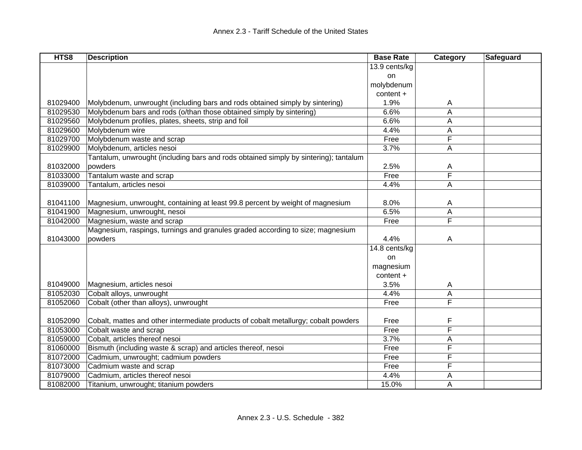| HTS8     | <b>Description</b>                                                                   | <b>Base Rate</b> | Category | <b>Safeguard</b> |
|----------|--------------------------------------------------------------------------------------|------------------|----------|------------------|
|          |                                                                                      | 13.9 cents/kg    |          |                  |
|          |                                                                                      | <b>on</b>        |          |                  |
|          |                                                                                      | molybdenum       |          |                  |
|          |                                                                                      | content +        |          |                  |
| 81029400 | Molybdenum, unwrought (including bars and rods obtained simply by sintering)         | 1.9%             | A        |                  |
| 81029530 | Molybdenum bars and rods (o/than those obtained simply by sintering)                 | 6.6%             | Α        |                  |
| 81029560 | Molybdenum profiles, plates, sheets, strip and foil                                  | 6.6%             | A        |                  |
| 81029600 | Molybdenum wire                                                                      | 4.4%             | A        |                  |
| 81029700 | Molybdenum waste and scrap                                                           | Free             | F        |                  |
| 81029900 | Molybdenum, articles nesoi                                                           | 3.7%             | A        |                  |
|          | Tantalum, unwrought (including bars and rods obtained simply by sintering); tantalum |                  |          |                  |
| 81032000 | powders                                                                              | 2.5%             | Α        |                  |
| 81033000 | Tantalum waste and scrap                                                             | Free             | F        |                  |
| 81039000 | Tantalum, articles nesoi                                                             | 4.4%             | A        |                  |
|          |                                                                                      |                  |          |                  |
| 81041100 | Magnesium, unwrought, containing at least 99.8 percent by weight of magnesium        | 8.0%             | A        |                  |
| 81041900 | Magnesium, unwrought, nesoi                                                          | 6.5%             | А        |                  |
| 81042000 | Magnesium, waste and scrap                                                           | Free             | F        |                  |
|          | Magnesium, raspings, turnings and granules graded according to size; magnesium       |                  |          |                  |
| 81043000 | powders                                                                              | 4.4%             | A        |                  |
|          |                                                                                      | 14.8 cents/kg    |          |                  |
|          |                                                                                      | on               |          |                  |
|          |                                                                                      | magnesium        |          |                  |
|          |                                                                                      | $content +$      |          |                  |
| 81049000 | Magnesium, articles nesoi                                                            | 3.5%             | A        |                  |
| 81052030 | Cobalt alloys, unwrought                                                             | 4.4%             | А        |                  |
| 81052060 | Cobalt (other than alloys), unwrought                                                | Free             | F        |                  |
|          |                                                                                      |                  |          |                  |
| 81052090 | Cobalt, mattes and other intermediate products of cobalt metallurgy; cobalt powders  | Free             | F        |                  |
| 81053000 | Cobalt waste and scrap                                                               | Free             | F        |                  |
| 81059000 | Cobalt, articles thereof nesoi                                                       | 3.7%             | Α        |                  |
| 81060000 | Bismuth (including waste & scrap) and articles thereof, nesoi                        | Free             | F        |                  |
| 81072000 | Cadmium, unwrought; cadmium powders                                                  | Free             | F        |                  |
| 81073000 | Cadmium waste and scrap                                                              | Free             | F        |                  |
| 81079000 | Cadmium, articles thereof nesoi                                                      | 4.4%             | A        |                  |
| 81082000 | Titanium, unwrought; titanium powders                                                | 15.0%            | A        |                  |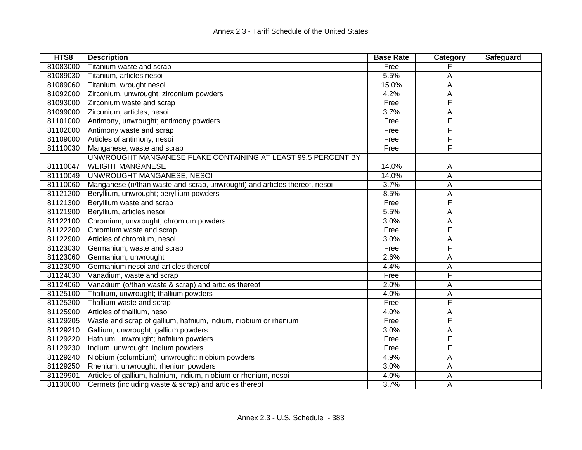| HTS8     | <b>Description</b>                                                        | <b>Base Rate</b> | Category | Safeguard |
|----------|---------------------------------------------------------------------------|------------------|----------|-----------|
| 81083000 | Titanium waste and scrap                                                  | Free             |          |           |
| 81089030 | Titanium, articles nesoi                                                  | 5.5%             | Α        |           |
| 81089060 | Titanium, wrought nesoi                                                   | 15.0%            | А        |           |
| 81092000 | Zirconium, unwrought; zirconium powders                                   | 4.2%             | А        |           |
| 81093000 | Zirconium waste and scrap                                                 | Free             | F        |           |
| 81099000 | Zirconium, articles, nesoi                                                | 3.7%             | А        |           |
| 81101000 | Antimony, unwrought; antimony powders                                     | Free             | F        |           |
| 81102000 | Antimony waste and scrap                                                  | Free             | F        |           |
| 81109000 | Articles of antimony, nesoi                                               | Free             | F        |           |
| 81110030 | Manganese, waste and scrap                                                | Free             | F        |           |
|          | UNWROUGHT MANGANESE FLAKE CONTAINING AT LEAST 99.5 PERCENT BY             |                  |          |           |
| 81110047 | <b>WEIGHT MANGANESE</b>                                                   | 14.0%            | A        |           |
| 81110049 | UNWROUGHT MANGANESE, NESOI                                                | 14.0%            | Α        |           |
| 81110060 | Manganese (o/than waste and scrap, unwrought) and articles thereof, nesoi | 3.7%             | A        |           |
| 81121200 | Beryllium, unwrought; beryllium powders                                   | 8.5%             | А        |           |
| 81121300 | Beryllium waste and scrap                                                 | Free             | F        |           |
| 81121900 | Beryllium, articles nesoi                                                 | 5.5%             | Α        |           |
| 81122100 | Chromium, unwrought; chromium powders                                     | 3.0%             | A        |           |
| 81122200 | Chromium waste and scrap                                                  | Free             | F        |           |
| 81122900 | Articles of chromium, nesoi                                               | 3.0%             | А        |           |
| 81123030 | Germanium, waste and scrap                                                | Free             | F        |           |
| 81123060 | Germanium, unwrought                                                      | 2.6%             | Α        |           |
| 81123090 | Germanium nesoi and articles thereof                                      | 4.4%             | Α        |           |
| 81124030 | Vanadium, waste and scrap                                                 | Free             | F        |           |
| 81124060 | Vanadium (o/than waste & scrap) and articles thereof                      | 2.0%             | А        |           |
| 81125100 | Thallium, unwrought; thallium powders                                     | 4.0%             | А        |           |
| 81125200 | Thallium waste and scrap                                                  | Free             | F        |           |
| 81125900 | Articles of thallium, nesoi                                               | 4.0%             | Α        |           |
| 81129205 | Waste and scrap of gallium, hafnium, indium, niobium or rhenium           | Free             | F        |           |
| 81129210 | Gallium, unwrought; gallium powders                                       | 3.0%             | Α        |           |
| 81129220 | Hafnium, unwrought; hafnium powders                                       | Free             | F        |           |
| 81129230 | Indium, unwrought; indium powders                                         | Free             | F        |           |
| 81129240 | Niobium (columbium), unwrought; niobium powders                           | 4.9%             | А        |           |
| 81129250 | Rhenium, unwrought; rhenium powders                                       | 3.0%             | Α        |           |
| 81129901 | Articles of gallium, hafnium, indium, niobium or rhenium, nesoi           | 4.0%             | Α        |           |
| 81130000 | Cermets (including waste & scrap) and articles thereof                    | 3.7%             | Α        |           |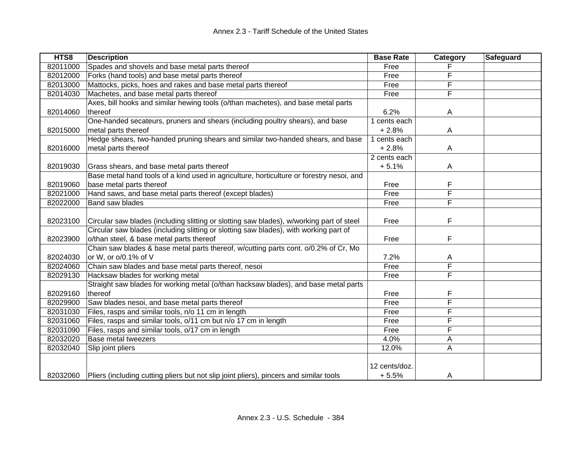| HTS8     | <b>Description</b>                                                                       | <b>Base Rate</b> | Category | Safeguard |
|----------|------------------------------------------------------------------------------------------|------------------|----------|-----------|
| 82011000 | Spades and shovels and base metal parts thereof                                          | Free             |          |           |
| 82012000 | Forks (hand tools) and base metal parts thereof                                          | Free             | F        |           |
| 82013000 | Mattocks, picks, hoes and rakes and base metal parts thereof                             | Free             | F        |           |
| 82014030 | Machetes, and base metal parts thereof                                                   | Free             | F        |           |
|          | Axes, bill hooks and similar hewing tools (o/than machetes), and base metal parts        |                  |          |           |
| 82014060 | thereof                                                                                  | 6.2%             | A        |           |
|          | One-handed secateurs, pruners and shears (including poultry shears), and base            | 1 cents each     |          |           |
| 82015000 | metal parts thereof                                                                      | $+2.8%$          | Α        |           |
|          | Hedge shears, two-handed pruning shears and similar two-handed shears, and base          | 1 cents each     |          |           |
| 82016000 | metal parts thereof                                                                      | $+2.8%$          | A        |           |
|          |                                                                                          | 2 cents each     |          |           |
| 82019030 | Grass shears, and base metal parts thereof                                               | $+5.1%$          | A        |           |
|          | Base metal hand tools of a kind used in agriculture, horticulture or forestry nesoi, and |                  |          |           |
| 82019060 | base metal parts thereof                                                                 | Free             | F        |           |
| 82021000 | Hand saws, and base metal parts thereof (except blades)                                  | Free             | F        |           |
| 82022000 | Band saw blades                                                                          | Free             | F        |           |
|          |                                                                                          |                  |          |           |
| 82023100 | Circular saw blades (including slitting or slotting saw blades), w/working part of steel | Free             | F        |           |
|          | Circular saw blades (including slitting or slotting saw blades), with working part of    |                  |          |           |
| 82023900 | o/than steel, & base metal parts thereof                                                 | Free             | F        |           |
|          | Chain saw blades & base metal parts thereof, w/cutting parts cont. o/0.2% of Cr, Mo      |                  |          |           |
| 82024030 | or W, or o/0.1% of V                                                                     | 7.2%             | A        |           |
| 82024060 | Chain saw blades and base metal parts thereof, nesoi                                     | Free             | F        |           |
| 82029130 | Hacksaw blades for working metal                                                         | Free             | F        |           |
|          | Straight saw blades for working metal (o/than hacksaw blades), and base metal parts      |                  |          |           |
| 82029160 | thereof                                                                                  | Free             | F        |           |
| 82029900 | Saw blades nesoi, and base metal parts thereof                                           | Free             | F        |           |
| 82031030 | Files, rasps and similar tools, n/o 11 cm in length                                      | Free             | F        |           |
| 82031060 | Files, rasps and similar tools, o/11 cm but n/o 17 cm in length                          | Free             | F        |           |
| 82031090 | Files, rasps and similar tools, o/17 cm in length                                        | Free             | F        |           |
| 82032020 | <b>Base metal tweezers</b>                                                               | 4.0%             | Α        |           |
| 82032040 | Slip joint pliers                                                                        | 12.0%            | Α        |           |
|          |                                                                                          |                  |          |           |
|          |                                                                                          | 12 cents/doz.    |          |           |
| 82032060 | Pliers (including cutting pliers but not slip joint pliers), pincers and similar tools   | $+5.5%$          | A        |           |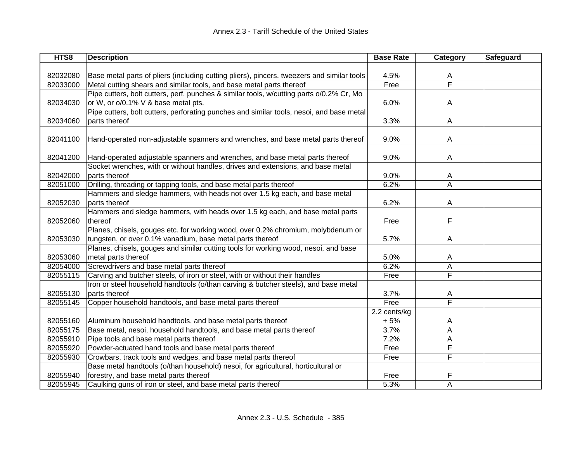| HTS8     | <b>Description</b>                                                                         | <b>Base Rate</b> | Category | Safeguard |
|----------|--------------------------------------------------------------------------------------------|------------------|----------|-----------|
|          |                                                                                            |                  |          |           |
| 82032080 | Base metal parts of pliers (including cutting pliers), pincers, tweezers and similar tools | 4.5%             | A        |           |
| 82033000 | Metal cutting shears and similar tools, and base metal parts thereof                       | Free             | F        |           |
|          | Pipe cutters, bolt cutters, perf. punches & similar tools, w/cutting parts o/0.2% Cr, Mo   |                  |          |           |
| 82034030 | or W, or o/0.1% V & base metal pts.                                                        | 6.0%             | A        |           |
|          | Pipe cutters, bolt cutters, perforating punches and similar tools, nesoi, and base metal   |                  |          |           |
| 82034060 | parts thereof                                                                              | 3.3%             | A        |           |
|          |                                                                                            |                  |          |           |
| 82041100 | Hand-operated non-adjustable spanners and wrenches, and base metal parts thereof           | 9.0%             | A        |           |
|          |                                                                                            |                  |          |           |
| 82041200 | Hand-operated adjustable spanners and wrenches, and base metal parts thereof               | 9.0%             | A        |           |
|          | Socket wrenches, with or without handles, drives and extensions, and base metal            |                  |          |           |
| 82042000 | parts thereof                                                                              | 9.0%             | A        |           |
| 82051000 | Drilling, threading or tapping tools, and base metal parts thereof                         | 6.2%             | A        |           |
|          | Hammers and sledge hammers, with heads not over 1.5 kg each, and base metal                |                  |          |           |
| 82052030 | parts thereof                                                                              | 6.2%             | A        |           |
|          | Hammers and sledge hammers, with heads over 1.5 kg each, and base metal parts              |                  |          |           |
| 82052060 | thereof                                                                                    | Free             | F        |           |
|          | Planes, chisels, gouges etc. for working wood, over 0.2% chromium, molybdenum or           |                  |          |           |
| 82053030 | tungsten, or over 0.1% vanadium, base metal parts thereof                                  | 5.7%             | A        |           |
|          | Planes, chisels, gouges and similar cutting tools for working wood, nesoi, and base        |                  |          |           |
| 82053060 | metal parts thereof                                                                        | 5.0%             | A        |           |
| 82054000 | Screwdrivers and base metal parts thereof                                                  | 6.2%             | A        |           |
| 82055115 | Carving and butcher steels, of iron or steel, with or without their handles                | Free             | F        |           |
|          | Iron or steel household handtools (o/than carving & butcher steels), and base metal        |                  |          |           |
| 82055130 | parts thereof                                                                              | 3.7%             | A        |           |
| 82055145 | Copper household handtools, and base metal parts thereof                                   | Free             | F        |           |
|          |                                                                                            | 2.2 cents/kg     |          |           |
| 82055160 | Aluminum household handtools, and base metal parts thereof                                 | $+5%$            | A        |           |
| 82055175 | Base metal, nesoi, household handtools, and base metal parts thereof                       | 3.7%             | Α        |           |
| 82055910 | Pipe tools and base metal parts thereof                                                    | 7.2%             | A        |           |
| 82055920 | Powder-actuated hand tools and base metal parts thereof                                    | Free             | F        |           |
| 82055930 | Crowbars, track tools and wedges, and base metal parts thereof                             | Free             | F        |           |
|          | Base metal handtools (o/than household) nesoi, for agricultural, horticultural or          |                  |          |           |
| 82055940 | forestry, and base metal parts thereof                                                     | Free             | F        |           |
| 82055945 | Caulking guns of iron or steel, and base metal parts thereof                               | 5.3%             | A        |           |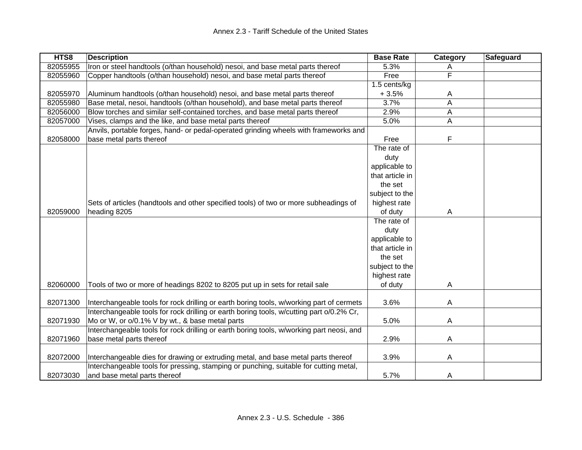| HTS8     | <b>Description</b>                                                                       | <b>Base Rate</b> | Category | <b>Safeguard</b> |
|----------|------------------------------------------------------------------------------------------|------------------|----------|------------------|
| 82055955 | Iron or steel handtools (o/than household) nesoi, and base metal parts thereof           | 5.3%             | A        |                  |
| 82055960 | Copper handtools (o/than household) nesoi, and base metal parts thereof                  | Free             | F        |                  |
|          |                                                                                          | 1.5 cents/kg     |          |                  |
| 82055970 | Aluminum handtools (o/than household) nesoi, and base metal parts thereof                | $+3.5%$          | A        |                  |
| 82055980 | Base metal, nesoi, handtools (o/than household), and base metal parts thereof            | 3.7%             | A        |                  |
| 82056000 | Blow torches and similar self-contained torches, and base metal parts thereof            | 2.9%             | Α        |                  |
| 82057000 | Vises, clamps and the like, and base metal parts thereof                                 | 5.0%             | A        |                  |
|          | Anvils, portable forges, hand- or pedal-operated grinding wheels with frameworks and     |                  |          |                  |
| 82058000 | base metal parts thereof                                                                 | Free             | F        |                  |
|          |                                                                                          | The rate of      |          |                  |
|          |                                                                                          | duty             |          |                  |
|          |                                                                                          | applicable to    |          |                  |
|          |                                                                                          | that article in  |          |                  |
|          |                                                                                          | the set          |          |                  |
|          |                                                                                          | subject to the   |          |                  |
|          | Sets of articles (handtools and other specified tools) of two or more subheadings of     | highest rate     |          |                  |
| 82059000 | heading 8205                                                                             | of duty          | A        |                  |
|          |                                                                                          | The rate of      |          |                  |
|          |                                                                                          | duty             |          |                  |
|          |                                                                                          | applicable to    |          |                  |
|          |                                                                                          | that article in  |          |                  |
|          |                                                                                          | the set          |          |                  |
|          |                                                                                          | subject to the   |          |                  |
|          |                                                                                          | highest rate     |          |                  |
| 82060000 | Tools of two or more of headings 8202 to 8205 put up in sets for retail sale             | of duty          | Α        |                  |
|          |                                                                                          |                  |          |                  |
| 82071300 | Interchangeable tools for rock drilling or earth boring tools, w/working part of cermets | 3.6%             | A        |                  |
|          | Interchangeable tools for rock drilling or earth boring tools, w/cutting part o/0.2% Cr, |                  |          |                  |
| 82071930 | Mo or W, or o/0.1% V by wt., & base metal parts                                          | 5.0%             | A        |                  |
|          | Interchangeable tools for rock drilling or earth boring tools, w/working part neosi, and |                  |          |                  |
| 82071960 | base metal parts thereof                                                                 | 2.9%             | A        |                  |
|          |                                                                                          |                  |          |                  |
| 82072000 | Interchangeable dies for drawing or extruding metal, and base metal parts thereof        | 3.9%             | A        |                  |
|          | Interchangeable tools for pressing, stamping or punching, suitable for cutting metal,    |                  |          |                  |
| 82073030 | and base metal parts thereof                                                             | 5.7%             | A        |                  |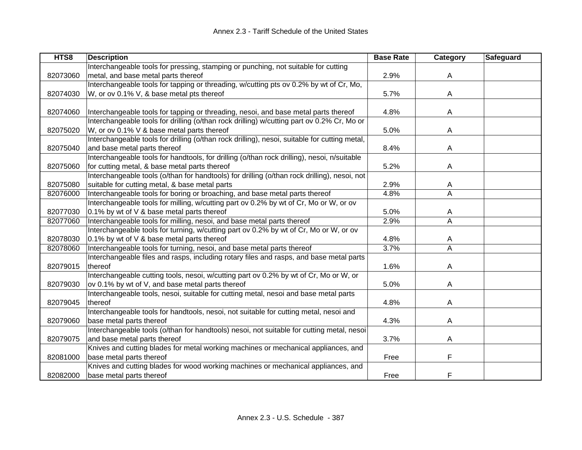| HTS8     | <b>Description</b>                                                                            | <b>Base Rate</b> | Category       | <b>Safeguard</b> |
|----------|-----------------------------------------------------------------------------------------------|------------------|----------------|------------------|
|          | Interchangeable tools for pressing, stamping or punching, not suitable for cutting            |                  |                |                  |
| 82073060 | metal, and base metal parts thereof                                                           | 2.9%             | A              |                  |
|          | Interchangeable tools for tapping or threading, w/cutting pts ov 0.2% by wt of Cr, Mo,        |                  |                |                  |
| 82074030 | W, or ov 0.1% V, & base metal pts thereof                                                     | 5.7%             | A              |                  |
|          |                                                                                               |                  |                |                  |
| 82074060 | Interchangeable tools for tapping or threading, nesoi, and base metal parts thereof           | 4.8%             | A              |                  |
|          | Interchangeable tools for drilling (o/than rock drilling) w/cutting part ov 0.2% Cr, Mo or    |                  |                |                  |
| 82075020 | W, or ov 0.1% V & base metal parts thereof                                                    | 5.0%             | A              |                  |
|          | Interchangeable tools for drilling (o/than rock drilling), nesoi, suitable for cutting metal, |                  |                |                  |
| 82075040 | and base metal parts thereof                                                                  | 8.4%             | A              |                  |
|          | Interchangeable tools for handtools, for drilling (o/than rock drilling), nesoi, n/suitable   |                  |                |                  |
| 82075060 | for cutting metal, & base metal parts thereof                                                 | 5.2%             | Α              |                  |
|          | Interchangeable tools (o/than for handtools) for drilling (o/than rock drilling), nesoi, not  |                  |                |                  |
| 82075080 | suitable for cutting metal, & base metal parts                                                | 2.9%             | A              |                  |
| 82076000 | Interchangeable tools for boring or broaching, and base metal parts thereof                   | 4.8%             | A              |                  |
|          | Interchangeable tools for milling, w/cutting part ov 0.2% by wt of Cr, Mo or W, or ov         |                  |                |                  |
| 82077030 | 0.1% by wt of V & base metal parts thereof                                                    | 5.0%             | A              |                  |
| 82077060 | Interchangeable tools for milling, nesoi, and base metal parts thereof                        | 2.9%             | $\overline{A}$ |                  |
|          | Interchangeable tools for turning, w/cutting part ov 0.2% by wt of Cr, Mo or W, or ov         |                  |                |                  |
| 82078030 | 0.1% by wt of V & base metal parts thereof                                                    | 4.8%             | A              |                  |
| 82078060 | Interchangeable tools for turning, nesoi, and base metal parts thereof                        | 3.7%             | A              |                  |
|          | Interchangeable files and rasps, including rotary files and rasps, and base metal parts       |                  |                |                  |
| 82079015 | thereof                                                                                       | 1.6%             | Α              |                  |
|          | Interchangeable cutting tools, nesoi, w/cutting part ov 0.2% by wt of Cr, Mo or W, or         |                  |                |                  |
| 82079030 | ov 0.1% by wt of V, and base metal parts thereof                                              | 5.0%             | A              |                  |
|          | Interchangeable tools, nesoi, suitable for cutting metal, nesoi and base metal parts          |                  |                |                  |
| 82079045 | thereof                                                                                       | 4.8%             | A              |                  |
|          | Interchangeable tools for handtools, nesoi, not suitable for cutting metal, nesoi and         |                  |                |                  |
| 82079060 | base metal parts thereof                                                                      | 4.3%             | A              |                  |
|          | Interchangeable tools (o/than for handtools) nesoi, not suitable for cutting metal, nesoi     |                  |                |                  |
| 82079075 | and base metal parts thereof                                                                  | 3.7%             | A              |                  |
|          | Knives and cutting blades for metal working machines or mechanical appliances, and            |                  |                |                  |
| 82081000 | base metal parts thereof                                                                      | Free             | F              |                  |
|          | Knives and cutting blades for wood working machines or mechanical appliances, and             |                  |                |                  |
| 82082000 | base metal parts thereof                                                                      | Free             | F              |                  |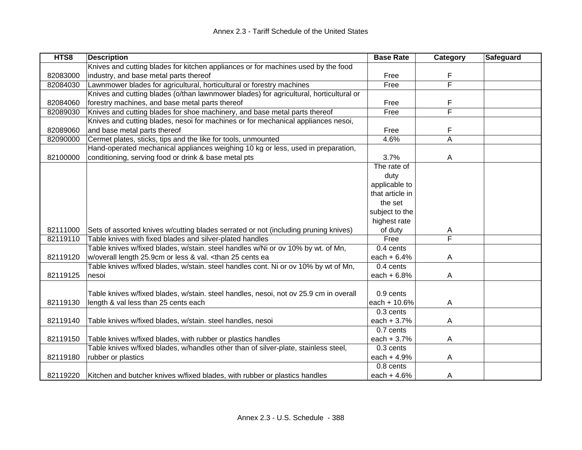| HTS8     | <b>Description</b>                                                                                                                   | <b>Base Rate</b> | Category                | Safeguard |
|----------|--------------------------------------------------------------------------------------------------------------------------------------|------------------|-------------------------|-----------|
|          | Knives and cutting blades for kitchen appliances or for machines used by the food                                                    |                  |                         |           |
| 82083000 | industry, and base metal parts thereof                                                                                               | Free             | F                       |           |
| 82084030 | Lawnmower blades for agricultural, horticultural or forestry machines                                                                | Free             | F                       |           |
|          | Knives and cutting blades (o/than lawnmower blades) for agricultural, horticultural or                                               |                  |                         |           |
| 82084060 | forestry machines, and base metal parts thereof                                                                                      | Free             | F                       |           |
| 82089030 | Knives and cutting blades for shoe machinery, and base metal parts thereof                                                           | Free             | F                       |           |
|          | Knives and cutting blades, nesoi for machines or for mechanical appliances nesoi,                                                    |                  |                         |           |
| 82089060 | and base metal parts thereof                                                                                                         | Free             | F                       |           |
| 82090000 | Cermet plates, sticks, tips and the like for tools, unmounted                                                                        | 4.6%             | A                       |           |
|          | Hand-operated mechanical appliances weighing 10 kg or less, used in preparation,                                                     |                  |                         |           |
| 82100000 | conditioning, serving food or drink & base metal pts                                                                                 | 3.7%             | A                       |           |
|          |                                                                                                                                      | The rate of      |                         |           |
|          |                                                                                                                                      | duty             |                         |           |
|          |                                                                                                                                      | applicable to    |                         |           |
|          |                                                                                                                                      | that article in  |                         |           |
|          |                                                                                                                                      | the set          |                         |           |
|          |                                                                                                                                      | subject to the   |                         |           |
|          |                                                                                                                                      | highest rate     |                         |           |
| 82111000 | Sets of assorted knives w/cutting blades serrated or not (including pruning knives)                                                  | of duty          | A                       |           |
| 82119110 | Table knives with fixed blades and silver-plated handles                                                                             | Free             | $\overline{\mathsf{F}}$ |           |
|          | Table knives w/fixed blades, w/stain. steel handles w/Ni or ov 10% by wt. of Mn,                                                     | 0.4 cents        |                         |           |
| 82119120 | w/overall length 25.9cm or less & val. <than 25="" cents="" ea<="" td=""><td>each <math>+ 6.4%</math></td><td>Α</td><td></td></than> | each $+ 6.4%$    | Α                       |           |
|          | Table knives w/fixed blades, w/stain. steel handles cont. Ni or ov 10% by wt of Mn.                                                  | 0.4 cents        |                         |           |
| 82119125 | nesoi                                                                                                                                | each $+6.8%$     | A                       |           |
|          |                                                                                                                                      |                  |                         |           |
|          | Table knives w/fixed blades, w/stain. steel handles, nesoi, not ov 25.9 cm in overall                                                | 0.9 cents        |                         |           |
| 82119130 | length & val less than 25 cents each                                                                                                 | each + 10.6%     | A                       |           |
|          |                                                                                                                                      | 0.3 cents        |                         |           |
| 82119140 | Table knives w/fixed blades, w/stain. steel handles, nesoi                                                                           | each $+3.7%$     | Α                       |           |
|          |                                                                                                                                      | 0.7 cents        |                         |           |
| 82119150 | Table knives w/fixed blades, with rubber or plastics handles                                                                         | each $+3.7%$     | A                       |           |
|          | Table knives w/fixed blades, w/handles other than of silver-plate, stainless steel,                                                  | 0.3 cents        |                         |           |
| 82119180 | rubber or plastics                                                                                                                   | each $+4.9%$     | Α                       |           |
|          |                                                                                                                                      | 0.8 cents        |                         |           |
| 82119220 | Kitchen and butcher knives w/fixed blades, with rubber or plastics handles                                                           | each $+4.6%$     | A                       |           |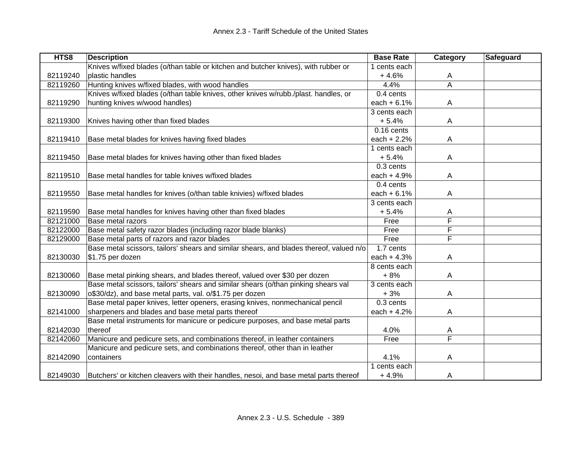| HTS8     | <b>Description</b>                                                                      | <b>Base Rate</b> | Category                | <b>Safeguard</b> |
|----------|-----------------------------------------------------------------------------------------|------------------|-------------------------|------------------|
|          | Knives w/fixed blades (o/than table or kitchen and butcher knives), with rubber or      | 1 cents each     |                         |                  |
| 82119240 | plastic handles                                                                         | $+4.6%$          | A                       |                  |
| 82119260 | Hunting knives w/fixed blades, with wood handles                                        | 4.4%             | $\overline{A}$          |                  |
|          | Knives w/fixed blades (o/than table knives, other knives w/rubb./plast. handles, or     | 0.4 cents        |                         |                  |
| 82119290 | hunting knives w/wood handles)                                                          | each $+6.1%$     | Α                       |                  |
|          |                                                                                         | 3 cents each     |                         |                  |
| 82119300 | Knives having other than fixed blades                                                   | $+5.4%$          | A                       |                  |
|          |                                                                                         | $0.16$ cents     |                         |                  |
| 82119410 | Base metal blades for knives having fixed blades                                        | each $+2.2%$     | A                       |                  |
|          |                                                                                         | 1 cents each     |                         |                  |
| 82119450 | Base metal blades for knives having other than fixed blades                             | $+5.4%$          | A                       |                  |
|          |                                                                                         | 0.3 cents        |                         |                  |
| 82119510 | Base metal handles for table knives w/fixed blades                                      | each $+4.9%$     | Α                       |                  |
|          |                                                                                         | 0.4 cents        |                         |                  |
| 82119550 | Base metal handles for knives (o/than table knivies) w/fixed blades                     | each $+ 6.1%$    | Α                       |                  |
|          |                                                                                         | 3 cents each     |                         |                  |
| 82119590 | Base metal handles for knives having other than fixed blades                            | $+5.4%$          | A                       |                  |
| 82121000 | Base metal razors                                                                       | Free             | F                       |                  |
| 82122000 | Base metal safety razor blades (including razor blade blanks)                           | Free             | F                       |                  |
| 82129000 | Base metal parts of razors and razor blades                                             | Free             | $\overline{\mathsf{F}}$ |                  |
|          | Base metal scissors, tailors' shears and similar shears, and blades thereof, valued n/o | $1.7$ cents      |                         |                  |
| 82130030 | \$1.75 per dozen                                                                        | each $+4.3%$     | Α                       |                  |
|          |                                                                                         | 8 cents each     |                         |                  |
| 82130060 | Base metal pinking shears, and blades thereof, valued over \$30 per dozen               | $+8%$            | A                       |                  |
|          | Base metal scissors, tailors' shears and similar shears (o/than pinking shears val      | 3 cents each     |                         |                  |
| 82130090 | o\$30/dz), and base metal parts, val. o/\$1.75 per dozen                                | $+3%$            | Α                       |                  |
|          | Base metal paper knives, letter openers, erasing knives, nonmechanical pencil           | 0.3 cents        |                         |                  |
| 82141000 | sharpeners and blades and base metal parts thereof                                      | each $+4.2%$     | A                       |                  |
|          | Base metal instruments for manicure or pedicure purposes, and base metal parts          |                  |                         |                  |
| 82142030 | thereof                                                                                 | 4.0%             | A                       |                  |
| 82142060 | Manicure and pedicure sets, and combinations thereof, in leather containers             | Free             | F                       |                  |
|          | Manicure and pedicure sets, and combinations thereof, other than in leather             |                  |                         |                  |
| 82142090 | containers                                                                              | 4.1%             | Α                       |                  |
|          |                                                                                         | 1 cents each     |                         |                  |
| 82149030 | Butchers' or kitchen cleavers with their handles, nesoi, and base metal parts thereof   | $+4.9%$          | A                       |                  |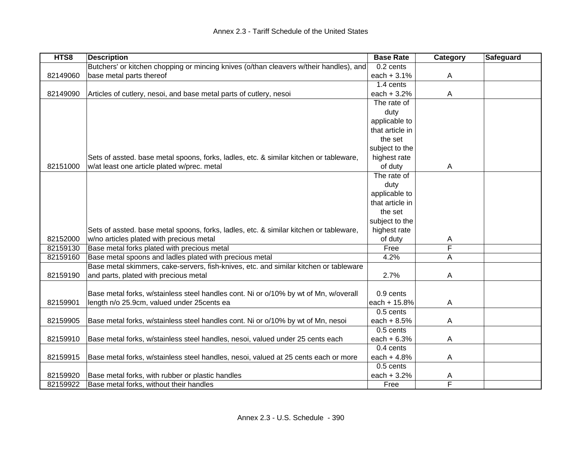| HTS8     | <b>Description</b>                                                                     | <b>Base Rate</b> | Category | <b>Safeguard</b> |
|----------|----------------------------------------------------------------------------------------|------------------|----------|------------------|
|          | Butchers' or kitchen chopping or mincing knives (o/than cleavers w/their handles), and | 0.2 cents        |          |                  |
| 82149060 | base metal parts thereof                                                               | each $+3.1%$     | A        |                  |
|          |                                                                                        | 1.4 cents        |          |                  |
| 82149090 | Articles of cutlery, nesoi, and base metal parts of cutlery, nesoi                     | each $+3.2%$     | A        |                  |
|          |                                                                                        | The rate of      |          |                  |
|          |                                                                                        | duty             |          |                  |
|          |                                                                                        | applicable to    |          |                  |
|          |                                                                                        | that article in  |          |                  |
|          |                                                                                        | the set          |          |                  |
|          |                                                                                        | subject to the   |          |                  |
|          | Sets of assted. base metal spoons, forks, ladles, etc. & similar kitchen or tableware, | highest rate     |          |                  |
| 82151000 | w/at least one article plated w/prec. metal                                            | of duty          | A        |                  |
|          |                                                                                        | The rate of      |          |                  |
|          |                                                                                        | duty             |          |                  |
|          |                                                                                        | applicable to    |          |                  |
|          |                                                                                        | that article in  |          |                  |
|          |                                                                                        | the set          |          |                  |
|          |                                                                                        | subject to the   |          |                  |
|          | Sets of assted. base metal spoons, forks, ladles, etc. & similar kitchen or tableware, | highest rate     |          |                  |
| 82152000 | w/no articles plated with precious metal                                               | of duty          | A        |                  |
| 82159130 | Base metal forks plated with precious metal                                            | Free             | F        |                  |
| 82159160 | Base metal spoons and ladles plated with precious metal                                | 4.2%             | Α        |                  |
|          | Base metal skimmers, cake-servers, fish-knives, etc. and similar kitchen or tableware  |                  |          |                  |
| 82159190 | and parts, plated with precious metal                                                  | 2.7%             | A        |                  |
|          |                                                                                        |                  |          |                  |
|          | Base metal forks, w/stainless steel handles cont. Ni or o/10% by wt of Mn, w/overall   | 0.9 cents        |          |                  |
| 82159901 | length n/o 25.9cm, valued under 25cents ea                                             | each + 15.8%     | Α        |                  |
|          |                                                                                        | 0.5 cents        |          |                  |
| 82159905 | Base metal forks, w/stainless steel handles cont. Ni or o/10% by wt of Mn, nesoi       | each $+8.5%$     | Α        |                  |
|          |                                                                                        | 0.5 cents        |          |                  |
| 82159910 | Base metal forks, w/stainless steel handles, nesoi, valued under 25 cents each         | each $+6.3%$     | Α        |                  |
|          |                                                                                        | 0.4 cents        |          |                  |
| 82159915 |                                                                                        | each $+4.8%$     |          |                  |
|          | Base metal forks, w/stainless steel handles, nesoi, valued at 25 cents each or more    | 0.5 cents        | Α        |                  |
|          |                                                                                        |                  |          |                  |
| 82159920 | Base metal forks, with rubber or plastic handles                                       | each + 3.2%      | Α<br>F   |                  |
| 82159922 | Base metal forks, without their handles                                                | Free             |          |                  |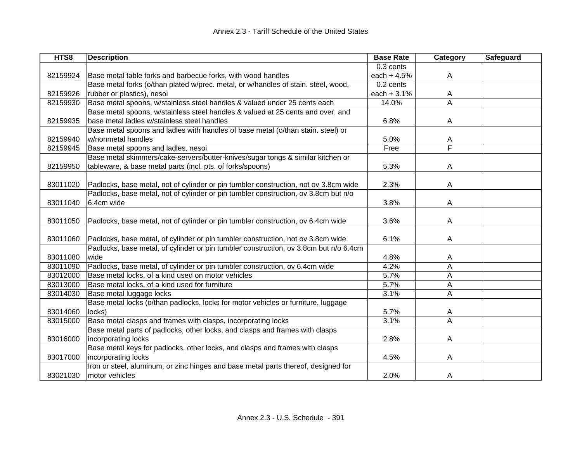| HTS8     | <b>Description</b>                                                                    | <b>Base Rate</b> | <b>Category</b> | <b>Safeguard</b> |
|----------|---------------------------------------------------------------------------------------|------------------|-----------------|------------------|
|          |                                                                                       | 0.3 cents        |                 |                  |
| 82159924 | Base metal table forks and barbecue forks, with wood handles                          | each $+4.5%$     | Α               |                  |
|          | Base metal forks (o/than plated w/prec. metal, or w/handles of stain. steel, wood,    | 0.2 cents        |                 |                  |
| 82159926 | rubber or plastics), nesoi                                                            | each $+3.1%$     | A               |                  |
| 82159930 | Base metal spoons, w/stainless steel handles & valued under 25 cents each             | 14.0%            | A               |                  |
|          | Base metal spoons, w/stainless steel handles & valued at 25 cents and over, and       |                  |                 |                  |
| 82159935 | base metal ladles w/stainless steel handles                                           | 6.8%             | A               |                  |
|          | Base metal spoons and ladles with handles of base metal (o/than stain. steel) or      |                  |                 |                  |
| 82159940 | w/nonmetal handles                                                                    | 5.0%             | A               |                  |
| 82159945 | Base metal spoons and ladles, nesoi                                                   | Free             | F               |                  |
|          | Base metal skimmers/cake-servers/butter-knives/sugar tongs & similar kitchen or       |                  |                 |                  |
| 82159950 | tableware, & base metal parts (incl. pts. of forks/spoons)                            | 5.3%             | A               |                  |
|          |                                                                                       |                  |                 |                  |
| 83011020 | Padlocks, base metal, not of cylinder or pin tumbler construction, not ov 3.8cm wide  | 2.3%             | A               |                  |
|          | Padlocks, base metal, not of cylinder or pin tumbler construction, ov 3.8cm but n/o   |                  |                 |                  |
| 83011040 | 6.4cm wide                                                                            | 3.8%             | Α               |                  |
|          |                                                                                       |                  |                 |                  |
| 83011050 | Padlocks, base metal, not of cylinder or pin tumbler construction, ov 6.4cm wide      | 3.6%             | A               |                  |
|          |                                                                                       |                  |                 |                  |
| 83011060 | Padlocks, base metal, of cylinder or pin tumbler construction, not ov 3.8cm wide      | 6.1%             | Α               |                  |
|          | Padlocks, base metal, of cylinder or pin tumbler construction, ov 3.8cm but n/o 6.4cm |                  |                 |                  |
| 83011080 | wide                                                                                  | 4.8%             | A               |                  |
| 83011090 | Padlocks, base metal, of cylinder or pin tumbler construction, ov 6.4cm wide          | 4.2%             | A               |                  |
| 83012000 | Base metal locks, of a kind used on motor vehicles                                    | 5.7%             | Α               |                  |
| 83013000 | Base metal locks, of a kind used for furniture                                        | 5.7%             | Α               |                  |
| 83014030 | Base metal luggage locks                                                              | 3.1%             | A               |                  |
|          | Base metal locks (o/than padlocks, locks for motor vehicles or furniture, luggage     |                  |                 |                  |
| 83014060 | locks)                                                                                | 5.7%             | A               |                  |
| 83015000 | Base metal clasps and frames with clasps, incorporating locks                         | 3.1%             | A               |                  |
|          | Base metal parts of padlocks, other locks, and clasps and frames with clasps          |                  |                 |                  |
| 83016000 | incorporating locks                                                                   | 2.8%             | A               |                  |
|          | Base metal keys for padlocks, other locks, and clasps and frames with clasps          |                  |                 |                  |
| 83017000 | incorporating locks                                                                   | 4.5%             | A               |                  |
|          | Iron or steel, aluminum, or zinc hinges and base metal parts thereof, designed for    |                  |                 |                  |
| 83021030 | motor vehicles                                                                        | 2.0%             | A               |                  |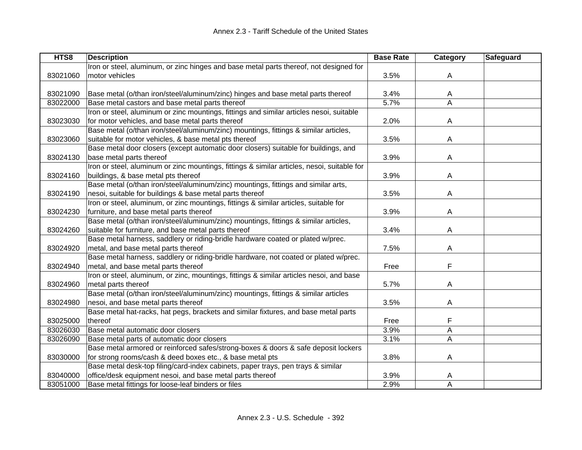| HTS8     | <b>Description</b>                                                                          | <b>Base Rate</b> | Category | Safeguard |
|----------|---------------------------------------------------------------------------------------------|------------------|----------|-----------|
|          | Iron or steel, aluminum, or zinc hinges and base metal parts thereof, not designed for      |                  |          |           |
| 83021060 | motor vehicles                                                                              | 3.5%             | A        |           |
|          |                                                                                             |                  |          |           |
| 83021090 | Base metal (o/than iron/steel/aluminum/zinc) hinges and base metal parts thereof            | 3.4%             | A        |           |
| 83022000 | Base metal castors and base metal parts thereof                                             | 5.7%             | A        |           |
|          | Iron or steel, aluminum or zinc mountings, fittings and similar articles nesoi, suitable    |                  |          |           |
| 83023030 | for motor vehicles, and base metal parts thereof                                            | 2.0%             | A        |           |
|          | Base metal (o/than iron/steel/aluminum/zinc) mountings, fittings & similar articles,        |                  |          |           |
| 83023060 | suitable for motor vehicles, & base metal pts thereof                                       | 3.5%             | A        |           |
|          | Base metal door closers (except automatic door closers) suitable for buildings, and         |                  |          |           |
| 83024130 | base metal parts thereof                                                                    | 3.9%             | A        |           |
|          | Iron or steel, aluminum or zinc mountings, fittings & similar articles, nesoi, suitable for |                  |          |           |
| 83024160 | buildings, & base metal pts thereof                                                         | 3.9%             | A        |           |
|          | Base metal (o/than iron/steel/aluminum/zinc) mountings, fittings and similar arts,          |                  |          |           |
| 83024190 | nesoi, suitable for buildings & base metal parts thereof                                    | 3.5%             | A        |           |
|          | Iron or steel, aluminum, or zinc mountings, fittings & similar articles, suitable for       |                  |          |           |
| 83024230 | furniture, and base metal parts thereof                                                     | 3.9%             | A        |           |
|          | Base metal (o/than iron/steel/aluminum/zinc) mountings, fittings & similar articles,        |                  |          |           |
| 83024260 | suitable for furniture, and base metal parts thereof                                        | 3.4%             | A        |           |
|          | Base metal harness, saddlery or riding-bridle hardware coated or plated w/prec.             |                  |          |           |
| 83024920 | metal, and base metal parts thereof                                                         | 7.5%             | A        |           |
|          | Base metal harness, saddlery or riding-bridle hardware, not coated or plated w/prec.        |                  |          |           |
| 83024940 | metal, and base metal parts thereof                                                         | Free             | F        |           |
|          | Iron or steel, aluminum, or zinc, mountings, fittings & similar articles nesoi, and base    |                  |          |           |
| 83024960 | metal parts thereof                                                                         | 5.7%             | A        |           |
|          | Base metal (o/than iron/steel/aluminum/zinc) mountings, fittings & similar articles         |                  |          |           |
| 83024980 | nesoi, and base metal parts thereof                                                         | 3.5%             | A        |           |
|          | Base metal hat-racks, hat pegs, brackets and similar fixtures, and base metal parts         |                  |          |           |
| 83025000 | thereof                                                                                     | Free             | F        |           |
| 83026030 | Base metal automatic door closers                                                           | 3.9%             | A        |           |
| 83026090 | Base metal parts of automatic door closers                                                  | 3.1%             | A        |           |
|          | Base metal armored or reinforced safes/strong-boxes & doors & safe deposit lockers          |                  |          |           |
| 83030000 | for strong rooms/cash & deed boxes etc., & base metal pts                                   | 3.8%             | A        |           |
|          | Base metal desk-top filing/card-index cabinets, paper trays, pen trays & similar            |                  |          |           |
| 83040000 | office/desk equipment nesoi, and base metal parts thereof                                   | 3.9%             | A        |           |
| 83051000 | Base metal fittings for loose-leaf binders or files                                         | 2.9%             | A        |           |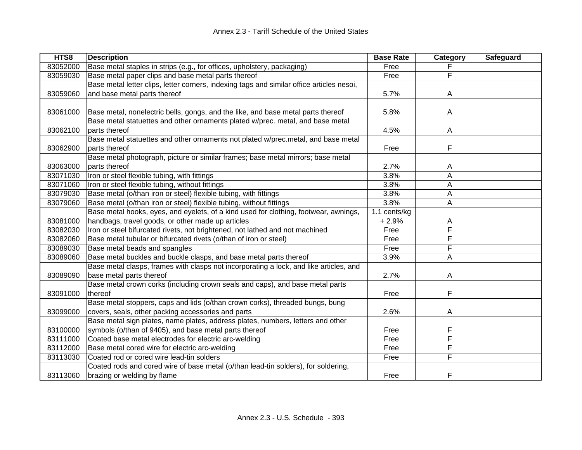| HTS8     | <b>Description</b>                                                                        | <b>Base Rate</b> | Category | Safeguard |
|----------|-------------------------------------------------------------------------------------------|------------------|----------|-----------|
| 83052000 | Base metal staples in strips (e.g., for offices, upholstery, packaging)                   | Free             |          |           |
| 83059030 | Base metal paper clips and base metal parts thereof                                       | Free             | F        |           |
|          | Base metal letter clips, letter corners, indexing tags and similar office articles nesoi, |                  |          |           |
| 83059060 | and base metal parts thereof                                                              | 5.7%             | A        |           |
|          |                                                                                           |                  |          |           |
| 83061000 | Base metal, nonelectric bells, gongs, and the like, and base metal parts thereof          | 5.8%             | A        |           |
|          | Base metal statuettes and other ornaments plated w/prec. metal, and base metal            |                  |          |           |
| 83062100 | parts thereof                                                                             | 4.5%             | A        |           |
|          | Base metal statuettes and other ornaments not plated w/prec.metal, and base metal         |                  |          |           |
| 83062900 | parts thereof                                                                             | Free             | F        |           |
|          | Base metal photograph, picture or similar frames; base metal mirrors; base metal          |                  |          |           |
| 83063000 | parts thereof                                                                             | 2.7%             | A        |           |
| 83071030 | Iron or steel flexible tubing, with fittings                                              | 3.8%             | A        |           |
| 83071060 | Iron or steel flexible tubing, without fittings                                           | 3.8%             | Α        |           |
| 83079030 | Base metal (o/than iron or steel) flexible tubing, with fittings                          | 3.8%             | Α        |           |
| 83079060 | Base metal (o/than iron or steel) flexible tubing, without fittings                       | 3.8%             | A        |           |
|          | Base metal hooks, eyes, and eyelets, of a kind used for clothing, footwear, awnings,      | 1.1 cents/kg     |          |           |
| 83081000 | handbags, travel goods, or other made up articles                                         | $+2.9%$          | A        |           |
| 83082030 | Iron or steel bifurcated rivets, not brightened, not lathed and not machined              | Free             | F        |           |
| 83082060 | Base metal tubular or bifurcated rivets (o/than of iron or steel)                         | Free             | F        |           |
| 83089030 | Base metal beads and spangles                                                             | Free             | F        |           |
| 83089060 | Base metal buckles and buckle clasps, and base metal parts thereof                        | 3.9%             | Α        |           |
|          | Base metal clasps, frames with clasps not incorporating a lock, and like articles, and    |                  |          |           |
| 83089090 | base metal parts thereof                                                                  | 2.7%             | Α        |           |
|          | Base metal crown corks (including crown seals and caps), and base metal parts             |                  |          |           |
| 83091000 | thereof                                                                                   | Free             | F        |           |
|          | Base metal stoppers, caps and lids (o/than crown corks), threaded bungs, bung             |                  |          |           |
| 83099000 | covers, seals, other packing accessories and parts                                        | 2.6%             | A        |           |
|          | Base metal sign plates, name plates, address plates, numbers, letters and other           |                  |          |           |
| 83100000 | symbols (o/than of 9405), and base metal parts thereof                                    | Free             | F        |           |
| 83111000 | Coated base metal electrodes for electric arc-welding                                     | Free             | F        |           |
| 83112000 | Base metal cored wire for electric arc-welding                                            | Free             | F        |           |
| 83113030 | Coated rod or cored wire lead-tin solders                                                 | Free             | F        |           |
|          | Coated rods and cored wire of base metal (o/than lead-tin solders), for soldering,        |                  |          |           |
| 83113060 | brazing or welding by flame                                                               | Free             | F        |           |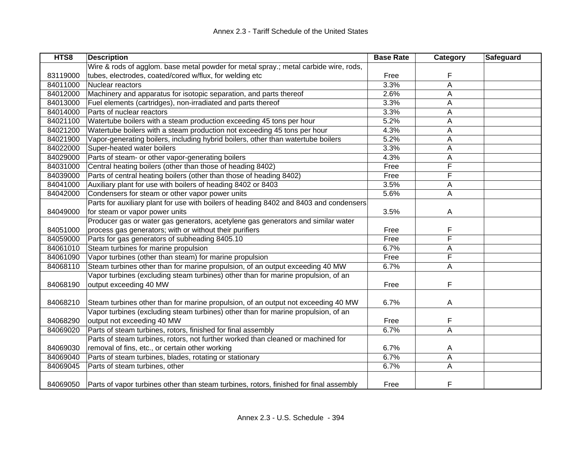| HTS8     | <b>Description</b>                                                                     | <b>Base Rate</b> | Category | Safeguard |
|----------|----------------------------------------------------------------------------------------|------------------|----------|-----------|
|          | Wire & rods of agglom. base metal powder for metal spray.; metal carbide wire, rods,   |                  |          |           |
| 83119000 | tubes, electrodes, coated/cored w/flux, for welding etc                                | Free             | F        |           |
| 84011000 | Nuclear reactors                                                                       | 3.3%             | A        |           |
| 84012000 | Machinery and apparatus for isotopic separation, and parts thereof                     | 2.6%             | Α        |           |
| 84013000 | Fuel elements (cartridges), non-irradiated and parts thereof                           | 3.3%             | А        |           |
| 84014000 | Parts of nuclear reactors                                                              | 3.3%             | А        |           |
| 84021100 | Watertube boilers with a steam production exceeding 45 tons per hour                   | 5.2%             | Α        |           |
| 84021200 | Watertube boilers with a steam production not exceeding 45 tons per hour               | 4.3%             | А        |           |
| 84021900 | Vapor-generating boilers, including hybrid boilers, other than watertube boilers       | 5.2%             | А        |           |
| 84022000 | Super-heated water boilers                                                             | 3.3%             | Α        |           |
| 84029000 | Parts of steam- or other vapor-generating boilers                                      | 4.3%             | Α        |           |
| 84031000 | Central heating boilers (other than those of heading 8402)                             | Free             | F        |           |
| 84039000 | Parts of central heating boilers (other than those of heading 8402)                    | Free             | F        |           |
| 84041000 | Auxiliary plant for use with boilers of heading 8402 or 8403                           | 3.5%             | Α        |           |
| 84042000 | Condensers for steam or other vapor power units                                        | 5.6%             | Α        |           |
|          | Parts for auxiliary plant for use with boilers of heading 8402 and 8403 and condensers |                  |          |           |
| 84049000 | for steam or vapor power units                                                         | 3.5%             | A        |           |
|          | Producer gas or water gas generators, acetylene gas generators and similar water       |                  |          |           |
| 84051000 | process gas generators; with or without their purifiers                                | Free             | F        |           |
| 84059000 | Parts for gas generators of subheading 8405.10                                         | Free             | F        |           |
| 84061010 | Steam turbines for marine propulsion                                                   | 6.7%             | Α        |           |
| 84061090 | Vapor turbines (other than steam) for marine propulsion                                | Free             | F        |           |
| 84068110 | Steam turbines other than for marine propulsion, of an output exceeding 40 MW          | 6.7%             | A        |           |
|          | Vapor turbines (excluding steam turbines) other than for marine propulsion, of an      |                  |          |           |
| 84068190 | output exceeding 40 MW                                                                 | Free             | F        |           |
|          |                                                                                        |                  |          |           |
| 84068210 | Steam turbines other than for marine propulsion, of an output not exceeding 40 MW      | 6.7%             | A        |           |
|          | Vapor turbines (excluding steam turbines) other than for marine propulsion, of an      |                  |          |           |
| 84068290 | output not exceeding 40 MW                                                             | Free             | F        |           |
| 84069020 | Parts of steam turbines, rotors, finished for final assembly                           | 6.7%             | Α        |           |
|          | Parts of steam turbines, rotors, not further worked than cleaned or machined for       |                  |          |           |
| 84069030 | removal of fins, etc., or certain other working                                        | 6.7%             | A        |           |
| 84069040 | Parts of steam turbines, blades, rotating or stationary                                | 6.7%             | A        |           |
| 84069045 | Parts of steam turbines, other                                                         | 6.7%             | Α        |           |
|          |                                                                                        |                  |          |           |
| 84069050 | Parts of vapor turbines other than steam turbines, rotors, finished for final assembly | Free             | F        |           |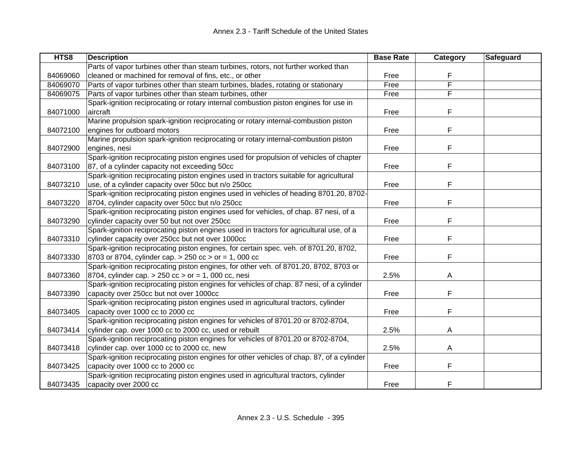| HTS8     | <b>Description</b>                                                                        | <b>Base Rate</b> | Category | Safeguard |
|----------|-------------------------------------------------------------------------------------------|------------------|----------|-----------|
|          | Parts of vapor turbines other than steam turbines, rotors, not further worked than        |                  |          |           |
| 84069060 | cleaned or machined for removal of fins, etc., or other                                   | Free             | F        |           |
| 84069070 | Parts of vapor turbines other than steam turbines, blades, rotating or stationary         | Free             | F        |           |
| 84069075 | Parts of vapor turbines other than steam turbines, other                                  | Free             | F        |           |
|          | Spark-ignition reciprocating or rotary internal combustion piston engines for use in      |                  |          |           |
| 84071000 | aircraft                                                                                  | Free             | F        |           |
|          | Marine propulsion spark-ignition reciprocating or rotary internal-combustion piston       |                  |          |           |
| 84072100 | engines for outboard motors                                                               | Free             | F        |           |
|          | Marine propulsion spark-ignition reciprocating or rotary internal-combustion piston       |                  |          |           |
| 84072900 | engines, nesi                                                                             | Free             | F        |           |
|          | Spark-ignition reciprocating piston engines used for propulsion of vehicles of chapter    |                  |          |           |
| 84073100 | 87, of a cylinder capacity not exceeding 50cc                                             | Free             | F        |           |
|          | Spark-ignition reciprocating piston engines used in tractors suitable for agricultural    |                  |          |           |
| 84073210 | use, of a cylinder capacity over 50cc but n/o 250cc                                       | Free             | F        |           |
|          | Spark-ignition reciprocating piston engines used in vehicles of heading 8701.20, 8702-    |                  |          |           |
| 84073220 | 8704, cylinder capacity over 50cc but n/o 250cc                                           | Free             | F        |           |
|          | Spark-ignition reciprocating piston engines used for vehicles, of chap. 87 nesi, of a     |                  |          |           |
| 84073290 | cylinder capacity over 50 but not over 250cc                                              | Free             | F        |           |
|          | Spark-ignition reciprocating piston engines used in tractors for agricultural use, of a   |                  |          |           |
| 84073310 | cylinder capacity over 250cc but not over 1000cc                                          | Free             | F        |           |
|          | Spark-ignition reciprocating piston engines, for certain spec. veh. of 8701.20, 8702,     |                  |          |           |
| 84073330 | 8703 or 8704, cylinder cap. > 250 cc > or = 1, 000 cc                                     | Free             | F        |           |
|          | Spark-ignition reciprocating piston engines, for other veh. of 8701.20, 8702, 8703 or     |                  |          |           |
| 84073360 | 8704, cylinder cap. $> 250$ cc $>$ or = 1, 000 cc, nesi                                   | 2.5%             | A        |           |
|          | Spark-ignition reciprocating piston engines for vehicles of chap. 87 nesi, of a cylinder  |                  |          |           |
| 84073390 | capacity over 250cc but not over 1000cc                                                   | Free             | F        |           |
|          | Spark-ignition reciprocating piston engines used in agricultural tractors, cylinder       |                  |          |           |
| 84073405 | capacity over 1000 cc to 2000 cc                                                          | Free             | F        |           |
|          | Spark-ignition reciprocating piston engines for vehicles of 8701.20 or 8702-8704,         |                  |          |           |
| 84073414 | cylinder cap. over 1000 cc to 2000 cc, used or rebuilt                                    | 2.5%             | A        |           |
|          | Spark-ignition reciprocating piston engines for vehicles of 8701.20 or 8702-8704,         |                  |          |           |
| 84073418 | cylinder cap. over 1000 cc to 2000 cc, new                                                | 2.5%             | A        |           |
|          | Spark-ignition reciprocating piston engines for other vehicles of chap. 87, of a cylinder |                  |          |           |
| 84073425 | capacity over 1000 cc to 2000 cc                                                          | Free             | F        |           |
|          | Spark-ignition reciprocating piston engines used in agricultural tractors, cylinder       |                  |          |           |
| 84073435 | capacity over 2000 cc                                                                     | Free             | F        |           |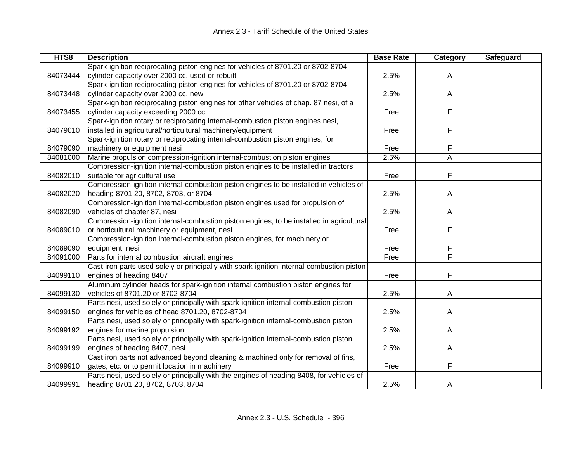| HTS8     | <b>Description</b>                                                                        | <b>Base Rate</b> | Category | Safeguard |
|----------|-------------------------------------------------------------------------------------------|------------------|----------|-----------|
|          | Spark-ignition reciprocating piston engines for vehicles of 8701.20 or 8702-8704,         |                  |          |           |
| 84073444 | cylinder capacity over 2000 cc, used or rebuilt                                           | 2.5%             | A        |           |
|          | Spark-ignition reciprocating piston engines for vehicles of 8701.20 or 8702-8704,         |                  |          |           |
| 84073448 | cylinder capacity over 2000 cc, new                                                       | 2.5%             | A        |           |
|          | Spark-ignition reciprocating piston engines for other vehicles of chap. 87 nesi, of a     |                  |          |           |
| 84073455 | cylinder capacity exceeding 2000 cc                                                       | Free             | F        |           |
|          | Spark-ignition rotary or reciprocating internal-combustion piston engines nesi,           |                  |          |           |
| 84079010 | installed in agricultural/horticultural machinery/equipment                               | Free             | F        |           |
|          | Spark-ignition rotary or reciprocating internal-combustion piston engines, for            |                  |          |           |
| 84079090 | machinery or equipment nesi                                                               | Free             | F        |           |
| 84081000 | Marine propulsion compression-ignition internal-combustion piston engines                 | 2.5%             | A        |           |
|          | Compression-ignition internal-combustion piston engines to be installed in tractors       |                  |          |           |
| 84082010 | suitable for agricultural use                                                             | Free             | F        |           |
|          | Compression-ignition internal-combustion piston engines to be installed in vehicles of    |                  |          |           |
| 84082020 | heading 8701.20, 8702, 8703, or 8704                                                      | 2.5%             | A        |           |
|          | Compression-ignition internal-combustion piston engines used for propulsion of            |                  |          |           |
| 84082090 | vehicles of chapter 87, nesi                                                              | 2.5%             | A        |           |
|          | Compression-ignition internal-combustion piston engines, to be installed in agricultural  |                  |          |           |
| 84089010 | or horticultural machinery or equipment, nesi                                             | Free             | F        |           |
|          | Compression-ignition internal-combustion piston engines, for machinery or                 |                  |          |           |
| 84089090 | equipment, nesi                                                                           | Free             | F        |           |
| 84091000 | Parts for internal combustion aircraft engines                                            | Free             | F        |           |
|          | Cast-iron parts used solely or principally with spark-ignition internal-combustion piston |                  |          |           |
| 84099110 | engines of heading 8407                                                                   | Free             | F        |           |
|          | Aluminum cylinder heads for spark-ignition internal combustion piston engines for         |                  |          |           |
| 84099130 | vehicles of 8701.20 or 8702-8704                                                          | 2.5%             | A        |           |
|          | Parts nesi, used solely or principally with spark-ignition internal-combustion piston     |                  |          |           |
| 84099150 | engines for vehicles of head 8701.20, 8702-8704                                           | 2.5%             | A        |           |
|          | Parts nesi, used solely or principally with spark-ignition internal-combustion piston     |                  |          |           |
| 84099192 | engines for marine propulsion                                                             | 2.5%             | Α        |           |
|          | Parts nesi, used solely or principally with spark-ignition internal-combustion piston     |                  |          |           |
| 84099199 | engines of heading 8407, nesi                                                             | 2.5%             | A        |           |
|          | Cast iron parts not advanced beyond cleaning & machined only for removal of fins,         |                  |          |           |
| 84099910 | gates, etc. or to permit location in machinery                                            | Free             | F        |           |
|          | Parts nesi, used solely or principally with the engines of heading 8408, for vehicles of  |                  |          |           |
| 84099991 | heading 8701.20, 8702, 8703, 8704                                                         | 2.5%             | A        |           |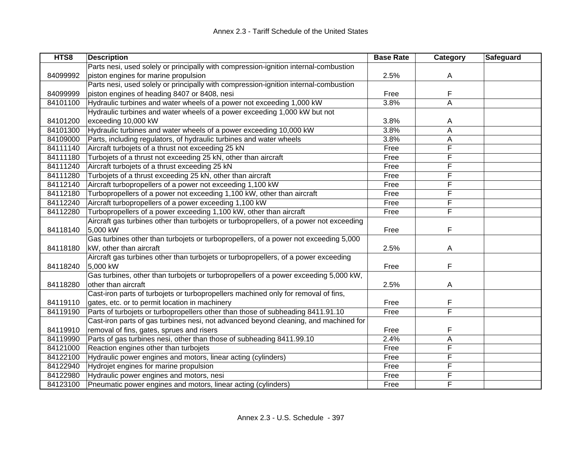| HTS8     | <b>Description</b>                                                                      | <b>Base Rate</b> | <b>Category</b> | Safeguard |
|----------|-----------------------------------------------------------------------------------------|------------------|-----------------|-----------|
|          | Parts nesi, used solely or principally with compression-ignition internal-combustion    |                  |                 |           |
| 84099992 | piston engines for marine propulsion                                                    | 2.5%             | A               |           |
|          | Parts nesi, used solely or principally with compression-ignition internal-combustion    |                  |                 |           |
| 84099999 | piston engines of heading 8407 or 8408, nesi                                            | Free             | F               |           |
| 84101100 | Hydraulic turbines and water wheels of a power not exceeding 1,000 kW                   | 3.8%             | A               |           |
|          | Hydraulic turbines and water wheels of a power exceeding 1,000 kW but not               |                  |                 |           |
| 84101200 | exceeding 10,000 kW                                                                     | 3.8%             | A               |           |
| 84101300 | Hydraulic turbines and water wheels of a power exceeding 10,000 kW                      | 3.8%             | A               |           |
| 84109000 | Parts, including regulators, of hydraulic turbines and water wheels                     | 3.8%             | А               |           |
| 84111140 | Aircraft turbojets of a thrust not exceeding 25 kN                                      | Free             | F               |           |
| 84111180 | Turbojets of a thrust not exceeding 25 kN, other than aircraft                          | Free             | F               |           |
| 84111240 | Aircraft turbojets of a thrust exceeding 25 kN                                          | Free             | F               |           |
| 84111280 | Turbojets of a thrust exceeding 25 kN, other than aircraft                              | Free             | F               |           |
| 84112140 | Aircraft turbopropellers of a power not exceeding 1,100 kW                              | Free             | F               |           |
| 84112180 | Turbopropellers of a power not exceeding 1,100 kW, other than aircraft                  | Free             | F               |           |
| 84112240 | Aircraft turbopropellers of a power exceeding 1,100 kW                                  | Free             | F               |           |
| 84112280 | Turbopropellers of a power exceeding 1,100 kW, other than aircraft                      | Free             | F               |           |
|          | Aircraft gas turbines other than turbojets or turbopropellers, of a power not exceeding |                  |                 |           |
| 84118140 | 5,000 kW                                                                                | Free             | F               |           |
|          | Gas turbines other than turbojets or turbopropellers, of a power not exceeding 5,000    |                  |                 |           |
| 84118180 | kW, other than aircraft                                                                 | 2.5%             | A               |           |
|          | Aircraft gas turbines other than turbojets or turbopropellers, of a power exceeding     |                  |                 |           |
| 84118240 | 5,000 kW                                                                                | Free             | F               |           |
|          | Gas turbines, other than turbojets or turbopropellers of a power exceeding 5,000 kW,    |                  |                 |           |
| 84118280 | other than aircraft                                                                     | 2.5%             | A               |           |
|          | Cast-iron parts of turbojets or turbopropellers machined only for removal of fins,      |                  |                 |           |
| 84119110 | gates, etc. or to permit location in machinery                                          | Free             | F               |           |
| 84119190 | Parts of turbojets or turbopropellers other than those of subheading 8411.91.10         | Free             | F               |           |
|          | Cast-iron parts of gas turbines nesi, not advanced beyond cleaning, and machined for    |                  |                 |           |
| 84119910 | removal of fins, gates, sprues and risers                                               | Free             | F               |           |
| 84119990 | Parts of gas turbines nesi, other than those of subheading 8411.99.10                   | 2.4%             | А               |           |
| 84121000 | Reaction engines other than turbojets                                                   | Free             | F               |           |
| 84122100 | Hydraulic power engines and motors, linear acting (cylinders)                           | Free             | F               |           |
| 84122940 | Hydrojet engines for marine propulsion                                                  | Free             | F               |           |
| 84122980 | Hydraulic power engines and motors, nesi                                                | Free             | F               |           |
| 84123100 | Pneumatic power engines and motors, linear acting (cylinders)                           | Free             | F               |           |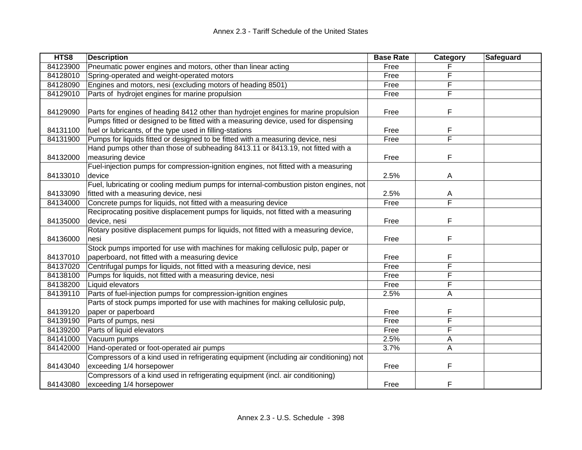| HTS8     | <b>Description</b>                                                                     | <b>Base Rate</b> | Category | Safeguard |
|----------|----------------------------------------------------------------------------------------|------------------|----------|-----------|
| 84123900 | Pneumatic power engines and motors, other than linear acting                           | Free             |          |           |
| 84128010 | Spring-operated and weight-operated motors                                             | Free             | F        |           |
| 84128090 | Engines and motors, nesi (excluding motors of heading 8501)                            | Free             | F        |           |
| 84129010 | Parts of hydrojet engines for marine propulsion                                        | Free             | F        |           |
|          |                                                                                        |                  |          |           |
| 84129090 | Parts for engines of heading 8412 other than hydrojet engines for marine propulsion    | Free             | F        |           |
|          | Pumps fitted or designed to be fitted with a measuring device, used for dispensing     |                  |          |           |
| 84131100 | fuel or lubricants, of the type used in filling-stations                               | Free             | F        |           |
| 84131900 | Pumps for liquids fitted or designed to be fitted with a measuring device, nesi        | Free             | F        |           |
|          | Hand pumps other than those of subheading 8413.11 or 8413.19, not fitted with a        |                  |          |           |
| 84132000 | measuring device                                                                       | Free             | F        |           |
|          | Fuel-injection pumps for compression-ignition engines, not fitted with a measuring     |                  |          |           |
| 84133010 | device                                                                                 | 2.5%             | A        |           |
|          | Fuel, lubricating or cooling medium pumps for internal-combustion piston engines, not  |                  |          |           |
| 84133090 | fitted with a measuring device, nesi                                                   | 2.5%             | A        |           |
| 84134000 | Concrete pumps for liquids, not fitted with a measuring device                         | Free             | F        |           |
|          | Reciprocating positive displacement pumps for liquids, not fitted with a measuring     |                  |          |           |
| 84135000 | device, nesi                                                                           | Free             | F        |           |
|          | Rotary positive displacement pumps for liquids, not fitted with a measuring device,    |                  |          |           |
| 84136000 | nesi                                                                                   | Free             | F        |           |
|          | Stock pumps imported for use with machines for making cellulosic pulp, paper or        |                  |          |           |
| 84137010 | paperboard, not fitted with a measuring device                                         | Free             | F        |           |
| 84137020 | Centrifugal pumps for liquids, not fitted with a measuring device, nesi                | Free             | F        |           |
| 84138100 | Pumps for liquids, not fitted with a measuring device, nesi                            | Free             | F        |           |
| 84138200 | Liquid elevators                                                                       | Free             | F        |           |
| 84139110 | Parts of fuel-injection pumps for compression-ignition engines                         | 2.5%             | A        |           |
|          | Parts of stock pumps imported for use with machines for making cellulosic pulp,        |                  |          |           |
| 84139120 | paper or paperboard                                                                    | Free             | F        |           |
| 84139190 | Parts of pumps, nesi                                                                   | Free             | F        |           |
| 84139200 | Parts of liquid elevators                                                              | Free             | F        |           |
| 84141000 | Vacuum pumps                                                                           | 2.5%             | Α        |           |
| 84142000 | Hand-operated or foot-operated air pumps                                               | 3.7%             | A        |           |
|          | Compressors of a kind used in refrigerating equipment (including air conditioning) not |                  |          |           |
| 84143040 | exceeding 1/4 horsepower                                                               | Free             | F        |           |
|          | Compressors of a kind used in refrigerating equipment (incl. air conditioning)         |                  |          |           |
| 84143080 | exceeding 1/4 horsepower                                                               | Free             | F        |           |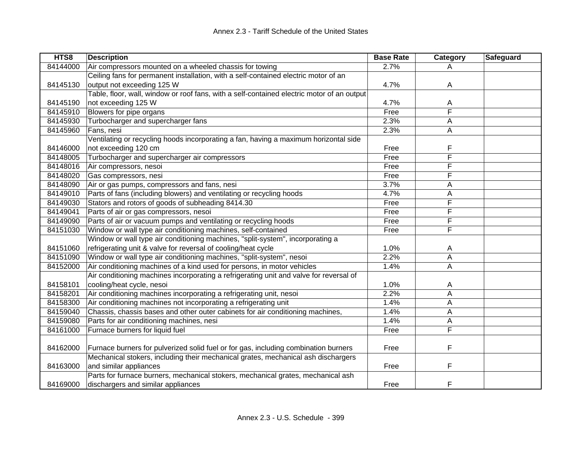| HTS8     | <b>Description</b>                                                                         | <b>Base Rate</b> | Category | Safeguard |
|----------|--------------------------------------------------------------------------------------------|------------------|----------|-----------|
| 84144000 | Air compressors mounted on a wheeled chassis for towing                                    | 2.7%             | A        |           |
|          | Ceiling fans for permanent installation, with a self-contained electric motor of an        |                  |          |           |
| 84145130 | output not exceeding 125 W                                                                 | 4.7%             | A        |           |
|          | Table, floor, wall, window or roof fans, with a self-contained electric motor of an output |                  |          |           |
| 84145190 | not exceeding 125 W                                                                        | 4.7%             | A        |           |
| 84145910 | Blowers for pipe organs                                                                    | Free             | F        |           |
| 84145930 | Turbocharger and supercharger fans                                                         | 2.3%             | A        |           |
| 84145960 | Fans, nesi                                                                                 | 2.3%             | Α        |           |
|          | Ventilating or recycling hoods incorporating a fan, having a maximum horizontal side       |                  |          |           |
| 84146000 | not exceeding 120 cm                                                                       | Free             | F        |           |
| 84148005 | Turbocharger and supercharger air compressors                                              | Free             | F        |           |
| 84148016 | Air compressors, nesoi                                                                     | Free             | F        |           |
| 84148020 | Gas compressors, nesi                                                                      | Free             | F        |           |
| 84148090 | Air or gas pumps, compressors and fans, nesi                                               | 3.7%             | A        |           |
| 84149010 | Parts of fans (including blowers) and ventilating or recycling hoods                       | 4.7%             | А        |           |
| 84149030 | Stators and rotors of goods of subheading 8414.30                                          | Free             | F        |           |
| 84149041 | Parts of air or gas compressors, nesoi                                                     | Free             | F        |           |
| 84149090 | Parts of air or vacuum pumps and ventilating or recycling hoods                            | Free             | F        |           |
| 84151030 | Window or wall type air conditioning machines, self-contained                              | Free             | F        |           |
|          | Window or wall type air conditioning machines, "split-system", incorporating a             |                  |          |           |
| 84151060 | refrigerating unit & valve for reversal of cooling/heat cycle                              | 1.0%             | A        |           |
| 84151090 | Window or wall type air conditioning machines, "split-system", nesoi                       | 2.2%             | A        |           |
| 84152000 | Air conditioning machines of a kind used for persons, in motor vehicles                    | 1.4%             | A        |           |
|          | Air conditioning machines incorporating a refrigerating unit and valve for reversal of     |                  |          |           |
| 84158101 | cooling/heat cycle, nesoi                                                                  | 1.0%             | A        |           |
| 84158201 | Air conditioning machines incorporating a refrigerating unit, nesoi                        | 2.2%             | A        |           |
| 84158300 | Air conditioning machines not incorporating a refrigerating unit                           | 1.4%             | A        |           |
| 84159040 | Chassis, chassis bases and other outer cabinets for air conditioning machines,             | 1.4%             | Α        |           |
| 84159080 | Parts for air conditioning machines, nesi                                                  | 1.4%             | А        |           |
| 84161000 | Furnace burners for liquid fuel                                                            | Free             | F        |           |
|          |                                                                                            |                  |          |           |
| 84162000 | Furnace burners for pulverized solid fuel or for gas, including combination burners        | Free             | F        |           |
|          | Mechanical stokers, including their mechanical grates, mechanical ash dischargers          |                  |          |           |
| 84163000 | and similar appliances                                                                     | Free             | F        |           |
|          | Parts for furnace burners, mechanical stokers, mechanical grates, mechanical ash           |                  |          |           |
| 84169000 | dischargers and similar appliances                                                         | Free             | F        |           |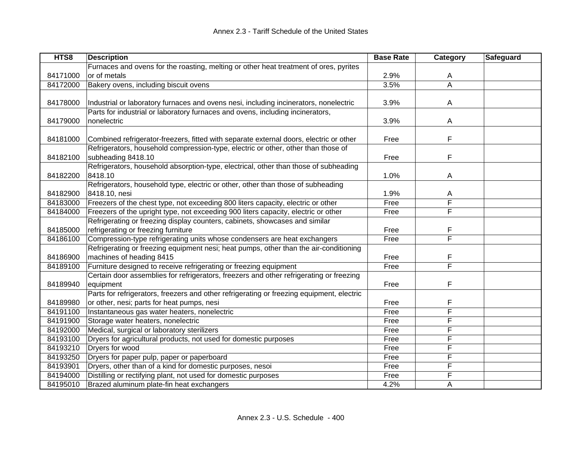| HTS8     | <b>Description</b>                                                                        | <b>Base Rate</b> | Category       | Safeguard |
|----------|-------------------------------------------------------------------------------------------|------------------|----------------|-----------|
|          | Furnaces and ovens for the roasting, melting or other heat treatment of ores, pyrites     |                  |                |           |
| 84171000 | or of metals                                                                              | 2.9%             | A              |           |
| 84172000 | Bakery ovens, including biscuit ovens                                                     | 3.5%             | $\overline{A}$ |           |
|          |                                                                                           |                  |                |           |
| 84178000 | Industrial or laboratory furnaces and ovens nesi, including incinerators, nonelectric     | 3.9%             | A              |           |
|          | Parts for industrial or laboratory furnaces and ovens, including incinerators,            |                  |                |           |
| 84179000 | nonelectric                                                                               | 3.9%             | A              |           |
|          |                                                                                           |                  |                |           |
| 84181000 | Combined refrigerator-freezers, fitted with separate external doors, electric or other    | Free             | F              |           |
|          | Refrigerators, household compression-type, electric or other, other than those of         |                  |                |           |
| 84182100 | subheading 8418.10                                                                        | Free             | F              |           |
|          | Refrigerators, household absorption-type, electrical, other than those of subheading      |                  |                |           |
| 84182200 | 8418.10                                                                                   | 1.0%             | A              |           |
|          | Refrigerators, household type, electric or other, other than those of subheading          |                  |                |           |
| 84182900 | 8418.10, nesi                                                                             | 1.9%             | A              |           |
| 84183000 | Freezers of the chest type, not exceeding 800 liters capacity, electric or other          | Free             | F              |           |
| 84184000 | Freezers of the upright type, not exceeding 900 liters capacity, electric or other        | Free             | F              |           |
|          | Refrigerating or freezing display counters, cabinets, showcases and similar               |                  |                |           |
| 84185000 | refrigerating or freezing furniture                                                       | Free             | F              |           |
| 84186100 | Compression-type refrigerating units whose condensers are heat exchangers                 | Free             | F              |           |
|          | Refrigerating or freezing equipment nesi; heat pumps, other than the air-conditioning     |                  |                |           |
| 84186900 | machines of heading 8415                                                                  | Free             | F              |           |
| 84189100 | Furniture designed to receive refrigerating or freezing equipment                         | Free             | F              |           |
|          | Certain door assemblies for refrigerators, freezers and other refrigerating or freezing   |                  |                |           |
| 84189940 | equipment                                                                                 | Free             | F              |           |
|          | Parts for refrigerators, freezers and other refrigerating or freezing equipment, electric |                  |                |           |
| 84189980 | or other, nesi; parts for heat pumps, nesi                                                | Free             | F              |           |
| 84191100 | Instantaneous gas water heaters, nonelectric                                              | Free             | F              |           |
| 84191900 | Storage water heaters, nonelectric                                                        | Free             | F              |           |
| 84192000 | Medical, surgical or laboratory sterilizers                                               | Free             | F              |           |
| 84193100 | Dryers for agricultural products, not used for domestic purposes                          | Free             | F              |           |
| 84193210 | Dryers for wood                                                                           | Free             | F              |           |
| 84193250 | Dryers for paper pulp, paper or paperboard                                                | Free             | F              |           |
| 84193901 | Dryers, other than of a kind for domestic purposes, nesoi                                 | Free             | F              |           |
| 84194000 | Distilling or rectifying plant, not used for domestic purposes                            | Free             | F              |           |
| 84195010 | Brazed aluminum plate-fin heat exchangers                                                 | 4.2%             | A              |           |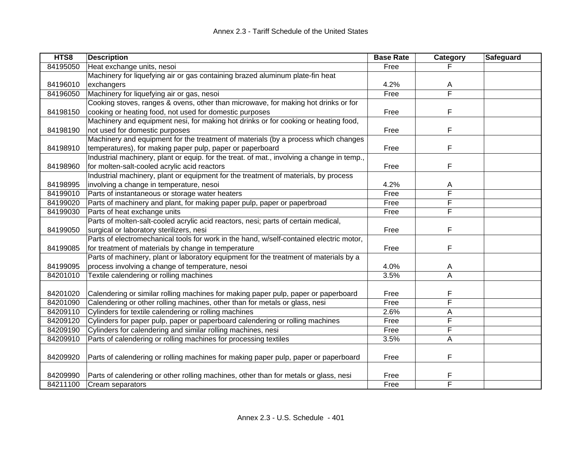| HTS8     | <b>Description</b>                                                                         | <b>Base Rate</b> | Category                | Safeguard |
|----------|--------------------------------------------------------------------------------------------|------------------|-------------------------|-----------|
| 84195050 | Heat exchange units, nesoi                                                                 | Free             |                         |           |
|          | Machinery for liquefying air or gas containing brazed aluminum plate-fin heat              |                  |                         |           |
| 84196010 | exchangers                                                                                 | 4.2%             | Α                       |           |
| 84196050 | Machinery for liquefying air or gas, nesoi                                                 | Free             | F                       |           |
|          | Cooking stoves, ranges & ovens, other than microwave, for making hot drinks or for         |                  |                         |           |
| 84198150 | cooking or heating food, not used for domestic purposes                                    | Free             | F                       |           |
|          | Machinery and equipment nesi, for making hot drinks or for cooking or heating food,        |                  |                         |           |
| 84198190 | not used for domestic purposes                                                             | Free             | F                       |           |
|          | Machinery and equipment for the treatment of materials (by a process which changes         |                  |                         |           |
| 84198910 | temperatures), for making paper pulp, paper or paperboard                                  | Free             | F                       |           |
|          | Industrial machinery, plant or equip. for the treat. of mat., involving a change in temp., |                  |                         |           |
| 84198960 | for molten-salt-cooled acrylic acid reactors                                               | Free             | F                       |           |
|          | Industrial machinery, plant or equipment for the treatment of materials, by process        |                  |                         |           |
| 84198995 | involving a change in temperature, nesoi                                                   | 4.2%             | Α                       |           |
| 84199010 | Parts of instantaneous or storage water heaters                                            | Free             | F                       |           |
| 84199020 | Parts of machinery and plant, for making paper pulp, paper or paperbroad                   | Free             | F                       |           |
| 84199030 | Parts of heat exchange units                                                               | Free             | F                       |           |
|          | Parts of molten-salt-cooled acrylic acid reactors, nesi; parts of certain medical,         |                  |                         |           |
| 84199050 | surgical or laboratory sterilizers, nesi                                                   | Free             | F                       |           |
|          | Parts of electromechanical tools for work in the hand, w/self-contained electric motor,    |                  |                         |           |
| 84199085 | for treatment of materials by change in temperature                                        | Free             | F                       |           |
|          | Parts of machinery, plant or laboratory equipment for the treatment of materials by a      |                  |                         |           |
| 84199095 | process involving a change of temperature, nesoi                                           | 4.0%             | A                       |           |
| 84201010 | Textile calendering or rolling machines                                                    | 3.5%             | Α                       |           |
|          |                                                                                            |                  |                         |           |
| 84201020 | Calendering or similar rolling machines for making paper pulp, paper or paperboard         | Free             | F                       |           |
| 84201090 | Calendering or other rolling machines, other than for metals or glass, nesi                | Free             | $\overline{\mathsf{F}}$ |           |
| 84209110 | Cylinders for textile calendering or rolling machines                                      | 2.6%             | A                       |           |
| 84209120 | Cylinders for paper pulp, paper or paperboard calendering or rolling machines              | Free             | F                       |           |
| 84209190 | Cylinders for calendering and similar rolling machines, nesi                               | Free             | F                       |           |
| 84209910 | Parts of calendering or rolling machines for processing textiles                           | 3.5%             | $\overline{A}$          |           |
|          |                                                                                            |                  |                         |           |
| 84209920 | Parts of calendering or rolling machines for making paper pulp, paper or paperboard        | Free             | F                       |           |
| 84209990 | Parts of calendering or other rolling machines, other than for metals or glass, nesi       | Free             | F                       |           |
| 84211100 | Cream separators                                                                           | Free             | F                       |           |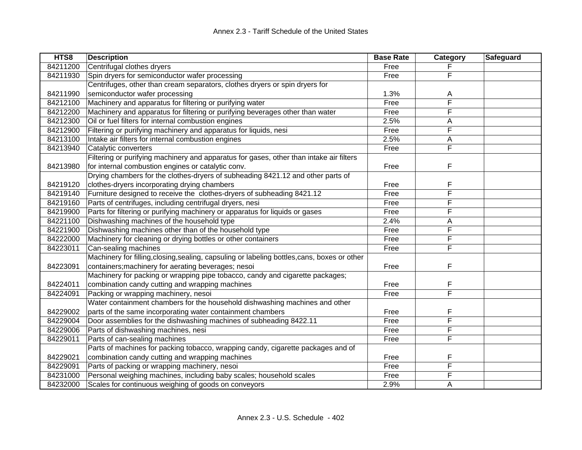| HTS8     | <b>Description</b>                                                                           | <b>Base Rate</b> | Category | Safeguard |
|----------|----------------------------------------------------------------------------------------------|------------------|----------|-----------|
| 84211200 | Centrifugal clothes dryers                                                                   | Free             |          |           |
| 84211930 | Spin dryers for semiconductor wafer processing                                               | Free             | F        |           |
|          | Centrifuges, other than cream separators, clothes dryers or spin dryers for                  |                  |          |           |
| 84211990 | semiconductor wafer processing                                                               | 1.3%             | Α        |           |
| 84212100 | Machinery and apparatus for filtering or purifying water                                     | Free             | F        |           |
| 84212200 | Machinery and apparatus for filtering or purifying beverages other than water                | Free             | F        |           |
| 84212300 | Oil or fuel filters for internal combustion engines                                          | 2.5%             | Α        |           |
| 84212900 | Filtering or purifying machinery and apparatus for liquids, nesi                             | Free             | F        |           |
| 84213100 | Intake air filters for internal combustion engines                                           | 2.5%             | Α        |           |
| 84213940 | Catalytic converters                                                                         | Free             | F        |           |
|          | Filtering or purifying machinery and apparatus for gases, other than intake air filters      |                  |          |           |
| 84213980 | for internal combustion engines or catalytic conv.                                           | Free             | F        |           |
|          | Drying chambers for the clothes-dryers of subheading 8421.12 and other parts of              |                  |          |           |
| 84219120 | clothes-dryers incorporating drying chambers                                                 | Free             | F        |           |
| 84219140 | Furniture designed to receive the clothes-dryers of subheading 8421.12                       | Free             | F        |           |
| 84219160 | Parts of centrifuges, including centrifugal dryers, nesi                                     | Free             | F        |           |
| 84219900 | Parts for filtering or purifying machinery or apparatus for liquids or gases                 | Free             | F        |           |
| 84221100 | Dishwashing machines of the household type                                                   | 2.4%             | A        |           |
| 84221900 | Dishwashing machines other than of the household type                                        | Free             | F        |           |
| 84222000 | Machinery for cleaning or drying bottles or other containers                                 | Free             | F        |           |
| 84223011 | Can-sealing machines                                                                         | Free             | F        |           |
|          | Machinery for filling, closing, sealing, capsuling or labeling bottles, cans, boxes or other |                  |          |           |
| 84223091 | containers; machinery for aerating beverages; nesoi                                          | Free             | F        |           |
|          | Machinery for packing or wrapping pipe tobacco, candy and cigarette packages;                |                  |          |           |
| 84224011 | combination candy cutting and wrapping machines                                              | Free             | F        |           |
| 84224091 | Packing or wrapping machinery, nesoi                                                         | Free             | F        |           |
|          | Water containment chambers for the household dishwashing machines and other                  |                  |          |           |
| 84229002 | parts of the same incorporating water containment chambers                                   | Free             | F        |           |
| 84229004 | Door assemblies for the dishwashing machines of subheading 8422.11                           | Free             | F        |           |
| 84229006 | Parts of dishwashing machines, nesi                                                          | Free             | F        |           |
| 84229011 | Parts of can-sealing machines                                                                | Free             | F        |           |
|          | Parts of machines for packing tobacco, wrapping candy, cigarette packages and of             |                  |          |           |
| 84229021 | combination candy cutting and wrapping machines                                              | Free             | F        |           |
| 84229091 | Parts of packing or wrapping machinery, nesoi                                                | Free             | F        |           |
| 84231000 | Personal weighing machines, including baby scales; household scales                          | Free             | F        |           |
| 84232000 | Scales for continuous weighing of goods on conveyors                                         | 2.9%             | A        |           |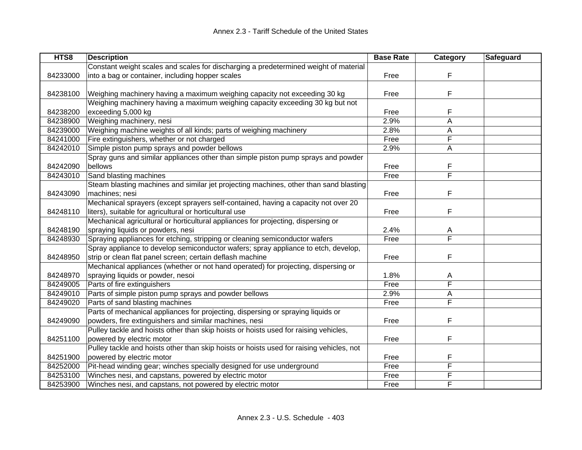| HTS8     | <b>Description</b>                                                                       | <b>Base Rate</b> | Category | Safeguard |
|----------|------------------------------------------------------------------------------------------|------------------|----------|-----------|
|          | Constant weight scales and scales for discharging a predetermined weight of material     |                  |          |           |
| 84233000 | into a bag or container, including hopper scales                                         | Free             | F        |           |
|          |                                                                                          |                  |          |           |
| 84238100 | Weighing machinery having a maximum weighing capacity not exceeding 30 kg                | Free             | F        |           |
|          | Weighing machinery having a maximum weighing capacity exceeding 30 kg but not            |                  |          |           |
| 84238200 | exceeding 5,000 kg                                                                       | Free             | F        |           |
| 84238900 | Weighing machinery, nesi                                                                 | 2.9%             | A        |           |
| 84239000 | Weighing machine weights of all kinds; parts of weighing machinery                       | 2.8%             | А        |           |
| 84241000 | Fire extinguishers, whether or not charged                                               | Free             | F        |           |
| 84242010 | Simple piston pump sprays and powder bellows                                             | 2.9%             | Α        |           |
|          | Spray guns and similar appliances other than simple piston pump sprays and powder        |                  |          |           |
| 84242090 | bellows                                                                                  | Free             | F        |           |
| 84243010 | Sand blasting machines                                                                   | Free             | F        |           |
|          | Steam blasting machines and similar jet projecting machines, other than sand blasting    |                  |          |           |
| 84243090 | machines; nesi                                                                           | Free             | F        |           |
|          | Mechanical sprayers (except sprayers self-contained, having a capacity not over 20       |                  |          |           |
| 84248110 | liters), suitable for agricultural or horticultural use                                  | Free             | F        |           |
|          | Mechanical agricultural or horticultural appliances for projecting, dispersing or        |                  |          |           |
| 84248190 | spraying liquids or powders, nesi                                                        | 2.4%             | A        |           |
| 84248930 | Spraying appliances for etching, stripping or cleaning semiconductor wafers              | Free             | F        |           |
|          | Spray appliance to develop semiconductor wafers; spray appliance to etch, develop,       |                  |          |           |
| 84248950 | strip or clean flat panel screen; certain deflash machine                                | Free             | F        |           |
|          | Mechanical appliances (whether or not hand operated) for projecting, dispersing or       |                  |          |           |
| 84248970 | spraying liquids or powder, nesoi                                                        | 1.8%             | A        |           |
| 84249005 | Parts of fire extinguishers                                                              | Free             | F        |           |
| 84249010 | Parts of simple piston pump sprays and powder bellows                                    | 2.9%             | Α        |           |
| 84249020 | Parts of sand blasting machines                                                          | Free             | F        |           |
|          | Parts of mechanical appliances for projecting, dispersing or spraying liquids or         |                  |          |           |
| 84249090 | powders, fire extinguishers and similar machines, nesi                                   | Free             | F        |           |
|          | Pulley tackle and hoists other than skip hoists or hoists used for raising vehicles,     |                  |          |           |
| 84251100 | powered by electric motor                                                                | Free             | F        |           |
|          | Pulley tackle and hoists other than skip hoists or hoists used for raising vehicles, not |                  |          |           |
| 84251900 | powered by electric motor                                                                | Free             | F        |           |
| 84252000 | Pit-head winding gear; winches specially designed for use underground                    | Free             | F        |           |
| 84253100 | Winches nesi, and capstans, powered by electric motor                                    | Free             | F        |           |
| 84253900 | Winches nesi, and capstans, not powered by electric motor                                | Free             | F        |           |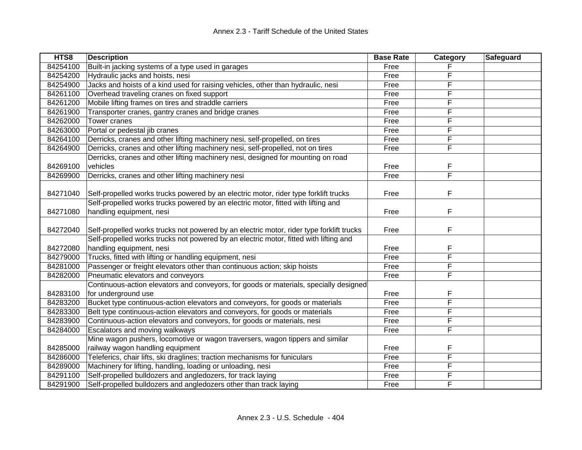| HTS8     | <b>Description</b>                                                                       | <b>Base Rate</b> | Category | Safeguard |
|----------|------------------------------------------------------------------------------------------|------------------|----------|-----------|
| 84254100 | Built-in jacking systems of a type used in garages                                       | Free             |          |           |
| 84254200 | Hydraulic jacks and hoists, nesi                                                         | Free             | F        |           |
| 84254900 | Jacks and hoists of a kind used for raising vehicles, other than hydraulic, nesi         | Free             | F        |           |
| 84261100 | Overhead traveling cranes on fixed support                                               | Free             | F        |           |
| 84261200 | Mobile lifting frames on tires and straddle carriers                                     | Free             | F        |           |
| 84261900 | Transporter cranes, gantry cranes and bridge cranes                                      | Free             | F        |           |
| 84262000 | Tower cranes                                                                             | Free             | F        |           |
| 84263000 | Portal or pedestal jib cranes                                                            | Free             | F        |           |
| 84264100 | Derricks, cranes and other lifting machinery nesi, self-propelled, on tires              | Free             | F        |           |
| 84264900 | Derricks, cranes and other lifting machinery nesi, self-propelled, not on tires          | Free             | F        |           |
|          | Derricks, cranes and other lifting machinery nesi, designed for mounting on road         |                  |          |           |
| 84269100 | vehicles                                                                                 | Free             | F        |           |
| 84269900 | Derricks, cranes and other lifting machinery nesi                                        | Free             | F        |           |
|          |                                                                                          |                  |          |           |
| 84271040 | Self-propelled works trucks powered by an electric motor, rider type forklift trucks     | Free             | F        |           |
|          | Self-propelled works trucks powered by an electric motor, fitted with lifting and        |                  |          |           |
| 84271080 | handling equipment, nesi                                                                 | Free             | F        |           |
|          |                                                                                          |                  |          |           |
| 84272040 | Self-propelled works trucks not powered by an electric motor, rider type forklift trucks | Free             | F        |           |
|          | Self-propelled works trucks not powered by an electric motor, fitted with lifting and    |                  |          |           |
| 84272080 | handling equipment, nesi                                                                 | Free             | F        |           |
| 84279000 | Trucks, fitted with lifting or handling equipment, nesi                                  | Free             | F        |           |
| 84281000 | Passenger or freight elevators other than continuous action; skip hoists                 | Free             | F        |           |
| 84282000 | Pneumatic elevators and conveyors                                                        | Free             | F        |           |
|          | Continuous-action elevators and conveyors, for goods or materials, specially designed    |                  |          |           |
| 84283100 | for underground use                                                                      | Free             | F        |           |
| 84283200 | Bucket type continuous-action elevators and conveyors, for goods or materials            | Free             | F        |           |
| 84283300 | Belt type continuous-action elevators and conveyors, for goods or materials              | Free             | F        |           |
| 84283900 | Continuous-action elevators and conveyors, for goods or materials, nesi                  | Free             | F        |           |
| 84284000 | Escalators and moving walkways                                                           | Free             | F        |           |
|          | Mine wagon pushers, locomotive or wagon traversers, wagon tippers and similar            |                  |          |           |
| 84285000 | railway wagon handling equipment                                                         | Free             | F        |           |
| 84286000 | Teleferics, chair lifts, ski draglines; traction mechanisms for funiculars               | Free             | F        |           |
| 84289000 | Machinery for lifting, handling, loading or unloading, nesi                              | Free             | F        |           |
| 84291100 | Self-propelled bulldozers and angledozers, for track laying                              | Free             | F        |           |
| 84291900 | Self-propelled bulldozers and angledozers other than track laying                        | Free             | F        |           |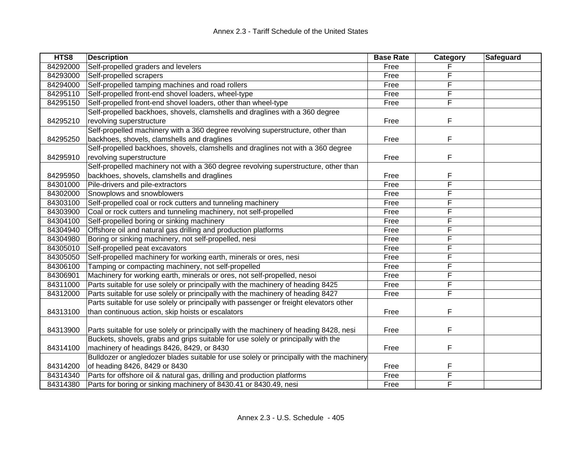| HTS8     | <b>Description</b>                                                                       | <b>Base Rate</b> | Category | Safeguard |
|----------|------------------------------------------------------------------------------------------|------------------|----------|-----------|
| 84292000 | Self-propelled graders and levelers                                                      | Free             |          |           |
| 84293000 | Self-propelled scrapers                                                                  | Free             | F        |           |
| 84294000 | Self-propelled tamping machines and road rollers                                         | Free             | F        |           |
| 84295110 | Self-propelled front-end shovel loaders, wheel-type                                      | Free             | F        |           |
| 84295150 | Self-propelled front-end shovel loaders, other than wheel-type                           | Free             | F        |           |
|          | Self-propelled backhoes, shovels, clamshells and draglines with a 360 degree             |                  |          |           |
| 84295210 | revolving superstructure                                                                 | Free             | F        |           |
|          | Self-propelled machinery with a 360 degree revolving superstructure, other than          |                  |          |           |
| 84295250 | backhoes, shovels, clamshells and draglines                                              | Free             | F        |           |
|          | Self-propelled backhoes, shovels, clamshells and draglines not with a 360 degree         |                  |          |           |
| 84295910 | revolving superstructure                                                                 | Free             | F        |           |
|          | Self-propelled machinery not with a 360 degree revolving superstructure, other than      |                  |          |           |
| 84295950 | backhoes, shovels, clamshells and draglines                                              | Free             | F        |           |
| 84301000 | Pile-drivers and pile-extractors                                                         | Free             | F        |           |
| 84302000 | Snowplows and snowblowers                                                                | Free             | F        |           |
| 84303100 | Self-propelled coal or rock cutters and tunneling machinery                              | Free             | F        |           |
| 84303900 | Coal or rock cutters and tunneling machinery, not self-propelled                         | Free             | F        |           |
| 84304100 | Self-propelled boring or sinking machinery                                               | Free             | F        |           |
| 84304940 | Offshore oil and natural gas drilling and production platforms                           | Free             | F        |           |
| 84304980 | Boring or sinking machinery, not self-propelled, nesi                                    | Free             | F        |           |
| 84305010 | Self-propelled peat excavators                                                           | Free             | F        |           |
| 84305050 | Self-propelled machinery for working earth, minerals or ores, nesi                       | Free             | F        |           |
| 84306100 | Tamping or compacting machinery, not self-propelled                                      | Free             | F        |           |
| 84306901 | Machinery for working earth, minerals or ores, not self-propelled, nesoi                 | Free             | F        |           |
| 84311000 | Parts suitable for use solely or principally with the machinery of heading 8425          | Free             | F        |           |
| 84312000 | Parts suitable for use solely or principally with the machinery of heading 8427          | Free             | F        |           |
|          | Parts suitable for use solely or principally with passenger or freight elevators other   |                  |          |           |
| 84313100 | than continuous action, skip hoists or escalators                                        | Free             | F        |           |
|          |                                                                                          |                  |          |           |
| 84313900 | Parts suitable for use solely or principally with the machinery of heading 8428, nesi    | Free             | F        |           |
|          | Buckets, shovels, grabs and grips suitable for use solely or principally with the        |                  |          |           |
| 84314100 | machinery of headings 8426, 8429, or 8430                                                | Free             | F        |           |
|          | Bulldozer or angledozer blades suitable for use solely or principally with the machinery |                  |          |           |
| 84314200 | of heading 8426, 8429 or 8430                                                            | Free             | F        |           |
| 84314340 | Parts for offshore oil & natural gas, drilling and production platforms                  | Free             | F        |           |
| 84314380 | Parts for boring or sinking machinery of 8430.41 or 8430.49, nesi                        | Free             | F        |           |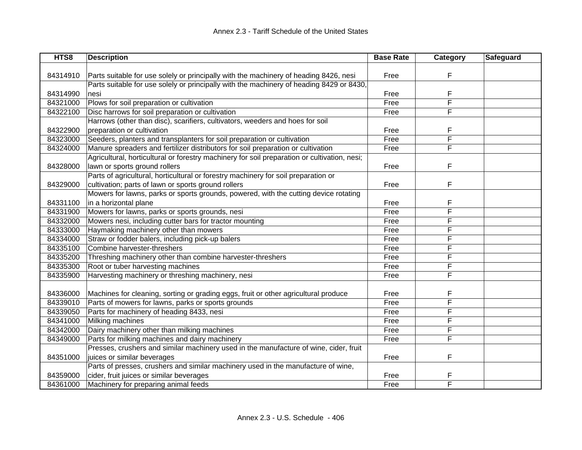| HTS8     | <b>Description</b>                                                                           | <b>Base Rate</b> | Category | Safeguard |
|----------|----------------------------------------------------------------------------------------------|------------------|----------|-----------|
|          |                                                                                              |                  |          |           |
| 84314910 | Parts suitable for use solely or principally with the machinery of heading 8426, nesi        | Free             | F        |           |
|          | Parts suitable for use solely or principally with the machinery of heading 8429 or 8430,     |                  |          |           |
| 84314990 | nesi                                                                                         | Free             | F        |           |
| 84321000 | Plows for soil preparation or cultivation                                                    | Free             | F        |           |
| 84322100 | Disc harrows for soil preparation or cultivation                                             | Free             | F        |           |
|          | Harrows (other than disc), scarifiers, cultivators, weeders and hoes for soil                |                  |          |           |
| 84322900 | preparation or cultivation                                                                   | Free             | F        |           |
| 84323000 | Seeders, planters and transplanters for soil preparation or cultivation                      | Free             | F        |           |
| 84324000 | Manure spreaders and fertilizer distributors for soil preparation or cultivation             | Free             | F        |           |
|          | Agricultural, horticultural or forestry machinery for soil preparation or cultivation, nesi; |                  |          |           |
| 84328000 | lawn or sports ground rollers                                                                | Free             | F        |           |
|          | Parts of agricultural, horticultural or forestry machinery for soil preparation or           |                  |          |           |
| 84329000 | cultivation; parts of lawn or sports ground rollers                                          | Free             | F        |           |
|          | Mowers for lawns, parks or sports grounds, powered, with the cutting device rotating         |                  |          |           |
| 84331100 | in a horizontal plane                                                                        | Free             | F        |           |
| 84331900 | Mowers for lawns, parks or sports grounds, nesi                                              | Free             | F        |           |
| 84332000 | Mowers nesi, including cutter bars for tractor mounting                                      | Free             | F        |           |
| 84333000 | Haymaking machinery other than mowers                                                        | Free             | F        |           |
| 84334000 | Straw or fodder balers, including pick-up balers                                             | Free             | F        |           |
| 84335100 | Combine harvester-threshers                                                                  | Free             | F        |           |
| 84335200 | Threshing machinery other than combine harvester-threshers                                   | Free             | F        |           |
| 84335300 | Root or tuber harvesting machines                                                            | Free             | F        |           |
| 84335900 | Harvesting machinery or threshing machinery, nesi                                            | Free             | F        |           |
|          |                                                                                              |                  |          |           |
| 84336000 | Machines for cleaning, sorting or grading eggs, fruit or other agricultural produce          | Free             | F        |           |
| 84339010 | Parts of mowers for lawns, parks or sports grounds                                           | Free             | F        |           |
| 84339050 | Parts for machinery of heading 8433, nesi                                                    | Free             | F        |           |
| 84341000 | Milking machines                                                                             | Free             | F        |           |
| 84342000 | Dairy machinery other than milking machines                                                  | Free             | F        |           |
| 84349000 | Parts for milking machines and dairy machinery                                               | Free             | F        |           |
|          | Presses, crushers and similar machinery used in the manufacture of wine, cider, fruit        |                  |          |           |
| 84351000 | juices or similar beverages                                                                  | Free             | F        |           |
|          | Parts of presses, crushers and similar machinery used in the manufacture of wine,            |                  |          |           |
| 84359000 | cider, fruit juices or similar beverages                                                     | Free             |          |           |
| 84361000 | Machinery for preparing animal feeds                                                         | Free             | F        |           |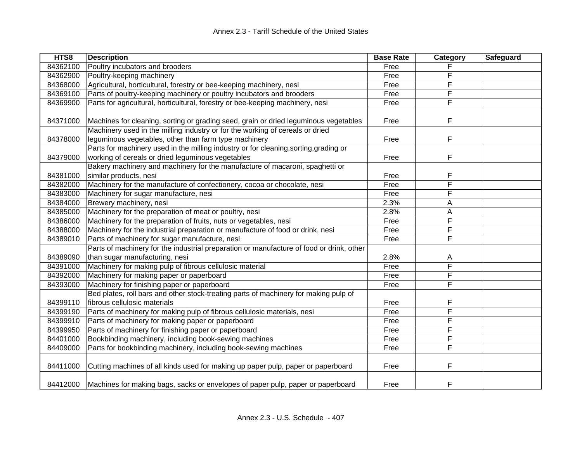| HTS8     | <b>Description</b>                                                                                                                         | <b>Base Rate</b> | Category | Safeguard |
|----------|--------------------------------------------------------------------------------------------------------------------------------------------|------------------|----------|-----------|
| 84362100 | Poultry incubators and brooders                                                                                                            | Free             |          |           |
| 84362900 | Poultry-keeping machinery                                                                                                                  | Free             | F        |           |
| 84368000 | Agricultural, horticultural, forestry or bee-keeping machinery, nesi                                                                       | Free             | F        |           |
| 84369100 | Parts of poultry-keeping machinery or poultry incubators and brooders                                                                      | Free             | F        |           |
| 84369900 | Parts for agricultural, horticultural, forestry or bee-keeping machinery, nesi                                                             | Free             | F        |           |
| 84371000 | Machines for cleaning, sorting or grading seed, grain or dried leguminous vegetables                                                       | Free             | F        |           |
|          | Machinery used in the milling industry or for the working of cereals or dried                                                              |                  |          |           |
| 84378000 | leguminous vegetables, other than farm type machinery                                                                                      | Free             | F        |           |
| 84379000 | Parts for machinery used in the milling industry or for cleaning, sorting, grading or<br>working of cereals or dried leguminous vegetables | Free             | F        |           |
|          | Bakery machinery and machinery for the manufacture of macaroni, spaghetti or                                                               |                  |          |           |
| 84381000 | similar products, nesi                                                                                                                     | Free             | F        |           |
| 84382000 | Machinery for the manufacture of confectionery, cocoa or chocolate, nesi                                                                   | Free             | F        |           |
| 84383000 | Machinery for sugar manufacture, nesi                                                                                                      | Free             | F        |           |
| 84384000 | Brewery machinery, nesi                                                                                                                    | 2.3%             | A        |           |
| 84385000 | Machinery for the preparation of meat or poultry, nesi                                                                                     | 2.8%             | Α        |           |
| 84386000 | Machinery for the preparation of fruits, nuts or vegetables, nesi                                                                          | Free             | F        |           |
| 84388000 | Machinery for the industrial preparation or manufacture of food or drink, nesi                                                             | Free             | F        |           |
| 84389010 | Parts of machinery for sugar manufacture, nesi                                                                                             | Free             | F        |           |
|          | Parts of machinery for the industrial preparation or manufacture of food or drink, other                                                   |                  |          |           |
| 84389090 | than sugar manufacturing, nesi                                                                                                             | 2.8%             | A        |           |
| 84391000 | Machinery for making pulp of fibrous cellulosic material                                                                                   | Free             | F        |           |
| 84392000 | Machinery for making paper or paperboard                                                                                                   | Free             | F        |           |
| 84393000 | Machinery for finishing paper or paperboard                                                                                                | Free             | F        |           |
|          | Bed plates, roll bars and other stock-treating parts of machinery for making pulp of                                                       |                  |          |           |
| 84399110 | fibrous cellulosic materials                                                                                                               | Free             | F        |           |
| 84399190 | Parts of machinery for making pulp of fibrous cellulosic materials, nesi                                                                   | Free             | F        |           |
| 84399910 | Parts of machinery for making paper or paperboard                                                                                          | Free             | F        |           |
| 84399950 | Parts of machinery for finishing paper or paperboard                                                                                       | Free             | F        |           |
| 84401000 | Bookbinding machinery, including book-sewing machines                                                                                      | Free             | F        |           |
| 84409000 | Parts for bookbinding machinery, including book-sewing machines                                                                            | Free             | F        |           |
| 84411000 | Cutting machines of all kinds used for making up paper pulp, paper or paperboard                                                           | Free             | F        |           |
| 84412000 | Machines for making bags, sacks or envelopes of paper pulp, paper or paperboard                                                            | Free             | F        |           |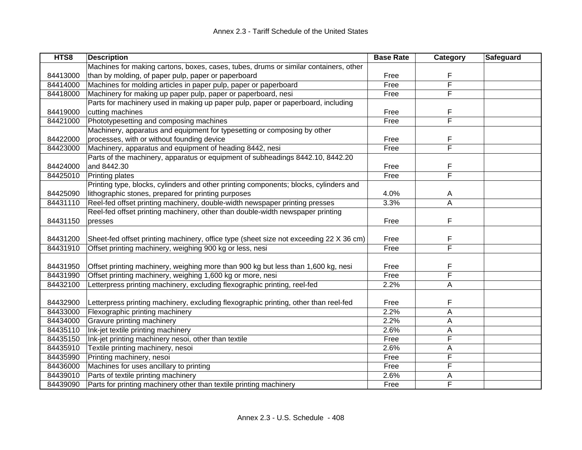| HTS8     | <b>Description</b>                                                                     | <b>Base Rate</b> | Category                | Safeguard |
|----------|----------------------------------------------------------------------------------------|------------------|-------------------------|-----------|
|          | Machines for making cartons, boxes, cases, tubes, drums or similar containers, other   |                  |                         |           |
| 84413000 | than by molding, of paper pulp, paper or paperboard                                    | Free             | F                       |           |
| 84414000 | Machines for molding articles in paper pulp, paper or paperboard                       | Free             | F                       |           |
| 84418000 | Machinery for making up paper pulp, paper or paperboard, nesi                          | Free             | F                       |           |
|          | Parts for machinery used in making up paper pulp, paper or paperboard, including       |                  |                         |           |
| 84419000 | cutting machines                                                                       | Free             | F                       |           |
| 84421000 | Phototypesetting and composing machines                                                | Free             | F                       |           |
|          | Machinery, apparatus and equipment for typesetting or composing by other               |                  |                         |           |
| 84422000 | processes, with or without founding device                                             | Free             | F                       |           |
| 84423000 | Machinery, apparatus and equipment of heading 8442, nesi                               | Free             | $\overline{\mathsf{F}}$ |           |
|          | Parts of the machinery, apparatus or equipment of subheadings 8442.10, 8442.20         |                  |                         |           |
| 84424000 | and 8442.30                                                                            | Free             | F                       |           |
| 84425010 | Printing plates                                                                        | Free             | $\overline{\mathsf{F}}$ |           |
|          | Printing type, blocks, cylinders and other printing components; blocks, cylinders and  |                  |                         |           |
| 84425090 | lithographic stones, prepared for printing purposes                                    | 4.0%             | A                       |           |
| 84431110 | Reel-fed offset printing machinery, double-width newspaper printing presses            | 3.3%             | A                       |           |
|          | Reel-fed offset printing machinery, other than double-width newspaper printing         |                  |                         |           |
| 84431150 | presses                                                                                | Free             | F                       |           |
|          |                                                                                        |                  |                         |           |
| 84431200 | Sheet-fed offset printing machinery, office type (sheet size not exceeding 22 X 36 cm) | Free             | F                       |           |
| 84431910 | Offset printing machinery, weighing 900 kg or less, nesi                               | Free             | F                       |           |
|          |                                                                                        |                  |                         |           |
| 84431950 | Offset printing machinery, weighing more than 900 kg but less than 1,600 kg, nesi      | Free             | F                       |           |
| 84431990 | Offset printing machinery, weighing 1,600 kg or more, nesi                             | Free             | F                       |           |
| 84432100 | Letterpress printing machinery, excluding flexographic printing, reel-fed              | 2.2%             | A                       |           |
|          |                                                                                        |                  |                         |           |
| 84432900 | Letterpress printing machinery, excluding flexographic printing, other than reel-fed   | Free             | F                       |           |
| 84433000 | Flexographic printing machinery                                                        | 2.2%             | A                       |           |
| 84434000 | Gravure printing machinery                                                             | 2.2%             | Α                       |           |
| 84435110 | Ink-jet textile printing machinery                                                     | 2.6%             | A                       |           |
| 84435150 | Ink-jet printing machinery nesoi, other than textile                                   | Free             | F                       |           |
| 84435910 | Textile printing machinery, nesoi                                                      | 2.6%             | A                       |           |
| 84435990 | Printing machinery, nesoi                                                              | Free             | F                       |           |
| 84436000 | Machines for uses ancillary to printing                                                | Free             | F                       |           |
| 84439010 | Parts of textile printing machinery                                                    | 2.6%             | Α                       |           |
| 84439090 | Parts for printing machinery other than textile printing machinery                     | Free             | F                       |           |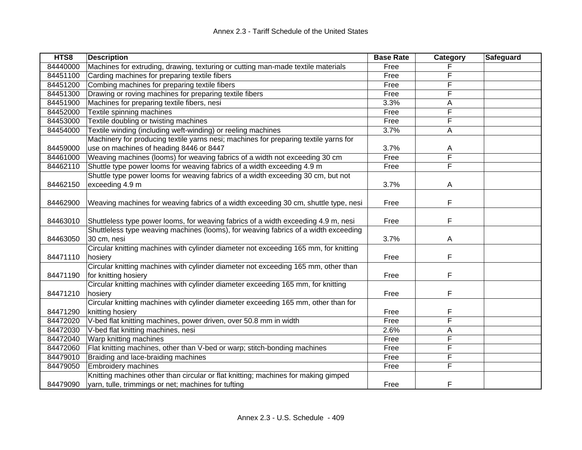| HTS8     | <b>Description</b>                                                                   | <b>Base Rate</b> | Category | Safeguard |
|----------|--------------------------------------------------------------------------------------|------------------|----------|-----------|
| 84440000 | Machines for extruding, drawing, texturing or cutting man-made textile materials     | Free             |          |           |
| 84451100 | Carding machines for preparing textile fibers                                        | Free             |          |           |
| 84451200 | Combing machines for preparing textile fibers                                        | Free             | F        |           |
| 84451300 | Drawing or roving machines for preparing textile fibers                              | Free             | F        |           |
| 84451900 | Machines for preparing textile fibers, nesi                                          | 3.3%             | Α        |           |
| 84452000 | Textile spinning machines                                                            | Free             | F        |           |
| 84453000 | Textile doubling or twisting machines                                                | Free             | F        |           |
| 84454000 | Textile winding (including weft-winding) or reeling machines                         | 3.7%             | Α        |           |
|          | Machinery for producing textile yarns nesi; machines for preparing textile yarns for |                  |          |           |
| 84459000 | use on machines of heading 8446 or 8447                                              | 3.7%             | A        |           |
| 84461000 | Weaving machines (looms) for weaving fabrics of a width not exceeding 30 cm          | Free             | F        |           |
| 84462110 | Shuttle type power looms for weaving fabrics of a width exceeding 4.9 m              | Free             | F        |           |
|          | Shuttle type power looms for weaving fabrics of a width exceeding 30 cm, but not     |                  |          |           |
| 84462150 | exceeding 4.9 m                                                                      | 3.7%             | A        |           |
|          |                                                                                      |                  |          |           |
| 84462900 | Weaving machines for weaving fabrics of a width exceeding 30 cm, shuttle type, nesi  | Free             | F        |           |
|          |                                                                                      |                  |          |           |
| 84463010 | Shuttleless type power looms, for weaving fabrics of a width exceeding 4.9 m, nesi   | Free             | F        |           |
|          | Shuttleless type weaving machines (looms), for weaving fabrics of a width exceeding  |                  |          |           |
| 84463050 | 30 cm, nesi                                                                          | 3.7%             | A        |           |
|          | Circular knitting machines with cylinder diameter not exceeding 165 mm, for knitting |                  |          |           |
| 84471110 | hosiery                                                                              | Free             | F        |           |
|          | Circular knitting machines with cylinder diameter not exceeding 165 mm, other than   |                  |          |           |
| 84471190 | for knitting hosiery                                                                 | Free             | F        |           |
|          | Circular knitting machines with cylinder diameter exceeding 165 mm, for knitting     |                  |          |           |
| 84471210 | hosiery                                                                              | Free             | F        |           |
|          | Circular knitting machines with cylinder diameter exceeding 165 mm, other than for   |                  |          |           |
| 84471290 | knitting hosiery                                                                     | Free             | F        |           |
| 84472020 | V-bed flat knitting machines, power driven, over 50.8 mm in width                    | Free             | F        |           |
| 84472030 | V-bed flat knitting machines, nesi                                                   | 2.6%             | Α        |           |
| 84472040 | Warp knitting machines                                                               | Free             | F        |           |
| 84472060 | Flat knitting machines, other than V-bed or warp; stitch-bonding machines            | Free             | F        |           |
| 84479010 | Braiding and lace-braiding machines                                                  | Free             | F        |           |
| 84479050 | <b>Embroidery machines</b>                                                           | Free             | F        |           |
|          | Knitting machines other than circular or flat knitting; machines for making gimped   |                  |          |           |
| 84479090 | yarn, tulle, trimmings or net; machines for tufting                                  | Free             | F        |           |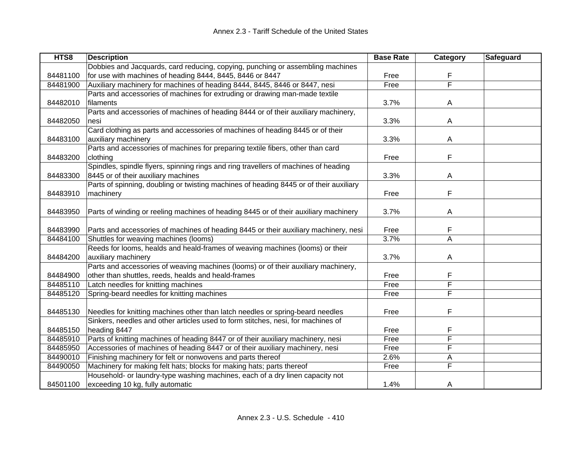| HTS8     | <b>Description</b>                                                                     | <b>Base Rate</b> | Category | Safeguard |
|----------|----------------------------------------------------------------------------------------|------------------|----------|-----------|
|          | Dobbies and Jacquards, card reducing, copying, punching or assembling machines         |                  |          |           |
| 84481100 | for use with machines of heading 8444, 8445, 8446 or 8447                              | Free             | F        |           |
| 84481900 | Auxiliary machinery for machines of heading 8444, 8445, 8446 or 8447, nesi             | Free             | F        |           |
|          | Parts and accessories of machines for extruding or drawing man-made textile            |                  |          |           |
| 84482010 | filaments                                                                              | 3.7%             | Α        |           |
|          | Parts and accessories of machines of heading 8444 or of their auxiliary machinery,     |                  |          |           |
| 84482050 | nesi                                                                                   | 3.3%             | A        |           |
|          | Card clothing as parts and accessories of machines of heading 8445 or of their         |                  |          |           |
| 84483100 | auxiliary machinery                                                                    | 3.3%             | A        |           |
|          | Parts and accessories of machines for preparing textile fibers, other than card        |                  |          |           |
| 84483200 | clothing                                                                               | Free             | F        |           |
|          | Spindles, spindle flyers, spinning rings and ring travellers of machines of heading    |                  |          |           |
| 84483300 | 8445 or of their auxiliary machines                                                    | 3.3%             | A        |           |
|          | Parts of spinning, doubling or twisting machines of heading 8445 or of their auxiliary |                  |          |           |
| 84483910 | machinery                                                                              | Free             | F        |           |
|          |                                                                                        |                  |          |           |
| 84483950 | Parts of winding or reeling machines of heading 8445 or of their auxiliary machinery   | 3.7%             | A        |           |
|          |                                                                                        |                  |          |           |
| 84483990 | Parts and accessories of machines of heading 8445 or their auxiliary machinery, nesi   | Free             | F        |           |
| 84484100 | Shuttles for weaving machines (looms)                                                  | 3.7%             | A        |           |
|          | Reeds for looms, healds and heald-frames of weaving machines (looms) or their          |                  |          |           |
| 84484200 | auxiliary machinery                                                                    | 3.7%             | A        |           |
|          | Parts and accessories of weaving machines (looms) or of their auxiliary machinery,     |                  |          |           |
| 84484900 | other than shuttles, reeds, healds and heald-frames                                    | Free             | F        |           |
| 84485110 | Latch needles for knitting machines                                                    | Free             | F        |           |
| 84485120 | Spring-beard needles for knitting machines                                             | Free             | F        |           |
|          |                                                                                        |                  |          |           |
| 84485130 | Needles for knitting machines other than latch needles or spring-beard needles         | Free             | F        |           |
|          | Sinkers, needles and other articles used to form stitches, nesi, for machines of       |                  |          |           |
| 84485150 | heading 8447                                                                           | Free             | F        |           |
| 84485910 | Parts of knitting machines of heading 8447 or of their auxiliary machinery, nesi       | Free             | F        |           |
| 84485950 | Accessories of machines of heading 8447 or of their auxiliary machinery, nesi          | Free             | F        |           |
| 84490010 | Finishing machinery for felt or nonwovens and parts thereof                            | 2.6%             | Α        |           |
| 84490050 | Machinery for making felt hats; blocks for making hats; parts thereof                  | Free             | F        |           |
|          | Household- or laundry-type washing machines, each of a dry linen capacity not          |                  |          |           |
| 84501100 | exceeding 10 kg, fully automatic                                                       | 1.4%             | A        |           |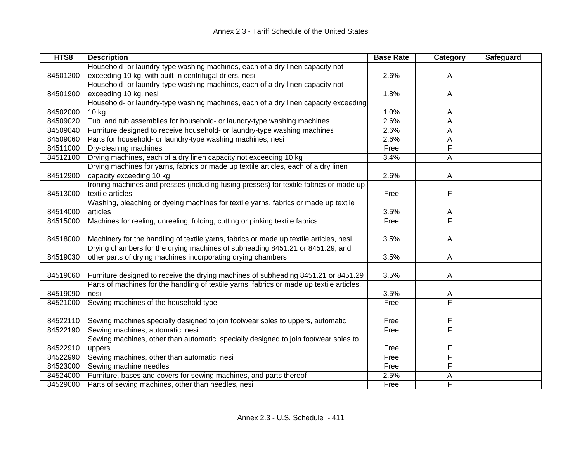| HTS8     | <b>Description</b>                                                                        | <b>Base Rate</b> | <b>Category</b>         | Safeguard |
|----------|-------------------------------------------------------------------------------------------|------------------|-------------------------|-----------|
|          | Household- or laundry-type washing machines, each of a dry linen capacity not             |                  |                         |           |
| 84501200 | exceeding 10 kg, with built-in centrifugal driers, nesi                                   | 2.6%             | A                       |           |
|          | Household- or laundry-type washing machines, each of a dry linen capacity not             |                  |                         |           |
| 84501900 | exceeding 10 kg, nesi                                                                     | 1.8%             | A                       |           |
|          | Household- or laundry-type washing machines, each of a dry linen capacity exceeding       |                  |                         |           |
| 84502000 | $10$ kg                                                                                   | 1.0%             | A                       |           |
| 84509020 | Tub and tub assemblies for household- or laundry-type washing machines                    | 2.6%             | A                       |           |
| 84509040 | Furniture designed to receive household- or laundry-type washing machines                 | 2.6%             | A                       |           |
| 84509060 | Parts for household- or laundry-type washing machines, nesi                               | 2.6%             | A                       |           |
| 84511000 | Dry-cleaning machines                                                                     | Free             | F                       |           |
| 84512100 | Drying machines, each of a dry linen capacity not exceeding 10 kg                         | 3.4%             | A                       |           |
|          | Drying machines for yarns, fabrics or made up textile articles, each of a dry linen       |                  |                         |           |
| 84512900 | capacity exceeding 10 kg                                                                  | 2.6%             | A                       |           |
|          | Ironing machines and presses (including fusing presses) for textile fabrics or made up    |                  |                         |           |
| 84513000 | textile articles                                                                          | Free             | F                       |           |
|          | Washing, bleaching or dyeing machines for textile yarns, fabrics or made up textile       |                  |                         |           |
| 84514000 | articles                                                                                  | 3.5%             | A                       |           |
| 84515000 | Machines for reeling, unreeling, folding, cutting or pinking textile fabrics              | Free             | F                       |           |
|          |                                                                                           |                  |                         |           |
| 84518000 | Machinery for the handling of textile yarns, fabrics or made up textile articles, nesi    | 3.5%             | A                       |           |
|          | Drying chambers for the drying machines of subheading 8451.21 or 8451.29, and             |                  |                         |           |
| 84519030 | other parts of drying machines incorporating drying chambers                              | 3.5%             | A                       |           |
|          |                                                                                           |                  |                         |           |
| 84519060 | Furniture designed to receive the drying machines of subheading 8451.21 or 8451.29        | 3.5%             | A                       |           |
|          | Parts of machines for the handling of textile yarns, fabrics or made up textile articles, |                  |                         |           |
| 84519090 | nesi                                                                                      | 3.5%             | A                       |           |
| 84521000 | Sewing machines of the household type                                                     | Free             | $\overline{\mathsf{F}}$ |           |
|          |                                                                                           |                  |                         |           |
| 84522110 | Sewing machines specially designed to join footwear soles to uppers, automatic            | Free             | F                       |           |
| 84522190 | Sewing machines, automatic, nesi                                                          | Free             | $\overline{\mathsf{F}}$ |           |
|          | Sewing machines, other than automatic, specially designed to join footwear soles to       |                  |                         |           |
| 84522910 | uppers                                                                                    | Free             | F                       |           |
| 84522990 | Sewing machines, other than automatic, nesi                                               | Free             | F                       |           |
| 84523000 | Sewing machine needles                                                                    | Free             | F                       |           |
| 84524000 | Furniture, bases and covers for sewing machines, and parts thereof                        | 2.5%             | Α                       |           |
| 84529000 | Parts of sewing machines, other than needles, nesi                                        | Free             | F                       |           |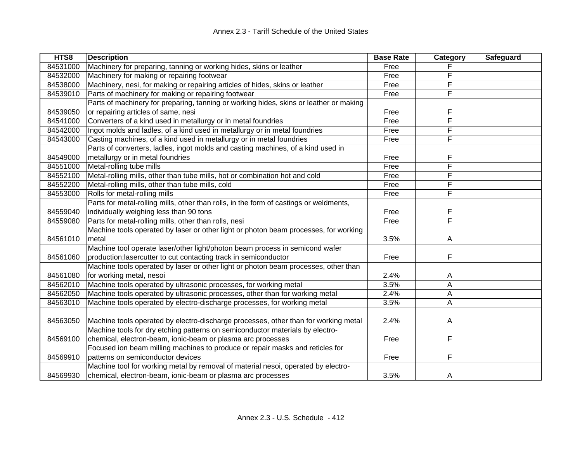| HTS8     | <b>Description</b>                                                                     | <b>Base Rate</b> | Category | Safeguard |
|----------|----------------------------------------------------------------------------------------|------------------|----------|-----------|
| 84531000 | Machinery for preparing, tanning or working hides, skins or leather                    | Free             |          |           |
| 84532000 | Machinery for making or repairing footwear                                             | Free             | F        |           |
| 84538000 | Machinery, nesi, for making or repairing articles of hides, skins or leather           | Free             | F        |           |
| 84539010 | Parts of machinery for making or repairing footwear                                    | Free             | F        |           |
|          | Parts of machinery for preparing, tanning or working hides, skins or leather or making |                  |          |           |
| 84539050 | or repairing articles of same, nesi                                                    | Free             | F        |           |
| 84541000 | Converters of a kind used in metallurgy or in metal foundries                          | Free             | F        |           |
| 84542000 | Ingot molds and ladles, of a kind used in metallurgy or in metal foundries             | Free             | F        |           |
| 84543000 | Casting machines, of a kind used in metallurgy or in metal foundries                   | Free             | F        |           |
|          | Parts of converters, ladles, ingot molds and casting machines, of a kind used in       |                  |          |           |
| 84549000 | metallurgy or in metal foundries                                                       | Free             | F        |           |
| 84551000 | Metal-rolling tube mills                                                               | Free             | F        |           |
| 84552100 | Metal-rolling mills, other than tube mills, hot or combination hot and cold            | Free             | F        |           |
| 84552200 | Metal-rolling mills, other than tube mills, cold                                       | Free             | F        |           |
| 84553000 | Rolls for metal-rolling mills                                                          | Free             | F        |           |
|          | Parts for metal-rolling mills, other than rolls, in the form of castings or weldments, |                  |          |           |
| 84559040 | individually weighing less than 90 tons                                                | Free             | F        |           |
| 84559080 | Parts for metal-rolling mills, other than rolls, nesi                                  | Free             | F        |           |
|          | Machine tools operated by laser or other light or photon beam processes, for working   |                  |          |           |
| 84561010 | metal                                                                                  | 3.5%             | Α        |           |
|          | Machine tool operate laser/other light/photon beam process in semicond wafer           |                  |          |           |
| 84561060 | production; lasercutter to cut contacting track in semiconductor                       | Free             | F        |           |
|          | Machine tools operated by laser or other light or photon beam processes, other than    |                  |          |           |
| 84561080 | for working metal, nesoi                                                               | 2.4%             | A        |           |
| 84562010 | Machine tools operated by ultrasonic processes, for working metal                      | 3.5%             | A        |           |
| 84562050 | Machine tools operated by ultrasonic processes, other than for working metal           | 2.4%             | A        |           |
| 84563010 | Machine tools operated by electro-discharge processes, for working metal               | 3.5%             | Α        |           |
|          |                                                                                        |                  |          |           |
| 84563050 | Machine tools operated by electro-discharge processes, other than for working metal    | 2.4%             | A        |           |
|          | Machine tools for dry etching patterns on semiconductor materials by electro-          |                  |          |           |
| 84569100 | chemical, electron-beam, ionic-beam or plasma arc processes                            | Free             | F        |           |
|          | Focused ion beam milling machines to produce or repair masks and reticles for          |                  |          |           |
| 84569910 | patterns on semiconductor devices                                                      | Free             | F        |           |
|          | Machine tool for working metal by removal of material nesoi, operated by electro-      |                  |          |           |
| 84569930 | chemical, electron-beam, ionic-beam or plasma arc processes                            | 3.5%             | A        |           |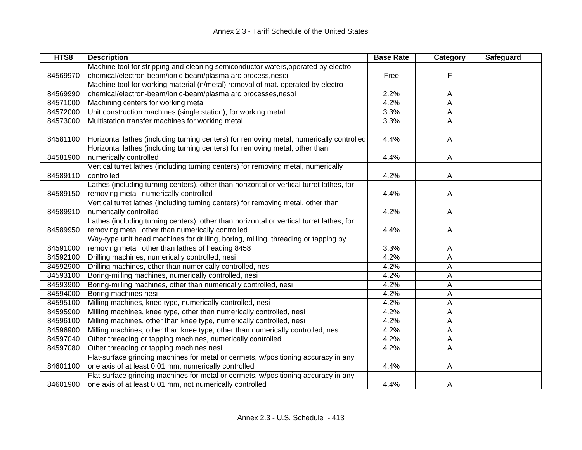| HTS8     | <b>Description</b>                                                                       | <b>Base Rate</b> | Category     | Safeguard |
|----------|------------------------------------------------------------------------------------------|------------------|--------------|-----------|
|          | Machine tool for stripping and cleaning semiconductor wafers, operated by electro-       |                  |              |           |
| 84569970 | chemical/electron-beam/ionic-beam/plasma arc process,nesoi                               | Free             | F            |           |
|          | Machine tool for working material (n/metal) removal of mat. operated by electro-         |                  |              |           |
| 84569990 | chemical/electron-beam/ionic-beam/plasma arc processes,nesoi                             | 2.2%             | A            |           |
| 84571000 | Machining centers for working metal                                                      | 4.2%             | A            |           |
| 84572000 | Unit construction machines (single station), for working metal                           | 3.3%             | Α            |           |
| 84573000 | Multistation transfer machines for working metal                                         | 3.3%             | A            |           |
|          |                                                                                          |                  |              |           |
| 84581100 | Horizontal lathes (including turning centers) for removing metal, numerically controlled | 4.4%             | A            |           |
|          | Horizontal lathes (including turning centers) for removing metal, other than             |                  |              |           |
| 84581900 | numerically controlled                                                                   | 4.4%             | $\mathsf{A}$ |           |
|          | Vertical turret lathes (including turning centers) for removing metal, numerically       |                  |              |           |
| 84589110 | controlled                                                                               | 4.2%             | A            |           |
|          | Lathes (including turning centers), other than horizontal or vertical turret lathes, for |                  |              |           |
| 84589150 | removing metal, numerically controlled                                                   | 4.4%             | A            |           |
|          | Vertical turret lathes (including turning centers) for removing metal, other than        |                  |              |           |
| 84589910 | numerically controlled                                                                   | 4.2%             | A            |           |
|          | Lathes (including turning centers), other than horizontal or vertical turret lathes, for |                  |              |           |
| 84589950 | removing metal, other than numerically controlled                                        | 4.4%             | A            |           |
|          | Way-type unit head machines for drilling, boring, milling, threading or tapping by       |                  |              |           |
| 84591000 | removing metal, other than lathes of heading 8458                                        | 3.3%             | A            |           |
| 84592100 | Drilling machines, numerically controlled, nesi                                          | 4.2%             | A            |           |
| 84592900 | Drilling machines, other than numerically controlled, nesi                               | 4.2%             | A            |           |
| 84593100 | Boring-milling machines, numerically controlled, nesi                                    | 4.2%             | A            |           |
| 84593900 | Boring-milling machines, other than numerically controlled, nesi                         | 4.2%             | A            |           |
| 84594000 | Boring machines nesi                                                                     | 4.2%             | A            |           |
| 84595100 | Milling machines, knee type, numerically controlled, nesi                                | 4.2%             | A            |           |
| 84595900 | Milling machines, knee type, other than numerically controlled, nesi                     | 4.2%             | A            |           |
| 84596100 | Milling machines, other than knee type, numerically controlled, nesi                     | 4.2%             | A            |           |
| 84596900 | Milling machines, other than knee type, other than numerically controlled, nesi          | 4.2%             | A            |           |
| 84597040 | Other threading or tapping machines, numerically controlled                              | 4.2%             | $\mathsf{A}$ |           |
| 84597080 | Other threading or tapping machines nesi                                                 | 4.2%             | A            |           |
|          | Flat-surface grinding machines for metal or cermets, w/positioning accuracy in any       |                  |              |           |
| 84601100 | one axis of at least 0.01 mm, numerically controlled                                     | 4.4%             | A            |           |
|          | Flat-surface grinding machines for metal or cermets, w/positioning accuracy in any       |                  |              |           |
| 84601900 | one axis of at least 0.01 mm, not numerically controlled                                 | 4.4%             | A            |           |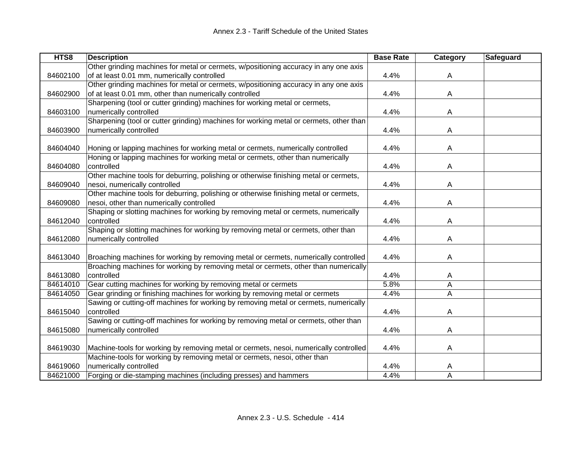| HTS8     | <b>Description</b>                                                                     | <b>Base Rate</b> | Category | <b>Safeguard</b> |
|----------|----------------------------------------------------------------------------------------|------------------|----------|------------------|
|          | Other grinding machines for metal or cermets, w/positioning accuracy in any one axis   |                  |          |                  |
| 84602100 | of at least 0.01 mm, numerically controlled                                            | 4.4%             | A        |                  |
|          | Other grinding machines for metal or cermets, w/positioning accuracy in any one axis   |                  |          |                  |
| 84602900 | of at least 0.01 mm, other than numerically controlled                                 | 4.4%             | A        |                  |
|          | Sharpening (tool or cutter grinding) machines for working metal or cermets,            |                  |          |                  |
| 84603100 | numerically controlled                                                                 | 4.4%             | A        |                  |
|          | Sharpening (tool or cutter grinding) machines for working metal or cermets, other than |                  |          |                  |
| 84603900 | numerically controlled                                                                 | 4.4%             | A        |                  |
|          |                                                                                        |                  |          |                  |
| 84604040 | Honing or lapping machines for working metal or cermets, numerically controlled        | 4.4%             | A        |                  |
|          | Honing or lapping machines for working metal or cermets, other than numerically        |                  |          |                  |
| 84604080 | controlled                                                                             | 4.4%             | Α        |                  |
|          | Other machine tools for deburring, polishing or otherwise finishing metal or cermets,  |                  |          |                  |
| 84609040 | nesoi, numerically controlled                                                          | 4.4%             | Α        |                  |
|          | Other machine tools for deburring, polishing or otherwise finishing metal or cermets,  |                  |          |                  |
| 84609080 | nesoi, other than numerically controlled                                               | 4.4%             | Α        |                  |
|          | Shaping or slotting machines for working by removing metal or cermets, numerically     |                  |          |                  |
| 84612040 | controlled                                                                             | 4.4%             | A        |                  |
|          | Shaping or slotting machines for working by removing metal or cermets, other than      |                  |          |                  |
| 84612080 | numerically controlled                                                                 | 4.4%             | A        |                  |
|          |                                                                                        |                  |          |                  |
| 84613040 | Broaching machines for working by removing metal or cermets, numerically controlled    | 4.4%             | A        |                  |
|          | Broaching machines for working by removing metal or cermets, other than numerically    |                  |          |                  |
| 84613080 | controlled                                                                             | 4.4%             | A        |                  |
| 84614010 | Gear cutting machines for working by removing metal or cermets                         | 5.8%             | A        |                  |
| 84614050 | Gear grinding or finishing machines for working by removing metal or cermets           | 4.4%             | Α        |                  |
|          | Sawing or cutting-off machines for working by removing metal or cermets, numerically   |                  |          |                  |
| 84615040 | controlled                                                                             | 4.4%             | Α        |                  |
|          | Sawing or cutting-off machines for working by removing metal or cermets, other than    |                  |          |                  |
| 84615080 | numerically controlled                                                                 | 4.4%             | A        |                  |
|          |                                                                                        |                  |          |                  |
| 84619030 | Machine-tools for working by removing metal or cermets, nesoi, numerically controlled  | 4.4%             | Α        |                  |
|          | Machine-tools for working by removing metal or cermets, nesoi, other than              |                  |          |                  |
| 84619060 | numerically controlled                                                                 | 4.4%             | A        |                  |
| 84621000 | Forging or die-stamping machines (including presses) and hammers                       | 4.4%             | Α        |                  |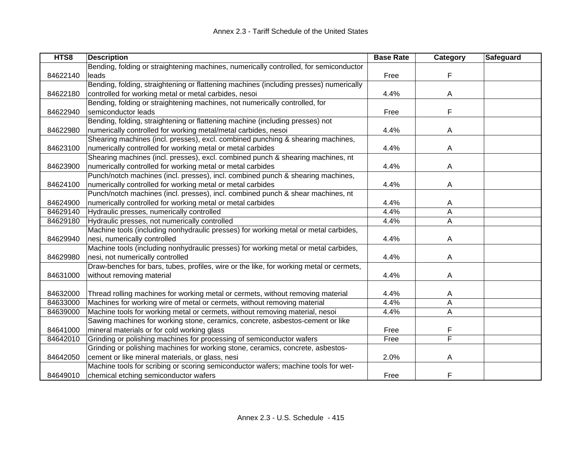| HTS8     | <b>Description</b>                                                                      | <b>Base Rate</b> | Category | Safeguard |
|----------|-----------------------------------------------------------------------------------------|------------------|----------|-----------|
|          | Bending, folding or straightening machines, numerically controlled, for semiconductor   |                  |          |           |
| 84622140 | leads                                                                                   | Free             | F        |           |
|          | Bending, folding, straightening or flattening machines (including presses) numerically  |                  |          |           |
| 84622180 | controlled for working metal or metal carbides, nesoi                                   | 4.4%             | A        |           |
|          | Bending, folding or straightening machines, not numerically controlled, for             |                  |          |           |
| 84622940 | semiconductor leads                                                                     | Free             | F        |           |
|          | Bending, folding, straightening or flattening machine (including presses) not           |                  |          |           |
| 84622980 | numerically controlled for working metal/metal carbides, nesoi                          | 4.4%             | Α        |           |
|          | Shearing machines (incl. presses), excl. combined punching & shearing machines,         |                  |          |           |
| 84623100 | numerically controlled for working metal or metal carbides                              | 4.4%             | Α        |           |
|          | Shearing machines (incl. presses), excl. combined punch & shearing machines, nt         |                  |          |           |
| 84623900 | numerically controlled for working metal or metal carbides                              | 4.4%             | A        |           |
|          | Punch/notch machines (incl. presses), incl. combined punch & shearing machines,         |                  |          |           |
| 84624100 | numerically controlled for working metal or metal carbides                              | 4.4%             | Α        |           |
|          | Punch/notch machines (incl. presses), incl. combined punch & shear machines, nt         |                  |          |           |
| 84624900 | numerically controlled for working metal or metal carbides                              | 4.4%             | A        |           |
| 84629140 | Hydraulic presses, numerically controlled                                               | 4.4%             | A        |           |
| 84629180 | Hydraulic presses, not numerically controlled                                           | 4.4%             | Α        |           |
|          | Machine tools (including nonhydraulic presses) for working metal or metal carbides,     |                  |          |           |
| 84629940 | nesi, numerically controlled                                                            | 4.4%             | A        |           |
|          | Machine tools (including nonhydraulic presses) for working metal or metal carbides,     |                  |          |           |
| 84629980 | nesi, not numerically controlled                                                        | 4.4%             | Α        |           |
|          | Draw-benches for bars, tubes, profiles, wire or the like, for working metal or cermets, |                  |          |           |
| 84631000 | without removing material                                                               | 4.4%             | Α        |           |
|          |                                                                                         |                  |          |           |
| 84632000 | Thread rolling machines for working metal or cermets, without removing material         | 4.4%             | A        |           |
| 84633000 | Machines for working wire of metal or cermets, without removing material                | 4.4%             | А        |           |
| 84639000 | Machine tools for working metal or cermets, without removing material, nesoi            | 4.4%             | A        |           |
|          | Sawing machines for working stone, ceramics, concrete, asbestos-cement or like          |                  |          |           |
| 84641000 | mineral materials or for cold working glass                                             | Free             | F        |           |
| 84642010 | Grinding or polishing machines for processing of semiconductor wafers                   | Free             | F        |           |
|          | Grinding or polishing machines for working stone, ceramics, concrete, asbestos-         |                  |          |           |
| 84642050 | cement or like mineral materials, or glass, nesi                                        | 2.0%             | Α        |           |
|          | Machine tools for scribing or scoring semiconductor wafers; machine tools for wet-      |                  |          |           |
| 84649010 | chemical etching semiconductor wafers                                                   | Free             | F        |           |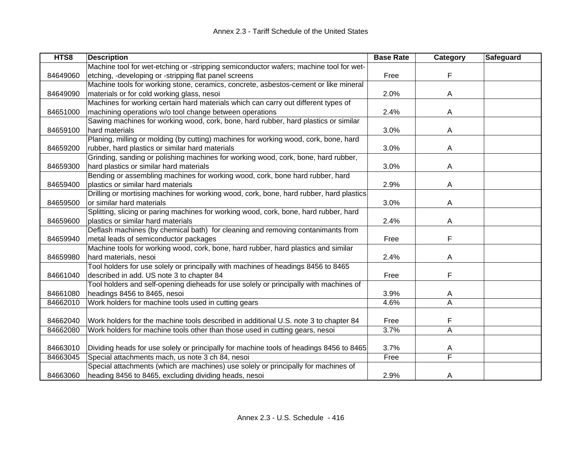| HTS8     | <b>Description</b>                                                                      | <b>Base Rate</b> | Category       | <b>Safeguard</b> |
|----------|-----------------------------------------------------------------------------------------|------------------|----------------|------------------|
|          | Machine tool for wet-etching or -stripping semiconductor wafers; machine tool for wet-  |                  |                |                  |
| 84649060 | etching, -developing or -stripping flat panel screens                                   | Free             | F              |                  |
|          | Machine tools for working stone, ceramics, concrete, asbestos-cement or like mineral    |                  |                |                  |
| 84649090 | materials or for cold working glass, nesoi                                              | 2.0%             | A              |                  |
|          | Machines for working certain hard materials which can carry out different types of      |                  |                |                  |
| 84651000 | machining operations w/o tool change between operations                                 | 2.4%             | A              |                  |
|          | Sawing machines for working wood, cork, bone, hard rubber, hard plastics or similar     |                  |                |                  |
| 84659100 | hard materials                                                                          | 3.0%             | A              |                  |
|          | Planing, milling or molding (by cutting) machines for working wood, cork, bone, hard    |                  |                |                  |
| 84659200 | rubber, hard plastics or similar hard materials                                         | 3.0%             | A              |                  |
|          | Grinding, sanding or polishing machines for working wood, cork, bone, hard rubber,      |                  |                |                  |
| 84659300 | hard plastics or similar hard materials                                                 | 3.0%             | A              |                  |
|          | Bending or assembling machines for working wood, cork, bone hard rubber, hard           |                  |                |                  |
| 84659400 | plastics or similar hard materials                                                      | 2.9%             | A              |                  |
|          | Drilling or mortising machines for working wood, cork, bone, hard rubber, hard plastics |                  |                |                  |
| 84659500 | or similar hard materials                                                               | 3.0%             | Α              |                  |
|          | Splitting, slicing or paring machines for working wood, cork, bone, hard rubber, hard   |                  |                |                  |
| 84659600 | plastics or similar hard materials                                                      | 2.4%             | A              |                  |
|          | Deflash machines (by chemical bath) for cleaning and removing contanimants from         |                  |                |                  |
| 84659940 | metal leads of semiconductor packages                                                   | Free             | F              |                  |
|          | Machine tools for working wood, cork, bone, hard rubber, hard plastics and similar      |                  |                |                  |
| 84659980 | hard materials, nesoi                                                                   | 2.4%             | A              |                  |
|          | Tool holders for use solely or principally with machines of headings 8456 to 8465       |                  |                |                  |
| 84661040 | described in add. US note 3 to chapter 84                                               | Free             | F              |                  |
|          | Tool holders and self-opening dieheads for use solely or principally with machines of   |                  |                |                  |
| 84661080 | headings 8456 to 8465, nesoi                                                            | 3.9%             | A              |                  |
| 84662010 | Work holders for machine tools used in cutting gears                                    | 4.6%             | A              |                  |
|          |                                                                                         |                  |                |                  |
| 84662040 | Work holders for the machine tools described in additional U.S. note 3 to chapter 84    | Free             | F              |                  |
| 84662080 | Work holders for machine tools other than those used in cutting gears, nesoi            | 3.7%             | $\overline{A}$ |                  |
|          |                                                                                         |                  |                |                  |
| 84663010 | Dividing heads for use solely or principally for machine tools of headings 8456 to 8465 | 3.7%             | A              |                  |
| 84663045 | Special attachments mach, us note 3 ch 84, nesoi                                        | Free             | F              |                  |
|          | Special attachments (which are machines) use solely or principally for machines of      |                  |                |                  |
| 84663060 | heading 8456 to 8465, excluding dividing heads, nesoi                                   | 2.9%             | A              |                  |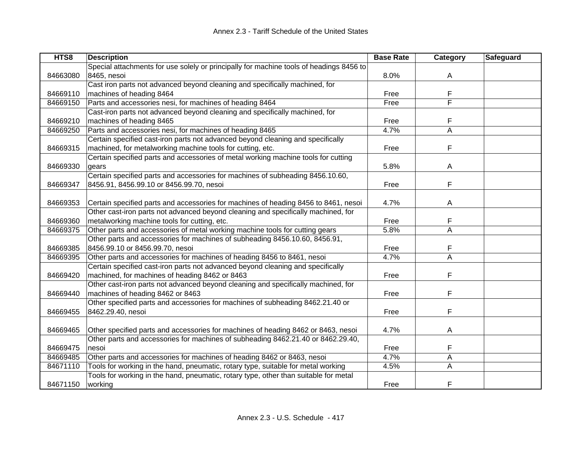| HTS8     | <b>Description</b>                                                                      | <b>Base Rate</b> | Category | Safeguard |
|----------|-----------------------------------------------------------------------------------------|------------------|----------|-----------|
|          | Special attachments for use solely or principally for machine tools of headings 8456 to |                  |          |           |
| 84663080 | 8465, nesoi                                                                             | 8.0%             | A        |           |
|          | Cast iron parts not advanced beyond cleaning and specifically machined, for             |                  |          |           |
| 84669110 | machines of heading 8464                                                                | Free             | F        |           |
| 84669150 | Parts and accessories nesi, for machines of heading 8464                                | Free             | F        |           |
|          | Cast-iron parts not advanced beyond cleaning and specifically machined, for             |                  |          |           |
| 84669210 | machines of heading 8465                                                                | Free             | F        |           |
| 84669250 | Parts and accessories nesi, for machines of heading 8465                                | 4.7%             | A        |           |
|          | Certain specified cast-iron parts not advanced beyond cleaning and specifically         |                  |          |           |
| 84669315 | machined, for metalworking machine tools for cutting, etc.                              | Free             | F        |           |
|          | Certain specified parts and accessories of metal working machine tools for cutting      |                  |          |           |
| 84669330 | gears                                                                                   | 5.8%             | A        |           |
|          | Certain specified parts and accessories for machines of subheading 8456.10.60,          |                  |          |           |
| 84669347 | 8456.91, 8456.99.10 or 8456.99.70, nesoi                                                | Free             | F        |           |
|          |                                                                                         |                  |          |           |
| 84669353 | Certain specified parts and accessories for machines of heading 8456 to 8461, nesoi     | 4.7%             | A        |           |
|          | Other cast-iron parts not advanced beyond cleaning and specifically machined, for       |                  |          |           |
| 84669360 | metalworking machine tools for cutting, etc.                                            | Free             | F        |           |
| 84669375 | Other parts and accessories of metal working machine tools for cutting gears            | 5.8%             | A        |           |
|          | Other parts and accessories for machines of subheading 8456.10.60, 8456.91,             |                  |          |           |
| 84669385 | 8456.99.10 or 8456.99.70, nesoi                                                         | Free             |          |           |
| 84669395 | Other parts and accessories for machines of heading 8456 to 8461, nesoi                 | 4.7%             | A        |           |
|          | Certain specified cast-iron parts not advanced beyond cleaning and specifically         |                  |          |           |
| 84669420 | machined, for machines of heading 8462 or 8463                                          | Free             | F        |           |
|          | Other cast-iron parts not advanced beyond cleaning and specifically machined, for       |                  |          |           |
| 84669440 | machines of heading 8462 or 8463                                                        | Free             | F        |           |
|          | Other specified parts and accessories for machines of subheading 8462.21.40 or          |                  |          |           |
| 84669455 | 8462.29.40, nesoi                                                                       | Free             | F        |           |
|          |                                                                                         |                  |          |           |
| 84669465 | Other specified parts and accessories for machines of heading 8462 or 8463, nesoi       | 4.7%             | A        |           |
|          | Other parts and accessories for machines of subheading 8462.21.40 or 8462.29.40,        |                  |          |           |
| 84669475 | nesoi                                                                                   | Free             | F        |           |
| 84669485 | Other parts and accessories for machines of heading 8462 or 8463, nesoi                 | 4.7%             | A        |           |
| 84671110 | Tools for working in the hand, pneumatic, rotary type, suitable for metal working       | 4.5%             | A        |           |
|          | Tools for working in the hand, pneumatic, rotary type, other than suitable for metal    |                  |          |           |
| 84671150 | working                                                                                 | Free             | F        |           |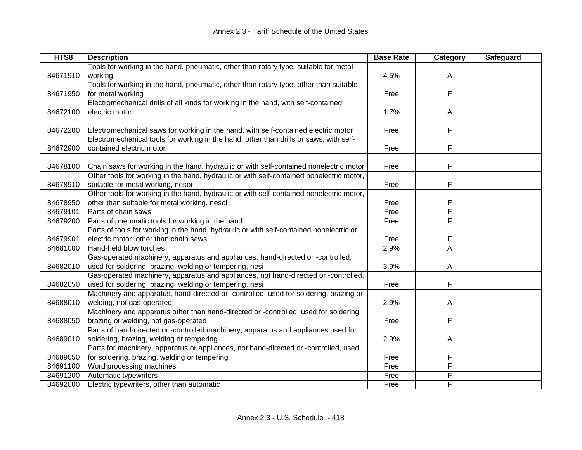| HTS8     | <b>Description</b>                                                                       | <b>Base Rate</b> | Category | Safeguard |
|----------|------------------------------------------------------------------------------------------|------------------|----------|-----------|
|          | Tools for working in the hand, pneumatic, other than rotary type, suitable for metal     |                  |          |           |
| 84671910 | working                                                                                  | 4.5%             | A        |           |
|          | Tools for working in the hand, pneumatic, other than rotary type, other than suitable    |                  |          |           |
| 84671950 | for metal working                                                                        | Free             | F        |           |
|          | Electromechanical drills of all kinds for working in the hand, with self-contained       |                  |          |           |
| 84672100 | electric motor                                                                           | 1.7%             | A        |           |
|          |                                                                                          |                  |          |           |
| 84672200 | Electromechanical saws for working in the hand, with self-contained electric motor       | Free             | F        |           |
|          | Electromechanical tools for working in the hand, other than drills or saws, with self-   |                  |          |           |
| 84672900 | contained electric motor                                                                 | Free             | F        |           |
|          |                                                                                          |                  |          |           |
| 84678100 | Chain saws for working in the hand, hydraulic or with self-contained nonelectric motor   | Free             | F        |           |
|          | Other tools for working in the hand, hydraulic or with self-contained nonelectric motor, |                  |          |           |
| 84678910 | suitable for metal working, nesoi                                                        | Free             | F        |           |
|          | Other tools for working in the hand, hydraulic or with self-contained nonelectric motor, |                  |          |           |
| 84678950 | other than suitable for metal working, nesoi                                             | Free             |          |           |
| 84679101 | Parts of chain saws                                                                      | Free             | F        |           |
| 84679200 | Parts of pneumatic tools for working in the hand                                         | Free             | F        |           |
|          | Parts of tools for working in the hand, hydraulic or with self-contained nonelectric or  |                  |          |           |
| 84679901 | electric motor, other than chain saws                                                    | Free             | F        |           |
| 84681000 | Hand-held blow torches                                                                   | 2.9%             | A        |           |
|          | Gas-operated machinery, apparatus and appliances, hand-directed or -controlled,          |                  |          |           |
| 84682010 | used for soldering, brazing, welding or tempering, nesi                                  | 3.9%             | A        |           |
|          | Gas-operated machinery, apparatus and appliances, not hand-directed or -controlled,      |                  |          |           |
| 84682050 | used for soldering, brazing, welding or tempering, nesi                                  | Free             | F        |           |
|          | Machinery and apparatus, hand-directed or -controlled, used for soldering, brazing or    |                  |          |           |
| 84688010 | welding, not gas-operated                                                                | 2.9%             | A        |           |
|          | Machinery and apparatus other than hand-directed or -controlled, used for soldering,     |                  |          |           |
| 84688050 | brazing or welding, not gas-operated                                                     | Free             | F        |           |
|          | Parts of hand-directed or -controlled machinery, apparatus and appliances used for       |                  |          |           |
| 84689010 | soldering, brazing, welding or tempering                                                 | 2.9%             | A        |           |
|          | Parts for machinery, apparatus or appliances, not hand-directed or -controlled, used     |                  |          |           |
| 84689050 | for soldering, brazing, welding or tempering                                             | Free             | F        |           |
| 84691100 | Word processing machines                                                                 | Free             | F        |           |
| 84691200 | Automatic typewriters                                                                    | Free             | F        |           |
| 84692000 | Electric typewriters, other than automatic                                               | Free             | F        |           |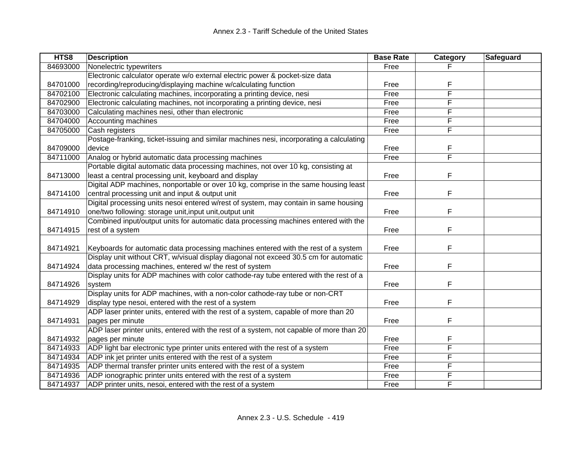| HTS8     | <b>Description</b>                                                                      | <b>Base Rate</b> | Category | Safeguard |
|----------|-----------------------------------------------------------------------------------------|------------------|----------|-----------|
| 84693000 | Nonelectric typewriters                                                                 | Free             |          |           |
|          | Electronic calculator operate w/o external electric power & pocket-size data            |                  |          |           |
| 84701000 | recording/reproducing/displaying machine w/calculating function                         | Free             | F        |           |
| 84702100 | Electronic calculating machines, incorporating a printing device, nesi                  | Free             | F        |           |
| 84702900 | Electronic calculating machines, not incorporating a printing device, nesi              | Free             | F        |           |
| 84703000 | Calculating machines nesi, other than electronic                                        | Free             | F        |           |
| 84704000 | Accounting machines                                                                     | Free             | F        |           |
| 84705000 | Cash registers                                                                          | Free             | F        |           |
|          | Postage-franking, ticket-issuing and similar machines nesi, incorporating a calculating |                  |          |           |
| 84709000 | device                                                                                  | Free             | F        |           |
| 84711000 | Analog or hybrid automatic data processing machines                                     | Free             | F        |           |
|          | Portable digital automatic data processing machines, not over 10 kg, consisting at      |                  |          |           |
| 84713000 | least a central processing unit, keyboard and display                                   | Free             | F        |           |
|          | Digital ADP machines, nonportable or over 10 kg, comprise in the same housing least     |                  |          |           |
| 84714100 | central processing unit and input & output unit                                         | Free             | F        |           |
|          | Digital processing units nesoi entered w/rest of system, may contain in same housing    |                  |          |           |
| 84714910 | one/two following: storage unit, input unit, output unit                                | Free             | F        |           |
|          | Combined input/output units for automatic data processing machines entered with the     |                  |          |           |
| 84714915 | rest of a system                                                                        | Free             | F        |           |
|          |                                                                                         |                  |          |           |
| 84714921 | Keyboards for automatic data processing machines entered with the rest of a system      | Free             | F        |           |
|          | Display unit without CRT, w/visual display diagonal not exceed 30.5 cm for automatic    |                  |          |           |
| 84714924 | data processing machines, entered w/ the rest of system                                 | Free             | F        |           |
|          | Display units for ADP machines with color cathode-ray tube entered with the rest of a   |                  |          |           |
| 84714926 | system                                                                                  | Free             | F        |           |
|          | Display units for ADP machines, with a non-color cathode-ray tube or non-CRT            |                  |          |           |
| 84714929 | display type nesoi, entered with the rest of a system                                   | Free             | F        |           |
|          | ADP laser printer units, entered with the rest of a system, capable of more than 20     |                  |          |           |
| 84714931 | pages per minute                                                                        | Free             | F        |           |
|          | ADP laser printer units, entered with the rest of a system, not capable of more than 20 |                  |          |           |
| 84714932 | pages per minute                                                                        | Free             | F        |           |
| 84714933 | ADP light bar electronic type printer units entered with the rest of a system           | Free             | F        |           |
| 84714934 | ADP ink jet printer units entered with the rest of a system                             | Free             | F        |           |
| 84714935 | ADP thermal transfer printer units entered with the rest of a system                    | Free             | F        |           |
| 84714936 | ADP ionographic printer units entered with the rest of a system                         | Free             | F        |           |
| 84714937 | ADP printer units, nesoi, entered with the rest of a system                             | Free             | F        |           |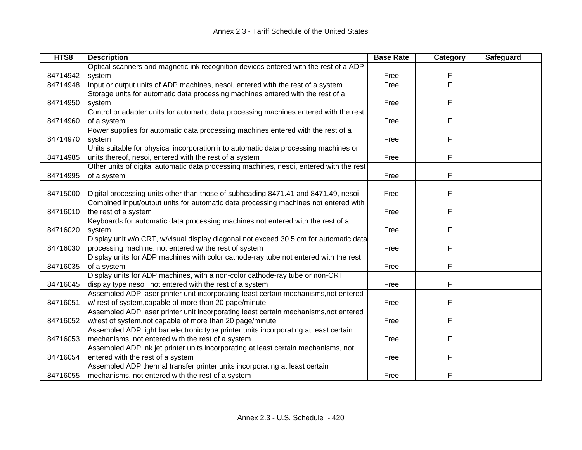| HTS8     | <b>Description</b>                                                                      | <b>Base Rate</b> | Category | Safeguard |
|----------|-----------------------------------------------------------------------------------------|------------------|----------|-----------|
|          | Optical scanners and magnetic ink recognition devices entered with the rest of a ADP    |                  |          |           |
| 84714942 | system                                                                                  | Free             | F        |           |
| 84714948 | Input or output units of ADP machines, nesoi, entered with the rest of a system         | Free             | F        |           |
|          | Storage units for automatic data processing machines entered with the rest of a         |                  |          |           |
| 84714950 | system                                                                                  | Free             | F        |           |
|          | Control or adapter units for automatic data processing machines entered with the rest   |                  |          |           |
| 84714960 | of a system                                                                             | Free             | F        |           |
|          | Power supplies for automatic data processing machines entered with the rest of a        |                  |          |           |
| 84714970 | system                                                                                  | Free             | F        |           |
|          | Units suitable for physical incorporation into automatic data processing machines or    |                  |          |           |
| 84714985 | units thereof, nesoi, entered with the rest of a system                                 | Free             | F        |           |
|          | Other units of digital automatic data processing machines, nesoi, entered with the rest |                  |          |           |
| 84714995 | of a system                                                                             | Free             | F        |           |
|          |                                                                                         |                  |          |           |
| 84715000 | Digital processing units other than those of subheading 8471.41 and 8471.49, nesoi      | Free             | F        |           |
|          | Combined input/output units for automatic data processing machines not entered with     |                  |          |           |
| 84716010 | the rest of a system                                                                    | Free             | F        |           |
|          | Keyboards for automatic data processing machines not entered with the rest of a         |                  |          |           |
| 84716020 | system                                                                                  | Free             | F        |           |
|          | Display unit w/o CRT, w/visual display diagonal not exceed 30.5 cm for automatic data   |                  |          |           |
| 84716030 | processing machine, not entered w/ the rest of system                                   | Free             | F        |           |
|          | Display units for ADP machines with color cathode-ray tube not entered with the rest    |                  |          |           |
| 84716035 | of a system                                                                             | Free             | F        |           |
|          | Display units for ADP machines, with a non-color cathode-ray tube or non-CRT            |                  |          |           |
| 84716045 | display type nesoi, not entered with the rest of a system                               | Free             | F        |           |
|          | Assembled ADP laser printer unit incorporating least certain mechanisms, not entered    |                  |          |           |
| 84716051 | w/ rest of system, capable of more than 20 page/minute                                  | Free             | F        |           |
|          | Assembled ADP laser printer unit incorporating least certain mechanisms, not entered    |                  |          |           |
| 84716052 | w/rest of system, not capable of more than 20 page/minute                               | Free             | F        |           |
|          | Assembled ADP light bar electronic type printer units incorporating at least certain    |                  |          |           |
| 84716053 | mechanisms, not entered with the rest of a system                                       | Free             | F        |           |
|          | Assembled ADP ink jet printer units incorporating at least certain mechanisms, not      |                  |          |           |
| 84716054 | entered with the rest of a system                                                       | Free             | F        |           |
|          | Assembled ADP thermal transfer printer units incorporating at least certain             |                  |          |           |
| 84716055 | mechanisms, not entered with the rest of a system                                       | Free             | F        |           |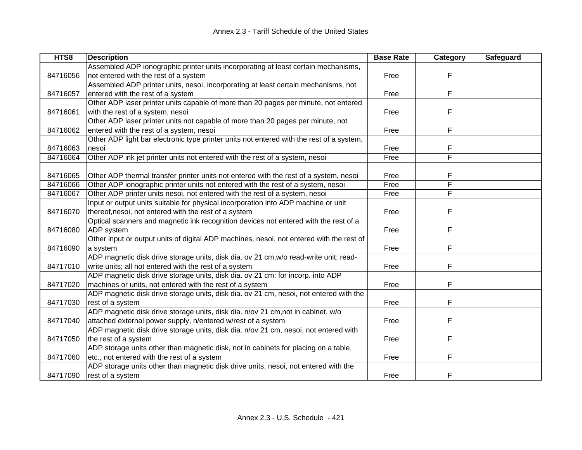| HTS8     | <b>Description</b>                                                                       | <b>Base Rate</b> | Category | Safeguard |
|----------|------------------------------------------------------------------------------------------|------------------|----------|-----------|
|          | Assembled ADP ionographic printer units incorporating at least certain mechanisms,       |                  |          |           |
| 84716056 | not entered with the rest of a system                                                    | Free             | F        |           |
|          | Assembled ADP printer units, nesoi, incorporating at least certain mechanisms, not       |                  |          |           |
| 84716057 | entered with the rest of a system                                                        | Free             | F        |           |
|          | Other ADP laser printer units capable of more than 20 pages per minute, not entered      |                  |          |           |
| 84716061 | with the rest of a system, nesoi                                                         | Free             | F        |           |
|          | Other ADP laser printer units not capable of more than 20 pages per minute, not          |                  |          |           |
| 84716062 | entered with the rest of a system, nesoi                                                 | Free             | F        |           |
|          | Other ADP light bar electronic type printer units not entered with the rest of a system, |                  |          |           |
| 84716063 | nesoi                                                                                    | Free             | F        |           |
| 84716064 | Other ADP ink jet printer units not entered with the rest of a system, nesoi             | Free             | F        |           |
|          |                                                                                          |                  |          |           |
| 84716065 | Other ADP thermal transfer printer units not entered with the rest of a system, nesoi    | Free             | F        |           |
| 84716066 | Other ADP ionographic printer units not entered with the rest of a system, nesoi         | Free             | F        |           |
| 84716067 | Other ADP printer units nesoi, not entered with the rest of a system, nesoi              | Free             | F        |           |
|          | Input or output units suitable for physical incorporation into ADP machine or unit       |                  |          |           |
| 84716070 | thereof, nesoi, not entered with the rest of a system                                    | Free             | F        |           |
|          | Optical scanners and magnetic ink recognition devices not entered with the rest of a     |                  |          |           |
| 84716080 | ADP system                                                                               | Free             | F        |           |
|          | Other input or output units of digital ADP machines, nesoi, not entered with the rest of |                  |          |           |
| 84716090 | a system                                                                                 | Free             | F        |           |
|          | ADP magnetic disk drive storage units, disk dia. ov 21 cm, w/o read-write unit; read-    |                  |          |           |
| 84717010 | write units; all not entered with the rest of a system                                   | Free             | F        |           |
|          | ADP magnetic disk drive storage units, disk dia. ov 21 cm: for incorp. into ADP          |                  |          |           |
| 84717020 | machines or units, not entered with the rest of a system                                 | Free             | F        |           |
|          | ADP magnetic disk drive storage units, disk dia. ov 21 cm, nesoi, not entered with the   |                  |          |           |
| 84717030 | rest of a system                                                                         | Free             | F        |           |
|          | ADP magnetic disk drive storage units, disk dia. n/ov 21 cm, not in cabinet, w/o         |                  |          |           |
| 84717040 | attached external power supply, n/entered w/rest of a system                             | Free             | F        |           |
|          | ADP magnetic disk drive storage units, disk dia. n/ov 21 cm, nesoi, not entered with     |                  |          |           |
| 84717050 | the rest of a system                                                                     | Free             | F        |           |
|          | ADP storage units other than magnetic disk, not in cabinets for placing on a table,      |                  |          |           |
| 84717060 | etc., not entered with the rest of a system                                              | Free             | F        |           |
|          | ADP storage units other than magnetic disk drive units, nesoi, not entered with the      |                  |          |           |
| 84717090 | rest of a system                                                                         | Free             | F        |           |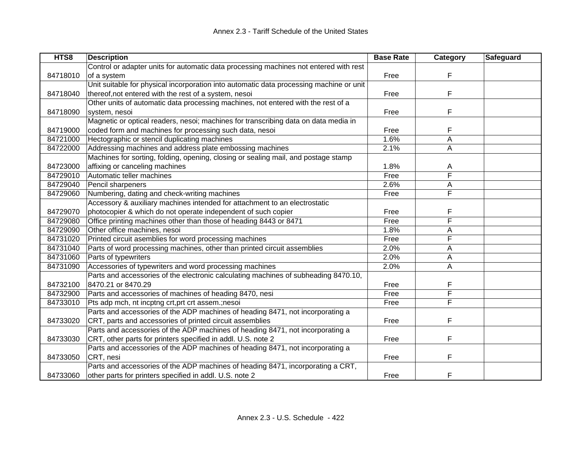| HTS8     | <b>Description</b>                                                                      | <b>Base Rate</b> | Category                | <b>Safeguard</b> |
|----------|-----------------------------------------------------------------------------------------|------------------|-------------------------|------------------|
|          | Control or adapter units for automatic data processing machines not entered with rest   |                  |                         |                  |
| 84718010 | of a system                                                                             | Free             | F                       |                  |
|          | Unit suitable for physical incorporation into automatic data processing machine or unit |                  |                         |                  |
| 84718040 | thereof, not entered with the rest of a system, nesoi                                   | Free             | F                       |                  |
|          | Other units of automatic data processing machines, not entered with the rest of a       |                  |                         |                  |
| 84718090 | system, nesoi                                                                           | Free             | F                       |                  |
|          | Magnetic or optical readers, nesoi; machines for transcribing data on data media in     |                  |                         |                  |
| 84719000 | coded form and machines for processing such data, nesoi                                 | Free             | F                       |                  |
| 84721000 | Hectographic or stencil duplicating machines                                            | 1.6%             | A                       |                  |
| 84722000 | Addressing machines and address plate embossing machines                                | 2.1%             | A                       |                  |
|          | Machines for sorting, folding, opening, closing or sealing mail, and postage stamp      |                  |                         |                  |
| 84723000 | affixing or canceling machines                                                          | 1.8%             | A                       |                  |
| 84729010 | Automatic teller machines                                                               | Free             | F                       |                  |
| 84729040 | Pencil sharpeners                                                                       | 2.6%             | Α                       |                  |
| 84729060 | Numbering, dating and check-writing machines                                            | Free             | F                       |                  |
|          | Accessory & auxiliary machines intended for attachment to an electrostatic              |                  |                         |                  |
| 84729070 | photocopier & which do not operate independent of such copier                           | Free             | F                       |                  |
| 84729080 | Office printing machines other than those of heading 8443 or 8471                       | Free             | F                       |                  |
| 84729090 | Other office machines, nesoi                                                            | 1.8%             | A                       |                  |
| 84731020 | Printed circuit asemblies for word processing machines                                  | Free             | F                       |                  |
| 84731040 | Parts of word processing machines, other than printed circuit assemblies                | 2.0%             | Α                       |                  |
| 84731060 | Parts of typewriters                                                                    | 2.0%             | Α                       |                  |
| 84731090 | Accessories of typewriters and word processing machines                                 | 2.0%             | Α                       |                  |
|          | Parts and accessories of the electronic calculating machines of subheading 8470.10,     |                  |                         |                  |
| 84732100 | 8470.21 or 8470.29                                                                      | Free             | F                       |                  |
| 84732900 | Parts and accessories of machines of heading 8470, nesi                                 | Free             | F                       |                  |
| 84733010 | Pts adp mch, nt incptng crt, prt crt assem.; nesoi                                      | Free             | $\overline{\mathsf{F}}$ |                  |
|          | Parts and accessories of the ADP machines of heading 8471, not incorporating a          |                  |                         |                  |
| 84733020 | CRT, parts and accessories of printed circuit assemblies                                | Free             | F                       |                  |
|          | Parts and accessories of the ADP machines of heading 8471, not incorporating a          |                  |                         |                  |
| 84733030 | CRT, other parts for printers specified in addl. U.S. note 2                            | Free             | F                       |                  |
|          | Parts and accessories of the ADP machines of heading 8471, not incorporating a          |                  |                         |                  |
| 84733050 | CRT, nesi                                                                               | Free             | F                       |                  |
|          | Parts and accessories of the ADP machines of heading 8471, incorporating a CRT,         |                  |                         |                  |
| 84733060 | other parts for printers specified in addl. U.S. note 2                                 | Free             | F                       |                  |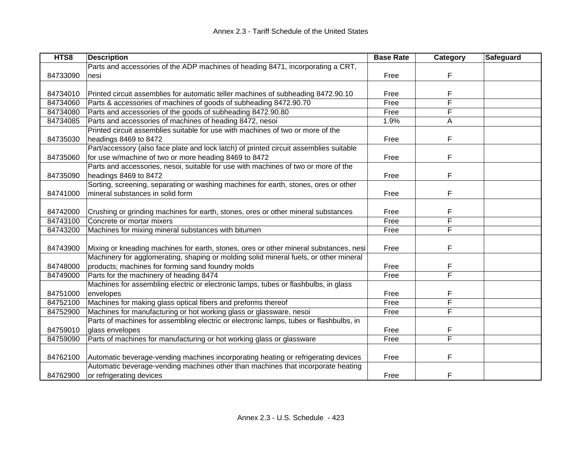| HTS8     | <b>Description</b>                                                                     | <b>Base Rate</b> | Category | <b>Safeguard</b> |
|----------|----------------------------------------------------------------------------------------|------------------|----------|------------------|
|          | Parts and accessories of the ADP machines of heading 8471, incorporating a CRT,        |                  |          |                  |
| 84733090 | nesi                                                                                   | Free             | F        |                  |
|          |                                                                                        |                  |          |                  |
| 84734010 | Printed circuit assemblies for automatic teller machines of subheading 8472.90.10      | Free             | F        |                  |
| 84734060 | Parts & accessories of machines of goods of subheading 8472.90.70                      | Free             | F        |                  |
| 84734080 | Parts and accessories of the goods of subheading 8472.90.80                            | Free             | F        |                  |
| 84734085 | Parts and accessories of machines of heading 8472, nesoi                               | 1.9%             | Α        |                  |
|          | Printed circuit assemblies suitable for use with machines of two or more of the        |                  |          |                  |
| 84735030 | headings 8469 to 8472                                                                  | Free             | F        |                  |
|          | Part/accessory (also face plate and lock latch) of printed circuit assemblies suitable |                  |          |                  |
| 84735060 | for use w/machine of two or more heading 8469 to 8472                                  | Free             | F        |                  |
|          | Parts and accessories, nesoi, suitable for use with machines of two or more of the     |                  |          |                  |
| 84735090 | headings 8469 to 8472                                                                  | Free             | F        |                  |
|          | Sorting, screening, separating or washing machines for earth, stones, ores or other    |                  |          |                  |
| 84741000 | mineral substances in solid form                                                       | Free             | F        |                  |
|          |                                                                                        |                  |          |                  |
| 84742000 | Crushing or grinding machines for earth, stones, ores or other mineral substances      | Free             | F        |                  |
| 84743100 | Concrete or mortar mixers                                                              | Free             | F        |                  |
| 84743200 | Machines for mixing mineral substances with bitumen                                    | Free             | F        |                  |
|          |                                                                                        |                  |          |                  |
| 84743900 | Mixing or kneading machines for earth, stones, ores or other mineral substances, nesi  | Free             | F        |                  |
|          | Machinery for agglomerating, shaping or molding solid mineral fuels, or other mineral  |                  |          |                  |
| 84748000 | products; machines for forming sand foundry molds                                      | Free             | F        |                  |
| 84749000 | Parts for the machinery of heading 8474                                                | Free             | F        |                  |
|          | Machines for assembling electric or electronic lamps, tubes or flashbulbs, in glass    |                  |          |                  |
| 84751000 | envelopes                                                                              | Free             | F        |                  |
| 84752100 | Machines for making glass optical fibers and preforms thereof                          | Free             | F        |                  |
| 84752900 | Machines for manufacturing or hot working glass or glassware, nesoi                    | Free             | F        |                  |
|          | Parts of machines for assembling electric or electronic lamps, tubes or flashbulbs, in |                  |          |                  |
| 84759010 | glass envelopes                                                                        | Free             | F        |                  |
| 84759090 | Parts of machines for manufacturing or hot working glass or glassware                  | Free             | F        |                  |
|          |                                                                                        |                  |          |                  |
| 84762100 | Automatic beverage-vending machines incorporating heating or refrigerating devices     | Free             | F        |                  |
|          | Automatic beverage-vending machines other than machines that incorporate heating       |                  |          |                  |
| 84762900 | or refrigerating devices                                                               | Free             | F        |                  |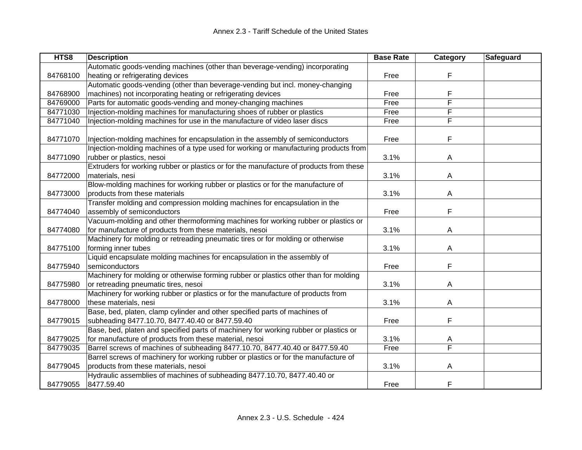| HTS8     | <b>Description</b>                                                                     | <b>Base Rate</b> | Category | Safeguard |
|----------|----------------------------------------------------------------------------------------|------------------|----------|-----------|
|          | Automatic goods-vending machines (other than beverage-vending) incorporating           |                  |          |           |
| 84768100 | heating or refrigerating devices                                                       | Free             | F        |           |
|          | Automatic goods-vending (other than beverage-vending but incl. money-changing          |                  |          |           |
| 84768900 | machines) not incorporating heating or refrigerating devices                           | Free             | F        |           |
| 84769000 | Parts for automatic goods-vending and money-changing machines                          | Free             | F        |           |
| 84771030 | Injection-molding machines for manufacturing shoes of rubber or plastics               | Free             | F        |           |
| 84771040 | Injection-molding machines for use in the manufacture of video laser discs             | Free             | F        |           |
|          |                                                                                        |                  |          |           |
| 84771070 | Injection-molding machines for encapsulation in the assembly of semiconductors         | Free             | F        |           |
|          | Injection-molding machines of a type used for working or manufacturing products from   |                  |          |           |
| 84771090 | rubber or plastics, nesoi                                                              | 3.1%             | Α        |           |
|          | Extruders for working rubber or plastics or for the manufacture of products from these |                  |          |           |
| 84772000 | materials, nesi                                                                        | 3.1%             | A        |           |
|          | Blow-molding machines for working rubber or plastics or for the manufacture of         |                  |          |           |
| 84773000 | products from these materials                                                          | 3.1%             | A        |           |
|          | Transfer molding and compression molding machines for encapsulation in the             |                  |          |           |
| 84774040 | assembly of semiconductors                                                             | Free             | F        |           |
|          | Vacuum-molding and other thermoforming machines for working rubber or plastics or      |                  |          |           |
| 84774080 | for manufacture of products from these materials, nesoi                                | 3.1%             | A        |           |
|          | Machinery for molding or retreading pneumatic tires or for molding or otherwise        |                  |          |           |
| 84775100 | forming inner tubes                                                                    | 3.1%             | A        |           |
|          | Liquid encapsulate molding machines for encapsulation in the assembly of               |                  |          |           |
| 84775940 | semiconductors                                                                         | Free             | F        |           |
|          | Machinery for molding or otherwise forming rubber or plastics other than for molding   |                  |          |           |
| 84775980 | or retreading pneumatic tires, nesoi                                                   | 3.1%             | A        |           |
|          | Machinery for working rubber or plastics or for the manufacture of products from       |                  |          |           |
| 84778000 | these materials, nesi                                                                  | 3.1%             | A        |           |
|          | Base, bed, platen, clamp cylinder and other specified parts of machines of             |                  |          |           |
| 84779015 | subheading 8477.10.70, 8477.40.40 or 8477.59.40                                        | Free             | F        |           |
|          | Base, bed, platen and specified parts of machinery for working rubber or plastics or   |                  |          |           |
| 84779025 | for manufacture of products from these material, nesoi                                 | 3.1%             | A        |           |
| 84779035 | Barrel screws of machines of subheading 8477.10.70, 8477.40.40 or 8477.59.40           | Free             | F        |           |
|          | Barrel screws of machinery for working rubber or plastics or for the manufacture of    |                  |          |           |
| 84779045 | products from these materials, nesoi                                                   | 3.1%             | A        |           |
|          | Hydraulic assemblies of machines of subheading 8477.10.70, 8477.40.40 or               |                  |          |           |
| 84779055 | 8477.59.40                                                                             | Free             | F        |           |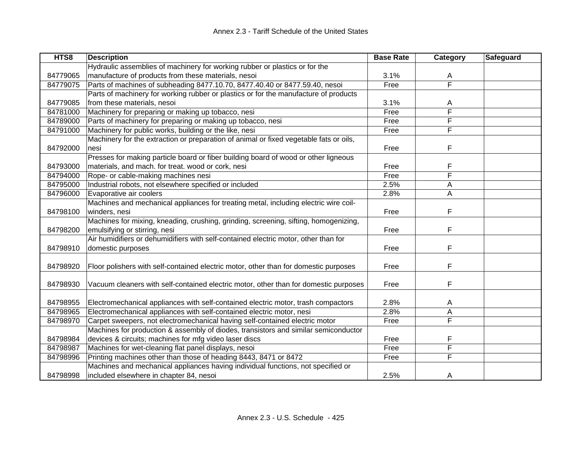| HTS8     | <b>Description</b>                                                                     | <b>Base Rate</b> | Category | Safeguard |
|----------|----------------------------------------------------------------------------------------|------------------|----------|-----------|
|          | Hydraulic assemblies of machinery for working rubber or plastics or for the            |                  |          |           |
| 84779065 | manufacture of products from these materials, nesoi                                    | 3.1%             | A        |           |
| 84779075 | Parts of machines of subheading 8477.10.70, 8477.40.40 or 8477.59.40, nesoi            | Free             | F        |           |
|          | Parts of machinery for working rubber or plastics or for the manufacture of products   |                  |          |           |
| 84779085 | from these materials, nesoi                                                            | 3.1%             | A        |           |
| 84781000 | Machinery for preparing or making up tobacco, nesi                                     | Free             | F        |           |
| 84789000 | Parts of machinery for preparing or making up tobacco, nesi                            | Free             | F        |           |
| 84791000 | Machinery for public works, building or the like, nesi                                 | Free             | F        |           |
|          | Machinery for the extraction or preparation of animal or fixed vegetable fats or oils, |                  |          |           |
| 84792000 | nesi                                                                                   | Free             | F        |           |
|          | Presses for making particle board or fiber building board of wood or other ligneous    |                  |          |           |
| 84793000 | materials, and mach. for treat. wood or cork, nesi                                     | Free             | F        |           |
| 84794000 | Rope- or cable-making machines nesi                                                    | Free             | F        |           |
| 84795000 | Industrial robots, not elsewhere specified or included                                 | 2.5%             | А        |           |
| 84796000 | Evaporative air coolers                                                                | 2.8%             | А        |           |
|          | Machines and mechanical appliances for treating metal, including electric wire coil-   |                  |          |           |
| 84798100 | winders, nesi                                                                          | Free             | F        |           |
|          | Machines for mixing, kneading, crushing, grinding, screening, sifting, homogenizing,   |                  |          |           |
| 84798200 | emulsifying or stirring, nesi                                                          | Free             | F        |           |
|          | Air humidifiers or dehumidifiers with self-contained electric motor, other than for    |                  |          |           |
| 84798910 | domestic purposes                                                                      | Free             | F        |           |
|          |                                                                                        |                  |          |           |
| 84798920 | Floor polishers with self-contained electric motor, other than for domestic purposes   | Free             | F        |           |
|          |                                                                                        |                  |          |           |
| 84798930 | Vacuum cleaners with self-contained electric motor, other than for domestic purposes   | Free             | F        |           |
|          |                                                                                        |                  |          |           |
| 84798955 | Electromechanical appliances with self-contained electric motor, trash compactors      | 2.8%             | A        |           |
| 84798965 | Electromechanical appliances with self-contained electric motor, nesi                  | 2.8%             | А        |           |
| 84798970 | Carpet sweepers, not electromechanical having self-contained electric motor            | Free             | F        |           |
|          | Machines for production & assembly of diodes, transistors and similar semiconductor    |                  |          |           |
| 84798984 | devices & circuits; machines for mfg video laser discs                                 | Free             | F        |           |
| 84798987 | Machines for wet-cleaning flat panel displays, nesoi                                   | Free             | F        |           |
| 84798996 | Printing machines other than those of heading 8443, 8471 or 8472                       | Free             | F        |           |
|          | Machines and mechanical appliances having individual functions, not specified or       |                  |          |           |
| 84798998 | included elsewhere in chapter 84, nesoi                                                | 2.5%             | A        |           |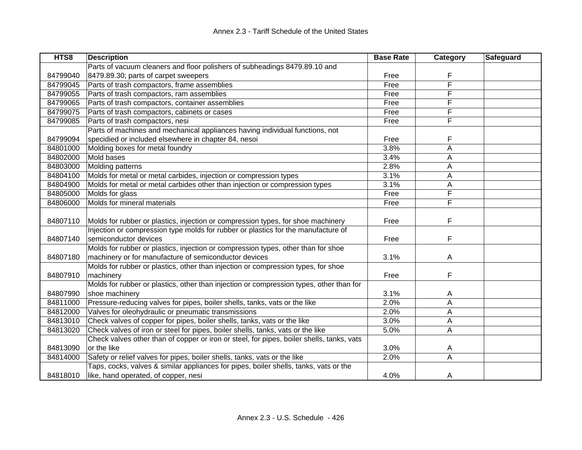| HTS8     | <b>Description</b>                                                                        | <b>Base Rate</b> | Category | Safeguard |
|----------|-------------------------------------------------------------------------------------------|------------------|----------|-----------|
|          | Parts of vacuum cleaners and floor polishers of subheadings 8479.89.10 and                |                  |          |           |
| 84799040 | 8479.89.30; parts of carpet sweepers                                                      | Free             | F        |           |
| 84799045 | Parts of trash compactors, frame assemblies                                               | Free             | F        |           |
| 84799055 | Parts of trash compactors, ram assemblies                                                 | Free             | F        |           |
| 84799065 | Parts of trash compactors, container assemblies                                           | Free             | F        |           |
| 84799075 | Parts of trash compactors, cabinets or cases                                              | Free             | F        |           |
| 84799085 | Parts of trash compactors, nesi                                                           | Free             | F        |           |
|          | Parts of machines and mechanical appliances having individual functions, not              |                  |          |           |
| 84799094 | specidied or included elsewhere in chapter 84, nesoi                                      | Free             | F        |           |
| 84801000 | Molding boxes for metal foundry                                                           | 3.8%             | Α        |           |
| 84802000 | Mold bases                                                                                | 3.4%             | Α        |           |
| 84803000 | Molding patterns                                                                          | 2.8%             | A        |           |
| 84804100 | Molds for metal or metal carbides, injection or compression types                         | 3.1%             | A        |           |
| 84804900 | Molds for metal or metal carbides other than injection or compression types               | 3.1%             | A        |           |
| 84805000 | Molds for glass                                                                           | Free             | F        |           |
| 84806000 | Molds for mineral materials                                                               | Free             | F        |           |
|          |                                                                                           |                  |          |           |
| 84807110 | Molds for rubber or plastics, injection or compression types, for shoe machinery          | Free             | F        |           |
|          | Injection or compression type molds for rubber or plastics for the manufacture of         |                  |          |           |
| 84807140 | semiconductor devices                                                                     | Free             | F        |           |
|          | Molds for rubber or plastics, injection or compression types, other than for shoe         |                  |          |           |
| 84807180 | machinery or for manufacture of semiconductor devices                                     | 3.1%             | A        |           |
|          | Molds for rubber or plastics, other than injection or compression types, for shoe         |                  |          |           |
| 84807910 | machinery                                                                                 | Free             | F        |           |
|          | Molds for rubber or plastics, other than injection or compression types, other than for   |                  |          |           |
| 84807990 | shoe machinery                                                                            | 3.1%             | A        |           |
| 84811000 | Pressure-reducing valves for pipes, boiler shells, tanks, vats or the like                | 2.0%             | A        |           |
| 84812000 | Valves for oleohydraulic or pneumatic transmissions                                       | 2.0%             | A        |           |
| 84813010 | Check valves of copper for pipes, boiler shells, tanks, vats or the like                  | 3.0%             | A        |           |
| 84813020 | Check valves of iron or steel for pipes, boiler shells, tanks, vats or the like           | 5.0%             | A        |           |
|          | Check valves other than of copper or iron or steel, for pipes, boiler shells, tanks, vats |                  |          |           |
| 84813090 | or the like                                                                               | 3.0%             | A        |           |
| 84814000 | Safety or relief valves for pipes, boiler shells, tanks, vats or the like                 | 2.0%             | A        |           |
|          | Taps, cocks, valves & similar appliances for pipes, boiler shells, tanks, vats or the     |                  |          |           |
| 84818010 | like, hand operated, of copper, nesi                                                      | 4.0%             | A        |           |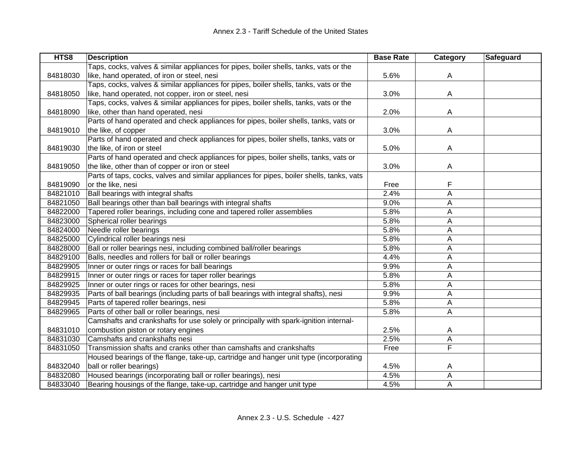| HTS8     | <b>Description</b>                                                                        | <b>Base Rate</b> | Category | Safeguard |
|----------|-------------------------------------------------------------------------------------------|------------------|----------|-----------|
|          | Taps, cocks, valves & similar appliances for pipes, boiler shells, tanks, vats or the     |                  |          |           |
| 84818030 | like, hand operated, of iron or steel, nesi                                               | 5.6%             | A        |           |
|          | Taps, cocks, valves & similar appliances for pipes, boiler shells, tanks, vats or the     |                  |          |           |
| 84818050 | like, hand operated, not copper, iron or steel, nesi                                      | 3.0%             | A        |           |
|          | Taps, cocks, valves & similar appliances for pipes, boiler shells, tanks, vats or the     |                  |          |           |
| 84818090 | like, other than hand operated, nesi                                                      | 2.0%             | A        |           |
|          | Parts of hand operated and check appliances for pipes, boiler shells, tanks, vats or      |                  |          |           |
| 84819010 | the like, of copper                                                                       | 3.0%             | A        |           |
|          | Parts of hand operated and check appliances for pipes, boiler shells, tanks, vats or      |                  |          |           |
| 84819030 | the like, of iron or steel                                                                | 5.0%             | A        |           |
|          | Parts of hand operated and check appliances for pipes, boiler shells, tanks, vats or      |                  |          |           |
| 84819050 | the like, other than of copper or iron or steel                                           | 3.0%             | A        |           |
|          | Parts of taps, cocks, valves and similar appliances for pipes, boiler shells, tanks, vats |                  |          |           |
| 84819090 | or the like, nesi                                                                         | Free             | F        |           |
| 84821010 | Ball bearings with integral shafts                                                        | 2.4%             | A        |           |
| 84821050 | Ball bearings other than ball bearings with integral shafts                               | 9.0%             | Α        |           |
| 84822000 | Tapered roller bearings, including cone and tapered roller assemblies                     | 5.8%             | А        |           |
| 84823000 | Spherical roller bearings                                                                 | 5.8%             | А        |           |
| 84824000 | Needle roller bearings                                                                    | 5.8%             | А        |           |
| 84825000 | Cylindrical roller bearings nesi                                                          | 5.8%             | А        |           |
| 84828000 | Ball or roller bearings nesi, including combined ball/roller bearings                     | 5.8%             | А        |           |
| 84829100 | Balls, needles and rollers for ball or roller bearings                                    | 4.4%             | А        |           |
| 84829905 | Inner or outer rings or races for ball bearings                                           | 9.9%             | Α        |           |
| 84829915 | Inner or outer rings or races for taper roller bearings                                   | 5.8%             | А        |           |
| 84829925 | Inner or outer rings or races for other bearings, nesi                                    | 5.8%             | A        |           |
| 84829935 | Parts of ball bearings (including parts of ball bearings with integral shafts), nesi      | 9.9%             | A        |           |
| 84829945 | Parts of tapered roller bearings, nesi                                                    | 5.8%             | A        |           |
| 84829965 | Parts of other ball or roller bearings, nesi                                              | 5.8%             | A        |           |
|          | Camshafts and crankshafts for use solely or principally with spark-ignition internal-     |                  |          |           |
| 84831010 | combustion piston or rotary engines                                                       | 2.5%             | A        |           |
| 84831030 | Camshafts and crankshafts nesi                                                            | 2.5%             | А        |           |
| 84831050 | Transmission shafts and cranks other than camshafts and crankshafts                       | Free             | F        |           |
|          | Housed bearings of the flange, take-up, cartridge and hanger unit type (incorporating     |                  |          |           |
| 84832040 | ball or roller bearings)                                                                  | 4.5%             | A        |           |
| 84832080 | Housed bearings (incorporating ball or roller bearings), nesi                             | 4.5%             | А        |           |
| 84833040 | Bearing housings of the flange, take-up, cartridge and hanger unit type                   | 4.5%             | A        |           |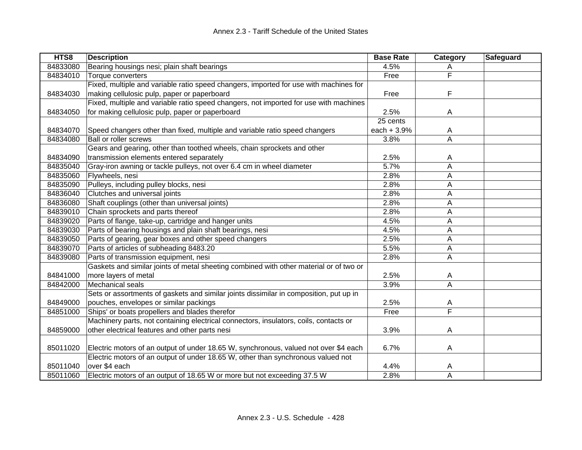| HTS8     | <b>Description</b>                                                                     | <b>Base Rate</b> | Category | <b>Safeguard</b> |
|----------|----------------------------------------------------------------------------------------|------------------|----------|------------------|
| 84833080 | Bearing housings nesi; plain shaft bearings                                            | 4.5%             | A        |                  |
| 84834010 | Torque converters                                                                      | Free             | F        |                  |
|          | Fixed, multiple and variable ratio speed changers, imported for use with machines for  |                  |          |                  |
| 84834030 | making cellulosic pulp, paper or paperboard                                            | Free             | F        |                  |
|          | Fixed, multiple and variable ratio speed changers, not imported for use with machines  |                  |          |                  |
| 84834050 | for making cellulosic pulp, paper or paperboard                                        | 2.5%             | A        |                  |
|          |                                                                                        | 25 cents         |          |                  |
| 84834070 | Speed changers other than fixed, multiple and variable ratio speed changers            | each + 3.9%      | A        |                  |
| 84834080 | <b>Ball or roller screws</b>                                                           | 3.8%             | Α        |                  |
|          | Gears and gearing, other than toothed wheels, chain sprockets and other                |                  |          |                  |
| 84834090 | transmission elements entered separately                                               | 2.5%             | A        |                  |
| 84835040 | Gray-iron awning or tackle pulleys, not over 6.4 cm in wheel diameter                  | 5.7%             | A        |                  |
| 84835060 | Flywheels, nesi                                                                        | 2.8%             | Α        |                  |
| 84835090 | Pulleys, including pulley blocks, nesi                                                 | 2.8%             | A        |                  |
| 84836040 | Clutches and universal joints                                                          | 2.8%             | Α        |                  |
| 84836080 | Shaft couplings (other than universal joints)                                          | 2.8%             | A        |                  |
| 84839010 | Chain sprockets and parts thereof                                                      | 2.8%             | A        |                  |
| 84839020 | Parts of flange, take-up, cartridge and hanger units                                   | 4.5%             | A        |                  |
| 84839030 | Parts of bearing housings and plain shaft bearings, nesi                               | 4.5%             | Α        |                  |
| 84839050 | Parts of gearing, gear boxes and other speed changers                                  | 2.5%             | Α        |                  |
| 84839070 | Parts of articles of subheading 8483.20                                                | 5.5%             | Α        |                  |
| 84839080 | Parts of transmission equipment, nesi                                                  | 2.8%             | A        |                  |
|          | Gaskets and similar joints of metal sheeting combined with other material or of two or |                  |          |                  |
| 84841000 | more layers of metal                                                                   | 2.5%             | A        |                  |
| 84842000 | Mechanical seals                                                                       | 3.9%             | A        |                  |
|          | Sets or assortments of gaskets and similar joints dissimilar in composition, put up in |                  |          |                  |
| 84849000 | pouches, envelopes or similar packings                                                 | 2.5%             | A        |                  |
| 84851000 | Ships' or boats propellers and blades therefor                                         | Free             | F        |                  |
|          | Machinery parts, not containing electrical connectors, insulators, coils, contacts or  |                  |          |                  |
| 84859000 | other electrical features and other parts nesi                                         | 3.9%             | A        |                  |
|          |                                                                                        |                  |          |                  |
| 85011020 | Electric motors of an output of under 18.65 W, synchronous, valued not over \$4 each   | 6.7%             | A        |                  |
|          | Electric motors of an output of under 18.65 W, other than synchronous valued not       |                  |          |                  |
| 85011040 | over \$4 each                                                                          | 4.4%             | A        |                  |
| 85011060 | Electric motors of an output of 18.65 W or more but not exceeding 37.5 W               | 2.8%             | A        |                  |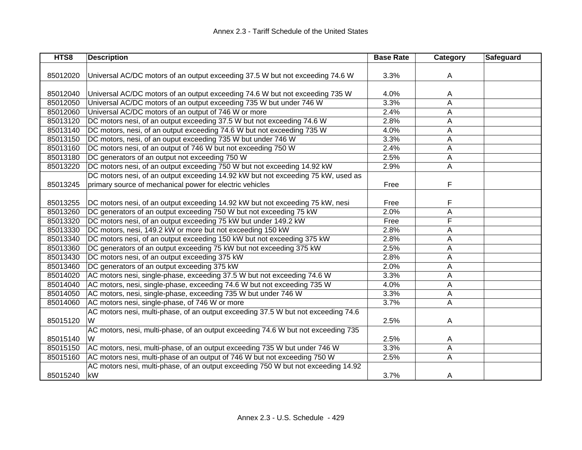| HTS8     | <b>Description</b>                                                                | <b>Base Rate</b> | <b>Category</b> | <b>Safeguard</b> |
|----------|-----------------------------------------------------------------------------------|------------------|-----------------|------------------|
|          |                                                                                   |                  |                 |                  |
| 85012020 | Universal AC/DC motors of an output exceeding 37.5 W but not exceeding 74.6 W     | 3.3%             | A               |                  |
|          |                                                                                   |                  |                 |                  |
| 85012040 | Universal AC/DC motors of an output exceeding 74.6 W but not exceeding 735 W      | 4.0%             | A               |                  |
| 85012050 | Universal AC/DC motors of an output exceeding 735 W but under 746 W               | 3.3%             | A               |                  |
| 85012060 | Universal AC/DC motors of an output of 746 W or more                              | 2.4%             | Α               |                  |
| 85013120 | DC motors nesi, of an output exceeding 37.5 W but not exceeding 74.6 W            | 2.8%             | A               |                  |
| 85013140 | DC motors, nesi, of an output exceeding 74.6 W but not exceeding 735 W            | 4.0%             | Α               |                  |
| 85013150 | DC motors, nesi, of an ouput exceeding 735 W but under 746 W                      | 3.3%             | Α               |                  |
| 85013160 | DC motors nesi, of an output of 746 W but not exceeding 750 W                     | 2.4%             | Α               |                  |
| 85013180 | DC generators of an output not exceeding 750 W                                    | 2.5%             | Α               |                  |
| 85013220 | DC motors nesi, of an output exceeding 750 W but not exceeding 14.92 kW           | 2.9%             | Α               |                  |
|          | DC motors nesi, of an output exceeding 14.92 kW but not exceeding 75 kW, used as  |                  |                 |                  |
| 85013245 | primary source of mechanical power for electric vehicles                          | Free             | F               |                  |
|          |                                                                                   |                  |                 |                  |
| 85013255 | DC motors nesi, of an output exceeding 14.92 kW but not exceeding 75 kW, nesi     | Free             | F               |                  |
| 85013260 | DC generators of an output exceeding 750 W but not exceeding 75 kW                | 2.0%             | A               |                  |
| 85013320 | DC motors nesi, of an output exceeding 75 kW but under 149.2 kW                   | Free             | F               |                  |
| 85013330 | DC motors, nesi, 149.2 kW or more but not exceeding 150 kW                        | 2.8%             | Α               |                  |
| 85013340 | DC motors nesi, of an output exceeding 150 kW but not exceeding 375 kW            | 2.8%             | Α               |                  |
| 85013360 | DC generators of an output exceeding 75 kW but not exceeding 375 kW               | 2.5%             | Α               |                  |
| 85013430 | DC motors nesi, of an output exceeding 375 kW                                     | 2.8%             | A               |                  |
| 85013460 | DC generators of an output exceeding 375 kW                                       | 2.0%             | A               |                  |
| 85014020 | AC motors nesi, single-phase, exceeding 37.5 W but not exceeding 74.6 W           | 3.3%             | A               |                  |
| 85014040 | AC motors, nesi, single-phase, exceeding 74.6 W but not exceeding 735 W           | 4.0%             | Α               |                  |
| 85014050 | AC motors, nesi, single-phase, exceeding 735 W but under 746 W                    | 3.3%             | Α               |                  |
| 85014060 | AC motors nesi, single-phase, of 746 W or more                                    | 3.7%             | Α               |                  |
|          | AC motors nesi, multi-phase, of an output exceeding 37.5 W but not exceeding 74.6 |                  |                 |                  |
| 85015120 | W                                                                                 | 2.5%             | Α               |                  |
|          | AC motors, nesi, multi-phase, of an output exceeding 74.6 W but not exceeding 735 |                  |                 |                  |
| 85015140 | W                                                                                 | 2.5%             | A               |                  |
| 85015150 | AC motors, nesi, multi-phase, of an output exceeding 735 W but under 746 W        | 3.3%             | Α               |                  |
| 85015160 | AC motors nesi, multi-phase of an output of 746 W but not exceeding 750 W         | 2.5%             | A               |                  |
|          | AC motors nesi, multi-phase, of an output exceeding 750 W but not exceeding 14.92 |                  |                 |                  |
| 85015240 | kW                                                                                | 3.7%             | A               |                  |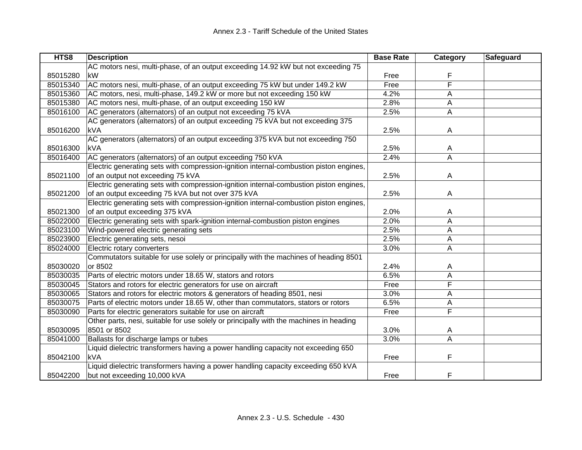| HTS8     | <b>Description</b>                                                                     | <b>Base Rate</b> | Category | <b>Safeguard</b> |
|----------|----------------------------------------------------------------------------------------|------------------|----------|------------------|
|          | AC motors nesi, multi-phase, of an output exceeding 14.92 kW but not exceeding 75      |                  |          |                  |
| 85015280 | kW                                                                                     | Free             | F        |                  |
| 85015340 | AC motors nesi, multi-phase, of an output exceeding 75 kW but under 149.2 kW           | Free             | F        |                  |
| 85015360 | AC motors, nesi, multi-phase, 149.2 kW or more but not exceeding 150 kW                | 4.2%             | Α        |                  |
| 85015380 | AC motors nesi, multi-phase, of an output exceeding 150 kW                             | 2.8%             | A        |                  |
| 85016100 | AC generators (alternators) of an output not exceeding 75 kVA                          | 2.5%             | A        |                  |
|          | AC generators (alternators) of an output exceeding 75 kVA but not exceeding 375        |                  |          |                  |
| 85016200 | <b>kVA</b>                                                                             | 2.5%             | A        |                  |
|          | AC generators (alternators) of an output exceeding 375 kVA but not exceeding 750       |                  |          |                  |
| 85016300 | kVA                                                                                    | 2.5%             | A        |                  |
| 85016400 | AC generators (alternators) of an output exceeding 750 kVA                             | 2.4%             | A        |                  |
|          | Electric generating sets with compression-ignition internal-combustion piston engines, |                  |          |                  |
| 85021100 | of an output not exceeding 75 kVA                                                      | 2.5%             | Α        |                  |
|          | Electric generating sets with compression-ignition internal-combustion piston engines, |                  |          |                  |
| 85021200 | of an output exceeding 75 kVA but not over 375 kVA                                     | 2.5%             | A        |                  |
|          | Electric generating sets with compression-ignition internal-combustion piston engines, |                  |          |                  |
| 85021300 | of an output exceeding 375 kVA                                                         | 2.0%             | A        |                  |
| 85022000 | Electric generating sets with spark-ignition internal-combustion piston engines        | 2.0%             | A        |                  |
| 85023100 | Wind-powered electric generating sets                                                  | 2.5%             | A        |                  |
| 85023900 | Electric generating sets, nesoi                                                        | 2.5%             | Α        |                  |
| 85024000 | Electric rotary converters                                                             | 3.0%             | Α        |                  |
|          | Commutators suitable for use solely or principally with the machines of heading 8501   |                  |          |                  |
| 85030020 | or 8502                                                                                | 2.4%             | A        |                  |
| 85030035 | Parts of electric motors under 18.65 W, stators and rotors                             | 6.5%             | A        |                  |
| 85030045 | Stators and rotors for electric generators for use on aircraft                         | Free             | F        |                  |
| 85030065 | Stators and rotors for electric motors & generators of heading 8501, nesi              | 3.0%             | Α        |                  |
| 85030075 | Parts of electric motors under 18.65 W, other than commutators, stators or rotors      | 6.5%             | Α        |                  |
| 85030090 | Parts for electric generators suitable for use on aircraft                             | Free             | F        |                  |
|          | Other parts, nesi, suitable for use solely or principally with the machines in heading |                  |          |                  |
| 85030095 | 8501 or 8502                                                                           | 3.0%             | A        |                  |
| 85041000 | Ballasts for discharge lamps or tubes                                                  | 3.0%             | A        |                  |
|          | Liquid dielectric transformers having a power handling capacity not exceeding 650      |                  |          |                  |
| 85042100 | <b>kVA</b>                                                                             | Free             | F        |                  |
|          | Liquid dielectric transformers having a power handling capacity exceeding 650 kVA      |                  |          |                  |
| 85042200 | but not exceeding 10,000 kVA                                                           | Free             | F        |                  |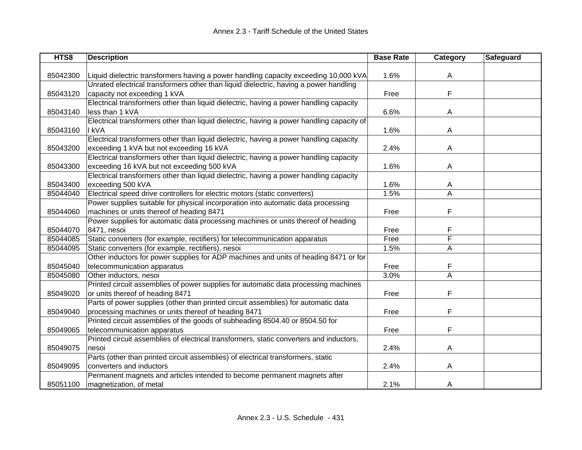| HTS8     | <b>Description</b>                                                                        | <b>Base Rate</b> | Category | Safeguard |
|----------|-------------------------------------------------------------------------------------------|------------------|----------|-----------|
|          |                                                                                           |                  |          |           |
| 85042300 | Liquid dielectric transformers having a power handling capacity exceeding 10,000 kVA      | 1.6%             | A        |           |
|          | Unrated electrical transformers other than liquid dielectric, having a power handling     |                  |          |           |
| 85043120 | capacity not exceeding 1 kVA                                                              | Free             | F        |           |
|          | Electrical transformers other than liquid dielectric, having a power handling capacity    |                  |          |           |
| 85043140 | less than 1 kVA                                                                           | 6.6%             | A        |           |
|          | Electrical transformers other than liquid dielectric, having a power handling capacity of |                  |          |           |
| 85043160 | <b>I kVA</b>                                                                              | 1.6%             | A        |           |
|          | Electrical transformers other than liquid dielectric, having a power handling capacity    |                  |          |           |
| 85043200 | exceeding 1 kVA but not exceeding 16 kVA                                                  | 2.4%             | A        |           |
|          | Electrical transformers other than liquid dielectric, having a power handling capacity    |                  |          |           |
| 85043300 | exceeding 16 kVA but not exceeding 500 kVA                                                | 1.6%             | A        |           |
|          | Electrical transformers other than liquid dielectric, having a power handling capacity    |                  |          |           |
| 85043400 | exceeding 500 kVA                                                                         | 1.6%             | A        |           |
| 85044040 | Electrical speed drive controllers for electric motors (static converters)                | 1.5%             | A        |           |
|          | Power supplies suitable for physical incorporation into automatic data processing         |                  |          |           |
| 85044060 | machines or units thereof of heading 8471                                                 | Free             | F        |           |
|          | Power supplies for automatic data processing machines or units thereof of heading         |                  |          |           |
| 85044070 | 8471, nesoi                                                                               | Free             | F        |           |
| 85044085 | Static converters (for example, rectifiers) for telecommunication apparatus               | Free             | F        |           |
| 85044095 | Static converters (for example, rectifiers), nesoi                                        | 1.5%             | A        |           |
|          | Other inductors for power supplies for ADP machines and units of heading 8471 or for      |                  |          |           |
| 85045040 | telecommunication apparatus                                                               | Free             | F        |           |
| 85045080 | Other inductors, nesoi                                                                    | 3.0%             | A        |           |
|          | Printed circuit assemblies of power supplies for automatic data processing machines       |                  |          |           |
| 85049020 | or units thereof of heading 8471                                                          | Free             | F        |           |
|          | Parts of power supplies (other than printed circuit assemblies) for automatic data        |                  |          |           |
| 85049040 | processing machines or units thereof of heading 8471                                      | Free             | F        |           |
|          | Printed circuit assemblies of the goods of subheading 8504.40 or 8504.50 for              |                  |          |           |
| 85049065 | telecommunication apparatus                                                               | Free             | F        |           |
|          | Printed circuit assemblies of electrical transformers, static converters and inductors,   |                  |          |           |
| 85049075 | nesoi                                                                                     | 2.4%             | A        |           |
|          | Parts (other than printed circuit assemblies) of electrical transformers, static          |                  |          |           |
| 85049095 | converters and inductors                                                                  | 2.4%             | A        |           |
|          | Permanent magnets and articles intended to become permanent magnets after                 |                  |          |           |
| 85051100 | magnetization, of metal                                                                   | 2.1%             | A        |           |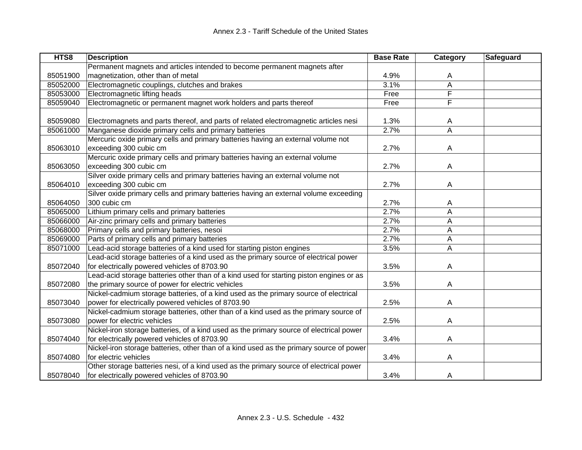| HTS8     | <b>Description</b>                                                                      | <b>Base Rate</b> | <b>Category</b> | Safeguard |
|----------|-----------------------------------------------------------------------------------------|------------------|-----------------|-----------|
|          | Permanent magnets and articles intended to become permanent magnets after               |                  |                 |           |
| 85051900 | magnetization, other than of metal                                                      | 4.9%             | A               |           |
| 85052000 | Electromagnetic couplings, clutches and brakes                                          | 3.1%             | A               |           |
| 85053000 | Electromagnetic lifting heads                                                           | Free             | F               |           |
| 85059040 | Electromagnetic or permanent magnet work holders and parts thereof                      | Free             | F               |           |
|          |                                                                                         |                  |                 |           |
| 85059080 | Electromagnets and parts thereof, and parts of related electromagnetic articles nesi    | 1.3%             | A               |           |
| 85061000 | Manganese dioxide primary cells and primary batteries                                   | 2.7%             | A               |           |
|          | Mercuric oxide primary cells and primary batteries having an external volume not        |                  |                 |           |
| 85063010 | exceeding 300 cubic cm                                                                  | 2.7%             | A               |           |
|          | Mercuric oxide primary cells and primary batteries having an external volume            |                  |                 |           |
| 85063050 | exceeding 300 cubic cm                                                                  | 2.7%             | A               |           |
|          | Silver oxide primary cells and primary batteries having an external volume not          |                  |                 |           |
| 85064010 | exceeding 300 cubic cm                                                                  | 2.7%             | A               |           |
|          | Silver oxide primary cells and primary batteries having an external volume exceeding    |                  |                 |           |
| 85064050 | 300 cubic cm                                                                            | 2.7%             | A               |           |
| 85065000 | Lithium primary cells and primary batteries                                             | 2.7%             | A               |           |
| 85066000 | Air-zinc primary cells and primary batteries                                            | 2.7%             | Α               |           |
| 85068000 | Primary cells and primary batteries, nesoi                                              | 2.7%             | A               |           |
| 85069000 | Parts of primary cells and primary batteries                                            | 2.7%             | Α               |           |
| 85071000 | Lead-acid storage batteries of a kind used for starting piston engines                  | 3.5%             | A               |           |
|          | Lead-acid storage batteries of a kind used as the primary source of electrical power    |                  |                 |           |
| 85072040 | for electrically powered vehicles of 8703.90                                            | 3.5%             | A               |           |
|          | Lead-acid storage batteries other than of a kind used for starting piston engines or as |                  |                 |           |
| 85072080 | the primary source of power for electric vehicles                                       | 3.5%             | A               |           |
|          | Nickel-cadmium storage batteries, of a kind used as the primary source of electrical    |                  |                 |           |
| 85073040 | power for electrically powered vehicles of 8703.90                                      | 2.5%             | A               |           |
|          | Nickel-cadmium storage batteries, other than of a kind used as the primary source of    |                  |                 |           |
| 85073080 | power for electric vehicles                                                             | 2.5%             | A               |           |
|          | Nickel-iron storage batteries, of a kind used as the primary source of electrical power |                  |                 |           |
| 85074040 | for electrically powered vehicles of 8703.90                                            | 3.4%             | Α               |           |
|          | Nickel-iron storage batteries, other than of a kind used as the primary source of power |                  |                 |           |
| 85074080 | for electric vehicles                                                                   | 3.4%             | A               |           |
|          | Other storage batteries nesi, of a kind used as the primary source of electrical power  |                  |                 |           |
| 85078040 | for electrically powered vehicles of 8703.90                                            | 3.4%             | A               |           |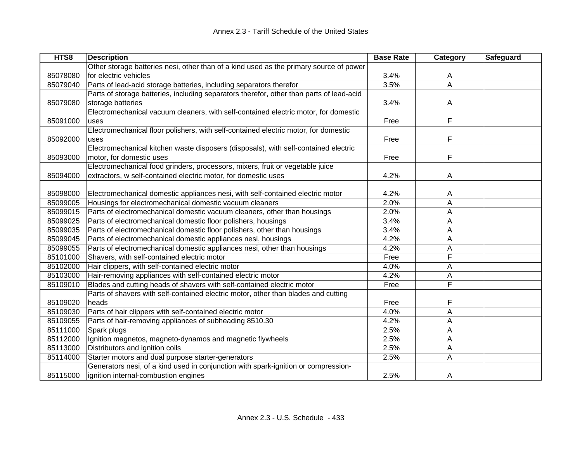| HTS8     | <b>Description</b>                                                                       | <b>Base Rate</b> | <b>Category</b>         | <b>Safeguard</b> |
|----------|------------------------------------------------------------------------------------------|------------------|-------------------------|------------------|
|          | Other storage batteries nesi, other than of a kind used as the primary source of power   |                  |                         |                  |
| 85078080 | for electric vehicles                                                                    | 3.4%             | A                       |                  |
| 85079040 | Parts of lead-acid storage batteries, including separators therefor                      | 3.5%             | Α                       |                  |
|          | Parts of storage batteries, including separators therefor, other than parts of lead-acid |                  |                         |                  |
| 85079080 | storage batteries                                                                        | 3.4%             | A                       |                  |
|          | Electromechanical vacuum cleaners, with self-contained electric motor, for domestic      |                  |                         |                  |
| 85091000 | uses                                                                                     | Free             | F                       |                  |
|          | Electromechanical floor polishers, with self-contained electric motor, for domestic      |                  |                         |                  |
| 85092000 | uses                                                                                     | Free             | F                       |                  |
|          | Electromechanical kitchen waste disposers (disposals), with self-contained electric      |                  |                         |                  |
| 85093000 | motor, for domestic uses                                                                 | Free             | F                       |                  |
|          | Electromechanical food grinders, processors, mixers, fruit or vegetable juice            |                  |                         |                  |
| 85094000 | extractors, w self-contained electric motor, for domestic uses                           | 4.2%             | Α                       |                  |
|          |                                                                                          |                  |                         |                  |
| 85098000 | Electromechanical domestic appliances nesi, with self-contained electric motor           | 4.2%             | A                       |                  |
| 85099005 | Housings for electromechanical domestic vacuum cleaners                                  | 2.0%             | A                       |                  |
| 85099015 | Parts of electromechanical domestic vacuum cleaners, other than housings                 | 2.0%             | Α                       |                  |
| 85099025 | Parts of electromechanical domestic floor polishers, housings                            | 3.4%             | Α                       |                  |
| 85099035 | Parts of electromechanical domestic floor polishers, other than housings                 | 3.4%             | Α                       |                  |
| 85099045 | Parts of electromechanical domestic appliances nesi, housings                            | 4.2%             | A                       |                  |
| 85099055 | Parts of electromechanical domestic appliances nesi, other than housings                 | 4.2%             | A                       |                  |
| 85101000 | Shavers, with self-contained electric motor                                              | Free             | F                       |                  |
| 85102000 | Hair clippers, with self-contained electric motor                                        | 4.0%             | Α                       |                  |
| 85103000 | Hair-removing appliances with self-contained electric motor                              | 4.2%             | Α                       |                  |
| 85109010 | Blades and cutting heads of shavers with self-contained electric motor                   | Free             | $\overline{\mathsf{F}}$ |                  |
|          | Parts of shavers with self-contained electric motor, other than blades and cutting       |                  |                         |                  |
| 85109020 | heads                                                                                    | Free             | F                       |                  |
| 85109030 | Parts of hair clippers with self-contained electric motor                                | 4.0%             | A                       |                  |
| 85109055 | Parts of hair-removing appliances of subheading 8510.30                                  | 4.2%             | Α                       |                  |
| 85111000 | Spark plugs                                                                              | 2.5%             | Α                       |                  |
| 85112000 | Ignition magnetos, magneto-dynamos and magnetic flywheels                                | 2.5%             | Α                       |                  |
| 85113000 | Distributors and ignition coils                                                          | 2.5%             | A                       |                  |
| 85114000 | Starter motors and dual purpose starter-generators                                       | 2.5%             | Α                       |                  |
|          | Generators nesi, of a kind used in conjunction with spark-ignition or compression-       |                  |                         |                  |
| 85115000 | ignition internal-combustion engines                                                     | 2.5%             | A                       |                  |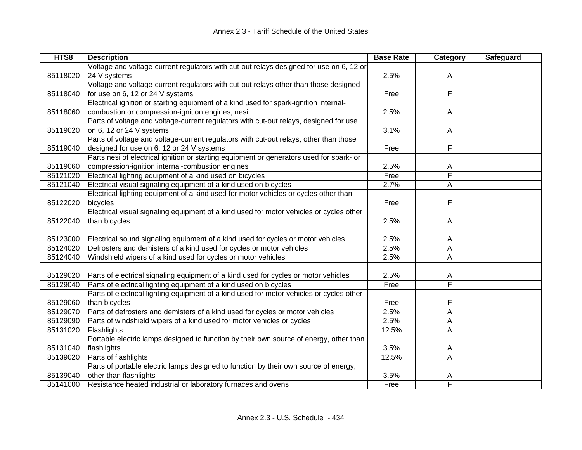| HTS8     | <b>Description</b>                                                                       | <b>Base Rate</b> | Category | Safeguard |
|----------|------------------------------------------------------------------------------------------|------------------|----------|-----------|
|          | Voltage and voltage-current regulators with cut-out relays designed for use on 6, 12 or  |                  |          |           |
| 85118020 | 24 V systems                                                                             | 2.5%             | A        |           |
|          | Voltage and voltage-current regulators with cut-out relays other than those designed     |                  |          |           |
| 85118040 | for use on 6, 12 or 24 V systems                                                         | Free             | F        |           |
|          | Electrical ignition or starting equipment of a kind used for spark-ignition internal-    |                  |          |           |
| 85118060 | combustion or compression-ignition engines, nesi                                         | 2.5%             | A        |           |
|          | Parts of voltage and voltage-current regulators with cut-out relays, designed for use    |                  |          |           |
| 85119020 | on 6, 12 or 24 V systems                                                                 | 3.1%             | A        |           |
|          | Parts of voltage and voltage-current regulators with cut-out relays, other than those    |                  |          |           |
| 85119040 | designed for use on 6, 12 or 24 V systems                                                | Free             | F        |           |
|          | Parts nesi of electrical ignition or starting equipment or generators used for spark- or |                  |          |           |
| 85119060 | compression-ignition internal-combustion engines                                         | 2.5%             | A        |           |
| 85121020 | Electrical lighting equipment of a kind used on bicycles                                 | Free             | F        |           |
| 85121040 | Electrical visual signaling equipment of a kind used on bicycles                         | 2.7%             | A        |           |
|          | Electrical lighting equipment of a kind used for motor vehicles or cycles other than     |                  |          |           |
| 85122020 | bicycles                                                                                 | Free             | F        |           |
|          | Electrical visual signaling equipment of a kind used for motor vehicles or cycles other  |                  |          |           |
| 85122040 | than bicycles                                                                            | 2.5%             | Α        |           |
|          |                                                                                          |                  |          |           |
| 85123000 | Electrical sound signaling equipment of a kind used for cycles or motor vehicles         | 2.5%             | A        |           |
| 85124020 | Defrosters and demisters of a kind used for cycles or motor vehicles                     | 2.5%             | A        |           |
| 85124040 | Windshield wipers of a kind used for cycles or motor vehicles                            | 2.5%             | A        |           |
|          |                                                                                          |                  |          |           |
| 85129020 | Parts of electrical signaling equipment of a kind used for cycles or motor vehicles      | 2.5%             | A        |           |
| 85129040 | Parts of electrical lighting equipment of a kind used on bicycles                        | Free             | F        |           |
|          | Parts of electrical lighting equipment of a kind used for motor vehicles or cycles other |                  |          |           |
| 85129060 | than bicycles                                                                            | Free             | F        |           |
| 85129070 | Parts of defrosters and demisters of a kind used for cycles or motor vehicles            | 2.5%             | A        |           |
| 85129090 | Parts of windshield wipers of a kind used for motor vehicles or cycles                   | 2.5%             | A        |           |
| 85131020 | Flashlights                                                                              | 12.5%            | A        |           |
|          | Portable electric lamps designed to function by their own source of energy, other than   |                  |          |           |
| 85131040 | flashlights                                                                              | 3.5%             | A        |           |
| 85139020 | Parts of flashlights                                                                     | 12.5%            | A        |           |
|          | Parts of portable electric lamps designed to function by their own source of energy,     |                  |          |           |
| 85139040 | other than flashlights                                                                   | 3.5%             | Α        |           |
| 85141000 | Resistance heated industrial or laboratory furnaces and ovens                            | Free             | F        |           |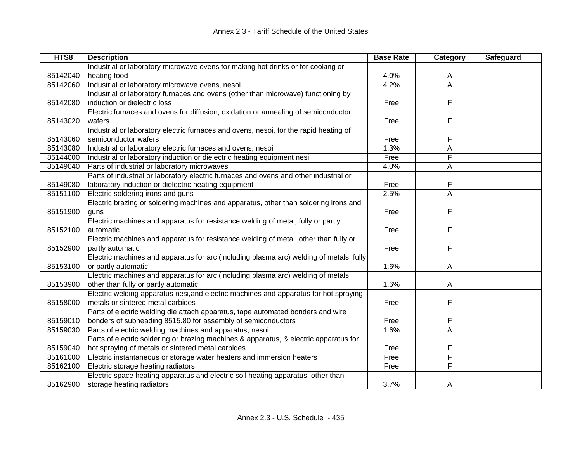| HTS8     | <b>Description</b>                                                                      | <b>Base Rate</b> | Category       | Safeguard |
|----------|-----------------------------------------------------------------------------------------|------------------|----------------|-----------|
|          | Industrial or laboratory microwave ovens for making hot drinks or for cooking or        |                  |                |           |
| 85142040 | heating food                                                                            | 4.0%             | A              |           |
| 85142060 | Industrial or laboratory microwave ovens, nesoi                                         | 4.2%             | $\overline{A}$ |           |
|          | Industrial or laboratory furnaces and ovens (other than microwave) functioning by       |                  |                |           |
| 85142080 | induction or dielectric loss                                                            | Free             | F              |           |
|          | Electric furnaces and ovens for diffusion, oxidation or annealing of semiconductor      |                  |                |           |
| 85143020 | wafers                                                                                  | Free             | F              |           |
|          | Industrial or laboratory electric furnaces and ovens, nesoi, for the rapid heating of   |                  |                |           |
| 85143060 | semiconductor wafers                                                                    | Free             | F              |           |
| 85143080 | Industrial or laboratory electric furnaces and ovens, nesoi                             | 1.3%             | A              |           |
| 85144000 | Industrial or laboratory induction or dielectric heating equipment nesi                 | Free             | F              |           |
| 85149040 | Parts of industrial or laboratory microwaves                                            | 4.0%             | Α              |           |
|          | Parts of industrial or laboratory electric furnaces and ovens and other industrial or   |                  |                |           |
| 85149080 | laboratory induction or dielectric heating equipment                                    | Free             | F              |           |
| 85151100 | Electric soldering irons and guns                                                       | 2.5%             | A              |           |
|          | Electric brazing or soldering machines and apparatus, other than soldering irons and    |                  |                |           |
| 85151900 | quns                                                                                    | Free             | F              |           |
|          | Electric machines and apparatus for resistance welding of metal, fully or partly        |                  |                |           |
| 85152100 | automatic                                                                               | Free             | F              |           |
|          | Electric machines and apparatus for resistance welding of metal, other than fully or    |                  |                |           |
| 85152900 | partly automatic                                                                        | Free             | F              |           |
|          | Electric machines and apparatus for arc (including plasma arc) welding of metals, fully |                  |                |           |
| 85153100 | or partly automatic                                                                     | 1.6%             | A              |           |
|          | Electric machines and apparatus for arc (including plasma arc) welding of metals,       |                  |                |           |
| 85153900 | other than fully or partly automatic                                                    | 1.6%             | A              |           |
|          | Electric welding apparatus nesi, and electric machines and apparatus for hot spraying   |                  |                |           |
| 85158000 | metals or sintered metal carbides                                                       | Free             | F              |           |
|          | Parts of electric welding die attach apparatus, tape automated bonders and wire         |                  |                |           |
| 85159010 | bonders of subheading 8515.80 for assembly of semiconductors                            | Free             | F              |           |
| 85159030 | Parts of electric welding machines and apparatus, nesoi                                 | 1.6%             | Α              |           |
|          | Parts of electric soldering or brazing machines & apparatus, & electric apparatus for   |                  |                |           |
| 85159040 | hot spraying of metals or sintered metal carbides                                       | Free             | F              |           |
| 85161000 | Electric instantaneous or storage water heaters and immersion heaters                   | Free             | F              |           |
| 85162100 | Electric storage heating radiators                                                      | Free             | F              |           |
|          | Electric space heating apparatus and electric soil heating apparatus, other than        |                  |                |           |
| 85162900 | storage heating radiators                                                               | 3.7%             | A              |           |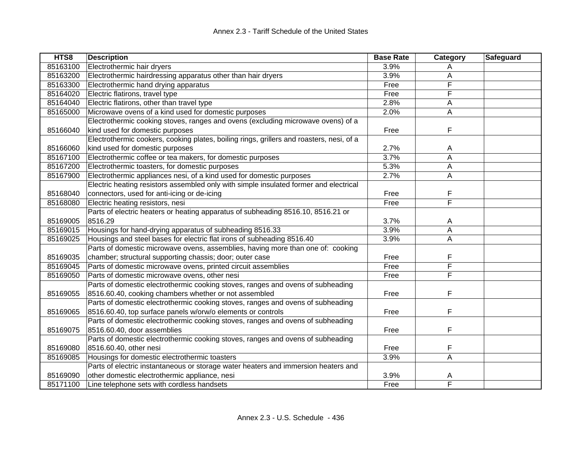| HTS8     | <b>Description</b>                                                                       | <b>Base Rate</b> | Category       | Safeguard |
|----------|------------------------------------------------------------------------------------------|------------------|----------------|-----------|
| 85163100 | Electrothermic hair dryers                                                               | 3.9%             |                |           |
| 85163200 | Electrothermic hairdressing apparatus other than hair dryers                             | 3.9%             | Α              |           |
| 85163300 | Electrothermic hand drying apparatus                                                     | Free             | F              |           |
| 85164020 | Electric flatirons, travel type                                                          | Free             | F              |           |
| 85164040 | Electric flatirons, other than travel type                                               | 2.8%             | Α              |           |
| 85165000 | Microwave ovens of a kind used for domestic purposes                                     | 2.0%             | A              |           |
|          | Electrothermic cooking stoves, ranges and ovens (excluding microwave ovens) of a         |                  |                |           |
| 85166040 | kind used for domestic purposes                                                          | Free             | F              |           |
|          | Electrothermic cookers, cooking plates, boiling rings, grillers and roasters, nesi, of a |                  |                |           |
| 85166060 | kind used for domestic purposes                                                          | 2.7%             | A              |           |
| 85167100 | Electrothermic coffee or tea makers, for domestic purposes                               | 3.7%             | A              |           |
| 85167200 | Electrothermic toasters, for domestic purposes                                           | 5.3%             | A              |           |
| 85167900 | Electrothermic appliances nesi, of a kind used for domestic purposes                     | 2.7%             | Α              |           |
|          | Electric heating resistors assembled only with simple insulated former and electrical    |                  |                |           |
| 85168040 | connectors, used for anti-icing or de-icing                                              | Free             | F              |           |
| 85168080 | Electric heating resistors, nesi                                                         | Free             | F              |           |
|          | Parts of electric heaters or heating apparatus of subheading 8516.10, 8516.21 or         |                  |                |           |
| 85169005 | 8516.29                                                                                  | 3.7%             | A              |           |
| 85169015 | Housings for hand-drying apparatus of subheading 8516.33                                 | 3.9%             | $\overline{A}$ |           |
| 85169025 | Housings and steel bases for electric flat irons of subheading 8516.40                   | 3.9%             | A              |           |
|          | Parts of domestic microwave ovens, assemblies, having more than one of: cooking          |                  |                |           |
| 85169035 | chamber; structural supporting chassis; door; outer case                                 | Free             | F              |           |
| 85169045 | Parts of domestic microwave ovens, printed circuit assemblies                            | Free             | F              |           |
| 85169050 | Parts of domestic microwave ovens, other nesi                                            | Free             | F              |           |
|          | Parts of domestic electrothermic cooking stoves, ranges and ovens of subheading          |                  |                |           |
| 85169055 | 8516.60.40, cooking chambers whether or not assembled                                    | Free             | F              |           |
|          | Parts of domestic electrothermic cooking stoves, ranges and ovens of subheading          |                  |                |           |
| 85169065 | 8516.60.40, top surface panels w/orw/o elements or controls                              | Free             | F              |           |
|          | Parts of domestic electrothermic cooking stoves, ranges and ovens of subheading          |                  |                |           |
| 85169075 | 8516.60.40, door assemblies                                                              | Free             | F              |           |
|          | Parts of domestic electrothermic cooking stoves, ranges and ovens of subheading          |                  |                |           |
| 85169080 | 8516.60.40, other nesi                                                                   | Free             | F              |           |
| 85169085 | Housings for domestic electrothermic toasters                                            | 3.9%             | A              |           |
|          | Parts of electric instantaneous or storage water heaters and immersion heaters and       |                  |                |           |
| 85169090 | other domestic electrothermic appliance, nesi                                            | 3.9%             | A              |           |
| 85171100 | Line telephone sets with cordless handsets                                               | Free             | F              |           |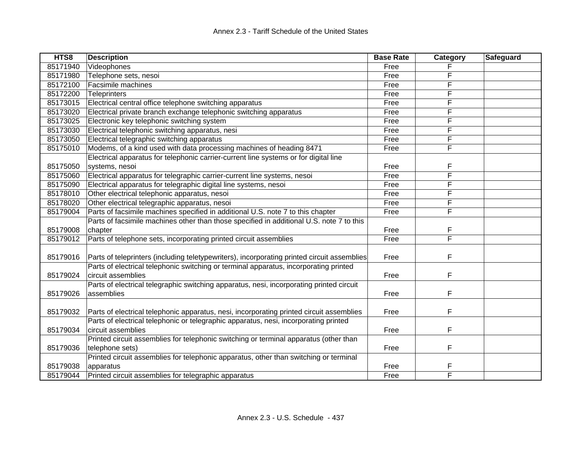| HTS8     | <b>Description</b>                                                                          | <b>Base Rate</b> | Category | Safeguard |
|----------|---------------------------------------------------------------------------------------------|------------------|----------|-----------|
| 85171940 | Videophones                                                                                 | Free             |          |           |
| 85171980 | Telephone sets, nesoi                                                                       | Free             | F        |           |
| 85172100 | Facsimile machines                                                                          | Free             | F        |           |
| 85172200 | <b>Teleprinters</b>                                                                         | Free             | F        |           |
| 85173015 | Electrical central office telephone switching apparatus                                     | Free             | F        |           |
| 85173020 | Electrical private branch exchange telephonic switching apparatus                           | Free             | F        |           |
| 85173025 | Electronic key telephonic switching system                                                  | Free             | F        |           |
| 85173030 | Electrical telephonic switching apparatus, nesi                                             | Free             | F        |           |
| 85173050 | Electrical telegraphic switching apparatus                                                  | Free             | F        |           |
| 85175010 | Modems, of a kind used with data processing machines of heading 8471                        | Free             | F        |           |
|          | Electrical apparatus for telephonic carrier-current line systems or for digital line        |                  |          |           |
| 85175050 | systems, nesoi                                                                              | Free             | F        |           |
| 85175060 | Electrical apparatus for telegraphic carrier-current line systems, nesoi                    | Free             | F        |           |
| 85175090 | Electrical apparatus for telegraphic digital line systems, nesoi                            | Free             | F        |           |
| 85178010 | Other electrical telephonic apparatus, nesoi                                                | Free             | F        |           |
| 85178020 | Other electrical telegraphic apparatus, nesoi                                               | Free             | F        |           |
| 85179004 | Parts of facsimile machines specified in additional U.S. note 7 to this chapter             | Free             | F        |           |
|          | Parts of facsimile machines other than those specified in additional U.S. note 7 to this    |                  |          |           |
| 85179008 | chapter                                                                                     | Free             | F        |           |
| 85179012 | Parts of telephone sets, incorporating printed circuit assemblies                           | Free             | F        |           |
|          |                                                                                             |                  |          |           |
| 85179016 | Parts of teleprinters (including teletypewriters), incorporating printed circuit assemblies | Free             | F        |           |
|          | Parts of electrical telephonic switching or terminal apparatus, incorporating printed       |                  |          |           |
| 85179024 | circuit assemblies                                                                          | Free             | F        |           |
|          | Parts of electrical telegraphic switching apparatus, nesi, incorporating printed circuit    |                  |          |           |
| 85179026 | assemblies                                                                                  | Free             | F        |           |
|          |                                                                                             |                  |          |           |
| 85179032 | Parts of electrical telephonic apparatus, nesi, incorporating printed circuit assemblies    | Free             | F        |           |
|          | Parts of electrical telephonic or telegraphic apparatus, nesi, incorporating printed        |                  |          |           |
| 85179034 | circuit assemblies                                                                          | Free             | F        |           |
|          | Printed circuit assemblies for telephonic switching or terminal apparatus (other than       |                  |          |           |
| 85179036 | telephone sets)                                                                             | Free             | F        |           |
|          | Printed circuit assemblies for telephonic apparatus, other than switching or terminal       |                  |          |           |
| 85179038 | apparatus                                                                                   | Free             | F        |           |
| 85179044 | Printed circuit assemblies for telegraphic apparatus                                        | Free             | F        |           |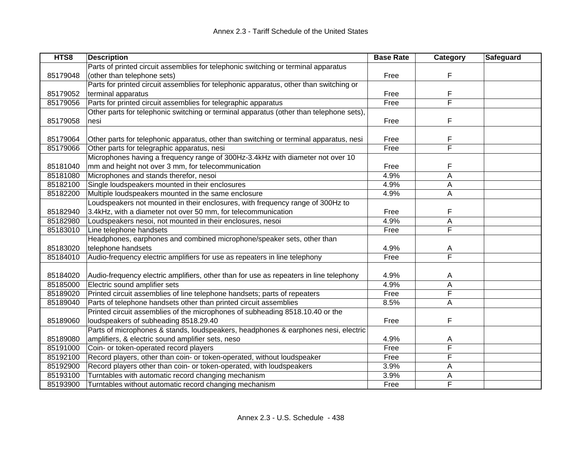| HTS8     | <b>Description</b>                                                                      | <b>Base Rate</b> | Category | Safeguard |
|----------|-----------------------------------------------------------------------------------------|------------------|----------|-----------|
|          | Parts of printed circuit assemblies for telephonic switching or terminal apparatus      |                  |          |           |
| 85179048 | (other than telephone sets)                                                             | Free             | F        |           |
|          | Parts for printed circuit assemblies for telephonic apparatus, other than switching or  |                  |          |           |
| 85179052 | terminal apparatus                                                                      | Free             | F        |           |
| 85179056 | Parts for printed circuit assemblies for telegraphic apparatus                          | Free             | F        |           |
|          | Other parts for telephonic switching or terminal apparatus (other than telephone sets), |                  |          |           |
| 85179058 | nesi                                                                                    | Free             | F        |           |
|          |                                                                                         |                  |          |           |
| 85179064 | Other parts for telephonic apparatus, other than switching or terminal apparatus, nesi  | Free             | F<br>F   |           |
| 85179066 | Other parts for telegraphic apparatus, nesi                                             | Free             |          |           |
|          | Microphones having a frequency range of 300Hz-3.4kHz with diameter not over 10          |                  |          |           |
| 85181040 | mm and height not over 3 mm, for telecommunication                                      | Free             | F        |           |
| 85181080 | Microphones and stands therefor, nesoi                                                  | 4.9%             | A        |           |
| 85182100 | Single loudspeakers mounted in their enclosures                                         | 4.9%             | Α        |           |
| 85182200 | Multiple loudspeakers mounted in the same enclosure                                     | 4.9%             | A        |           |
|          | Loudspeakers not mounted in their enclosures, with frequency range of 300Hz to          |                  |          |           |
| 85182940 | 3.4kHz, with a diameter not over 50 mm, for telecommunication                           | Free             | F        |           |
| 85182980 | Loudspeakers nesoi, not mounted in their enclosures, nesoi                              | 4.9%             | A        |           |
| 85183010 | Line telephone handsets                                                                 | Free             | F        |           |
|          | Headphones, earphones and combined microphone/speaker sets, other than                  |                  |          |           |
| 85183020 | telephone handsets                                                                      | 4.9%             | A        |           |
| 85184010 | Audio-frequency electric amplifiers for use as repeaters in line telephony              | Free             | F        |           |
| 85184020 | Audio-frequency electric amplifiers, other than for use as repeaters in line telephony  | 4.9%             | Α        |           |
| 85185000 | Electric sound amplifier sets                                                           | 4.9%             | A        |           |
| 85189020 | Printed circuit assemblies of line telephone handsets; parts of repeaters               | Free             | F        |           |
| 85189040 | Parts of telephone handsets other than printed circuit assemblies                       | 8.5%             | A        |           |
|          | Printed circuit assemblies of the microphones of subheading 8518.10.40 or the           |                  |          |           |
| 85189060 | loudspeakers of subheading 8518.29.40                                                   | Free             | F        |           |
|          | Parts of microphones & stands, loudspeakers, headphones & earphones nesi, electric      |                  |          |           |
| 85189080 | amplifiers, & electric sound amplifier sets, neso                                       | 4.9%             | A        |           |
| 85191000 | Coin- or token-operated record players                                                  | Free             | F        |           |
| 85192100 | Record players, other than coin- or token-operated, without loudspeaker                 | Free             | F        |           |
| 85192900 | Record players other than coin- or token-operated, with loudspeakers                    | 3.9%             | A        |           |
| 85193100 | Turntables with automatic record changing mechanism                                     | 3.9%             | Α        |           |
| 85193900 | Turntables without automatic record changing mechanism                                  | Free             | F        |           |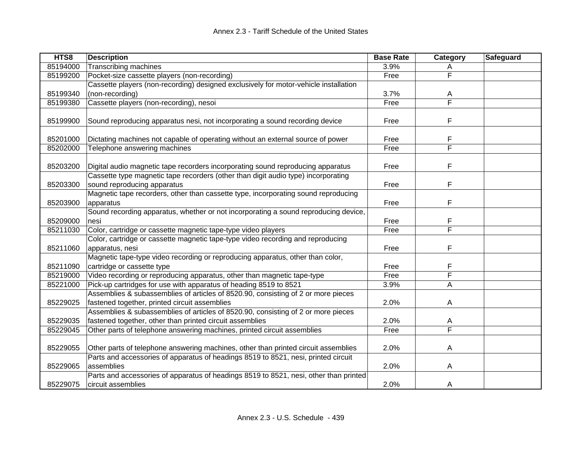| HTS8     | <b>Description</b>                                                                                                                            | <b>Base Rate</b> | Category                | Safeguard |
|----------|-----------------------------------------------------------------------------------------------------------------------------------------------|------------------|-------------------------|-----------|
| 85194000 | Transcribing machines                                                                                                                         | 3.9%             | Α                       |           |
| 85199200 | Pocket-size cassette players (non-recording)                                                                                                  | Free             | F                       |           |
|          | Cassette players (non-recording) designed exclusively for motor-vehicle installation                                                          |                  |                         |           |
| 85199340 | (non-recording)                                                                                                                               | 3.7%             | A                       |           |
| 85199380 | Cassette players (non-recording), nesoi                                                                                                       | Free             | F                       |           |
| 85199900 | Sound reproducing apparatus nesi, not incorporating a sound recording device                                                                  | Free             | F                       |           |
| 85201000 | Dictating machines not capable of operating without an external source of power                                                               | Free             | F                       |           |
| 85202000 | Telephone answering machines                                                                                                                  | Free             | F                       |           |
| 85203200 | Digital audio magnetic tape recorders incorporating sound reproducing apparatus                                                               | Free             | F                       |           |
| 85203300 | Cassette type magnetic tape recorders (other than digit audio type) incorporating<br>sound reproducing apparatus                              | Free             | F                       |           |
| 85203900 | Magnetic tape recorders, other than cassette type, incorporating sound reproducing<br>apparatus                                               | Free             | F                       |           |
| 85209000 | Sound recording apparatus, whether or not incorporating a sound reproducing device,<br>nesi                                                   | Free             | F                       |           |
| 85211030 | Color, cartridge or cassette magnetic tape-type video players                                                                                 | Free             | F                       |           |
| 85211060 | Color, cartridge or cassette magnetic tape-type video recording and reproducing<br>apparatus, nesi                                            | Free             | F                       |           |
| 85211090 | Magnetic tape-type video recording or reproducing apparatus, other than color,<br>cartridge or cassette type                                  | Free             | F                       |           |
| 85219000 | Video recording or reproducing apparatus, other than magnetic tape-type                                                                       | Free             | F                       |           |
| 85221000 | Pick-up cartridges for use with apparatus of heading 8519 to 8521                                                                             | 3.9%             | A                       |           |
| 85229025 | Assemblies & subassemblies of articles of 8520.90, consisting of 2 or more pieces<br>fastened together, printed circuit assemblies            | 2.0%             | A                       |           |
| 85229035 | Assemblies & subassemblies of articles of 8520.90, consisting of 2 or more pieces<br>fastened together, other than printed circuit assemblies | 2.0%             | A                       |           |
| 85229045 | Other parts of telephone answering machines, printed circuit assemblies                                                                       | Free             | $\overline{\mathsf{F}}$ |           |
| 85229055 | Other parts of telephone answering machines, other than printed circuit assemblies                                                            | 2.0%             | A                       |           |
| 85229065 | Parts and accessories of apparatus of headings 8519 to 8521, nesi, printed circuit<br>assemblies                                              | 2.0%             | A                       |           |
| 85229075 | Parts and accessories of apparatus of headings 8519 to 8521, nesi, other than printed<br>circuit assemblies                                   | 2.0%             | A                       |           |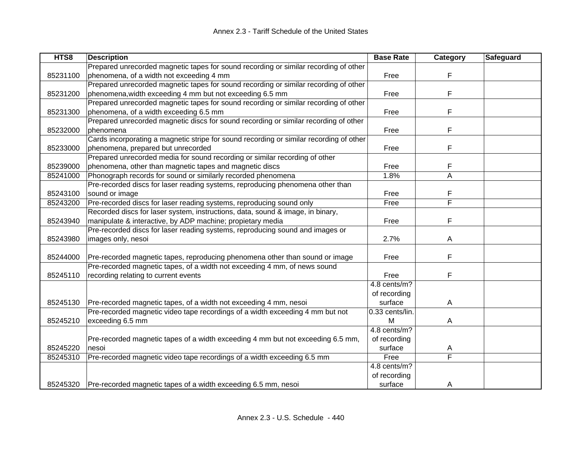| HTS8     | <b>Description</b>                                                                      | <b>Base Rate</b>  | Category | Safeguard |
|----------|-----------------------------------------------------------------------------------------|-------------------|----------|-----------|
|          | Prepared unrecorded magnetic tapes for sound recording or similar recording of other    |                   |          |           |
| 85231100 | phenomena, of a width not exceeding 4 mm                                                | Free              | F        |           |
|          | Prepared unrecorded magnetic tapes for sound recording or similar recording of other    |                   |          |           |
| 85231200 | phenomena, width exceeding 4 mm but not exceeding 6.5 mm                                | Free              | F        |           |
|          | Prepared unrecorded magnetic tapes for sound recording or similar recording of other    |                   |          |           |
| 85231300 | phenomena, of a width exceeding 6.5 mm                                                  | Free              | F        |           |
|          | Prepared unrecorded magnetic discs for sound recording or similar recording of other    |                   |          |           |
| 85232000 | phenomena                                                                               | Free              | F        |           |
|          | Cards incorporating a magnetic stripe for sound recording or similar recording of other |                   |          |           |
| 85233000 | phenomena, prepared but unrecorded                                                      | Free              | F        |           |
|          | Prepared unrecorded media for sound recording or similar recording of other             |                   |          |           |
| 85239000 | phenomena, other than magnetic tapes and magnetic discs                                 | Free              | F        |           |
| 85241000 | Phonograph records for sound or similarly recorded phenomena                            | 1.8%              | Α        |           |
|          | Pre-recorded discs for laser reading systems, reproducing phenomena other than          |                   |          |           |
| 85243100 | sound or image                                                                          | Free              | F        |           |
| 85243200 | Pre-recorded discs for laser reading systems, reproducing sound only                    | Free              | F        |           |
|          | Recorded discs for laser system, instructions, data, sound & image, in binary,          |                   |          |           |
| 85243940 | manipulate & interactive, by ADP machine; propietary media                              | Free              | F        |           |
|          | Pre-recorded discs for laser reading systems, reproducing sound and images or           |                   |          |           |
| 85243980 | images only, nesoi                                                                      | 2.7%              | A        |           |
|          |                                                                                         |                   |          |           |
| 85244000 | Pre-recorded magnetic tapes, reproducing phenomena other than sound or image            | Free              | F        |           |
|          | Pre-recorded magnetic tapes, of a width not exceeding 4 mm, of news sound               |                   |          |           |
| 85245110 | recording relating to current events                                                    | Free              | F        |           |
|          |                                                                                         | 4.8 cents/m?      |          |           |
|          |                                                                                         | of recording      |          |           |
| 85245130 | Pre-recorded magnetic tapes, of a width not exceeding 4 mm, nesoi                       | surface           | A        |           |
|          | Pre-recorded magnetic video tape recordings of a width exceeding 4 mm but not           | $0.33$ cents/lin. |          |           |
| 85245210 | exceeding 6.5 mm                                                                        | M                 | Α        |           |
|          |                                                                                         | 4.8 cents/m?      |          |           |
|          | Pre-recorded magnetic tapes of a width exceeding 4 mm but not exceeding 6.5 mm,         | of recording      |          |           |
| 85245220 | nesoi                                                                                   | surface           | A        |           |
| 85245310 | Pre-recorded magnetic video tape recordings of a width exceeding 6.5 mm                 | Free              | Ē        |           |
|          |                                                                                         | 4.8 cents/m?      |          |           |
|          |                                                                                         | of recording      |          |           |
| 85245320 | Pre-recorded magnetic tapes of a width exceeding 6.5 mm, nesoi                          | surface           | Α        |           |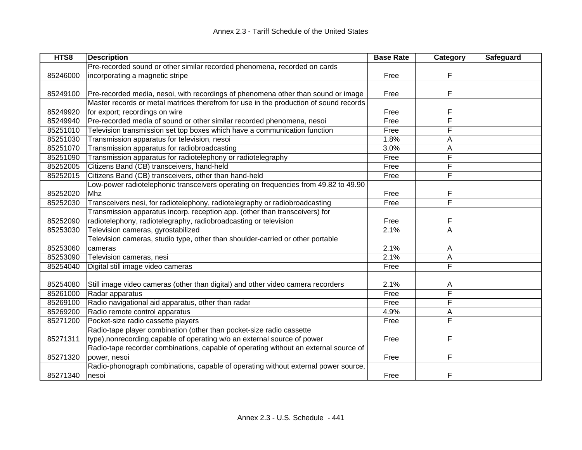| HTS8     | <b>Description</b>                                                                    | <b>Base Rate</b> | Category                | Safeguard |
|----------|---------------------------------------------------------------------------------------|------------------|-------------------------|-----------|
|          | Pre-recorded sound or other similar recorded phenomena, recorded on cards             |                  |                         |           |
| 85246000 | incorporating a magnetic stripe                                                       | Free             | F                       |           |
|          |                                                                                       |                  |                         |           |
| 85249100 | Pre-recorded media, nesoi, with recordings of phenomena other than sound or image     | Free             | F                       |           |
|          | Master records or metal matrices therefrom for use in the production of sound records |                  |                         |           |
| 85249920 | for export; recordings on wire                                                        | Free             | F                       |           |
| 85249940 | Pre-recorded media of sound or other similar recorded phenomena, nesoi                | Free             | F                       |           |
| 85251010 | Television transmission set top boxes which have a communication function             | Free             | F                       |           |
| 85251030 | Transmission apparatus for television, nesoi                                          | 1.8%             | Α                       |           |
| 85251070 | Transmission apparatus for radiobroadcasting                                          | 3.0%             | A                       |           |
| 85251090 | Transmission apparatus for radiotelephony or radiotelegraphy                          | Free             | F                       |           |
| 85252005 | Citizens Band (CB) transceivers, hand-held                                            | Free             | F                       |           |
| 85252015 | Citizens Band (CB) transceivers, other than hand-held                                 | Free             | F                       |           |
|          | Low-power radiotelephonic transceivers operating on frequencies from 49.82 to 49.90   |                  |                         |           |
| 85252020 | Mhz                                                                                   | Free             | F                       |           |
| 85252030 | Transceivers nesi, for radiotelephony, radiotelegraphy or radiobroadcasting           | Free             | F                       |           |
|          | Transmission apparatus incorp. reception app. (other than transceivers) for           |                  |                         |           |
| 85252090 | radiotelephony, radiotelegraphy, radiobroadcasting or television                      | Free             | F                       |           |
| 85253030 | Television cameras, gyrostabilized                                                    | 2.1%             | $\overline{A}$          |           |
|          | Television cameras, studio type, other than shoulder-carried or other portable        |                  |                         |           |
| 85253060 | cameras                                                                               | 2.1%             | A                       |           |
| 85253090 | Television cameras, nesi                                                              | 2.1%             | A                       |           |
| 85254040 | Digital still image video cameras                                                     | Free             | $\overline{\mathsf{F}}$ |           |
|          |                                                                                       |                  |                         |           |
| 85254080 | Still image video cameras (other than digital) and other video camera recorders       | 2.1%             | A                       |           |
| 85261000 | Radar apparatus                                                                       | Free             | F                       |           |
| 85269100 | Radio navigational aid apparatus, other than radar                                    | Free             | F                       |           |
| 85269200 | Radio remote control apparatus                                                        | 4.9%             | A                       |           |
| 85271200 | Pocket-size radio cassette players                                                    | Free             | F                       |           |
|          | Radio-tape player combination (other than pocket-size radio cassette                  |                  |                         |           |
| 85271311 | type), nonrecording, capable of operating w/o an external source of power             | Free             | F                       |           |
|          | Radio-tape recorder combinations, capable of operating without an external source of  |                  |                         |           |
| 85271320 | power, nesoi                                                                          | Free             | F                       |           |
|          | Radio-phonograph combinations, capable of operating without external power source,    |                  |                         |           |
| 85271340 | nesoi                                                                                 | Free             | F                       |           |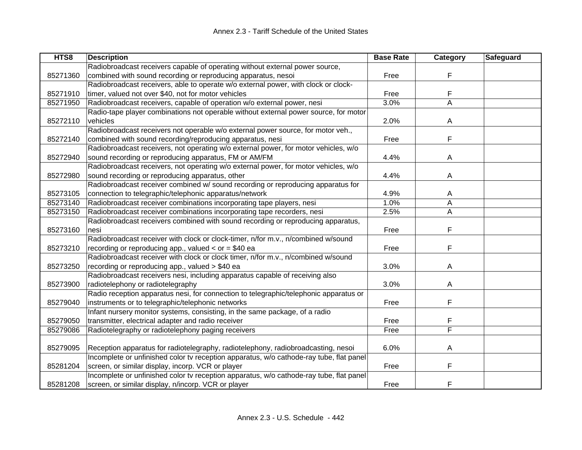| HTS8     | <b>Description</b>                                                                      | <b>Base Rate</b> | Category | Safeguard |
|----------|-----------------------------------------------------------------------------------------|------------------|----------|-----------|
|          | Radiobroadcast receivers capable of operating without external power source,            |                  |          |           |
| 85271360 | combined with sound recording or reproducing apparatus, nesoi                           | Free             | F        |           |
|          | Radiobroadcast receivers, able to operate w/o external power, with clock or clock-      |                  |          |           |
| 85271910 | timer, valued not over \$40, not for motor vehicles                                     | Free             | F        |           |
| 85271950 | Radiobroadcast receivers, capable of operation w/o external power, nesi                 | 3.0%             | A        |           |
|          | Radio-tape player combinations not operable without external power source, for motor    |                  |          |           |
| 85272110 | vehicles                                                                                | 2.0%             | A        |           |
|          | Radiobroadcast receivers not operable w/o external power source, for motor veh.,        |                  |          |           |
| 85272140 | combined with sound recording/reproducing apparatus, nesi                               | Free             | F        |           |
|          | Radiobroadcast receivers, not operating w/o external power, for motor vehicles, w/o     |                  |          |           |
| 85272940 | sound recording or reproducing apparatus, FM or AM/FM                                   | 4.4%             | A        |           |
|          | Radiobroadcast receivers, not operating w/o external power, for motor vehicles, w/o     |                  |          |           |
| 85272980 | sound recording or reproducing apparatus, other                                         | 4.4%             | A        |           |
|          | Radiobroadcast receiver combined w/ sound recording or reproducing apparatus for        |                  |          |           |
| 85273105 | connection to telegraphic/telephonic apparatus/network                                  | 4.9%             | A        |           |
| 85273140 | Radiobroadcast receiver combinations incorporating tape players, nesi                   | 1.0%             | A        |           |
| 85273150 | Radiobroadcast receiver combinations incorporating tape recorders, nesi                 | 2.5%             | A        |           |
|          | Radiobroadcast receivers combined with sound recording or reproducing apparatus,        |                  |          |           |
| 85273160 | nesi                                                                                    | Free             | F        |           |
|          | Radiobroadcast receiver with clock or clock-timer, n/for m.v., n/combined w/sound       |                  |          |           |
| 85273210 | recording or reproducing app., valued $<$ or $=$ \$40 ea                                | Free             | F        |           |
|          | Radiobroadcast receiver with clock or clock timer, n/for m.v., n/combined w/sound       |                  |          |           |
| 85273250 | recording or reproducing app., valued > \$40 ea                                         | 3.0%             | A        |           |
|          | Radiobroadcast receivers nesi, including apparatus capable of receiving also            |                  |          |           |
| 85273900 | radiotelephony or radiotelegraphy                                                       | 3.0%             | A        |           |
|          | Radio reception apparatus nesi, for connection to telegraphic/telephonic apparatus or   |                  |          |           |
| 85279040 | instruments or to telegraphic/telephonic networks                                       | Free             | F        |           |
|          | Infant nursery monitor systems, consisting, in the same package, of a radio             |                  |          |           |
| 85279050 | transmitter, electrical adapter and radio receiver                                      | Free             | F        |           |
| 85279086 | Radiotelegraphy or radiotelephony paging receivers                                      | Free             | F        |           |
|          |                                                                                         |                  |          |           |
| 85279095 | Reception apparatus for radiotelegraphy, radiotelephony, radiobroadcasting, nesoi       | 6.0%             | Α        |           |
|          | Incomplete or unfinished color tv reception apparatus, w/o cathode-ray tube, flat panel |                  |          |           |
| 85281204 | screen, or similar display, incorp. VCR or player                                       | Free             | F        |           |
|          | Incomplete or unfinished color tv reception apparatus, w/o cathode-ray tube, flat panel |                  |          |           |
| 85281208 | screen, or similar display, n/incorp. VCR or player                                     | Free             | F        |           |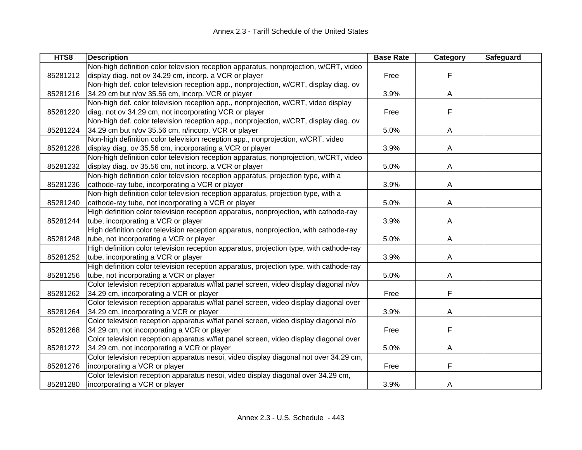| HTS8     | <b>Description</b>                                                                      | <b>Base Rate</b> | Category | Safeguard |
|----------|-----------------------------------------------------------------------------------------|------------------|----------|-----------|
|          | Non-high definition color television reception apparatus, nonprojection, w/CRT, video   |                  |          |           |
| 85281212 | display diag. not ov 34.29 cm, incorp. a VCR or player                                  | Free             | F        |           |
|          | Non-high def. color television reception app., nonprojection, w/CRT, display diag. ov   |                  |          |           |
| 85281216 | 34.29 cm but n/ov 35.56 cm, incorp. VCR or player                                       | 3.9%             | A        |           |
|          | Non-high def. color television reception app., nonprojection, w/CRT, video display      |                  |          |           |
| 85281220 | diag. not ov 34.29 cm, not incorporating VCR or player                                  | Free             | F        |           |
|          | Non-high def. color television reception app., nonprojection, w/CRT, display diag. ov   |                  |          |           |
| 85281224 | 34.29 cm but n/ov 35.56 cm, n/incorp. VCR or player                                     | 5.0%             | A        |           |
|          | Non-high definition color television reception app., nonprojection, w/CRT, video        |                  |          |           |
| 85281228 | display diag. ov 35.56 cm, incorporating a VCR or player                                | 3.9%             | A        |           |
|          | Non-high definition color television reception apparatus, nonprojection, w/CRT, video   |                  |          |           |
| 85281232 | display diag. ov 35.56 cm, not incorp. a VCR or player                                  | 5.0%             | Α        |           |
|          | Non-high definition color television reception apparatus, projection type, with a       |                  |          |           |
| 85281236 | cathode-ray tube, incorporating a VCR or player                                         | 3.9%             | A        |           |
|          | Non-high definition color television reception apparatus, projection type, with a       |                  |          |           |
| 85281240 | cathode-ray tube, not incorporating a VCR or player                                     | 5.0%             | A        |           |
|          | High definition color television reception apparatus, nonprojection, with cathode-ray   |                  |          |           |
| 85281244 | tube, incorporating a VCR or player                                                     | 3.9%             | A        |           |
|          | High definition color television reception apparatus, nonprojection, with cathode-ray   |                  |          |           |
| 85281248 | tube, not incorporating a VCR or player                                                 | 5.0%             | A        |           |
|          | High definition color television reception apparatus, projection type, with cathode-ray |                  |          |           |
| 85281252 | tube, incorporating a VCR or player                                                     | 3.9%             | A        |           |
|          | High definition color television reception apparatus, projection type, with cathode-ray |                  |          |           |
| 85281256 | tube, not incorporating a VCR or player                                                 | 5.0%             | A        |           |
|          | Color television reception apparatus w/flat panel screen, video display diagonal n/ov   |                  |          |           |
| 85281262 | 34.29 cm, incorporating a VCR or player                                                 | Free             | F        |           |
|          | Color television reception apparatus w/flat panel screen, video display diagonal over   |                  |          |           |
| 85281264 | 34.29 cm, incorporating a VCR or player                                                 | 3.9%             | A        |           |
|          | Color television reception apparatus w/flat panel screen, video display diagonal n/o    |                  |          |           |
| 85281268 | 34.29 cm, not incorporating a VCR or player                                             | Free             | F        |           |
|          | Color television reception apparatus w/flat panel screen, video display diagonal over   |                  |          |           |
| 85281272 | 34.29 cm, not incorporating a VCR or player                                             | 5.0%             | A        |           |
|          | Color television reception apparatus nesoi, video display diagonal not over 34.29 cm,   |                  |          |           |
| 85281276 | incorporating a VCR or player                                                           | Free             | F        |           |
|          | Color television reception apparatus nesoi, video display diagonal over 34.29 cm,       |                  |          |           |
| 85281280 | incorporating a VCR or player                                                           | 3.9%             | A        |           |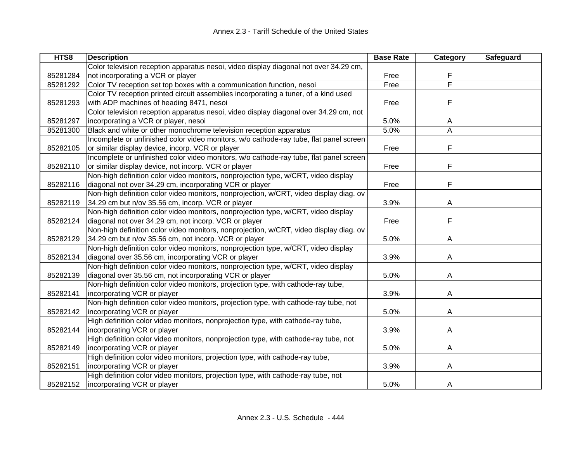| HTS8     | <b>Description</b>                                                                     | <b>Base Rate</b> | Category | <b>Safeguard</b> |
|----------|----------------------------------------------------------------------------------------|------------------|----------|------------------|
|          | Color television reception apparatus nesoi, video display diagonal not over 34.29 cm,  |                  |          |                  |
| 85281284 | not incorporating a VCR or player                                                      | Free             | F        |                  |
| 85281292 | Color TV reception set top boxes with a communication function, nesoi                  | Free             | F        |                  |
|          | Color TV reception printed circuit assemblies incorporating a tuner, of a kind used    |                  |          |                  |
| 85281293 | with ADP machines of heading 8471, nesoi                                               | Free             | F        |                  |
|          | Color television reception apparatus nesoi, video display diagonal over 34.29 cm, not  |                  |          |                  |
| 85281297 | incorporating a VCR or player, nesoi                                                   | 5.0%             | A        |                  |
| 85281300 | Black and white or other monochrome television reception apparatus                     | 5.0%             | A        |                  |
|          | Incomplete or unfinished color video monitors, w/o cathode-ray tube, flat panel screen |                  |          |                  |
| 85282105 | or similar display device, incorp. VCR or player                                       | Free             | F        |                  |
|          | Incomplete or unfinished color video monitors, w/o cathode-ray tube, flat panel screen |                  |          |                  |
| 85282110 | or similar display device, not incorp. VCR or player                                   | Free             | F        |                  |
|          | Non-high definition color video monitors, nonprojection type, w/CRT, video display     |                  |          |                  |
| 85282116 | diagonal not over 34.29 cm, incorporating VCR or player                                | Free             | F        |                  |
|          | Non-high definition color video monitors, nonprojection, w/CRT, video display diag. ov |                  |          |                  |
| 85282119 | 34.29 cm but n/ov 35.56 cm, incorp. VCR or player                                      | 3.9%             | A        |                  |
|          | Non-high definition color video monitors, nonprojection type, w/CRT, video display     |                  |          |                  |
| 85282124 | diagonal not over 34.29 cm, not incorp. VCR or player                                  | Free             | F        |                  |
|          | Non-high definition color video monitors, nonprojection, w/CRT, video display diag. ov |                  |          |                  |
| 85282129 | 34.29 cm but n/ov 35.56 cm, not incorp. VCR or player                                  | 5.0%             | A        |                  |
|          | Non-high definition color video monitors, nonprojection type, w/CRT, video display     |                  |          |                  |
| 85282134 | diagonal over 35.56 cm, incorporating VCR or player                                    | 3.9%             | A        |                  |
|          | Non-high definition color video monitors, nonprojection type, w/CRT, video display     |                  |          |                  |
| 85282139 | diagonal over 35.56 cm, not incorporating VCR or player                                | 5.0%             | A        |                  |
|          | Non-high definition color video monitors, projection type, with cathode-ray tube,      |                  |          |                  |
| 85282141 | incorporating VCR or player                                                            | 3.9%             | A        |                  |
|          | Non-high definition color video monitors, projection type, with cathode-ray tube, not  |                  |          |                  |
| 85282142 | incorporating VCR or player                                                            | 5.0%             | Α        |                  |
|          | High definition color video monitors, nonprojection type, with cathode-ray tube,       |                  |          |                  |
| 85282144 | incorporating VCR or player                                                            | 3.9%             | A        |                  |
|          | High definition color video monitors, nonprojection type, with cathode-ray tube, not   |                  |          |                  |
| 85282149 | incorporating VCR or player                                                            | 5.0%             | Α        |                  |
|          | High definition color video monitors, projection type, with cathode-ray tube,          |                  |          |                  |
| 85282151 | incorporating VCR or player                                                            | 3.9%             | A        |                  |
|          | High definition color video monitors, projection type, with cathode-ray tube, not      |                  |          |                  |
| 85282152 | incorporating VCR or player                                                            | 5.0%             | A        |                  |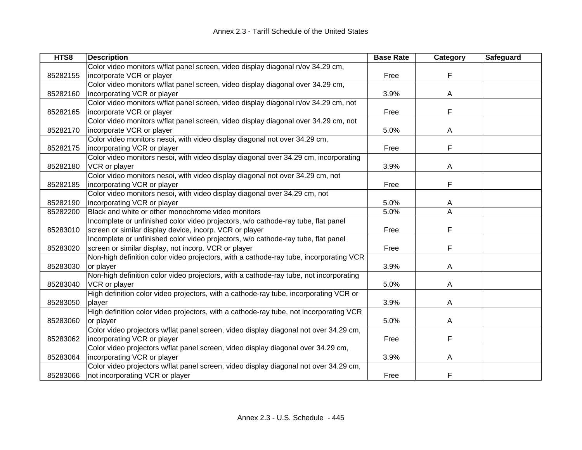| HTS8     | <b>Description</b>                                                                     | <b>Base Rate</b> | Category | Safeguard |
|----------|----------------------------------------------------------------------------------------|------------------|----------|-----------|
|          | Color video monitors w/flat panel screen, video display diagonal n/ov 34.29 cm,        |                  |          |           |
| 85282155 | incorporate VCR or player                                                              | Free             | F        |           |
|          | Color video monitors w/flat panel screen, video display diagonal over 34.29 cm,        |                  |          |           |
| 85282160 | incorporating VCR or player                                                            | 3.9%             | A        |           |
|          | Color video monitors w/flat panel screen, video display diagonal n/ov 34.29 cm, not    |                  |          |           |
| 85282165 | incorporate VCR or player                                                              | Free             | F        |           |
|          | Color video monitors w/flat panel screen, video display diagonal over 34.29 cm, not    |                  |          |           |
| 85282170 | incorporate VCR or player                                                              | 5.0%             | A        |           |
|          | Color video monitors nesoi, with video display diagonal not over 34.29 cm,             |                  |          |           |
| 85282175 | incorporating VCR or player                                                            | Free             | F        |           |
|          | Color video monitors nesoi, with video display diagonal over 34.29 cm, incorporating   |                  |          |           |
| 85282180 | VCR or player                                                                          | 3.9%             | Α        |           |
|          | Color video monitors nesoi, with video display diagonal not over 34.29 cm, not         |                  |          |           |
| 85282185 | incorporating VCR or player                                                            | Free             | F        |           |
|          | Color video monitors nesoi, with video display diagonal over 34.29 cm, not             |                  |          |           |
| 85282190 | incorporating VCR or player                                                            | 5.0%             | A        |           |
| 85282200 | Black and white or other monochrome video monitors                                     | 5.0%             | A        |           |
|          | Incomplete or unfinished color video projectors, w/o cathode-ray tube, flat panel      |                  |          |           |
| 85283010 | screen or similar display device, incorp. VCR or player                                | Free             | F        |           |
|          | Incomplete or unfinished color video projectors, w/o cathode-ray tube, flat panel      |                  |          |           |
| 85283020 | screen or similar display, not incorp. VCR or player                                   | Free             | F        |           |
|          | Non-high definition color video projectors, with a cathode-ray tube, incorporating VCR |                  |          |           |
| 85283030 | or player                                                                              | 3.9%             | Α        |           |
|          | Non-high definition color video projectors, with a cathode-ray tube, not incorporating |                  |          |           |
| 85283040 | VCR or player                                                                          | 5.0%             | A        |           |
|          | High definition color video projectors, with a cathode-ray tube, incorporating VCR or  |                  |          |           |
| 85283050 | player                                                                                 | 3.9%             | A        |           |
|          | High definition color video projectors, with a cathode-ray tube, not incorporating VCR |                  |          |           |
| 85283060 | or player                                                                              | 5.0%             | A        |           |
|          | Color video projectors w/flat panel screen, video display diagonal not over 34.29 cm,  |                  |          |           |
| 85283062 | incorporating VCR or player                                                            | Free             | F        |           |
|          | Color video projectors w/flat panel screen, video display diagonal over 34.29 cm,      |                  |          |           |
| 85283064 | incorporating VCR or player                                                            | 3.9%             | A        |           |
|          | Color video projectors w/flat panel screen, video display diagonal not over 34.29 cm,  |                  |          |           |
| 85283066 | not incorporating VCR or player                                                        | Free             | F        |           |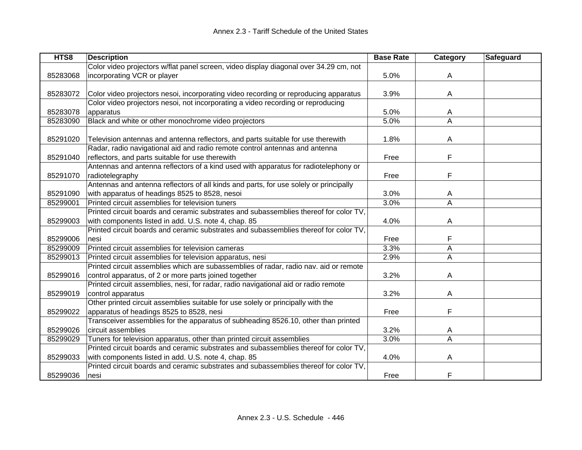| HTS8     | <b>Description</b>                                                                    | <b>Base Rate</b> | Category       | Safeguard |
|----------|---------------------------------------------------------------------------------------|------------------|----------------|-----------|
|          | Color video projectors w/flat panel screen, video display diagonal over 34.29 cm, not |                  |                |           |
| 85283068 | incorporating VCR or player                                                           | 5.0%             | A              |           |
|          |                                                                                       |                  |                |           |
| 85283072 | Color video projectors nesoi, incorporating video recording or reproducing apparatus  | 3.9%             | A              |           |
|          | Color video projectors nesoi, not incorporating a video recording or reproducing      |                  |                |           |
| 85283078 | apparatus                                                                             | 5.0%             | A              |           |
| 85283090 | Black and white or other monochrome video projectors                                  | 5.0%             | A              |           |
|          |                                                                                       |                  |                |           |
| 85291020 | Television antennas and antenna reflectors, and parts suitable for use therewith      | 1.8%             | A              |           |
|          | Radar, radio navigational aid and radio remote control antennas and antenna           |                  |                |           |
| 85291040 | reflectors, and parts suitable for use therewith                                      | Free             | F              |           |
|          | Antennas and antenna reflectors of a kind used with apparatus for radiotelephony or   |                  |                |           |
| 85291070 | radiotelegraphy                                                                       | Free             | F              |           |
|          | Antennas and antenna reflectors of all kinds and parts, for use solely or principally |                  |                |           |
| 85291090 | with apparatus of headings 8525 to 8528, nesoi                                        | 3.0%             | A              |           |
| 85299001 | Printed circuit assemblies for television tuners                                      | 3.0%             | $\overline{A}$ |           |
|          | Printed circuit boards and ceramic substrates and subassemblies thereof for color TV. |                  |                |           |
| 85299003 | with components listed in add. U.S. note 4, chap. 85                                  | 4.0%             | A              |           |
|          | Printed circuit boards and ceramic substrates and subassemblies thereof for color TV, |                  |                |           |
| 85299006 | nesi                                                                                  | Free             | F              |           |
| 85299009 | Printed circuit assemblies for television cameras                                     | 3.3%             | A              |           |
| 85299013 | Printed circuit assemblies for television apparatus, nesi                             | 2.9%             | A              |           |
|          | Printed circuit assemblies which are subassemblies of radar, radio nav. aid or remote |                  |                |           |
| 85299016 | control apparatus, of 2 or more parts joined together                                 | 3.2%             | A              |           |
|          | Printed circuit assemblies, nesi, for radar, radio navigational aid or radio remote   |                  |                |           |
| 85299019 | control apparatus                                                                     | 3.2%             | A              |           |
|          | Other printed circuit assemblies suitable for use solely or principally with the      |                  |                |           |
| 85299022 | apparatus of headings 8525 to 8528, nesi                                              | Free             | F              |           |
|          | Transceiver assemblies for the apparatus of subheading 8526.10, other than printed    |                  |                |           |
| 85299026 | circuit assemblies                                                                    | 3.2%             | A              |           |
| 85299029 | Tuners for television apparatus, other than printed circuit assemblies                | 3.0%             | A              |           |
|          | Printed circuit boards and ceramic substrates and subassemblies thereof for color TV. |                  |                |           |
| 85299033 | with components listed in add. U.S. note 4, chap. 85                                  | 4.0%             | A              |           |
|          | Printed circuit boards and ceramic substrates and subassemblies thereof for color TV. |                  |                |           |
| 85299036 | nesi                                                                                  | Free             | F              |           |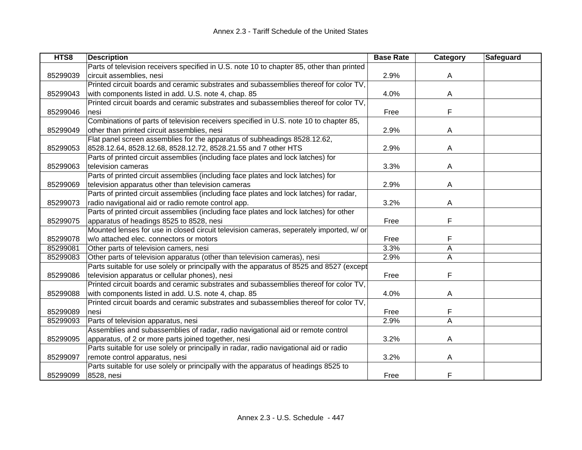| HTS8     | <b>Description</b>                                                                        | <b>Base Rate</b> | Category | <b>Safeguard</b> |
|----------|-------------------------------------------------------------------------------------------|------------------|----------|------------------|
|          | Parts of television receivers specified in U.S. note 10 to chapter 85, other than printed |                  |          |                  |
| 85299039 | circuit assemblies, nesi                                                                  | 2.9%             | A        |                  |
|          | Printed circuit boards and ceramic substrates and subassemblies thereof for color TV,     |                  |          |                  |
| 85299043 | with components listed in add. U.S. note 4, chap. 85                                      | 4.0%             | A        |                  |
|          | Printed circuit boards and ceramic substrates and subassemblies thereof for color TV.     |                  |          |                  |
| 85299046 | nesi                                                                                      | Free             | F        |                  |
|          | Combinations of parts of television receivers specified in U.S. note 10 to chapter 85,    |                  |          |                  |
| 85299049 | other than printed circuit assemblies, nesi                                               | 2.9%             | A        |                  |
|          | Flat panel screen assemblies for the apparatus of subheadings 8528.12.62,                 |                  |          |                  |
| 85299053 | 8528.12.64, 8528.12.68, 8528.12.72, 8528.21.55 and 7 other HTS                            | 2.9%             | Α        |                  |
|          | Parts of printed circuit assemblies (including face plates and lock latches) for          |                  |          |                  |
| 85299063 | television cameras                                                                        | 3.3%             | Α        |                  |
|          | Parts of printed circuit assemblies (including face plates and lock latches) for          |                  |          |                  |
| 85299069 | television apparatus other than television cameras                                        | 2.9%             | A        |                  |
|          | Parts of printed circuit assemblies (including face plates and lock latches) for radar,   |                  |          |                  |
| 85299073 | radio navigational aid or radio remote control app.                                       | 3.2%             | A        |                  |
|          | Parts of printed circuit assemblies (including face plates and lock latches) for other    |                  |          |                  |
| 85299075 | apparatus of headings 8525 to 8528, nesi                                                  | Free             | F        |                  |
|          | Mounted lenses for use in closed circuit television cameras, seperately imported, w/ or   |                  |          |                  |
| 85299078 | w/o attached elec. connectors or motors                                                   | Free             | F        |                  |
| 85299081 | Other parts of television camers, nesi                                                    | 3.3%             | Α        |                  |
| 85299083 | Other parts of television apparatus (other than television cameras), nesi                 | 2.9%             | A        |                  |
|          | Parts suitable for use solely or principally with the apparatus of 8525 and 8527 (except  |                  |          |                  |
| 85299086 | television apparatus or cellular phones), nesi                                            | Free             | F        |                  |
|          | Printed circuit boards and ceramic substrates and subassemblies thereof for color TV,     |                  |          |                  |
| 85299088 | with components listed in add. U.S. note 4, chap. 85                                      | 4.0%             | A        |                  |
|          | Printed circuit boards and ceramic substrates and subassemblies thereof for color TV.     |                  |          |                  |
| 85299089 | nesi                                                                                      | Free             | F        |                  |
| 85299093 | Parts of television apparatus, nesi                                                       | 2.9%             | Α        |                  |
|          | Assemblies and subassemblies of radar, radio navigational aid or remote control           |                  |          |                  |
| 85299095 | apparatus, of 2 or more parts joined together, nesi                                       | 3.2%             | A        |                  |
|          | Parts suitable for use solely or principally in radar, radio navigational aid or radio    |                  |          |                  |
| 85299097 | remote control apparatus, nesi                                                            | 3.2%             | A        |                  |
|          | Parts suitable for use solely or principally with the apparatus of headings 8525 to       |                  |          |                  |
| 85299099 | 8528, nesi                                                                                | Free             | F        |                  |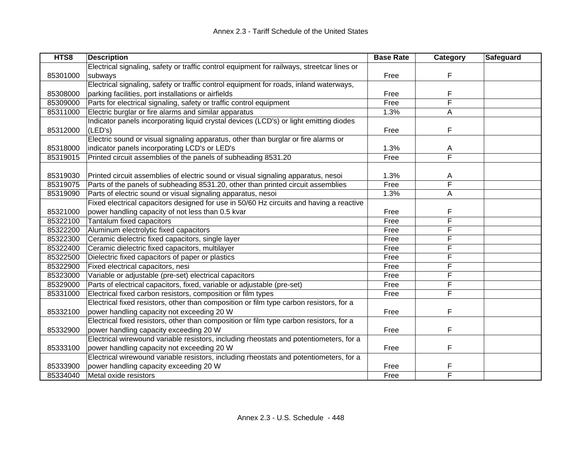| HTS8     | <b>Description</b>                                                                         | <b>Base Rate</b> | Category | <b>Safeguard</b> |
|----------|--------------------------------------------------------------------------------------------|------------------|----------|------------------|
|          | Electrical signaling, safety or traffic control equipment for railways, streetcar lines or |                  |          |                  |
| 85301000 | subways                                                                                    | Free             | F        |                  |
|          | Electrical signaling, safety or traffic control equipment for roads, inland waterways,     |                  |          |                  |
| 85308000 | parking facilities, port installations or airfields                                        | Free             | F        |                  |
| 85309000 | Parts for electrical signaling, safety or traffic control equipment                        | Free             | F        |                  |
| 85311000 | Electric burglar or fire alarms and similar apparatus                                      | 1.3%             | A        |                  |
|          | Indicator panels incorporating liquid crystal devices (LCD's) or light emitting diodes     |                  |          |                  |
| 85312000 | (LED's)                                                                                    | Free             | F        |                  |
|          | Electric sound or visual signaling apparatus, other than burglar or fire alarms or         |                  |          |                  |
| 85318000 | indicator panels incorporating LCD's or LED's                                              | 1.3%             | A        |                  |
| 85319015 | Printed circuit assemblies of the panels of subheading 8531.20                             | Free             | F        |                  |
|          |                                                                                            |                  |          |                  |
| 85319030 | Printed circuit assemblies of electric sound or visual signaling apparatus, nesoi          | 1.3%             | A        |                  |
| 85319075 | Parts of the panels of subheading 8531.20, other than printed circuit assemblies           | Free             | F        |                  |
| 85319090 | Parts of electric sound or visual signaling apparatus, nesoi                               | 1.3%             | A        |                  |
|          | Fixed electrical capacitors designed for use in 50/60 Hz circuits and having a reactive    |                  |          |                  |
| 85321000 | power handling capacity of not less than 0.5 kvar                                          | Free             | F        |                  |
| 85322100 | Tantalum fixed capacitors                                                                  | Free             | F        |                  |
| 85322200 | Aluminum electrolytic fixed capacitors                                                     | Free             | F        |                  |
| 85322300 | Ceramic dielectric fixed capacitors, single layer                                          | Free             | F        |                  |
| 85322400 | Ceramic dielectric fixed capacitors, multilayer                                            | Free             | F        |                  |
| 85322500 | Dielectric fixed capacitors of paper or plastics                                           | Free             | F        |                  |
| 85322900 | Fixed electrical capacitors, nesi                                                          | Free             | F        |                  |
| 85323000 | Variable or adjustable (pre-set) electrical capacitors                                     | Free             | F        |                  |
| 85329000 | Parts of electrical capacitors, fixed, variable or adjustable (pre-set)                    | Free             | F        |                  |
| 85331000 | Electrical fixed carbon resistors, composition or film types                               | Free             | F        |                  |
|          | Electrical fixed resistors, other than composition or film type carbon resistors, for a    |                  |          |                  |
| 85332100 | power handling capacity not exceeding 20 W                                                 | Free             | F        |                  |
|          | Electrical fixed resistors, other than composition or film type carbon resistors, for a    |                  |          |                  |
| 85332900 | power handling capacity exceeding 20 W                                                     | Free             | F        |                  |
|          | Electrical wirewound variable resistors, including rheostats and potentiometers, for a     |                  |          |                  |
| 85333100 | power handling capacity not exceeding 20 W                                                 | Free             | F        |                  |
|          | Electrical wirewound variable resistors, including rheostats and potentiometers, for a     |                  |          |                  |
| 85333900 | power handling capacity exceeding 20 W                                                     | Free             | F        |                  |
| 85334040 | Metal oxide resistors                                                                      | Free             | F        |                  |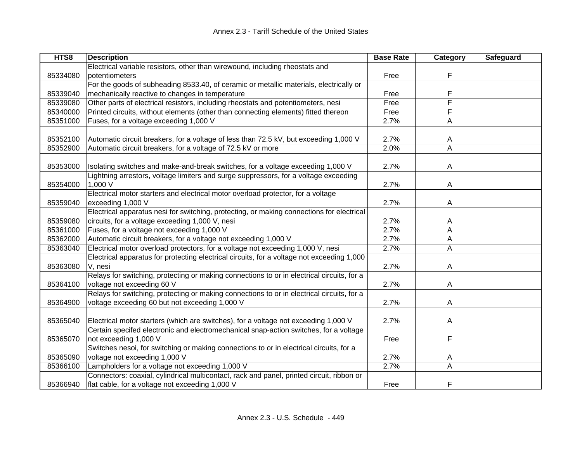| HTS8     | <b>Description</b>                                                                         | <b>Base Rate</b> | Category       | Safeguard |
|----------|--------------------------------------------------------------------------------------------|------------------|----------------|-----------|
|          | Electrical variable resistors, other than wirewound, including rheostats and               |                  |                |           |
| 85334080 | potentiometers                                                                             | Free             | F              |           |
|          | For the goods of subheading 8533.40, of ceramic or metallic materials, electrically or     |                  |                |           |
| 85339040 | mechanically reactive to changes in temperature                                            | Free             | F              |           |
| 85339080 | Other parts of electrical resistors, including rheostats and potentiometers, nesi          | Free             | F              |           |
| 85340000 | Printed circuits, without elements (other than connecting elements) fitted thereon         | Free             | F              |           |
| 85351000 | Fuses, for a voltage exceeding 1,000 V                                                     | 2.7%             | A              |           |
|          |                                                                                            |                  |                |           |
| 85352100 | Automatic circuit breakers, for a voltage of less than 72.5 kV, but exceeding 1,000 V      | 2.7%             | A              |           |
| 85352900 | Automatic circuit breakers, for a voltage of 72.5 kV or more                               | 2.0%             | A              |           |
|          |                                                                                            |                  |                |           |
| 85353000 | Isolating switches and make-and-break switches, for a voltage exceeding 1,000 V            | 2.7%             | A              |           |
|          | Lightning arrestors, voltage limiters and surge suppressors, for a voltage exceeding       |                  |                |           |
| 85354000 | 1,000 V                                                                                    | 2.7%             | A              |           |
|          | Electrical motor starters and electrical motor overload protector, for a voltage           |                  |                |           |
| 85359040 | exceeding 1,000 V                                                                          | 2.7%             | A              |           |
|          | Electrical apparatus nesi for switching, protecting, or making connections for electrical  |                  |                |           |
| 85359080 | circuits, for a voltage exceeding 1,000 V, nesi                                            | 2.7%             | A              |           |
| 85361000 | Fuses, for a voltage not exceeding 1,000 V                                                 | 2.7%             | A              |           |
| 85362000 | Automatic circuit breakers, for a voltage not exceeding 1,000 V                            | 2.7%             | A              |           |
| 85363040 | Electrical motor overload protectors, for a voltage not exceeding 1,000 V, nesi            | 2.7%             | A              |           |
|          | Electrical apparatus for protecting electrical circuits, for a voltage not exceeding 1,000 |                  |                |           |
| 85363080 | V, nesi                                                                                    | 2.7%             | A              |           |
|          | Relays for switching, protecting or making connections to or in electrical circuits, for a |                  |                |           |
| 85364100 | voltage not exceeding 60 V                                                                 | 2.7%             | A              |           |
|          | Relays for switching, protecting or making connections to or in electrical circuits, for a |                  |                |           |
| 85364900 | voltage exceeding 60 but not exceeding 1,000 V                                             | 2.7%             | A              |           |
|          |                                                                                            |                  |                |           |
| 85365040 | Electrical motor starters (which are switches), for a voltage not exceeding 1,000 V        | 2.7%             | A              |           |
|          | Certain specifed electronic and electromechanical snap-action switches, for a voltage      |                  |                |           |
| 85365070 | not exceeding 1,000 V                                                                      | Free             | F              |           |
|          | Switches nesoi, for switching or making connections to or in electrical circuits, for a    |                  |                |           |
| 85365090 | voltage not exceeding 1,000 V                                                              | 2.7%             | A              |           |
| 85366100 | Lampholders for a voltage not exceeding 1,000 V                                            | 2.7%             | $\overline{A}$ |           |
|          | Connectors: coaxial, cylindrical multicontact, rack and panel, printed circuit, ribbon or  |                  |                |           |
| 85366940 | flat cable, for a voltage not exceeding 1,000 V                                            | Free             | F              |           |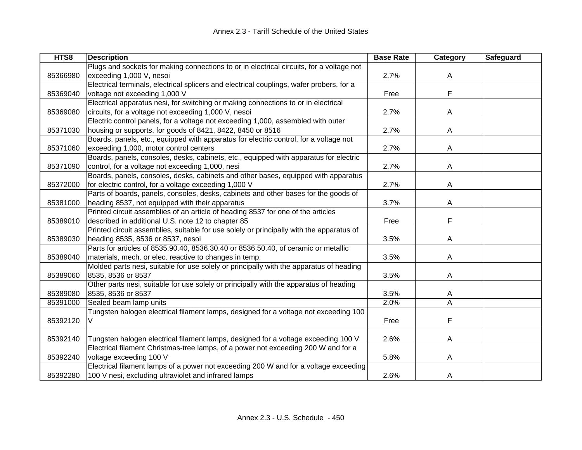| HTS8     | <b>Description</b>                                                                       | <b>Base Rate</b> | Category | <b>Safeguard</b> |
|----------|------------------------------------------------------------------------------------------|------------------|----------|------------------|
|          | Plugs and sockets for making connections to or in electrical circuits, for a voltage not |                  |          |                  |
| 85366980 | exceeding 1,000 V, nesoi                                                                 | 2.7%             | A        |                  |
|          | Electrical terminals, electrical splicers and electrical couplings, wafer probers, for a |                  |          |                  |
| 85369040 | voltage not exceeding 1,000 V                                                            | Free             | F        |                  |
|          | Electrical apparatus nesi, for switching or making connections to or in electrical       |                  |          |                  |
| 85369080 | circuits, for a voltage not exceeding 1,000 V, nesoi                                     | 2.7%             | A        |                  |
|          | Electric control panels, for a voltage not exceeding 1,000, assembled with outer         |                  |          |                  |
| 85371030 | housing or supports, for goods of 8421, 8422, 8450 or 8516                               | 2.7%             | A        |                  |
|          | Boards, panels, etc., equipped with apparatus for electric control, for a voltage not    |                  |          |                  |
| 85371060 | exceeding 1,000, motor control centers                                                   | 2.7%             | Α        |                  |
|          | Boards, panels, consoles, desks, cabinets, etc., equipped with apparatus for electric    |                  |          |                  |
| 85371090 | control, for a voltage not exceeding 1,000, nesi                                         | 2.7%             | Α        |                  |
|          | Boards, panels, consoles, desks, cabinets and other bases, equipped with apparatus       |                  |          |                  |
| 85372000 | for electric control, for a voltage exceeding 1,000 V                                    | 2.7%             | A        |                  |
|          | Parts of boards, panels, consoles, desks, cabinets and other bases for the goods of      |                  |          |                  |
| 85381000 | heading 8537, not equipped with their apparatus                                          | 3.7%             | Α        |                  |
|          | Printed circuit assemblies of an article of heading 8537 for one of the articles         |                  |          |                  |
| 85389010 | described in additional U.S. note 12 to chapter 85                                       | Free             | F        |                  |
|          | Printed circuit assemblies, suitable for use solely or principally with the apparatus of |                  |          |                  |
| 85389030 | heading 8535, 8536 or 8537, nesoi                                                        | 3.5%             | Α        |                  |
|          | Parts for articles of 8535.90.40, 8536.30.40 or 8536.50.40, of ceramic or metallic       |                  |          |                  |
| 85389040 | materials, mech. or elec. reactive to changes in temp.                                   | 3.5%             | A        |                  |
|          | Molded parts nesi, suitable for use solely or principally with the apparatus of heading  |                  |          |                  |
| 85389060 | 8535, 8536 or 8537                                                                       | 3.5%             | A        |                  |
|          | Other parts nesi, suitable for use solely or principally with the apparatus of heading   |                  |          |                  |
| 85389080 | 8535, 8536 or 8537                                                                       | 3.5%             | A        |                  |
| 85391000 | Sealed beam lamp units                                                                   | 2.0%             | A        |                  |
|          | Tungsten halogen electrical filament lamps, designed for a voltage not exceeding 100     |                  |          |                  |
| 85392120 | V                                                                                        | Free             | F        |                  |
|          |                                                                                          |                  |          |                  |
| 85392140 | Tungsten halogen electrical filament lamps, designed for a voltage exceeding 100 V       | 2.6%             | A        |                  |
|          | Electrical filament Christmas-tree lamps, of a power not exceeding 200 W and for a       |                  |          |                  |
| 85392240 | voltage exceeding 100 V                                                                  | 5.8%             | Α        |                  |
|          | Electrical filament lamps of a power not exceeding 200 W and for a voltage exceeding     |                  |          |                  |
| 85392280 | 100 V nesi, excluding ultraviolet and infrared lamps                                     | 2.6%             | A        |                  |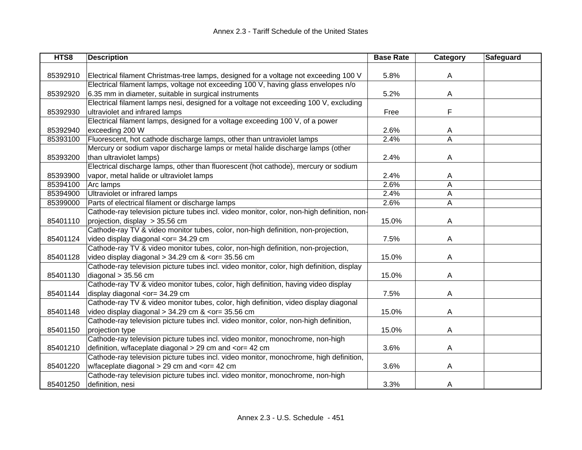| HTS8     | <b>Description</b>                                                                                             | <b>Base Rate</b> | Category | Safeguard |
|----------|----------------------------------------------------------------------------------------------------------------|------------------|----------|-----------|
|          |                                                                                                                |                  |          |           |
| 85392910 | Electrical filament Christmas-tree lamps, designed for a voltage not exceeding 100 V                           | 5.8%             | A        |           |
|          | Electrical filament lamps, voltage not exceeding 100 V, having glass envelopes n/o                             |                  |          |           |
| 85392920 | 6.35 mm in diameter, suitable in surgical instruments                                                          | 5.2%             | A        |           |
|          | Electrical filament lamps nesi, designed for a voltage not exceeding 100 V, excluding                          |                  |          |           |
| 85392930 | ultraviolet and infrared lamps                                                                                 | Free             | F        |           |
|          | Electrical filament lamps, designed for a voltage exceeding 100 V, of a power                                  |                  |          |           |
| 85392940 | exceeding 200 W                                                                                                | 2.6%             | Α        |           |
| 85393100 | Fluorescent, hot cathode discharge lamps, other than untraviolet lamps                                         | 2.4%             | Α        |           |
|          | Mercury or sodium vapor discharge lamps or metal halide discharge lamps (other                                 |                  |          |           |
| 85393200 | than ultraviolet lamps)                                                                                        | 2.4%             | A        |           |
|          | Electrical discharge lamps, other than fluorescent (hot cathode), mercury or sodium                            |                  |          |           |
| 85393900 | vapor, metal halide or ultraviolet lamps                                                                       | 2.4%             | A        |           |
| 85394100 | Arc lamps                                                                                                      | 2.6%             | Α        |           |
| 85394900 | Ultraviolet or infrared lamps                                                                                  | 2.4%             | A        |           |
| 85399000 | Parts of electrical filament or discharge lamps                                                                | 2.6%             | A        |           |
|          | Cathode-ray television picture tubes incl. video monitor, color, non-high definition, non-                     |                  |          |           |
| 85401110 | projection, display > 35.56 cm                                                                                 | 15.0%            | A        |           |
|          | Cathode-ray TV & video monitor tubes, color, non-high definition, non-projection,                              |                  |          |           |
| 85401124 | video display diagonal <or= 34.29="" cm<="" td=""><td>7.5%</td><td>A</td><td></td></or=>                       | 7.5%             | A        |           |
|          | Cathode-ray TV & video monitor tubes, color, non-high definition, non-projection,                              |                  |          |           |
| 85401128 | video display diagonal $> 34.29$ cm & <or= 35.56="" cm<="" td=""><td>15.0%</td><td>A</td><td></td></or=>       | 15.0%            | A        |           |
|          | Cathode-ray television picture tubes incl. video monitor, color, high definition, display                      |                  |          |           |
| 85401130 | diagonal > 35.56 cm                                                                                            | 15.0%            | A        |           |
|          | Cathode-ray TV & video monitor tubes, color, high definition, having video display                             |                  |          |           |
| 85401144 | display diagonal <or= 34.29="" cm<="" td=""><td>7.5%</td><td>A</td><td></td></or=>                             | 7.5%             | A        |           |
|          | Cathode-ray TV & video monitor tubes, color, high definition, video display diagonal                           |                  |          |           |
| 85401148 | video display diagonal > 34.29 cm & <or= 35.56="" cm<="" td=""><td>15.0%</td><td>A</td><td></td></or=>         | 15.0%            | A        |           |
|          | Cathode-ray television picture tubes incl. video monitor, color, non-high definition,                          |                  |          |           |
| 85401150 | projection type                                                                                                | 15.0%            | A        |           |
|          | Cathode-ray television picture tubes incl. video monitor, monochrome, non-high                                 |                  |          |           |
| 85401210 | definition, w/faceplate diagonal > 29 cm and <or 42="" =="" cm<="" td=""><td>3.6%</td><td>A</td><td></td></or> | 3.6%             | A        |           |
|          | Cathode-ray television picture tubes incl. video monitor, monochrome, high definition,                         |                  |          |           |
| 85401220 | w/faceplate diagonal > 29 cm and <or= 42="" cm<="" td=""><td>3.6%</td><td>A</td><td></td></or=>                | 3.6%             | A        |           |
|          | Cathode-ray television picture tubes incl. video monitor, monochrome, non-high                                 |                  |          |           |
| 85401250 | definition, nesi                                                                                               | 3.3%             | A        |           |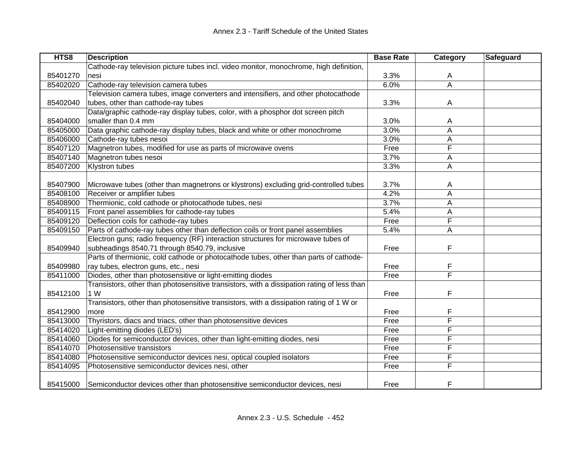| HTS8     | <b>Description</b>                                                                         | <b>Base Rate</b> | Category | Safeguard |
|----------|--------------------------------------------------------------------------------------------|------------------|----------|-----------|
|          | Cathode-ray television picture tubes incl. video monitor, monochrome, high definition,     |                  |          |           |
| 85401270 | nesi                                                                                       | 3.3%             | A        |           |
| 85402020 | Cathode-ray television camera tubes                                                        | 6.0%             | Ā        |           |
|          | Television camera tubes, image converters and intensifiers, and other photocathode         |                  |          |           |
| 85402040 | tubes, other than cathode-ray tubes                                                        | 3.3%             | A        |           |
|          | Data/graphic cathode-ray display tubes, color, with a phosphor dot screen pitch            |                  |          |           |
| 85404000 | smaller than 0.4 mm                                                                        | 3.0%             | A        |           |
| 85405000 | Data graphic cathode-ray display tubes, black and white or other monochrome                | 3.0%             | A        |           |
| 85406000 | Cathode-ray tubes nesoi                                                                    | 3.0%             | Α        |           |
| 85407120 | Magnetron tubes, modified for use as parts of microwave ovens                              | Free             | F        |           |
| 85407140 | Magnetron tubes nesoi                                                                      | 3.7%             | Α        |           |
| 85407200 | Klystron tubes                                                                             | 3.3%             | Α        |           |
|          |                                                                                            |                  |          |           |
| 85407900 | Microwave tubes (other than magnetrons or klystrons) excluding grid-controlled tubes       | 3.7%             | A        |           |
| 85408100 | Receiver or amplifier tubes                                                                | 4.2%             | A        |           |
| 85408900 | Thermionic, cold cathode or photocathode tubes, nesi                                       | 3.7%             | Α        |           |
| 85409115 | Front panel assemblies for cathode-ray tubes                                               | 5.4%             | A        |           |
| 85409120 | Deflection coils for cathode-ray tubes                                                     | Free             | F        |           |
| 85409150 | Parts of cathode-ray tubes other than deflection coils or front panel assemblies           | 5.4%             | Α        |           |
|          | Electron guns; radio frequency (RF) interaction structures for microwave tubes of          |                  |          |           |
| 85409940 | subheadings 8540.71 through 8540.79, inclusive                                             | Free             | F        |           |
|          | Parts of thermionic, cold cathode or photocathode tubes, other than parts of cathode-      |                  |          |           |
| 85409980 | ray tubes, electron guns, etc., nesi                                                       | Free             | F        |           |
| 85411000 | Diodes, other than photosensitive or light-emitting diodes                                 | Free             | F        |           |
|          | Transistors, other than photosensitive transistors, with a dissipation rating of less than |                  |          |           |
| 85412100 | 1 W                                                                                        | Free             | F        |           |
|          | Transistors, other than photosensitive transistors, with a dissipation rating of 1 W or    |                  |          |           |
| 85412900 | more                                                                                       | Free             | F        |           |
| 85413000 | Thyristors, diacs and triacs, other than photosensitive devices                            | Free             | F        |           |
| 85414020 | Light-emitting diodes (LED's)                                                              | Free             | F        |           |
| 85414060 | Diodes for semiconductor devices, other than light-emitting diodes, nesi                   | Free             | F        |           |
| 85414070 | Photosensitive transistors                                                                 | Free             | F        |           |
| 85414080 | Photosensitive semiconductor devices nesi, optical coupled isolators                       | Free             | F        |           |
| 85414095 | Photosensitive semiconductor devices nesi, other                                           | Free             | F        |           |
|          |                                                                                            |                  |          |           |
| 85415000 | Semiconductor devices other than photosensitive semiconductor devices, nesi                | Free             | F        |           |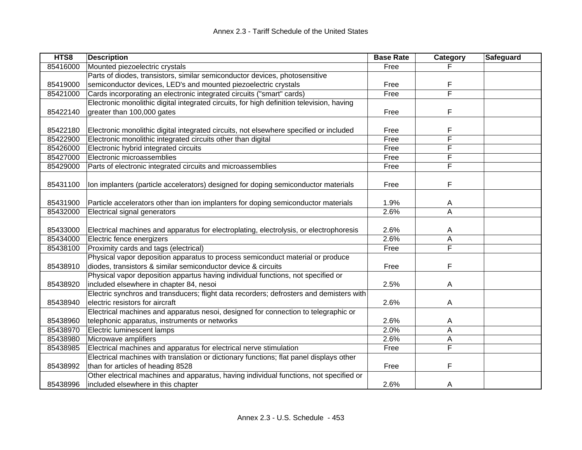| HTS8     | <b>Description</b>                                                                        | <b>Base Rate</b> | Category | Safeguard |
|----------|-------------------------------------------------------------------------------------------|------------------|----------|-----------|
| 85416000 | Mounted piezoelectric crystals                                                            | Free             |          |           |
|          | Parts of diodes, transistors, similar semiconductor devices, photosensitive               |                  |          |           |
| 85419000 | semiconductor devices, LED's and mounted piezoelectric crystals                           | Free             | F        |           |
| 85421000 | Cards incorporating an electronic integrated circuits ("smart" cards)                     | Free             | F        |           |
|          | Electronic monolithic digital integrated circuits, for high definition television, having |                  |          |           |
| 85422140 | greater than 100,000 gates                                                                | Free             | F        |           |
|          |                                                                                           |                  |          |           |
| 85422180 | Electronic monolithic digital integrated circuits, not elsewhere specified or included    | Free             | F        |           |
| 85422900 | Electronic monolithic integrated circuits other than digital                              | Free             | F        |           |
| 85426000 | Electronic hybrid integrated circuits                                                     | Free             | F        |           |
| 85427000 | Electronic microassemblies                                                                | Free             | F        |           |
| 85429000 | Parts of electronic integrated circuits and microassemblies                               | Free             | F        |           |
|          |                                                                                           |                  |          |           |
| 85431100 | Ion implanters (particle accelerators) designed for doping semiconductor materials        | Free             | F        |           |
|          |                                                                                           |                  |          |           |
| 85431900 | Particle accelerators other than ion implanters for doping semiconductor materials        | 1.9%             | A        |           |
| 85432000 | Electrical signal generators                                                              | 2.6%             | A        |           |
|          |                                                                                           |                  |          |           |
| 85433000 | Electrical machines and apparatus for electroplating, electrolysis, or electrophoresis    | 2.6%             | A        |           |
| 85434000 | Electric fence energizers                                                                 | 2.6%             | A        |           |
| 85438100 | Proximity cards and tags (electrical)                                                     | Free             | F        |           |
|          | Physical vapor deposition apparatus to process semiconduct material or produce            |                  |          |           |
| 85438910 | diodes, transistors & similar semiconductor device & circuits                             | Free             | F        |           |
|          | Physical vapor deposition appartus having individual functions, not specified or          |                  |          |           |
| 85438920 | included elsewhere in chapter 84, nesoi                                                   | 2.5%             | A        |           |
|          | Electric synchros and transducers; flight data recorders; defrosters and demisters with   |                  |          |           |
| 85438940 | electric resistors for aircraft                                                           | 2.6%             | Α        |           |
|          | Electrical machines and apparatus nesoi, designed for connection to telegraphic or        |                  |          |           |
| 85438960 | telephonic apparatus, instruments or networks                                             | 2.6%             | A        |           |
| 85438970 | Electric luminescent lamps                                                                | 2.0%             | Α        |           |
| 85438980 | Microwave amplifiers                                                                      | 2.6%             | Α        |           |
| 85438985 | Electrical machines and apparatus for electrical nerve stimulation                        | Free             | F        |           |
|          | Electrical machines with translation or dictionary functions; flat panel displays other   |                  |          |           |
| 85438992 | than for articles of heading 8528                                                         | Free             | F        |           |
|          | Other electrical machines and apparatus, having individual functions, not specified or    |                  |          |           |
| 85438996 | included elsewhere in this chapter                                                        | 2.6%             | A        |           |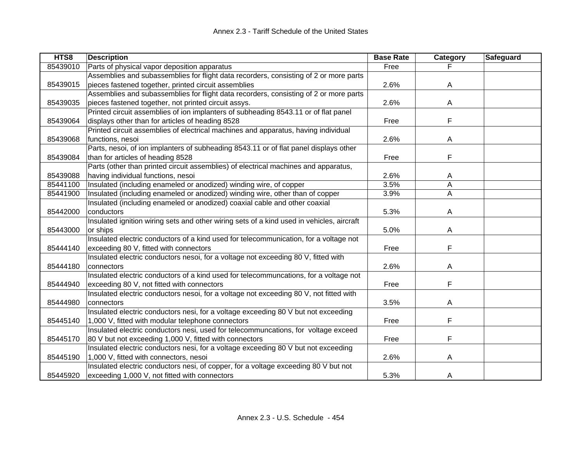| HTS8     | <b>Description</b>                                                                        | <b>Base Rate</b> | Category | <b>Safeguard</b> |
|----------|-------------------------------------------------------------------------------------------|------------------|----------|------------------|
| 85439010 | Parts of physical vapor deposition apparatus                                              | Free             |          |                  |
|          | Assemblies and subassemblies for flight data recorders, consisting of 2 or more parts     |                  |          |                  |
| 85439015 | pieces fastened together, printed circuit assemblies                                      | 2.6%             | A        |                  |
|          | Assemblies and subassemblies for flight data recorders, consisting of 2 or more parts     |                  |          |                  |
| 85439035 | pieces fastened together, not printed circuit assys.                                      | 2.6%             | A        |                  |
|          | Printed circuit assemblies of ion implanters of subheading 8543.11 or of flat panel       |                  |          |                  |
| 85439064 | displays other than for articles of heading 8528                                          | Free             | F        |                  |
|          | Printed circuit assemblies of electrical machines and apparatus, having individual        |                  |          |                  |
| 85439068 | functions, nesoi                                                                          | 2.6%             | A        |                  |
|          | Parts, nesoi, of ion implanters of subheading 8543.11 or of flat panel displays other     |                  |          |                  |
| 85439084 | than for articles of heading 8528                                                         | Free             | F        |                  |
|          | Parts (other than printed circuit assemblies) of electrical machines and apparatus,       |                  |          |                  |
| 85439088 | having individual functions, nesoi                                                        | 2.6%             | A        |                  |
| 85441100 | Insulated (including enameled or anodized) winding wire, of copper                        | 3.5%             | A        |                  |
| 85441900 | Insulated (including enameled or anodized) winding wire, other than of copper             | 3.9%             | A        |                  |
|          | Insulated (including enameled or anodized) coaxial cable and other coaxial                |                  |          |                  |
| 85442000 | conductors                                                                                | 5.3%             | A        |                  |
|          | Insulated ignition wiring sets and other wiring sets of a kind used in vehicles, aircraft |                  |          |                  |
| 85443000 | or ships                                                                                  | 5.0%             | A        |                  |
|          | Insulated electric conductors of a kind used for telecommunication, for a voltage not     |                  |          |                  |
| 85444140 | exceeding 80 V, fitted with connectors                                                    | Free             | F        |                  |
|          | Insulated electric conductors nesoi, for a voltage not exceeding 80 V, fitted with        |                  |          |                  |
| 85444180 | connectors                                                                                | 2.6%             | A        |                  |
|          | Insulated electric conductors of a kind used for telecommuncations, for a voltage not     |                  |          |                  |
| 85444940 | exceeding 80 V, not fitted with connectors                                                | Free             | F        |                  |
|          | Insulated electric conductors nesoi, for a voltage not exceeding 80 V, not fitted with    |                  |          |                  |
| 85444980 | connectors                                                                                | 3.5%             | A        |                  |
|          | Insulated electric conductors nesi, for a voltage exceeding 80 V but not exceeding        |                  |          |                  |
| 85445140 | 1,000 V, fitted with modular telephone connectors                                         | Free             | F        |                  |
|          | Insulated electric conductors nesi, used for telecommuncations, for voltage exceed        |                  |          |                  |
| 85445170 | 80 V but not exceeding 1,000 V, fitted with connectors                                    | Free             | F        |                  |
|          | Insulated electric conductors nesi, for a voltage exceeding 80 V but not exceeding        |                  |          |                  |
| 85445190 | 1,000 V, fitted with connectors, nesoi                                                    | 2.6%             | A        |                  |
|          | Insulated electric conductors nesi, of copper, for a voltage exceeding 80 V but not       |                  |          |                  |
| 85445920 | exceeding 1,000 V, not fitted with connectors                                             | 5.3%             | A        |                  |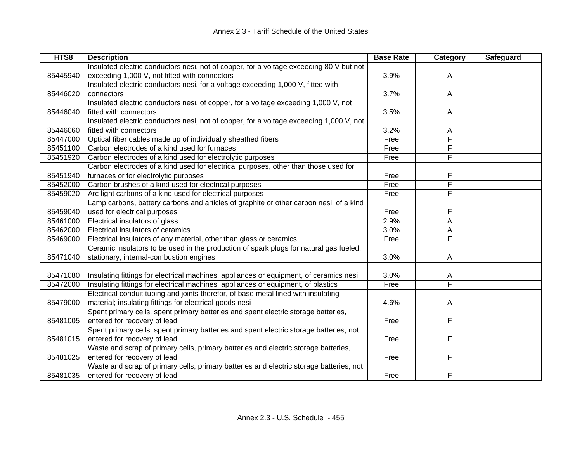| HTS8     | <b>Description</b>                                                                      | <b>Base Rate</b> | Category                | <b>Safeguard</b> |
|----------|-----------------------------------------------------------------------------------------|------------------|-------------------------|------------------|
|          | Insulated electric conductors nesi, not of copper, for a voltage exceeding 80 V but not |                  |                         |                  |
| 85445940 | exceeding 1,000 V, not fitted with connectors                                           | 3.9%             | A                       |                  |
|          | Insulated electric conductors nesi, for a voltage exceeding 1,000 V, fitted with        |                  |                         |                  |
| 85446020 | connectors                                                                              | 3.7%             | A                       |                  |
|          | Insulated electric conductors nesi, of copper, for a voltage exceeding 1,000 V, not     |                  |                         |                  |
| 85446040 | fitted with connectors                                                                  | 3.5%             | A                       |                  |
|          | Insulated electric conductors nesi, not of copper, for a voltage exceeding 1,000 V, not |                  |                         |                  |
| 85446060 | fitted with connectors                                                                  | 3.2%             | A                       |                  |
| 85447000 | Optical fiber cables made up of individually sheathed fibers                            | Free             | F                       |                  |
| 85451100 | Carbon electrodes of a kind used for furnaces                                           | Free             | F                       |                  |
| 85451920 | Carbon electrodes of a kind used for electrolytic purposes                              | Free             | F                       |                  |
|          | Carbon electrodes of a kind used for electrical purposes, other than those used for     |                  |                         |                  |
| 85451940 | furnaces or for electrolytic purposes                                                   | Free             | F                       |                  |
| 85452000 | Carbon brushes of a kind used for electrical purposes                                   | Free             | F                       |                  |
| 85459020 | Arc light carbons of a kind used for electrical purposes                                | Free             | F                       |                  |
|          | Lamp carbons, battery carbons and articles of graphite or other carbon nesi, of a kind  |                  |                         |                  |
| 85459040 | used for electrical purposes                                                            | Free             | F                       |                  |
| 85461000 | Electrical insulators of glass                                                          | 2.9%             | A                       |                  |
| 85462000 | Electrical insulators of ceramics                                                       | 3.0%             | Α                       |                  |
| 85469000 | Electrical insulators of any material, other than glass or ceramics                     | Free             | $\overline{\mathsf{F}}$ |                  |
|          | Ceramic insulators to be used in the production of spark plugs for natural gas fueled,  |                  |                         |                  |
| 85471040 | stationary, internal-combustion engines                                                 | 3.0%             | A                       |                  |
|          |                                                                                         |                  |                         |                  |
| 85471080 | Insulating fittings for electrical machines, appliances or equipment, of ceramics nesi  | 3.0%             | Α                       |                  |
| 85472000 | Insulating fittings for electrical machines, appliances or equipment, of plastics       | Free             | F                       |                  |
|          | Electrical conduit tubing and joints therefor, of base metal lined with insulating      |                  |                         |                  |
| 85479000 | material; insulating fittings for electrical goods nesi                                 | 4.6%             | A                       |                  |
|          | Spent primary cells, spent primary batteries and spent electric storage batteries,      |                  |                         |                  |
| 85481005 | entered for recovery of lead                                                            | Free             | F                       |                  |
|          | Spent primary cells, spent primary batteries and spent electric storage batteries, not  |                  |                         |                  |
| 85481015 | entered for recovery of lead                                                            | Free             | F                       |                  |
|          | Waste and scrap of primary cells, primary batteries and electric storage batteries,     |                  |                         |                  |
| 85481025 | entered for recovery of lead                                                            | Free             | F                       |                  |
|          | Waste and scrap of primary cells, primary batteries and electric storage batteries, not |                  |                         |                  |
| 85481035 | entered for recovery of lead                                                            | Free             | F                       |                  |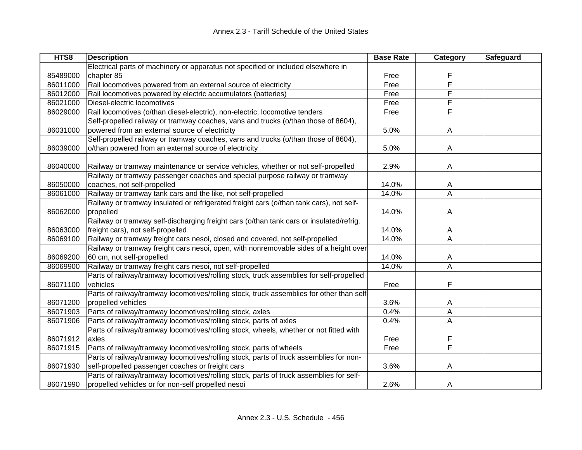| HTS8     | <b>Description</b>                                                                       | <b>Base Rate</b> | Category                | Safeguard |
|----------|------------------------------------------------------------------------------------------|------------------|-------------------------|-----------|
|          | Electrical parts of machinery or apparatus not specified or included elsewhere in        |                  |                         |           |
| 85489000 | chapter 85                                                                               | Free             |                         |           |
| 86011000 | Rail locomotives powered from an external source of electricity                          | Free             | F                       |           |
| 86012000 | Rail locomotives powered by electric accumulators (batteries)                            | Free             | F                       |           |
| 86021000 | Diesel-electric locomotives                                                              | Free             | F                       |           |
| 86029000 | Rail locomotives (o/than diesel-electric), non-electric; locomotive tenders              | Free             | F                       |           |
|          | Self-propelled railway or tramway coaches, vans and trucks (o/than those of 8604),       |                  |                         |           |
| 86031000 | powered from an external source of electricity                                           | 5.0%             | A                       |           |
|          | Self-propelled railway or tramway coaches, vans and trucks (o/than those of 8604),       |                  |                         |           |
| 86039000 | o/than powered from an external source of electricity                                    | 5.0%             | A                       |           |
|          |                                                                                          |                  |                         |           |
| 86040000 | Railway or tramway maintenance or service vehicles, whether or not self-propelled        | 2.9%             | A                       |           |
|          | Railway or tramway passenger coaches and special purpose railway or tramway              |                  |                         |           |
| 86050000 | coaches, not self-propelled                                                              | 14.0%            | A                       |           |
| 86061000 | Railway or tramway tank cars and the like, not self-propelled                            | 14.0%            | A                       |           |
|          | Railway or tramway insulated or refrigerated freight cars (o/than tank cars), not self-  |                  |                         |           |
| 86062000 | propelled                                                                                | 14.0%            | A                       |           |
|          | Railway or tramway self-discharging freight cars (o/than tank cars or insulated/refrig.  |                  |                         |           |
| 86063000 | freight cars), not self-propelled                                                        | 14.0%            | A                       |           |
| 86069100 | Railway or tramway freight cars nesoi, closed and covered, not self-propelled            | 14.0%            | A                       |           |
|          | Railway or tramway freight cars nesoi, open, with nonremovable sides of a height over    |                  |                         |           |
| 86069200 | 60 cm, not self-propelled                                                                | 14.0%            | A                       |           |
| 86069900 | Railway or tramway freight cars nesoi, not self-propelled                                | 14.0%            | $\overline{\mathsf{A}}$ |           |
|          | Parts of railway/tramway locomotives/rolling stock, truck assemblies for self-propelled  |                  |                         |           |
| 86071100 | vehicles                                                                                 | Free             | F                       |           |
|          | Parts of railway/tramway locomotives/rolling stock, truck assemblies for other than self |                  |                         |           |
| 86071200 | propelled vehicles                                                                       | 3.6%             | A                       |           |
| 86071903 | Parts of railway/tramway locomotives/rolling stock, axles                                | 0.4%             | A                       |           |
| 86071906 | Parts of railway/tramway locomotives/rolling stock, parts of axles                       | 0.4%             | A                       |           |
|          | Parts of railway/tramway locomotives/rolling stock, wheels, whether or not fitted with   |                  |                         |           |
| 86071912 | axles                                                                                    | Free             | F                       |           |
| 86071915 | Parts of railway/tramway locomotives/rolling stock, parts of wheels                      | Free             | F                       |           |
|          | Parts of railway/tramway locomotives/rolling stock, parts of truck assemblies for non-   |                  |                         |           |
| 86071930 | self-propelled passenger coaches or freight cars                                         | 3.6%             | A                       |           |
|          | Parts of railway/tramway locomotives/rolling stock, parts of truck assemblies for self-  |                  |                         |           |
| 86071990 | propelled vehicles or for non-self propelled nesoi                                       | 2.6%             | A                       |           |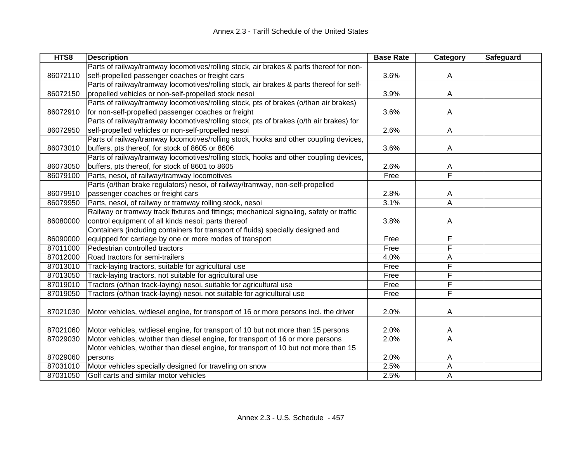| HTS8     | <b>Description</b>                                                                       | <b>Base Rate</b> | <b>Category</b> | <b>Safeguard</b> |
|----------|------------------------------------------------------------------------------------------|------------------|-----------------|------------------|
|          | Parts of railway/tramway locomotives/rolling stock, air brakes & parts thereof for non-  |                  |                 |                  |
| 86072110 | self-propelled passenger coaches or freight cars                                         | 3.6%             | A               |                  |
|          | Parts of railway/tramway locomotives/rolling stock, air brakes & parts thereof for self- |                  |                 |                  |
| 86072150 | propelled vehicles or non-self-propelled stock nesoi                                     | 3.9%             | A               |                  |
|          | Parts of railway/tramway locomotives/rolling stock, pts of brakes (o/than air brakes)    |                  |                 |                  |
| 86072910 | for non-self-propelled passenger coaches or freight                                      | 3.6%             | A               |                  |
|          | Parts of railway/tramway locomotives/rolling stock, pts of brakes (o/th air brakes) for  |                  |                 |                  |
| 86072950 | self-propelled vehicles or non-self-propelled nesoi                                      | 2.6%             | A               |                  |
|          | Parts of railway/tramway locomotives/rolling stock, hooks and other coupling devices,    |                  |                 |                  |
| 86073010 | buffers, pts thereof, for stock of 8605 or 8606                                          | 3.6%             | A               |                  |
|          | Parts of railway/tramway locomotives/rolling stock, hooks and other coupling devices,    |                  |                 |                  |
| 86073050 | buffers, pts thereof, for stock of 8601 to 8605                                          | 2.6%             | A               |                  |
| 86079100 | Parts, nesoi, of railway/tramway locomotives                                             | Free             | F               |                  |
|          | Parts (o/than brake regulators) nesoi, of railway/tramway, non-self-propelled            |                  |                 |                  |
| 86079910 | passenger coaches or freight cars                                                        | 2.8%             | A               |                  |
| 86079950 | Parts, nesoi, of railway or tramway rolling stock, nesoi                                 | 3.1%             | A               |                  |
|          | Railway or tramway track fixtures and fittings; mechanical signaling, safety or traffic  |                  |                 |                  |
| 86080000 | control equipment of all kinds nesoi; parts thereof                                      | 3.8%             | A               |                  |
|          | Containers (including containers for transport of fluids) specially designed and         |                  |                 |                  |
| 86090000 | equipped for carriage by one or more modes of transport                                  | Free             | F               |                  |
| 87011000 | Pedestrian controlled tractors                                                           | Free             | F               |                  |
| 87012000 | Road tractors for semi-trailers                                                          | 4.0%             | A               |                  |
| 87013010 | Track-laying tractors, suitable for agricultural use                                     | Free             | F               |                  |
| 87013050 | Track-laying tractors, not suitable for agricultural use                                 | Free             | F               |                  |
| 87019010 | Tractors (o/than track-laying) nesoi, suitable for agricultural use                      | Free             | F               |                  |
| 87019050 | Tractors (o/than track-laying) nesoi, not suitable for agricultural use                  | Free             | F               |                  |
|          |                                                                                          |                  |                 |                  |
| 87021030 | Motor vehicles, w/diesel engine, for transport of 16 or more persons incl. the driver    | 2.0%             | A               |                  |
|          |                                                                                          |                  |                 |                  |
| 87021060 | Motor vehicles, w/diesel engine, for transport of 10 but not more than 15 persons        | 2.0%             | A               |                  |
| 87029030 | Motor vehicles, w/other than diesel engine, for transport of 16 or more persons          | 2.0%             | A               |                  |
|          | Motor vehicles, w/other than diesel engine, for transport of 10 but not more than 15     |                  |                 |                  |
| 87029060 | persons                                                                                  | 2.0%             | A               |                  |
| 87031010 | Motor vehicles specially designed for traveling on snow                                  | 2.5%             | A               |                  |
| 87031050 | Golf carts and similar motor vehicles                                                    | 2.5%             | Α               |                  |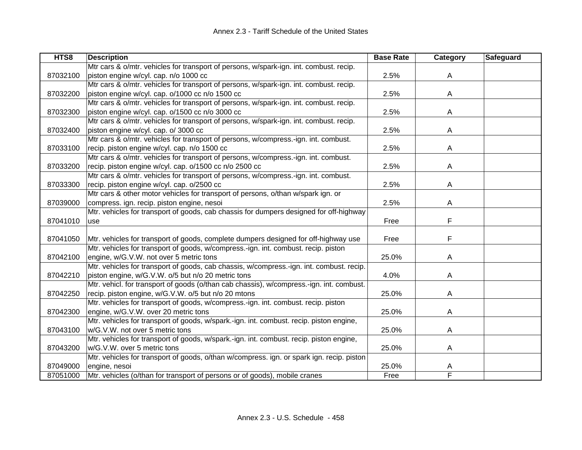| HTS8     | <b>Description</b>                                                                        | <b>Base Rate</b> | Category | <b>Safeguard</b> |
|----------|-------------------------------------------------------------------------------------------|------------------|----------|------------------|
|          | Mtr cars & o/mtr. vehicles for transport of persons, w/spark-ign. int. combust. recip.    |                  |          |                  |
| 87032100 | piston engine w/cyl. cap. n/o 1000 cc                                                     | 2.5%             | A        |                  |
|          | Mtr cars & o/mtr. vehicles for transport of persons, w/spark-ign. int. combust. recip.    |                  |          |                  |
| 87032200 | piston engine w/cyl. cap. o/1000 cc n/o 1500 cc                                           | 2.5%             | A        |                  |
|          | Mtr cars & o/mtr. vehicles for transport of persons, w/spark-ign. int. combust. recip.    |                  |          |                  |
| 87032300 | piston engine w/cyl. cap. o/1500 cc n/o 3000 cc                                           | 2.5%             | A        |                  |
|          | Mtr cars & o/mtr. vehicles for transport of persons, w/spark-ign. int. combust. recip.    |                  |          |                  |
| 87032400 | piston engine w/cyl. cap. o/ 3000 cc                                                      | 2.5%             | A        |                  |
|          | Mtr cars & o/mtr. vehicles for transport of persons, w/compress.-ign. int. combust.       |                  |          |                  |
| 87033100 | recip. piston engine w/cyl. cap. n/o 1500 cc                                              | 2.5%             | A        |                  |
|          | Mtr cars & o/mtr. vehicles for transport of persons, w/compress.-ign. int. combust.       |                  |          |                  |
| 87033200 | recip. piston engine w/cyl. cap. o/1500 cc n/o 2500 cc                                    | 2.5%             | A        |                  |
|          | Mtr cars & o/mtr. vehicles for transport of persons, w/compress.-ign. int. combust.       |                  |          |                  |
| 87033300 | recip. piston engine w/cyl. cap. o/2500 cc                                                | 2.5%             | Α        |                  |
|          | Mtr cars & other motor vehicles for transport of persons, o/than w/spark ign. or          |                  |          |                  |
| 87039000 | compress. ign. recip. piston engine, nesoi                                                | 2.5%             | A        |                  |
|          | Mtr. vehicles for transport of goods, cab chassis for dumpers designed for off-highway    |                  |          |                  |
| 87041010 | use                                                                                       | Free             | F        |                  |
|          |                                                                                           |                  |          |                  |
| 87041050 | Mtr. vehicles for transport of goods, complete dumpers designed for off-highway use       | Free             | F        |                  |
|          | Mtr. vehicles for transport of goods, w/compress.-ign. int. combust. recip. piston        |                  |          |                  |
| 87042100 | engine, w/G.V.W. not over 5 metric tons                                                   | 25.0%            | A        |                  |
|          | Mtr. vehicles for transport of goods, cab chassis, w/compress.-ign. int. combust. recip.  |                  |          |                  |
| 87042210 | piston engine, w/G.V.W. o/5 but n/o 20 metric tons                                        | 4.0%             | A        |                  |
|          | Mtr. vehicl. for transport of goods (o/than cab chassis), w/compress.-ign. int. combust.  |                  |          |                  |
| 87042250 | recip. piston engine, w/G.V.W. o/5 but n/o 20 mtons                                       | 25.0%            | Α        |                  |
|          | Mtr. vehicles for transport of goods, w/compress.-ign. int. combust. recip. piston        |                  |          |                  |
| 87042300 | engine, w/G.V.W. over 20 metric tons                                                      | 25.0%            | Α        |                  |
|          | Mtr. vehicles for transport of goods, w/spark.-ign. int. combust. recip. piston engine,   |                  |          |                  |
| 87043100 | w/G.V.W. not over 5 metric tons                                                           | 25.0%            | A        |                  |
|          | Mtr. vehicles for transport of goods, w/spark.-ign. int. combust. recip. piston engine,   |                  |          |                  |
| 87043200 | w/G.V.W. over 5 metric tons                                                               | 25.0%            | A        |                  |
|          | Mtr. vehicles for transport of goods, o/than w/compress. ign. or spark ign. recip. piston |                  |          |                  |
| 87049000 | engine, nesoi                                                                             | 25.0%            | A        |                  |
| 87051000 | Mtr. vehicles (o/than for transport of persons or of goods), mobile cranes                | Free             | F        |                  |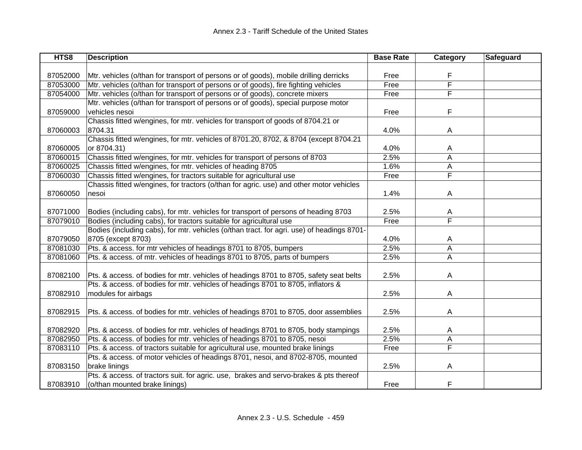| HTS8     | <b>Description</b>                                                                         | <b>Base Rate</b> | Category | Safeguard |
|----------|--------------------------------------------------------------------------------------------|------------------|----------|-----------|
|          |                                                                                            |                  |          |           |
| 87052000 | Mtr. vehicles (o/than for transport of persons or of goods), mobile drilling derricks      | Free             | F        |           |
| 87053000 | Mtr. vehicles (o/than for transport of persons or of goods), fire fighting vehicles        | Free             | F        |           |
| 87054000 | Mtr. vehicles (o/than for transport of persons or of goods), concrete mixers               | Free             | F        |           |
|          | Mtr. vehicles (o/than for transport of persons or of goods), special purpose motor         |                  |          |           |
| 87059000 | vehicles nesoi                                                                             | Free             | F        |           |
|          | Chassis fitted w/engines, for mtr. vehicles for transport of goods of 8704.21 or           |                  |          |           |
| 87060003 | 8704.31                                                                                    | 4.0%             | A        |           |
|          | Chassis fitted w/engines, for mtr. vehicles of 8701.20, 8702, & 8704 (except 8704.21       |                  |          |           |
| 87060005 | or 8704.31)                                                                                | 4.0%             | A        |           |
| 87060015 | Chassis fitted w/engines, for mtr. vehicles for transport of persons of 8703               | 2.5%             | A        |           |
| 87060025 | Chassis fitted w/engines, for mtr. vehicles of heading 8705                                | 1.6%             | А        |           |
| 87060030 | Chassis fitted w/engines, for tractors suitable for agricultural use                       | Free             | F        |           |
|          | Chassis fitted w/engines, for tractors (o/than for agric. use) and other motor vehicles    |                  |          |           |
| 87060050 | nesoi                                                                                      | 1.4%             | A        |           |
|          |                                                                                            |                  |          |           |
| 87071000 | Bodies (including cabs), for mtr. vehicles for transport of persons of heading 8703        | 2.5%             | A        |           |
| 87079010 | Bodies (including cabs), for tractors suitable for agricultural use                        | Free             | F        |           |
|          | Bodies (including cabs), for mtr. vehicles (o/than tract. for agri. use) of headings 8701- |                  |          |           |
| 87079050 | 8705 (except 8703)                                                                         | 4.0%             | A        |           |
| 87081030 | Pts. & access. for mtr vehicles of headings 8701 to 8705, bumpers                          | 2.5%             | A        |           |
| 87081060 | Pts. & access. of mtr. vehicles of headings 8701 to 8705, parts of bumpers                 | 2.5%             | A        |           |
|          |                                                                                            |                  |          |           |
| 87082100 | Pts. & access. of bodies for mtr. vehicles of headings 8701 to 8705, safety seat belts     | 2.5%             | A        |           |
|          | Pts. & access. of bodies for mtr. vehicles of headings 8701 to 8705, inflators &           |                  |          |           |
| 87082910 | modules for airbags                                                                        | 2.5%             | A        |           |
|          |                                                                                            |                  |          |           |
| 87082915 | Pts. & access. of bodies for mtr. vehicles of headings 8701 to 8705, door assemblies       | 2.5%             | A        |           |
|          |                                                                                            |                  |          |           |
| 87082920 | Pts. & access. of bodies for mtr. vehicles of headings 8701 to 8705, body stampings        | 2.5%             | A        |           |
| 87082950 | Pts. & access. of bodies for mtr. vehicles of headings 8701 to 8705, nesoi                 | 2.5%             | Α        |           |
| 87083110 | Pts. & access. of tractors suitable for agricultural use, mounted brake linings            | Free             | F        |           |
|          | Pts. & access. of motor vehicles of headings 8701, nesoi, and 8702-8705, mounted           |                  |          |           |
| 87083150 | brake linings                                                                              | 2.5%             | A        |           |
|          | Pts. & access. of tractors suit. for agric. use, brakes and servo-brakes & pts thereof     |                  |          |           |
| 87083910 | (o/than mounted brake linings)                                                             | Free             | F        |           |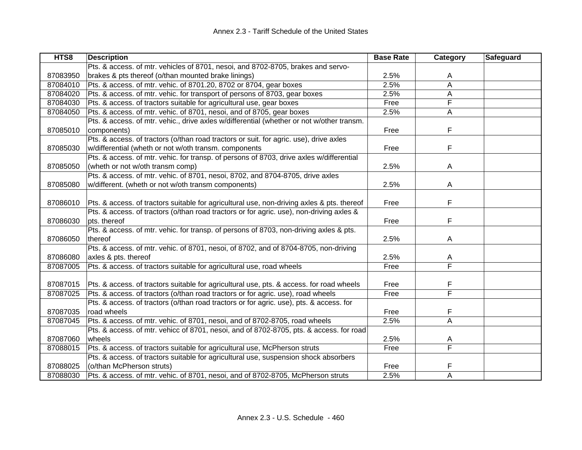| HTS8     | <b>Description</b>                                                                         | <b>Base Rate</b> | Category                | Safeguard |
|----------|--------------------------------------------------------------------------------------------|------------------|-------------------------|-----------|
|          | Pts. & access. of mtr. vehicles of 8701, nesoi, and 8702-8705, brakes and servo-           |                  |                         |           |
| 87083950 | brakes & pts thereof (o/than mounted brake linings)                                        | 2.5%             | A                       |           |
| 87084010 | Pts. & access. of mtr. vehic. of 8701.20, 8702 or 8704, gear boxes                         | 2.5%             | A                       |           |
| 87084020 | Pts. & access. of mtr. vehic. for transport of persons of 8703, gear boxes                 | 2.5%             | A                       |           |
| 87084030 | Pts. & access. of tractors suitable for agricultural use, gear boxes                       | Free             | F                       |           |
| 87084050 | Pts. & access. of mtr. vehic. of 8701, nesoi, and of 8705, gear boxes                      | 2.5%             | A                       |           |
|          | Pts. & access. of mtr. vehic., drive axles w/differential (whether or not w/other transm.  |                  |                         |           |
| 87085010 | components)                                                                                | Free             | F                       |           |
|          | Pts. & access. of tractors (o/than road tractors or suit. for agric. use), drive axles     |                  |                         |           |
| 87085030 | w/differential (wheth or not w/oth transm. components                                      | Free             | F                       |           |
|          | Pts. & access. of mtr. vehic. for transp. of persons of 8703, drive axles w/differential   |                  |                         |           |
| 87085050 | (wheth or not w/oth transm comp)                                                           | 2.5%             | A                       |           |
|          | Pts. & access. of mtr. vehic. of 8701, nesoi, 8702, and 8704-8705, drive axles             |                  |                         |           |
| 87085080 | w/different. (wheth or not w/oth transm components)                                        | 2.5%             | A                       |           |
|          |                                                                                            |                  |                         |           |
| 87086010 | Pts. & access. of tractors suitable for agricultural use, non-driving axles & pts. thereof | Free             | F                       |           |
|          | Pts. & access. of tractors (o/than road tractors or for agric. use), non-driving axles &   |                  |                         |           |
| 87086030 | pts. thereof                                                                               | Free             | F                       |           |
|          | Pts. & access. of mtr. vehic. for transp. of persons of 8703, non-driving axles & pts.     |                  |                         |           |
| 87086050 | thereof                                                                                    | 2.5%             | A                       |           |
|          | Pts. & access. of mtr. vehic. of 8701, nesoi, of 8702, and of 8704-8705, non-driving       |                  |                         |           |
| 87086080 | axles & pts. thereof                                                                       | 2.5%             | Α                       |           |
| 87087005 | Pts. & access. of tractors suitable for agricultural use, road wheels                      | Free             | $\overline{\mathsf{F}}$ |           |
|          |                                                                                            |                  |                         |           |
| 87087015 | Pts. & access. of tractors suitable for agricultural use, pts. & access. for road wheels   | Free             | F                       |           |
| 87087025 | Pts. & access. of tractors (o/than road tractors or for agric. use), road wheels           | Free             | F                       |           |
|          | Pts. & access. of tractors (o/than road tractors or for agric. use), pts. & access. for    |                  |                         |           |
| 87087035 | road wheels                                                                                | Free             | F                       |           |
| 87087045 | Pts. & access. of mtr. vehic. of 8701, nesoi, and of 8702-8705, road wheels                | 2.5%             | A                       |           |
|          | Pts. & access. of mtr. vehicc of 8701, nesoi, and of 8702-8705, pts. & access. for road    |                  |                         |           |
| 87087060 | wheels                                                                                     | 2.5%             | A                       |           |
| 87088015 | Pts. & access. of tractors suitable for agricultural use, McPherson struts                 | Free             | $\overline{\mathsf{F}}$ |           |
|          | Pts. & access. of tractors suitable for agricultural use, suspension shock absorbers       |                  |                         |           |
| 87088025 | (o/than McPherson struts)                                                                  | Free             | F                       |           |
| 87088030 | Pts. & access. of mtr. vehic. of 8701, nesoi, and of 8702-8705, McPherson struts           | 2.5%             | A                       |           |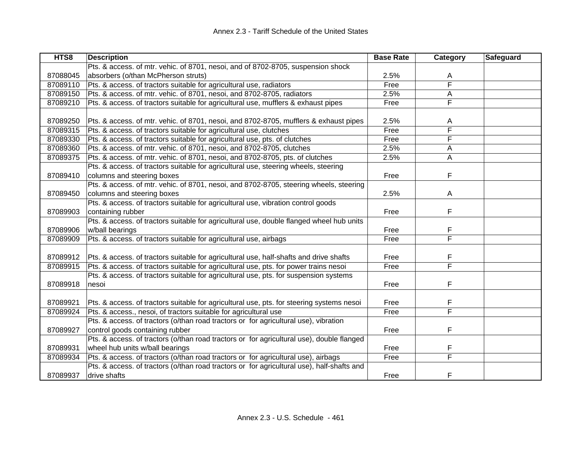| HTS8     | <b>Description</b>                                                                         | <b>Base Rate</b> | Category                | Safeguard |
|----------|--------------------------------------------------------------------------------------------|------------------|-------------------------|-----------|
|          | Pts. & access. of mtr. vehic. of 8701, nesoi, and of 8702-8705, suspension shock           |                  |                         |           |
| 87088045 | absorbers (o/than McPherson struts)                                                        | 2.5%             | A                       |           |
| 87089110 | Pts. & access. of tractors suitable for agricultural use, radiators                        | Free             | F                       |           |
| 87089150 | Pts. & access. of mtr. vehic. of 8701, nesoi, and 8702-8705, radiators                     | 2.5%             | A                       |           |
| 87089210 | Pts. & access. of tractors suitable for agricultural use, mufflers & exhaust pipes         | Free             | F                       |           |
|          |                                                                                            |                  |                         |           |
| 87089250 | Pts. & access. of mtr. vehic. of 8701, nesoi, and 8702-8705, mufflers & exhaust pipes      | 2.5%             | A                       |           |
| 87089315 | Pts. & access. of tractors suitable for agricultural use, clutches                         | Free             | F                       |           |
| 87089330 | Pts. & access. of tractors suitable for agricultural use, pts. of clutches                 | Free             | F                       |           |
| 87089360 | Pts. & access. of mtr. vehic. of 8701, nesoi, and 8702-8705, clutches                      | 2.5%             | A                       |           |
| 87089375 | Pts. & access. of mtr. vehic. of 8701, nesoi, and 8702-8705, pts. of clutches              | 2.5%             | A                       |           |
|          | Pts. & access. of tractors suitable for agricultural use, steering wheels, steering        |                  |                         |           |
| 87089410 | columns and steering boxes                                                                 | Free             | F                       |           |
|          | Pts. & access. of mtr. vehic. of 8701, nesoi, and 8702-8705, steering wheels, steering     |                  |                         |           |
| 87089450 | columns and steering boxes                                                                 | 2.5%             | A                       |           |
|          | Pts. & access. of tractors suitable for agricultural use, vibration control goods          |                  |                         |           |
| 87089903 | containing rubber                                                                          | Free             | F                       |           |
|          | Pts. & access. of tractors suitable for agricultural use, double flanged wheel hub units   |                  |                         |           |
| 87089906 | w/ball bearings                                                                            | Free             | F                       |           |
| 87089909 | Pts. & access. of tractors suitable for agricultural use, airbags                          | Free             | F                       |           |
|          |                                                                                            |                  |                         |           |
| 87089912 | Pts. & access. of tractors suitable for agricultural use, half-shafts and drive shafts     | Free             | F                       |           |
| 87089915 | Pts. & access. of tractors suitable for agricultural use, pts. for power trains nesoi      | Free             | $\overline{\mathsf{F}}$ |           |
|          | Pts. & access. of tractors suitable for agricultural use, pts. for suspension systems      |                  |                         |           |
| 87089918 | nesoi                                                                                      | Free             | F                       |           |
|          |                                                                                            |                  |                         |           |
| 87089921 | Pts. & access. of tractors suitable for agricultural use, pts. for steering systems nesoi  | Free             | F                       |           |
| 87089924 | Pts. & access., nesoi, of tractors suitable for agricultural use                           | Free             | $\overline{\mathsf{F}}$ |           |
|          | Pts. & access. of tractors (o/than road tractors or for agricultural use), vibration       |                  |                         |           |
| 87089927 | control goods containing rubber                                                            | Free             | F                       |           |
|          | Pts. & access. of tractors (o/than road tractors or for agricultural use), double flanged  |                  |                         |           |
| 87089931 | wheel hub units w/ball bearings                                                            | Free             | F                       |           |
| 87089934 | Pts. & access. of tractors (o/than road tractors or for agricultural use), airbags         | Free             | F                       |           |
|          | Pts. & access. of tractors (o/than road tractors or for agricultural use), half-shafts and |                  |                         |           |
| 87089937 | drive shafts                                                                               | Free             | F                       |           |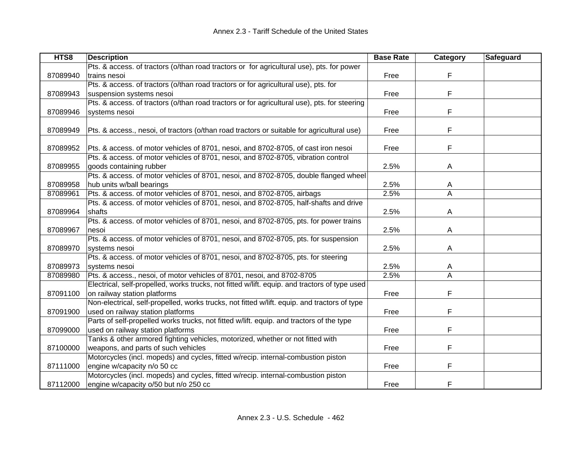| HTS8     | <b>Description</b>                                                                            | <b>Base Rate</b> | Category | Safeguard |
|----------|-----------------------------------------------------------------------------------------------|------------------|----------|-----------|
|          | Pts. & access. of tractors (o/than road tractors or for agricultural use), pts. for power     |                  |          |           |
| 87089940 | trains nesoi                                                                                  | Free             | F        |           |
|          | Pts. & access. of tractors (o/than road tractors or for agricultural use), pts. for           |                  |          |           |
| 87089943 | suspension systems nesoi                                                                      | Free             | F        |           |
|          | Pts. & access. of tractors (o/than road tractors or for agricultural use), pts. for steering  |                  |          |           |
| 87089946 | systems nesoi                                                                                 | Free             | F        |           |
|          |                                                                                               |                  |          |           |
| 87089949 | Pts. & access., nesoi, of tractors (o/than road tractors or suitable for agricultural use)    | Free             | F        |           |
|          |                                                                                               |                  |          |           |
| 87089952 | Pts. & access. of motor vehicles of 8701, nesoi, and 8702-8705, of cast iron nesoi            | Free             | F        |           |
|          | Pts. & access. of motor vehicles of 8701, nesoi, and 8702-8705, vibration control             |                  |          |           |
| 87089955 | goods containing rubber                                                                       | 2.5%             | A        |           |
|          | Pts. & access. of motor vehicles of 8701, nesoi, and 8702-8705, double flanged wheel          |                  |          |           |
| 87089958 | hub units w/ball bearings                                                                     | 2.5%             | A        |           |
| 87089961 | Pts. & access. of motor vehicles of 8701, nesoi, and 8702-8705, airbags                       | 2.5%             | A        |           |
|          | Pts. & access. of motor vehicles of 8701, nesoi, and 8702-8705, half-shafts and drive         |                  |          |           |
| 87089964 | shafts                                                                                        | 2.5%             | A        |           |
|          | Pts. & access. of motor vehicles of 8701, nesoi, and 8702-8705, pts. for power trains         |                  |          |           |
| 87089967 | nesoi                                                                                         | 2.5%             | Α        |           |
|          | Pts. & access. of motor vehicles of 8701, nesoi, and 8702-8705, pts. for suspension           |                  |          |           |
| 87089970 | systems nesoi                                                                                 | 2.5%             | A        |           |
|          | Pts. & access. of motor vehicles of 8701, nesoi, and 8702-8705, pts. for steering             |                  |          |           |
| 87089973 | systems nesoi                                                                                 | 2.5%             | A        |           |
| 87089980 | Pts. & access., nesoi, of motor vehicles of 8701, nesoi, and 8702-8705                        | 2.5%             | A        |           |
|          | Electrical, self-propelled, works trucks, not fitted w/lift. equip. and tractors of type used |                  |          |           |
| 87091100 | on railway station platforms                                                                  | Free             | F        |           |
|          | Non-electrical, self-propelled, works trucks, not fitted w/lift. equip. and tractors of type  |                  |          |           |
| 87091900 | used on railway station platforms                                                             | Free             | F        |           |
|          | Parts of self-propelled works trucks, not fitted w/lift. equip. and tractors of the type      |                  |          |           |
| 87099000 | used on railway station platforms                                                             | Free             | F        |           |
|          | Tanks & other armored fighting vehicles, motorized, whether or not fitted with                |                  |          |           |
| 87100000 | weapons, and parts of such vehicles                                                           | Free             | F        |           |
|          | Motorcycles (incl. mopeds) and cycles, fitted w/recip. internal-combustion piston             |                  |          |           |
| 87111000 | engine w/capacity n/o 50 cc                                                                   | Free             | F        |           |
|          | Motorcycles (incl. mopeds) and cycles, fitted w/recip. internal-combustion piston             |                  |          |           |
| 87112000 | engine w/capacity o/50 but n/o 250 cc                                                         | Free             | F        |           |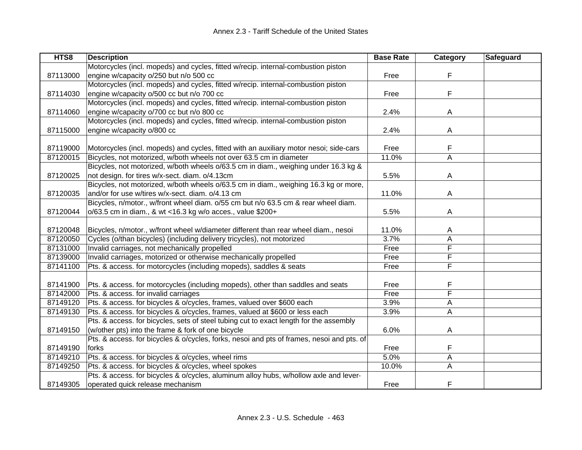| HTS8     | <b>Description</b>                                                                        | <b>Base Rate</b> | Category | Safeguard |
|----------|-------------------------------------------------------------------------------------------|------------------|----------|-----------|
|          | Motorcycles (incl. mopeds) and cycles, fitted w/recip. internal-combustion piston         |                  |          |           |
| 87113000 | engine w/capacity o/250 but n/o 500 cc                                                    | Free             | F        |           |
|          | Motorcycles (incl. mopeds) and cycles, fitted w/recip. internal-combustion piston         |                  |          |           |
| 87114030 | engine w/capacity o/500 cc but n/o 700 cc                                                 | Free             | F        |           |
|          | Motorcycles (incl. mopeds) and cycles, fitted w/recip. internal-combustion piston         |                  |          |           |
| 87114060 | engine w/capacity o/700 cc but n/o 800 cc                                                 | 2.4%             | A        |           |
|          | Motorcycles (incl. mopeds) and cycles, fitted w/recip. internal-combustion piston         |                  |          |           |
| 87115000 | engine w/capacity o/800 cc                                                                | 2.4%             | A        |           |
|          |                                                                                           |                  |          |           |
| 87119000 | Motorcycles (incl. mopeds) and cycles, fitted with an auxiliary motor nesoi; side-cars    | Free             | F        |           |
| 87120015 | Bicycles, not motorized, w/both wheels not over 63.5 cm in diameter                       | 11.0%            | A        |           |
|          | Bicycles, not motorized, w/both wheels o/63.5 cm in diam., weighing under 16.3 kg &       |                  |          |           |
| 87120025 | not design. for tires w/x-sect. diam. o/4.13cm                                            | 5.5%             | A        |           |
|          | Bicycles, not motorized, w/both wheels o/63.5 cm in diam., weighing 16.3 kg or more,      |                  |          |           |
| 87120035 | and/or for use w/tires w/x-sect. diam. o/4.13 cm                                          | 11.0%            | A        |           |
|          | Bicycles, n/motor., w/front wheel diam. o/55 cm but n/o 63.5 cm & rear wheel diam.        |                  |          |           |
| 87120044 | o/63.5 cm in diam., & wt <16.3 kg w/o acces., value \$200+                                | 5.5%             | A        |           |
|          |                                                                                           |                  |          |           |
| 87120048 | Bicycles, n/motor., w/front wheel w/diameter different than rear wheel diam., nesoi       | 11.0%            | A        |           |
| 87120050 | Cycles (o/than bicycles) (including delivery tricycles), not motorized                    | 3.7%             | A        |           |
| 87131000 | Invalid carriages, not mechanically propelled                                             | Free             | F        |           |
| 87139000 | Invalid carriages, motorized or otherwise mechanically propelled                          | Free             | F        |           |
| 87141100 | Pts. & access. for motorcycles (including mopeds), saddles & seats                        | Free             | F        |           |
|          |                                                                                           |                  |          |           |
| 87141900 | Pts. & access. for motorcycles (including mopeds), other than saddles and seats           | Free             | F        |           |
| 87142000 | Pts. & access. for invalid carriages                                                      | Free             | F        |           |
| 87149120 | Pts. & access. for bicycles & o/cycles, frames, valued over \$600 each                    | 3.9%             | Α        |           |
| 87149130 | Pts. & access. for bicycles & o/cycles, frames, valued at \$600 or less each              | 3.9%             | A        |           |
|          | Pts. & access. for bicycles, sets of steel tubing cut to exact length for the assembly    |                  |          |           |
| 87149150 | (w/other pts) into the frame & fork of one bicycle                                        | 6.0%             | A        |           |
|          | Pts. & access. for bicycles & o/cycles, forks, nesoi and pts of frames, nesoi and pts. of |                  |          |           |
| 87149190 | forks                                                                                     | Free             | F        |           |
| 87149210 | Pts. & access. for bicycles & o/cycles, wheel rims                                        | 5.0%             | A        |           |
| 87149250 | Pts. & access. for bicycles & o/cycles, wheel spokes                                      | 10.0%            | A        |           |
|          | Pts. & access. for bicycles & o/cycles, aluminum alloy hubs, w/hollow axle and lever-     |                  |          |           |
| 87149305 | operated quick release mechanism                                                          | Free             | F        |           |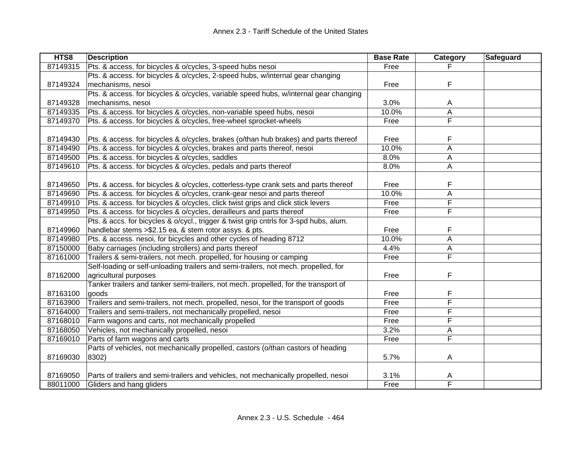| HTS8     | <b>Description</b>                                                                     | <b>Base Rate</b> | Category                | Safeguard |
|----------|----------------------------------------------------------------------------------------|------------------|-------------------------|-----------|
| 87149315 | Pts. & access. for bicycles & o/cycles, 3-speed hubs nesoi                             | Free             |                         |           |
|          | Pts. & access. for bicycles & o/cycles, 2-speed hubs, w/internal gear changing         |                  |                         |           |
| 87149324 | mechanisms, nesoi                                                                      | Free             | F                       |           |
|          | Pts. & access. for bicycles & o/cycles, variable speed hubs, w/internal gear changing  |                  |                         |           |
| 87149328 | mechanisms, nesoi                                                                      | 3.0%             | A                       |           |
| 87149335 | Pts. & access. for bicycles & o/cycles, non-variable speed hubs, nesoi                 | 10.0%            | А                       |           |
| 87149370 | Pts. & access. for bicycles & o/cycles, free-wheel sprocket-wheels                     | Free             | $\overline{\mathsf{F}}$ |           |
|          |                                                                                        |                  |                         |           |
| 87149430 | Pts. & access. for bicycles & o/cycles, brakes (o/than hub brakes) and parts thereof   | Free             | F                       |           |
| 87149490 | Pts. & access. for bicycles & o/cycles, brakes and parts thereof, nesoi                | 10.0%            | A                       |           |
| 87149500 | Pts. & access. for bicycles & o/cycles, saddles                                        | 8.0%             | А                       |           |
| 87149610 | Pts. & access. for bicycles & o/cycles, pedals and parts thereof                       | 8.0%             | A                       |           |
|          |                                                                                        |                  |                         |           |
| 87149650 | Pts. & access. for bicycles & o/cycles, cotterless-type crank sets and parts thereof   | Free             | F                       |           |
| 87149690 | Pts. & access. for bicycles & o/cycles, crank-gear nesoi and parts thereof             | 10.0%            | A                       |           |
| 87149910 | Pts. & access. for bicycles & o/cycles, click twist grips and click stick levers       | Free             | F                       |           |
| 87149950 | Pts. & access. for bicycles & o/cycles, derailleurs and parts thereof                  | Free             | $\overline{\mathsf{F}}$ |           |
|          | Pts. & accs. for bicycles & o/cycl., trigger & twist grip cntrls for 3-spd hubs, alum. |                  |                         |           |
| 87149960 | handlebar stems > \$2.15 ea, & stem rotor assys. & pts.                                | Free             | F                       |           |
| 87149980 | Pts. & access. nesoi, for bicycles and other cycles of heading 8712                    | 10.0%            | A                       |           |
| 87150000 | Baby carriages (including strollers) and parts thereof                                 | 4.4%             | Α                       |           |
| 87161000 | Trailers & semi-trailers, not mech. propelled, for housing or camping                  | Free             | $\overline{\mathsf{F}}$ |           |
|          | Self-loading or self-unloading trailers and semi-trailers, not mech. propelled, for    |                  |                         |           |
| 87162000 | agricultural purposes                                                                  | Free             | F                       |           |
|          | Tanker trailers and tanker semi-trailers, not mech. propelled, for the transport of    |                  |                         |           |
| 87163100 | goods                                                                                  | Free             | F                       |           |
| 87163900 | Trailers and semi-trailers, not mech. propelled, nesoi, for the transport of goods     | Free             | F                       |           |
| 87164000 | Trailers and semi-trailers, not mechanically propelled, nesoi                          | Free             | F                       |           |
| 87168010 | Farm wagons and carts, not mechanically propelled                                      | Free             | F                       |           |
| 87168050 | Vehicles, not mechanically propelled, nesoi                                            | 3.2%             | А                       |           |
| 87169010 | Parts of farm wagons and carts                                                         | Free             | $\overline{\mathsf{F}}$ |           |
|          | Parts of vehicles, not mechanically propelled, castors (o/than castors of heading      |                  |                         |           |
| 87169030 | 8302)                                                                                  | 5.7%             | A                       |           |
|          |                                                                                        |                  |                         |           |
| 87169050 | Parts of trailers and semi-trailers and vehicles, not mechanically propelled, nesoi    | 3.1%             | A                       |           |
| 88011000 | Gliders and hang gliders                                                               | Free             | F                       |           |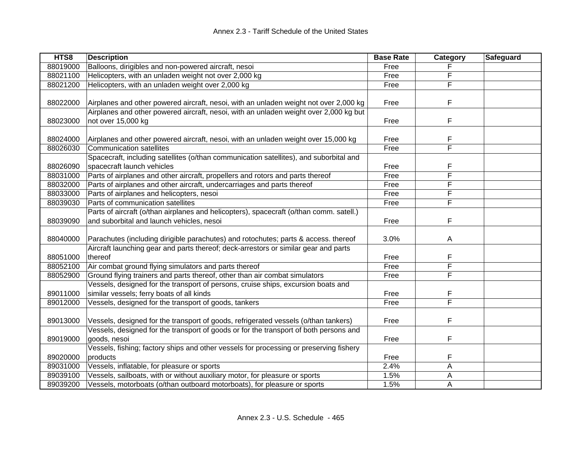| HTS8     | <b>Description</b>                                                                      | <b>Base Rate</b> | Category | Safeguard |
|----------|-----------------------------------------------------------------------------------------|------------------|----------|-----------|
| 88019000 | Balloons, dirigibles and non-powered aircraft, nesoi                                    | Free             |          |           |
| 88021100 | Helicopters, with an unladen weight not over 2,000 kg                                   | Free             | F        |           |
| 88021200 | Helicopters, with an unladen weight over 2,000 kg                                       | Free             | F        |           |
|          |                                                                                         |                  |          |           |
| 88022000 | Airplanes and other powered aircraft, nesoi, with an unladen weight not over 2,000 kg   | Free             | F        |           |
|          | Airplanes and other powered aircraft, nesoi, with an unladen weight over 2,000 kg but   |                  |          |           |
| 88023000 | not over 15,000 kg                                                                      | Free             | F        |           |
|          |                                                                                         |                  |          |           |
| 88024000 | Airplanes and other powered aircraft, nesoi, with an unladen weight over 15,000 kg      | Free             | F        |           |
| 88026030 | <b>Communication satellites</b>                                                         | Free             | F        |           |
|          | Spacecraft, including satellites (o/than communication satellites), and suborbital and  |                  |          |           |
| 88026090 | spacecraft launch vehicles                                                              | Free             | F        |           |
| 88031000 | Parts of airplanes and other aircraft, propellers and rotors and parts thereof          | Free             | F        |           |
| 88032000 | Parts of airplanes and other aircraft, undercarriages and parts thereof                 | Free             | F        |           |
| 88033000 | Parts of airplanes and helicopters, nesoi                                               | Free             | F        |           |
| 88039030 | Parts of communication satellites                                                       | Free             | F        |           |
|          | Parts of aircraft (o/than airplanes and helicopters), spacecraft (o/than comm. satell.) |                  |          |           |
| 88039090 | and suborbital and launch vehicles, nesoi                                               | Free             | F        |           |
|          |                                                                                         |                  |          |           |
| 88040000 | Parachutes (including dirigible parachutes) and rotochutes; parts & access. thereof     | 3.0%             | A        |           |
|          | Aircraft launching gear and parts thereof; deck-arrestors or similar gear and parts     |                  |          |           |
| 88051000 | thereof                                                                                 | Free             | F        |           |
| 88052100 | Air combat ground flying simulators and parts thereof                                   | Free             | F        |           |
| 88052900 | Ground flying trainers and parts thereof, other than air combat simulators              | Free             | F        |           |
|          | Vessels, designed for the transport of persons, cruise ships, excursion boats and       |                  |          |           |
| 89011000 | similar vessels; ferry boats of all kinds                                               | Free             | F        |           |
| 89012000 | Vessels, designed for the transport of goods, tankers                                   | Free             | F        |           |
|          |                                                                                         |                  |          |           |
| 89013000 | Vessels, designed for the transport of goods, refrigerated vessels (o/than tankers)     | Free             | F        |           |
|          | Vessels, designed for the transport of goods or for the transport of both persons and   |                  |          |           |
| 89019000 | goods, nesoi                                                                            | Free             | F        |           |
|          | Vessels, fishing; factory ships and other vessels for processing or preserving fishery  |                  |          |           |
| 89020000 | products                                                                                | Free             | F        |           |
| 89031000 | Vessels, inflatable, for pleasure or sports                                             | 2.4%             | Α        |           |
| 89039100 | Vessels, sailboats, with or without auxiliary motor, for pleasure or sports             | 1.5%             | A        |           |
| 89039200 | Vessels, motorboats (o/than outboard motorboats), for pleasure or sports                | 1.5%             | A        |           |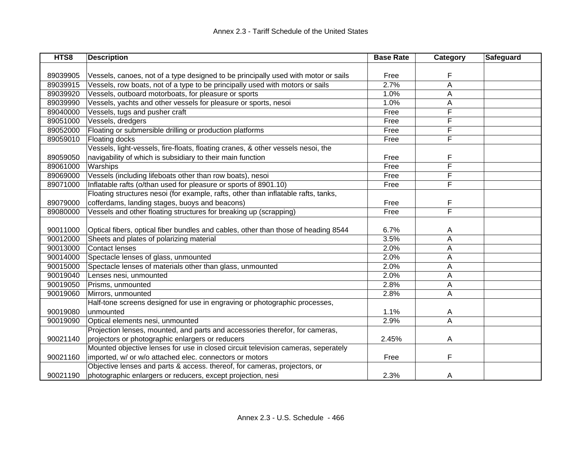| HTS8     | <b>Description</b>                                                                 | <b>Base Rate</b> | Category | <b>Safeguard</b> |
|----------|------------------------------------------------------------------------------------|------------------|----------|------------------|
|          |                                                                                    |                  |          |                  |
| 89039905 | Vessels, canoes, not of a type designed to be principally used with motor or sails | Free             | F        |                  |
| 89039915 | Vessels, row boats, not of a type to be principally used with motors or sails      | 2.7%             | A        |                  |
| 89039920 | Vessels, outboard motorboats, for pleasure or sports                               | 1.0%             | Α        |                  |
| 89039990 | Vessels, yachts and other vessels for pleasure or sports, nesoi                    | 1.0%             | Α        |                  |
| 89040000 | Vessels, tugs and pusher craft                                                     | Free             | F        |                  |
| 89051000 | Vessels, dredgers                                                                  | Free             | F        |                  |
| 89052000 | Floating or submersible drilling or production platforms                           | Free             | F        |                  |
| 89059010 | Floating docks                                                                     | Free             | F        |                  |
|          | Vessels, light-vessels, fire-floats, floating cranes, & other vessels nesoi, the   |                  |          |                  |
| 89059050 | navigability of which is subsidiary to their main function                         | Free             | F        |                  |
| 89061000 | Warships                                                                           | Free             | F        |                  |
| 89069000 | Vessels (including lifeboats other than row boats), nesoi                          | Free             | F        |                  |
| 89071000 | Inflatable rafts (o/than used for pleasure or sports of 8901.10)                   | Free             | F        |                  |
|          | Floating structures nesoi (for example, rafts, other than inflatable rafts, tanks, |                  |          |                  |
| 89079000 | cofferdams, landing stages, buoys and beacons)                                     | Free             | F        |                  |
| 89080000 | Vessels and other floating structures for breaking up (scrapping)                  | Free             | F        |                  |
|          |                                                                                    |                  |          |                  |
| 90011000 | Optical fibers, optical fiber bundles and cables, other than those of heading 8544 | 6.7%             | A        |                  |
| 90012000 | Sheets and plates of polarizing material                                           | 3.5%             | Α        |                  |
| 90013000 | <b>Contact lenses</b>                                                              | 2.0%             | Α        |                  |
| 90014000 | Spectacle lenses of glass, unmounted                                               | 2.0%             | Α        |                  |
| 90015000 | Spectacle lenses of materials other than glass, unmounted                          | 2.0%             | Α        |                  |
| 90019040 | Lenses nesi, unmounted                                                             | 2.0%             | A        |                  |
| 90019050 | Prisms, unmounted                                                                  | 2.8%             | A        |                  |
| 90019060 | Mirrors, unmounted                                                                 | 2.8%             | A        |                  |
|          | Half-tone screens designed for use in engraving or photographic processes,         |                  |          |                  |
| 90019080 | unmounted                                                                          | 1.1%             | A        |                  |
| 90019090 | Optical elements nesi, unmounted                                                   | 2.9%             | A        |                  |
|          | Projection lenses, mounted, and parts and accessories therefor, for cameras,       |                  |          |                  |
| 90021140 | projectors or photographic enlargers or reducers                                   | 2.45%            | A        |                  |
|          | Mounted objective lenses for use in closed circuit television cameras, seperately  |                  |          |                  |
| 90021160 | imported, w/ or w/o attached elec. connectors or motors                            | Free             | F        |                  |
|          | Objective lenses and parts & access. thereof, for cameras, projectors, or          |                  |          |                  |
| 90021190 | photographic enlargers or reducers, except projection, nesi                        | 2.3%             | A        |                  |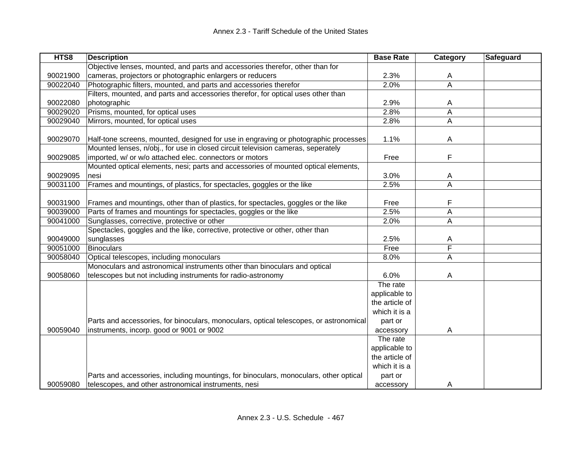| HTS8     | <b>Description</b>                                                                     | <b>Base Rate</b> | Category                | Safeguard |
|----------|----------------------------------------------------------------------------------------|------------------|-------------------------|-----------|
|          | Objective lenses, mounted, and parts and accessories therefor, other than for          |                  |                         |           |
| 90021900 | cameras, projectors or photographic enlargers or reducers                              | 2.3%             | A                       |           |
| 90022040 | Photographic filters, mounted, and parts and accessories therefor                      | 2.0%             | $\overline{\mathsf{A}}$ |           |
|          | Filters, mounted, and parts and accessories therefor, for optical uses other than      |                  |                         |           |
| 90022080 | photographic                                                                           | 2.9%             | A                       |           |
| 90029020 | Prisms, mounted, for optical uses                                                      | 2.8%             | A                       |           |
| 90029040 | Mirrors, mounted, for optical uses                                                     | 2.8%             | A                       |           |
|          |                                                                                        |                  |                         |           |
| 90029070 | Half-tone screens, mounted, designed for use in engraving or photographic processes    | 1.1%             | A                       |           |
|          | Mounted lenses, n/obj., for use in closed circuit television cameras, seperately       |                  |                         |           |
| 90029085 | imported, w/ or w/o attached elec. connectors or motors                                | Free             | F                       |           |
|          | Mounted optical elements, nesi; parts and accessories of mounted optical elements,     |                  |                         |           |
| 90029095 | nesi                                                                                   | 3.0%             | A                       |           |
| 90031100 | Frames and mountings, of plastics, for spectacles, goggles or the like                 | 2.5%             | A                       |           |
|          |                                                                                        |                  |                         |           |
| 90031900 | Frames and mountings, other than of plastics, for spectacles, goggles or the like      | Free             | F                       |           |
| 90039000 | Parts of frames and mountings for spectacles, goggles or the like                      | 2.5%             | A                       |           |
| 90041000 | Sunglasses, corrective, protective or other                                            | 2.0%             | A                       |           |
|          | Spectacles, goggles and the like, corrective, protective or other, other than          |                  |                         |           |
| 90049000 | sunglasses                                                                             | 2.5%             | A                       |           |
| 90051000 | <b>Binoculars</b>                                                                      | Free             | F                       |           |
| 90058040 | Optical telescopes, including monoculars                                               | 8.0%             | A                       |           |
|          | Monoculars and astronomical instruments other than binoculars and optical              |                  |                         |           |
| 90058060 | telescopes but not including instruments for radio-astronomy                           | 6.0%             | A                       |           |
|          |                                                                                        | The rate         |                         |           |
|          |                                                                                        | applicable to    |                         |           |
|          |                                                                                        | the article of   |                         |           |
|          |                                                                                        | which it is a    |                         |           |
|          | Parts and accessories, for binoculars, monoculars, optical telescopes, or astronomical | part or          |                         |           |
| 90059040 | instruments, incorp. good or 9001 or 9002                                              | accessory        | A                       |           |
|          |                                                                                        | The rate         |                         |           |
|          |                                                                                        | applicable to    |                         |           |
|          |                                                                                        | the article of   |                         |           |
|          |                                                                                        | which it is a    |                         |           |
|          | Parts and accessories, including mountings, for binoculars, monoculars, other optical  | part or          |                         |           |
| 90059080 | telescopes, and other astronomical instruments, nesi                                   | accessory        | A                       |           |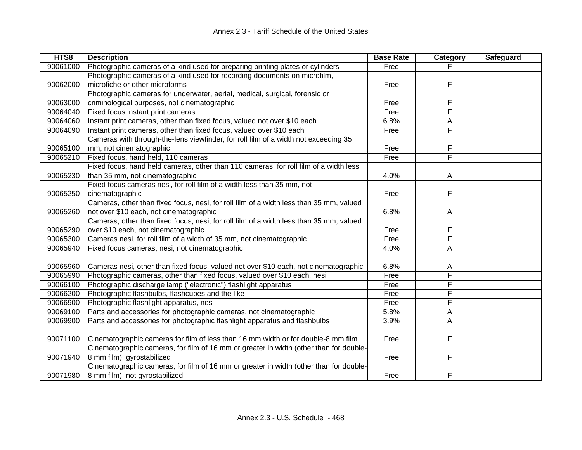| HTS8     | <b>Description</b>                                                                      | <b>Base Rate</b> | Category | <b>Safeguard</b> |
|----------|-----------------------------------------------------------------------------------------|------------------|----------|------------------|
| 90061000 | Photographic cameras of a kind used for preparing printing plates or cylinders          | Free             |          |                  |
|          | Photographic cameras of a kind used for recording documents on microfilm,               |                  |          |                  |
| 90062000 | microfiche or other microforms                                                          | Free             | F        |                  |
|          | Photographic cameras for underwater, aerial, medical, surgical, forensic or             |                  |          |                  |
| 90063000 | criminological purposes, not cinematographic                                            | Free             | F        |                  |
| 90064040 | Fixed focus instant print cameras                                                       | Free             | F        |                  |
| 90064060 | Instant print cameras, other than fixed focus, valued not over \$10 each                | 6.8%             | Α        |                  |
| 90064090 | Instant print cameras, other than fixed focus, valued over \$10 each                    | Free             | F        |                  |
|          | Cameras with through-the-lens viewfinder, for roll film of a width not exceeding 35     |                  |          |                  |
| 90065100 | mm, not cinematographic                                                                 | Free             | F        |                  |
| 90065210 | Fixed focus, hand held, 110 cameras                                                     | Free             | F        |                  |
|          | Fixed focus, hand held cameras, other than 110 cameras, for roll film of a width less   |                  |          |                  |
| 90065230 | than 35 mm, not cinematographic                                                         | 4.0%             | A        |                  |
|          | Fixed focus cameras nesi, for roll film of a width less than 35 mm, not                 |                  |          |                  |
| 90065250 | cinematographic                                                                         | Free             | F        |                  |
|          | Cameras, other than fixed focus, nesi, for roll film of a width less than 35 mm, valued |                  |          |                  |
| 90065260 | not over \$10 each, not cinematographic                                                 | 6.8%             | A        |                  |
|          | Cameras, other than fixed focus, nesi, for roll film of a width less than 35 mm, valued |                  |          |                  |
| 90065290 | over \$10 each, not cinematographic                                                     | Free             | F        |                  |
| 90065300 | Cameras nesi, for roll film of a width of 35 mm, not cinematographic                    | Free             | F        |                  |
| 90065940 | Fixed focus cameras, nesi, not cinematographic                                          | 4.0%             | Α        |                  |
|          |                                                                                         |                  |          |                  |
| 90065960 | Cameras nesi, other than fixed focus, valued not over \$10 each, not cinematographic    | 6.8%             | A        |                  |
| 90065990 | Photographic cameras, other than fixed focus, valued over \$10 each, nesi               | Free             | F        |                  |
| 90066100 | Photographic discharge lamp ("electronic") flashlight apparatus                         | Free             | F        |                  |
| 90066200 | Photographic flashbulbs, flashcubes and the like                                        | Free             | F        |                  |
| 90066900 | Photographic flashlight apparatus, nesi                                                 | Free             | F        |                  |
| 90069100 | Parts and accessories for photographic cameras, not cinematographic                     | 5.8%             | Α        |                  |
| 90069900 | Parts and accessories for photographic flashlight apparatus and flashbulbs              | 3.9%             | Α        |                  |
|          |                                                                                         |                  |          |                  |
| 90071100 | Cinematographic cameras for film of less than 16 mm width or for double-8 mm film       | Free             | F        |                  |
|          | Cinematographic cameras, for film of 16 mm or greater in width (other than for double-  |                  |          |                  |
| 90071940 | 8 mm film), gyrostabilized                                                              | Free             | F        |                  |
|          | Cinematographic cameras, for film of 16 mm or greater in width (other than for double-  |                  |          |                  |
| 90071980 | 8 mm film), not gyrostabilized                                                          | Free             | F        |                  |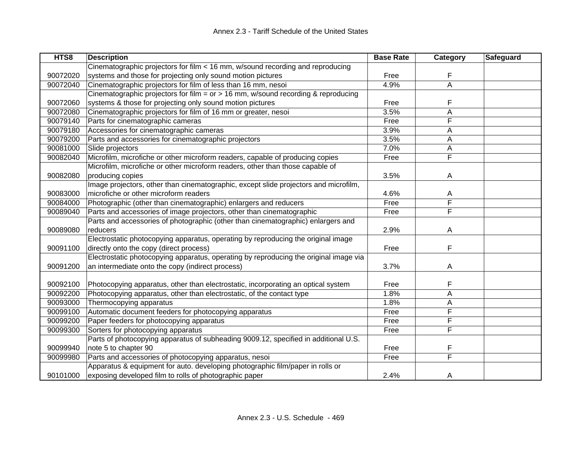| HTS8     | <b>Description</b>                                                                               | <b>Base Rate</b> | Category | <b>Safeguard</b> |
|----------|--------------------------------------------------------------------------------------------------|------------------|----------|------------------|
|          | Cinematographic projectors for film < 16 mm, w/sound recording and reproducing                   |                  |          |                  |
| 90072020 | systems and those for projecting only sound motion pictures                                      | Free             | F        |                  |
| 90072040 | Cinematographic projectors for film of less than 16 mm, nesoi                                    | 4.9%             | A        |                  |
|          | Cinematographic projectors for film = $or$ > $\overline{16}$ mm, w/sound recording & reproducing |                  |          |                  |
| 90072060 | systems & those for projecting only sound motion pictures                                        | Free             | F        |                  |
| 90072080 | Cinematographic projectors for film of 16 mm or greater, nesoi                                   | 3.5%             | A        |                  |
| 90079140 | Parts for cinematographic cameras                                                                | Free             | F        |                  |
| 90079180 | Accessories for cinematographic cameras                                                          | 3.9%             | A        |                  |
| 90079200 | Parts and accessories for cinematographic projectors                                             | 3.5%             | A        |                  |
| 90081000 | Slide projectors                                                                                 | 7.0%             | A        |                  |
| 90082040 | Microfilm, microfiche or other microform readers, capable of producing copies                    | Free             | F        |                  |
|          | Microfilm, microfiche or other microform readers, other than those capable of                    |                  |          |                  |
| 90082080 | producing copies                                                                                 | 3.5%             | Α        |                  |
|          | Image projectors, other than cinematographic, except slide projectors and microfilm,             |                  |          |                  |
| 90083000 | microfiche or other microform readers                                                            | 4.6%             | A        |                  |
| 90084000 | Photographic (other than cinematographic) enlargers and reducers                                 | Free             | F        |                  |
| 90089040 | Parts and accessories of image projectors, other than cinematographic                            | Free             | F        |                  |
|          | Parts and accessories of photographic (other than cinematographic) enlargers and                 |                  |          |                  |
| 90089080 | reducers                                                                                         | 2.9%             | Α        |                  |
|          | Electrostatic photocopying apparatus, operating by reproducing the original image                |                  |          |                  |
| 90091100 | directly onto the copy (direct process)                                                          | Free             | F        |                  |
|          | Electrostatic photocopying apparatus, operating by reproducing the original image via            |                  |          |                  |
| 90091200 | an intermediate onto the copy (indirect process)                                                 | 3.7%             | A        |                  |
|          |                                                                                                  |                  |          |                  |
| 90092100 | Photocopying apparatus, other than electrostatic, incorporating an optical system                | Free             | F        |                  |
| 90092200 | Photocopying apparatus, other than electrostatic, of the contact type                            | 1.8%             | Α        |                  |
| 90093000 | Thermocopying apparatus                                                                          | 1.8%             | Α        |                  |
| 90099100 | Automatic document feeders for photocopying apparatus                                            | Free             | F        |                  |
| 90099200 | Paper feeders for photocopying apparatus                                                         | Free             | F        |                  |
| 90099300 | Sorters for photocopying apparatus                                                               | Free             | F        |                  |
|          | Parts of photocopying apparatus of subheading 9009.12, specified in additional U.S.              |                  |          |                  |
| 90099940 | note 5 to chapter 90                                                                             | Free             | F        |                  |
| 90099980 | Parts and accessories of photocopying apparatus, nesoi                                           | Free             | F        |                  |
|          | Apparatus & equipment for auto. developing photographic film/paper in rolls or                   |                  |          |                  |
| 90101000 | exposing developed film to rolls of photographic paper                                           | 2.4%             | A        |                  |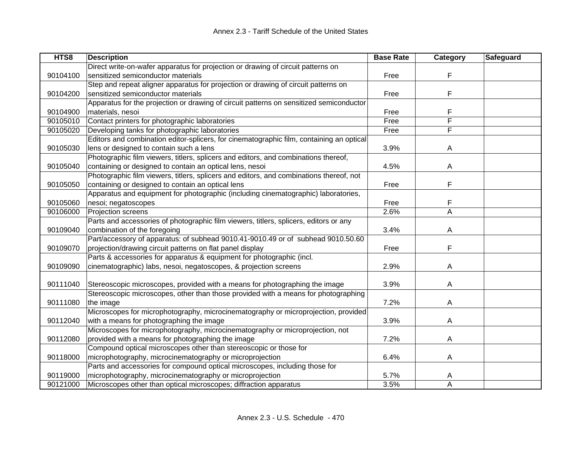| HTS8     | <b>Description</b>                                                                       | <b>Base Rate</b> | Category | Safeguard |
|----------|------------------------------------------------------------------------------------------|------------------|----------|-----------|
|          | Direct write-on-wafer apparatus for projection or drawing of circuit patterns on         |                  |          |           |
| 90104100 | sensitized semiconductor materials                                                       | Free             | F        |           |
|          | Step and repeat aligner apparatus for projection or drawing of circuit patterns on       |                  |          |           |
| 90104200 | sensitized semiconductor materials                                                       | Free             | F        |           |
|          | Apparatus for the projection or drawing of circuit patterns on sensitized semiconductor  |                  |          |           |
| 90104900 | materials, nesoi                                                                         | Free             | F        |           |
| 90105010 | Contact printers for photographic laboratories                                           | Free             | F        |           |
| 90105020 | Developing tanks for photographic laboratories                                           | Free             | F        |           |
|          | Editors and combination editor-splicers, for cinematographic film, containing an optical |                  |          |           |
| 90105030 | lens or designed to contain such a lens                                                  | 3.9%             | A        |           |
|          | Photographic film viewers, titlers, splicers and editors, and combinations thereof,      |                  |          |           |
| 90105040 | containing or designed to contain an optical lens, nesoi                                 | 4.5%             | Α        |           |
|          | Photographic film viewers, titlers, splicers and editors, and combinations thereof, not  |                  |          |           |
| 90105050 | containing or designed to contain an optical lens                                        | Free             | F        |           |
|          | Apparatus and equipment for photographic (including cinematographic) laboratories,       |                  |          |           |
| 90105060 | nesoi; negatoscopes                                                                      | Free             | F        |           |
| 90106000 | Projection screens                                                                       | 2.6%             | A        |           |
|          | Parts and accessories of photographic film viewers, titlers, splicers, editors or any    |                  |          |           |
| 90109040 | combination of the foregoing                                                             | 3.4%             | A        |           |
|          | Part/accessory of apparatus: of subhead 9010.41-9010.49 or of subhead 9010.50.60         |                  |          |           |
| 90109070 | projection/drawing circuit patterns on flat panel display                                | Free             | F        |           |
|          | Parts & accessories for apparatus & equipment for photographic (incl.                    |                  |          |           |
| 90109090 | cinematographic) labs, nesoi, negatoscopes, & projection screens                         | 2.9%             | A        |           |
|          |                                                                                          |                  |          |           |
| 90111040 | Stereoscopic microscopes, provided with a means for photographing the image              | 3.9%             | Α        |           |
|          | Stereoscopic microscopes, other than those provided with a means for photographing       |                  |          |           |
| 90111080 | the image                                                                                | 7.2%             | A        |           |
|          | Microscopes for microphotography, microcinematography or microprojection, provided       |                  |          |           |
| 90112040 | with a means for photographing the image                                                 | 3.9%             | A        |           |
|          | Microscopes for microphotography, microcinematography or microprojection, not            |                  |          |           |
| 90112080 | provided with a means for photographing the image                                        | 7.2%             | Α        |           |
|          | Compound optical microscopes other than stereoscopic or those for                        |                  |          |           |
| 90118000 | microphotography, microcinematography or microprojection                                 | 6.4%             | Α        |           |
|          | Parts and accessories for compound optical microscopes, including those for              |                  |          |           |
| 90119000 | microphotography, microcinematography or microprojection                                 | 5.7%             | A        |           |
| 90121000 | Microscopes other than optical microscopes; diffraction apparatus                        | 3.5%             | A        |           |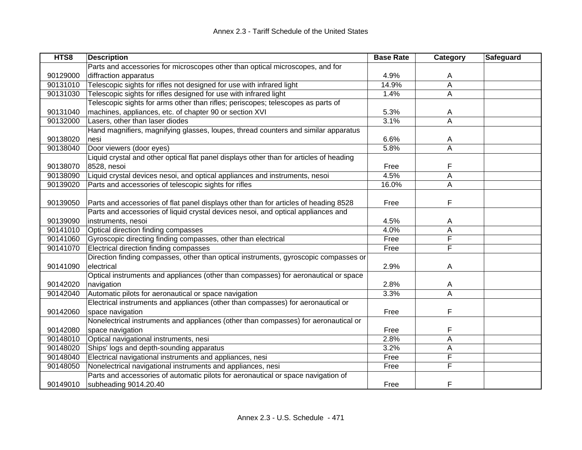| HTS8     | <b>Description</b>                                                                      | <b>Base Rate</b> | Category    | Safeguard |
|----------|-----------------------------------------------------------------------------------------|------------------|-------------|-----------|
|          | Parts and accessories for microscopes other than optical microscopes, and for           |                  |             |           |
| 90129000 | diffraction apparatus                                                                   | 4.9%             | A           |           |
| 90131010 | Telescopic sights for rifles not designed for use with infrared light                   | 14.9%            | $\mathsf A$ |           |
| 90131030 | Telescopic sights for rifles designed for use with infrared light                       | 1.4%             | A           |           |
|          | Telescopic sights for arms other than rifles; periscopes; telescopes as parts of        |                  |             |           |
| 90131040 | machines, appliances, etc. of chapter 90 or section XVI                                 | 5.3%             | A           |           |
| 90132000 | Lasers, other than laser diodes                                                         | 3.1%             | Α           |           |
|          | Hand magnifiers, magnifying glasses, loupes, thread counters and similar apparatus      |                  |             |           |
| 90138020 | nesi                                                                                    | 6.6%             | A           |           |
| 90138040 | Door viewers (door eyes)                                                                | 5.8%             | A           |           |
|          | Liquid crystal and other optical flat panel displays other than for articles of heading |                  |             |           |
| 90138070 | 8528, nesoi                                                                             | Free             | F           |           |
| 90138090 | Liquid crystal devices nesoi, and optical appliances and instruments, nesoi             | 4.5%             | A           |           |
| 90139020 | Parts and accessories of telescopic sights for rifles                                   | 16.0%            | A           |           |
|          |                                                                                         |                  |             |           |
| 90139050 | Parts and accessories of flat panel displays other than for articles of heading 8528    | Free             | F           |           |
|          | Parts and accessories of liquid crystal devices nesoi, and optical appliances and       |                  |             |           |
| 90139090 | instruments, nesoi                                                                      | 4.5%             | A           |           |
| 90141010 | Optical direction finding compasses                                                     | 4.0%             | A           |           |
| 90141060 | Gyroscopic directing finding compasses, other than electrical                           | Free             | F           |           |
| 90141070 | Electrical direction finding compasses                                                  | Free             | F           |           |
|          | Direction finding compasses, other than optical instruments, gyroscopic compasses or    |                  |             |           |
| 90141090 | electrical                                                                              | 2.9%             | A           |           |
|          | Optical instruments and appliances (other than compasses) for aeronautical or space     |                  |             |           |
| 90142020 | navigation                                                                              | 2.8%             | A           |           |
| 90142040 | Automatic pilots for aeronautical or space navigation                                   | 3.3%             | A           |           |
|          | Electrical instruments and appliances (other than compasses) for aeronautical or        |                  |             |           |
| 90142060 | space navigation                                                                        | Free             | F           |           |
|          | Nonelectrical instruments and appliances (other than compasses) for aeronautical or     |                  |             |           |
| 90142080 | space navigation                                                                        | Free             | F           |           |
| 90148010 | Optical navigational instruments, nesi                                                  | 2.8%             | A           |           |
| 90148020 | Ships' logs and depth-sounding apparatus                                                | 3.2%             | A           |           |
| 90148040 | Electrical navigational instruments and appliances, nesi                                | Free             | F           |           |
| 90148050 | Nonelectrical navigational instruments and appliances, nesi                             | Free             | F           |           |
|          | Parts and accessories of automatic pilots for aeronautical or space navigation of       |                  |             |           |
| 90149010 | subheading 9014.20.40                                                                   | Free             | F           |           |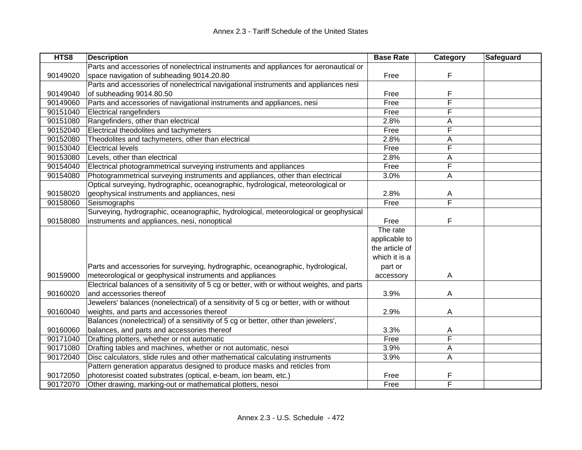| HTS8     | <b>Description</b>                                                                         | <b>Base Rate</b> | Category | Safeguard |
|----------|--------------------------------------------------------------------------------------------|------------------|----------|-----------|
|          | Parts and accessories of nonelectrical instruments and appliances for aeronautical or      |                  |          |           |
| 90149020 | space navigation of subheading 9014.20.80                                                  | Free             | F        |           |
|          | Parts and accessories of nonelectrical navigational instruments and appliances nesi        |                  |          |           |
| 90149040 | of subheading 9014.80.50                                                                   | Free             | F        |           |
| 90149060 | Parts and accessories of navigational instruments and appliances, nesi                     | Free             | F        |           |
| 90151040 | <b>Electrical rangefinders</b>                                                             | Free             | F        |           |
| 90151080 | Rangefinders, other than electrical                                                        | 2.8%             | Α        |           |
| 90152040 | Electrical theodolites and tachymeters                                                     | Free             | F        |           |
| 90152080 | Theodolites and tachymeters, other than electrical                                         | 2.8%             | А        |           |
| 90153040 | <b>Electrical levels</b>                                                                   | Free             | F        |           |
| 90153080 | Levels, other than electrical                                                              | 2.8%             | A        |           |
| 90154040 | Electrical photogrammetrical surveying instruments and appliances                          | Free             | F        |           |
| 90154080 | Photogrammetrical surveying instruments and appliances, other than electrical              | 3.0%             | A        |           |
|          | Optical surveying, hydrographic, oceanographic, hydrological, meteorological or            |                  |          |           |
| 90158020 | geophysical instruments and appliances, nesi                                               | 2.8%             | A        |           |
| 90158060 | Seismographs                                                                               | Free             | F        |           |
|          | Surveying, hydrographic, oceanographic, hydrological, meteorological or geophysical        |                  |          |           |
| 90158080 | instruments and appliances, nesi, nonoptical                                               | Free             | F        |           |
|          |                                                                                            | The rate         |          |           |
|          |                                                                                            | applicable to    |          |           |
|          |                                                                                            | the article of   |          |           |
|          |                                                                                            | which it is a    |          |           |
|          | Parts and accessories for surveying, hydrographic, oceanographic, hydrological,            | part or          |          |           |
| 90159000 | meteorological or geophysical instruments and appliances                                   | accessory        | Α        |           |
|          | Electrical balances of a sensitivity of 5 cg or better, with or without weights, and parts |                  |          |           |
| 90160020 | and accessories thereof                                                                    | 3.9%             | A        |           |
|          | Jewelers' balances (nonelectrical) of a sensitivity of 5 cg or better, with or without     |                  |          |           |
| 90160040 | weights, and parts and accessories thereof                                                 | 2.9%             | A        |           |
|          | Balances (nonelectrical) of a sensitivity of 5 cg or better, other than jewelers',         |                  |          |           |
| 90160060 | balances, and parts and accessories thereof                                                | 3.3%             | A        |           |
| 90171040 | Drafting plotters, whether or not automatic                                                | Free             | F        |           |
| 90171080 | Drafting tables and machines, whether or not automatic, nesoi                              | 3.9%             | Α        |           |
| 90172040 | Disc calculators, slide rules and other mathematical calculating instruments               | 3.9%             | A        |           |
|          | Pattern generation apparatus designed to produce masks and reticles from                   |                  |          |           |
| 90172050 | photoresist coated substrates (optical, e-beam, ion beam, etc.)                            | Free             | F        |           |
| 90172070 | Other drawing, marking-out or mathematical plotters, nesoi                                 | Free             | F        |           |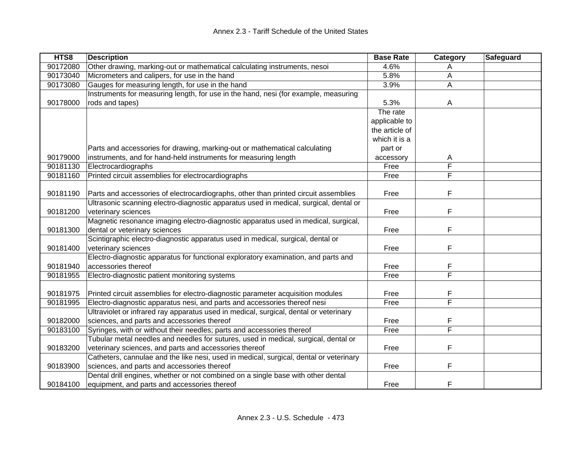| HTS8     | <b>Description</b>                                                                     | <b>Base Rate</b> | Category | Safeguard |
|----------|----------------------------------------------------------------------------------------|------------------|----------|-----------|
| 90172080 | Other drawing, marking-out or mathematical calculating instruments, nesoi              | 4.6%             | Α        |           |
| 90173040 | Micrometers and calipers, for use in the hand                                          | 5.8%             | Α        |           |
| 90173080 | Gauges for measuring length, for use in the hand                                       | 3.9%             | A        |           |
|          | Instruments for measuring length, for use in the hand, nesi (for example, measuring    |                  |          |           |
| 90178000 | rods and tapes)                                                                        | 5.3%             | A        |           |
|          |                                                                                        | The rate         |          |           |
|          |                                                                                        | applicable to    |          |           |
|          |                                                                                        | the article of   |          |           |
|          |                                                                                        | which it is a    |          |           |
|          | Parts and accessories for drawing, marking-out or mathematical calculating             | part or          |          |           |
| 90179000 | instruments, and for hand-held instruments for measuring length                        | accessory        | A        |           |
| 90181130 | Electrocardiographs                                                                    | Free             | F        |           |
| 90181160 | Printed circuit assemblies for electrocardiographs                                     | Free             | F        |           |
|          |                                                                                        |                  |          |           |
| 90181190 | Parts and accessories of electrocardiographs, other than printed circuit assemblies    | Free             | F        |           |
|          | Ultrasonic scanning electro-diagnostic apparatus used in medical, surgical, dental or  |                  |          |           |
| 90181200 | veterinary sciences                                                                    | Free             | F        |           |
|          | Magnetic resonance imaging electro-diagnostic apparatus used in medical, surgical,     |                  |          |           |
| 90181300 | dental or veterinary sciences                                                          | Free             | F        |           |
|          | Scintigraphic electro-diagnostic apparatus used in medical, surgical, dental or        |                  |          |           |
| 90181400 | veterinary sciences                                                                    | Free             | F        |           |
|          | Electro-diagnostic apparatus for functional exploratory examination, and parts and     |                  |          |           |
| 90181940 | accessories thereof                                                                    | Free             | F        |           |
| 90181955 | Electro-diagnostic patient monitoring systems                                          | Free             | F        |           |
|          |                                                                                        |                  |          |           |
| 90181975 | Printed circuit assemblies for electro-diagnostic parameter acquisition modules        | Free             | F        |           |
| 90181995 | Electro-diagnostic apparatus nesi, and parts and accessories thereof nesi              | Free             | F        |           |
|          | Ultraviolet or infrared ray apparatus used in medical, surgical, dental or veterinary  |                  |          |           |
| 90182000 | sciences, and parts and accessories thereof                                            | Free             | F        |           |
| 90183100 | Syringes, with or without their needles; parts and accessories thereof                 | Free             | F        |           |
|          | Tubular metal needles and needles for sutures, used in medical, surgical, dental or    |                  |          |           |
| 90183200 | veterinary sciences, and parts and accessories thereof                                 | Free             | F        |           |
|          | Catheters, cannulae and the like nesi, used in medical, surgical, dental or veterinary |                  |          |           |
| 90183900 | sciences, and parts and accessories thereof                                            | Free             | F        |           |
|          | Dental drill engines, whether or not combined on a single base with other dental       |                  |          |           |
| 90184100 | equipment, and parts and accessories thereof                                           | Free             | F        |           |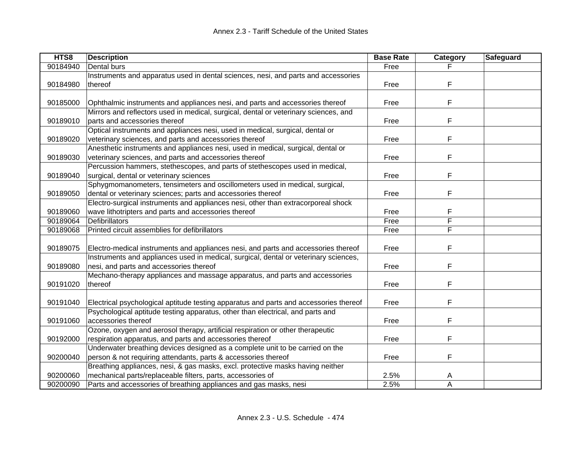| HTS8     | <b>Description</b>                                                                    | <b>Base Rate</b> | Category | <b>Safeguard</b> |
|----------|---------------------------------------------------------------------------------------|------------------|----------|------------------|
| 90184940 | Dental burs                                                                           | Free             |          |                  |
|          | Instruments and apparatus used in dental sciences, nesi, and parts and accessories    |                  |          |                  |
| 90184980 | thereof                                                                               | Free             | F        |                  |
|          |                                                                                       |                  |          |                  |
| 90185000 | Ophthalmic instruments and appliances nesi, and parts and accessories thereof         | Free             | F        |                  |
|          | Mirrors and reflectors used in medical, surgical, dental or veterinary sciences, and  |                  |          |                  |
| 90189010 | parts and accessories thereof                                                         | Free             | F        |                  |
|          | Optical instruments and appliances nesi, used in medical, surgical, dental or         |                  |          |                  |
| 90189020 | veterinary sciences, and parts and accessories thereof                                | Free             | F        |                  |
|          | Anesthetic instruments and appliances nesi, used in medical, surgical, dental or      |                  |          |                  |
| 90189030 | veterinary sciences, and parts and accessories thereof                                | Free             | F        |                  |
|          | Percussion hammers, stethescopes, and parts of stethescopes used in medical,          |                  |          |                  |
| 90189040 | surgical, dental or veterinary sciences                                               | Free             | F        |                  |
|          | Sphygmomanometers, tensimeters and oscillometers used in medical, surgical,           |                  |          |                  |
| 90189050 | dental or veterinary sciences; parts and accessories thereof                          | Free             | F        |                  |
|          | Electro-surgical instruments and appliances nesi, other than extracorporeal shock     |                  |          |                  |
| 90189060 | wave lithotripters and parts and accessories thereof                                  | Free             | F        |                  |
| 90189064 | Defibrillators                                                                        | Free             | F        |                  |
| 90189068 | Printed circuit assemblies for defibrillators                                         | Free             | F        |                  |
|          |                                                                                       |                  |          |                  |
| 90189075 | Electro-medical instruments and appliances nesi, and parts and accessories thereof    | Free             | F        |                  |
|          | Instruments and appliances used in medical, surgical, dental or veterinary sciences,  |                  |          |                  |
| 90189080 | nesi, and parts and accessories thereof                                               | Free             | F        |                  |
|          | Mechano-therapy appliances and massage apparatus, and parts and accessories           |                  |          |                  |
| 90191020 | thereof                                                                               | Free             | F        |                  |
|          |                                                                                       |                  |          |                  |
| 90191040 | Electrical psychological aptitude testing apparatus and parts and accessories thereof | Free             | F        |                  |
|          | Psychological aptitude testing apparatus, other than electrical, and parts and        |                  |          |                  |
| 90191060 | accessories thereof                                                                   | Free             | F        |                  |
|          | Ozone, oxygen and aerosol therapy, artificial respiration or other therapeutic        |                  |          |                  |
| 90192000 | respiration apparatus, and parts and accessories thereof                              | Free             | F        |                  |
|          | Underwater breathing devices designed as a complete unit to be carried on the         |                  |          |                  |
| 90200040 | person & not requiring attendants, parts & accessories thereof                        | Free             | F        |                  |
|          | Breathing appliances, nesi, & gas masks, excl. protective masks having neither        |                  |          |                  |
| 90200060 | mechanical parts/replaceable filters, parts, accessories of                           | 2.5%             | A        |                  |
| 90200090 | Parts and accessories of breathing appliances and gas masks, nesi                     | 2.5%             | A        |                  |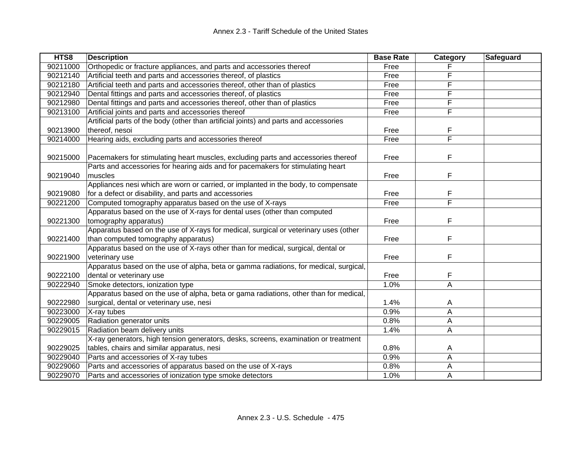| HTS8     | <b>Description</b>                                                                    | <b>Base Rate</b> | Category                | Safeguard |
|----------|---------------------------------------------------------------------------------------|------------------|-------------------------|-----------|
| 90211000 | Orthopedic or fracture appliances, and parts and accessories thereof                  | Free             |                         |           |
| 90212140 | Artificial teeth and parts and accessories thereof, of plastics                       | Free             | F                       |           |
| 90212180 | Artificial teeth and parts and accessories thereof, other than of plastics            | Free             | F                       |           |
| 90212940 | Dental fittings and parts and accessories thereof, of plastics                        | Free             | F                       |           |
| 90212980 | Dental fittings and parts and accessories thereof, other than of plastics             | Free             | F                       |           |
| 90213100 | Artificial joints and parts and accessories thereof                                   | Free             | F                       |           |
|          | Artificial parts of the body (other than artificial joints) and parts and accessories |                  |                         |           |
| 90213900 | thereof, nesoi                                                                        | Free             | F                       |           |
| 90214000 | Hearing aids, excluding parts and accessories thereof                                 | Free             | $\overline{\mathsf{F}}$ |           |
|          |                                                                                       |                  |                         |           |
| 90215000 | Pacemakers for stimulating heart muscles, excluding parts and accessories thereof     | Free             | F                       |           |
|          | Parts and accessories for hearing aids and for pacemakers for stimulating heart       |                  |                         |           |
| 90219040 | muscles                                                                               | Free             | F                       |           |
|          | Appliances nesi which are worn or carried, or implanted in the body, to compensate    |                  |                         |           |
| 90219080 | for a defect or disability, and parts and accessories                                 | Free             | F                       |           |
| 90221200 | Computed tomography apparatus based on the use of X-rays                              | Free             | F                       |           |
|          | Apparatus based on the use of X-rays for dental uses (other than computed             |                  |                         |           |
| 90221300 | tomography apparatus)                                                                 | Free             | F                       |           |
|          | Apparatus based on the use of X-rays for medical, surgical or veterinary uses (other  |                  |                         |           |
| 90221400 | than computed tomography apparatus)                                                   | Free             | F                       |           |
|          | Apparatus based on the use of X-rays other than for medical, surgical, dental or      |                  |                         |           |
| 90221900 | veterinary use                                                                        | Free             | F                       |           |
|          | Apparatus based on the use of alpha, beta or gamma radiations, for medical, surgical, |                  |                         |           |
| 90222100 | dental or veterinary use                                                              | Free             | F                       |           |
| 90222940 | Smoke detectors, ionization type                                                      | 1.0%             | A                       |           |
|          | Apparatus based on the use of alpha, beta or gama radiations, other than for medical, |                  |                         |           |
| 90222980 | surgical, dental or veterinary use, nesi                                              | 1.4%             | A                       |           |
| 90223000 | X-ray tubes                                                                           | 0.9%             | A                       |           |
| 90229005 | Radiation generator units                                                             | 0.8%             | Α                       |           |
| 90229015 | Radiation beam delivery units                                                         | 1.4%             | A                       |           |
|          | X-ray generators, high tension generators, desks, screens, examination or treatment   |                  |                         |           |
| 90229025 | tables, chairs and similar apparatus, nesi                                            | 0.8%             | A                       |           |
| 90229040 | Parts and accessories of X-ray tubes                                                  | 0.9%             | A                       |           |
| 90229060 | Parts and accessories of apparatus based on the use of X-rays                         | 0.8%             | A                       |           |
| 90229070 | Parts and accessories of ionization type smoke detectors                              | 1.0%             | A                       |           |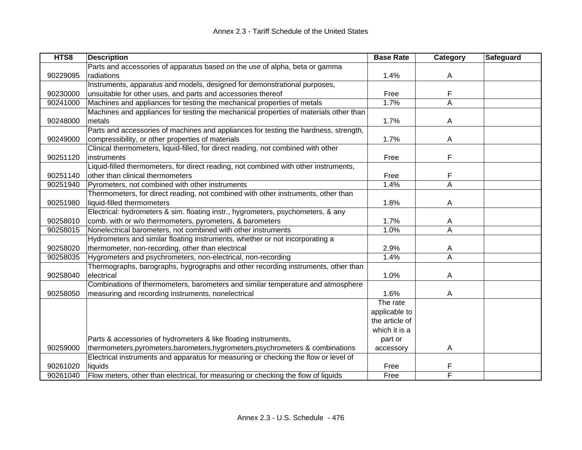| HTS8     | <b>Description</b>                                                                    | <b>Base Rate</b> | Category       | Safeguard |
|----------|---------------------------------------------------------------------------------------|------------------|----------------|-----------|
|          | Parts and accessories of apparatus based on the use of alpha, beta or gamma           |                  |                |           |
| 90229095 | radiations                                                                            | 1.4%             | Α              |           |
|          | Instruments, apparatus and models, designed for demonstrational purposes,             |                  |                |           |
| 90230000 | unsuitable for other uses, and parts and accessories thereof                          | Free             | F              |           |
| 90241000 | Machines and appliances for testing the mechanical properties of metals               | 1.7%             | A              |           |
|          | Machines and appliances for testing the mechanical properties of materials other than |                  |                |           |
| 90248000 | metals                                                                                | 1.7%             | A              |           |
|          | Parts and accessories of machines and appliances for testing the hardness, strength,  |                  |                |           |
| 90249000 | compressibility, or other properties of materials                                     | 1.7%             | A              |           |
|          | Clinical thermometers, liquid-filled, for direct reading, not combined with other     |                  |                |           |
| 90251120 | instruments                                                                           | Free             | F              |           |
|          | Liquid-filled thermometers, for direct reading, not combined with other instruments,  |                  |                |           |
| 90251140 | other than clinical thermometers                                                      | Free             | F              |           |
| 90251940 | Pyrometers, not combined with other instruments                                       | 1.4%             | $\overline{A}$ |           |
|          | Thermometers, for direct reading, not combined with other instruments, other than     |                  |                |           |
| 90251980 | liquid-filled thermometers                                                            | 1.8%             | A              |           |
|          | Electrical: hydrometers & sim. floating instr., hygrometers, psychometers, & any      |                  |                |           |
| 90258010 | comb. with or w/o thermometers, pyrometers, & barometers                              | 1.7%             | A              |           |
| 90258015 | Nonelectrical barometers, not combined with other instruments                         | 1.0%             | A              |           |
|          | Hydrometers and similar floating instruments, whether or not incorporating a          |                  |                |           |
| 90258020 | thermometer, non-recording, other than electrical                                     | 2.9%             | A              |           |
| 90258035 | Hygrometers and psychrometers, non-electrical, non-recording                          | 1.4%             | A              |           |
|          | Thermographs, barographs, hygrographs and other recording instruments, other than     |                  |                |           |
| 90258040 | electrical                                                                            | 1.0%             | A              |           |
|          | Combinations of thermometers, barometers and similar temperature and atmosphere       |                  |                |           |
| 90258050 | measuring and recording instruments, nonelectrical                                    | 1.6%             | A              |           |
|          |                                                                                       | The rate         |                |           |
|          |                                                                                       | applicable to    |                |           |
|          |                                                                                       | the article of   |                |           |
|          |                                                                                       | which it is a    |                |           |
|          | Parts & accessories of hydrometers & like floating instruments,                       | part or          |                |           |
| 90259000 | thermometers, pyrometers, barometers, hygrometers, psychrometers & combinations       | accessory        | A              |           |
|          | Electrical instruments and apparatus for measuring or checking the flow or level of   |                  |                |           |
| 90261020 | liquids                                                                               | Free             | F              |           |
| 90261040 | Flow meters, other than electrical, for measuring or checking the flow of liquids     | Free             | F              |           |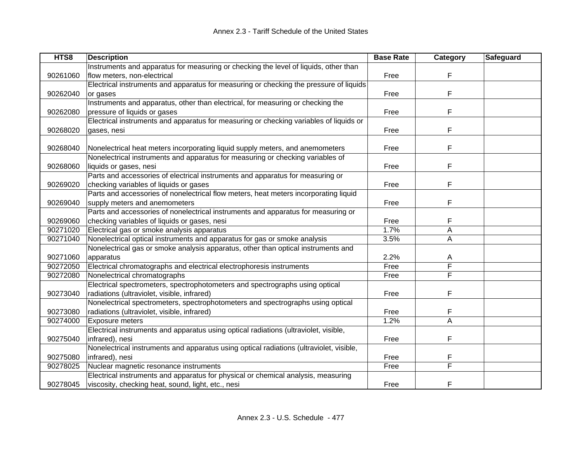| HTS8     | <b>Description</b>                                                                      | <b>Base Rate</b> | Category | Safeguard |
|----------|-----------------------------------------------------------------------------------------|------------------|----------|-----------|
|          | Instruments and apparatus for measuring or checking the level of liquids, other than    |                  |          |           |
| 90261060 | flow meters, non-electrical                                                             | Free             | F        |           |
|          | Electrical instruments and apparatus for measuring or checking the pressure of liquids  |                  |          |           |
| 90262040 | or gases                                                                                | Free             | F        |           |
|          | Instruments and apparatus, other than electrical, for measuring or checking the         |                  |          |           |
| 90262080 | pressure of liquids or gases                                                            | Free             | F        |           |
|          | Electrical instruments and apparatus for measuring or checking variables of liquids or  |                  |          |           |
| 90268020 | gases, nesi                                                                             | Free             | F        |           |
|          |                                                                                         |                  |          |           |
| 90268040 | Nonelectrical heat meters incorporating liquid supply meters, and anemometers           | Free             | F        |           |
|          | Nonelectrical instruments and apparatus for measuring or checking variables of          |                  |          |           |
| 90268060 | liquids or gases, nesi                                                                  | Free             | F        |           |
|          | Parts and accessories of electrical instruments and apparatus for measuring or          |                  |          |           |
| 90269020 | checking variables of liquids or gases                                                  | Free             | F        |           |
|          | Parts and accessories of nonelectrical flow meters, heat meters incorporating liquid    |                  |          |           |
| 90269040 | supply meters and anemometers                                                           | Free             | F        |           |
|          | Parts and accessories of nonelectrical instruments and apparatus for measuring or       |                  |          |           |
| 90269060 | checking variables of liquids or gases, nesi                                            | Free             | F        |           |
| 90271020 | Electrical gas or smoke analysis apparatus                                              | 1.7%             | А        |           |
| 90271040 | Nonelectrical optical instruments and apparatus for gas or smoke analysis               | 3.5%             | Α        |           |
|          | Nonelectrical gas or smoke analysis apparatus, other than optical instruments and       |                  |          |           |
| 90271060 | apparatus                                                                               | 2.2%             | A        |           |
| 90272050 | Electrical chromatographs and electrical electrophoresis instruments                    | Free             | F        |           |
| 90272080 | Nonelectrical chromatographs                                                            | Free             | F        |           |
|          | Electrical spectrometers, spectrophotometers and spectrographs using optical            |                  |          |           |
| 90273040 | radiations (ultraviolet, visible, infrared)                                             | Free             | F        |           |
|          | Nonelectrical spectrometers, spectrophotometers and spectrographs using optical         |                  |          |           |
| 90273080 | radiations (ultraviolet, visible, infrared)                                             | Free             |          |           |
| 90274000 | Exposure meters                                                                         | 1.2%             | A        |           |
|          | Electrical instruments and apparatus using optical radiations (ultraviolet, visible,    |                  |          |           |
| 90275040 | infrared), nesi                                                                         | Free             | F        |           |
|          | Nonelectrical instruments and apparatus using optical radiations (ultraviolet, visible, |                  |          |           |
| 90275080 | infrared), nesi                                                                         | Free             |          |           |
| 90278025 | Nuclear magnetic resonance instruments                                                  | Free             | F        |           |
|          | Electrical instruments and apparatus for physical or chemical analysis, measuring       |                  |          |           |
| 90278045 | viscosity, checking heat, sound, light, etc., nesi                                      | Free             | F        |           |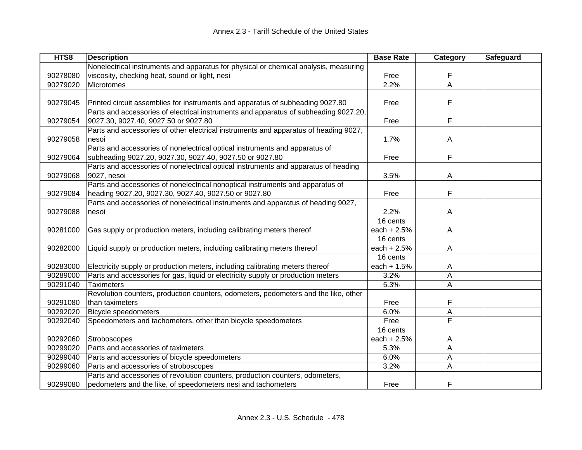| HTS8     | <b>Description</b>                                                                   | <b>Base Rate</b> | Category | Safeguard |
|----------|--------------------------------------------------------------------------------------|------------------|----------|-----------|
|          | Nonelectrical instruments and apparatus for physical or chemical analysis, measuring |                  |          |           |
| 90278080 | viscosity, checking heat, sound or light, nesi                                       | Free             | F        |           |
| 90279020 | Microtomes                                                                           | 2.2%             | A        |           |
|          |                                                                                      |                  |          |           |
| 90279045 | Printed circuit assemblies for instruments and apparatus of subheading 9027.80       | Free             | F        |           |
|          | Parts and accessories of electrical instruments and apparatus of subheading 9027.20, |                  |          |           |
| 90279054 | 9027.30, 9027.40, 9027.50 or 9027.80                                                 | Free             | F        |           |
|          | Parts and accessories of other electrical instruments and apparatus of heading 9027, |                  |          |           |
| 90279058 | nesoi                                                                                | 1.7%             | A        |           |
|          | Parts and accessories of nonelectrical optical instruments and apparatus of          |                  |          |           |
| 90279064 | subheading 9027.20, 9027.30, 9027.40, 9027.50 or 9027.80                             | Free             | F        |           |
|          | Parts and accessories of nonelectrical optical instruments and apparatus of heading  |                  |          |           |
| 90279068 | 9027, nesoi                                                                          | 3.5%             | A        |           |
|          | Parts and accessories of nonelectrical nonoptical instruments and apparatus of       |                  |          |           |
| 90279084 | heading 9027.20, 9027.30, 9027.40, 9027.50 or 9027.80                                | Free             | F        |           |
|          | Parts and accessories of nonelectrical instruments and apparatus of heading 9027,    |                  |          |           |
| 90279088 | nesoi                                                                                | 2.2%             | A        |           |
|          |                                                                                      | 16 cents         |          |           |
| 90281000 | Gas supply or production meters, including calibrating meters thereof                | each $+2.5%$     | A        |           |
|          |                                                                                      | 16 cents         |          |           |
| 90282000 | Liquid supply or production meters, including calibrating meters thereof             | each $+2.5%$     | A        |           |
|          |                                                                                      | 16 cents         |          |           |
| 90283000 | Electricity supply or production meters, including calibrating meters thereof        | each + $1.5%$    | A        |           |
| 90289000 | Parts and accessories for gas, liquid or electricity supply or production meters     | 3.2%             | A        |           |
| 90291040 | <b>Taximeters</b>                                                                    | 5.3%             | A        |           |
|          | Revolution counters, production counters, odometers, pedometers and the like, other  |                  |          |           |
| 90291080 | than taximeters                                                                      | Free             | F        |           |
| 90292020 | <b>Bicycle speedometers</b>                                                          | 6.0%             | А        |           |
| 90292040 | Speedometers and tachometers, other than bicycle speedometers                        | Free             | F        |           |
|          |                                                                                      | 16 cents         |          |           |
| 90292060 | Stroboscopes                                                                         | each $+2.5%$     | A        |           |
| 90299020 | Parts and accessories of taximeters                                                  | 5.3%             | A        |           |
| 90299040 | Parts and accessories of bicycle speedometers                                        | 6.0%             | A        |           |
| 90299060 | Parts and accessories of stroboscopes                                                | 3.2%             | Α        |           |
|          | Parts and accessories of revolution counters, production counters, odometers,        |                  |          |           |
| 90299080 | pedometers and the like, of speedometers nesi and tachometers                        | Free             | F        |           |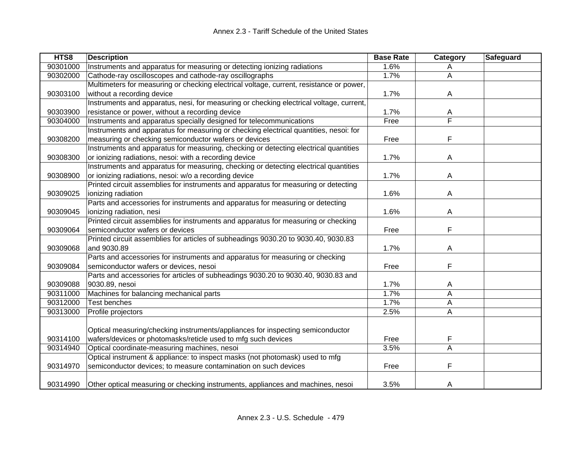| HTS8     | <b>Description</b>                                                                      | <b>Base Rate</b> | Category | Safeguard |
|----------|-----------------------------------------------------------------------------------------|------------------|----------|-----------|
| 90301000 | Instruments and apparatus for measuring or detecting ionizing radiations                | 1.6%             | A        |           |
| 90302000 | Cathode-ray oscilloscopes and cathode-ray oscillographs                                 | 1.7%             | Α        |           |
|          | Multimeters for measuring or checking electrical voltage, current, resistance or power, |                  |          |           |
| 90303100 | without a recording device                                                              | 1.7%             | A        |           |
|          | Instruments and apparatus, nesi, for measuring or checking electrical voltage, current, |                  |          |           |
| 90303900 | resistance or power, without a recording device                                         | 1.7%             | A        |           |
| 90304000 | Instruments and apparatus specially designed for telecommunications                     | Free             | F        |           |
|          | Instruments and apparatus for measuring or checking electrical quantities, nesoi: for   |                  |          |           |
| 90308200 | measuring or checking semiconductor wafers or devices                                   | Free             | F        |           |
|          | Instruments and apparatus for measuring, checking or detecting electrical quantities    |                  |          |           |
| 90308300 | or ionizing radiations, nesoi: with a recording device                                  | 1.7%             | A        |           |
|          | Instruments and apparatus for measuring, checking or detecting electrical quantities    |                  |          |           |
| 90308900 | or ionizing radiations, nesoi: w/o a recording device                                   | 1.7%             | A        |           |
|          | Printed circuit assemblies for instruments and apparatus for measuring or detecting     |                  |          |           |
| 90309025 | ionizing radiation                                                                      | 1.6%             | A        |           |
|          | Parts and accessories for instruments and apparatus for measuring or detecting          |                  |          |           |
| 90309045 | ionizing radiation, nesi                                                                | 1.6%             | A        |           |
|          | Printed circuit assemblies for instruments and apparatus for measuring or checking      |                  |          |           |
| 90309064 | semiconductor wafers or devices                                                         | Free             | F        |           |
|          | Printed circuit assemblies for articles of subheadings 9030.20 to 9030.40, 9030.83      |                  |          |           |
| 90309068 | and 9030.89                                                                             | 1.7%             | A        |           |
|          | Parts and accessories for instruments and apparatus for measuring or checking           |                  |          |           |
| 90309084 | semiconductor wafers or devices, nesoi                                                  | Free             | F        |           |
|          | Parts and accessories for articles of subheadings 9030.20 to 9030.40, 9030.83 and       |                  |          |           |
| 90309088 | 9030.89, nesoi                                                                          | 1.7%             | A        |           |
| 90311000 | Machines for balancing mechanical parts                                                 | 1.7%             | A        |           |
| 90312000 | <b>Test benches</b>                                                                     | 1.7%             | Α        |           |
| 90313000 | Profile projectors                                                                      | 2.5%             | Α        |           |
|          |                                                                                         |                  |          |           |
|          | Optical measuring/checking instruments/appliances for inspecting semiconductor          |                  |          |           |
| 90314100 | wafers/devices or photomasks/reticle used to mfg such devices                           | Free             | F        |           |
| 90314940 | Optical coordinate-measuring machines, nesoi                                            | 3.5%             | A        |           |
|          | Optical instrument & appliance: to inspect masks (not photomask) used to mfg            |                  |          |           |
| 90314970 | semiconductor devices; to measure contamination on such devices                         | Free             | F        |           |
|          |                                                                                         |                  |          |           |
| 90314990 | Other optical measuring or checking instruments, appliances and machines, nesoi         | 3.5%             | A        |           |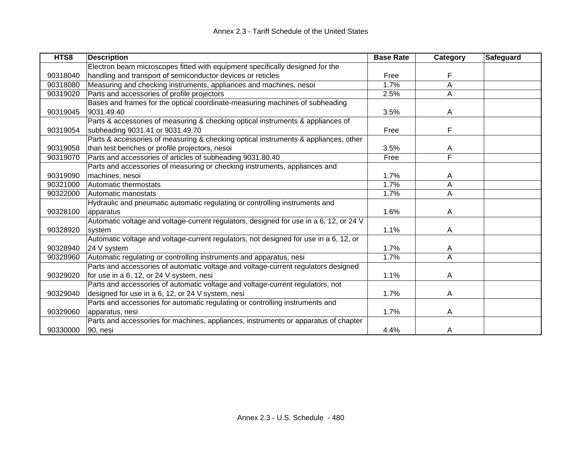| HTS8     | <b>Description</b>                                                                     | <b>Base Rate</b> | Category                | Safeguard |
|----------|----------------------------------------------------------------------------------------|------------------|-------------------------|-----------|
|          | Electron beam microscopes fitted with equipment specifically designed for the          |                  |                         |           |
| 90318040 | handling and transport of semiconductor devices or reticles                            | Free             | F                       |           |
| 90318080 | Measuring and checking instruments, appliances and machines, nesoi                     | 1.7%             | Α                       |           |
| 90319020 | Parts and accessories of profile projectors                                            | 2.5%             | A                       |           |
|          | Bases and frames for the optical coordinate-measuring machines of subheading           |                  |                         |           |
| 90319045 | 9031.49.40                                                                             | 3.5%             | A                       |           |
|          | Parts & accessories of measuring & checking optical instruments & appliances of        |                  |                         |           |
| 90319054 | subheading 9031.41 or 9031.49.70                                                       | Free             | F                       |           |
|          | Parts & accessories of measuring & checking optical instruments & appliances, other    |                  |                         |           |
| 90319058 | than test benches or profile projectors, nesoi                                         | 3.5%             | A                       |           |
| 90319070 | Parts and accessories of articles of subheading 9031.80.40                             | Free             | $\overline{\mathsf{F}}$ |           |
|          | Parts and accessories of measuring or checking instruments, appliances and             |                  |                         |           |
| 90319090 | machines, nesoi                                                                        | 1.7%             | A                       |           |
| 90321000 | Automatic thermostats                                                                  | 1.7%             | Α                       |           |
| 90322000 | Automatic manostats                                                                    | 1.7%             | A                       |           |
|          | Hydraulic and pneumatic automatic regulating or controlling instruments and            |                  |                         |           |
| 90328100 | apparatus                                                                              | 1.6%             | A                       |           |
|          | Automatic voltage and voltage-current regulators, designed for use in a 6, 12, or 24 V |                  |                         |           |
| 90328920 | system                                                                                 | 1.1%             | A                       |           |
|          | Automatic voltage and voltage-current regulators, not designed for use in a 6, 12, or  |                  |                         |           |
| 90328940 | 24 V system                                                                            | 1.7%             | A                       |           |
| 90328960 | Automatic regulating or controlling instruments and apparatus, nesi                    | 1.7%             | Α                       |           |
|          | Parts and accessories of automatic voltage and voltage-current regulators designed     |                  |                         |           |
| 90329020 | for use in a 6, 12, or 24 V system, nesi                                               | 1.1%             | A                       |           |
|          | Parts and accessories of automatic voltage and voltage-current regulators, not         |                  |                         |           |
| 90329040 | designed for use in a 6, 12, or 24 V system, nesi                                      | 1.7%             | A                       |           |
|          | Parts and accessories for automatic regulating or controlling instruments and          |                  |                         |           |
| 90329060 | apparatus, nesi                                                                        | 1.7%             | A                       |           |
|          | Parts and accessories for machines, appliances, instruments or apparatus of chapter    |                  |                         |           |
| 90330000 | 90, nesi                                                                               | 4.4%             | A                       |           |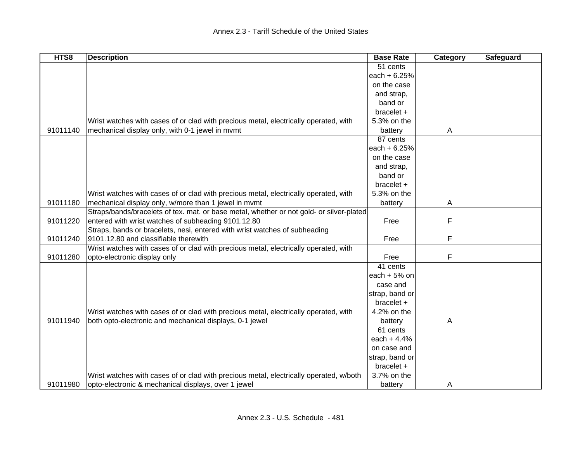| HTS8     | <b>Description</b>                                                                       | <b>Base Rate</b> | Category | Safeguard |
|----------|------------------------------------------------------------------------------------------|------------------|----------|-----------|
|          |                                                                                          | 51 cents         |          |           |
|          |                                                                                          | each + 6.25%     |          |           |
|          |                                                                                          | on the case      |          |           |
|          |                                                                                          | and strap,       |          |           |
|          |                                                                                          | band or          |          |           |
|          |                                                                                          | bracelet +       |          |           |
|          | Wrist watches with cases of or clad with precious metal, electrically operated, with     | 5.3% on the      |          |           |
| 91011140 | mechanical display only, with 0-1 jewel in mvmt                                          | battery          | A        |           |
|          |                                                                                          | 87 cents         |          |           |
|          |                                                                                          | each $+ 6.25%$   |          |           |
|          |                                                                                          | on the case      |          |           |
|          |                                                                                          | and strap,       |          |           |
|          |                                                                                          | band or          |          |           |
|          |                                                                                          | bracelet +       |          |           |
|          | Wrist watches with cases of or clad with precious metal, electrically operated, with     | 5.3% on the      |          |           |
| 91011180 | mechanical display only, w/more than 1 jewel in mvmt                                     | battery          | A        |           |
|          | Straps/bands/bracelets of tex. mat. or base metal, whether or not gold- or silver-plated |                  |          |           |
| 91011220 | entered with wrist watches of subheading 9101.12.80                                      | Free             | F        |           |
|          | Straps, bands or bracelets, nesi, entered with wrist watches of subheading               |                  |          |           |
| 91011240 | 9101.12.80 and classifiable therewith                                                    | Free             | F        |           |
|          | Wrist watches with cases of or clad with precious metal, electrically operated, with     |                  |          |           |
| 91011280 | opto-electronic display only                                                             | Free             | F        |           |
|          |                                                                                          | 41 cents         |          |           |
|          |                                                                                          | each $+5%$ on    |          |           |
|          |                                                                                          | case and         |          |           |
|          |                                                                                          | strap, band or   |          |           |
|          |                                                                                          | $bracelet +$     |          |           |
|          | Wrist watches with cases of or clad with precious metal, electrically operated, with     | 4.2% on the      |          |           |
| 91011940 | both opto-electronic and mechanical displays, 0-1 jewel                                  | battery          | A        |           |
|          |                                                                                          | 61 cents         |          |           |
|          |                                                                                          | each $+4.4%$     |          |           |
|          |                                                                                          | on case and      |          |           |
|          |                                                                                          | strap, band or   |          |           |
|          |                                                                                          | $bracelet +$     |          |           |
|          | Wrist watches with cases of or clad with precious metal, electrically operated, w/both   | 3.7% on the      |          |           |
| 91011980 | opto-electronic & mechanical displays, over 1 jewel                                      | battery          | A        |           |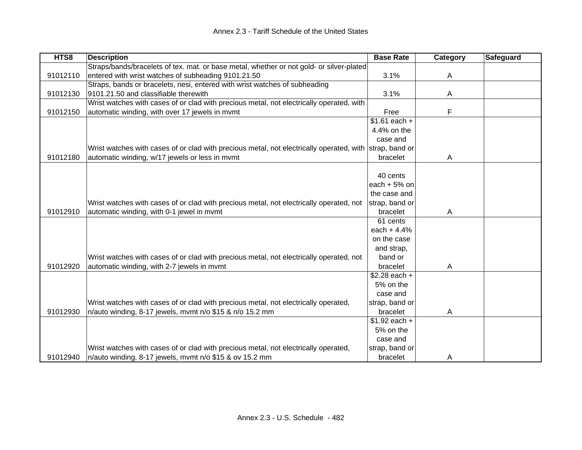| HTS8     | <b>Description</b>                                                                                      | <b>Base Rate</b>          | Category | Safeguard |
|----------|---------------------------------------------------------------------------------------------------------|---------------------------|----------|-----------|
|          | Straps/bands/bracelets of tex. mat. or base metal, whether or not gold- or silver-plated                |                           |          |           |
| 91012110 | entered with wrist watches of subheading 9101.21.50                                                     | 3.1%                      | A        |           |
|          | Straps, bands or bracelets, nesi, entered with wrist watches of subheading                              |                           |          |           |
| 91012130 | 9101.21.50 and classifiable therewith                                                                   | 3.1%                      | A        |           |
|          | Wrist watches with cases of or clad with precious metal, not electrically operated, with                |                           |          |           |
| 91012150 | automatic winding, with over 17 jewels in mvmt                                                          | Free                      | F        |           |
|          |                                                                                                         | $\overline{$1.61}$ each + |          |           |
|          |                                                                                                         | 4.4% on the               |          |           |
|          |                                                                                                         | case and                  |          |           |
|          | Wrist watches with cases of or clad with precious metal, not electrically operated, with strap, band or |                           |          |           |
| 91012180 | automatic winding, w/17 jewels or less in mvmt                                                          | bracelet                  | A        |           |
|          |                                                                                                         |                           |          |           |
|          |                                                                                                         | 40 cents                  |          |           |
|          |                                                                                                         | each $+5%$ on             |          |           |
|          |                                                                                                         | the case and              |          |           |
|          | Wrist watches with cases of or clad with precious metal, not electrically operated, not                 | strap, band or            |          |           |
| 91012910 | automatic winding, with 0-1 jewel in mymt                                                               | bracelet                  | A        |           |
|          |                                                                                                         | 61 cents                  |          |           |
|          |                                                                                                         | each $+4.4%$              |          |           |
|          |                                                                                                         | on the case               |          |           |
|          |                                                                                                         | and strap,                |          |           |
|          | Wrist watches with cases of or clad with precious metal, not electrically operated, not                 | band or                   |          |           |
| 91012920 | automatic winding, with 2-7 jewels in mvmt                                                              | bracelet                  | A        |           |
|          |                                                                                                         | $$2.28$ each +            |          |           |
|          |                                                                                                         | 5% on the                 |          |           |
|          |                                                                                                         | case and                  |          |           |
|          | Wrist watches with cases of or clad with precious metal, not electrically operated,                     | strap, band or            |          |           |
| 91012930 | n/auto winding, 8-17 jewels, mvmt n/o \$15 & n/o 15.2 mm                                                | bracelet                  | A        |           |
|          |                                                                                                         | $$1.92$ each +            |          |           |
|          |                                                                                                         | 5% on the                 |          |           |
|          |                                                                                                         | case and                  |          |           |
|          | Wrist watches with cases of or clad with precious metal, not electrically operated,                     | strap, band or            |          |           |
| 91012940 | n/auto winding, 8-17 jewels, mvmt n/o \$15 & ov 15.2 mm                                                 | bracelet                  | A        |           |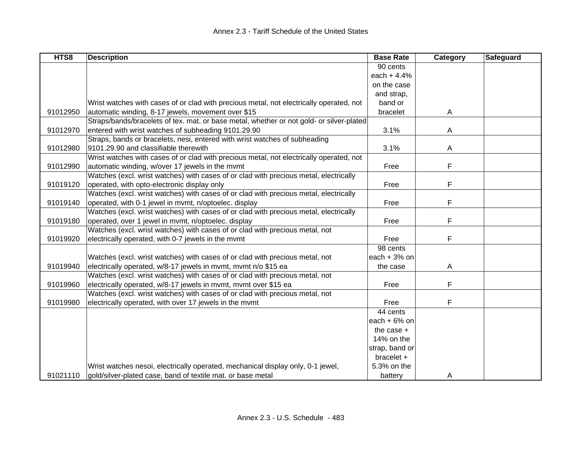| HTS8     | <b>Description</b>                                                                       | <b>Base Rate</b> | Category | <b>Safeguard</b> |
|----------|------------------------------------------------------------------------------------------|------------------|----------|------------------|
|          |                                                                                          | 90 cents         |          |                  |
|          |                                                                                          | each $+4.4%$     |          |                  |
|          |                                                                                          | on the case      |          |                  |
|          |                                                                                          | and strap,       |          |                  |
|          | Wrist watches with cases of or clad with precious metal, not electrically operated, not  | band or          |          |                  |
| 91012950 | automatic winding, 8-17 jewels, movement over \$15                                       | bracelet         | A        |                  |
|          | Straps/bands/bracelets of tex. mat. or base metal, whether or not gold- or silver-plated |                  |          |                  |
| 91012970 | entered with wrist watches of subheading 9101.29.90                                      | 3.1%             | A        |                  |
|          | Straps, bands or bracelets, nesi, entered with wrist watches of subheading               |                  |          |                  |
| 91012980 | 9101.29.90 and classifiable therewith                                                    | 3.1%             | A        |                  |
|          | Wrist watches with cases of or clad with precious metal, not electrically operated, not  |                  |          |                  |
| 91012990 | automatic winding, w/over 17 jewels in the mymt                                          | Free             | F        |                  |
|          | Watches (excl. wrist watches) with cases of or clad with precious metal, electrically    |                  |          |                  |
| 91019120 | operated, with opto-electronic display only                                              | Free             | F        |                  |
|          | Watches (excl. wrist watches) with cases of or clad with precious metal, electrically    |                  |          |                  |
| 91019140 | operated, with 0-1 jewel in mvmt, n/optoelec. display                                    | Free             | F        |                  |
|          | Watches (excl. wrist watches) with cases of or clad with precious metal, electrically    |                  |          |                  |
| 91019180 | operated, over 1 jewel in mvmt, n/optoelec. display                                      | Free             | F        |                  |
|          | Watches (excl. wrist watches) with cases of or clad with precious metal, not             |                  |          |                  |
| 91019920 | electrically operated, with 0-7 jewels in the mvmt                                       | Free             | F        |                  |
|          |                                                                                          | 98 cents         |          |                  |
|          | Watches (excl. wrist watches) with cases of or clad with precious metal, not             | each $+3%$ on    |          |                  |
| 91019940 | electrically operated, w/8-17 jewels in mvmt, mvmt n/o \$15 ea                           | the case         | A        |                  |
|          | Watches (excl. wrist watches) with cases of or clad with precious metal, not             |                  |          |                  |
| 91019960 | electrically operated, w/8-17 jewels in mymt, mymt over \$15 ea                          | Free             | F        |                  |
|          | Watches (excl. wrist watches) with cases of or clad with precious metal, not             |                  |          |                  |
| 91019980 | electrically operated, with over 17 jewels in the mvmt                                   | Free             | F        |                  |
|          |                                                                                          | 44 cents         |          |                  |
|          |                                                                                          | each $+6%$ on    |          |                  |
|          |                                                                                          | the case $+$     |          |                  |
|          |                                                                                          | 14% on the       |          |                  |
|          |                                                                                          | strap, band or   |          |                  |
|          |                                                                                          | bracelet +       |          |                  |
|          | Wrist watches nesoi, electrically operated, mechanical display only, 0-1 jewel,          | 5.3% on the      |          |                  |
| 91021110 | gold/silver-plated case, band of textile mat. or base metal                              | battery          | A        |                  |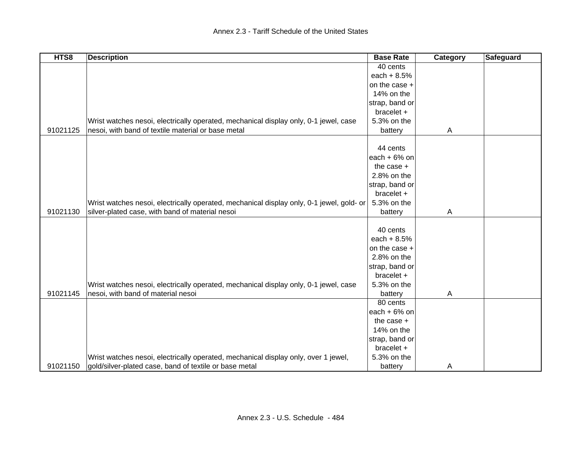| HTS8     | <b>Description</b>                                                                       | <b>Base Rate</b> | Category | <b>Safeguard</b> |
|----------|------------------------------------------------------------------------------------------|------------------|----------|------------------|
|          |                                                                                          | 40 cents         |          |                  |
|          |                                                                                          | each $+ 8.5%$    |          |                  |
|          |                                                                                          | on the case +    |          |                  |
|          |                                                                                          | 14% on the       |          |                  |
|          |                                                                                          | strap, band or   |          |                  |
|          |                                                                                          | bracelet +       |          |                  |
|          | Wrist watches nesoi, electrically operated, mechanical display only, 0-1 jewel, case     | 5.3% on the      |          |                  |
| 91021125 | nesoi, with band of textile material or base metal                                       | battery          | A        |                  |
|          |                                                                                          |                  |          |                  |
|          |                                                                                          | 44 cents         |          |                  |
|          |                                                                                          | each $+6%$ on    |          |                  |
|          |                                                                                          | the case $+$     |          |                  |
|          |                                                                                          | 2.8% on the      |          |                  |
|          |                                                                                          | strap, band or   |          |                  |
|          |                                                                                          | bracelet +       |          |                  |
|          | Wrist watches nesoi, electrically operated, mechanical display only, 0-1 jewel, gold- or | 5.3% on the      |          |                  |
| 91021130 | silver-plated case, with band of material nesoi                                          | battery          | A        |                  |
|          |                                                                                          |                  |          |                  |
|          |                                                                                          | 40 cents         |          |                  |
|          |                                                                                          | each $+8.5%$     |          |                  |
|          |                                                                                          | on the case +    |          |                  |
|          |                                                                                          | 2.8% on the      |          |                  |
|          |                                                                                          | strap, band or   |          |                  |
|          |                                                                                          | bracelet +       |          |                  |
|          | Wrist watches nesoi, electrically operated, mechanical display only, 0-1 jewel, case     | 5.3% on the      |          |                  |
| 91021145 | nesoi, with band of material nesoi                                                       | battery          | Α        |                  |
|          |                                                                                          | 80 cents         |          |                  |
|          |                                                                                          | each $+6%$ on    |          |                  |
|          |                                                                                          | the case $+$     |          |                  |
|          |                                                                                          | 14% on the       |          |                  |
|          |                                                                                          | strap, band or   |          |                  |
|          |                                                                                          | bracelet +       |          |                  |
|          | Wrist watches nesoi, electrically operated, mechanical display only, over 1 jewel,       | 5.3% on the      |          |                  |
| 91021150 | gold/silver-plated case, band of textile or base metal                                   | battery          | A        |                  |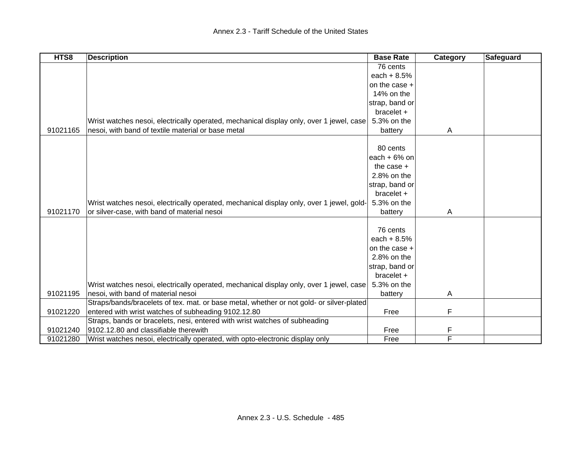| HTS8     | <b>Description</b>                                                                       | <b>Base Rate</b> | Category | <b>Safeguard</b> |
|----------|------------------------------------------------------------------------------------------|------------------|----------|------------------|
|          |                                                                                          | 76 cents         |          |                  |
|          |                                                                                          | each $+8.5%$     |          |                  |
|          |                                                                                          | on the case +    |          |                  |
|          |                                                                                          | 14% on the       |          |                  |
|          |                                                                                          | strap, band or   |          |                  |
|          |                                                                                          | bracelet +       |          |                  |
|          | Wrist watches nesoi, electrically operated, mechanical display only, over 1 jewel, case  | 5.3% on the      |          |                  |
| 91021165 | nesoi, with band of textile material or base metal                                       | battery          | A        |                  |
|          |                                                                                          |                  |          |                  |
|          |                                                                                          | 80 cents         |          |                  |
|          |                                                                                          | each $+6%$ on    |          |                  |
|          |                                                                                          | the case $+$     |          |                  |
|          |                                                                                          | 2.8% on the      |          |                  |
|          |                                                                                          | strap, band or   |          |                  |
|          |                                                                                          | bracelet +       |          |                  |
|          | Wrist watches nesoi, electrically operated, mechanical display only, over 1 jewel, gold- | 5.3% on the      |          |                  |
| 91021170 | or silver-case, with band of material nesoi                                              | battery          | A        |                  |
|          |                                                                                          |                  |          |                  |
|          |                                                                                          | 76 cents         |          |                  |
|          |                                                                                          | each $+8.5%$     |          |                  |
|          |                                                                                          | on the case +    |          |                  |
|          |                                                                                          | 2.8% on the      |          |                  |
|          |                                                                                          | strap, band or   |          |                  |
|          |                                                                                          | $bracket +$      |          |                  |
|          | Wrist watches nesoi, electrically operated, mechanical display only, over 1 jewel, case  | 5.3% on the      |          |                  |
| 91021195 | nesoi, with band of material nesoi                                                       | battery          | A        |                  |
|          | Straps/bands/bracelets of tex. mat. or base metal, whether or not gold- or silver-plated |                  |          |                  |
| 91021220 | entered with wrist watches of subheading 9102.12.80                                      | Free             | F        |                  |
|          | Straps, bands or bracelets, nesi, entered with wrist watches of subheading               |                  |          |                  |
| 91021240 | 9102.12.80 and classifiable therewith                                                    | Free             | F        |                  |
| 91021280 | Wrist watches nesoi, electrically operated, with opto-electronic display only            | Free             | F        |                  |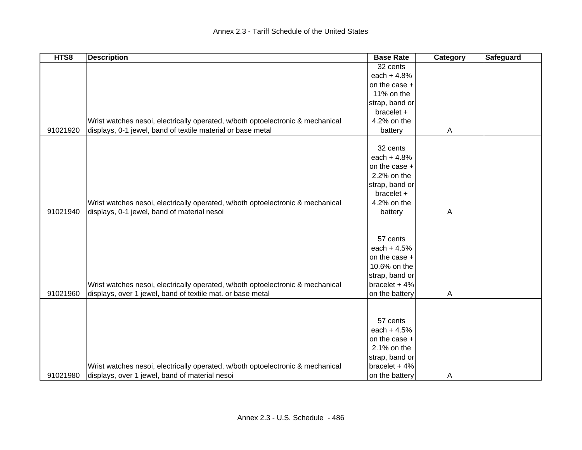| HTS8     | <b>Description</b>                                                             | <b>Base Rate</b> | Category | <b>Safeguard</b> |
|----------|--------------------------------------------------------------------------------|------------------|----------|------------------|
|          |                                                                                | 32 cents         |          |                  |
|          |                                                                                | each $+4.8%$     |          |                  |
|          |                                                                                | on the case +    |          |                  |
|          |                                                                                | 11% on the       |          |                  |
|          |                                                                                | strap, band or   |          |                  |
|          |                                                                                | bracelet +       |          |                  |
|          | Wrist watches nesoi, electrically operated, w/both optoelectronic & mechanical | 4.2% on the      |          |                  |
| 91021920 | displays, 0-1 jewel, band of textile material or base metal                    | battery          | A        |                  |
|          |                                                                                |                  |          |                  |
|          |                                                                                | 32 cents         |          |                  |
|          |                                                                                | each $+4.8%$     |          |                  |
|          |                                                                                | on the case +    |          |                  |
|          |                                                                                | 2.2% on the      |          |                  |
|          |                                                                                | strap, band or   |          |                  |
|          |                                                                                | bracelet +       |          |                  |
|          | Wrist watches nesoi, electrically operated, w/both optoelectronic & mechanical | 4.2% on the      |          |                  |
| 91021940 | displays, 0-1 jewel, band of material nesoi                                    | battery          | A        |                  |
|          |                                                                                |                  |          |                  |
|          |                                                                                | 57 cents         |          |                  |
|          |                                                                                | each $+4.5%$     |          |                  |
|          |                                                                                | on the case +    |          |                  |
|          |                                                                                | 10.6% on the     |          |                  |
|          |                                                                                | strap, band or   |          |                  |
|          | Wrist watches nesoi, electrically operated, w/both optoelectronic & mechanical | bracelet $+4%$   |          |                  |
| 91021960 | displays, over 1 jewel, band of textile mat. or base metal                     | on the battery   | A        |                  |
|          |                                                                                |                  |          |                  |
|          |                                                                                | 57 cents         |          |                  |
|          |                                                                                | each $+4.5%$     |          |                  |
|          |                                                                                | on the case +    |          |                  |
|          |                                                                                | 2.1% on the      |          |                  |
|          |                                                                                | strap, band or   |          |                  |
|          | Wrist watches nesoi, electrically operated, w/both optoelectronic & mechanical | bracelet $+4%$   |          |                  |
| 91021980 | displays, over 1 jewel, band of material nesoi                                 | on the battery   | A        |                  |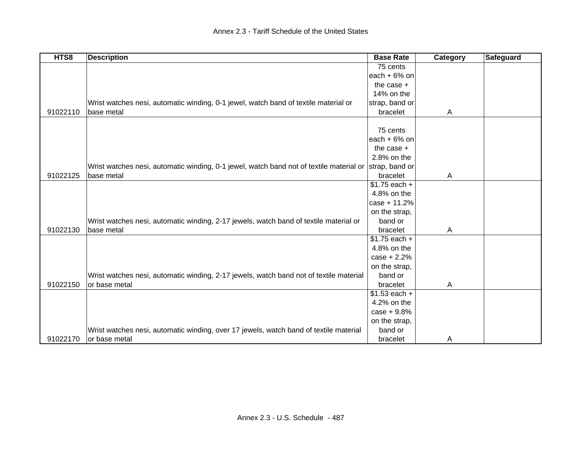| HTS8     | <b>Description</b>                                                                      | <b>Base Rate</b> | Category | Safeguard |
|----------|-----------------------------------------------------------------------------------------|------------------|----------|-----------|
|          |                                                                                         | 75 cents         |          |           |
|          |                                                                                         | each $+6%$ on    |          |           |
|          |                                                                                         | the case $+$     |          |           |
|          |                                                                                         | 14% on the       |          |           |
|          | Wrist watches nesi, automatic winding, 0-1 jewel, watch band of textile material or     | strap, band or   |          |           |
| 91022110 | base metal                                                                              | bracelet         | A        |           |
|          |                                                                                         |                  |          |           |
|          |                                                                                         | 75 cents         |          |           |
|          |                                                                                         | each $+6%$ on    |          |           |
|          |                                                                                         | the case $+$     |          |           |
|          |                                                                                         | 2.8% on the      |          |           |
|          | Wrist watches nesi, automatic winding, 0-1 jewel, watch band not of textile material or | strap, band or   |          |           |
| 91022125 | base metal                                                                              | bracelet         | A        |           |
|          |                                                                                         | $$1.75$ each +   |          |           |
|          |                                                                                         | 4.8% on the      |          |           |
|          |                                                                                         | case + 11.2%     |          |           |
|          |                                                                                         | on the strap,    |          |           |
|          | Wrist watches nesi, automatic winding, 2-17 jewels, watch band of textile material or   | band or          |          |           |
| 91022130 | base metal                                                                              | bracelet         | A        |           |
|          |                                                                                         | $$1.75$ each +   |          |           |
|          |                                                                                         | 4.8% on the      |          |           |
|          |                                                                                         | $case + 2.2%$    |          |           |
|          |                                                                                         | on the strap,    |          |           |
|          | Wrist watches nesi, automatic winding, 2-17 jewels, watch band not of textile material  | band or          |          |           |
| 91022150 | or base metal                                                                           | bracelet         | A        |           |
|          |                                                                                         | $$1.53$ each +   |          |           |
|          |                                                                                         | 4.2% on the      |          |           |
|          |                                                                                         | $case + 9.8%$    |          |           |
|          |                                                                                         | on the strap,    |          |           |
|          | Wrist watches nesi, automatic winding, over 17 jewels, watch band of textile material   | band or          |          |           |
| 91022170 | or base metal                                                                           | bracelet         | A        |           |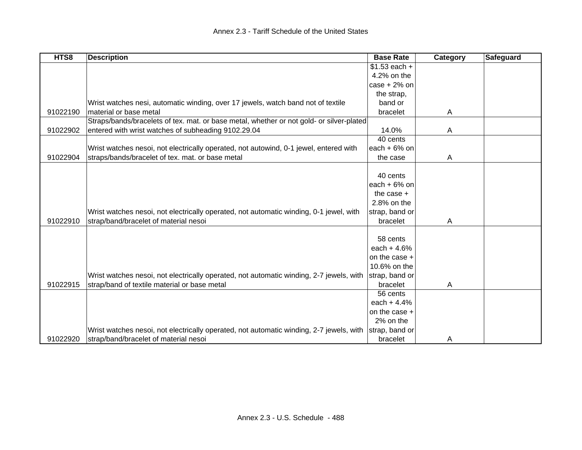| HTS8     | <b>Description</b>                                                                       | <b>Base Rate</b> | Category     | <b>Safeguard</b> |
|----------|------------------------------------------------------------------------------------------|------------------|--------------|------------------|
|          |                                                                                          | $$1.53$ each +   |              |                  |
|          |                                                                                          | 4.2% on the      |              |                  |
|          |                                                                                          | $case + 2%$ on   |              |                  |
|          |                                                                                          | the strap,       |              |                  |
|          | Wrist watches nesi, automatic winding, over 17 jewels, watch band not of textile         | band or          |              |                  |
| 91022190 | material or base metal                                                                   | bracelet         | Α            |                  |
|          | Straps/bands/bracelets of tex. mat. or base metal, whether or not gold- or silver-plated |                  |              |                  |
| 91022902 | entered with wrist watches of subheading 9102.29.04                                      | 14.0%            | A            |                  |
|          |                                                                                          | 40 cents         |              |                  |
|          | Wrist watches nesoi, not electrically operated, not autowind, 0-1 jewel, entered with    | each $+6%$ on    |              |                  |
| 91022904 | straps/bands/bracelet of tex. mat. or base metal                                         | the case         | $\mathsf{A}$ |                  |
|          |                                                                                          |                  |              |                  |
|          |                                                                                          | 40 cents         |              |                  |
|          |                                                                                          | each $+6%$ on    |              |                  |
|          |                                                                                          | the case $+$     |              |                  |
|          |                                                                                          | 2.8% on the      |              |                  |
|          | Wrist watches nesoi, not electrically operated, not automatic winding, 0-1 jewel, with   | strap, band or   |              |                  |
| 91022910 | strap/band/bracelet of material nesoi                                                    | bracelet         | A            |                  |
|          |                                                                                          |                  |              |                  |
|          |                                                                                          | 58 cents         |              |                  |
|          |                                                                                          | each $+4.6%$     |              |                  |
|          |                                                                                          | on the case +    |              |                  |
|          |                                                                                          | 10.6% on the     |              |                  |
|          | Wrist watches nesoi, not electrically operated, not automatic winding, 2-7 jewels, with  | strap, band or   |              |                  |
| 91022915 | strap/band of textile material or base metal                                             | bracelet         | A            |                  |
|          |                                                                                          | 56 cents         |              |                  |
|          |                                                                                          | each $+4.4%$     |              |                  |
|          |                                                                                          | on the case +    |              |                  |
|          |                                                                                          | 2% on the        |              |                  |
|          | Wrist watches nesoi, not electrically operated, not automatic winding, 2-7 jewels, with  | strap, band or   |              |                  |
| 91022920 | strap/band/bracelet of material nesoi                                                    | bracelet         | A            |                  |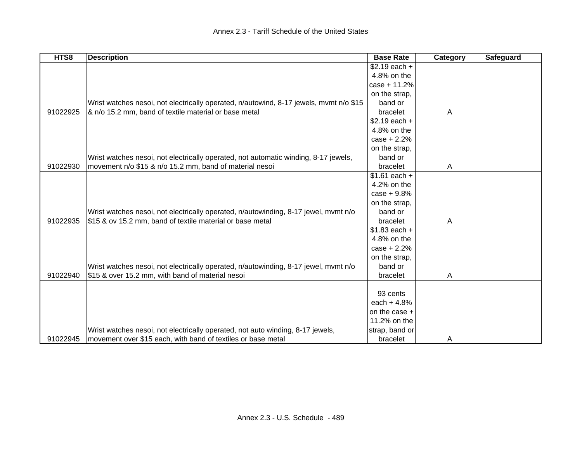| HTS8     | <b>Description</b>                                                                     | <b>Base Rate</b>          | Category | Safeguard |
|----------|----------------------------------------------------------------------------------------|---------------------------|----------|-----------|
|          |                                                                                        | $$2.19$ each +            |          |           |
|          |                                                                                        | 4.8% on the               |          |           |
|          |                                                                                        | $case + 11.2%$            |          |           |
|          |                                                                                        | on the strap,             |          |           |
|          | Wrist watches nesoi, not electrically operated, n/autowind, 8-17 jewels, mvmt n/o \$15 | band or                   |          |           |
| 91022925 | & n/o 15.2 mm, band of textile material or base metal                                  | bracelet                  | A        |           |
|          |                                                                                        | $\overline{$2.19}$ each + |          |           |
|          |                                                                                        | 4.8% on the               |          |           |
|          |                                                                                        | $case + 2.2%$             |          |           |
|          |                                                                                        | on the strap,             |          |           |
|          | Wrist watches nesoi, not electrically operated, not automatic winding, 8-17 jewels,    | band or                   |          |           |
| 91022930 | movement n/o \$15 & n/o 15.2 mm, band of material nesoi                                | bracelet                  | A        |           |
|          |                                                                                        | $$1.61$ each +            |          |           |
|          |                                                                                        | 4.2% on the               |          |           |
|          |                                                                                        | $case + 9.8%$             |          |           |
|          |                                                                                        | on the strap,             |          |           |
|          | Wrist watches nesoi, not electrically operated, n/autowinding, 8-17 jewel, mvmt n/o    | band or                   |          |           |
| 91022935 | \$15 & ov 15.2 mm, band of textile material or base metal                              | bracelet                  | A        |           |
|          |                                                                                        | $$1.83$ each +            |          |           |
|          |                                                                                        | 4.8% on the               |          |           |
|          |                                                                                        | $case + 2.2%$             |          |           |
|          |                                                                                        | on the strap,             |          |           |
|          | Wrist watches nesoi, not electrically operated, n/autowinding, 8-17 jewel, mvmt n/o    | band or                   |          |           |
| 91022940 | \$15 & over 15.2 mm, with band of material nesoi                                       | bracelet                  | A        |           |
|          |                                                                                        |                           |          |           |
|          |                                                                                        | 93 cents                  |          |           |
|          |                                                                                        | each $+4.8%$              |          |           |
|          |                                                                                        | on the case +             |          |           |
|          |                                                                                        | 11.2% on the              |          |           |
|          | Wrist watches nesoi, not electrically operated, not auto winding, 8-17 jewels,         | strap, band or            |          |           |
| 91022945 | movement over \$15 each, with band of textiles or base metal                           | bracelet                  | A        |           |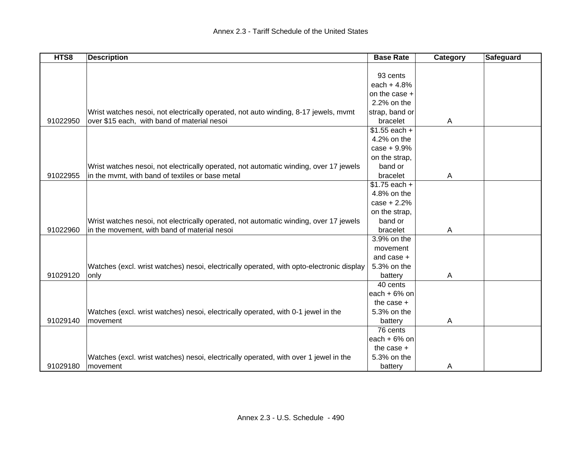| HTS8     | <b>Description</b>                                                                       | <b>Base Rate</b> | Category       | <b>Safeguard</b> |
|----------|------------------------------------------------------------------------------------------|------------------|----------------|------------------|
|          |                                                                                          |                  |                |                  |
|          |                                                                                          | 93 cents         |                |                  |
|          |                                                                                          | each $+4.8%$     |                |                  |
|          |                                                                                          | on the case +    |                |                  |
|          |                                                                                          | 2.2% on the      |                |                  |
|          | Wrist watches nesoi, not electrically operated, not auto winding, 8-17 jewels, mvmt      | strap, band or   |                |                  |
| 91022950 | over \$15 each, with band of material nesoi                                              | bracelet         | $\overline{A}$ |                  |
|          |                                                                                          | $$1.55$ each +   |                |                  |
|          |                                                                                          | 4.2% on the      |                |                  |
|          |                                                                                          | $case + 9.9%$    |                |                  |
|          |                                                                                          | on the strap,    |                |                  |
|          | Wrist watches nesoi, not electrically operated, not automatic winding, over 17 jewels    | band or          |                |                  |
| 91022955 | in the mvmt, with band of textiles or base metal                                         | bracelet         | A              |                  |
|          |                                                                                          | $$1.75$ each +   |                |                  |
|          |                                                                                          | 4.8% on the      |                |                  |
|          |                                                                                          | $case + 2.2%$    |                |                  |
|          |                                                                                          | on the strap,    |                |                  |
|          | Wrist watches nesoi, not electrically operated, not automatic winding, over 17 jewels    | band or          |                |                  |
| 91022960 | in the movement, with band of material nesoi                                             | bracelet         | A              |                  |
|          |                                                                                          | 3.9% on the      |                |                  |
|          |                                                                                          | movement         |                |                  |
|          |                                                                                          | and case +       |                |                  |
|          | Watches (excl. wrist watches) nesoi, electrically operated, with opto-electronic display | 5.3% on the      |                |                  |
| 91029120 | only                                                                                     | battery          | A              |                  |
|          |                                                                                          | 40 cents         |                |                  |
|          |                                                                                          | each $+6%$ on    |                |                  |
|          |                                                                                          | the case $+$     |                |                  |
|          | Watches (excl. wrist watches) nesoi, electrically operated, with 0-1 jewel in the        | 5.3% on the      |                |                  |
| 91029140 | movement                                                                                 | battery          | A              |                  |
|          |                                                                                          | 76 cents         |                |                  |
|          |                                                                                          | each + $6\%$ on  |                |                  |
|          |                                                                                          | the case $+$     |                |                  |
|          | Watches (excl. wrist watches) nesoi, electrically operated, with over 1 jewel in the     | 5.3% on the      |                |                  |
| 91029180 | movement                                                                                 | battery          | A              |                  |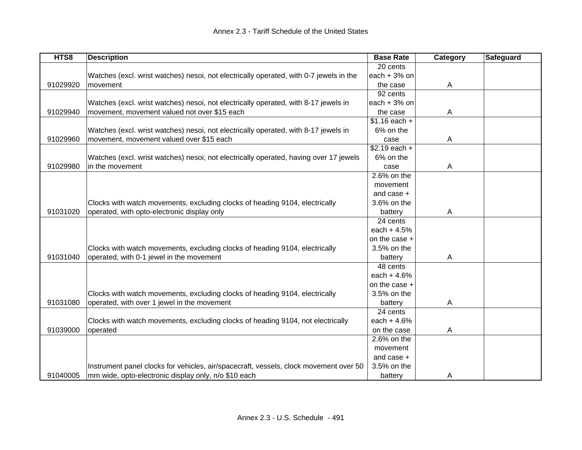| HTS8     | <b>Description</b>                                                                     | <b>Base Rate</b> | Category | <b>Safeguard</b> |
|----------|----------------------------------------------------------------------------------------|------------------|----------|------------------|
|          |                                                                                        | 20 cents         |          |                  |
|          | Watches (excl. wrist watches) nesoi, not electrically operated, with 0-7 jewels in the | each $+3%$ on    |          |                  |
| 91029920 | movement                                                                               | the case         | A        |                  |
|          |                                                                                        | 92 cents         |          |                  |
|          | Watches (excl. wrist watches) nesoi, not electrically operated, with 8-17 jewels in    | each $+3%$ on    |          |                  |
| 91029940 | movement, movement valued not over \$15 each                                           | the case         | A        |                  |
|          |                                                                                        | $$1.16$ each +   |          |                  |
|          | Watches (excl. wrist watches) nesoi, not electrically operated, with 8-17 jewels in    | 6% on the        |          |                  |
| 91029960 | movement, movement valued over \$15 each                                               | case             | Α        |                  |
|          |                                                                                        | $$2.19$ each +   |          |                  |
|          | Watches (excl. wrist watches) nesoi, not electrically operated, having over 17 jewels  | 6% on the        |          |                  |
| 91029980 | in the movement                                                                        | case             | A        |                  |
|          |                                                                                        | 2.6% on the      |          |                  |
|          |                                                                                        | movement         |          |                  |
|          |                                                                                        | and case +       |          |                  |
|          | Clocks with watch movements, excluding clocks of heading 9104, electrically            | 3.6% on the      |          |                  |
| 91031020 | operated, with opto-electronic display only                                            | battery          | A        |                  |
|          |                                                                                        | 24 cents         |          |                  |
|          |                                                                                        | each $+4.5%$     |          |                  |
|          |                                                                                        | on the case +    |          |                  |
|          | Clocks with watch movements, excluding clocks of heading 9104, electrically            | 3.5% on the      |          |                  |
| 91031040 | operated, with 0-1 jewel in the movement                                               | battery          | A        |                  |
|          |                                                                                        | 48 cents         |          |                  |
|          |                                                                                        | each $+4.6%$     |          |                  |
|          |                                                                                        | on the case +    |          |                  |
|          | Clocks with watch movements, excluding clocks of heading 9104, electrically            | 3.5% on the      |          |                  |
| 91031080 | operated, with over 1 jewel in the movement                                            | battery          | A        |                  |
|          |                                                                                        | 24 cents         |          |                  |
|          | Clocks with watch movements, excluding clocks of heading 9104, not electrically        | each $+4.6%$     |          |                  |
| 91039000 | operated                                                                               | on the case      | A        |                  |
|          |                                                                                        | 2.6% on the      |          |                  |
|          |                                                                                        | movement         |          |                  |
|          |                                                                                        | and case +       |          |                  |
|          | Instrument panel clocks for vehicles, air/spacecraft, vessels, clock movement over 50  | 3.5% on the      |          |                  |
| 91040005 | mm wide, opto-electronic display only, n/o \$10 each                                   | battery          | A        |                  |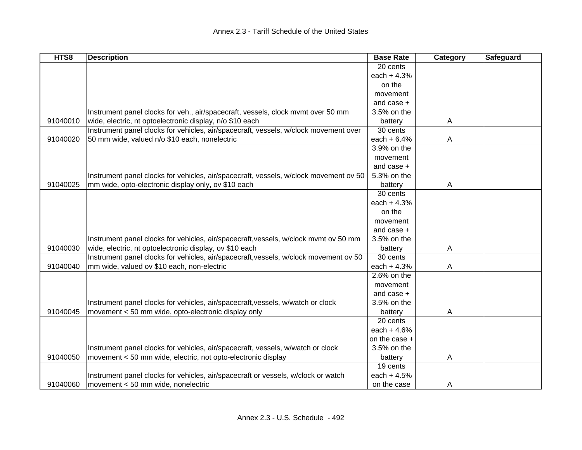| HTS8     | <b>Description</b>                                                                    | <b>Base Rate</b> | Category       | Safeguard |
|----------|---------------------------------------------------------------------------------------|------------------|----------------|-----------|
|          |                                                                                       | 20 cents         |                |           |
|          |                                                                                       | each $+4.3%$     |                |           |
|          |                                                                                       | on the           |                |           |
|          |                                                                                       | movement         |                |           |
|          |                                                                                       | and case +       |                |           |
|          | Instrument panel clocks for veh., air/spacecraft, vessels, clock mvmt over 50 mm      | 3.5% on the      |                |           |
| 91040010 | wide, electric, nt optoelectronic display, n/o \$10 each                              | battery          | A              |           |
|          | Instrument panel clocks for vehicles, air/spacecraft, vessels, w/clock movement over  | 30 cents         |                |           |
| 91040020 | 50 mm wide, valued n/o \$10 each, nonelectric                                         | each $+6.4%$     | A              |           |
|          |                                                                                       | 3.9% on the      |                |           |
|          |                                                                                       | movement         |                |           |
|          |                                                                                       | and case $+$     |                |           |
|          | Instrument panel clocks for vehicles, air/spacecraft, vessels, w/clock movement ov 50 | 5.3% on the      |                |           |
| 91040025 | mm wide, opto-electronic display only, ov \$10 each                                   | battery          | $\overline{A}$ |           |
|          |                                                                                       | 30 cents         |                |           |
|          |                                                                                       | each $+4.3%$     |                |           |
|          |                                                                                       | on the           |                |           |
|          |                                                                                       | movement         |                |           |
|          |                                                                                       | and case $+$     |                |           |
|          | Instrument panel clocks for vehicles, air/spacecraft, vessels, w/clock mvmt ov 50 mm  | 3.5% on the      |                |           |
| 91040030 | wide, electric, nt optoelectronic display, ov \$10 each                               | battery          | A              |           |
|          | Instrument panel clocks for vehicles, air/spacecraft, vessels, w/clock movement ov 50 | 30 cents         |                |           |
| 91040040 | mm wide, valued ov \$10 each, non-electric                                            | each + 4.3%      | A              |           |
|          |                                                                                       | 2.6% on the      |                |           |
|          |                                                                                       | movement         |                |           |
|          |                                                                                       | and case +       |                |           |
|          | Instrument panel clocks for vehicles, air/spacecraft, vessels, w/watch or clock       | 3.5% on the      |                |           |
| 91040045 | movement < 50 mm wide, opto-electronic display only                                   | battery          | $\mathsf{A}$   |           |
|          |                                                                                       | 20 cents         |                |           |
|          |                                                                                       | each $+4.6%$     |                |           |
|          |                                                                                       | on the case +    |                |           |
|          | Instrument panel clocks for vehicles, air/spacecraft, vessels, w/watch or clock       | 3.5% on the      |                |           |
| 91040050 | movement < 50 mm wide, electric, not opto-electronic display                          | battery          | $\mathsf{A}$   |           |
|          |                                                                                       | 19 cents         |                |           |
|          | Instrument panel clocks for vehicles, air/spacecraft or vessels, w/clock or watch     | each $+4.5%$     |                |           |
| 91040060 | movement < 50 mm wide, nonelectric                                                    | on the case      |                |           |
|          |                                                                                       |                  | A              |           |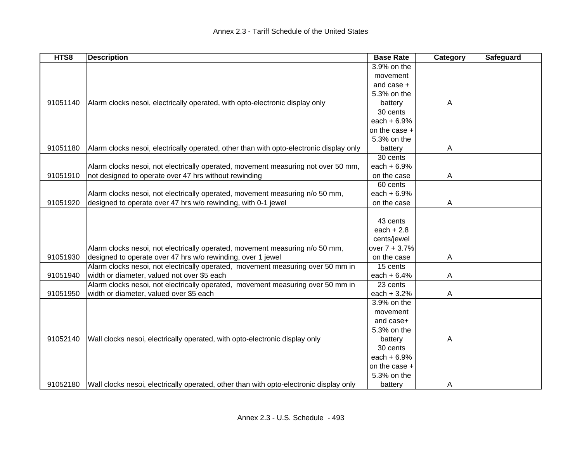| HTS8     | <b>Description</b>                                                                      | <b>Base Rate</b> | Category | Safeguard |
|----------|-----------------------------------------------------------------------------------------|------------------|----------|-----------|
|          |                                                                                         | 3.9% on the      |          |           |
|          |                                                                                         | movement         |          |           |
|          |                                                                                         | and case +       |          |           |
|          |                                                                                         | 5.3% on the      |          |           |
| 91051140 | Alarm clocks nesoi, electrically operated, with opto-electronic display only            | battery          | A        |           |
|          |                                                                                         | 30 cents         |          |           |
|          |                                                                                         | each $+6.9%$     |          |           |
|          |                                                                                         | on the case +    |          |           |
|          |                                                                                         | 5.3% on the      |          |           |
| 91051180 | Alarm clocks nesoi, electrically operated, other than with opto-electronic display only | battery          | A        |           |
|          |                                                                                         | 30 cents         |          |           |
|          | Alarm clocks nesoi, not electrically operated, movement measuring not over 50 mm,       | each $+6.9%$     |          |           |
| 91051910 | not designed to operate over 47 hrs without rewinding                                   | on the case      | A        |           |
|          |                                                                                         | 60 cents         |          |           |
|          | Alarm clocks nesoi, not electrically operated, movement measuring n/o 50 mm,            | each $+6.9%$     |          |           |
| 91051920 | designed to operate over 47 hrs w/o rewinding, with 0-1 jewel                           | on the case      | A        |           |
|          |                                                                                         |                  |          |           |
|          |                                                                                         | 43 cents         |          |           |
|          |                                                                                         | each $+2.8$      |          |           |
|          |                                                                                         | cents/jewel      |          |           |
|          | Alarm clocks nesoi, not electrically operated, movement measuring n/o 50 mm,            | over 7 + 3.7%    |          |           |
| 91051930 | designed to operate over 47 hrs w/o rewinding, over 1 jewel                             | on the case      | A        |           |
|          | Alarm clocks nesoi, not electrically operated, movement measuring over 50 mm in         | 15 cents         |          |           |
| 91051940 | width or diameter, valued not over \$5 each                                             | each $+6.4%$     | A        |           |
|          | Alarm clocks nesoi, not electrically operated, movement measuring over 50 mm in         | 23 cents         |          |           |
| 91051950 | width or diameter, valued over \$5 each                                                 | each $+3.2%$     | А        |           |
|          |                                                                                         | 3.9% on the      |          |           |
|          |                                                                                         | movement         |          |           |
|          |                                                                                         | and case+        |          |           |
|          |                                                                                         | 5.3% on the      |          |           |
| 91052140 | Wall clocks nesoi, electrically operated, with opto-electronic display only             | battery          | Α        |           |
|          |                                                                                         | 30 cents         |          |           |
|          |                                                                                         | each $+6.9%$     |          |           |
|          |                                                                                         | on the case +    |          |           |
|          |                                                                                         | 5.3% on the      |          |           |
| 91052180 | Wall clocks nesoi, electrically operated, other than with opto-electronic display only  | battery          | Α        |           |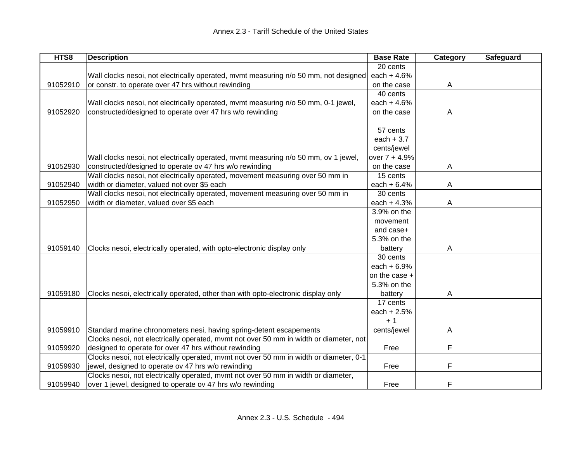| HTS8     | <b>Description</b>                                                                     | <b>Base Rate</b> | Category | Safeguard |
|----------|----------------------------------------------------------------------------------------|------------------|----------|-----------|
|          |                                                                                        | 20 cents         |          |           |
|          | Wall clocks nesoi, not electrically operated, mymt measuring n/o 50 mm, not designed   | each $+4.6%$     |          |           |
| 91052910 | or constr. to operate over 47 hrs without rewinding                                    | on the case      | Α        |           |
|          |                                                                                        | 40 cents         |          |           |
|          | Wall clocks nesoi, not electrically operated, mvmt measuring n/o 50 mm, 0-1 jewel,     | each $+4.6%$     |          |           |
| 91052920 | constructed/designed to operate over 47 hrs w/o rewinding                              | on the case      | A        |           |
|          |                                                                                        |                  |          |           |
|          |                                                                                        | 57 cents         |          |           |
|          |                                                                                        | each $+3.7$      |          |           |
|          |                                                                                        | cents/jewel      |          |           |
|          | Wall clocks nesoi, not electrically operated, mvmt measuring n/o 50 mm, ov 1 jewel,    | over 7 + 4.9%    |          |           |
| 91052930 | constructed/designed to operate ov 47 hrs w/o rewinding                                | on the case      | Α        |           |
|          | Wall clocks nesoi, not electrically operated, movement measuring over 50 mm in         | 15 cents         |          |           |
| 91052940 | width or diameter, valued not over \$5 each                                            | each $+ 6.4%$    | A        |           |
|          | Wall clocks nesoi, not electrically operated, movement measuring over 50 mm in         | 30 cents         |          |           |
| 91052950 | width or diameter, valued over \$5 each                                                | each $+4.3%$     | A        |           |
|          |                                                                                        | 3.9% on the      |          |           |
|          |                                                                                        | movement         |          |           |
|          |                                                                                        | and case+        |          |           |
|          |                                                                                        | 5.3% on the      |          |           |
| 91059140 | Clocks nesoi, electrically operated, with opto-electronic display only                 | battery          | Α        |           |
|          |                                                                                        | 30 cents         |          |           |
|          |                                                                                        | each $+6.9%$     |          |           |
|          |                                                                                        | on the case +    |          |           |
|          |                                                                                        | 5.3% on the      |          |           |
| 91059180 | Clocks nesoi, electrically operated, other than with opto-electronic display only      | battery          | A        |           |
|          |                                                                                        | 17 cents         |          |           |
|          |                                                                                        | each + 2.5%      |          |           |
|          |                                                                                        | $+1$             |          |           |
| 91059910 | Standard marine chronometers nesi, having spring-detent escapements                    | cents/jewel      | A        |           |
|          | Clocks nesoi, not electrically operated, mvmt not over 50 mm in width or diameter, not |                  |          |           |
| 91059920 | designed to operate for over 47 hrs without rewinding                                  | Free             | F        |           |
|          | Clocks nesoi, not electrically operated, mvmt not over 50 mm in width or diameter, 0-1 |                  |          |           |
| 91059930 | jewel, designed to operate ov 47 hrs w/o rewinding                                     | Free             | F        |           |
|          | Clocks nesoi, not electrically operated, mvmt not over 50 mm in width or diameter,     |                  |          |           |
| 91059940 | over 1 jewel, designed to operate ov 47 hrs w/o rewinding                              | Free             | F        |           |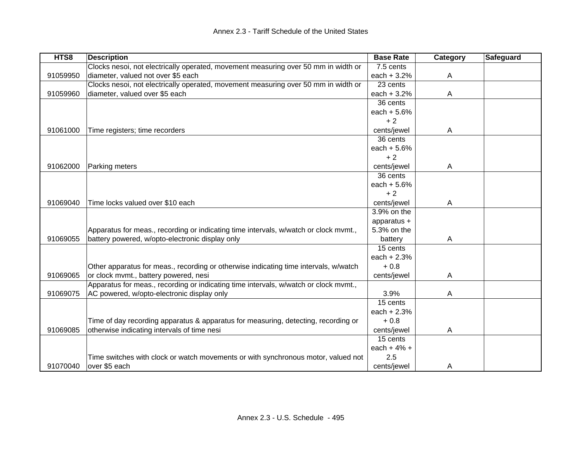| HTS8     | <b>Description</b>                                                                   | <b>Base Rate</b> | Category | Safeguard |
|----------|--------------------------------------------------------------------------------------|------------------|----------|-----------|
|          | Clocks nesoi, not electrically operated, movement measuring over 50 mm in width or   | 7.5 cents        |          |           |
| 91059950 | diameter, valued not over \$5 each                                                   | each $+3.2%$     | A        |           |
|          | Clocks nesoi, not electrically operated, movement measuring over 50 mm in width or   | 23 cents         |          |           |
| 91059960 | diameter, valued over \$5 each                                                       | each $+3.2%$     | A        |           |
|          |                                                                                      | 36 cents         |          |           |
|          |                                                                                      | each $+5.6%$     |          |           |
|          |                                                                                      | $+2$             |          |           |
| 91061000 | Time registers; time recorders                                                       | cents/jewel      | A        |           |
|          |                                                                                      | 36 cents         |          |           |
|          |                                                                                      | each $+ 5.6%$    |          |           |
|          |                                                                                      | $+2$             |          |           |
| 91062000 | Parking meters                                                                       | cents/jewel      | A        |           |
|          |                                                                                      | 36 cents         |          |           |
|          |                                                                                      | each $+5.6%$     |          |           |
|          |                                                                                      | $+2$             |          |           |
| 91069040 | Time locks valued over \$10 each                                                     | cents/jewel      | A        |           |
|          |                                                                                      | 3.9% on the      |          |           |
|          |                                                                                      | apparatus +      |          |           |
|          | Apparatus for meas., recording or indicating time intervals, w/watch or clock mvmt., | 5.3% on the      |          |           |
| 91069055 | battery powered, w/opto-electronic display only                                      | battery          | A        |           |
|          |                                                                                      | 15 cents         |          |           |
|          |                                                                                      | each $+2.3%$     |          |           |
|          | Other apparatus for meas., recording or otherwise indicating time intervals, w/watch | $+0.8$           |          |           |
| 91069065 | or clock mvmt., battery powered, nesi                                                | cents/jewel      | A        |           |
|          | Apparatus for meas., recording or indicating time intervals, w/watch or clock mvmt., |                  |          |           |
| 91069075 | AC powered, w/opto-electronic display only                                           | 3.9%             | A        |           |
|          |                                                                                      | 15 cents         |          |           |
|          |                                                                                      | each $+2.3%$     |          |           |
|          | Time of day recording apparatus & apparatus for measuring, detecting, recording or   | $+0.8$           |          |           |
| 91069085 | otherwise indicating intervals of time nesi                                          | cents/jewel      | A        |           |
|          |                                                                                      | 15 cents         |          |           |
|          |                                                                                      | each + $4%$ +    |          |           |
|          | Time switches with clock or watch movements or with synchronous motor, valued not    | 2.5              |          |           |
| 91070040 | over \$5 each                                                                        | cents/jewel      | A        |           |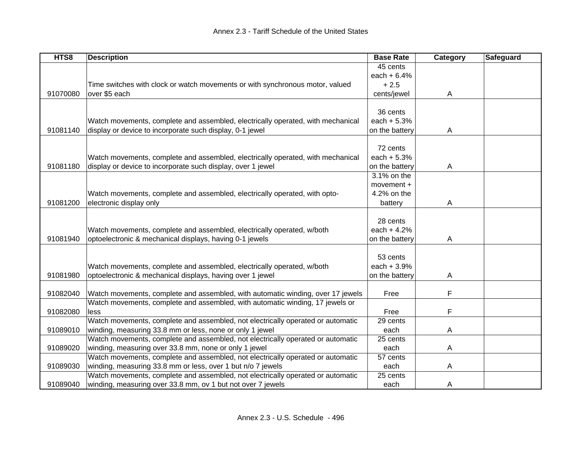| HTS8     | <b>Description</b>                                                              | <b>Base Rate</b> | Category     | Safeguard |
|----------|---------------------------------------------------------------------------------|------------------|--------------|-----------|
|          |                                                                                 | 45 cents         |              |           |
|          |                                                                                 | each $+ 6.4%$    |              |           |
|          | Time switches with clock or watch movements or with synchronous motor, valued   | $+2.5$           |              |           |
| 91070080 | over \$5 each                                                                   | cents/jewel      | $\mathsf{A}$ |           |
|          |                                                                                 |                  |              |           |
|          |                                                                                 | 36 cents         |              |           |
|          | Watch movements, complete and assembled, electrically operated, with mechanical | each $+5.3%$     |              |           |
| 91081140 | display or device to incorporate such display, 0-1 jewel                        | on the battery   | Α            |           |
|          |                                                                                 |                  |              |           |
|          |                                                                                 | 72 cents         |              |           |
|          | Watch movements, complete and assembled, electrically operated, with mechanical | each $+5.3%$     |              |           |
| 91081180 | display or device to incorporate such display, over 1 jewel                     | on the battery   | A            |           |
|          |                                                                                 | 3.1% on the      |              |           |
|          |                                                                                 | movement $+$     |              |           |
|          | Watch movements, complete and assembled, electrically operated, with opto-      | 4.2% on the      |              |           |
| 91081200 | electronic display only                                                         | battery          | A            |           |
|          |                                                                                 |                  |              |           |
|          |                                                                                 | 28 cents         |              |           |
|          | Watch movements, complete and assembled, electrically operated, w/both          | each $+4.2%$     |              |           |
| 91081940 | optoelectronic & mechanical displays, having 0-1 jewels                         | on the battery   | A            |           |
|          |                                                                                 |                  |              |           |
|          |                                                                                 | 53 cents         |              |           |
|          | Watch movements, complete and assembled, electrically operated, w/both          | each $+3.9%$     |              |           |
| 91081980 | optoelectronic & mechanical displays, having over 1 jewel                       | on the battery   | A            |           |
|          |                                                                                 |                  |              |           |
| 91082040 | Watch movements, complete and assembled, with automatic winding, over 17 jewels | Free             | F            |           |
|          | Watch movements, complete and assembled, with automatic winding, 17 jewels or   |                  |              |           |
| 91082080 | less                                                                            | Free             | F            |           |
|          | Watch movements, complete and assembled, not electrically operated or automatic | 29 cents         |              |           |
| 91089010 | winding, measuring 33.8 mm or less, none or only 1 jewel                        | each             | A            |           |
|          | Watch movements, complete and assembled, not electrically operated or automatic | 25 cents         |              |           |
| 91089020 | winding, measuring over 33.8 mm, none or only 1 jewel                           | each             | A            |           |
|          | Watch movements, complete and assembled, not electrically operated or automatic | 57 cents         |              |           |
| 91089030 | winding, measuring 33.8 mm or less, over 1 but n/o 7 jewels                     | each             | A            |           |
|          | Watch movements, complete and assembled, not electrically operated or automatic | 25 cents         |              |           |
| 91089040 | winding, measuring over 33.8 mm, ov 1 but not over 7 jewels                     | each             | A            |           |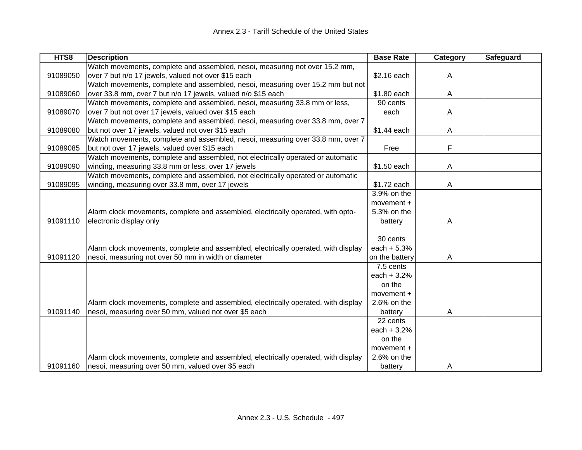| HTS8     | <b>Description</b>                                                                 | <b>Base Rate</b> | Category | <b>Safeguard</b> |
|----------|------------------------------------------------------------------------------------|------------------|----------|------------------|
|          | Watch movements, complete and assembled, nesoi, measuring not over 15.2 mm,        |                  |          |                  |
| 91089050 | over 7 but n/o 17 jewels, valued not over \$15 each                                | \$2.16 each      | A        |                  |
|          | Watch movements, complete and assembled, nesoi, measuring over 15.2 mm but not     |                  |          |                  |
| 91089060 | over 33.8 mm, over 7 but n/o 17 jewels, valued n/o \$15 each                       | \$1.80 each      | A        |                  |
|          | Watch movements, complete and assembled, nesoi, measuring 33.8 mm or less,         | 90 cents         |          |                  |
| 91089070 | over 7 but not over 17 jewels, valued over \$15 each                               | each             | Α        |                  |
|          | Watch movements, complete and assembled, nesoi, measuring over 33.8 mm, over 7     |                  |          |                  |
| 91089080 | but not over 17 jewels, valued not over \$15 each                                  | \$1.44 each      | Α        |                  |
|          | Watch movements, complete and assembled, nesoi, measuring over 33.8 mm, over 7     |                  |          |                  |
| 91089085 | but not over 17 jewels, valued over \$15 each                                      | Free             | F        |                  |
|          | Watch movements, complete and assembled, not electrically operated or automatic    |                  |          |                  |
| 91089090 | winding, measuring 33.8 mm or less, over 17 jewels                                 | \$1.50 each      | A        |                  |
|          | Watch movements, complete and assembled, not electrically operated or automatic    |                  |          |                  |
| 91089095 | winding, measuring over 33.8 mm, over 17 jewels                                    | \$1.72 each      | A        |                  |
|          |                                                                                    | 3.9% on the      |          |                  |
|          |                                                                                    | movement +       |          |                  |
|          | Alarm clock movements, complete and assembled, electrically operated, with opto-   | 5.3% on the      |          |                  |
| 91091110 | electronic display only                                                            | battery          | Α        |                  |
|          |                                                                                    |                  |          |                  |
|          |                                                                                    | 30 cents         |          |                  |
|          | Alarm clock movements, complete and assembled, electrically operated, with display | each $+5.3%$     |          |                  |
| 91091120 | nesoi, measuring not over 50 mm in width or diameter                               | on the battery   | Α        |                  |
|          |                                                                                    | 7.5 cents        |          |                  |
|          |                                                                                    | each $+3.2%$     |          |                  |
|          |                                                                                    | on the           |          |                  |
|          |                                                                                    | movement +       |          |                  |
|          | Alarm clock movements, complete and assembled, electrically operated, with display | 2.6% on the      |          |                  |
| 91091140 | nesoi, measuring over 50 mm, valued not over \$5 each                              | battery          | A        |                  |
|          |                                                                                    | 22 cents         |          |                  |
|          |                                                                                    | each $+3.2%$     |          |                  |
|          |                                                                                    | on the           |          |                  |
|          |                                                                                    | movement $+$     |          |                  |
|          | Alarm clock movements, complete and assembled, electrically operated, with display | $2.6%$ on the    |          |                  |
| 91091160 | nesoi, measuring over 50 mm, valued over \$5 each                                  | battery          | A        |                  |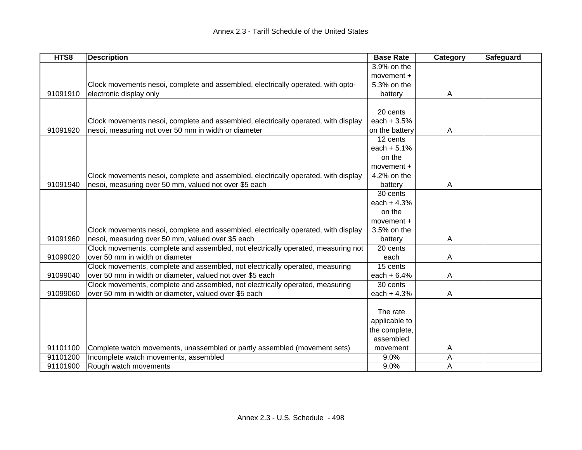| HTS8     | <b>Description</b>                                                                 | <b>Base Rate</b> | Category | Safeguard |
|----------|------------------------------------------------------------------------------------|------------------|----------|-----------|
|          |                                                                                    | 3.9% on the      |          |           |
|          |                                                                                    | movement +       |          |           |
|          | Clock movements nesoi, complete and assembled, electrically operated, with opto-   | 5.3% on the      |          |           |
| 91091910 | electronic display only                                                            | battery          | A        |           |
|          |                                                                                    |                  |          |           |
|          |                                                                                    | 20 cents         |          |           |
|          | Clock movements nesoi, complete and assembled, electrically operated, with display | each $+3.5%$     |          |           |
| 91091920 | nesoi, measuring not over 50 mm in width or diameter                               | on the battery   | A        |           |
|          |                                                                                    | 12 cents         |          |           |
|          |                                                                                    | each $+ 5.1%$    |          |           |
|          |                                                                                    | on the           |          |           |
|          |                                                                                    | movement +       |          |           |
|          | Clock movements nesoi, complete and assembled, electrically operated, with display | 4.2% on the      |          |           |
| 91091940 | nesoi, measuring over 50 mm, valued not over \$5 each                              | battery          | A        |           |
|          |                                                                                    | 30 cents         |          |           |
|          |                                                                                    | each $+4.3%$     |          |           |
|          |                                                                                    | on the           |          |           |
|          |                                                                                    | movement $+$     |          |           |
|          | Clock movements nesoi, complete and assembled, electrically operated, with display | 3.5% on the      |          |           |
| 91091960 | nesoi, measuring over 50 mm, valued over \$5 each                                  | battery          | A        |           |
|          | Clock movements, complete and assembled, not electrically operated, measuring not  | 20 cents         |          |           |
| 91099020 | over 50 mm in width or diameter                                                    | each             | A        |           |
|          | Clock movements, complete and assembled, not electrically operated, measuring      | 15 cents         |          |           |
| 91099040 | over 50 mm in width or diameter, valued not over \$5 each                          | each $+ 6.4%$    | Α        |           |
|          | Clock movements, complete and assembled, not electrically operated, measuring      | 30 cents         |          |           |
| 91099060 | over 50 mm in width or diameter, valued over \$5 each                              | each $+4.3%$     | A        |           |
|          |                                                                                    |                  |          |           |
|          |                                                                                    | The rate         |          |           |
|          |                                                                                    | applicable to    |          |           |
|          |                                                                                    | the complete,    |          |           |
|          |                                                                                    | assembled        |          |           |
| 91101100 | Complete watch movements, unassembled or partly assembled (movement sets)          | movement         | Α        |           |
| 91101200 | Incomplete watch movements, assembled                                              | 9.0%             | A        |           |
| 91101900 | Rough watch movements                                                              | 9.0%             | Α        |           |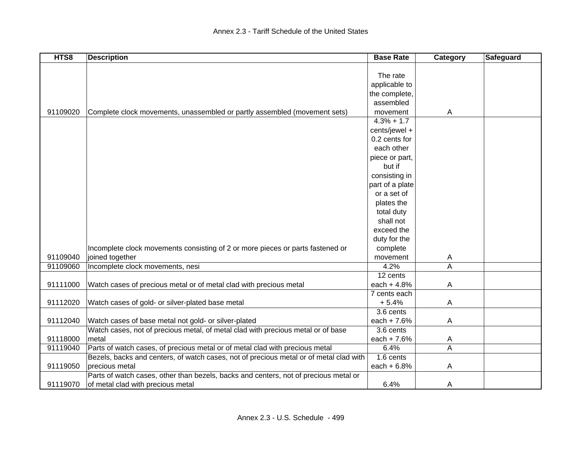| HTS8     | <b>Description</b>                                                                     | <b>Base Rate</b> | Category       | Safeguard |
|----------|----------------------------------------------------------------------------------------|------------------|----------------|-----------|
|          |                                                                                        |                  |                |           |
|          |                                                                                        | The rate         |                |           |
|          |                                                                                        | applicable to    |                |           |
|          |                                                                                        | the complete,    |                |           |
|          |                                                                                        | assembled        |                |           |
| 91109020 | Complete clock movements, unassembled or partly assembled (movement sets)              | movement         | $\overline{A}$ |           |
|          |                                                                                        | $4.3% + 1.7$     |                |           |
|          |                                                                                        | cents/jewel +    |                |           |
|          |                                                                                        | 0.2 cents for    |                |           |
|          |                                                                                        | each other       |                |           |
|          |                                                                                        | piece or part,   |                |           |
|          |                                                                                        | but if           |                |           |
|          |                                                                                        | consisting in    |                |           |
|          |                                                                                        | part of a plate  |                |           |
|          |                                                                                        | or a set of      |                |           |
|          |                                                                                        | plates the       |                |           |
|          |                                                                                        | total duty       |                |           |
|          |                                                                                        | shall not        |                |           |
|          |                                                                                        | exceed the       |                |           |
|          |                                                                                        | duty for the     |                |           |
|          | Incomplete clock movements consisting of 2 or more pieces or parts fastened or         | complete         |                |           |
| 91109040 | joined together                                                                        | movement         | A              |           |
| 91109060 | Incomplete clock movements, nesi                                                       | 4.2%             | A              |           |
|          |                                                                                        | 12 cents         |                |           |
| 91111000 | Watch cases of precious metal or of metal clad with precious metal                     | each + 4.8%      | A              |           |
|          |                                                                                        | 7 cents each     |                |           |
| 91112020 | Watch cases of gold- or silver-plated base metal                                       | $+5.4%$          | A              |           |
|          |                                                                                        | 3.6 cents        |                |           |
| 91112040 | Watch cases of base metal not gold- or silver-plated                                   | each + $7.6%$    | $\mathsf{A}$   |           |
|          | Watch cases, not of precious metal, of metal clad with precious metal or of base       | 3.6 cents        |                |           |
| 91118000 | metal                                                                                  | each + $7.6%$    | A              |           |
| 91119040 | Parts of watch cases, of precious metal or of metal clad with precious metal           | 6.4%             | A              |           |
|          | Bezels, backs and centers, of watch cases, not of precious metal or of metal clad with | 1.6 cents        |                |           |
| 91119050 | precious metal                                                                         | each $+6.8%$     | A              |           |
|          | Parts of watch cases, other than bezels, backs and centers, not of precious metal or   |                  |                |           |
| 91119070 | of metal clad with precious metal                                                      | 6.4%             | A              |           |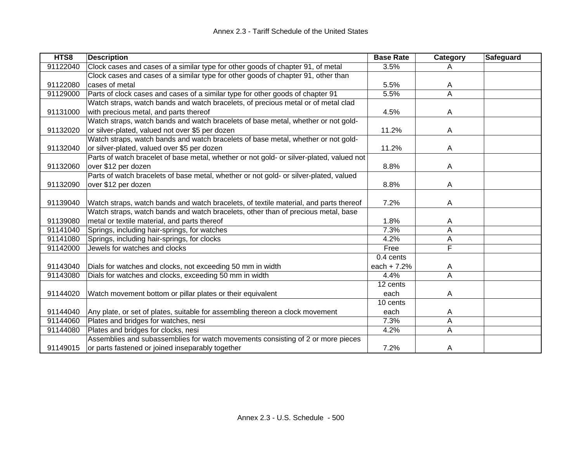| HTS8     | <b>Description</b>                                                                       | <b>Base Rate</b> | Category                | <b>Safeguard</b> |
|----------|------------------------------------------------------------------------------------------|------------------|-------------------------|------------------|
| 91122040 | Clock cases and cases of a similar type for other goods of chapter 91, of metal          | 3.5%             | A                       |                  |
|          | Clock cases and cases of a similar type for other goods of chapter 91, other than        |                  |                         |                  |
| 91122080 | cases of metal                                                                           | 5.5%             | A                       |                  |
| 91129000 | Parts of clock cases and cases of a similar type for other goods of chapter 91           | 5.5%             | A                       |                  |
|          | Watch straps, watch bands and watch bracelets, of precious metal or of metal clad        |                  |                         |                  |
| 91131000 | with precious metal, and parts thereof                                                   | 4.5%             | A                       |                  |
|          | Watch straps, watch bands and watch bracelets of base metal, whether or not gold-        |                  |                         |                  |
| 91132020 | or silver-plated, valued not over \$5 per dozen                                          | 11.2%            | A                       |                  |
|          | Watch straps, watch bands and watch bracelets of base metal, whether or not gold-        |                  |                         |                  |
| 91132040 | or silver-plated, valued over \$5 per dozen                                              | 11.2%            | A                       |                  |
|          | Parts of watch bracelet of base metal, whether or not gold- or silver-plated, valued not |                  |                         |                  |
| 91132060 | over \$12 per dozen                                                                      | 8.8%             | A                       |                  |
|          | Parts of watch bracelets of base metal, whether or not gold- or silver-plated, valued    |                  |                         |                  |
| 91132090 | over \$12 per dozen                                                                      | 8.8%             | A                       |                  |
|          |                                                                                          |                  |                         |                  |
| 91139040 | Watch straps, watch bands and watch bracelets, of textile material, and parts thereof    | 7.2%             | A                       |                  |
|          | Watch straps, watch bands and watch bracelets, other than of precious metal, base        |                  |                         |                  |
| 91139080 | metal or textile material, and parts thereof                                             | 1.8%             | A                       |                  |
| 91141040 | Springs, including hair-springs, for watches                                             | 7.3%             | A                       |                  |
| 91141080 | Springs, including hair-springs, for clocks                                              | 4.2%             | Α                       |                  |
| 91142000 | Jewels for watches and clocks                                                            | Free             | F                       |                  |
|          |                                                                                          | 0.4 cents        |                         |                  |
| 91143040 | Dials for watches and clocks, not exceeding 50 mm in width                               | each $+7.2%$     | A                       |                  |
| 91143080 | Dials for watches and clocks, exceeding 50 mm in width                                   | 4.4%             | $\overline{\mathsf{A}}$ |                  |
|          |                                                                                          | 12 cents         |                         |                  |
| 91144020 | Watch movement bottom or pillar plates or their equivalent                               | each             | A                       |                  |
|          |                                                                                          | 10 cents         |                         |                  |
| 91144040 | Any plate, or set of plates, suitable for assembling thereon a clock movement            | each             | A                       |                  |
| 91144060 | Plates and bridges for watches, nesi                                                     | 7.3%             | A                       |                  |
| 91144080 | Plates and bridges for clocks, nesi                                                      | 4.2%             | Α                       |                  |
|          | Assemblies and subassemblies for watch movements consisting of 2 or more pieces          |                  |                         |                  |
| 91149015 | or parts fastened or joined inseparably together                                         | 7.2%             | $\mathsf{A}$            |                  |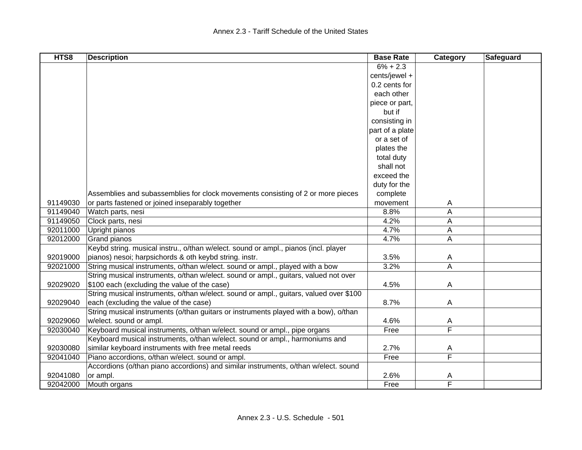| HTS8     | <b>Description</b>                                                                     | <b>Base Rate</b> | Category                | Safeguard |
|----------|----------------------------------------------------------------------------------------|------------------|-------------------------|-----------|
|          |                                                                                        | $6\% + 2.3$      |                         |           |
|          |                                                                                        | cents/jewel +    |                         |           |
|          |                                                                                        | 0.2 cents for    |                         |           |
|          |                                                                                        | each other       |                         |           |
|          |                                                                                        | piece or part,   |                         |           |
|          |                                                                                        | but if           |                         |           |
|          |                                                                                        | consisting in    |                         |           |
|          |                                                                                        | part of a plate  |                         |           |
|          |                                                                                        | or a set of      |                         |           |
|          |                                                                                        | plates the       |                         |           |
|          |                                                                                        | total duty       |                         |           |
|          |                                                                                        | shall not        |                         |           |
|          |                                                                                        | exceed the       |                         |           |
|          |                                                                                        | duty for the     |                         |           |
|          | Assemblies and subassemblies for clock movements consisting of 2 or more pieces        | complete         |                         |           |
| 91149030 | or parts fastened or joined inseparably together                                       | movement         | A                       |           |
| 91149040 | Watch parts, nesi                                                                      | 8.8%             | A                       |           |
| 91149050 | Clock parts, nesi                                                                      | 4.2%             | A                       |           |
| 92011000 | Upright pianos                                                                         | 4.7%             | A                       |           |
| 92012000 | Grand pianos                                                                           | 4.7%             | $\mathsf{A}$            |           |
|          | Keybd string. musical instru., o/than w/elect. sound or ampl., pianos (incl. player    |                  |                         |           |
| 92019000 | pianos) nesoi; harpsichords & oth keybd string. instr.                                 | 3.5%             | A                       |           |
| 92021000 | String musical instruments, o/than w/elect. sound or ampl., played with a bow          | 3.2%             | A                       |           |
|          | String musical instruments, o/than w/elect. sound or ampl., guitars, valued not over   |                  |                         |           |
| 92029020 | \$100 each (excluding the value of the case)                                           | 4.5%             | $\mathsf{A}$            |           |
|          | String musical instruments, o/than w/elect. sound or ampl., guitars, valued over \$100 |                  |                         |           |
| 92029040 | each (excluding the value of the case)                                                 | 8.7%             | $\mathsf{A}$            |           |
|          | String musical instruments (o/than guitars or instruments played with a bow), o/than   |                  |                         |           |
| 92029060 | w/elect. sound or ampl.                                                                | 4.6%             | A                       |           |
| 92030040 | Keyboard musical instruments, o/than w/elect. sound or ampl., pipe organs              | Free             | $\overline{\mathsf{F}}$ |           |
|          | Keyboard musical instruments, o/than w/elect. sound or ampl., harmoniums and           |                  |                         |           |
| 92030080 | similar keyboard instruments with free metal reeds                                     | 2.7%             | A                       |           |
| 92041040 | Piano accordions, o/than w/elect. sound or ampl.                                       | Free             | F                       |           |
|          | Accordions (o/than piano accordions) and similar instruments, o/than w/elect. sound    |                  |                         |           |
| 92041080 | or ampl.                                                                               | 2.6%             | A                       |           |
| 92042000 | Mouth organs                                                                           | Free             | $\overline{\mathsf{F}}$ |           |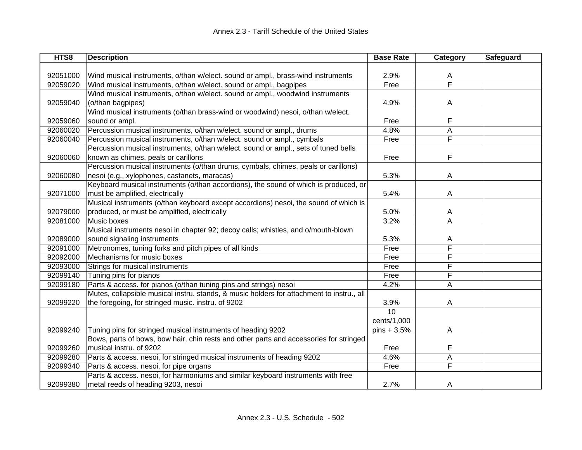| HTS8     | <b>Description</b>                                                                        | <b>Base Rate</b> | Category | Safeguard |
|----------|-------------------------------------------------------------------------------------------|------------------|----------|-----------|
|          |                                                                                           |                  |          |           |
| 92051000 | Wind musical instruments, o/than w/elect. sound or ampl., brass-wind instruments          | 2.9%             | A        |           |
| 92059020 | Wind musical instruments, o/than w/elect. sound or ampl., bagpipes                        | Free             | F        |           |
|          | Wind musical instruments, o/than w/elect. sound or ampl., woodwind instruments            |                  |          |           |
| 92059040 | (o/than bagpipes)                                                                         | 4.9%             | A        |           |
|          | Wind musical instruments (o/than brass-wind or woodwind) nesoi, o/than w/elect.           |                  |          |           |
| 92059060 | sound or ampl.                                                                            | Free             | F        |           |
| 92060020 | Percussion musical instruments, o/than w/elect. sound or ampl., drums                     | 4.8%             | А        |           |
| 92060040 | Percussion musical instruments, o/than w/elect. sound or ampl., cymbals                   | Free             | F        |           |
|          | Percussion musical instruments, o/than w/elect. sound or ampl., sets of tuned bells       |                  |          |           |
| 92060060 | known as chimes, peals or carillons                                                       | Free             | F        |           |
|          | Percussion musical instruments (o/than drums, cymbals, chimes, peals or carillons)        |                  |          |           |
| 92060080 | nesoi (e.g., xylophones, castanets, maracas)                                              | 5.3%             | A        |           |
|          | Keyboard musical instruments (o/than accordions), the sound of which is produced, or      |                  |          |           |
| 92071000 | must be amplified, electrically                                                           | 5.4%             | A        |           |
|          | Musical instruments (o/than keyboard except accordions) nesoi, the sound of which is      |                  |          |           |
| 92079000 | produced, or must be amplified, electrically                                              | 5.0%             | A        |           |
| 92081000 | Music boxes                                                                               | 3.2%             | A        |           |
|          | Musical instruments nesoi in chapter 92; decoy calls; whistles, and o/mouth-blown         |                  |          |           |
| 92089000 | sound signaling instruments                                                               | 5.3%             | A        |           |
| 92091000 | Metronomes, tuning forks and pitch pipes of all kinds                                     | Free             | F        |           |
| 92092000 | Mechanisms for music boxes                                                                | Free             | F        |           |
| 92093000 | Strings for musical instruments                                                           | Free             | F        |           |
| 92099140 | Tuning pins for pianos                                                                    | Free             | F        |           |
| 92099180 | Parts & access. for pianos (o/than tuning pins and strings) nesoi                         | 4.2%             | A        |           |
|          | Mutes, collapsible musical instru. stands, & music holders for attachment to instru., all |                  |          |           |
| 92099220 | the foregoing, for stringed music. instru. of 9202                                        | 3.9%             | A        |           |
|          |                                                                                           | $\overline{10}$  |          |           |
|          |                                                                                           | cents/1,000      |          |           |
| 92099240 | Tuning pins for stringed musical instruments of heading 9202                              | $pins + 3.5%$    | A        |           |
|          | Bows, parts of bows, bow hair, chin rests and other parts and accessories for stringed    |                  |          |           |
| 92099260 | musical instru. of 9202                                                                   | Free             | F        |           |
| 92099280 | Parts & access. nesoi, for stringed musical instruments of heading 9202                   | 4.6%             | A        |           |
| 92099340 | Parts & access. nesoi, for pipe organs                                                    | Free             | F        |           |
|          | Parts & access. nesoi, for harmoniums and similar keyboard instruments with free          |                  |          |           |
| 92099380 | metal reeds of heading 9203, nesoi                                                        | 2.7%             | A        |           |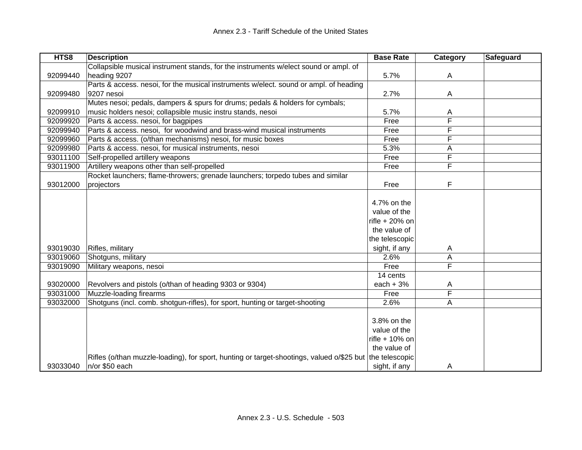| HTS8     | <b>Description</b>                                                                                       | <b>Base Rate</b> | Category | <b>Safeguard</b> |
|----------|----------------------------------------------------------------------------------------------------------|------------------|----------|------------------|
|          | Collapsible musical instrument stands, for the instruments w/elect sound or ampl. of                     |                  |          |                  |
| 92099440 | heading 9207                                                                                             | 5.7%             | Α        |                  |
|          | Parts & access. nesoi, for the musical instruments w/elect. sound or ampl. of heading                    |                  |          |                  |
| 92099480 | 9207 nesoi                                                                                               | 2.7%             | A        |                  |
|          | Mutes nesoi; pedals, dampers & spurs for drums; pedals & holders for cymbals;                            |                  |          |                  |
| 92099910 | music holders nesoi; collapsible music instru stands, nesoi                                              | 5.7%             | A        |                  |
| 92099920 | Parts & access. nesoi, for bagpipes                                                                      | Free             | F        |                  |
| 92099940 | Parts & access. nesoi, for woodwind and brass-wind musical instruments                                   | Free             | F        |                  |
| 92099960 | Parts & access. (o/than mechanisms) nesoi, for music boxes                                               | Free             | F        |                  |
| 92099980 | Parts & access. nesoi, for musical instruments, nesoi                                                    | 5.3%             | Α        |                  |
| 93011100 | Self-propelled artillery weapons                                                                         | Free             | F        |                  |
| 93011900 | Artillery weapons other than self-propelled                                                              | Free             | F        |                  |
|          | Rocket launchers; flame-throwers; grenade launchers; torpedo tubes and similar                           |                  |          |                  |
| 93012000 | projectors                                                                                               | Free             | F        |                  |
|          |                                                                                                          |                  |          |                  |
|          |                                                                                                          | 4.7% on the      |          |                  |
|          |                                                                                                          | value of the     |          |                  |
|          |                                                                                                          | rifle $+20\%$ on |          |                  |
|          |                                                                                                          | the value of     |          |                  |
|          |                                                                                                          | the telescopic   |          |                  |
| 93019030 | Rifles, military                                                                                         | sight, if any    | A        |                  |
| 93019060 | Shotguns, military                                                                                       | 2.6%             | A        |                  |
| 93019090 | Military weapons, nesoi                                                                                  | Free             | F        |                  |
|          |                                                                                                          | 14 cents         |          |                  |
| 93020000 | Revolvers and pistols (o/than of heading 9303 or 9304)                                                   | each $+3%$       | A        |                  |
| 93031000 | Muzzle-loading firearms                                                                                  | Free             | F        |                  |
| 93032000 | Shotguns (incl. comb. shotgun-rifles), for sport, hunting or target-shooting                             | 2.6%             | Α        |                  |
|          |                                                                                                          |                  |          |                  |
|          |                                                                                                          | 3.8% on the      |          |                  |
|          |                                                                                                          | value of the     |          |                  |
|          |                                                                                                          | rifle $+10%$ on  |          |                  |
|          |                                                                                                          | the value of     |          |                  |
|          | Rifles (o/than muzzle-loading), for sport, hunting or target-shootings, valued o/\$25 but the telescopic |                  |          |                  |
| 93033040 | n/or \$50 each                                                                                           | sight, if any    | A        |                  |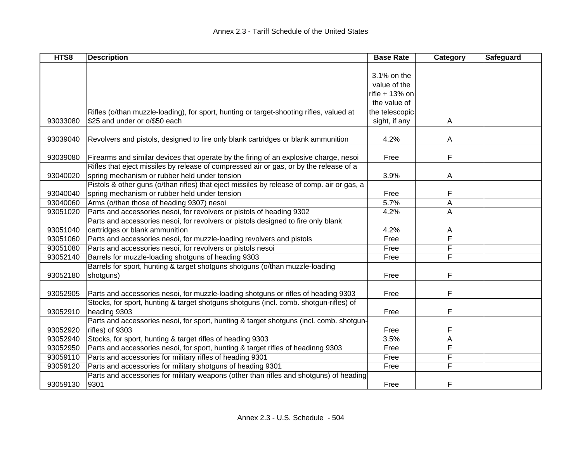| HTS8     | <b>Description</b>                                                                         | <b>Base Rate</b> | Category | Safeguard |
|----------|--------------------------------------------------------------------------------------------|------------------|----------|-----------|
|          |                                                                                            |                  |          |           |
|          |                                                                                            | 3.1% on the      |          |           |
|          |                                                                                            | value of the     |          |           |
|          |                                                                                            | rifle $+13%$ on  |          |           |
|          |                                                                                            | the value of     |          |           |
|          | Rifles (o/than muzzle-loading), for sport, hunting or target-shooting rifles, valued at    | the telescopic   |          |           |
| 93033080 | \$25 and under or o/\$50 each                                                              | sight, if any    | A        |           |
|          |                                                                                            |                  |          |           |
| 93039040 | Revolvers and pistols, designed to fire only blank cartridges or blank ammunition          | 4.2%             | A        |           |
|          |                                                                                            |                  |          |           |
| 93039080 | Firearms and similar devices that operate by the firing of an explosive charge, nesoi      | Free             | F        |           |
|          | Rifles that eject missiles by release of compressed air or gas, or by the release of a     |                  |          |           |
| 93040020 | spring mechanism or rubber held under tension                                              | 3.9%             | A        |           |
|          | Pistols & other guns (o/than rifles) that eject missiles by release of comp. air or gas, a |                  |          |           |
| 93040040 | spring mechanism or rubber held under tension                                              | Free             | F        |           |
| 93040060 | Arms (o/than those of heading 9307) nesoi                                                  | 5.7%             | A        |           |
| 93051020 | Parts and accessories nesoi, for revolvers or pistols of heading 9302                      | 4.2%             | A        |           |
|          | Parts and accessories nesoi, for revolvers or pistols designed to fire only blank          |                  |          |           |
| 93051040 | cartridges or blank ammunition                                                             | 4.2%             | A        |           |
| 93051060 | Parts and accessories nesoi, for muzzle-loading revolvers and pistols                      | Free             | F        |           |
| 93051080 | Parts and accessories nesoi, for revolvers or pistols nesoi                                | Free             | F        |           |
| 93052140 | Barrels for muzzle-loading shotguns of heading 9303                                        | Free             | F        |           |
|          | Barrels for sport, hunting & target shotguns shotguns (o/than muzzle-loading               |                  |          |           |
| 93052180 | shotguns)                                                                                  | Free             | F        |           |
|          |                                                                                            |                  |          |           |
| 93052905 | Parts and accessories nesoi, for muzzle-loading shotguns or rifles of heading 9303         | Free             | F        |           |
|          | Stocks, for sport, hunting & target shotguns shotguns (incl. comb. shotgun-rifles) of      |                  |          |           |
| 93052910 | heading 9303                                                                               | Free             | F        |           |
|          | Parts and accessories nesoi, for sport, hunting & target shotguns (incl. comb. shotgun-    |                  |          |           |
| 93052920 | rifles) of 9303                                                                            | Free             | F        |           |
| 93052940 | Stocks, for sport, hunting & target rifles of heading 9303                                 | 3.5%             | A        |           |
| 93052950 | Parts and accessories nesoi, for sport, hunting & target rifles of headinng 9303           | Free             | F        |           |
| 93059110 | Parts and accessories for military rifles of heading 9301                                  | Free             | F        |           |
| 93059120 | Parts and accessories for military shotguns of heading 9301                                | Free             | F        |           |
|          | Parts and accessories for military weapons (other than rifles and shotguns) of heading     |                  |          |           |
| 93059130 | 9301                                                                                       | Free             | F        |           |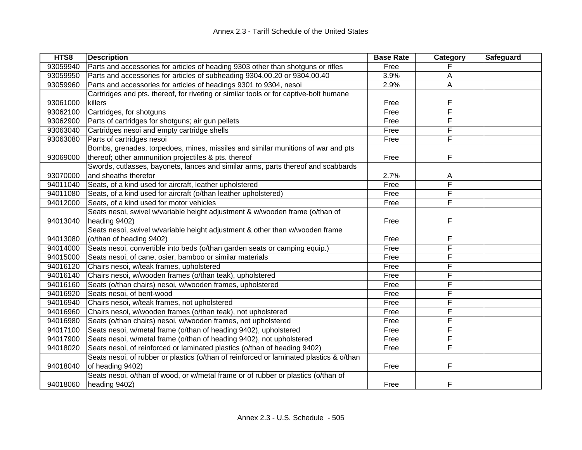| HTS8     | <b>Description</b>                                                                      | <b>Base Rate</b> | Category | Safeguard |
|----------|-----------------------------------------------------------------------------------------|------------------|----------|-----------|
| 93059940 | Parts and accessories for articles of heading 9303 other than shotguns or rifles        | Free             |          |           |
| 93059950 | Parts and accessories for articles of subheading 9304.00.20 or 9304.00.40               | 3.9%             | A        |           |
| 93059960 | Parts and accessories for articles of headings 9301 to 9304, nesoi                      | 2.9%             | A        |           |
|          | Cartridges and pts. thereof, for riveting or similar tools or for captive-bolt humane   |                  |          |           |
| 93061000 | killers                                                                                 | Free             | F        |           |
| 93062100 | Cartridges, for shotguns                                                                | Free             | F        |           |
| 93062900 | Parts of cartridges for shotguns; air gun pellets                                       | Free             | F        |           |
| 93063040 | Cartridges nesoi and empty cartridge shells                                             | Free             | F        |           |
| 93063080 | Parts of cartridges nesoi                                                               | Free             | F        |           |
|          | Bombs, grenades, torpedoes, mines, missiles and similar munitions of war and pts        |                  |          |           |
| 93069000 | thereof; other ammunition projectiles & pts. thereof                                    | Free             | F        |           |
|          | Swords, cutlasses, bayonets, lances and similar arms, parts thereof and scabbards       |                  |          |           |
| 93070000 | and sheaths therefor                                                                    | 2.7%             | A        |           |
| 94011040 | Seats, of a kind used for aircraft, leather upholstered                                 | Free             | F        |           |
| 94011080 | Seats, of a kind used for aircraft (o/than leather upholstered)                         | Free             | F        |           |
| 94012000 | Seats, of a kind used for motor vehicles                                                | Free             | F        |           |
|          | Seats nesoi, swivel w/variable height adjustment & w/wooden frame (o/than of            |                  |          |           |
| 94013040 | heading 9402)                                                                           | Free             | F        |           |
|          | Seats nesoi, swivel w/variable height adjustment & other than w/wooden frame            |                  |          |           |
| 94013080 | (o/than of heading 9402)                                                                | Free             | F        |           |
| 94014000 | Seats nesoi, convertible into beds (o/than garden seats or camping equip.)              | Free             | F        |           |
| 94015000 | Seats nesoi, of cane, osier, bamboo or similar materials                                | Free             | F        |           |
| 94016120 | Chairs nesoi, w/teak frames, upholstered                                                | Free             | F        |           |
| 94016140 | Chairs nesoi, w/wooden frames (o/than teak), upholstered                                | Free             | F        |           |
| 94016160 | Seats (o/than chairs) nesoi, w/wooden frames, upholstered                               | Free             | F        |           |
| 94016920 | Seats nesoi, of bent-wood                                                               | Free             | F        |           |
| 94016940 | Chairs nesoi, w/teak frames, not upholstered                                            | Free             | F        |           |
| 94016960 | Chairs nesoi, w/wooden frames (o/than teak), not upholstered                            | Free             | F        |           |
| 94016980 | Seats (o/than chairs) nesoi, w/wooden frames, not upholstered                           | Free             | F        |           |
| 94017100 | Seats nesoi, w/metal frame (o/than of heading 9402), upholstered                        | Free             | F        |           |
| 94017900 | Seats nesoi, w/metal frame (o/than of heading 9402), not upholstered                    | Free             | F        |           |
| 94018020 | Seats nesoi, of reinforced or laminated plastics (o/than of heading 9402)               | Free             | F        |           |
|          | Seats nesoi, of rubber or plastics (o/than of reinforced or laminated plastics & o/than |                  |          |           |
| 94018040 | of heading 9402)                                                                        | Free             | F        |           |
|          | Seats nesoi, o/than of wood, or w/metal frame or of rubber or plastics (o/than of       |                  |          |           |
| 94018060 | heading 9402)                                                                           | Free             | F        |           |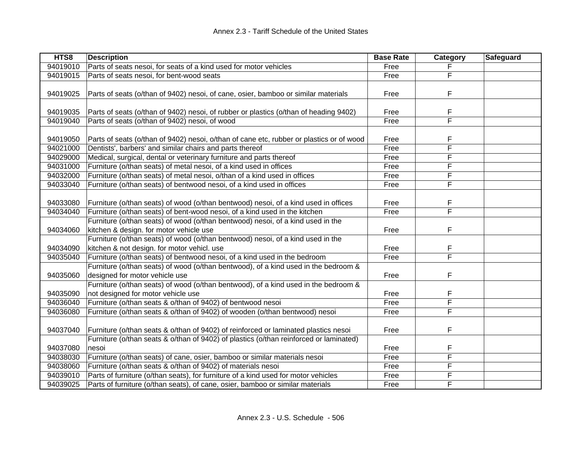| HTS8     | <b>Description</b>                                                                       | <b>Base Rate</b> | Category | Safeguard |
|----------|------------------------------------------------------------------------------------------|------------------|----------|-----------|
| 94019010 | Parts of seats nesoi, for seats of a kind used for motor vehicles                        | Free             |          |           |
| 94019015 | Parts of seats nesoi, for bent-wood seats                                                | Free             | F        |           |
|          |                                                                                          |                  |          |           |
| 94019025 | Parts of seats (o/than of 9402) nesoi, of cane, osier, bamboo or similar materials       | Free             | F        |           |
|          |                                                                                          |                  |          |           |
| 94019035 | Parts of seats (o/than of 9402) nesoi, of rubber or plastics (o/than of heading 9402)    | Free             | F        |           |
| 94019040 | Parts of seats (o/than of 9402) nesoi, of wood                                           | Free             | F        |           |
|          |                                                                                          |                  |          |           |
| 94019050 | Parts of seats (o/than of 9402) nesoi, o/than of cane etc, rubber or plastics or of wood | Free             | F        |           |
| 94021000 | Dentists', barbers' and similar chairs and parts thereof                                 | Free             | F        |           |
| 94029000 | Medical, surgical, dental or veterinary furniture and parts thereof                      | Free             | F        |           |
| 94031000 | Furniture (o/than seats) of metal nesoi, of a kind used in offices                       | Free             | F        |           |
| 94032000 | Furniture (o/than seats) of metal nesoi, o/than of a kind used in offices                | Free             | F        |           |
| 94033040 | Furniture (o/than seats) of bentwood nesoi, of a kind used in offices                    | Free             | F        |           |
|          |                                                                                          |                  |          |           |
| 94033080 | Furniture (o/than seats) of wood (o/than bentwood) nesoi, of a kind used in offices      | Free             | F        |           |
| 94034040 | Furniture (o/than seats) of bent-wood nesoi, of a kind used in the kitchen               | Free             | F        |           |
|          | Furniture (o/than seats) of wood (o/than bentwood) nesoi, of a kind used in the          |                  |          |           |
| 94034060 | kitchen & design. for motor vehicle use                                                  | Free             | F        |           |
|          | Furniture (o/than seats) of wood (o/than bentwood) nesoi, of a kind used in the          |                  |          |           |
| 94034090 | kitchen & not design. for motor vehicl. use                                              | Free             | F        |           |
| 94035040 | Furniture (o/than seats) of bentwood nesoi, of a kind used in the bedroom                | Free             | F        |           |
|          | Furniture (o/than seats) of wood (o/than bentwood), of a kind used in the bedroom &      |                  |          |           |
| 94035060 | designed for motor vehicle use                                                           | Free             | F        |           |
|          | Furniture (o/than seats) of wood (o/than bentwood), of a kind used in the bedroom &      |                  |          |           |
| 94035090 | not designed for motor vehicle use                                                       | Free             | F        |           |
| 94036040 | Furniture (o/than seats & o/than of 9402) of bentwood nesoi                              | Free             | F        |           |
| 94036080 | Furniture (o/than seats & o/than of 9402) of wooden (o/than bentwood) nesoi              | Free             | F        |           |
|          |                                                                                          |                  |          |           |
| 94037040 | Furniture (o/than seats & o/than of 9402) of reinforced or laminated plastics nesoi      | Free             | F        |           |
|          | Furniture (o/than seats & o/than of 9402) of plastics (o/than reinforced or laminated)   |                  |          |           |
| 94037080 | nesoi                                                                                    | Free             | F        |           |
| 94038030 | Furniture (o/than seats) of cane, osier, bamboo or similar materials nesoi               | Free             | F        |           |
| 94038060 | Furniture (o/than seats & o/than of 9402) of materials nesoi                             | Free             | F        |           |
| 94039010 | Parts of furniture (o/than seats), for furniture of a kind used for motor vehicles       | Free             | F        |           |
| 94039025 | Parts of furniture (o/than seats), of cane, osier, bamboo or similar materials           | Free             | F        |           |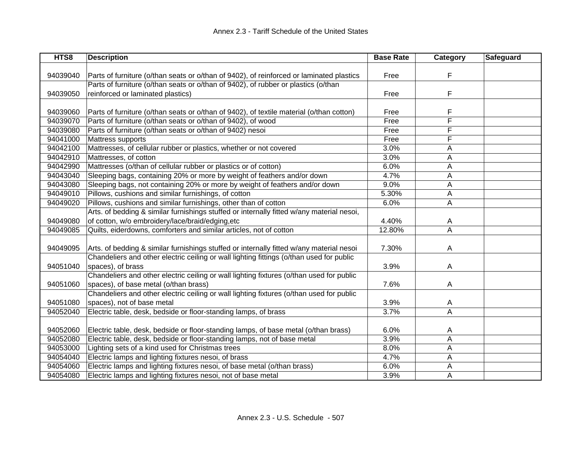| HTS8     | <b>Description</b>                                                                        | <b>Base Rate</b> | <b>Category</b> | <b>Safeguard</b> |
|----------|-------------------------------------------------------------------------------------------|------------------|-----------------|------------------|
|          |                                                                                           |                  |                 |                  |
| 94039040 | Parts of furniture (o/than seats or o/than of 9402), of reinforced or laminated plastics  | Free             | F               |                  |
|          | Parts of furniture (o/than seats or o/than of 9402), of rubber or plastics (o/than        |                  |                 |                  |
| 94039050 | reinforced or laminated plastics)                                                         | Free             | F               |                  |
|          |                                                                                           |                  |                 |                  |
| 94039060 | Parts of furniture (o/than seats or o/than of 9402), of textile material (o/than cotton)  | Free             | F               |                  |
| 94039070 | Parts of furniture (o/than seats or o/than of 9402), of wood                              | Free             | F               |                  |
| 94039080 | Parts of furniture (o/than seats or o/than of 9402) nesoi                                 | Free             | F               |                  |
| 94041000 | Mattress supports                                                                         | Free             | F               |                  |
| 94042100 | Mattresses, of cellular rubber or plastics, whether or not covered                        | 3.0%             | A               |                  |
| 94042910 | Mattresses, of cotton                                                                     | 3.0%             | A               |                  |
| 94042990 | Mattresses (o/than of cellular rubber or plastics or of cotton)                           | 6.0%             | A               |                  |
| 94043040 | Sleeping bags, containing 20% or more by weight of feathers and/or down                   | 4.7%             | A               |                  |
| 94043080 | Sleeping bags, not containing 20% or more by weight of feathers and/or down               | 9.0%             | A               |                  |
| 94049010 | Pillows, cushions and similar furnishings, of cotton                                      | 5.30%            | A               |                  |
| 94049020 | Pillows, cushions and similar furnishings, other than of cotton                           | 6.0%             | A               |                  |
|          | Arts. of bedding & similar furnishings stuffed or internally fitted w/any material nesoi, |                  |                 |                  |
| 94049080 | of cotton, w/o embroidery/lace/braid/edging,etc                                           | 4.40%            | A               |                  |
| 94049085 | Quilts, eiderdowns, comforters and similar articles, not of cotton                        | 12.80%           | $\overline{A}$  |                  |
|          |                                                                                           |                  |                 |                  |
| 94049095 | Arts. of bedding & similar furnishings stuffed or internally fitted w/any material nesoi  | 7.30%            | A               |                  |
|          | Chandeliers and other electric ceiling or wall lighting fittings (o/than used for public  |                  |                 |                  |
| 94051040 | spaces), of brass                                                                         | 3.9%             | Α               |                  |
|          | Chandeliers and other electric ceiling or wall lighting fixtures (o/than used for public  |                  |                 |                  |
| 94051060 | spaces), of base metal (o/than brass)                                                     | 7.6%             | Α               |                  |
|          | Chandeliers and other electric ceiling or wall lighting fixtures (o/than used for public  |                  |                 |                  |
| 94051080 | spaces), not of base metal                                                                | 3.9%             | A               |                  |
| 94052040 | Electric table, desk, bedside or floor-standing lamps, of brass                           | 3.7%             | A               |                  |
|          |                                                                                           |                  |                 |                  |
| 94052060 | Electric table, desk, bedside or floor-standing lamps, of base metal (o/than brass)       | 6.0%             | A               |                  |
| 94052080 | Electric table, desk, bedside or floor-standing lamps, not of base metal                  | 3.9%             | A               |                  |
| 94053000 | Lighting sets of a kind used for Christmas trees                                          | 8.0%             | Α               |                  |
| 94054040 | Electric lamps and lighting fixtures nesoi, of brass                                      | 4.7%             | Α               |                  |
| 94054060 | Electric lamps and lighting fixtures nesoi, of base metal (o/than brass)                  | 6.0%             | Α               |                  |
| 94054080 | Electric lamps and lighting fixtures nesoi, not of base metal                             | 3.9%             | Α               |                  |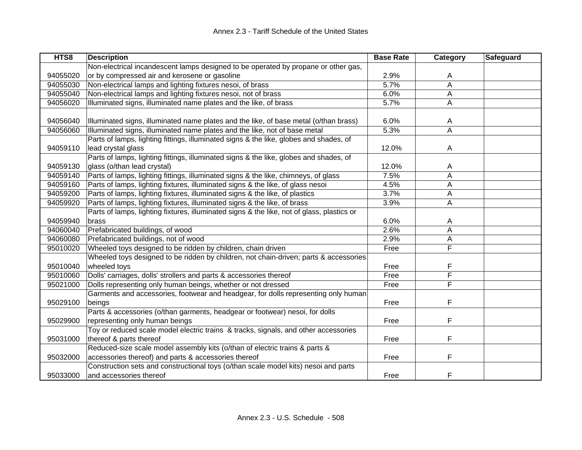| HTS8     | <b>Description</b>                                                                         | <b>Base Rate</b> | Category | <b>Safeguard</b> |
|----------|--------------------------------------------------------------------------------------------|------------------|----------|------------------|
|          | Non-electrical incandescent lamps designed to be operated by propane or other gas,         |                  |          |                  |
| 94055020 | or by compressed air and kerosene or gasoline                                              | 2.9%             | A        |                  |
| 94055030 | Non-electrical lamps and lighting fixtures nesoi, of brass                                 | 5.7%             | A        |                  |
| 94055040 | Non-electrical lamps and lighting fixtures nesoi, not of brass                             | 6.0%             | A        |                  |
| 94056020 | Illuminated signs, illuminated name plates and the like, of brass                          | 5.7%             | A        |                  |
|          |                                                                                            |                  |          |                  |
| 94056040 | Illuminated signs, illuminated name plates and the like, of base metal (o/than brass)      | 6.0%             | A        |                  |
| 94056060 | Illuminated signs, illuminated name plates and the like, not of base metal                 | 5.3%             | A        |                  |
|          | Parts of lamps, lighting fittings, illuminated signs & the like, globes and shades, of     |                  |          |                  |
| 94059110 | lead crystal glass                                                                         | 12.0%            | A        |                  |
|          | Parts of lamps, lighting fittings, illuminated signs & the like, globes and shades, of     |                  |          |                  |
| 94059130 | glass (o/than lead crystal)                                                                | 12.0%            | A        |                  |
| 94059140 | Parts of lamps, lighting fittings, illuminated signs & the like, chimneys, of glass        | 7.5%             | A        |                  |
| 94059160 | Parts of lamps, lighting fixtures, illuminated signs & the like, of glass nesoi            | 4.5%             | A        |                  |
| 94059200 | Parts of lamps, lighting fixtures, illuminated signs & the like, of plastics               | 3.7%             | Α        |                  |
| 94059920 | Parts of lamps, lighting fixtures, illuminated signs & the like, of brass                  | 3.9%             | Α        |                  |
|          | Parts of lamps, lighting fixtures, illuminated signs & the like, not of glass, plastics or |                  |          |                  |
| 94059940 | brass                                                                                      | 6.0%             | A        |                  |
| 94060040 | Prefabricated buildings, of wood                                                           | 2.6%             | A        |                  |
| 94060080 | Prefabricated buildings, not of wood                                                       | 2.9%             | Α        |                  |
| 95010020 | Wheeled toys designed to be ridden by children, chain driven                               | Free             | F        |                  |
|          | Wheeled toys designed to be ridden by children, not chain-driven; parts & accessories      |                  |          |                  |
| 95010040 | wheeled toys                                                                               | Free             | F        |                  |
| 95010060 | Dolls' carriages, dolls' strollers and parts & accessories thereof                         | Free             | F        |                  |
| 95021000 | Dolls representing only human beings, whether or not dressed                               | Free             | F        |                  |
|          | Garments and accessories, footwear and headgear, for dolls representing only human         |                  |          |                  |
| 95029100 | beings                                                                                     | Free             | F        |                  |
|          | Parts & accessories (o/than garments, headgear or footwear) nesoi, for dolls               |                  |          |                  |
| 95029900 | representing only human beings                                                             | Free             | F        |                  |
|          | Toy or reduced scale model electric trains & tracks, signals, and other accessories        |                  |          |                  |
| 95031000 | thereof & parts thereof                                                                    | Free             | F        |                  |
|          | Reduced-size scale model assembly kits (o/than of electric trains & parts &                |                  |          |                  |
| 95032000 | accessories thereof) and parts & accessories thereof                                       | Free             | F        |                  |
|          | Construction sets and constructional toys (o/than scale model kits) nesoi and parts        |                  |          |                  |
| 95033000 | and accessories thereof                                                                    | Free             | F        |                  |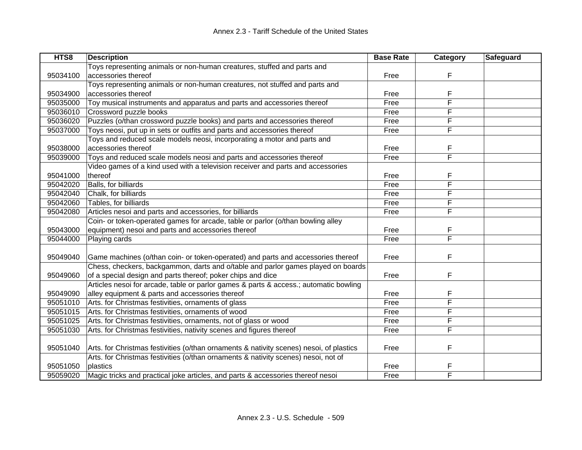| HTS8     | <b>Description</b>                                                                      | <b>Base Rate</b> | <b>Category</b> | <b>Safeguard</b> |
|----------|-----------------------------------------------------------------------------------------|------------------|-----------------|------------------|
|          | Toys representing animals or non-human creatures, stuffed and parts and                 |                  |                 |                  |
| 95034100 | accessories thereof                                                                     | Free             | F               |                  |
|          | Toys representing animals or non-human creatures, not stuffed and parts and             |                  |                 |                  |
| 95034900 | accessories thereof                                                                     | Free             | F               |                  |
| 95035000 | Toy musical instruments and apparatus and parts and accessories thereof                 | Free             | F               |                  |
| 95036010 | Crossword puzzle books                                                                  | Free             | F               |                  |
| 95036020 | Puzzles (o/than crossword puzzle books) and parts and accessories thereof               | Free             | F               |                  |
| 95037000 | Toys neosi, put up in sets or outfits and parts and accessories thereof                 | Free             | F               |                  |
|          | Toys and reduced scale models neosi, incorporating a motor and parts and                |                  |                 |                  |
| 95038000 | accessories thereof                                                                     | Free             | F               |                  |
| 95039000 | Toys and reduced scale models neosi and parts and accessories thereof                   | Free             | F               |                  |
|          | Video games of a kind used with a television receiver and parts and accessories         |                  |                 |                  |
| 95041000 | thereof                                                                                 | Free             | F               |                  |
| 95042020 | Balls, for billiards                                                                    | Free             | F               |                  |
| 95042040 | Chalk, for billiards                                                                    | Free             | F               |                  |
| 95042060 | Tables, for billiards                                                                   | Free             | F               |                  |
| 95042080 | Articles nesoi and parts and accessories, for billiards                                 | Free             | F               |                  |
|          | Coin- or token-operated games for arcade, table or parlor (o/than bowling alley         |                  |                 |                  |
| 95043000 | equipment) nesoi and parts and accessories thereof                                      | Free             | F               |                  |
| 95044000 | Playing cards                                                                           | Free             | F               |                  |
|          |                                                                                         |                  |                 |                  |
| 95049040 | Game machines (o/than coin- or token-operated) and parts and accessories thereof        | Free             | F               |                  |
|          | Chess, checkers, backgammon, darts and o/table and parlor games played on boards        |                  |                 |                  |
| 95049060 | of a special design and parts thereof; poker chips and dice                             | Free             | F               |                  |
|          | Articles nesoi for arcade, table or parlor games & parts & access.; automatic bowling   |                  |                 |                  |
| 95049090 | alley equipment & parts and accessories thereof                                         | Free             | F               |                  |
| 95051010 | Arts. for Christmas festivities, ornaments of glass                                     | Free             | F               |                  |
| 95051015 | Arts. for Christmas festivities, ornaments of wood                                      | Free             | F               |                  |
| 95051025 | Arts. for Christmas festivities, ornaments, not of glass or wood                        | Free             | F               |                  |
| 95051030 | Arts. for Christmas festivities, nativity scenes and figures thereof                    | Free             | F               |                  |
|          |                                                                                         |                  |                 |                  |
| 95051040 | Arts. for Christmas festivities (o/than ornaments & nativity scenes) nesoi, of plastics | Free             | F               |                  |
|          | Arts. for Christmas festivities (o/than ornaments & nativity scenes) nesoi, not of      |                  |                 |                  |
| 95051050 | plastics                                                                                | Free             | F               |                  |
| 95059020 | Magic tricks and practical joke articles, and parts & accessories thereof nesoi         | Free             | F               |                  |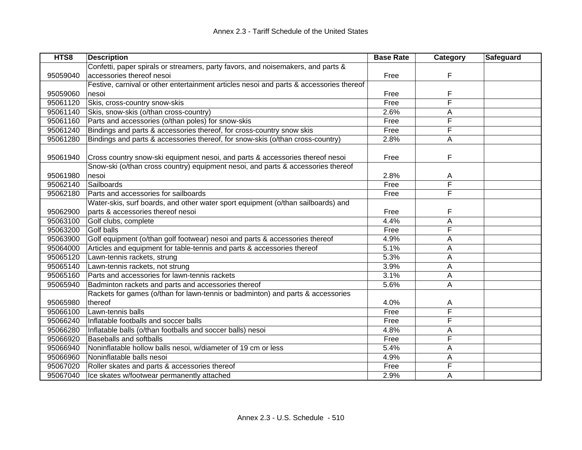| HTS8     | <b>Description</b>                                                                      | <b>Base Rate</b> | <b>Category</b> | Safeguard |
|----------|-----------------------------------------------------------------------------------------|------------------|-----------------|-----------|
|          | Confetti, paper spirals or streamers, party favors, and noisemakers, and parts &        |                  |                 |           |
| 95059040 | accessories thereof nesoi                                                               | Free             | F               |           |
|          | Festive, carnival or other entertainment articles nesoi and parts & accessories thereof |                  |                 |           |
| 95059060 | nesoi                                                                                   | Free             | F               |           |
| 95061120 | Skis, cross-country snow-skis                                                           | Free             | F               |           |
| 95061140 | Skis, snow-skis (o/than cross-country)                                                  | 2.6%             | A               |           |
| 95061160 | Parts and accessories (o/than poles) for snow-skis                                      | Free             | F               |           |
| 95061240 | Bindings and parts & accessories thereof, for cross-country snow skis                   | Free             | F               |           |
| 95061280 | Bindings and parts & accessories thereof, for snow-skis (o/than cross-country)          | 2.8%             | Α               |           |
|          |                                                                                         |                  |                 |           |
| 95061940 | Cross country snow-ski equipment nesoi, and parts & accessories thereof nesoi           | Free             | F               |           |
|          | Snow-ski (o/than cross country) equipment nesoi, and parts & accessories thereof        |                  |                 |           |
| 95061980 | nesoi                                                                                   | 2.8%             | A               |           |
| 95062140 | Sailboards                                                                              | Free             | F               |           |
| 95062180 | Parts and accessories for sailboards                                                    | Free             | F               |           |
|          | Water-skis, surf boards, and other water sport equipment (o/than sailboards) and        |                  |                 |           |
| 95062900 | parts & accessories thereof nesoi                                                       | Free             | F               |           |
| 95063100 | Golf clubs, complete                                                                    | 4.4%             | A               |           |
| 95063200 | Golf balls                                                                              | Free             | F               |           |
| 95063900 | Golf equipment (o/than golf footwear) nesoi and parts & accessories thereof             | 4.9%             | Α               |           |
| 95064000 | Articles and equipment for table-tennis and parts & accessories thereof                 | 5.1%             | A               |           |
| 95065120 | Lawn-tennis rackets, strung                                                             | 5.3%             | А               |           |
| 95065140 | Lawn-tennis rackets, not strung                                                         | 3.9%             | Α               |           |
| 95065160 | Parts and accessories for lawn-tennis rackets                                           | 3.1%             | A               |           |
| 95065940 | Badminton rackets and parts and accessories thereof                                     | 5.6%             | Α               |           |
|          | Rackets for games (o/than for lawn-tennis or badminton) and parts & accessories         |                  |                 |           |
| 95065980 | thereof                                                                                 | 4.0%             | A               |           |
| 95066100 | Lawn-tennis balls                                                                       | Free             | F               |           |
| 95066240 | Inflatable footballs and soccer balls                                                   | Free             | F               |           |
| 95066280 | Inflatable balls (o/than footballs and soccer balls) nesoi                              | 4.8%             | A               |           |
| 95066920 | Baseballs and softballs                                                                 | Free             | F               |           |
| 95066940 | Noninflatable hollow balls nesoi, w/diameter of 19 cm or less                           | 5.4%             | A               |           |
| 95066960 | Noninflatable balls nesoi                                                               | 4.9%             | A               |           |
| 95067020 | Roller skates and parts & accessories thereof                                           | Free             | F               |           |
| 95067040 | Ice skates w/footwear permanently attached                                              | 2.9%             | A               |           |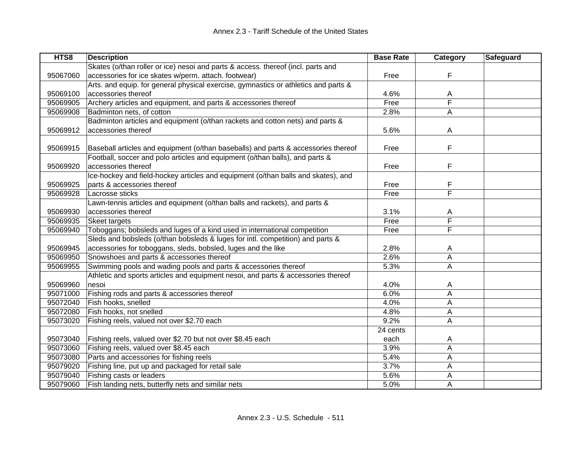| HTS8     | <b>Description</b>                                                                  | <b>Base Rate</b> | Category                | Safeguard |
|----------|-------------------------------------------------------------------------------------|------------------|-------------------------|-----------|
|          | Skates (o/than roller or ice) nesoi and parts & access. thereof (incl. parts and    |                  |                         |           |
| 95067060 | accessories for ice skates w/perm. attach. footwear)                                | Free             | F                       |           |
|          | Arts. and equip. for general physical exercise, gymnastics or athletics and parts & |                  |                         |           |
| 95069100 | accessories thereof                                                                 | 4.6%             | Α                       |           |
| 95069905 | Archery articles and equipment, and parts & accessories thereof                     | Free             | $\overline{\mathsf{F}}$ |           |
| 95069908 | Badminton nets, of cotton                                                           | 2.8%             | Α                       |           |
|          | Badminton articles and equipment (o/than rackets and cotton nets) and parts &       |                  |                         |           |
| 95069912 | accessories thereof                                                                 | 5.6%             | A                       |           |
|          |                                                                                     |                  |                         |           |
| 95069915 | Baseball articles and equipment (o/than baseballs) and parts & accessories thereof  | Free             | F                       |           |
|          | Football, soccer and polo articles and equipment (o/than balls), and parts &        |                  |                         |           |
| 95069920 | accessories thereof                                                                 | Free             | F                       |           |
|          | Ice-hockey and field-hockey articles and equipment (o/than balls and skates), and   |                  |                         |           |
| 95069925 | parts & accessories thereof                                                         | Free             | F                       |           |
| 95069928 | Lacrosse sticks                                                                     | Free             | F                       |           |
|          | Lawn-tennis articles and equipment (o/than balls and rackets), and parts &          |                  |                         |           |
| 95069930 | accessories thereof                                                                 | 3.1%             | Α                       |           |
| 95069935 | Skeet targets                                                                       | Free             | F                       |           |
| 95069940 | Toboggans; bobsleds and luges of a kind used in international competition           | Free             | F                       |           |
|          | Sleds and bobsleds (o/than bobsleds & luges for intl. competition) and parts &      |                  |                         |           |
| 95069945 | accessories for toboggans, sleds, bobsled, luges and the like                       | 2.8%             | A                       |           |
| 95069950 | Snowshoes and parts & accessories thereof                                           | 2.6%             | A                       |           |
| 95069955 | Swimming pools and wading pools and parts & accessories thereof                     | 5.3%             | A                       |           |
|          | Athletic and sports articles and equipment nesoi, and parts & accessories thereof   |                  |                         |           |
| 95069960 | nesoi                                                                               | 4.0%             | A                       |           |
| 95071000 | Fishing rods and parts & accessories thereof                                        | 6.0%             | A                       |           |
| 95072040 | Fish hooks, snelled                                                                 | 4.0%             | Α                       |           |
| 95072080 | Fish hooks, not snelled                                                             | 4.8%             | A                       |           |
| 95073020 | Fishing reels, valued not over \$2.70 each                                          | 9.2%             | A                       |           |
|          |                                                                                     | 24 cents         |                         |           |
| 95073040 | Fishing reels, valued over \$2.70 but not over \$8.45 each                          | each             | A                       |           |
| 95073060 | Fishing reels, valued over \$8.45 each                                              | 3.9%             | A                       |           |
| 95073080 | Parts and accessories for fishing reels                                             | 5.4%             | A                       |           |
| 95079020 | Fishing line, put up and packaged for retail sale                                   | 3.7%             | Α                       |           |
| 95079040 | Fishing casts or leaders                                                            | 5.6%             | Α                       |           |
| 95079060 | Fish landing nets, butterfly nets and similar nets                                  | 5.0%             | A                       |           |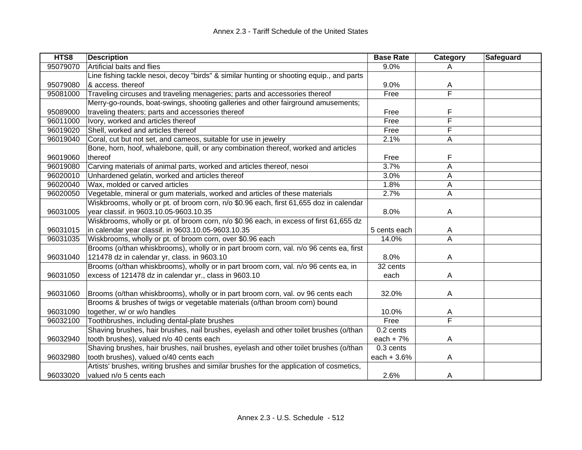| HTS8     | <b>Description</b>                                                                       | <b>Base Rate</b> | Category                | Safeguard |
|----------|------------------------------------------------------------------------------------------|------------------|-------------------------|-----------|
| 95079070 | Artificial baits and flies                                                               | 9.0%             | A                       |           |
|          | Line fishing tackle nesoi, decoy "birds" & similar hunting or shooting equip., and parts |                  |                         |           |
| 95079080 | & access. thereof                                                                        | 9.0%             | A                       |           |
| 95081000 | Traveling circuses and traveling menageries; parts and accessories thereof               | Free             | $\overline{\mathsf{F}}$ |           |
|          | Merry-go-rounds, boat-swings, shooting galleries and other fairground amusements;        |                  |                         |           |
| 95089000 | traveling theaters; parts and accessories thereof                                        | Free             | F                       |           |
| 96011000 | Ivory, worked and articles thereof                                                       | Free             | F                       |           |
| 96019020 | Shell, worked and articles thereof                                                       | Free             | F                       |           |
| 96019040 | Coral, cut but not set, and cameos, suitable for use in jewelry                          | 2.1%             | A                       |           |
|          | Bone, horn, hoof, whalebone, quill, or any combination thereof, worked and articles      |                  |                         |           |
| 96019060 | thereof                                                                                  | Free             | F                       |           |
| 96019080 | Carving materials of animal parts, worked and articles thereof, nesoi                    | 3.7%             | A                       |           |
| 96020010 | Unhardened gelatin, worked and articles thereof                                          | 3.0%             | Α                       |           |
| 96020040 | Wax, molded or carved articles                                                           | 1.8%             | A                       |           |
| 96020050 | Vegetable, mineral or gum materials, worked and articles of these materials              | 2.7%             | A                       |           |
|          | Wiskbrooms, wholly or pt. of broom corn, n/o \$0.96 each, first 61,655 doz in calendar   |                  |                         |           |
| 96031005 | year classif. in 9603.10.05-9603.10.35                                                   | 8.0%             | A                       |           |
|          | Wiskbrooms, wholly or pt. of broom corn, n/o \$0.96 each, in excess of first 61,655 dz   |                  |                         |           |
| 96031015 | in calendar year classif. in 9603.10.05-9603.10.35                                       | 5 cents each     | A                       |           |
| 96031035 | Wiskbrooms, wholly or pt. of broom corn, over \$0.96 each                                | 14.0%            | A                       |           |
|          | Brooms (o/than whiskbrooms), wholly or in part broom corn, val. n/o 96 cents ea, first   |                  |                         |           |
| 96031040 | 121478 dz in calendar yr, class. in 9603.10                                              | 8.0%             | A                       |           |
|          | Brooms (o/than whiskbrooms), wholly or in part broom corn, val. n/o 96 cents ea, in      | 32 cents         |                         |           |
| 96031050 | excess of 121478 dz in calendar yr., class in 9603.10                                    | each             | A                       |           |
|          |                                                                                          |                  |                         |           |
| 96031060 | Brooms (o/than whiskbrooms), wholly or in part broom corn, val. ov 96 cents each         | 32.0%            | A                       |           |
|          | Brooms & brushes of twigs or vegetable materials (o/than broom corn) bound               |                  |                         |           |
| 96031090 | together, w/ or w/o handles                                                              | 10.0%            | A                       |           |
| 96032100 | Toothbrushes, including dental-plate brushes                                             | Free             | F                       |           |
|          | Shaving brushes, hair brushes, nail brushes, eyelash and other toilet brushes (o/than    | 0.2 cents        |                         |           |
| 96032940 | tooth brushes), valued n/o 40 cents each                                                 | each $+7%$       | A                       |           |
|          | Shaving brushes, hair brushes, nail brushes, eyelash and other toilet brushes (o/than    | 0.3 cents        |                         |           |
| 96032980 | tooth brushes), valued o/40 cents each                                                   | each $+3.6%$     | A                       |           |
|          | Artists' brushes, writing brushes and similar brushes for the application of cosmetics,  |                  |                         |           |
| 96033020 | valued n/o 5 cents each                                                                  | 2.6%             | A                       |           |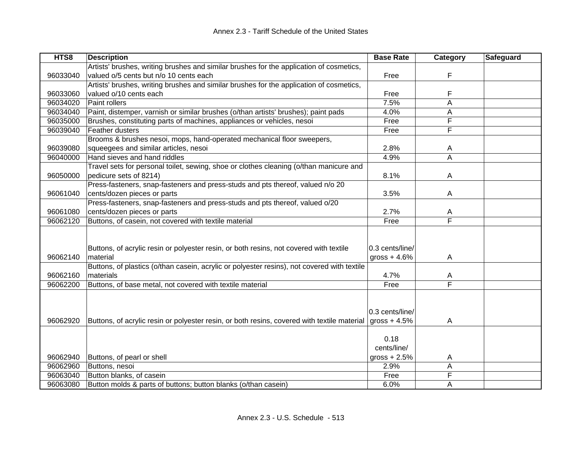| HTS8     | <b>Description</b>                                                                          | <b>Base Rate</b>                 | Category | Safeguard |
|----------|---------------------------------------------------------------------------------------------|----------------------------------|----------|-----------|
|          | Artists' brushes, writing brushes and similar brushes for the application of cosmetics,     |                                  |          |           |
| 96033040 | valued o/5 cents but n/o 10 cents each                                                      | Free                             | F        |           |
|          | Artists' brushes, writing brushes and similar brushes for the application of cosmetics,     |                                  |          |           |
| 96033060 | valued o/10 cents each                                                                      | Free                             | F        |           |
| 96034020 | Paint rollers                                                                               | 7.5%                             | Α        |           |
| 96034040 | Paint, distemper, varnish or similar brushes (o/than artists' brushes); paint pads          | 4.0%                             | Α        |           |
| 96035000 | Brushes, constituting parts of machines, appliances or vehicles, nesoi                      | Free                             | F        |           |
| 96039040 | Feather dusters                                                                             | Free                             | F        |           |
|          | Brooms & brushes nesoi, mops, hand-operated mechanical floor sweepers,                      |                                  |          |           |
| 96039080 | squeegees and similar articles, nesoi                                                       | 2.8%                             | A        |           |
| 96040000 | Hand sieves and hand riddles                                                                | 4.9%                             | A        |           |
|          | Travel sets for personal toilet, sewing, shoe or clothes cleaning (o/than manicure and      |                                  |          |           |
| 96050000 | pedicure sets of 8214)                                                                      | 8.1%                             | A        |           |
|          | Press-fasteners, snap-fasteners and press-studs and pts thereof, valued n/o 20              |                                  |          |           |
| 96061040 | cents/dozen pieces or parts                                                                 | 3.5%                             | A        |           |
|          | Press-fasteners, snap-fasteners and press-studs and pts thereof, valued o/20                |                                  |          |           |
| 96061080 | cents/dozen pieces or parts                                                                 | 2.7%                             | A        |           |
| 96062120 | Buttons, of casein, not covered with textile material                                       | Free                             | F        |           |
|          |                                                                                             |                                  |          |           |
| 96062140 | Buttons, of acrylic resin or polyester resin, or both resins, not covered with textile      | 0.3 cents/line/                  |          |           |
|          | material                                                                                    | gross $+4.6%$                    | A        |           |
|          | Buttons, of plastics (o/than casein, acrylic or polyester resins), not covered with textile |                                  |          |           |
| 96062160 | materials                                                                                   | 4.7%                             | A<br>F   |           |
| 96062200 | Buttons, of base metal, not covered with textile material                                   | Free                             |          |           |
| 96062920 | Buttons, of acrylic resin or polyester resin, or both resins, covered with textile material | 0.3 cents/line/<br>gross $+4.5%$ | A        |           |
|          |                                                                                             | 0.18<br>cents/line/              |          |           |
| 96062940 | Buttons, of pearl or shell                                                                  | gross $+2.5%$                    | A        |           |
| 96062960 | Buttons, nesoi                                                                              | 2.9%                             | A        |           |
| 96063040 | Button blanks, of casein                                                                    | Free                             | F        |           |
| 96063080 | Button molds & parts of buttons; button blanks (o/than casein)                              | 6.0%                             | A        |           |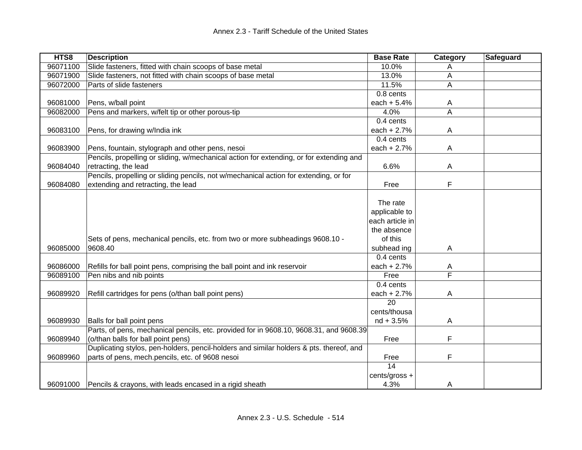| HTS8     | <b>Description</b>                                                                      | <b>Base Rate</b> | Category       | Safeguard |
|----------|-----------------------------------------------------------------------------------------|------------------|----------------|-----------|
| 96071100 | Slide fasteners, fitted with chain scoops of base metal                                 | 10.0%            |                |           |
| 96071900 | Slide fasteners, not fitted with chain scoops of base metal                             | 13.0%            | Α              |           |
| 96072000 | Parts of slide fasteners                                                                | 11.5%            | A              |           |
|          |                                                                                         | 0.8 cents        |                |           |
| 96081000 | Pens, w/ball point                                                                      | each $+ 5.4%$    | A              |           |
| 96082000 | Pens and markers, w/felt tip or other porous-tip                                        | 4.0%             | $\overline{A}$ |           |
|          |                                                                                         | 0.4 cents        |                |           |
| 96083100 | Pens, for drawing w/India ink                                                           | each $+2.7%$     | A              |           |
|          |                                                                                         | 0.4 cents        |                |           |
| 96083900 | Pens, fountain, stylograph and other pens, nesoi                                        | each $+2.7%$     | A              |           |
|          | Pencils, propelling or sliding, w/mechanical action for extending, or for extending and |                  |                |           |
| 96084040 | retracting, the lead                                                                    | 6.6%             | Α              |           |
|          | Pencils, propelling or sliding pencils, not w/mechanical action for extending, or for   |                  |                |           |
| 96084080 | extending and retracting, the lead                                                      | Free             | F              |           |
|          |                                                                                         |                  |                |           |
|          |                                                                                         | The rate         |                |           |
|          |                                                                                         | applicable to    |                |           |
|          |                                                                                         | each article in  |                |           |
|          |                                                                                         | the absence      |                |           |
|          | Sets of pens, mechanical pencils, etc. from two or more subheadings 9608.10 -           | of this          |                |           |
| 96085000 | 9608.40                                                                                 | subhead ing      | Α              |           |
|          |                                                                                         | 0.4 cents        |                |           |
| 96086000 | Refills for ball point pens, comprising the ball point and ink reservoir                | each + 2.7%      | A              |           |
| 96089100 | Pen nibs and nib points                                                                 | Free             | F              |           |
|          |                                                                                         | 0.4 cents        |                |           |
| 96089920 | Refill cartridges for pens (o/than ball point pens)                                     | each + 2.7%      | A              |           |
|          |                                                                                         | 20               |                |           |
|          |                                                                                         | cents/thousa     |                |           |
| 96089930 | Balls for ball point pens                                                               | $nd + 3.5%$      | A              |           |
|          | Parts, of pens, mechanical pencils, etc. provided for in 9608.10, 9608.31, and 9608.39  |                  |                |           |
| 96089940 | (o/than balls for ball point pens)                                                      | Free             | F              |           |
|          | Duplicating stylos, pen-holders, pencil-holders and similar holders & pts. thereof, and |                  |                |           |
| 96089960 | parts of pens, mech.pencils, etc. of 9608 nesoi                                         | Free             | F              |           |
|          |                                                                                         | 14               |                |           |
|          |                                                                                         | cents/gross +    |                |           |
|          | 96091000 Pencils & crayons, with leads encased in a rigid sheath                        | 4.3%             | A              |           |
|          |                                                                                         |                  |                |           |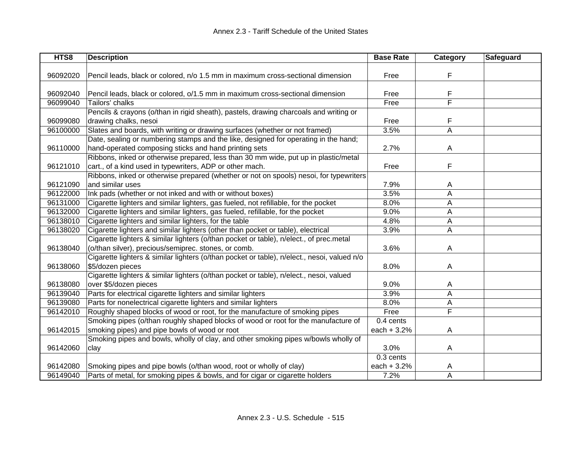| HTS8     | <b>Description</b>                                                                          | <b>Base Rate</b> | <b>Category</b>         | <b>Safeguard</b> |
|----------|---------------------------------------------------------------------------------------------|------------------|-------------------------|------------------|
|          |                                                                                             |                  |                         |                  |
| 96092020 | Pencil leads, black or colored, n/o 1.5 mm in maximum cross-sectional dimension             | Free             | F                       |                  |
|          |                                                                                             |                  |                         |                  |
| 96092040 | Pencil leads, black or colored, o/1.5 mm in maximum cross-sectional dimension               | Free             | F                       |                  |
| 96099040 | Tailors' chalks                                                                             | Free             | F                       |                  |
|          | Pencils & crayons (o/than in rigid sheath), pastels, drawing charcoals and writing or       |                  |                         |                  |
| 96099080 | drawing chalks, nesoi                                                                       | Free             | F                       |                  |
| 96100000 | Slates and boards, with writing or drawing surfaces (whether or not framed)                 | 3.5%             | A                       |                  |
|          | Date, sealing or numbering stamps and the like, designed for operating in the hand;         |                  |                         |                  |
| 96110000 | hand-operated composing sticks and hand printing sets                                       | 2.7%             | A                       |                  |
|          | Ribbons, inked or otherwise prepared, less than 30 mm wide, put up in plastic/metal         |                  |                         |                  |
| 96121010 | cart., of a kind used in typewriters, ADP or other mach.                                    | Free             | F                       |                  |
|          | Ribbons, inked or otherwise prepared (whether or not on spools) nesoi, for typewriters      |                  |                         |                  |
| 96121090 | and similar uses                                                                            | 7.9%             | A                       |                  |
| 96122000 | Ink pads (whether or not inked and with or without boxes)                                   | 3.5%             | A                       |                  |
| 96131000 | Cigarette lighters and similar lighters, gas fueled, not refillable, for the pocket         | 8.0%             | A                       |                  |
| 96132000 | Cigarette lighters and similar lighters, gas fueled, refillable, for the pocket             | 9.0%             | Α                       |                  |
| 96138010 | Cigarette lighters and similar lighters, for the table                                      | 4.8%             | Α                       |                  |
| 96138020 | Cigarette lighters and similar lighters (other than pocket or table), electrical            | 3.9%             | A                       |                  |
|          | Cigarette lighters & similar lighters (o/than pocket or table), n/elect., of prec.metal     |                  |                         |                  |
| 96138040 | (o/than silver), precious/semiprec. stones, or comb.                                        | 3.6%             | A                       |                  |
|          | Cigarette lighters & similar lighters (o/than pocket or table), n/elect., nesoi, valued n/o |                  |                         |                  |
| 96138060 | \$5/dozen pieces                                                                            | 8.0%             | Α                       |                  |
|          | Cigarette lighters & similar lighters (o/than pocket or table), n/elect., nesoi, valued     |                  |                         |                  |
| 96138080 | over \$5/dozen pieces                                                                       | 9.0%             | A                       |                  |
| 96139040 | Parts for electrical cigarette lighters and similar lighters                                | 3.9%             | A                       |                  |
| 96139080 | Parts for nonelectrical cigarette lighters and similar lighters                             | 8.0%             | Α                       |                  |
| 96142010 | Roughly shaped blocks of wood or root, for the manufacture of smoking pipes                 | Free             | $\overline{\mathsf{F}}$ |                  |
|          | Smoking pipes (o/than roughly shaped blocks of wood or root for the manufacture of          | 0.4 cents        |                         |                  |
| 96142015 | smoking pipes) and pipe bowls of wood or root                                               | each $+3.2%$     | A                       |                  |
|          | Smoking pipes and bowls, wholly of clay, and other smoking pipes w/bowls wholly of          |                  |                         |                  |
| 96142060 | clay                                                                                        | 3.0%             | A                       |                  |
|          |                                                                                             | 0.3 cents        |                         |                  |
| 96142080 | Smoking pipes and pipe bowls (o/than wood, root or wholly of clay)                          | each + 3.2%      | A                       |                  |
| 96149040 | Parts of metal, for smoking pipes & bowls, and for cigar or cigarette holders               | 7.2%             | A                       |                  |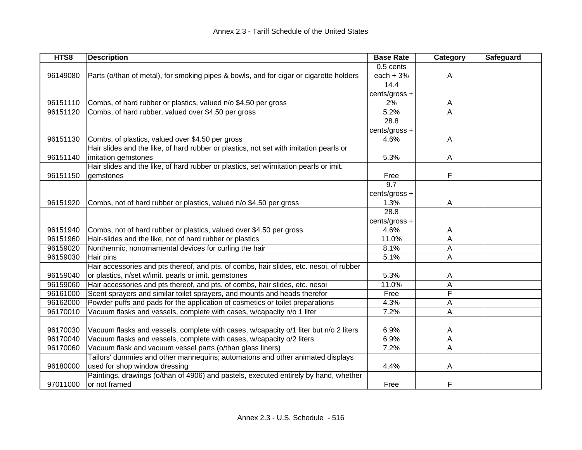| HTS8     | <b>Description</b>                                                                      | <b>Base Rate</b> | Category | Safeguard |
|----------|-----------------------------------------------------------------------------------------|------------------|----------|-----------|
|          |                                                                                         | 0.5 cents        |          |           |
| 96149080 | Parts (o/than of metal), for smoking pipes & bowls, and for cigar or cigarette holders  | each $+3%$       | A        |           |
|          |                                                                                         | 14.4             |          |           |
|          |                                                                                         | cents/gross +    |          |           |
| 96151110 | Combs, of hard rubber or plastics, valued n/o \$4.50 per gross                          | 2%               | A        |           |
| 96151120 | Combs, of hard rubber, valued over \$4.50 per gross                                     | 5.2%             | A        |           |
|          |                                                                                         | 28.8             |          |           |
|          |                                                                                         | cents/gross +    |          |           |
| 96151130 | Combs, of plastics, valued over \$4.50 per gross                                        | 4.6%             | A        |           |
|          | Hair slides and the like, of hard rubber or plastics, not set with imitation pearls or  |                  |          |           |
| 96151140 | imitation gemstones                                                                     | 5.3%             | A        |           |
|          | Hair slides and the like, of hard rubber or plastics, set w/imitation pearls or imit.   |                  |          |           |
| 96151150 | gemstones                                                                               | Free             | F        |           |
|          |                                                                                         | 9.7              |          |           |
|          |                                                                                         | cents/gross +    |          |           |
| 96151920 | Combs, not of hard rubber or plastics, valued n/o \$4.50 per gross                      | 1.3%             | A        |           |
|          |                                                                                         | 28.8             |          |           |
|          |                                                                                         | cents/gross +    |          |           |
| 96151940 | Combs, not of hard rubber or plastics, valued over \$4.50 per gross                     | 4.6%             | A        |           |
| 96151960 | Hair-slides and the like, not of hard rubber or plastics                                | 11.0%            | A        |           |
| 96159020 | Nonthermic, nonornamental devices for curling the hair                                  | 8.1%             | A        |           |
| 96159030 | Hair pins                                                                               | 5.1%             | A        |           |
|          | Hair accessories and pts thereof, and pts. of combs, hair slides, etc. nesoi, of rubber |                  |          |           |
| 96159040 | or plastics, n/set w/imit. pearls or imit. gemstones                                    | 5.3%             | A        |           |
| 96159060 | Hair accessories and pts thereof, and pts. of combs, hair slides, etc. nesoi            | 11.0%            | Α        |           |
| 96161000 | Scent sprayers and similar toilet sprayers, and mounts and heads therefor               | Free             | F        |           |
| 96162000 | Powder puffs and pads for the application of cosmetics or toilet preparations           | 4.3%             | Α        |           |
| 96170010 | Vacuum flasks and vessels, complete with cases, w/capacity n/o 1 liter                  | 7.2%             | A        |           |
|          |                                                                                         |                  |          |           |
| 96170030 | Vacuum flasks and vessels, complete with cases, w/capacity o/1 liter but n/o 2 liters   | 6.9%             | A        |           |
| 96170040 | Vacuum flasks and vessels, complete with cases, w/capacity o/2 liters                   | 6.9%             | A        |           |
| 96170060 | Vacuum flask and vacuum vessel parts (o/than glass liners)                              | 7.2%             | A        |           |
|          | Tailors' dummies and other mannequins; automatons and other animated displays           |                  |          |           |
| 96180000 | used for shop window dressing                                                           | 4.4%             | A        |           |
|          | Paintings, drawings (o/than of 4906) and pastels, executed entirely by hand, whether    |                  |          |           |
| 97011000 | or not framed                                                                           | Free             | F        |           |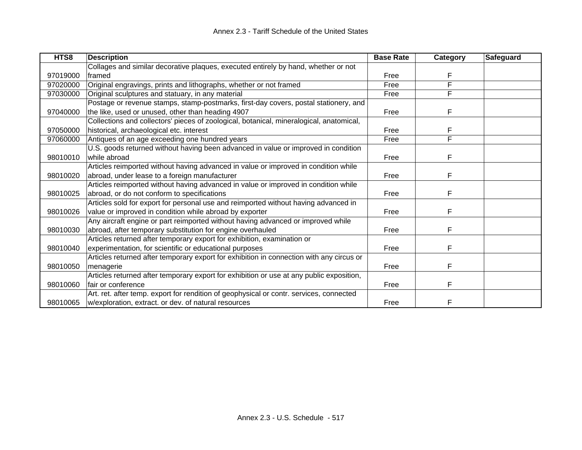| HTS8     | <b>Description</b>                                                                       | <b>Base Rate</b> | Category | Safeguard |
|----------|------------------------------------------------------------------------------------------|------------------|----------|-----------|
|          | Collages and similar decorative plaques, executed entirely by hand, whether or not       |                  |          |           |
| 97019000 | framed                                                                                   | Free             | F        |           |
| 97020000 | Original engravings, prints and lithographs, whether or not framed                       | Free             | F        |           |
| 97030000 | Original sculptures and statuary, in any material                                        | Free             | F        |           |
|          | Postage or revenue stamps, stamp-postmarks, first-day covers, postal stationery, and     |                  |          |           |
| 97040000 | the like, used or unused, other than heading 4907                                        | Free             | F        |           |
|          | Collections and collectors' pieces of zoological, botanical, mineralogical, anatomical,  |                  |          |           |
| 97050000 | historical, archaeological etc. interest                                                 | Free             | F        |           |
| 97060000 | Antiques of an age exceeding one hundred years                                           | Free             | F        |           |
|          | U.S. goods returned without having been advanced in value or improved in condition       |                  |          |           |
| 98010010 | while abroad                                                                             | Free             | F        |           |
|          | Articles reimported without having advanced in value or improved in condition while      |                  |          |           |
| 98010020 | abroad, under lease to a foreign manufacturer                                            | Free             | F        |           |
|          | Articles reimported without having advanced in value or improved in condition while      |                  |          |           |
| 98010025 | abroad, or do not conform to specifications                                              | Free             | F        |           |
|          | Articles sold for export for personal use and reimported without having advanced in      |                  |          |           |
| 98010026 | value or improved in condition while abroad by exporter                                  | Free             | F        |           |
|          | Any aircraft engine or part reimported without having advanced or improved while         |                  |          |           |
| 98010030 | abroad, after temporary substitution for engine overhauled                               | Free             | F        |           |
|          | Articles returned after temporary export for exhibition, examination or                  |                  |          |           |
| 98010040 | experimentation, for scientific or educational purposes                                  | Free             | F        |           |
|          | Articles returned after temporary export for exhibition in connection with any circus or |                  |          |           |
| 98010050 | menagerie                                                                                | Free             | F        |           |
|          | Articles returned after temporary export for exhibition or use at any public exposition, |                  |          |           |
| 98010060 | fair or conference                                                                       | Free             | F        |           |
|          | Art. ret. after temp. export for rendition of geophysical or contr. services, connected  |                  |          |           |
| 98010065 | w/exploration, extract. or dev. of natural resources                                     | Free             | F        |           |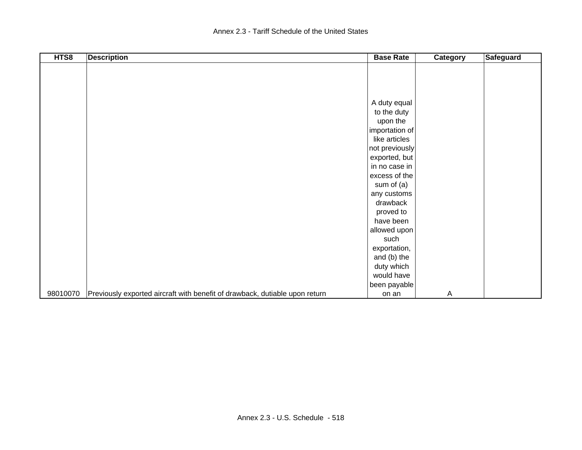| HTS8     | <b>Description</b>                                                          | <b>Base Rate</b> | <b>Category</b> | <b>Safeguard</b> |
|----------|-----------------------------------------------------------------------------|------------------|-----------------|------------------|
|          |                                                                             |                  |                 |                  |
|          |                                                                             |                  |                 |                  |
|          |                                                                             |                  |                 |                  |
|          |                                                                             |                  |                 |                  |
|          |                                                                             | A duty equal     |                 |                  |
|          |                                                                             | to the duty      |                 |                  |
|          |                                                                             | upon the         |                 |                  |
|          |                                                                             | importation of   |                 |                  |
|          |                                                                             | like articles    |                 |                  |
|          |                                                                             | not previously   |                 |                  |
|          |                                                                             | exported, but    |                 |                  |
|          |                                                                             | in no case in    |                 |                  |
|          |                                                                             | excess of the    |                 |                  |
|          |                                                                             | sum of $(a)$     |                 |                  |
|          |                                                                             | any customs      |                 |                  |
|          |                                                                             | drawback         |                 |                  |
|          |                                                                             | proved to        |                 |                  |
|          |                                                                             | have been        |                 |                  |
|          |                                                                             | allowed upon     |                 |                  |
|          |                                                                             | such             |                 |                  |
|          |                                                                             | exportation,     |                 |                  |
|          |                                                                             | and (b) the      |                 |                  |
|          |                                                                             | duty which       |                 |                  |
|          |                                                                             | would have       |                 |                  |
|          |                                                                             | been payable     |                 |                  |
| 98010070 | Previously exported aircraft with benefit of drawback, dutiable upon return | on an            | $\overline{A}$  |                  |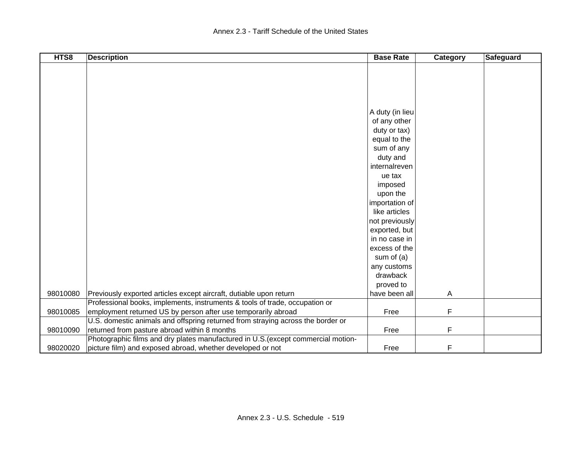| HTS8     | <b>Description</b>                                                                | <b>Base Rate</b> | Category | Safeguard |
|----------|-----------------------------------------------------------------------------------|------------------|----------|-----------|
|          |                                                                                   |                  |          |           |
|          |                                                                                   |                  |          |           |
|          |                                                                                   |                  |          |           |
|          |                                                                                   |                  |          |           |
|          |                                                                                   |                  |          |           |
|          |                                                                                   | A duty (in lieu  |          |           |
|          |                                                                                   | of any other     |          |           |
|          |                                                                                   | duty or tax)     |          |           |
|          |                                                                                   | equal to the     |          |           |
|          |                                                                                   | sum of any       |          |           |
|          |                                                                                   | duty and         |          |           |
|          |                                                                                   | internalreven    |          |           |
|          |                                                                                   | ue tax           |          |           |
|          |                                                                                   | imposed          |          |           |
|          |                                                                                   | upon the         |          |           |
|          |                                                                                   | importation of   |          |           |
|          |                                                                                   | like articles    |          |           |
|          |                                                                                   | not previously   |          |           |
|          |                                                                                   | exported, but    |          |           |
|          |                                                                                   | in no case in    |          |           |
|          |                                                                                   | excess of the    |          |           |
|          |                                                                                   | sum of $(a)$     |          |           |
|          |                                                                                   | any customs      |          |           |
|          |                                                                                   | drawback         |          |           |
|          |                                                                                   | proved to        |          |           |
| 98010080 | Previously exported articles except aircraft, dutiable upon return                | have been all    | A        |           |
|          | Professional books, implements, instruments & tools of trade, occupation or       |                  |          |           |
| 98010085 | employment returned US by person after use temporarily abroad                     | Free             | F        |           |
|          | U.S. domestic animals and offspring returned from straying across the border or   |                  |          |           |
| 98010090 | returned from pasture abroad within 8 months                                      | Free             | F        |           |
|          | Photographic films and dry plates manufactured in U.S. (except commercial motion- |                  |          |           |
| 98020020 | picture film) and exposed abroad, whether developed or not                        | Free             | F        |           |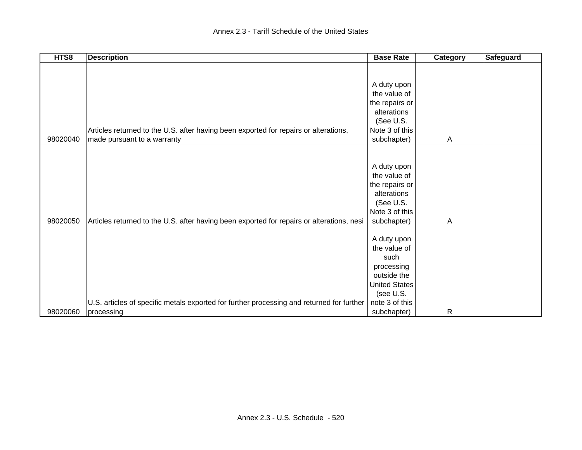| HTS8     | <b>Description</b>                                                                        | <b>Base Rate</b>     | Category | <b>Safeguard</b> |
|----------|-------------------------------------------------------------------------------------------|----------------------|----------|------------------|
|          |                                                                                           |                      |          |                  |
|          |                                                                                           |                      |          |                  |
|          |                                                                                           | A duty upon          |          |                  |
|          |                                                                                           | the value of         |          |                  |
|          |                                                                                           | the repairs or       |          |                  |
|          |                                                                                           | alterations          |          |                  |
|          |                                                                                           | (See U.S.            |          |                  |
|          | Articles returned to the U.S. after having been exported for repairs or alterations,      | Note 3 of this       |          |                  |
| 98020040 | made pursuant to a warranty                                                               | subchapter)          | Α        |                  |
|          |                                                                                           |                      |          |                  |
|          |                                                                                           |                      |          |                  |
|          |                                                                                           | A duty upon          |          |                  |
|          |                                                                                           | the value of         |          |                  |
|          |                                                                                           | the repairs or       |          |                  |
|          |                                                                                           | alterations          |          |                  |
|          |                                                                                           | (See U.S.            |          |                  |
|          |                                                                                           | Note 3 of this       |          |                  |
| 98020050 | Articles returned to the U.S. after having been exported for repairs or alterations, nesi | subchapter)          | Α        |                  |
|          |                                                                                           |                      |          |                  |
|          |                                                                                           | A duty upon          |          |                  |
|          |                                                                                           | the value of         |          |                  |
|          |                                                                                           | such                 |          |                  |
|          |                                                                                           | processing           |          |                  |
|          |                                                                                           | outside the          |          |                  |
|          |                                                                                           | <b>United States</b> |          |                  |
|          |                                                                                           | (see U.S.            |          |                  |
|          | U.S. articles of specific metals exported for further processing and returned for further | note 3 of this       |          |                  |
| 98020060 | processing                                                                                | subchapter)          | R        |                  |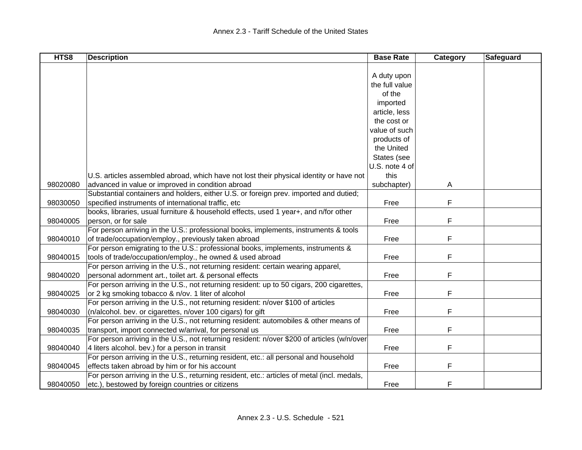| HTS8     | <b>Description</b>                                                                          | <b>Base Rate</b> | Category | Safeguard |
|----------|---------------------------------------------------------------------------------------------|------------------|----------|-----------|
|          |                                                                                             |                  |          |           |
|          |                                                                                             | A duty upon      |          |           |
|          |                                                                                             | the full value   |          |           |
|          |                                                                                             | of the           |          |           |
|          |                                                                                             | imported         |          |           |
|          |                                                                                             | article, less    |          |           |
|          |                                                                                             | the cost or      |          |           |
|          |                                                                                             | value of such    |          |           |
|          |                                                                                             | products of      |          |           |
|          |                                                                                             | the United       |          |           |
|          |                                                                                             | States (see      |          |           |
|          |                                                                                             | U.S. note 4 of   |          |           |
|          | U.S. articles assembled abroad, which have not lost their physical identity or have not     | this             |          |           |
| 98020080 | advanced in value or improved in condition abroad                                           | subchapter)      | A        |           |
|          | Substantial containers and holders, either U.S. or foreign prev. imported and dutied;       |                  |          |           |
| 98030050 | specified instruments of international traffic, etc                                         | Free             | F        |           |
|          | books, libraries, usual furniture & household effects, used 1 year+, and n/for other        |                  |          |           |
| 98040005 | person, or for sale                                                                         | Free             | F        |           |
|          | For person arriving in the U.S.: professional books, implements, instruments & tools        |                  |          |           |
| 98040010 | of trade/occupation/employ., previously taken abroad                                        | Free             | F        |           |
|          | For person emigrating to the U.S.: professional books, implements, instruments &            |                  |          |           |
| 98040015 | tools of trade/occupation/employ., he owned & used abroad                                   | Free             | F        |           |
|          | For person arriving in the U.S., not returning resident: certain wearing apparel,           |                  |          |           |
| 98040020 | personal adornment art., toilet art. & personal effects                                     | Free             | F        |           |
|          | For person arriving in the U.S., not returning resident: up to 50 cigars, 200 cigarettes,   |                  |          |           |
| 98040025 | or 2 kg smoking tobacco & n/ov. 1 liter of alcohol                                          | Free             | F        |           |
|          | For person arriving in the U.S., not returning resident: n/over \$100 of articles           |                  |          |           |
| 98040030 | (n/alcohol. bev. or cigarettes, n/over 100 cigars) for gift                                 | Free             | F        |           |
|          | For person arriving in the U.S., not returning resident: automobiles & other means of       |                  |          |           |
| 98040035 | transport, import connected w/arrival, for personal us                                      | Free             | F        |           |
|          | For person arriving in the U.S., not returning resident: n/over \$200 of articles (w/n/over |                  |          |           |
| 98040040 | 4 liters alcohol. bev.) for a person in transit                                             | Free             | F        |           |
|          | For person arriving in the U.S., returning resident, etc.: all personal and household       |                  |          |           |
| 98040045 | effects taken abroad by him or for his account                                              | Free             | F        |           |
|          | For person arriving in the U.S., returning resident, etc.: articles of metal (incl. medals, |                  |          |           |
| 98040050 | etc.), bestowed by foreign countries or citizens                                            | Free             | F        |           |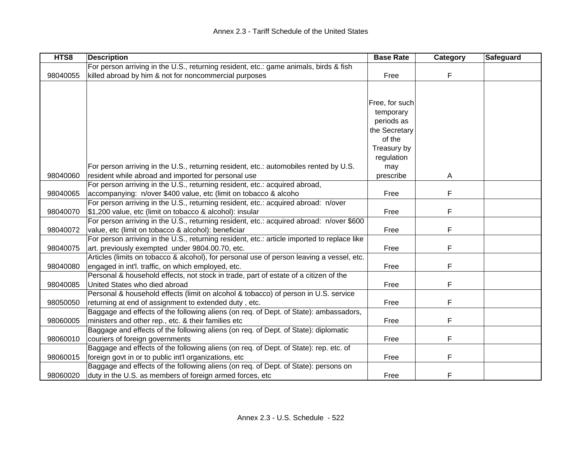| HTS8     | <b>Description</b>                                                                          | <b>Base Rate</b> | Category | Safeguard |
|----------|---------------------------------------------------------------------------------------------|------------------|----------|-----------|
|          | For person arriving in the U.S., returning resident, etc.: game animals, birds & fish       |                  |          |           |
| 98040055 | killed abroad by him & not for noncommercial purposes                                       | Free             | F        |           |
|          |                                                                                             |                  |          |           |
|          |                                                                                             |                  |          |           |
|          |                                                                                             | Free, for such   |          |           |
|          |                                                                                             | temporary        |          |           |
|          |                                                                                             | periods as       |          |           |
|          |                                                                                             | the Secretary    |          |           |
|          |                                                                                             | of the           |          |           |
|          |                                                                                             | Treasury by      |          |           |
|          |                                                                                             | regulation       |          |           |
|          | For person arriving in the U.S., returning resident, etc.: automobiles rented by U.S.       | may              |          |           |
| 98040060 | resident while abroad and imported for personal use                                         | prescribe        | Α        |           |
|          | For person arriving in the U.S., returning resident, etc.: acquired abroad,                 |                  |          |           |
| 98040065 | accompanying: n/over \$400 value, etc (limit on tobacco & alcoho                            | Free             | F        |           |
|          | For person arriving in the U.S., returning resident, etc.: acquired abroad: n/over          |                  |          |           |
| 98040070 | \$1,200 value, etc (limit on tobacco & alcohol): insular                                    | Free             | F        |           |
|          | For person arriving in the U.S., returning resident, etc.: acquired abroad: n/over \$600    |                  |          |           |
| 98040072 | value, etc (limit on tobacco & alcohol): beneficiar                                         | Free             | F        |           |
|          | For person arriving in the U.S., returning resident, etc.: article imported to replace like |                  |          |           |
| 98040075 | art. previously exempted under 9804.00.70, etc.                                             | Free             | F        |           |
|          | Articles (limits on tobacco & alcohol), for personal use of person leaving a vessel, etc.   |                  |          |           |
| 98040080 | engaged in int'l. traffic, on which employed, etc.                                          | Free             | F        |           |
|          | Personal & household effects, not stock in trade, part of estate of a citizen of the        |                  |          |           |
| 98040085 | United States who died abroad                                                               | Free             | F        |           |
|          | Personal & household effects (limit on alcohol & tobacco) of person in U.S. service         |                  |          |           |
| 98050050 | returning at end of assignment to extended duty, etc.                                       | Free             | F        |           |
|          | Baggage and effects of the following aliens (on req. of Dept. of State): ambassadors,       |                  |          |           |
| 98060005 | ministers and other rep., etc. & their families etc                                         | Free             | F        |           |
|          | Baggage and effects of the following aliens (on req. of Dept. of State): diplomatic         |                  |          |           |
| 98060010 | couriers of foreign governments                                                             | Free             | F        |           |
|          | Baggage and effects of the following aliens (on req. of Dept. of State): rep. etc. of       |                  |          |           |
| 98060015 | foreign govt in or to public int'l organizations, etc                                       | Free             | F        |           |
|          | Baggage and effects of the following aliens (on req. of Dept. of State): persons on         |                  |          |           |
| 98060020 | duty in the U.S. as members of foreign armed forces, etc                                    | Free             | F        |           |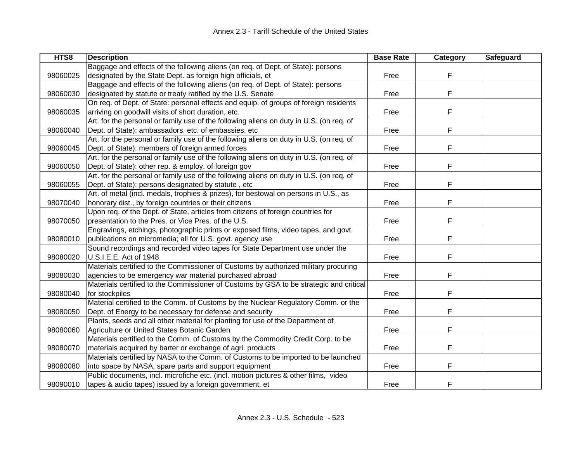| HTS8     | <b>Description</b>                                                                      | <b>Base Rate</b> | Category | <b>Safeguard</b> |
|----------|-----------------------------------------------------------------------------------------|------------------|----------|------------------|
|          | Baggage and effects of the following aliens (on req. of Dept. of State): persons        |                  |          |                  |
| 98060025 | designated by the State Dept. as foreign high officials, et                             | Free             | F        |                  |
|          | Baggage and effects of the following aliens (on req. of Dept. of State): persons        |                  |          |                  |
| 98060030 | designated by statute or treaty ratified by the U.S. Senate                             | Free             | F        |                  |
|          | On req. of Dept. of State: personal effects and equip. of groups of foreign residents   |                  |          |                  |
| 98060035 | arriving on goodwill visits of short duration, etc.                                     | Free             | F        |                  |
|          | Art. for the personal or family use of the following aliens on duty in U.S. (on req. of |                  |          |                  |
| 98060040 | Dept. of State): ambassadors, etc. of embassies, etc                                    | Free             | F        |                  |
|          | Art. for the personal or family use of the following aliens on duty in U.S. (on req. of |                  |          |                  |
| 98060045 | Dept. of State): members of foreign armed forces                                        | Free             | F        |                  |
|          | Art. for the personal or family use of the following aliens on duty in U.S. (on req. of |                  |          |                  |
| 98060050 | Dept. of State): other rep. & employ. of foreign gov                                    | Free             | F        |                  |
|          | Art. for the personal or family use of the following aliens on duty in U.S. (on req. of |                  |          |                  |
| 98060055 | Dept. of State): persons designated by statute, etc                                     | Free             | F        |                  |
|          | Art. of metal (incl. medals, trophies & prizes), for bestowal on persons in U.S., as    |                  |          |                  |
| 98070040 | honorary dist., by foreign countries or their citizens                                  | Free             | F        |                  |
|          | Upon req. of the Dept. of State, articles from citizens of foreign countries for        |                  |          |                  |
| 98070050 | presentation to the Pres. or Vice Pres. of the U.S.                                     | Free             | F        |                  |
|          | Engravings, etchings, photographic prints or exposed films, video tapes, and govt.      |                  |          |                  |
| 98080010 | publications on micromedia; all for U.S. govt. agency use                               | Free             | F        |                  |
|          | Sound recordings and recorded video tapes for State Department use under the            |                  |          |                  |
| 98080020 | U.S.I.E.E. Act of 1948                                                                  | Free             | F        |                  |
|          | Materials certified to the Commissioner of Customs by authorized military procuring     |                  |          |                  |
| 98080030 | agencies to be emergency war material purchased abroad                                  | Free             | F        |                  |
|          | Materials certified to the Commissioner of Customs by GSA to be strategic and critical  |                  |          |                  |
| 98080040 | for stockpiles                                                                          | Free             | F        |                  |
|          | Material certified to the Comm. of Customs by the Nuclear Regulatory Comm. or the       |                  |          |                  |
| 98080050 | Dept. of Energy to be necessary for defense and security                                | Free             | F        |                  |
|          | Plants, seeds and all other material for planting for use of the Department of          |                  |          |                  |
| 98080060 | Agriculture or United States Botanic Garden                                             | Free             | F        |                  |
|          | Materials certified to the Comm. of Customs by the Commodity Credit Corp. to be         |                  |          |                  |
| 98080070 | materials acquired by barter or exchange of agri. products                              | Free             | F.       |                  |
|          | Materials certified by NASA to the Comm. of Customs to be imported to be launched       |                  |          |                  |
| 98080080 | into space by NASA, spare parts and support equipment                                   | Free             | F        |                  |
|          | Public documents, incl. microfiche etc. (incl. motion pictures & other films, video     |                  |          |                  |
| 98090010 | tapes & audio tapes) issued by a foreign government, et                                 | Free             | F        |                  |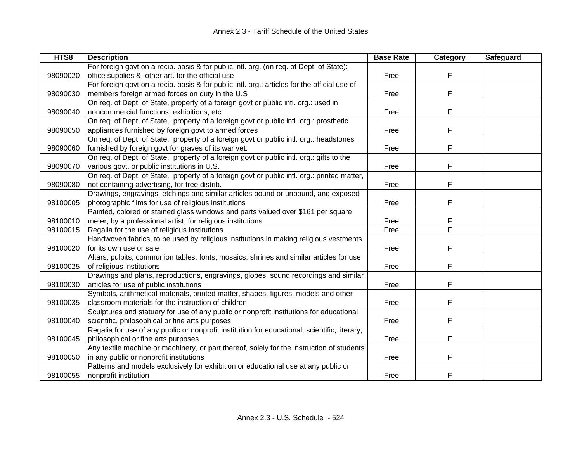| HTS8     | <b>Description</b>                                                                            | <b>Base Rate</b> | <b>Category</b> | Safeguard |
|----------|-----------------------------------------------------------------------------------------------|------------------|-----------------|-----------|
|          | For foreign govt on a recip. basis & for public intl. org. (on req. of Dept. of State):       |                  |                 |           |
| 98090020 | office supplies & other art. for the official use                                             | Free             | F               |           |
|          | For foreign govt on a recip. basis & for public intl. org.: articles for the official use of  |                  |                 |           |
| 98090030 | members foreign armed forces on duty in the U.S.                                              | Free             | F               |           |
|          | On req. of Dept. of State, property of a foreign govt or public intl. org.: used in           |                  |                 |           |
| 98090040 | noncommercial functions, exhibitions, etc                                                     | Free             | F               |           |
|          | On req. of Dept. of State, property of a foreign govt or public intl. org.: prosthetic        |                  |                 |           |
| 98090050 | appliances furnished by foreign govt to armed forces                                          | Free             | F               |           |
|          | On req. of Dept. of State, property of a foreign govt or public intl. org.: headstones        |                  |                 |           |
| 98090060 | furnished by foreign govt for graves of its war vet.                                          | Free             | F               |           |
|          | On req. of Dept. of State, property of a foreign govt or public intl. org.: gifts to the      |                  |                 |           |
| 98090070 | various govt. or public institutions in U.S.                                                  | Free             | F               |           |
|          | On req. of Dept. of State, property of a foreign govt or public intl. org.: printed matter,   |                  |                 |           |
| 98090080 | not containing advertising, for free distrib.                                                 | Free             | F               |           |
|          | Drawings, engravings, etchings and similar articles bound or unbound, and exposed             |                  |                 |           |
| 98100005 | photographic films for use of religious institutions                                          | Free             | F               |           |
|          | Painted, colored or stained glass windows and parts valued over \$161 per square              |                  |                 |           |
| 98100010 | meter, by a professional artist, for religious institutions                                   | Free             | F               |           |
| 98100015 | Regalia for the use of religious institutions                                                 | Free             | F               |           |
|          | Handwoven fabrics, to be used by religious institutions in making religious vestments         |                  |                 |           |
| 98100020 | for its own use or sale                                                                       | Free             | F               |           |
|          | Altars, pulpits, communion tables, fonts, mosaics, shrines and similar articles for use       |                  |                 |           |
| 98100025 | of religious institutions                                                                     | Free             | F               |           |
|          | Drawings and plans, reproductions, engravings, globes, sound recordings and similar           |                  |                 |           |
| 98100030 | articles for use of public institutions                                                       | Free             | F               |           |
|          | Symbols, arithmetical materials, printed matter, shapes, figures, models and other            |                  |                 |           |
| 98100035 | classroom materials for the instruction of children                                           | Free             | F               |           |
|          | Sculptures and statuary for use of any public or nonprofit institutions for educational,      |                  |                 |           |
| 98100040 | scientific, philosophical or fine arts purposes                                               | Free             | F               |           |
|          | Regalia for use of any public or nonprofit institution for educational, scientific, literary, |                  |                 |           |
| 98100045 | philosophical or fine arts purposes                                                           | Free             | F               |           |
|          | Any textile machine or machinery, or part thereof, solely for the instruction of students     |                  |                 |           |
| 98100050 | in any public or nonprofit institutions                                                       | Free             | F               |           |
|          | Patterns and models exclusively for exhibition or educational use at any public or            |                  |                 |           |
| 98100055 | nonprofit institution                                                                         | Free             | F               |           |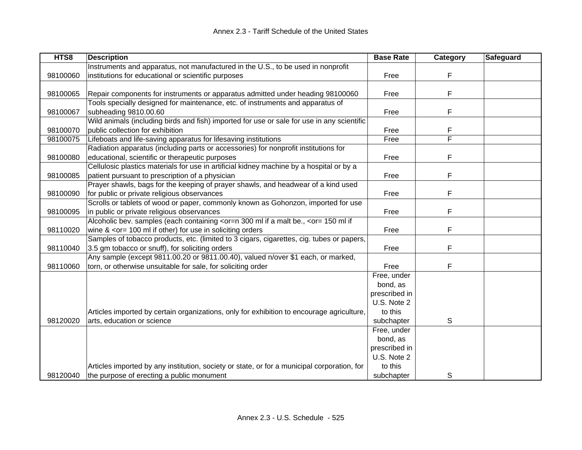| HTS8     | <b>Description</b>                                                                                                                              | <b>Base Rate</b> | <b>Category</b> | <b>Safeguard</b> |
|----------|-------------------------------------------------------------------------------------------------------------------------------------------------|------------------|-----------------|------------------|
|          | Instruments and apparatus, not manufactured in the U.S., to be used in nonprofit                                                                |                  |                 |                  |
| 98100060 | institutions for educational or scientific purposes                                                                                             | Free             | F               |                  |
|          |                                                                                                                                                 |                  |                 |                  |
| 98100065 | Repair components for instruments or apparatus admitted under heading 98100060                                                                  | Free             | F               |                  |
|          | Tools specially designed for maintenance, etc. of instruments and apparatus of                                                                  |                  |                 |                  |
| 98100067 | subheading 9810.00.60                                                                                                                           | Free             | F               |                  |
|          | Wild animals (including birds and fish) imported for use or sale for use in any scientific                                                      |                  |                 |                  |
| 98100070 | public collection for exhibition                                                                                                                | Free             | F               |                  |
| 98100075 | Lifeboats and life-saving apparatus for lifesaving institutions                                                                                 | Free             | F               |                  |
|          | Radiation apparatus (including parts or accessories) for nonprofit institutions for                                                             |                  |                 |                  |
| 98100080 | educational, scientific or therapeutic purposes                                                                                                 | Free             | F               |                  |
|          | Cellulosic plastics materials for use in artificial kidney machine by a hospital or by a                                                        |                  |                 |                  |
| 98100085 | patient pursuant to prescription of a physician                                                                                                 | Free             | F               |                  |
|          | Prayer shawls, bags for the keeping of prayer shawls, and headwear of a kind used                                                               |                  |                 |                  |
| 98100090 | for public or private religious observances                                                                                                     | Free             | F               |                  |
|          | Scrolls or tablets of wood or paper, commonly known as Gohonzon, imported for use                                                               |                  |                 |                  |
| 98100095 | in public or private religious observances                                                                                                      | Free             | F               |                  |
|          | Alcoholic bev. samples (each containing <or=n 300="" <or="150" a="" be.,="" if="" if<="" malt="" ml="" td=""><td></td><td></td><td></td></or=n> |                  |                 |                  |
| 98110020 | wine $<$ or = 100 ml if other) for use in soliciting orders                                                                                     | Free             | F               |                  |
|          | Samples of tobacco products, etc. (limited to 3 cigars, cigarettes, cig. tubes or papers,                                                       |                  |                 |                  |
| 98110040 | 3.5 gm tobacco or snuff), for soliciting orders                                                                                                 | Free             | F               |                  |
|          | Any sample (except 9811.00.20 or 9811.00.40), valued n/over \$1 each, or marked,                                                                |                  |                 |                  |
| 98110060 | torn, or otherwise unsuitable for sale, for soliciting order                                                                                    | Free             | F               |                  |
|          |                                                                                                                                                 | Free, under      |                 |                  |
|          |                                                                                                                                                 | bond, as         |                 |                  |
|          |                                                                                                                                                 | prescribed in    |                 |                  |
|          |                                                                                                                                                 | U.S. Note 2      |                 |                  |
|          | Articles imported by certain organizations, only for exhibition to encourage agriculture,                                                       | to this          |                 |                  |
| 98120020 | arts, education or science                                                                                                                      | subchapter       | S               |                  |
|          |                                                                                                                                                 | Free, under      |                 |                  |
|          |                                                                                                                                                 | bond, as         |                 |                  |
|          |                                                                                                                                                 | prescribed in    |                 |                  |
|          |                                                                                                                                                 | U.S. Note 2      |                 |                  |
|          | Articles imported by any institution, society or state, or for a municipal corporation, for                                                     | to this          |                 |                  |
| 98120040 | the purpose of erecting a public monument                                                                                                       | subchapter       | S               |                  |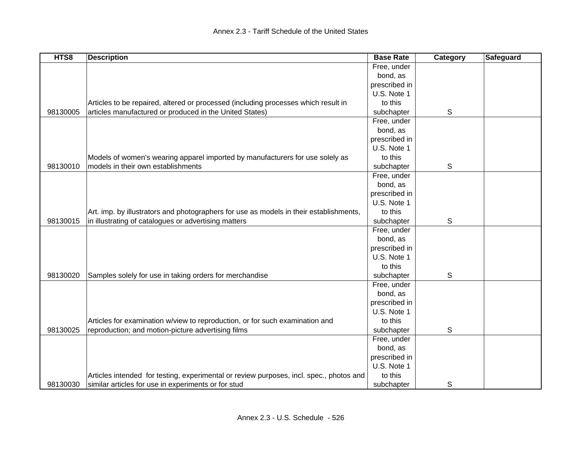| HTS8     | <b>Description</b>                                                                      | <b>Base Rate</b> | Category | <b>Safeguard</b> |
|----------|-----------------------------------------------------------------------------------------|------------------|----------|------------------|
|          |                                                                                         | Free, under      |          |                  |
|          |                                                                                         | bond, as         |          |                  |
|          |                                                                                         | prescribed in    |          |                  |
|          |                                                                                         | U.S. Note 1      |          |                  |
|          | Articles to be repaired, altered or processed (including processes which result in      | to this          |          |                  |
| 98130005 | articles manufactured or produced in the United States)                                 | subchapter       | S        |                  |
|          |                                                                                         | Free, under      |          |                  |
|          |                                                                                         | bond, as         |          |                  |
|          |                                                                                         | prescribed in    |          |                  |
|          |                                                                                         | U.S. Note 1      |          |                  |
|          | Models of women's wearing apparel imported by manufacturers for use solely as           | to this          |          |                  |
| 98130010 | models in their own establishments                                                      | subchapter       | S        |                  |
|          |                                                                                         | Free, under      |          |                  |
|          |                                                                                         | bond, as         |          |                  |
|          |                                                                                         | prescribed in    |          |                  |
|          |                                                                                         | U.S. Note 1      |          |                  |
|          | Art. imp. by illustrators and photographers for use as models in their establishments,  | to this          |          |                  |
| 98130015 | in illustrating of catalogues or advertising matters                                    | subchapter       | S        |                  |
|          |                                                                                         | Free, under      |          |                  |
|          |                                                                                         | bond, as         |          |                  |
|          |                                                                                         | prescribed in    |          |                  |
|          |                                                                                         | U.S. Note 1      |          |                  |
|          |                                                                                         | to this          |          |                  |
| 98130020 | Samples solely for use in taking orders for merchandise                                 | subchapter       | S        |                  |
|          |                                                                                         | Free, under      |          |                  |
|          |                                                                                         | bond, as         |          |                  |
|          |                                                                                         | prescribed in    |          |                  |
|          |                                                                                         | U.S. Note 1      |          |                  |
|          | Articles for examination w/view to reproduction, or for such examination and            | to this          |          |                  |
| 98130025 | reproduction; and motion-picture advertising films                                      | subchapter       | S        |                  |
|          |                                                                                         | Free, under      |          |                  |
|          |                                                                                         | bond, as         |          |                  |
|          |                                                                                         | prescribed in    |          |                  |
|          |                                                                                         | U.S. Note 1      |          |                  |
|          | Articles intended for testing, experimental or review purposes, incl. spec., photos and | to this          |          |                  |
| 98130030 | similar articles for use in experiments or for stud                                     | subchapter       | S        |                  |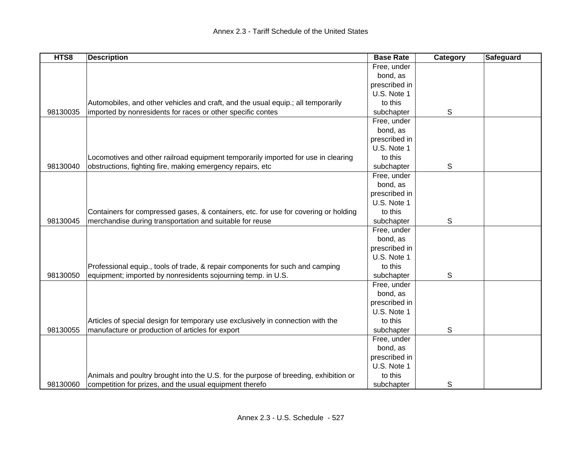| HTS8     | <b>Description</b>                                                                   | <b>Base Rate</b> | Category | <b>Safeguard</b> |
|----------|--------------------------------------------------------------------------------------|------------------|----------|------------------|
|          |                                                                                      | Free, under      |          |                  |
|          |                                                                                      | bond, as         |          |                  |
|          |                                                                                      | prescribed in    |          |                  |
|          |                                                                                      | U.S. Note 1      |          |                  |
|          | Automobiles, and other vehicles and craft, and the usual equip.; all temporarily     | to this          |          |                  |
| 98130035 | imported by nonresidents for races or other specific contes                          | subchapter       | S        |                  |
|          |                                                                                      | Free, under      |          |                  |
|          |                                                                                      | bond, as         |          |                  |
|          |                                                                                      | prescribed in    |          |                  |
|          |                                                                                      | U.S. Note 1      |          |                  |
|          | Locomotives and other railroad equipment temporarily imported for use in clearing    | to this          |          |                  |
| 98130040 | obstructions, fighting fire, making emergency repairs, etc                           | subchapter       | S        |                  |
|          |                                                                                      | Free, under      |          |                  |
|          |                                                                                      | bond, as         |          |                  |
|          |                                                                                      | prescribed in    |          |                  |
|          |                                                                                      | U.S. Note 1      |          |                  |
|          | Containers for compressed gases, & containers, etc. for use for covering or holding  | to this          |          |                  |
| 98130045 | merchandise during transportation and suitable for reuse                             | subchapter       | S        |                  |
|          |                                                                                      | Free, under      |          |                  |
|          |                                                                                      | bond, as         |          |                  |
|          |                                                                                      | prescribed in    |          |                  |
|          |                                                                                      | U.S. Note 1      |          |                  |
|          | Professional equip., tools of trade, & repair components for such and camping        | to this          |          |                  |
| 98130050 | equipment; imported by nonresidents sojourning temp. in U.S.                         | subchapter       | S        |                  |
|          |                                                                                      | Free, under      |          |                  |
|          |                                                                                      | bond, as         |          |                  |
|          |                                                                                      | prescribed in    |          |                  |
|          |                                                                                      | U.S. Note 1      |          |                  |
|          | Articles of special design for temporary use exclusively in connection with the      | to this          |          |                  |
| 98130055 | manufacture or production of articles for export                                     | subchapter       | S        |                  |
|          |                                                                                      | Free, under      |          |                  |
|          |                                                                                      | bond, as         |          |                  |
|          |                                                                                      | prescribed in    |          |                  |
|          |                                                                                      | U.S. Note 1      |          |                  |
|          | Animals and poultry brought into the U.S. for the purpose of breeding, exhibition or | to this          |          |                  |
| 98130060 | competition for prizes, and the usual equipment therefo                              | subchapter       | S        |                  |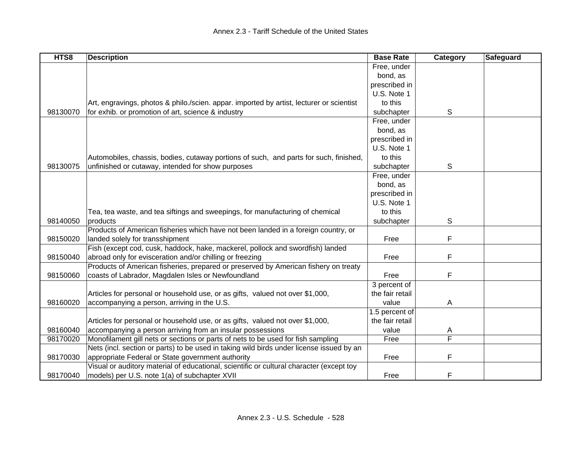| HTS8     | <b>Description</b>                                                                       | <b>Base Rate</b> | Category | Safeguard |
|----------|------------------------------------------------------------------------------------------|------------------|----------|-----------|
|          |                                                                                          | Free, under      |          |           |
|          |                                                                                          | bond, as         |          |           |
|          |                                                                                          | prescribed in    |          |           |
|          |                                                                                          | U.S. Note 1      |          |           |
|          | Art, engravings, photos & philo./scien. appar. imported by artist, lecturer or scientist | to this          |          |           |
| 98130070 | for exhib. or promotion of art, science & industry                                       | subchapter       | S        |           |
|          |                                                                                          | Free, under      |          |           |
|          |                                                                                          | bond, as         |          |           |
|          |                                                                                          | prescribed in    |          |           |
|          |                                                                                          | U.S. Note 1      |          |           |
|          | Automobiles, chassis, bodies, cutaway portions of such, and parts for such, finished,    | to this          |          |           |
| 98130075 | unfinished or cutaway, intended for show purposes                                        | subchapter       | S        |           |
|          |                                                                                          | Free, under      |          |           |
|          |                                                                                          | bond, as         |          |           |
|          |                                                                                          | prescribed in    |          |           |
|          |                                                                                          | U.S. Note 1      |          |           |
|          | Tea, tea waste, and tea siftings and sweepings, for manufacturing of chemical            | to this          |          |           |
| 98140050 | products                                                                                 | subchapter       | S        |           |
|          | Products of American fisheries which have not been landed in a foreign country, or       |                  |          |           |
| 98150020 | landed solely for transshipment                                                          | Free             | F        |           |
|          | Fish (except cod, cusk, haddock, hake, mackerel, pollock and swordfish) landed           |                  |          |           |
| 98150040 | abroad only for evisceration and/or chilling or freezing                                 | Free             | F        |           |
|          | Products of American fisheries, prepared or preserved by American fishery on treaty      |                  |          |           |
| 98150060 | coasts of Labrador, Magdalen Isles or Newfoundland                                       | Free             | F        |           |
|          |                                                                                          | 3 percent of     |          |           |
|          | Articles for personal or household use, or as gifts, valued not over \$1,000,            | the fair retail  |          |           |
| 98160020 | accompanying a person, arriving in the U.S.                                              | value            | A        |           |
|          |                                                                                          | 1.5 percent of   |          |           |
|          | Articles for personal or household use, or as gifts, valued not over \$1,000,            | the fair retail  |          |           |
| 98160040 | accompanying a person arriving from an insular possessions                               | value            | A        |           |
| 98170020 | Monofilament gill nets or sections or parts of nets to be used for fish sampling         | Free             | F        |           |
|          | Nets (incl. section or parts) to be used in taking wild birds under license issued by an |                  |          |           |
| 98170030 | appropriate Federal or State government authority                                        | Free             | F        |           |
|          | Visual or auditory material of educational, scientific or cultural character (except toy |                  |          |           |
| 98170040 | models) per U.S. note 1(a) of subchapter XVII                                            | Free             | F        |           |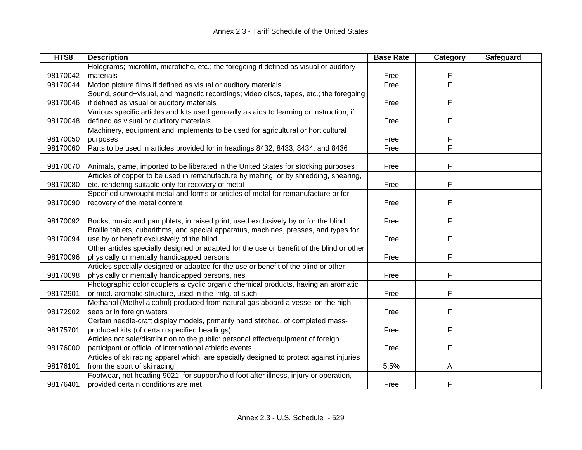| HTS8     | <b>Description</b>                                                                        | <b>Base Rate</b> | Category | Safeguard |
|----------|-------------------------------------------------------------------------------------------|------------------|----------|-----------|
|          | Holograms; microfilm, microfiche, etc.; the foregoing if defined as visual or auditory    |                  |          |           |
| 98170042 | materials                                                                                 | Free             | F        |           |
| 98170044 | Motion picture films if defined as visual or auditory materials                           | Free             | F        |           |
|          | Sound, sound+visual, and magnetic recordings; video discs, tapes, etc.; the foregoing     |                  |          |           |
| 98170046 | if defined as visual or auditory materials                                                | Free             | F        |           |
|          | Various specific articles and kits used generally as aids to learning or instruction, if  |                  |          |           |
| 98170048 | defined as visual or auditory materials                                                   | Free             | F        |           |
|          | Machinery, equipment and implements to be used for agricultural or horticultural          |                  |          |           |
| 98170050 | purposes                                                                                  | Free             | F        |           |
| 98170060 | Parts to be used in articles provided for in headings 8432, 8433, 8434, and 8436          | Free             | F        |           |
|          |                                                                                           |                  |          |           |
| 98170070 | Animals, game, imported to be liberated in the United States for stocking purposes        | Free             | F        |           |
|          | Articles of copper to be used in remanufacture by melting, or by shredding, shearing,     |                  |          |           |
| 98170080 | etc. rendering suitable only for recovery of metal                                        | Free             | F        |           |
|          | Specified unwrought metal and forms or articles of metal for remanufacture or for         |                  |          |           |
| 98170090 | recovery of the metal content                                                             | Free             | F        |           |
|          |                                                                                           |                  |          |           |
| 98170092 | Books, music and pamphlets, in raised print, used exclusively by or for the blind         | Free             | F        |           |
|          | Braille tablets, cubarithms, and special apparatus, machines, presses, and types for      |                  |          |           |
| 98170094 | use by or benefit exclusively of the blind                                                | Free             | F        |           |
|          | Other articles specially designed or adapted for the use or benefit of the blind or other |                  |          |           |
| 98170096 | physically or mentally handicapped persons                                                | Free             | F        |           |
|          | Articles specially designed or adapted for the use or benefit of the blind or other       |                  |          |           |
| 98170098 | physically or mentally handicapped persons, nesi                                          | Free             | F        |           |
|          | Photographic color couplers & cyclic organic chemical products, having an aromatic        |                  |          |           |
| 98172901 | or mod. aromatic structure, used in the mfg. of such                                      | Free             | F        |           |
|          | Methanol (Methyl alcohol) produced from natural gas aboard a vessel on the high           |                  |          |           |
| 98172902 | seas or in foreign waters                                                                 | Free             | F        |           |
|          | Certain needle-craft display models, primarily hand stitched, of completed mass-          |                  |          |           |
| 98175701 | produced kits (of certain specified headings)                                             | Free             | F        |           |
|          | Articles not sale/distribution to the public: personal effect/equipment of foreign        |                  |          |           |
| 98176000 | participant or official of international athletic events                                  | Free             | F        |           |
|          | Articles of ski racing apparel which, are specially designed to protect against injuries  |                  |          |           |
| 98176101 | from the sport of ski racing                                                              | 5.5%             | Α        |           |
|          | Footwear, not heading 9021, for support/hold foot after illness, injury or operation,     |                  |          |           |
| 98176401 | provided certain conditions are met                                                       | Free             | F        |           |